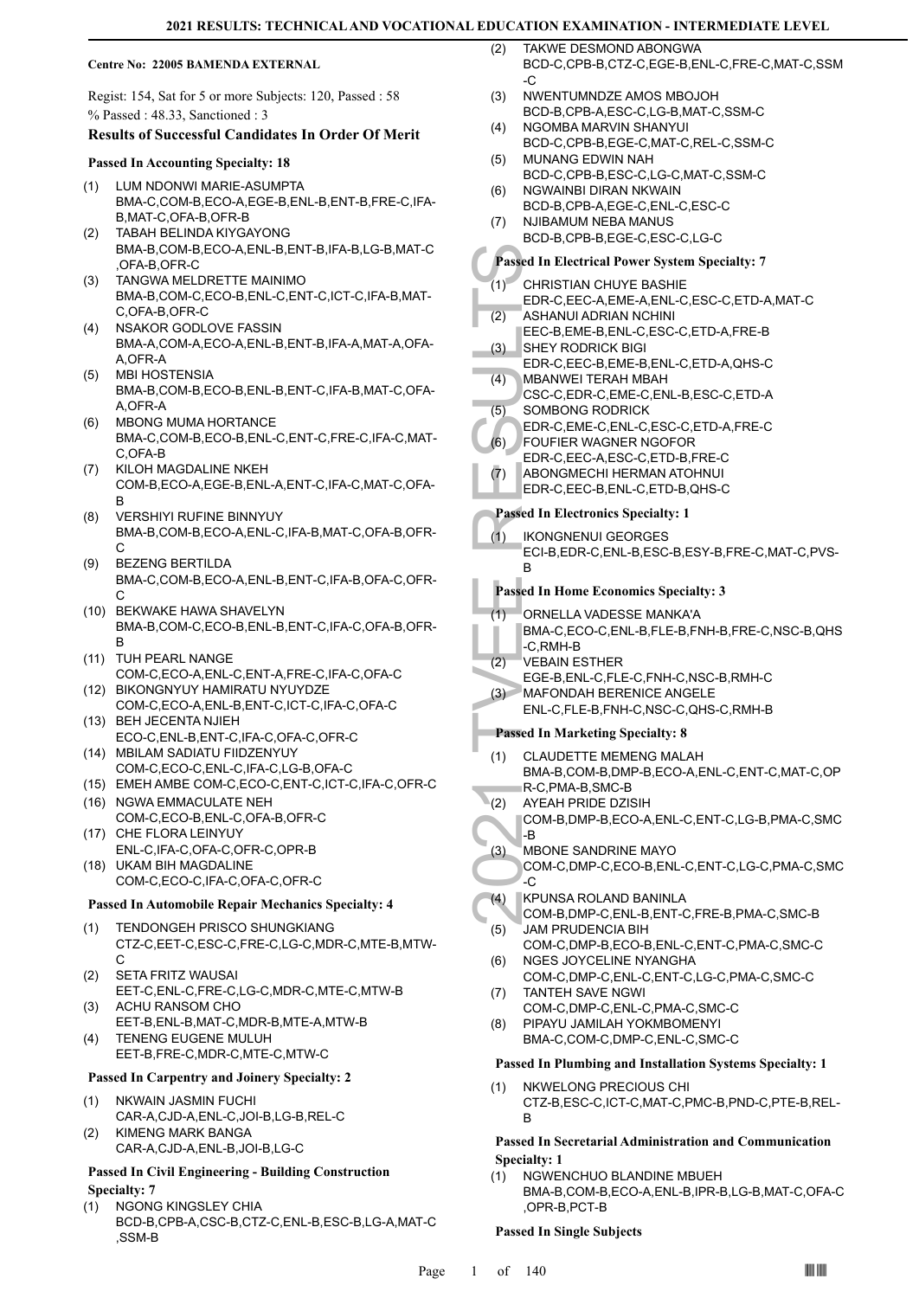#### **Centre No: 22005 BAMENDA EXTERNAL**

Regist: 154, Sat for 5 or more Subjects: 120, Passed : 58 % Passed : 48.33, Sanctioned : 3

#### **Results of Successful Candidates In Order Of Merit**

#### **Passed In Accounting Specialty: 18**

- LUM NDONWI MARIE-ASUMPTA BMA-C,COM-B,ECO-A,EGE-B,ENL-B,ENT-B,FRE-C,IFA-B,MAT-C,OFA-B,OFR-B (1)
- TABAH BELINDA KIYGAYONG BMA-B,COM-B,ECO-A,ENL-B,ENT-B,IFA-B,LG-B,MAT-C ,OFA-B,OFR-C (2)
- TANGWA MELDRETTE MAINIMO BMA-B,COM-C,ECO-B,ENL-C,ENT-C,ICT-C,IFA-B,MAT-C,OFA-B,OFR-C  $(3)$
- NSAKOR GODLOVE FASSIN BMA-A,COM-A,ECO-A,ENL-B,ENT-B,IFA-A,MAT-A,OFA-A,OFR-A (4)
- MBI HOSTENSIA BMA-B,COM-B,ECO-B,ENL-B,ENT-C,IFA-B,MAT-C,OFA-A,OFR-A (5)
- MBONG MUMA HORTANCE BMA-C,COM-B,ECO-B,ENL-C,ENT-C,FRE-C,IFA-C,MAT-C,OFA-B (6)
- KILOH MAGDALINE NKEH COM-B,ECO-A,EGE-B,ENL-A,ENT-C,IFA-C,MAT-C,OFA-B (7)
- VERSHIYI RUFINE BINNYUY BMA-B,COM-B,ECO-A,ENL-C,IFA-B,MAT-C,OFA-B,OFR-C (8)
- BEZENG BERTILDA BMA-C,COM-B,ECO-A,ENL-B,ENT-C,IFA-B,OFA-C,OFR-C (9)
- (10) BEKWAKE HAWA SHAVELYN BMA-B,COM-C,ECO-B,ENL-B,ENT-C,IFA-C,OFA-B,OFR-B
- (11) TUH PEARL NANGE COM-C,ECO-A,ENL-C,ENT-A,FRE-C,IFA-C,OFA-C
- BIKONGNYUY HAMIRATU NYUYDZE (12) COM-C,ECO-A,ENL-B,ENT-C,ICT-C,IFA-C,OFA-C
- (13) BEH JECENTA NJIEH ECO-C,ENL-B,ENT-C,IFA-C,OFA-C,OFR-C (14) MBILAM SADIATU FIIDZENYUY
- COM-C,ECO-C,ENL-C,IFA-C,LG-B,OFA-C
- (15) EMEH AMBE COM-C,ECO-C,ENT-C,ICT-C,IFA-C,OFR-C
- (16) NGWA EMMACULATE NEH COM-C,ECO-B,ENL-C,OFA-B,OFR-C (17) CHE FLORA LEINYUY
- ENL-C,IFA-C,OFA-C,OFR-C,OPR-B (18) UKAM BIH MAGDALINE
- COM-C,ECO-C,IFA-C,OFA-C,OFR-C

#### **Passed In Automobile Repair Mechanics Specialty: 4**

- TENDONGEH PRISCO SHUNGKIANG CTZ-C,EET-C,ESC-C,FRE-C,LG-C,MDR-C,MTE-B,MTW- $\mathcal{C}$ (1)
- SETA FRITZ WAUSAI EET-C,ENL-C,FRE-C,LG-C,MDR-C,MTE-C,MTW-B (2)
- ACHU RANSOM CHO EET-B,ENL-B,MAT-C,MDR-B,MTE-A,MTW-B (3)
- TENENG EUGENE MULUH EET-B,FRE-C,MDR-C,MTE-C,MTW-C (4)

#### **Passed In Carpentry and Joinery Specialty: 2**

- NKWAIN JASMIN FUCHI CAR-A,CJD-A,ENL-C,JOI-B,LG-B,REL-C (1) KIMENG MARK BANGA (2)
- CAR-A,CJD-A,ENL-B,JOI-B,LG-C

### **Passed In Civil Engineering - Building Construction Specialty: 7**

NGONG KINGSLEY CHIA BCD-B,CPB-A,CSC-B,CTZ-C,ENL-B,ESC-B,LG-A,MAT-C ,SSM-B (1)

- TAKWE DESMOND ABONGWA BCD-C,CPB-B,CTZ-C,EGE-B,ENL-C,FRE-C,MAT-C,SSM  $\overline{C}$  $(2)$
- NWENTUMNDZE AMOS MBOJOH BCD-B,CPB-A,ESC-C,LG-B,MAT-C,SSM-C (3)
- NGOMBA MARVIN SHANYUI BCD-C,CPB-B,EGE-C,MAT-C,REL-C,SSM-C (4)
- MUNANG EDWIN NAH (5)
- BCD-C,CPB-B,ESC-C,LG-C,MAT-C,SSM-C NGWAINBI DIRAN NKWAIN (6)
- BCD-B,CPB-A,EGE-C,ENL-C,ESC-C NJIBAMUM NEBA MANUS (7)
	- BCD-B,CPB-B,EGE-C,ESC-C,LG-C

# **Passed In Electrical Power System Specialty: 7**

- CHRISTIAN CHUYE BASHIE  $(1)$
- EDR-C,EEC-A,EME-A,ENL-C,ESC-C,ETD-A,MAT-C
- ASHANUI ADRIAN NCHINI EEC-B,EME-B,ENL-C,ESC-C,ETD-A,FRE-B (2)
- SHEY RODRICK BIGI EDR-C,EEC-B,EME-B,ENL-C,ETD-A,QHS-C (3)
- MBANWEI TERAH MBAH CSC-C,EDR-C,EME-C,ENL-B,ESC-C,ETD-A (4)
- SOMBONG RODRICK (5)
- EDR-C,EME-C,ENL-C,ESC-C,ETD-A,FRE-C
- FOUFIER WAGNER NGOFOR  $(6)$
- EDR-C,EEC-A,ESC-C,ETD-B,FRE-C
- ABONGMECHI HERMAN ATOHNUI (7)
- EDR-C,EEC-B,ENL-C,ETD-B,QHS-C

# **Passed In Electronics Specialty: 1**

IKONGNENUI GEORGES ECI-B,EDR-C,ENL-B,ESC-B,ESY-B,FRE-C,MAT-C,PVS-B (1)

#### **Passed In Home Economics Specialty: 3**

- ORNELLA VADESSE MANKA'A  $(1)$
- BMA-C,ECO-C,ENL-B,FLE-B,FNH-B,FRE-C,NSC-B,QHS -C,RMH-B
- VEBAIN ESTHER (2)
	- EGE-B,ENL-C,FLE-C,FNH-C,NSC-B,RMH-C
- MAFONDAH BERENICE ANGELE  $(3)$ 
	- ENL-C,FLE-B,FNH-C,NSC-C,QHS-C,RMH-B

#### **Passed In Marketing Specialty: 8**

- Passed In El<br>
(1) CHRIST<br>
EDR-C, ASHAN<br>
EEC-B, I<br>
(3) SHEY R<br>
EDR-C, MBANN<br>
CSC-C, SOMBC<br>
EDR-C, SOMBC<br>
EDR-C, FOUFIE<br>
EDR-C, FOUFIE<br>
EDR-C, FOUFIE<br>
EDR-C, FOUFIE<br>
EDR-C, ABONG<br>
EDR-C, ABONG<br>
EDR-C, B<br>
ABONG<br>
EDR-C, PASSed CLAUDETTE MEMENG MALAH BMA-B,COM-B,DMP-B,ECO-A,ENL-C,ENT-C,MAT-C,OP R-C,PMA-B,SMC-B (1)
- AYEAH PRIDE DZISIH  $(2)$ 
	- COM-B,DMP-B,ECO-A,ENL-C,ENT-C,LG-B,PMA-C,SMC -B
	- MBONE SANDRINE MAYO COM-C,DMP-C,ECO-B,ENL-C,ENT-C,LG-C,PMA-C,SMC -C (3)
- KPUNSA ROLAND BANINLA COM-B,DMP-C,ENL-B,ENT-C,FRE-B,PMA-C,SMC-B (4)
- JAM PRUDENCIA BIH COM-C,DMP-B,ECO-B,ENL-C,ENT-C,PMA-C,SMC-C (5)
- NGES JOYCELINE NYANGHA COM-C,DMP-C,ENL-C,ENT-C,LG-C,PMA-C,SMC-C (6) TANTEH SAVE NGWI (7)
- COM-C,DMP-C,ENL-C,PMA-C,SMC-C
- PIPAYU JAMILAH YOKMBOMENYI BMA-C,COM-C,DMP-C,ENL-C,SMC-C (8)

#### **Passed In Plumbing and Installation Systems Specialty: 1**

NKWELONG PRECIOUS CHI CTZ-B,ESC-C,ICT-C,MAT-C,PMC-B,PND-C,PTE-B,REL-B (1)

#### **Passed In Secretarial Administration and Communication Specialty: 1**

NGWENCHUO BLANDINE MBUEH BMA-B,COM-B,ECO-A,ENL-B,IPR-B,LG-B,MAT-C,OFA-C ,OPR-B,PCT-B (1)

#### **Passed In Single Subjects**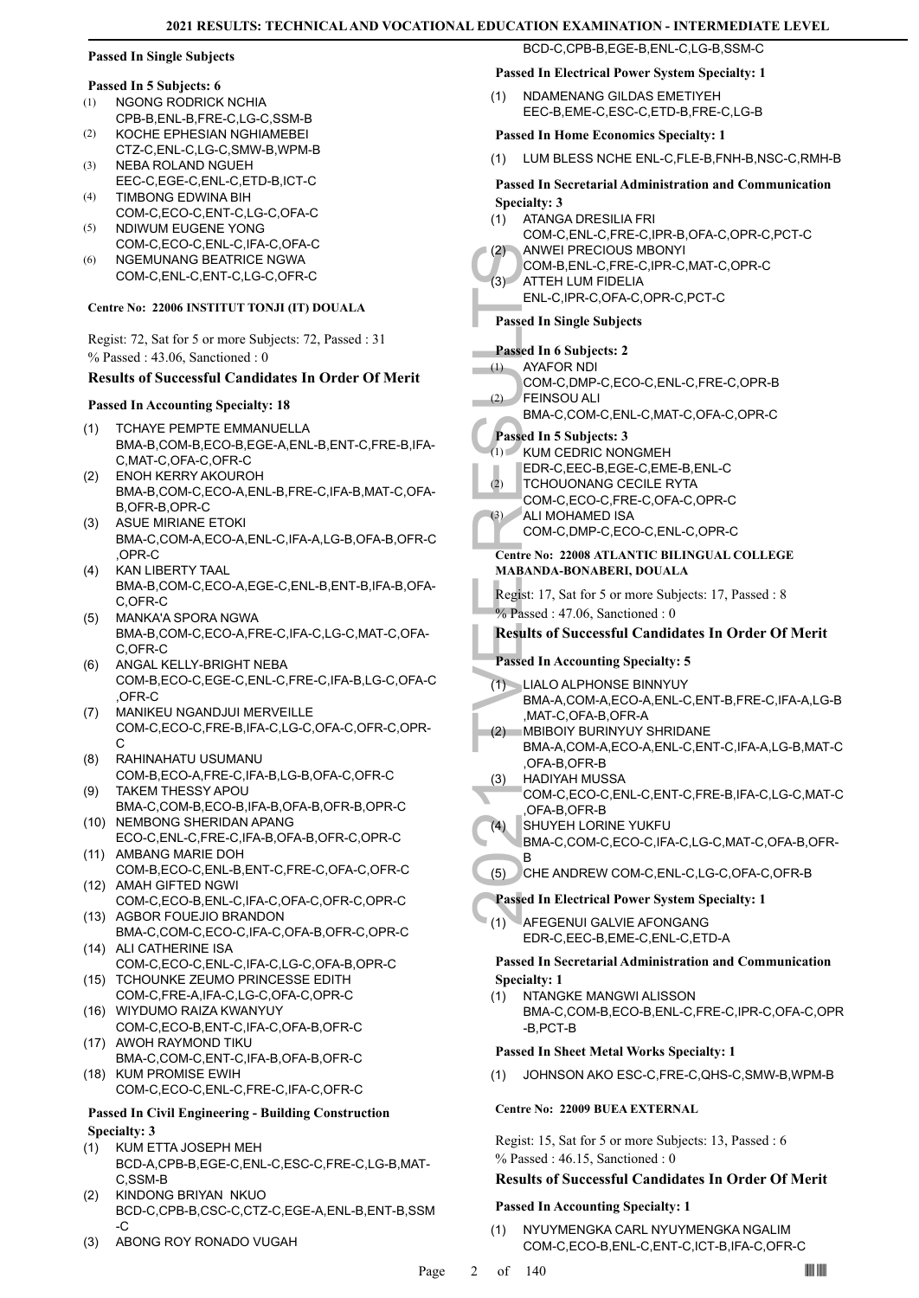#### **Passed In Single Subjects**

#### **Passed In 5 Subjects: 6**

- NGONG RODRICK NCHIA CPB-B,ENL-B,FRE-C,LG-C,SSM-B (1)
- KOCHE EPHESIAN NGHIAMEBEI CTZ-C,ENL-C,LG-C,SMW-B,WPM-B (2)
- NEBA ROLAND NGUEH EEC-C,EGE-C,ENL-C,ETD-B,ICT-C (3)
- TIMBONG EDWINA BIH COM-C,ECO-C,ENT-C,LG-C,OFA-C (4)
- NDIWUM EUGENE YONG (5)
- COM-C,ECO-C,ENL-C,IFA-C,OFA-C NGEMUNANG BEATRICE NGWA COM-C,ENL-C,ENT-C,LG-C,OFR-C (6)

# **Centre No: 22006 INSTITUT TONJI (IT) DOUALA**

Regist: 72, Sat for 5 or more Subjects: 72, Passed : 31 % Passed : 43.06, Sanctioned : 0

# **Results of Successful Candidates In Order Of Merit**

# **Passed In Accounting Specialty: 18**

- TCHAYE PEMPTE EMMANUELLA BMA-B,COM-B,ECO-B,EGE-A,ENL-B,ENT-C,FRE-B,IFA-C,MAT-C,OFA-C,OFR-C (1)
- ENOH KERRY AKOUROH BMA-B,COM-C,ECO-A,ENL-B,FRE-C,IFA-B,MAT-C,OFA-B,OFR-B,OPR-C  $(2)$
- (3) ASUE MIRIANE ETOKI BMA-C,COM-A,ECO-A,ENL-C,IFA-A,LG-B,OFA-B,OFR-C ,OPR-C
- KAN LIBERTY TAAL BMA-B,COM-C,ECO-A,EGE-C,ENL-B,ENT-B,IFA-B,OFA-C,OFR-C (4)
- MANKA'A SPORA NGWA BMA-B,COM-C,ECO-A,FRE-C,IFA-C,LG-C,MAT-C,OFA-C,OFR-C (5)
- ANGAL KELLY-BRIGHT NEBA COM-B,ECO-C,EGE-C,ENL-C,FRE-C,IFA-B,LG-C,OFA-C ,OFR-C (6)
- MANIKEU NGANDJUI MERVEILLE COM-C,ECO-C,FRE-B,IFA-C,LG-C,OFA-C,OFR-C,OPR-C (7)
- RAHINAHATU USUMANU COM-B,ECO-A,FRE-C,IFA-B,LG-B,OFA-C,OFR-C (8)
- TAKEM THESSY APOU BMA-C,COM-B,ECO-B,IFA-B,OFA-B,OFR-B,OPR-C (9) (10) NEMBONG SHERIDAN APANG
- ECO-C,ENL-C,FRE-C,IFA-B,OFA-B,OFR-C,OPR-C (11) AMBANG MARIE DOH
- COM-B,ECO-C,ENL-B,ENT-C,FRE-C,OFA-C,OFR-C (12) AMAH GIFTED NGWI
- COM-C,ECO-B,ENL-C,IFA-C,OFA-C,OFR-C,OPR-C (13) AGBOR FOUEJIO BRANDON
- BMA-C,COM-C,ECO-C,IFA-C,OFA-B,OFR-C,OPR-C ALI CATHERINE ISA (14)
- COM-C,ECO-C,ENL-C,IFA-C,LG-C,OFA-B,OPR-C (15) TCHOUNKE ZEUMO PRINCESSE EDITH
- COM-C,FRE-A,IFA-C,LG-C,OFA-C,OPR-C WIYDUMO RAIZA KWANYUY (16)
- COM-C,ECO-B,ENT-C,IFA-C,OFA-B,OFR-C (17) AWOH RAYMOND TIKU
- BMA-C,COM-C,ENT-C,IFA-B,OFA-B,OFR-C (18) KUM PROMISE EWIH
- COM-C,ECO-C,ENL-C,FRE-C,IFA-C,OFR-C

# **Passed In Civil Engineering - Building Construction Specialty: 3**

- KUM ETTA JOSEPH MEH BCD-A,CPB-B,EGE-C,ENL-C,ESC-C,FRE-C,LG-B,MAT-C,SSM-B (1)
- KINDONG BRIYAN NKUO BCD-C,CPB-B,CSC-C,CTZ-C,EGE-A,ENL-B,ENT-B,SSM  $-C$ (2)
- (3) ABONG ROY RONADO VUGAH

BCD-C,CPB-B,EGE-B,ENL-C,LG-B,SSM-C

# **Passed In Electrical Power System Specialty: 1**

NDAMENANG GILDAS EMETIYEH EEC-B,EME-C,ESC-C,ETD-B,FRE-C,LG-B (1)

# **Passed In Home Economics Specialty: 1**

(1) LUM BLESS NCHE ENL-C,FLE-B,FNH-B,NSC-C,RMH-B

# **Passed In Secretarial Administration and Communication Specialty: 3**

- ATANGA DRESILIA FRI COM-C,ENL-C,FRE-C,IPR-B,OFA-C,OPR-C,PCT-C (1)
- ANWEI PRECIOUS MBONYI COM-B,ENL-C,FRE-C,IPR-C,MAT-C,OPR-C (2) ATTEH LUM FIDELIA (3)
- ENL-C,IPR-C,OFA-C,OPR-C,PCT-C
- **Passed In Single Subjects**

# **Passed In 6 Subjects: 2**

- AYAFOR NDI (1)
- COM-C,DMP-C,ECO-C,ENL-C,FRE-C,OPR-B FEINSOU ALI BMA-C,COM-C,ENL-C,MAT-C,OFA-C,OPR-C (2)
- 

# **Passed In 5 Subjects: 3**

- $(1)$  KUM CEDRIC NONGMEH
	- EDR-C,EEC-B,EGE-C,EME-B,ENL-C
- TCHOUONANG CECILE RYTA (2)
- COM-C,ECO-C,FRE-C,OFA-C,OPR-C ALI MOHAMED ISA (3)
	- COM-C,DMP-C,ECO-C,ENL-C,OPR-C

# **Centre No: 22008 ATLANTIC BILINGUAL COLLEGE MABANDA-BONABERI, DOUALA**

Regist: 17, Sat for 5 or more Subjects: 17, Passed : 8 % Passed : 47.06, Sanctioned : 0

# **Results of Successful Candidates In Order Of Merit**

# **Passed In Accounting Specialty: 5**

- (2) ANWEI<br>
COM-B,<br>
COM-B,<br>
ENL-C, I<br>
Passed In Sin<br>
Passed In Sin<br>
Passed In Sin<br>
Passed In Sin<br>
COM-C,<br>
FEINSC<br>
BMA-C,<br>
EDR-C, I<br>
CHOU<br>
COM-C,<br>
COM-C,<br>
COM-C,<br>
COM-C,<br>
COM-C,<br>
COM-C,<br>
COM-C,<br>
COM-C,<br>
COM-C,<br>
COM-C,<br>
COM-C LIALO ALPHONSE BINNYUY (1) BMA-A,COM-A,ECO-A,ENL-C,ENT-B,FRE-C,IFA-A,LG-B ,MAT-C,OFA-B,OFR-A
	- MBIBOIY BURINYUY SHRIDANE BMA-A,COM-A,ECO-A,ENL-C,ENT-C,IFA-A,LG-B,MAT-C ,OFA-B,OFR-B (2)
	- HADIYAH MUSSA COM-C,ECO-C,ENL-C,ENT-C,FRE-B,IFA-C,LG-C,MAT-C ,OFA-B,OFR-B (3)
	- SHUYEH LORINE YUKFU (4)
	- BMA-C,COM-C,ECO-C,IFA-C,LG-C,MAT-C,OFA-B,OFR-B
	- (5) CHE ANDREW COM-C,ENL-C,LG-C,OFA-C,OFR-B

# **Passed In Electrical Power System Specialty: 1**

AFEGENUI GALVIE AFONGANG EDR-C,EEC-B,EME-C,ENL-C,ETD-A (1)

#### **Passed In Secretarial Administration and Communication Specialty: 1**

- NTANGKE MANGWI ALISSON (1)
	- BMA-C,COM-B,ECO-B,ENL-C,FRE-C,IPR-C,OFA-C,OPR -B,PCT-B

#### **Passed In Sheet Metal Works Specialty: 1**

(1) JOHNSON AKO ESC-C,FRE-C,QHS-C,SMW-B,WPM-B

#### **Centre No: 22009 BUEA EXTERNAL**

Regist: 15, Sat for 5 or more Subjects: 13, Passed : 6 % Passed : 46.15, Sanctioned : 0

### **Results of Successful Candidates In Order Of Merit**

#### **Passed In Accounting Specialty: 1**

NYUYMENGKA CARL NYUYMENGKA NGALIM COM-C,ECO-B,ENL-C,ENT-C,ICT-B,IFA-C,OFR-C (1)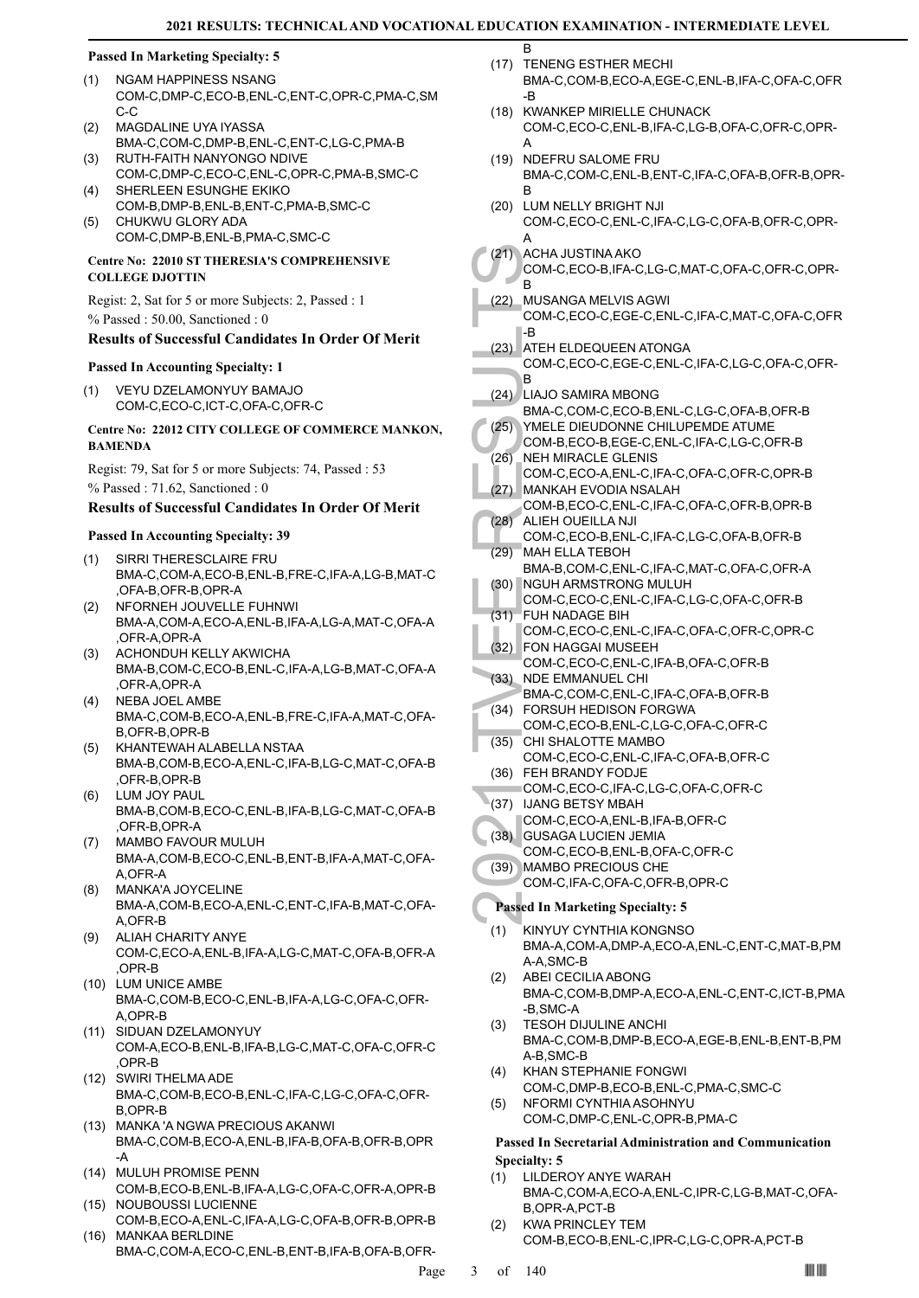B

#### **Passed In Marketing Specialty: 5**

- NGAM HAPPINESS NSANG COM-C,DMP-C,ECO-B,ENL-C,ENT-C,OPR-C,PMA-C,SM C-C (1)
- MAGDALINE UYA IYASSA BMA-C,COM-C,DMP-B,ENL-C,ENT-C,LG-C,PMA-B (2)
- RUTH-FAITH NANYONGO NDIVE COM-C,DMP-C,ECO-C,ENL-C,OPR-C,PMA-B,SMC-C (3)
- SHERLEEN ESUNGHE EKIKO COM-B,DMP-B,ENL-B,ENT-C,PMA-B,SMC-C  $(4)$
- CHUKWU GLORY ADA COM-C,DMP-B,ENL-B,PMA-C,SMC-C (5)

#### **Centre No: 22010 ST THERESIA'S COMPREHENSIVE COLLEGE DJOTTIN**

Regist: 2, Sat for 5 or more Subjects: 2, Passed : 1 % Passed : 50.00, Sanctioned : 0

# **Results of Successful Candidates In Order Of Merit**

#### **Passed In Accounting Specialty: 1**

VEYU DZELAMONYUY BAMAJO COM-C,ECO-C,ICT-C,OFA-C,OFR-C (1)

#### **Centre No: 22012 CITY COLLEGE OF COMMERCE MANKON, BAMENDA**

Regist: 79, Sat for 5 or more Subjects: 74, Passed : 53 % Passed : 71.62, Sanctioned : 0

# **Results of Successful Candidates In Order Of Merit**

# **Passed In Accounting Specialty: 39**

- SIRRI THERESCLAIRE FRU BMA-C,COM-A,ECO-B,ENL-B,FRE-C,IFA-A,LG-B,MAT-C ,OFA-B,OFR-B,OPR-A (1)
- NFORNEH JOUVELLE FUHNWI BMA-A,COM-A,ECO-A,ENL-B,IFA-A,LG-A,MAT-C,OFA-A ,OFR-A,OPR-A (2)
- ACHONDUH KELLY AKWICHA BMA-B,COM-C,ECO-B,ENL-C,IFA-A,LG-B,MAT-C,OFA-A ,OFR-A,OPR-A (3)
- NEBA JOEL AMBE BMA-C,COM-B,ECO-A,ENL-B,FRE-C,IFA-A,MAT-C,OFA-B,OFR-B,OPR-B (4)
- KHANTEWAH ALABELLA NSTAA BMA-B,COM-B,ECO-A,ENL-C,IFA-B,LG-C,MAT-C,OFA-B ,OFR-B,OPR-B (5)
- LUM JOY PAUL BMA-B,COM-B,ECO-C,ENL-B,IFA-B,LG-C,MAT-C,OFA-B ,OFR-B,OPR-A (6)
- MAMBO FAVOUR MULUH BMA-A,COM-B,ECO-C,ENL-B,ENT-B,IFA-A,MAT-C,OFA-A,OFR-A (7)
- MANKA'A JOYCELINE BMA-A,COM-B,ECO-A,ENL-C,ENT-C,IFA-B,MAT-C,OFA-A,OFR-B (8)
- ALIAH CHARITY ANYE COM-C,ECO-A,ENL-B,IFA-A,LG-C,MAT-C,OFA-B,OFR-A ,OPR-B (9)
- (10) LUM UNICE AMBE BMA-C,COM-B,ECO-C,ENL-B,IFA-A,LG-C,OFA-C,OFR-A,OPR-B
- SIDUAN DZELAMONYUY (11) COM-A,ECO-B,ENL-B,IFA-B,LG-C,MAT-C,OFA-C,OFR-C ,OPR-B
- SWIRI THELMA ADE (12) BMA-C,COM-B,ECO-B,ENL-C,IFA-C,LG-C,OFA-C,OFR-B,OPR-B
- MANKA 'A NGWA PRECIOUS AKANWI (13) BMA-C,COM-B,ECO-A,ENL-B,IFA-B,OFA-B,OFR-B,OPR -A
- MULUH PROMISE PENN (14) COM-B,ECO-B,ENL-B,IFA-A,LG-C,OFA-C,OFR-A,OPR-B (15) NOUBOUSSI LUCIENNE
- COM-B,ECO-A,ENL-C,IFA-A,LG-C,OFA-B,OFR-B,OPR-B MANKAA BERLDINE (16)
- BMA-C,COM-A,ECO-C,ENL-B,ENT-B,IFA-B,OFA-B,OFR-
- (17) TENENG ESTHER MECHI BMA-C,COM-B,ECO-A,EGE-C,ENL-B,IFA-C,OFA-C,OFR -B
- (18) KWANKEP MIRIELLE CHUNACK COM-C,ECO-C,ENL-B,IFA-C,LG-B,OFA-C,OFR-C,OPR-A
- (19) NDEFRU SALOME FRU BMA-C,COM-C,ENL-B,ENT-C,IFA-C,OFA-B,OFR-B,OPR-B
- LUM NELLY BRIGHT NJI (20) COM-C,ECO-C,ENL-C,IFA-C,LG-C,OFA-B,OFR-C,OPR-A
- ACHA JUSTINA AKO (21)
	- COM-C,ECO-B,IFA-C,LG-C,MAT-C,OFA-C,OFR-C,OPR-B
- MUSANGA MELVIS AGWI COM-C,ECO-C,EGE-C,ENL-C,IFA-C,MAT-C,OFA-C,OFR -B (22)
- (21) ACHA J COM-C, B (22) MUSAN COM-C, B (22) MUSAN COM-C, B (23) ATEH E COM-C, B EMA-C, (25) YMELE COM-C, (25) NEH MI COM-C, (26) NEH MI COM-C, (27) MANKA COM-B, (26) ALLEH (COM-C, (29) MAH EL COM-C, (29) MAH EL (30) NGUH ATEH ELDEQUEEN ATONGA COM-C,ECO-C,EGE-C,ENL-C,IFA-C,LG-C,OFA-C,OFR-B (23)
- LIAJO SAMIRA MBONG (24)
	- BMA-C,COM-C,ECO-B,ENL-C,LG-C,OFA-B,OFR-B
- YMELE DIEUDONNE CHILUPEMDE ATUME COM-B,ECO-B,EGE-C,ENL-C,IFA-C,LG-C,OFR-B (25)
- NEH MIRACLE GLENIS COM-C,ECO-A,ENL-C,IFA-C,OFA-C,OFR-C,OPR-B (26) MANKAH EVODIA NSALAH (27)
- COM-B,ECO-C,ENL-C,IFA-C,OFA-C,OFR-B,OPR-B ALIEH OUEILLA NJI (28)
- COM-C,ECO-B,ENL-C,IFA-C,LG-C,OFA-B,OFR-B MAH ELLA TEBOH (29)
- BMA-B,COM-C,ENL-C,IFA-C,MAT-C,OFA-C,OFR-A NGUH ARMSTRONG MULUH (30)
- COM-C,ECO-C,ENL-C,IFA-C,LG-C,OFA-C,OFR-B FUH NADAGE BIH (31)
- COM-C,ECO-C,ENL-C,IFA-C,OFA-C,OFR-C,OPR-C FON HAGGAI MUSEEH (32)
- COM-C,ECO-C,ENL-C,IFA-B,OFA-C,OFR-B (33) NDE EMMANUEL CHI
- BMA-C,COM-C,ENL-C,IFA-C,OFA-B,OFR-B FORSUH HEDISON FORGWA (34)
- COM-C,ECO-B,ENL-C,LG-C,OFA-C,OFR-C (35) CHI SHALOTTE MAMBO
	- COM-C,ECO-C,ENL-C,IFA-C,OFA-B,OFR-C
- FEH BRANDY FODJE (36) COM-C,ECO-C,IFA-C,LG-C,OFA-C,OFR-C
- (37) IJANG BETSY MBAH
- COM-C,ECO-A,ENL-B,IFA-B,OFR-C
- GUSAGA LUCIEN JEMIA (38)
- COM-C,ECO-B,ENL-B,OFA-C,OFR-C
- MAMBO PRECIOUS CHE (39) COM-C,IFA-C,OFA-C,OFR-B,OPR-C

# **Passed In Marketing Specialty: 5**

- KINYUY CYNTHIA KONGNSO BMA-A,COM-A,DMP-A,ECO-A,ENL-C,ENT-C,MAT-B,PM A-A,SMC-B (1)
- ABEI CECILIA ABONG BMA-C,COM-B,DMP-A,ECO-A,ENL-C,ENT-C,ICT-B,PMA -B,SMC-A (2)
- TESOH DIJULINE ANCHI BMA-C,COM-B,DMP-B,ECO-A,EGE-B,ENL-B,ENT-B,PM A-B,SMC-B (3)
- KHAN STEPHANIE FONGWI COM-C,DMP-B,ECO-B,ENL-C,PMA-C,SMC-C (4)
- NFORMI CYNTHIA ASOHNYU COM-C,DMP-C,ENL-C,OPR-B,PMA-C (5)

# **Passed In Secretarial Administration and Communication Specialty: 5**

- LILDEROY ANYE WARAH BMA-C,COM-A,ECO-A,ENL-C,IPR-C,LG-B,MAT-C,OFA-B,OPR-A,PCT-B (1)
- KWA PRINCLEY TEM COM-B,ECO-B,ENL-C,IPR-C,LG-C,OPR-A,PCT-B (2)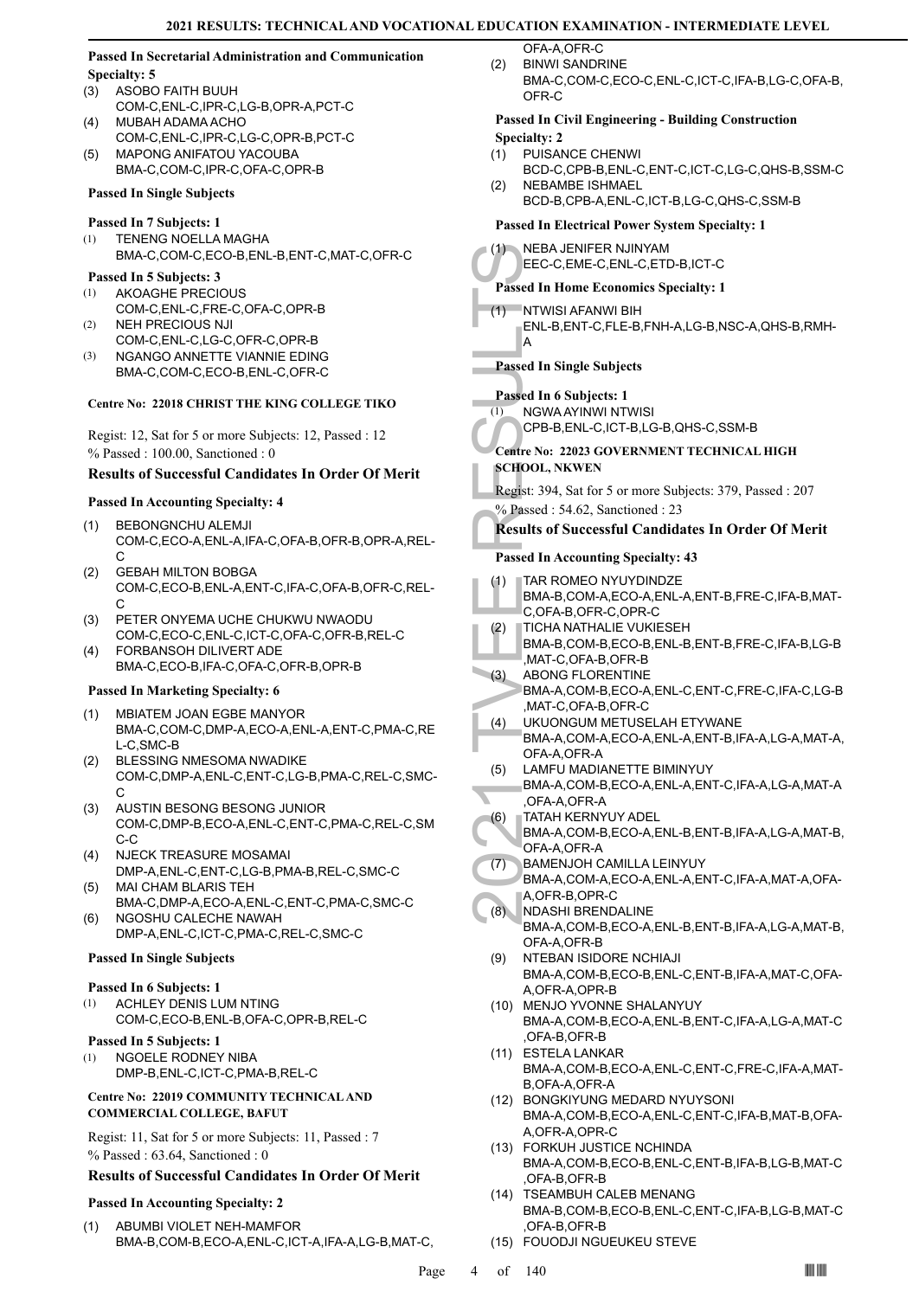#### **Passed In Secretarial Administration and Communication Specialty: 5**

- ASOBO FAITH BUUH COM-C,ENL-C,IPR-C,LG-B,OPR-A,PCT-C (3)
- MUBAH ADAMA ACHO COM-C,ENL-C,IPR-C,LG-C,OPR-B,PCT-C (4)
- MAPONG ANIFATOU YACOUBA BMA-C,COM-C,IPR-C,OFA-C,OPR-B (5)

### **Passed In Single Subjects**

### **Passed In 7 Subjects: 1**

TENENG NOELLA MAGHA BMA-C,COM-C,ECO-B,ENL-B,ENT-C,MAT-C,OFR-C (1)

# **Passed In 5 Subjects: 3**

- AKOAGHE PRECIOUS COM-C,ENL-C,FRE-C,OFA-C,OPR-B (1)
- NEH PRECIOUS NJI COM-C,ENL-C,LG-C,OFR-C,OPR-B (2)
- NGANGO ANNETTE VIANNIE EDING BMA-C,COM-C,ECO-B,ENL-C,OFR-C (3)

# **Centre No: 22018 CHRIST THE KING COLLEGE TIKO**

Regist: 12, Sat for 5 or more Subjects: 12, Passed : 12 % Passed : 100.00, Sanctioned : 0

# **Results of Successful Candidates In Order Of Merit**

# **Passed In Accounting Specialty: 4**

- BEBONGNCHU ALEMJI COM-C,ECO-A,ENL-A,IFA-C,OFA-B,OFR-B,OPR-A,REL-C (1)
- GEBAH MILTON BOBGA COM-C,ECO-B,ENL-A,ENT-C,IFA-C,OFA-B,OFR-C,REL-C (2)
- PETER ONYEMA UCHE CHUKWU NWAODU COM-C,ECO-C,ENL-C,ICT-C,OFA-C,OFR-B,REL-C (3)
- FORBANSOH DILIVERT ADE BMA-C,ECO-B,IFA-C,OFA-C,OFR-B,OPR-B (4)

# **Passed In Marketing Specialty: 6**

- MBIATEM JOAN EGBE MANYOR (1) BMA-C,COM-C,DMP-A,ECO-A,ENL-A,ENT-C,PMA-C,RE L-C,SMC-B
- BLESSING NMESOMA NWADIKE COM-C,DMP-A,ENL-C,ENT-C,LG-B,PMA-C,REL-C,SMC-C (2)
- AUSTIN BESONG BESONG JUNIOR COM-C,DMP-B,ECO-A,ENL-C,ENT-C,PMA-C,REL-C,SM C-C (3)
- (4) NJECK TREASURE MOSAMAI DMP-A,ENL-C,ENT-C,LG-B,PMA-B,REL-C,SMC-C
- MAI CHAM BLARIS TEH BMA-C,DMP-A,ECO-A,ENL-C,ENT-C,PMA-C,SMC-C (5) NGOSHU CALECHE NAWAH (6)
- DMP-A,ENL-C,ICT-C,PMA-C,REL-C,SMC-C

# **Passed In Single Subjects**

#### **Passed In 6 Subjects: 1**

ACHLEY DENIS LUM NTING COM-C,ECO-B,ENL-B,OFA-C,OPR-B,REL-C (1)

# **Passed In 5 Subjects: 1**

NGOELE RODNEY NIBA DMP-B,ENL-C,ICT-C,PMA-B,REL-C (1)

# **Centre No: 22019 COMMUNITY TECHNICAL AND COMMERCIAL COLLEGE, BAFUT**

Regist: 11, Sat for 5 or more Subjects: 11, Passed : 7 % Passed : 63.64, Sanctioned : 0

# **Results of Successful Candidates In Order Of Merit**

# **Passed In Accounting Specialty: 2**

ABUMBI VIOLET NEH-MAMFOR BMA-B,COM-B,ECO-A,ENL-C,ICT-A,IFA-A,LG-B,MAT-C, (1)

- OFA-A OFR-C BINWI SANDRINE (2)
	- BMA-C,COM-C,ECO-C,ENL-C,ICT-C,IFA-B,LG-C,OFA-B, OFR-C

### **Passed In Civil Engineering - Building Construction Specialty: 2**

- PUISANCE CHENWI (1)
- BCD-C,CPB-B,ENL-C,ENT-C,ICT-C,LG-C,QHS-B,SSM-C NEBAMBE ISHMAEL
- (1) NEBA J<br>
EEC-C, Passed In H(<br>
ENL-B, E<br>
ENL-B, E<br>
A<br>
Passed In 6 S<br>
(1) NGWA CPB-B, E<br>
A<br>
Passed In 6 S<br>
Centre No: 22<br>
SCHOOL, NE<br>
Regist: 394, S<br>
% Passed : 5<br>
SCHOOL, NE<br>
Regist: 394, S<br>
% Passed In Ac<br>
C, OFA-E, S<br> BCD-B,CPB-A,ENL-C,ICT-B,LG-C,QHS-C,SSM-B (2) **Passed In Electrical Power System Specialty: 1** NEBA JENIFER NJINYAM EEC-C,EME-C,ENL-C,ETD-B,ICT-C  $(1)$ **Passed In Home Economics Specialty: 1** NTWISI AFANWI BIH ENL-B,ENT-C,FLE-B,FNH-A,LG-B,NSC-A,QHS-B,RMH-A (1) **Passed In Single Subjects Passed In 6 Subjects: 1** NGWA AYINWI NTWISI CPB-B,ENL-C,ICT-B,LG-B,QHS-C,SSM-B (1) **Centre No: 22023 GOVERNMENT TECHNICAL HIGH SCHOOL, NKWEN**  Regist: 394, Sat for 5 or more Subjects: 379, Passed : 207 % Passed : 54.62, Sanctioned : 23 **Results of Successful Candidates In Order Of Merit Passed In Accounting Specialty: 43** TAR ROMEO NYUYDINDZE BMA-B,COM-A,ECO-A,ENL-A,ENT-B,FRE-C,IFA-B,MAT-C,OFA-B,OFR-C,OPR-C (1) TICHA NATHALIE VUKIESEH BMA-B,COM-B,ECO-B,ENL-B,ENT-B,FRE-C,IFA-B,LG-B ,MAT-C,OFA-B,OFR-B (2) ABONG FLORENTINE BMA-A,COM-B,ECO-A,ENL-C,ENT-C,FRE-C,IFA-C,LG-B ,MAT-C,OFA-B,OFR-C (3) UKUONGUM METUSELAH ETYWANE BMA-A,COM-A,ECO-A,ENL-A,ENT-B,IFA-A,LG-A,MAT-A, OFA-A,OFR-A (4) LAMFU MADIANETTE BIMINYUY BMA-A,COM-B,ECO-A,ENL-A,ENT-C,IFA-A,LG-A,MAT-A ,OFA-A,OFR-A (5) TATAH KERNYUY ADEL BMA-A,COM-B,ECO-A,ENL-B,ENT-B,IFA-A,LG-A,MAT-B, OFA-A,OFR-A (6) BAMENJOH CAMILLA LEINYUY BMA-A,COM-A,ECO-A,ENL-A,ENT-C,IFA-A,MAT-A,OFA-A,OFR-B,OPR-C  $(7)$ NDASHI BRENDALINE BMA-A,COM-B,ECO-A,ENL-B,ENT-B,IFA-A,LG-A,MAT-B, OFA-A,OFR-B (8) (9) NTEBAN ISIDORE NCHIAJI BMA-A,COM-B,ECO-B,ENL-C,ENT-B,IFA-A,MAT-C,OFA-A,OFR-A,OPR-B (10) MENJO YVONNE SHALANYUY BMA-A,COM-B,ECO-A,ENL-B,ENT-C,IFA-A,LG-A,MAT-C ,OFA-B,OFR-B ESTELA LANKAR (11) BMA-A,COM-B,ECO-A,ENL-C,ENT-C,FRE-C,IFA-A,MAT-B,OFA-A,OFR-A BONGKIYUNG MEDARD NYUYSONI (12) BMA-A,COM-B,ECO-A,ENL-C,ENT-C,IFA-B,MAT-B,OFA-A,OFR-A,OPR-C FORKUH JUSTICE NCHINDA (13) BMA-A,COM-B,ECO-B,ENL-C,ENT-B,IFA-B,LG-B,MAT-C ,OFA-B,OFR-B (14) TSEAMBUH CALEB MENANG BMA-B,COM-B,ECO-B,ENL-C,ENT-C,IFA-B,LG-B,MAT-C ,OFA-B,OFR-B
	- (15) FOUODJI NGUEUKEU STEVE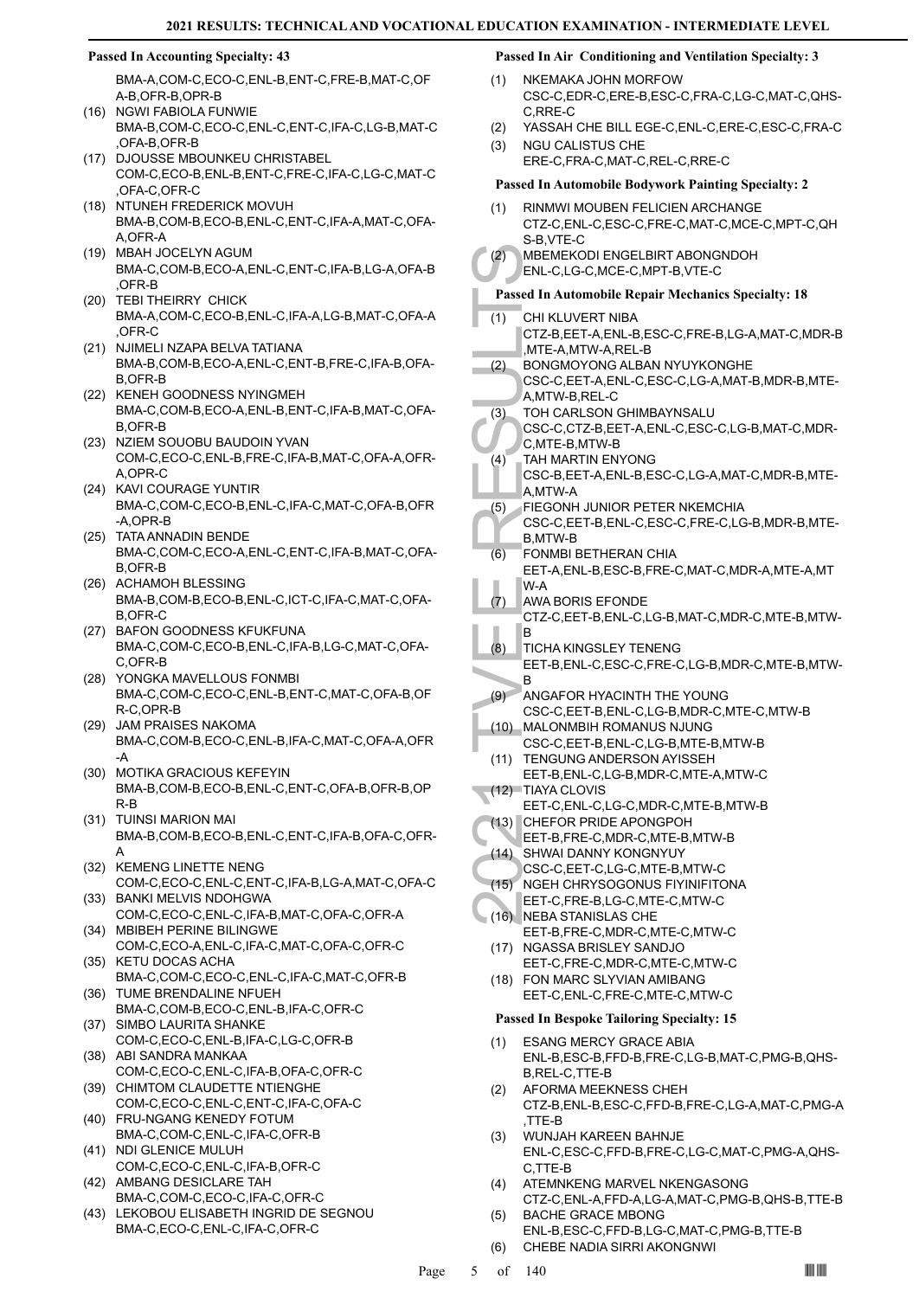#### **Passed In Accounting Specialty: 43**

BMA-A,COM-C,ECO-C,ENL-B,ENT-C,FRE-B,MAT-C,OF A-B,OFR-B,OPR-B

- (16) NGWI FABIOLA FUNWIE BMA-B,COM-C,ECO-C,ENL-C,ENT-C,IFA-C,LG-B,MAT-C ,OFA-B,OFR-B
- (17) DJOUSSE MBOUNKEU CHRISTABEL COM-C,ECO-B,ENL-B,ENT-C,FRE-C,IFA-C,LG-C,MAT-C ,OFA-C,OFR-C
- (18) NTUNEH FREDERICK MOVUH BMA-B,COM-B,ECO-B,ENL-C,ENT-C,IFA-A,MAT-C,OFA-A,OFR-A
- MBAH JOCELYN AGUM (19) BMA-C,COM-B,ECO-A,ENL-C,ENT-C,IFA-B,LG-A,OFA-B ,OFR-B
- (20) TEBI THEIRRY CHICK BMA-A,COM-C,ECO-B,ENL-C,IFA-A,LG-B,MAT-C,OFA-A ,OFR-C
- (21) NJIMELI NZAPA BELVA TATIANA BMA-B,COM-B,ECO-A,ENL-C,ENT-B,FRE-C,IFA-B,OFA-B,OFR-B
- (22) KENEH GOODNESS NYINGMEH BMA-C,COM-B,ECO-A,ENL-B,ENT-C,IFA-B,MAT-C,OFA-B,OFR-B
- (23) NZIEM SOUOBU BAUDOIN YVAN COM-C,ECO-C,ENL-B,FRE-C,IFA-B,MAT-C,OFA-A,OFR-A,OPR-C
- (24) KAVI COURAGE YUNTIR BMA-C,COM-C,ECO-B,ENL-C,IFA-C,MAT-C,OFA-B,OFR -A,OPR-B
- TATA ANNADIN BENDE BMA-C,COM-C,ECO-A,ENL-C,ENT-C,IFA-B,MAT-C,OFA-B,OFR-B (25)
- (26) ACHAMOH BLESSING BMA-B,COM-B,ECO-B,ENL-C,ICT-C,IFA-C,MAT-C,OFA-B,OFR-C
- (27) BAFON GOODNESS KFUKFUNA BMA-C,COM-C,ECO-B,ENL-C,IFA-B,LG-C,MAT-C,OFA-C,OFR-B
- YONGKA MAVELLOUS FONMBI (28) BMA-C,COM-C,ECO-C,ENL-B,ENT-C,MAT-C,OFA-B,OF R-C,OPR-B
- (29) JAM PRAISES NAKOMA BMA-C,COM-B,ECO-C,ENL-B,IFA-C,MAT-C,OFA-A,OFR -A
- MOTIKA GRACIOUS KEFEYIN (30) BMA-B,COM-B,ECO-B,ENL-C,ENT-C,OFA-B,OFR-B,OP R-B
- (31) TUINSI MARION MAI BMA-B,COM-B,ECO-B,ENL-C,ENT-C,IFA-B,OFA-C,OFR-A
- (32) KEMENG LINETTE NENG COM-C,ECO-C,ENL-C,ENT-C,IFA-B,LG-A,MAT-C,OFA-C
- (33) BANKI MELVIS NDOHGWA COM-C,ECO-C,ENL-C,IFA-B,MAT-C,OFA-C,OFR-A MBIBEH PERINE BILINGWE (34)
- COM-C,ECO-A,ENL-C,IFA-C,MAT-C,OFA-C,OFR-C (35) KETU DOCAS ACHA
- BMA-C,COM-C,ECO-C,ENL-C,IFA-C,MAT-C,OFR-B (36) TUME BRENDALINE NFUEH
- BMA-C,COM-B,ECO-C,ENL-B,IFA-C,OFR-C (37) SIMBO LAURITA SHANKE
- COM-C,ECO-C,ENL-B,IFA-C,LG-C,OFR-B
- (38) ABI SANDRA MANKAA COM-C,ECO-C,ENL-C,IFA-B,OFA-C,OFR-C
- (39) CHIMTOM CLAUDETTE NTIENGHE COM-C,ECO-C,ENL-C,ENT-C,IFA-C,OFA-C
- (40) FRU-NGANG KENEDY FOTUM BMA-C,COM-C,ENL-C,IFA-C,OFR-B (41) NDI GLENICE MULUH
- COM-C,ECO-C,ENL-C,IFA-B,OFR-C (42) AMBANG DESICLARE TAH
- BMA-C,COM-C,ECO-C,IFA-C,OFR-C
- LEKOBOU ELISABETH INGRID DE SEGNOU (43) BMA-C,ECO-C,ENL-C,IFA-C,OFR-C

# **Passed In Air Conditioning and Ventilation Specialty: 3**

- NKEMAKA JOHN MORFOW CSC-C,EDR-C,ERE-B,ESC-C,FRA-C,LG-C,MAT-C,QHS-C,RRE-C (1)
- (2) YASSAH CHE BILL EGE-C,ENL-C,ERE-C,ESC-C,FRA-C
- NGU CALISTUS CHE ERE-C,FRA-C,MAT-C,REL-C,RRE-C (3)
- (2) MBEME<br>
ENL-C, I<br>
Passed In At CHI KLU<br>
CTZ-B, F<br>
(1) CHI KLU<br>
CTZ-B, MTE-A, BONGN<br>
CSC-C, A,MTW-<br>
CSC-C, C, MTE-A, TAH MA<br>
CSC-C, C, MTE-A, TAH MA<br>
CSC-C, B,MTW-<br>
CSC-C, B,MTW-<br>
FIEGON<br>
CSC-C, B,MTW-<br>
ENTA AWA BC<br>
CTZ-**Passed In Automobile Bodywork Painting Specialty: 2** RINMWI MOUBEN FELICIEN ARCHANGE CTZ-C,ENL-C,ESC-C,FRE-C,MAT-C,MCE-C,MPT-C,QH S-B,VTE-C (1) MBEMEKODI ENGELBIRT ABONGNDOH ENL-C,LG-C,MCE-C,MPT-B,VTE-C (2) **Passed In Automobile Repair Mechanics Specialty: 18** CHI KLUVERT NIBA CTZ-B,EET-A,ENL-B,ESC-C,FRE-B,LG-A,MAT-C,MDR-B ,MTE-A,MTW-A,REL-B (1) BONGMOYONG ALBAN NYUYKONGHE CSC-C,EET-A,ENL-C,ESC-C,LG-A,MAT-B,MDR-B,MTE-A,MTW-B,REL-C (2) TOH CARLSON GHIMBAYNSALU CSC-C,CTZ-B,EET-A,ENL-C,ESC-C,LG-B,MAT-C,MDR-C,MTE-B,MTW-B (3) TAH MARTIN ENYONG CSC-B,EET-A,ENL-B,ESC-C,LG-A,MAT-C,MDR-B,MTE-A,MTW-A  $(4)$ FIEGONH JUNIOR PETER NKEMCHIA CSC-C,EET-B,ENL-C,ESC-C,FRE-C,LG-B,MDR-B,MTE-B,MTW-B (5) FONMBI BETHERAN CHIA EET-A,ENL-B,ESC-B,FRE-C,MAT-C,MDR-A,MTE-A,MT W-A (6) AWA BORIS EFONDE CTZ-C,EET-B,ENL-C,LG-B,MAT-C,MDR-C,MTE-B,MTW-B (7) TICHA KINGSLEY TENENG EET-B,ENL-C,ESC-C,FRE-C,LG-B,MDR-C,MTE-B,MTW-B (8) ANGAFOR HYACINTH THE YOUNG CSC-C,EET-B,ENL-C,LG-B,MDR-C,MTE-C,MTW-B  $(9)$ MALONMBIH ROMANUS NJUNG CSC-C,EET-B,ENL-C,LG-B,MTE-B,MTW-B  $(10)$ (11) TENGUNG ANDERSON AYISSEH EET-B,ENL-C,LG-B,MDR-C,MTE-A,MTW-C (12) TIAYA CLOVIS EET-C,ENL-C,LG-C,MDR-C,MTE-B,MTW-B (13) CHEFOR PRIDE APONGPOH EET-B,FRE-C,MDR-C,MTE-B,MTW-B SHWAI DANNY KONGNYUY (14) CSC-C,EET-C,LG-C,MTE-B,MTW-C NGEH CHRYSOGONUS FIYINIFITONA EET-C,FRE-B,LG-C,MTE-C,MTW-C (15) NEBA STANISLAS CHE EET-B,FRE-C,MDR-C,MTE-C,MTW-C (16) (17) NGASSA BRISLEY SANDJO EET-C,FRE-C,MDR-C,MTE-C,MTW-C FON MARC SLYVIAN AMIBANG (18) EET-C,ENL-C,FRE-C,MTE-C,MTW-C **Passed In Bespoke Tailoring Specialty: 15** ESANG MERCY GRACE ABIA ENL-B,ESC-B,FFD-B,FRE-C,LG-B,MAT-C,PMG-B,QHS-B,REL-C,TTE-B (1) AFORMA MEEKNESS CHEH CTZ-B,ENL-B,ESC-C,FFD-B,FRE-C,LG-A,MAT-C,PMG-A ,TTE-B (2) WUNJAH KAREEN BAHNJE ENL-C,ESC-C,FFD-B,FRE-C,LG-C,MAT-C,PMG-A,QHS-C,TTE-B (3) ATEMNKENG MARVEL NKENGASONG CTZ-C,ENL-A,FFD-A,LG-A,MAT-C,PMG-B,QHS-B,TTE-B (4) BACHE GRACE MBONG (5)
	- ENL-B,ESC-C,FFD-B,LG-C,MAT-C,PMG-B,TTE-B (6) CHEBE NADIA SIRRI AKONGNWI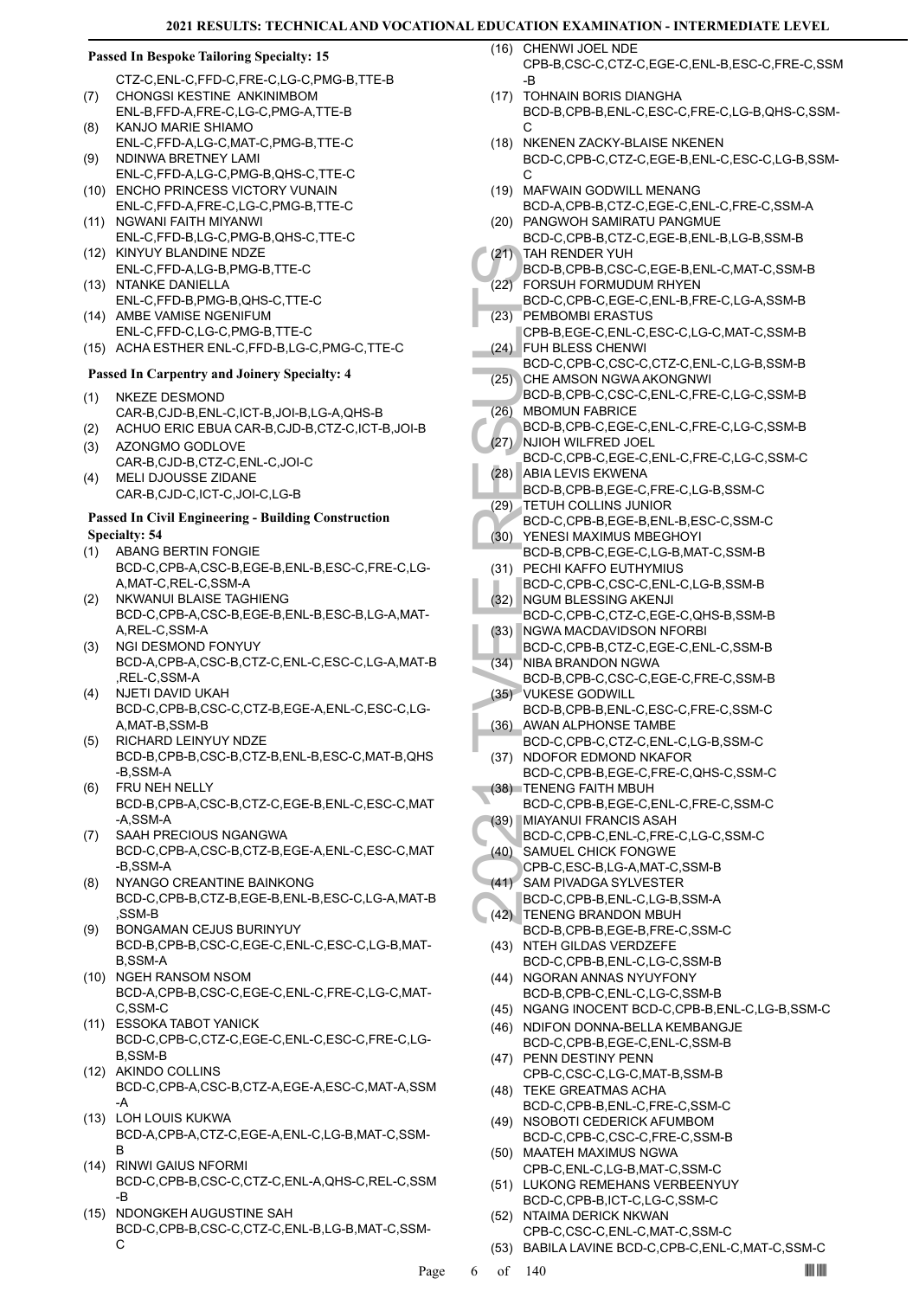#### **Passed In Bespoke Tailoring Specialty: 15**

- CTZ-C,ENL-C,FFD-C,FRE-C,LG-C,PMG-B,TTE-B CHONGSI KESTINE ANKINIMBOM (7)
- ENL-B,FFD-A,FRE-C,LG-C,PMG-A,TTE-B KANJO MARIE SHIAMO (8)
- ENL-C,FFD-A,LG-C,MAT-C,PMG-B,TTE-C NDINWA BRETNEY LAMI (9)
- ENL-C,FFD-A,LG-C,PMG-B,QHS-C,TTE-C (10) ENCHO PRINCESS VICTORY VUNAIN
- ENL-C,FFD-A,FRE-C,LG-C,PMG-B,TTE-C (11) NGWANI FAITH MIYANWI
- ENL-C,FFD-B,LG-C,PMG-B,QHS-C,TTE-C (12) KINYUY BLANDINE NDZE
- ENL-C,FFD-A,LG-B,PMG-B,TTE-C (13) NTANKE DANIELLA
- ENL-C,FFD-B,PMG-B,QHS-C,TTE-C (14) AMBE VAMISE NGENIFUM
- ENL-C,FFD-C,LG-C,PMG-B,TTE-C (15) ACHA ESTHER ENL-C,FFD-B,LG-C,PMG-C,TTE-C

# **Passed In Carpentry and Joinery Specialty: 4**

- NKEZE DESMOND CAR-B,CJD-B,ENL-C,ICT-B,JOI-B,LG-A,QHS-B (1)
- (2) ACHUO ERIC EBUA CAR-B,CJD-B,CTZ-C,ICT-B,JOI-B AZONGMO GODLOVE
- CAR-B,CJD-B,CTZ-C,ENL-C,JOI-C (3) MELI DJOUSSE ZIDANE (4)
- CAR-B,CJD-C,ICT-C,JOI-C,LG-B

#### **Passed In Civil Engineering - Building Construction Specialty: 54**

- ABANG BERTIN FONGIE BCD-C,CPB-A,CSC-B,EGE-B,ENL-B,ESC-C,FRE-C,LG-A,MAT-C,REL-C,SSM-A (1)
- NKWANUI BLAISE TAGHIENG BCD-C,CPB-A,CSC-B,EGE-B,ENL-B,ESC-B,LG-A,MAT-A,REL-C,SSM-A (2)
- NGI DESMOND FONYUY BCD-A,CPB-A,CSC-B,CTZ-C,ENL-C,ESC-C,LG-A,MAT-B ,REL-C,SSM-A (3)
- NJETI DAVID UKAH BCD-C,CPB-B,CSC-C,CTZ-B,EGE-A,ENL-C,ESC-C,LG-A,MAT-B,SSM-B (4)
- RICHARD LEINYUY NDZE BCD-B,CPB-B,CSC-B,CTZ-B,ENL-B,ESC-C,MAT-B,QHS -B,SSM-A (5)
- FRU NEH NELLY BCD-B,CPB-A,CSC-B,CTZ-C,EGE-B,ENL-C,ESC-C,MAT -A,SSM-A (6)
- SAAH PRECIOUS NGANGWA (7) BCD-C,CPB-A,CSC-B,CTZ-B,EGE-A,ENL-C,ESC-C,MAT -B,SSM-A
- NYANGO CREANTINE BAINKONG BCD-C,CPB-B,CTZ-B,EGE-B,ENL-B,ESC-C,LG-A,MAT-B ,SSM-B (8)
- BONGAMAN CEJUS BURINYUY BCD-B,CPB-B,CSC-C,EGE-C,ENL-C,ESC-C,LG-B,MAT-B,SSM-A (9)
- (10) NGEH RANSOM NSOM BCD-A,CPB-B,CSC-C,EGE-C,ENL-C,FRE-C,LG-C,MAT-C,SSM-C
- ESSOKA TABOT YANICK (11) BCD-C,CPB-C,CTZ-C,EGE-C,ENL-C,ESC-C,FRE-C,LG-B,SSM-B
- (12) AKINDO COLLINS BCD-C,CPB-A,CSC-B,CTZ-A,EGE-A,ESC-C,MAT-A,SSM -A
- (13) LOH LOUIS KUKWA BCD-A,CPB-A,CTZ-C,EGE-A,ENL-C,LG-B,MAT-C,SSM-B
- RINWI GAIUS NFORMI (14) BCD-C,CPB-B,CSC-C,CTZ-C,ENL-A,QHS-C,REL-C,SSM -B
- (15) NDONGKEH AUGUSTINE SAH BCD-C,CPB-B,CSC-C,CTZ-C,ENL-B,LG-B,MAT-C,SSM-C

(16) CHENWI JOEL NDE CPB-B,CSC-C,CTZ-C,EGE-C,ENL-B,ESC-C,FRE-C,SSM -B

- (17) TOHNAIN BORIS DIANGHA BCD-B,CPB-B,ENL-C,ESC-C,FRE-C,LG-B,QHS-C,SSM- $\cap$
- (18) NKENEN ZACKY-BLAISE NKENEN BCD-C,CPB-C,CTZ-C,EGE-B,ENL-C,ESC-C,LG-B,SSM- $\mathcal{C}$
- (19) MAFWAIN GODWILL MENANG BCD-A,CPB-B,CTZ-C,EGE-C,ENL-C,FRE-C,SSM-A (20) PANGWOH SAMIRATU PANGMUE
- BCD-C,CPB-B,CTZ-C,EGE-B,ENL-B,LG-B,SSM-B TAH RENDER YUH (21)
- BCD-B,CPB-B,CSC-C,EGE-B,ENL-C,MAT-C,SSM-B FORSUH FORMUDUM RHYEN (22)
- (21) TAH RE<br>
BCD-B, (22) FORSU<br>
BCD-C, PEMBO<br>
CPB-B, FUH BL<br>
BCD-C, CHE AM BCD-B, (26) MBOMU<br>
(26) MBOMU<br>
BCD-B, ABIA LE<br>
BCD-B, NJIOH N<br>
BCD-B, ABIA LE<br>
BCD-B, TETUH<br>
BCD-C, YENESI<br>
BCD-C, NGU-H BCD-C, NGU-B, COD-B, NGU-C BCD-C,CPB-C,EGE-C,ENL-B,FRE-C,LG-A,SSM-B PEMBOMBI ERASTUS (23)
- CPB-B,EGE-C,ENL-C,ESC-C,LG-C,MAT-C,SSM-B FUH BLESS CHENWI (24)
- BCD-C,CPB-C,CSC-C,CTZ-C,ENL-C,LG-B,SSM-B CHE AMSON NGWA AKONGNWI (25)
- BCD-B,CPB-C,CSC-C,ENL-C,FRE-C,LG-C,SSM-B (26) MBOMUN FABRICE
- BCD-B,CPB-C,EGE-C,ENL-C,FRE-C,LG-C,SSM-B (27) NJIOH WILFRED JOEL
- BCD-C,CPB-C,EGE-C,ENL-C,FRE-C,LG-C,SSM-C (28) ABIA LEVIS EKWENA
	- BCD-B,CPB-B,EGE-C,FRE-C,LG-B,SSM-C
- (29) TETUH COLLINS JUNIOR
- BCD-C,CPB-B,EGE-B,ENL-B,ESC-C,SSM-C
- YENESI MAXIMUS MBEGHOYI BCD-B,CPB-C,EGE-C,LG-B,MAT-C,SSM-B (30)
- (31) PECHI KAFFO EUTHYMIUS BCD-C,CPB-C,CSC-C,ENL-C,LG-B,SSM-B
- (32) NGUM BLESSING AKENJI BCD-C,CPB-C,CTZ-C,EGE-C,QHS-B,SSM-B
- NGWA MACDAVIDSON NFORBI (33)
- BCD-C,CPB-B,CTZ-C,EGE-C,ENL-C,SSM-B (34) NIBA BRANDON NGWA
- BCD-B,CPB-C,CSC-C,EGE-C,FRE-C,SSM-B VUKESE GODWILL (35)
- BCD-B,CPB-B,ENL-C,ESC-C,FRE-C,SSM-C AWAN ALPHONSE TAMBE (36)
- BCD-C,CPB-C,CTZ-C,ENL-C,LG-B,SSM-C (37) NDOFOR EDMOND NKAFOR
- BCD-C,CPB-B,EGE-C,FRE-C,QHS-C,SSM-C (38) TENENG FAITH MBUH
- BCD-C,CPB-B,EGE-C,ENL-C,FRE-C,SSM-C MIAYANUI FRANCIS ASAH (39)
- BCD-C,CPB-C,ENL-C,FRE-C,LG-C,SSM-C
- SAMUEL CHICK FONGWE CPB-C,ESC-B,LG-A,MAT-C,SSM-B  $(40)$
- SAM PIVADGA SYLVESTER BCD-C,CPB-B,ENL-C,LG-B,SSM-A (41)
- (42) TENENG BRANDON MBUH
- BCD-B,CPB-B,EGE-B,FRE-C,SSM-C (43) NTEH GILDAS VERDZEFE
- BCD-C,CPB-B,ENL-C,LG-C,SSM-B (44) NGORAN ANNAS NYUYFONY
- BCD-B,CPB-C,ENL-C,LG-C,SSM-B
- (45) NGANG INOCENT BCD-C,CPB-B,ENL-C,LG-B,SSM-C
- (46) NDIFON DONNA-BELLA KEMBANGJE BCD-C,CPB-B,EGE-C,ENL-C,SSM-B
- (47) PENN DESTINY PENN CPB-C,CSC-C,LG-C,MAT-B,SSM-B
- (48) TEKE GREATMAS ACHA BCD-C,CPB-B,ENL-C,FRE-C,SSM-C
- (49) NSOBOTI CEDERICK AFUMBOM
- BCD-C,CPB-C,CSC-C,FRE-C,SSM-B (50) MAATEH MAXIMUS NGWA CPB-C,ENL-C,LG-B,MAT-C,SSM-C
- (51) LUKONG REMEHANS VERBEENYUY
- BCD-C,CPB-B,ICT-C,LG-C,SSM-C (52) NTAIMA DERICK NKWAN
- CPB-C,CSC-C,ENL-C,MAT-C,SSM-C
- (53) BABILA LAVINE BCD-C,CPB-C,ENL-C,MAT-C,SSM-C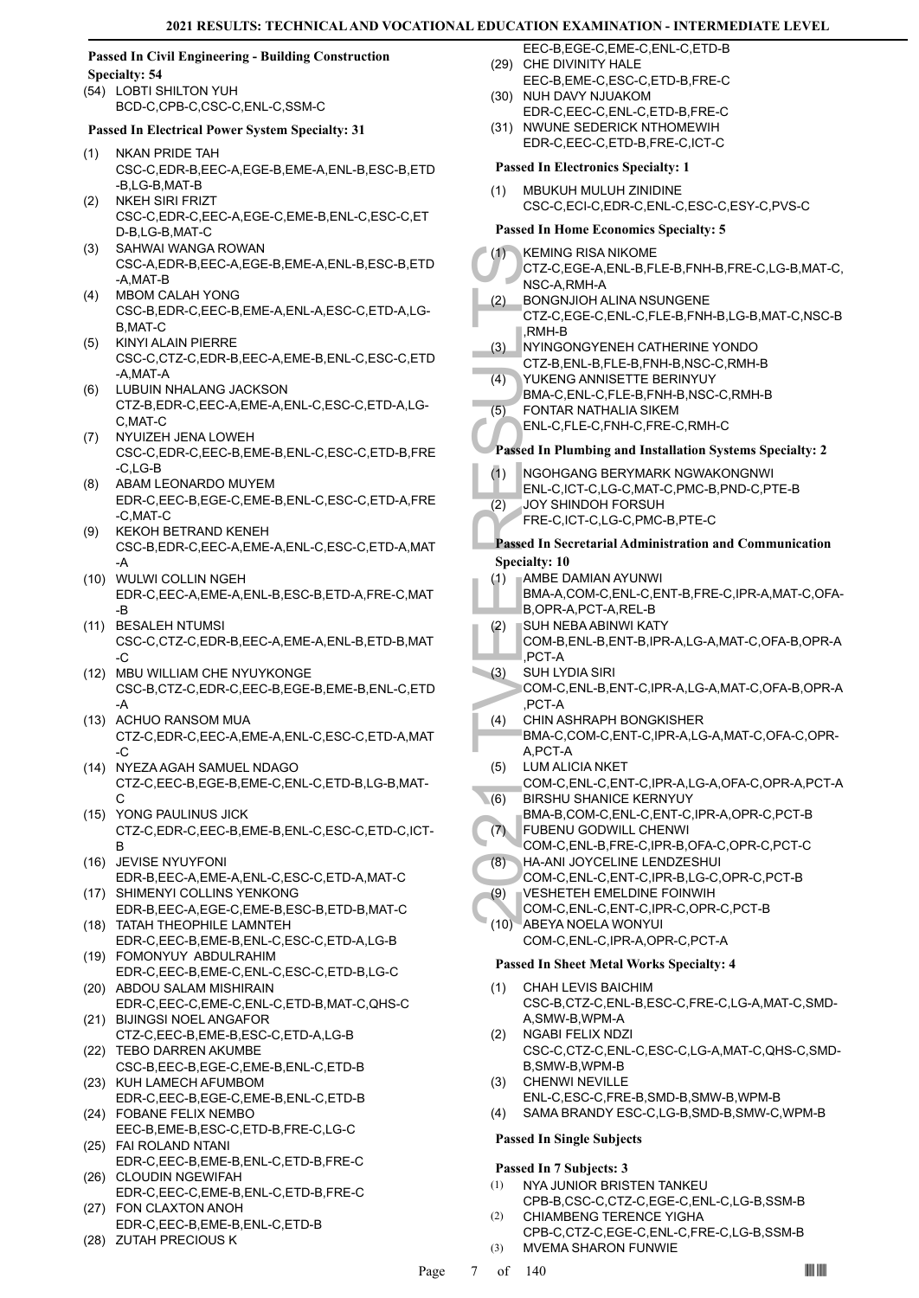#### **Passed In Civil Engineering - Building Construction Specialty: 54**

(54) LOBTI SHILTON YUH BCD-C,CPB-C,CSC-C,ENL-C,SSM-C

#### **Passed In Electrical Power System Specialty: 31**

- NKAN PRIDE TAH CSC-C,EDR-B,EEC-A,EGE-B,EME-A,ENL-B,ESC-B,ETD -B,LG-B,MAT-B (1)
- NKEH SIRI FRIZT CSC-C,EDR-C,EEC-A,EGE-C,EME-B,ENL-C,ESC-C,ET D-B,LG-B,MAT-C (2)
- SAHWAI WANGA ROWAN (3) CSC-A,EDR-B,EEC-A,EGE-B,EME-A,ENL-B,ESC-B,ETD -A,MAT-B
- MBOM CALAH YONG (4) CSC-B,EDR-C,EEC-B,EME-A,ENL-A,ESC-C,ETD-A,LG-B,MAT-C
- KINYI ALAIN PIERRE (5) CSC-C,CTZ-C,EDR-B,EEC-A,EME-B,ENL-C,ESC-C,ETD -A,MAT-A
- LUBUIN NHALANG JACKSON (6) CTZ-B,EDR-C,EEC-A,EME-A,ENL-C,ESC-C,ETD-A,LG-C,MAT-C
- (7) NYUIZEH JENA LOWEH CSC-C,EDR-C,EEC-B,EME-B,ENL-C,ESC-C,ETD-B,FRE -C,LG-B
- ABAM LEONARDO MUYEM EDR-C,EEC-B,EGE-C,EME-B,ENL-C,ESC-C,ETD-A,FRE -C,MAT-C (8)
- KEKOH BETRAND KENEH CSC-B,EDR-C,EEC-A,EME-A,ENL-C,ESC-C,ETD-A,MAT -A (9)
- WULWI COLLIN NGEH (10) EDR-C,EEC-A,EME-A,ENL-B,ESC-B,ETD-A,FRE-C,MAT -B
- (11) BESALEH NTUMSI CSC-C,CTZ-C,EDR-B,EEC-A,EME-A,ENL-B,ETD-B,MAT -C
- MBU WILLIAM CHE NYUYKONGE (12) CSC-B,CTZ-C,EDR-C,EEC-B,EGE-B,EME-B,ENL-C,ETD -A
- ACHUO RANSOM MUA (13) CTZ-C,EDR-C,EEC-A,EME-A,ENL-C,ESC-C,ETD-A,MAT -C
- (14) NYEZA AGAH SAMUEL NDAGO CTZ-C,EEC-B,EGE-B,EME-C,ENL-C,ETD-B,LG-B,MAT-C
- YONG PAULINUS JICK (15) CTZ-C,EDR-C,EEC-B,EME-B,ENL-C,ESC-C,ETD-C,ICT-B
- JEVISE NYUYFONI (16) EDR-B,EEC-A,EME-A,ENL-C,ESC-C,ETD-A,MAT-C
- (17) SHIMENYI COLLINS YENKONG EDR-B,EEC-A,EGE-C,EME-B,ESC-B,ETD-B,MAT-C
- (18) TATAH THEOPHILE LAMNTEH EDR-C,EEC-B,EME-B,ENL-C,ESC-C,ETD-A,LG-B
- FOMONYUY ABDULRAHIM (19) EDR-C,EEC-B,EME-C,ENL-C,ESC-C,ETD-B,LG-C (20) ABDOU SALAM MISHIRAIN
- EDR-C,EEC-C,EME-C,ENL-C,ETD-B,MAT-C,QHS-C BIJINGSI NOEL ANGAFOR (21)
- CTZ-C,EEC-B,EME-B,ESC-C,ETD-A,LG-B (22) TEBO DARREN AKUMBE
- CSC-B,EEC-B,EGE-C,EME-B,ENL-C,ETD-B (23) KUH LAMECH AFUMBOM
- EDR-C,EEC-B,EGE-C,EME-B,ENL-C,ETD-B FOBANE FELIX NEMBO (24)
- EEC-B,EME-B,ESC-C,ETD-B,FRE-C,LG-C FAI ROLAND NTANI (25)
- EDR-C,EEC-B,EME-B,ENL-C,ETD-B,FRE-C (26) CLOUDIN NGEWIFAH
- EDR-C,EEC-C,EME-B,ENL-C,ETD-B,FRE-C FON CLAXTON ANOH (27)
- EDR-C,EEC-B,EME-B,ENL-C,ETD-B
- (28) ZUTAH PRECIOUS K
- EEC-B,EGE-C,EME-C,ENL-C,ETD-B (29) CHE DIVINITY HALE
- EEC-B,EME-C,ESC-C,ETD-B,FRE-C
- (30) NUH DAVY NJUAKOM EDR-C,EEC-C,ENL-C,ETD-B,FRE-C
- (31) NWUNE SEDERICK NTHOMEWIH EDR-C,EEC-C,ETD-B,FRE-C,ICT-C

#### **Passed In Electronics Specialty: 1**

MBUKUH MULUH ZINIDINE CSC-C,ECI-C,EDR-C,ENL-C,ESC-C,ESY-C,PVS-C (1)

# **Passed In Home Economics Specialty: 5**

|      | есопоннез эр                                                                                |
|------|---------------------------------------------------------------------------------------------|
| (1)  | <b>KEMING RISA NIKOME</b><br>CTZ-C,EGE-A,ENL-B,FLE-B,FNH-B,FRE-C,LG-B,MAT-C,<br>NSC-A.RMH-A |
| (2)  | <b>BONGNJIOH ALINA NSUNGENE</b><br>CTZ-C,EGE-C,ENL-C,FLE-B,FNH-B,LG-B,MAT-C,NSC-B           |
| (3)  | ,RMH-B<br>NYINGONGYENEH CATHERINE YONDO                                                     |
|      | CTZ-B, ENL-B, FLE-B, FNH-B, NSC-C, RMH-B                                                    |
| (4)  | YUKENG ANNISETTE BERINYUY                                                                   |
|      | BMA-C, ENL-C, FLE-B, FNH-B, NSC-C, RMH-B                                                    |
| (5)  | FONTAR NATHALIA SIKEM<br>ENL-C,FLE-C,FNH-C,FRE-C,RMH-C                                      |
|      |                                                                                             |
|      | Passed In Plumbing and Installation Systems Specialty: 2                                    |
| (1)  | NGOHGANG BERYMARK NGWAKONGNWI                                                               |
|      | ENL-C,ICT-C,LG-C,MAT-C,PMC-B,PND-C,PTE-B                                                    |
| (2)  | JOY SHINDOH FORSUH<br>FRE-C,ICT-C,LG-C,PMC-B,PTE-C                                          |
|      |                                                                                             |
|      | <b>Passed In Secretarial Administration and Communication</b><br><b>Specialty: 10</b>       |
| (1)  | AMBE DAMIAN AYUNWI                                                                          |
|      | BMA-A,COM-C,ENL-C,ENT-B,FRE-C,IPR-A,MAT-C,OFA-                                              |
|      | B, OPR-A, PCT-A, REL-B                                                                      |
| (2)  | SUH NEBA ABINWI KATY                                                                        |
|      | COM-B, ENL-B, ENT-B, IPR-A, LG-A, MAT-C, OFA-B, OPR-A<br>PCT-A                              |
| (3)  | SUH LYDIA SIRI                                                                              |
|      | COM-C, ENL-B, ENT-C, IPR-A, LG-A, MAT-C, OFA-B, OPR-A                                       |
|      | PCT-A                                                                                       |
| (4)  | CHIN ASHRAPH BONGKISHER<br>BMA-C,COM-C,ENT-C,IPR-A,LG-A,MAT-C,OFA-C,OPR-                    |
|      | A,PCT-A                                                                                     |
| (5)  | <b>LUM ALICIA NKET</b>                                                                      |
|      | COM-C, ENL-C, ENT-C, IPR-A, LG-A, OFA-C, OPR-A, PCT-A                                       |
| (6)  | <b>BIRSHU SHANICE KERNYUY</b><br>BMA-B,COM-C,ENL-C,ENT-C,IPR-A,OPR-C,PCT-B                  |
| (7)  | FUBENU GODWILL CHENWI                                                                       |
|      | COM-C, ENL-B, FRE-C, IPR-B, OFA-C, OPR-C, PCT-C                                             |
| (8)  | HA-ANI JOYCELINE LENDZESHUI                                                                 |
|      | COM-C,ENL-C,ENT-C,IPR-B,LG-C,OPR-C,PCT-B<br>VESHETEH EMELDINE FOINWIH                       |
| (9)  | COM-C,ENL-C,ENT-C,IPR-C,OPR-C,PCT-B                                                         |
| (10) | ABEYA NOELA WONYUI                                                                          |
|      | COM-C,ENL-C,IPR-A,OPR-C,PCT-A                                                               |
|      | <b>Passed In Sheet Metal Works Specialty: 4</b>                                             |
| (1)  | CHAH LEVIS BAICHIM                                                                          |
|      | CSC-B,CTZ-C,ENL-B,ESC-C,FRE-C,LG-A,MAT-C,SMD-                                               |
|      | A,SMW-B,WPM-A                                                                               |
| (2)  | <b>NGABI FELIX NDZI</b>                                                                     |
|      | CSC-C,CTZ-C,ENL-C,ESC-C,LG-A,MAT-C,QHS-C,SMD-<br>B, SMW-B, WPM-B                            |
| (3)  | <b>CHENWI NEVILLE</b>                                                                       |
|      | ENL-C,ESC-C,FRE-B,SMD-B,SMW-B,WPM-B                                                         |
| (4)  | SAMA BRANDY ESC-C,LG-B,SMD-B,SMW-C,WPM-B                                                    |

# **Passed In Single Subjects**

#### **Passed In 7 Subjects: 3**

- NYA JUNIOR BRISTEN TANKEU CPB-B,CSC-C,CTZ-C,EGE-C,ENL-C,LG-B,SSM-B (1)
- CHIAMBENG TERENCE YIGHA CPB-C,CTZ-C,EGE-C,ENL-C,FRE-C,LG-B,SSM-B (2) (3) MVEMA SHARON FUNWIE
-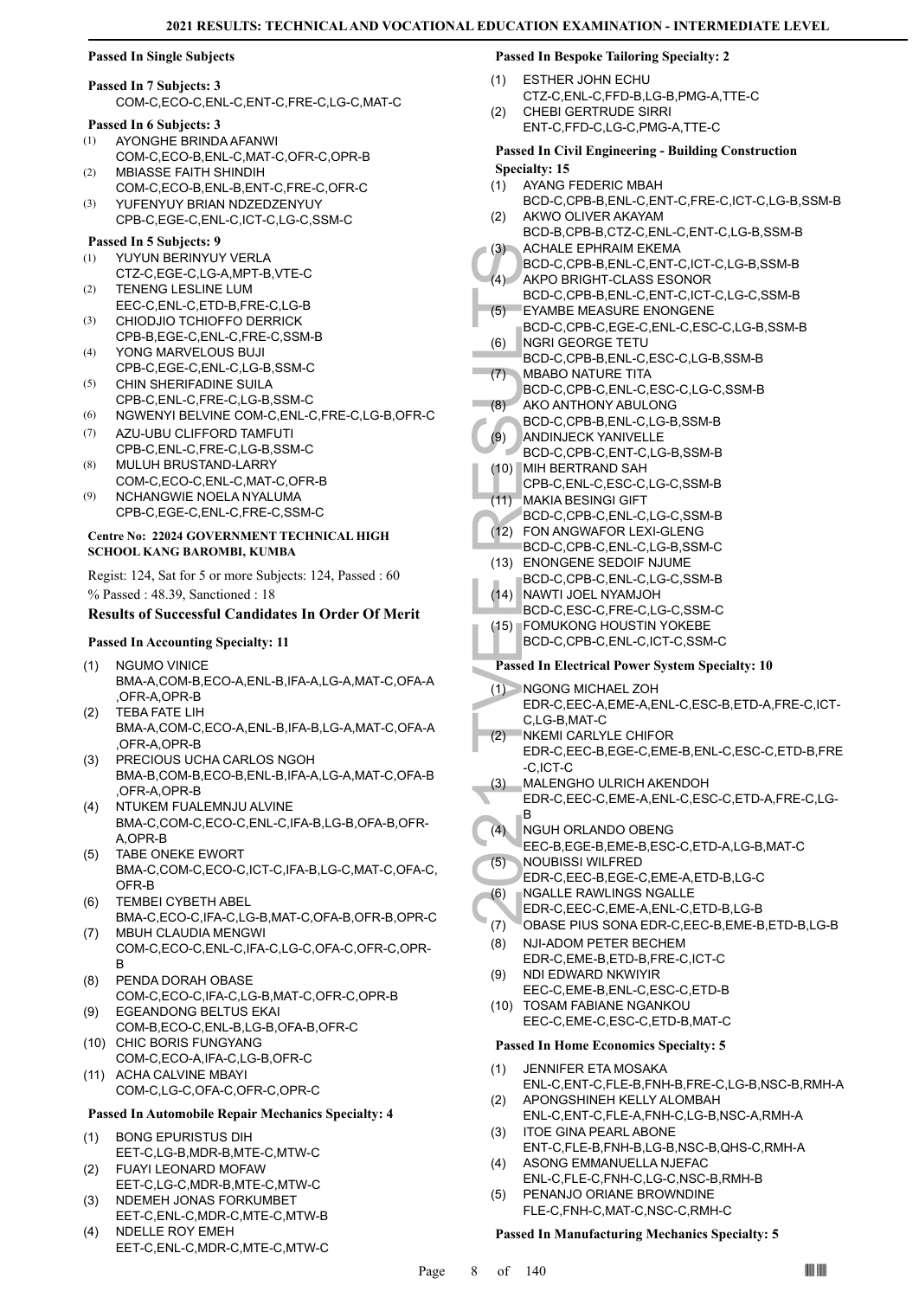#### **Passed In Single Subjects**

# **Passed In 7 Subjects: 3**

COM-C,ECO-C,ENL-C,ENT-C,FRE-C,LG-C,MAT-C

# **Passed In 6 Subjects: 3**

- AYONGHE BRINDA AFANWI COM-C,ECO-B,ENL-C,MAT-C,OFR-C,OPR-B (1) MBIASSE FAITH SHINDIH (2)
- COM-C,ECO-B,ENL-B,ENT-C,FRE-C,OFR-C YUFENYUY BRIAN NDZEDZENYUY (3)
- CPB-C,EGE-C,ENL-C,ICT-C,LG-C,SSM-C

### **Passed In 5 Subjects: 9**

- YUYUN BERINYUY VERLA CTZ-C,EGE-C,LG-A,MPT-B,VTE-C (1)
- TENENG LESLINE LUM EEC-C,ENL-C,ETD-B,FRE-C,LG-B (2)
- CHIODJIO TCHIOFFO DERRICK CPB-B,EGE-C,ENL-C,FRE-C,SSM-B (3)
- YONG MARVELOUS BUJI CPB-C,EGE-C,ENL-C,LG-B,SSM-C (4)
- CHIN SHERIFADINE SUILA CPB-C,ENL-C,FRE-C,LG-B,SSM-C (5)
- (6) NGWENYI BELVINE COM-C,ENL-C,FRE-C,LG-B,OFR-C
- AZU-UBU CLIFFORD TAMFUTI CPB-C,ENL-C,FRE-C,LG-B,SSM-C (7)
- MULUH BRUSTAND-LARRY COM-C,ECO-C,ENL-C,MAT-C,OFR-B (8)
- NCHANGWIE NOELA NYALUMA CPB-C,EGE-C,ENL-C,FRE-C,SSM-C (9)

#### **Centre No: 22024 GOVERNMENT TECHNICAL HIGH SCHOOL KANG BAROMBI, KUMBA**

Regist: 124, Sat for 5 or more Subjects: 124, Passed : 60 % Passed : 48.39, Sanctioned : 18

#### **Results of Successful Candidates In Order Of Merit**

#### **Passed In Accounting Specialty: 11**

- NGUMO VINICE BMA-A,COM-B,ECO-A,ENL-B,IFA-A,LG-A,MAT-C,OFA-A ,OFR-A,OPR-B (1)
- TEBA FATE LIH BMA-A,COM-C,ECO-A,ENL-B,IFA-B,LG-A,MAT-C,OFA-A ,OFR-A,OPR-B (2)
- PRECIOUS UCHA CARLOS NGOH BMA-B,COM-B,ECO-B,ENL-B,IFA-A,LG-A,MAT-C,OFA-B ,OFR-A,OPR-B (3)
- NTUKEM FUALEMNJU ALVINE BMA-C,COM-C,ECO-C,ENL-C,IFA-B,LG-B,OFA-B,OFR-A,OPR-B (4)
- TABE ONEKE EWORT BMA-C,COM-C,ECO-C,ICT-C,IFA-B,LG-C,MAT-C,OFA-C, OFR-B (5)
- TEMBEI CYBETH ABEL BMA-C,ECO-C,IFA-C,LG-B,MAT-C,OFA-B,OFR-B,OPR-C (6)
- MBUH CLAUDIA MENGWI COM-C,ECO-C,ENL-C,IFA-C,LG-C,OFA-C,OFR-C,OPR-B (7)
- PENDA DORAH OBASE COM-C,ECO-C,IFA-C,LG-B,MAT-C,OFR-C,OPR-B (8)
- EGEANDONG BELTUS EKAI COM-B,ECO-C,ENL-B,LG-B,OFA-B,OFR-C (9)
- (10) CHIC BORIS FUNGYANG COM-C,ECO-A,IFA-C,LG-B,OFR-C
- (11) ACHA CALVINE MBAYI COM-C,LG-C,OFA-C,OFR-C,OPR-C

#### **Passed In Automobile Repair Mechanics Specialty: 4**

- BONG EPURISTUS DIH EET-C,LG-B,MDR-B,MTE-C,MTW-C (1)
- FUAYI LEONARD MOFAW EET-C,LG-C,MDR-B,MTE-C,MTW-C (2)
- NDEMEH JONAS FORKUMBET EET-C,ENL-C,MDR-C,MTE-C,MTW-B (3)
- NDELLE ROY EMEH EET-C,ENL-C,MDR-C,MTE-C,MTW-C (4)

#### **Passed In Bespoke Tailoring Specialty: 2**

- ESTHER JOHN ECHU CTZ-C,ENL-C,FFD-B,LG-B,PMG-A,TTE-C (1)
- CHEBI GERTRUDE SIRRI ENT-C,FFD-C,LG-C,PMG-A,TTE-C (2)

#### **Passed In Civil Engineering - Building Construction Specialty: 15**

- AYANG FEDERIC MBAH (1)
- BCD-C,CPB-B,ENL-C,ENT-C,FRE-C,ICT-C,LG-B,SSM-B AKWO OLIVER AKAYAM (2)
- BCD-B,CPB-B,CTZ-C,ENL-C,ENT-C,LG-B,SSM-B ACHALE EPHRAIM EKEMA (3)
- BCD-C,CPB-B,ENL-C,ENT-C,ICT-C,LG-B,SSM-B AKPO BRIGHT-CLASS ESONOR  $(4)$
- BCD-C,CPB-B,ENL-C,ENT-C,ICT-C,LG-C,SSM-B EYAMBE MEASURE ENONGENE (5)
- BCD-C,CPB-C,EGE-C,ENL-C,ESC-C,LG-B,SSM-B NGRI GEORGE TETU (6)
- BCD-C,CPB-B,ENL-C,ESC-C,LG-B,SSM-B
- MBABO NATURE TITA BCD-C,CPB-C,ENL-C,ESC-C,LG-C,SSM-B (7)
- AKO ANTHONY ABULONG (8)
	- BCD-C,CPB-B,ENL-C,LG-B,SSM-B
	- ANDINJECK YANIVELLE (9)
- BCD-C,CPB-C,ENT-C,LG-B,SSM-B MIH BERTRAND SAH (10)
- CPB-C,ENL-C,ESC-C,LG-C,SSM-B
- MAKIA BESINGI GIFT (11)
- BCD-C,CPB-C,ENL-C,LG-C,SSM-B
	- FON ANGWAFOR LEXI-GLENG (12) BCD-C,CPB-C,ENL-C,LG-B,SSM-C
- (13) ENONGENE SEDOIF NJUME
- BCD-C,CPB-C,ENL-C,LG-C,SSM-B
- (14) NAWTI JOEL NYAMJOH BCD-C,ESC-C,FRE-C,LG-C,SSM-C
- FOMUKONG HOUSTIN YOKEBE (15) BCD-C,CPB-C,ENL-C,ICT-C,SSM-C

#### **Passed In Electrical Power System Specialty: 10**

- (3) ACHALL BCD-C, AKPO BCD-C, AKPO BCD-C, ACHALL BCD-C, ACCHALL BCD-C, NGRI G<br>
(6) BCD-C, NGRI G<br>
(6) BCD-C, MBABO BCD-C, NGABO BCD-C, NGABO BCD-C, AKO ANO ANO BCD-C, AKO ANO ANO BCD-C, AKO ANO ANO BCD-C, ACCHALL CPB-C, I<br> NGONG MICHAEL ZOH (1) EDR-C,EEC-A,EME-A,ENL-C,ESC-B,ETD-A,FRE-C,ICT-C,LG-B,MAT-C NKEMI CARLYLE CHIFOR (2)
	- EDR-C,EEC-B,EGE-C,EME-B,ENL-C,ESC-C,ETD-B,FRE -C,ICT-C
	- MALENGHO ULRICH AKENDOH EDR-C,EEC-C,EME-A,ENL-C,ESC-C,ETD-A,FRE-C,LG-B (3)
- NGUH ORLANDO OBENG (4)
- EEC-B,EGE-B,EME-B,ESC-C,ETD-A,LG-B,MAT-C NOUBISSI WILFRED (5)
- EDR-C,EEC-B,EGE-C,EME-A,ETD-B,LG-C NGALLE RAWLINGS NGALLE (6)
- EDR-C,EEC-C,EME-A,ENL-C,ETD-B,LG-B
- (7) OBASE PIUS SONA EDR-C,EEC-B,EME-B,ETD-B,LG-B
- NJI-ADOM PETER BECHEM (8)
- EDR-C,EME-B,ETD-B,FRE-C,ICT-C NDI EDWARD NKWIYIR (9)
- EEC-C,EME-B,ENL-C,ESC-C,ETD-B (10) TOSAM FABIANE NGANKOU
- EEC-C,EME-C,ESC-C,ETD-B,MAT-C

#### **Passed In Home Economics Specialty: 5**

- JENNIFER ETA MOSAKA ENL-C,ENT-C,FLE-B,FNH-B,FRE-C,LG-B,NSC-B,RMH-A (1) APONGSHINEH KELLY ALOMBAH (2)
- ENL-C,ENT-C,FLE-A,FNH-C,LG-B,NSC-A,RMH-A ITOE GINA PEARL ABONE (3)
- ENT-C,FLE-B,FNH-B,LG-B,NSC-B,QHS-C,RMH-A ASONG EMMANUELLA NJEFAC (4)
- ENL-C,FLE-C,FNH-C,LG-C,NSC-B,RMH-B PENANJO ORIANE BROWNDINE (5)
	- FLE-C,FNH-C,MAT-C,NSC-C,RMH-C

#### **Passed In Manufacturing Mechanics Specialty: 5**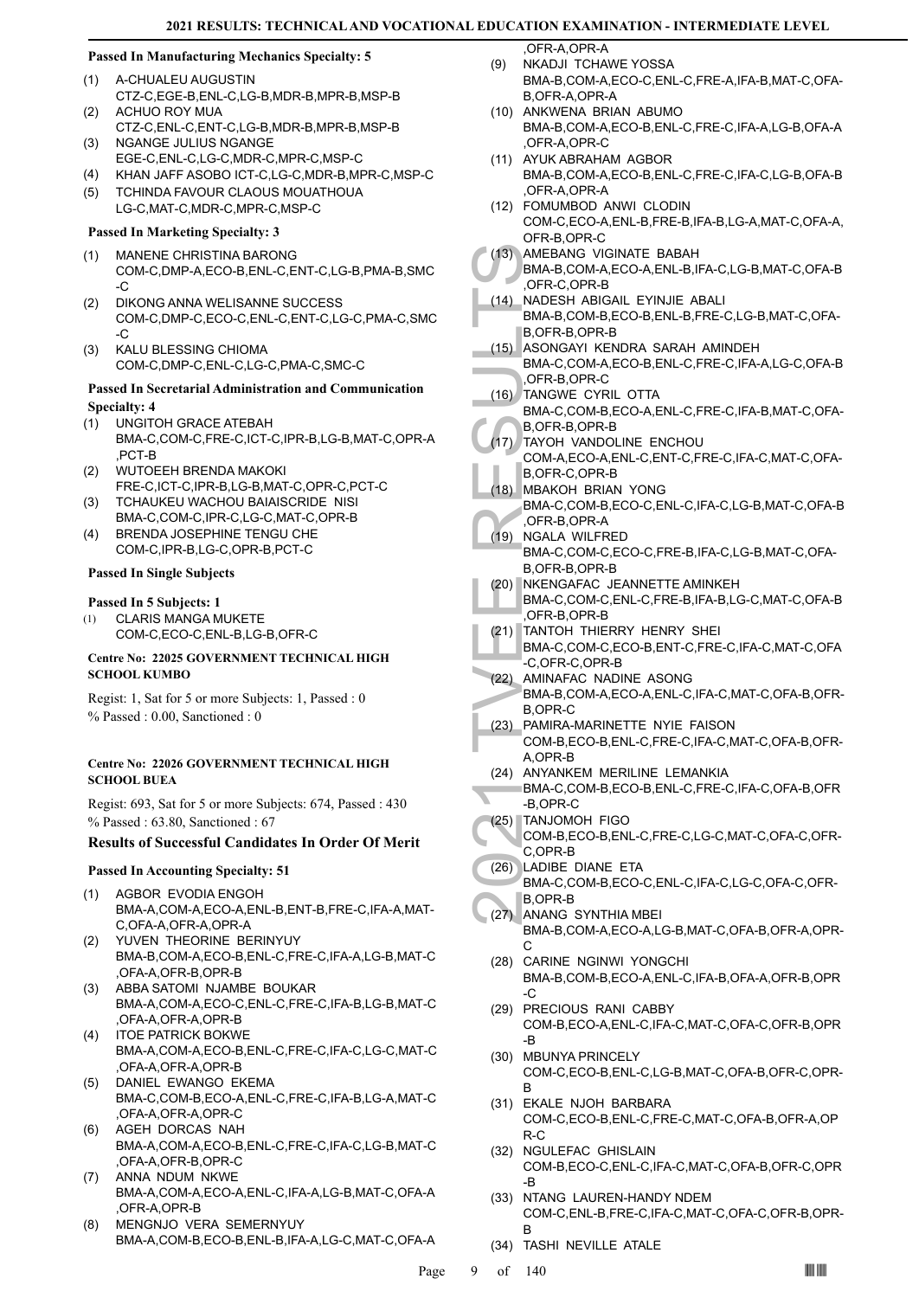# **Passed In Manufacturing Mechanics Specialty: 5**

- A-CHUALEU AUGUSTIN CTZ-C,EGE-B,ENL-C,LG-B,MDR-B,MPR-B,MSP-B (1)
- ACHUO ROY MUA CTZ-C,ENL-C,ENT-C,LG-B,MDR-B,MPR-B,MSP-B  $(2)$
- NGANGE JULIUS NGANGE EGE-C,ENL-C,LG-C,MDR-C,MPR-C,MSP-C (3)
- (4) KHAN JAFF ASOBO ICT-C,LG-C,MDR-B,MPR-C,MSP-C
- TCHINDA FAVOUR CLAOUS MOUATHOUA LG-C,MAT-C,MDR-C,MPR-C,MSP-C (5)

# **Passed In Marketing Specialty: 3**

- MANENE CHRISTINA BARONG COM-C,DMP-A,ECO-B,ENL-C,ENT-C,LG-B,PMA-B,SMC  $-C$ (1)
- DIKONG ANNA WELISANNE SUCCESS COM-C,DMP-C,ECO-C,ENL-C,ENT-C,LG-C,PMA-C,SMC -C (2)
- KALU BLESSING CHIOMA COM-C,DMP-C,ENL-C,LG-C,PMA-C,SMC-C (3)

# **Passed In Secretarial Administration and Communication Specialty: 4**

- UNGITOH GRACE ATEBAH (1)
- BMA-C,COM-C,FRE-C,ICT-C,IPR-B,LG-B,MAT-C,OPR-A ,PCT-B
- WUTOEEH BRENDA MAKOKI FRE-C,ICT-C,IPR-B,LG-B,MAT-C,OPR-C,PCT-C (2)
- TCHAUKEU WACHOU BAIAISCRIDE NISI BMA-C,COM-C,IPR-C,LG-C,MAT-C,OPR-B (3)
- BRENDA JOSEPHINE TENGU CHE COM-C,IPR-B,LG-C,OPR-B,PCT-C (4)

# **Passed In Single Subjects**

#### **Passed In 5 Subjects: 1**

CLARIS MANGA MUKETE COM-C,ECO-C,ENL-B,LG-B,OFR-C (1)

#### **Centre No: 22025 GOVERNMENT TECHNICAL HIGH SCHOOL KUMBO**

Regist: 1, Sat for 5 or more Subjects: 1, Passed : 0 % Passed : 0.00, Sanctioned : 0

#### **Centre No: 22026 GOVERNMENT TECHNICAL HIGH SCHOOL BUEA**

Regist: 693, Sat for 5 or more Subjects: 674, Passed : 430 % Passed : 63.80, Sanctioned : 67

# **Results of Successful Candidates In Order Of Merit**

# **Passed In Accounting Specialty: 51**

- AGBOR EVODIA ENGOH BMA-A,COM-A,ECO-A,ENL-B,ENT-B,FRE-C,IFA-A,MAT-C,OFA-A,OFR-A,OPR-A (1)
- YUVEN THEORINE BERINYUY (2) BMA-B,COM-A,ECO-B,ENL-C,FRE-C,IFA-A,LG-B,MAT-C
- ,OFA-A,OFR-B,OPR-B ABBA SATOMI NJAMBE BOUKAR (3)
- BMA-A,COM-A,ECO-C,ENL-C,FRE-C,IFA-B,LG-B,MAT-C ,OFA-A,OFR-A,OPR-B (4)
- ITOE PATRICK BOKWE BMA-A,COM-A,ECO-B,ENL-C,FRE-C,IFA-C,LG-C,MAT-C ,OFA-A,OFR-A,OPR-B
- DANIEL EWANGO EKEMA BMA-C,COM-B,ECO-A,ENL-C,FRE-C,IFA-B,LG-A,MAT-C ,OFA-A,OFR-A,OPR-C (5)
- AGEH DORCAS NAH BMA-A,COM-A,ECO-B,ENL-C,FRE-C,IFA-C,LG-B,MAT-C ,OFA-A,OFR-B,OPR-C (6)
- ANNA NDUM NKWE BMA-A,COM-A,ECO-A,ENL-C,IFA-A,LG-B,MAT-C,OFA-A ,OFR-A,OPR-B (7)
- MENGNJO VERA SEMERNYUY BMA-A,COM-B,ECO-B,ENL-B,IFA-A,LG-C,MAT-C,OFA-A (8)

OFR-A OPR-A NKADJI TCHAWE YOSSA

- BMA-B,COM-A,ECO-C,ENL-C,FRE-A,IFA-B,MAT-C,OFA-B, OFR-A, OPR-A (9)
- (10) ANKWENA BRIAN ABUMO BMA-B,COM-A,ECO-B,ENL-C,FRE-C,IFA-A,LG-B,OFA-A ,OFR-A,OPR-C
- (11) AYUK ABRAHAM AGBOR BMA-B,COM-A,ECO-B,ENL-C,FRE-C,IFA-C,LG-B,OFA-B ,OFR-A,OPR-A
- FOMUMBOD ANWI CLODIN (12)
- COM-C,ECO-A,ENL-B,FRE-B,IFA-B,LG-A,MAT-C,OFA-A, OFR-B,OPR-C
- AMEBANG VIGINATE BABAH (13)
- BMA-B,COM-A,ECO-A,ENL-B,IFA-C,LG-B,MAT-C,OFA-B ,OFR-C,OPR-B
- NADESH ABIGAIL EYINJIE ABALI BMA-B,COM-B,ECO-B,ENL-B,FRE-C,LG-B,MAT-C,OFA-B,OFR-B,OPR-B (14)
- ASONGAYI KENDRA SARAH AMINDEH  $(15)$
- BMA-C,COM-A,ECO-B,ENL-C,FRE-C,IFA-A,LG-C,OFA-B ,OFR-B,OPR-C
- TANGWE CYRIL OTTA  $(16)$
- BMA-C,COM-B,ECO-A,ENL-C,FRE-C,IFA-B,MAT-C,OFA-B,OFR-B,OPR-B
- TAYOH VANDOLINE ENCHOU COM-A,ECO-A,ENL-C,ENT-C,FRE-C,IFA-C,MAT-C,OFA-B,OFR-C,OPR-B (17)
- MBAKOH BRIAN YONG (18) BMA-C,COM-B,ECO-C,ENL-C,IFA-C,LG-B,MAT-C,OFA-B ,OFR-B,OPR-A
- NGALA WILFRED  $(19)$ 
	- BMA-C,COM-C,ECO-C,FRE-B,IFA-C,LG-B,MAT-C,OFA-B,OFR-B,OPR-B
- NKENGAFAC JEANNETTE AMINKEH (20)
- BMA-C,COM-C,ENL-C,FRE-B,IFA-B,LG-C,MAT-C,OFA-B ,OFR-B,OPR-B
- TANTOH THIERRY HENRY SHEI (21)
	- BMA-C,COM-C,ECO-B,ENT-C,FRE-C,IFA-C,MAT-C,OFA -C,OFR-C,OPR-B
- (22) AMINAFAC NADINE ASONG BMA-B,COM-A,ECO-A,ENL-C,IFA-C,MAT-C,OFA-B,OFR-B,OPR-C
- (13) AMEBA<br>
BMA-B,<br>
(DFR-C,<br>
(14) NADES<br>
BMA-B,<br>
(DFR-C,<br>
CR-C,<br>
BMA-B,<br>
B,OFR-C,<br>
B,OFR-B,<br>
B,OFR-B,<br>
C,OFR-B,<br>
D,OFR-B,<br>
B,OFR-C,<br>
(17) TAYOH<br>
COM-A,<br>
B,OFR-C,<br>
B,OFR-C,<br>
D,OFR-B,<br>
D,OFR-B,<br>
D,OFR-B,<br>
D,OFR-B,<br>
D,OFR-B,<br> PAMIRA-MARINETTE NYIE FAISON COM-B,ECO-B,ENL-C,FRE-C,IFA-C,MAT-C,OFA-B,OFR-A,OPR-B (23)
	- (24) ANYANKEM MERILINE LEMANKIA
	- BMA-C,COM-B,ECO-B,ENL-C,FRE-C,IFA-C,OFA-B,OFR -B,OPR-C
- TANJOMOH FIGO (25)
- COM-B,ECO-B,ENL-C,FRE-C,LG-C,MAT-C,OFA-C,OFR-C,OPR-B
- LADIBE DIANE ETA BMA-C,COM-B,ECO-C,ENL-C,IFA-C,LG-C,OFA-C,OFR-B,OPR-B (26)
- ANANG SYNTHIA MBEI BMA-B,COM-A,ECO-A,LG-B,MAT-C,OFA-B,OFR-A,OPR-(27)
- C (28) CARINE NGINWI YONGCHI BMA-B,COM-B,ECO-A,ENL-C,IFA-B,OFA-A,OFR-B,OPR -C
- (29) PRECIOUS RANI CABBY COM-B,ECO-A,ENL-C,IFA-C,MAT-C,OFA-C,OFR-B,OPR -B
- (30) MBUNYA PRINCELY COM-C,ECO-B,ENL-C,LG-B,MAT-C,OFA-B,OFR-C,OPR-B
- EKALE NJOH BARBARA (31) COM-C,ECO-B,ENL-C,FRE-C,MAT-C,OFA-B,OFR-A,OP R-C
- (32) NGULEFAC GHISLAIN COM-B,ECO-C,ENL-C,IFA-C,MAT-C,OFA-B,OFR-C,OPR -B
- (33) NTANG LAUREN-HANDY NDEM COM-C,ENL-B,FRE-C,IFA-C,MAT-C,OFA-C,OFR-B,OPR-B
- (34) TASHI NEVILLE ATALE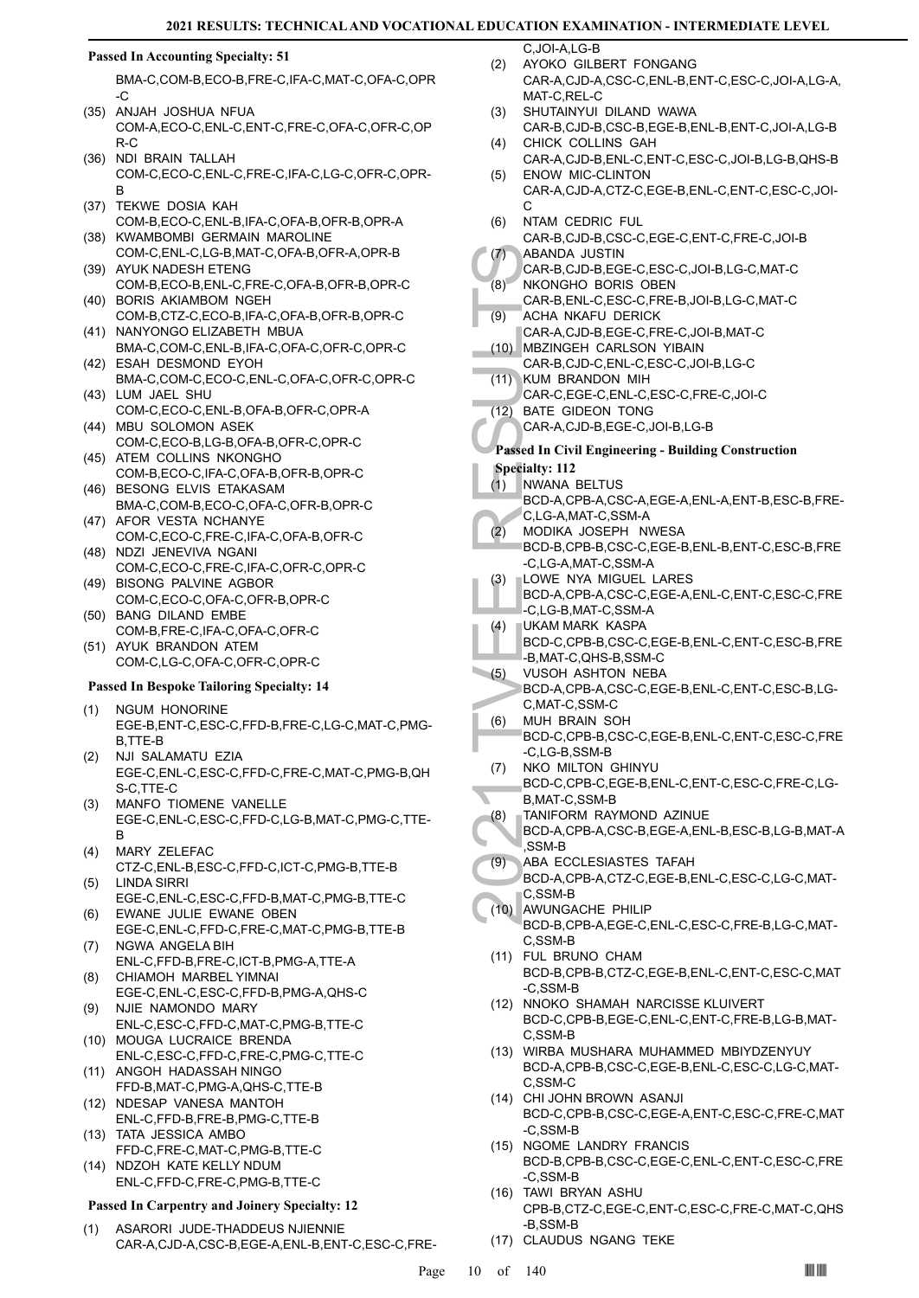# **Passed In Accounting Specialty: 51**

BMA-C,COM-B,ECO-B,FRE-C,IFA-C,MAT-C,OFA-C,OPR -C

- (35) ANJAH JOSHUA NFUA COM-A,ECO-C,ENL-C,ENT-C,FRE-C,OFA-C,OFR-C,OP R-C
- (36) NDI BRAIN TALLAH COM-C,ECO-C,ENL-C,FRE-C,IFA-C,LG-C,OFR-C,OPR-B
- (37) TEKWE DOSIA KAH COM-B,ECO-C,ENL-B,IFA-C,OFA-B,OFR-B,OPR-A
- (38) KWAMBOMBI GERMAIN MAROLINE COM-C,ENL-C,LG-B,MAT-C,OFA-B,OFR-A,OPR-B (39) AYUK NADESH ETENG
- COM-B,ECO-B,ENL-C,FRE-C,OFA-B,OFR-B,OPR-C (40) BORIS AKIAMBOM NGEH
- COM-B,CTZ-C,ECO-B,IFA-C,OFA-B,OFR-B,OPR-C (41) NANYONGO ELIZABETH MBUA
- BMA-C,COM-C,ENL-B,IFA-C,OFA-C,OFR-C,OPR-C (42) ESAH DESMOND EYOH
- BMA-C,COM-C,ECO-C,ENL-C,OFA-C,OFR-C,OPR-C (43) LUM JAEL SHU
- COM-C,ECO-C,ENL-B,OFA-B,OFR-C,OPR-A (44) MBU SOLOMON ASEK
- COM-C,ECO-B,LG-B,OFA-B,OFR-C,OPR-C (45) ATEM COLLINS NKONGHO
- COM-B,ECO-C,IFA-C,OFA-B,OFR-B,OPR-C (46) BESONG ELVIS ETAKASAM
- BMA-C,COM-B,ECO-C,OFA-C,OFR-B,OPR-C (47) AFOR VESTA NCHANYE
- COM-C,ECO-C,FRE-C,IFA-C,OFA-B,OFR-C (48) NDZI JENEVIVA NGANI
- COM-C,ECO-C,FRE-C,IFA-C,OFR-C,OPR-C (49) BISONG PALVINE AGBOR
- COM-C,ECO-C,OFA-C,OFR-B,OPR-C (50) BANG DILAND EMBE
- COM-B,FRE-C,IFA-C,OFA-C,OFR-C (51) AYUK BRANDON ATEM
- COM-C,LG-C,OFA-C,OFR-C,OPR-C

#### **Passed In Bespoke Tailoring Specialty: 14**

- NGUM HONORINE EGE-B,ENT-C,ESC-C,FFD-B,FRE-C,LG-C,MAT-C,PMG-B,TTE-B (1)
- NJI SALAMATU EZIA EGE-C,ENL-C,ESC-C,FFD-C,FRE-C,MAT-C,PMG-B,QH S-C,TTE-C (2)
- MANFO TIOMENE VANELLE EGE-C,ENL-C,ESC-C,FFD-C,LG-B,MAT-C,PMG-C,TTE-B (3)
- MARY ZELEFAC (4)
- CTZ-C,ENL-B,ESC-C,FFD-C,ICT-C,PMG-B,TTE-B LINDA SIRRI (5)
- EGE-C,ENL-C,ESC-C,FFD-B,MAT-C,PMG-B,TTE-C EWANE JULIE EWANE OBEN (6)
- EGE-C,ENL-C,FFD-C,FRE-C,MAT-C,PMG-B,TTE-B (7) NGWA ANGELA BIH
- ENL-C,FFD-B,FRE-C,ICT-B,PMG-A,TTE-A CHIAMOH MARBEL YIMNAI (8)
- EGE-C,ENL-C,ESC-C,FFD-B,PMG-A,QHS-C NJIE NAMONDO MARY (9)
- ENL-C,ESC-C,FFD-C,MAT-C,PMG-B,TTE-C (10) MOUGA LUCRAICE BRENDA
- ENL-C,ESC-C,FFD-C,FRE-C,PMG-C,TTE-C (11) ANGOH HADASSAH NINGO
- FFD-B,MAT-C,PMG-A,QHS-C,TTE-B (12) NDESAP VANESA MANTOH
- ENL-C,FFD-B,FRE-B,PMG-C,TTE-B (13) TATA JESSICA AMBO
- FFD-C,FRE-C,MAT-C,PMG-B,TTE-C (14) NDZOH KATE KELLY NDUM
- ENL-C,FFD-C,FRE-C,PMG-B,TTE-C

#### **Passed In Carpentry and Joinery Specialty: 12**

ASARORI JUDE-THADDEUS NJIENNIE CAR-A,CJD-A,CSC-B,EGE-A,ENL-B,ENT-C,ESC-C,FRE- (1)

 $C$ ,  $IOLA$ , LG-B

- AYOKO GILBERT FONGANG CAR-A,CJD-A,CSC-C,ENL-B,ENT-C,ESC-C,JOI-A,LG-A, MAT-C, REL-C (2)
- SHUTAINYUI DILAND WAWA CAR-B,CJD-B,CSC-B,EGE-B,ENL-B,ENT-C,JOI-A,LG-B (3) CHICK COLLINS GAH (4)
- CAR-A,CJD-B,ENL-C,ENT-C,ESC-C,JOI-B,LG-B,QHS-B ENOW MIC-CLINTON (5)
- CAR-A,CJD-A,CTZ-C,EGE-B,ENL-C,ENT-C,ESC-C,JOI- $\mathcal{C}$
- NTAM CEDRIC FUL CAR-B,CJD-B,CSC-C,EGE-C,ENT-C,FRE-C,JOI-B (6)  $(7)$
- ABANDA JUSTIN CAR-B,CJD-B,EGE-C,ESC-C,JOI-B,LG-C,MAT-C
- NKONGHO BORIS OBEN  $(8)$
- CAR-B,ENL-C,ESC-C,FRE-B,JOI-B,LG-C,MAT-C ACHA NKAFU DERICK (9)
- CAR-A,CJD-B,EGE-C,FRE-C,JOI-B,MAT-C
- MBZINGEH CARLSON YIBAIN (10) CAR-B,CJD-C,ENL-C,ESC-C,JOI-B,LG-C
- KUM BRANDON MIH  $(11)$
- CAR-C,EGE-C,ENL-C,ESC-C,FRE-C,JOI-C
- BATE GIDEON TONG (12)
- CAR-A,CJD-B,EGE-C,JOI-B,LG-B

# **Passed In Civil Engineering - Building Construction**

- **Specialty: 112**
- NWANA BELTUS BCD-A,CPB-A,CSC-A,EGE-A,ENL-A,ENT-B,ESC-B,FRE-C,LG-A,MAT-C,SSM-A (1)
- (1)<br>
(8) ABAND,<br>
CAR-B,<br>
(8) NKONG<br>
CAR-B,<br>
(9) ACHA I<br>
CAR-A,<br>
(10) MBZINC<br>
CAR-A,<br>
(11) KUM B<br>
CAR-A,<br>
CAR-A,<br>
(2) BATE C<br>
CAR-A,<br>
Passed In Ci<br>
SAR-A,<br>
Passed In Ci<br>
SAR-A,<br>
(2) MVDIKA BCD-A,<br>
C, LG-A,<br>
MODIKA BCD-A,<br>
C MODIKA JOSEPH NWESA BCD-B,CPB-B,CSC-C,EGE-B,ENL-B,ENT-C,ESC-B,FRE  $(2)$ 
	- -C,LG-A,MAT-C,SSM-A LOWE NYA MIGUEL LARES (3)
	- BCD-A,CPB-A,CSC-C,EGE-A,ENL-C,ENT-C,ESC-C,FRE -C,LG-B,MAT-C,SSM-A
- UKAM MARK KASPA (4)
- BCD-C,CPB-B,CSC-C,EGE-B,ENL-C,ENT-C,ESC-B,FRE -B,MAT-C,QHS-B,SSM-C
- VUSOH ASHTON NEBA BCD-A,CPB-A,CSC-C,EGE-B,ENL-C,ENT-C,ESC-B,LG-C,MAT-C,SSM-C (5)
- MUH BRAIN SOH (6)
	- BCD-C,CPB-B,CSC-C,EGE-B,ENL-C,ENT-C,ESC-C,FRE -C,LG-B,SSM-B
- NKO MILTON GHINYU BCD-C,CPB-C,EGE-B,ENL-C,ENT-C,ESC-C,FRE-C,LG-B,MAT-C,SSM-B (7)
- TANIFORM RAYMOND AZINUE (8)
- BCD-A,CPB-A,CSC-B,EGE-A,ENL-B,ESC-B,LG-B,MAT-A ,SSM-B
- ABA ECCLESIASTES TAFAH (9)
	- BCD-A,CPB-A,CTZ-C,EGE-B,ENL-C,ESC-C,LG-C,MAT-C,SSM-B
	- AWUNGACHE PHILIP (10) BCD-B,CPB-A,EGE-C,ENL-C,ESC-C,FRE-B,LG-C,MAT-C,SSM-B
	- FUL BRUNO CHAM (11) BCD-B,CPB-B,CTZ-C,EGE-B,ENL-C,ENT-C,ESC-C,MAT -C,SSM-B
	- (12) NNOKO SHAMAH NARCISSE KLUIVERT BCD-C,CPB-B,EGE-C,ENL-C,ENT-C,FRE-B,LG-B,MAT-C,SSM-B
	- WIRBA MUSHARA MUHAMMED MBIYDZENYUY (13) BCD-A,CPB-B,CSC-C,EGE-B,ENL-C,ESC-C,LG-C,MAT-C,SSM-C
	- CHI JOHN BROWN ASANJI (14) BCD-C,CPB-B,CSC-C,EGE-A,ENT-C,ESC-C,FRE-C,MAT -C,SSM-B
	- (15) NGOME LANDRY FRANCIS BCD-B,CPB-B,CSC-C,EGE-C,ENL-C,ENT-C,ESC-C,FRE -C,SSM-B
	- TAWI BRYAN ASHU (16) CPB-B,CTZ-C,EGE-C,ENT-C,ESC-C,FRE-C,MAT-C,QHS -B,SSM-B
	- (17) CLAUDUS NGANG TEKE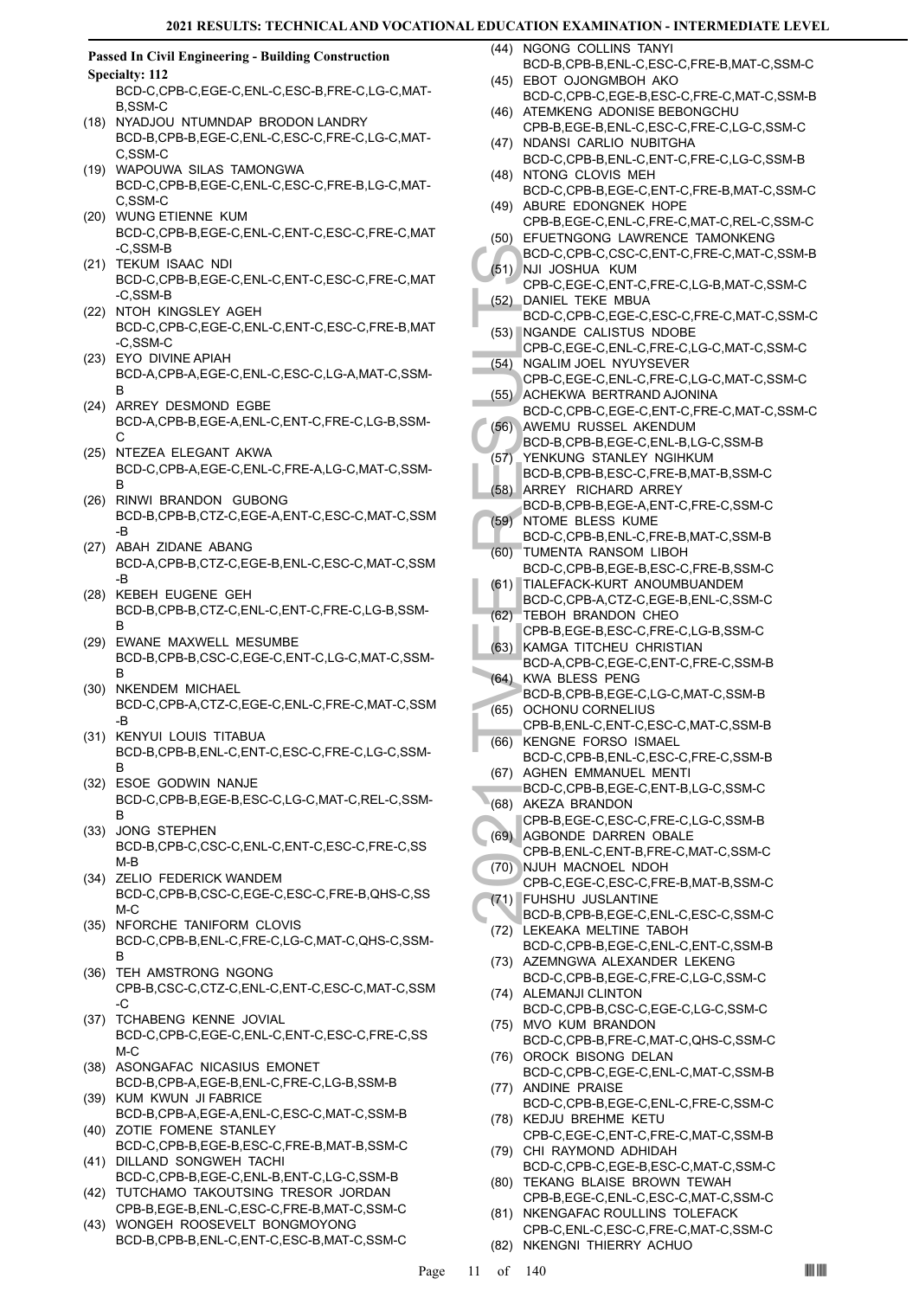#### **Passed In Civil Engineering - Building Construction Specialty: 112**

BCD-C,CPB-C,EGE-C,ENL-C,ESC-B,FRE-C,LG-C,MAT-B,SSM-C

- (18) NYADJOU NTUMNDAP BRODON LANDRY BCD-B,CPB-B,EGE-C,ENL-C,ESC-C,FRE-C,LG-C,MAT-C,SSM-C
- WAPOUWA SILAS TAMONGWA (19) BCD-C,CPB-B,EGE-C,ENL-C,ESC-C,FRE-B,LG-C,MAT-C,SSM-C
- WUNG ETIENNE KUM (20) BCD-C,CPB-B,EGE-C,ENL-C,ENT-C,ESC-C,FRE-C,MAT -C,SSM-B
- (21) TEKUM ISAAC NDI BCD-C,CPB-B,EGE-C,ENL-C,ENT-C,ESC-C,FRE-C,MAT -C,SSM-B
- (22) NTOH KINGSLEY AGEH BCD-C,CPB-C,EGE-C,ENL-C,ENT-C,ESC-C,FRE-B,MAT -C,SSM-C
- (23) EYO DIVINE APIAH BCD-A,CPB-A,EGE-C,ENL-C,ESC-C,LG-A,MAT-C,SSM-B
- (24) ARREY DESMOND EGBE BCD-A,CPB-B,EGE-A,ENL-C,ENT-C,FRE-C,LG-B,SSM- $\mathcal{C}$
- (25) NTEZEA ELEGANT AKWA BCD-C,CPB-A,EGE-C,ENL-C,FRE-A,LG-C,MAT-C,SSM-B
- (26) RINWI BRANDON GUBONG BCD-B,CPB-B,CTZ-C,EGE-A,ENT-C,ESC-C,MAT-C,SSM -B
- (27) ABAH ZIDANE ABANG BCD-A,CPB-B,CTZ-C,EGE-B,ENL-C,ESC-C,MAT-C,SSM -B
- (28) KEBEH EUGENE GEH BCD-B,CPB-B,CTZ-C,ENL-C,ENT-C,FRE-C,LG-B,SSM-B
- (29) EWANE MAXWELL MESUMBE BCD-B,CPB-B,CSC-C,EGE-C,ENT-C,LG-C,MAT-C,SSM-B
- (30) NKENDEM MICHAEL BCD-C,CPB-A,CTZ-C,EGE-C,ENL-C,FRE-C,MAT-C,SSM -B
- (31) KENYUI LOUIS TITABUA BCD-B,CPB-B,ENL-C,ENT-C,ESC-C,FRE-C,LG-C,SSM-B
- (32) ESOE GODWIN NANJE BCD-C,CPB-B,EGE-B,ESC-C,LG-C,MAT-C,REL-C,SSM-B
- (33) JONG STEPHEN BCD-B,CPB-C,CSC-C,ENL-C,ENT-C,ESC-C,FRE-C,SS M-B
- (34) ZELIO FEDERICK WANDEM BCD-C,CPB-B,CSC-C,EGE-C,ESC-C,FRE-B,QHS-C,SS M-C
- (35) NFORCHE TANIFORM CLOVIS BCD-C,CPB-B,ENL-C,FRE-C,LG-C,MAT-C,QHS-C,SSM-B
- (36) TEH AMSTRONG NGONG CPB-B,CSC-C,CTZ-C,ENL-C,ENT-C,ESC-C,MAT-C,SSM -C
- (37) TCHABENG KENNE JOVIAL BCD-C,CPB-C,EGE-C,ENL-C,ENT-C,ESC-C,FRE-C,SS M-C
- (38) ASONGAFAC NICASIUS EMONET BCD-B,CPB-A,EGE-B,ENL-C,FRE-C,LG-B,SSM-B
- (39) KUM KWUN JI FABRICE BCD-B,CPB-A,EGE-A,ENL-C,ESC-C,MAT-C,SSM-B (40) ZOTIE FOMENE STANLEY
- BCD-C,CPB-B,EGE-B,ESC-C,FRE-B,MAT-B,SSM-C (41) DILLAND SONGWEH TACHI
- BCD-C,CPB-B,EGE-C,ENL-B,ENT-C,LG-C,SSM-B (42) TUTCHAMO TAKOUTSING TRESOR JORDAN
- CPB-B,EGE-B,ENL-C,ESC-C,FRE-B,MAT-C,SSM-C WONGEH ROOSEVELT BONGMOYONG (43)
- BCD-B,CPB-B,ENL-C,ENT-C,ESC-B,MAT-C,SSM-C
- (44) NGONG COLLINS TANYI BCD-B,CPB-B,ENL-C,ESC-C,FRE-B,MAT-C,SSM-C
- EBOT OJONGMBOH AKO (45) BCD-C,CPB-C,EGE-B,ESC-C,FRE-C,MAT-C,SSM-B
- (46) ATEMKENG ADONISE BEBONGCHU
- CPB-B,EGE-B,ENL-C,ESC-C,FRE-C,LG-C,SSM-C (47) NDANSI CARLIO NUBITGHA
- BCD-C,CPB-B,ENL-C,ENT-C,FRE-C,LG-C,SSM-B (48) NTONG CLOVIS MEH
- BCD-C,CPB-B,EGE-C,ENT-C,FRE-B,MAT-C,SSM-C (49) ABURE EDONGNEK HOPE
- CPB-B,EGE-C,ENL-C,FRE-C,MAT-C,REL-C,SSM-C (50) EFUETNGONG LAWRENCE TAMONKENG
- BCD-C,CPB-C,CSC-C,ENT-C,FRE-C,MAT-C,SSM-B NJI JOSHUA KUM (51)
- CPB-C,EGE-C,ENT-C,FRE-C,LG-B,MAT-C,SSM-C DANIEL TEKE MBUA (52)
- BCD-C,CPB-C,EGE-C,ESC-C,FRE-C,MAT-C,SSM-C (53) NGANDE CALISTUS NDOBE
- CPB-C,EGE-C,ENL-C,FRE-C,LG-C,MAT-C,SSM-C (54) NGALIM JOEL NYUYSEVER
	- CPB-C,EGE-C,ENL-C,FRE-C,LG-C,MAT-C,SSM-C ACHEKWA BERTRAND AJONINA (55)
- BCD-C,CPB-C,EGE-C,ENT-C,FRE-C,MAT-C,SSM-C
- AWEMU RUSSEL AKENDUM BCD-B,CPB-B,EGE-C,ENL-B,LG-C,SSM-B (56)
- YENKUNG STANLEY NGIHKUM (57)
- BCD-B,CPB-B,ESC-C,FRE-B,MAT-B,SSM-C ARREY RICHARD ARREY (58)
- BCD-B,CPB-B,EGE-A,ENT-C,FRE-C,SSM-C (59) NTOME BLESS KUME
- BCD-C,CPB-B,ENL-C,FRE-B,MAT-C,SSM-B TUMENTA RANSOM LIBOH (60)
- BCD-C,CPB-B,EGE-B,ESC-C,FRE-B,SSM-C TIALEFACK-KURT ANOUMBUANDEM (61)
- BCD-C,CPB-A,CTZ-C,EGE-B,ENL-C,SSM-C TEBOH BRANDON CHEO (62)
- CPB-B,EGE-B,ESC-C,FRE-C,LG-B,SSM-C
- (63) KAMGA TITCHEU CHRISTIAN BCD-A,CPB-C,EGE-C,ENT-C,FRE-C,SSM-B
- (64) KWA BLESS PENG BCD-B,CPB-B,EGE-C,LG-C,MAT-C,SSM-B
- (65) OCHONU CORNELIUS
- CPB-B,ENL-C,ENT-C,ESC-C,MAT-C,SSM-B (66) KENGNE FORSO ISMAEL
- BCD-C,CPB-B,ENL-C,ESC-C,FRE-C,SSM-B (67) AGHEN EMMANUEL MENTI
- BCD-C, (51) NJJ JOS<br>
(52) DANIEL BCD-C, (62) DANIEL BCD-C, (62) DANIEL BCD-C, (63) NGALIN<br>
CPB-C, NGALIN<br>
CPB-C, ACHEK BCD-B, ACHEK BCD-B, ACHEK BCD-B, YENKU<br>
(56) AWEMU BCD-B, SCD-B, SCD-B, SCD-B, SCD-B, SCD-B, SCD-C, TIA BCD-C,CPB-B,EGE-C,ENT-B,LG-C,SSM-C (68) AKEZA BRANDON
	- CPB-B,EGE-C,ESC-C,FRE-C,LG-C,SSM-B (69) AGBONDE DARREN OBALE
	- CPB-B,ENL-C,ENT-B,FRE-C,MAT-C,SSM-C (70) NJUH MACNOEL NDOH
	- CPB-C,EGE-C,ESC-C,FRE-B,MAT-B,SSM-C FUHSHU JUSLANTINE (71)
	- BCD-B,CPB-B,EGE-C,ENL-C,ESC-C,SSM-C (72) LEKEAKA MELTINE TABOH
	- BCD-C,CPB-B,EGE-C,ENL-C,ENT-C,SSM-B (73) AZEMNGWA ALEXANDER LEKENG
	- BCD-C,CPB-B,EGE-C,FRE-C,LG-C,SSM-C (74) ALEMANJI CLINTON
	- BCD-C,CPB-B,CSC-C,EGE-C,LG-C,SSM-C (75) MVO KUM BRANDON
	- BCD-C,CPB-B,FRE-C,MAT-C,QHS-C,SSM-C (76) OROCK BISONG DELAN
	- BCD-C,CPB-C,EGE-C,ENL-C,MAT-C,SSM-B (77) ANDINE PRAISE
	- BCD-C,CPB-B,EGE-C,ENL-C,FRE-C,SSM-C (78) KEDJU BREHME KETU
	- CPB-C,EGE-C,ENT-C,FRE-C,MAT-C,SSM-B (79) CHI RAYMOND ADHIDAH
	- BCD-C,CPB-C,EGE-B,ESC-C,MAT-C,SSM-C (80) TEKANG BLAISE BROWN TEWAH
	- CPB-B,EGE-C,ENL-C,ESC-C,MAT-C,SSM-C (81) NKENGAFAC ROULLINS TOLEFACK
	- CPB-C,ENL-C,ESC-C,FRE-C,MAT-C,SSM-C (82) NKENGNI THIERRY ACHUO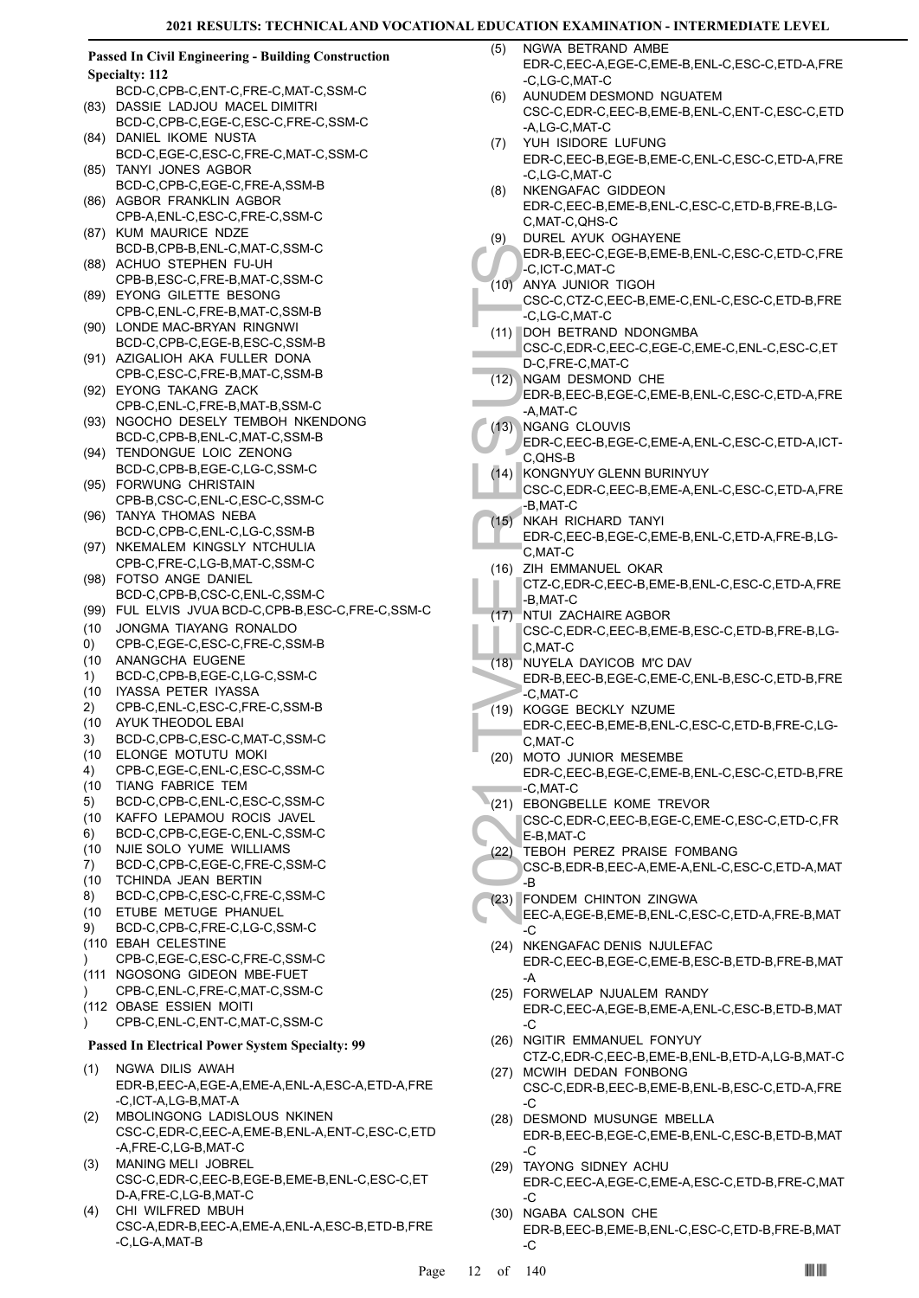| <b>Passed In Civil Engineering - Building Construction</b><br><b>Specialty: 112</b> |                                                           |  |  |
|-------------------------------------------------------------------------------------|-----------------------------------------------------------|--|--|
|                                                                                     | BCD-C,CPB-C,ENT-C,FRE-C,MAT-C,SSM-C                       |  |  |
| (83)                                                                                | DASSIE LADJOU MACEL DIMITRI                               |  |  |
|                                                                                     | BCD-C,CPB-C,EGE-C,ESC-C,FRE-C,SSM-C                       |  |  |
| (84)                                                                                | DANIEL IKOME NUSTA                                        |  |  |
|                                                                                     | BCD-C,EGE-C,ESC-C,FRE-C,MAT-C,SSM-C                       |  |  |
|                                                                                     | (85) TANYI JONES AGBOR                                    |  |  |
|                                                                                     |                                                           |  |  |
|                                                                                     | BCD-C,CPB-C,EGE-C,FRE-A,SSM-B                             |  |  |
| (86)                                                                                | AGBOR FRANKLIN AGBOR                                      |  |  |
|                                                                                     | CPB-A, ENL-C, ESC-C, FRE-C, SSM-C                         |  |  |
|                                                                                     | (87) KUM MAURICE NDZE                                     |  |  |
|                                                                                     | BCD-B,CPB-B,ENL-C,MAT-C,SSM-C                             |  |  |
| (88)                                                                                | ACHUO STEPHEN FU-UH                                       |  |  |
|                                                                                     | CPB-B,ESC-C,FRE-B,MAT-C,SSM-C                             |  |  |
| (89)                                                                                | EYONG GILETTE BESONG                                      |  |  |
|                                                                                     | CPB-C, ENL-C, FRE-B, MAT-C, SSM-B                         |  |  |
| (90)                                                                                | LONDE MAC-BRYAN RINGNWI                                   |  |  |
|                                                                                     | BCD-C,CPB-C,EGE-B,ESC-C,SSM-B                             |  |  |
| (91)                                                                                | AZIGALIOH AKA FULLER DONA                                 |  |  |
|                                                                                     | CPB-C,ESC-C,FRE-B,MAT-C,SSM-B                             |  |  |
|                                                                                     | (92) EYONG TAKANG ZACK                                    |  |  |
|                                                                                     | CPB-C, ENL-C, FRE-B, MAT-B, SSM-C                         |  |  |
| (93)                                                                                | NGOCHO DESELY TEMBOH NKENDONG                             |  |  |
|                                                                                     | BCD-C,CPB-B,ENL-C,MAT-C,SSM-B                             |  |  |
| (94)                                                                                | TENDONGUE LOIC ZENONG                                     |  |  |
|                                                                                     | BCD-C,CPB-B,EGE-C,LG-C,SSM-C                              |  |  |
| (95)                                                                                | <b>FORWUNG CHRISTAIN</b>                                  |  |  |
|                                                                                     | CPB-B,CSC-C,ENL-C,ESC-C,SSM-C                             |  |  |
| (96)                                                                                | TANYA THOMAS NEBA                                         |  |  |
| (97)                                                                                | BCD-C,CPB-C,ENL-C,LG-C,SSM-B<br>NKEMALEM KINGSLY NTCHULIA |  |  |
|                                                                                     | CPB-C,FRE-C,LG-B,MAT-C,SSM-C                              |  |  |
| (98)                                                                                | FOTSO ANGE DANIEL                                         |  |  |
|                                                                                     | BCD-C,CPB-B,CSC-C,ENL-C,SSM-C                             |  |  |
| (99)                                                                                | FUL ELVIS JVUA BCD-C,CPB-B,ESC-C,FRE-C,SSM-C              |  |  |
| (10)                                                                                | JONGMA TIAYANG RONALDO                                    |  |  |
| 0)                                                                                  | CPB-C,EGE-C,ESC-C,FRE-C,SSM-B                             |  |  |
| (10)                                                                                | ANANGCHA EUGENE                                           |  |  |
| 1)                                                                                  | BCD-C,CPB-B,EGE-C,LG-C,SSM-C                              |  |  |
| (10)                                                                                | IYASSA PETER IYASSA                                       |  |  |
| 2)                                                                                  | CPB-C,ENL-C,ESC-C,FRE-C,SSM-B                             |  |  |
|                                                                                     | (10 AYUK THEODOL EBAI                                     |  |  |
| 3)                                                                                  | BCD-C,CPB-C,ESC-C,MAT-C,SSM-C                             |  |  |
| (10)                                                                                | ELONGE MOTUTU MOKI                                        |  |  |
| 4)                                                                                  | CPB-C,EGE-C,ENL-C,ESC-C,SSM-C                             |  |  |
| (10)                                                                                | TIANG FABRICE TEM                                         |  |  |
| 5)                                                                                  | BCD-C,CPB-C,ENL-C,ESC-C,SSM-C                             |  |  |
| (10)                                                                                | KAFFO LEPAMOU ROCIS JAVEL                                 |  |  |
| 6)                                                                                  | BCD-C,CPB-C,EGE-C,ENL-C,SSM-C                             |  |  |
| (10)                                                                                | NJIE SOLO YUME WILLIAMS                                   |  |  |
| 7)                                                                                  | BCD-C,CPB-C,EGE-C,FRE-C,SSM-C                             |  |  |
| (10)                                                                                | TCHINDA JEAN BERTIN                                       |  |  |
| 8)                                                                                  | BCD-C,CPB-C,ESC-C,FRE-C,SSM-C                             |  |  |
| (10)                                                                                | ETUBE METUGE PHANUEL                                      |  |  |
| 9)                                                                                  | BCD-C,CPB-C,FRE-C,LG-C,SSM-C                              |  |  |
|                                                                                     | (110 EBAH CELESTINE                                       |  |  |
| $\mathcal{C}$                                                                       | CPB-C,EGE-C,ESC-C,FRE-C,SSM-C                             |  |  |
|                                                                                     | (111 NGOSONG GIDEON MBE-FUET                              |  |  |
| $\mathcal{L}$                                                                       | CPB-C,ENL-C,FRE-C,MAT-C,SSM-C                             |  |  |
|                                                                                     | (112 OBASE ESSIEN MOITI                                   |  |  |
| $\mathcal{L}$                                                                       | CPB-C, ENL-C, ENT-C, MAT-C, SSM-C                         |  |  |
| <b>Passed In Electrical Power System Specialty: 99</b>                              |                                                           |  |  |
| (1)                                                                                 | NGWA DILIS AWAH                                           |  |  |
|                                                                                     | EDR-B, EEC-A, EGE-A, EME-A, ENL-A, ESC-A, ETD-A, FRE      |  |  |
|                                                                                     | -C,ICT-A,LG-B,MAT-A                                       |  |  |
| (2)                                                                                 | MBOLINGONG LADISLOUS NKINEN                               |  |  |
|                                                                                     | CSC-C,EDR-C,EEC-A,EME-B,ENL-A,ENT-C,ESC-C,ETD             |  |  |
|                                                                                     | -A,FRE-C,LG-B,MAT-C                                       |  |  |
| (3)                                                                                 | MANING MELI JOBREL                                        |  |  |

- CSC-C,EDR-C,EEC-B,EGE-B,EME-B,ENL-C,ESC-C,ET D-A, FRE-C, LG-B, MAT-C CHI WILFRED MBUH (4)
- CSC-A,EDR-B,EEC-A,EME-A,ENL-A,ESC-B,ETD-B,FRE -C,LG-A,MAT-B
- NGWA BETRAND AMBE EDR-C,EEC-A,EGE-C,EME-B,ENL-C,ESC-C,ETD-A,FRE -C,LG-C,MAT-C  $(5)$ AUNUDEM DESMOND NGUATEM (6)
- CSC-C,EDR-C,EEC-B,EME-B,ENL-C,ENT-C,ESC-C,ETD -A,LG-C,MAT-C
- YUH ISIDORE LUFUNG (7) EDR-C,EEC-B,EGE-B,EME-C,ENL-C,ESC-C,ETD-A,FRE -C,LG-C,MAT-C
- NKENGAFAC GIDDEON EDR-C,EEC-B,EME-B,ENL-C,ESC-C,ETD-B,FRE-B,LG-C,MAT-C,QHS-C (8)
- DUREL AYUK OGHAYENE (9)
- EDR-B,EEC-C,EGE-B,EME-B,ENL-C,ESC-C,ETD-C,FRE -C,ICT-C,MAT-C
- (10) ANYA JUNIOR TIGOH
	- CSC-C,CTZ-C,EEC-B,EME-C,ENL-C,ESC-C,ETD-B,FRE -C,LG-C,MAT-C
- (11) DOH BETRAND NDONGMBA
- CSC-C,EDR-C,EEC-C,EGE-C,EME-C,ENL-C,ESC-C,ET D-C,FRE-C,MAT-C
- (12) NGAM DESMOND CHE
- EDR-B,EEC-B,EGE-C,EME-B,ENL-C,ESC-C,ETD-A,FRE -A,MAT-C
- (13) NGANG CLOUVIS
- EDR-C,EEC-B,EGE-C,EME-A,ENL-C,ESC-C,ETD-A,ICT-C,QHS-B
- (14) KONGNYUY GLENN BURINYUY CSC-C,EDR-C,EEC-B,EME-A,ENL-C,ESC-C,ETD-A,FRE -B,MAT-C
- (15) NKAH RICHARD TANYI
- EDR-C,EEC-B,EGE-C,EME-B,ENL-C,ETD-A,FRE-B,LG-C,MAT-C
- (16) ZIH EMMANUEL OKAR
- CTZ-C,EDR-C,EEC-B,EME-B,ENL-C,ESC-C,ETD-A,FRE -B,MAT-C
- (17) NTUI ZACHAIRE AGBOR
	- CSC-C,EDR-C,EEC-B,EME-B,ESC-C,ETD-B,FRE-B,LG-C,MAT-C
- (18) NUYELA DAYICOB M'C DAV EDR-B,EEC-B,EGE-C,EME-C,ENL-B,ESC-C,ETD-B,FRE -C,MAT-C
- (19) KOGGE BECKLY NZUME EDR-C,EEC-B,EME-B,ENL-C,ESC-C,ETD-B,FRE-C,LG-C,MAT-C
- 2021 TVEE RESULTS (20) MOTO JUNIOR MESEMBE EDR-C,EEC-B,EGE-C,EME-B,ENL-C,ESC-C,ETD-B,FRE -C,MAT-C
- (21) EBONGBELLE KOME TREVOR
- CSC-C,EDR-C,EEC-B,EGE-C,EME-C,ESC-C,ETD-C,FR E-B,MAT-C
- TEBOH PEREZ PRAISE FOMBANG (22)
- CSC-B,EDR-B,EEC-A,EME-A,ENL-C,ESC-C,ETD-A,MAT -B
- FONDEM CHINTON ZINGWA (23) EEC-A,EGE-B,EME-B,ENL-C,ESC-C,ETD-A,FRE-B,MAT  $-c$
- (24) NKENGAFAC DENIS NJULEFAC EDR-C,EEC-B,EGE-C,EME-B,ESC-B,ETD-B,FRE-B,MAT -A
- FORWELAP NJUALEM RANDY (25) EDR-C,EEC-A,EGE-B,EME-A,ENL-C,ESC-B,ETD-B,MAT -C
- (26) NGITIR EMMANUEL FONYUY CTZ-C,EDR-C,EEC-B,EME-B,ENL-B,ETD-A,LG-B,MAT-C
- (27) MCWIH DEDAN FONBONG CSC-C,EDR-B,EEC-B,EME-B,ENL-B,ESC-C,ETD-A,FRE -C
- (28) DESMOND MUSUNGE MBELLA EDR-B,EEC-B,EGE-C,EME-B,ENL-C,ESC-B,ETD-B,MAT -C
- TAYONG SIDNEY ACHU (29) EDR-C,EEC-A,EGE-C,EME-A,ESC-C,ETD-B,FRE-C,MAT -C
- (30) NGABA CALSON CHE EDR-B,EEC-B,EME-B,ENL-C,ESC-C,ETD-B,FRE-B,MAT -C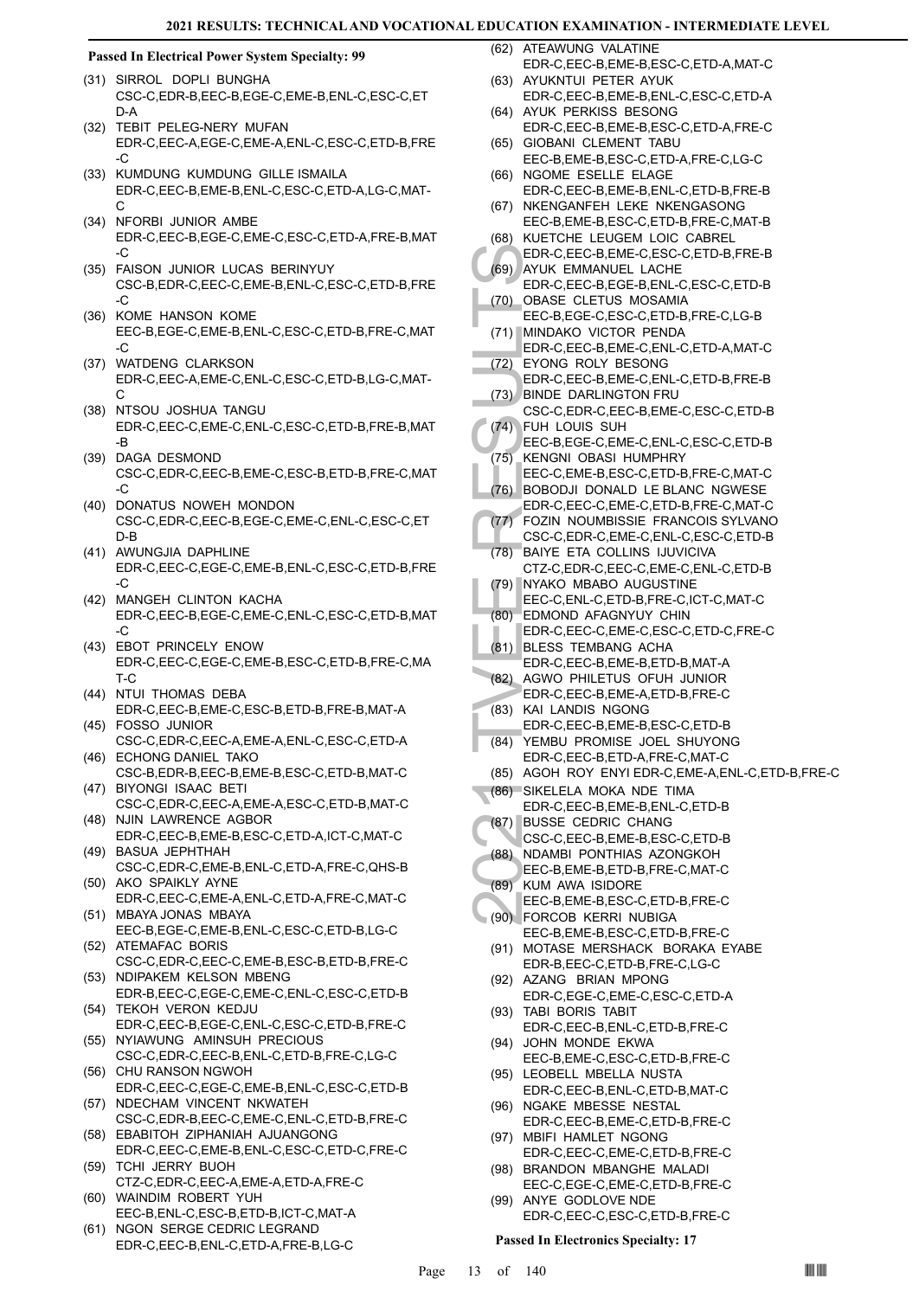#### **Passed In Electrical Power System Specialty: 99**

- (31) SIRROL DOPLI BUNGHA CSC-C,EDR-B,EEC-B,EGE-C,EME-B,ENL-C,ESC-C,ET D-A
- (32) TEBIT PELEG-NERY MUFAN EDR-C,EEC-A,EGE-C,EME-A,ENL-C,ESC-C,ETD-B,FRE -C
- (33) KUMDUNG KUMDUNG GILLE ISMAILA EDR-C,EEC-B,EME-B,ENL-C,ESC-C,ETD-A,LG-C,MAT-C
- (34) NFORBI JUNIOR AMBE EDR-C,EEC-B,EGE-C,EME-C,ESC-C,ETD-A,FRE-B,MAT  $-C$
- FAISON JUNIOR LUCAS BERINYUY (35) CSC-B,EDR-C,EEC-C,EME-B,ENL-C,ESC-C,ETD-B,FRE -C
- (36) KOME HANSON KOME EEC-B,EGE-C,EME-B,ENL-C,ESC-C,ETD-B,FRE-C,MAT -C
- WATDENG CLARKSON EDR-C,EEC-A,EME-C,ENL-C,ESC-C,ETD-B,LG-C,MAT-C (37)
- (38) NTSOU JOSHUA TANGU EDR-C,EEC-C,EME-C,ENL-C,ESC-C,ETD-B,FRE-B,MAT -B
- (39) DAGA DESMOND CSC-C,EDR-C,EEC-B,EME-C,ESC-B,ETD-B,FRE-C,MAT  $-C$
- (40) DONATUS NOWEH MONDON CSC-C,EDR-C,EEC-B,EGE-C,EME-C,ENL-C,ESC-C,ET D-B
- (41) AWUNGJIA DAPHLINE EDR-C,EEC-C,EGE-C,EME-B,ENL-C,ESC-C,ETD-B,FRE -C
- (42) MANGEH CLINTON KACHA EDR-C,EEC-B,EGE-C,EME-C,ENL-C,ESC-C,ETD-B,MAT -C
- (43) EBOT PRINCELY ENOW EDR-C,EEC-C,EGE-C,EME-B,ESC-C,ETD-B,FRE-C,MA T-C
- (44) NTUI THOMAS DEBA EDR-C,EEC-B,EME-C,ESC-B,ETD-B,FRE-B,MAT-A FOSSO JUNIOR (45)
- CSC-C,EDR-C,EEC-A,EME-A,ENL-C,ESC-C,ETD-A (46) ECHONG DANIEL TAKO
- CSC-B,EDR-B,EEC-B,EME-B,ESC-C,ETD-B,MAT-C BIYONGI ISAAC BETI (47)
- CSC-C,EDR-C,EEC-A,EME-A,ESC-C,ETD-B,MAT-C (48) NJIN LAWRENCE AGBOR
- EDR-C,EEC-B,EME-B,ESC-C,ETD-A,ICT-C,MAT-C (49) BASUA JEPHTHAH
- CSC-C,EDR-C,EME-B,ENL-C,ETD-A,FRE-C,QHS-B (50) AKO SPAIKLY AYNE
- EDR-C,EEC-C,EME-A,ENL-C,ETD-A,FRE-C,MAT-C MBAYA JONAS MBAYA (51)
- EEC-B,EGE-C,EME-B,ENL-C,ESC-C,ETD-B,LG-C (52) ATEMAFAC BORIS
- CSC-C,EDR-C,EEC-C,EME-B,ESC-B,ETD-B,FRE-C (53) NDIPAKEM KELSON MBENG
- EDR-B,EEC-C,EGE-C,EME-C,ENL-C,ESC-C,ETD-B (54) TEKOH VERON KEDJU
- EDR-C,EEC-B,EGE-C,ENL-C,ESC-C,ETD-B,FRE-C (55) NYIAWUNG AMINSUH PRECIOUS
- CSC-C,EDR-C,EEC-B,ENL-C,ETD-B,FRE-C,LG-C (56) CHU RANSON NGWOH
- EDR-C,EEC-C,EGE-C,EME-B,ENL-C,ESC-C,ETD-B (57) NDECHAM VINCENT NKWATEH
- CSC-C,EDR-B,EEC-C,EME-C,ENL-C,ETD-B,FRE-C EBABITOH ZIPHANIAH AJUANGONG (58)
- EDR-C,EEC-C,EME-B,ENL-C,ESC-C,ETD-C,FRE-C (59) TCHI JERRY BUOH
- CTZ-C,EDR-C,EEC-A,EME-A,ETD-A,FRE-C WAINDIM ROBERT YUH (60)
- EEC-B,ENL-C,ESC-B,ETD-B,ICT-C,MAT-A
- NGON SERGE CEDRIC LEGRAND EDR-C,EEC-B,ENL-C,ETD-A,FRE-B,LG-C (61)

(62) ATEAWUNG VALATINE EDR-C,EEC-B,EME-B,ESC-C,ETD-A,MAT-C

- (63) AYUKNTUI PETER AYUK EDR-C,EEC-B,EME-B,ENL-C,ESC-C,ETD-A
- (64) AYUK PERKISS BESONG EDR-C,EEC-B,EME-B,ESC-C,ETD-A,FRE-C
- (65) GIOBANI CLEMENT TABU EEC-B,EME-B,ESC-C,ETD-A,FRE-C,LG-C
- (66) NGOME ESELLE ELAGE EDR-C,EEC-B,EME-B,ENL-C,ETD-B,FRE-B (67) NKENGANFEH LEKE NKENGASONG
- EEC-B,EME-B,ESC-C,ETD-B,FRE-C,MAT-B (68) KUETCHE LEUGEM LOIC CABREL
- EDR-C,EEC-B,EME-C,ESC-C,ETD-B,FRE-B (69) AYUK EMMANUEL LACHE
- EDR-C,EEC-B,EGE-B,ENL-C,ESC-C,ETD-B OBASE CLETUS MOSAMIA (70)
- EEC-B,EGE-C,ESC-C,ETD-B,FRE-C,LG-B (71) MINDAKO VICTOR PENDA
- EDR-C,EEC-B,EME-C,ENL-C,ETD-A,MAT-C EYONG ROLY BESONG (72)
- EDR-C,EEC-B,EME-C,ENL-C,ETD-B,FRE-B BINDE DARLINGTON FRU (73)
- CSC-C,EDR-C,EEC-B,EME-C,ESC-C,ETD-B FUH LOUIS SUH  $(74)$
- EEC-B,EGE-C,EME-C,ENL-C,ESC-C,ETD-B KENGNI OBASI HUMPHRY (75)
- EEC-C,EME-B,ESC-C,ETD-B,FRE-C,MAT-C (76) BOBODJI DONALD LE BLANC NGWESE
- EDR-C,EEC-C,EME-C,ETD-B,FRE-C,MAT-C FOZIN NOUMBISSIE FRANCOIS SYLVANO (77)
- CSC-C,EDR-C,EME-C,ENL-C,ESC-C,ETD-B
- EDR-C, (69) AYUK EDR-C, (70) OBASE<br>
EDR-C, AYUK EDR-C, ENR-C, EDR-C, ENR-C, ENR-C, ENR-C, ENR-C, ENR-C, ENR-C, EDR-C, ENR-C, EDR-C, EDR-C, EDR-C, EDR-C, TO BOBOD (74) EDR-C, (75) KENGN EEC-C, TO BOBOD (77) FOZIN CSC-C, (78 BAIYE ETA COLLINS IJUVICIVA CTZ-C,EDR-C,EEC-C,EME-C,ENL-C,ETD-B (78)
	- NYAKO MBABO AUGUSTINE EEC-C,ENL-C,ETD-B,FRE-C,ICT-C,MAT-C (79)
	- EDMOND AFAGNYUY CHIN (80)
	- EDR-C,EEC-C,EME-C,ESC-C,ETD-C,FRE-C BLESS TEMBANG ACHA (81)
	- EDR-C,EEC-B,EME-B,ETD-B,MAT-A
- (82) AGWO PHILETUS OFUH JUNIOR EDR-C,EEC-B,EME-A,ETD-B,FRE-C
- (83) KAI LANDIS NGONG EDR-C,EEC-B,EME-B,ESC-C,ETD-B
- YEMBU PROMISE JOEL SHUYONG EDR-C,EEC-B,ETD-A,FRE-C,MAT-C (84)
- (85) AGOH ROY ENYI EDR-C,EME-A,ENL-C,ETD-B,FRE-C
- (86) SIKELELA MOKA NDE TIMA
- EDR-C,EEC-B,EME-B,ENL-C,ETD-B
- (87) BUSSE CEDRIC CHANG
- CSC-C,EEC-B,EME-B,ESC-C,ETD-B
- (88) NDAMBI PONTHIAS AZONGKOH
- EEC-B,EME-B,ETD-B,FRE-C,MAT-C KUM AWA ISIDORE (89)
- EEC-B,EME-B,ESC-C,ETD-B,FRE-C
- FORCOB KERRI NUBIGA (90) EEC-B,EME-B,ESC-C,ETD-B,FRE-C
	- (91) MOTASE MERSHACK BORAKA EYABE EDR-B,EEC-C,ETD-B,FRE-C,LG-C
- (92) AZANG BRIAN MPONG EDR-C,EGE-C,EME-C,ESC-C,ETD-A
- TABI BORIS TABIT (93) EDR-C,EEC-B,ENL-C,ETD-B,FRE-C
- (94) JOHN MONDE EKWA EEC-B,EME-C,ESC-C,ETD-B,FRE-C
- (95) LEOBELL MBELLA NUSTA
- EDR-C,EEC-B,ENL-C,ETD-B,MAT-C (96) NGAKE MBESSE NESTAL
- EDR-C,EEC-B,EME-C,ETD-B,FRE-C (97) MBIFI HAMLET NGONG
- EDR-C,EEC-C,EME-C,ETD-B,FRE-C (98) BRANDON MBANGHE MALADI
- EEC-C,EGE-C,EME-C,ETD-B,FRE-C (99) ANYE GODLOVE NDE
- EDR-C,EEC-C,ESC-C,ETD-B,FRE-C

#### **Passed In Electronics Specialty: 17**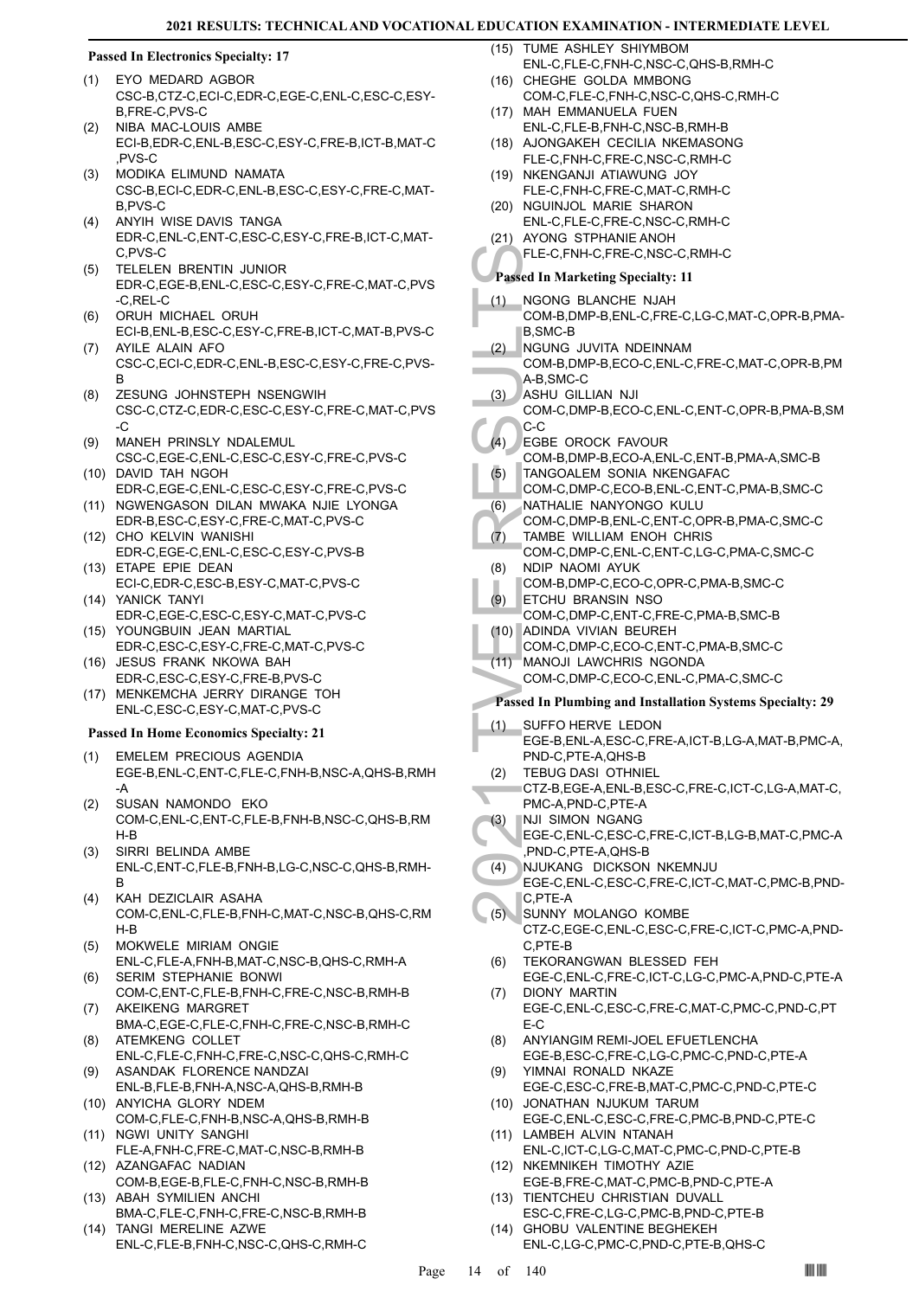#### **Passed In Electronics Specialty: 17**

- EYO MEDARD AGBOR (1) CSC-B,CTZ-C,ECI-C,EDR-C,EGE-C,ENL-C,ESC-C,ESY-B,FRE-C,PVS-C
- NIBA MAC-LOUIS AMBE ECI-B,EDR-C,ENL-B,ESC-C,ESY-C,FRE-B,ICT-B,MAT-C ,PVS-C (2)
- MODIKA ELIMUND NAMATA CSC-B,ECI-C,EDR-C,ENL-B,ESC-C,ESY-C,FRE-C,MAT-B,PVS-C (3)
- ANYIH WISE DAVIS TANGA EDR-C,ENL-C,ENT-C,ESC-C,ESY-C,FRE-B,ICT-C,MAT-C,PVS-C (4)
- TELELEN BRENTIN JUNIOR EDR-C,EGE-B,ENL-C,ESC-C,ESY-C,FRE-C,MAT-C,PVS -C,REL-C (5)
- ORUH MICHAEL ORUH ECI-B,ENL-B,ESC-C,ESY-C,FRE-B,ICT-C,MAT-B,PVS-C (6) AYILE ALAIN AFO
- CSC-C,ECI-C,EDR-C,ENL-B,ESC-C,ESY-C,FRE-C,PVS-B (7)
- ZESUNG JOHNSTEPH NSENGWIH CSC-C,CTZ-C,EDR-C,ESC-C,ESY-C,FRE-C,MAT-C,PVS -C (8)
- MANEH PRINSLY NDALEMUL CSC-C,EGE-C,ENL-C,ESC-C,ESY-C,FRE-C,PVS-C (9)
- DAVID TAH NGOH (10) EDR-C,EGE-C,ENL-C,ESC-C,ESY-C,FRE-C,PVS-C
- (11) NGWENGASON DILAN MWAKA NJIE LYONGA EDR-B,ESC-C,ESY-C,FRE-C,MAT-C,PVS-C (12) CHO KELVIN WANISHI
- EDR-C,EGE-C,ENL-C,ESC-C,ESY-C,PVS-B (13) ETAPE EPIE DEAN
- ECI-C,EDR-C,ESC-B,ESY-C,MAT-C,PVS-C (14) YANICK TANYI
- EDR-C,EGE-C,ESC-C,ESY-C,MAT-C,PVS-C YOUNGBUIN JEAN MARTIAL (15)
- EDR-C,ESC-C,ESY-C,FRE-C,MAT-C,PVS-C (16) JESUS FRANK NKOWA BAH
- EDR-C,ESC-C,ESY-C,FRE-B,PVS-C (17) MENKEMCHA JERRY DIRANGE TOH ENL-C,ESC-C,ESY-C,MAT-C,PVS-C

#### **Passed In Home Economics Specialty: 21**

- EMELEM PRECIOUS AGENDIA EGE-B,ENL-C,ENT-C,FLE-C,FNH-B,NSC-A,QHS-B,RMH -A (1)
- SUSAN NAMONDO EKO COM-C,ENL-C,ENT-C,FLE-B,FNH-B,NSC-C,QHS-B,RM H-B (2)
- SIRRI BELINDA AMBE ENL-C,ENT-C,FLE-B,FNH-B,LG-C,NSC-C,QHS-B,RMH-B (3)
- KAH DEZICLAIR ASAHA COM-C,ENL-C,FLE-B,FNH-C,MAT-C,NSC-B,QHS-C,RM H-B (4)
- MOKWELE MIRIAM ONGIE ENL-C,FLE-A,FNH-B,MAT-C,NSC-B,QHS-C,RMH-A (5)
- SERIM STEPHANIE BONWI COM-C,ENT-C,FLE-B,FNH-C,FRE-C,NSC-B,RMH-B (6) AKEIKENG MARGRET
- BMA-C,EGE-C,FLE-C,FNH-C,FRE-C,NSC-B,RMH-C (7) ATEMKENG COLLET (8)
- ENL-C,FLE-C,FNH-C,FRE-C,NSC-C,QHS-C,RMH-C ASANDAK FLORENCE NANDZAI (9)
- ENL-B,FLE-B,FNH-A,NSC-A,QHS-B,RMH-B (10) ANYICHA GLORY NDEM
- COM-C,FLE-C,FNH-B,NSC-A,QHS-B,RMH-B (11) NGWI UNITY SANGHI
- FLE-A,FNH-C,FRE-C,MAT-C,NSC-B,RMH-B (12) AZANGAFAC NADIAN
- COM-B,EGE-B,FLE-C,FNH-C,NSC-B,RMH-B (13) ABAH SYMILIEN ANCHI
- BMA-C,FLE-C,FNH-C,FRE-C,NSC-B,RMH-B TANGI MERELINE AZWE  $(14)$
- ENL-C,FLE-B,FNH-C,NSC-C,QHS-C,RMH-C

(15) TUME ASHLEY SHIYMBOM ENL-C,FLE-C,FNH-C,NSC-C,QHS-B,RMH-C

- (16) CHEGHE GOLDA MMBONG COM-C,FLE-C,FNH-C,NSC-C,QHS-C,RMH-C
- (17) MAH EMMANUELA FUEN ENL-C,FLE-B,FNH-C,NSC-B,RMH-B
- (18) AJONGAKEH CECILIA NKEMASONG FLE-C,FNH-C,FRE-C,NSC-C,RMH-C
- (19) NKENGANJI ATIAWUNG JOY FLE-C,FNH-C,FRE-C,MAT-C,RMH-C
- (20) NGUINJOL MARIE SHARON
- ENL-C,FLE-C,FRE-C,NSC-C,RMH-C (21) AYONG STPHANIE ANOH

FLE-C,FNH-C,FRE-C,NSC-C,RMH-C

# **Passed In Marketing Specialty: 11**

- NGONG BLANCHE NJAH COM-B,DMP-B,ENL-C,FRE-C,LG-C,MAT-C,OPR-B,PMA-B,SMC-B (1)
- NGUNG JUVITA NDEINNAM (2)
- COM-B,DMP-B,ECO-C,ENL-C,FRE-C,MAT-C,OPR-B,PM A-B,SMC-C
- ASHU GILLIAN NJI (3)
- COM-C,DMP-B,ECO-C,ENL-C,ENT-C,OPR-B,PMA-B,SM C-C
- EGBE OROCK FAVOUR (4)
- COM-B,DMP-B,ECO-A,ENL-C,ENT-B,PMA-A,SMC-B TANGOALEM SONIA NKENGAFAC (5)
- COM-C,DMP-C,ECO-B,ENL-C,ENT-C,PMA-B,SMC-C
- NATHALIE NANYONGO KULU (6)
- COM-C,DMP-B,ENL-C,ENT-C,OPR-B,PMA-C,SMC-C
- TAMBE WILLIAM ENOH CHRIS COM-C,DMP-C,ENL-C,ENT-C,LG-C,PMA-C,SMC-C (7) NDIP NAOMI AYUK (8)
- COM-B,DMP-C,ECO-C,OPR-C,PMA-B,SMC-C ETCHU BRANSIN NSO (9)
- COM-C,DMP-C,ENT-C,FRE-C,PMA-B,SMC-B (10) ADINDA VIVIAN BEUREH
- COM-C,DMP-C,ECO-C,ENT-C,PMA-B,SMC-C
- MANOJI LAWCHRIS NGONDA  $(11)$ 
	- COM-C,DMP-C,ECO-C,ENL-C,PMA-C,SMC-C

#### **Passed In Plumbing and Installation Systems Specialty: 29**

- FLE-C,F<br>
Passed In M<br>
(1) NGONC<br>
COM-B, B,SMC-C<br>
COM-B, A-B,SMC<br>
COM-B, A-B,SMC<br>
COM-C, C-C<br>
(4) ASHU (COM-C, C-C<br>
(4) ATHANG<br>
COM-C, TAMBE<br>
COM-C, TAMBE<br>
(6) NDIP N<sub>G</sub> COM-C, TAMBE<br>
(7) TAMBE<br>
(7) TAMBE<br>
(7) TAMBE<br>
(7) CO SUFFO HERVE LEDON EGE-B,ENL-A,ESC-C,FRE-A,ICT-B,LG-A,MAT-B,PMC-A, PND-C,PTE-A,QHS-B (1)
	- TEBUG DASI OTHNIEL (2)
	- CTZ-B,EGE-A,ENL-B,ESC-C,FRE-C,ICT-C,LG-A,MAT-C, PMC-A,PND-C,PTE-A
- NJI SIMON NGANG (3)
- EGE-C,ENL-C,ESC-C,FRE-C,ICT-B,LG-B,MAT-C,PMC-A ,PND-C,PTE-A,QHS-B
- NJUKANG DICKSON NKEMNJU (4)
- EGE-C,ENL-C,ESC-C,FRE-C,ICT-C,MAT-C,PMC-B,PND-C,PTE-A
- SUNNY MOLANGO KOMBE CTZ-C,EGE-C,ENL-C,ESC-C,FRE-C,ICT-C,PMC-A,PND-C,PTE-B (5)
- TEKORANGWAN BLESSED FEH (6)
- EGE-C,ENL-C,FRE-C,ICT-C,LG-C,PMC-A,PND-C,PTE-A DIONY MARTIN (7)
- EGE-C,ENL-C,ESC-C,FRE-C,MAT-C,PMC-C,PND-C,PT E-C
- ANYIANGIM REMI-JOEL EFUETLENCHA EGE-B,ESC-C,FRE-C,LG-C,PMC-C,PND-C,PTE-A (8)
- YIMNAI RONALD NKAZE EGE-C,ESC-C,FRE-B,MAT-C,PMC-C,PND-C,PTE-C (9)
- JONATHAN NJUKUM TARUM (10)
- EGE-C,ENL-C,ESC-C,FRE-C,PMC-B,PND-C,PTE-C (11) LAMBEH ALVIN NTANAH
- ENL-C,ICT-C,LG-C,MAT-C,PMC-C,PND-C,PTE-B (12) NKEMNIKEH TIMOTHY AZIE
- EGE-B,FRE-C,MAT-C,PMC-B,PND-C,PTE-A (13) TIENTCHEU CHRISTIAN DUVALL
- ESC-C,FRE-C,LG-C,PMC-B,PND-C,PTE-B (14) GHOBU VALENTINE BEGHEKEH
	- ENL-C,LG-C,PMC-C,PND-C,PTE-B,QHS-C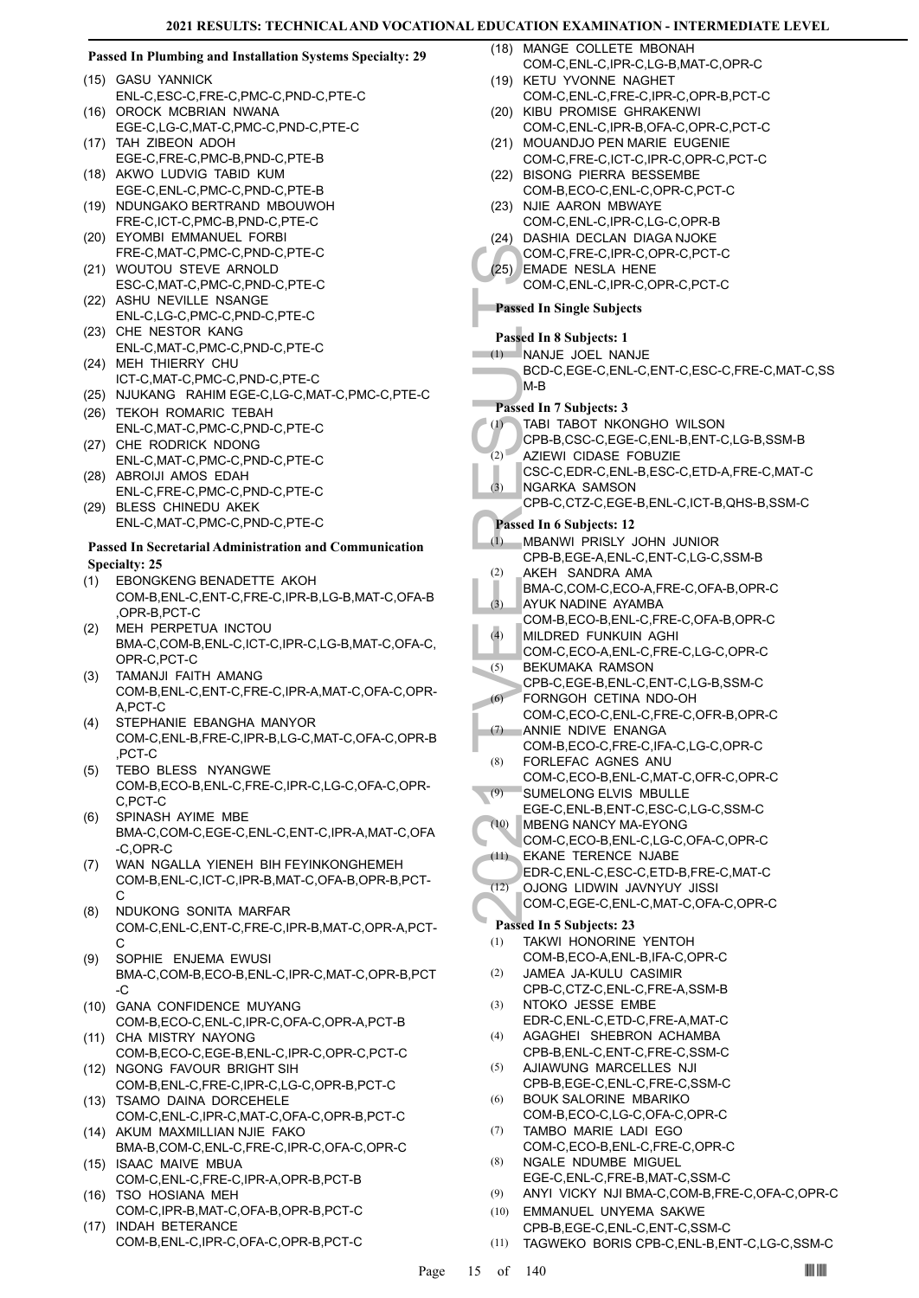#### COM-C,<br>
(25) EMADE<br>
COM-C,<br>
COM-C,<br>
COM-C,<br>
COM-C,<br>
M-B<br>
BCD-C,<br>
M-B<br>
BCD-C,<br>
M-B<br>
BCD-C,<br>
M-B<br>
COM-B,<br>
(2) AZIEWI<br>
CPB-B,<br>
(2) AZIEWI<br>
CPB-B,<br>
(2) AZIEWI<br>
CPB-B,<br>
(2) AZIEWI<br>
CPB-B,<br>
(2) AKEH<br>
BMA-C,<br>
(3) AVUK N<br>
CPB-B,<br> **Passed In Plumbing and Installation Systems Specialty: 29** (15) GASU YANNICK ENL-C,ESC-C,FRE-C,PMC-C,PND-C,PTE-C (16) OROCK MCBRIAN NWANA EGE-C,LG-C,MAT-C,PMC-C,PND-C,PTE-C (17) TAH ZIBEON ADOH EGE-C,FRE-C,PMC-B,PND-C,PTE-B (18) AKWO LUDVIG TABID KUM EGE-C,ENL-C,PMC-C,PND-C,PTE-B (19) NDUNGAKO BERTRAND MBOUWOH FRE-C,ICT-C,PMC-B,PND-C,PTE-C EYOMBI EMMANUEL FORBI (20) FRE-C,MAT-C,PMC-C,PND-C,PTE-C (21) WOUTOU STEVE ARNOLD ESC-C,MAT-C,PMC-C,PND-C,PTE-C (22) ASHU NEVILLE NSANGE ENL-C,LG-C,PMC-C,PND-C,PTE-C (23) CHE NESTOR KANG ENL-C,MAT-C,PMC-C,PND-C,PTE-C MEH THIERRY CHU (24) ICT-C,MAT-C,PMC-C,PND-C,PTE-C (25) NJUKANG RAHIM EGE-C,LG-C,MAT-C,PMC-C,PTE-C (26) TEKOH ROMARIC TEBAH ENL-C,MAT-C,PMC-C,PND-C,PTE-C (27) CHE RODRICK NDONG ENL-C,MAT-C,PMC-C,PND-C,PTE-C (28) ABROIJI AMOS EDAH ENL-C,FRE-C,PMC-C,PND-C,PTE-C BLESS CHINEDU AKEK (29) ENL-C,MAT-C,PMC-C,PND-C,PTE-C **Passed In Secretarial Administration and Communication Specialty: 25** EBONGKENG BENADETTE AKOH COM-B,ENL-C,ENT-C,FRE-C,IPR-B,LG-B,MAT-C,OFA-B ,OPR-B,PCT-C (1) MEH PERPETUA INCTOU (2) BMA-C,COM-B,ENL-C,ICT-C,IPR-C,LG-B,MAT-C,OFA-C, OPR-C,PCT-C TAMANJI FAITH AMANG COM-B,ENL-C,ENT-C,FRE-C,IPR-A,MAT-C,OFA-C,OPR-A,PCT-C (3) STEPHANIE EBANGHA MANYOR COM-C,ENL-B,FRE-C,IPR-B,LG-C,MAT-C,OFA-C,OPR-B ,PCT-C (4) TEBO BLESS NYANGWE COM-B,ECO-B,ENL-C,FRE-C,IPR-C,LG-C,OFA-C,OPR-C,PCT-C (5) SPINASH AYIME MBE BMA-C,COM-C,EGE-C,ENL-C,ENT-C,IPR-A,MAT-C,OFA -C,OPR-C (6) WAN NGALLA YIENEH BIH FEYINKONGHEMEH COM-B,ENL-C,ICT-C,IPR-B,MAT-C,OFA-B,OPR-B,PCT-C (7) NDUKONG SONITA MARFAR COM-C,ENL-C,ENT-C,FRE-C,IPR-B,MAT-C,OPR-A,PCT-C (8) SOPHIE ENJEMA EWUSI BMA-C,COM-B,ECO-B,ENL-C,IPR-C,MAT-C,OPR-B,PCT -C (9) (10) GANA CONFIDENCE MUYANG COM-B,ECO-C,ENL-C,IPR-C,OFA-C,OPR-A,PCT-B CHA MISTRY NAYONG COM-B,ECO-C,EGE-B,ENL-C,IPR-C,OPR-C,PCT-C (11) (12) NGONG FAVOUR BRIGHT SIH COM-B,ENL-C,FRE-C,IPR-C,LG-C,OPR-B,PCT-C (13) TSAMO DAINA DORCEHELE COM-C,ENL-C,IPR-C,MAT-C,OFA-C,OPR-B,PCT-C (14) AKUM MAXMILLIAN NJIE FAKO BMA-B,COM-C,ENL-C,FRE-C,IPR-C,OFA-C,OPR-C (15) ISAAC MAIVE MBUA COM-C,ENL-C,FRE-C,IPR-A,OPR-B,PCT-B (16) TSO HOSIANA MEH COM-C,IPR-B,MAT-C,OFA-B,OPR-B,PCT-C (17) INDAH BETERANCE COM-B,ENL-C,IPR-C,OFA-C,OPR-B,PCT-C (18) MANGE COLLETE MBONAH COM-C,ENL-C,IPR-C,LG-B,MAT-C,OPR-C (19) KETU YVONNE NAGHET COM-C,ENL-C,FRE-C,IPR-C,OPR-B,PCT-C (20) KIBU PROMISE GHRAKENWI COM-C,ENL-C,IPR-B,OFA-C,OPR-C,PCT-C (21) MOUANDJO PEN MARIE EUGENIE COM-C,FRE-C,ICT-C,IPR-C,OPR-C,PCT-C (22) BISONG PIERRA BESSEMBE COM-B,ECO-C,ENL-C,OPR-C,PCT-C (23) NJIE AARON MBWAYE COM-C,ENL-C,IPR-C,LG-C,OPR-B (24) DASHIA DECLAN DIAGA NJOKE COM-C,FRE-C,IPR-C,OPR-C,PCT-C EMADE NESLA HENE (25) COM-C,ENL-C,IPR-C,OPR-C,PCT-C **Passed In Single Subjects Passed In 8 Subjects: 1** NANJE JOEL NANJE (1) BCD-C,EGE-C,ENL-C,ENT-C,ESC-C,FRE-C,MAT-C,SS M-B **Passed In 7 Subjects: 3** TABI TABOT NKONGHO WILSON CPB-B,CSC-C,EGE-C,ENL-B,ENT-C,LG-B,SSM-B (1) AZIEWI CIDASE FOBUZIE CSC-C,EDR-C,ENL-B,ESC-C,ETD-A,FRE-C,MAT-C (2) NGARKA SAMSON CPB-C,CTZ-C,EGE-B,ENL-C,ICT-B,QHS-B,SSM-C (3) **Passed In 6 Subjects: 12** MBANWI PRISLY JOHN JUNIOR CPB-B,EGE-A,ENL-C,ENT-C,LG-C,SSM-B (1) AKEH SANDRA AMA BMA-C,COM-C,ECO-A,FRE-C,OFA-B,OPR-C (2) AYUK NADINE AYAMBA COM-B,ECO-B,ENL-C,FRE-C,OFA-B,OPR-C  $(3)$ MILDRED FUNKUIN AGHI COM-C,ECO-A,ENL-C,FRE-C,LG-C,OPR-C (4) BEKUMAKA RAMSON CPB-C,EGE-B,ENL-C,ENT-C,LG-B,SSM-C (5) FORNGOH CETINA NDO-OH COM-C,ECO-C,ENL-C,FRE-C,OFR-B,OPR-C (6) ANNIE NDIVE ENANGA COM-B,ECO-C,FRE-C,IFA-C,LG-C,OPR-C (7) FORLEFAC AGNES ANU COM-C,ECO-B,ENL-C,MAT-C,OFR-C,OPR-C (8) SUMELONG ELVIS MBULLE EGE-C,ENL-B,ENT-C,ESC-C,LG-C,SSM-C (9) MBENG NANCY MA-EYONG COM-C,ECO-B,ENL-C,LG-C,OFA-C,OPR-C (10) EKANE TERENCE NJABE EDR-C,ENL-C,ESC-C,ETD-B,FRE-C,MAT-C  $(11)$ OJONG LIDWIN JAVNYUY JISSI COM-C,EGE-C,ENL-C,MAT-C,OFA-C,OPR-C (12) **Passed In 5 Subjects: 23** TAKWI HONORINE YENTOH COM-B,ECO-A,ENL-B,IFA-C,OPR-C (1) JAMEA JA-KULU CASIMIR CPB-C,CTZ-C,ENL-C,FRE-A,SSM-B (2) NTOKO JESSE EMBE EDR-C,ENL-C,ETD-C,FRE-A,MAT-C (3) AGAGHEI SHEBRON ACHAMBA CPB-B,ENL-C,ENT-C,FRE-C,SSM-C (4) AJIAWUNG MARCELLES NJI CPB-B,EGE-C,ENL-C,FRE-C,SSM-C (5) BOUK SALORINE MBARIKO COM-B,ECO-C,LG-C,OFA-C,OPR-C (6) TAMBO MARIE LADI EGO COM-C,ECO-B,ENL-C,FRE-C,OPR-C (7) NGALE NDUMBE MIGUEL EGE-C,ENL-C,FRE-B,MAT-C,SSM-C (8) (9) ANYI VICKY NJI BMA-C,COM-B,FRE-C,OFA-C,OPR-C EMMANUEL UNYEMA SAKWE CPB-B,EGE-C,ENL-C,ENT-C,SSM-C (10)

(11) TAGWEKO BORIS CPB-C,ENL-B,ENT-C,LG-C,SSM-C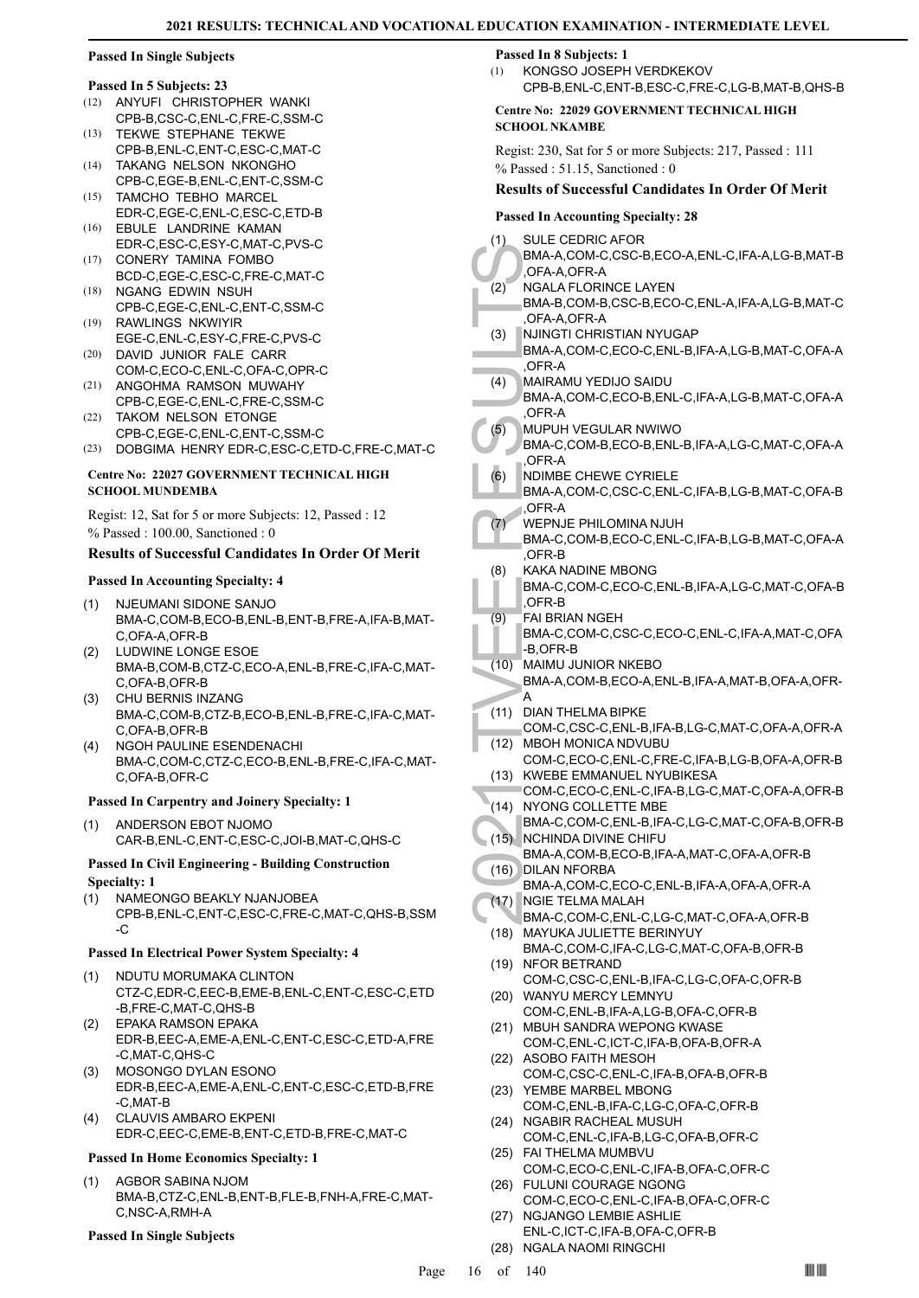### **Passed In Single Subjects**

# **Passed In 5 Subjects: 23**

- (12) ANYUFI CHRISTOPHER WANKI CPB-B,CSC-C,ENL-C,FRE-C,SSM-C
- TEKWE STEPHANE TEKWE CPB-B,ENL-C,ENT-C,ESC-C,MAT-C (13) TAKANG NELSON NKONGHO (14)
- CPB-C,EGE-B,ENL-C,ENT-C,SSM-C TAMCHO TEBHO MARCEL  $(15)$
- EDR-C,EGE-C,ENL-C,ESC-C,ETD-B (16) EBULE LANDRINE KAMAN
- EDR-C,ESC-C,ESY-C,MAT-C,PVS-C CONERY TAMINA FOMBO (17)
- BCD-C,EGE-C,ESC-C,FRE-C,MAT-C (18) NGANG EDWIN NSUH
- CPB-C,EGE-C,ENL-C,ENT-C,SSM-C RAWLINGS NKWIYIR (19)
- EGE-C,ENL-C,ESY-C,FRE-C,PVS-C DAVID JUNIOR FALE CARR (20)
- COM-C,ECO-C,ENL-C,OFA-C,OPR-C
- (21) ANGOHMA RAMSON MUWAHY CPB-C,EGE-C,ENL-C,FRE-C,SSM-C
- TAKOM NELSON ETONGE CPB-C,EGE-C,ENL-C,ENT-C,SSM-C (22)
- (23) DOBGIMA HENRY EDR-C,ESC-C,ETD-C,FRE-C,MAT-C

#### **Centre No: 22027 GOVERNMENT TECHNICAL HIGH SCHOOL MUNDEMBA**

Regist: 12, Sat for 5 or more Subjects: 12, Passed : 12 % Passed : 100.00, Sanctioned : 0

# **Results of Successful Candidates In Order Of Merit**

#### **Passed In Accounting Specialty: 4**

- NJEUMANI SIDONE SANJO BMA-C,COM-B,ECO-B,ENL-B,ENT-B,FRE-A,IFA-B,MAT-C,OFA-A,OFR-B (1)
- LUDWINE LONGE ESOE BMA-B,COM-B,CTZ-C,ECO-A,ENL-B,FRE-C,IFA-C,MAT-C,OFA-B,OFR-B (2)
- CHU BERNIS INZANG (3) BMA-C,COM-B,CTZ-B,ECO-B,ENL-B,FRE-C,IFA-C,MAT-C,OFA-B,OFR-B
- (4) NGOH PAULINE ESENDENACHI BMA-C,COM-C,CTZ-C,ECO-B,ENL-B,FRE-C,IFA-C,MAT-C,OFA-B,OFR-C

#### **Passed In Carpentry and Joinery Specialty: 1**

ANDERSON EBOT NJOMO CAR-B,ENL-C,ENT-C,ESC-C,JOI-B,MAT-C,QHS-C (1)

#### **Passed In Civil Engineering - Building Construction Specialty: 1**

NAMEONGO BEAKLY NJANJOBEA CPB-B,ENL-C,ENT-C,ESC-C,FRE-C,MAT-C,QHS-B,SSM -C (1)

# **Passed In Electrical Power System Specialty: 4**

- (1) NDUTU MORUMAKA CLINTON CTZ-C,EDR-C,EEC-B,EME-B,ENL-C,ENT-C,ESC-C,ETD -B,FRE-C,MAT-C,QHS-B
- EPAKA RAMSON EPAKA (2) EDR-B,EEC-A,EME-A,ENL-C,ENT-C,ESC-C,ETD-A,FRE -C,MAT-C,QHS-C
- MOSONGO DYLAN ESONO EDR-B,EEC-A,EME-A,ENL-C,ENT-C,ESC-C,ETD-B,FRE -C,MAT-B (3)
- CLAUVIS AMBARO EKPENI EDR-C,EEC-C,EME-B,ENT-C,ETD-B,FRE-C,MAT-C (4)

#### **Passed In Home Economics Specialty: 1**

AGBOR SABINA NJOM BMA-B,CTZ-C,ENL-B,ENT-B,FLE-B,FNH-A,FRE-C,MAT-C,NSC-A,RMH-A (1)

#### **Passed In Single Subjects**

#### **Passed In 8 Subjects: 1**

KONGSO JOSEPH VERDKEKOV CPB-B,ENL-C,ENT-B,ESC-C,FRE-C,LG-B,MAT-B,QHS-B (1)

#### **Centre No: 22029 GOVERNMENT TECHNICAL HIGH SCHOOL NKAMBE**

Regist: 230, Sat for 5 or more Subjects: 217, Passed : 111 % Passed : 51.15, Sanctioned : 0

#### **Results of Successful Candidates In Order Of Merit**

| <b>Passed In Accounting Specialty: 28</b> |                                                                            |  |
|-------------------------------------------|----------------------------------------------------------------------------|--|
| (1)                                       | <b>SULE CEDRIC AFOR</b>                                                    |  |
|                                           | BMA-A,COM-C,CSC-B,ECO-A,ENL-C,IFA-A,LG-B,MAT-B                             |  |
| (2)                                       | ,OFA-A,OFR-A<br><b>NGALA FLORINCE LAYEN</b>                                |  |
|                                           | BMA-B,COM-B,CSC-B,ECO-C,ENL-A,IFA-A,LG-B,MAT-C                             |  |
|                                           | OFA-A, OFR-A                                                               |  |
| (3)                                       | NJINGTI CHRISTIAN NYUGAP                                                   |  |
|                                           | BMA-A,COM-C,ECO-C,ENL-B,IFA-A,LG-B,MAT-C,OFA-A                             |  |
| (4)                                       | OFR-A,<br>MAIRAMU YEDIJO SAIDU                                             |  |
|                                           | BMA-A,COM-C,ECO-B,ENL-C,IFA-A,LG-B,MAT-C,OFA-A                             |  |
|                                           | ,OFR-A                                                                     |  |
| (5)                                       | MUPUH VEGULAR NWIWO                                                        |  |
|                                           | BMA-C,COM-B,ECO-B,ENL-B,IFA-A,LG-C,MAT-C,OFA-A                             |  |
| (6)                                       | OFR-A.<br><b>NDIMBE CHEWE CYRIELE</b>                                      |  |
|                                           | BMA-A,COM-C,CSC-C,ENL-C,IFA-B,LG-B,MAT-C,OFA-B                             |  |
|                                           | <b>LOFR-A</b>                                                              |  |
| (7)                                       | WEPNJE PHILOMINA NJUH                                                      |  |
|                                           | BMA-C,COM-B,ECO-C,ENL-C,IFA-B,LG-B,MAT-C,OFA-A<br>OFR-B.                   |  |
| (8)                                       | <b>KAKA NADINE MBONG</b>                                                   |  |
|                                           | BMA-C,COM-C,ECO-C,ENL-B,IFA-A,LG-C,MAT-C,OFA-B                             |  |
|                                           | OFR-B                                                                      |  |
| (9)                                       | <b>FAI BRIAN NGEH</b><br>BMA-C,COM-C,CSC-C,ECO-C,ENL-C,IFA-A,MAT-C,OFA     |  |
|                                           | -B,OFR-B                                                                   |  |
| (10)                                      | MAIMU JUNIOR NKEBO                                                         |  |
|                                           | BMA-A,COM-B,ECO-A,ENL-B,IFA-A,MAT-B,OFA-A,OFR-                             |  |
|                                           | А<br><b>DIAN THELMA BIPKE</b>                                              |  |
| (11)                                      | COM-C,CSC-C,ENL-B,IFA-B,LG-C,MAT-C,OFA-A,OFR-A                             |  |
| (12)                                      | <b>MBOH MONICA NDVUBU</b>                                                  |  |
|                                           | COM-C,ECO-C,ENL-C,FRE-C,IFA-B,LG-B,OFA-A,OFR-B                             |  |
| (13)                                      | KWEBE EMMANUEL NYUBIKESA<br>COM-C,ECO-C,ENL-C,IFA-B,LG-C,MAT-C,OFA-A,OFR-B |  |
| (14)                                      | NYONG COLLETTE MBE                                                         |  |
|                                           | BMA-C,COM-C,ENL-B,IFA-C,LG-C,MAT-C,OFA-B,OFR-B                             |  |
| (15)                                      | <b>NCHINDA DIVINE CHIFU</b>                                                |  |
| (16)                                      | BMA-A,COM-B,ECO-B,IFA-A,MAT-C,OFA-A,OFR-B<br><b>DILAN NFORBA</b>           |  |
|                                           | BMA-A,COM-C,ECO-C,ENL-B,IFA-A,OFA-A,OFR-A                                  |  |
|                                           | (17) NGIE TELMA MALAH                                                      |  |
|                                           | BMA-C,COM-C,ENL-C,LG-C,MAT-C,OFA-A,OFR-B                                   |  |
| (18)                                      | MAYUKA JULIETTE BERINYUY<br>BMA-C,COM-C,IFA-C,LG-C,MAT-C,OFA-B,OFR-B       |  |
| (19)                                      | NFOR BETRAND                                                               |  |
|                                           | COM-C,CSC-C,ENL-B,IFA-C,LG-C,OFA-C,OFR-B                                   |  |
| (20)                                      | WANYU MERCY LEMNYU                                                         |  |
|                                           | COM-C, ENL-B, IFA-A, LG-B, OFA-C, OFR-B<br>MBUH SANDRA WEPONG KWASE        |  |
| (21)                                      | COM-C, ENL-C, ICT-C, IFA-B, OFA-B, OFR-A                                   |  |
| (22)                                      | <b>ASOBO FAITH MESOH</b>                                                   |  |
|                                           | COM-C,CSC-C,ENL-C,IFA-B,OFA-B,OFR-B                                        |  |
| (23)                                      | YEMBE MARBEL MBONG                                                         |  |
| (24)                                      | COM-C, ENL-B, IFA-C, LG-C, OFA-C, OFR-B<br>NGABIR RACHEAL MUSUH            |  |
|                                           | COM-C,ENL-C,IFA-B,LG-C,OFA-B,OFR-C                                         |  |
| (25)                                      | FAI THELMA MUMBVU                                                          |  |
|                                           | COM-C,ECO-C,ENL-C,IFA-B,OFA-C,OFR-C                                        |  |
| (26)                                      | FULUNI COURAGE NGONG<br>COM-C,ECO-C,ENL-C,IFA-B,OFA-C,OFR-C                |  |
|                                           |                                                                            |  |

- (27) NGJANGO LEMBIE ASHLIE ENL-C,ICT-C,IFA-B,OFA-C,OFR-B
- (28) NGALA NAOMI RINGCHI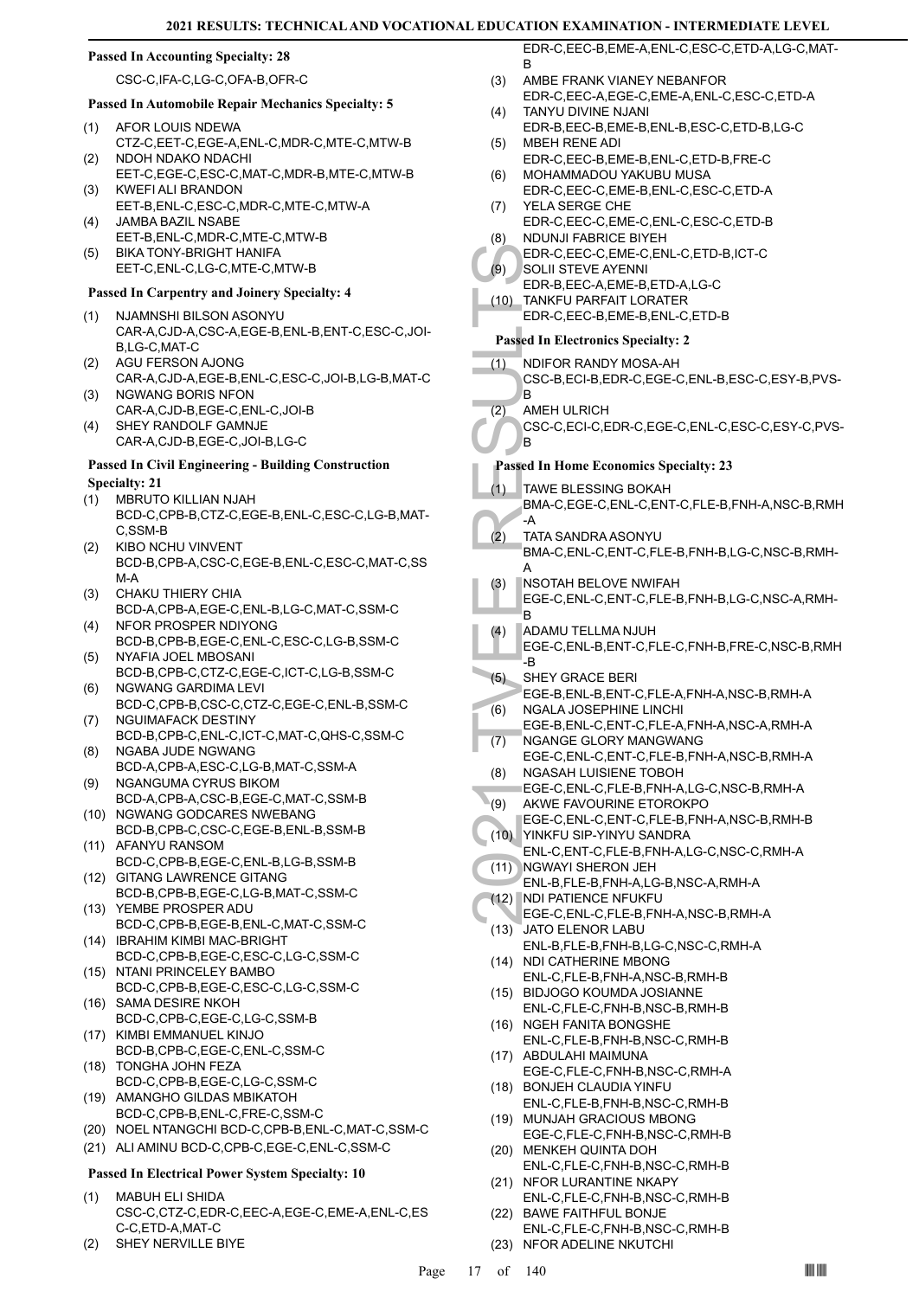#### **Passed In Accounting Specialty: 28**

CSC-C,IFA-C,LG-C,OFA-B,OFR-C

# **Passed In Automobile Repair Mechanics Specialty: 5**

- AFOR LOUIS NDEWA CTZ-C,EET-C,EGE-A,ENL-C,MDR-C,MTE-C,MTW-B (1) NDOH NDAKO NDACHI (2)
- EET-C,EGE-C,ESC-C,MAT-C,MDR-B,MTE-C,MTW-B KWEFI ALI BRANDON (3)
- EET-B,ENL-C,ESC-C,MDR-C,MTE-C,MTW-A JAMBA BAZIL NSABE  $(4)$
- EET-B,ENL-C,MDR-C,MTE-C,MTW-B BIKA TONY-BRIGHT HANIFA (5)
- EET-C,ENL-C,LG-C,MTE-C,MTW-B

#### **Passed In Carpentry and Joinery Specialty: 4**

- NJAMNSHI BILSON ASONYU (1) CAR-A,CJD-A,CSC-A,EGE-B,ENL-B,ENT-C,ESC-C,JOI-B,LG-C,MAT-C
- AGU FERSON AJONG CAR-A,CJD-A,EGE-B,ENL-C,ESC-C,JOI-B,LG-B,MAT-C (2) NGWANG BORIS NFON
- CAR-A,CJD-B,EGE-C,ENL-C,JOI-B (3)
- SHEY RANDOLF GAMNJE CAR-A,CJD-B,EGE-C,JOI-B,LG-C (4)

#### **Passed In Civil Engineering - Building Construction Specialty: 21**

- MBRUTO KILLIAN NJAH (1)
- BCD-C,CPB-B,CTZ-C,EGE-B,ENL-C,ESC-C,LG-B,MAT-C,SSM-B
- KIBO NCHU VINVENT BCD-B,CPB-A,CSC-C,EGE-B,ENL-C,ESC-C,MAT-C,SS M-A (2)
- CHAKU THIERY CHIA BCD-A,CPB-A,EGE-C,ENL-B,LG-C,MAT-C,SSM-C (3)
- NFOR PROSPER NDIYONG BCD-B,CPB-B,EGE-C,ENL-C,ESC-C,LG-B,SSM-C (4)
- NYAFIA JOEL MBOSANI BCD-B,CPB-C,CTZ-C,EGE-C,ICT-C,LG-B,SSM-C (5)
- NGWANG GARDIMA LEVI BCD-C,CPB-B,CSC-C,CTZ-C,EGE-C,ENL-B,SSM-C (6)
- NGUIMAFACK DESTINY BCD-B,CPB-C,ENL-C,ICT-C,MAT-C,QHS-C,SSM-C (7) NGABA JUDE NGWANG (8)
- BCD-A,CPB-A,ESC-C,LG-B,MAT-C,SSM-A NGANGUMA CYRUS BIKOM (9)
- BCD-A,CPB-A,CSC-B,EGE-C,MAT-C,SSM-B (10) NGWANG GODCARES NWEBANG
- BCD-B,CPB-C,CSC-C,EGE-B,ENL-B,SSM-B (11) AFANYU RANSOM
- BCD-C,CPB-B,EGE-C,ENL-B,LG-B,SSM-B (12) GITANG LAWRENCE GITANG
- BCD-B,CPB-B,EGE-C,LG-B,MAT-C,SSM-C YEMBE PROSPER ADU (13)
- BCD-C,CPB-B,EGE-B,ENL-C,MAT-C,SSM-C (14) IBRAHIM KIMBI MAC-BRIGHT
- BCD-C,CPB-B,EGE-C,ESC-C,LG-C,SSM-C (15) NTANI PRINCELEY BAMBO
- BCD-C,CPB-B,EGE-C,ESC-C,LG-C,SSM-C SAMA DESIRE NKOH (16)
- BCD-C,CPB-C,EGE-C,LG-C,SSM-B
- (17) KIMBI EMMANUEL KINJO BCD-B,CPB-C,EGE-C,ENL-C,SSM-C
- (18) TONGHA JOHN FEZA BCD-C,CPB-B,EGE-C,LG-C,SSM-C
- AMANGHO GILDAS MBIKATOH BCD-C,CPB-B,ENL-C,FRE-C,SSM-C (19)
- (20) NOEL NTANGCHI BCD-C,CPB-B,ENL-C,MAT-C,SSM-C
- (21) ALI AMINU BCD-C,CPB-C,EGE-C,ENL-C,SSM-C

#### **Passed In Electrical Power System Specialty: 10**

- MABUH ELI SHIDA CSC-C,CTZ-C,EDR-C,EEC-A,EGE-C,EME-A,ENL-C,ES C-C,ETD-A,MAT-C (1)
- (2) SHEY NERVILLE BIYE

EDR-C,EEC-B,EME-A,ENL-C,ESC-C,ETD-A,LG-C,MAT-B

- AMBE FRANK VIANEY NEBANFOR EDR-C,EEC-A,EGE-C,EME-A,ENL-C,ESC-C,ETD-A (3)
- TANYU DIVINE NJANI EDR-B,EEC-B,EME-B,ENL-B,ESC-C,ETD-B,LG-C (4) MBEH RENE ADI (5)
- EDR-C,EEC-B,EME-B,ENL-C,ETD-B,FRE-C
- MOHAMMADOU YAKUBU MUSA EDR-C,EEC-C,EME-B,ENL-C,ESC-C,ETD-A (6)
- YELA SERGE CHE EDR-C,EEC-C,EME-C,ENL-C,ESC-C,ETD-B (7) NDUNJI FABRICE BIYEH (8)
- EDR-C,EEC-C,EME-C,ENL-C,ETD-B,ICT-C SOLII STEVE AYENNI (9)
- EDR-B,EEC-A,EME-B,ETD-A,LG-C
- TANKFU PARFAIT LORATER EDR-C,EEC-B,EME-B,ENL-C,ETD-B (10)

# **Passed In Electronics Specialty: 2**

- NDIFOR RANDY MOSA-AH CSC-B,ECI-B,EDR-C,EGE-C,ENL-B,ESC-C,ESY-B,PVS-B (1)
- AMEH ULRICH (2)
	- CSC-C,ECI-C,EDR-C,EGE-C,ENL-C,ESC-C,ESY-C,PVS-B

# **Passed In Home Economics Specialty: 23**

- EDR-C,<br>
(9) SOLII S<br>
EDR-B,<br>
(10) TANKFU<br>
EDR-C,<br>
Passed In El<br>
(1) NDIFOF<br>
CSC-B,<br>
B<br>
(2) AMEHU<br>
CSC-C,<br>
B<br>
Passed In Hu<br>
CSC-C,<br>
B<br>
PASSE IN TANKE B<br>
FATA SA<br>
BMA-C,<br>
ADAMU<br>
EGE-C,<br>
B<br>
ADAMU<br>
EGE-C,<br>
B<br>
ADAMU<br>
EGE-C,<br>
B<br> TAWE BLESSING BOKAH BMA-C,EGE-C,ENL-C,ENT-C,FLE-B,FNH-A,NSC-B,RMH -A  $(1)$ 
	- TATA SANDRA ASONYU BMA-C,ENL-C,ENT-C,FLE-B,FNH-B,LG-C,NSC-B,RMH-A  $(2)$
- NSOTAH BELOVE NWIFAH (3)
- EGE-C,ENL-C,ENT-C,FLE-B,FNH-B,LG-C,NSC-A,RMH-B
- ADAMU TELLMA NJUH (4)
- EGE-C,ENL-B,ENT-C,FLE-C,FNH-B,FRE-C,NSC-B,RMH -B
- SHEY GRACE BERI EGE-B,ENL-B,ENT-C,FLE-A,FNH-A,NSC-B,RMH-A (5) NGALA JOSEPHINE LINCHI
- EGE-B,ENL-C,ENT-C,FLE-A,FNH-A,NSC-A,RMH-A (6) NGANGE GLORY MANGWANG (7)
- EGE-C,ENL-C,ENT-C,FLE-B,FNH-A,NSC-B,RMH-A NGASAH LUISIENE TOBOH (8)
- EGE-C,ENL-C,FLE-B,FNH-A,LG-C,NSC-B,RMH-A
- AKWE FAVOURINE ETOROKPO (9)
- EGE-C,ENL-C,ENT-C,FLE-B,FNH-A,NSC-B,RMH-B YINKFU SIP-YINYU SANDRA (10)
- ENL-C,ENT-C,FLE-B,FNH-A,LG-C,NSC-C,RMH-A (11) NGWAYI SHERON JEH
- ENL-B,FLE-B,FNH-A,LG-B,NSC-A,RMH-A
- NDI PATIENCE NFUKFU  $(12)$
- EGE-C,ENL-C,FLE-B,FNH-A,NSC-B,RMH-A (13) JATO ELENOR LABU
- ENL-B,FLE-B,FNH-B,LG-C,NSC-C,RMH-A (14) NDI CATHERINE MBONG
- ENL-C,FLE-B,FNH-A,NSC-B,RMH-B
- BIDJOGO KOUMDA JOSIANNE (15) ENL-C,FLE-C,FNH-B,NSC-B,RMH-B
- (16) NGEH FANITA BONGSHE ENL-C,FLE-B,FNH-B,NSC-C,RMH-B
- ABDULAHI MAIMUNA (17) EGE-C,FLE-C,FNH-B,NSC-C,RMH-A
- BONJEH CLAUDIA YINFU (18) ENL-C,FLE-B,FNH-B,NSC-C,RMH-B
- (19) MUNJAH GRACIOUS MBONG EGE-C,FLE-C,FNH-B,NSC-C,RMH-B
- (20) MENKEH QUINTA DOH ENL-C,FLE-C,FNH-B,NSC-C,RMH-B
- (21) NFOR LURANTINE NKAPY
- ENL-C,FLE-C,FNH-B,NSC-C,RMH-B (22) BAWE FAITHFUL BONJE
- ENL-C,FLE-C,FNH-B,NSC-C,RMH-B (23) NFOR ADELINE NKUTCHI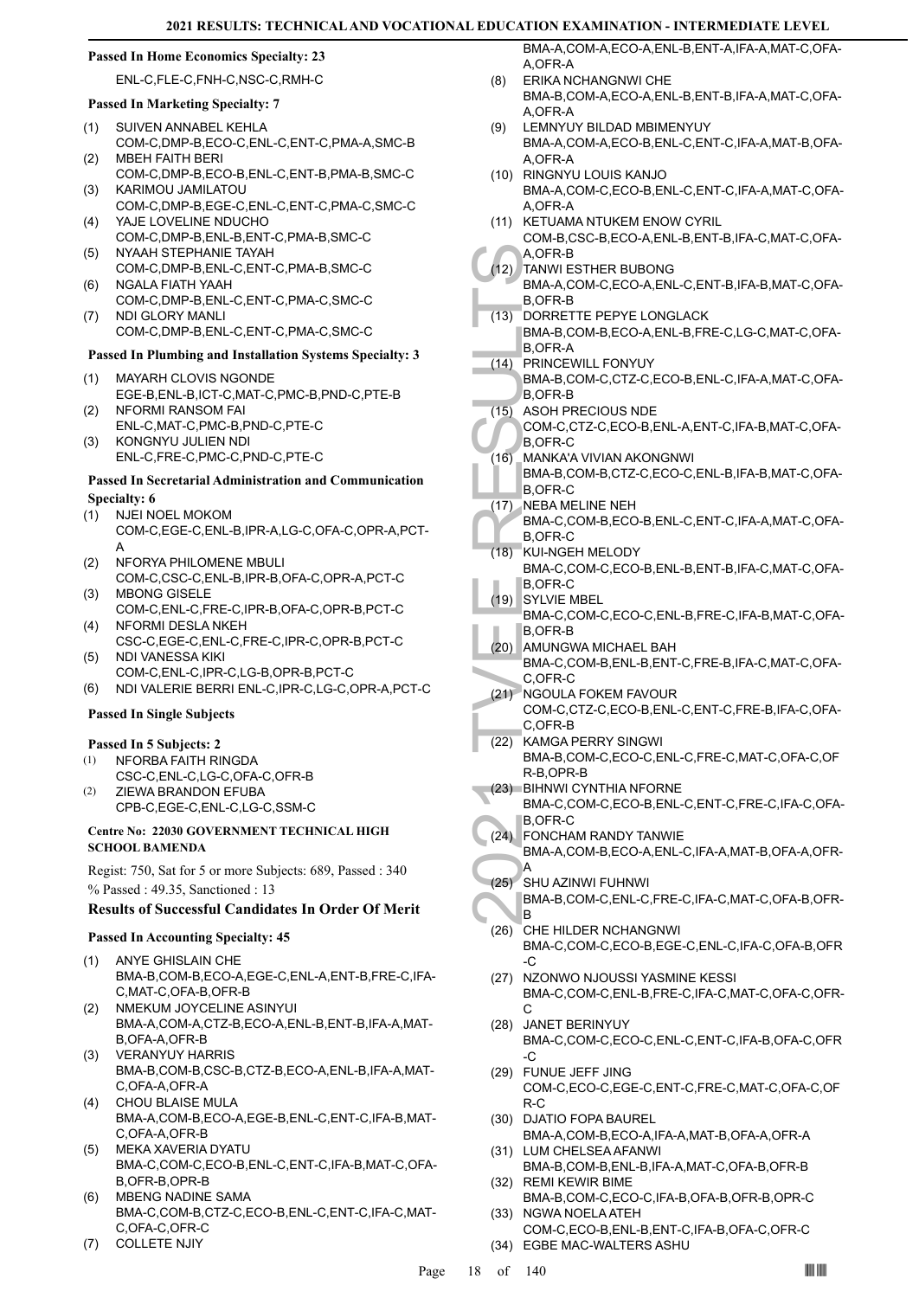#### **Passed In Home Economics Specialty: 23**

ENL-C,FLE-C,FNH-C,NSC-C,RMH-C

#### **Passed In Marketing Specialty: 7**

- SUIVEN ANNABEL KEHLA COM-C,DMP-B,ECO-C,ENL-C,ENT-C,PMA-A,SMC-B (1)
- MBEH FAITH BERI COM-C,DMP-B,ECO-B,ENL-C,ENT-B,PMA-B,SMC-C (2) KARIMOU JAMILATOU (3)
- COM-C,DMP-B,EGE-C,ENL-C,ENT-C,PMA-C,SMC-C YAJE LOVELINE NDUCHO (4)
- COM-C,DMP-B,ENL-B,ENT-C,PMA-B,SMC-C (5) NYAAH STEPHANIE TAYAH
- COM-C,DMP-B,ENL-C,ENT-C,PMA-B,SMC-C NGALA FIATH YAAH (6)
- COM-C,DMP-B,ENL-C,ENT-C,PMA-C,SMC-C NDI GLORY MANLI (7)
- COM-C,DMP-B,ENL-C,ENT-C,PMA-C,SMC-C

# **Passed In Plumbing and Installation Systems Specialty: 3**

- MAYARH CLOVIS NGONDE EGE-B,ENL-B,ICT-C,MAT-C,PMC-B,PND-C,PTE-B (1)
- NFORMI RANSOM FAI ENL-C,MAT-C,PMC-B,PND-C,PTE-C (2)
- KONGNYU JULIEN NDI ENL-C,FRE-C,PMC-C,PND-C,PTE-C (3)

### **Passed In Secretarial Administration and Communication Specialty: 6**

- NJEI NOEL MOKOM COM-C,EGE-C,ENL-B,IPR-A,LG-C,OFA-C,OPR-A,PCT-(1)
- A NFORYA PHILOMENE MBULI COM-C,CSC-C,ENL-B,IPR-B,OFA-C,OPR-A,PCT-C (2)
- MBONG GISELE COM-C,ENL-C,FRE-C,IPR-B,OFA-C,OPR-B,PCT-C (3)
- NFORMI DESLA NKEH CSC-C,EGE-C,ENL-C,FRE-C,IPR-C,OPR-B,PCT-C (4)
- NDI VANESSA KIKI COM-C,ENL-C,IPR-C,LG-B,OPR-B,PCT-C (5)
- (6) NDI VALERIE BERRI ENL-C,IPR-C,LG-C,OPR-A,PCT-C

#### **Passed In Single Subjects**

# **Passed In 5 Subjects: 2**

- NFORBA FAITH RINGDA CSC-C,ENL-C,LG-C,OFA-C,OFR-B (1)
- ZIEWA BRANDON EFUBA CPB-C,EGE-C,ENL-C,LG-C,SSM-C (2)

#### **Centre No: 22030 GOVERNMENT TECHNICAL HIGH SCHOOL BAMENDA**

Regist: 750, Sat for 5 or more Subjects: 689, Passed : 340 % Passed : 49.35, Sanctioned : 13

# **Results of Successful Candidates In Order Of Merit**

#### **Passed In Accounting Specialty: 45**

- ANYE GHISLAIN CHE BMA-B,COM-B,ECO-A,EGE-C,ENL-A,ENT-B,FRE-C,IFA-C,MAT-C,OFA-B,OFR-B (1)
- (2) NMEKUM JOYCELINE ASINYUI BMA-A,COM-A,CTZ-B,ECO-A,ENL-B,ENT-B,IFA-A,MAT-B,OFA-A,OFR-B
- VERANYUY HARRIS BMA-B,COM-B,CSC-B,CTZ-B,ECO-A,ENL-B,IFA-A,MAT-C,OFA-A,OFR-A (3)
- CHOU BLAISE MULA BMA-A,COM-B,ECO-A,EGE-B,ENL-C,ENT-C,IFA-B,MAT-C,OFA-A,OFR-B (4)
- MEKA XAVERIA DYATU BMA-C,COM-C,ECO-B,ENL-C,ENT-C,IFA-B,MAT-C,OFA-B,OFR-B,OPR-B (5)
- MBENG NADINE SAMA BMA-C,COM-B,CTZ-C,ECO-B,ENL-C,ENT-C,IFA-C,MAT-C,OFA-C,OFR-C (6)
- (7) COLLETE NJIY

BMA-A,COM-A,ECO-A,ENL-B,ENT-A,IFA-A,MAT-C,OFA-A,OFR-A

- ERIKA NCHANGNWI CHE BMA-B,COM-A,ECO-A,ENL-B,ENT-B,IFA-A,MAT-C,OFA-A,OFR-A (8)
- LEMNYUY BILDAD MBIMENYUY BMA-A,COM-A,ECO-B,ENL-C,ENT-C,IFA-A,MAT-B,OFA-A,OFR-A (9)
- RINGNYU LOUIS KANJO (10) BMA-A,COM-C,ECO-B,ENL-C,ENT-C,IFA-A,MAT-C,OFA-A,OFR-A
- (11) KETUAMA NTUKEM ENOW CYRIL COM-B,CSC-B,ECO-A,ENL-B,ENT-B,IFA-C,MAT-C,OFA-A,OFR-B
- A, OFR-1<br>
BMA-A, B, OFR-1<br>
BMA-A, B, OFR-1<br>
BMA-B, B, OFR-1<br>
BMA-B, B, OFR-1<br>
BMA-B, B, OFR-1<br>
B, OFR-1<br>
B, OFR-1<br>
B, OFR-1<br>
B, OFR-1<br>
B, OFR-1<br>
B, OFR-1<br>
B, OFR-1<br>
B, OFR-1<br>
B, OFR-1<br>
B, OFR-1<br>
B, OFR-1<br>
B, OFR-1<br>
B, OFR-TANWI ESTHER BUBONG (12) BMA-A,COM-C,ECO-A,ENL-C,ENT-B,IFA-B,MAT-C,OFA-B,OFR-B DORRETTE PEPYE LONGLACK  $(13)$ 
	- BMA-B,COM-B,ECO-A,ENL-B,FRE-C,LG-C,MAT-C,OFA-B,OFR-A
	- PRINCEWILL FONYUY BMA-B,COM-C,CTZ-C,ECO-B,ENL-C,IFA-A,MAT-C,OFA-B,OFR-B  $(14)$
- ASOH PRECIOUS NDE  $(15)$
- COM-C,CTZ-C,ECO-B,ENL-A,ENT-C,IFA-B,MAT-C,OFA-B,OFR-C
- MANKA'A VIVIAN AKONGNWI BMA-B,COM-B,CTZ-C,ECO-C,ENL-B,IFA-B,MAT-C,OFA-B,OFR-C  $(16)$
- (17) NEBA MELINE NEH
- BMA-C,COM-B,ECO-B,ENL-C,ENT-C,IFA-A,MAT-C,OFA-B,OFR-C
- KUI-NGEH MELODY BMA-C,COM-C,ECO-B,ENL-B,ENT-B,IFA-C,MAT-C,OFA-B,OFR-C (18)
- (19) SYLVIE MBEL
- BMA-C,COM-C,ECO-C,ENL-B,FRE-C,IFA-B,MAT-C,OFA-B,OFR-B
- (20) AMUNGWA MICHAEL BAH BMA-C,COM-B,ENL-B,ENT-C,FRE-B,IFA-C,MAT-C,OFA-
- C,OFR-C (21) NGOULA FOKEM FAVOUR
- COM-C,CTZ-C,ECO-B,ENL-C,ENT-C,FRE-B,IFA-C,OFA-C,OFR-B
- (22) KAMGA PERRY SINGWI BMA-B,COM-C,ECO-C,ENL-C,FRE-C,MAT-C,OFA-C,OF R-B,OPR-B
- BIHNWI CYNTHIA NFORNE (23) BMA-C,COM-C,ECO-B,ENL-C,ENT-C,FRE-C,IFA-C,OFA-B,OFR-C
- FONCHAM RANDY TANWIE BMA-A,COM-B,ECO-A,ENL-C,IFA-A,MAT-B,OFA-A,OFR-A (24)
- SHU AZINWI FUHNWI BMA-B,COM-C,ENL-C,FRE-C,IFA-C,MAT-C,OFA-B,OFR-B  $(25)$
- (26) CHE HILDER NCHANGNWI BMA-C,COM-C,ECO-B,EGE-C,ENL-C,IFA-C,OFA-B,OFR  $-C$
- (27) NZONWO NJOUSSI YASMINE KESSI BMA-C,COM-C,ENL-B,FRE-C,IFA-C,MAT-C,OFA-C,OFR-C
- (28) JANET BERINYUY BMA-C,COM-C,ECO-C,ENL-C,ENT-C,IFA-B,OFA-C,OFR -C
- FUNUE JEFF JING (29) COM-C,ECO-C,EGE-C,ENT-C,FRE-C,MAT-C,OFA-C,OF R-C
- (30) DJATIO FOPA BAUREL BMA-A,COM-B,ECO-A,IFA-A,MAT-B,OFA-A,OFR-A
- (31) LUM CHELSEA AFANWI BMA-B,COM-B,ENL-B,IFA-A,MAT-C,OFA-B,OFR-B (32) REMI KEWIR BIME
- BMA-B,COM-C,ECO-C,IFA-B,OFA-B,OFR-B,OPR-C (33) NGWA NOELA ATEH
- COM-C,ECO-B,ENL-B,ENT-C,IFA-B,OFA-C,OFR-C (34) EGBE MAC-WALTERS ASHU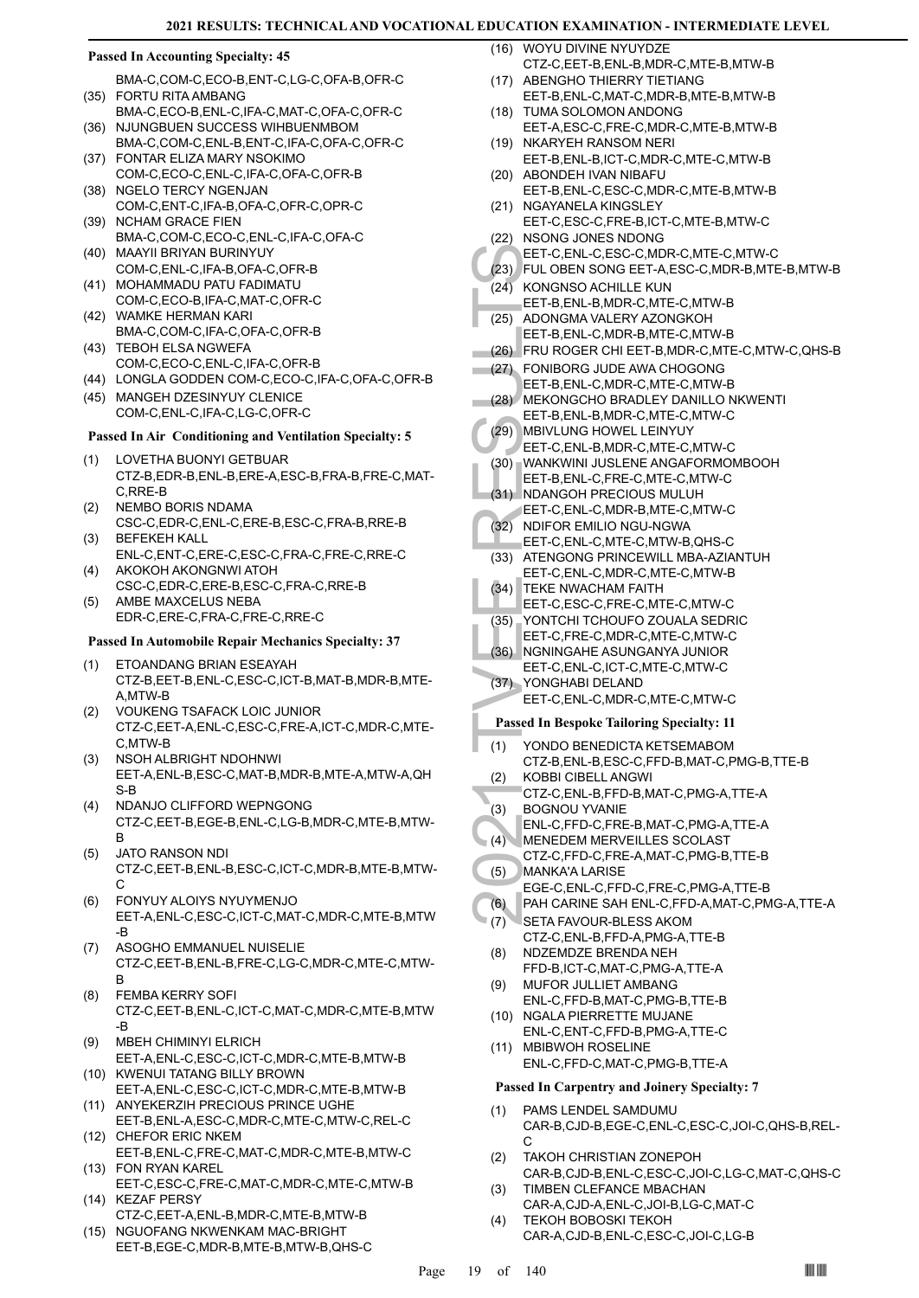#### **Passed In Accounting Specialty: 45**

- BMA-C,COM-C,ECO-B,ENT-C,LG-C,OFA-B,OFR-C FORTU RITA AMBANG (35)
- BMA-C,ECO-B,ENL-C,IFA-C,MAT-C,OFA-C,OFR-C (36) NJUNGBUEN SUCCESS WIHBUENMBOM
- BMA-C,COM-C,ENL-B,ENT-C,IFA-C,OFA-C,OFR-C FONTAR ELIZA MARY NSOKIMO (37)
- COM-C,ECO-C,ENL-C,IFA-C,OFA-C,OFR-B NGELO TERCY NGENJAN (38)
- COM-C,ENT-C,IFA-B,OFA-C,OFR-C,OPR-C (39) NCHAM GRACE FIEN
- BMA-C,COM-C,ECO-C,ENL-C,IFA-C,OFA-C MAAYII BRIYAN BURINYUY (40)
- COM-C,ENL-C,IFA-B,OFA-C,OFR-B (41) MOHAMMADU PATU FADIMATU
- COM-C,ECO-B,IFA-C,MAT-C,OFR-C WAMKE HERMAN KARI (42)
- BMA-C,COM-C,IFA-C,OFA-C,OFR-B (43) TEBOH ELSA NGWEFA
- COM-C,ECO-C,ENL-C,IFA-C,OFR-B
- (44) LONGLA GODDEN COM-C,ECO-C,IFA-C,OFA-C,OFR-B
- (45) MANGEH DZESINYUY CLENICE COM-C,ENL-C,IFA-C,LG-C,OFR-C

# **Passed In Air Conditioning and Ventilation Specialty: 5**

- LOVETHA BUONYI GETBUAR CTZ-B,EDR-B,ENL-B,ERE-A,ESC-B,FRA-B,FRE-C,MAT-C,RRE-B (1)
- NEMBO BORIS NDAMA CSC-C,EDR-C,ENL-C,ERE-B,ESC-C,FRA-B,RRE-B  $(2)$
- BEFEKEH KALL ENL-C,ENT-C,ERE-C,ESC-C,FRA-C,FRE-C,RRE-C (3)
- AKOKOH AKONGNWI ATOH CSC-C,EDR-C,ERE-B,ESC-C,FRA-C,RRE-B (4)
- AMBE MAXCELUS NEBA EDR-C,ERE-C,FRA-C,FRE-C,RRE-C (5)

#### **Passed In Automobile Repair Mechanics Specialty: 37**

- ETOANDANG BRIAN ESEAYAH (1) CTZ-B,EET-B,ENL-C,ESC-C,ICT-B,MAT-B,MDR-B,MTE-A,MTW-B
- VOUKENG TSAFACK LOIC JUNIOR CTZ-C,EET-A,ENL-C,ESC-C,FRE-A,ICT-C,MDR-C,MTE-C,MTW-B (2)
- NSOH ALBRIGHT NDOHNWI EET-A,ENL-B,ESC-C,MAT-B,MDR-B,MTE-A,MTW-A,QH S-B (3)
- NDANJO CLIFFORD WEPNGONG CTZ-C,EET-B,EGE-B,ENL-C,LG-B,MDR-C,MTE-B,MTW-B (4)
- JATO RANSON NDI CTZ-C,EET-B,ENL-B,ESC-C,ICT-C,MDR-B,MTE-B,MTW-C (5)
- FONYUY ALOIYS NYUYMENJO EET-A,ENL-C,ESC-C,ICT-C,MAT-C,MDR-C,MTE-B,MTW -B (6)
- ASOGHO EMMANUEL NUISELIE CTZ-C,EET-B,ENL-B,FRE-C,LG-C,MDR-C,MTE-C,MTW-B (7)
- FEMBA KERRY SOFI CTZ-C,EET-B,ENL-C,ICT-C,MAT-C,MDR-C,MTE-B,MTW -B (8)
- MBEH CHIMINYI ELRICH EET-A,ENL-C,ESC-C,ICT-C,MDR-C,MTE-B,MTW-B (9)
- (10) KWENUI TATANG BILLY BROWN EET-A,ENL-C,ESC-C,ICT-C,MDR-C,MTE-B,MTW-B
- (11) ANYEKERZIH PRECIOUS PRINCE UGHE
- EET-B,ENL-A,ESC-C,MDR-C,MTE-C,MTW-C,REL-C (12) CHEFOR ERIC NKEM
- EET-B,ENL-C,FRE-C,MAT-C,MDR-C,MTE-B,MTW-C (13) FON RYAN KAREL
- EET-C,ESC-C,FRE-C,MAT-C,MDR-C,MTE-C,MTW-B (14) KEZAF PERSY
- CTZ-C,EET-A,ENL-B,MDR-C,MTE-B,MTW-B
- (15) NGUOFANG NKWENKAM MAC-BRIGHT EET-B,EGE-C,MDR-B,MTE-B,MTW-B,QHS-C

WOYU DIVINE NYUYDZE (16) CTZ-C,EET-B,ENL-B,MDR-C,MTE-B,MTW-B

- (17) ABENGHO THIERRY TIETIANG EET-B,ENL-C,MAT-C,MDR-B,MTE-B,MTW-B
- (18) TUMA SOLOMON ANDONG EET-A,ESC-C,FRE-C,MDR-C,MTE-B,MTW-B
- (19) NKARYEH RANSOM NERI EET-B,ENL-B,ICT-C,MDR-C,MTE-C,MTW-B
- (20) ABONDEH IVAN NIBAFU EET-B,ENL-C,ESC-C,MDR-C,MTE-B,MTW-B (21) NGAYANELA KINGSLEY
- EET-C,ESC-C,FRE-B,ICT-C,MTE-B,MTW-C (22) NSONG JONES NDONG EET-C,ENL-C,ESC-C,MDR-C,MTE-C,MTW-C (23) FUL OBEN SONG EET-A,ESC-C,MDR-B,MTE-B,MTW-B
- $(24)$  KONGNSO ACHILLE KUN EET-B,ENL-B,MDR-C,MTE-C,MTW-B ADONGMA VALERY AZONGKOH EET-B,ENL-C,MDR-B,MTE-C,MTW-B (25)
- (26) FRU ROGER CHI EET-B,MDR-C,MTE-C,MTW-C,QHS-B
- EET-C, (23)<br>
EET-B, ADONG<br>
EET-B, ADONG<br>
EET-B, ADONG<br>
EET-B, ADONG<br>
EET-B, FRU RC<br>
(26)<br>
EET-B, MEKON<br>
EET-B, MEKON<br>
EET-C, MENIKU<br>
EET-C, WANKW<br>
EET-C, NONG<br>
EET-C, NONG<br>
EET-C, ADONG<br>
EET-C, ADONG<br>
EET-C, NONG<br>
EET-C, N FONIBORG JUDE AWA CHOGONG EET-B,ENL-C,MDR-C,MTE-C,MTW-B (27) MEKONGCHO BRADLEY DANILLO NKWENTI (28) EET-B,ENL-B,MDR-C,MTE-C,MTW-C
- MBIVLUNG HOWEL LEINYUY (29)
	- EET-C,ENL-B,MDR-C,MTE-C,MTW-C
- (30) WANKWINI JUSLENE ANGAFORMOMBOOH EET-B,ENL-C,FRE-C,MTE-C,MTW-C
- (31) NDANGOH PRECIOUS MULUH EET-C,ENL-C,MDR-B,MTE-C,MTW-C
- (32) NDIFOR EMILIO NGU-NGWA
- EET-C,ENL-C,MTE-C,MTW-B,QHS-C (33) ATENGONG PRINCEWILL MBA-AZIANTUH EET-C,ENL-C,MDR-C,MTE-C,MTW-B
- TEKE NWACHAM FAITH (34)
- EET-C,ESC-C,FRE-C,MTE-C,MTW-C
- YONTCHI TCHOUFO ZOUALA SEDRIC (35)
- EET-C,FRE-C,MDR-C,MTE-C,MTW-C
- (36) NGNINGAHE ASUNGANYA JUNIOR EET-C,ENL-C,ICT-C,MTE-C,MTW-C
- YONGHABI DELAND EET-C,ENL-C,MDR-C,MTE-C,MTW-C (37)

# **Passed In Bespoke Tailoring Specialty: 11**

- YONDO BENEDICTA KETSEMABOM (1)
	- CTZ-B,ENL-B,ESC-C,FFD-B,MAT-C,PMG-B,TTE-B
- KOBBI CIBELL ANGWI CTZ-C,ENL-B,FFD-B,MAT-C,PMG-A,TTE-A (2)
- BOGNOU YVANIE  $(3)$
- ENL-C,FFD-C,FRE-B,MAT-C,PMG-A,TTE-A
- MENEDEM MERVEILLES SCOLAST  $(4)$
- CTZ-C,FFD-C,FRE-A,MAT-C,PMG-B,TTE-B
- MANKA'A LARISE EGE-C,ENL-C,FFD-C,FRE-C,PMG-A,TTE-B (5)
- (6) PAH CARINE SAH ENL-C,FFD-A,MAT-C,PMG-A,TTE-A
- SETA FAVOUR-BLESS AKOM (7)
	- CTZ-C,ENL-B,FFD-A,PMG-A,TTE-B NDZEMDZE BRENDA NEH (8)
	- FFD-B,ICT-C,MAT-C,PMG-A,TTE-A MUFOR JULLIET AMBANG (9)
	- ENL-C,FFD-B,MAT-C,PMG-B,TTE-B (10) NGALA PIERRETTE MUJANE
	- ENL-C,ENT-C,FFD-B,PMG-A,TTE-C (11) MBIBWOH ROSELINE
	- ENL-C,FFD-C,MAT-C,PMG-B,TTE-A **Passed In Carpentry and Joinery Specialty: 7**

#### PAMS LENDEL SAMDUMU CAR-B,CJD-B,EGE-C,ENL-C,ESC-C,JOI-C,QHS-B,REL-(1)

- C TAKOH CHRISTIAN ZONEPOH (2)
- CAR-B,CJD-B,ENL-C,ESC-C,JOI-C,LG-C,MAT-C,QHS-C TIMBEN CLEFANCE MBACHAN (3)
- CAR-A,CJD-A,ENL-C,JOI-B,LG-C,MAT-C TEKOH BOBOSKI TEKOH (4)
	- CAR-A,CJD-B,ENL-C,ESC-C,JOI-C,LG-B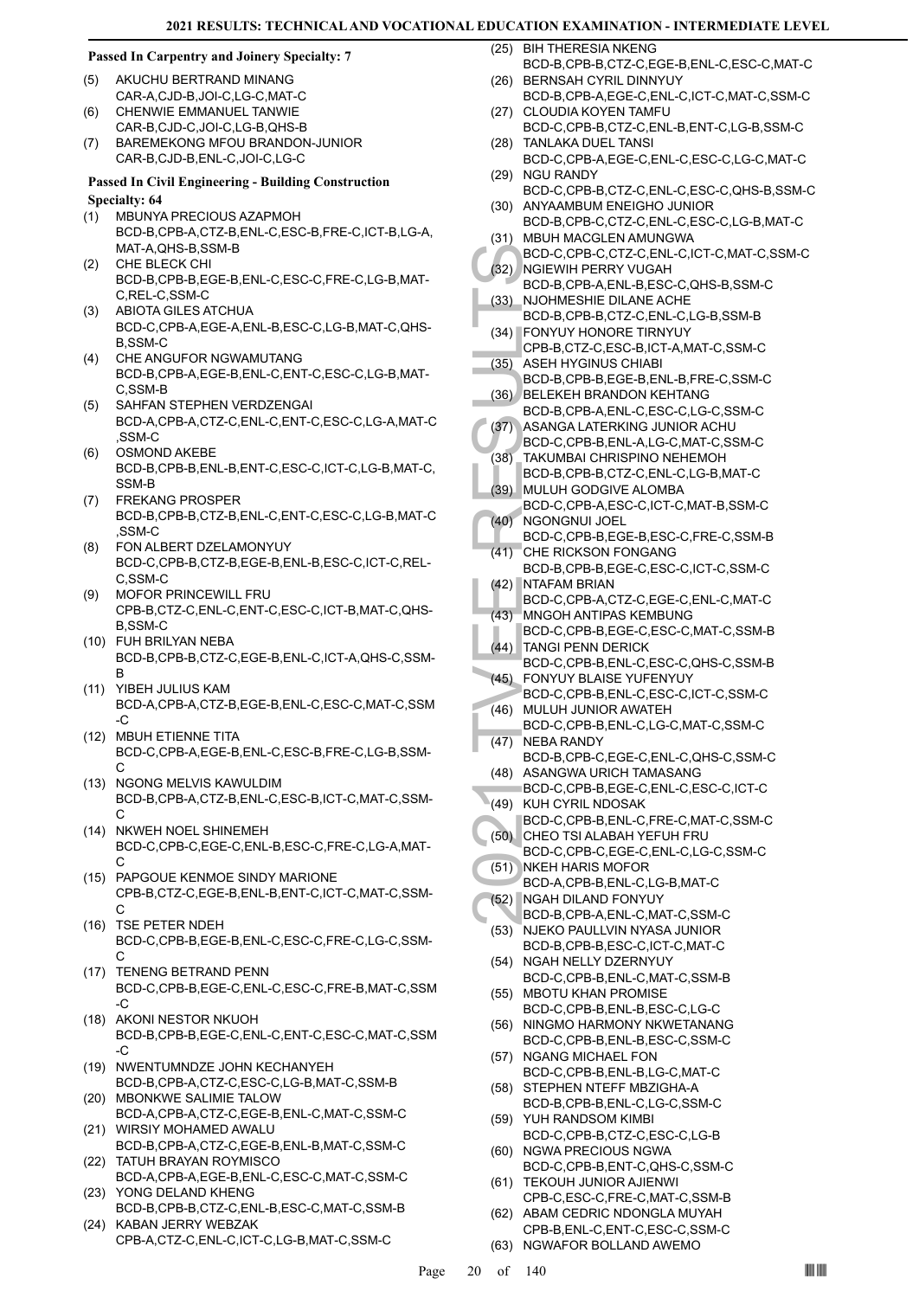#### **Passed In Carpentry and Joinery Specialty: 7**

- AKUCHU BERTRAND MINANG CAR-A,CJD-B,JOI-C,LG-C,MAT-C (5) (6)
- CHENWIE EMMANUEL TANWIE CAR-B,CJD-C,JOI-C,LG-B,QHS-B
- BAREMEKONG MFOU BRANDON-JUNIOR CAR-B,CJD-B,ENL-C,JOI-C,LG-C (7)

#### **Passed In Civil Engineering - Building Construction Specialty: 64**

- MBUNYA PRECIOUS AZAPMOH BCD-B,CPB-A,CTZ-B,ENL-C,ESC-B,FRE-C,ICT-B,LG-A, MAT-A,QHS-B,SSM-B (1)
- CHE BLECK CHI BCD-B,CPB-B,EGE-B,ENL-C,ESC-C,FRE-C,LG-B,MAT-C,REL-C,SSM-C (2)
- ABIOTA GILES ATCHUA BCD-C,CPB-A,EGE-A,ENL-B,ESC-C,LG-B,MAT-C,QHS-B,SSM-C (3)
- CHE ANGUFOR NGWAMUTANG BCD-B,CPB-A,EGE-B,ENL-C,ENT-C,ESC-C,LG-B,MAT-C,SSM-B (4)
- SAHFAN STEPHEN VERDZENGAI BCD-A,CPB-A,CTZ-C,ENL-C,ENT-C,ESC-C,LG-A,MAT-C ,SSM-C (5)
- OSMOND AKEBE BCD-B,CPB-B,ENL-B,ENT-C,ESC-C,ICT-C,LG-B,MAT-C, SSM-B (6)
- FREKANG PROSPER BCD-B,CPB-B,CTZ-B,ENL-C,ENT-C,ESC-C,LG-B,MAT-C ,SSM-C (7)
- FON ALBERT DZELAMONYUY BCD-C,CPB-B,CTZ-B,EGE-B,ENL-B,ESC-C,ICT-C,REL-C,SSM-C (8)
- MOFOR PRINCEWILL FRU CPB-B,CTZ-C,ENL-C,ENT-C,ESC-C,ICT-B,MAT-C,QHS-B,SSM-C (9)
- FUH BRILYAN NEBA (10) BCD-B,CPB-B,CTZ-C,EGE-B,ENL-C,ICT-A,QHS-C,SSM-B
- YIBEH JULIUS KAM (11) BCD-A,CPB-A,CTZ-B,EGE-B,ENL-C,ESC-C,MAT-C,SSM -C
- MBUH ETIENNE TITA (12) BCD-C,CPB-A,EGE-B,ENL-C,ESC-B,FRE-C,LG-B,SSM-C
- (13) NGONG MELVIS KAWULDIM BCD-B,CPB-A,CTZ-B,ENL-C,ESC-B,ICT-C,MAT-C,SSM- $\cap$
- (14) NKWEH NOEL SHINEMEH BCD-C,CPB-C,EGE-C,ENL-B,ESC-C,FRE-C,LG-A,MAT- $\mathcal{C}$
- (15) PAPGOUE KENMOE SINDY MARIONE CPB-B,CTZ-C,EGE-B,ENL-B,ENT-C,ICT-C,MAT-C,SSM-C
- (16) TSE PETER NDEH BCD-C,CPB-B,EGE-B,ENL-C,ESC-C,FRE-C,LG-C,SSM- $\mathsf{C}$
- (17) TENENG BETRAND PENN BCD-C,CPB-B,EGE-C,ENL-C,ESC-C,FRE-B,MAT-C,SSM -C
- (18) AKONI NESTOR NKUOH BCD-B,CPB-B,EGE-C,ENL-C,ENT-C,ESC-C,MAT-C,SSM -C
- (19) NWENTUMNDZE JOHN KECHANYEH BCD-B,CPB-A,CTZ-C,ESC-C,LG-B,MAT-C,SSM-B
- (20) MBONKWE SALIMIE TALOW BCD-A,CPB-A,CTZ-C,EGE-B,ENL-C,MAT-C,SSM-C
- (21) WIRSIY MOHAMED AWALU BCD-B,CPB-A,CTZ-C,EGE-B,ENL-B,MAT-C,SSM-C TATUH BRAYAN ROYMISCO (22)
- BCD-A,CPB-A,EGE-B,ENL-C,ESC-C,MAT-C,SSM-C YONG DELAND KHENG (23)
- BCD-B,CPB-B,CTZ-C,ENL-B,ESC-C,MAT-C,SSM-B (24) KABAN JERRY WEBZAK
- CPB-A,CTZ-C,ENL-C,ICT-C,LG-B,MAT-C,SSM-C

(25) BIH THERESIA NKENG

- BCD-B,CPB-B,CTZ-C,EGE-B,ENL-C,ESC-C,MAT-C (26) BERNSAH CYRIL DINNYUY
- BCD-B,CPB-A,EGE-C,ENL-C,ICT-C,MAT-C,SSM-C (27) CLOUDIA KOYEN TAMFU
- BCD-C,CPB-B,CTZ-C,ENL-B,ENT-C,LG-B,SSM-C TANLAKA DUEL TANSI (28)
- BCD-C,CPB-A,EGE-C,ENL-C,ESC-C,LG-C,MAT-C (29) NGU RANDY
- BCD-C,CPB-B,CTZ-C,ENL-C,ESC-C,QHS-B,SSM-C (30) ANYAAMBUM ENEIGHO JUNIOR
- BCD-B,CPB-C,CTZ-C,ENL-C,ESC-C,LG-B,MAT-C (31) MBUH MACGLEN AMUNGWA
- BCD-C,CPB-C,CTZ-C,ENL-C,ICT-C,MAT-C,SSM-C (32) NGIEWIH PERRY VUGAH
- BCD-B,CPB-A,ENL-B,ESC-C,QHS-B,SSM-C NJOHMESHIE DILANE ACHE (33)
- BCD-B,CPB-B,CTZ-C,ENL-C,LG-B,SSM-B FONYUY HONORE TIRNYUY (34)
- CPB-B,CTZ-C,ESC-B,ICT-A,MAT-C,SSM-C ASEH HYGINUS CHIABI (35)
- BCD-B,CPB-B,EGE-B,ENL-B,FRE-C,SSM-C BELEKEH BRANDON KEHTANG (36)
- BCD-B,CPB-A,ENL-C,ESC-C,LG-C,SSM-C
- ASANGA LATERKING JUNIOR ACHU (37)
- BCD-C,CPB-B,ENL-A,LG-C,MAT-C,SSM-C (38)
- TAKUMBAI CHRISPINO NEHEMOH BCD-B,CPB-B,CTZ-C,ENL-C,LG-B,MAT-C MULUH GODGIVE ALOMBA (39)
- BCD-C,CPB-A,ESC-C,ICT-C,MAT-B,SSM-C NGONGNUI JOEL (40)
- BCD-C,CPB-B,EGE-B,ESC-C,FRE-C,SSM-B CHE RICKSON FONGANG (41)
- BCD-B,CPB-B,EGE-C,ESC-C,ICT-C,SSM-C NTAFAM BRIAN (42)
	- BCD-C,CPB-A,CTZ-C,EGE-C,ENL-C,MAT-C
- BCD-C, (32) NGL BCD-B, (33) NJOHM<br>BCD-B, (33) NJOHM<br>BCD-B, (34) FONYU<br>CPB-B, (35) ASEH H<br>BCD-B, BCD-B, BCD-B, BCD-B, (36) BELEKE<br>BCD-B, ASANG<br>BCD-C, (38) TAKUM BCD-C, (38) MULUH<br>BCD-C, (40) NGONC<br>BCD-C, (41) CHE RI(<br>BCD-C, MNGOH ANTIPAS KEMBUNG BCD-C,CPB-B,EGE-C,ESC-C,MAT-C,SSM-B (43) TANGI PENN DERICK (44)
- BCD-C,CPB-B,ENL-C,ESC-C,QHS-C,SSM-B FONYUY BLAISE YUFENYUY (45)
- BCD-C,CPB-B,ENL-C,ESC-C,ICT-C,SSM-C MULUH JUNIOR AWATEH (46)
- BCD-C,CPB-B,ENL-C,LG-C,MAT-C,SSM-C  $(47)$  NEBA RANDY
- BCD-B,CPB-C,EGE-C,ENL-C,QHS-C,SSM-C (48) ASANGWA URICH TAMASANG
- BCD-C,CPB-B,EGE-C,ENL-C,ESC-C,ICT-C (49) KUH CYRIL NDOSAK
- BCD-C,CPB-B,ENL-C,FRE-C,MAT-C,SSM-C (50) CHEO TSI ALABAH YEFUH FRU
- BCD-C,CPB-C,EGE-C,ENL-C,LG-C,SSM-C (51) NKEH HARIS MOFOR
- BCD-A,CPB-B,ENL-C,LG-B,MAT-C
- NGAH DILAND FONYUY (52)
- BCD-B,CPB-A,ENL-C,MAT-C,SSM-C (53) NJEKO PAULLVIN NYASA JUNIOR
- BCD-B,CPB-B,ESC-C,ICT-C,MAT-C (54) NGAH NELLY DZERNYUY
- BCD-C,CPB-B,ENL-C,MAT-C,SSM-B (55) MBOTU KHAN PROMISE
- BCD-C,CPB-B,ENL-B,ESC-C,LG-C (56) NINGMO HARMONY NKWETANANG
- BCD-C,CPB-B,ENL-B,ESC-C,SSM-C
- (57) NGANG MICHAEL FON BCD-C,CPB-B,ENL-B,LG-C,MAT-C
- (58) STEPHEN NTEFF MBZIGHA-A BCD-B,CPB-B,ENL-C,LG-C,SSM-C
- YUH RANDSOM KIMBI (59) BCD-C,CPB-B,CTZ-C,ESC-C,LG-B
- (60) NGWA PRECIOUS NGWA BCD-C,CPB-B,ENT-C,QHS-C,SSM-C
- (61) TEKOUH JUNIOR AJIENWI CPB-C,ESC-C,FRE-C,MAT-C,SSM-B
- (62) ABAM CEDRIC NDONGLA MUYAH CPB-B,ENL-C,ENT-C,ESC-C,SSM-C
- (63) NGWAFOR BOLLAND AWEMO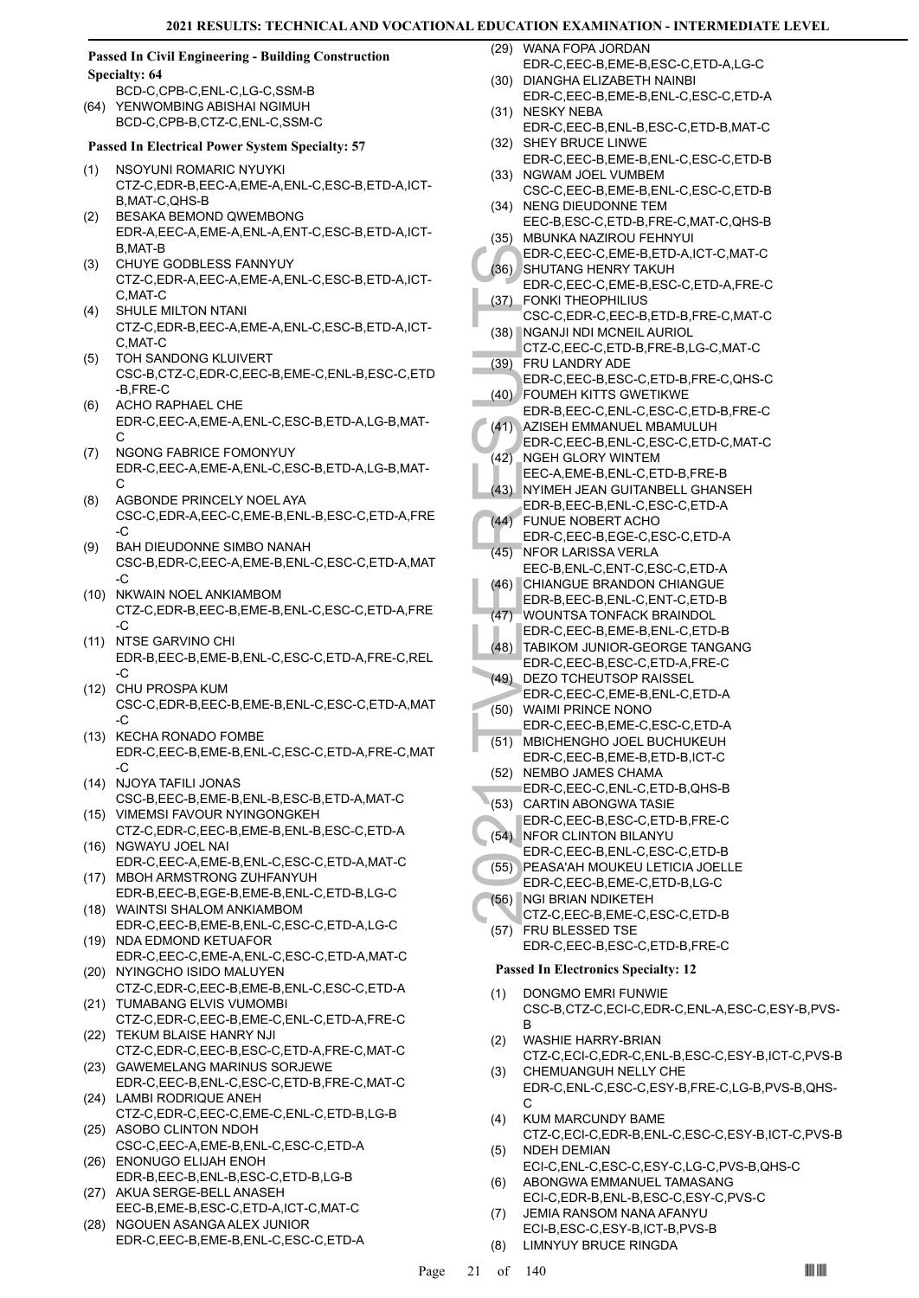#### **Passed In Civil Engineering - Building Construction Specialty: 64**

BCD-C,CPB-C,ENL-C,LG-C,SSM-B (64) YENWOMBING ABISHAI NGIMUH BCD-C,CPB-B,CTZ-C,ENL-C,SSM-C

#### **Passed In Electrical Power System Specialty: 57**

- NSOYUNI ROMARIC NYUYKI CTZ-C,EDR-B,EEC-A,EME-A,ENL-C,ESC-B,ETD-A,ICT-B,MAT-C,QHS-B (1)
- BESAKA BEMOND QWEMBONG EDR-A,EEC-A,EME-A,ENL-A,ENT-C,ESC-B,ETD-A,ICT-B,MAT-B (2)
- CHUYE GODBLESS FANNYUY CTZ-C,EDR-A,EEC-A,EME-A,ENL-C,ESC-B,ETD-A,ICT-C,MAT-C (3)
- SHULE MILTON NTANI CTZ-C,EDR-B,EEC-A,EME-A,ENL-C,ESC-B,ETD-A,ICT-C,MAT-C (4)
- TOH SANDONG KLUIVERT CSC-B,CTZ-C,EDR-C,EEC-B,EME-C,ENL-B,ESC-C,ETD -B,FRE-C (5)
- ACHO RAPHAEL CHE EDR-C,EEC-A,EME-A,ENL-C,ESC-B,ETD-A,LG-B,MAT-C (6)
- NGONG FABRICE FOMONYUY EDR-C,EEC-A,EME-A,ENL-C,ESC-B,ETD-A,LG-B,MAT-C (7)
- AGBONDE PRINCELY NOEL AYA CSC-C,EDR-A,EEC-C,EME-B,ENL-B,ESC-C,ETD-A,FRE -C (8)
- BAH DIEUDONNE SIMBO NANAH CSC-B,EDR-C,EEC-A,EME-B,ENL-C,ESC-C,ETD-A,MAT -C (9)
- (10) NKWAIN NOEL ANKIAMBOM CTZ-C,EDR-B,EEC-B,EME-B,ENL-C,ESC-C,ETD-A,FRE -C
- (11) NTSE GARVINO CHI EDR-B,EEC-B,EME-B,ENL-C,ESC-C,ETD-A,FRE-C,REL -C
- (12) CHU PROSPA KUM CSC-C,EDR-B,EEC-B,EME-B,ENL-C,ESC-C,ETD-A,MAT -C
- (13) KECHA RONADO FOMBE EDR-C,EEC-B,EME-B,ENL-C,ESC-C,ETD-A,FRE-C,MAT -C
- (14) NJOYA TAFILI JONAS CSC-B,EEC-B,EME-B,ENL-B,ESC-B,ETD-A,MAT-C (15) VIMEMSI FAVOUR NYINGONGKEH
- CTZ-C,EDR-C,EEC-B,EME-B,ENL-B,ESC-C,ETD-A (16) NGWAYU JOEL NAI
- EDR-C,EEC-A,EME-B,ENL-C,ESC-C,ETD-A,MAT-C (17) MBOH ARMSTRONG ZUHFANYUH
- EDR-B,EEC-B,EGE-B,EME-B,ENL-C,ETD-B,LG-C WAINTSI SHALOM ANKIAMBOM (18)
- EDR-C,EEC-B,EME-B,ENL-C,ESC-C,ETD-A,LG-C (19) NDA EDMOND KETUAFOR
- EDR-C,EEC-C,EME-A,ENL-C,ESC-C,ETD-A,MAT-C (20) NYINGCHO ISIDO MALUYEN
- CTZ-C,EDR-C,EEC-B,EME-B,ENL-C,ESC-C,ETD-A (21) TUMABANG ELVIS VUMOMBI
- CTZ-C,EDR-C,EEC-B,EME-C,ENL-C,ETD-A,FRE-C (22) TEKUM BLAISE HANRY NJI
- CTZ-C,EDR-C,EEC-B,ESC-C,ETD-A,FRE-C,MAT-C (23) GAWEMELANG MARINUS SORJEWE
- EDR-C,EEC-B,ENL-C,ESC-C,ETD-B,FRE-C,MAT-C (24) LAMBI RODRIQUE ANEH
- CTZ-C,EDR-C,EEC-C,EME-C,ENL-C,ETD-B,LG-B (25) ASOBO CLINTON NDOH
- CSC-C,EEC-A,EME-B,ENL-C,ESC-C,ETD-A ENONUGO ELIJAH ENOH (26)
- EDR-B,EEC-B,ENL-B,ESC-C,ETD-B,LG-B (27) AKUA SERGE-BELL ANASEH
- EEC-B,EME-B,ESC-C,ETD-A,ICT-C,MAT-C (28) NGOUEN ASANGA ALEX JUNIOR
- EDR-C,EEC-B,EME-B,ENL-C,ESC-C,ETD-A

WANA FOPA JORDAN (29)

- EDR-C,EEC-B,EME-B,ESC-C,ETD-A,LG-C (30) DIANGHA ELIZABETH NAINBI
- EDR-C,EEC-B,EME-B,ENL-C,ESC-C,ETD-A (31) NESKY NEBA
- EDR-C,EEC-B,ENL-B,ESC-C,ETD-B,MAT-C (32) SHEY BRUCE LINWE
- EDR-C,EEC-B,EME-B,ENL-C,ESC-C,ETD-B (33) NGWAM JOEL VUMBEM
- CSC-C,EEC-B,EME-B,ENL-C,ESC-C,ETD-B (34) NENG DIEUDONNE TEM
- EEC-B,ESC-C,ETD-B,FRE-C,MAT-C,QHS-B MBUNKA NAZIROU FEHNYUI (35)
- EDR-C,EEC-C,EME-B,ETD-A,ICT-C,MAT-C (36) SHUTANG HENRY TAKUH
- EDR-C,EEC-C,EME-B,ESC-C,ETD-A,FRE-C FONKI THEOPHILIUS (37)
- CSC-C,EDR-C,EEC-B,ETD-B,FRE-C,MAT-C (38) NGANJI NDI MCNEIL AURIOL
- CTZ-C,EEC-C,ETD-B,FRE-B,LG-C,MAT-C FRU LANDRY ADE (39)
- EDR-C, (38) COME (37) COME (37) COME (37) COME (38) CTZ-C, (38) CTZ-C, (38) CTZ-C, (39) FRU LA EDR-C, (42) DER-C, (42) AZISEH (41) AZISEH (42) NGEH (42) NGEH (42) NGEH (42) NGEH (42) NGEH (42) CTC-C, (42) NGEH (43) FUNUE E EDR-C,EEC-B,ESC-C,ETD-B,FRE-C,QHS-C FOUMEH KITTS GWETIKWE (40)
	- EDR-B,EEC-C,ENL-C,ESC-C,ETD-B,FRE-C
	- AZISEH EMMANUEL MBAMULUH EDR-C,EEC-B,ENL-C,ESC-C,ETD-C,MAT-C  $(41)$ (42)
	- NGEH GLORY WINTEM EEC-A,EME-B,ENL-C,ETD-B,FRE-B
- NYIMEH JEAN GUITANBELL GHANSEH EDR-B,EEC-B,ENL-C,ESC-C,ETD-A (43)
- FUNUE NOBERT ACHO EDR-C,EEC-B,EGE-C,ESC-C,ETD-A (44)
- NFOR LARISSA VERLA EEC-B,ENL-C,ENT-C,ESC-C,ETD-A (45)
- CHIANGUE BRANDON CHIANGUE EDR-B,EEC-B,ENL-C,ENT-C,ETD-B (46)
- WOUNTSA TONFACK BRAINDOL (47)
- EDR-C,EEC-B,EME-B,ENL-C,ETD-B TABIKOM JUNIOR-GEORGE TANGANG (48)
- EDR-C,EEC-B,ESC-C,ETD-A,FRE-C (49) DEZO TCHEUTSOP RAISSEL
- EDR-C,EEC-C,EME-B,ENL-C,ETD-A WAIMI PRINCE NONO (50)
- EDR-C,EEC-B,EME-C,ESC-C,ETD-A
- MBICHENGHO JOEL BUCHUKEUH (51) EDR-C,EEC-B,EME-B,ETD-B,ICT-C
- (52) NEMBO JAMES CHAMA EDR-C,EEC-C,ENL-C,ETD-B,QHS-B
- (53) CARTIN ABONGWA TASIE
- EDR-C,EEC-B,ESC-C,ETD-B,FRE-C (54) NFOR CLINTON BILANYU
	- EDR-C,EEC-B,ENL-C,ESC-C,ETD-B
	- PEASA'AH MOUKEU LETICIA JOELLE EDR-C,EEC-B,EME-C,ETD-B,LG-C (55)
- (56) NGI BRIAN NDIKETEH
- CTZ-C,EEC-B,EME-C,ESC-C,ETD-B
- FRU BLESSED TSE EDR-C,EEC-B,ESC-C,ETD-B,FRE-C (57)

# **Passed In Electronics Specialty: 12**

- DONGMO EMRI FUNWIE CSC-B,CTZ-C,ECI-C,EDR-C,ENL-A,ESC-C,ESY-B,PVS-B (1)
- WASHIE HARRY-BRIAN (2)
- CTZ-C,ECI-C,EDR-C,ENL-B,ESC-C,ESY-B,ICT-C,PVS-B CHEMUANGUH NELLY CHE (3)
- EDR-C,ENL-C,ESC-C,ESY-B,FRE-C,LG-B,PVS-B,QHS-C
- KUM MARCUNDY BAME CTZ-C,ECI-C,EDR-B,ENL-C,ESC-C,ESY-B,ICT-C,PVS-B (4)
- NDEH DEMIAN ECI-C,ENL-C,ESC-C,ESY-C,LG-C,PVS-B,QHS-C (5)
- ABONGWA EMMANUEL TAMASANG ECI-C,EDR-B,ENL-B,ESC-C,ESY-C,PVS-C (6)
- JEMIA RANSOM NANA AFANYU ECI-B,ESC-C,ESY-B,ICT-B,PVS-B (7) (8) LIMNYUY BRUCE RINGDA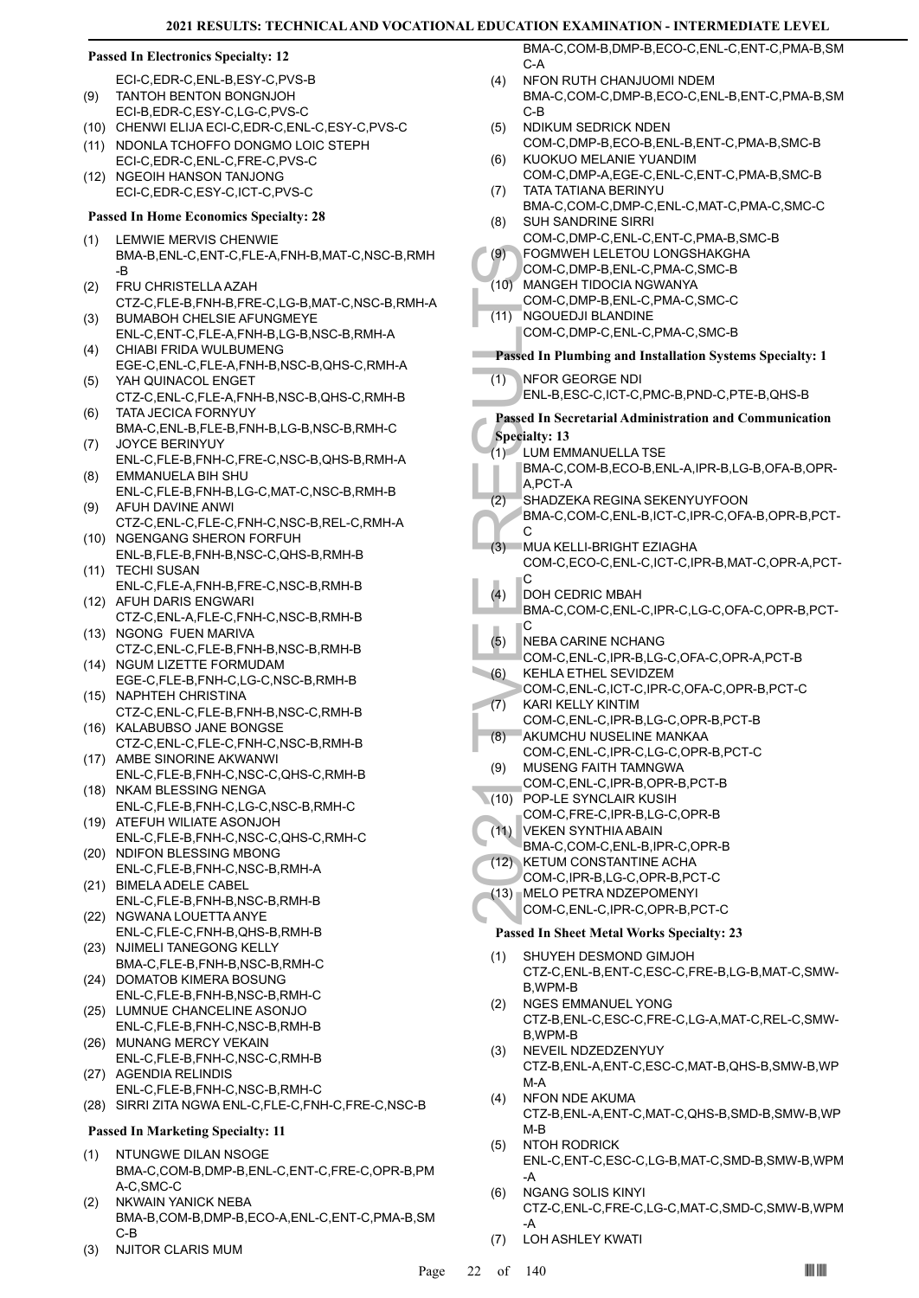#### **Passed In Electronics Specialty: 12**

ECI-C,EDR-C,ENL-B,ESY-C,PVS-B

- TANTOH BENTON BONGNJOH ECI-B,EDR-C,ESY-C,LG-C,PVS-C (9)
- (10) CHENWI ELIJA ECI-C,EDR-C,ENL-C,ESY-C,PVS-C
- (11) NDONLA TCHOFFO DONGMO LOIC STEPH ECI-C,EDR-C,ENL-C,FRE-C,PVS-C

(12) NGEOIH HANSON TANJONG ECI-C,EDR-C,ESY-C,ICT-C,PVS-C

#### **Passed In Home Economics Specialty: 28**

- LEMWIE MERVIS CHENWIE BMA-B,ENL-C,ENT-C,FLE-A,FNH-B,MAT-C,NSC-B,RMH -B (1)
- FRU CHRISTELLA AZAH CTZ-C,FLE-B,FNH-B,FRE-C,LG-B,MAT-C,NSC-B,RMH-A (2)
- BUMABOH CHELSIE AFUNGMEYE ENL-C,ENT-C,FLE-A,FNH-B,LG-B,NSC-B,RMH-A (3) CHIABI FRIDA WULBUMENG (4)
- EGE-C,ENL-C,FLE-A,FNH-B,NSC-B,QHS-C,RMH-A YAH QUINACOL ENGET (5)
- CTZ-C,ENL-C,FLE-A,FNH-B,NSC-B,QHS-C,RMH-B TATA JECICA FORNYUY (6)
- BMA-C,ENL-B,FLE-B,FNH-B,LG-B,NSC-B,RMH-C JOYCE BERINYUY (7)
- ENL-C,FLE-B,FNH-C,FRE-C,NSC-B,QHS-B,RMH-A EMMANUELA BIH SHU (8)
- ENL-C,FLE-B,FNH-B,LG-C,MAT-C,NSC-B,RMH-B AFUH DAVINE ANWI (9)
- CTZ-C,ENL-C,FLE-C,FNH-C,NSC-B,REL-C,RMH-A (10) NGENGANG SHERON FORFUH
- ENL-B,FLE-B,FNH-B,NSC-C,QHS-B,RMH-B TECHI SUSAN (11)
- ENL-C,FLE-A,FNH-B,FRE-C,NSC-B,RMH-B (12) AFUH DARIS ENGWARI
- CTZ-C,ENL-A,FLE-C,FNH-C,NSC-B,RMH-B (13) NGONG FUEN MARIVA
- CTZ-C,ENL-C,FLE-B,FNH-B,NSC-B,RMH-B (14) NGUM LIZETTE FORMUDAM
- EGE-C,FLE-B,FNH-C,LG-C,NSC-B,RMH-B (15) NAPHTEH CHRISTINA
- CTZ-C,ENL-C,FLE-B,FNH-B,NSC-C,RMH-B (16) KALABUBSO JANE BONGSE
- CTZ-C,ENL-C,FLE-C,FNH-C,NSC-B,RMH-B (17) AMBE SINORINE AKWANWI
- ENL-C,FLE-B,FNH-C,NSC-C,QHS-C,RMH-B (18) NKAM BLESSING NENGA
- ENL-C,FLE-B,FNH-C,LG-C,NSC-B,RMH-C (19) ATEFUH WILIATE ASONJOH
- ENL-C,FLE-B,FNH-C,NSC-C,QHS-C,RMH-C (20) NDIFON BLESSING MBONG
- ENL-C,FLE-B,FNH-C,NSC-B,RMH-A BIMELA ADELE CABEL (21)
- ENL-C,FLE-B,FNH-B,NSC-B,RMH-B (22) NGWANA LOUETTA ANYE
- ENL-C,FLE-C,FNH-B,QHS-B,RMH-B (23) NJIMELI TANEGONG KELLY
- BMA-C,FLE-B,FNH-B,NSC-B,RMH-C (24) DOMATOB KIMERA BOSUNG
- ENL-C,FLE-B,FNH-B,NSC-B,RMH-C (25) LUMNUE CHANCELINE ASONJO
- ENL-C,FLE-B,FNH-C,NSC-B,RMH-B (26) MUNANG MERCY VEKAIN
- ENL-C,FLE-B,FNH-C,NSC-C,RMH-B AGENDIA RELINDIS (27)
- ENL-C,FLE-B,FNH-C,NSC-B,RMH-C (28) SIRRI ZITA NGWA ENL-C,FLE-C,FNH-C,FRE-C,NSC-B

#### **Passed In Marketing Specialty: 11**

- NTUNGWE DILAN NSOGE BMA-C,COM-B,DMP-B,ENL-C,ENT-C,FRE-C,OPR-B,PM A-C,SMC-C (1)
- NKWAIN YANICK NEBA BMA-B,COM-B,DMP-B,ECO-A,ENL-C,ENT-C,PMA-B,SM C-B (2)
- (3) NJITOR CLARIS MUM

BMA-C,COM-B,DMP-B,ECO-C,ENL-C,ENT-C,PMA-B,SM C-A

- NFON RUTH CHANJUOMI NDEM BMA-C,COM-C,DMP-B,ECO-C,ENL-B,ENT-C,PMA-B,SM C-B  $(4)$
- NDIKUM SEDRICK NDEN COM-C,DMP-B,ECO-B,ENL-B,ENT-C,PMA-B,SMC-B (5) KUOKUO MELANIE YUANDIM (6)
- COM-C,DMP-A,EGE-C,ENL-C,ENT-C,PMA-B,SMC-B TATA TATIANA BERINYU (7)
- BMA-C,COM-C,DMP-C,ENL-C,MAT-C,PMA-C,SMC-C SUH SANDRINE SIRRI (8)
- COM-C,DMP-C,ENL-C,ENT-C,PMA-B,SMC-B FOGMWEH LELETOU LONGSHAKGHA  $(9)$
- COM-C,DMP-B,ENL-C,PMA-C,SMC-B
- MANGEH TIDOCIA NGWANYA  $(10)$
- COM-C,DMP-B,ENL-C,PMA-C,SMC-C
- NGOUEDJI BLANDINE  $(11)$ 
	- COM-C,DMP-C,ENL-C,PMA-C,SMC-B

# **Passed In Plumbing and Installation Systems Specialty: 1**

- NFOR GEORGE NDI (1)
	- ENL-B,ESC-C,ICT-C,PMC-B,PND-C,PTE-B,QHS-B
- **Passed In Secretarial Administration and Communication Specialty: 13**
- LUM EMMANUELLA TSE (1)
	- BMA-C,COM-B,ECO-B,ENL-A,IPR-B,LG-B,OFA-B,OPR-A,PCT-A
- SHADZEKA REGINA SEKENYUYFOON (2)
- BMA-C,COM-C,ENL-B,ICT-C,IPR-C,OFA-B,OPR-B,PCT-C
- (9) FOGMV<br>
COM-C,<br>
(10) MANGE<br>
COM-C,<br>
(11) NFOR C<br>
COM-C,<br>
Passed In Pl<br>
(1) NFOR C<br>
ENL-B, E<br> **Passed In Se**<br>
(1) LUM EN<br>
BMA-C,<br>
A,PCT-J<br>
SHADZI<br>
BMA-C,<br>
C,<br>
A,PCT-J<br>
SHADZI<br>
BMA-C,<br>
C,<br>
A,PCT-J<br>
SHADZI<br>
BMA-C,<br>
C,<br>
C,<br> MUA KELLI-BRIGHT EZIAGHA COM-C,ECO-C,ENL-C,ICT-C,IPR-B,MAT-C,OPR-A,PCT-C (3)
	- DOH CEDRIC MBAH BMA-C,COM-C,ENL-C,IPR-C,LG-C,OFA-C,OPR-B,PCT-C (4)
	- NEBA CARINE NCHANG (5)
	- COM-C,ENL-C,IPR-B,LG-C,OFA-C,OPR-A,PCT-B
- KEHLA ETHEL SEVIDZEM COM-C,ENL-C,ICT-C,IPR-C,OFA-C,OPR-B,PCT-C (6) KARI KELLY KINTIM (7)
- COM-C,ENL-C,IPR-B,LG-C,OPR-B,PCT-B
- AKUMCHU NUSELINE MANKAA COM-C,ENL-C,IPR-C,LG-C,OPR-B,PCT-C (8)
- MUSENG FAITH TAMNGWA COM-C,ENL-C,IPR-B,OPR-B,PCT-B (9)
- POP-LE SYNCLAIR KUSIH (10)
	- COM-C,FRE-C,IPR-B,LG-C,OPR-B
- VEKEN SYNTHIA ABAIN  $(11)$
- BMA-C,COM-C,ENL-B,IPR-C,OPR-B
- (12) KETUM CONSTANTINE ACHA COM-C,IPR-B,LG-C,OPR-B,PCT-C
- MELO PETRA NDZEPOMENYI (13)
- COM-C,ENL-C,IPR-C,OPR-B,PCT-C

# **Passed In Sheet Metal Works Specialty: 23**

- SHUYEH DESMOND GIMJOH CTZ-C,ENL-B,ENT-C,ESC-C,FRE-B,LG-B,MAT-C,SMW-B,WPM-B (1)
- NGES EMMANUEL YONG CTZ-B,ENL-C,ESC-C,FRE-C,LG-A,MAT-C,REL-C,SMW-B,WPM-B (2)
- NEVEIL NDZEDZENYUY CTZ-B,ENL-A,ENT-C,ESC-C,MAT-B,QHS-B,SMW-B,WP M-A (3)
- NFON NDE AKUMA CTZ-B,ENL-A,ENT-C,MAT-C,QHS-B,SMD-B,SMW-B,WP M-B (4)
- NTOH RODRICK ENL-C,ENT-C,ESC-C,LG-B,MAT-C,SMD-B,SMW-B,WPM -A (5)
- NGANG SOLIS KINYI CTZ-C,ENL-C,FRE-C,LG-C,MAT-C,SMD-C,SMW-B,WPM -A (6)
- (7) LOH ASHLEY KWATI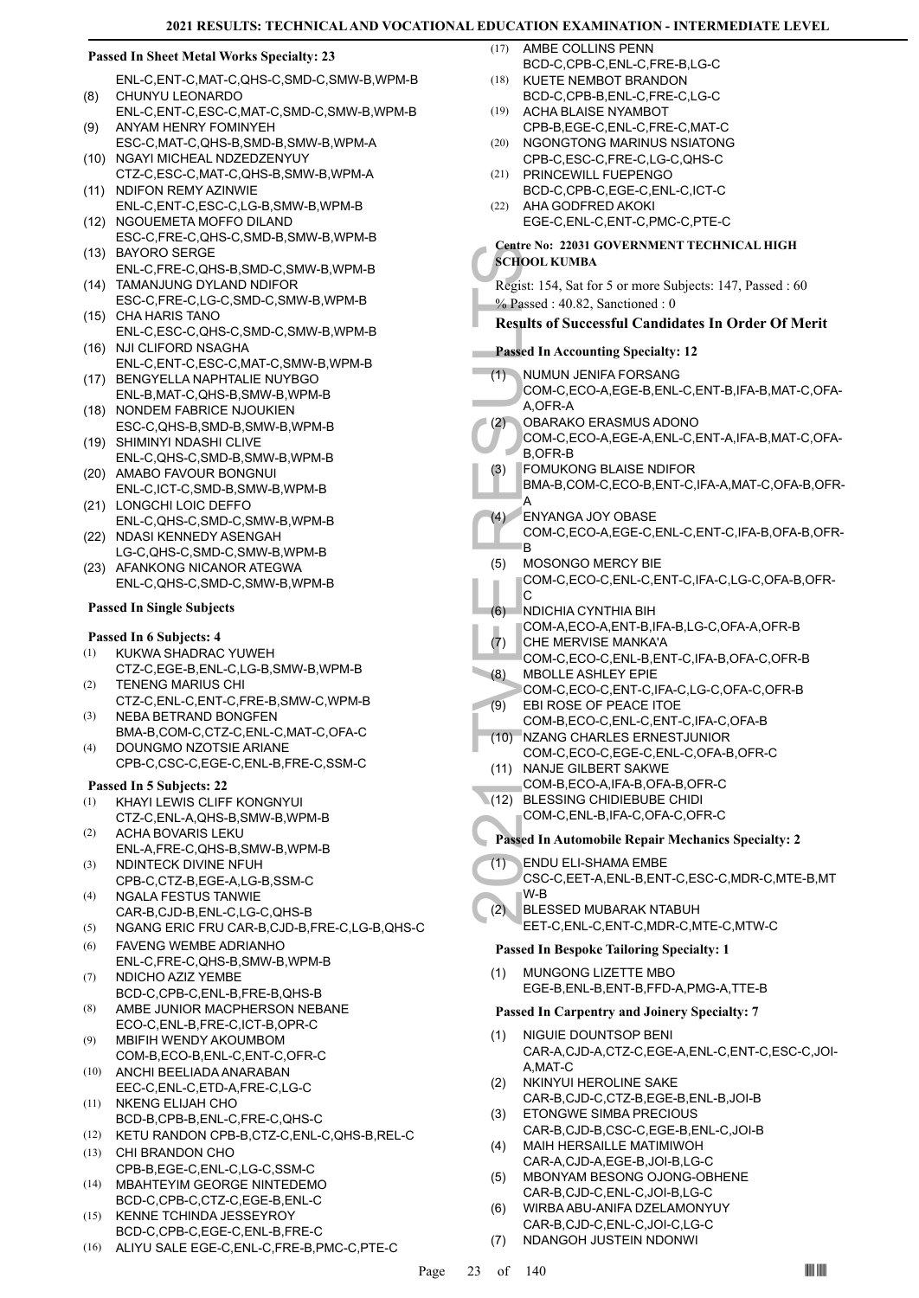#### **Passed In Sheet Metal Works Specialty: 23**

- ENL-C,ENT-C,MAT-C,QHS-C,SMD-C,SMW-B,WPM-B CHUNYU LEONARDO (8)
- ENL-C,ENT-C,ESC-C,MAT-C,SMD-C,SMW-B,WPM-B ANYAM HENRY FOMINYEH (9)
- ESC-C,MAT-C,QHS-B,SMD-B,SMW-B,WPM-A (10) NGAYI MICHEAL NDZEDZENYUY
- CTZ-C,ESC-C,MAT-C,QHS-B,SMW-B,WPM-A NDIFON REMY AZINWIE (11)
- ENL-C,ENT-C,ESC-C,LG-B,SMW-B,WPM-B (12) NGOUEMETA MOFFO DILAND
- ESC-C,FRE-C,QHS-C,SMD-B,SMW-B,WPM-B (13) BAYORO SERGE
- ENL-C,FRE-C,QHS-B,SMD-C,SMW-B,WPM-B (14) TAMANJUNG DYLAND NDIFOR
- ESC-C,FRE-C,LG-C,SMD-C,SMW-B,WPM-B CHA HARIS TANO (15)
- ENL-C,ESC-C,QHS-C,SMD-C,SMW-B,WPM-B (16) NJI CLIFORD NSAGHA
- ENL-C,ENT-C,ESC-C,MAT-C,SMW-B,WPM-B BENGYELLA NAPHTALIE NUYBGO (17)
- ENL-B,MAT-C,QHS-B,SMW-B,WPM-B (18) NONDEM FABRICE NJOUKIEN
- ESC-C,QHS-B,SMD-B,SMW-B,WPM-B (19) SHIMINYI NDASHI CLIVE
- ENL-C,QHS-C,SMD-B,SMW-B,WPM-B (20) AMABO FAVOUR BONGNUI
- ENL-C,ICT-C,SMD-B,SMW-B,WPM-B (21) LONGCHI LOIC DEFFO
- ENL-C,QHS-C,SMD-C,SMW-B,WPM-B NDASI KENNEDY ASENGAH (22)
- LG-C,QHS-C,SMD-C,SMW-B,WPM-B AFANKONG NICANOR ATEGWA (23)
- ENL-C,QHS-C,SMD-C,SMW-B,WPM-B

### **Passed In Single Subjects**

# **Passed In 6 Subjects: 4**

- KUKWA SHADRAC YUWEH CTZ-C,EGE-B,ENL-C,LG-B,SMW-B,WPM-B (1) TENENG MARIUS CHI (2)
- CTZ-C,ENL-C,ENT-C,FRE-B,SMW-C,WPM-B NEBA BETRAND BONGFEN (3)
- BMA-B,COM-C,CTZ-C,ENL-C,MAT-C,OFA-C DOUNGMO NZOTSIE ARIANE (4)
- CPB-C,CSC-C,EGE-C,ENL-B,FRE-C,SSM-C

#### **Passed In 5 Subjects: 22**

- KHAYI LEWIS CLIFF KONGNYUI (1)
- CTZ-C,ENL-A,QHS-B,SMW-B,WPM-B ACHA BOVARIS LEKU (2)
- ENL-A,FRE-C,QHS-B,SMW-B,WPM-B NDINTECK DIVINE NFUH (3)
- CPB-C,CTZ-B,EGE-A,LG-B,SSM-C NGALA FESTUS TANWIE (4)
- CAR-B,CJD-B,ENL-C,LG-C,QHS-B
- (5) NGANG ERIC FRU CAR-B,CJD-B,FRE-C,LG-B,QHS-C
- FAVENG WEMBE ADRIANHO ENL-C,FRE-C,QHS-B,SMW-B,WPM-B (6)
- NDICHO AZIZ YEMBE BCD-C,CPB-C,ENL-B,FRE-B,QHS-B (7)
- AMBE JUNIOR MACPHERSON NEBANE ECO-C,ENL-B,FRE-C,ICT-B,OPR-C (8)
- MBIFIH WENDY AKOUMBOM COM-B,ECO-B,ENL-C,ENT-C,OFR-C (9)
- ANCHI BEELIADA ANARABAN EEC-C,ENL-C,ETD-A,FRE-C,LG-C (10)
- NKENG ELIJAH CHO BCD-B,CPB-B,ENL-C,FRE-C,QHS-C (11)
- (12) KETU RANDON CPB-B,CTZ-C,ENL-C,QHS-B,REL-C CHI BRANDON CHO (13)
- CPB-B,EGE-C,ENL-C,LG-C,SSM-C MBAHTEYIM GEORGE NINTEDEMO (14)
- BCD-C,CPB-C,CTZ-C,EGE-B,ENL-C KENNE TCHINDA JESSEYROY (15)
- BCD-C,CPB-C,EGE-C,ENL-B,FRE-C
- (16) ALIYU SALE EGE-C,ENL-C,FRE-B,PMC-C,PTE-C
- AMBE COLLINS PENN BCD-C,CPB-C,ENL-C,FRE-B,LG-C  $(17)$
- KUETE NEMBOT BRANDON BCD-C,CPB-B,ENL-C,FRE-C,LG-C (18)
- ACHA BLAISE NYAMBOT CPB-B,EGE-C,ENL-C,FRE-C,MAT-C (19)
- (20) NGONGTONG MARINUS NSIATONG CPB-C,ESC-C,FRE-C,LG-C,QHS-C
- (21) PRINCEWILL FUEPENGO BCD-C,CPB-C,EGE-C,ENL-C,ICT-C
- AHA GODFRED AKOKI EGE-C,ENL-C,ENT-C,PMC-C,PTE-C (22)
- **Centre No: 22031 GOVERNMENT TECHNICAL HIGH SCHOOL KUMBA**
- Regist: 154, Sat for 5 or more Subjects: 147, Passed : 60 % Passed : 40.82, Sanctioned : 0
- **Results of Successful Candidates In Order Of Merit**

# **Passed In Accounting Specialty: 12**

- France No: 2.<br>
SCHOOL KU<br>
Regist: 154, 1<br>
% Passed : 4<br>
Results of S<br>
Passed In Ac<br>
(1) NUMUN<br>
COM-C, A,OFR-J<br>
BARA COM-C, A,OFR-J<br>
BARA COM-C, B,OFR-I<br>
BARA-B, OOM-C, B,OFR-I<br>
MARA-B, OOM-C, B,OFR-I<br>
(3) FOMUNE A<br>
(4) ENY NUMUN JENIFA FORSANG COM-C,ECO-A,EGE-B,ENL-C,ENT-B,IFA-B,MAT-C,OFA-A,OFR-A  $(1)$
- OBARAKO ERASMUS ADONO (2)
- COM-C,ECO-A,EGE-A,ENL-C,ENT-A,IFA-B,MAT-C,OFA-B,OFR-B
- FOMUKONG BLAISE NDIFOR BMA-B,COM-C,ECO-B,ENT-C,IFA-A,MAT-C,OFA-B,OFR-(3)
- A ENYANGA JOY OBASE COM-C,ECO-A,EGE-C,ENL-C,ENT-C,IFA-B,OFA-B,OFR-(4)
- B MOSONGO MERCY BIE (5)
- COM-C,ECO-C,ENL-C,ENT-C,IFA-C,LG-C,OFA-B,OFR-C
- NDICHIA CYNTHIA BIH (6)
- COM-A,ECO-A,ENT-B,IFA-B,LG-C,OFA-A,OFR-B
- CHE MERVISE MANKA'A (7)
	- COM-C,ECO-C,ENL-B,ENT-C,IFA-B,OFA-C,OFR-B
- MBOLLE ASHLEY EPIE COM-C,ECO-C,ENT-C,IFA-C,LG-C,OFA-C,OFR-B (8)
- EBI ROSE OF PEACE ITOE COM-B,ECO-C,ENL-C,ENT-C,IFA-C,OFA-B (9)
- NZANG CHARLES ERNESTJUNIOR COM-C,ECO-C,EGE-C,ENL-C,OFA-B,OFR-C  $(10)$
- (11) NANJE GILBERT SAKWE
	- COM-B,ECO-A,IFA-B,OFA-B,OFR-C
	- BLESSING CHIDIEBUBE CHIDI (12) COM-C,ENL-B,IFA-C,OFA-C,OFR-C
- **Passed In Automobile Repair Mechanics Specialty: 2**
- ENDU ELI-SHAMA EMBE CSC-C,EET-A,ENL-B,ENT-C,ESC-C,MDR-C,MTE-B,MT (1)
- W-B BLESSED MUBARAK NTABUH (2)
- EET-C,ENL-C,ENT-C,MDR-C,MTE-C,MTW-C

# **Passed In Bespoke Tailoring Specialty: 1**

MUNGONG LIZETTE MBO EGE-B,ENL-B,ENT-B,FFD-A,PMG-A,TTE-B (1)

#### **Passed In Carpentry and Joinery Specialty: 7**

- NIGUIE DOUNTSOP BENI CAR-A,CJD-A,CTZ-C,EGE-A,ENL-C,ENT-C,ESC-C,JOI-A,MAT-C (1)
- NKINYUI HEROLINE SAKE CAR-B,CJD-C,CTZ-B,EGE-B,ENL-B,JOI-B (2)
- ETONGWE SIMBA PRECIOUS CAR-B,CJD-B,CSC-C,EGE-B,ENL-C,JOI-B (3)
- MAIH HERSAILLE MATIMIWOH CAR-A,CJD-A,EGE-B,JOI-B,LG-C (4)
- MBONYAM BESONG OJONG-OBHENE CAR-B,CJD-C,ENL-C,JOI-B,LG-C (5)
- WIRBA ABU-ANIFA DZELAMONYUY CAR-B,CJD-C,ENL-C,JOI-C,LG-C (6)
- (7) NDANGOH JUSTEIN NDONWI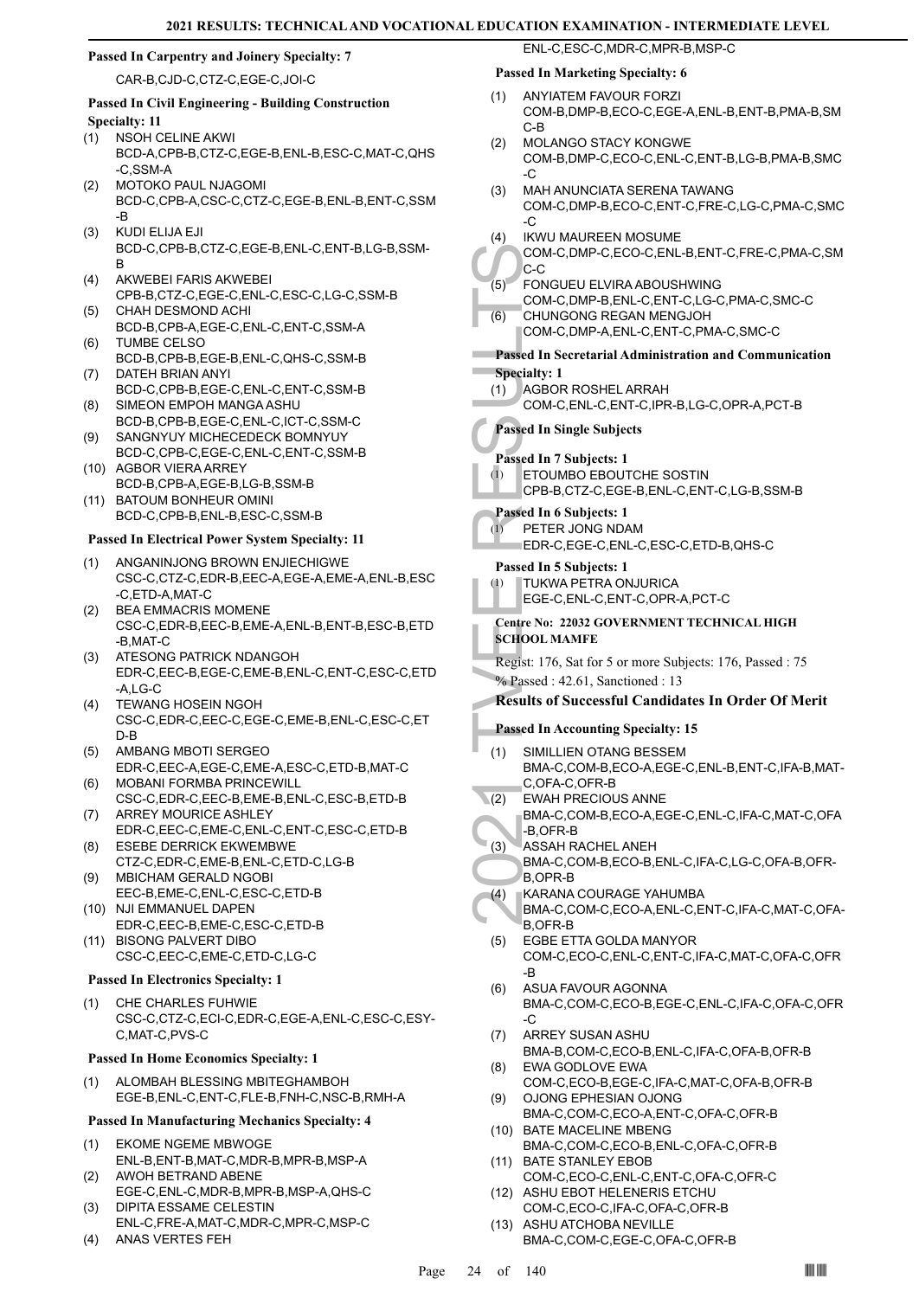#### **Passed In Carpentry and Joinery Specialty: 7**

CAR-B,CJD-C,CTZ-C,EGE-C,JOI-C

# **Passed In Civil Engineering - Building Construction Specialty: 11**

- NSOH CELINE AKWI BCD-A,CPB-B,CTZ-C,EGE-B,ENL-B,ESC-C,MAT-C,QHS -C,SSM-A (1)
- MOTOKO PAUL NJAGOMI BCD-C,CPB-A,CSC-C,CTZ-C,EGE-B,ENL-B,ENT-C,SSM -B (2)
- KUDI ELIJA EJI BCD-C,CPB-B,CTZ-C,EGE-B,ENL-C,ENT-B,LG-B,SSM-B (3)
- AKWEBEI FARIS AKWEBEI CPB-B,CTZ-C,EGE-C,ENL-C,ESC-C,LG-C,SSM-B (4)
- CHAH DESMOND ACHI BCD-B,CPB-A,EGE-C,ENL-C,ENT-C,SSM-A (5) TUMBE CELSO (6)
- BCD-B,CPB-B,EGE-B,ENL-C,QHS-C,SSM-B DATEH BRIAN ANYI (7)
- BCD-C,CPB-B,EGE-C,ENL-C,ENT-C,SSM-B SIMEON EMPOH MANGA ASHU (8)
- BCD-B,CPB-B,EGE-C,ENL-C,ICT-C,SSM-C SANGNYUY MICHECEDECK BOMNYUY (9)
- BCD-C,CPB-C,EGE-C,ENL-C,ENT-C,SSM-B (10) AGBOR VIERA ARREY
- BCD-B,CPB-A,EGE-B,LG-B,SSM-B (11) BATOUM BONHEUR OMINI
	- BCD-C,CPB-B,ENL-B,ESC-C,SSM-B

# **Passed In Electrical Power System Specialty: 11**

- ANGANINJONG BROWN ENJIECHIGWE CSC-C,CTZ-C,EDR-B,EEC-A,EGE-A,EME-A,ENL-B,ESC -C,ETD-A,MAT-C (1)
- (2) BEA EMMACRIS MOMENE CSC-C,EDR-B,EEC-B,EME-A,ENL-B,ENT-B,ESC-B,ETD -B,MAT-C
- ATESONG PATRICK NDANGOH EDR-C,EEC-B,EGE-C,EME-B,ENL-C,ENT-C,ESC-C,ETD -A,LG-C (3)
- TEWANG HOSEIN NGOH CSC-C,EDR-C,EEC-C,EGE-C,EME-B,ENL-C,ESC-C,ET D-B (4)
- AMBANG MBOTI SERGEO EDR-C,EEC-A,EGE-C,EME-A,ESC-C,ETD-B,MAT-C (5)
- MOBANI FORMBA PRINCEWILL CSC-C,EDR-C,EEC-B,EME-B,ENL-C,ESC-B,ETD-B (6) ARREY MOURICE ASHLEY (7)
- EDR-C,EEC-C,EME-C,ENL-C,ENT-C,ESC-C,ETD-B ESEBE DERRICK EKWEMBWE (8)
- CTZ-C,EDR-C,EME-B,ENL-C,ETD-C,LG-B MBICHAM GERALD NGOBI (9)
- EEC-B,EME-C,ENL-C,ESC-C,ETD-B
- (10) NJI EMMANUEL DAPEN EDR-C,EEC-B,EME-C,ESC-C,ETD-B
- BISONG PALVERT DIBO (11) CSC-C,EEC-C,EME-C,ETD-C,LG-C

#### **Passed In Electronics Specialty: 1**

CHE CHARLES FUHWIE CSC-C,CTZ-C,ECI-C,EDR-C,EGE-A,ENL-C,ESC-C,ESY-C,MAT-C,PVS-C (1)

#### **Passed In Home Economics Specialty: 1**

ALOMBAH BLESSING MBITEGHAMBOH EGE-B,ENL-C,ENT-C,FLE-B,FNH-C,NSC-B,RMH-A (1)

#### **Passed In Manufacturing Mechanics Specialty: 4**

- EKOME NGEME MBWOGE ENL-B,ENT-B,MAT-C,MDR-B,MPR-B,MSP-A (1)
- AWOH BETRAND ABENE EGE-C,ENL-C,MDR-B,MPR-B,MSP-A,QHS-C (2)
- DIPITA ESSAME CELESTIN ENL-C,FRE-A,MAT-C,MDR-C,MPR-C,MSP-C (3)
- (4) ANAS VERTES FEH

# **Passed In Marketing Specialty: 6**

ANYIATEM FAVOUR FORZI (1)

ENL-C,ESC-C,MDR-C,MPR-B,MSP-C

- COM-B,DMP-B,ECO-C,EGE-A,ENL-B,ENT-B,PMA-B,SM C-B
- MOLANGO STACY KONGWE COM-B,DMP-C,ECO-C,ENL-C,ENT-B,LG-B,PMA-B,SMC  $-C$ (2)
- MAH ANUNCIATA SERENA TAWANG COM-C,DMP-B,ECO-C,ENT-C,FRE-C,LG-C,PMA-C,SMC -C (3)
- IKWU MAUREEN MOSUME (4)

#### COM-C,DMP-C,ECO-C,ENL-B,ENT-C,FRE-C,PMA-C,SM C-C

- FONGUEU ELVIRA ABOUSHWING (5)
- COM-C,DMP-B,ENL-C,ENT-C,LG-C,PMA-C,SMC-C
- CHUNGONG REGAN MENGJOH COM-C,DMP-A,ENL-C,ENT-C,PMA-C,SMC-C (6)

# **Passed In Secretarial Administration and Communication**

**Specialty: 1**

(1)

- AGBOR ROSHEL ARRAH (1)
	- COM-C,ENL-C,ENT-C,IPR-B,LG-C,OPR-A,PCT-B

# **Passed In Single Subjects**

**Passed In 7 Subjects: 1**

- ETOUMBO EBOUTCHE SOSTIN CPB-B,CTZ-C,EGE-B,ENL-C,ENT-C,LG-B,SSM-B (1)
- **Passed In 6 Subjects: 1**

#### PETER JONG NDAM (1)

EDR-C,EGE-C,ENL-C,ESC-C,ETD-B,QHS-C

# **Passed In 5 Subjects: 1**

- TUKWA PETRA ONJURICA
	- EGE-C,ENL-C,ENT-C,OPR-A,PCT-C

#### **Centre No: 22032 GOVERNMENT TECHNICAL HIGH SCHOOL MAMFE**

Regist: 176, Sat for 5 or more Subjects: 176, Passed : 75 % Passed : 42.61, Sanctioned : 13

# **Results of Successful Candidates In Order Of Merit**

# **Passed In Accounting Specialty: 15**

- COM-C,<br>
(6) COM-C,<br>
(6) CHUNG COM-C,<br>
2021 TOM-C,<br>
2021 TOM-C,<br>
2022 Tom-C,<br>
2022 Tom-C,<br>
2022 Tom-C,<br>
2022 Tom-C,<br>
2022 Tom-C,<br>
2022 FOR-C,<br>
2022 FOR-C,<br>
2022 FOR-C,<br>
2022 FOR-C,<br>
2022 FOR-C,<br>
2022 FOR-C,<br>
2022 FOR-C,<br>
20 SIMILLIEN OTANG BESSEM BMA-C,COM-B,ECO-A,EGE-C,ENL-B,ENT-C,IFA-B,MAT-C,OFA-C,OFR-B (1)
- EWAH PRECIOUS ANNE  $(2)$
- BMA-C,COM-B,ECO-A,EGE-C,ENL-C,IFA-C,MAT-C,OFA -B,OFR-B
- ASSAH RACHEL ANEH BMA-C,COM-B,ECO-B,ENL-C,IFA-C,LG-C,OFA-B,OFR-(3)
- B,OPR-B KARANA COURAGE YAHUMBA BMA-C,COM-C,ECO-A,ENL-C,ENT-C,IFA-C,MAT-C,OFA-(4)
- B,OFR-B EGBE ETTA GOLDA MANYOR COM-C,ECO-C,ENL-C,ENT-C,IFA-C,MAT-C,OFA-C,OFR -B (5)
- ASUA FAVOUR AGONNA BMA-C,COM-C,ECO-B,EGE-C,ENL-C,IFA-C,OFA-C,OFR -C (6)
- ARREY SUSAN ASHU BMA-B,COM-C,ECO-B,ENL-C,IFA-C,OFA-B,OFR-B (7)
- EWA GODLOVE EWA COM-C,ECO-B,EGE-C,IFA-C,MAT-C,OFA-B,OFR-B (8)
- OJONG EPHESIAN OJONG BMA-C,COM-C,ECO-A,ENT-C,OFA-C,OFR-B (9)
- (10) BATE MACELINE MBENG BMA-C,COM-C,ECO-B,ENL-C,OFA-C,OFR-B
- (11) BATE STANLEY EBOB COM-C,ECO-C,ENL-C,ENT-C,OFA-C,OFR-C
- (12) ASHU EBOT HELENERIS ETCHU COM-C,ECO-C,IFA-C,OFA-C,OFR-B
- (13) ASHU ATCHOBA NEVILLE BMA-C,COM-C,EGE-C,OFA-C,OFR-B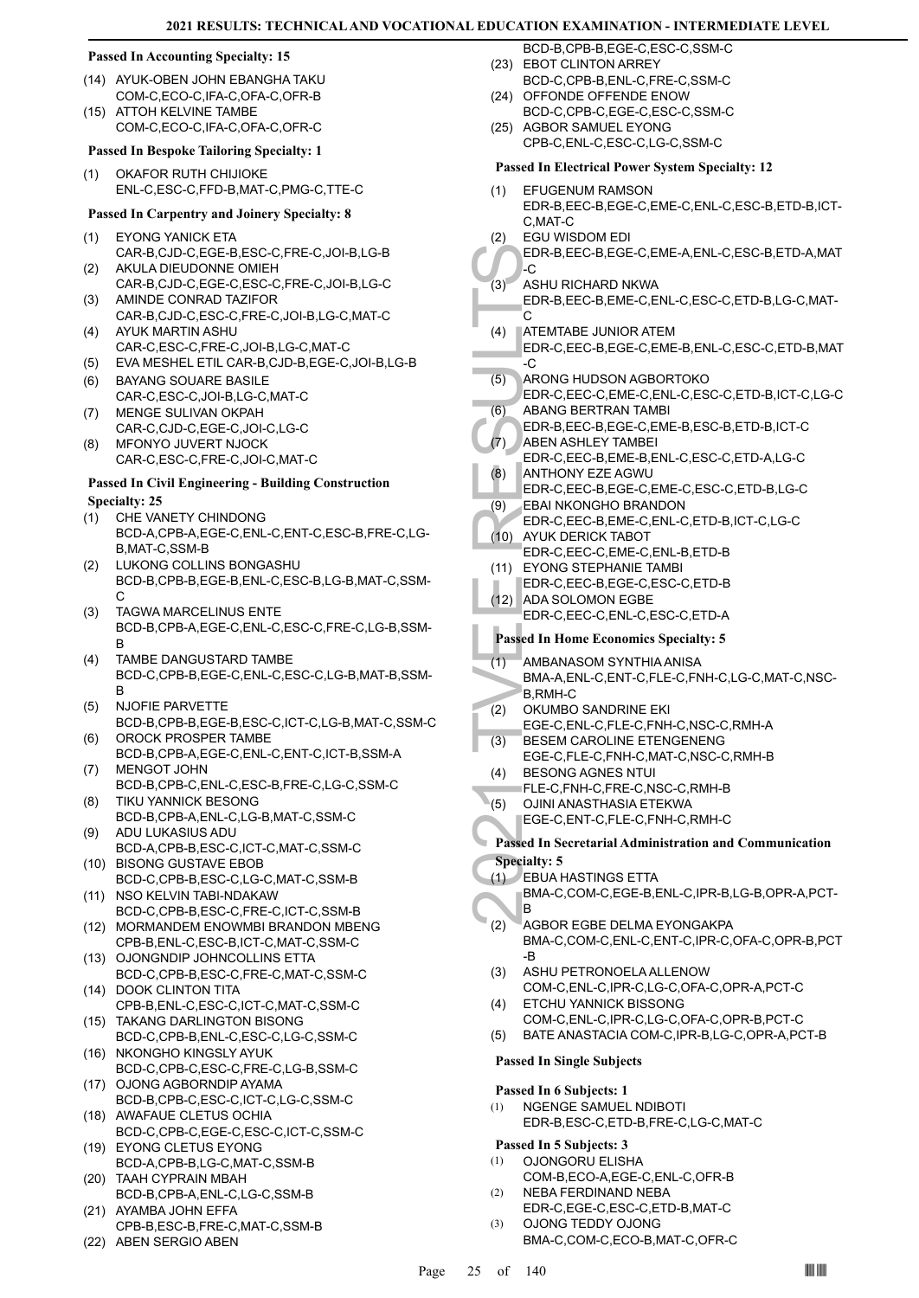#### **Passed In Accounting Specialty: 15**

- (14) AYUK-OBEN JOHN EBANGHA TAKU COM-C,ECO-C,IFA-C,OFA-C,OFR-B
- ATTOH KELVINE TAMBE COM-C,ECO-C,IFA-C,OFA-C,OFR-C  $(15)$

#### **Passed In Bespoke Tailoring Specialty: 1**

OKAFOR RUTH CHIJIOKE ENL-C,ESC-C,FFD-B,MAT-C,PMG-C,TTE-C (1)

#### **Passed In Carpentry and Joinery Specialty: 8**

- EYONG YANICK ETA CAR-B,CJD-C,EGE-B,ESC-C,FRE-C,JOI-B,LG-B (1)
- AKULA DIEUDONNE OMIEH CAR-B,CJD-C,EGE-C,ESC-C,FRE-C,JOI-B,LG-C (2)
- AMINDE CONRAD TAZIFOR CAR-B,CJD-C,ESC-C,FRE-C,JOI-B,LG-C,MAT-C (3)
- AYUK MARTIN ASHU CAR-C,ESC-C,FRE-C,JOI-B,LG-C,MAT-C (4)
- (5) EVA MESHEL ETIL CAR-B,CJD-B,EGE-C,JOI-B,LG-B
- BAYANG SOUARE BASILE CAR-C,ESC-C,JOI-B,LG-C,MAT-C (6)
- MENGE SULIVAN OKPAH CAR-C,CJD-C,EGE-C,JOI-C,LG-C (7)
- MFONYO JUVERT NJOCK CAR-C,ESC-C,FRE-C,JOI-C,MAT-C (8)

#### **Passed In Civil Engineering - Building Construction Specialty: 25**

- CHE VANETY CHINDONG BCD-A,CPB-A,EGE-C,ENL-C,ENT-C,ESC-B,FRE-C,LG-B,MAT-C,SSM-B (1)
- LUKONG COLLINS BONGASHU BCD-B,CPB-B,EGE-B,ENL-C,ESC-B,LG-B,MAT-C,SSM-C (2)
- TAGWA MARCELINUS ENTE BCD-B,CPB-A,EGE-C,ENL-C,ESC-C,FRE-C,LG-B,SSM-B (3)
- TAMBE DANGUSTARD TAMBE BCD-C,CPB-B,EGE-C,ENL-C,ESC-C,LG-B,MAT-B,SSM-B (4)
- NJOFIE PARVETTE BCD-B,CPB-B,EGE-B,ESC-C,ICT-C,LG-B,MAT-C,SSM-C (5)
- OROCK PROSPER TAMBE BCD-B,CPB-A,EGE-C,ENL-C,ENT-C,ICT-B,SSM-A (6) MENGOT JOHN (7)
- BCD-B,CPB-C,ENL-C,ESC-B,FRE-C,LG-C,SSM-C TIKU YANNICK BESONG (8)
- BCD-B,CPB-A,ENL-C,LG-B,MAT-C,SSM-C ADU LUKASIUS ADU (9)
- BCD-A,CPB-B,ESC-C,ICT-C,MAT-C,SSM-C BISONG GUSTAVE EBOB (10)
- BCD-C,CPB-B,ESC-C,LG-C,MAT-C,SSM-B (11) NSO KELVIN TABI-NDAKAW
- BCD-C,CPB-B,ESC-C,FRE-C,ICT-C,SSM-B
- (12) MORMANDEM ENOWMBI BRANDON MBENG CPB-B,ENL-C,ESC-B,ICT-C,MAT-C,SSM-C
- (13) OJONGNDIP JOHNCOLLINS ETTA BCD-C,CPB-B,ESC-C,FRE-C,MAT-C,SSM-C
- (14) DOOK CLINTON TITA CPB-B,ENL-C,ESC-C,ICT-C,MAT-C,SSM-C
- (15) TAKANG DARLINGTON BISONG BCD-C,CPB-B,ENL-C,ESC-C,LG-C,SSM-C
- (16) NKONGHO KINGSLY AYUK BCD-C,CPB-C,ESC-C,FRE-C,LG-B,SSM-C (17) OJONG AGBORNDIP AYAMA
- BCD-B,CPB-C,ESC-C,ICT-C,LG-C,SSM-C (18) AWAFAUE CLETUS OCHIA
- BCD-C,CPB-C,EGE-C,ESC-C,ICT-C,SSM-C EYONG CLETUS EYONG (19)
- BCD-A,CPB-B,LG-C,MAT-C,SSM-B TAAH CYPRAIN MBAH (20)
- BCD-B,CPB-A,ENL-C,LG-C,SSM-B (21) AYAMBA JOHN EFFA
- CPB-B,ESC-B,FRE-C,MAT-C,SSM-B (22) ABEN SERGIO ABEN
- BCD-B,CPB-B,EGE-C,ESC-C,SSM-C (23) EBOT CLINTON ARREY
- BCD-C,CPB-B,ENL-C,FRE-C,SSM-C (24) OFFONDE OFFENDE ENOW
- BCD-C,CPB-C,EGE-C,ESC-C,SSM-C
- (25) AGBOR SAMUEL EYONG CPB-C,ENL-C,ESC-C,LG-C,SSM-C

#### **Passed In Electrical Power System Specialty: 12**

- EFUGENUM RAMSON EDR-B,EEC-B,EGE-C,EME-C,ENL-C,ESC-B,ETD-B,ICT-C,MAT-C (1)
- EGU WISDOM EDI (2)

#### EDR-B,EEC-B,EGE-C,EME-A,ENL-C,ESC-B,ETD-A,MAT -C

- ASHU RICHARD NKWA (3)
	- EDR-B,EEC-B,EME-C,ENL-C,ESC-C,ETD-B,LG-C,MAT- $\overline{C}$
- EDR-B, IC<br>
(3) ASHU F EDR-B, IC<br>
(4) ATEMT/<br>
EDR-B, IC<br>
(5) ARONG EDR-C, IC<br>
(6) ABANG EDR-C, IC<br>
(6) ABANG EDR-C, IC<br>
(8) ANTHO EDR-C, IC<br>
(8) ANTHO EDR-C, IC<br>
(1) AVUK D EDR-C, IC<br>
(1) AVUK D EDR-C, IC<br>
(1) AVUK D EDR-C, ATEMTABE JUNIOR ATEM EDR-C,EEC-B,EGE-C,EME-B,ENL-C,ESC-C,ETD-B,MAT  $-c$ (4)
	- ARONG HUDSON AGBORTOKO EDR-C,EEC-C,EME-C,ENL-C,ESC-C,ETD-B,ICT-C,LG-C (5)
- ABANG BERTRAN TAMBI (6)
- EDR-B,EEC-B,EGE-C,EME-B,ESC-B,ETD-B,ICT-C
- ABEN ASHLEY TAMBEI (7)
- EDR-C,EEC-B,EME-B,ENL-C,ESC-C,ETD-A,LG-C ANTHONY EZE AGWU (8)
- EDR-C,EEC-B,EGE-C,EME-C,ESC-C,ETD-B,LG-C
- EBAI NKONGHO BRANDON (9)
- EDR-C,EEC-B,EME-C,ENL-C,ETD-B,ICT-C,LG-C
- AYUK DERICK TABOT EDR-C,EEC-C,EME-C,ENL-B,ETD-B  $(10)$
- (11) EYONG STEPHANIE TAMBI
	- EDR-C,EEC-B,EGE-C,ESC-C,ETD-B
	- (12) ADA SOLOMON EGBE EDR-C,EEC-C,ENL-C,ESC-C,ETD-A

#### **Passed In Home Economics Specialty: 5**

- AMBANASOM SYNTHIA ANISA  $(1)$
- BMA-A,ENL-C,ENT-C,FLE-C,FNH-C,LG-C,MAT-C,NSC-B,RMH-C
- OKUMBO SANDRINE EKI EGE-C,ENL-C,FLE-C,FNH-C,NSC-C,RMH-A (2)
- BESEM CAROLINE ETENGENENG EGE-C,FLE-C,FNH-C,MAT-C,NSC-C,RMH-B (3)
- BESONG AGNES NTUI (4)
- FLE-C,FNH-C,FRE-C,NSC-C,RMH-B
- OJINI ANASTHASIA ETEKWA  $(5)$
- EGE-C,ENT-C,FLE-C,FNH-C,RMH-C
- **Passed In Secretarial Administration and Communication Specialty: 5**
- EBUA HASTINGS ETTA (1)

#### BMA-C,COM-C,EGE-B,ENL-C,IPR-B,LG-B,OPR-A,PCT-B

- AGBOR EGBE DELMA EYONGAKPA BMA-C,COM-C,ENL-C,ENT-C,IPR-C,OFA-C,OPR-B,PCT -B (2)
- ASHU PETRONOELA ALLENOW COM-C,ENL-C,IPR-C,LG-C,OFA-C,OPR-A,PCT-C (3) ETCHU YANNICK BISSONG (4)
- COM-C,ENL-C,IPR-C,LG-C,OFA-C,OPR-B,PCT-C
- (5) BATE ANASTACIA COM-C,IPR-B,LG-C,OPR-A,PCT-B

#### **Passed In Single Subjects**

#### **Passed In 6 Subjects: 1**

NGENGE SAMUEL NDIBOTI EDR-B,ESC-C,ETD-B,FRE-C,LG-C,MAT-C (1)

#### **Passed In 5 Subjects: 3**

- OJONGORU ELISHA COM-B,ECO-A,EGE-C,ENL-C,OFR-B (1) NEBA FERDINAND NEBA (2)
- EDR-C,EGE-C,ESC-C,ETD-B,MAT-C OJONG TEDDY OJONG (3)
	- BMA-C,COM-C,ECO-B,MAT-C,OFR-C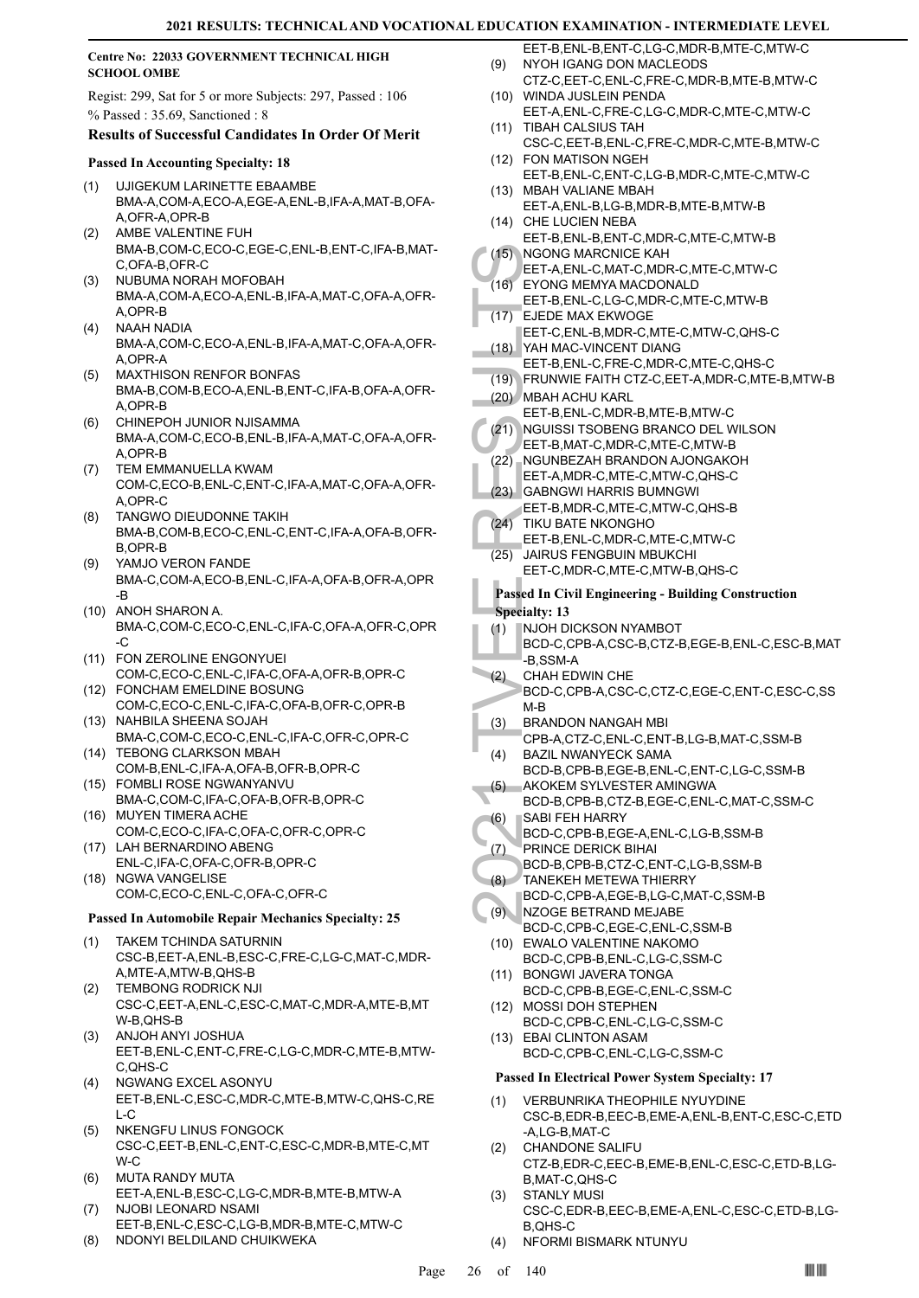#### **Centre No: 22033 GOVERNMENT TECHNICAL HIGH SCHOOL OMBE**

Regist: 299, Sat for 5 or more Subjects: 297, Passed : 106 % Passed : 35.69, Sanctioned : 8

#### **Results of Successful Candidates In Order Of Merit**

#### **Passed In Accounting Specialty: 18**

- UJIGEKUM LARINETTE EBAAMBE BMA-A,COM-A,ECO-A,EGE-A,ENL-B,IFA-A,MAT-B,OFA-A,OFR-A,OPR-B (1)
- AMBE VALENTINE FUH BMA-B,COM-C,ECO-C,EGE-C,ENL-B,ENT-C,IFA-B,MAT-C,OFA-B,OFR-C (2)
- NUBUMA NORAH MOFOBAH BMA-A,COM-A,ECO-A,ENL-B,IFA-A,MAT-C,OFA-A,OFR-A,OPR-B (3)
- NAAH NADIA BMA-A,COM-C,ECO-A,ENL-B,IFA-A,MAT-C,OFA-A,OFR-A,OPR-A (4)
- MAXTHISON RENFOR BONFAS BMA-B,COM-B,ECO-A,ENL-B,ENT-C,IFA-B,OFA-A,OFR-A,OPR-B (5)
- CHINEPOH JUNIOR NJISAMMA BMA-A,COM-C,ECO-B,ENL-B,IFA-A,MAT-C,OFA-A,OFR-A,OPR-B (6)
- TEM EMMANUELLA KWAM COM-C,ECO-B,ENL-C,ENT-C,IFA-A,MAT-C,OFA-A,OFR-A,OPR-C (7)
- TANGWO DIEUDONNE TAKIH BMA-B,COM-B,ECO-C,ENL-C,ENT-C,IFA-A,OFA-B,OFR-B,OPR-B (8)
- YAMJO VERON FANDE BMA-C,COM-A,ECO-B,ENL-C,IFA-A,OFA-B,OFR-A,OPR -B (9)
- (10) ANOH SHARON A. BMA-C,COM-C,ECO-C,ENL-C,IFA-C,OFA-A,OFR-C,OPR  $-C$
- FON ZEROLINE ENGONYUEI (11) COM-C,ECO-C,ENL-C,IFA-C,OFA-A,OFR-B,OPR-C
- FONCHAM EMELDINE BOSUNG (12) COM-C,ECO-C,ENL-C,IFA-C,OFA-B,OFR-C,OPR-B (13) NAHBILA SHEENA SOJAH
- BMA-C,COM-C,ECO-C,ENL-C,IFA-C,OFR-C,OPR-C (14) TEBONG CLARKSON MBAH
- COM-B,ENL-C,IFA-A,OFA-B,OFR-B,OPR-C FOMBLI ROSE NGWANYANVU (15)
- BMA-C,COM-C,IFA-C,OFA-B,OFR-B,OPR-C MUYEN TIMERA ACHE (16)
- COM-C,ECO-C,IFA-C,OFA-C,OFR-C,OPR-C LAH BERNARDINO ABENG (17)
- ENL-C,IFA-C,OFA-C,OFR-B,OPR-C (18) NGWA VANGELISE
- COM-C,ECO-C,ENL-C,OFA-C,OFR-C

#### **Passed In Automobile Repair Mechanics Specialty: 25**

- TAKEM TCHINDA SATURNIN CSC-B,EET-A,ENL-B,ESC-C,FRE-C,LG-C,MAT-C,MDR-A,MTE-A,MTW-B,QHS-B (1)
- TEMBONG RODRICK NJI CSC-C,EET-A,ENL-C,ESC-C,MAT-C,MDR-A,MTE-B,MT W-B,QHS-B (2)
- ANJOH ANYI JOSHUA EET-B,ENL-C,ENT-C,FRE-C,LG-C,MDR-C,MTE-B,MTW-C,QHS-C (3)
- NGWANG EXCEL ASONYU EET-B,ENL-C,ESC-C,MDR-C,MTE-B,MTW-C,QHS-C,RE  $L-C$ (4)
- NKENGFU LINUS FONGOCK CSC-C,EET-B,ENL-C,ENT-C,ESC-C,MDR-B,MTE-C,MT W-C (5)
- MUTA RANDY MUTA EET-A,ENL-B,ESC-C,LG-C,MDR-B,MTE-B,MTW-A (6)
- NJOBI LEONARD NSAMI EET-B,ENL-C,ESC-C,LG-B,MDR-B,MTE-C,MTW-C (7)
- (8) NDONYI BELDILAND CHUIKWEKA
- EET-B,ENL-B,ENT-C,LG-C,MDR-B,MTE-C,MTW-C NYOH IGANG DON MACLEODS (9)
- CTZ-C,EET-C,ENL-C,FRE-C,MDR-B,MTE-B,MTW-C WINDA JUSLEIN PENDA (10)
- EET-A,ENL-C,FRE-C,LG-C,MDR-C,MTE-C,MTW-C (11) TIBAH CALSIUS TAH
- CSC-C,EET-B,ENL-C,FRE-C,MDR-C,MTE-B,MTW-C FON MATISON NGEH (12)
- EET-B,ENL-C,ENT-C,LG-B,MDR-C,MTE-C,MTW-C MBAH VALIANE MBAH (13)
- EET-A,ENL-B,LG-B,MDR-B,MTE-B,MTW-B (14) CHE LUCIEN NEBA
- EET-B,ENL-B,ENT-C,MDR-C,MTE-C,MTW-B
- (15) NGONG MARCNICE KAH EET-A,ENL-C,MAT-C,MDR-C,MTE-C,MTW-C EYONG MEMYA MACDONALD (16)
- EET-B,ENL-C,LG-C,MDR-C,MTE-C,MTW-B (17) EJEDE MAX EKWOGE
- EET-C,ENL-B,MDR-C,MTE-C,MTW-C,QHS-C YAH MAC-VINCENT DIANG (18)
- EET-B,ENL-C,FRE-C,MDR-C,MTE-C,QHS-C
- (19) FRUNWIE FAITH CTZ-C,EET-A,MDR-C,MTE-B,MTW-B
- MBAH ACHU KARL (20) EET-B,ENL-C,MDR-B,MTE-B,MTW-C
- NGUISSI TSOBENG BRANCO DEL WILSON  $(21)$
- EET-B,MAT-C,MDR-C,MTE-C,MTW-B
- (22) NGUNBEZAH BRANDON AJONGAKOH EET-A,MDR-C,MTE-C,MTW-C,QHS-C
- GABNGWI HARRIS BUMNGWI EET-B,MDR-C,MTE-C,MTW-C,QHS-B (23)
- (24) TIKU BATE NKONGHO
- EET-B,ENL-C,MDR-C,MTE-C,MTW-C JAIRUS FENGBUIN MBUKCHI  $(25)$ 
	- EET-C,MDR-C,MTE-C,MTW-B,QHS-C

### **Passed In Civil Engineering - Building Construction Specialty: 13**

- (1) NJOH DICKSON NYAMBOT
- BCD-C,CPB-A,CSC-B,CTZ-B,EGE-B,ENL-C,ESC-B,MAT -B,SSM-A
- (16) NGONG<br>
EET-A, EYONG<br>
EET-A, EYONG<br>
EET-B, EJEDE<br>
(17) EET-B, EJEDE<br>
(17) EET-B, EJEDE<br>
(17) FRUNW<br>
EET-B, NGUISS<br>
EET-B, NGUISS<br>
EET-B, NGUISS<br>
EET-B, NGUISS<br>
EET-A, GABNG<br>
EET-B, SABNG<br>
EET-B, ISBNG<br>
EET-B, ISBNG<br>
EE CHAH EDWIN CHE BCD-C,CPB-A,CSC-C,CTZ-C,EGE-C,ENT-C,ESC-C,SS M-B (2)
- BRANDON NANGAH MBI (3)
- CPB-A,CTZ-C,ENL-C,ENT-B,LG-B,MAT-C,SSM-B BAZIL NWANYECK SAMA (4)
- BCD-B,CPB-B,EGE-B,ENL-C,ENT-C,LG-C,SSM-B AKOKEM SYLVESTER AMINGWA (5)
- BCD-B,CPB-B,CTZ-B,EGE-C,ENL-C,MAT-C,SSM-C SABI FEH HARRY (6)
- BCD-C,CPB-B,EGE-A,ENL-C,LG-B,SSM-B
- PRINCE DERICK BIHAI (7)
- BCD-B,CPB-B,CTZ-C,ENT-C,LG-B,SSM-B
- TANEKEH METEWA THIERRY BCD-C,CPB-A,EGE-B,LG-C,MAT-C,SSM-B (8)
- NZOGE BETRAND MEJABE  $(9)$
- BCD-C,CPB-C,EGE-C,ENL-C,SSM-B EWALO VALENTINE NAKOMO (10) BCD-C,CPB-B,ENL-C,LG-C,SSM-C
- (11) BONGWI JAVERA TONGA BCD-C,CPB-B,EGE-C,ENL-C,SSM-C
- MOSSI DOH STEPHEN (12)
- BCD-C,CPB-C,ENL-C,LG-C,SSM-C EBAI CLINTON ASAM (13)
- BCD-C,CPB-C,ENL-C,LG-C,SSM-C

#### **Passed In Electrical Power System Specialty: 17**

- VERBUNRIKA THEOPHILE NYUYDINE CSC-B,EDR-B,EEC-B,EME-A,ENL-B,ENT-C,ESC-C,ETD -A,LG-B,MAT-C (1)
- CHANDONE SALIFU CTZ-B,EDR-C,EEC-B,EME-B,ENL-C,ESC-C,ETD-B,LG-B,MAT-C,QHS-C (2) STANLY MUSI
- CSC-C,EDR-B,EEC-B,EME-A,ENL-C,ESC-C,ETD-B,LG-B,QHS-C (3)
- (4) NFORMI BISMARK NTUNYU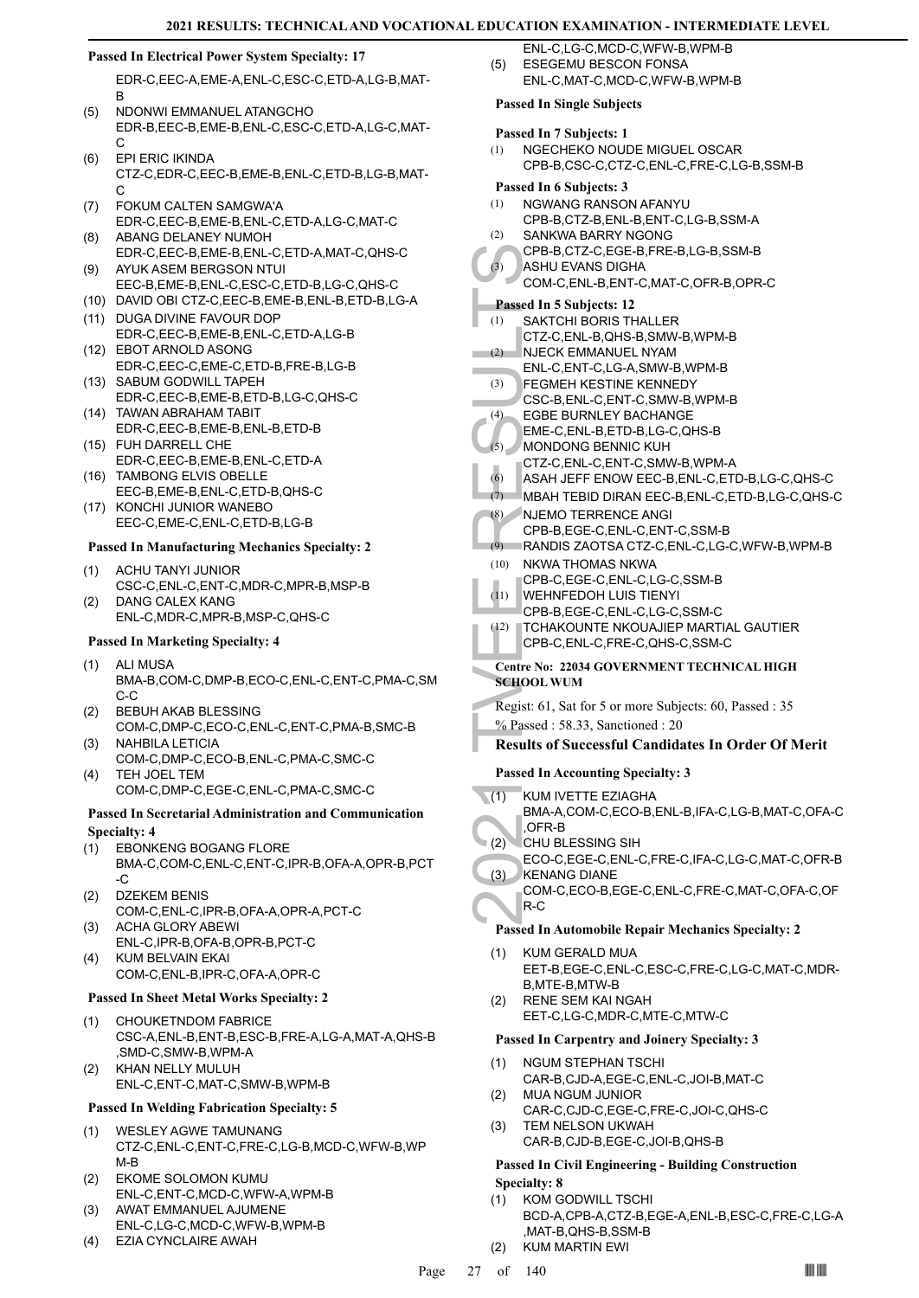#### **Passed In Electrical Power System Specialty: 17**

EDR-C,EEC-A,EME-A,ENL-C,ESC-C,ETD-A,LG-B,MAT-B

- NDONWI EMMANUEL ATANGCHO EDR-B,EEC-B,EME-B,ENL-C,ESC-C,ETD-A,LG-C,MAT-C  $(5)$
- EPI ERIC IKINDA CTZ-C,EDR-C,EEC-B,EME-B,ENL-C,ETD-B,LG-B,MAT-C (6)
- FOKUM CALTEN SAMGWA'A EDR-C,EEC-B,EME-B,ENL-C,ETD-A,LG-C,MAT-C (7)
- ABANG DELANEY NUMOH EDR-C,EEC-B,EME-B,ENL-C,ETD-A,MAT-C,QHS-C (8) AYUK ASEM BERGSON NTUI (9)
- EEC-B,EME-B,ENL-C,ESC-C,ETD-B,LG-C,QHS-C
- (10) DAVID OBI CTZ-C,EEC-B,EME-B,ENL-B,ETD-B,LG-A (11) DUGA DIVINE FAVOUR DOP
- EDR-C,EEC-B,EME-B,ENL-C,ETD-A,LG-B EBOT ARNOLD ASONG (12)
- EDR-C,EEC-C,EME-C,ETD-B,FRE-B,LG-B SABUM GODWILL TAPEH (13)
- EDR-C,EEC-B,EME-B,ETD-B,LG-C,QHS-C TAWAN ABRAHAM TABIT (14)
- EDR-C,EEC-B,EME-B,ENL-B,ETD-B FUH DARRELL CHE (15)
- EDR-C,EEC-B,EME-B,ENL-C,ETD-A (16) TAMBONG ELVIS OBELLE
- EEC-B,EME-B,ENL-C,ETD-B,QHS-C (17) KONCHI JUNIOR WANEBO EEC-C,EME-C,ENL-C,ETD-B,LG-B

# **Passed In Manufacturing Mechanics Specialty: 2**

- ACHU TANYI JUNIOR CSC-C,ENL-C,ENT-C,MDR-C,MPR-B,MSP-B (1)
- DANG CALEX KANG ENL-C,MDR-C,MPR-B,MSP-C,QHS-C (2)

# **Passed In Marketing Specialty: 4**

- ALI MUSA (1) BMA-B,COM-C,DMP-B,ECO-C,ENL-C,ENT-C,PMA-C,SM C-C
- BEBUH AKAB BLESSING (2)
- COM-C,DMP-C,ECO-C,ENL-C,ENT-C,PMA-B,SMC-B NAHBILA LETICIA (3)
- COM-C,DMP-C,ECO-B,ENL-C,PMA-C,SMC-C TEH JOEL TEM (4)
	- COM-C,DMP-C,EGE-C,ENL-C,PMA-C,SMC-C

#### **Passed In Secretarial Administration and Communication Specialty: 4**

- EBONKENG BOGANG FLORE BMA-C,COM-C,ENL-C,ENT-C,IPR-B,OFA-A,OPR-B,PCT  $\overline{C}$ (1)
- DZEKEM BENIS COM-C,ENL-C,IPR-B,OFA-A,OPR-A,PCT-C (2)
- ACHA GLORY ABEWI ENL-C,IPR-B,OFA-B,OPR-B,PCT-C (3) KUM BELVAIN EKAI (4)
	- COM-C,ENL-B,IPR-C,OFA-A,OPR-C

# **Passed In Sheet Metal Works Specialty: 2**

- CHOUKETNDOM FABRICE CSC-A,ENL-B,ENT-B,ESC-B,FRE-A,LG-A,MAT-A,QHS-B ,SMD-C,SMW-B,WPM-A (1)
- KHAN NELLY MULUH ENL-C,ENT-C,MAT-C,SMW-B,WPM-B (2)

# **Passed In Welding Fabrication Specialty: 5**

- WESLEY AGWE TAMUNANG CTZ-C,ENL-C,ENT-C,FRE-C,LG-B,MCD-C,WFW-B,WP M-B (1)
- EKOME SOLOMON KUMU ENL-C,ENT-C,MCD-C,WFW-A,WPM-B (2)
- AWAT EMMANUEL AJUMENE ENL-C,LG-C,MCD-C,WFW-B,WPM-B (3)
- (4) EZIA CYNCLAIRE AWAH
- ENL-C,LG-C,MCD-C,WFW-B,WPM-B ESEGEMU BESCON FONSA (5)
	- ENL-C,MAT-C,MCD-C,WFW-B,WPM-B

#### **Passed In Single Subjects**

- **Passed In 7 Subjects: 1**
- NGECHEKO NOUDE MIGUEL OSCAR CPB-B,CSC-C,CTZ-C,ENL-C,FRE-C,LG-B,SSM-B (1)

#### **Passed In 6 Subjects: 3**

- NGWANG RANSON AFANYU (1)
	- CPB-B,CTZ-B,ENL-B,ENT-C,LG-B,SSM-A
- SANKWA BARRY NGONG  $(2)$ 
	- CPB-B,CTZ-C,EGE-B,FRE-B,LG-B,SSM-B
- ASHU EVANS DIGHA COM-C,ENL-B,ENT-C,MAT-C,OFR-B,OPR-C  $(3)$

# **Passed In 5 Subjects: 12**

- SAKTCHI BORIS THALLER CTZ-C,ENL-B,QHS-B,SMW-B,WPM-B (1)
- NJECK EMMANUEL NYAM (2)
	- ENL-C,ENT-C,LG-A,SMW-B,WPM-B
- FEGMEH KESTINE KENNEDY (3)
- CSC-B,ENL-C,ENT-C,SMW-B,WPM-B m.  $(4)$ EGBE BURNLEY BACHANGE
	- EME-C,ENL-B,ETD-B,LG-C,QHS-B
- MONDONG BENNIC KUH (5)
	- CTZ-C,ENL-C,ENT-C,SMW-B,WPM-A
	- (6) ASAH JEFF ENOW EEC-B,ENL-C,ETD-B,LG-C,QHS-C
	- (7) MBAH TEBID DIRAN EEC-B,ENL-C,ETD-B,LG-C,QHS-C
- NJEMO TERRENCE ANGI CPB-B,EGE-C,ENL-C,ENT-C,SSM-B (8)
	- (9) RANDIS ZAOTSA CTZ-C,ENL-C,LG-C,WFW-B,WPM-B
- (10) NKWA THOMAS NKWA
	- CPB-C,EGE-C,ENL-C,LG-C,SSM-B
- WEHNFEDOH LUIS TIENYI  $(11)$
- CPB-B,EGE-C,ENL-C,LG-C,SSM-C
- TCHAKOUNTE NKOUAJIEP MARTIAL GAUTIER (12) CPB-C,ENL-C,FRE-C,QHS-C,SSM-C

# **Centre No: 22034 GOVERNMENT TECHNICAL HIGH SCHOOL WUM**

- Regist: 61, Sat for 5 or more Subjects: 60, Passed : 35
- % Passed : 58.33, Sanctioned : 20

# **Results of Successful Candidates In Order Of Merit**

# **Passed In Accounting Specialty: 3**

- KUM IVETTE EZIAGHA  $\sqrt{1}$
- CPB-B, (3)<br>
COM-C,<br>
Passed In 5 8<br>
COM-C,<br>
COM-C,<br>
COM-C,<br>
COM-C,<br>
COM-C,<br>
COM-C,<br>
COM-C,<br>
COM-C,<br>
FEGME CSC-B,<br>
COC-B,<br>
EGBE B EME-C,<br>
MDADIC CTZ-C,<br>
(4)<br>
CPB-B,<br>
(7)<br>
MBAH T NJEMO<br>
CPB-B,<br>
(9)<br>
NAM-H T CPB-C,<br>
(1)<br>
WEHNF BMA-A,COM-C,ECO-B,ENL-B,IFA-C,LG-B,MAT-C,OFA-C ,OFR-B
- CHU BLESSING SIH (2)
- ECO-C,EGE-C,ENL-C,FRE-C,IFA-C,LG-C,MAT-C,OFR-B KENANG DIANE (3)
- COM-C,ECO-B,EGE-C,ENL-C,FRE-C,MAT-C,OFA-C,OF  $R-C$

# **Passed In Automobile Repair Mechanics Specialty: 2**

- KUM GERALD MUA EET-B,EGE-C,ENL-C,ESC-C,FRE-C,LG-C,MAT-C,MDR-B,MTE-B,MTW-B (1)
- RENE SEM KAI NGAH EET-C,LG-C,MDR-C,MTE-C,MTW-C (2)

#### **Passed In Carpentry and Joinery Specialty: 3**

- NGUM STEPHAN TSCHI (1)
- CAR-B,CJD-A,EGE-C,ENL-C,JOI-B,MAT-C MUA NGUM JUNIOR (2)
- CAR-C,CJD-C,EGE-C,FRE-C,JOI-C,QHS-C TEM NELSON UKWAH (3)
	- CAR-B,CJD-B,EGE-C,JOI-B,QHS-B

# **Passed In Civil Engineering - Building Construction**

**Specialty: 8**

- KOM GODWILL TSCHI BCD-A,CPB-A,CTZ-B,EGE-A,ENL-B,ESC-C,FRE-C,LG-A ,MAT-B,QHS-B,SSM-B (1)
- (2) KUM MARTIN EWI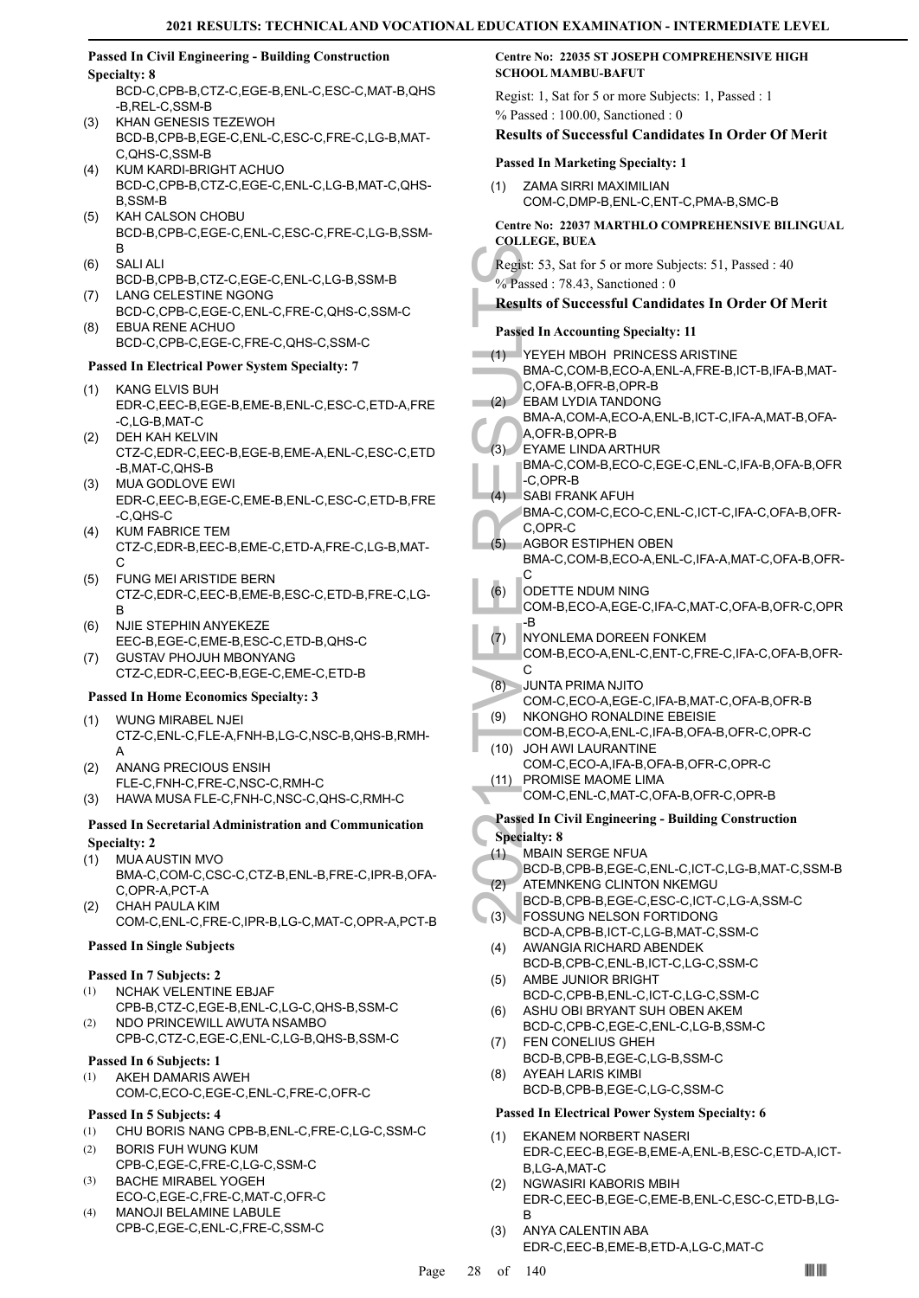#### **Passed In Civil Engineering - Building Construction Specialty: 8**

BCD-C,CPB-B,CTZ-C,EGE-B,ENL-C,ESC-C,MAT-B,QHS -B,REL-C,SSM-B

- KHAN GENESIS TEZEWOH BCD-B,CPB-B,EGE-C,ENL-C,ESC-C,FRE-C,LG-B,MAT-C,QHS-C,SSM-B (3)
- KUM KARDI-BRIGHT ACHUO BCD-C,CPB-B,CTZ-C,EGE-C,ENL-C,LG-B,MAT-C,QHS-B,SSM-B (4)
- KAH CALSON CHOBU BCD-B,CPB-C,EGE-C,ENL-C,ESC-C,FRE-C,LG-B,SSM-B (5)
- SALI ALI (6)
- BCD-B,CPB-B,CTZ-C,EGE-C,ENL-C,LG-B,SSM-B LANG CELESTINE NGONG (7)
- BCD-C,CPB-C,EGE-C,ENL-C,FRE-C,QHS-C,SSM-C EBUA RENE ACHUO (8)
- BCD-C,CPB-C,EGE-C,FRE-C,QHS-C,SSM-C

# **Passed In Electrical Power System Specialty: 7**

- KANG ELVIS BUH (1) EDR-C,EEC-B,EGE-B,EME-B,ENL-C,ESC-C,ETD-A,FRE -C,LG-B,MAT-C
- DEH KAH KELVIN (2) CTZ-C,EDR-C,EEC-B,EGE-B,EME-A,ENL-C,ESC-C,ETD -B,MAT-C,QHS-B
- MUA GODLOVE EWI EDR-C,EEC-B,EGE-C,EME-B,ENL-C,ESC-C,ETD-B,FRE -C,QHS-C (3)
- KUM FABRICE TEM CTZ-C,EDR-B,EEC-B,EME-C,ETD-A,FRE-C,LG-B,MAT- $\cap$ (4)
- FUNG MEI ARISTIDE BERN CTZ-C,EDR-C,EEC-B,EME-B,ESC-C,ETD-B,FRE-C,LG-B (5)
- NJIE STEPHIN ANYEKEZE EEC-B,EGE-C,EME-B,ESC-C,ETD-B,QHS-C (6)
- GUSTAV PHOJUH MBONYANG CTZ-C,EDR-C,EEC-B,EGE-C,EME-C,ETD-B (7)

# **Passed In Home Economics Specialty: 3**

- WUNG MIRABEL NJEI CTZ-C,ENL-C,FLE-A,FNH-B,LG-C,NSC-B,QHS-B,RMH-A (1)
- ANANG PRECIOUS ENSIH FLE-C,FNH-C,FRE-C,NSC-C,RMH-C (2)
- (3) HAWA MUSA FLE-C,FNH-C,NSC-C,QHS-C,RMH-C

# **Passed In Secretarial Administration and Communication Specialty: 2**

- MUA AUSTIN MVO (1)
- BMA-C,COM-C,CSC-C,CTZ-B,ENL-B,FRE-C,IPR-B,OFA-C,OPR-A,PCT-A
- CHAH PAULA KIM COM-C,ENL-C,FRE-C,IPR-B,LG-C,MAT-C,OPR-A,PCT-B (2)

# **Passed In Single Subjects**

# **Passed In 7 Subjects: 2**

- NCHAK VELENTINE EBJAF (1)
- CPB-B,CTZ-C,EGE-B,ENL-C,LG-C,QHS-B,SSM-C NDO PRINCEWILL AWUTA NSAMBO (2)
- CPB-C,CTZ-C,EGE-C,ENL-C,LG-B,QHS-B,SSM-C

# **Passed In 6 Subjects: 1**

AKEH DAMARIS AWEH COM-C,ECO-C,EGE-C,ENL-C,FRE-C,OFR-C (1)

# **Passed In 5 Subjects: 4**

- (1) CHU BORIS NANG CPB-B,ENL-C,FRE-C,LG-C,SSM-C BORIS FUH WUNG KUM (2)
- CPB-C,EGE-C,FRE-C,LG-C,SSM-C
- BACHE MIRABEL YOGEH ECO-C,EGE-C,FRE-C,MAT-C,OFR-C (3)
- MANOJI BELAMINE LABULE CPB-C,EGE-C,ENL-C,FRE-C,SSM-C (4)

# **Centre No: 22035 ST JOSEPH COMPREHENSIVE HIGH SCHOOL MAMBU-BAFUT**

Regist: 1, Sat for 5 or more Subjects: 1, Passed : 1 % Passed : 100.00, Sanctioned : 0

# **Results of Successful Candidates In Order Of Merit**

# **Passed In Marketing Specialty: 1**

ZAMA SIRRI MAXIMILIAN COM-C,DMP-B,ENL-C,ENT-C,PMA-B,SMC-B (1)

# **Centre No: 22037 MARTHLO COMPREHENSIVE BILINGUAL COLLEGE, BUEA**

# **Results of Successful Candidates In Order Of Merit**

# **Passed In Accounting Specialty: 11**

| Regist: 53, Sat for 5 or more Subjects: 51, Passed : 40<br>% Passed: 78.43, Sanctioned: 0 |                                                                                                       |  |  |
|-------------------------------------------------------------------------------------------|-------------------------------------------------------------------------------------------------------|--|--|
| <b>Results of Successful Candidates In Order Of Merit</b>                                 |                                                                                                       |  |  |
|                                                                                           | <b>Passed In Accounting Specialty: 11</b>                                                             |  |  |
| (1)                                                                                       | YEYEH MBOH PRINCESS ARISTINE<br>BMA-C,COM-B,ECO-A,ENL-A,FRE-B,ICT-B,IFA-B,MAT-<br>C,OFA-B,OFR-B,OPR-B |  |  |
| (2)                                                                                       | <b>EBAM LYDIA TANDONG</b><br>BMA-A,COM-A,ECO-A,ENL-B,ICT-C,IFA-A,MAT-B,OFA-<br>A, OFR-B, OPR-B        |  |  |
| (3)                                                                                       | <b>EYAME LINDA ARTHUR</b><br>BMA-C,COM-B,ECO-C,EGE-C,ENL-C,IFA-B,OFA-B,OFR<br>-C.OPR-B                |  |  |
| (4)                                                                                       | <b>SABI FRANK AFUH</b><br>BMA-C,COM-C,ECO-C,ENL-C,ICT-C,IFA-C,OFA-B,OFR-<br>C.OPR-C                   |  |  |
| (5)                                                                                       | <b>AGBOR ESTIPHEN OBEN</b><br>BMA-C,COM-B,ECO-A,ENL-C,IFA-A,MAT-C,OFA-B,OFR-<br>С                     |  |  |
| (6)                                                                                       | ODETTE NDUM NING<br>COM-B,ECO-A,EGE-C,IFA-C,MAT-C,OFA-B,OFR-C,OPR<br>-B                               |  |  |
| (7)                                                                                       | NYONLEMA DOREEN FONKEM<br>COM-B,ECO-A,ENL-C,ENT-C,FRE-C,IFA-C,OFA-B,OFR-<br>С                         |  |  |
| (8)                                                                                       | JUNTA PRIMA NJITO<br>COM-C,ECO-A,EGE-C,IFA-B,MAT-C,OFA-B,OFR-B                                        |  |  |
| (9)                                                                                       | NKONGHO RONALDINE EBEISIE<br>COM-B,ECO-A,ENL-C,IFA-B,OFA-B,OFR-C,OPR-C                                |  |  |
| (10)<br>(11)                                                                              | <b>JOH AWI LAURANTINE</b><br>COM-C,ECO-A, IFA-B, OFA-B, OFR-C, OPR-C<br>PROMISE MAOME LIMA            |  |  |
|                                                                                           | COM-C, ENL-C, MAT-C, OFA-B, OFR-C, OPR-B                                                              |  |  |
|                                                                                           | <b>Passed In Civil Engineering - Building Construction</b><br><b>Specialty: 8</b>                     |  |  |
| (1)                                                                                       | <b>MBAIN SERGE NFUA</b>                                                                               |  |  |
| (2)                                                                                       | BCD-B,CPB-B,EGE-C,ENL-C,ICT-C,LG-B,MAT-C,SSM-B<br>ATEMNKENG CLINTON NKEMGU                            |  |  |
| (3)                                                                                       | BCD-B,CPB-B,EGE-C,ESC-C,ICT-C,LG-A,SSM-C<br>FOSSUNG NELSON FORTIDONG                                  |  |  |
| (4)                                                                                       | BCD-A,CPB-B,ICT-C,LG-B,MAT-C,SSM-C<br>AWANGIA RICHARD ABENDEK<br>BCD-B,CPB-C,ENL-B,ICT-C,LG-C,SSM-C   |  |  |
| (5)                                                                                       | AMBE JUNIOR BRIGHT<br>BCD-C,CPB-B,ENL-C,ICT-C,LG-C,SSM-C                                              |  |  |
| (6)                                                                                       | ASHU OBI BRYANT SUH OBEN AKEM<br>BCD-C,CPB-C,EGE-C,ENL-C,LG-B,SSM-C                                   |  |  |
| (7)                                                                                       | <b>FEN CONELIUS GHEH</b><br>BCD-B,CPB-B,EGE-C,LG-B,SSM-C                                              |  |  |
| (8)                                                                                       | AYEAH LARIS KIMBI<br>BCD-B,CPB-B,EGE-C,LG-C,SSM-C                                                     |  |  |
| <b>Passed In Electrical Power System Specialty: 6</b>                                     |                                                                                                       |  |  |
| (1)                                                                                       | EKANEM NORBERT NASERI<br>EDR-C,EEC-B,EGE-B,EME-A,ENL-B,ESC-C,ETD-A,ICT-                               |  |  |
| (2)                                                                                       | B,LG-A,MAT-C<br>NGWASIRI KABORIS MBIH<br>EDR-C,EEC-B,EGE-C,EME-B,ENL-C,ESC-C,ETD-B,LG-<br>В           |  |  |

ANYA CALENTIN ABA EDR-C,EEC-B,EME-B,ETD-A,LG-C,MAT-C (3)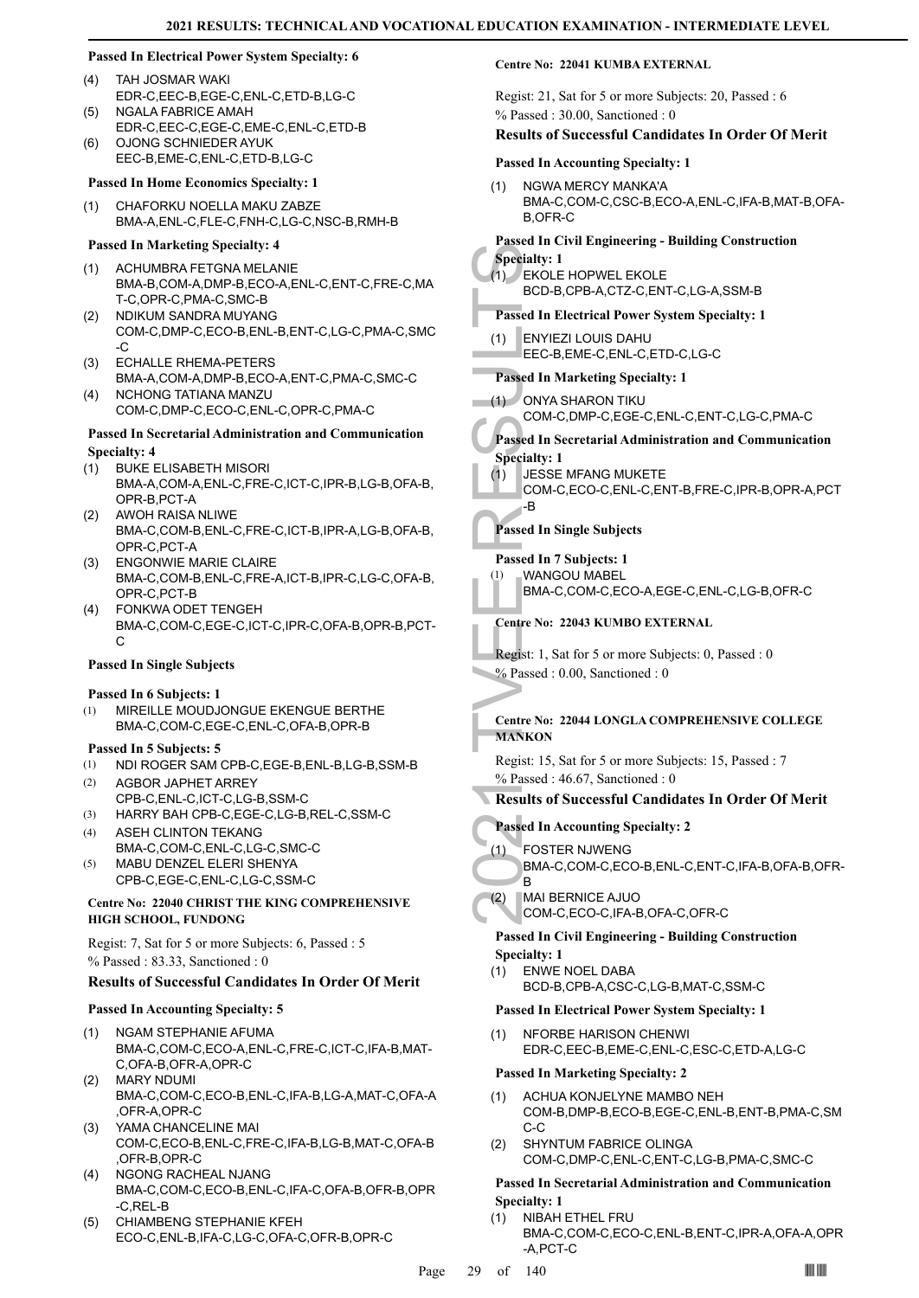# **Passed In Electrical Power System Specialty: 6**

- TAH JOSMAR WAKI EDR-C,EEC-B,EGE-C,ENL-C,ETD-B,LG-C (4)
- NGALA FABRICE AMAH EDR-C,EEC-C,EGE-C,EME-C,ENL-C,ETD-B  $(5)$
- OJONG SCHNIEDER AYUK EEC-B,EME-C,ENL-C,ETD-B,LG-C (6)

### **Passed In Home Economics Specialty: 1**

CHAFORKU NOELLA MAKU ZABZE BMA-A,ENL-C,FLE-C,FNH-C,LG-C,NSC-B,RMH-B (1)

### **Passed In Marketing Specialty: 4**

- ACHUMBRA FETGNA MELANIE BMA-B,COM-A,DMP-B,ECO-A,ENL-C,ENT-C,FRE-C,MA T-C,OPR-C,PMA-C,SMC-B (1)
- NDIKUM SANDRA MUYANG COM-C,DMP-C,ECO-B,ENL-B,ENT-C,LG-C,PMA-C,SMC  $-C$ (2)
- ECHALLE RHEMA-PETERS BMA-A,COM-A,DMP-B,ECO-A,ENT-C,PMA-C,SMC-C (3) NCHONG TATIANA MANZU (4)
	- COM-C,DMP-C,ECO-C,ENL-C,OPR-C,PMA-C

# **Passed In Secretarial Administration and Communication Specialty: 4**

- BUKE ELISABETH MISORI BMA-A,COM-A,ENL-C,FRE-C,ICT-C,IPR-B,LG-B,OFA-B, OPR-B,PCT-A (1)
- AWOH RAISA NLIWE BMA-C,COM-B,ENL-C,FRE-C,ICT-B,IPR-A,LG-B,OFA-B, OPR-C,PCT-A (2)
- ENGONWIE MARIE CLAIRE BMA-C,COM-B,ENL-C,FRE-A,ICT-B,IPR-C,LG-C,OFA-B, OPR-C,PCT-B  $(3)$
- FONKWA ODET TENGEH (4) BMA-C,COM-C,EGE-C,ICT-C,IPR-C,OFA-B,OPR-B,PCT- $\mathcal{C}$

#### **Passed In Single Subjects**

#### **Passed In 6 Subjects: 1**

MIREILLE MOUDJONGUE EKENGUE BERTHE BMA-C,COM-C,EGE-C,ENL-C,OFA-B,OPR-B (1)

#### **Passed In 5 Subjects: 5**

- (1) NDI ROGER SAM CPB-C,EGE-B,ENL-B,LG-B,SSM-B
- AGBOR JAPHET ARREY CPB-C,ENL-C,ICT-C,LG-B,SSM-C (2)
- (3) HARRY BAH CPB-C,EGE-C,LG-B,REL-C,SSM-C
- ASEH CLINTON TEKANG BMA-C,COM-C,ENL-C,LG-C,SMC-C (4)
- MABU DENZEL ELERI SHENYA CPB-C,EGE-C,ENL-C,LG-C,SSM-C (5)

#### **Centre No: 22040 CHRIST THE KING COMPREHENSIVE HIGH SCHOOL, FUNDONG**

Regist: 7, Sat for 5 or more Subjects: 6, Passed : 5 % Passed : 83.33, Sanctioned : 0

# **Results of Successful Candidates In Order Of Merit**

#### **Passed In Accounting Specialty: 5**

- NGAM STEPHANIE AFUMA BMA-C,COM-C,ECO-A,ENL-C,FRE-C,ICT-C,IFA-B,MAT-C,OFA-B,OFR-A,OPR-C (1)
- MARY NDUMI BMA-C,COM-C,ECO-B,ENL-C,IFA-B,LG-A,MAT-C,OFA-A ,OFR-A,OPR-C (2)
- YAMA CHANCELINE MAI COM-C,ECO-B,ENL-C,FRE-C,IFA-B,LG-B,MAT-C,OFA-B ,OFR-B,OPR-C (3)
- NGONG RACHEAL NJANG BMA-C,COM-C,ECO-B,ENL-C,IFA-C,OFA-B,OFR-B,OPR -C,REL-B (4)
- CHIAMBENG STEPHANIE KFEH ECO-C,ENL-B,IFA-C,LG-C,OFA-C,OFR-B,OPR-C (5)

#### **Centre No: 22041 KUMBA EXTERNAL**

Regist: 21, Sat for 5 or more Subjects: 20, Passed : 6 % Passed : 30.00, Sanctioned : 0

### **Results of Successful Candidates In Order Of Merit**

# **Passed In Accounting Specialty: 1**

NGWA MERCY MANKA'A BMA-C,COM-C,CSC-B,ECO-A,ENL-C,IFA-B,MAT-B,OFA-B,OFR-C (1)

### **Passed In Civil Engineering - Building Construction**

# **Specialty: 1**

Specialty: 1<br>
(1) EKOLE<br>
BCD-B,<br>
BCD-B,<br>
Passed In El<br>
(1) ENYIEZ<br>
EEC-B,<br>
Passed In M<br>
(1) ONYA S<br>
COM-C,<br>
Passed In Si<br>
Specialty: 1<br>
COM-C,<br>
B<br>
Passed In Si<br>
Passed In Si<br>
Passed In Si<br>
Passed In Si<br>
Passed In Si<br>
Passe EKOLE HOPWEL EKOLE BCD-B,CPB-A,CTZ-C,ENT-C,LG-A,SSM-B (1)

# **Passed In Electrical Power System Specialty: 1**

ENYIEZI LOUIS DAHU EEC-B,EME-C,ENL-C,ETD-C,LG-C (1)

# **Passed In Marketing Specialty: 1**

- ONYA SHARON TIKU (1)
- COM-C,DMP-C,EGE-C,ENL-C,ENT-C,LG-C,PMA-C

# **Passed In Secretarial Administration and Communication**

# **Specialty: 1**

- JESSE MFANG MUKETE (1)
	- COM-C,ECO-C,ENL-C,ENT-B,FRE-C,IPR-B,OPR-A,PCT -B

# **Passed In Single Subjects**

# **Passed In 7 Subjects: 1**

WANGOU MABEL BMA-C,COM-C,ECO-A,EGE-C,ENL-C,LG-B,OFR-C (1)

# **Centre No: 22043 KUMBO EXTERNAL**

- Regist: 1, Sat for 5 or more Subjects: 0, Passed : 0
- % Passed : 0.00, Sanctioned : 0

# **Centre No: 22044 LONGLA COMPREHENSIVE COLLEGE MANKON**

Regist: 15, Sat for 5 or more Subjects: 15, Passed : 7 % Passed : 46.67, Sanctioned : 0

# **Results of Successful Candidates In Order Of Merit**

#### **Passed In Accounting Specialty: 2**

- FOSTER NJWENG (1)
	- BMA-C,COM-C,ECO-B,ENL-C,ENT-C,IFA-B,OFA-B,OFR-B
- MAI BERNICE AJUO (2)

# COM-C,ECO-C,IFA-B,OFA-C,OFR-C **Passed In Civil Engineering - Building Construction**

#### **Specialty: 1**

ENWE NOEL DABA BCD-B,CPB-A,CSC-C,LG-B,MAT-C,SSM-C (1)

#### **Passed In Electrical Power System Specialty: 1**

NFORBE HARISON CHENWI EDR-C,EEC-B,EME-C,ENL-C,ESC-C,ETD-A,LG-C (1)

#### **Passed In Marketing Specialty: 2**

- ACHUA KONJELYNE MAMBO NEH COM-B,DMP-B,ECO-B,EGE-C,ENL-B,ENT-B,PMA-C,SM C-C (1)
- SHYNTUM FABRICE OLINGA COM-C,DMP-C,ENL-C,ENT-C,LG-B,PMA-C,SMC-C (2)

# **Passed In Secretarial Administration and Communication Specialty: 1**

NIBAH ETHEL FRU BMA-C,COM-C,ECO-C,ENL-B,ENT-C,IPR-A,OFA-A,OPR -A,PCT-C (1)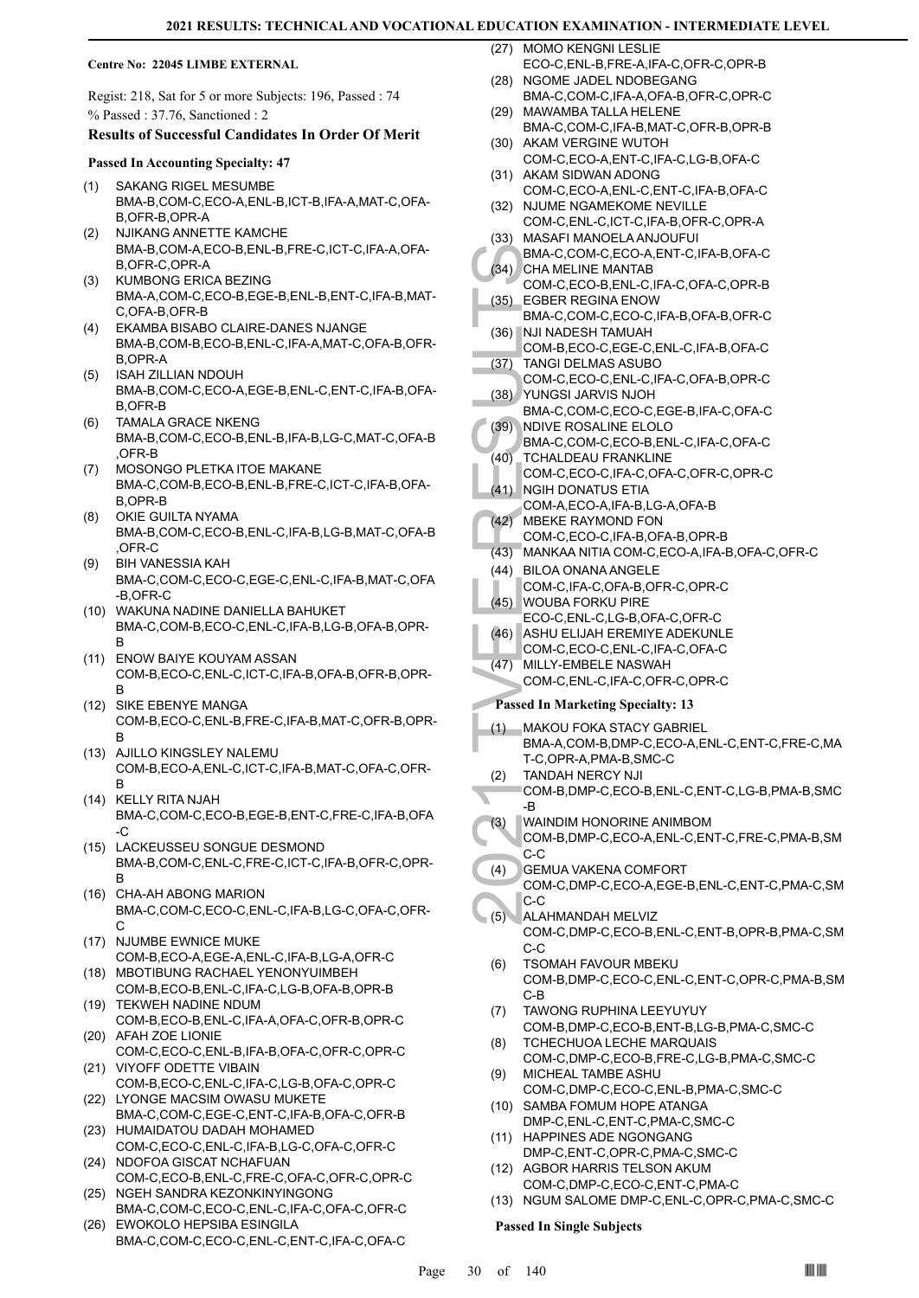#### **Centre No: 22045 LIMBE EXTERNAL**

Regist: 218, Sat for 5 or more Subjects: 196, Passed : 74 % Passed : 37.76, Sanctioned : 2

#### **Results of Successful Candidates In Order Of Merit**

#### **Passed In Accounting Specialty: 47**

- SAKANG RIGEL MESUMBE BMA-B,COM-C,ECO-A,ENL-B,ICT-B,IFA-A,MAT-C,OFA-B,OFR-B,OPR-A (1)
- NJIKANG ANNETTE KAMCHE BMA-B,COM-A,ECO-B,ENL-B,FRE-C,ICT-C,IFA-A,OFA-B,OFR-C,OPR-A (2)
- KUMBONG ERICA BEZING BMA-A,COM-C,ECO-B,EGE-B,ENL-B,ENT-C,IFA-B,MAT-C,OFA-B,OFR-B (3)
- EKAMBA BISABO CLAIRE-DANES NJANGE BMA-B,COM-B,ECO-B,ENL-C,IFA-A,MAT-C,OFA-B,OFR-B,OPR-A (4)
- ISAH ZILLIAN NDOUH BMA-B,COM-C,ECO-A,EGE-B,ENL-C,ENT-C,IFA-B,OFA-B,OFR-B (5)
- TAMALA GRACE NKENG BMA-B,COM-C,ECO-B,ENL-B,IFA-B,LG-C,MAT-C,OFA-B ,OFR-B (6)
- MOSONGO PLETKA ITOE MAKANE BMA-C,COM-B,ECO-B,ENL-B,FRE-C,ICT-C,IFA-B,OFA-B,OPR-B (7)
- OKIE GUILTA NYAMA BMA-B,COM-C,ECO-B,ENL-C,IFA-B,LG-B,MAT-C,OFA-B ,OFR-C (8)
- BIH VANESSIA KAH BMA-C,COM-C,ECO-C,EGE-C,ENL-C,IFA-B,MAT-C,OFA -B,OFR-C (9)
- WAKUNA NADINE DANIELLA BAHUKET (10) BMA-C,COM-B,ECO-C,ENL-C,IFA-B,LG-B,OFA-B,OPR-B
- (11) ENOW BAIYE KOUYAM ASSAN COM-B,ECO-C,ENL-C,ICT-C,IFA-B,OFA-B,OFR-B,OPR-B
- (12) SIKE EBENYE MANGA COM-B,ECO-C,ENL-B,FRE-C,IFA-B,MAT-C,OFR-B,OPR-B
- (13) AJILLO KINGSLEY NALEMU COM-B,ECO-A,ENL-C,ICT-C,IFA-B,MAT-C,OFA-C,OFR-B
- (14) KELLY RITA NJAH BMA-C,COM-C,ECO-B,EGE-B,ENT-C,FRE-C,IFA-B,OFA -C
- (15) LACKEUSSEU SONGUE DESMOND BMA-B,COM-C,ENL-C,FRE-C,ICT-C,IFA-B,OFR-C,OPR-B
- (16) CHA-AH ABONG MARION BMA-C,COM-C,ECO-C,ENL-C,IFA-B,LG-C,OFA-C,OFR-C
- (17) NJUMBE EWNICE MUKE COM-B,ECO-A,EGE-A,ENL-C,IFA-B,LG-A,OFR-C
- (18) MBOTIBUNG RACHAEL YENONYUIMBEH COM-B,ECO-B,ENL-C,IFA-C,LG-B,OFA-B,OPR-B (19) TEKWEH NADINE NDUM
- COM-B,ECO-B,ENL-C,IFA-A,OFA-C,OFR-B,OPR-C (20) AFAH ZOE LIONIE
- COM-C,ECO-C,ENL-B,IFA-B,OFA-C,OFR-C,OPR-C (21) VIYOFF ODETTE VIBAIN
- COM-B,ECO-C,ENL-C,IFA-C,LG-B,OFA-C,OPR-C (22) LYONGE MACSIM OWASU MUKETE
- BMA-C,COM-C,EGE-C,ENT-C,IFA-B,OFA-C,OFR-B (23) HUMAIDATOU DADAH MOHAMED
- COM-C,ECO-C,ENL-C,IFA-B,LG-C,OFA-C,OFR-C (24) NDOFOA GISCAT NCHAFUAN
- COM-C,ECO-B,ENL-C,FRE-C,OFA-C,OFR-C,OPR-C (25) NGEH SANDRA KEZONKINYINGONG
- BMA-C,COM-C,ECO-C,ENL-C,IFA-C,OFA-C,OFR-C EWOKOLO HEPSIBA ESINGILA (26)
- BMA-C,COM-C,ECO-C,ENL-C,ENT-C,IFA-C,OFA-C

(27) MOMO KENGNI LESLIE ECO-C,ENL-B,FRE-A,IFA-C,OFR-C,OPR-B

- (28) NGOME JADEL NDOBEGANG BMA-C,COM-C,IFA-A,OFA-B,OFR-C,OPR-C
- (29) MAWAMBA TALLA HELENE BMA-C,COM-C,IFA-B,MAT-C,OFR-B,OPR-B
- (30) AKAM VERGINE WUTOH COM-C,ECO-A,ENT-C,IFA-C,LG-B,OFA-C
- (31) AKAM SIDWAN ADONG COM-C,ECO-A,ENL-C,ENT-C,IFA-B,OFA-C
- (32) NJUME NGAMEKOME NEVILLE COM-C,ENL-C,ICT-C,IFA-B,OFR-C,OPR-A
- (33) MASAFI MANOELA ANJOUFUI
- BMA-C,COM-C,ECO-A,ENT-C,IFA-B,OFA-C (34) CHA MELINE MANTAB
- COM-C,ECO-B,ENL-C,IFA-C,OFA-C,OPR-B EGBER REGINA ENOW (35)
- BMA-C,COM-C,ECO-C,IFA-B,OFA-B,OFR-C (36) NJI NADESH TAMUAH
- COM-B,ECO-C,EGE-C,ENL-C,IFA-B,OFA-C TANGI DELMAS ASUBO (37)
- COM-C,ECO-C,ENL-C,IFA-C,OFA-B,OPR-C YUNGSI JARVIS NJOH (38)
- BMA-C,COM-C,ECO-C,EGE-B,IFA-C,OFA-C NDIVE ROSALINE ELOLO (39)
- BMA-C,COM-C,ECO-B,ENL-C,IFA-C,OFA-C
- TCHALDEAU FRANKLINE COM-C,ECO-C,IFA-C,OFA-C,OFR-C,OPR-C (40)
- (41) NGIH DONATUS ETIA
- COM-A,ECO-A,IFA-B,LG-A,OFA-B MBEKE RAYMOND FON  $(42)$
- COM-C,ECO-C,IFA-B,OFA-B,OPR-B
- (43) MANKAA NITIA COM-C,ECO-A,IFA-B,OFA-C,OFR-C
- BILOA ONANA ANGELE COM-C,IFA-C,OFA-B,OFR-C,OPR-C (44)
- WOUBA FORKU PIRE (45)
- ECO-C,ENL-C,LG-B,OFA-C,OFR-C
- (46) ASHU ELIJAH EREMIYE ADEKUNLE
- COM-C,ECO-C,ENL-C,IFA-C,OFA-C
- MILLY-EMBELE NASWAH COM-C,ENL-C,IFA-C,OFR-C,OPR-C (47)

### **Passed In Marketing Specialty: 13**

- BMA-C,<br>
(34) CHA ME<br>
COM-C,<br>
(36) HUNAC COM-B,<br>
(36) NJI NAC COM-B,<br>
(37) TANGI I COM-C,<br>
(38) NDIVE BMA-C,<br>
(39) NDIVE BMA-C,<br>
(39) NDIVE BMA-C,<br>
(40) TCHALL<br>
COM-C,<br>
(41) MGH D COM-C,<br>
(42) MANKA<br>
(44) BILOA (COM-C,<br>
(45 MAKOU FOKA STACY GABRIEL BMA-A,COM-B,DMP-C,ECO-A,ENL-C,ENT-C,FRE-C,MA T-C,OPR-A,PMA-B,SMC-C (1)
	- TANDAH NERCY NJI (2)
- COM-B,DMP-C,ECO-B,ENL-C,ENT-C,LG-B,PMA-B,SMC -B
- WAINDIM HONORINE ANIMBOM (3)
- COM-B,DMP-C,ECO-A,ENL-C,ENT-C,FRE-C,PMA-B,SM C-C
- GEMUA VAKENA COMFORT COM-C,DMP-C,ECO-A,EGE-B,ENL-C,ENT-C,PMA-C,SM C-C (4)
- ALAHMANDAH MELVIZ COM-C,DMP-C,ECO-B,ENL-C,ENT-B,OPR-B,PMA-C,SM C-C (5)
- TSOMAH FAVOUR MBEKU COM-B,DMP-C,ECO-C,ENL-C,ENT-C,OPR-C,PMA-B,SM C-B (6)
- TAWONG RUPHINA LEEYUYUY COM-B,DMP-C,ECO-B,ENT-B,LG-B,PMA-C,SMC-C (7)
- TCHECHUOA LECHE MARQUAIS COM-C,DMP-C,ECO-B,FRE-C,LG-B,PMA-C,SMC-C (8)
- MICHEAL TAMBE ASHU (9)
- COM-C,DMP-C,ECO-C,ENL-B,PMA-C,SMC-C (10) SAMBA FOMUM HOPE ATANGA
- DMP-C,ENL-C,ENT-C,PMA-C,SMC-C (11) HAPPINES ADE NGONGANG
- DMP-C,ENT-C,OPR-C,PMA-C,SMC-C (12) AGBOR HARRIS TELSON AKUM
- COM-C,DMP-C,ECO-C,ENT-C,PMA-C (13) NGUM SALOME DMP-C,ENL-C,OPR-C,PMA-C,SMC-C

# **Passed In Single Subjects**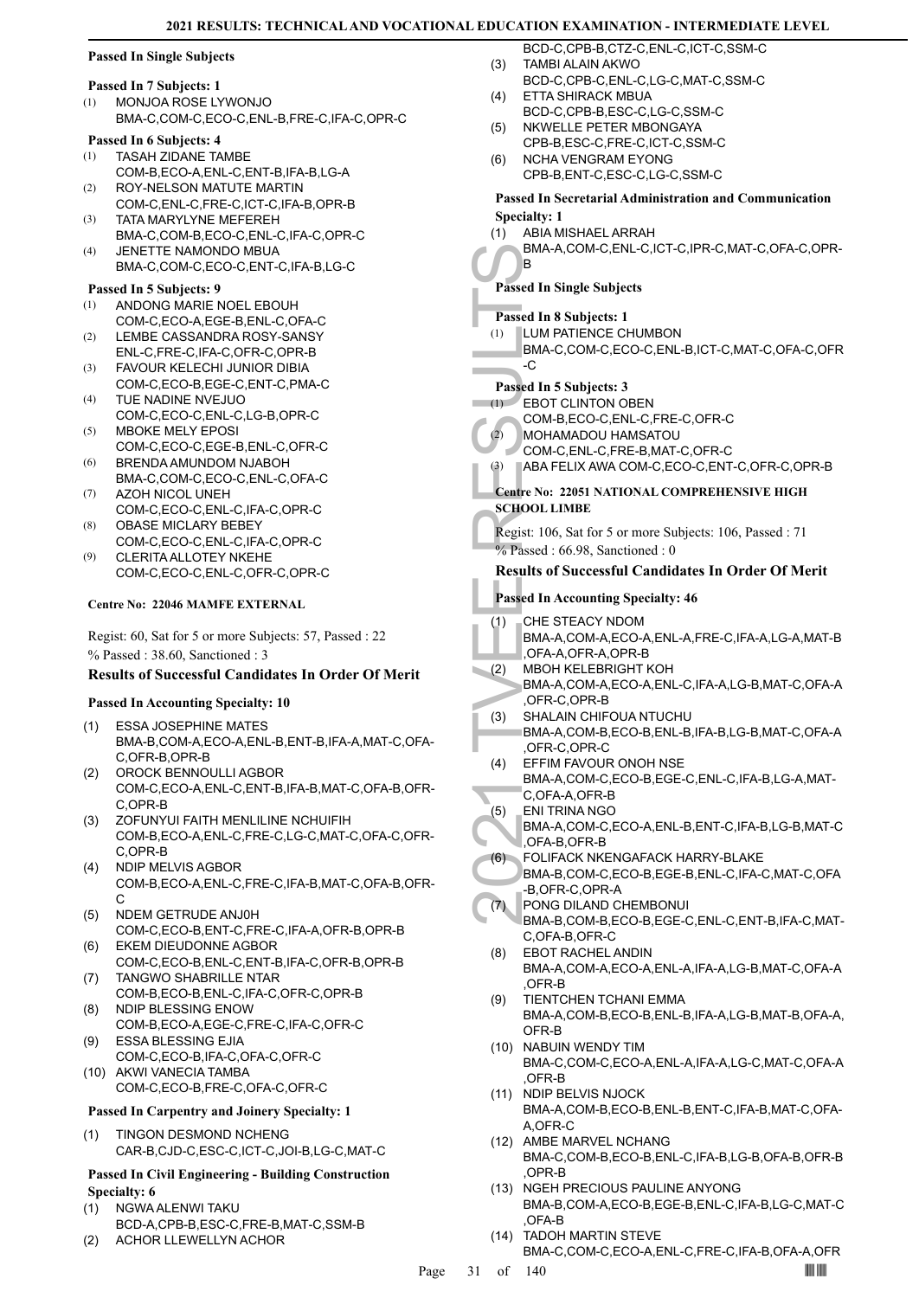# **Passed In Single Subjects**

#### **Passed In 7 Subjects: 1**

MONJOA ROSE LYWONJO BMA-C,COM-C,ECO-C,ENL-B,FRE-C,IFA-C,OPR-C (1)

### **Passed In 6 Subjects: 4**

- TASAH ZIDANE TAMBE COM-B,ECO-A,ENL-C,ENT-B,IFA-B,LG-A (1)
- ROY-NELSON MATUTE MARTIN COM-C,ENL-C,FRE-C,ICT-C,IFA-B,OPR-B (2)
- TATA MARYLYNE MEFEREH BMA-C,COM-B,ECO-C,ENL-C,IFA-C,OPR-C (3)
- JENETTE NAMONDO MBUA BMA-C,COM-C,ECO-C,ENT-C,IFA-B,LG-C (4)

#### **Passed In 5 Subjects: 9**

- ANDONG MARIE NOEL EBOUH (1)
- COM-C,ECO-A,EGE-B,ENL-C,OFA-C LEMBE CASSANDRA ROSY-SANSY (2)
- ENL-C,FRE-C,IFA-C,OFR-C,OPR-B
- FAVOUR KELECHI JUNIOR DIBIA COM-C,ECO-B,EGE-C,ENT-C,PMA-C (3)  $(4)$
- TUE NADINE NVEJUO COM-C,ECO-C,ENL-C,LG-B,OPR-C
- MBOKE MELY EPOSI COM-C,ECO-C,EGE-B,ENL-C,OFR-C (5)
- BRENDA AMUNDOM NJABOH BMA-C,COM-C,ECO-C,ENL-C,OFA-C (6)
- AZOH NICOL UNEH COM-C,ECO-C,ENL-C,IFA-C,OPR-C (7)
- OBASE MICLARY BEBEY COM-C,ECO-C,ENL-C,IFA-C,OPR-C (8)
- CLERITA ALLOTEY NKEHE COM-C,ECO-C,ENL-C,OFR-C,OPR-C (9)

#### **Centre No: 22046 MAMFE EXTERNAL**

Regist: 60, Sat for 5 or more Subjects: 57, Passed : 22 % Passed : 38.60, Sanctioned : 3

#### **Results of Successful Candidates In Order Of Merit**

#### **Passed In Accounting Specialty: 10**

- ESSA JOSEPHINE MATES BMA-B,COM-A,ECO-A,ENL-B,ENT-B,IFA-A,MAT-C,OFA-C,OFR-B,OPR-B (1)
- OROCK BENNOULLI AGBOR COM-C,ECO-A,ENL-C,ENT-B,IFA-B,MAT-C,OFA-B,OFR-C,OPR-B (2)
- ZOFUNYUI FAITH MENLILINE NCHUIFIH COM-B,ECO-A,ENL-C,FRE-C,LG-C,MAT-C,OFA-C,OFR-C,OPR-B (3)
- NDIP MELVIS AGBOR COM-B,ECO-A,ENL-C,FRE-C,IFA-B,MAT-C,OFA-B,OFR-C (4)
- NDEM GETRUDE ANJ0H COM-C,ECO-B,ENT-C,FRE-C,IFA-A,OFR-B,OPR-B (5)
- EKEM DIEUDONNE AGBOR COM-C,ECO-B,ENL-C,ENT-B,IFA-C,OFR-B,OPR-B (6)
- TANGWO SHABRILLE NTAR COM-B,ECO-B,ENL-C,IFA-C,OFR-C,OPR-B (7) (8) NDIP BLESSING ENOW
- COM-B,ECO-A,EGE-C,FRE-C,IFA-C,OFR-C ESSA BLESSING EJIA (9)
- COM-C,ECO-B,IFA-C,OFA-C,OFR-C (10) AKWI VANECIA TAMBA
- COM-C,ECO-B,FRE-C,OFA-C,OFR-C

#### **Passed In Carpentry and Joinery Specialty: 1**

TINGON DESMOND NCHENG CAR-B,CJD-C,ESC-C,ICT-C,JOI-B,LG-C,MAT-C (1)

#### **Passed In Civil Engineering - Building Construction Specialty: 6**

- NGWA ALENWI TAKU (1)
- BCD-A,CPB-B,ESC-C,FRE-B,MAT-C,SSM-B (2) ACHOR LLEWELLYN ACHOR
- BCD-C,CPB-B,CTZ-C,ENL-C,ICT-C,SSM-C TAMBI ALAIN AKWO (3)
- BCD-C,CPB-C,ENL-C,LG-C,MAT-C,SSM-C
- ETTA SHIRACK MBUA BCD-C,CPB-B,ESC-C,LG-C,SSM-C (4)
- NKWELLE PETER MBONGAYA (5)
- CPB-B,ESC-C,FRE-C,ICT-C,SSM-C NCHA VENGRAM EYONG (6)
- CPB-B,ENT-C,ESC-C,LG-C,SSM-C

#### **Passed In Secretarial Administration and Communication Specialty: 1**

ABIA MISHAEL ARRAH (1)

BMA-A,COM-C,ENL-C,ICT-C,IPR-C,MAT-C,OFA-C,OPR-B

### **Passed In Single Subjects**

**Passed In 8 Subjects: 1**

- LUM PATIENCE CHUMBON (1)
- BMA-C,COM-C,ECO-C,ENL-B,ICT-C,MAT-C,OFA-C,OFR -C

# **Passed In 5 Subjects: 3**

#### EBOT CLINTON OBEN  $(1)$

- COM-B,ECO-C,ENL-C,FRE-C,OFR-C
- MOHAMADOU HAMSATOU  $(2)$ 
	- COM-C,ENL-C,FRE-B,MAT-C,OFR-C
	- (3) ABA FELIX AWA COM-C,ECO-C,ENT-C,OFR-C,OPR-B

# **Centre No: 22051 NATIONAL COMPREHENSIVE HIGH SCHOOL LIMBE**

Regist: 106, Sat for 5 or more Subjects: 106, Passed : 71  $%$  Passed : 66.98, Sanctioned : 0

#### **Results of Successful Candidates In Order Of Merit**

# **Passed In Accounting Specialty: 46**

- CHE STEACY NDOM (1)
- BMA-A,COM-A,ECO-A,ENL-A,FRE-C,IFA-A,LG-A,MAT-B ,OFA-A,OFR-A,OPR-B
- MBOH KELEBRIGHT KOH (2)
- BMA-A,COM-A,ECO-A,ENL-C,IFA-A,LG-B,MAT-C,OFA-A ,OFR-C,OPR-B
- SHALAIN CHIFOUA NTUCHU BMA-A,COM-B,ECO-B,ENL-B,IFA-B,LG-B,MAT-C,OFA-A ,OFR-C,OPR-C (3)
- BMA-A, B<br>
Passed In Si<br>
(1) LUM PA<br>
BMA-C, C<br>
C<br>
Passed In 5 S<br>
EBOT C<br>
COM-B, C<br>
(2) EBOT C<br>
COM-B, MOHAM<br>
COM-C, ABA FE<br>
Centre No: 2<br>
SCHOOL LIN<br>
Regist: 106, 1<br>
% Passed : 6<br>
Regist: 106, 1<br>
% Passed : 6<br>
Results of S<br> EFFIM FAVOUR ONOH NSE BMA-A,COM-C,ECO-B,EGE-C,ENL-C,IFA-B,LG-A,MAT-(4)
	- C,OFA-A,OFR-B ENI TRINA NGO (5)
	- BMA-A,COM-C,ECO-A,ENL-B,ENT-C,IFA-B,LG-B,MAT-C ,OFA-B,OFR-B
	- FOLIFACK NKENGAFACK HARRY-BLAKE (6)
	- BMA-B,COM-C,ECO-B,EGE-B,ENL-C,IFA-C,MAT-C,OFA -B,OFR-C,OPR-A
- PONG DILAND CHEMBONUI BMA-B,COM-B,ECO-B,EGE-C,ENL-C,ENT-B,IFA-C,MAT-(7)
- C,OFA-B,OFR-C EBOT RACHEL ANDIN BMA-A,COM-A,ECO-A,ENL-A,IFA-A,LG-B,MAT-C,OFA-A ,OFR-B (8)
- TIENTCHEN TCHANI EMMA BMA-A,COM-B,ECO-B,ENL-B,IFA-A,LG-B,MAT-B,OFA-A, OFR-B (9)
- (10) NABUIN WENDY TIM BMA-C,COM-C,ECO-A,ENL-A,IFA-A,LG-C,MAT-C,OFA-A ,OFR-B
- (11) NDIP BELVIS NJOCK BMA-A,COM-B,ECO-B,ENL-B,ENT-C,IFA-B,MAT-C,OFA-A,OFR-C
- (12) AMBE MARVEL NCHANG BMA-C,COM-B,ECO-B,ENL-C,IFA-B,LG-B,OFA-B,OFR-B ,OPR-B
- (13) NGEH PRECIOUS PAULINE ANYONG BMA-B,COM-A,ECO-B,EGE-B,ENL-C,IFA-B,LG-C,MAT-C ,OFA-B
- (14) TADOH MARTIN STEVE

BMA-C,COM-C,ECO-A,ENL-C,FRE-C,IFA-B,OFA-A,OFR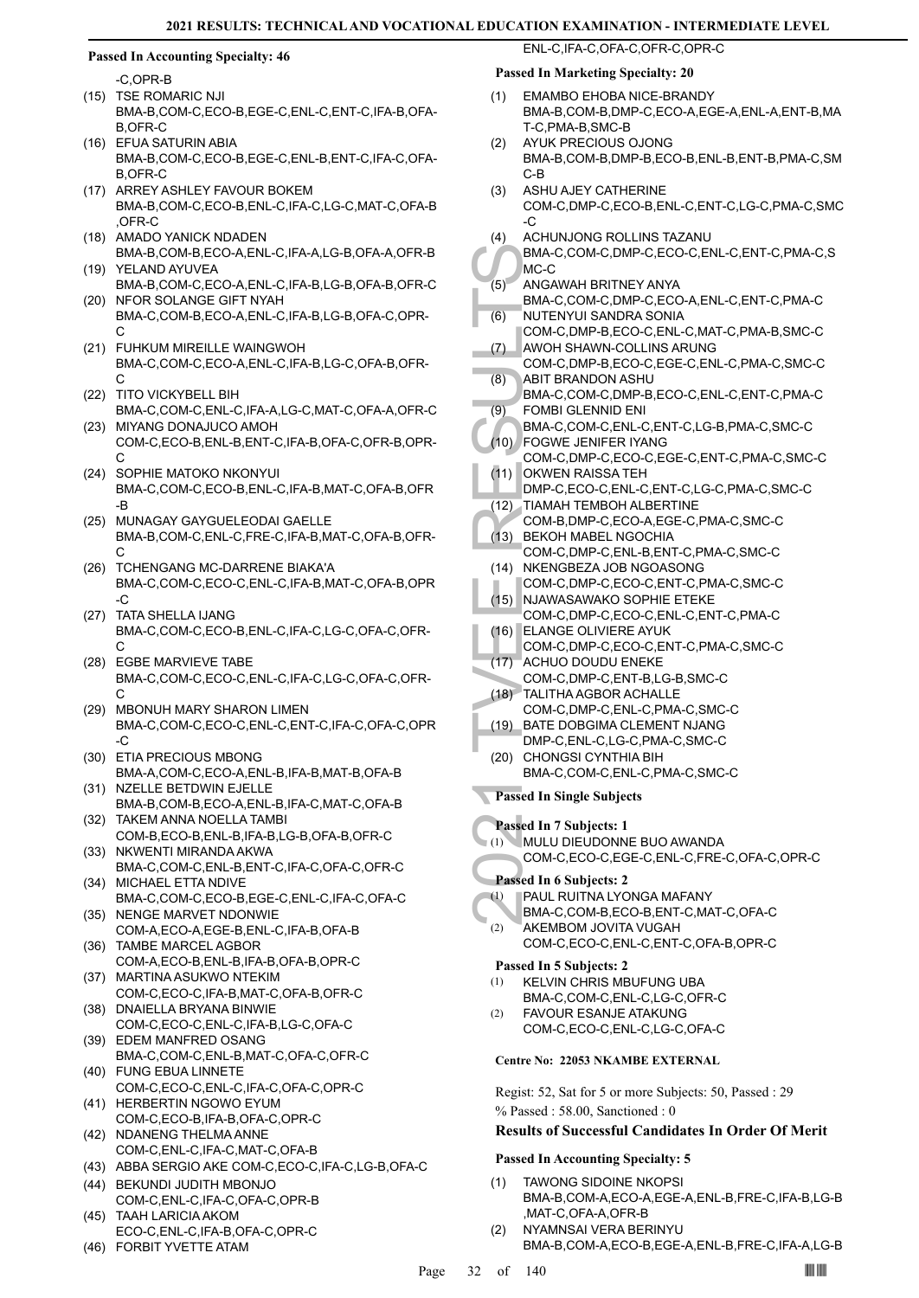#### **Passed In Accounting Specialty: 46**

-C,OPR-B

- (15) TSE ROMARIC NJI BMA-B,COM-C,ECO-B,EGE-C,ENL-C,ENT-C,IFA-B,OFA-B,OFR-C
- EFUA SATURIN ABIA (16) BMA-B,COM-C,ECO-B,EGE-C,ENL-B,ENT-C,IFA-C,OFA-B,OFR-C
- (17) ARREY ASHLEY FAVOUR BOKEM BMA-B,COM-C,ECO-B,ENL-C,IFA-C,LG-C,MAT-C,OFA-B ,OFR-C
- (18) AMADO YANICK NDADEN BMA-B,COM-B,ECO-A,ENL-C,IFA-A,LG-B,OFA-A,OFR-B YELAND AYUVEA (19)
- BMA-B,COM-C,ECO-A,ENL-C,IFA-B,LG-B,OFA-B,OFR-C (20) NFOR SOLANGE GIFT NYAH
- BMA-C,COM-B,ECO-A,ENL-C,IFA-B,LG-B,OFA-C,OPR- $\mathcal{C}$
- FUHKUM MIREILLE WAINGWOH (21) BMA-C,COM-C,ECO-A,ENL-C,IFA-B,LG-C,OFA-B,OFR-C
- (22) TITO VICKYBELL BIH BMA-C,COM-C,ENL-C,IFA-A,LG-C,MAT-C,OFA-A,OFR-C
- (23) MIYANG DONAJUCO AMOH COM-C,ECO-B,ENL-B,ENT-C,IFA-B,OFA-C,OFR-B,OPR-C
- (24) SOPHIE MATOKO NKONYUI BMA-C,COM-C,ECO-B,ENL-C,IFA-B,MAT-C,OFA-B,OFR -B
- (25) MUNAGAY GAYGUELEODAI GAELLE BMA-B,COM-C,ENL-C,FRE-C,IFA-B,MAT-C,OFA-B,OFR-C
- (26) TCHENGANG MC-DARRENE BIAKA'A BMA-C,COM-C,ECO-C,ENL-C,IFA-B,MAT-C,OFA-B,OPR  $-C$
- TATA SHELLA IJANG BMA-C,COM-C,ECO-B,ENL-C,IFA-C,LG-C,OFA-C,OFR-C (27)
- EGBE MARVIEVE TABE (28) BMA-C,COM-C,ECO-C,ENL-C,IFA-C,LG-C,OFA-C,OFR-C
- MBONUH MARY SHARON LIMEN BMA-C,COM-C,ECO-C,ENL-C,ENT-C,IFA-C,OFA-C,OPR -C (29)
- (30) ETIA PRECIOUS MBONG BMA-A,COM-C,ECO-A,ENL-B,IFA-B,MAT-B,OFA-B
- (31) NZELLE BETDWIN EJELLE BMA-B,COM-B,ECO-A,ENL-B,IFA-C,MAT-C,OFA-B
- TAKEM ANNA NOELLA TAMBI (32) COM-B,ECO-B,ENL-B,IFA-B,LG-B,OFA-B,OFR-C
- (33) NKWENTI MIRANDA AKWA BMA-C,COM-C,ENL-B,ENT-C,IFA-C,OFA-C,OFR-C (34) MICHAEL ETTA NDIVE
- BMA-C,COM-C,ECO-B,EGE-C,ENL-C,IFA-C,OFA-C (35) NENGE MARVET NDONWIE
- COM-A,ECO-A,EGE-B,ENL-C,IFA-B,OFA-B (36) TAMBE MARCEL AGBOR
- COM-A,ECO-B,ENL-B,IFA-B,OFA-B,OPR-C (37) MARTINA ASUKWO NTEKIM
- COM-C,ECO-C,IFA-B,MAT-C,OFA-B,OFR-C (38) DNAIELLA BRYANA BINWIE
- COM-C,ECO-C,ENL-C,IFA-B,LG-C,OFA-C (39) EDEM MANFRED OSANG
- BMA-C,COM-C,ENL-B,MAT-C,OFA-C,OFR-C FUNG EBUA LINNETE (40)
- COM-C,ECO-C,ENL-C,IFA-C,OFA-C,OPR-C (41) HERBERTIN NGOWO EYUM
- COM-C,ECO-B,IFA-B,OFA-C,OPR-C (42) NDANENG THELMA ANNE
- COM-C,ENL-C,IFA-C,MAT-C,OFA-B
- (43) ABBA SERGIO AKE COM-C,ECO-C,IFA-C,LG-B,OFA-C BEKUNDI JUDITH MBONJO (44)
- COM-C,ENL-C,IFA-C,OFA-C,OPR-B TAAH LARICIA AKOM (45)
- ECO-C,ENL-C,IFA-B,OFA-C,OPR-C (46) FORBIT YVETTE ATAM
- 

# **Passed In Marketing Specialty: 20**

EMAMBO EHOBA NICE-BRANDY (1)

ENL-C,IFA-C,OFA-C,OFR-C,OPR-C

- BMA-B,COM-B,DMP-C,ECO-A,EGE-A,ENL-A,ENT-B,MA T-C,PMA-B,SMC-B
- AYUK PRECIOUS OJONG BMA-B,COM-B,DMP-B,ECO-B,ENL-B,ENT-B,PMA-C,SM C-B (2)
- ASHU AJEY CATHERINE COM-C,DMP-C,ECO-B,ENL-C,ENT-C,LG-C,PMA-C,SMC -C (3)
- ACHUNJONG ROLLINS TAZANU (4)
- BMA-C,COM-C,DMP-C,ECO-C,ENL-C,ENT-C,PMA-C,S MC-C
- ANGAWAH BRITNEY ANYA (5)
- BMA-C,COM-C,DMP-C,ECO-A,ENL-C,ENT-C,PMA-C NUTENYUI SANDRA SONIA (6)
- COM-C,DMP-B,ECO-C,ENL-C,MAT-C,PMA-B,SMC-C AWOH SHAWN-COLLINS ARUNG (7)
- COM-C,DMP-B,ECO-C,EGE-C,ENL-C,PMA-C,SMC-C ABIT BRANDON ASHU (8)
- BMA-C,COM-C,DMP-B,ECO-C,ENL-C,ENT-C,PMA-C FOMBI GLENNID ENI (9)
- BMA-C,COM-C,ENL-C,ENT-C,LG-B,PMA-C,SMC-C FOGWE JENIFER IYANG (10)
- MC-C<br>
(5) MMA-C,<br>
MC-C<br>
(6) MUTEN<br>
COM-C,<br>
(7) COM-C,<br>
(8) ABIT BF<br>
BMA-C,<br>
(9) FOMBI<br>
BMA-C,<br>
(9) FOMBI<br>
BMA-C,<br>
(10) FOGWE<br>
COM-C,<br>
(11) OKWEN<br>
COM-C,<br>
(12) TIAMAF<br>
COM-C,<br>
(12) TIAMAF<br>
COM-C,<br>
(13) BEKOH<br>
COM-C,<br>
(15) N COM-C,DMP-C,ECO-C,EGE-C,ENT-C,PMA-C,SMC-C (11) OKWEN RAISSA TEH
	- DMP-C,ECO-C,ENL-C,ENT-C,LG-C,PMA-C,SMC-C
	- TIAMAH TEMBOH ALBERTINE (12)
	- COM-B,DMP-C,ECO-A,EGE-C,PMA-C,SMC-C
	- BEKOH MABEL NGOCHIA COM-C,DMP-C,ENL-B,ENT-C,PMA-C,SMC-C  $(13)$
	- (14) NKENGBEZA JOB NGOASONG COM-C,DMP-C,ECO-C,ENT-C,PMA-C,SMC-C
	- (15) NJAWASAWAKO SOPHIE ETEKE COM-C,DMP-C,ECO-C,ENL-C,ENT-C,PMA-C
	- ELANGE OLIVIERE AYUK (16) COM-C,DMP-C,ECO-C,ENT-C,PMA-C,SMC-C
- (17) ACHUO DOUDU ENEKE
- COM-C,DMP-C,ENT-B,LG-B,SMC-C
- TALITHA AGBOR ACHALLE (18) COM-C,DMP-C,ENL-C,PMA-C,SMC-C
- BATE DOBGIMA CLEMENT NJANG (19)
- DMP-C,ENL-C,LG-C,PMA-C,SMC-C
- (20) CHONGSI CYNTHIA BIH BMA-C,COM-C,ENL-C,PMA-C,SMC-C
- **Passed In Single Subjects**
- **Passed In 7 Subjects: 1**
- MULU DIEUDONNE BUO AWANDA (1)
	- COM-C,ECO-C,EGE-C,ENL-C,FRE-C,OFA-C,OPR-C

#### **Passed In 6 Subjects: 2**

- PAUL RUITNA LYONGA MAFANY (1)
	- BMA-C,COM-B,ECO-B,ENT-C,MAT-C,OFA-C
- AKEMBOM JOVITA VUGAH COM-C,ECO-C,ENL-C,ENT-C,OFA-B,OPR-C (2)

# **Passed In 5 Subjects: 2**

- KELVIN CHRIS MBUFUNG UBA BMA-C,COM-C,ENL-C,LG-C,OFR-C (1)
- FAVOUR ESANJE ATAKUNG (2)
	- COM-C,ECO-C,ENL-C,LG-C,OFA-C

#### **Centre No: 22053 NKAMBE EXTERNAL**

Regist: 52, Sat for 5 or more Subjects: 50, Passed : 29 % Passed : 58.00, Sanctioned : 0

#### **Results of Successful Candidates In Order Of Merit**

#### **Passed In Accounting Specialty: 5**

- TAWONG SIDOINE NKOPSI BMA-B,COM-A,ECO-A,EGE-A,ENL-B,FRE-C,IFA-B,LG-B ,MAT-C,OFA-A,OFR-B (1)
- NYAMNSAI VERA BERINYU BMA-B,COM-A,ECO-B,EGE-A,ENL-B,FRE-C,IFA-A,LG-B (2)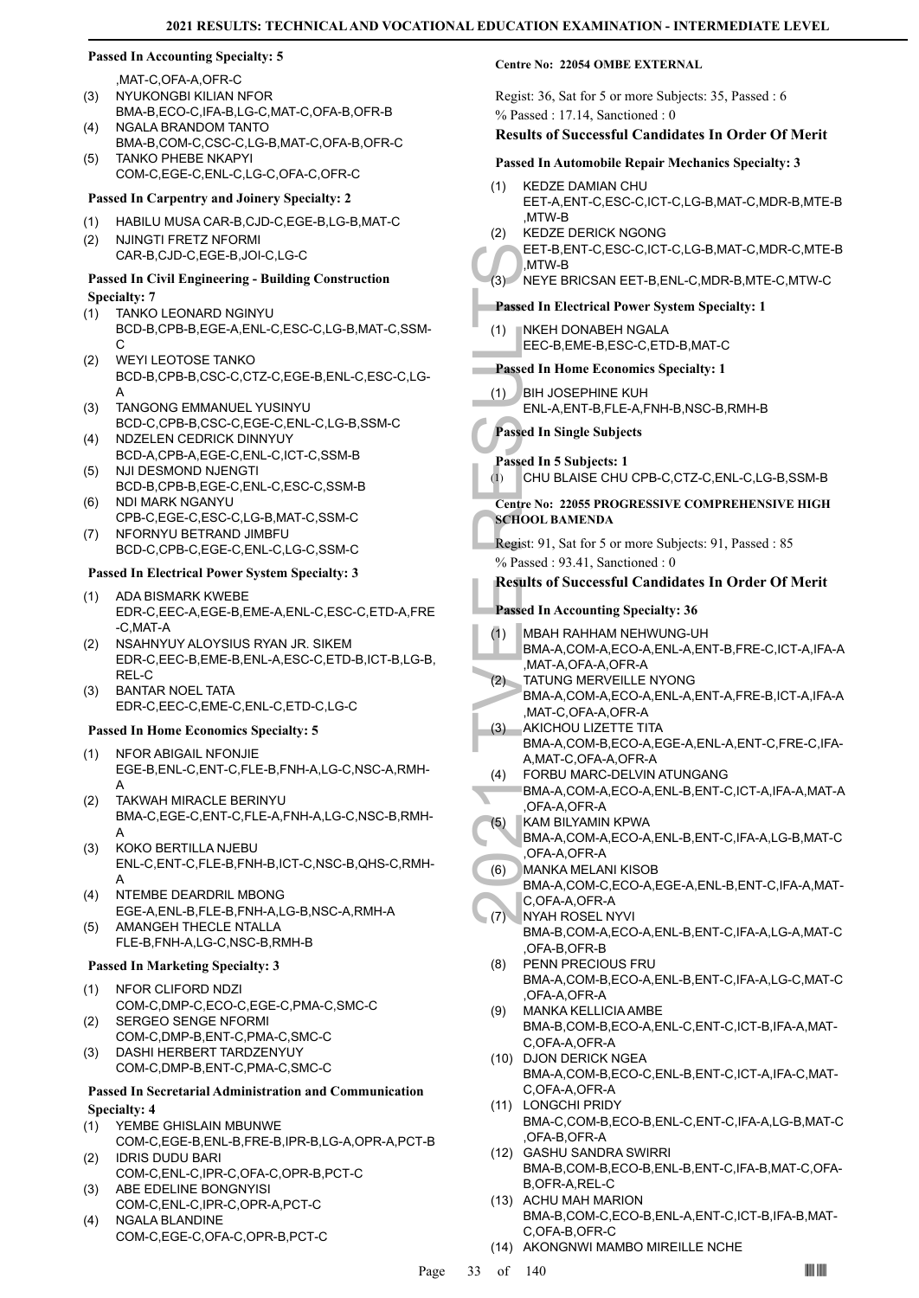#### **Passed In Accounting Specialty: 5**

,MAT-C,OFA-A,OFR-C

- NYUKONGBI KILIAN NFOR BMA-B,ECO-C,IFA-B,LG-C,MAT-C,OFA-B,OFR-B (3) NGALA BRANDOM TANTO (4)
- BMA-B,COM-C,CSC-C,LG-B,MAT-C,OFA-B,OFR-C TANKO PHEBE NKAPYI (5)
- COM-C,EGE-C,ENL-C,LG-C,OFA-C,OFR-C

#### **Passed In Carpentry and Joinery Specialty: 2**

- (1) HABILU MUSA CAR-B,CJD-C,EGE-B,LG-B,MAT-C
- NJINGTI FRETZ NFORMI CAR-B,CJD-C,EGE-B,JOI-C,LG-C (2)

#### **Passed In Civil Engineering - Building Construction Specialty: 7**

- TANKO LEONARD NGINYU BCD-B,CPB-B,EGE-A,ENL-C,ESC-C,LG-B,MAT-C,SSM- $\mathcal{C}$ (1)
- WEYI LEOTOSE TANKO BCD-B,CPB-B,CSC-C,CTZ-C,EGE-B,ENL-C,ESC-C,LG-A (2)
- TANGONG EMMANUEL YUSINYU BCD-C,CPB-B,CSC-C,EGE-C,ENL-C,LG-B,SSM-C (3)
- NDZELEN CEDRICK DINNYUY BCD-A,CPB-A,EGE-C,ENL-C,ICT-C,SSM-B (4)
- NJI DESMOND NJENGTI BCD-B,CPB-B,EGE-C,ENL-C,ESC-C,SSM-B (5)
- NDI MARK NGANYU CPB-C,EGE-C,ESC-C,LG-B,MAT-C,SSM-C (6)
- NFORNYU BETRAND JIMBFU BCD-C,CPB-C,EGE-C,ENL-C,LG-C,SSM-C (7)

#### **Passed In Electrical Power System Specialty: 3**

- ADA BISMARK KWEBE EDR-C,EEC-A,EGE-B,EME-A,ENL-C,ESC-C,ETD-A,FRE -C,MAT-A (1)
- NSAHNYUY ALOYSIUS RYAN JR. SIKEM EDR-C,EEC-B,EME-B,ENL-A,ESC-C,ETD-B,ICT-B,LG-B, REL-C (2)
- BANTAR NOEL TATA EDR-C,EEC-C,EME-C,ENL-C,ETD-C,LG-C (3)

#### **Passed In Home Economics Specialty: 5**

- NFOR ABIGAIL NFONJIE EGE-B,ENL-C,ENT-C,FLE-B,FNH-A,LG-C,NSC-A,RMH-A (1)
- TAKWAH MIRACLE BERINYU BMA-C,EGE-C,ENT-C,FLE-A,FNH-A,LG-C,NSC-B,RMH-A (2)
- KOKO BERTILLA NJEBU ENL-C,ENT-C,FLE-B,FNH-B,ICT-C,NSC-B,QHS-C,RMH-A (3)
- NTEMBE DEARDRIL MBONG EGE-A,ENL-B,FLE-B,FNH-A,LG-B,NSC-A,RMH-A (4)
- AMANGEH THECLE NTALLA FLE-B,FNH-A,LG-C,NSC-B,RMH-B (5)

#### **Passed In Marketing Specialty: 3**

- NFOR CLIFORD NDZI COM-C,DMP-C,ECO-C,EGE-C,PMA-C,SMC-C (1)
- SERGEO SENGE NFORMI COM-C,DMP-B,ENT-C,PMA-C,SMC-C (2)
- DASHI HERBERT TARDZENYUY COM-C,DMP-B,ENT-C,PMA-C,SMC-C (3)

#### **Passed In Secretarial Administration and Communication Specialty: 4**

- YEMBE GHISLAIN MBUNWE (1)
- COM-C,EGE-B,ENL-B,FRE-B,IPR-B,LG-A,OPR-A,PCT-B IDRIS DUDU BARI (2)
- COM-C,ENL-C,IPR-C,OFA-C,OPR-B,PCT-C ABE EDELINE BONGNYISI (3)
- COM-C,ENL-C,IPR-C,OPR-A,PCT-C
- NGALA BLANDINE COM-C,EGE-C,OFA-C,OPR-B,PCT-C (4)

#### **Centre No: 22054 OMBE EXTERNAL**

Regist: 36, Sat for 5 or more Subjects: 35, Passed : 6 % Passed : 17.14, Sanctioned : 0

#### **Results of Successful Candidates In Order Of Merit**

#### **Passed In Automobile Repair Mechanics Specialty: 3**

- KEDZE DAMIAN CHU EET-A,ENT-C,ESC-C,ICT-C,LG-B,MAT-C,MDR-B,MTE-B ,MTW-B (1)
- KEDZE DERICK NGONG (2)

EET-B,ENT-C,ESC-C,ICT-C,LG-B,MAT-C,MDR-C,MTE-B ,MTW-B

# (3) NEYE BRICSAN EET-B,ENL-C,MDR-B,MTE-C,MTW-C

#### **Passed In Electrical Power System Specialty: 1**

NKEH DONABEH NGALA EEC-B,EME-B,ESC-C,ETD-B,MAT-C (1)

# **Passed In Home Economics Specialty: 1**

BIH JOSEPHINE KUH (1)

ENL-A,ENT-B,FLE-A,FNH-B,NSC-B,RMH-B

- **Passed In Single Subjects**
- 
- **Passed In 5 Subjects: 1** (1) CHU BLAISE CHU CPB-C,CTZ-C,ENL-C,LG-B,SSM-B

# **Centre No: 22055 PROGRESSIVE COMPREHENSIVE HIGH SCHOOL BAMENDA**

Regist: 91, Sat for 5 or more Subjects: 91, Passed : 85 % Passed : 93.41, Sanctioned : 0

#### **Results of Successful Candidates In Order Of Merit**

#### **Passed In Accounting Specialty: 36**

- MBAH RAHHAM NEHWUNG-UH (1)
- BMA-A,COM-A,ECO-A,ENL-A,ENT-B,FRE-C,ICT-A,IFA-A ,MAT-A,OFA-A,OFR-A
- TATUNG MERVEILLE NYONG BMA-A,COM-A,ECO-A,ENL-A,ENT-A,FRE-B,ICT-A,IFA-A ,MAT-C,OFA-A,OFR-A  $(2)$
- EET-B, E<br>
(3) NEYE B<br>
Passed In El<br>
(1) NKEH C<br>
EEC-B, I<br>
Passed In H(1) BIH JOS<br>
ENL-A, E<br>
ENL-A, E<br>
ENL-A, Passed In Si<br>
CHU BL<br>
Centre No: 22<br>
SCHOOL BA<br>
Regist: 91, S, % Passed : 92<br>
Regist: 91, S, % Passed In Ac<br>
(1) AKICHOU LIZETTE TITA BMA-A,COM-B,ECO-A,EGE-A,ENL-A,ENT-C,FRE-C,IFA-A,MAT-C,OFA-A,OFR-A (3)
	- FORBU MARC-DELVIN ATUNGANG (4)
	- BMA-A,COM-A,ECO-A,ENL-B,ENT-C,ICT-A,IFA-A,MAT-A ,OFA-A,OFR-A
- KAM BILYAMIN KPWA (5)
- BMA-A,COM-A,ECO-A,ENL-B,ENT-C,IFA-A,LG-B,MAT-C ,OFA-A,OFR-A
- MANKA MELANI KISOB BMA-A,COM-C,ECO-A,EGE-A,ENL-B,ENT-C,IFA-A,MAT-C,OFA-A,OFR-A (6)
- NYAH ROSEL NYVI (7)
	- BMA-B,COM-A,ECO-A,ENL-B,ENT-C,IFA-A,LG-A,MAT-C ,OFA-B,OFR-B
- PENN PRECIOUS FRU BMA-A,COM-B,ECO-A,ENL-B,ENT-C,IFA-A,LG-C,MAT-C ,OFA-A,OFR-A (8)
- MANKA KELLICIA AMBE BMA-B,COM-B,ECO-A,ENL-C,ENT-C,ICT-B,IFA-A,MAT-C,OFA-A,OFR-A (9)
- (10) DJON DERICK NGEA BMA-A,COM-B,ECO-C,ENL-B,ENT-C,ICT-A,IFA-C,MAT-C,OFA-A,OFR-A
- (11) LONGCHI PRIDY BMA-C,COM-B,ECO-B,ENL-C,ENT-C,IFA-A,LG-B,MAT-C ,OFA-B,OFR-A
- GASHU SANDRA SWIRRI (12) BMA-B,COM-B,ECO-B,ENL-B,ENT-C,IFA-B,MAT-C,OFA-B,OFR-A,REL-C
- (13) ACHU MAH MARION BMA-B,COM-C,ECO-B,ENL-A,ENT-C,ICT-B,IFA-B,MAT-C,OFA-B,OFR-C
- (14) AKONGNWI MAMBO MIREILLE NCHE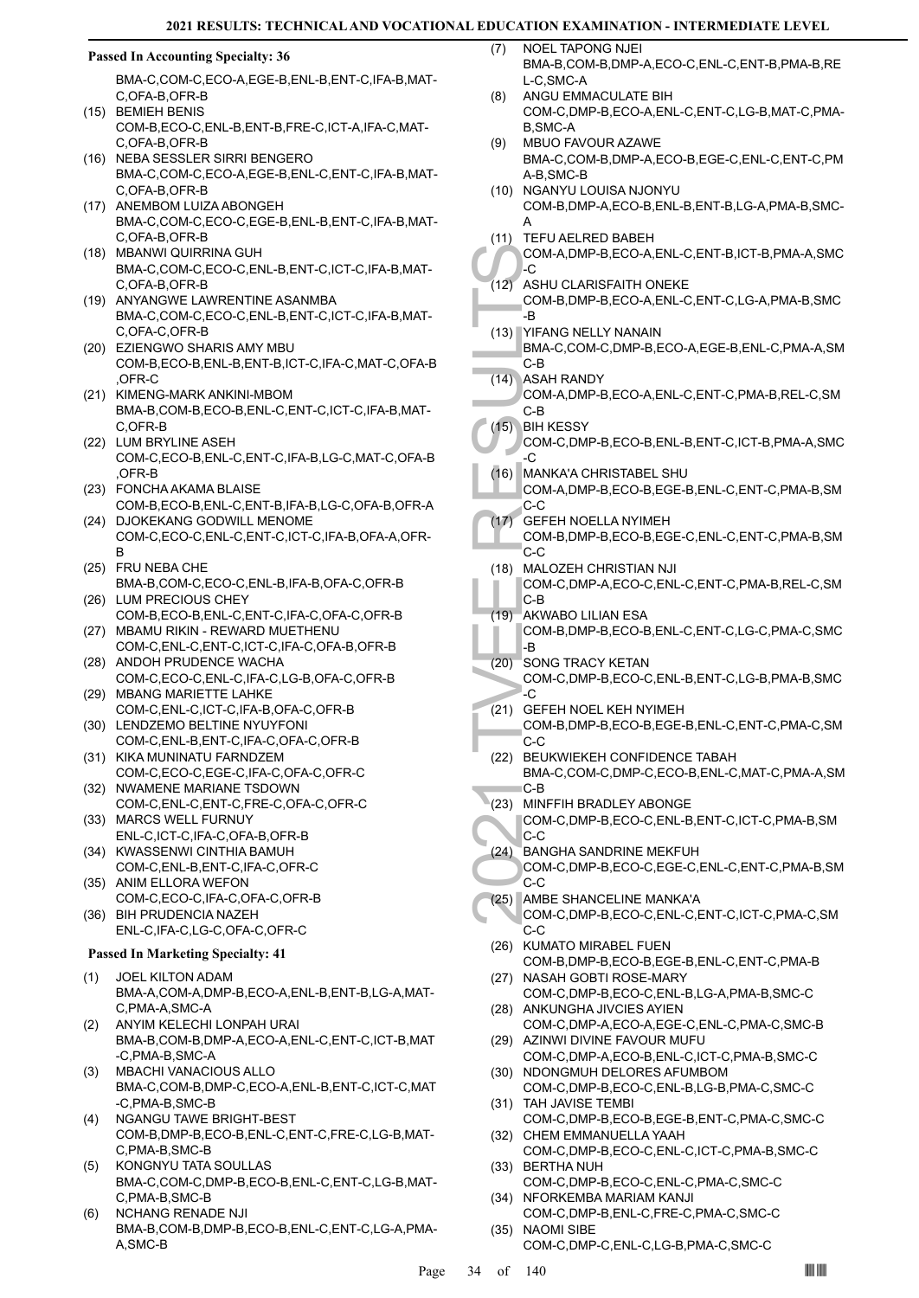#### **Passed In Accounting Specialty: 36**

BMA-C,COM-C,ECO-A,EGE-B,ENL-B,ENT-C,IFA-B,MAT-C,OFA-B,OFR-B

- (15) BEMIEH BENIS COM-B,ECO-C,ENL-B,ENT-B,FRE-C,ICT-A,IFA-C,MAT-C,OFA-B,OFR-B
- (16) NEBA SESSLER SIRRI BENGERO BMA-C,COM-C,ECO-A,EGE-B,ENL-C,ENT-C,IFA-B,MAT-C,OFA-B,OFR-B
- (17) ANEMBOM LUIZA ABONGEH BMA-C,COM-C,ECO-C,EGE-B,ENL-B,ENT-C,IFA-B,MAT-C,OFA-B,OFR-B
- (18) MBANWI QUIRRINA GUH BMA-C,COM-C,ECO-C,ENL-B,ENT-C,ICT-C,IFA-B,MAT-C,OFA-B,OFR-B
- (19) ANYANGWE LAWRENTINE ASANMBA BMA-C,COM-C,ECO-C,ENL-B,ENT-C,ICT-C,IFA-B,MAT-C,OFA-C,OFR-B
- EZIENGWO SHARIS AMY MBU (20) COM-B,ECO-B,ENL-B,ENT-B,ICT-C,IFA-C,MAT-C,OFA-B ,OFR-C
- (21) KIMENG-MARK ANKINI-MBOM BMA-B,COM-B,ECO-B,ENL-C,ENT-C,ICT-C,IFA-B,MAT-C,OFR-B
- (22) LUM BRYLINE ASEH COM-C,ECO-B,ENL-C,ENT-C,IFA-B,LG-C,MAT-C,OFA-B ,OFR-B
- FONCHA AKAMA BLAISE (23) COM-B,ECO-B,ENL-C,ENT-B,IFA-B,LG-C,OFA-B,OFR-A
- (24) DJOKEKANG GODWILL MENOME COM-C,ECO-C,ENL-C,ENT-C,ICT-C,IFA-B,OFA-A,OFR-B
- (25) FRU NEBA CHE BMA-B,COM-C,ECO-C,ENL-B,IFA-B,OFA-C,OFR-B (26) LUM PRECIOUS CHEY
- COM-B,ECO-B,ENL-C,ENT-C,IFA-C,OFA-C,OFR-B (27) MBAMU RIKIN - REWARD MUETHENU
- COM-C,ENL-C,ENT-C,ICT-C,IFA-C,OFA-B,OFR-B (28) ANDOH PRUDENCE WACHA
- COM-C,ECO-C,ENL-C,IFA-C,LG-B,OFA-C,OFR-B (29) MBANG MARIETTE LAHKE
- COM-C,ENL-C,ICT-C,IFA-B,OFA-C,OFR-B (30) LENDZEMO BELTINE NYUYFONI
- COM-C,ENL-B,ENT-C,IFA-C,OFA-C,OFR-B (31) KIKA MUNINATU FARNDZEM
- COM-C,ECO-C,EGE-C,IFA-C,OFA-C,OFR-C (32) NWAMENE MARIANE TSDOWN
- COM-C,ENL-C,ENT-C,FRE-C,OFA-C,OFR-C (33) MARCS WELL FURNUY
- ENL-C,ICT-C,IFA-C,OFA-B,OFR-B (34) KWASSENWI CINTHIA BAMUH
- COM-C,ENL-B,ENT-C,IFA-C,OFR-C (35) ANIM ELLORA WEFON
- COM-C,ECO-C,IFA-C,OFA-C,OFR-B (36) BIH PRUDENCIA NAZEH
- ENL-C,IFA-C,LG-C,OFA-C,OFR-C

# **Passed In Marketing Specialty: 41**

- JOEL KILTON ADAM BMA-A,COM-A,DMP-B,ECO-A,ENL-B,ENT-B,LG-A,MAT-C,PMA-A,SMC-A (1)
- ANYIM KELECHI LONPAH URAI BMA-B,COM-B,DMP-A,ECO-A,ENL-C,ENT-C,ICT-B,MAT -C,PMA-B,SMC-A (2)
- MBACHI VANACIOUS ALLO BMA-C,COM-B,DMP-C,ECO-A,ENL-B,ENT-C,ICT-C,MAT -C,PMA-B,SMC-B (3)
- NGANGU TAWE BRIGHT-BEST COM-B,DMP-B,ECO-B,ENL-C,ENT-C,FRE-C,LG-B,MAT-C,PMA-B,SMC-B (4)
- KONGNYU TATA SOULLAS BMA-C,COM-C,DMP-B,ECO-B,ENL-C,ENT-C,LG-B,MAT-C,PMA-B,SMC-B (5)
- NCHANG RENADE NJI BMA-B,COM-B,DMP-B,ECO-B,ENL-C,ENT-C,LG-A,PMA-A,SMC-B (6)
- NOEL TAPONG NJEI BMA-B,COM-B,DMP-A,ECO-C,ENL-C,ENT-B,PMA-B,RE L-C,SMC-A (7)
- ANGU EMMACULATE BIH COM-C,DMP-B,ECO-A,ENL-C,ENT-C,LG-B,MAT-C,PMA-B,SMC-A (8)
- MBUO FAVOUR AZAWE BMA-C,COM-B,DMP-A,ECO-B,EGE-C,ENL-C,ENT-C,PM A-B,SMC-B (9)
- NGANYU LOUISA NJONYU COM-B,DMP-A,ECO-B,ENL-B,ENT-B,LG-A,PMA-B,SMC-A (10)
- (11) TEFU AELRED BABEH

COM-A,DMP-B,ECO-A,ENL-C,ENT-B,ICT-B,PMA-A,SMC -C

- ASHU CLARISFAITH ONEKE  $(12)$
- COM-B,DMP-B,ECO-A,ENL-C,ENT-C,LG-A,PMA-B,SMC .R
- YIFANG NELLY NANAIN (13) BMA-C,COM-C,DMP-B,ECO-A,EGE-B,ENL-C,PMA-A,SM C-B
	- (14) ASAH RANDY COM-A,DMP-B,ECO-A,ENL-C,ENT-C,PMA-B,REL-C,SM C-B
- **BIH KESSY**  $(15)$
- COM-C,DMP-B,ECO-B,ENL-B,ENT-C,ICT-B,PMA-A,SMC -C
- MANKA'A CHRISTABEL SHU (16)
	- COM-A,DMP-B,ECO-B,EGE-B,ENL-C,ENT-C,PMA-B,SM C-C
- GEFEH NOELLA NYIMEH COM-B,DMP-B,ECO-B,EGE-C,ENL-C,ENT-C,PMA-B,SM C-C  $(17)$
- COM-A, COM-A, COM-A, COM-B, B<br>
2021 THE RESULTS AND RESULTS COM-A, COM-B, B<br>
2021 THE RESULTS COM-C, COM-A, COM-A, COM-C, COM-A, COM-A, COM-C, COM-A, COM-A, COM-C, COM-B, CCC COM-B, CCCC, COM-B, CCCC, C21) COM-C, CCCCC, C2 MALOZEH CHRISTIAN NJI COM-C,DMP-A,ECO-C,ENL-C,ENT-C,PMA-B,REL-C,SM C-B (18)
	- AKWABO LILIAN ESA COM-B,DMP-B,ECO-B,ENL-C,ENT-C,LG-C,PMA-C,SMC  $\overline{R}$ (19)
- (20) SONG TRACY KETAN COM-C,DMP-B,ECO-C,ENL-B,ENT-C,LG-B,PMA-B,SMC  $\overline{\cdot}$ C
- GEFEH NOEL KEH NYIMEH (21) COM-B,DMP-B,ECO-B,EGE-B,ENL-C,ENT-C,PMA-C,SM C-C
- (22) BEUKWIEKEH CONFIDENCE TABAH BMA-C,COM-C,DMP-C,ECO-B,ENL-C,MAT-C,PMA-A,SM C-B
- (23) MINFFIH BRADLEY ABONGE
	- COM-C,DMP-B,ECO-C,ENL-B,ENT-C,ICT-C,PMA-B,SM C-C
- BANGHA SANDRINE MEKFUH COM-C,DMP-B,ECO-C,EGE-C,ENL-C,ENT-C,PMA-B,SM  $C-C$ (24)
- (25) AMBE SHANCELINE MANKA'A COM-C,DMP-B,ECO-C,ENL-C,ENT-C,ICT-C,PMA-C,SM
- $C-C$ (26) KUMATO MIRABEL FUEN COM-B,DMP-B,ECO-B,EGE-B,ENL-C,ENT-C,PMA-B
- (27) NASAH GOBTI ROSE-MARY COM-C,DMP-B,ECO-C,ENL-B,LG-A,PMA-B,SMC-C (28) ANKUNGHA JIVCIES AYIEN
- COM-C,DMP-A,ECO-A,EGE-C,ENL-C,PMA-C,SMC-B (29) AZINWI DIVINE FAVOUR MUFU
- COM-C,DMP-A,ECO-B,ENL-C,ICT-C,PMA-B,SMC-C (30) NDONGMUH DELORES AFUMBOM
- COM-C,DMP-B,ECO-C,ENL-B,LG-B,PMA-C,SMC-C (31) TAH JAVISE TEMBI
- COM-C,DMP-B,ECO-B,EGE-B,ENT-C,PMA-C,SMC-C (32) CHEM EMMANUELLA YAAH
- COM-C,DMP-B,ECO-C,ENL-C,ICT-C,PMA-B,SMC-C (33) BERTHA NUH
- COM-C,DMP-B,ECO-C,ENL-C,PMA-C,SMC-C (34) NFORKEMBA MARIAM KANJI
- COM-C,DMP-B,ENL-C,FRE-C,PMA-C,SMC-C NAOMI SIBE (35)
	- COM-C,DMP-C,ENL-C,LG-B,PMA-C,SMC-C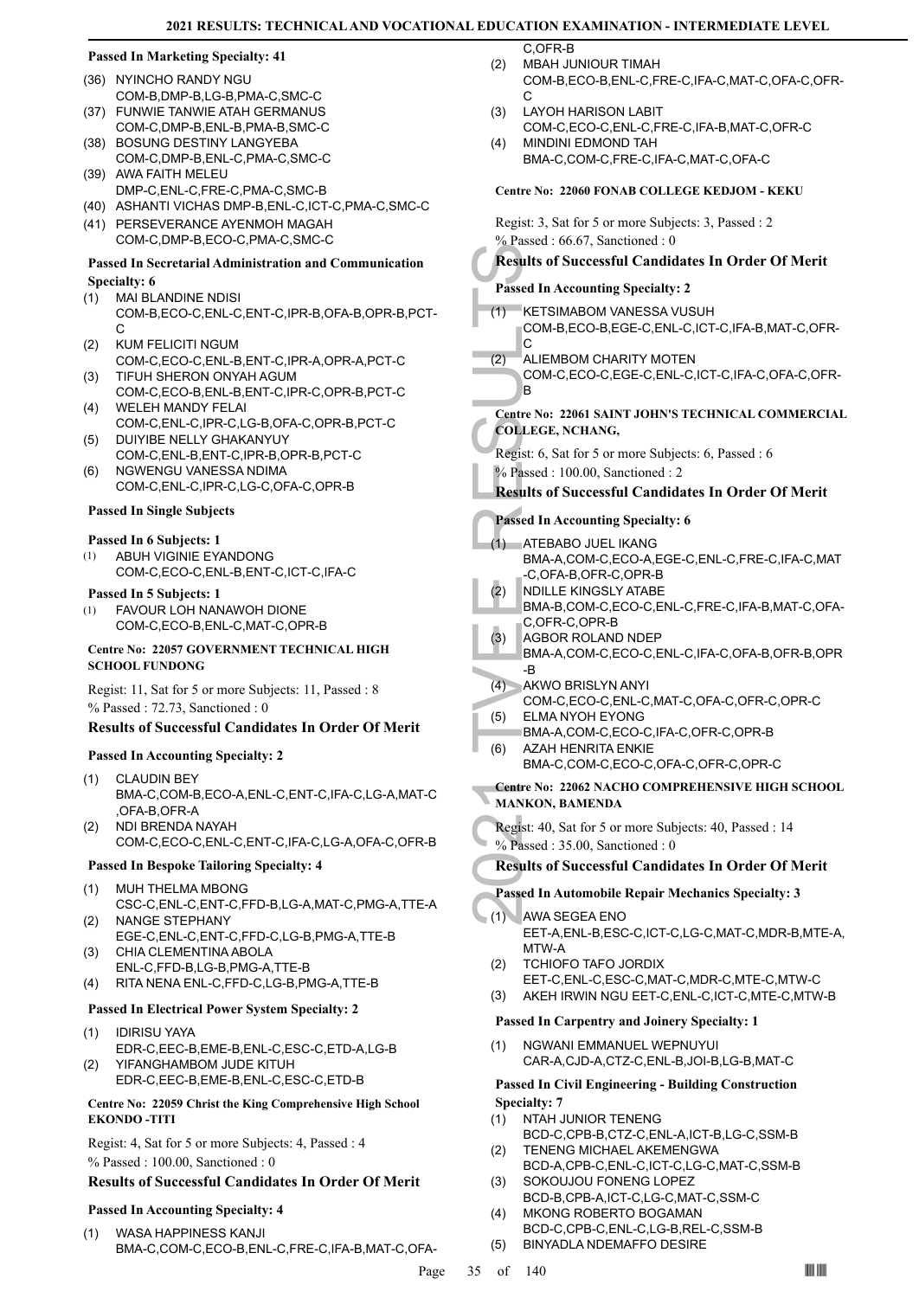# **Passed In Marketing Specialty: 41**

- (36) NYINCHO RANDY NGU COM-B,DMP-B,LG-B,PMA-C,SMC-C FUNWIE TANWIE ATAH GERMANUS (37)
- COM-C,DMP-B,ENL-B,PMA-B,SMC-C (38) BOSUNG DESTINY LANGYEBA
- COM-C,DMP-B,ENL-C,PMA-C,SMC-C (39) AWA FAITH MELEU
- DMP-C,ENL-C,FRE-C,PMA-C,SMC-B (40) ASHANTI VICHAS DMP-B,ENL-C,ICT-C,PMA-C,SMC-C
- (41) PERSEVERANCE AYENMOH MAGAH COM-C,DMP-B,ECO-C,PMA-C,SMC-C

#### **Passed In Secretarial Administration and Communication Specialty: 6**

- MAI BLANDINE NDISI COM-B,ECO-C,ENL-C,ENT-C,IPR-B,OFA-B,OPR-B,PCT- $\cap$ (1)
- KUM FELICITI NGUM COM-C,ECO-C,ENL-B,ENT-C,IPR-A,OPR-A,PCT-C (2)
- TIFUH SHERON ONYAH AGUM (3) COM-C,ECO-B,ENL-B,ENT-C,IPR-C,OPR-B,PCT-C
- WELEH MANDY FELAI (4) COM-C,ENL-C,IPR-C,LG-B,OFA-C,OPR-B,PCT-C
- DUIYIBE NELLY GHAKANYUY COM-C,ENL-B,ENT-C,IPR-B,OPR-B,PCT-C (5)
- NGWENGU VANESSA NDIMA COM-C,ENL-C,IPR-C,LG-C,OFA-C,OPR-B (6)

#### **Passed In Single Subjects**

#### **Passed In 6 Subjects: 1**

ABUH VIGINIE EYANDONG COM-C,ECO-C,ENL-B,ENT-C,ICT-C,IFA-C (1)

#### **Passed In 5 Subjects: 1**

FAVOUR LOH NANAWOH DIONE COM-C,ECO-B,ENL-C,MAT-C,OPR-B (1)

#### **Centre No: 22057 GOVERNMENT TECHNICAL HIGH SCHOOL FUNDONG**

Regist: 11, Sat for 5 or more Subjects: 11, Passed : 8 % Passed : 72.73, Sanctioned : 0

# **Results of Successful Candidates In Order Of Merit**

# **Passed In Accounting Specialty: 2**

- CLAUDIN BEY BMA-C,COM-B,ECO-A,ENL-C,ENT-C,IFA-C,LG-A,MAT-C ,OFA-B,OFR-A (1)
- NDI BRENDA NAYAH COM-C,ECO-C,ENL-C,ENT-C,IFA-C,LG-A,OFA-C,OFR-B (2)

# **Passed In Bespoke Tailoring Specialty: 4**

- MUH THELMA MBONG (1)
- CSC-C,ENL-C,ENT-C,FFD-B,LG-A,MAT-C,PMG-A,TTE-A NANGE STEPHANY (2)
- EGE-C,ENL-C,ENT-C,FFD-C,LG-B,PMG-A,TTE-B CHIA CLEMENTINA ABOLA (3)
- ENL-C,FFD-B,LG-B,PMG-A,TTE-B
- (4) RITA NENA ENL-C,FFD-C,LG-B,PMG-A,TTE-B

### **Passed In Electrical Power System Specialty: 2**

- IDIRISU YAYA EDR-C,EEC-B,EME-B,ENL-C,ESC-C,ETD-A,LG-B (1)
- YIFANGHAMBOM JUDE KITUH EDR-C,EEC-B,EME-B,ENL-C,ESC-C,ETD-B (2)

#### **Centre No: 22059 Christ the King Comprehensive High School EKONDO -TITI**

Regist: 4, Sat for 5 or more Subjects: 4, Passed : 4 % Passed : 100.00, Sanctioned : 0

#### **Results of Successful Candidates In Order Of Merit**

# **Passed In Accounting Specialty: 4**

WASA HAPPINESS KANJI BMA-C,COM-C,ECO-B,ENL-C,FRE-C,IFA-B,MAT-C,OFA- (1)

MBAH JUNIOUR TIMAH  $(2)$ 

C,OFR-B

- COM-B,ECO-B,ENL-C,FRE-C,IFA-C,MAT-C,OFA-C,OFR- $\cap$
- LAYOH HARISON LABIT COM-C,ECO-C,ENL-C,FRE-C,IFA-B,MAT-C,OFR-C (3) MINDINI EDMOND TAH (4)
- BMA-C,COM-C,FRE-C,IFA-C,MAT-C,OFA-C

# **Centre No: 22060 FONAB COLLEGE KEDJOM - KEKU**

Regist: 3, Sat for 5 or more Subjects: 3, Passed : 2 % Passed : 66.67, Sanctioned : 0

# **Results of Successful Candidates In Order Of Merit Passed In Accounting Specialty: 2**

KETSIMABOM VANESSA VUSUH COM-B,ECO-B,EGE-C,ENL-C,ICT-C,IFA-B,MAT-C,OFR-C (1)

#### ALIEMBOM CHARITY MOTEN (2)

COM-C,ECO-C,EGE-C,ENL-C,ICT-C,IFA-C,OFA-C,OFR-B

# **Centre No: 22061 SAINT JOHN'S TECHNICAL COMMERCIAL COLLEGE, NCHANG,**

Regist: 6, Sat for 5 or more Subjects: 6, Passed : 6 % Passed : 100.00, Sanctioned : 2

# **Results of Successful Candidates In Order Of Merit**

# **Passed In Accounting Specialty: 6**

- Results of S<br>
Passed In Ac<br>
(1) KETSIM<br>
COM-B,<br>
COM-C,<br>
B<br>
Centre No: 22<br>
COLLEGE, N<br>
Regist: 6, Sat<br>
% Passed In Ac<br>
(1) ATEBAE<br>
BMA-A,<br>
-C, OFA-<br>
(2) NDILLE<br>
BMA-A,<br>
-C, OFA-<br>
(2) NDILLE<br>
BMA-A,<br>
-C, OFR-<br>
(2) AGBOR<br>
BMA ATEBABO JUEL IKANG BMA-A,COM-C,ECO-A,EGE-C,ENL-C,FRE-C,IFA-C,MAT -C,OFA-B,OFR-C,OPR-B (1) NDILLE KINGSLY ATABE (2)
	- BMA-B,COM-C,ECO-C,ENL-C,FRE-C,IFA-B,MAT-C,OFA-C,OFR-C,OPR-B
- AGBOR ROLAND NDEP (3)
- BMA-A,COM-C,ECO-C,ENL-C,IFA-C,OFA-B,OFR-B,OPR -B
- AKWO BRISLYN ANYI (4) COM-C,ECO-C,ENL-C,MAT-C,OFA-C,OFR-C,OPR-C ELMA NYOH EYONG (5)
- BMA-A,COM-C,ECO-C,IFA-C,OFR-C,OPR-B (6)
	- AZAH HENRITA ENKIE BMA-C,COM-C,ECO-C,OFA-C,OFR-C,OPR-C

# **Centre No: 22062 NACHO COMPREHENSIVE HIGH SCHOOL MANKON, BAMENDA**

- Regist: 40, Sat for 5 or more Subjects: 40, Passed : 14
- % Passed : 35.00, Sanctioned : 0
- **Results of Successful Candidates In Order Of Merit**

# **Passed In Automobile Repair Mechanics Specialty: 3**

- AWA SEGEA ENO (1)
	- EET-A,ENL-B,ESC-C,ICT-C,LG-C,MAT-C,MDR-B,MTE-A, MTW-A
	- TCHIOFO TAFO JORDIX (2)
	- EET-C,ENL-C,ESC-C,MAT-C,MDR-C,MTE-C,MTW-C
	- (3) AKEH IRWIN NGU EET-C,ENL-C,ICT-C,MTE-C,MTW-B

#### **Passed In Carpentry and Joinery Specialty: 1**

NGWANI EMMANUEL WEPNUYUI CAR-A,CJD-A,CTZ-C,ENL-B,JOI-B,LG-B,MAT-C (1)

# **Passed In Civil Engineering - Building Construction Specialty: 7**

- (1) NTAH JUNIOR TENENG
- BCD-C,CPB-B,CTZ-C,ENL-A,ICT-B,LG-C,SSM-B TENENG MICHAEL AKEMENGWA (2)
- BCD-A,CPB-C,ENL-C,ICT-C,LG-C,MAT-C,SSM-B SOKOUJOU FONENG LOPEZ (3)
- BCD-B,CPB-A,ICT-C,LG-C,MAT-C,SSM-C MKONG ROBERTO BOGAMAN (4)
- BCD-C,CPB-C,ENL-C,LG-B,REL-C,SSM-B (5) BINYADLA NDEMAFFO DESIRE
- Page 35 of 140  $\blacksquare$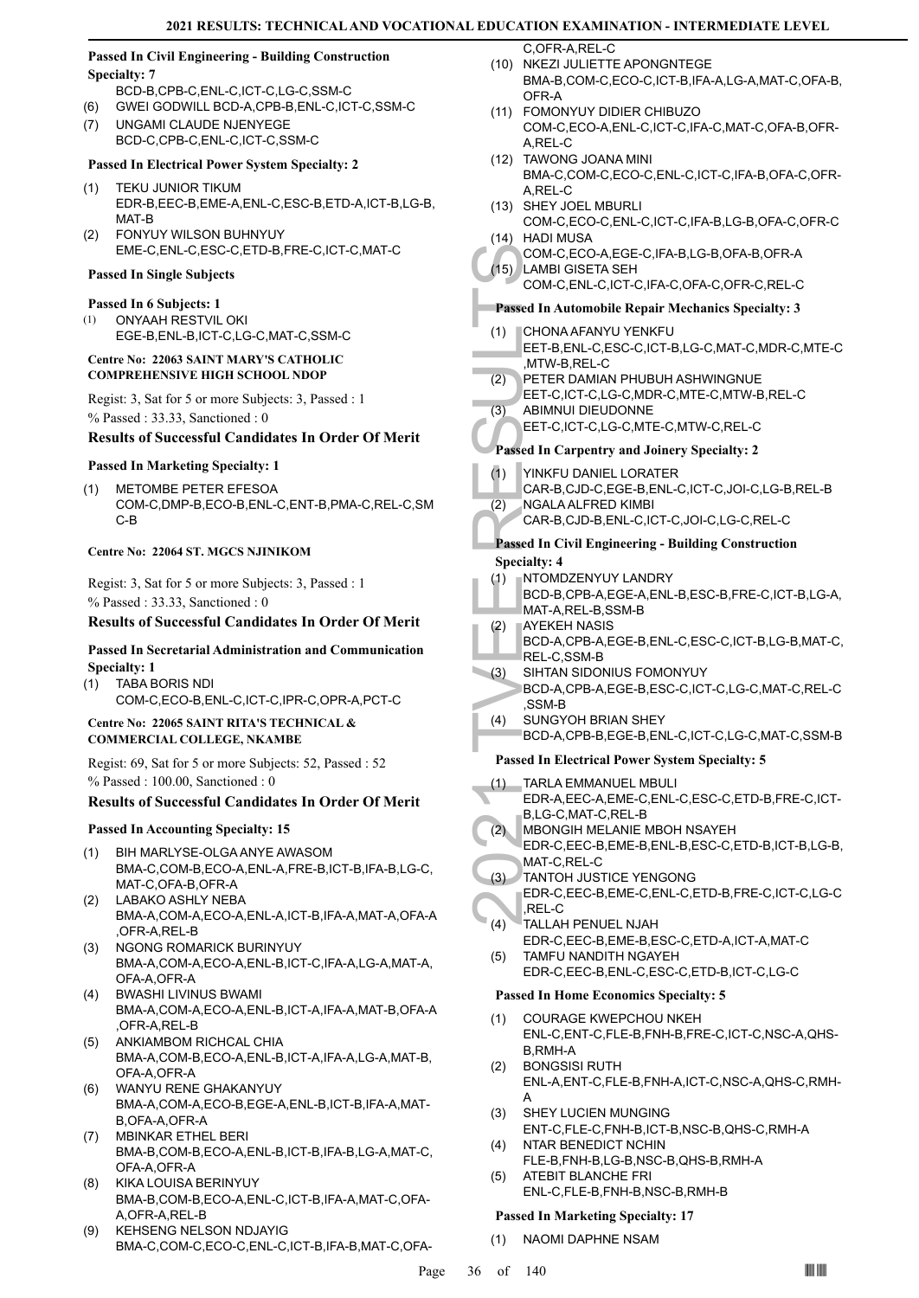# **Passed In Civil Engineering - Building Construction Specialty: 7**

- BCD-B,CPB-C,ENL-C,ICT-C,LG-C,SSM-C (6) GWEI GODWILL BCD-A,CPB-B,ENL-C,ICT-C,SSM-C
- UNGAMI CLAUDE NJENYEGE (7)

# BCD-C,CPB-C,ENL-C,ICT-C,SSM-C

# **Passed In Electrical Power System Specialty: 2**

- TEKU JUNIOR TIKUM EDR-B,EEC-B,EME-A,ENL-C,ESC-B,ETD-A,ICT-B,LG-B, MAT-B (1)
- FONYUY WILSON BUHNYUY EME-C,ENL-C,ESC-C,ETD-B,FRE-C,ICT-C,MAT-C (2)

# **Passed In Single Subjects**

### **Passed In 6 Subjects: 1**

ONYAAH RESTVIL OKI EGE-B,ENL-B,ICT-C,LG-C,MAT-C,SSM-C (1)

### **Centre No: 22063 SAINT MARY'S CATHOLIC COMPREHENSIVE HIGH SCHOOL NDOP**

Regist: 3, Sat for 5 or more Subjects: 3, Passed : 1 % Passed : 33.33, Sanctioned : 0

# **Results of Successful Candidates In Order Of Merit**

# **Passed In Marketing Specialty: 1**

METOMBE PETER EFESOA COM-C,DMP-B,ECO-B,ENL-C,ENT-B,PMA-C,REL-C,SM C-B (1)

#### **Centre No: 22064 ST. MGCS NJINIKOM**

Regist: 3, Sat for 5 or more Subjects: 3, Passed : 1 % Passed : 33.33, Sanctioned : 0

# **Results of Successful Candidates In Order Of Merit**

# **Passed In Secretarial Administration and Communication Specialty: 1**

TABA BORIS NDI COM-C,ECO-B,ENL-C,ICT-C,IPR-C,OPR-A,PCT-C (1)

# **Centre No: 22065 SAINT RITA'S TECHNICAL & COMMERCIAL COLLEGE, NKAMBE**

Regist: 69, Sat for 5 or more Subjects: 52, Passed : 52 % Passed : 100.00, Sanctioned : 0

# **Results of Successful Candidates In Order Of Merit**

#### **Passed In Accounting Specialty: 15**

- BIH MARLYSE-OLGA ANYE AWASOM BMA-C,COM-B,ECO-A,ENL-A,FRE-B,ICT-B,IFA-B,LG-C, MAT-C,OFA-B,OFR-A (1)
- LABAKO ASHLY NEBA BMA-A,COM-A,ECO-A,ENL-A,ICT-B,IFA-A,MAT-A,OFA-A OFR-A REL-B (2)
- NGONG ROMARICK BURINYUY BMA-A,COM-A,ECO-A,ENL-B,ICT-C,IFA-A,LG-A,MAT-A, OFA-A,OFR-A (3)
- BWASHI LIVINUS BWAMI BMA-A,COM-A,ECO-A,ENL-B,ICT-A,IFA-A,MAT-B,OFA-A ,OFR-A,REL-B  $(4)$
- ANKIAMBOM RICHCAL CHIA BMA-A,COM-B,ECO-A,ENL-B,ICT-A,IFA-A,LG-A,MAT-B, OFA-A,OFR-A (5)
- WANYU RENE GHAKANYUY BMA-A,COM-A,ECO-B,EGE-A,ENL-B,ICT-B,IFA-A,MAT-B,OFA-A,OFR-A (6)
- MBINKAR ETHEL BERI BMA-B,COM-B,ECO-A,ENL-B,ICT-B,IFA-B,LG-A,MAT-C, OFA-A,OFR-A (7)
- KIKA LOUISA BERINYUY BMA-B,COM-B,ECO-A,ENL-C,ICT-B,IFA-A,MAT-C,OFA-A,OFR-A,REL-B (8)
- KEHSENG NELSON NDJAYIG BMA-C,COM-C,ECO-C,ENL-C,ICT-B,IFA-B,MAT-C,OFA- (9)

C,OFR-A,REL-C (10) NKEZI JULIETTE APONGNTEGE

- BMA-B,COM-C,ECO-C,ICT-B,IFA-A,LG-A,MAT-C,OFA-B, OFR-A
- FOMONYUY DIDIER CHIBUZO (11) COM-C,ECO-A,ENL-C,ICT-C,IFA-C,MAT-C,OFA-B,OFR-A,REL-C
- TAWONG JOANA MINI (12) BMA-C,COM-C,ECO-C,ENL-C,ICT-C,IFA-B,OFA-C,OFR-A,REL-C
- (13) SHEY JOEL MBURLI
- COM-C,ECO-C,ENL-C,ICT-C,IFA-B,LG-B,OFA-C,OFR-C (14) HADI MUSA
- COM-C,ECO-A,EGE-C,IFA-B,LG-B,OFA-B,OFR-A LAMBI GISETA SEH (15)
	- COM-C,ENL-C,ICT-C,IFA-C,OFA-C,OFR-C,REL-C

# **Passed In Automobile Repair Mechanics Specialty: 3**

- CHONA AFANYU YENKFU (1)
- EET-B,ENL-C,ESC-C,ICT-B,LG-C,MAT-C,MDR-C,MTE-C ,MTW-B,REL-C
- PETER DAMIAN PHUBUH ASHWINGNUE EET-C,ICT-C,LG-C,MDR-C,MTE-C,MTW-B,REL-C (2) ABIMNUI DIEUDONNE (3)
- - EET-C,ICT-C,LG-C,MTE-C,MTW-C,REL-C

# **Passed In Carpentry and Joinery Specialty: 2**

- YINKFU DANIFL LORATER (1)
- CAR-B,CJD-C,EGE-B,ENL-C,ICT-C,JOI-C,LG-B,REL-B
- NGALA ALFRED KIMBI (2)
	- CAR-B,CJD-B,ENL-C,ICT-C,JOI-C,LG-C,REL-C

# **Passed In Civil Engineering - Building Construction Specialty: 4**

- NTOMDZENYUY LANDRY (1)
- BCD-B,CPB-A,EGE-A,ENL-B,ESC-B,FRE-C,ICT-B,LG-A, MAT-A,REL-B,SSM-B
- AYEKEH NASIS BCD-A,CPB-A,EGE-B,ENL-C,ESC-C,ICT-B,LG-B,MAT-C, REL-C,SSM-B (2)
- SIHTAN SIDONIUS FOMONYUY BCD-A,CPB-A,EGE-B,ESC-C,ICT-C,LG-C,MAT-C,REL-C ,SSM-B (3)
- SUNGYOH BRIAN SHEY (4)
	- BCD-A,CPB-B,EGE-B,ENL-C,ICT-C,LG-C,MAT-C,SSM-B

# **Passed In Electrical Power System Specialty: 5**

- COM-C,<br>
(15) LAMBI (COM-C,<br>
COM-C,<br>
COM-C,<br>
COM-C,<br>
COM-C,<br>
COM-C,<br>
COM-C,<br>
COM-C,<br>
COM-C,<br>
COM-C,<br>
COM-C,<br>
FRIFI-C,<br>
FRIFI-C,<br>
(2) NGALA<br>
CAR-B,<br>
(2) NGALA<br>
CAR-B,<br>
Passed In Ci<br>
Specialty: 4<br>
Passed In Ci<br>
Specialty: 4<br> TARLA EMMANUEL MBULI EDR-A,EEC-A,EME-C,ENL-C,ESC-C,ETD-B,FRE-C,ICT-B,LG-C,MAT-C,REL-B (1)
- MBONGIH MELANIE MBOH NSAYEH (2)
	- EDR-C,EEC-B,EME-B,ENL-B,ESC-C,ETD-B,ICT-B,LG-B, MAT-C,REL-C
	- TANTOH JUSTICE YENGONG EDR-C,EEC-B,EME-C,ENL-C,ETD-B,FRE-C,ICT-C,LG-C ,REL-C (3)
	- TALLAH PENUEL NJAH EDR-C,EEC-B,EME-B,ESC-C,ETD-A,ICT-A,MAT-C (4)
	- TAMFU NANDITH NGAYEH EDR-C,EEC-B,ENL-C,ESC-C,ETD-B,ICT-C,LG-C (5)

# **Passed In Home Economics Specialty: 5**

- COURAGE KWEPCHOU NKEH ENL-C,ENT-C,FLE-B,FNH-B,FRE-C,ICT-C,NSC-A,QHS-B,RMH-A (1)
- BONGSISI RUTH ENL-A,ENT-C,FLE-B,FNH-A,ICT-C,NSC-A,QHS-C,RMH-A (2)
- SHEY LUCIEN MUNGING ENT-C,FLE-C,FNH-B,ICT-B,NSC-B,QHS-C,RMH-A (3)
- NTAR BENEDICT NCHIN FLE-B,FNH-B,LG-B,NSC-B,QHS-B,RMH-A (4) ATEBIT BLANCHE FRI (5)

# ENL-C,FLE-B,FNH-B,NSC-B,RMH-B

# **Passed In Marketing Specialty: 17**

(1) NAOMI DAPHNE NSAM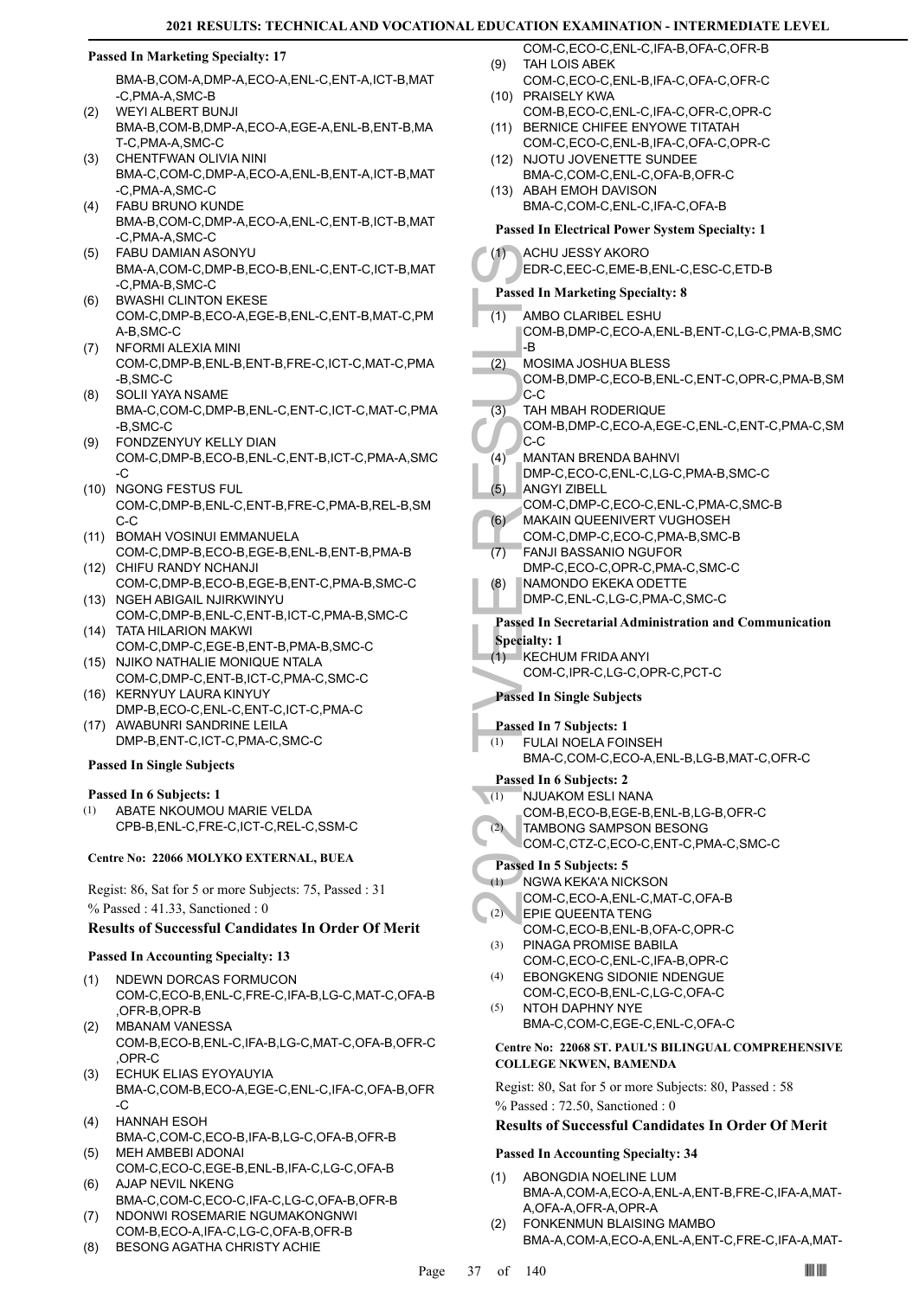### **Passed In Marketing Specialty: 17**

BMA-B,COM-A,DMP-A,ECO-A,ENL-C,ENT-A,ICT-B,MAT -C,PMA-A,SMC-B

- WEYI ALBERT BUNJI BMA-B,COM-B,DMP-A,ECO-A,EGE-A,ENL-B,ENT-B,MA T-C,PMA-A,SMC-C  $(2)$
- CHENTFWAN OLIVIA NINI (3) BMA-C,COM-C,DMP-A,ECO-A,ENL-B,ENT-A,ICT-B,MAT -C,PMA-A,SMC-C
- FABU BRUNO KUNDE BMA-B,COM-C,DMP-A,ECO-A,ENL-C,ENT-B,ICT-B,MAT -C,PMA-A,SMC-C (4)
- FABU DAMIAN ASONYU (5) BMA-A,COM-C,DMP-B,ECO-B,ENL-C,ENT-C,ICT-B,MAT -C,PMA-B,SMC-C
- BWASHI CLINTON EKESE COM-C,DMP-B,ECO-A,EGE-B,ENL-C,ENT-B,MAT-C,PM A-B,SMC-C (6)
- (7) NFORMI ALEXIA MINI COM-C,DMP-B,ENL-B,ENT-B,FRE-C,ICT-C,MAT-C,PMA -B,SMC-C
- SOLII YAYA NSAME BMA-C,COM-C,DMP-B,ENL-C,ENT-C,ICT-C,MAT-C,PMA -B,SMC-C (8)
- FONDZENYUY KELLY DIAN COM-C,DMP-B,ECO-B,ENL-C,ENT-B,ICT-C,PMA-A,SMC -C (9)
- (10) NGONG FESTUS FUL COM-C,DMP-B,ENL-C,ENT-B,FRE-C,PMA-B,REL-B,SM C-C
- BOMAH VOSINUI EMMANUELA (11) COM-C,DMP-B,ECO-B,EGE-B,ENL-B,ENT-B,PMA-B
- (12) CHIFU RANDY NCHANJI COM-C,DMP-B,ECO-B,EGE-B,ENT-C,PMA-B,SMC-C
- (13) NGEH ABIGAIL NJIRKWINYU COM-C,DMP-B,ENL-C,ENT-B,ICT-C,PMA-B,SMC-C TATA HILARION MAKWI (14)
- COM-C,DMP-C,EGE-B,ENT-B,PMA-B,SMC-C (15) NJIKO NATHALIE MONIQUE NTALA
- COM-C,DMP-C,ENT-B,ICT-C,PMA-C,SMC-C (16) KERNYUY LAURA KINYUY
- DMP-B,ECO-C,ENL-C,ENT-C,ICT-C,PMA-C (17) AWABUNRI SANDRINE LEILA
- DMP-B,ENT-C,ICT-C,PMA-C,SMC-C

# **Passed In Single Subjects**

#### **Passed In 6 Subjects: 1**

ABATE NKOUMOU MARIE VELDA CPB-B,ENL-C,FRE-C,ICT-C,REL-C,SSM-C (1)

#### **Centre No: 22066 MOLYKO EXTERNAL, BUEA**

Regist: 86, Sat for 5 or more Subjects: 75, Passed : 31 % Passed : 41.33, Sanctioned : 0

# **Results of Successful Candidates In Order Of Merit**

#### **Passed In Accounting Specialty: 13**

- NDEWN DORCAS FORMUCON COM-C,ECO-B,ENL-C,FRE-C,IFA-B,LG-C,MAT-C,OFA-B ,OFR-B,OPR-B (1)
- MBANAM VANESSA COM-B,ECO-B,ENL-C,IFA-B,LG-C,MAT-C,OFA-B,OFR-C ,OPR-C (2)
- ECHUK ELIAS EYOYAUYIA (3) BMA-C,COM-B,ECO-A,EGE-C,ENL-C,IFA-C,OFA-B,OFR -C
- HANNAH ESOH BMA-C,COM-C,ECO-B,IFA-B,LG-C,OFA-B,OFR-B (4) MEH AMBEBI ADONAI (5)
- COM-C,ECO-C,EGE-B,ENL-B,IFA-C,LG-C,OFA-B AJAP NEVIL NKENG (6)
- BMA-C,COM-C,ECO-C,IFA-C,LG-C,OFA-B,OFR-B NDONWI ROSEMARIE NGUMAKONGNWI (7)
- COM-B,ECO-A,IFA-C,LG-C,OFA-B,OFR-B
- (8) BESONG AGATHA CHRISTY ACHIE
- COM-C,ECO-C,ENL-C,IFA-B,OFA-C,OFR-B TAH LOIS ABEK (9)
- COM-C,ECO-C,ENL-B,IFA-C,OFA-C,OFR-C (10) PRAISELY KWA
- COM-B,ECO-C,ENL-C,IFA-C,OFR-C,OPR-C (11) BERNICE CHIFEE ENYOWE TITATAH
- COM-C,ECO-C,ENL-B,IFA-C,OFA-C,OPR-C (12) NJOTU JOVENETTE SUNDEE
- BMA-C,COM-C,ENL-C,OFA-B,OFR-C (13) ABAH EMOH DAVISON
	- BMA-C,COM-C,ENL-C,IFA-C,OFA-B

# **Passed In Electrical Power System Specialty: 1**

| I asseu III Electi ical I owel System Specially. I                                                                                                          |  |  |  |  |
|-------------------------------------------------------------------------------------------------------------------------------------------------------------|--|--|--|--|
| ACHU JESSY AKORO<br>(1)<br>EDR-C,EEC-C,EME-B,ENL-C,ESC-C,ETD-B                                                                                              |  |  |  |  |
| <b>Passed In Marketing Specialty: 8</b>                                                                                                                     |  |  |  |  |
| (1)<br>AMBO CLARIBEL ESHU<br>COM-B, DMP-C, ECO-A, ENL-B, ENT-C, LG-C, PMA-B, SMC<br>-B                                                                      |  |  |  |  |
| (2)<br><b>MOSIMA JOSHUA BLESS</b><br>COM-B,DMP-C,ECO-B,ENL-C,ENT-C,OPR-C,PMA-B,SM<br>C-C                                                                    |  |  |  |  |
| (3)<br>TAH MBAH RODERIQUE<br>COM-B,DMP-C,ECO-A,EGE-C,ENL-C,ENT-C,PMA-C,SM<br>C-C                                                                            |  |  |  |  |
| (4)<br>MANTAN BRENDA BAHNVI<br>DMP-C,ECO-C,ENL-C,LG-C,PMA-B,SMC-C<br>(5)<br><b>ANGYI ZIBELL</b>                                                             |  |  |  |  |
| COM-C,DMP-C,ECO-C,ENL-C,PMA-C,SMC-B<br>MAKAIN QUEENIVERT VUGHOSEH<br>(6)<br>COM-C,DMP-C,ECO-C,PMA-B,SMC-B                                                   |  |  |  |  |
| <b>FANJI BASSANIO NGUFOR</b><br>(7)<br>DMP-C,ECO-C,OPR-C,PMA-C,SMC-C<br>NAMONDO EKEKA ODETTE                                                                |  |  |  |  |
| (8)<br>DMP-C,ENL-C,LG-C,PMA-C,SMC-C                                                                                                                         |  |  |  |  |
| <b>Passed In Secretarial Administration and Communication</b><br><b>Specialty: 1</b><br><b>KECHUM FRIDA ANYI</b><br>(1)<br>COM-C, IPR-C, LG-C, OPR-C, PCT-C |  |  |  |  |
| <b>Passed In Single Subjects</b>                                                                                                                            |  |  |  |  |
| Passed In 7 Subjects: 1<br><b>FULAI NOELA FOINSEH</b><br>(1)<br>BMA-C,COM-C,ECO-A,ENL-B,LG-B,MAT-C,OFR-C                                                    |  |  |  |  |
| Passed In 6 Subjects: 2<br>NJUAKOM ESLI NANA<br>(1)<br>COM-B,ECO-B,EGE-B,ENL-B,LG-B,OFR-C<br>TAMBONG SAMPSON BESONG<br>(2)                                  |  |  |  |  |
| COM-C,CTZ-C,ECO-C,ENT-C,PMA-C,SMC-C<br>Passed In 5 Subjects: 5                                                                                              |  |  |  |  |
| NGWA KEKA'A NICKSON<br>(1)<br>COM-C,ECO-A,ENL-C,MAT-C,OFA-B<br>EPIE QUEENTA TENG<br>(2)<br>COM-C,ECO-B,ENL-B,OFA-C,OPR-C                                    |  |  |  |  |
| (3)<br>PINAGA PROMISE BABILA<br>COM-C,ECO-C,ENL-C,IFA-B,OPR-C<br><b>EBONGKENG SIDONIE NDENGUE</b><br>(4)                                                    |  |  |  |  |
| COM-C,ECO-B,ENL-C,LG-C,OFA-C<br>NTOH DAPHNY NYE<br>(5)<br>BMA-C,COM-C,EGE-C,ENL-C,OFA-C                                                                     |  |  |  |  |
| Centre No: 22068 ST. PAUL'S BILINGUAL COMPREHENSIVE<br><b>COLLEGE NKWEN, BAMENDA</b>                                                                        |  |  |  |  |
| Regist: 80, Sat for 5 or more Subjects: 80, Passed: 58<br>$%$ Passed: 72.50, Sanctioned: 0                                                                  |  |  |  |  |

# **Passed In Accounting Specialty: 34**

- ABONGDIA NOELINE LUM BMA-A,COM-A,ECO-A,ENL-A,ENT-B,FRE-C,IFA-A,MAT-A,OFA-A,OFR-A,OPR-A (1)
- FONKENMUN BLAISING MAMBO BMA-A,COM-A,ECO-A,ENL-A,ENT-C,FRE-C,IFA-A,MAT- (2)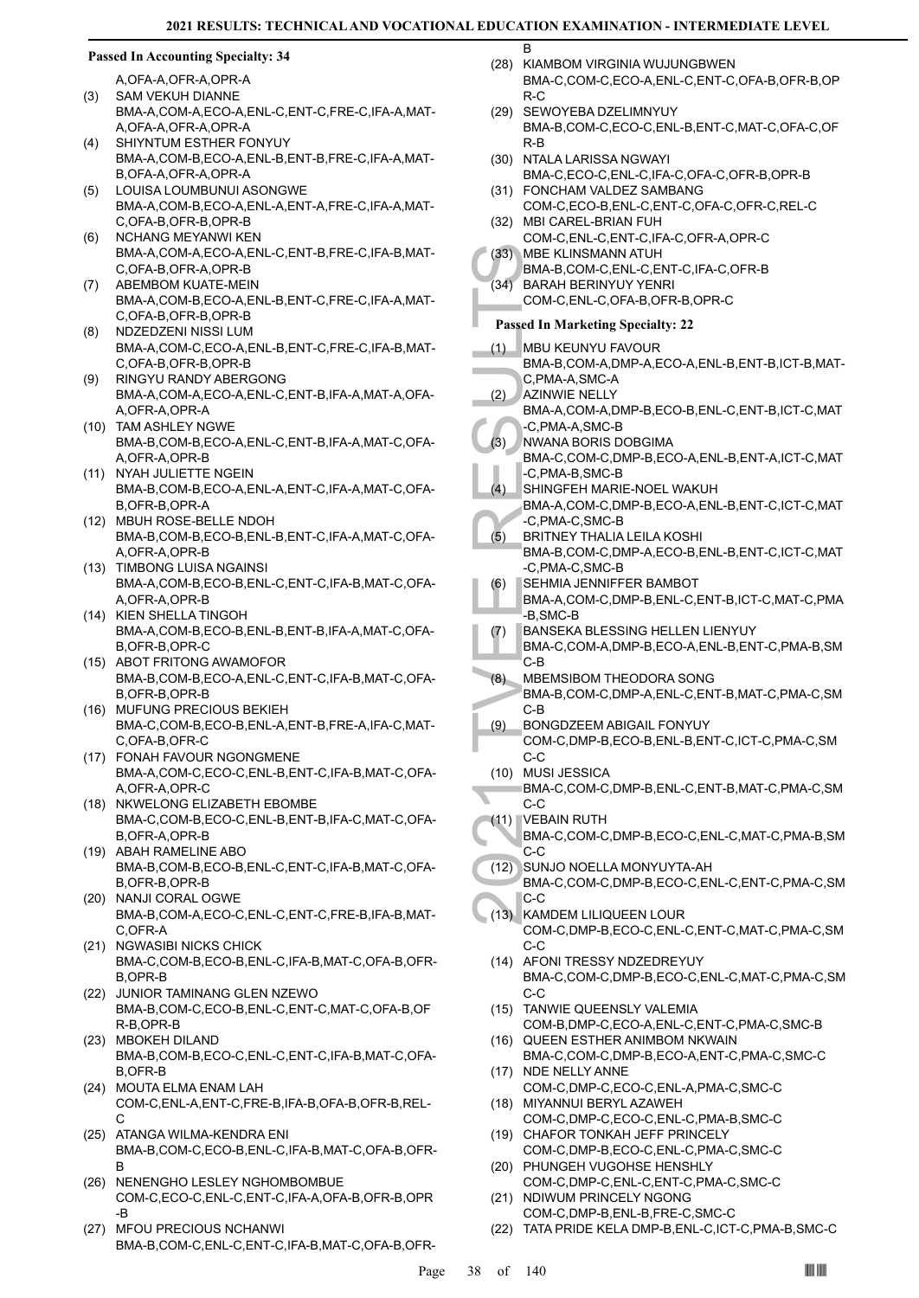B

#### **Passed In Accounting Specialty: 34**

A,OFA-A,OFR-A,OPR-A

- SAM VEKUH DIANNE BMA-A,COM-A,ECO-A,ENL-C,ENT-C,FRE-C,IFA-A,MAT-A,OFA-A,OFR-A,OPR-A (3)
- SHIYNTUM ESTHER FONYUY BMA-A,COM-B,ECO-A,ENL-B,ENT-B,FRE-C,IFA-A,MAT-B,OFA-A,OFR-A,OPR-A (4)
- LOUISA LOUMBUNUI ASONGWE BMA-A,COM-B,ECO-A,ENL-A,ENT-A,FRE-C,IFA-A,MAT-C,OFA-B,OFR-B,OPR-B (5)
- NCHANG MEYANWI KEN BMA-A,COM-A,ECO-A,ENL-C,ENT-B,FRE-C,IFA-B,MAT-C,OFA-B,OFR-A,OPR-B (6)
- ABEMBOM KUATE-MEIN BMA-A,COM-B,ECO-A,ENL-B,ENT-C,FRE-C,IFA-A,MAT-C,OFA-B,OFR-B,OPR-B (7)
- NDZEDZENI NISSI LUM BMA-A,COM-C,ECO-A,ENL-B,ENT-C,FRE-C,IFA-B,MAT-C,OFA-B,OFR-B,OPR-B (8)
- RINGYU RANDY ABERGONG BMA-A,COM-A,ECO-A,ENL-C,ENT-B,IFA-A,MAT-A,OFA-A,OFR-A,OPR-A (9)
- (10) TAM ASHLEY NGWE BMA-B,COM-B,ECO-A,ENL-C,ENT-B,IFA-A,MAT-C,OFA-A,OFR-A,OPR-B
- (11) NYAH JULIETTE NGEIN BMA-B,COM-B,ECO-A,ENL-A,ENT-C,IFA-A,MAT-C,OFA-B,OFR-B,OPR-A
- MBUH ROSE-BELLE NDOH (12) BMA-B,COM-B,ECO-B,ENL-B,ENT-C,IFA-A,MAT-C,OFA-A,OFR-A,OPR-B
- (13) TIMBONG LUISA NGAINSI BMA-A,COM-B,ECO-B,ENL-C,ENT-C,IFA-B,MAT-C,OFA-A,OFR-A,OPR-B
- (14) KIEN SHELLA TINGOH BMA-A,COM-B,ECO-B,ENL-B,ENT-B,IFA-A,MAT-C,OFA-B,OFR-B,OPR-C
- (15) ABOT FRITONG AWAMOFOR BMA-B,COM-B,ECO-A,ENL-C,ENT-C,IFA-B,MAT-C,OFA-B,OFR-B,OPR-B
- (16) MUFUNG PRECIOUS BEKIEH BMA-C,COM-B,ECO-B,ENL-A,ENT-B,FRE-A,IFA-C,MAT-C,OFA-B,OFR-C
- (17) FONAH FAVOUR NGONGMENE BMA-A,COM-C,ECO-C,ENL-B,ENT-C,IFA-B,MAT-C,OFA-A,OFR-A,OPR-C
- (18) NKWELONG ELIZABETH EBOMBE BMA-C,COM-B,ECO-C,ENL-B,ENT-B,IFA-C,MAT-C,OFA-B,OFR-A,OPR-B
- (19) ABAH RAMELINE ABO BMA-B,COM-B,ECO-B,ENL-C,ENT-C,IFA-B,MAT-C,OFA-B,OFR-B,OPR-B
- (20) NANJI CORAL OGWE BMA-B,COM-A,ECO-C,ENL-C,ENT-C,FRE-B,IFA-B,MAT-C,OFR-A
- (21) NGWASIBI NICKS CHICK BMA-C,COM-B,ECO-B,ENL-C,IFA-B,MAT-C,OFA-B,OFR-B,OPR-B
- (22) JUNIOR TAMINANG GLEN NZEWO BMA-B,COM-C,ECO-B,ENL-C,ENT-C,MAT-C,OFA-B,OF R-B,OPR-B
- (23) MBOKEH DILAND BMA-B,COM-B,ECO-C,ENL-C,ENT-C,IFA-B,MAT-C,OFA-B,OFR-B
- (24) MOUTA ELMA ENAM LAH COM-C,ENL-A,ENT-C,FRE-B,IFA-B,OFA-B,OFR-B,REL-C
- (25) ATANGA WILMA-KENDRA ENI BMA-B,COM-C,ECO-B,ENL-C,IFA-B,MAT-C,OFA-B,OFR-B
- (26) NENENGHO LESLEY NGHOMBOMBUE COM-C,ECO-C,ENL-C,ENT-C,IFA-A,OFA-B,OFR-B,OPR -B
- MFOU PRECIOUS NCHANWI BMA-B,COM-C,ENL-C,ENT-C,IFA-B,MAT-C,OFA-B,OFR- (27)
- (28) KIAMBOM VIRGINIA WUJUNGBWEN BMA-C,COM-C,ECO-A,ENL-C,ENT-C,OFA-B,OFR-B,OP R-C
- (29) SEWOYEBA DZELIMNYUY BMA-B,COM-C,ECO-C,ENL-B,ENT-C,MAT-C,OFA-C,OF R-B
- (30) NTALA LARISSA NGWAYI BMA-C,ECO-C,ENL-C,IFA-C,OFA-C,OFR-B,OPR-B FONCHAM VALDEZ SAMBANG (31)
- COM-C,ECO-B,ENL-C,ENT-C,OFA-C,OFR-C,REL-C MBI CAREL-BRIAN FUH (32)
- COM-C,ENL-C,ENT-C,IFA-C,OFR-A,OPR-C MBE KLINSMANN ATUH (33)
- BMA-B,COM-C,ENL-C,ENT-C,IFA-C,OFR-B
- BARAH BERINYUY YENRI (34)
	- COM-C,ENL-C,OFA-B,OFR-B,OPR-C
	- **Passed In Marketing Specialty: 22**
- MBU KEUNYU FAVOUR (1)
- BMA-B,COM-A,DMP-A,ECO-A,ENL-B,ENT-B,ICT-B,MAT-C,PMA-A,SMC-A
- AZINWIE NELLY (2)
- BMA-A,COM-A,DMP-B,ECO-B,ENL-C,ENT-B,ICT-C,MAT -C,PMA-A,SMC-B
- NWANA BORIS DOBGIMA BMA-C,COM-C,DMP-B,ECO-A,ENL-B,ENT-A,ICT-C,MAT -C,PMA-B,SMC-B (3)
- SHINGFEH MARIE-NOEL WAKUH (4)
- BMA-A,COM-C,DMP-B,ECO-A,ENL-B,ENT-C,ICT-C,MAT -C,PMA-C,SMC-B
- BRITNEY THALIA LEILA KOSHI BMA-B,COM-C,DMP-A,ECO-B,ENL-B,ENT-C,ICT-C,MAT -C,PMA-C,SMC-B (5)
- SEHMIA JENNIFFER BAMBOT (6)
- BMA-A,COM-C,DMP-B,ENL-C,ENT-B,ICT-C,MAT-C,PMA -B,SMC-B
- BANSEKA BLESSING HELLEN LIENYUY (7)
	- BMA-C,COM-A,DMP-B,ECO-A,ENL-B,ENT-C,PMA-B,SM C-B
- MBEMSIBOM THEODORA SONG BMA-B,COM-C,DMP-A,ENL-C,ENT-B,MAT-C,PMA-C,SM C-B (8)
- (33) MBE KL<br>
BMA-B,<br>
COM-C,<br>
Passed In M<br>
COM-C,<br>
Passed In M<br>
COM-C,<br>
PARA-H,<br>
COM-C,<br>
PARA-B,<br>
C,<br>
PMA-B,<br>
C,<br>
PMA-A,<br>
SHINGF BMA-A,<br>
C,<br>
PMA-A,<br>
C,<br>
PMA-A,<br>
SHINGF BMA-A,<br>
C,<br>
C,<br>
PMA-A,<br>
SHINGF BMA-A,<br>
C,<br>
C,<br>
PMA-A,<br> BONGDZEEM ABIGAIL FONYUY COM-C,DMP-B,ECO-B,ENL-B,ENT-C,ICT-C,PMA-C,SM C-C (9)
	- MUSI JESSICA (10)
	- BMA-C,COM-C,DMP-B,ENL-C,ENT-B,MAT-C,PMA-C,SM C-C
- VEBAIN RUTH (11)
- BMA-C,COM-C,DMP-B,ECO-C,ENL-C,MAT-C,PMA-B,SM C-C
- SUNJO NOELLA MONYUYTA-AH BMA-C,COM-C,DMP-B,ECO-C,ENL-C,ENT-C,PMA-C,SM C-C  $(12)$
- KAMDEM LILIQUEEN LOUR COM-C,DMP-B,ECO-C,ENL-C,ENT-C,MAT-C,PMA-C,SM C-C  $(13)$
- (14) AFONI TRESSY NDZEDREYUY BMA-C,COM-C,DMP-B,ECO-C,ENL-C,MAT-C,PMA-C,SM  $C-C$
- (15) TANWIE QUEENSLY VALEMIA COM-B,DMP-C,ECO-A,ENL-C,ENT-C,PMA-C,SMC-B
- (16) QUEEN ESTHER ANIMBOM NKWAIN BMA-C,COM-C,DMP-B,ECO-A,ENT-C,PMA-C,SMC-C
- (17) NDE NELLY ANNE COM-C,DMP-C,ECO-C,ENL-A,PMA-C,SMC-C MIYANNUI BERYL AZAWEH (18)
- COM-C,DMP-C,ECO-C,ENL-C,PMA-B,SMC-C (19) CHAFOR TONKAH JEFF PRINCELY
- COM-C,DMP-B,ECO-C,ENL-C,PMA-C,SMC-C (20) PHUNGEH VUGOHSE HENSHLY
- COM-C,DMP-C,ENL-C,ENT-C,PMA-C,SMC-C (21) NDIWUM PRINCELY NGONG
- COM-C,DMP-B,ENL-B,FRE-C,SMC-C
- (22) TATA PRIDE KELA DMP-B,ENL-C,ICT-C,PMA-B,SMC-C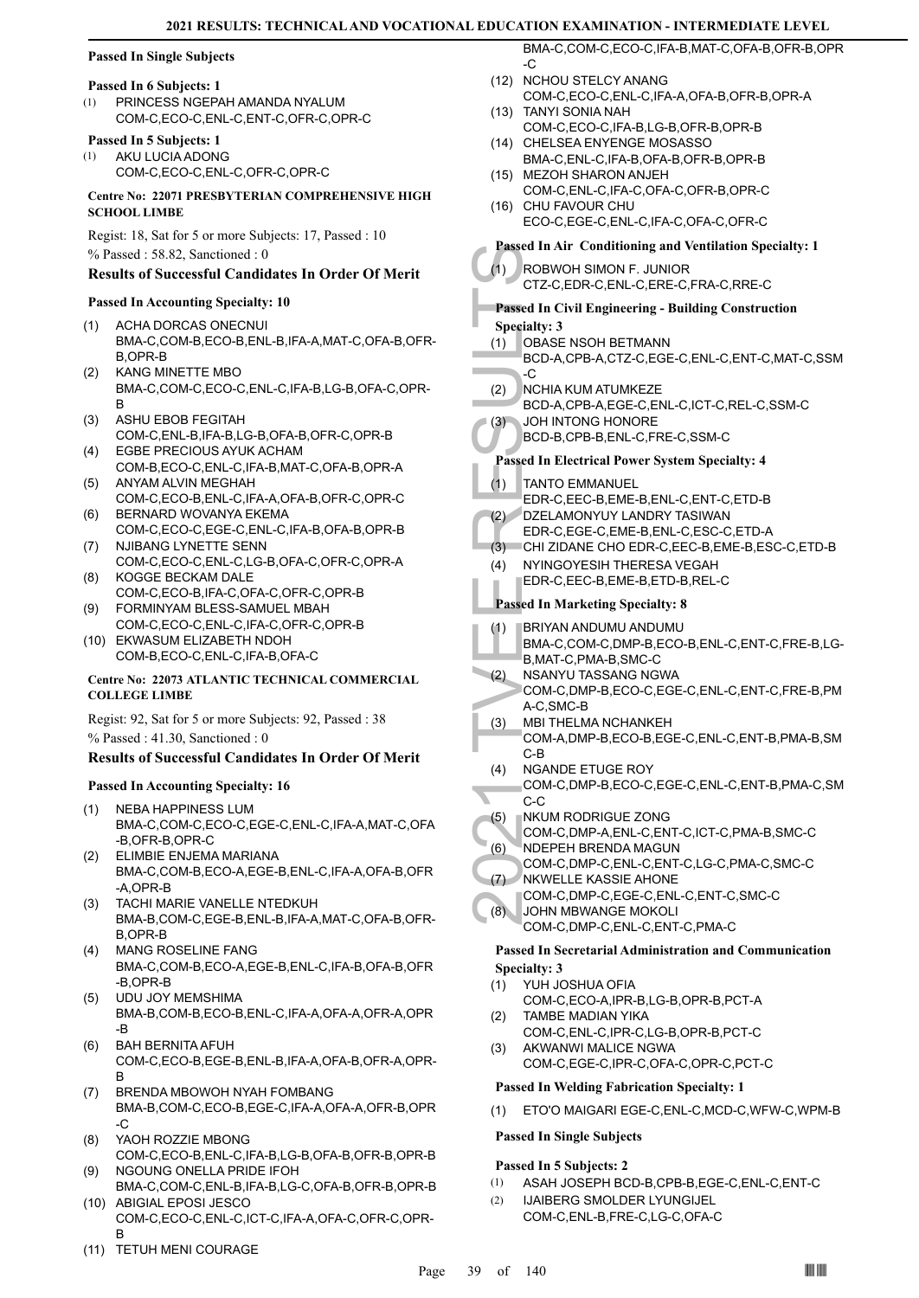# **Passed In Single Subjects**

### **Passed In 6 Subjects: 1**

PRINCESS NGEPAH AMANDA NYALUM COM-C,ECO-C,ENL-C,ENT-C,OFR-C,OPR-C (1)

# **Passed In 5 Subjects: 1**

AKU LUCIA ADONG COM-C,ECO-C,ENL-C,OFR-C,OPR-C (1)

**Centre No: 22071 PRESBYTERIAN COMPREHENSIVE HIGH SCHOOL LIMBE** 

Regist: 18, Sat for 5 or more Subjects: 17, Passed : 10 % Passed : 58.82, Sanctioned : 0

# **Results of Successful Candidates In Order Of Merit**

#### **Passed In Accounting Specialty: 10**

- ACHA DORCAS ONECNUI BMA-C,COM-B,ECO-B,ENL-B,IFA-A,MAT-C,OFA-B,OFR-B,OPR-B (1)
- KANG MINETTE MBO BMA-C,COM-C,ECO-C,ENL-C,IFA-B,LG-B,OFA-C,OPR-B (2)
- ASHU EBOB FEGITAH COM-C,ENL-B,IFA-B,LG-B,OFA-B,OFR-C,OPR-B (3)
- EGBE PRECIOUS AYUK ACHAM COM-B,ECO-C,ENL-C,IFA-B,MAT-C,OFA-B,OPR-A (4)
- ANYAM ALVIN MEGHAH COM-C,ECO-B,ENL-C,IFA-A,OFA-B,OFR-C,OPR-C (5)
- BERNARD WOVANYA EKEMA COM-C,ECO-C,EGE-C,ENL-C,IFA-B,OFA-B,OPR-B (6) (7) NJIBANG LYNETTE SENN
- COM-C,ECO-C,ENL-C,LG-B,OFA-C,OFR-C,OPR-A KOGGE BECKAM DALE (8)
- COM-C,ECO-B,IFA-C,OFA-C,OFR-C,OPR-B FORMINYAM BLESS-SAMUEL MBAH (9)
- COM-C,ECO-C,ENL-C,IFA-C,OFR-C,OPR-B (10) EKWASUM ELIZABETH NDOH
- COM-B,ECO-C,ENL-C,IFA-B,OFA-C

### **Centre No: 22073 ATLANTIC TECHNICAL COMMERCIAL COLLEGE LIMBE**

Regist: 92, Sat for 5 or more Subjects: 92, Passed : 38 % Passed : 41.30, Sanctioned : 0

# **Results of Successful Candidates In Order Of Merit**

# **Passed In Accounting Specialty: 16**

- NEBA HAPPINESS LUM BMA-C,COM-C,ECO-C,EGE-C,ENL-C,IFA-A,MAT-C,OFA -B,OFR-B,OPR-C (1)
- ELIMBIE ENJEMA MARIANA BMA-C,COM-B,ECO-A,EGE-B,ENL-C,IFA-A,OFA-B,OFR -A,OPR-B (2)
- TACHI MARIE VANELLE NTEDKUH (3) BMA-B,COM-C,EGE-B,ENL-B,IFA-A,MAT-C,OFA-B,OFR-B,OPR-B
- MANG ROSELINE FANG BMA-C,COM-B,ECO-A,EGE-B,ENL-C,IFA-B,OFA-B,OFR -B,OPR-B (4)
- UDU JOY MEMSHIMA BMA-B,COM-B,ECO-B,ENL-C,IFA-A,OFA-A,OFR-A,OPR -B (5)
- BAH BERNITA AFUH COM-C,ECO-B,EGE-B,ENL-B,IFA-A,OFA-B,OFR-A,OPR-B (6)
- BRENDA MBOWOH NYAH FOMBANG BMA-B,COM-C,ECO-B,EGE-C,IFA-A,OFA-A,OFR-B,OPR -C (7)
- YAOH ROZZIE MBONG COM-C,ECO-B,ENL-C,IFA-B,LG-B,OFA-B,OFR-B,OPR-B (8)
- NGOUNG ONELLA PRIDE IFOH BMA-C,COM-C,ENL-B,IFA-B,LG-C,OFA-B,OFR-B,OPR-B (9) (10) ABIGIAL EPOSI JESCO
- COM-C,ECO-C,ENL-C,ICT-C,IFA-A,OFA-C,OFR-C,OPR-B
- (11) TETUH MENI COURAGE

BMA-C,COM-C,ECO-C,IFA-B,MAT-C,OFA-B,OFR-B,OPR -C

- (12) NCHOU STELCY ANANG COM-C,ECO-C,ENL-C,IFA-A,OFA-B,OFR-B,OPR-A
- TANYI SONIA NAH (13) COM-C,ECO-C,IFA-B,LG-B,OFR-B,OPR-B
- (14) CHELSEA ENYENGE MOSASSO BMA-C,ENL-C,IFA-B,OFA-B,OFR-B,OPR-B
- MEZOH SHARON ANJEH (15) COM-C,ENL-C,IFA-C,OFA-C,OFR-B,OPR-C
- (16) CHU FAVOUR CHU ECO-C,EGE-C,ENL-C,IFA-C,OFA-C,OFR-C

# **Passed In Air Conditioning and Ventilation Specialty: 1**

ROBWOH SIMON F. JUNIOR CTZ-C,EDR-C,ENL-C,ERE-C,FRA-C,RRE-C (1) **Passed In Civil Engineering - Building Construction Specialty: 3** OBASE NSOH BETMANN (1)

- BCD-A,CPB-A,CTZ-C,EGE-C,ENL-C,ENT-C,MAT-C,SSM -C
- NCHIA KUM ATUMKEZE (2)
- BCD-A,CPB-A,EGE-C,ENL-C,ICT-C,REL-C,SSM-C (3)
	- JOH INTONG HONORE BCD-B,CPB-B,ENL-C,FRE-C,SSM-C

# **Passed In Electrical Power System Specialty: 4**

Fassed In Al<br>
(1) ROBWC<br>
CTZ-C, P<br>
Passed In Ci<br>
Specialty: 3<br>
(1) OBASE<br>
BCD-A, C<br>
(2) NCHIA BCD-A, C<br>
BCD-A, C<br>
BCD-A, C<br>
BCD-A, C<br>
BCD-A, C<br>
BCD-A, C<br>
BCD-A, C<br>
BCD-A, C<br>
BCD-A, C<br>
BCD-A, C<br>
BCD-A, C<br>
BCD-A, C<br>
BCD-A, C TANTO EMMANUEL EDR-C,EEC-B,EME-B,ENL-C,ENT-C,ETD-B (1) DZELAMONYUY LANDRY TASIWAN EDR-C,EGE-C,EME-B,ENL-C,ESC-C,ETD-A (2) (3) CHI ZIDANE CHO EDR-C,EEC-B,EME-B,ESC-C,ETD-B NYINGOYESIH THERESA VEGAH EDR-C,EEC-B,EME-B,ETD-B,REL-C (4)

# **Passed In Marketing Specialty: 8**

- BRIYAN ANDUMU ANDUMU BMA-C,COM-C,DMP-B,ECO-B,ENL-C,ENT-C,FRE-B,LG-(1)
- B,MAT-C,PMA-B,SMC-C
- NSANYU TASSANG NGWA COM-C,DMP-B,ECO-C,EGE-C,ENL-C,ENT-C,FRE-B,PM A-C,SMC-B (2)
- MBI THELMA NCHANKEH COM-A,DMP-B,ECO-B,EGE-C,ENL-C,ENT-B,PMA-B,SM C-B (3)
- NGANDE ETUGE ROY (4)
- COM-C,DMP-B,ECO-C,EGE-C,ENL-C,ENT-B,PMA-C,SM C-C
- NKUM RODRIGUE ZONG (5)
- COM-C,DMP-A,ENL-C,ENT-C,ICT-C,PMA-B,SMC-C
- NDEPEH BRENDA MAGUN (6)
	- COM-C,DMP-C,ENL-C,ENT-C,LG-C,PMA-C,SMC-C NKWELLE KASSIE AHONE (7)
	- COM-C,DMP-C,EGE-C,ENL-C,ENT-C,SMC-C JOHN MBWANGE MOKOLI (8)
		- COM-C,DMP-C,ENL-C,ENT-C,PMA-C

### **Passed In Secretarial Administration and Communication Specialty: 3**

- YUH JOSHUA OFIA (1)
- COM-C,ECO-A,IPR-B,LG-B,OPR-B,PCT-A
- TAMBE MADIAN YIKA COM-C,ENL-C,IPR-C,LG-B,OPR-B,PCT-C (2) AKWANWI MALICE NGWA (3)
- COM-C,EGE-C,IPR-C,OFA-C,OPR-C,PCT-C

# **Passed In Welding Fabrication Specialty: 1**

(1) ETO'O MAIGARI EGE-C,ENL-C,MCD-C,WFW-C,WPM-B

# **Passed In Single Subjects**

# **Passed In 5 Subjects: 2**

- (1) ASAH JOSEPH BCD-B,CPB-B,EGE-C,ENL-C,ENT-C
- IJAIBERG SMOLDER LYUNGIJEL COM-C,ENL-B,FRE-C,LG-C,OFA-C (2)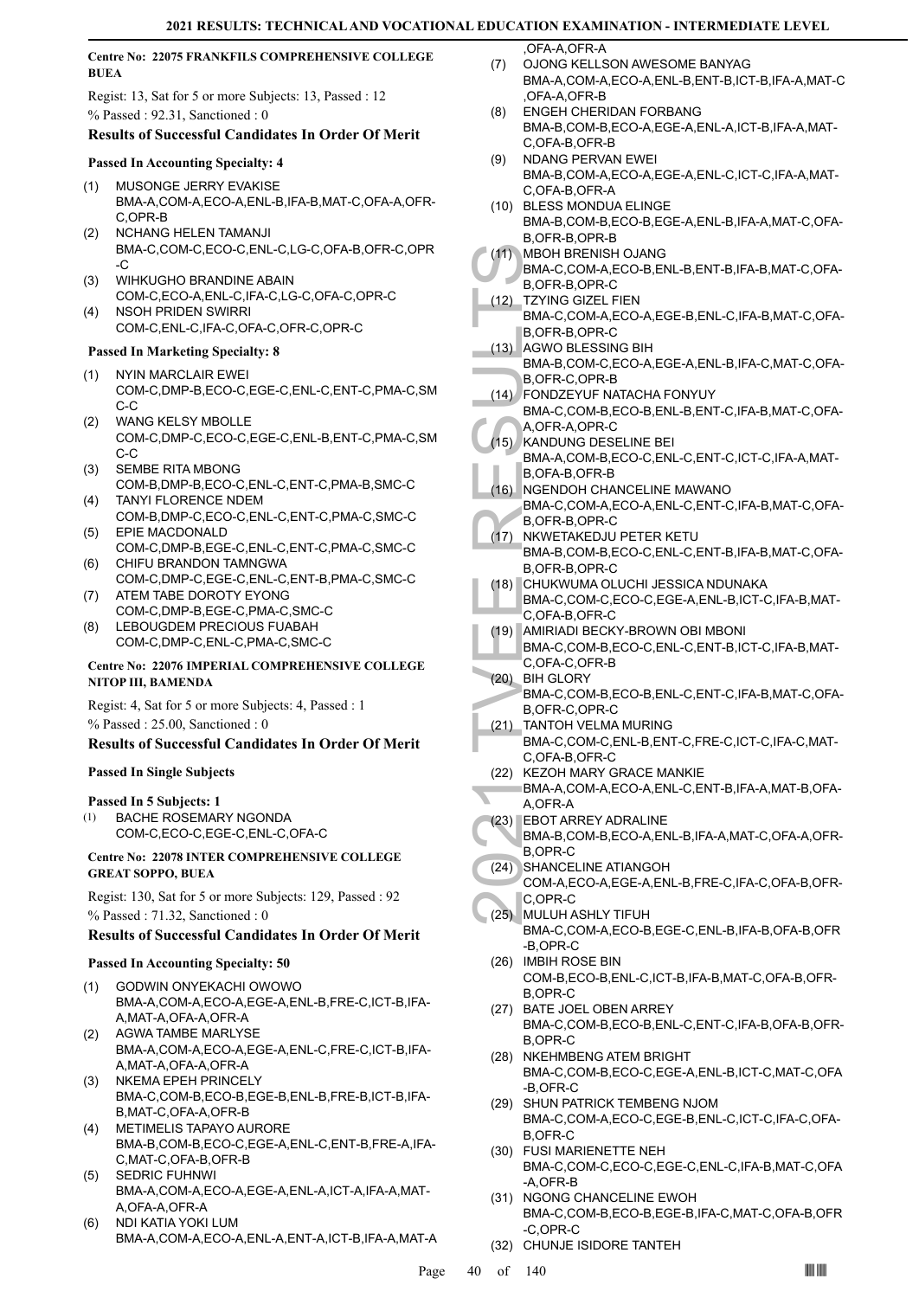# **Centre No: 22075 FRANKFILS COMPREHENSIVE COLLEGE BUEA**

Regist: 13, Sat for 5 or more Subjects: 13, Passed : 12 % Passed : 92.31, Sanctioned : 0

# **Results of Successful Candidates In Order Of Merit**

# **Passed In Accounting Specialty: 4**

- MUSONGE JERRY EVAKISE BMA-A,COM-A,ECO-A,ENL-B,IFA-B,MAT-C,OFA-A,OFR-C,OPR-B (1)
- NCHANG HELEN TAMANJI BMA-C,COM-C,ECO-C,ENL-C,LG-C,OFA-B,OFR-C,OPR -C (2)
- WIHKUGHO BRANDINE ABAIN (3) COM-C,ECO-A,ENL-C,IFA-C,LG-C,OFA-C,OPR-C
- NSOH PRIDEN SWIRRI COM-C,ENL-C,IFA-C,OFA-C,OFR-C,OPR-C (4)

# **Passed In Marketing Specialty: 8**

- NYIN MARCLAIR EWEI COM-C,DMP-B,ECO-C,EGE-C,ENL-C,ENT-C,PMA-C,SM C-C (1)
- WANG KELSY MBOLLE COM-C,DMP-C,ECO-C,EGE-C,ENL-B,ENT-C,PMA-C,SM C-C (2)
- SEMBE RITA MBONG COM-B,DMP-B,ECO-C,ENL-C,ENT-C,PMA-B,SMC-C (3) TANYI FLORENCE NDEM
- COM-B,DMP-C,ECO-C,ENL-C,ENT-C,PMA-C,SMC-C (4) EPIE MACDONALD (5)
- COM-C,DMP-B,EGE-C,ENL-C,ENT-C,PMA-C,SMC-C (6) CHIFU BRANDON TAMNGWA
- COM-C,DMP-C,EGE-C,ENL-C,ENT-B,PMA-C,SMC-C ATEM TABE DOROTY EYONG (7)
- COM-C,DMP-B,EGE-C,PMA-C,SMC-C (8) LEBOUGDEM PRECIOUS FUABAH
- COM-C,DMP-C,ENL-C,PMA-C,SMC-C

# **Centre No: 22076 IMPERIAL COMPREHENSIVE COLLEGE NITOP III, BAMENDA**

Regist: 4, Sat for 5 or more Subjects: 4, Passed : 1 % Passed : 25.00, Sanctioned : 0

# **Results of Successful Candidates In Order Of Merit**

# **Passed In Single Subjects**

# **Passed In 5 Subjects: 1**

BACHE ROSEMARY NGONDA COM-C,ECO-C,EGE-C,ENL-C,OFA-C (1)

#### **Centre No: 22078 INTER COMPREHENSIVE COLLEGE GREAT SOPPO, BUEA**

Regist: 130, Sat for 5 or more Subjects: 129, Passed : 92 % Passed : 71.32, Sanctioned : 0

# **Results of Successful Candidates In Order Of Merit**

# **Passed In Accounting Specialty: 50**

- GODWIN ONYEKACHI OWOWO BMA-A,COM-A,ECO-A,EGE-A,ENL-B,FRE-C,ICT-B,IFA-A,MAT-A,OFA-A,OFR-A (1)
- AGWA TAMBE MARLYSE BMA-A,COM-A,ECO-A,EGE-A,ENL-C,FRE-C,ICT-B,IFA-A,MAT-A,OFA-A,OFR-A (2)
- NKEMA EPEH PRINCELY BMA-C,COM-B,ECO-B,EGE-B,ENL-B,FRE-B,ICT-B,IFA-B,MAT-C,OFA-A,OFR-B (3)
- METIMELIS TAPAYO AURORE (4) BMA-B,COM-B,ECO-C,EGE-A,ENL-C,ENT-B,FRE-A,IFA-C,MAT-C,OFA-B,OFR-B
- SEDRIC FUHNWI BMA-A,COM-A,ECO-A,EGE-A,ENL-A,ICT-A,IFA-A,MAT-A,OFA-A,OFR-A (5)
- NDI KATIA YOKI LUM BMA-A,COM-A,ECO-A,ENL-A,ENT-A,ICT-B,IFA-A,MAT-A (6)

,OFA-A,OFR-A

- OJONG KELLSON AWESOME BANYAG BMA-A,COM-A,ECO-A,ENL-B,ENT-B,ICT-B,IFA-A,MAT-C ,OFA-A,OFR-B (7)
- ENGEH CHERIDAN FORBANG BMA-B,COM-B,ECO-A,EGE-A,ENL-A,ICT-B,IFA-A,MAT-C,OFA-B,OFR-B (8)
- NDANG PERVAN EWEI BMA-B,COM-A,ECO-A,EGE-A,ENL-C,ICT-C,IFA-A,MAT-C,OFA-B,OFR-A (9)
- (10) BLESS MONDUA ELINGE BMA-B,COM-B,ECO-B,EGE-A,ENL-B,IFA-A,MAT-C,OFA-
- B,OFR-B,OPR-B MBOH BRENISH OJANG  $(11)$
- BMA-C,COM-A,ECO-B,ENL-B,ENT-B,IFA-B,MAT-C,OFA-B,OFR-B,OPR-C
- TZYING GIZEL FIEN BMA-C,COM-A,ECO-A,EGE-B,ENL-C,IFA-B,MAT-C,OFA-B,OFR-B,OPR-C (12)
- (13) AGWO BLESSING BIH BMA-B,COM-C,ECO-A,EGE-A,ENL-B,IFA-C,MAT-C,OFA-B,OFR-C,OPR-B
- FONDZEYUF NATACHA FONYUY  $(14)$
- BMA-C,COM-B,ECO-B,ENL-B,ENT-C,IFA-B,MAT-C,OFA-A,OFR-A,OPR-C
- (15) KANDUNG DESELINE BEI
- BMA-A,COM-B,ECO-C,ENL-C,ENT-C,ICT-C,IFA-A,MAT-B,OFA-B,OFR-B
- NGENDOH CHANCELINE MAWANO BMA-C,COM-A,ECO-A,ENL-C,ENT-C,IFA-B,MAT-C,OFA-B,OFR-B,OPR-C  $(16)$
- (11) MBOH H<br>
BMA-C,<br>
B,OFR-I<br>
BMA-C,<br>
B,OFR-I<br>
AGWO I BMA-B,<br>
B,OFR-I<br>
AGWO I BMA-B,<br>
B,OFR-I<br>
BMA-C,<br>
A,OFR-I<br>
BMA-A,<br>
B,OFA-I<br>
BMA-A,<br>
B,OFA-I<br>
BMA-C,<br>
B,OFR-I<br>
BMA-C,<br>
B,OFR-I<br>
BMA-C,<br>
B,OFR-I<br>
BMA-C,<br>
B,OFR-I<br>
BMA-C,<br> NKWETAKEDJU PETER KETU BMA-B,COM-B,ECO-C,ENL-C,ENT-B,IFA-B,MAT-C,OFA-B,OFR-B,OPR-C  $(17)$
- CHUKWUMA OLUCHI JESSICA NDUNAKA BMA-C,COM-C,ECO-C,EGE-A,ENL-B,ICT-C,IFA-B,MAT-C,OFA-B,OFR-C (18)
- AMIRIADI BECKY-BROWN OBI MBONI (19)
- BMA-C,COM-B,ECO-C,ENL-C,ENT-B,ICT-C,IFA-B,MAT-C,OFA-C,OFR-B
- BIH GLORY (20) BMA-C,COM-B,ECO-B,ENL-C,ENT-C,IFA-B,MAT-C,OFA-B,OFR-C,OPR-C
- TANTOH VELMA MURING (21)
	- BMA-C,COM-C,ENL-B,ENT-C,FRE-C,ICT-C,IFA-C,MAT-C,OFA-B,OFR-C
- (22) KEZOH MARY GRACE MANKIE
- BMA-A,COM-A,ECO-A,ENL-C,ENT-B,IFA-A,MAT-B,OFA-A,OFR-A
- EBOT ARREY ADRALINE (23)
- BMA-B,COM-B,ECO-A,ENL-B,IFA-A,MAT-C,OFA-A,OFR-B,OPR-C
- SHANCELINE ATIANGOH (24)
	- COM-A,ECO-A,EGE-A,ENL-B,FRE-C,IFA-C,OFA-B,OFR-C,OPR-C
	- MULUH ASHLY TIFUH (25) BMA-C,COM-A,ECO-B,EGE-C,ENL-B,IFA-B,OFA-B,OFR -B,OPR-C
	- (26) IMBIH ROSE BIN COM-B,ECO-B,ENL-C,ICT-B,IFA-B,MAT-C,OFA-B,OFR-B,OPR-C
	- (27) BATE JOEL OBEN ARREY BMA-C,COM-B,ECO-B,ENL-C,ENT-C,IFA-B,OFA-B,OFR-B,OPR-C
	- (28) NKEHMBENG ATEM BRIGHT BMA-C,COM-B,ECO-C,EGE-A,ENL-B,ICT-C,MAT-C,OFA -B,OFR-C
	- (29) SHUN PATRICK TEMBENG NJOM BMA-C,COM-A,ECO-C,EGE-B,ENL-C,ICT-C,IFA-C,OFA-B,OFR-C
	- FUSI MARIENETTE NEH (30) BMA-C,COM-C,ECO-C,EGE-C,ENL-C,IFA-B,MAT-C,OFA -A,OFR-B
	- (31) NGONG CHANCELINE EWOH BMA-C,COM-B,ECO-B,EGE-B,IFA-C,MAT-C,OFA-B,OFR -C,OPR-C
	- (32) CHUNJE ISIDORE TANTEH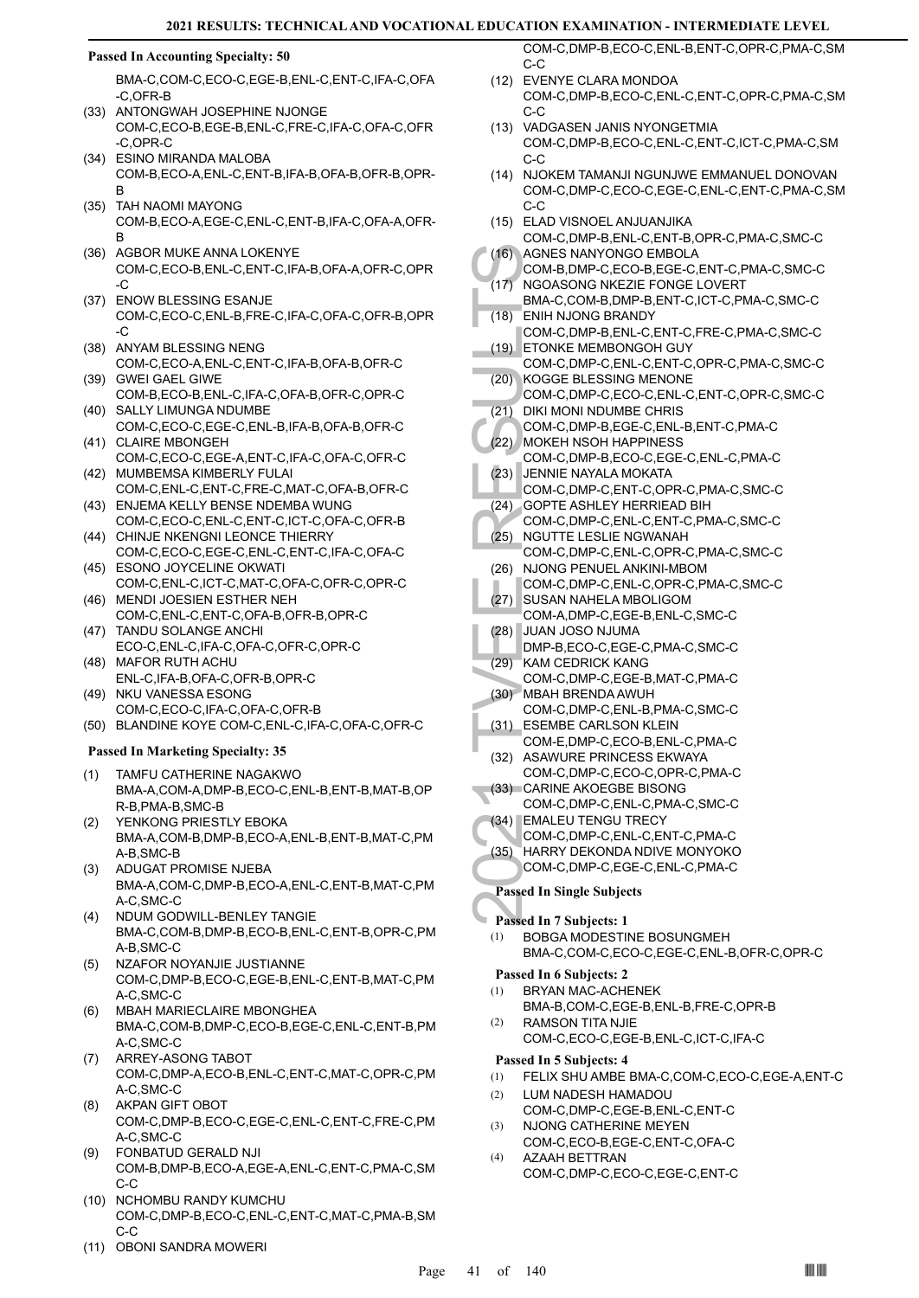### **Passed In Accounting Specialty: 50**

BMA-C,COM-C,ECO-C,EGE-B,ENL-C,ENT-C,IFA-C,OFA -C,OFR-B

- (33) ANTONGWAH JOSEPHINE NJONGE COM-C,ECO-B,EGE-B,ENL-C,FRE-C,IFA-C,OFA-C,OFR -C,OPR-C
- ESINO MIRANDA MALOBA (34) COM-B,ECO-A,ENL-C,ENT-B,IFA-B,OFA-B,OFR-B,OPR-B
- (35) TAH NAOMI MAYONG COM-B,ECO-A,EGE-C,ENL-C,ENT-B,IFA-C,OFA-A,OFR-B
- (36) AGBOR MUKE ANNA LOKENYE COM-C,ECO-B,ENL-C,ENT-C,IFA-B,OFA-A,OFR-C,OPR -C
- (37) ENOW BLESSING ESANJE COM-C,ECO-C,ENL-B,FRE-C,IFA-C,OFA-C,OFR-B,OPR -C
- (38) ANYAM BLESSING NENG COM-C,ECO-A,ENL-C,ENT-C,IFA-B,OFA-B,OFR-C
- (39) GWEI GAEL GIWE COM-B,ECO-B,ENL-C,IFA-C,OFA-B,OFR-C,OPR-C (40) SALLY LIMUNGA NDUMBE
- COM-C,ECO-C,EGE-C,ENL-B,IFA-B,OFA-B,OFR-C (41) CLAIRE MBONGEH
- COM-C,ECO-C,EGE-A,ENT-C,IFA-C,OFA-C,OFR-C (42) MUMBEMSA KIMBERLY FULAI
- COM-C,ENL-C,ENT-C,FRE-C,MAT-C,OFA-B,OFR-C (43) ENJEMA KELLY BENSE NDEMBA WUNG
- COM-C,ECO-C,ENL-C,ENT-C,ICT-C,OFA-C,OFR-B (44) CHINJE NKENGNI LEONCE THIERRY
- COM-C,ECO-C,EGE-C,ENL-C,ENT-C,IFA-C,OFA-C (45) ESONO JOYCELINE OKWATI
- COM-C,ENL-C,ICT-C,MAT-C,OFA-C,OFR-C,OPR-C (46) MENDI JOESIEN ESTHER NEH
- COM-C,ENL-C,ENT-C,OFA-B,OFR-B,OPR-C (47) TANDU SOLANGE ANCHI
- ECO-C,ENL-C,IFA-C,OFA-C,OFR-C,OPR-C MAFOR RUTH ACHU (48)
- ENL-C,IFA-B,OFA-C,OFR-B,OPR-C
- (49) NKU VANESSA ESONG COM-C,ECO-C,IFA-C,OFA-C,OFR-B
- (50) BLANDINE KOYE COM-C,ENL-C,IFA-C,OFA-C,OFR-C

# **Passed In Marketing Specialty: 35**

- TAMFU CATHERINE NAGAKWO BMA-A,COM-A,DMP-B,ECO-C,ENL-B,ENT-B,MAT-B,OP R-B,PMA-B,SMC-B (1)
- YENKONG PRIESTLY EBOKA BMA-A,COM-B,DMP-B,ECO-A,ENL-B,ENT-B,MAT-C,PM A-B,SMC-B (2)
- (3) ADUGAT PROMISE NJEBA BMA-A,COM-C,DMP-B,ECO-A,ENL-C,ENT-B,MAT-C,PM A-C,SMC-C
- NDUM GODWILL-BENLEY TANGIE BMA-C,COM-B,DMP-B,ECO-B,ENL-C,ENT-B,OPR-C,PM A-B,SMC-C (4)
- NZAFOR NOYANJIE JUSTIANNE COM-C,DMP-B,ECO-C,EGE-B,ENL-C,ENT-B,MAT-C,PM A-C,SMC-C (5)
- MBAH MARIECLAIRE MBONGHEA BMA-C,COM-B,DMP-C,ECO-B,EGE-C,ENL-C,ENT-B,PM A-C,SMC-C (6)
- ARREY-ASONG TABOT COM-C,DMP-A,ECO-B,ENL-C,ENT-C,MAT-C,OPR-C,PM A-C,SMC-C (7)
- AKPAN GIFT OBOT COM-C,DMP-B,ECO-C,EGE-C,ENL-C,ENT-C,FRE-C,PM A-C,SMC-C (8)
- FONBATUD GERALD NJI COM-B,DMP-B,ECO-A,EGE-A,ENL-C,ENT-C,PMA-C,SM C-C (9)
- (10) NCHOMBU RANDY KUMCHU COM-C,DMP-B,ECO-C,ENL-C,ENT-C,MAT-C,PMA-B,SM  $C-C$
- (11) OBONI SANDRA MOWERI

COM-C,DMP-B,ECO-C,ENL-B,ENT-C,OPR-C,PMA-C,SM C-C

- EVENYE CLARA MONDOA (12) COM-C,DMP-B,ECO-C,ENL-C,ENT-C,OPR-C,PMA-C,SM C-C
- (13) VADGASEN JANIS NYONGETMIA COM-C,DMP-B,ECO-C,ENL-C,ENT-C,ICT-C,PMA-C,SM C-C
- (14) NJOKEM TAMANJI NGUNJWE EMMANUEL DONOVAN COM-C,DMP-C,ECO-C,EGE-C,ENL-C,ENT-C,PMA-C,SM C-C
- ELAD VISNOEL ANJUANJIKA (15) COM-C,DMP-B,ENL-C,ENT-B,OPR-C,PMA-C,SMC-C
- AGNES NANYONGO EMBOLA (16)
- (16) AGNES<br>
COM-B,<br>
COM-B,<br>
COM-C,<br>
(18) ENIH N,<br>
COM-C,<br>
(20) KOGGE<br>
COM-C,<br>
(21) DIKI MC<br>
COM-C,<br>
(22) MOKEH<br>
COM-C,<br>
(23) JENNIE<br>
COM-C,<br>
(24) GOPTE<br>
(25) NGUTTI<br>
COM-C,<br>
(25) NGUTTI<br>
COM-C,<br>
(26) NJONG<br>
COM-C,<br>
(26) NJ COM-B,DMP-C,ECO-B,EGE-C,ENT-C,PMA-C,SMC-C NGOASONG NKEZIE FONGE LOVERT BMA-C,COM-B,DMP-B,ENT-C,ICT-C,PMA-C,SMC-C  $(17)$
- ENIH NJONG BRANDY  $(18)$
- COM-C,DMP-B,ENL-C,ENT-C,FRE-C,PMA-C,SMC-C ETONKE MEMBONGOH GUY (19)
- COM-C,DMP-C,ENL-C,ENT-C,OPR-C,PMA-C,SMC-C KOGGE BLESSING MENONE (20)
- COM-C,DMP-C,ECO-C,ENL-C,ENT-C,OPR-C,SMC-C (21) DIKI MONI NDUMBE CHRIS
- COM-C,DMP-B,EGE-C,ENL-B,ENT-C,PMA-C
- MOKEH NSOH HAPPINESS (22)
- COM-C,DMP-B,ECO-C,EGE-C,ENL-C,PMA-C JENNIE NAYALA MOKATA (23)
- COM-C,DMP-C,ENT-C,OPR-C,PMA-C,SMC-C
- GOPTE ASHLEY HERRIEAD BIH (24)
- COM-C,DMP-C,ENL-C,ENT-C,PMA-C,SMC-C (25) NGUTTE LESLIE NGWANAH
- COM-C,DMP-C,ENL-C,OPR-C,PMA-C,SMC-C
- (26) NJONG PENUEL ANKINI-MBOM COM-C,DMP-C,ENL-C,OPR-C,PMA-C,SMC-C
- (27) SUSAN NAHELA MBOLIGOM COM-A,DMP-C,EGE-B,ENL-C,SMC-C
- JUAN JOSO NJUMA (28) DMP-B,ECO-C,EGE-C,PMA-C,SMC-C
- (29) KAM CEDRICK KANG
- COM-C,DMP-C,EGE-B,MAT-C,PMA-C MBAH BRENDA AWUH (30)
- COM-C,DMP-C,ENL-B,PMA-C,SMC-C ESEMBE CARLSON KLEIN (31)
- COM-E,DMP-C,ECO-B,ENL-C,PMA-C (32) ASAWURE PRINCESS EKWAYA
- COM-C,DMP-C,ECO-C,OPR-C,PMA-C (33) CARINE AKOEGBE BISONG
- COM-C,DMP-C,ENL-C,PMA-C,SMC-C EMALEU TENGU TRECY (34)
- COM-C,DMP-C,ENL-C,ENT-C,PMA-C
- (35) HARRY DEKONDA NDIVE MONYOKO
	- COM-C,DMP-C,EGE-C,ENL-C,PMA-C

# **Passed In Single Subjects**

- **Passed In 7 Subjects: 1**
	- BOBGA MODESTINE BOSUNGMEH BMA-C,COM-C,ECO-C,EGE-C,ENL-B,OFR-C,OPR-C (1)

# **Passed In 6 Subjects: 2**

- BRYAN MAC-ACHENEK (1)
- BMA-B,COM-C,EGE-B,ENL-B,FRE-C,OPR-B RAMSON TITA NJIE (2)
	- COM-C,ECO-C,EGE-B,ENL-C,ICT-C,IFA-C

# **Passed In 5 Subjects: 4**

- (1) FELIX SHU AMBE BMA-C,COM-C,ECO-C,EGE-A,ENT-C
- LUM NADESH HAMADOU (2)
- COM-C,DMP-C,EGE-B,ENL-C,ENT-C NJONG CATHERINE MEYEN (3)
- COM-C,ECO-B,EGE-C,ENT-C,OFA-C AZAAH BETTRAN (4)
- COM-C,DMP-C,ECO-C,EGE-C,ENT-C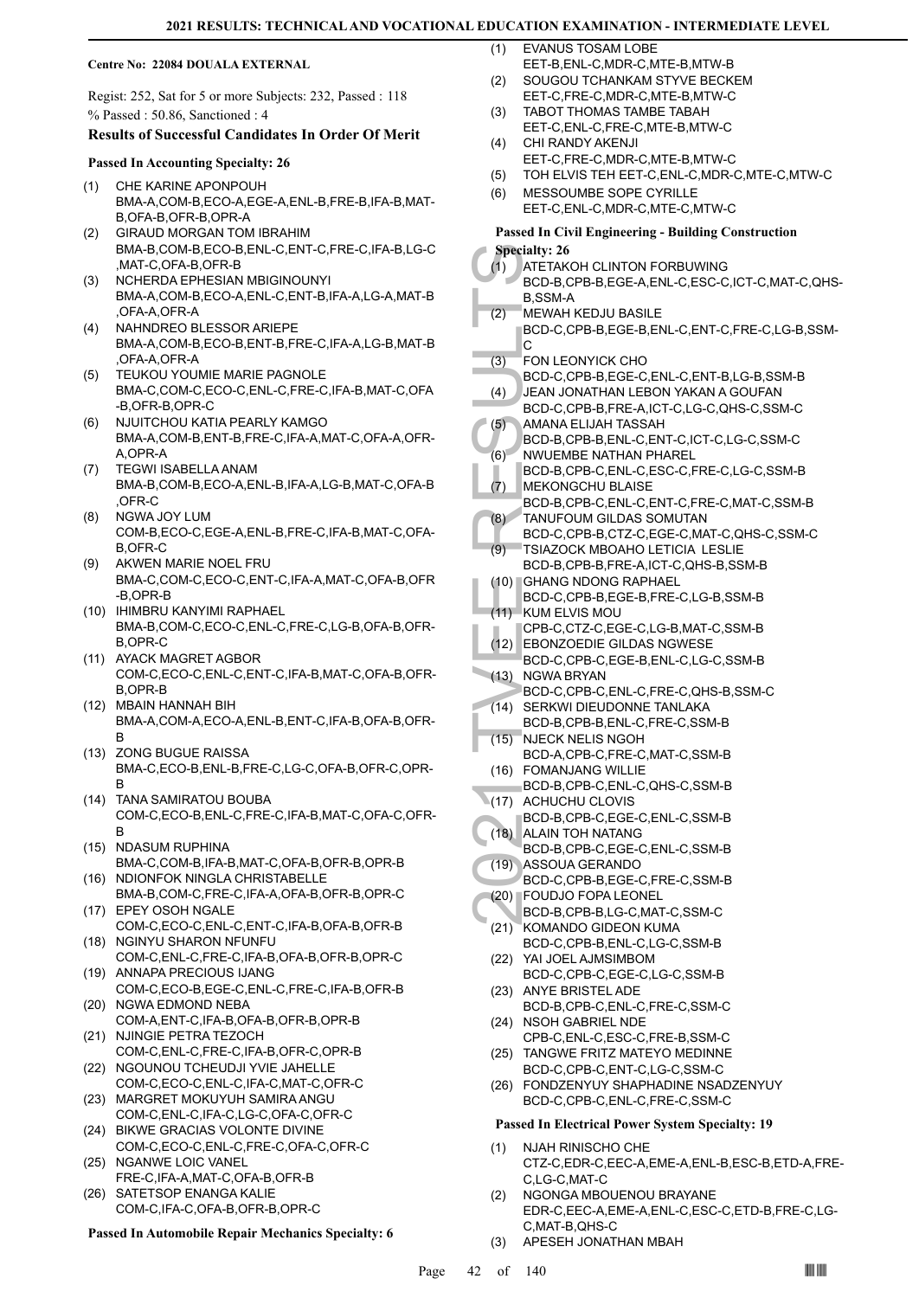#### **Centre No: 22084 DOUALA EXTERNAL**

Regist: 252, Sat for 5 or more Subjects: 232, Passed : 118 % Passed : 50.86, Sanctioned : 4

#### **Results of Successful Candidates In Order Of Merit**

#### **Passed In Accounting Specialty: 26**

- CHE KARINE APONPOUH BMA-A,COM-B,ECO-A,EGE-A,ENL-B,FRE-B,IFA-B,MAT-B,OFA-B,OFR-B,OPR-A (1)
- GIRAUD MORGAN TOM IBRAHIM BMA-B,COM-B,ECO-B,ENL-C,ENT-C,FRE-C,IFA-B,LG-C MAT-C, OFA-B, OFR-B (2)
- NCHERDA EPHESIAN MBIGINOUNYI BMA-A,COM-B,ECO-A,ENL-C,ENT-B,IFA-A,LG-A,MAT-B ,OFA-A,OFR-A (3)
- NAHNDREO BLESSOR ARIEPE BMA-A,COM-B,ECO-B,ENT-B,FRE-C,IFA-A,LG-B,MAT-B ,OFA-A,OFR-A (4)
- TEUKOU YOUMIE MARIE PAGNOLE BMA-C,COM-C,ECO-C,ENL-C,FRE-C,IFA-B,MAT-C,OFA -B,OFR-B,OPR-C (5)
- NJUITCHOU KATIA PEARLY KAMGO BMA-A,COM-B,ENT-B,FRE-C,IFA-A,MAT-C,OFA-A,OFR-A,OPR-A (6)
- TEGWI ISABELLA ANAM BMA-B,COM-B,ECO-A,ENL-B,IFA-A,LG-B,MAT-C,OFA-B ,OFR-C (7)
- NGWA JOY LUM COM-B,ECO-C,EGE-A,ENL-B,FRE-C,IFA-B,MAT-C,OFA-B,OFR-C (8)
- (9) AKWEN MARIE NOEL FRU BMA-C,COM-C,ECO-C,ENT-C,IFA-A,MAT-C,OFA-B,OFR -B,OPR-B
- (10) IHIMBRU KANYIMI RAPHAEL BMA-B,COM-C,ECO-C,ENL-C,FRE-C,LG-B,OFA-B,OFR-B,OPR-C
- (11) AYACK MAGRET AGBOR COM-C,ECO-C,ENL-C,ENT-C,IFA-B,MAT-C,OFA-B,OFR-B,OPR-B
- MBAIN HANNAH BIH (12) BMA-A,COM-A,ECO-A,ENL-B,ENT-C,IFA-B,OFA-B,OFR-B
- (13) ZONG BUGUE RAISSA BMA-C,ECO-B,ENL-B,FRE-C,LG-C,OFA-B,OFR-C,OPR-B
- TANA SAMIRATOU BOUBA (14) COM-C,ECO-B,ENL-C,FRE-C,IFA-B,MAT-C,OFA-C,OFR-B
- (15) NDASUM RUPHINA BMA-C,COM-B,IFA-B,MAT-C,OFA-B,OFR-B,OPR-B (16) NDIONFOK NINGLA CHRISTABELLE
- BMA-B,COM-C,FRE-C,IFA-A,OFA-B,OFR-B,OPR-C (17) EPEY OSOH NGALE
- COM-C,ECO-C,ENL-C,ENT-C,IFA-B,OFA-B,OFR-B (18) NGINYU SHARON NFUNFU
- COM-C,ENL-C,FRE-C,IFA-B,OFA-B,OFR-B,OPR-C (19) ANNAPA PRECIOUS IJANG
- COM-C,ECO-B,EGE-C,ENL-C,FRE-C,IFA-B,OFR-B (20) NGWA EDMOND NEBA
- COM-A,ENT-C,IFA-B,OFA-B,OFR-B,OPR-B (21) NJINGIE PETRA TEZOCH
- COM-C,ENL-C,FRE-C,IFA-B,OFR-C,OPR-B (22) NGOUNOU TCHEUDJI YVIE JAHELLE
- COM-C,ECO-C,ENL-C,IFA-C,MAT-C,OFR-C (23) MARGRET MOKUYUH SAMIRA ANGU
- COM-C,ENL-C,IFA-C,LG-C,OFA-C,OFR-C (24) BIKWE GRACIAS VOLONTE DIVINE
- COM-C,ECO-C,ENL-C,FRE-C,OFA-C,OFR-C (25) NGANWE LOIC VANEL
- FRE-C,IFA-A,MAT-C,OFA-B,OFR-B SATETSOP ENANGA KALIE (26)
- COM-C,IFA-C,OFA-B,OFR-B,OPR-C

**Passed In Automobile Repair Mechanics Specialty: 6**

- EVANUS TOSAM LOBE  $(1)$
- EET-B,ENL-C,MDR-C,MTE-B,MTW-B SOUGOU TCHANKAM STYVE BECKEM (2)
- EET-C,FRE-C,MDR-C,MTE-B,MTW-C TABOT THOMAS TAMBE TABAH (3)
- EET-C,ENL-C,FRE-C,MTE-B,MTW-C CHI RANDY AKENJI (4)
- EET-C,FRE-C,MDR-C,MTE-B,MTW-C
- (5) TOH ELVIS TEH EET-C,ENL-C,MDR-C,MTE-C,MTW-C
- MESSOUMBE SOPE CYRILLE EET-C,ENL-C,MDR-C,MTE-C,MTW-C (6)

# **Passed In Civil Engineering - Building Construction**

- Specialty: 26<br>
(1) ATETAK<br>
BCD-B, (8)<br>
BCD-C, C<br>
(3) FON LE<br>
BCD-C, C<br>
(3) FON LE<br>
BCD-C, C<br>
(4) BCD-C, AMANA<br>
BCD-B, NUVUEN<br>
BCD-B, TANUCE<br>
(6) NUKE(1) MEKON<br>
RCD-B, TANUCE<br>
(7) MEKON<br>
BCD-B, TANUCE<br>
(7) TSIAZO<br>
BCD-C, EB **Specialty: 26** ATETAKOH CLINTON FORBUWING BCD-B,CPB-B,EGE-A,ENL-C,ESC-C,ICT-C,MAT-C,QHS-B,SSM-A (1) MEWAH KEDJU BASILE BCD-C,CPB-B,EGE-B,ENL-C,ENT-C,FRE-C,LG-B,SSM-C  $(2)$ FON LEONYICK CHO BCD-C,CPB-B,EGE-C,ENL-C,ENT-B,LG-B,SSM-B (3) JEAN JONATHAN LEBON YAKAN A GOUFAN BCD-C,CPB-B,FRE-A,ICT-C,LG-C,QHS-C,SSM-C (4) AMANA ELIJAH TASSAH BCD-B,CPB-B,ENL-C,ENT-C,ICT-C,LG-C,SSM-C (5) NWUEMBE NATHAN PHAREL BCD-B,CPB-C,ENL-C,ESC-C,FRE-C,LG-C,SSM-B (6) MEKONGCHU BLAISE BCD-B,CPB-C,ENL-C,ENT-C,FRE-C,MAT-C,SSM-B (7) TANUFOUM GILDAS SOMUTAN BCD-C,CPB-B,CTZ-C,EGE-C,MAT-C,QHS-C,SSM-C (8) TSIAZOCK MBOAHO LETICIA LESLIE BCD-B,CPB-B,FRE-A,ICT-C,QHS-B,SSM-B (9) GHANG NDONG RAPHAEL BCD-C,CPB-B,EGE-B,FRE-C,LG-B,SSM-B (10) KUM ELVIS MOU CPB-C,CTZ-C,EGE-C,LG-B,MAT-C,SSM-B  $(11)$ EBONZOEDIE GILDAS NGWESE (12) BCD-C,CPB-C,EGE-B,ENL-C,LG-C,SSM-B (13) NGWA BRYAN BCD-C,CPB-C,ENL-C,FRE-C,QHS-B,SSM-C (14) SERKWI DIEUDONNE TANLAKA BCD-B,CPB-B,ENL-C,FRE-C,SSM-B NJECK NELIS NGOH BCD-A,CPB-C,FRE-C,MAT-C,SSM-B (15) FOMANJANG WILLIE (16) BCD-B,CPB-C,ENL-C,QHS-C,SSM-B (17) ACHUCHU CLOVIS BCD-B,CPB-C,EGE-C,ENL-C,SSM-B (18) ALAIN TOH NATANG BCD-B,CPB-C,EGE-C,ENL-C,SSM-B ASSOUA GERANDO (19) BCD-C,CPB-B,EGE-C,FRE-C,SSM-B FOUDJO FOPA LEONEL (20) BCD-B,CPB-B,LG-C,MAT-C,SSM-C (21) KOMANDO GIDEON KUMA BCD-C,CPB-B,ENL-C,LG-C,SSM-B YAI JOEL AJMSIMBOM (22) BCD-C,CPB-C,EGE-C,LG-C,SSM-B (23) ANYE BRISTEL ADE BCD-B,CPB-C,ENL-C,FRE-C,SSM-C (24) NSOH GABRIEL NDE CPB-C,ENL-C,ESC-C,FRE-B,SSM-C (25) TANGWE FRITZ MATEYO MEDINNE BCD-C,CPB-C,ENT-C,LG-C,SSM-C FONDZENYUY SHAPHADINE NSADZENYUY (26) BCD-C,CPB-C,ENL-C,FRE-C,SSM-C **Passed In Electrical Power System Specialty: 19** (1) NJAH RINISCHO CHE CTZ-C,EDR-C,EEC-A,EME-A,ENL-B,ESC-B,ETD-A,FRE-C,LG-C,MAT-C NGONGA MBOUENOU BRAYANE (2)
	- EDR-C,EEC-A,EME-A,ENL-C,ESC-C,ETD-B,FRE-C,LG-C,MAT-B,QHS-C
	- (3) APESEH JONATHAN MBAH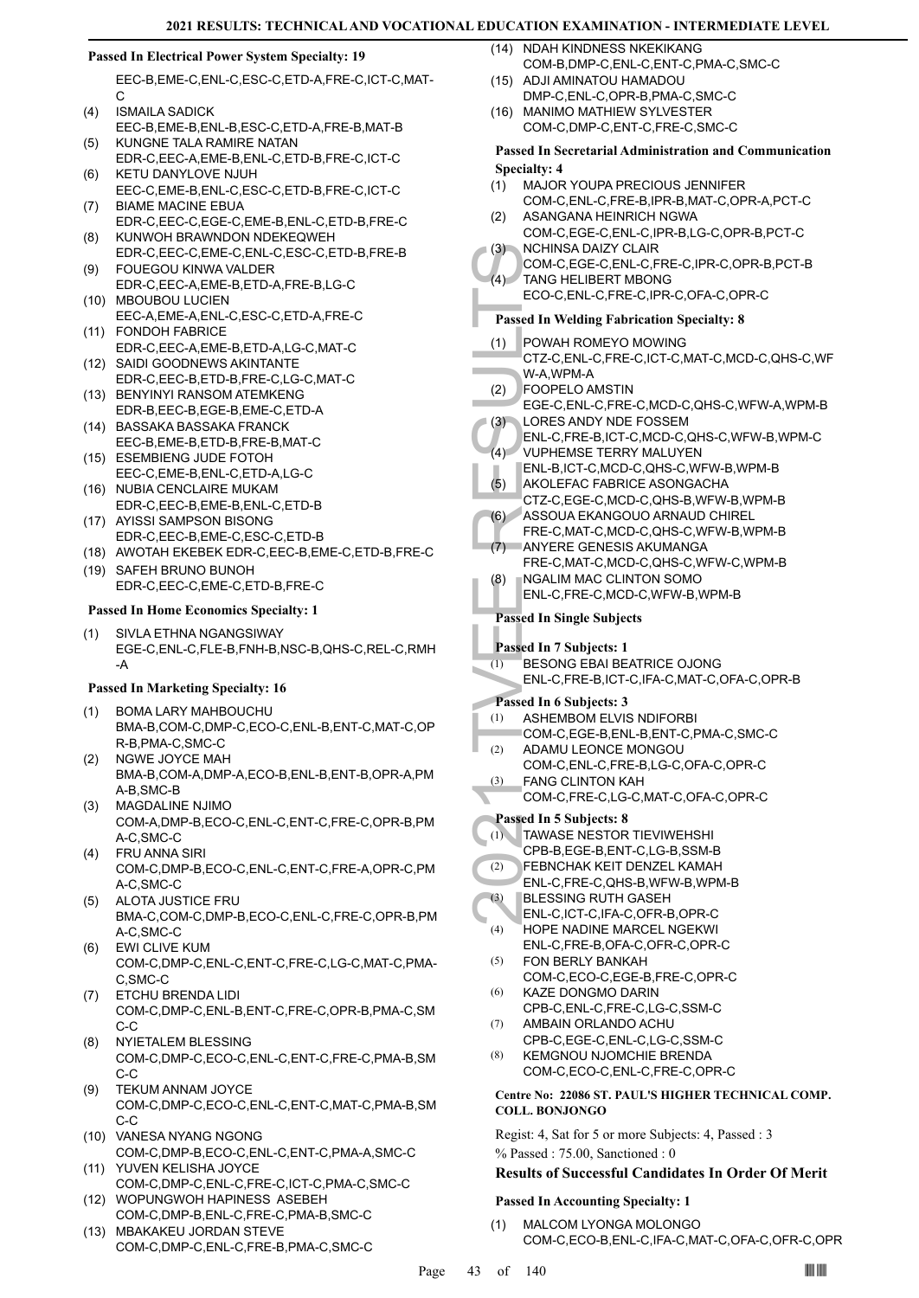### **Passed In Electrical Power System Specialty: 19**

EEC-B,EME-C,ENL-C,ESC-C,ETD-A,FRE-C,ICT-C,MAT-C

- ISMAILA SADICK EEC-B,EME-B,ENL-B,ESC-C,ETD-A,FRE-B,MAT-B (4) KUNGNE TALA RAMIRE NATAN (5)
- EDR-C,EEC-A,EME-B,ENL-C,ETD-B,FRE-C,ICT-C KETU DANYLOVE NJUH (6)
- EEC-C,EME-B,ENL-C,ESC-C,ETD-B,FRE-C,ICT-C BIAME MACINE EBUA (7)
- EDR-C,EEC-C,EGE-C,EME-B,ENL-C,ETD-B,FRE-C KUNWOH BRAWNDON NDEKEQWEH (8)
- EDR-C,EEC-C,EME-C,ENL-C,ESC-C,ETD-B,FRE-B FOUEGOU KINWA VALDER (9)
- EDR-C,EEC-A,EME-B,ETD-A,FRE-B,LG-C (10) MBOUBOU LUCIEN
- EEC-A,EME-A,ENL-C,ESC-C,ETD-A,FRE-C FONDOH FABRICE (11)
- EDR-C,EEC-A,EME-B,ETD-A,LG-C,MAT-C SAIDI GOODNEWS AKINTANTE (12)
- EDR-C,EEC-B,ETD-B,FRE-C,LG-C,MAT-C (13) BENYINYI RANSOM ATEMKENG
- EDR-B,EEC-B,EGE-B,EME-C,ETD-A BASSAKA BASSAKA FRANCK (14)
- EEC-B,EME-B,ETD-B,FRE-B,MAT-C (15) ESEMBIENG JUDE FOTOH
- EEC-C,EME-B,ENL-C,ETD-A,LG-C (16) NUBIA CENCLAIRE MUKAM
- EDR-C,EEC-B,EME-B,ENL-C,ETD-B (17) AYISSI SAMPSON BISONG
- EDR-C,EEC-B,EME-C,ESC-C,ETD-B (18) AWOTAH EKEBEK EDR-C,EEC-B,EME-C,ETD-B,FRE-C
- (19) SAFEH BRUNO BUNOH
- EDR-C,EEC-C,EME-C,ETD-B,FRE-C

# **Passed In Home Economics Specialty: 1**

SIVLA ETHNA NGANGSIWAY EGE-C,ENL-C,FLE-B,FNH-B,NSC-B,QHS-C,REL-C,RMH -A (1)

# **Passed In Marketing Specialty: 16**

- BOMA LARY MAHBOUCHU (1) BMA-B,COM-C,DMP-C,ECO-C,ENL-B,ENT-C,MAT-C,OP R-B,PMA-C,SMC-C
- NGWE JOYCE MAH BMA-B,COM-A,DMP-A,ECO-B,ENL-B,ENT-B,OPR-A,PM A-B,SMC-B (2)
- MAGDALINE NJIMO COM-A,DMP-B,ECO-C,ENL-C,ENT-C,FRE-C,OPR-B,PM A-C,SMC-C (3)
- FRU ANNA SIRI COM-C,DMP-B,ECO-C,ENL-C,ENT-C,FRE-A,OPR-C,PM A-C,SMC-C (4)
- ALOTA JUSTICE FRU BMA-C,COM-C,DMP-B,ECO-C,ENL-C,FRE-C,OPR-B,PM A-C,SMC-C (5)
- EWI CLIVE KUM COM-C,DMP-C,ENL-C,ENT-C,FRE-C,LG-C,MAT-C,PMA-C,SMC-C (6)
- ETCHU BRENDA LIDI COM-C,DMP-C,ENL-B,ENT-C,FRE-C,OPR-B,PMA-C,SM C-C (7)
- NYIETALEM BLESSING COM-C,DMP-C,ECO-C,ENL-C,ENT-C,FRE-C,PMA-B,SM C-C (8)
- TEKUM ANNAM JOYCE COM-C,DMP-C,ECO-C,ENL-C,ENT-C,MAT-C,PMA-B,SM C-C (9)
- (10) VANESA NYANG NGONG COM-C,DMP-B,ECO-C,ENL-C,ENT-C,PMA-A,SMC-C
- YUVEN KELISHA JOYCE (11) COM-C,DMP-C,ENL-C,FRE-C,ICT-C,PMA-C,SMC-C WOPUNGWOH HAPINESS ASEBEH (12)

COM-C,DMP-C,ENL-C,FRE-B,PMA-C,SMC-C

COM-C,DMP-B,ENL-C,FRE-C,PMA-B,SMC-C (13) MBAKAKEU JORDAN STEVE

- (14) NDAH KINDNESS NKEKIKANG COM-B,DMP-C,ENL-C,ENT-C,PMA-C,SMC-C  $(15)$
- ADJI AMINATOU HAMADOU DMP-C,ENL-C,OPR-B,PMA-C,SMC-C (16) MANIMO MATHIEW SYLVESTER
- COM-C,DMP-C,ENT-C,FRE-C,SMC-C

# **Passed In Secretarial Administration and Communication Specialty: 4**

- MAJOR YOUPA PRECIOUS JENNIFER (1)
- COM-C,ENL-C,FRE-B,IPR-B,MAT-C,OPR-A,PCT-C ASANGANA HEINRICH NGWA  $(2)$
- COM-C,EGE-C,ENL-C,IPR-B,LG-C,OPR-B,PCT-C NCHINSA DAIZY CLAIR (3)
- COM-C,EGE-C,ENL-C,FRE-C,IPR-C,OPR-B,PCT-B TANG HELIBERT MBONG  $(4)$
- ECO-C,ENL-C,FRE-C,IPR-C,OFA-C,OPR-C
	- **Passed In Welding Fabrication Specialty: 8**
- (3) NCHINE<br>
COM-C,<br>
COM-C,<br>
TANG H<br>
ECO-C,<br>
Passed In W<br>
(1) POWAH<br>
CTZ-C,<br>
W-A,WF<br>
FOOPE<br>
EGE-C,<br>
(3) LORES UNL-C,<br>
(4) VUPHE<br>
ENL-C,<br>
(4) VUPHE<br>
CTZ-C,<br>
(4) VUPHE<br>
CTZ-C,<br>
(5) ANYER<br>
FRE-C,<br>
ANYER<br>
FRE-C,<br>
ANYER<br>
FRE-C,<br> POWAH ROMEYO MOWING CTZ-C,ENL-C,FRE-C,ICT-C,MAT-C,MCD-C,QHS-C,WF W-A,WPM-A (1)
- FOOPELO AMSTIN (2)
- EGE-C,ENL-C,FRE-C,MCD-C,QHS-C,WFW-A,WPM-B LORES ANDY NDE FOSSEM (3)
- ENL-C,FRE-B,ICT-C,MCD-C,QHS-C,WFW-B,WPM-C VUPHEMSE TERRY MALUYEN  $(4)$
- ENL-B,ICT-C,MCD-C,QHS-C,WFW-B,WPM-B AKOLEFAC FABRICE ASONGACHA (5)
- CTZ-C,EGE-C,MCD-C,QHS-B,WFW-B,WPM-B ASSOUA EKANGOUO ARNAUD CHIREL (6)
- FRE-C,MAT-C,MCD-C,QHS-C,WFW-B,WPM-B ANYERE GENESIS AKUMANGA  $(7)$
- FRE-C,MAT-C,MCD-C,QHS-C,WFW-C,WPM-B NGALIM MAC CLINTON SOMO (8)
	- ENL-C,FRE-C,MCD-C,WFW-B,WPM-B

# **Passed In Single Subjects**

- **Passed In 7 Subjects: 1**
- BESONG EBAI BEATRICE OJONG  $(T)$
- ENL-C,FRE-B,ICT-C,IFA-C,MAT-C,OFA-C,OPR-B

# **Passed In 6 Subjects: 3**

- ASHEMBOM ELVIS NDIFORBI (1)
- COM-C,EGE-B,ENL-B,ENT-C,PMA-C,SMC-C
- ADAMU LEONCE MONGOU COM-C,ENL-C,FRE-B,LG-C,OFA-C,OPR-C  $(2)$ FANG CLINTON KAH (3)
- COM-C,FRE-C,LG-C,MAT-C,OFA-C,OPR-C

# **Passed In 5 Subjects: 8**

- TAWASE NESTOR TIEVIWEHSHI (1)
- CPB-B,EGE-B,ENT-C,LG-B,SSM-B FEBNCHAK KEIT DENZEL KAMAH (2)
- ENL-C,FRE-C,QHS-B,WFW-B,WPM-B
- BLESSING RUTH GASEH (3)
- ENL-C,ICT-C,IFA-C,OFR-B,OPR-C  $(4)$
- HOPE NADINE MARCEL NGEKWI ENL-C,FRE-B,OFA-C,OFR-C,OPR-C
- FON BERLY BANKAH COM-C,ECO-C,EGE-B,FRE-C,OPR-C (5)
- KAZE DONGMO DARIN CPB-C,ENL-C,FRE-C,LG-C,SSM-C (6)
- AMBAIN ORLANDO ACHU CPB-C,EGE-C,ENL-C,LG-C,SSM-C (7)
- KEMGNOU NJOMCHIE BRENDA COM-C,ECO-C,ENL-C,FRE-C,OPR-C (8)

# **Centre No: 22086 ST. PAUL'S HIGHER TECHNICAL COMP. COLL. BONJONGO**

Regist: 4, Sat for 5 or more Subjects: 4, Passed : 3 % Passed : 75.00, Sanctioned : 0

# **Results of Successful Candidates In Order Of Merit**

# **Passed In Accounting Specialty: 1**

MALCOM LYONGA MOLONGO COM-C,ECO-B,ENL-C,IFA-C,MAT-C,OFA-C,OFR-C,OPR (1)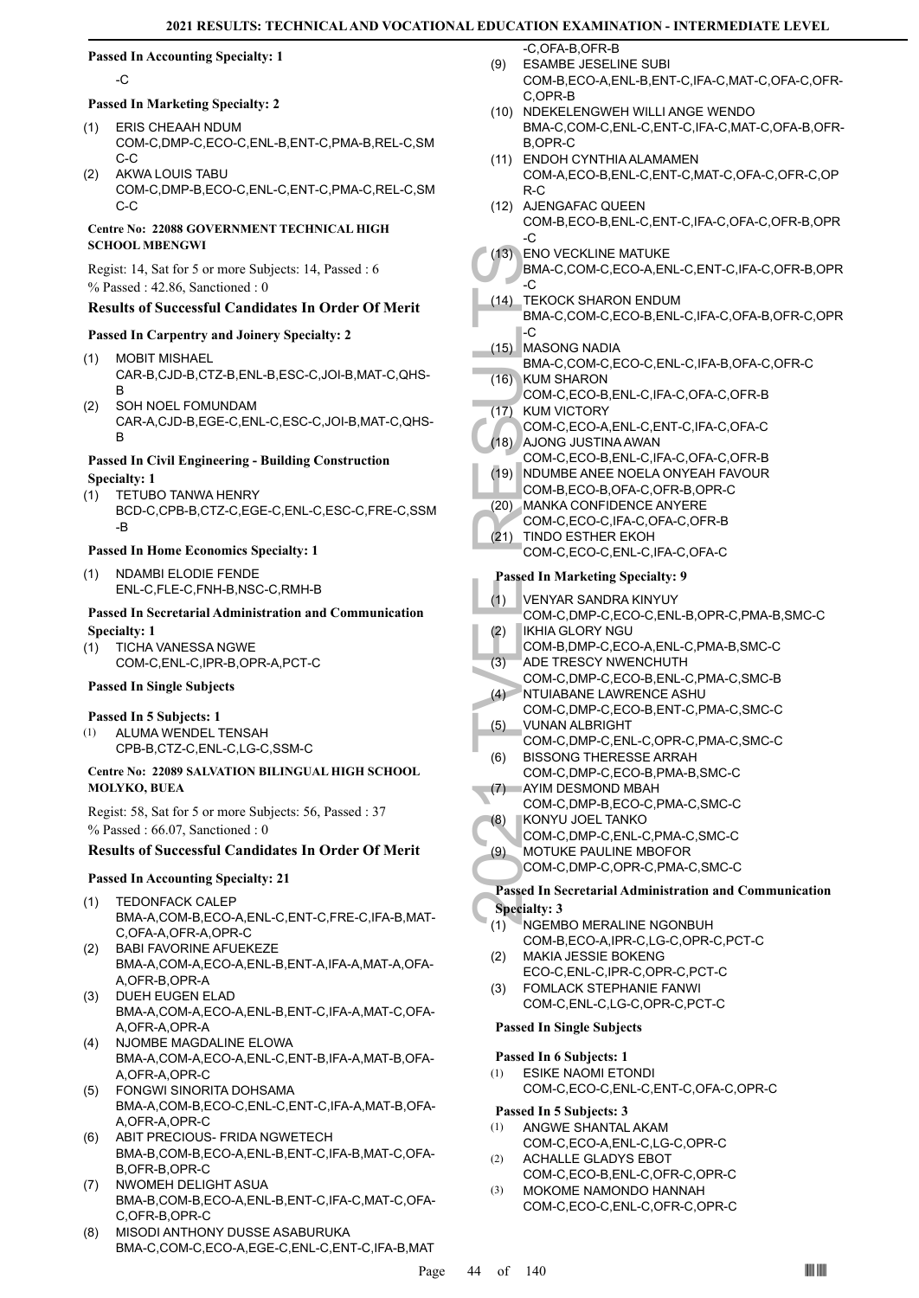# **Passed In Accounting Specialty: 1**

-C

- **Passed In Marketing Specialty: 2**
- ERIS CHEAAH NDUM (1) COM-C,DMP-C,ECO-C,ENL-B,ENT-C,PMA-B,REL-C,SM C-C
- AKWA LOUIS TABU COM-C,DMP-B,ECO-C,ENL-C,ENT-C,PMA-C,REL-C,SM  $C-C$ (2)

# **Centre No: 22088 GOVERNMENT TECHNICAL HIGH SCHOOL MBENGWI**

Regist: 14, Sat for 5 or more Subjects: 14, Passed : 6 % Passed : 42.86, Sanctioned : 0

# **Results of Successful Candidates In Order Of Merit**

# **Passed In Carpentry and Joinery Specialty: 2**

- MOBIT MISHAEL CAR-B,CJD-B,CTZ-B,ENL-B,ESC-C,JOI-B,MAT-C,QHS-B (1)
- SOH NOEL FOMUNDAM CAR-A,CJD-B,EGE-C,ENL-C,ESC-C,JOI-B,MAT-C,QHS-B (2)

# **Passed In Civil Engineering - Building Construction Specialty: 1**

- TETUBO TANWA HENRY (1)
	- BCD-C,CPB-B,CTZ-C,EGE-C,ENL-C,ESC-C,FRE-C,SSM -B

# **Passed In Home Economics Specialty: 1**

(1) NDAMBI ELODIE FENDE ENL-C,FLE-C,FNH-B,NSC-C,RMH-B

# **Passed In Secretarial Administration and Communication Specialty: 1**

TICHA VANESSA NGWE COM-C,ENL-C,IPR-B,OPR-A,PCT-C (1)

# **Passed In Single Subjects**

# **Passed In 5 Subjects: 1**

ALUMA WENDEL TENSAH CPB-B,CTZ-C,ENL-C,LG-C,SSM-C (1)

# **Centre No: 22089 SALVATION BILINGUAL HIGH SCHOOL MOLYKO, BUEA**

Regist: 58, Sat for 5 or more Subjects: 56, Passed : 37 % Passed : 66.07, Sanctioned : 0

# **Results of Successful Candidates In Order Of Merit**

# **Passed In Accounting Specialty: 21**

- TEDONFACK CALEP BMA-A,COM-B,ECO-A,ENL-C,ENT-C,FRE-C,IFA-B,MAT-(1)
- C,OFA-A,OFR-A,OPR-C BABI FAVORINE AFUEKEZE BMA-A,COM-A,ECO-A,ENL-B,ENT-A,IFA-A,MAT-A,OFA-(2)
- A,OFR-B,OPR-A (3) DUEH EUGEN ELAD
- BMA-A,COM-A,ECO-A,ENL-B,ENT-C,IFA-A,MAT-C,OFA-A,OFR-A,OPR-A
- (4) NJOMBE MAGDALINE ELOWA BMA-A,COM-A,ECO-A,ENL-C,ENT-B,IFA-A,MAT-B,OFA-A,OFR-A,OPR-C
- FONGWI SINORITA DOHSAMA BMA-A,COM-B,ECO-C,ENL-C,ENT-C,IFA-A,MAT-B,OFA-A,OFR-A,OPR-C (5)
- ABIT PRECIOUS- FRIDA NGWETECH BMA-B,COM-B,ECO-A,ENL-B,ENT-C,IFA-B,MAT-C,OFA-B,OFR-B,OPR-C (6)
- NWOMEH DELIGHT ASUA BMA-B,COM-B,ECO-A,ENL-B,ENT-C,IFA-C,MAT-C,OFA-C,OFR-B,OPR-C (7)
- MISODI ANTHONY DUSSE ASABURUKA BMA-C,COM-C,ECO-A,EGE-C,ENL-C,ENT-C,IFA-B,MAT (8)

-C,OFA-B,OFR-B

- ESAMBE JESELINE SUBI COM-B,ECO-A,ENL-B,ENT-C,IFA-C,MAT-C,OFA-C,OFR-C,OPR-B (9)
- (10) NDEKELENGWEH WILLI ANGE WENDO BMA-C,COM-C,ENL-C,ENT-C,IFA-C,MAT-C,OFA-B,OFR-B,OPR-C
- (11) ENDOH CYNTHIA ALAMAMEN COM-A,ECO-B,ENL-C,ENT-C,MAT-C,OFA-C,OFR-C,OP R-C
- (12) AJENGAFAC QUEEN
- COM-B,ECO-B,ENL-C,ENT-C,IFA-C,OFA-C,OFR-B,OPR -C
- (13) ENO VECKLINE MATUKE
	- BMA-C,COM-C,ECO-A,ENL-C,ENT-C,IFA-C,OFR-B,OPR -C
- (13) ENOVE<br>
BMA-C,<br>
C (14) TEKOCI<br>
BMA-C,<br>
C (15) MASON<br>
BMA-C,<br>
C (16) KUM SH<br>
COM-C,<br>
(17) KUM VI<br>
COM-C,<br>
(18) AJONG<br>
COM-C,<br>
(19) MANKA<br>
COM-C,<br>
(21) TINDO I<br>
COM-C,<br>
Passed In M<br>
(1) VENYAH<br>
COM-C,<br>
(2) IKHIA G (2) KH TEKOCK SHARON ENDUM BMA-C,COM-C,ECO-B,ENL-C,IFA-C,OFA-B,OFR-C,OPR -C (14)
- MASONG NADIA (15)
- BMA-C,COM-C,ECO-C,ENL-C,IFA-B,OFA-C,OFR-C KUM SHARON  $(16)$
- COM-C,ECO-B,ENL-C,IFA-C,OFA-C,OFR-B (17) KUM VICTORY
- COM-C,ECO-A,ENL-C,ENT-C,IFA-C,OFA-C
- AJONG JUSTINA AWAN (18) COM-C,ECO-B,ENL-C,IFA-C,OFA-C,OFR-B
- (19) NDUMBE ANEE NOELA ONYEAH FAVOUR
- COM-B,ECO-B,OFA-C,OFR-B,OPR-C
- MANKA CONFIDENCE ANYERE (20)
- COM-C,ECO-C,IFA-C,OFA-C,OFR-B
- (21) TINDO ESTHER EKOH COM-C,ECO-C,ENL-C,IFA-C,OFA-C

# **Passed In Marketing Specialty: 9**

- VENYAR SANDRA KINYUY (1)
- COM-C,DMP-C,ECO-C,ENL-B,OPR-C,PMA-B,SMC-C
- IKHIA GLORY NGU (2)
- COM-B,DMP-C,ECO-A,ENL-C,PMA-B,SMC-C
- ADE TRESCY NWENCHUTH (3)
- COM-C,DMP-C,ECO-B,ENL-C,PMA-C,SMC-B NTUIABANE LAWRENCE ASHU  $(4)$
- COM-C,DMP-C,ECO-B,ENT-C,PMA-C,SMC-C VUNAN ALBRIGHT (5)
- COM-C,DMP-C,ENL-C,OPR-C,PMA-C,SMC-C BISSONG THERESSE ARRAH (6)
- COM-C,DMP-C,ECO-B,PMA-B,SMC-C AYIM DESMOND MBAH (7)
- COM-C,DMP-B,ECO-C,PMA-C,SMC-C
- KONYU JOEL TANKO (8)
- COM-C,DMP-C,ENL-C,PMA-C,SMC-C
- MOTUKE PAULINE MBOFOR (9)
	- COM-C,DMP-C,OPR-C,PMA-C,SMC-C

#### **Passed In Secretarial Administration and Communication Specialty: 3**

- NGEMBO MERALINE NGONBUH COM-B,ECO-A,IPR-C,LG-C,OPR-C,PCT-C (1)
- MAKIA JESSIE BOKENG ECO-C,ENL-C,IPR-C,OPR-C,PCT-C (2)
- FOMLACK STEPHANIE FANWI COM-C,ENL-C,LG-C,OPR-C,PCT-C (3)

# **Passed In Single Subjects**

# **Passed In 6 Subjects: 1**

ESIKE NAOMI ETONDI COM-C,ECO-C,ENL-C,ENT-C,OFA-C,OPR-C (1)

# **Passed In 5 Subjects: 3**

- ANGWE SHANTAL AKAM COM-C,ECO-A,ENL-C,LG-C,OPR-C (1)
- ACHALLE GLADYS EBOT COM-C,ECO-B,ENL-C,OFR-C,OPR-C (2)
- MOKOME NAMONDO HANNAH COM-C,ECO-C,ENL-C,OFR-C,OPR-C (3)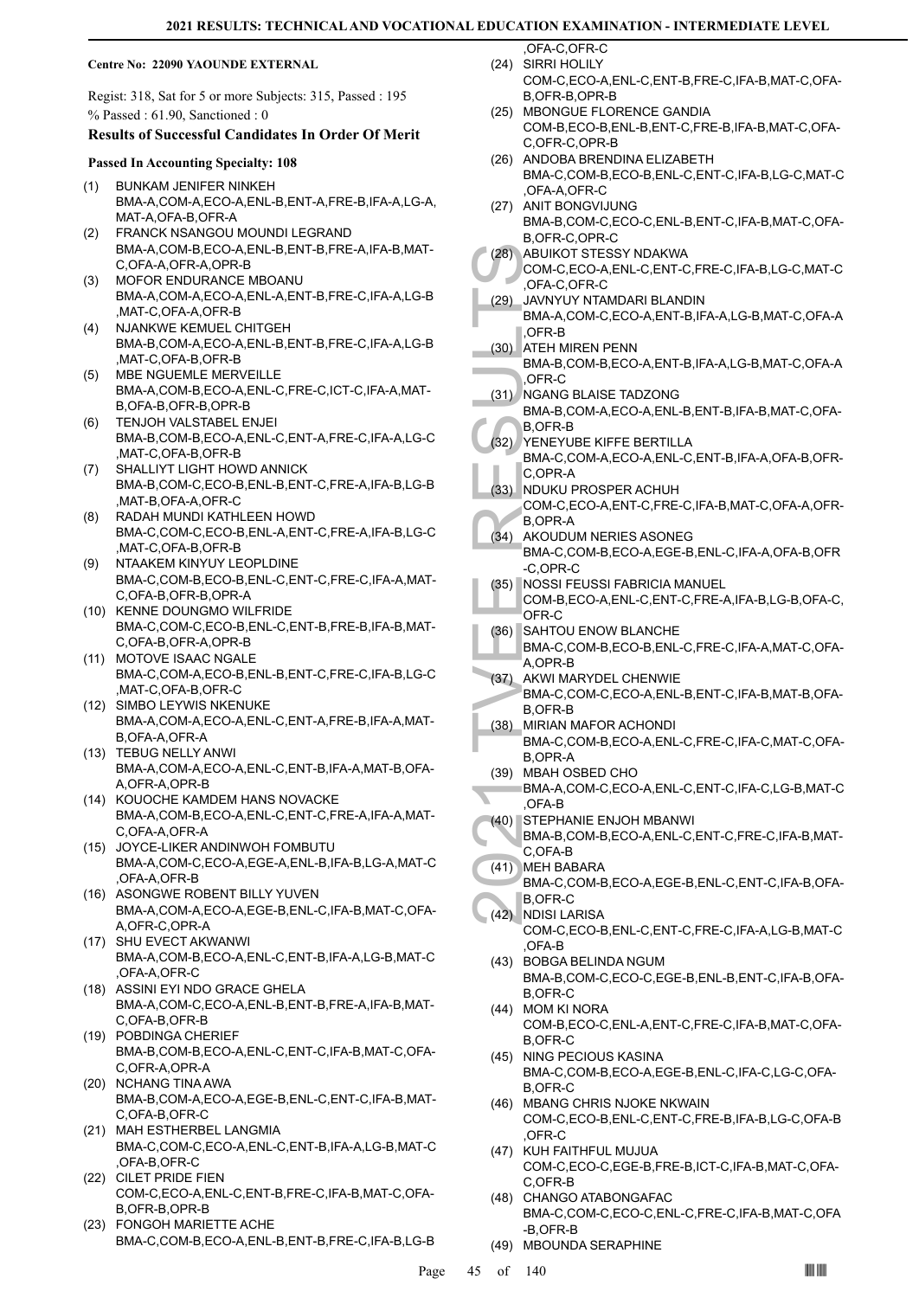#### **Centre No: 22090 YAOUNDE EXTERNAL**

Regist: 318, Sat for 5 or more Subjects: 315, Passed : 195 % Passed : 61.90, Sanctioned : 0

# **Results of Successful Candidates In Order Of Merit**

#### **Passed In Accounting Specialty: 108**

- BUNKAM JENIFER NINKEH BMA-A,COM-A,ECO-A,ENL-B,ENT-A,FRE-B,IFA-A,LG-A, MAT-A,OFA-B,OFR-A (1)
- FRANCK NSANGOU MOUNDI LEGRAND BMA-A,COM-B,ECO-A,ENL-B,ENT-B,FRE-A,IFA-B,MAT-C, OFA-A, OFR-A, OPR-B (2)
- MOFOR ENDURANCE MBOANU (3) BMA-A,COM-A,ECO-A,ENL-A,ENT-B,FRE-C,IFA-A,LG-B ,MAT-C,OFA-A,OFR-B
- NJANKWE KEMUEL CHITGEH BMA-B,COM-A,ECO-A,ENL-B,ENT-B,FRE-C,IFA-A,LG-B ,MAT-C,OFA-B,OFR-B (4)
- MBE NGUEMLE MERVEILLE BMA-A,COM-B,ECO-A,ENL-C,FRE-C,ICT-C,IFA-A,MAT-B,OFA-B,OFR-B,OPR-B (5)
- TENJOH VALSTABEL ENJEI BMA-B,COM-B,ECO-A,ENL-C,ENT-A,FRE-C,IFA-A,LG-C ,MAT-C,OFA-B,OFR-B (6)
- SHALLIYT LIGHT HOWD ANNICK BMA-B,COM-C,ECO-B,ENL-B,ENT-C,FRE-A,IFA-B,LG-B ,MAT-B,OFA-A,OFR-C (7)
- RADAH MUNDI KATHLEEN HOWD BMA-C,COM-C,ECO-B,ENL-A,ENT-C,FRE-A,IFA-B,LG-C ,MAT-C,OFA-B,OFR-B (8)
- NTAAKEM KINYUY LEOPLDINE BMA-C,COM-B,ECO-B,ENL-C,ENT-C,FRE-C,IFA-A,MAT-C,OFA-B,OFR-B,OPR-A (9)
- (10) KENNE DOUNGMO WILFRIDE BMA-C,COM-C,ECO-B,ENL-C,ENT-B,FRE-B,IFA-B,MAT-C,OFA-B,OFR-A,OPR-B
- (11) MOTOVE ISAAC NGALE BMA-C,COM-A,ECO-B,ENL-B,ENT-C,FRE-C,IFA-B,LG-C ,MAT-C,OFA-B,OFR-C
- (12) SIMBO LEYWIS NKENUKE BMA-A,COM-A,ECO-A,ENL-C,ENT-A,FRE-B,IFA-A,MAT-B,OFA-A,OFR-A
- (13) TEBUG NELLY ANWI BMA-A,COM-A,ECO-A,ENL-C,ENT-B,IFA-A,MAT-B,OFA-A,OFR-A,OPR-B
- (14) KOUOCHE KAMDEM HANS NOVACKE BMA-A,COM-B,ECO-A,ENL-C,ENT-C,FRE-A,IFA-A,MAT-C, OFA-A, OFR-A
- JOYCE-LIKER ANDINWOH FOMBUTU (15) BMA-A,COM-C,ECO-A,EGE-A,ENL-B,IFA-B,LG-A,MAT-C ,OFA-A,OFR-B
- (16) ASONGWE ROBENT BILLY YUVEN BMA-A,COM-A,ECO-A,EGE-B,ENL-C,IFA-B,MAT-C,OFA-A,OFR-C,OPR-A
- (17) SHU EVECT AKWANWI BMA-A,COM-B,ECO-A,ENL-C,ENT-B,IFA-A,LG-B,MAT-C ,OFA-A,OFR-C
- (18) ASSINI EYI NDO GRACE GHELA BMA-A,COM-C,ECO-A,ENL-B,ENT-B,FRE-A,IFA-B,MAT-C,OFA-B,OFR-B
- POBDINGA CHERIEF (19) BMA-B,COM-B,ECO-A,ENL-C,ENT-C,IFA-B,MAT-C,OFA-C,OFR-A,OPR-A
- (20) NCHANG TINA AWA BMA-B,COM-A,ECO-A,EGE-B,ENL-C,ENT-C,IFA-B,MAT-C,OFA-B,OFR-C
- MAH ESTHERBEL LANGMIA (21) BMA-C,COM-C,ECO-A,ENL-C,ENT-B,IFA-A,LG-B,MAT-C ,OFA-B,OFR-C
- (22) CILET PRIDE FIEN COM-C,ECO-A,ENL-C,ENT-B,FRE-C,IFA-B,MAT-C,OFA-B,OFR-B,OPR-B
- FONGOH MARIETTE ACHE (23) BMA-C,COM-B,ECO-A,ENL-B,ENT-B,FRE-C,IFA-B,LG-B

,OFA-C,OFR-C SIRRI HOLILY (24)

- COM-C,ECO-A,ENL-C,ENT-B,FRE-C,IFA-B,MAT-C,OFA-B,OFR-B,OPR-B
- (25) MBONGUE FLORENCE GANDIA COM-B,ECO-B,ENL-B,ENT-C,FRE-B,IFA-B,MAT-C,OFA-C,OFR-C,OPR-B
- (26) ANDOBA BRENDINA ELIZABETH BMA-C,COM-B,ECO-B,ENL-C,ENT-C,IFA-B,LG-C,MAT-C ,OFA-A,OFR-C
- (27) ANIT BONGVIJUNG BMA-B,COM-C,ECO-C,ENL-B,ENT-C,IFA-B,MAT-C,OFA-B,OFR-C,OPR-C
- ABUIKOT STESSY NDAKWA (28)
	- COM-C,ECO-A,ENL-C,ENT-C,FRE-C,IFA-B,LG-C,MAT-C ,OFA-C,OFR-C
- JAVNYUY NTAMDARI BLANDIN BMA-A,COM-C,ECO-A,ENT-B,IFA-A,LG-B,MAT-C,OFA-A ,OFR-B (29)
- (28) ABUIKC<br>
COM-C, OFA-C, OFA-C, OFA-C, OFA-C, OFA-C, OFA-C, OFA-C, OFA-C, OFA-C, OFA-C, OFA-C, OFR-B<br>
ATEH M BMA-B, OFR-C<br>
(31) NGANG BMA-B, B,OFR-C<br>
(31) NGANG BMA-B, B,OFR-C<br>
(32) YENEY BMA-C, C,OPR-C, C,OPR-C, C,OPR-C (30) ATEH MIREN PENN BMA-B,COM-B,ECO-A,ENT-B,IFA-A,LG-B,MAT-C,OFA-A ,OFR-C
	- (31) NGANG BLAISE TADZONG
- BMA-B,COM-A,ECO-A,ENL-B,ENT-B,IFA-B,MAT-C,OFA-B,OFR-B
- YENEYUBE KIFFE BERTILLA (32) BMA-C,COM-A,ECO-A,ENL-C,ENT-B,IFA-A,OFA-B,OFR-C,OPR-A
- (33) NDUKU PROSPER ACHUH COM-C,ECO-A,ENT-C,FRE-C,IFA-B,MAT-C,OFA-A,OFR-
- B,OPR-A AKOUDUM NERIES ASONEG BMA-C,COM-B,ECO-A,EGE-B,ENL-C,IFA-A,OFA-B,OFR (34)
- -C,OPR-C NOSSI FEUSSI FABRICIA MANUEL (35)
- COM-B,ECO-A,ENL-C,ENT-C,FRE-A,IFA-B,LG-B,OFA-C, OFR-C
- SAHTOU ENOW BLANCHE (36)
	- BMA-C,COM-B,ECO-B,ENL-C,FRE-C,IFA-A,MAT-C,OFA-A, OPR-B
- (37) AKWI MARYDEL CHENWIE BMA-C,COM-C,ECO-A,ENL-B,ENT-C,IFA-B,MAT-B,OFA-B,OFR-B
- MIRIAN MAFOR ACHONDI BMA-C,COM-B,ECO-A,ENL-C,FRE-C,IFA-C,MAT-C,OFA-(38)
- B,OPR-A (39) MBAH OSBED CHO
- BMA-A,COM-C,ECO-A,ENL-C,ENT-C,IFA-C,LG-B,MAT-C ,OFA-B
- (40) STEPHANIE ENJOH MBANWI
- BMA-B,COM-B,ECO-A,ENL-C,ENT-C,FRE-C,IFA-B,MAT-C,OFA-B
- (41) MEH BABARA
	- BMA-C,COM-B,ECO-A,EGE-B,ENL-C,ENT-C,IFA-B,OFA-B,OFR-C
	- (42) NDISI LARISA COM-C,ECO-B,ENL-C,ENT-C,FRE-C,IFA-A,LG-B,MAT-C ,OFA-B
	- (43) BOBGA BELINDA NGUM BMA-B,COM-C,ECO-C,EGE-B,ENL-B,ENT-C,IFA-B,OFA-B,OFR-C
	- (44) MOM KI NORA COM-B,ECO-C,ENL-A,ENT-C,FRE-C,IFA-B,MAT-C,OFA-B,OFR-C
	- (45) NING PECIOUS KASINA BMA-C,COM-B,ECO-A,EGE-B,ENL-C,IFA-C,LG-C,OFA-B,OFR-C
	- (46) MBANG CHRIS NJOKE NKWAIN COM-C,ECO-B,ENL-C,ENT-C,FRE-B,IFA-B,LG-C,OFA-B ,OFR-C
	- (47) KUH FAITHFUL MUJUA COM-C,ECO-C,EGE-B,FRE-B,ICT-C,IFA-B,MAT-C,OFA-C,OFR-B
	- (48) CHANGO ATABONGAFAC BMA-C,COM-C,ECO-C,ENL-C,FRE-C,IFA-B,MAT-C,OFA -B,OFR-B
	- (49) MBOUNDA SERAPHINE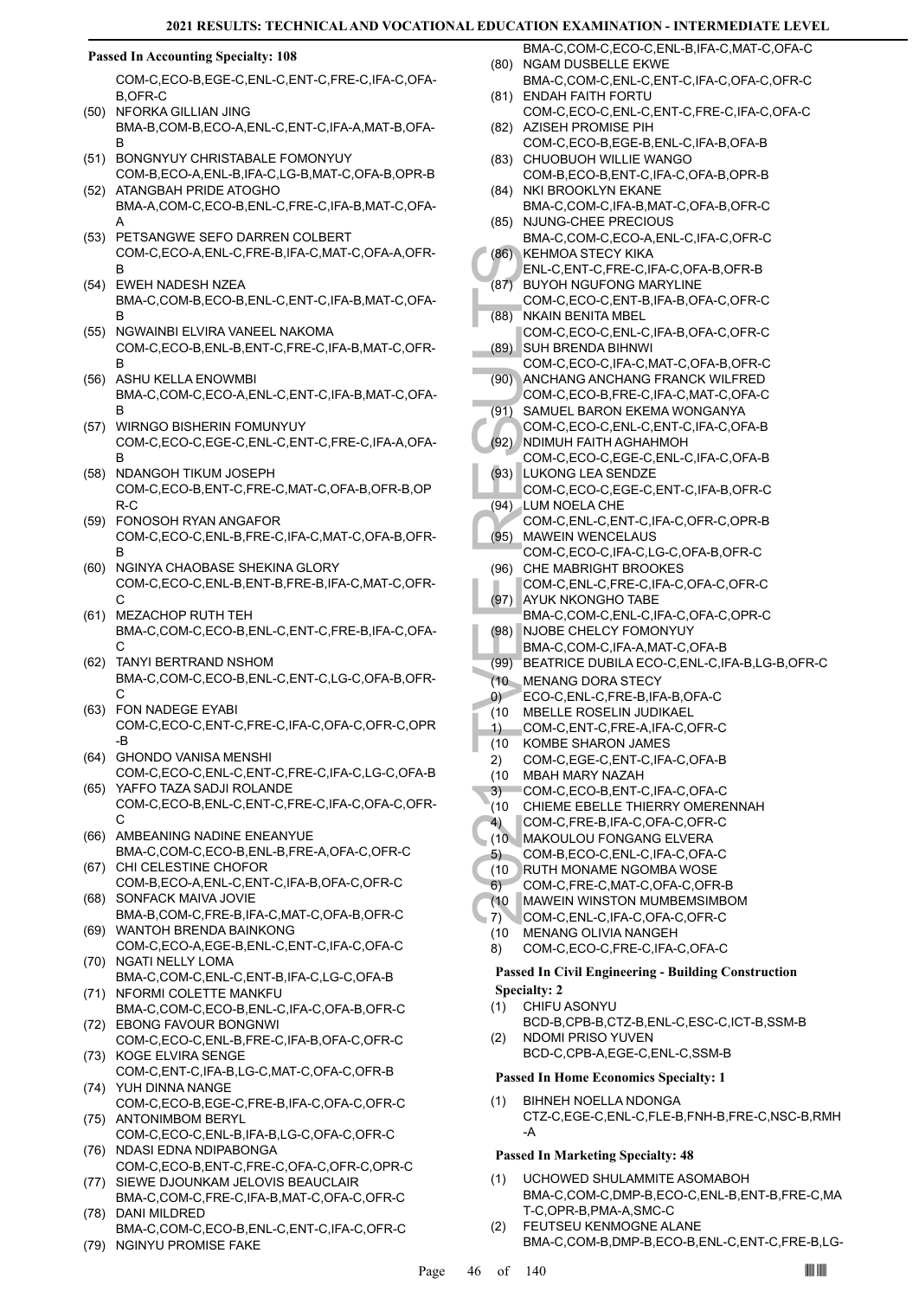#### **Passed In Accounting Specialty: 108**

COM-C,ECO-B,EGE-C,ENL-C,ENT-C,FRE-C,IFA-C,OFA-B,OFR-C

- (50) NFORKA GILLIAN JING BMA-B,COM-B,ECO-A,ENL-C,ENT-C,IFA-A,MAT-B,OFA-B
- (51) BONGNYUY CHRISTABALE FOMONYUY COM-B,ECO-A,ENL-B,IFA-C,LG-B,MAT-C,OFA-B,OPR-B
- ATANGBAH PRIDE ATOGHO BMA-A,COM-C,ECO-B,ENL-C,FRE-C,IFA-B,MAT-C,OFA-A (52)
- (53) PETSANGWE SEFO DARREN COLBERT COM-C,ECO-A,ENL-C,FRE-B,IFA-C,MAT-C,OFA-A,OFR-B
- EWEH NADESH NZEA (54) BMA-C,COM-B,ECO-B,ENL-C,ENT-C,IFA-B,MAT-C,OFA-B
- (55) NGWAINBI ELVIRA VANEEL NAKOMA COM-C,ECO-B,ENL-B,ENT-C,FRE-C,IFA-B,MAT-C,OFR-B
- ASHU KELLA ENOWMBI BMA-C,COM-C,ECO-A,ENL-C,ENT-C,IFA-B,MAT-C,OFA-B (56)
- (57) WIRNGO BISHERIN FOMUNYUY COM-C,ECO-C,EGE-C,ENL-C,ENT-C,FRE-C,IFA-A,OFA-B
- (58) NDANGOH TIKUM JOSEPH COM-C,ECO-B,ENT-C,FRE-C,MAT-C,OFA-B,OFR-B,OP R-C
- FONOSOH RYAN ANGAFOR COM-C,ECO-C,ENL-B,FRE-C,IFA-C,MAT-C,OFA-B,OFR-B (59)
- (60) NGINYA CHAOBASE SHEKINA GLORY COM-C,ECO-C,ENL-B,ENT-B,FRE-B,IFA-C,MAT-C,OFR- $\cap$
- (61) MEZACHOP RUTH TEH BMA-C,COM-C,ECO-B,ENL-C,ENT-C,FRE-B,IFA-C,OFA-C
- TANYI BERTRAND NSHOM (62) BMA-C,COM-C,ECO-B,ENL-C,ENT-C,LG-C,OFA-B,OFR-C
- FON NADEGE EYABI (63) COM-C,ECO-C,ENT-C,FRE-C,IFA-C,OFA-C,OFR-C,OPR -B
- (64) GHONDO VANISA MENSHI COM-C,ECO-C,ENL-C,ENT-C,FRE-C,IFA-C,LG-C,OFA-B
- (65) YAFFO TAZA SADJI ROLANDE COM-C,ECO-B,ENL-C,ENT-C,FRE-C,IFA-C,OFA-C,OFR-C
- (66) AMBEANING NADINE ENEANYUE BMA-C,COM-C,ECO-B,ENL-B,FRE-A,OFA-C,OFR-C
- (67) CHI CELESTINE CHOFOR COM-B,ECO-A,ENL-C,ENT-C,IFA-B,OFA-C,OFR-C SONFACK MAIVA JOVIE (68)
- BMA-B,COM-C,FRE-B,IFA-C,MAT-C,OFA-B,OFR-C WANTOH BRENDA BAINKONG (69)
- COM-C,ECO-A,EGE-B,ENL-C,ENT-C,IFA-C,OFA-C (70) NGATI NELLY LOMA
- BMA-C,COM-C,ENL-C,ENT-B,IFA-C,LG-C,OFA-B (71) NFORMI COLETTE MANKFU
- BMA-C,COM-C,ECO-B,ENL-C,IFA-C,OFA-B,OFR-C EBONG FAVOUR BONGNWI (72)
- COM-C,ECO-C,ENL-B,FRE-C,IFA-B,OFA-C,OFR-C (73) KOGE ELVIRA SENGE
- COM-C,ENT-C,IFA-B,LG-C,MAT-C,OFA-C,OFR-B YUH DINNA NANGE (74)
- COM-C,ECO-B,EGE-C,FRE-B,IFA-C,OFA-C,OFR-C (75) ANTONIMBOM BERYL
- COM-C,ECO-C,ENL-B,IFA-B,LG-C,OFA-C,OFR-C (76) NDASI EDNA NDIPABONGA
- COM-C,ECO-B,ENT-C,FRE-C,OFA-C,OFR-C,OPR-C (77) SIEWE DJOUNKAM JELOVIS BEAUCLAIR
- BMA-C,COM-C,FRE-C,IFA-B,MAT-C,OFA-C,OFR-C DANI MILDRED (78)
- BMA-C,COM-C,ECO-B,ENL-C,ENT-C,IFA-C,OFR-C (79) NGINYU PROMISE FAKE
- BMA-C,COM-C,ECO-C,ENL-B,IFA-C,MAT-C,OFA-C (80) NGAM DUSBELLE EKWE
- BMA-C,COM-C,ENL-C,ENT-C,IFA-C,OFA-C,OFR-C ENDAH FAITH FORTU (81)
- COM-C,ECO-C,ENL-C,ENT-C,FRE-C,IFA-C,OFA-C (82) AZISEH PROMISE PIH
- COM-C,ECO-B,EGE-B,ENL-C,IFA-B,OFA-B (83) CHUOBUOH WILLIE WANGO
- COM-B,ECO-B,ENT-C,IFA-C,OFA-B,OPR-B NKI BROOKLYN EKANE (84)
- BMA-C,COM-C,IFA-B,MAT-C,OFA-B,OFR-C (85) NJUNG-CHEE PRECIOUS
- BMA-C,COM-C,ECO-A,ENL-C,IFA-C,OFR-C KEHMOA STECY KIKA (86)
- ENL-C,ENT-C,FRE-C,IFA-C,OFA-B,OFR-B
- BUYOH NGUFONG MARYLINE (87)
- COM-C,ECO-C,ENT-B,IFA-B,OFA-C,OFR-C NKAIN BENITA MBEL (88)
- COM-C,ECO-C,ENL-C,IFA-B,OFA-C,OFR-C SUH BRENDA BIHNWI (89)
- COM-C,ECO-C,IFA-C,MAT-C,OFA-B,OFR-C ANCHANG ANCHANG FRANCK WILFRED (90)
- COM-C,ECO-B,FRE-C,IFA-C,MAT-C,OFA-C SAMUEL BARON EKEMA WONGANYA (91)
- COM-C,ECO-C,ENL-C,ENT-C,IFA-C,OFA-B
- (86) KEHMO<br>
ENL-C, BUYOH<br>
COM-C, (87) BUYOH<br>
COM-C, SUH BF<br>
COM-C, SUH BF<br>
COM-C, SUH BF<br>
COM-C, SUH BC<br>
COM-C, SUKON<br>
COM-C, RUKON<br>
COM-C, (94) LUKON<br>
COM-C, BE MA-C, EST MANVEI<br>
COM-C, AYUK BMA-C, BMA-C, BMA-C, BMA-C, BM (92) NDIMUH FAITH AGHAHMOH COM-C,ECO-C,EGE-C,ENL-C,IFA-C,OFA-B
	- LUKONG LEA SENDZE (93) COM-C,ECO-C,EGE-C,ENT-C,IFA-B,OFR-C
	- (94) LUM NOELA CHE
	- COM-C,ENL-C,ENT-C,IFA-C,OFR-C,OPR-B MAWEIN WENCELAUS (95)
	- COM-C,ECO-C,IFA-C,LG-C,OFA-B,OFR-C (96) CHE MABRIGHT BROOKES
	- COM-C,ENL-C,FRE-C,IFA-C,OFA-C,OFR-C AYUK NKONGHO TABE (97)
	- BMA-C,COM-C,ENL-C,IFA-C,OFA-C,OPR-C NJOBE CHELCY FOMONYUY (98)
	- BMA-C,COM-C,IFA-A,MAT-C,OFA-B
	- (99) BEATRICE DUBILA ECO-C,ENL-C,IFA-B,LG-B,OFR-C
- (10 MENANG DORA STECY
- ECO-C,ENL-C,FRE-B,IFA-B,OFA-C 0)
- (10 MBELLE ROSELIN JUDIKAEL
- COM-C,ENT-C,FRE-A,IFA-C,OFR-C 1)
- KOMBE SHARON JAMES (10
- COM-C,EGE-C,ENT-C,IFA-C,OFA-B 2)
- MBAH MARY NAZAH (10
- COM-C,ECO-B,ENT-C,IFA-C,OFA-C 3)
- (10 CHIEME EBELLE THIERRY OMERENNAH
- COM-C,FRE-B,IFA-C,OFA-C,OFR-C 4)
- MAKOULOU FONGANG ELVERA (10
- COM-B,ECO-C,ENL-C,IFA-C,OFA-C 5)
- RUTH MONAME NGOMBA WOSE (10
- COM-C,FRE-C,MAT-C,OFA-C,OFR-B 6)
- MAWEIN WINSTON MUMBEMSIMBOM (10
- COM-C,ENL-C,IFA-C,OFA-C,OFR-C 7)
- MENANG OLIVIA NANGEH (10
- COM-C,ECO-C,FRE-C,IFA-C,OFA-C 8)

### **Passed In Civil Engineering - Building Construction Specialty: 2**

- CHIFU ASONYU BCD-B,CPB-B,CTZ-B,ENL-C,ESC-C,ICT-B,SSM-B (1)
- NDOMI PRISO YUVEN BCD-C,CPB-A,EGE-C,ENL-C,SSM-B (2)

**Passed In Home Economics Specialty: 1**

BIHNEH NOELLA NDONGA CTZ-C,EGE-C,ENL-C,FLE-B,FNH-B,FRE-C,NSC-B,RMH -A (1)

# **Passed In Marketing Specialty: 48**

- UCHOWED SHULAMMITE ASOMABOH BMA-C,COM-C,DMP-B,ECO-C,ENL-B,ENT-B,FRE-C,MA T-C,OPR-B,PMA-A,SMC-C (1)
- FEUTSEU KENMOGNE ALANE BMA-C,COM-B,DMP-B,ECO-B,ENL-C,ENT-C,FRE-B,LG- (2)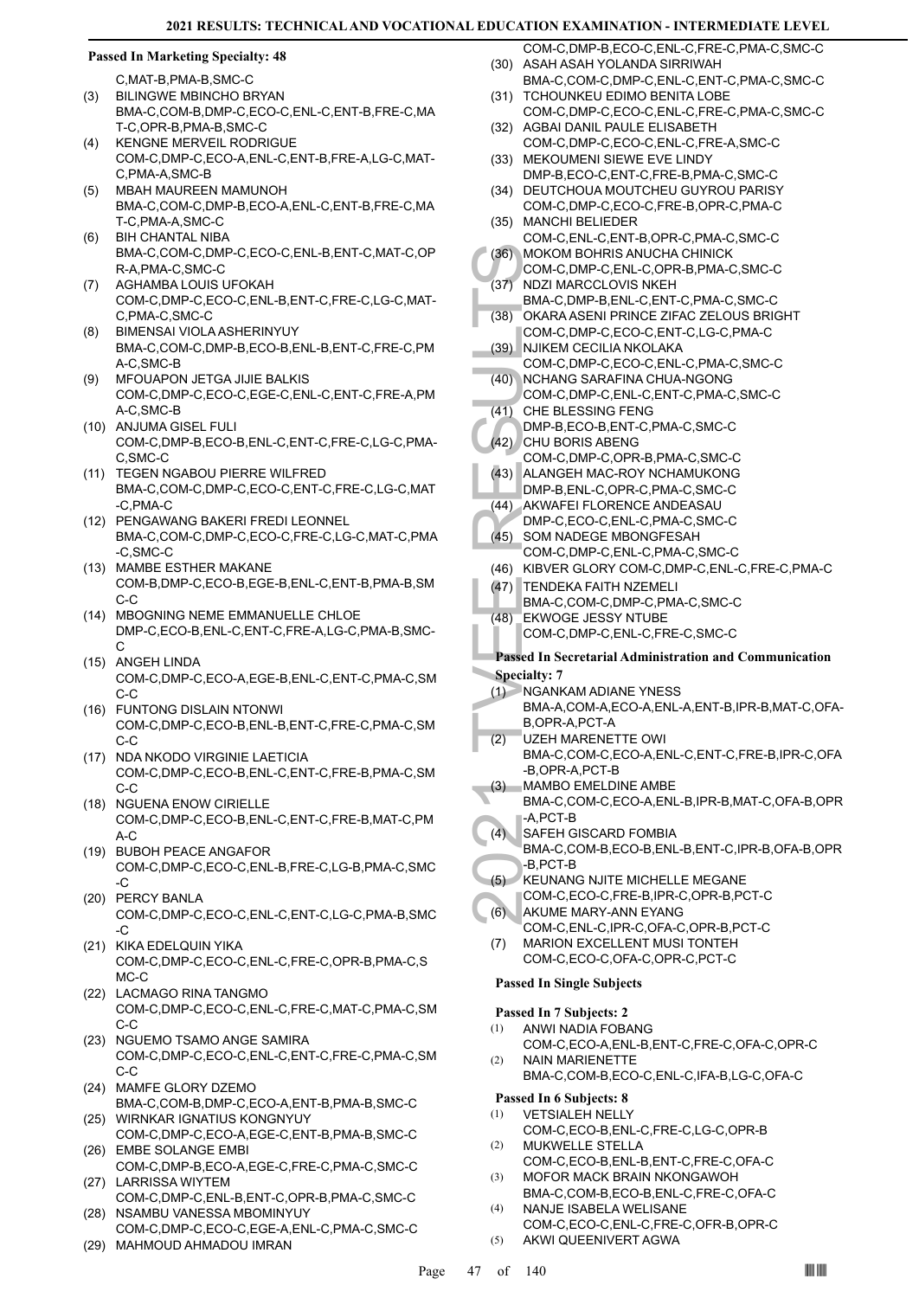# **Passed In Marketing Specialty: 48**

C,MAT-B,PMA-B,SMC-C

- BILINGWE MBINCHO BRYAN
- BMA-C,COM-B,DMP-C,ECO-C,ENL-C,ENT-B,FRE-C,MA T-C,OPR-B,PMA-B,SMC-C (3)
- KENGNE MERVEIL RODRIGUE COM-C,DMP-C,ECO-A,ENL-C,ENT-B,FRE-A,LG-C,MAT-C,PMA-A,SMC-B (4)
- MBAH MAUREEN MAMUNOH BMA-C,COM-C,DMP-B,ECO-A,ENL-C,ENT-B,FRE-C,MA T-C,PMA-A,SMC-C (5)
- BIH CHANTAL NIBA BMA-C,COM-C,DMP-C,ECO-C,ENL-B,ENT-C,MAT-C,OP R-A,PMA-C,SMC-C (6)
- AGHAMBA LOUIS UFOKAH COM-C,DMP-C,ECO-C,ENL-B,ENT-C,FRE-C,LG-C,MAT-C,PMA-C,SMC-C (7)
- BIMENSAI VIOLA ASHERINYUY BMA-C,COM-C,DMP-B,ECO-B,ENL-B,ENT-C,FRE-C,PM A-C,SMC-B (8)
- MFOUAPON JETGA JIJIE BALKIS COM-C,DMP-C,ECO-C,EGE-C,ENL-C,ENT-C,FRE-A,PM A-C,SMC-B (9)
- (10) ANJUMA GISEL FULI COM-C,DMP-B,ECO-B,ENL-C,ENT-C,FRE-C,LG-C,PMA-C,SMC-C
- (11) TEGEN NGABOU PIERRE WILFRED BMA-C,COM-C,DMP-C,ECO-C,ENT-C,FRE-C,LG-C,MAT -C,PMA-C
- (12) PENGAWANG BAKERI FREDI LEONNEL BMA-C,COM-C,DMP-C,ECO-C,FRE-C,LG-C,MAT-C,PMA -C,SMC-C
- (13) MAMBE ESTHER MAKANE COM-B,DMP-C,ECO-B,EGE-B,ENL-C,ENT-B,PMA-B,SM  $C-C$
- (14) MBOGNING NEME EMMANUELLE CHLOE DMP-C,ECO-B,ENL-C,ENT-C,FRE-A,LG-C,PMA-B,SMC-C
- (15) ANGEH LINDA COM-C,DMP-C,ECO-A,EGE-B,ENL-C,ENT-C,PMA-C,SM C-C
- FUNTONG DISLAIN NTONWI (16) COM-C,DMP-C,ECO-B,ENL-B,ENT-C,FRE-C,PMA-C,SM C-C
- (17) NDA NKODO VIRGINIE LAETICIA COM-C,DMP-C,ECO-B,ENL-C,ENT-C,FRE-B,PMA-C,SM C-C
- (18) NGUENA ENOW CIRIELLE COM-C,DMP-C,ECO-B,ENL-C,ENT-C,FRE-B,MAT-C,PM  $A-C$
- (19) BUBOH PEACE ANGAFOR COM-C,DMP-C,ECO-C,ENL-B,FRE-C,LG-B,PMA-C,SMC  $-C$
- (20) PERCY BANLA COM-C,DMP-C,ECO-C,ENL-C,ENT-C,LG-C,PMA-B,SMC -C
- (21) KIKA EDELQUIN YIKA COM-C,DMP-C,ECO-C,ENL-C,FRE-C,OPR-B,PMA-C,S MC-C
- (22) LACMAGO RINA TANGMO COM-C,DMP-C,ECO-C,ENL-C,FRE-C,MAT-C,PMA-C,SM C-C
- (23) NGUEMO TSAMO ANGE SAMIRA COM-C,DMP-C,ECO-C,ENL-C,ENT-C,FRE-C,PMA-C,SM C-C
- (24) MAMFE GLORY DZEMO BMA-C,COM-B,DMP-C,ECO-A,ENT-B,PMA-B,SMC-C
- (25) WIRNKAR IGNATIUS KONGNYUY COM-C,DMP-C,ECO-A,EGE-C,ENT-B,PMA-B,SMC-C EMBE SOLANGE EMBI (26)
- COM-C,DMP-B,ECO-A,EGE-C,FRE-C,PMA-C,SMC-C (27) LARRISSA WIYTEM
- COM-C,DMP-C,ENL-B,ENT-C,OPR-B,PMA-C,SMC-C (28) NSAMBU VANESSA MBOMINYUY
- COM-C,DMP-C,ECO-C,EGE-A,ENL-C,PMA-C,SMC-C (29) MAHMOUD AHMADOU IMRAN
- COM-C,DMP-B,ECO-C,ENL-C,FRE-C,PMA-C,SMC-C (30) ASAH ASAH YOLANDA SIRRIWAH
- BMA-C,COM-C,DMP-C,ENL-C,ENT-C,PMA-C,SMC-C (31) TCHOUNKEU EDIMO BENITA LOBE
- COM-C,DMP-C,ECO-C,ENL-C,FRE-C,PMA-C,SMC-C (32) AGBAI DANIL PAULE ELISABETH
- COM-C,DMP-C,ECO-C,ENL-C,FRE-A,SMC-C (33) MEKOUMENI SIEWE EVE LINDY
- DMP-B,ECO-C,ENT-C,FRE-B,PMA-C,SMC-C DEUTCHOUA MOUTCHEU GUYROU PARISY (34)
- COM-C,DMP-C,ECO-C,FRE-B,OPR-C,PMA-C MANCHI BELIEDER (35)
- COM-C,ENL-C,ENT-B,OPR-C,PMA-C,SMC-C MOKOM BOHRIS ANUCHA CHINICK (36)
- COM-C,DMP-C,ENL-C,OPR-B,PMA-C,SMC-C NDZI MARCCLOVIS NKEH (37)
- BMA-C,DMP-B,ENL-C,ENT-C,PMA-C,SMC-C OKARA ASENI PRINCE ZIFAC ZELOUS BRIGHT (38)
- COM-C,DMP-C,ECO-C,ENT-C,LG-C,PMA-C NJIKEM CECILIA NKOLAKA (39)
- COM-C,DMP-C,ECO-C,ENL-C,PMA-C,SMC-C NCHANG SARAFINA CHUA-NGONG (40)
- COM-C,DMP-C,ENL-C,ENT-C,PMA-C,SMC-C (41) CHE BLESSING FENG
- DMP-B,ECO-B,ENT-C,PMA-C,SMC-C
- (36) MOKON<br>
COM-C,<br>
(37) NDZI M,<br>
BMA-C,<br>
(38) OKARA<br>
COM-C,<br>
(39) NUKEM<br>
COM-C,<br>
(40) NCHAN<br>
COM-C,<br>
(41) CHE BL<br>
COM-C,<br>
(42) CHU BC<br>
COM-C,<br>
(43) AKWAF<br>
DMP-B,<br>
(44) AKWAF<br>
DMP-B,<br>
(44) AKWAF<br>
DMP-B,<br>
(44) AKWAF<br>
DMP-B, (42) CHU BORIS ABENG COM-C,DMP-C,OPR-B,PMA-C,SMC-C
- (43) ALANGEH MAC-ROY NCHAMUKONG
- DMP-B,ENL-C,OPR-C,PMA-C,SMC-C
- (44) AKWAFEI FLORENCE ANDEASAU DMP-C,ECO-C,ENL-C,PMA-C,SMC-C
- SOM NADEGE MBONGFESAH (45)
	- COM-C,DMP-C,ENL-C,PMA-C,SMC-C
- (46) KIBVER GLORY COM-C,DMP-C,ENL-C,FRE-C,PMA-C
- (47) TENDEKA FAITH NZEMELI
	- BMA-C,COM-C,DMP-C,PMA-C,SMC-C
- EKWOGE JESSY NTUBE COM-C,DMP-C,ENL-C,FRE-C,SMC-C (48)

# **Passed In Secretarial Administration and Communication Specialty: 7**

- NGANKAM ADIANE YNESS BMA-A,COM-A,ECO-A,ENL-A,ENT-B,IPR-B,MAT-C,OFA- $(1)$
- B,OPR-A,PCT-A UZEH MARENETTE OWI (2)
	- BMA-C,COM-C,ECO-A,ENL-C,ENT-C,FRE-B,IPR-C,OFA -B,OPR-A,PCT-B MAMBO EMELDINE AMBE
- BMA-C,COM-C,ECO-A,ENL-B,IPR-B,MAT-C,OFA-B,OPR -A,PCT-B (3)
- SAFEH GISCARD FOMBIA  $(4)$ 
	- BMA-C,COM-B,ECO-B,ENL-B,ENT-C,IPR-B,OFA-B,OPR -B,PCT-B
- KEUNANG NJITE MICHELLE MEGANE COM-C,ECO-C,FRE-B,IPR-C,OPR-B,PCT-C (5)
- AKUME MARY-ANN EYANG  $(6)$
- COM-C,ENL-C,IPR-C,OFA-C,OPR-B,PCT-C MARION EXCELLENT MUSI TONTEH (7)
- COM-C,ECO-C,OFA-C,OPR-C,PCT-C **Passed In Single Subjects**

- **Passed In 7 Subjects: 2** ANWI NADIA FOBANG (1)
- COM-C,ECO-A,ENL-B,ENT-C,FRE-C,OFA-C,OPR-C NAIN MARIENETTE (2)
	- BMA-C,COM-B,ECO-C,ENL-C,IFA-B,LG-C,OFA-C

# **Passed In 6 Subjects: 8**

- VETSIALEH NELLY COM-C,ECO-B,ENL-C,FRE-C,LG-C,OPR-B (1) (2)
- MUKWELLE STELLA COM-C,ECO-B,ENL-B,ENT-C,FRE-C,OFA-C MOFOR MACK BRAIN NKONGAWOH (3)
- BMA-C,COM-B,ECO-B,ENL-C,FRE-C,OFA-C
- NANJE ISABELA WELISANE (4)
- COM-C,ECO-C,ENL-C,FRE-C,OFR-B,OPR-C (5) AKWI QUEENIVERT AGWA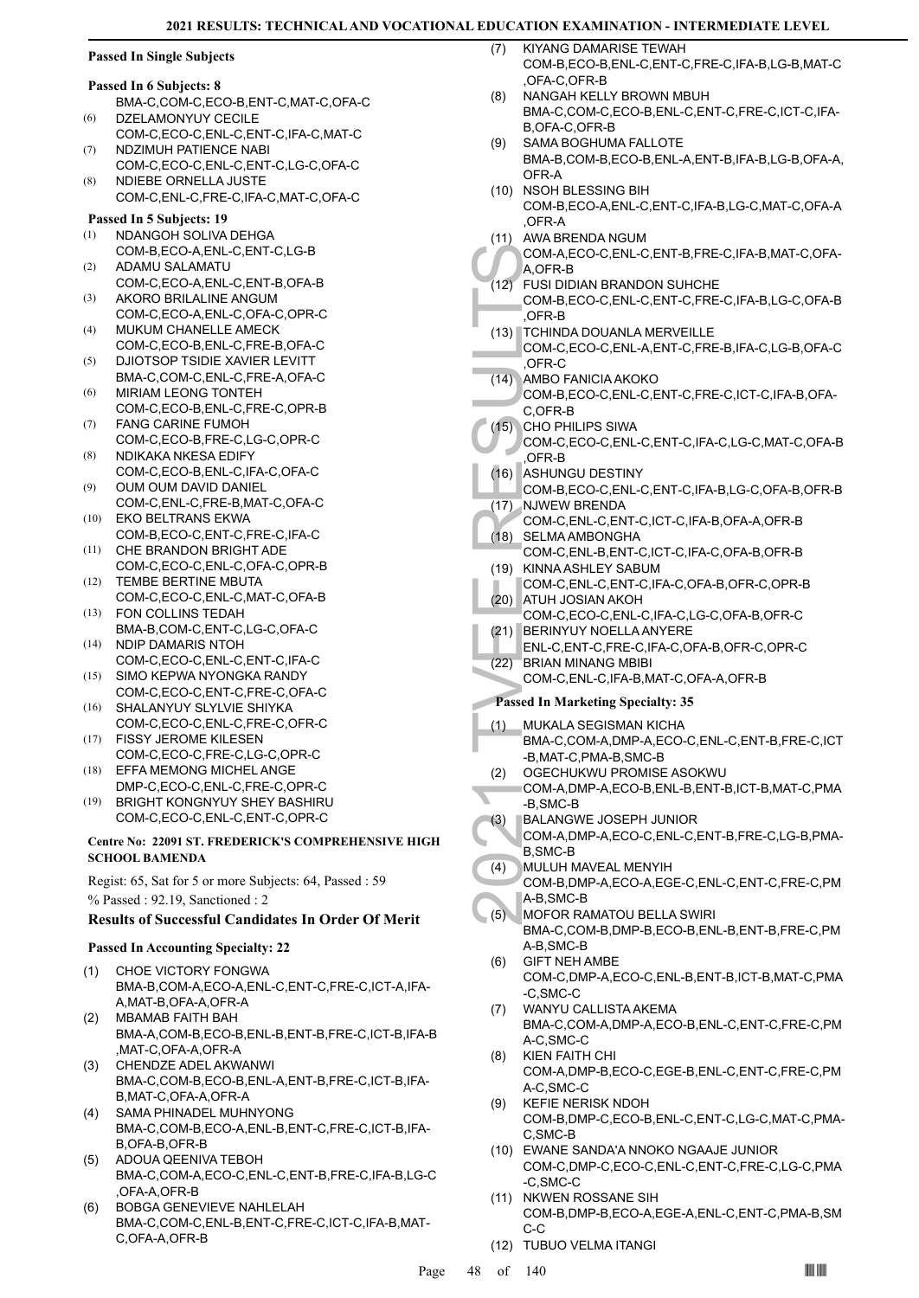# **Passed In Single Subjects**

#### **Passed In 6 Subjects: 8**

- BMA-C,COM-C,ECO-B,ENT-C,MAT-C,OFA-C DZELAMONYUY CECILE (6)
- COM-C,ECO-C,ENL-C,ENT-C,IFA-C,MAT-C NDZIMUH PATIENCE NABI (7)
- COM-C,ECO-C,ENL-C,ENT-C,LG-C,OFA-C NDIEBE ORNELLA JUSTE (8)
- COM-C,ENL-C,FRE-C,IFA-C,MAT-C,OFA-C

# **Passed In 5 Subjects: 19**

- NDANGOH SOLIVA DEHGA COM-B,ECO-A,ENL-C,ENT-C,LG-B (1)
- ADAMU SALAMATU COM-C,ECO-A,ENL-C,ENT-B,OFA-B (2)
- AKORO BRILALINE ANGUM COM-C,ECO-A,ENL-C,OFA-C,OPR-C (3)
- MUKUM CHANELLE AMECK COM-C,ECO-B,ENL-C,FRE-B,OFA-C  $(4)$
- DJIOTSOP TSIDIE XAVIER LEVITT BMA-C,COM-C,ENL-C,FRE-A,OFA-C (5)
- MIRIAM LEONG TONTEH (6)
- COM-C,ECO-B,ENL-C,FRE-C,OPR-B FANG CARINE FUMOH (7)
- COM-C,ECO-B,FRE-C,LG-C,OPR-C NDIKAKA NKESA EDIFY (8)
- COM-C,ECO-B,ENL-C,IFA-C,OFA-C OUM OUM DAVID DANIEL (9)
- COM-C,ENL-C,FRE-B,MAT-C,OFA-C EKO BELTRANS EKWA (10)
- COM-B,ECO-C,ENT-C,FRE-C,IFA-C CHE BRANDON BRIGHT ADE (11)
- COM-C,ECO-C,ENL-C,OFA-C,OPR-B TEMBE BERTINE MBUTA (12)
- COM-C,ECO-C,ENL-C,MAT-C,OFA-B FON COLLINS TEDAH (13)
- BMA-B,COM-C,ENT-C,LG-C,OFA-C NDIP DAMARIS NTOH (14)
- COM-C,ECO-C,ENL-C,ENT-C,IFA-C SIMO KEPWA NYONGKA RANDY (15)
- COM-C,ECO-C,ENT-C,FRE-C,OFA-C
- SHALANYUY SLYLVIE SHIYKA COM-C,ECO-C,ENL-C,FRE-C,OFR-C (16) (17)
- FISSY JEROME KILESEN COM-C,ECO-C,FRE-C,LG-C,OPR-C
- EFFA MEMONG MICHEL ANGE DMP-C,ECO-C,ENL-C,FRE-C,OPR-C (18)
- BRIGHT KONGNYUY SHEY BASHIRU COM-C,ECO-C,ENL-C,ENT-C,OPR-C (19)

### **Centre No: 22091 ST. FREDERICK'S COMPREHENSIVE HIGH SCHOOL BAMENDA**

Regist: 65, Sat for 5 or more Subjects: 64, Passed : 59 % Passed : 92.19, Sanctioned : 2

# **Results of Successful Candidates In Order Of Merit**

# **Passed In Accounting Specialty: 22**

- CHOE VICTORY FONGWA BMA-B,COM-A,ECO-A,ENL-C,ENT-C,FRE-C,ICT-A,IFA-A,MAT-B,OFA-A,OFR-A (1)
- MBAMAB FAITH BAH BMA-A,COM-B,ECO-B,ENL-B,ENT-B,FRE-C,ICT-B,IFA-B ,MAT-C,OFA-A,OFR-A (2)
- CHENDZE ADEL AKWANWI BMA-C,COM-B,ECO-B,ENL-A,ENT-B,FRE-C,ICT-B,IFA-B,MAT-C,OFA-A,OFR-A (3)
- SAMA PHINADEL MUHNYONG BMA-C,COM-B,ECO-A,ENL-B,ENT-C,FRE-C,ICT-B,IFA-B,OFA-B,OFR-B (4)
- ADOUA QEENIVA TEBOH BMA-C,COM-A,ECO-C,ENL-C,ENT-B,FRE-C,IFA-B,LG-C ,OFA-A,OFR-B (5)
- BOBGA GENEVIEVE NAHLELAH BMA-C,COM-C,ENL-B,ENT-C,FRE-C,ICT-C,IFA-B,MAT-C,OFA-A,OFR-B (6)
- KIYANG DAMARISE TEWAH COM-B,ECO-B,ENL-C,ENT-C,FRE-C,IFA-B,LG-B,MAT-C ,OFA-C,OFR-B (7)
- NANGAH KELLY BROWN MBUH BMA-C,COM-C,ECO-B,ENL-C,ENT-C,FRE-C,ICT-C,IFA-B,OFA-C,OFR-B (8)
- SAMA BOGHUMA FALLOTE BMA-B,COM-B,ECO-B,ENL-A,ENT-B,IFA-B,LG-B,OFA-A, OFR-A (9)
- (10) NSOH BLESSING BIH COM-B,ECO-A,ENL-C,ENT-C,IFA-B,LG-C,MAT-C,OFA-A ,OFR-A
- (11) AWA BRENDA NGUM
- COM-A,ECO-C,ENL-C,ENT-B,FRE-C,IFA-B,MAT-C,OFA-A,OFR-B
- FUSI DIDIAN BRANDON SUHCHE (12)
- COM-B,ECO-C,ENL-C,ENT-C,FRE-C,IFA-B,LG-C,OFA-B  $\overline{OFR}$ -B
- (13) TCHINDA DOUANLA MERVEILLE
- COM-C,ECO-C,ENL-A,ENT-C,FRE-B,IFA-C,LG-B,OFA-C ,OFR-C
- COM-A,<br>
A,OFR-B DUSI DI<br>
COM-B,<br>
COM-B,<br>
COM-C,<br>
COFR-C<br>
COM-C,<br>
COFR-C<br>
COM-C,<br>
COFR-B COM-C,<br>
COFR-B ASHUN<br>
COM-C,<br>
COFR-B ASHUN<br>
COM-C,<br>
COM-C,<br>
COM-C,<br>
COM-C,<br>
COM-C,<br>
COM-C,<br>
COM-C,<br>
COM-C,<br>
COM-C,<br>
COM-C,<br>
COM-C,<br>
CO AMBO FANICIA AKOKO (14) COM-B,ECO-C,ENL-C,ENT-C,FRE-C,ICT-C,IFA-B,OFA-C,OFR-B CHO PHILIPS SIWA (15)
	- COM-C,ECO-C,ENL-C,ENT-C,IFA-C,LG-C,MAT-C,OFA-B ,OFR-B
- (16) ASHUNGU DESTINY
	- COM-B,ECO-C,ENL-C,ENT-C,IFA-B,LG-C,OFA-B,OFR-B (17) NJWEW BRENDA
- COM-C,ENL-C,ENT-C,ICT-C,IFA-B,OFA-A,OFR-B (18) SELMA AMBONGHA
- COM-C,ENL-B,ENT-C,ICT-C,IFA-C,OFA-B,OFR-B (19) KINNA ASHLEY SABUM
- COM-C,ENL-C,ENT-C,IFA-C,OFA-B,OFR-C,OPR-B (20) ATUH JOSIAN AKOH
- COM-C,ECO-C,ENL-C,IFA-C,LG-C,OFA-B,OFR-C (21) BERINYUY NOELLA ANYERE
- ENL-C,ENT-C,FRE-C,IFA-C,OFA-B,OFR-C,OPR-C
- BRIAN MINANG MBIBI (22)
	- COM-C,ENL-C,IFA-B,MAT-C,OFA-A,OFR-B

# **Passed In Marketing Specialty: 35**

- MUKALA SEGISMAN KICHA BMA-C,COM-A,DMP-A,ECO-C,ENL-C,ENT-B,FRE-C,ICT -B,MAT-C,PMA-B,SMC-B (1)
- OGECHUKWU PROMISE ASOKWU (2)
- COM-A,DMP-A,ECO-B,ENL-B,ENT-B,ICT-B,MAT-C,PMA -B,SMC-B
- BALANGWE JOSEPH JUNIOR (3)
- COM-A,DMP-A,ECO-C,ENL-C,ENT-B,FRE-C,LG-B,PMA-B,SMC-B
- MULUH MAVEAL MENYIH (4)
- COM-B,DMP-A,ECO-A,EGE-C,ENL-C,ENT-C,FRE-C,PM A-B,SMC-B
- MOFOR RAMATOU BELLA SWIRI BMA-C,COM-B,DMP-B,ECO-B,ENL-B,ENT-B,FRE-C,PM A-B,SMC-B (5)
- GIFT NEH AMBE COM-C,DMP-A,ECO-C,ENL-B,ENT-B,ICT-B,MAT-C,PMA -C,SMC-C (6)
- WANYU CALLISTA AKEMA BMA-C,COM-A,DMP-A,ECO-B,ENL-C,ENT-C,FRE-C,PM A-C,SMC-C (7)
- KIEN FAITH CHI COM-A,DMP-B,ECO-C,EGE-B,ENL-C,ENT-C,FRE-C,PM A-C,SMC-C (8)
- KEFIE NERISK NDOH COM-B,DMP-C,ECO-B,ENL-C,ENT-C,LG-C,MAT-C,PMA-C,SMC-B (9)
- EWANE SANDA'A NNOKO NGAAJE JUNIOR (10) COM-C,DMP-C,ECO-C,ENL-C,ENT-C,FRE-C,LG-C,PMA -C,SMC-C
- (11) NKWEN ROSSANE SIH COM-B,DMP-B,ECO-A,EGE-A,ENL-C,ENT-C,PMA-B,SM C-C
- (12) TUBUO VELMA ITANGI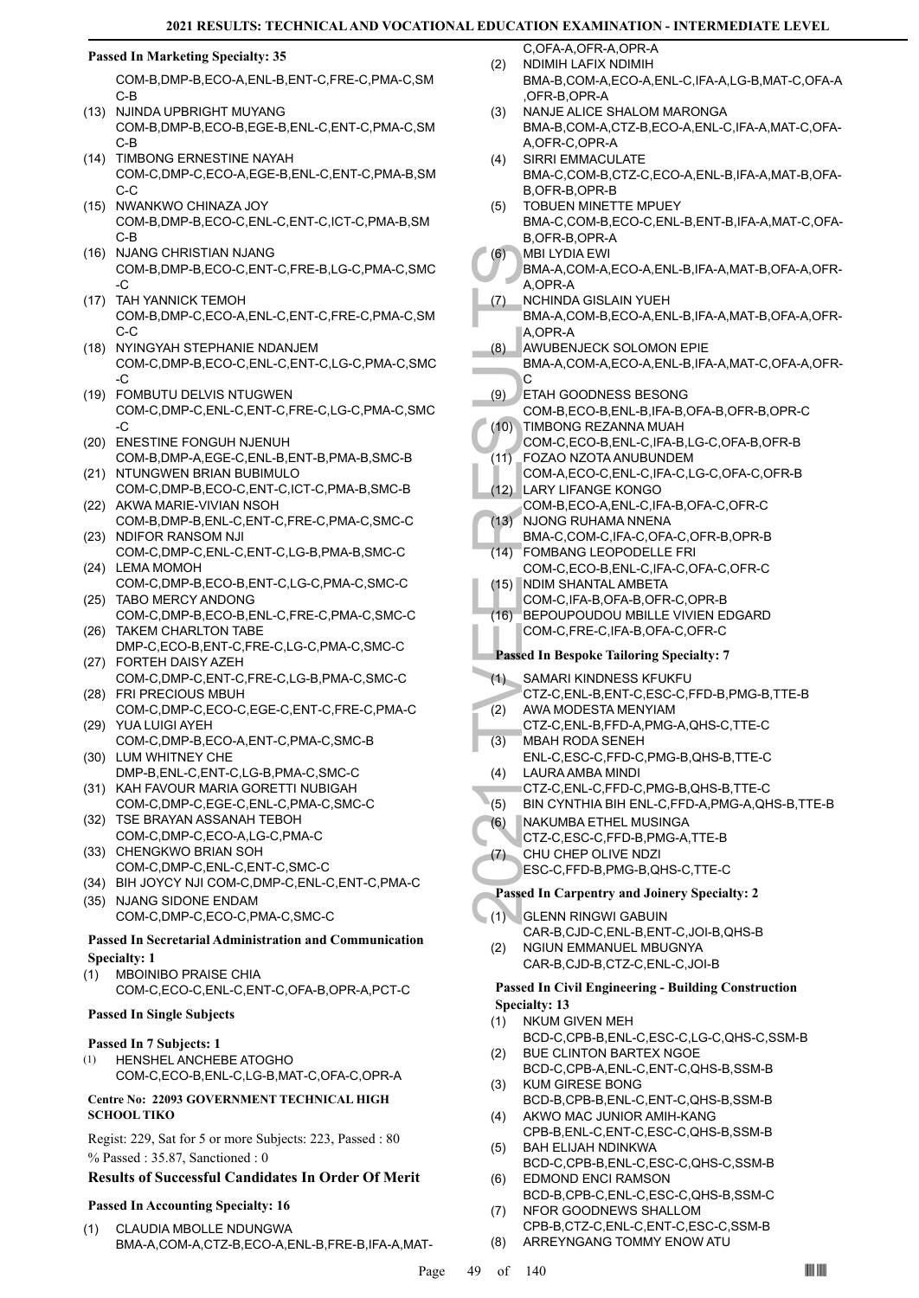# **Passed In Marketing Specialty: 35**

COM-B,DMP-B,ECO-A,ENL-B,ENT-C,FRE-C,PMA-C,SM C-B

- (13) NJINDA UPBRIGHT MUYANG COM-B,DMP-B,ECO-B,EGE-B,ENL-C,ENT-C,PMA-C,SM C-B
- (14) TIMBONG ERNESTINE NAYAH COM-C,DMP-C,ECO-A,EGE-B,ENL-C,ENT-C,PMA-B,SM C-C
- (15) NWANKWO CHINAZA JOY COM-B,DMP-B,ECO-C,ENL-C,ENT-C,ICT-C,PMA-B,SM C-B
- (16) NJANG CHRISTIAN NJANG COM-B,DMP-B,ECO-C,ENT-C,FRE-B,LG-C,PMA-C,SMC -C
- (17) TAH YANNICK TEMOH COM-B,DMP-C,ECO-A,ENL-C,ENT-C,FRE-C,PMA-C,SM C-C
- (18) NYINGYAH STEPHANIE NDANJEM COM-C,DMP-B,ECO-C,ENL-C,ENT-C,LG-C,PMA-C,SMC -C
- FOMBUTU DELVIS NTUGWEN (19) COM-C,DMP-C,ENL-C,ENT-C,FRE-C,LG-C,PMA-C,SMC -C
- (20) ENESTINE FONGUH NJENUH COM-B,DMP-A,EGE-C,ENL-B,ENT-B,PMA-B,SMC-B
- (21) NTUNGWEN BRIAN BUBIMULO COM-C,DMP-B,ECO-C,ENT-C,ICT-C,PMA-B,SMC-B
- (22) AKWA MARIE-VIVIAN NSOH COM-B,DMP-B,ENL-C,ENT-C,FRE-C,PMA-C,SMC-C (23) NDIFOR RANSOM NJI
- COM-C,DMP-C,ENL-C,ENT-C,LG-B,PMA-B,SMC-C (24) LEMA MOMOH
- COM-C,DMP-B,ECO-B,ENT-C,LG-C,PMA-C,SMC-C (25) TABO MERCY ANDONG
- COM-C,DMP-B,ECO-B,ENL-C,FRE-C,PMA-C,SMC-C (26) TAKEM CHARLTON TABE
- DMP-C,ECO-B,ENT-C,FRE-C,LG-C,PMA-C,SMC-C FORTEH DAISY AZEH (27)
- COM-C,DMP-C,ENT-C,FRE-C,LG-B,PMA-C,SMC-C FRI PRECIOUS MBUH (28)
- COM-C,DMP-C,ECO-C,EGE-C,ENT-C,FRE-C,PMA-C YUA LUIGI AYEH (29)
- COM-C,DMP-B,ECO-A,ENT-C,PMA-C,SMC-B (30) LUM WHITNEY CHE
- DMP-B,ENL-C,ENT-C,LG-B,PMA-C,SMC-C (31) KAH FAVOUR MARIA GORETTI NUBIGAH
- COM-C,DMP-C,EGE-C,ENL-C,PMA-C,SMC-C (32) TSE BRAYAN ASSANAH TEBOH
- COM-C,DMP-C,ECO-A,LG-C,PMA-C (33) CHENGKWO BRIAN SOH
- COM-C,DMP-C,ENL-C,ENT-C,SMC-C
- (34) BIH JOYCY NJI COM-C,DMP-C,ENL-C,ENT-C,PMA-C (35) NJANG SIDONE ENDAM
- COM-C,DMP-C,ECO-C,PMA-C,SMC-C

# **Passed In Secretarial Administration and Communication Specialty: 1**

MBOINIBO PRAISE CHIA COM-C,ECO-C,ENL-C,ENT-C,OFA-B,OPR-A,PCT-C (1)

# **Passed In Single Subjects**

# **Passed In 7 Subjects: 1**

HENSHEL ANCHEBE ATOGHO COM-C,ECO-B,ENL-C,LG-B,MAT-C,OFA-C,OPR-A (1)

### **Centre No: 22093 GOVERNMENT TECHNICAL HIGH SCHOOL TIKO**

Regist: 229, Sat for 5 or more Subjects: 223, Passed : 80 % Passed : 35.87, Sanctioned : 0

# **Results of Successful Candidates In Order Of Merit**

# **Passed In Accounting Specialty: 16**

CLAUDIA MBOLLE NDUNGWA BMA-A,COM-A,CTZ-B,ECO-A,ENL-B,FRE-B,IFA-A,MAT- (1)

- C,OFA-A,OFR-A,OPR-A NDIMIH LAFIX NDIMIH BMA-B,COM-A,ECO-A,ENL-C,IFA-A,LG-B,MAT-C,OFA-A ,OFR-B,OPR-A (2)
- NANJE ALICE SHALOM MARONGA BMA-B,COM-A,CTZ-B,ECO-A,ENL-C,IFA-A,MAT-C,OFA-A,OFR-C,OPR-A (3)
- SIRRI EMMACULATE BMA-C,COM-B,CTZ-C,ECO-A,ENL-B,IFA-A,MAT-B,OFA-B,OFR-B,OPR-B (4)
- TOBUEN MINETTE MPUEY BMA-C,COM-B,ECO-C,ENL-B,ENT-B,IFA-A,MAT-C,OFA-B,OFR-B,OPR-A (5)
- MBI LYDIA EWI  $(6)$ 
	- BMA-A,COM-A,ECO-A,ENL-B,IFA-A,MAT-B,OFA-A,OFR-A,OPR-A
- (6) MBILYI<br>
BMA-A, A,OPR-<br>
A,OPR-A, A,OPR-A, A,OPR-A, A,OPR-A, A,OPR-A, A,OPR-A, A,OPR-A, A,OPR-A, A,OPR-A, C<br>
(8) ETAH G COM-B, COM-C, COM-C, COM-A, COM-C, COM-A, COM-C, (11) FOZAO COM-A, COM-B, BMA-C, (12) LARY LI, COM-C NCHINDA GISLAIN YUEH BMA-A,COM-B,ECO-A,ENL-B,IFA-A,MAT-B,OFA-A,OFR-A,OPR-A (7)
- AWUBENJECK SOLOMON EPIE (8)
- BMA-A,COM-A,ECO-A,ENL-B,IFA-A,MAT-C,OFA-A,OFR- $\Omega$
- ETAH GOODNESS BESONG (9)
- COM-B,ECO-B,ENL-B,IFA-B,OFA-B,OFR-B,OPR-C TIMBONG REZANNA MUAH  $(10)$
- COM-C,ECO-B,ENL-C,IFA-B,LG-C,OFA-B,OFR-B FOZAO NZOTA ANUBUNDEM  $(11)$
- COM-A,ECO-C,ENL-C,IFA-C,LG-C,OFA-C,OFR-B LARY LIFANGE KONGO (12)
- COM-B,ECO-A,ENL-C,IFA-B,OFA-C,OFR-C (13) NJONG RUHAMA NNENA
- BMA-C,COM-C,IFA-C,OFA-C,OFR-B,OPR-B FOMBANG LEOPODELLE FRI (14)
- COM-C,ECO-B,ENL-C,IFA-C,OFA-C,OFR-C NDIM SHANTAL AMBETA (15)
- COM-C,IFA-B,OFA-B,OFR-C,OPR-B
- BEPOUPOUDOU MBILLE VIVIEN EDGARD COM-C,FRE-C,IFA-B,OFA-C,OFR-C (16)
- **Passed In Bespoke Tailoring Specialty: 7**
- SAMARI KINDNESS KFUKFU  $(1)$
- CTZ-C,ENL-B,ENT-C,ESC-C,FFD-B,PMG-B,TTE-B AWA MODESTA MENYIAM (2)
- CTZ-C,ENL-B,FFD-A,PMG-A,QHS-C,TTE-C
- MBAH RODA SENEH ENL-C,ESC-C,FFD-C,PMG-B,QHS-B,TTE-C (3)
- LAURA AMBA MINDI (4)
- CTZ-C,ENL-C,FFD-C,PMG-B,QHS-B,TTE-C
- (5) BIN CYNTHIA BIH ENL-C,FFD-A,PMG-A,QHS-B,TTE-B
- NAKUMBA ETHEL MUSINGA (6)
- CTZ-C,ESC-C,FFD-B,PMG-A,TTE-B
- CHU CHEP OLIVE NDZI (7)
	- ESC-C,FFD-B,PMG-B,QHS-C,TTE-C

# **Passed In Carpentry and Joinery Specialty: 2**

- GLENN RINGWI GABUIN  $(1)$ 
	- CAR-B,CJD-C,ENL-B,ENT-C,JOI-B,QHS-B NGIUN EMMANUEL MBUGNYA (2)
		- CAR-B,CJD-B,CTZ-C,ENL-C,JOI-B

#### **Passed In Civil Engineering - Building Construction Specialty: 13**

- NKUM GIVEN MEH (1)
- BCD-C,CPB-B,ENL-C,ESC-C,LG-C,QHS-C,SSM-B BUE CLINTON BARTEX NGOE (2)
- BCD-C,CPB-A,ENL-C,ENT-C,QHS-B,SSM-B KUM GIRESE BONG (3)
- BCD-B,CPB-B,ENL-C,ENT-C,QHS-B,SSM-B AKWO MAC JUNIOR AMIH-KANG (4)
- CPB-B,ENL-C,ENT-C,ESC-C,QHS-B,SSM-B BAH ELIJAH NDINKWA (5)
- BCD-C,CPB-B,ENL-C,ESC-C,QHS-C,SSM-B EDMOND ENCI RAMSON (6)
- BCD-B,CPB-C,ENL-C,ESC-C,QHS-B,SSM-C NFOR GOODNEWS SHALLOM (7)
- CPB-B,CTZ-C,ENL-C,ENT-C,ESC-C,SSM-B (8) ARREYNGANG TOMMY ENOW ATU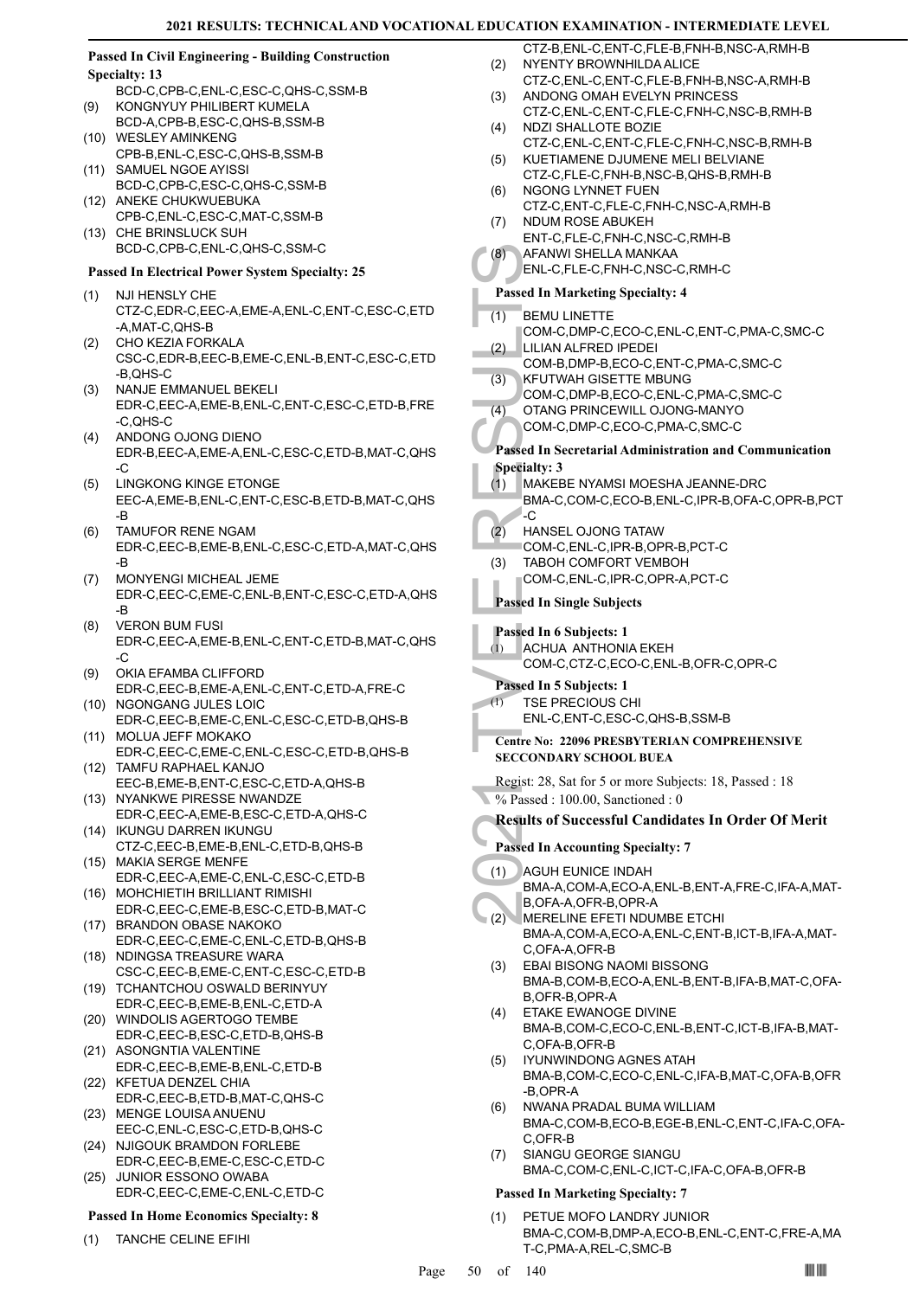# **Passed In Civil Engineering - Building Construction Specialty: 13**

- BCD-C,CPB-C,ENL-C,ESC-C,QHS-C,SSM-B KONGNYUY PHILIBERT KUMELA (9)
- BCD-A,CPB-B,ESC-C,QHS-B,SSM-B WESLEY AMINKENG  $(10)$
- CPB-B,ENL-C,ESC-C,QHS-B,SSM-B (11) SAMUEL NGOE AYISSI
- BCD-C,CPB-C,ESC-C,QHS-C,SSM-B (12) ANEKE CHUKWUEBUKA
- CPB-C,ENL-C,ESC-C,MAT-C,SSM-B (13) CHE BRINSLUCK SUH BCD-C,CPB-C,ENL-C,QHS-C,SSM-C

# **Passed In Electrical Power System Specialty: 25**

- NJI HENSLY CHE CTZ-C,EDR-C,EEC-A,EME-A,ENL-C,ENT-C,ESC-C,ETD -A,MAT-C,QHS-B (1)
- CHO KEZIA FORKALA CSC-C,EDR-B,EEC-B,EME-C,ENL-B,ENT-C,ESC-C,ETD -B,QHS-C (2)
- NANJE EMMANUEL BEKELI EDR-C,EEC-A,EME-B,ENL-C,ENT-C,ESC-C,ETD-B,FRE -C,QHS-C (3)
- ANDONG OJONG DIENO EDR-B,EEC-A,EME-A,ENL-C,ESC-C,ETD-B,MAT-C,QHS  $-C$ (4)
- LINGKONG KINGE ETONGE EEC-A,EME-B,ENL-C,ENT-C,ESC-B,ETD-B,MAT-C,QHS -B (5)
- TAMUFOR RENE NGAM EDR-C,EEC-B,EME-B,ENL-C,ESC-C,ETD-A,MAT-C,QHS -B (6)
- MONYENGI MICHEAL JEME EDR-C,EEC-C,EME-C,ENL-B,ENT-C,ESC-C,ETD-A,QHS -B (7)
- VERON BUM FUSI EDR-C,EEC-A,EME-B,ENL-C,ENT-C,ETD-B,MAT-C,QHS -C (8)
- OKIA EFAMBA CLIFFORD EDR-C,EEC-B,EME-A,ENL-C,ENT-C,ETD-A,FRE-C (9)
- (10) NGONGANG JULES LOIC EDR-C,EEC-B,EME-C,ENL-C,ESC-C,ETD-B,QHS-B MOLUA JEFF MOKAKO (11)
- EDR-C,EEC-C,EME-C,ENL-C,ESC-C,ETD-B,QHS-B TAMFU RAPHAEL KANJO (12)
- EEC-B,EME-B,ENT-C,ESC-C,ETD-A,QHS-B (13) NYANKWE PIRESSE NWANDZE
- EDR-C,EEC-A,EME-B,ESC-C,ETD-A,QHS-C IKUNGU DARREN IKUNGU (14)
- CTZ-C,EEC-B,EME-B,ENL-C,ETD-B,QHS-B MAKIA SERGE MENFE (15)
- EDR-C,EEC-A,EME-C,ENL-C,ESC-C,ETD-B MOHCHIETIH BRILLIANT RIMISHI (16)
- EDR-C,EEC-C,EME-B,ESC-C,ETD-B,MAT-C (17) BRANDON OBASE NAKOKO
- EDR-C,EEC-C,EME-C,ENL-C,ETD-B,QHS-B (18) NDINGSA TREASURE WARA
- CSC-C,EEC-B,EME-C,ENT-C,ESC-C,ETD-B (19) TCHANTCHOU OSWALD BERINYUY
- EDR-C,EEC-B,EME-B,ENL-C,ETD-A (20) WINDOLIS AGERTOGO TEMBE
- EDR-C,EEC-B,ESC-C,ETD-B,QHS-B (21) ASONGNTIA VALENTINE
- EDR-C,EEC-B,EME-B,ENL-C,ETD-B (22) KFETUA DENZEL CHIA
- EDR-C,EEC-B,ETD-B,MAT-C,QHS-C (23) MENGE LOUISA ANUENU
- EEC-C,ENL-C,ESC-C,ETD-B,QHS-C (24) NJIGOUK BRAMDON FORLEBE
- EDR-C,EEC-B,EME-C,ESC-C,ETD-C JUNIOR ESSONO OWABA (25)
- EDR-C,EEC-C,EME-C,ENL-C,ETD-C

# **Passed In Home Economics Specialty: 8**

(1) TANCHE CELINE EFIHI

- CTZ-B,ENL-C,ENT-C,FLE-B,FNH-B,NSC-A,RMH-B NYENTY BROWNHILDA ALICE (2)
- CTZ-C,ENL-C,ENT-C,FLE-B,FNH-B,NSC-A,RMH-B ANDONG OMAH EVELYN PRINCESS (3)
- CTZ-C,ENL-C,ENT-C,FLE-C,FNH-C,NSC-B,RMH-B NDZI SHALLOTE BOZIE (4)
- CTZ-C,ENL-C,ENT-C,FLE-C,FNH-C,NSC-B,RMH-B KUETIAMENE DJUMENE MELI BELVIANE (5)
- CTZ-C,FLE-C,FNH-B,NSC-B,QHS-B,RMH-B NGONG LYNNET FUEN (6)
- CTZ-C,ENT-C,FLE-C,FNH-C,NSC-A,RMH-B NDUM ROSE ABUKEH (7)
- ENT-C,FLE-C,FNH-C,NSC-C,RMH-B
- AFANWI SHELLA MANKAA (8)
	- ENL-C,FLE-C,FNH-C,NSC-C,RMH-C

# **Passed In Marketing Specialty: 4**

- BEMU LINETTE (1)
- COM-C,DMP-C,ECO-C,ENL-C,ENT-C,PMA-C,SMC-C LILIAN ALFRED IPEDEI (2)
- COM-B,DMP-B,ECO-C,ENT-C,PMA-C,SMC-C KFUTWAH GISETTE MBUNG (3)
- COM-C,DMP-B,ECO-C,ENL-C,PMA-C,SMC-C
- OTANG PRINCEWILL OJONG-MANYO  $(4)$
- COM-C,DMP-C,ECO-C,PMA-C,SMC-C

#### **Passed In Secretarial Administration and Communication Specialty: 3**

- MAKEBE NYAMSI MOESHA JEANNE-DRC BMA-C,COM-C,ECO-B,ENL-C,IPR-B,OFA-C,OPR-B,PCT  $\overline{\cdot}$ C (1)
- HANSEL OJONG TATAW (2)
	- COM-C,ENL-C,IPR-B,OPR-B,PCT-C
- TABOH COMFORT VEMBOH COM-C,ENL-C,IPR-C,OPR-A,PCT-C (3)
- **Passed In Single Subjects**

# **Passed In 6 Subjects: 1**

- ACHUA ANTHONIA EKEH (1)
	- COM-C,CTZ-C,ECO-C,ENL-B,OFR-C,OPR-C

# **Passed In 5 Subjects: 1**

TSE PRECIOUS CHI ENL-C,ENT-C,ESC-C,QHS-B,SSM-B (1)

# **Centre No: 22096 PRESBYTERIAN COMPREHENSIVE SECCONDARY SCHOOL BUEA**

- Regist: 28, Sat for 5 or more Subjects: 18, Passed : 18
- % Passed : 100.00, Sanctioned : 0

# **Results of Successful Candidates In Order Of Merit**

- **Passed In Accounting Specialty: 7**
- (8) AFANW<br>
ENL-C, F<br>
Passed In M<br>
(1) BEMU L<br>
COM-C,<br>
(2) LILIAN COM-B,<br>
(3) KFUTW,<br>
COM-C,<br>
(4) OTANG<br>
COM-C,<br>
Passed In Se<br>
(2) HANSE<br>
COM-C,<br>
(3) TABOH<br>
COM-C,<br>
Passed In Si<br>
(1) ACHUA<br>
Passed In Si<br>
(1) ACHUA<br>
Passed I AGUH EUNICE INDAH BMA-A,COM-A,ECO-A,ENL-B,ENT-A,FRE-C,IFA-A,MAT-B,OFA-A,OFR-B,OPR-A (1)
	- MERELINE EFETI NDUMBE ETCHI BMA-A,COM-A,ECO-A,ENL-C,ENT-B,ICT-B,IFA-A,MAT-C,OFA-A,OFR-B (2)
	- EBAI BISONG NAOMI BISSONG BMA-B,COM-B,ECO-A,ENL-B,ENT-B,IFA-B,MAT-C,OFA-B,OFR-B,OPR-A (3)
	- ETAKE EWANOGE DIVINE BMA-B,COM-C,ECO-C,ENL-B,ENT-C,ICT-B,IFA-B,MAT-C,OFA-B,OFR-B (4)
	- IYUNWINDONG AGNES ATAH BMA-B,COM-C,ECO-C,ENL-C,IFA-B,MAT-C,OFA-B,OFR -B,OPR-A (5)
	- NWANA PRADAL BUMA WILLIAM BMA-C,COM-B,ECO-B,EGE-B,ENL-C,ENT-C,IFA-C,OFA-C,OFR-B (6)
	- SIANGU GEORGE SIANGU BMA-C,COM-C,ENL-C,ICT-C,IFA-C,OFA-B,OFR-B (7)

# **Passed In Marketing Specialty: 7**

PETUE MOFO LANDRY JUNIOR BMA-C,COM-B,DMP-A,ECO-B,ENL-C,ENT-C,FRE-A,MA T-C,PMA-A,REL-C,SMC-B (1)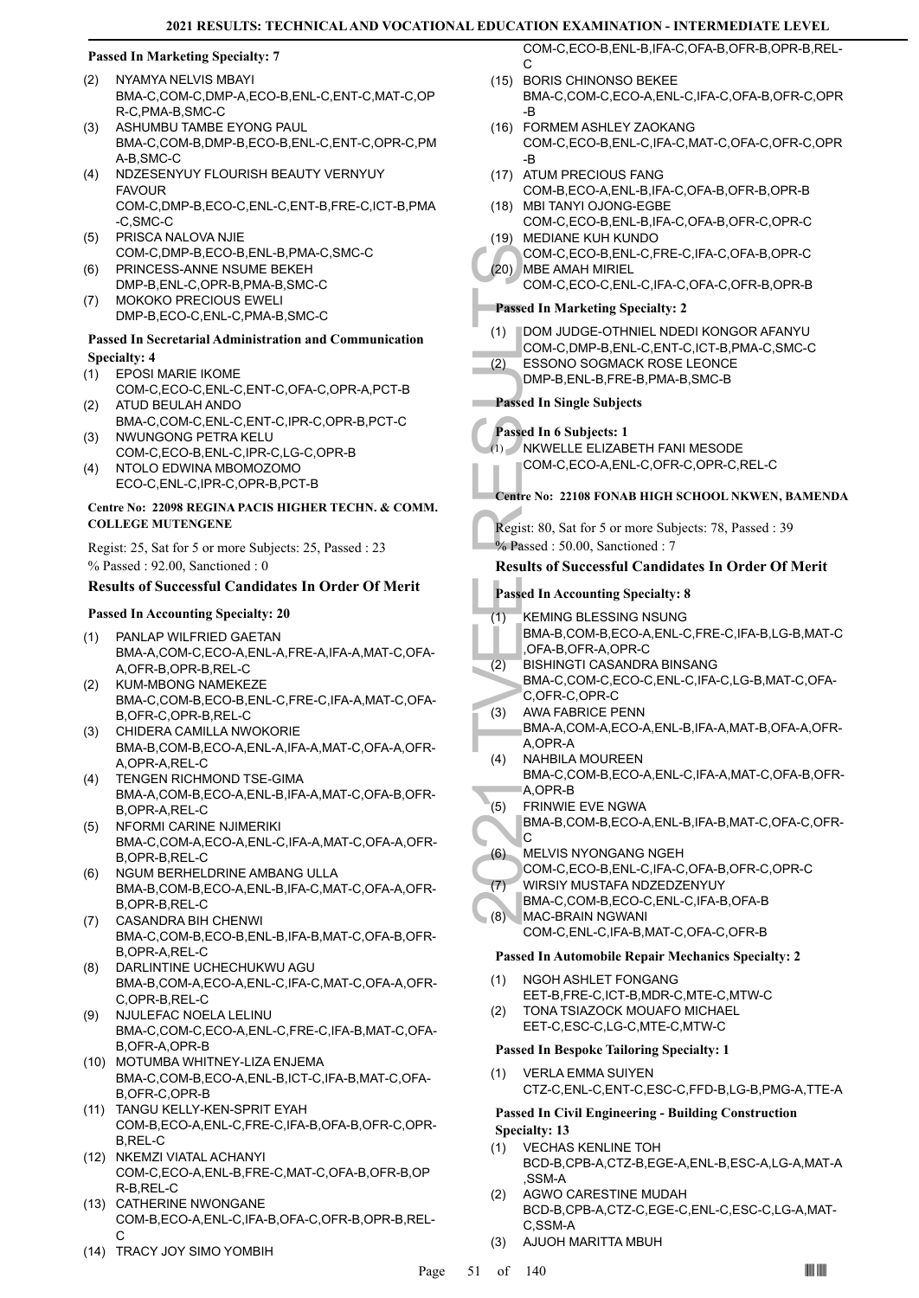# **Passed In Marketing Specialty: 7**

- NYAMYA NELVIS MBAYI BMA-C,COM-C,DMP-A,ECO-B,ENL-C,ENT-C,MAT-C,OP R-C,PMA-B,SMC-C (2)
- ASHUMBU TAMBE EYONG PAUL BMA-C,COM-B,DMP-B,ECO-B,ENL-C,ENT-C,OPR-C,PM A-B,SMC-C (3)
- (4) NDZESENYUY FLOURISH BEAUTY VERNYUY **FAVOUR** COM-C,DMP-B,ECO-C,ENL-C,ENT-B,FRE-C,ICT-B,PMA -C,SMC-C
- PRISCA NALOVA NJIE COM-C,DMP-B,ECO-B,ENL-B,PMA-C,SMC-C (5)
- PRINCESS-ANNE NSUME BEKEH DMP-B,ENL-C,OPR-B,PMA-B,SMC-C (6)
- MOKOKO PRECIOUS EWELI DMP-B,ECO-C,ENL-C,PMA-B,SMC-C (7)

### **Passed In Secretarial Administration and Communication Specialty: 4**

- EPOSI MARIE IKOME (1)
- COM-C,ECO-C,ENL-C,ENT-C,OFA-C,OPR-A,PCT-B ATUD BEULAH ANDO (2)
- BMA-C,COM-C,ENL-C,ENT-C,IPR-C,OPR-B,PCT-C NWUNGONG PETRA KELU (3)
- COM-C,ECO-B,ENL-C,IPR-C,LG-C,OPR-B NTOLO EDWINA MBOMOZOMO (4)
- ECO-C,ENL-C,IPR-C,OPR-B,PCT-B

# **Centre No: 22098 REGINA PACIS HIGHER TECHN. & COMM. COLLEGE MUTENGENE**

Regist: 25, Sat for 5 or more Subjects: 25, Passed : 23 % Passed : 92.00, Sanctioned : 0

# **Results of Successful Candidates In Order Of Merit**

# **Passed In Accounting Specialty: 20**

- PANLAP WILFRIED GAETAN BMA-A,COM-C,ECO-A,ENL-A,FRE-A,IFA-A,MAT-C,OFA-A,OFR-B,OPR-B,REL-C (1)
- KUM-MBONG NAMEKEZE BMA-C,COM-B,ECO-B,ENL-C,FRE-C,IFA-A,MAT-C,OFA-B,OFR-C,OPR-B,REL-C (2)
- (3) CHIDERA CAMILLA NWOKORIE BMA-B,COM-B,ECO-A,ENL-A,IFA-A,MAT-C,OFA-A,OFR-A,OPR-A,REL-C
- TENGEN RICHMOND TSE-GIMA BMA-A,COM-B,ECO-A,ENL-B,IFA-A,MAT-C,OFA-B,OFR-B,OPR-A,REL-C (4)
- NFORMI CARINE NJIMERIKI BMA-C,COM-A,ECO-A,ENL-C,IFA-A,MAT-C,OFA-A,OFR-B,OPR-B,REL-C (5)
- NGUM BERHELDRINE AMBANG ULLA BMA-B,COM-B,ECO-A,ENL-B,IFA-C,MAT-C,OFA-A,OFR-B,OPR-B,REL-C (6)
- CASANDRA BIH CHENWI BMA-C,COM-B,ECO-B,ENL-B,IFA-B,MAT-C,OFA-B,OFR-B,OPR-A,REL-C (7)
- DARLINTINE UCHECHUKWU AGU BMA-B,COM-A,ECO-A,ENL-C,IFA-C,MAT-C,OFA-A,OFR-C,OPR-B,REL-C (8)
- NJULEFAC NOELA LELINU BMA-C,COM-C,ECO-A,ENL-C,FRE-C,IFA-B,MAT-C,OFA-B,OFR-A,OPR-B (9)
- MOTUMBA WHITNEY-LIZA ENJEMA (10) BMA-C,COM-B,ECO-A,ENL-B,ICT-C,IFA-B,MAT-C,OFA-B,OFR-C,OPR-B
- (11) TANGU KELLY-KEN-SPRIT EYAH COM-B,ECO-A,ENL-C,FRE-C,IFA-B,OFA-B,OFR-C,OPR-B,REL-C
- (12) NKEMZI VIATAL ACHANYI COM-C,ECO-A,ENL-B,FRE-C,MAT-C,OFA-B,OFR-B,OP R-B,REL-C
- (13) CATHERINE NWONGANE COM-B,ECO-A,ENL-C,IFA-B,OFA-C,OFR-B,OPR-B,REL-C
- (14) TRACY JOY SIMO YOMBIH

COM-C,ECO-B,ENL-B,IFA-C,OFA-B,OFR-B,OPR-B,REL-C

- (15) BORIS CHINONSO BEKEE BMA-C,COM-C,ECO-A,ENL-C,IFA-C,OFA-B,OFR-C,OPR -B
- FORMEM ASHLEY ZAOKANG (16) COM-C,ECO-B,ENL-C,IFA-C,MAT-C,OFA-C,OFR-C,OPR -B
- (17) ATUM PRECIOUS FANG
- COM-B,ECO-A,ENL-B,IFA-C,OFA-B,OFR-B,OPR-B MBI TANYI OJONG-EGBE (18)
- COM-C,ECO-B,ENL-B,IFA-C,OFA-B,OFR-C,OPR-C (19) MEDIANE KUH KUNDO
- COM-C,ECO-B,ENL-C,FRE-C,IFA-C,OFA-B,OPR-C MBE AMAH MIRIEL (20)
- COM-C,ECO-C,ENL-C,IFA-C,OFA-C,OFR-B,OPR-B

# **Passed In Marketing Specialty: 2**

- DOM JUDGE-OTHNIEL NDEDI KONGOR AFANYU (1)
- COM-C,DMP-B,ENL-C,ENT-C,ICT-B,PMA-C,SMC-C
- ESSONO SOGMACK ROSE LEONCE (2)

# DMP-B,ENL-B,FRE-B,PMA-B,SMC-B

# **Passed In Single Subjects**

# **Passed In 6 Subjects: 1**

- NKWELLE ELIZABETH FANI MESODE (1)
	- COM-C,ECO-A,ENL-C,OFR-C,OPR-C,REL-C

# **Centre No: 22108 FONAB HIGH SCHOOL NKWEN, BAMENDA**

Regist: 80, Sat for 5 or more Subjects: 78, Passed : 39  $%$  Passed : 50.00, Sanctioned : 7

# **Results of Successful Candidates In Order Of Merit**

# **Passed In Accounting Specialty: 8**

- KEMING BLESSING NSUNG BMA-B,COM-B,ECO-A,ENL-C,FRE-C,IFA-B,LG-B,MAT-C (1)
- ,OFA-B,OFR-A,OPR-C
- COM-C,<br>
(20) MBE AN<br>
COM-C,<br>
MBE AN<br>
COM-C,<br>
(2) ESSON<br>
DMP-B,<br>
Passed In Sin<br>
COM-C,<br>
ESSON<br>
DMP-B,<br>
Passed In Sin<br>
COM-C,<br>
COM-C,<br>
Centre No: 2:<br>
Regist: 80, S,<br>
& Passed is 5<br>
Results of S<br>
Passed In Ac<br>
(1) KEMINC BMA-BISHINGTI CASANDRA BINSANG BMA-C,COM-C,ECO-C,ENL-C,IFA-C,LG-B,MAT-C,OFA-C,OFR-C,OPR-C (2)
	- AWA FABRICE PENN BMA-A,COM-A,ECO-A,ENL-B,IFA-A,MAT-B,OFA-A,OFR-(3)
	- A,OPR-A NAHBILA MOUREEN (4)
	- BMA-C,COM-B,ECO-A,ENL-C,IFA-A,MAT-C,OFA-B,OFR-A,OPR-B
	- FRINWIE EVE NGWA (5)
	- BMA-B,COM-B,ECO-A,ENL-B,IFA-B,MAT-C,OFA-C,OFR- $\overline{C}$

#### MELVIS NYONGANG NGEH (6)

- COM-C,ECO-B,ENL-C,IFA-C,OFA-B,OFR-C,OPR-C
- WIRSIY MUSTAFA NDZEDZENYUY (7)
- BMA-C,COM-B,ECO-C,ENL-C,IFA-B,OFA-B
- MAC-BRAIN NGWANI COM-C,ENL-C,IFA-B,MAT-C,OFA-C,OFR-B  $(8)$

# **Passed In Automobile Repair Mechanics Specialty: 2**

- NGOH ASHLET FONGANG EET-B,FRE-C,ICT-B,MDR-C,MTE-C,MTW-C (1)
- TONA TSIAZOCK MOUAFO MICHAEL EET-C,ESC-C,LG-C,MTE-C,MTW-C (2)

# **Passed In Bespoke Tailoring Specialty: 1**

VERLA EMMA SUIYEN CTZ-C,ENL-C,ENT-C,ESC-C,FFD-B,LG-B,PMG-A,TTE-A (1)

# **Passed In Civil Engineering - Building Construction Specialty: 13**

- VECHAS KENLINE TOH BCD-B,CPB-A,CTZ-B,EGE-A,ENL-B,ESC-A,LG-A,MAT-A ,SSM-A (1)
- AGWO CARESTINE MUDAH BCD-B,CPB-A,CTZ-C,EGE-C,ENL-C,ESC-C,LG-A,MAT-C,SSM-A (2)
- (3) AJUOH MARITTA MBUH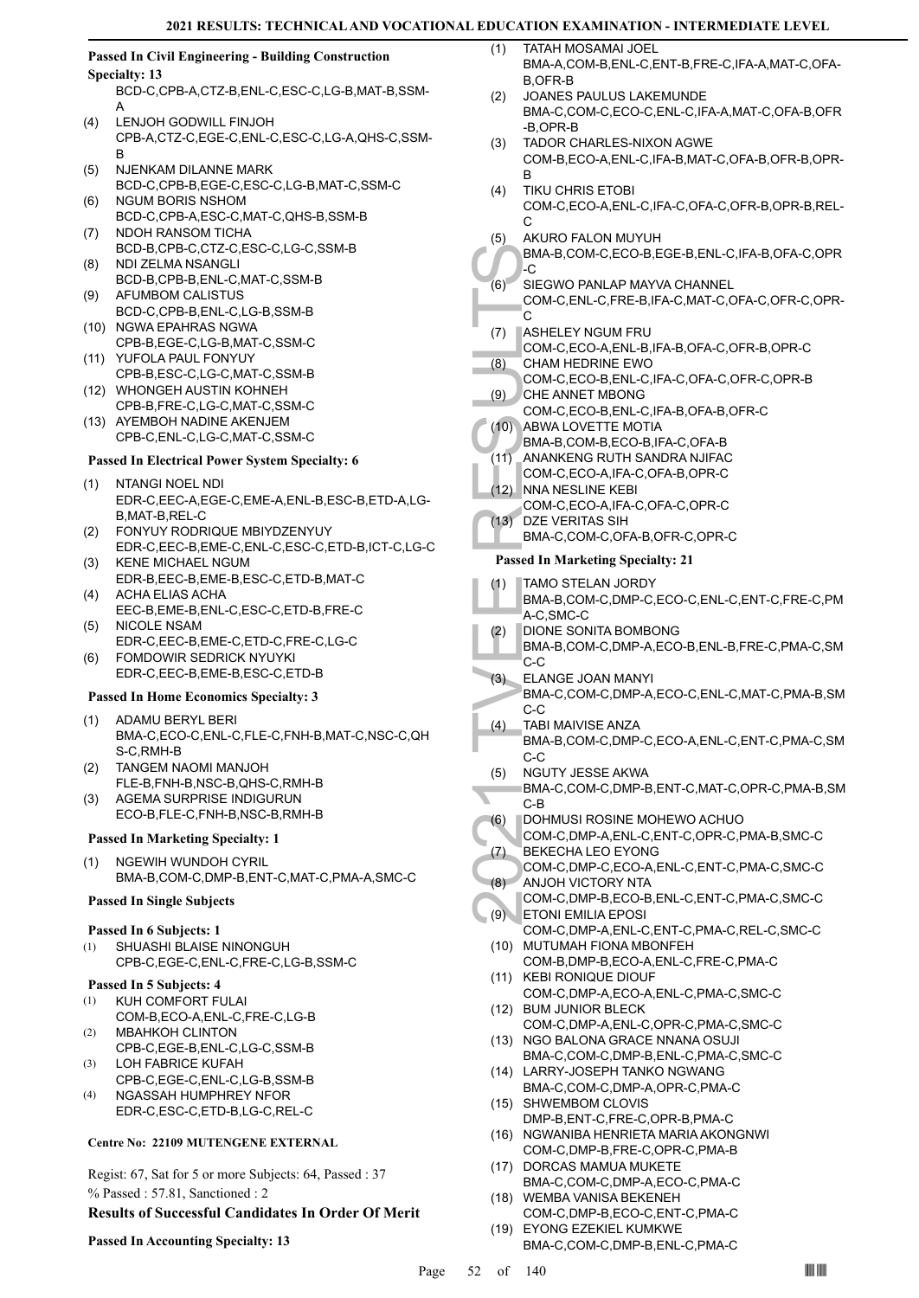#### **Passed In Civil Engineering - Building Construction Specialty: 13**

BCD-C,CPB-A,CTZ-B,ENL-C,ESC-C,LG-B,MAT-B,SSM-A

- LENJOH GODWILL FINJOH CPB-A,CTZ-C,EGE-C,ENL-C,ESC-C,LG-A,QHS-C,SSM-B (4)
- NJENKAM DILANNE MARK BCD-C,CPB-B,EGE-C,ESC-C,LG-B,MAT-C,SSM-C (5)
- NGUM BORIS NSHOM BCD-C,CPB-A,ESC-C,MAT-C,QHS-B,SSM-B (6)
- NDOH RANSOM TICHA BCD-B,CPB-C,CTZ-C,ESC-C,LG-C,SSM-B (7)
- NDI ZELMA NSANGLI BCD-B,CPB-B,ENL-C,MAT-C,SSM-B (8)
- AFUMBOM CALISTUS BCD-C,CPB-B,ENL-C,LG-B,SSM-B (9)
- (10) NGWA EPAHRAS NGWA CPB-B,EGE-C,LG-B,MAT-C,SSM-C
- (11) YUFOLA PAUL FONYUY CPB-B,ESC-C,LG-C,MAT-C,SSM-B
- WHONGEH AUSTIN KOHNEH (12) CPB-B,FRE-C,LG-C,MAT-C,SSM-C
- (13) AYEMBOH NADINE AKENJEM CPB-C,ENL-C,LG-C,MAT-C,SSM-C

# **Passed In Electrical Power System Specialty: 6**

#### NTANGI NOEL NDI EDR-C,EEC-A,EGE-C,EME-A,ENL-B,ESC-B,ETD-A,LG-B,MAT-B,REL-C (1)

- FONYUY RODRIQUE MBIYDZENYUY (2)
- EDR-C,EEC-B,EME-C,ENL-C,ESC-C,ETD-B,ICT-C,LG-C KENE MICHAEL NGUM (3)
- EDR-B,EEC-B,EME-B,ESC-C,ETD-B,MAT-C ACHA ELIAS ACHA (4)
- EEC-B,EME-B,ENL-C,ESC-C,ETD-B,FRE-C NICOLE NSAM (5)
- EDR-C,EEC-B,EME-C,ETD-C,FRE-C,LG-C FOMDOWIR SEDRICK NYUYKI (6)
- EDR-C,EEC-B,EME-B,ESC-C,ETD-B

# **Passed In Home Economics Specialty: 3**

- ADAMU BERYL BERI BMA-C,ECO-C,ENL-C,FLE-C,FNH-B,MAT-C,NSC-C,QH S-C,RMH-B (1)
- TANGEM NAOMI MANJOH FLE-B,FNH-B,NSC-B,QHS-C,RMH-B (2)
- AGEMA SURPRISE INDIGURUN ECO-B,FLE-C,FNH-B,NSC-B,RMH-B (3)

# **Passed In Marketing Specialty: 1**

NGEWIH WUNDOH CYRIL BMA-B,COM-C,DMP-B,ENT-C,MAT-C,PMA-A,SMC-C (1)

# **Passed In Single Subjects**

# **Passed In 6 Subjects: 1**

SHUASHI BLAISE NINONGUH CPB-C,EGE-C,ENL-C,FRE-C,LG-B,SSM-C (1)

# **Passed In 5 Subjects: 4**

- KUH COMFORT FULAI COM-B,ECO-A,ENL-C,FRE-C,LG-B (1)
- MBAHKOH CLINTON CPB-C,EGE-B,ENL-C,LG-C,SSM-B (2)
- LOH FABRICE KUFAH CPB-C,EGE-C,ENL-C,LG-B,SSM-B (3)
- NGASSAH HUMPHREY NFOR EDR-C,ESC-C,ETD-B,LG-C,REL-C (4)

# **Centre No: 22109 MUTENGENE EXTERNAL**

Regist: 67, Sat for 5 or more Subjects: 64, Passed : 37 % Passed : 57.81, Sanctioned : 2

# **Results of Successful Candidates In Order Of Merit**

# **Passed In Accounting Specialty: 13**

- TATAH MOSAMAI JOEL BMA-A,COM-B,ENL-C,ENT-B,FRE-C,IFA-A,MAT-C,OFA-B,OFR-B  $(1)$
- JOANES PAULUS LAKEMUNDE BMA-C,COM-C,ECO-C,ENL-C,IFA-A,MAT-C,OFA-B,OFR -B,OPR-B  $(2)$
- TADOR CHARLES-NIXON AGWE COM-B,ECO-A,ENL-C,IFA-B,MAT-C,OFA-B,OFR-B,OPR-B (3)
- TIKU CHRIS ETOBI COM-C,ECO-A,ENL-C,IFA-C,OFA-C,OFR-B,OPR-B,REL-C (4)
- AKURO FALON MUYUH (5)

#### BMA-B,COM-C,ECO-B,EGE-B,ENL-C,IFA-B,OFA-C,OPR -C

- SIEGWO PANLAP MAYVA CHANNEL (6)
- COM-C,ENL-C,FRE-B,IFA-C,MAT-C,OFA-C,OFR-C,OPR- $\overline{C}$
- **ASHELEY NGUM FRU** (7)
- COM-C,ECO-A,ENL-B,IFA-B,OFA-C,OFR-B,OPR-C CHAM HEDRINE EWO (8)
	- COM-C,ECO-B,ENL-C,IFA-C,OFA-C,OFR-C,OPR-B CHE ANNET MBONG
- COM-C,ECO-B,ENL-C,IFA-B,OFA-B,OFR-C (9)
- ABWA LOVETTE MOTIA  $(10)$ 
	- BMA-B,COM-B,ECO-B,IFA-C,OFA-B
	- ANANKENG RUTH SANDRA NJIFAC  $(11)$
	- COM-C,ECO-A,IFA-C,OFA-B,OPR-C
- NNA NESLINE KEBI COM-C,ECO-A,IFA-C,OFA-C,OPR-C  $(12)$
- DZE VERITAS SIH (13)
	- BMA-C,COM-C,OFA-B,OFR-C,OPR-C

# **Passed In Marketing Specialty: 21**

TAMO STELAN JORDY (1)

| BMA-B,COM-C,DMP-C,ECO-C,ENL-C,ENT-C,FRE-C,PM |
|----------------------------------------------|
| 'A-C.SMC-C                                   |

- DIONE SONITA BOMBONG (2)
- BMA-B,COM-C,DMP-A,ECO-B,ENL-B,FRE-C,PMA-C,SM C-C
- BMA-B,<br>
C (6) SIEGW COM-C,<br>
C SIEGW COM-C,<br>
C ASHELL COM-C,<br>
C ASHELL COM-C,<br>
C (8) CHAM P COM-C,<br>
C CHAM COM-C,<br>
C C C C MANANK COM-C,<br>
(11) ANANK COM-C,<br>
(12) NNA NE COM-C,<br>
Passed In M<br>
(1) TAMO S BMA-B,<br>
(2) DIONE:<br>
BM ELANGE JOAN MANYI BMA-C,COM-C,DMP-A,ECO-C,ENL-C,MAT-C,PMA-B,SM C-C (3)
	- TABI MAIVISE ANZA (4)
		- BMA-B,COM-C,DMP-C,ECO-A,ENL-C,ENT-C,PMA-C,SM C-C
	- NGUTY JESSE AKWA (5)
	- BMA-C,COM-C,DMP-B,ENT-C,MAT-C,OPR-C,PMA-B,SM C-B
- DOHMUSI ROSINE MOHEWO ACHUO COM-C,DMP-A,ENL-C,ENT-C,OPR-C,PMA-B,SMC-C (6)
- BEKECHA LEO EYONG  $(7)$
- COM-C,DMP-C,ECO-A,ENL-C,ENT-C,PMA-C,SMC-C
- ANJOH VICTORY NTA (8)
- COM-C,DMP-B,ECO-B,ENL-C,ENT-C,PMA-C,SMC-C ETONI EMILIA EPOSI (9)
	- COM-C,DMP-A,ENL-C,ENT-C,PMA-C,REL-C,SMC-C (10) MUTUMAH FIONA MBONFEH
	- COM-B,DMP-B,ECO-A,ENL-C,FRE-C,PMA-C (11) KEBI RONIQUE DIOUF
- COM-C,DMP-A,ECO-A,ENL-C,PMA-C,SMC-C BUM JUNIOR BLECK (12)
- COM-C,DMP-A,ENL-C,OPR-C,PMA-C,SMC-C (13) NGO BALONA GRACE NNANA OSUJI
- BMA-C,COM-C,DMP-B,ENL-C,PMA-C,SMC-C (14) LARRY-JOSEPH TANKO NGWANG
- BMA-C,COM-C,DMP-A,OPR-C,PMA-C (15) SHWEMBOM CLOVIS
- DMP-B,ENT-C,FRE-C,OPR-B,PMA-C (16) NGWANIBA HENRIETA MARIA AKONGNWI
- COM-C,DMP-B,FRE-C,OPR-C,PMA-B
- (17) DORCAS MAMUA MUKETE BMA-C,COM-C,DMP-A,ECO-C,PMA-C
- (18) WEMBA VANISA BEKENEH COM-C,DMP-B,ECO-C,ENT-C,PMA-C EYONG EZEKIEL KUMKWE (19)
	- BMA-C,COM-C,DMP-B,ENL-C,PMA-C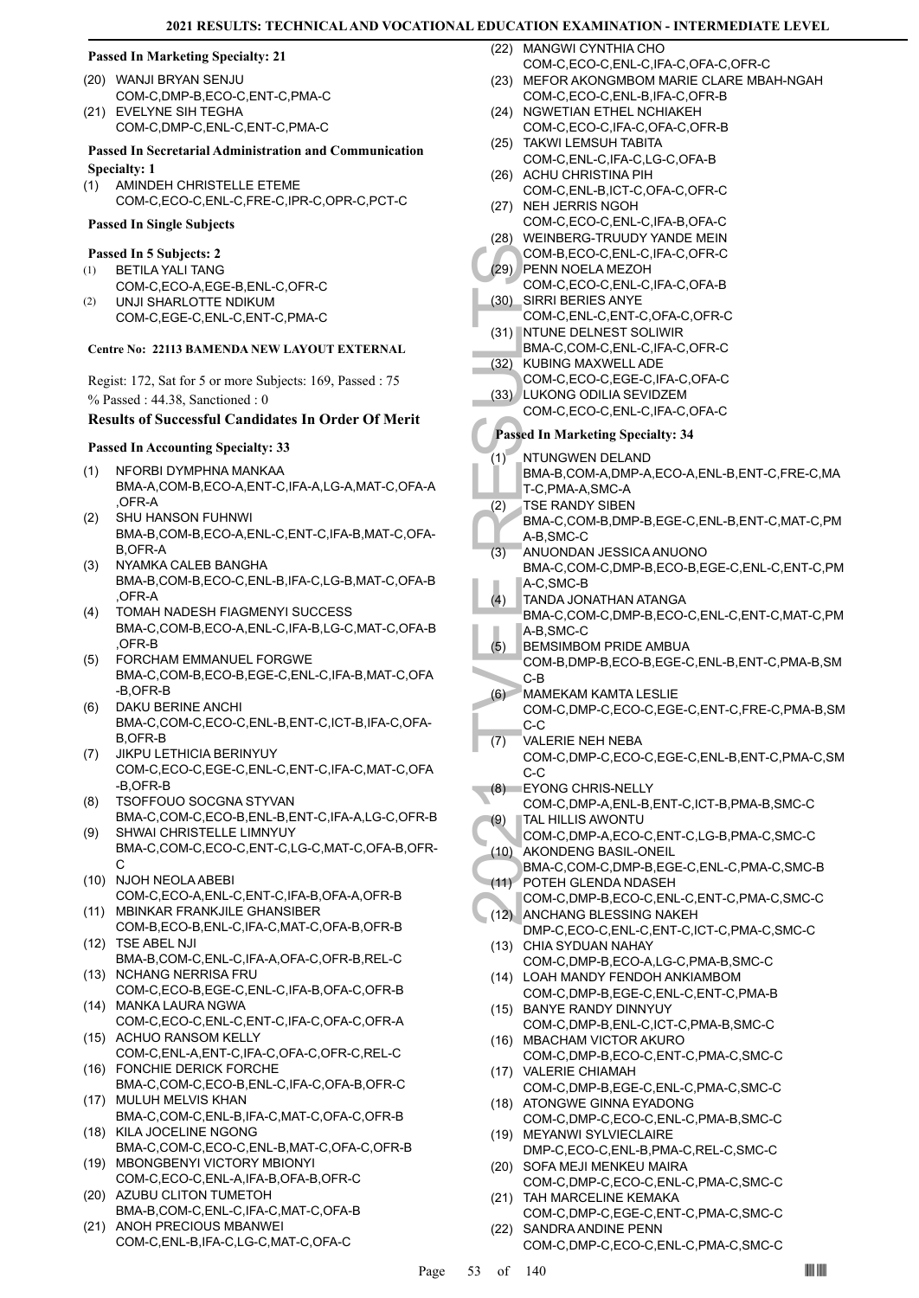#### **Passed In Marketing Specialty: 21**

- WANJI BRYAN SENJU (20) COM-C,DMP-B,ECO-C,ENT-C,PMA-C EVELYNE SIH TEGHA (21)
- COM-C,DMP-C,ENL-C,ENT-C,PMA-C

# **Passed In Secretarial Administration and Communication**

- **Specialty: 1**
- AMINDEH CHRISTELLE ETEME COM-C,ECO-C,ENL-C,FRE-C,IPR-C,OPR-C,PCT-C (1)

### **Passed In Single Subjects**

#### **Passed In 5 Subjects: 2**

- BETILA YALI TANG COM-C,ECO-A,EGE-B,ENL-C,OFR-C (1)
- UNJI SHARLOTTE NDIKUM COM-C,EGE-C,ENL-C,ENT-C,PMA-C (2)

#### **Centre No: 22113 BAMENDA NEW LAYOUT EXTERNAL**

Regist: 172, Sat for 5 or more Subjects: 169, Passed : 75 % Passed : 44.38, Sanctioned : 0

#### **Results of Successful Candidates In Order Of Merit**

#### **Passed In Accounting Specialty: 33**

- NFORBI DYMPHNA MANKAA BMA-A,COM-B,ECO-A,ENT-C,IFA-A,LG-A,MAT-C,OFA-A ,OFR-A (1)
- SHU HANSON FUHNWI BMA-B,COM-B,ECO-A,ENL-C,ENT-C,IFA-B,MAT-C,OFA-B,OFR-A (2)
- NYAMKA CALEB BANGHA BMA-B,COM-B,ECO-C,ENL-B,IFA-C,LG-B,MAT-C,OFA-B ,OFR-A (3)
- TOMAH NADESH FIAGMENYI SUCCESS BMA-C,COM-B,ECO-A,ENL-C,IFA-B,LG-C,MAT-C,OFA-B ,OFR-B (4)
- FORCHAM EMMANUEL FORGWE (5) BMA-C,COM-B,ECO-B,EGE-C,ENL-C,IFA-B,MAT-C,OFA -B,OFR-B
- DAKU BERINE ANCHI BMA-C,COM-C,ECO-C,ENL-B,ENT-C,ICT-B,IFA-C,OFA-B,OFR-B (6)
- JIKPU LETHICIA BERINYUY COM-C,ECO-C,EGE-C,ENL-C,ENT-C,IFA-C,MAT-C,OFA -B,OFR-B (7)
- TSOFFOUO SOCGNA STYVAN BMA-C,COM-C,ECO-B,ENL-B,ENT-C,IFA-A,LG-C,OFR-B (8)
- SHWAI CHRISTELLE LIMNYUY BMA-C,COM-C,ECO-C,ENT-C,LG-C,MAT-C,OFA-B,OFR-C (9)
- (10) NJOH NEOLA ABEBI COM-C,ECO-A,ENL-C,ENT-C,IFA-B,OFA-A,OFR-B
- MBINKAR FRANKJILE GHANSIBER (11) COM-B,ECO-B,ENL-C,IFA-C,MAT-C,OFA-B,OFR-B (12) TSE ABEL NJI
- BMA-B,COM-C,ENL-C,IFA-A,OFA-C,OFR-B,REL-C (13) NCHANG NERRISA FRU
- COM-C,ECO-B,EGE-C,ENL-C,IFA-B,OFA-C,OFR-B MANKA LAURA NGWA (14)
- COM-C,ECO-C,ENL-C,ENT-C,IFA-C,OFA-C,OFR-A (15) ACHUO RANSOM KELLY
- COM-C,ENL-A,ENT-C,IFA-C,OFA-C,OFR-C,REL-C FONCHIE DERICK FORCHE (16)
- BMA-C,COM-C,ECO-B,ENL-C,IFA-C,OFA-B,OFR-C MULUH MELVIS KHAN (17)
- BMA-C,COM-C,ENL-B,IFA-C,MAT-C,OFA-C,OFR-B (18) KILA JOCELINE NGONG
- BMA-C,COM-C,ECO-C,ENL-B,MAT-C,OFA-C,OFR-B MBONGBENYI VICTORY MBIONYI (19)
- COM-C,ECO-C,ENL-A,IFA-B,OFA-B,OFR-C AZUBU CLITON TUMETOH (20)
- BMA-B,COM-C,ENL-C,IFA-C,MAT-C,OFA-B
- (21) ANOH PRECIOUS MBANWEI COM-C,ENL-B,IFA-C,LG-C,MAT-C,OFA-C

(22) MANGWI CYNTHIA CHO COM-C,ECO-C,ENL-C,IFA-C,OFA-C,OFR-C

- MEFOR AKONGMBOM MARIE CLARE MBAH-NGAH (23) COM-C, ECO-C, ENL-B, IFA-C, OFR-B
- (24) NGWETIAN ETHEL NCHIAKEH COM-C,ECO-C,IFA-C,OFA-C,OFR-B
- TAKWI LEMSUH TABITA (25) COM-C,ENL-C,IFA-C,LG-C,OFA-B
- (26) ACHU CHRISTINA PIH COM-C,ENL-B,ICT-C,OFA-C,OFR-C
- (27) NEH JERRIS NGOH COM-C,ECO-C,ENL-C,IFA-B,OFA-C
- (28) WEINBERG-TRUUDY YANDE MEIN
- COM-B,ECO-C,ENL-C,IFA-C,OFR-C PENN NOELA MEZOH (29)
- COM-C,ECO-C,ENL-C,IFA-C,OFA-B
- SIRRI BERIES ANYE COM-C,ENL-C,ENT-C,OFA-C,OFR-C (30)
- (31) NTUNE DELNEST SOLIWIR BMA-C,COM-C,ENL-C,IFA-C,OFR-C
- KUBING MAXWELL ADE COM-C,ECO-C,EGE-C,IFA-C,OFA-C (32)
- LUKONG ODILIA SEVIDZEM (33)

COM-C,ECO-C,ENL-C,IFA-C,OFA-C

# **Passed In Marketing Specialty: 34**

- NTUNGWEN DELAND BMA-B,COM-A,DMP-A,ECO-A,ENL-B,ENT-C,FRE-C,MA T-C,PMA-A,SMC-A (1)
- TSE RANDY SIBEN (2)
- BMA-C,COM-B,DMP-B,EGE-C,ENL-B,ENT-C,MAT-C,PM A-B,SMC-C
- ANUONDAN JESSICA ANUONO BMA-C,COM-C,DMP-B,ECO-B,EGE-C,ENL-C,ENT-C,PM A-C,SMC-B (3)
- TANDA JONATHAN ATANGA  $(4)$
- BMA-C,COM-C,DMP-B,ECO-C,ENL-C,ENT-C,MAT-C,PM A-B,SMC-C
- BEMSIMBOM PRIDE AMBUA (5)
- COM-B,DMP-B,ECO-B,EGE-C,ENL-B,ENT-C,PMA-B,SM C-B
- MAMEKAM KAMTA LESLIE COM-C,DMP-C,ECO-C,EGE-C,ENT-C,FRE-C,PMA-B,SM  $(6)$
- COM-B,<br>
(29) PENN NCOM-C,<br>
(30) SIRRI B<br>
COM-C,<br>
(31) NTUNE BMA-C,<br>
(32) KUBINC<br>
COM-C,<br>
(33) LUKON<br>
COM-C,<br>
(33) LUKON<br>
COM-C,<br>
Passed In M<br>
TIC, PMA-B,<br>
T-C, PMA-B,<br>
T-C, PMA-C,<br>
A-B, SM<br>
ANUON BMA-C,<br>
(4) TANDA BMA-C,<br> C-C VALERIE NEH NEBA COM-C,DMP-C,ECO-C,EGE-C,ENL-B,ENT-C,PMA-C,SM C-C (7)
- EYONG CHRIS-NELLY COM-C,DMP-A,ENL-B,ENT-C,ICT-B,PMA-B,SMC-C  $(8)$
- TAL HILLIS AWONTU (9)
- COM-C,DMP-A,ECO-C,ENT-C,LG-B,PMA-C,SMC-C (10) AKONDENG BASIL-ONEIL
- BMA-C,COM-C,DMP-B,EGE-C,ENL-C,PMA-C,SMC-B POTEH GLENDA NDASEH (11)
- COM-C,DMP-B,ECO-C,ENL-C,ENT-C,PMA-C,SMC-C
- (12) ANCHANG BLESSING NAKEH DMP-C,ECO-C,ENL-C,ENT-C,ICT-C,PMA-C,SMC-C
- (13) CHIA SYDUAN NAHAY COM-C,DMP-B,ECO-A,LG-C,PMA-B,SMC-C (14) LOAH MANDY FENDOH ANKIAMBOM
- COM-C,DMP-B,EGE-C,ENL-C,ENT-C,PMA-B (15) BANYE RANDY DINNYUY
- COM-C,DMP-B,ENL-C,ICT-C,PMA-B,SMC-C
- (16) MBACHAM VICTOR AKURO COM-C,DMP-B,ECO-C,ENT-C,PMA-C,SMC-C (17) VALERIE CHIAMAH
- COM-C,DMP-B,EGE-C,ENL-C,PMA-C,SMC-C (18) ATONGWE GINNA EYADONG
- COM-C,DMP-C,ECO-C,ENL-C,PMA-B,SMC-C (19) MEYANWI SYLVIECLAIRE
- DMP-C,ECO-C,ENL-B,PMA-C,REL-C,SMC-C (20) SOFA MEJI MENKEU MAIRA
- COM-C,DMP-C,ECO-C,ENL-C,PMA-C,SMC-C (21) TAH MARCELINE KEMAKA
- COM-C,DMP-C,EGE-C,ENT-C,PMA-C,SMC-C (22) SANDRA ANDINE PENN
	- COM-C,DMP-C,ECO-C,ENL-C,PMA-C,SMC-C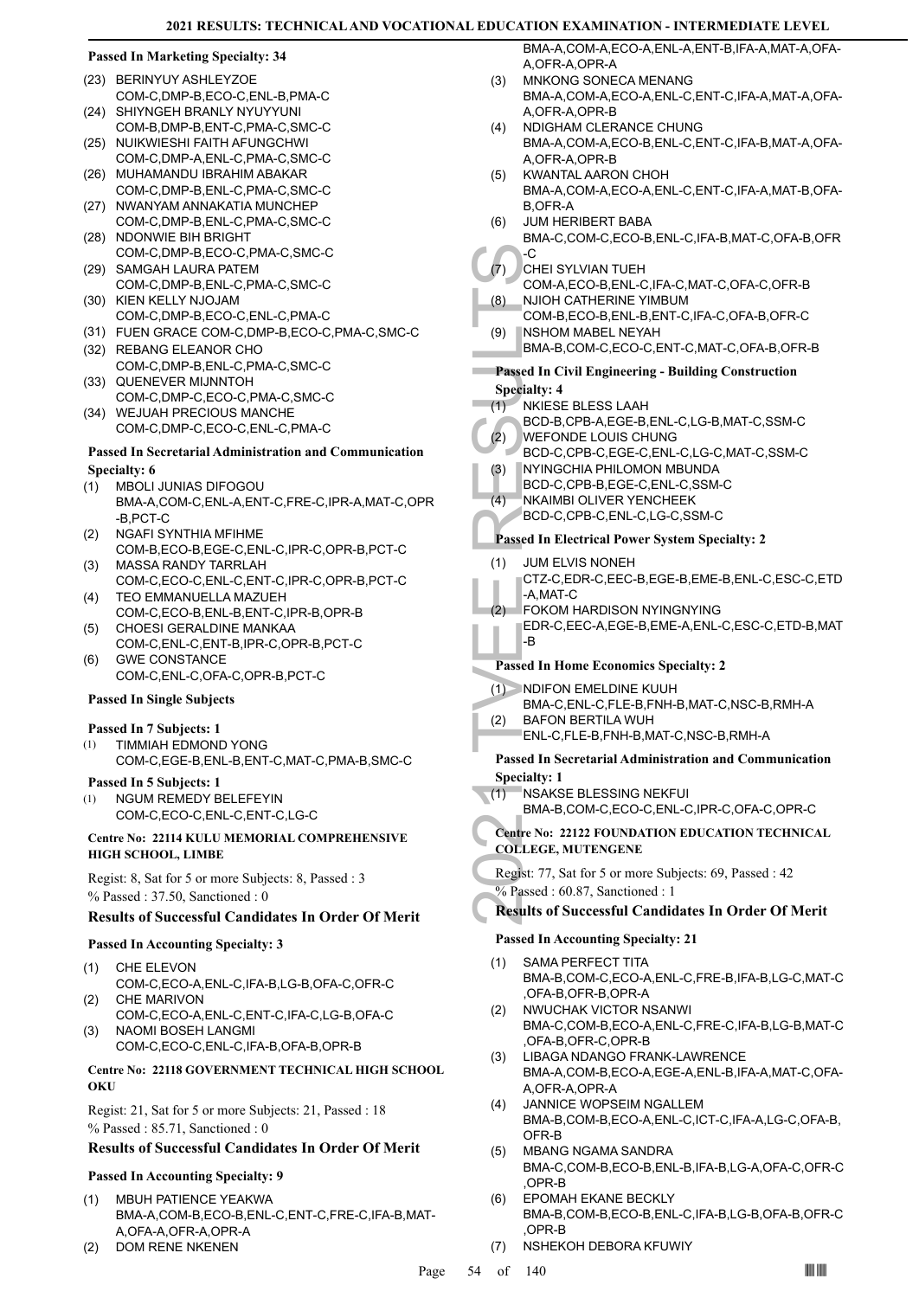| <b>Passed In Marketing Specialty: 34</b>                  |                                                                         | BMA-A,COM-A,ECO-A,ENL-A,ENT-B,IFA-A,MAT-A,OFA-<br>A, OFR-A, OPR-A |
|-----------------------------------------------------------|-------------------------------------------------------------------------|-------------------------------------------------------------------|
|                                                           | (23) BERINYUY ASHLEYZOE                                                 | MNKONG SONECA MENANG<br>(3)                                       |
|                                                           | COM-C,DMP-B,ECO-C,ENL-B,PMA-C                                           | BMA-A,COM-A,ECO-A,ENL-C,ENT-C,IFA-A,MAT-A,OFA-                    |
|                                                           | (24) SHIYNGEH BRANLY NYUYYUNI                                           | A, OFR-A, OPR-B                                                   |
|                                                           | COM-B, DMP-B, ENT-C, PMA-C, SMC-C                                       | NDIGHAM CLERANCE CHUNG<br>(4)                                     |
|                                                           | (25) NUIKWIESHI FAITH AFUNGCHWI                                         | BMA-A,COM-A,ECO-B,ENL-C,ENT-C,IFA-B,MAT-A,OFA-                    |
|                                                           | COM-C, DMP-A, ENL-C, PMA-C, SMC-C                                       | A, OFR-A, OPR-B                                                   |
|                                                           | (26) MUHAMANDU IBRAHIM ABAKAR                                           | KWANTAL AARON CHOH<br>(5)                                         |
|                                                           | COM-C,DMP-B,ENL-C,PMA-C,SMC-C                                           | BMA-A,COM-A,ECO-A,ENL-C,ENT-C,IFA-A,MAT-B,OFA-                    |
|                                                           | (27) NWANYAM ANNAKATIA MUNCHEP                                          | <b>B,OFR-A</b>                                                    |
|                                                           | COM-C,DMP-B,ENL-C,PMA-C,SMC-C                                           | <b>JUM HERIBERT BABA</b><br>(6)                                   |
|                                                           | (28) NDONWIE BIH BRIGHT                                                 | BMA-C,COM-C,ECO-B,ENL-C,IFA-B,MAT-C,OFA-B,OFR                     |
|                                                           | COM-C,DMP-B,ECO-C,PMA-C,SMC-C                                           | -C<br>(7)                                                         |
|                                                           | (29) SAMGAH LAURA PATEM<br>COM-C,DMP-B,ENL-C,PMA-C,SMC-C                | CHEI SYLVIAN TUEH<br>COM-A,ECO-B,ENL-C,IFA-C,MAT-C,OFA-C,OFR-B    |
|                                                           | (30) KIEN KELLY NJOJAM                                                  | NJIOH CATHERINE YIMBUM<br>(8)                                     |
|                                                           | COM-C, DMP-B, ECO-C, ENL-C, PMA-C                                       | COM-B,ECO-B,ENL-B,ENT-C,IFA-C,OFA-B,OFR-C                         |
|                                                           | (31) FUEN GRACE COM-C, DMP-B, ECO-C, PMA-C, SMC-C                       | <b>NSHOM MABEL NEYAH</b><br>(9)                                   |
|                                                           | (32) REBANG ELEANOR CHO                                                 | BMA-B,COM-C,ECO-C,ENT-C,MAT-C,OFA-B,OFR-B                         |
|                                                           | COM-C,DMP-B,ENL-C,PMA-C,SMC-C                                           |                                                                   |
|                                                           | (33) QUENEVER MIJNNTOH                                                  | <b>Passed In Civil Engineering - Building Construction</b>        |
|                                                           | COM-C,DMP-C,ECO-C,PMA-C,SMC-C                                           | <b>Specialty: 4</b>                                               |
|                                                           | (34) WEJUAH PRECIOUS MANCHE                                             | (1)<br>NKIESE BLESS LAAH                                          |
|                                                           | COM-C,DMP-C,ECO-C,ENL-C,PMA-C                                           | BCD-B,CPB-A,EGE-B,ENL-C,LG-B,MAT-C,SSM-C                          |
|                                                           |                                                                         | (2)<br>WEFONDE LOUIS CHUNG                                        |
|                                                           | Passed In Secretarial Administration and Communication                  | BCD-C,CPB-C,EGE-C,ENL-C,LG-C,MAT-C,SSM-C                          |
|                                                           | <b>Specialty: 6</b>                                                     | NYINGCHIA PHILOMON MBUNDA<br>(3)                                  |
| (1)                                                       | <b>MBOLI JUNIAS DIFOGOU</b>                                             | BCD-C,CPB-B,EGE-C,ENL-C,SSM-C                                     |
|                                                           | BMA-A,COM-C,ENL-A,ENT-C,FRE-C,IPR-A,MAT-C,OPR                           | (4)<br>NKAIMBI OLIVER YENCHEEK<br>BCD-C,CPB-C,ENL-C,LG-C,SSM-C    |
|                                                           | -B,PCT-C                                                                |                                                                   |
| (2)                                                       | NGAFI SYNTHIA MFIHME                                                    | <b>Passed In Electrical Power System Specialty: 2</b>             |
|                                                           | COM-B,ECO-B,EGE-C,ENL-C,IPR-C,OPR-B,PCT-C<br><b>MASSA RANDY TARRLAH</b> | (1)<br>JUM ELVIS NONEH                                            |
| (3)                                                       | COM-C,ECO-C,ENL-C,ENT-C,IPR-C,OPR-B,PCT-C                               | CTZ-C,EDR-C,EEC-B,EGE-B,EME-B,ENL-C,ESC-C,ETD                     |
| (4)                                                       | TEO EMMANUELLA MAZUEH                                                   | -A,MAT-C                                                          |
|                                                           | COM-C,ECO-B,ENL-B,ENT-C,IPR-B,OPR-B                                     | (2) FOKOM HARDISON NYINGNYING                                     |
| (5)                                                       | CHOESI GERALDINE MANKAA                                                 | EDR-C,EEC-A,EGE-B,EME-A,ENL-C,ESC-C,ETD-B,MAT                     |
|                                                           | COM-C,ENL-C,ENT-B,IPR-C,OPR-B,PCT-C                                     | -B                                                                |
| (6)                                                       | <b>GWE CONSTANCE</b>                                                    |                                                                   |
|                                                           | COM-C, ENL-C, OFA-C, OPR-B, PCT-C                                       | <b>Passed In Home Economics Specialty: 2</b>                      |
|                                                           |                                                                         | $(1)$ NDIFON EMELDINE KUUH                                        |
|                                                           | <b>Passed In Single Subjects</b>                                        | BMA-C, ENL-C, FLE-B, FNH-B, MAT-C, NSC-B, RMH-A                   |
|                                                           | Passed In 7 Subjects: 1                                                 | <b>BAFON BERTILA WUH</b><br>(2)                                   |
| (1)                                                       | <b>TIMMIAH EDMOND YONG</b>                                              | ENL-C,FLE-B,FNH-B,MAT-C,NSC-B,RMH-A                               |
|                                                           | COM-C,EGE-B,ENL-B,ENT-C,MAT-C,PMA-B,SMC-C                               | <b>Passed In Secretarial Administration and Communication</b>     |
|                                                           | Passed In 5 Subjects: 1                                                 | <b>Specialty: 1</b>                                               |
| (1)                                                       | NGUM REMEDY BELEFEYIN                                                   | NSAKSE BLESSING NEKFUI<br>(1)                                     |
|                                                           | COM-C,ECO-C,ENL-C,ENT-C,LG-C                                            | BMA-B,COM-C,ECO-C,ENL-C,IPR-C,OFA-C,OPR-C                         |
|                                                           |                                                                         | <b>Centre No: 22122 FOUNDATION EDUCATION TECHNICAL</b>            |
|                                                           | Centre No: 22114 KULU MEMORIAL COMPREHENSIVE                            | <b>COLLEGE, MUTENGENE</b>                                         |
| HIGH SCHOOL, LIMBE                                        |                                                                         |                                                                   |
|                                                           | Regist: 8, Sat for 5 or more Subjects: 8, Passed: 3                     | Regist: 77, Sat for 5 or more Subjects: 69, Passed : 42           |
|                                                           | $%$ Passed: 37.50, Sanctioned: 0                                        | % Passed: 60.87, Sanctioned: 1                                    |
|                                                           | <b>Results of Successful Candidates In Order Of Merit</b>               | <b>Results of Successful Candidates In Order Of Merit</b>         |
|                                                           |                                                                         | <b>Passed In Accounting Specialty: 21</b>                         |
|                                                           | <b>Passed In Accounting Specialty: 3</b>                                |                                                                   |
| (1)                                                       | CHE ELEVON                                                              | <b>SAMA PERFECT TITA</b><br>(1)                                   |
|                                                           | COM-C,ECO-A,ENL-C,IFA-B,LG-B,OFA-C,OFR-C                                | BMA-B,COM-C,ECO-A,ENL-C,FRE-B,IFA-B,LG-C,MAT-C                    |
| (2)                                                       | <b>CHE MARIVON</b>                                                      | ,OFA-B,OFR-B,OPR-A                                                |
|                                                           | COM-C,ECO-A,ENL-C,ENT-C,IFA-C,LG-B,OFA-C                                | NWUCHAK VICTOR NSANWI<br>(2)                                      |
| (3)                                                       | NAOMI BOSEH LANGMI                                                      | BMA-C,COM-B,ECO-A,ENL-C,FRE-C,IFA-B,LG-B,MAT-C                    |
|                                                           | COM-C,ECO-C,ENL-C,IFA-B,OFA-B,OPR-B                                     | OFA-B,OFR-C,OPR-B,<br>LIBAGA NDANGO FRANK-LAWRENCE                |
| Centre No: 22118 GOVERNMENT TECHNICAL HIGH SCHOOL         |                                                                         | (3)<br>BMA-A,COM-B,ECO-A,EGE-A,ENL-B,IFA-A,MAT-C,OFA-             |
| OKU                                                       |                                                                         | A, OFR-A, OPR-A                                                   |
|                                                           |                                                                         | JANNICE WOPSEIM NGALLEM<br>(4)                                    |
|                                                           | Regist: 21, Sat for 5 or more Subjects: 21, Passed : 18                 | BMA-B,COM-B,ECO-A,ENL-C,ICT-C,IFA-A,LG-C,OFA-B,                   |
|                                                           | % Passed: 85.71, Sanctioned: 0                                          | OFR-B                                                             |
| <b>Results of Successful Candidates In Order Of Merit</b> |                                                                         | MBANG NGAMA SANDRA<br>(5)                                         |
|                                                           |                                                                         | BMA-C,COM-B,ECO-B,ENL-B,IFA-B,LG-A,OFA-C,OFR-C                    |

# **Passed In Accounting Specialty: 9**

- MBUH PATIENCE YEAKWA (1) BMA-A,COM-B,ECO-B,ENL-C,ENT-C,FRE-C,IFA-B,MAT-A,OFA-A,OFR-A,OPR-A
- (2) DOM RENE NKENEN

,OPR-B

,OPR-B

EPOMAH EKANE BECKLY (6)

(7) NSHEKOH DEBORA KFUWIY

BMA-B,COM-B,ECO-B,ENL-C,IFA-B,LG-B,OFA-B,OFR-C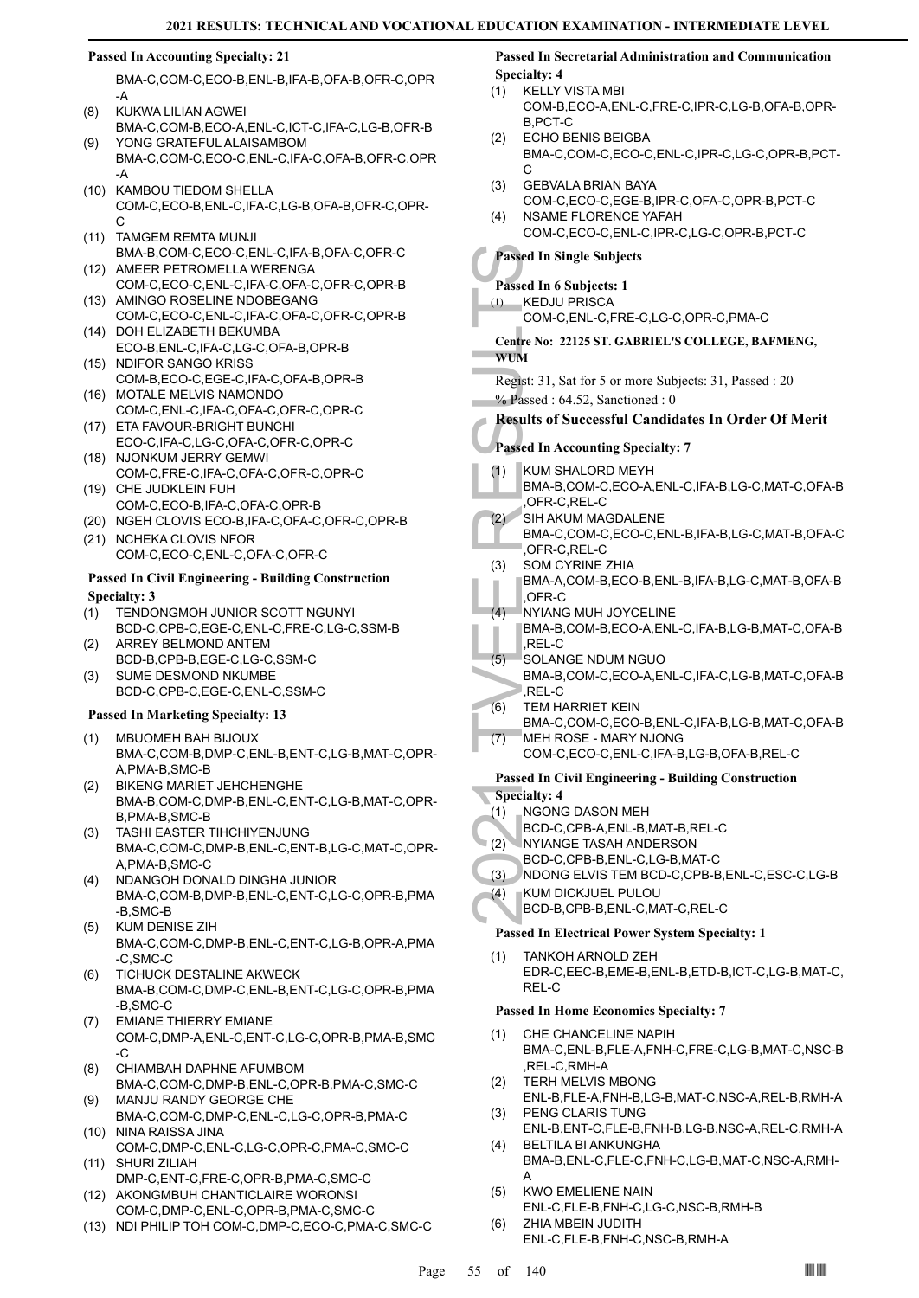# **Passed In Accounting Specialty: 21**

BMA-C,COM-C,ECO-B,ENL-B,IFA-B,OFA-B,OFR-C,OPR -A

- KUKWA LILIAN AGWEI BMA-C,COM-B,ECO-A,ENL-C,ICT-C,IFA-C,LG-B,OFR-B (8) YONG GRATEFUL ALAISAMBOM (9)
- BMA-C,COM-C,ECO-C,ENL-C,IFA-C,OFA-B,OFR-C,OPR -A
- (10) KAMBOU TIEDOM SHELLA COM-C,ECO-B,ENL-C,IFA-C,LG-B,OFA-B,OFR-C,OPR- $\cap$
- (11) TAMGEM REMTA MUNJI BMA-B,COM-C,ECO-C,ENL-C,IFA-B,OFA-C,OFR-C (12) AMEER PETROMELLA WERENGA
- COM-C,ECO-C,ENL-C,IFA-C,OFA-C,OFR-C,OPR-B (13) AMINGO ROSELINE NDOBEGANG
- COM-C,ECO-C,ENL-C,IFA-C,OFA-C,OFR-C,OPR-B (14) DOH ELIZABETH BEKUMBA
- ECO-B,ENL-C,IFA-C,LG-C,OFA-B,OPR-B (15) NDIFOR SANGO KRISS
- COM-B,ECO-C,EGE-C,IFA-C,OFA-B,OPR-B (16) MOTALE MELVIS NAMONDO
- COM-C,ENL-C,IFA-C,OFA-C,OFR-C,OPR-C ETA FAVOUR-BRIGHT BUNCHI (17)
- ECO-C,IFA-C,LG-C,OFA-C,OFR-C,OPR-C (18) NJONKUM JERRY GEMWI
- COM-C,FRE-C,IFA-C,OFA-C,OFR-C,OPR-C (19) CHE JUDKLEIN FUH
- COM-C,ECO-B,IFA-C,OFA-C,OPR-B
- (20) NGEH CLOVIS ECO-B,IFA-C,OFA-C,OFR-C,OPR-B
- (21) NCHEKA CLOVIS NFOR COM-C,ECO-C,ENL-C,OFA-C,OFR-C

# **Passed In Civil Engineering - Building Construction Specialty: 3**

- TENDONGMOH JUNIOR SCOTT NGUNYI BCD-C,CPB-C,EGE-C,ENL-C,FRE-C,LG-C,SSM-B (1)
- ARREY BELMOND ANTEM BCD-B,CPB-B,EGE-C,LG-C,SSM-C (2)
- SUME DESMOND NKUMBE BCD-C,CPB-C,EGE-C,ENL-C,SSM-C (3)

# **Passed In Marketing Specialty: 13**

- MBUOMEH BAH BIJOUX (1) BMA-C,COM-B,DMP-C,ENL-B,ENT-C,LG-B,MAT-C,OPR-A,PMA-B,SMC-B
- BIKENG MARIET JEHCHENGHE BMA-B,COM-C,DMP-B,ENL-C,ENT-C,LG-B,MAT-C,OPR-B,PMA-B,SMC-B (2)
- TASHI EASTER TIHCHIYENJUNG BMA-C,COM-C,DMP-B,ENL-C,ENT-B,LG-C,MAT-C,OPR-A,PMA-B,SMC-C (3)
- NDANGOH DONALD DINGHA JUNIOR BMA-C,COM-B,DMP-B,ENL-C,ENT-C,LG-C,OPR-B,PMA -B,SMC-B (4)
- KUM DENISE ZIH BMA-C,COM-C,DMP-B,ENL-C,ENT-C,LG-B,OPR-A,PMA -C,SMC-C (5)
- (6) TICHUCK DESTALINE AKWECK BMA-B,COM-C,DMP-C,ENL-B,ENT-C,LG-C,OPR-B,PMA -B,SMC-C
- EMIANE THIERRY EMIANE COM-C,DMP-A,ENL-C,ENT-C,LG-C,OPR-B,PMA-B,SMC  $-C$ (7)
- CHIAMBAH DAPHNE AFUMBOM BMA-C,COM-C,DMP-B,ENL-C,OPR-B,PMA-C,SMC-C (8)
- MANJU RANDY GEORGE CHE BMA-C,COM-C,DMP-C,ENL-C,LG-C,OPR-B,PMA-C (9) (10) NINA RAISSA JINA
- COM-C,DMP-C,ENL-C,LG-C,OPR-C,PMA-C,SMC-C SHURI ZILIAH (11)
- DMP-C,ENT-C,FRE-C,OPR-B,PMA-C,SMC-C AKONGMBUH CHANTICLAIRE WORONSI (12)
- COM-C,DMP-C,ENL-C,OPR-B,PMA-C,SMC-C
- (13) NDI PHILIP TOH COM-C,DMP-C,ECO-C,PMA-C,SMC-C

#### **Passed In Secretarial Administration and Communication Specialty: 4**

- KELLY VISTA MBI COM-B,ECO-A,ENL-C,FRE-C,IPR-C,LG-B,OFA-B,OPR-B,PCT-C (1)
- ECHO BENIS BEIGBA BMA-C,COM-C,ECO-C,ENL-C,IPR-C,LG-C,OPR-B,PCT- $\cap$  $(2)$
- GEBVALA BRIAN BAYA COM-C,ECO-C,EGE-B,IPR-C,OFA-C,OPR-B,PCT-C (3)
- NSAME FLORENCE YAFAH COM-C,ECO-C,ENL-C,IPR-C,LG-C,OPR-B,PCT-C  $(4)$

# **Passed In Single Subjects**

- **Passed In 6 Subjects: 1**
- KEDJU PRISCA (1)
	- COM-C,ENL-C,FRE-C,LG-C,OPR-C,PMA-C

# **Centre No: 22125 ST. GABRIEL'S COLLEGE, BAFMENG, WUM**

Regist: 31, Sat for 5 or more Subjects: 31, Passed : 20 % Passed : 64.52, Sanctioned : 0

**Results of Successful Candidates In Order Of Merit**

# **Passed In Accounting Specialty: 7**

- KUM SHALORD MEYH (1)
	- BMA-B,COM-C,ECO-A,ENL-C,IFA-B,LG-C,MAT-C,OFA-B ,OFR-C,REL-C
- SIH AKUM MAGDALENE BMA-C,COM-C,ECO-C,ENL-B,IFA-B,LG-C,MAT-B,OFA-C ,OFR-C,REL-C (2)
- Passed In Si<br>
Passed In 6 8<br>
(1) KEDJU<br>
COM-C,<br>
Centre No: 2:<br>
WUM<br>
Regist: 31, S.<br>
% Passed : 6<br>
Results of S<br>
Passed In Ac<br>
(1) KUM SH<br>
BMA-B,<br>
OFR-C,<br>
SOM CN<br>
BMA-A,<br>
OFR-C,<br>
SOM CN<br>
BMA-B,<br>
OFR-C,<br>
SOM CN<br>
BMA-B,<br>
DER-SOM CYRINE ZHIA BMA-A,COM-B,ECO-B,ENL-B,IFA-B,LG-C,MAT-B,OFA-B (3)
- ,OFR-C NYIANG MUH JOYCELINE  $(4)$
- BMA-B,COM-B,ECO-A,ENL-C,IFA-B,LG-B,MAT-C,OFA-B  $RFI - C$
- SOLANGE NDUM NGUO (5)
- BMA-B,COM-C,ECO-A,ENL-C,IFA-C,LG-B,MAT-C,OFA-B ,REL-C
- TEM HARRIET KEIN BMA-C,COM-C,ECO-B,ENL-C,IFA-B,LG-B,MAT-C,OFA-B (6) MEH ROSE - MARY NJONG (7)
	- COM-C,ECO-C,ENL-C,IFA-B,LG-B,OFA-B,REL-C

# **Passed In Civil Engineering - Building Construction**

- **Specialty: 4**
- NGONG DASON MEH (1)
- BCD-C,CPB-A,ENL-B,MAT-B,REL-C
- NYIANGE TASAH ANDERSON (2)
	- BCD-C,CPB-B,ENL-C,LG-B,MAT-C
- (3) NDONG ELVIS TEM BCD-C,CPB-B,ENL-C,ESC-C,LG-B
- KUM DICKJUEL PULOU (4)
- BCD-B,CPB-B,ENL-C,MAT-C,REL-C

# **Passed In Electrical Power System Specialty: 1**

TANKOH ARNOLD ZEH EDR-C,EEC-B,EME-B,ENL-B,ETD-B,ICT-C,LG-B,MAT-C, REL-C (1)

# **Passed In Home Economics Specialty: 7**

- CHE CHANCELINE NAPIH BMA-C,ENL-B,FLE-A,FNH-C,FRE-C,LG-B,MAT-C,NSC-B ,REL-C,RMH-A (1)
- TERH MELVIS MBONG ENL-B,FLE-A,FNH-B,LG-B,MAT-C,NSC-A,REL-B,RMH-A (2)
- PENG CLARIS TUNG ENL-B,ENT-C,FLE-B,FNH-B,LG-B,NSC-A,REL-C,RMH-A (3)
- BELTILA BI ANKUNGHA BMA-B,ENL-C,FLE-C,FNH-C,LG-B,MAT-C,NSC-A,RMH-A (4)
- KWO EMELIENE NAIN (5)
- ENL-C,FLE-B,FNH-C,LG-C,NSC-B,RMH-B ZHIA MBEIN JUDITH (6)
	- ENL-C,FLE-B,FNH-C,NSC-B,RMH-A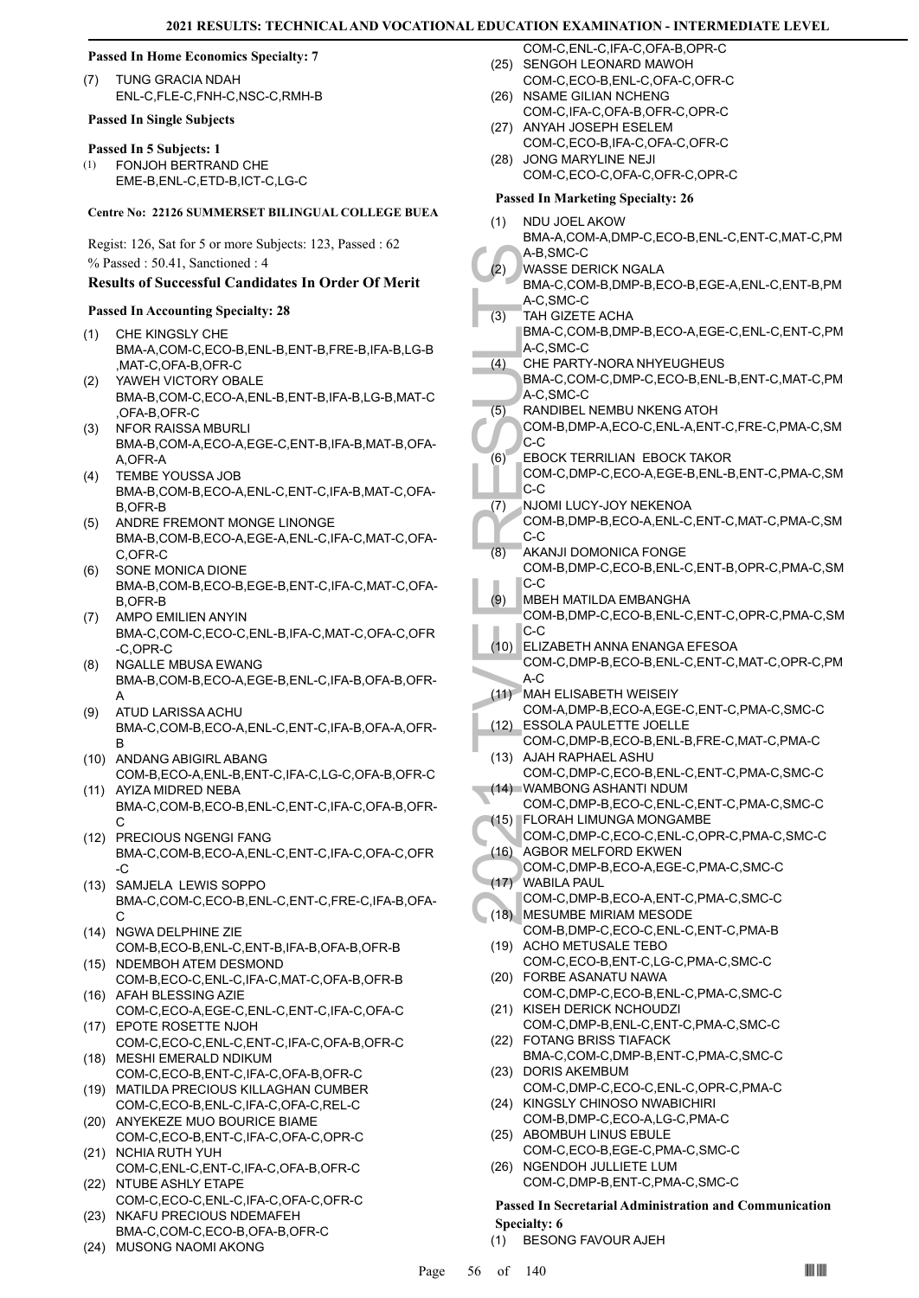#### **Passed In Home Economics Specialty: 7**

TUNG GRACIA NDAH ENL-C,FLE-C,FNH-C,NSC-C,RMH-B (7)

#### **Passed In Single Subjects**

#### **Passed In 5 Subjects: 1**

FONJOH BERTRAND CHE EME-B,ENL-C,ETD-B,ICT-C,LG-C (1)

#### **Centre No: 22126 SUMMERSET BILINGUAL COLLEGE BUEA**

Regist: 126, Sat for 5 or more Subjects: 123, Passed : 62 % Passed : 50.41, Sanctioned : 4

# **Results of Successful Candidates In Order Of Merit**

#### **Passed In Accounting Specialty: 28**

- CHE KINGSLY CHE BMA-A,COM-C,ECO-B,ENL-B,ENT-B,FRE-B,IFA-B,LG-B ,MAT-C,OFA-B,OFR-C (1)
- YAWEH VICTORY OBALE BMA-B,COM-C,ECO-A,ENL-B,ENT-B,IFA-B,LG-B,MAT-C ,OFA-B,OFR-C (2)
- NFOR RAISSA MBURLI BMA-B,COM-A,ECO-A,EGE-C,ENT-B,IFA-B,MAT-B,OFA-A,OFR-A (3)
- TEMBE YOUSSA JOB BMA-B,COM-B,ECO-A,ENL-C,ENT-C,IFA-B,MAT-C,OFA-B,OFR-B (4)
- (5) ANDRE FREMONT MONGE LINONGE BMA-B,COM-B,ECO-A,EGE-A,ENL-C,IFA-C,MAT-C,OFA-C,OFR-C
- SONE MONICA DIONE BMA-B,COM-B,ECO-B,EGE-B,ENT-C,IFA-C,MAT-C,OFA-B,OFR-B (6)
- AMPO EMILIEN ANYIN BMA-C,COM-C,ECO-C,ENL-B,IFA-C,MAT-C,OFA-C,OFR -C,OPR-C (7)
- NGALLE MBUSA EWANG BMA-B,COM-B,ECO-A,EGE-B,ENL-C,IFA-B,OFA-B,OFR-A (8)
- ATUD LARISSA ACHU BMA-C,COM-B,ECO-A,ENL-C,ENT-C,IFA-B,OFA-A,OFR-B (9)
- (10) ANDANG ABIGIRL ABANG COM-B,ECO-A,ENL-B,ENT-C,IFA-C,LG-C,OFA-B,OFR-C
- (11) AYIZA MIDRED NEBA BMA-C,COM-B,ECO-B,ENL-C,ENT-C,IFA-C,OFA-B,OFR-C
- (12) PRECIOUS NGENGI FANG BMA-C,COM-B,ECO-A,ENL-C,ENT-C,IFA-C,OFA-C,OFR -C
- (13) SAMJELA LEWIS SOPPO BMA-C,COM-C,ECO-B,ENL-C,ENT-C,FRE-C,IFA-B,OFA-C
- (14) NGWA DELPHINE ZIE COM-B,ECO-B,ENL-C,ENT-B,IFA-B,OFA-B,OFR-B
- (15) NDEMBOH ATEM DESMOND COM-B,ECO-C,ENL-C,IFA-C,MAT-C,OFA-B,OFR-B
- (16) AFAH BLESSING AZIE COM-C,ECO-A,EGE-C,ENL-C,ENT-C,IFA-C,OFA-C (17) EPOTE ROSETTE NJOH
- COM-C,ECO-C,ENL-C,ENT-C,IFA-C,OFA-B,OFR-C MESHI EMERALD NDIKUM (18)
- COM-C,ECO-B,ENT-C,IFA-C,OFA-B,OFR-C
- MATILDA PRECIOUS KILLAGHAN CUMBER (19) COM-C,ECO-B,ENL-C,IFA-C,OFA-C,REL-C
- (20) ANYEKEZE MUO BOURICE BIAME COM-C,ECO-B,ENT-C,IFA-C,OFA-C,OPR-C (21) NCHIA RUTH YUH
- COM-C,ENL-C,ENT-C,IFA-C,OFA-B,OFR-C (22) NTUBE ASHLY ETAPE
- COM-C,ECO-C,ENL-C,IFA-C,OFA-C,OFR-C (23) NKAFU PRECIOUS NDEMAFEH
- BMA-C,COM-C,ECO-B,OFA-B,OFR-C
- (24) MUSONG NAOMI AKONG

COM-C,ENL-C,IFA-C,OFA-B,OPR-C (25) SENGOH LEONARD MAWOH

- COM-C,ECO-B,ENL-C,OFA-C,OFR-C
- (26) NSAME GILIAN NCHENG COM-C,IFA-C,OFA-B,OFR-C,OPR-C
- (27) ANYAH JOSEPH ESELEM COM-C,ECO-B,IFA-C,OFA-C,OFR-C
- (28) JONG MARYLINE NEJI COM-C,ECO-C,OFA-C,OFR-C,OPR-C

# **Passed In Marketing Specialty: 26**

- A-B,SM<br>
(2) WASSE<br>
BMA-C, SM<br>
CHE PA<br>
(3) TAH GIZ<br>
BMA-C, SM<br>
CHE PA<br>
BMA-C, SM<br>
CHE PA<br>
BMA-C, SM<br>
CHE PA<br>
BMA-C, SM<br>
COM-B,<br>
C-C<br>
(6) EBOCK<br>
COM-C,<br>
C-C<br>
(7) NJOMI II<br>
COM-B,<br>
C-C<br>
(7) NJOMI DOM-B,<br>
C-C<br>
(7) NJOMI DOM-B, NDU JOEL AKOW BMA-A,COM-A,DMP-C,ECO-B,ENL-C,ENT-C,MAT-C,PM A-B,SMC-C (1) WASSE DERICK NGALA BMA-C,COM-B,DMP-B,ECO-B,EGE-A,ENL-C,ENT-B,PM A-C,SMC-C (2) TAH GIZETE ACHA BMA-C,COM-B,DMP-B,ECO-A,EGE-C,ENL-C,ENT-C,PM A-C,SMC-C (3) CHE PARTY-NORA NHYEUGHEUS BMA-C,COM-C,DMP-C,ECO-B,ENL-B,ENT-C,MAT-C,PM A-C,SMC-C  $(4)$ RANDIBEL NEMBU NKENG ATOH COM-B,DMP-A,ECO-C,ENL-A,ENT-C,FRE-C,PMA-C,SM C-C (5) EBOCK TERRILIAN EBOCK TAKOR COM-C,DMP-C,ECO-A,EGE-B,ENL-B,ENT-C,PMA-C,SM  $|c-c|$ (6) NJOMI LUCY-JOY NEKENOA COM-B,DMP-B,ECO-A,ENL-C,ENT-C,MAT-C,PMA-C,SM C-C (7) AKANJI DOMONICA FONGE COM-B,DMP-C,ECO-B,ENL-C,ENT-B,OPR-C,PMA-C,SM C-C (8) MBEH MATILDA EMBANGHA COM-B,DMP-C,ECO-B,ENL-C,ENT-C,OPR-C,PMA-C,SM C-C (9) ELIZABETH ANNA ENANGA EFESOA (10) COM-C,DMP-B,ECO-B,ENL-C,ENT-C,MAT-C,OPR-C,PM  $A-C$ MAH ELISABETH WEISEIY (11) COM-A,DMP-B,ECO-A,EGE-C,ENT-C,PMA-C,SMC-C ESSOLA PAULETTE JOELLE COM-C,DMP-B,ECO-B,ENL-B,FRE-C,MAT-C,PMA-C  $(12)$ AJAH RAPHAEL ASHU (13) COM-C,DMP-C,ECO-B,ENL-C,ENT-C,PMA-C,SMC-C WAMBONG ASHANTI NDUM (14) COM-C,DMP-B,ECO-C,ENL-C,ENT-C,PMA-C,SMC-C FLORAH LIMUNGA MONGAMBE (15) COM-C,DMP-C,ECO-C,ENL-C,OPR-C,PMA-C,SMC-C (16) AGBOR MELFORD EKWEN COM-C,DMP-B,ECO-A,EGE-C,PMA-C,SMC-C WABILA PAUL (17) COM-C,DMP-B,ECO-A,ENT-C,PMA-C,SMC-C (18) MESUMBE MIRIAM MESODE COM-B,DMP-C,ECO-C,ENL-C,ENT-C,PMA-B (19) ACHO METUSALE TEBO COM-C,ECO-B,ENT-C,LG-C,PMA-C,SMC-C FORBE ASANATU NAWA (20) COM-C,DMP-C,ECO-B,ENL-C,PMA-C,SMC-C (21) KISEH DERICK NCHOUDZI COM-C,DMP-B,ENL-C,ENT-C,PMA-C,SMC-C FOTANG BRISS TIAFACK (22) BMA-C,COM-C,DMP-B,ENT-C,PMA-C,SMC-C (23) DORIS AKEMBUM COM-C,DMP-C,ECO-C,ENL-C,OPR-C,PMA-C (24) KINGSLY CHINOSO NWABICHIRI COM-B,DMP-C,ECO-A,LG-C,PMA-C (25) ABOMBUH LINUS EBULE COM-C,ECO-B,EGE-C,PMA-C,SMC-C (26) NGENDOH JULLIETE LUM COM-C,DMP-B,ENT-C,PMA-C,SMC-C **Passed In Secretarial Administration and Communication Specialty: 6**
	- (1) BESONG FAVOUR AJEH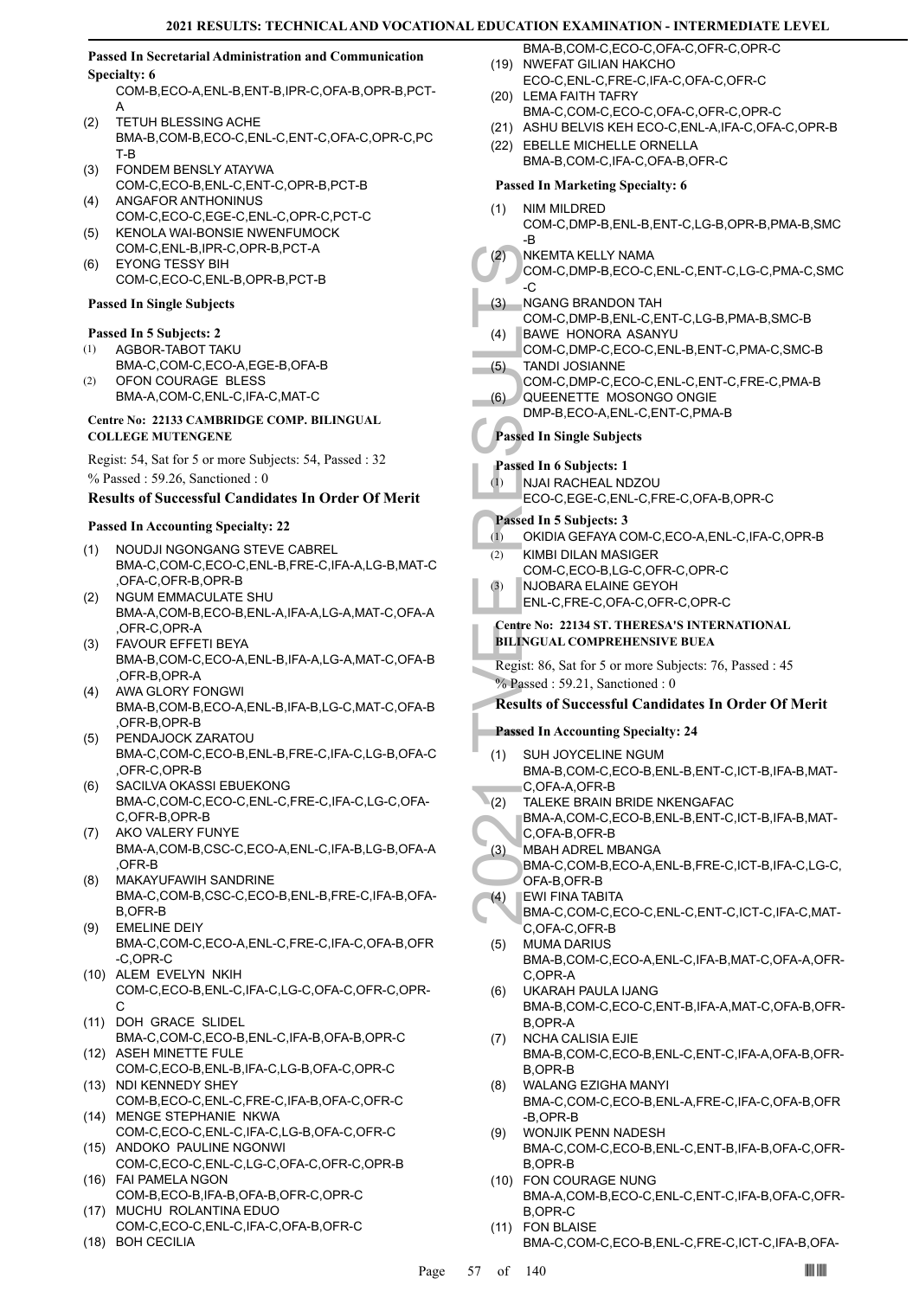# **Passed In Secretarial Administration and Communication Specialty: 6**

COM-B,ECO-A,ENL-B,ENT-B,IPR-C,OFA-B,OPR-B,PCT-A

- TETUH BLESSING ACHE BMA-B,COM-B,ECO-C,ENL-C,ENT-C,OFA-C,OPR-C,PC T-B (2)
- FONDEM BENSLY ATAYWA COM-C,ECO-B,ENL-C,ENT-C,OPR-B,PCT-B (3)
- ANGAFOR ANTHONINUS COM-C,ECO-C,EGE-C,ENL-C,OPR-C,PCT-C (4) (5)
- KENOLA WAI-BONSIE NWENFUMOCK COM-C,ENL-B,IPR-C,OPR-B,PCT-A
- EYONG TESSY BIH COM-C,ECO-C,ENL-B,OPR-B,PCT-B (6)

### **Passed In Single Subjects**

#### **Passed In 5 Subjects: 2**

- AGBOR-TABOT TAKU (1)
- BMA-C,COM-C,ECO-A,EGE-B,OFA-B OFON COURAGE BLESS (2)
- BMA-A,COM-C,ENL-C,IFA-C,MAT-C

### **Centre No: 22133 CAMBRIDGE COMP. BILINGUAL COLLEGE MUTENGENE**

Regist: 54, Sat for 5 or more Subjects: 54, Passed : 32 % Passed : 59.26, Sanctioned : 0

# **Results of Successful Candidates In Order Of Merit**

# **Passed In Accounting Specialty: 22**

- NOUDJI NGONGANG STEVE CABREL BMA-C,COM-C,ECO-C,ENL-B,FRE-C,IFA-A,LG-B,MAT-C ,OFA-C,OFR-B,OPR-B (1)
- NGUM EMMACULATE SHU BMA-A,COM-B,ECO-B,ENL-A,IFA-A,LG-A,MAT-C,OFA-A ,OFR-C,OPR-A (2)
- FAVOUR EFFETI BEYA BMA-B,COM-C,ECO-A,ENL-B,IFA-A,LG-A,MAT-C,OFA-B ,OFR-B,OPR-A (3)
- AWA GLORY FONGWI BMA-B,COM-B,ECO-A,ENL-B,IFA-B,LG-C,MAT-C,OFA-B ,OFR-B,OPR-B (4)
- PENDAJOCK ZARATOU BMA-C,COM-C,ECO-B,ENL-B,FRE-C,IFA-C,LG-B,OFA-C ,OFR-C,OPR-B (5)
- SACILVA OKASSI EBUEKONG BMA-C,COM-C,ECO-C,ENL-C,FRE-C,IFA-C,LG-C,OFA-C,OFR-B,OPR-B (6)
- AKO VALERY FUNYE BMA-A,COM-B,CSC-C,ECO-A,ENL-C,IFA-B,LG-B,OFA-A ,OFR-B (7)
- MAKAYUFAWIH SANDRINE BMA-C,COM-B,CSC-C,ECO-B,ENL-B,FRE-C,IFA-B,OFA-B,OFR-B (8)
- EMELINE DEIY (9) BMA-C,COM-C,ECO-A,ENL-C,FRE-C,IFA-C,OFA-B,OFR -C,OPR-C
- (10) ALEM EVELYN NKIH COM-C,ECO-B,ENL-C,IFA-C,LG-C,OFA-C,OFR-C,OPR-C
- (11) DOH GRACE SLIDEL BMA-C,COM-C,ECO-B,ENL-C,IFA-B,OFA-B,OPR-C
- (12) ASEH MINETTE FULE COM-C,ECO-B,ENL-B,IFA-C,LG-B,OFA-C,OPR-C (13) NDI KENNEDY SHEY
- COM-B,ECO-C,ENL-C,FRE-C,IFA-B,OFA-C,OFR-C (14) MENGE STEPHANIE NKWA
- COM-C,ECO-C,ENL-C,IFA-C,LG-B,OFA-C,OFR-C (15) ANDOKO PAULINE NGONWI
- COM-C,ECO-C,ENL-C,LG-C,OFA-C,OFR-C,OPR-B FAI PAMELA NGON (16)
- COM-B,ECO-B,IFA-B,OFA-B,OFR-C,OPR-C MUCHU ROLANTINA EDUO (17)
- COM-C,ECO-C,ENL-C,IFA-C,OFA-B,OFR-C (18) BOH CECILIA
- 
- BMA-B,COM-C,ECO-C,OFA-C,OFR-C,OPR-C (19) NWEFAT GILIAN HAKCHO
- ECO-C,ENL-C,FRE-C,IFA-C,OFA-C,OFR-C (20) LEMA FAITH TAFRY
- BMA-C,COM-C,ECO-C,OFA-C,OFR-C,OPR-C
- (21) ASHU BELVIS KEH ECO-C,ENL-A,IFA-C,OFA-C,OPR-B
- (22) EBELLE MICHELLE ORNELLA BMA-B,COM-C,IFA-C,OFA-B,OFR-C

# **Passed In Marketing Specialty: 6**

- NIM MILDRED (1)
	- COM-C,DMP-B,ENL-B,ENT-C,LG-B,OPR-B,PMA-B,SMC -B
- NKEMTA KELLY NAMA  $(2)$ 
	- COM-C,DMP-B,ECO-C,ENL-C,ENT-C,LG-C,PMA-C,SMC  $-C$
- NGANG BRANDON TAH (3)
	- COM-C,DMP-B,ENL-C,ENT-C,LG-B,PMA-B,SMC-B BAWE HONORA ASANYU (4)
	- COM-C,DMP-C,ECO-C,ENL-B,ENT-C,PMA-C,SMC-B TANDI JOSIANNE
	- COM-C,DMP-C,ECO-C,ENL-C,ENT-C,FRE-C,PMA-B (5) QUEENETTE MOSONGO ONGIE  $(6)$ 
		- DMP-B,ECO-A,ENL-C,ENT-C,PMA-B

# **Passed In Single Subjects**

# **Passed In 6 Subjects: 1**

- NJAI RACHEAL NDZOU (1)
	- ECO-C,EGE-C,ENL-C,FRE-C,OFA-B,OPR-C

# **Passed In 5 Subjects: 3**

- (1) OKIDIA GEFAYA COM-C,ECO-A,ENL-C,IFA-C,OPR-B
- KIMBI DILAN MASIGER  $(2)$ 
	- COM-C,ECO-B,LG-C,OFR-C,OPR-C
- NJOBARA ELAINE GEYOH ENL-C,FRE-C,OFA-C,OFR-C,OPR-C (3)

# **Centre No: 22134 ST. THERESA'S INTERNATIONAL BILINGUAL COMPREHENSIVE BUEA**

Regist: 86, Sat for 5 or more Subjects: 76, Passed : 45 % Passed : 59.21, Sanctioned : 0

# **Results of Successful Candidates In Order Of Merit**

# **Passed In Accounting Specialty: 24**

- (2) NKEMT, COM-C, C<br>COM-C, C<br>COM-C, C<br>COM-C, C<br>COM-C, C<br>COM-C, QUEEN DMP-B, Passed In Si<br>Passed In Si<br>Passed In Si<br>Passed In 5 (1) OKIDIA<br>C<br>COM-C, Passed In 5 (1) OKIDIA<br>ENL-C, Centre No: 22<br>BILINGUAL<br>Regist: 86, S.<br><sup>9</sup>% P SUH JOYCELINE NGUM BMA-B,COM-C,ECO-B,ENL-B,ENT-C,ICT-B,IFA-B,MAT-C,OFA-A,OFR-B (1)
- TALEKE BRAIN BRIDE NKENGAFAC  $(2)$
- BMA-A,COM-C,ECO-B,ENL-B,ENT-C,ICT-B,IFA-B,MAT-C,OFA-B,OFR-B
- MBAH ADREL MBANGA (3)
	- BMA-C,COM-B,ECO-A,ENL-B,FRE-C,ICT-B,IFA-C,LG-C, OFA-B,OFR-B
- EWI FINA TABITA BMA-C,COM-C,ECO-C,ENL-C,ENT-C,ICT-C,IFA-C,MAT-C,OFA-C,OFR-B (4)
- MUMA DARIUS BMA-B,COM-C,ECO-A,ENL-C,IFA-B,MAT-C,OFA-A,OFR-C,OPR-A  $(5)$
- UKARAH PAULA IJANG BMA-B,COM-C,ECO-C,ENT-B,IFA-A,MAT-C,OFA-B,OFR-B,OPR-A (6)
- NCHA CALISIA EJIE BMA-B,COM-C,ECO-B,ENL-C,ENT-C,IFA-A,OFA-B,OFR-B,OPR-B (7)
- WALANG EZIGHA MANYI BMA-C,COM-C,ECO-B,ENL-A,FRE-C,IFA-C,OFA-B,OFR -B,OPR-B (8)
- WONJIK PENN NADESH BMA-C,COM-C,ECO-B,ENL-C,ENT-B,IFA-B,OFA-C,OFR-B,OPR-B (9)
- FON COURAGE NUNG (10) BMA-A,COM-B,ECO-C,ENL-C,ENT-C,IFA-B,OFA-C,OFR-B,OPR-C
- FON BLAISE (11) BMA-C,COM-C,ECO-B,ENL-C,FRE-C,ICT-C,IFA-B,OFA-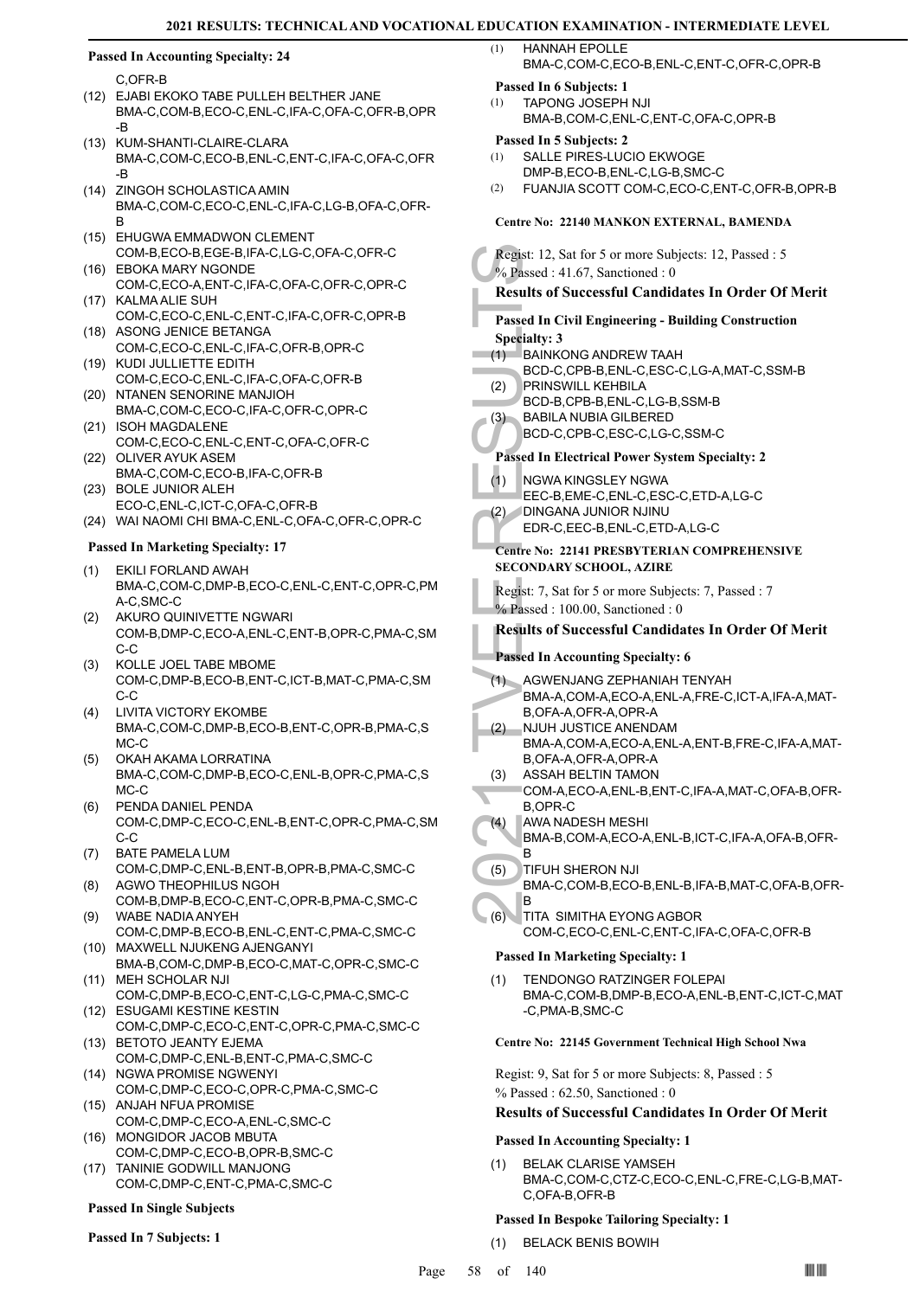# **Passed In Accounting Specialty: 24**

C,OFR-B

- EJABI EKOKO TABE PULLEH BELTHER JANE (12) BMA-C,COM-B,ECO-C,ENL-C,IFA-C,OFA-C,OFR-B,OPR -B
- (13) KUM-SHANTI-CLAIRE-CLARA BMA-C,COM-C,ECO-B,ENL-C,ENT-C,IFA-C,OFA-C,OFR -B ZINGOH SCHOLASTICA AMIN  $(14)$
- BMA-C,COM-C,ECO-C,ENL-C,IFA-C,LG-B,OFA-C,OFR-B
- (15) EHUGWA EMMADWON CLEMENT COM-B,ECO-B,EGE-B,IFA-C,LG-C,OFA-C,OFR-C EBOKA MARY NGONDE (16)
- COM-C,ECO-A,ENT-C,IFA-C,OFA-C,OFR-C,OPR-C (17) KALMA ALIE SUH
- COM-C,ECO-C,ENL-C,ENT-C,IFA-C,OFR-C,OPR-B (18) ASONG JENICE BETANGA
- COM-C,ECO-C,ENL-C,IFA-C,OFR-B,OPR-C (19) KUDI JULLIETTE EDITH
- COM-C,ECO-C,ENL-C,IFA-C,OFA-C,OFR-B (20) NTANEN SENORINE MANJIOH
- BMA-C,COM-C,ECO-C,IFA-C,OFR-C,OPR-C (21) ISOH MAGDALENE
- COM-C,ECO-C,ENL-C,ENT-C,OFA-C,OFR-C (22) OLIVER AYUK ASEM
- BMA-C,COM-C,ECO-B,IFA-C,OFR-B
- (23) BOLE JUNIOR ALEH ECO-C,ENL-C,ICT-C,OFA-C,OFR-B
- (24) WAI NAOMI CHI BMA-C,ENL-C,OFA-C,OFR-C,OPR-C

#### **Passed In Marketing Specialty: 17**

- EKILI FORLAND AWAH BMA-C,COM-C,DMP-B,ECO-C,ENL-C,ENT-C,OPR-C,PM A-C,SMC-C (1)
- AKURO QUINIVETTE NGWARI COM-B,DMP-C,ECO-A,ENL-C,ENT-B,OPR-C,PMA-C,SM C-C (2)
- KOLLE JOEL TABE MBOME COM-C,DMP-B,ECO-B,ENT-C,ICT-B,MAT-C,PMA-C,SM C-C (3)
- LIVITA VICTORY EKOMBE (4) BMA-C,COM-C,DMP-B,ECO-B,ENT-C,OPR-B,PMA-C,S MC-C
- OKAH AKAMA LORRATINA BMA-C,COM-C,DMP-B,ECO-C,ENL-B,OPR-C,PMA-C,S MC-C (5)
- PENDA DANIEL PENDA COM-C,DMP-C,ECO-C,ENL-B,ENT-C,OPR-C,PMA-C,SM C-C (6)
- BATE PAMELA LUM COM-C,DMP-C,ENL-B,ENT-B,OPR-B,PMA-C,SMC-C (7) AGWO THEOPHILUS NGOH (8)
- COM-B,DMP-B,ECO-C,ENT-C,OPR-B,PMA-C,SMC-C WABE NADIA ANYEH (9)
- COM-C,DMP-B,ECO-B,ENL-C,ENT-C,PMA-C,SMC-C MAXWELL NJUKENG AJENGANYI (10)
- BMA-B,COM-C,DMP-B,ECO-C,MAT-C,OPR-C,SMC-C MEH SCHOLAR NJI (11)
- COM-C,DMP-B,ECO-C,ENT-C,LG-C,PMA-C,SMC-C (12) ESUGAMI KESTINE KESTIN
- COM-C,DMP-C,ECO-C,ENT-C,OPR-C,PMA-C,SMC-C (13) BETOTO JEANTY EJEMA
- COM-C,DMP-C,ENL-B,ENT-C,PMA-C,SMC-C (14) NGWA PROMISE NGWENYI
- COM-C,DMP-C,ECO-C,OPR-C,PMA-C,SMC-C (15) ANJAH NFUA PROMISE
- COM-C,DMP-C,ECO-A,ENL-C,SMC-C (16) MONGIDOR JACOB MBUTA
- COM-C,DMP-C,ECO-B,OPR-B,SMC-C (17) TANINIE GODWILL MANJONG
- COM-C,DMP-C,ENT-C,PMA-C,SMC-C

# **Passed In Single Subjects**

**Passed In 7 Subjects: 1**

# HANNAH EPOLLE BMA-C,COM-C,ECO-B,ENL-C,ENT-C,OFR-C,OPR-B

# **Passed In 6 Subjects: 1**

TAPONG JOSEPH NJI BMA-B,COM-C,ENL-C,ENT-C,OFA-C,OPR-B (1)

**Passed In 5 Subjects: 2**

- SALLE PIRES-LUCIO EKWOGE (1)
	- DMP-B,ECO-B,ENL-C,LG-B,SMC-C
- (2) FUANJIA SCOTT COM-C,ECO-C,ENT-C,OFR-B,OPR-B

#### **Centre No: 22140 MANKON EXTERNAL, BAMENDA**

Regist: 12, S.<br>
% Passed : 4<br>
Results of S<br>
Passed In Ci<br>
Specialty: 3<br>
(1) BAINKC<br>
BCD-C,<br>
PASSED BCD-B,<br>
(3) BABILA<br>
BCD-C,<br>
Passed In El<br>
(1) NGWA EEC-B,<br>
(2) DINGAN<br>
EDR-C,<br>
Centre No: 2<br>
SECONDAR<br>
Regist: 7, Sat<br>
% Pa Regist: 12, Sat for 5 or more Subjects: 12, Passed : 5 % Passed : 41.67, Sanctioned : 0 **Results of Successful Candidates In Order Of Merit Passed In Civil Engineering - Building Construction Specialty: 3** BAINKONG ANDREW TAAH BCD-C,CPB-B,ENL-C,ESC-C,LG-A,MAT-C,SSM-B (1) PRINSWILL KEHBILA BCD-B,CPB-B,ENL-C,LG-B,SSM-B (2) BABILA NUBIA GILBERED BCD-C,CPB-C,ESC-C,LG-C,SSM-C (3) **Passed In Electrical Power System Specialty: 2** NGWA KINGSLEY NGWA EEC-B,EME-C,ENL-C,ESC-C,ETD-A,LG-C (1) DINGANA JUNIOR NJINU EDR-C,EEC-B,ENL-C,ETD-A,LG-C (2) **Centre No: 22141 PRESBYTERIAN COMPREHENSIVE SECONDARY SCHOOL, AZIRE**  Regist: 7, Sat for 5 or more Subjects: 7, Passed : 7 % Passed : 100.00, Sanctioned : 0 **Results of Successful Candidates In Order Of Merit Passed In Accounting Specialty: 6** AGWENJANG ZEPHANIAH TENYAH BMA-A,COM-A,ECO-A,ENL-A,FRE-C,ICT-A,IFA-A,MAT-B,OFA-A,OFR-A,OPR-A  $(1)$ NJUH JUSTICE ANENDAM BMA-A,COM-A,ECO-A,ENL-A,ENT-B,FRE-C,IFA-A,MAT-B,OFA-A,OFR-A,OPR-A (2) ASSAH BELTIN TAMON COM-A,ECO-A,ENL-B,ENT-C,IFA-A,MAT-C,OFA-B,OFR-B,OPR-C (3) AWA NADESH MESHI BMA-B,COM-A,ECO-A,ENL-B,ICT-C,IFA-A,OFA-B,OFR-B (4) TIFUH SHERON NJI BMA-C,COM-B,ECO-B,ENL-B,IFA-B,MAT-C,OFA-B,OFR-B (5) TITA SIMITHA EYONG AGBOR COM-C,ECO-C,ENL-C,ENT-C,IFA-C,OFA-C,OFR-B  $(6)$ **Passed In Marketing Specialty: 1** TENDONGO RATZINGER FOLEPAI BMA-C,COM-B,DMP-B,ECO-A,ENL-B,ENT-C,ICT-C,MAT -C,PMA-B,SMC-C (1) **Centre No: 22145 Government Technical High School Nwa**  Regist: 9, Sat for 5 or more Subjects: 8, Passed : 5 % Passed : 62.50, Sanctioned : 0 **Results of Successful Candidates In Order Of Merit**

# **Passed In Accounting Specialty: 1**

BELAK CLARISE YAMSEH BMA-C,COM-C,CTZ-C,ECO-C,ENL-C,FRE-C,LG-B,MAT-C,OFA-B,OFR-B (1)

# **Passed In Bespoke Tailoring Specialty: 1**

(1) BELACK BENIS BOWIH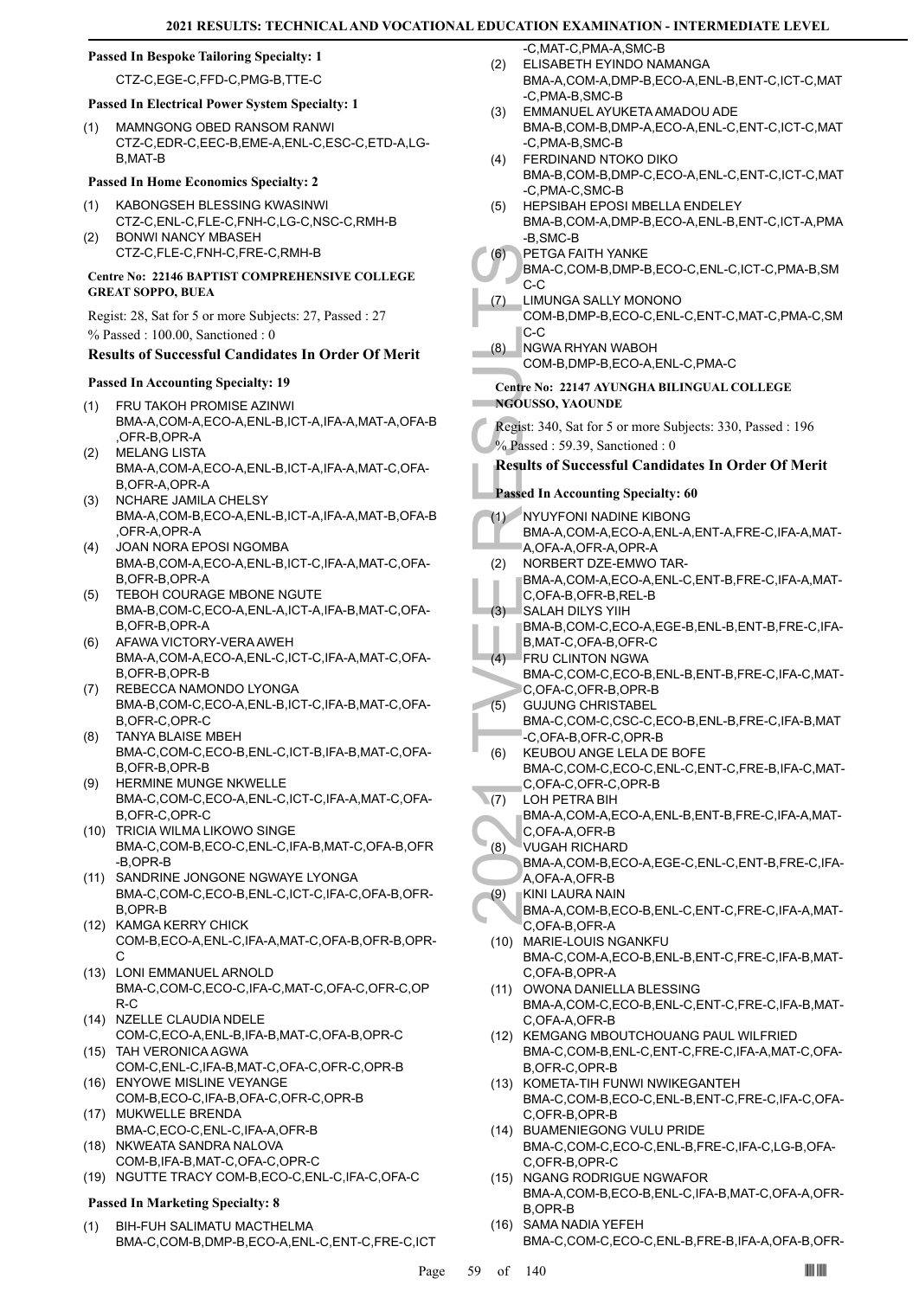#### **Passed In Bespoke Tailoring Specialty: 1**

CTZ-C,EGE-C,FFD-C,PMG-B,TTE-C

- **Passed In Electrical Power System Specialty: 1**
- MAMNGONG OBED RANSOM RANWI CTZ-C,EDR-C,EEC-B,EME-A,ENL-C,ESC-C,ETD-A,LG-B,MAT-B (1)

#### **Passed In Home Economics Specialty: 2**

- KABONGSEH BLESSING KWASINWI CTZ-C,ENL-C,FLE-C,FNH-C,LG-C,NSC-C,RMH-B (1) BONWI NANCY MBASEH (2)
- CTZ-C,FLE-C,FNH-C,FRE-C,RMH-B

### **Centre No: 22146 BAPTIST COMPREHENSIVE COLLEGE GREAT SOPPO, BUEA**

Regist: 28, Sat for 5 or more Subjects: 27, Passed : 27 % Passed : 100.00, Sanctioned : 0

#### **Results of Successful Candidates In Order Of Merit**

#### **Passed In Accounting Specialty: 19**

- FRU TAKOH PROMISE AZINWI BMA-A,COM-A,ECO-A,ENL-B,ICT-A,IFA-A,MAT-A,OFA-B ,OFR-B,OPR-A (1)
- MELANG LISTA BMA-A,COM-A,ECO-A,ENL-B,ICT-A,IFA-A,MAT-C,OFA-B,OFR-A,OPR-A (2)
- NCHARE JAMILA CHELSY BMA-A,COM-B,ECO-A,ENL-B,ICT-A,IFA-A,MAT-B,OFA-B ,OFR-A,OPR-A (3)
- JOAN NORA EPOSI NGOMBA BMA-B,COM-A,ECO-A,ENL-B,ICT-C,IFA-A,MAT-C,OFA-B,OFR-B,OPR-A (4)
- (5) TEBOH COURAGE MBONE NGUTE BMA-B,COM-C,ECO-A,ENL-A,ICT-A,IFA-B,MAT-C,OFA-B,OFR-B,OPR-A
- AFAWA VICTORY-VERA AWEH BMA-A,COM-A,ECO-A,ENL-C,ICT-C,IFA-A,MAT-C,OFA-B,OFR-B,OPR-B (6)
- REBECCA NAMONDO LYONGA BMA-B,COM-C,ECO-A,ENL-B,ICT-C,IFA-B,MAT-C,OFA-B,OFR-C,OPR-C (7)
- TANYA BLAISE MBEH BMA-C,COM-C,ECO-B,ENL-C,ICT-B,IFA-B,MAT-C,OFA-B,OFR-B,OPR-B (8)
- HERMINE MUNGE NKWELLE BMA-C,COM-C,ECO-A,ENL-C,ICT-C,IFA-A,MAT-C,OFA-B,OFR-C,OPR-C (9)
- (10) TRICIA WILMA LIKOWO SINGE BMA-C,COM-B,ECO-C,ENL-C,IFA-B,MAT-C,OFA-B,OFR -B,OPR-B
- (11) SANDRINE JONGONE NGWAYE LYONGA BMA-C,COM-C,ECO-B,ENL-C,ICT-C,IFA-C,OFA-B,OFR-B,OPR-B
- (12) KAMGA KERRY CHICK COM-B,ECO-A,ENL-C,IFA-A,MAT-C,OFA-B,OFR-B,OPR-C
- (13) LONI EMMANUEL ARNOLD BMA-C,COM-C,ECO-C,IFA-C,MAT-C,OFA-C,OFR-C,OP R-C
- (14) NZELLE CLAUDIA NDELE COM-C,ECO-A,ENL-B,IFA-B,MAT-C,OFA-B,OPR-C
- TAH VERONICA AGWA (15) COM-C,ENL-C,IFA-B,MAT-C,OFA-C,OFR-C,OPR-B
- (16) ENYOWE MISLINE VEYANGE COM-B,ECO-C,IFA-B,OFA-C,OFR-C,OPR-B MUKWELLE BRENDA (17)
- BMA-C,ECO-C,ENL-C,IFA-A,OFR-B
- (18) NKWEATA SANDRA NALOVA COM-B,IFA-B,MAT-C,OFA-C,OPR-C
- (19) NGUTTE TRACY COM-B,ECO-C,ENL-C,IFA-C,OFA-C

# **Passed In Marketing Specialty: 8**

BIH-FUH SALIMATU MACTHELMA BMA-C,COM-B,DMP-B,ECO-A,ENL-C,ENT-C,FRE-C,ICT (1)

-C,MAT-C,PMA-A,SMC-B ELISABETH EYINDO NAMANGA (2)

- BMA-A,COM-A,DMP-B,ECO-A,ENL-B,ENT-C,ICT-C,MAT -C,PMA-B,SMC-B
- EMMANUEL AYUKETA AMADOU ADE BMA-B,COM-B,DMP-A,ECO-A,ENL-C,ENT-C,ICT-C,MAT -C,PMA-B,SMC-B (3)
- FERDINAND NTOKO DIKO BMA-B,COM-B,DMP-C,ECO-A,ENL-C,ENT-C,ICT-C,MAT -C,PMA-C,SMC-B (4)
- HEPSIBAH EPOSI MBELLA ENDELEY BMA-B,COM-A,DMP-B,ECO-A,ENL-B,ENT-C,ICT-A,PMA -B,SMC-B (5)
- PETGA FAITH YANKE  $(6)$ 
	- BMA-C,COM-B,DMP-B,ECO-C,ENL-C,ICT-C,PMA-B,SM C-C
- LIMUNGA SALLY MONONO COM-B,DMP-B,ECO-C,ENL-C,ENT-C,MAT-C,PMA-C,SM C-C (7)
- NGWA RHYAN WABOH COM-B,DMP-B,ECO-A,ENL-C,PMA-C (8)

# **Centre No: 22147 AYUNGHA BILINGUAL COLLEGE NGOUSSO, YAOUNDE**

Regist: 340, Sat for 5 or more Subjects: 330, Passed : 196 % Passed : 59.39, Sanctioned : 0

# **Results of Successful Candidates In Order Of Merit**

**Passed In Accounting Specialty: 60**

- (6) PETGA<br>
BMA-C,<br>
C-C LIMUNC<br>
COM-B,<br>
C-C LIMUNC<br>
COM-B,<br>
C-C NGWA F<br>
COM-B,<br>
C-C NGWA F<br>
COM-B,<br>
C-C NGWA F<br>
COM-B,<br>
C-C NGWA F<br>
COM-B,<br>
C-C NGUSSO, Y<br>
Results of S<br>
Passed In Ac<br>
(1) NYUYF(BMA-A,<br>
A,OFA-A,<br>
A,OFA-A,<br>
C, NYUYFONI NADINE KIBONG BMA-A,COM-A,ECO-A,ENL-A,ENT-A,FRE-C,IFA-A,MAT-A,OFA-A,OFR-A,OPR-A  $(1)$ NORBERT DZE-EMWO TAR-BMA-A,COM-A,ECO-A,ENL-C,ENT-B,FRE-C,IFA-A,MAT-C,OFA-B,OFR-B,REL-B (2)
- SALAH DILYS YIIH BMA-B,COM-C,ECO-A,EGE-B,ENL-B,ENT-B,FRE-C,IFA-(3)
- B,MAT-C,OFA-B,OFR-C **FRU CLINTON NGWA** (4)
- BMA-C,COM-C,ECO-B,ENL-B,ENT-B,FRE-C,IFA-C,MAT-C,OFA-C,OFR-B,OPR-B
- GUJUNG CHRISTABEL BMA-C,COM-C,CSC-C,ECO-B,ENL-B,FRE-C,IFA-B,MAT -C,OFA-B,OFR-C,OPR-B (5)
- KEUBOU ANGE LELA DE BOFE BMA-C,COM-C,ECO-C,ENL-C,ENT-C,FRE-B,IFA-C,MAT-(6)
- C,OFA-C,OFR-C,OPR-B LOH PETRA BIH  $(7)$ 
	- BMA-A,COM-A,ECO-A,ENL-B,ENT-B,FRE-C,IFA-A,MAT-C,OFA-A,OFR-B
- VUGAH RICHARD (8)
	- BMA-A,COM-B,ECO-A,EGE-C,ENL-C,ENT-B,FRE-C,IFA-A,OFA-A,OFR-B
- KINI LAURA NAIN (9)
- BMA-A,COM-B,ECO-B,ENL-C,ENT-C,FRE-C,IFA-A,MAT-C,OFA-B,OFR-A
- MARIE-LOUIS NGANKFU (10) BMA-C,COM-A,ECO-B,ENL-B,ENT-C,FRE-C,IFA-B,MAT-C,OFA-B,OPR-A
- (11) OWONA DANIELLA BLESSING BMA-A,COM-C,ECO-B,ENL-C,ENT-C,FRE-C,IFA-B,MAT-C,OFA-A,OFR-B
- (12) KEMGANG MBOUTCHOUANG PAUL WILFRIED BMA-C,COM-B,ENL-C,ENT-C,FRE-C,IFA-A,MAT-C,OFA-B,OFR-C,OPR-B
- (13) KOMETA-TIH FUNWI NWIKEGANTEH BMA-C,COM-B,ECO-C,ENL-B,ENT-C,FRE-C,IFA-C,OFA-C,OFR-B,OPR-B
- BUAMENIEGONG VULU PRIDE (14) BMA-C,COM-C,ECO-C,ENL-B,FRE-C,IFA-C,LG-B,OFA-C,OFR-B,OPR-C
- (15) NGANG RODRIGUE NGWAFOR BMA-A,COM-B,ECO-B,ENL-C,IFA-B,MAT-C,OFA-A,OFR-B,OPR-B
- (16) SAMA NADIA YEFEH BMA-C,COM-C,ECO-C,ENL-B,FRE-B,IFA-A,OFA-B,OFR-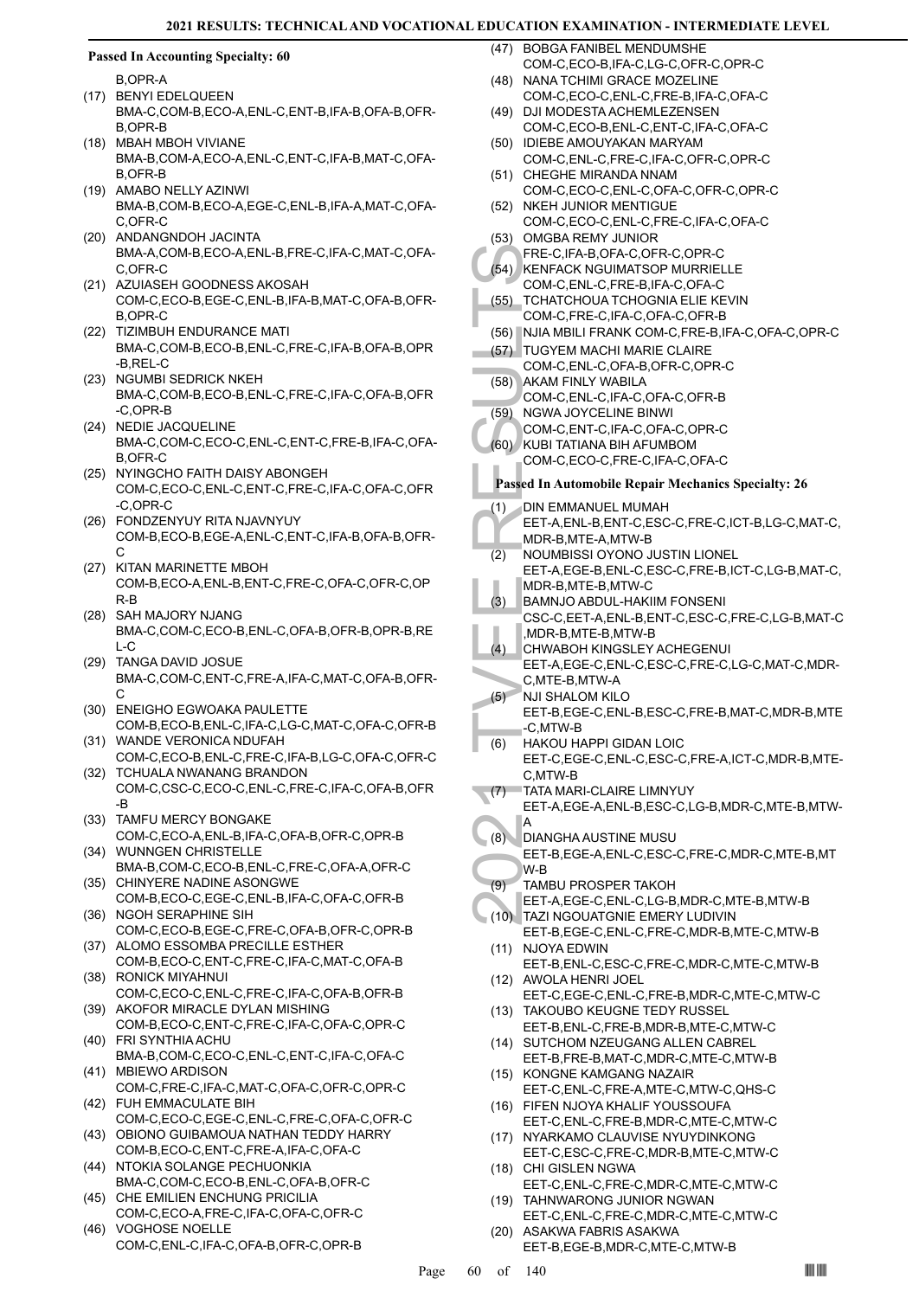#### **Passed In Accounting Specialty: 60**

B,OPR-A

- (17) BENYI EDELQUEEN BMA-C,COM-B,ECO-A,ENL-C,ENT-B,IFA-B,OFA-B,OFR-B,OPR-B
- MBAH MBOH VIVIANE (18) BMA-B,COM-A,ECO-A,ENL-C,ENT-C,IFA-B,MAT-C,OFA-B,OFR-B
- (19) AMABO NELLY AZINWI BMA-B,COM-B,ECO-A,EGE-C,ENL-B,IFA-A,MAT-C,OFA-C,OFR-C
- (20) ANDANGNDOH JACINTA BMA-A,COM-B,ECO-A,ENL-B,FRE-C,IFA-C,MAT-C,OFA-C,OFR-C
- (21) AZUIASEH GOODNESS AKOSAH COM-C,ECO-B,EGE-C,ENL-B,IFA-B,MAT-C,OFA-B,OFR-B,OPR-C
- (22) TIZIMBUH ENDURANCE MATI BMA-C,COM-B,ECO-B,ENL-C,FRE-C,IFA-B,OFA-B,OPR -B,REL-C
- (23) NGUMBI SEDRICK NKEH BMA-C,COM-B,ECO-B,ENL-C,FRE-C,IFA-C,OFA-B,OFR -C,OPR-B
- (24) NEDIE JACQUELINE BMA-C,COM-C,ECO-C,ENL-C,ENT-C,FRE-B,IFA-C,OFA-B,OFR-C
- (25) NYINGCHO FAITH DAISY ABONGEH COM-C,ECO-C,ENL-C,ENT-C,FRE-C,IFA-C,OFA-C,OFR -C,OPR-C
- FONDZENYUY RITA NJAVNYUY (26) COM-B,ECO-B,EGE-A,ENL-C,ENT-C,IFA-B,OFA-B,OFR-C
- (27) KITAN MARINETTE MBOH COM-B,ECO-A,ENL-B,ENT-C,FRE-C,OFA-C,OFR-C,OP R-B
- (28) SAH MAJORY NJANG BMA-C,COM-C,ECO-B,ENL-C,OFA-B,OFR-B,OPR-B,RE  $L_{\rm C}$
- TANGA DAVID JOSUE (29) BMA-C,COM-C,ENT-C,FRE-A,IFA-C,MAT-C,OFA-B,OFR-C
- (30) ENEIGHO EGWOAKA PAULETTE COM-B,ECO-B,ENL-C,IFA-C,LG-C,MAT-C,OFA-C,OFR-B
- (31) WANDE VERONICA NDUFAH COM-C,ECO-B,ENL-C,FRE-C,IFA-B,LG-C,OFA-C,OFR-C (32) TCHUALA NWANANG BRANDON
- COM-C,CSC-C,ECO-C,ENL-C,FRE-C,IFA-C,OFA-B,OFR -B
- (33) TAMFU MERCY BONGAKE COM-C,ECO-A,ENL-B,IFA-C,OFA-B,OFR-C,OPR-B
- WUNNGEN CHRISTELLE (34) BMA-B,COM-C,ECO-B,ENL-C,FRE-C,OFA-A,OFR-C
- (35) CHINYERE NADINE ASONGWE COM-B,ECO-C,EGE-C,ENL-B,IFA-C,OFA-C,OFR-B
- (36) NGOH SERAPHINE SIH COM-C,ECO-B,EGE-C,FRE-C,OFA-B,OFR-C,OPR-B
- (37) ALOMO ESSOMBA PRECILLE ESTHER COM-B,ECO-C,ENT-C,FRE-C,IFA-C,MAT-C,OFA-B (38) RONICK MIYAHNUI
- COM-C,ECO-C,ENL-C,FRE-C,IFA-C,OFA-B,OFR-B (39) AKOFOR MIRACLE DYLAN MISHING
- COM-B,ECO-C,ENT-C,FRE-C,IFA-C,OFA-C,OPR-C FRI SYNTHIA ACHU (40)
- BMA-B,COM-C,ECO-C,ENL-C,ENT-C,IFA-C,OFA-C (41) MBIEWO ARDISON
- COM-C,FRE-C,IFA-C,MAT-C,OFA-C,OFR-C,OPR-C FUH EMMACULATE BIH (42)
- COM-C,ECO-C,EGE-C,ENL-C,FRE-C,OFA-C,OFR-C (43) OBIONO GUIBAMOUA NATHAN TEDDY HARRY
- COM-B,ECO-C,ENT-C,FRE-A,IFA-C,OFA-C (44) NTOKIA SOLANGE PECHUONKIA
- BMA-C,COM-C,ECO-B,ENL-C,OFA-B,OFR-C (45) CHE EMILIEN ENCHUNG PRICILIA
- COM-C,ECO-A,FRE-C,IFA-C,OFA-C,OFR-C VOGHOSE NOELLE (46)
- COM-C,ENL-C,IFA-C,OFA-B,OFR-C,OPR-B
- (47) BOBGA FANIBEL MENDUMSHE COM-C,ECO-B,IFA-C,LG-C,OFR-C,OPR-C
- (48) NANA TCHIMI GRACE MOZELINE COM-C,ECO-C,ENL-C,FRE-B,IFA-C,OFA-C
- (49) DJI MODESTA ACHEMLEZENSEN COM-C,ECO-B,ENL-C,ENT-C,IFA-C,OFA-C
- (50) IDIEBE AMOUYAKAN MARYAM COM-C,ENL-C,FRE-C,IFA-C,OFR-C,OPR-C
- (51) CHEGHE MIRANDA NNAM COM-C,ECO-C,ENL-C,OFA-C,OFR-C,OPR-C
- (52) NKEH JUNIOR MENTIGUE COM-C,ECO-C,ENL-C,FRE-C,IFA-C,OFA-C
- (53) OMGBA REMY JUNIOR FRE-C,IFA-B,OFA-C,OFR-C,OPR-C
- (54) KENFACK NGUIMATSOP MURRIELLE
- COM-C,ENL-C,FRE-B,IFA-C,OFA-C
- TCHATCHOUA TCHOGNIA ELIE KEVIN COM-C,FRE-C,IFA-C,OFA-C,OFR-B (55)
- (56) NJIA MBILI FRANK COM-C,FRE-B,IFA-C,OFA-C,OPR-C
- (57) TUGYEM MACHI MARIE CLAIRE COM-C,ENL-C,OFA-B,OFR-C,OPR-C
- AKAM FINLY WABILA (58)
- COM-C,ENL-C,IFA-C,OFA-C,OFR-B (59) NGWA JOYCELINE BINWI
- COM-C,ENT-C,IFA-C,OFA-C,OPR-C
- (60) KUBI TATIANA BIH AFUMBOM
- COM-C,ECO-C,FRE-C,IFA-C,OFA-C

# **Passed In Automobile Repair Mechanics Specialty: 26**

- FRE-C,I<br>
(54) KENFAC<br>
COM-C, (56) TCHAT(<br>
COM-C, (66) NJIA ME<br>
TUGYEI COM-C, (67) AKAM F COM-C, (68) AKAM F COM-C, (69) NGWA, COM-C, (60) KUBI TA<br>
COM-C, (60) KUBI TA COM-C, KUBI TA COM-C, KUBI TA COM-C, KUBI TA COM-C, KUB DIN EMMANUEL MUMAH EET-A,ENL-B,ENT-C,ESC-C,FRE-C,ICT-B,LG-C,MAT-C, MDR-B,MTE-A,MTW-B (1)
- NOUMBISSI OYONO JUSTIN LIONEL EET-A,EGE-B,ENL-C,ESC-C,FRE-B,ICT-C,LG-B,MAT-C, MDR-B,MTE-B,MTW-C (2)
- BAMNJO ABDUL-HAKIIM FONSENI CSC-C,EET-A,ENL-B,ENT-C,ESC-C,FRE-C,LG-B,MAT-C ,MDR-B,MTE-B,MTW-B (3)
- CHWABOH KINGSLEY ACHEGENUI  $(4)$
- EET-A,EGE-C,ENL-C,ESC-C,FRE-C,LG-C,MAT-C,MDR-C,MTE-B,MTW-A
- NJI SHALOM KILO EET-B,EGE-C,ENL-B,ESC-C,FRE-B,MAT-C,MDR-B,MTE -C,MTW-B  $(5)$
- HAKOU HAPPI GIDAN LOIC EET-C,EGE-C,ENL-C,ESC-C,FRE-A,ICT-C,MDR-B,MTE-C,MTW-B (6)
- TATA MARI-CLAIRE LIMNYUY EET-A,EGE-A,ENL-B,ESC-C,LG-B,MDR-C,MTE-B,MTW-A  $-(7)$
- DIANGHA AUSTINE MUSU EET-B,EGE-A,ENL-C,ESC-C,FRE-C,MDR-C,MTE-B,MT W-B (8)
- TAMBU PROSPER TAKOH (9)
	- EET-A,EGE-C,ENL-C,LG-B,MDR-C,MTE-B,MTW-B
- TAZI NGOUATGNIE EMERY LUDIVIN EET-B,EGE-C,ENL-C,FRE-C,MDR-B,MTE-C,MTW-B  $(10)$ 
	- (11) NJOYA EDWIN EET-B,ENL-C,ESC-C,FRE-C,MDR-C,MTE-C,MTW-B
- (12) AWOLA HENRI JOEL EET-C,EGE-C,ENL-C,FRE-B,MDR-C,MTE-C,MTW-C
- (13) TAKOUBO KEUGNE TEDY RUSSEL EET-B,ENL-C,FRE-B,MDR-B,MTE-C,MTW-C
- (14) SUTCHOM NZEUGANG ALLEN CABREL EET-B,FRE-B,MAT-C,MDR-C,MTE-C,MTW-B
- (15) KONGNE KAMGANG NAZAIR EET-C,ENL-C,FRE-A,MTE-C,MTW-C,QHS-C
- FIFEN NJOYA KHALIF YOUSSOUFA (16) EET-C,ENL-C,FRE-B,MDR-C,MTE-C,MTW-C
- (17) NYARKAMO CLAUVISE NYUYDINKONG EET-C,ESC-C,FRE-C,MDR-B,MTE-C,MTW-C
- (18) CHI GISLEN NGWA EET-C,ENL-C,FRE-C,MDR-C,MTE-C,MTW-C
- (19) TAHNWARONG JUNIOR NGWAN EET-C,ENL-C,FRE-C,MDR-C,MTE-C,MTW-C
- (20) ASAKWA FABRIS ASAKWA
	- EET-B,EGE-B,MDR-C,MTE-C,MTW-B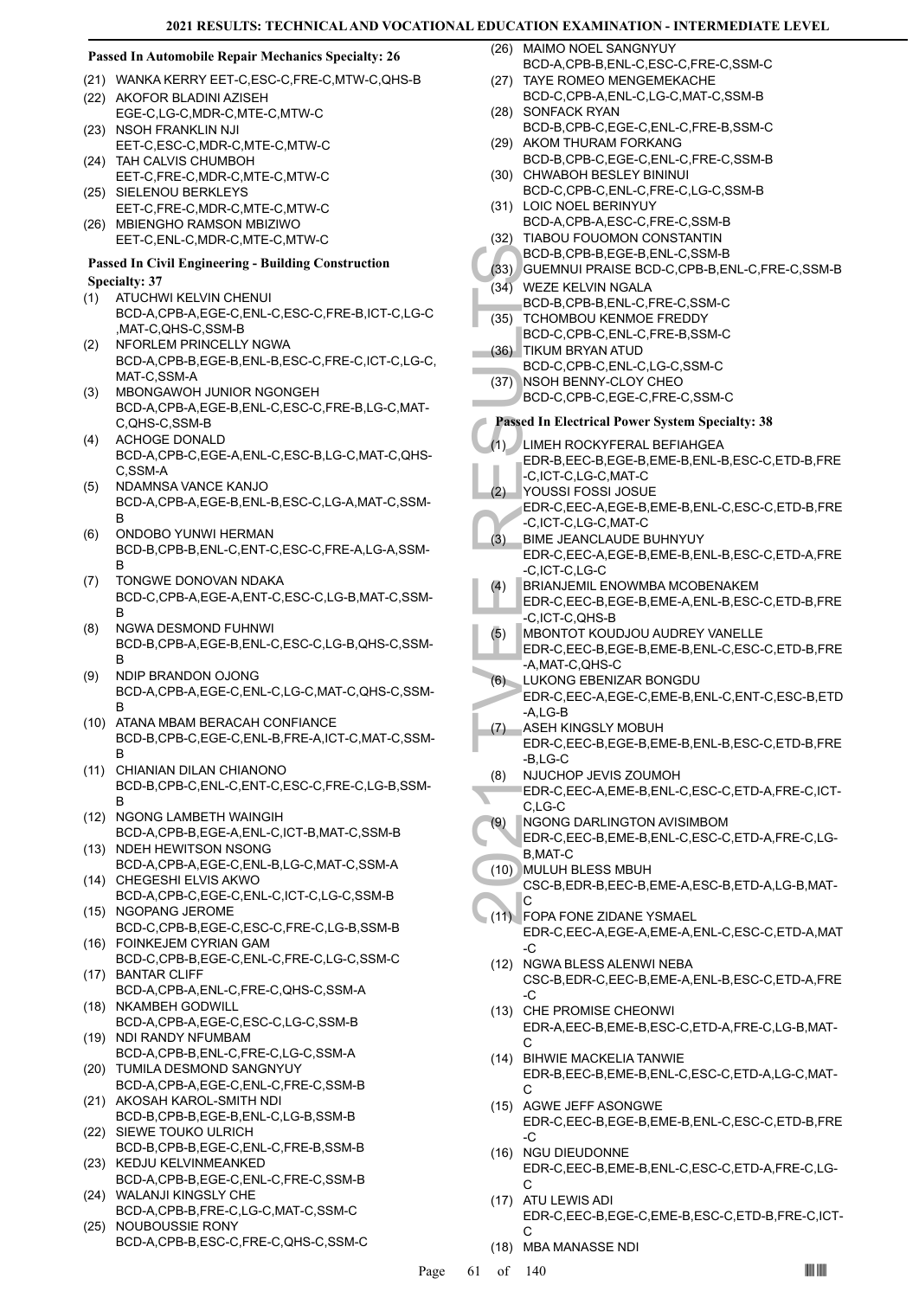#### **Passed In Automobile Repair Mechanics Specialty: 26**

- (21) WANKA KERRY EET-C,ESC-C,FRE-C,MTW-C,QHS-B
- (22) AKOFOR BLADINI AZISEH EGE-C,LG-C,MDR-C,MTE-C,MTW-C (23) NSOH FRANKLIN NJI
- EET-C,ESC-C,MDR-C,MTE-C,MTW-C (24) TAH CALVIS CHUMBOH
- EET-C,FRE-C,MDR-C,MTE-C,MTW-C (25) SIELENOU BERKLEYS
- EET-C,FRE-C,MDR-C,MTE-C,MTW-C MBIENGHO RAMSON MBIZIWO (26)
- EET-C,ENL-C,MDR-C,MTE-C,MTW-C

#### **Passed In Civil Engineering - Building Construction Specialty: 37**

- ATUCHWI KELVIN CHENUI BCD-A,CPB-A,EGE-C,ENL-C,ESC-C,FRE-B,ICT-C,LG-C ,MAT-C,QHS-C,SSM-B (1)
- NFORLEM PRINCELLY NGWA BCD-A,CPB-B,EGE-B,ENL-B,ESC-C,FRE-C,ICT-C,LG-C, MAT-C,SSM-A (2)
- MBONGAWOH JUNIOR NGONGEH BCD-A,CPB-A,EGE-B,ENL-C,ESC-C,FRE-B,LG-C,MAT-C,QHS-C,SSM-B (3)
- ACHOGE DONALD BCD-A,CPB-C,EGE-A,ENL-C,ESC-B,LG-C,MAT-C,QHS-C,SSM-A (4)
- NDAMNSA VANCE KANJO BCD-A,CPB-A,EGE-B,ENL-B,ESC-C,LG-A,MAT-C,SSM-B (5)
- ONDOBO YUNWI HERMAN BCD-B,CPB-B,ENL-C,ENT-C,ESC-C,FRE-A,LG-A,SSM-B (6)
- TONGWE DONOVAN NDAKA BCD-C,CPB-A,EGE-A,ENT-C,ESC-C,LG-B,MAT-C,SSM-B (7)
- NGWA DESMOND FUHNWI BCD-B,CPB-A,EGE-B,ENL-C,ESC-C,LG-B,QHS-C,SSM-B (8)
- NDIP BRANDON OJONG BCD-A,CPB-A,EGE-C,ENL-C,LG-C,MAT-C,QHS-C,SSM-B (9)
- (10) ATANA MBAM BERACAH CONFIANCE BCD-B,CPB-C,EGE-C,ENL-B,FRE-A,ICT-C,MAT-C,SSM-B
- CHIANIAN DILAN CHIANONO (11) BCD-B,CPB-C,ENL-C,ENT-C,ESC-C,FRE-C,LG-B,SSM-B
- (12) NGONG LAMBETH WAINGIH BCD-A,CPB-B,EGE-A,ENL-C,ICT-B,MAT-C,SSM-B
- NDEH HEWITSON NSONG BCD-A,CPB-A,EGE-C,ENL-B,LG-C,MAT-C,SSM-A (13) CHEGESHI ELVIS AKWO (14)
- BCD-A,CPB-C,EGE-C,ENL-C,ICT-C,LG-C,SSM-B (15) NGOPANG JEROME
- BCD-C,CPB-B,EGE-C,ESC-C,FRE-C,LG-B,SSM-B FOINKEJEM CYRIAN GAM (16)
- BCD-C,CPB-B,EGE-C,ENL-C,FRE-C,LG-C,SSM-C (17) BANTAR CLIFF
- BCD-A,CPB-A,ENL-C,FRE-C,QHS-C,SSM-A (18) NKAMBEH GODWILL
- BCD-A,CPB-A,EGE-C,ESC-C,LG-C,SSM-B (19) NDI RANDY NFUMBAM
- BCD-A,CPB-B,ENL-C,FRE-C,LG-C,SSM-A (20) TUMILA DESMOND SANGNYUY
- BCD-A,CPB-A,EGE-C,ENL-C,FRE-C,SSM-B (21) AKOSAH KAROL-SMITH NDI
- BCD-B,CPB-B,EGE-B,ENL-C,LG-B,SSM-B (22) SIEWE TOUKO ULRICH
- BCD-B,CPB-B,EGE-C,ENL-C,FRE-B,SSM-B (23) KEDJU KELVINMEANKED
- BCD-A,CPB-B,EGE-C,ENL-C,FRE-C,SSM-B WALANJI KINGSLY CHE (24)
- BCD-A,CPB-B,FRE-C,LG-C,MAT-C,SSM-C (25) NOUBOUSSIE RONY
- BCD-A,CPB-B,ESC-C,FRE-C,QHS-C,SSM-C

(26) MAIMO NOEL SANGNYUY BCD-A,CPB-B,ENL-C,ESC-C,FRE-C,SSM-C

- TAYE ROMEO MENGEMEKACHE BCD-C,CPB-A,ENL-C,LG-C,MAT-C,SSM-B  $(27)$
- (28) SONFACK RYAN BCD-B,CPB-C,EGE-C,ENL-C,FRE-B,SSM-C (29) AKOM THURAM FORKANG
- BCD-B,CPB-C,EGE-C,ENL-C,FRE-C,SSM-B (30) CHWABOH BESLEY BININUI
- BCD-C,CPB-C,ENL-C,FRE-C,LG-C,SSM-B (31) LOIC NOEL BERINYUY
- BCD-A,CPB-A,ESC-C,FRE-C,SSM-B
- (32) TIABOU FOUOMON CONSTANTIN
- BCD-B,CPB-B,EGE-B,ENL-C,SSM-B
- (33) GUEMNUI PRAISE BCD-C,CPB-B,ENL-C,FRE-C,SSM-B
- WEZE KELVIN NGALA (34)
- BCD-B,CPB-B,ENL-C,FRE-C,SSM-C TCHOMBOU KENMOE FREDDY (35)
- BCD-C,CPB-C,ENL-C,FRE-B,SSM-C
- TIKUM BRYAN ATUD (36)
	- BCD-C,CPB-C,ENL-C,LG-C,SSM-C
- NSOH BENNY-CLOY CHEO BCD-C,CPB-C,EGE-C,FRE-C,SSM-C (37)

# **Passed In Electrical Power System Specialty: 38**

- BCD-B, (33) GUEMN<br>
(34) WEZE R<br>
BCD-B, (35) TCHOM<br>
BCD-C, TIKUM BCD-C, TRUM BCD-C, TRUM BCD-C, TRUM BCD-C, TRUM BCD-C, TRUM BCD-C, TRUM BCD-C, TRUM BCD-C, TRUM BCD-C, TCL CHOR-C, C, ICT-C, TCL CHOR-C, C, ICT-C, TCL CHOR-C, LIMEH ROCKYFERAL BEFIAHGEA EDR-B,EEC-B,EGE-B,EME-B,ENL-B,ESC-C,ETD-B,FRE -C,ICT-C,LG-C,MAT-C (1) YOUSSI FOSSI JOSUE EDR-C,EEC-A,EGE-B,EME-B,ENL-C,ESC-C,ETD-B,FRE -C,ICT-C,LG-C,MAT-C (2) BIME JEANCLAUDE BUHNYUY EDR-C,EEC-A,EGE-B,EME-B,ENL-B,ESC-C,ETD-A,FRE -C,ICT-C,LG-C (3) BRIANJEMIL ENOWMBA MCOBENAKEM EDR-C,EEC-B,EGE-B,EME-A,ENL-B,ESC-C,ETD-B,FRE -C,ICT-C,QHS-B (4) MBONTOT KOUDJOU AUDREY VANELLE (5)
	- EDR-C,EEC-B,EGE-B,EME-B,ENL-C,ESC-C,ETD-B,FRE -A,MAT-C,QHS-C
- LUKONG EBENIZAR BONGDU EDR-C,EEC-A,EGE-C,EME-B,ENL-C,ENT-C,ESC-B,ETD -A,LG-B  $(6)$
- ASEH KINGSLY MOBUH EDR-C,EEC-B,EGE-B,EME-B,ENL-B,ESC-C,ETD-B,FRE -B,LG-C (7)
- NJUCHOP JEVIS ZOUMOH (8)
- EDR-C,EEC-A,EME-B,ENL-C,ESC-C,ETD-A,FRE-C,ICT-C,LG-C
- NGONG DARLINGTON AVISIMBOM (9)
- EDR-C,EEC-B,EME-B,ENL-C,ESC-C,ETD-A,FRE-C,LG-B,MAT-C
- MULUH BLESS MBUH (10) CSC-B,EDR-B,EEC-B,EME-A,ESC-B,ETD-A,LG-B,MAT-
- C FOPA FONE ZIDANE YSMAEL EDR-C,EEC-A,EGE-A,EME-A,ENL-C,ESC-C,ETD-A,MAT  $\overline{C}$  $(11)$
- (12) NGWA BLESS ALENWI NEBA CSC-B,EDR-C,EEC-B,EME-A,ENL-B,ESC-C,ETD-A,FRE -C
- (13) CHE PROMISE CHEONWI EDR-A,EEC-B,EME-B,ESC-C,ETD-A,FRE-C,LG-B,MAT-C
- BIHWIE MACKELIA TANWIE (14) EDR-B,EEC-B,EME-B,ENL-C,ESC-C,ETD-A,LG-C,MAT-C
- (15) AGWE JEFF ASONGWE EDR-C,EEC-B,EGE-B,EME-B,ENL-C,ESC-C,ETD-B,FRE -C
- (16) NGU DIEUDONNE EDR-C,EEC-B,EME-B,ENL-C,ESC-C,ETD-A,FRE-C,LG-C
- (17) ATU LEWIS ADI EDR-C,EEC-B,EGE-C,EME-B,ESC-C,ETD-B,FRE-C,ICT-C
- (18) MBA MANASSE NDI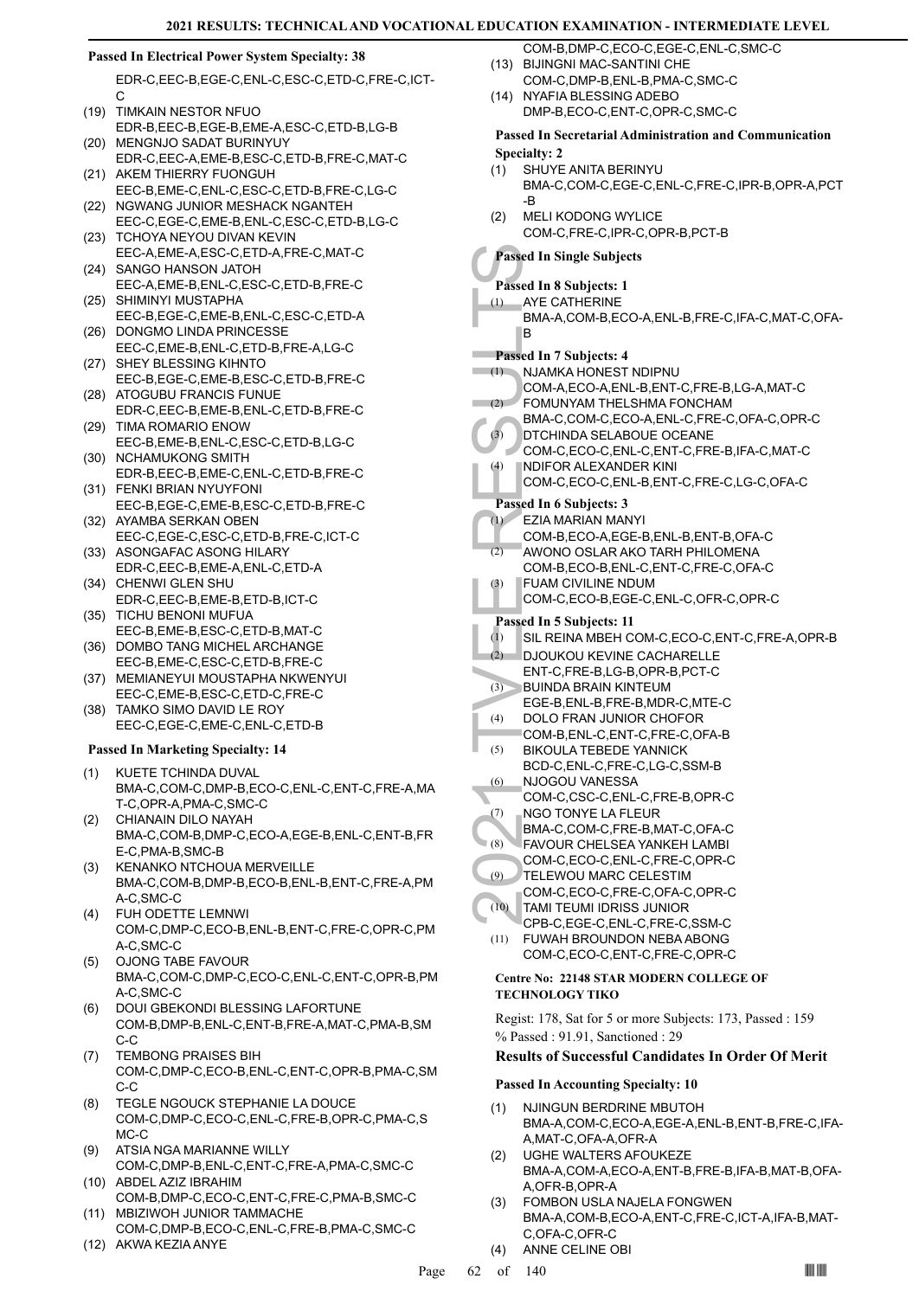### **Passed In Electrical Power System Specialty: 38**

EDR-C,EEC-B,EGE-C,ENL-C,ESC-C,ETD-C,FRE-C,ICT-C

- (19) TIMKAIN NESTOR NFUO EDR-B,EEC-B,EGE-B,EME-A,ESC-C,ETD-B,LG-B (20) MENGNJO SADAT BURINYUY
- EDR-C,EEC-A,EME-B,ESC-C,ETD-B,FRE-C,MAT-C (21) AKEM THIERRY FUONGUH
- EEC-B,EME-C,ENL-C,ESC-C,ETD-B,FRE-C,LG-C (22) NGWANG JUNIOR MESHACK NGANTEH
- EEC-C,EGE-C,EME-B,ENL-C,ESC-C,ETD-B,LG-C (23) TCHOYA NEYOU DIVAN KEVIN
- EEC-A,EME-A,ESC-C,ETD-A,FRE-C,MAT-C (24) SANGO HANSON JATOH
- EEC-A,EME-B,ENL-C,ESC-C,ETD-B,FRE-C (25) SHIMINYI MUSTAPHA
- EEC-B,EGE-C,EME-B,ENL-C,ESC-C,ETD-A (26) DONGMO LINDA PRINCESSE
- EEC-C,EME-B,ENL-C,ETD-B,FRE-A,LG-C (27) SHEY BLESSING KIHNTO
- EEC-B,EGE-C,EME-B,ESC-C,ETD-B,FRE-C (28) ATOGUBU FRANCIS FUNUE
- EDR-C,EEC-B,EME-B,ENL-C,ETD-B,FRE-C (29) TIMA ROMARIO ENOW
- EEC-B,EME-B,ENL-C,ESC-C,ETD-B,LG-C (30) NCHAMUKONG SMITH
- EDR-B,EEC-B,EME-C,ENL-C,ETD-B,FRE-C FENKI BRIAN NYUYFONI (31)
- EEC-B,EGE-C,EME-B,ESC-C,ETD-B,FRE-C (32) AYAMBA SERKAN OBEN
- EEC-C,EGE-C,ESC-C,ETD-B,FRE-C,ICT-C (33) ASONGAFAC ASONG HILARY
- EDR-C,EEC-B,EME-A,ENL-C,ETD-A (34) CHENWI GLEN SHU
- EDR-C,EEC-B,EME-B,ETD-B,ICT-C (35) TICHU BENONI MUFUA
- EEC-B,EME-B,ESC-C,ETD-B,MAT-C
- (36) DOMBO TANG MICHEL ARCHANGE EEC-B,EME-C,ESC-C,ETD-B,FRE-C
- (37) MEMIANEYUI MOUSTAPHA NKWENYUI EEC-C,EME-B,ESC-C,ETD-C,FRE-C
- TAMKO SIMO DAVID LE ROY EEC-C,EGE-C,EME-C,ENL-C,ETD-B (38)

# **Passed In Marketing Specialty: 14**

- KUETE TCHINDA DUVAL BMA-C,COM-C,DMP-B,ECO-C,ENL-C,ENT-C,FRE-A,MA T-C,OPR-A,PMA-C,SMC-C (1)
- CHIANAIN DILO NAYAH BMA-C,COM-B,DMP-C,ECO-A,EGE-B,ENL-C,ENT-B,FR E-C,PMA-B,SMC-B (2)
- KENANKO NTCHOUA MERVEILLE BMA-C,COM-B,DMP-B,ECO-B,ENL-B,ENT-C,FRE-A,PM A-C,SMC-C (3)
- FUH ODETTE LEMNWI COM-C,DMP-C,ECO-B,ENL-B,ENT-C,FRE-C,OPR-C,PM A-C,SMC-C (4)
- OJONG TABE FAVOUR BMA-C,COM-C,DMP-C,ECO-C,ENL-C,ENT-C,OPR-B,PM A-C,SMC-C (5)
- DOUI GBEKONDI BLESSING LAFORTUNE COM-B,DMP-B,ENL-C,ENT-B,FRE-A,MAT-C,PMA-B,SM C-C (6)
- TEMBONG PRAISES BIH COM-C,DMP-C,ECO-B,ENL-C,ENT-C,OPR-B,PMA-C,SM C-C (7)
- TEGLE NGOUCK STEPHANIE LA DOUCE COM-C,DMP-C,ECO-C,ENL-C,FRE-B,OPR-C,PMA-C,S MC-C (8)
- ATSIA NGA MARIANNE WILLY COM-C,DMP-B,ENL-C,ENT-C,FRE-A,PMA-C,SMC-C (9) (10) ABDEL AZIZ IBRAHIM
- COM-B,DMP-C,ECO-C,ENT-C,FRE-C,PMA-B,SMC-C MBIZIWOH JUNIOR TAMMACHE (11)
- COM-C,DMP-B,ECO-C,ENL-C,FRE-B,PMA-C,SMC-C
- (12) AKWA KEZIA ANYE
- COM-B,DMP-C,ECO-C,EGE-C,ENL-C,SMC-C BIJINGNI MAC-SANTINI CHE (13)
- COM-C, DMP-B, ENL-B, PMA-C, SMC-C
- (14) NYAFIA BLESSING ADEBO DMP-B,ECO-C,ENT-C,OPR-C,SMC-C

#### **Passed In Secretarial Administration and Communication Specialty: 2**

- SHUYE ANITA BERINYU BMA-C,COM-C,EGE-C,ENL-C,FRE-C,IPR-B,OPR-A,PCT -B (1)
- MELI KODONG WYLICE COM-C,FRE-C,IPR-C,OPR-B,PCT-B  $(2)$

# **Passed In Single Subjects**

- **Passed In 8 Subjects: 1**
- AYE CATHERINE (1)
	- BMA-A,COM-B,ECO-A,ENL-B,FRE-C,IFA-C,MAT-C,OFA-B

# **Passed In 7 Subjects: 4**

- NJAMKA HONEST NDIPNU  $(1)$
- COM-A,ECO-A,ENL-B,ENT-C,FRE-B,LG-A,MAT-C FOMUNYAM THELSHMA FONCHAM  $(2)$ 
	- BMA-C,COM-C,ECO-A,ENL-C,FRE-C,OFA-C,OPR-C
- DTCHINDA SELABOUE OCEANE (3)
	- COM-C,ECO-C,ENL-C,ENT-C,FRE-B,IFA-C,MAT-C NDIFOR ALEXANDER KINI (4)
	- COM-C,ECO-C,ENL-B,ENT-C,FRE-C,LG-C,OFA-C

# **Passed In 6 Subjects: 3**

- EZIA MARIAN MANYI (1)
- COM-B,ECO-A,EGE-B,ENL-B,ENT-B,OFA-C
- AWONO OSLAR AKO TARH PHILOMENA COM-B,ECO-B,ENL-C,ENT-C,FRE-C,OFA-C (2)
- FUAM CIVILINE NDUM (3)
	- COM-C,ECO-B,EGE-C,ENL-C,OFR-C,OPR-C

# **Passed In 5 Subjects: 11**

- (1) SIL REINA MBEH COM-C,ECO-C,ENT-C,FRE-A,OPR-B
- DJOUKOU KEVINE CACHARELLE (2)
- ENT-C,FRE-B,LG-B,OPR-B,PCT-C
- BUINDA BRAIN KINTEUM (3)
- EGE-B,ENL-B,FRE-B,MDR-C,MTE-C DOLO FRAN JUNIOR CHOFOR (4)
- COM-B,ENL-C,ENT-C,FRE-C,OFA-B
- Passed In 81<br>
(1) AYE CA<br>
BMA-A, B<br>
(1) AYE CA<br>
BMA-A, B<br>
(1) NJAMK<br>
COM-A, COM-A, FOMUN<br>
MA-C, PTCHIN<br>
COM-C, DTCHIN<br>
COM-C, Passed In 61<br>
(2) EVIAMC<br>
COM-B, GU<br>
(2) AWONC<br>
COM-B, GU<br>
(3) FUAMC<br>
COM-B, GU<br>
(3) FUAMC<br>
COM-BIKOULA TEBEDE YANNICK BCD-C,ENL-C,FRE-C,LG-C,SSM-B (5)
- NJOGOU VANESSA COM-C,CSC-C,ENL-C,FRE-B,OPR-C (6)
- NGO TONYE LA FLEUR (7)
- BMA-C,COM-C,FRE-B,MAT-C,OFA-C
- FAVOUR CHELSEA YANKEH LAMBI (8)
- COM-C,ECO-C,ENL-C,FRE-C,OPR-C
- TELEWOU MARC CELESTIM (9)
- COM-C,ECO-C,FRE-C,OFA-C,OPR-C TAMI TEUMI IDRISS JUNIOR (10)
- CPB-C,EGE-C,ENL-C,FRE-C,SSM-C FUWAH BROUNDON NEBA ABONG (11)

# COM-C,ECO-C,ENT-C,FRE-C,OPR-C

# **Centre No: 22148 STAR MODERN COLLEGE OF TECHNOLOGY TIKO**

Regist: 178, Sat for 5 or more Subjects: 173, Passed : 159 % Passed : 91.91, Sanctioned : 29

# **Results of Successful Candidates In Order Of Merit**

# **Passed In Accounting Specialty: 10**

- NJINGUN BERDRINE MBUTOH BMA-A,COM-C,ECO-A,EGE-A,ENL-B,ENT-B,FRE-C,IFA-A,MAT-C,OFA-A,OFR-A (1)
- UGHE WALTERS AFOUKEZE BMA-A,COM-A,ECO-A,ENT-B,FRE-B,IFA-B,MAT-B,OFA-A,OFR-B,OPR-A (2)
- FOMBON USLA NAJELA FONGWEN BMA-A,COM-B,ECO-A,ENT-C,FRE-C,ICT-A,IFA-B,MAT-C,OFA-C,OFR-C (3)
- (4) ANNE CELINE OBI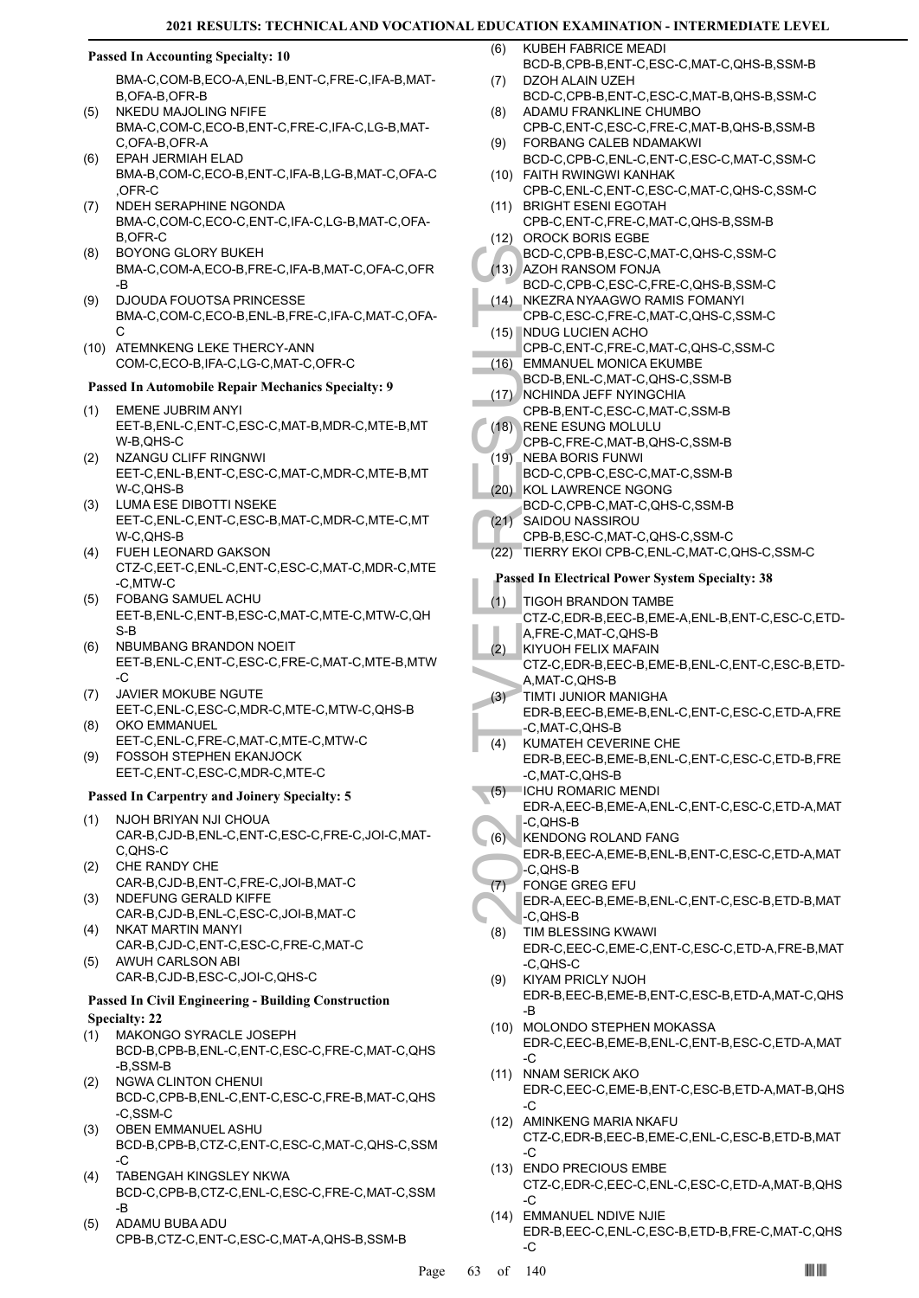#### **Passed In Accounting Specialty: 10**

BMA-C,COM-B,ECO-A,ENL-B,ENT-C,FRE-C,IFA-B,MAT-B,OFA-B,OFR-B

- NKEDU MAJOLING NFIFE BMA-C,COM-C,ECO-B,ENT-C,FRE-C,IFA-C,LG-B,MAT-C,OFA-B,OFR-A (5)
- EPAH JERMIAH ELAD BMA-B,COM-C,ECO-B,ENT-C,IFA-B,LG-B,MAT-C,OFA-C ,OFR-C (6)
- NDEH SERAPHINE NGONDA BMA-C,COM-C,ECO-C,ENT-C,IFA-C,LG-B,MAT-C,OFA-B,OFR-C (7)
- BOYONG GLORY BUKEH BMA-C,COM-A,ECO-B,FRE-C,IFA-B,MAT-C,OFA-C,OFR -B (8)
- DJOUDA FOUOTSA PRINCESSE BMA-C,COM-C,ECO-B,ENL-B,FRE-C,IFA-C,MAT-C,OFA- $\mathcal{C}$ (9)
- (10) ATEMNKENG LEKE THERCY-ANN COM-C,ECO-B,IFA-C,LG-C,MAT-C,OFR-C

#### **Passed In Automobile Repair Mechanics Specialty: 9**

- EMENE JUBRIM ANYI EET-B,ENL-C,ENT-C,ESC-C,MAT-B,MDR-C,MTE-B,MT W-B,QHS-C (1)
- NZANGU CLIFF RINGNWI EET-C,ENL-B,ENT-C,ESC-C,MAT-C,MDR-C,MTE-B,MT W-C,QHS-B (2)
- LUMA ESE DIBOTTI NSEKE EET-C,ENL-C,ENT-C,ESC-B,MAT-C,MDR-C,MTE-C,MT W-C,QHS-B (3)
- FUEH LEONARD GAKSON CTZ-C,EET-C,ENL-C,ENT-C,ESC-C,MAT-C,MDR-C,MTE -C,MTW-C (4)
- FOBANG SAMUEL ACHU EET-B,ENL-C,ENT-B,ESC-C,MAT-C,MTE-C,MTW-C,QH S-B (5)
- NBUMBANG BRANDON NOEIT EET-B,ENL-C,ENT-C,ESC-C,FRE-C,MAT-C,MTE-B,MTW  $-C$ (6)
- JAVIER MOKUBE NGUTE EET-C,ENL-C,ESC-C,MDR-C,MTE-C,MTW-C,QHS-B (7)
- OKO EMMANUEL EET-C,ENL-C,FRE-C,MAT-C,MTE-C,MTW-C (8) FOSSOH STEPHEN EKANJOCK (9)
- EET-C,ENT-C,ESC-C,MDR-C,MTE-C

# **Passed In Carpentry and Joinery Specialty: 5**

- NJOH BRIYAN NJI CHOUA CAR-B,CJD-B,ENL-C,ENT-C,ESC-C,FRE-C,JOI-C,MAT-C,QHS-C (1)
- CHE RANDY CHE CAR-B,CJD-B,ENT-C,FRE-C,JOI-B,MAT-C (2)
- NDEFUNG GERALD KIFFE CAR-B,CJD-B,ENL-C,ESC-C,JOI-B,MAT-C (3) NKAT MARTIN MANYI (4)
- CAR-B,CJD-C,ENT-C,ESC-C,FRE-C,MAT-C AWUH CARLSON ABI (5)
- CAR-B,CJD-B,ESC-C,JOI-C,QHS-C

#### **Passed In Civil Engineering - Building Construction Specialty: 22**

- MAKONGO SYRACLE JOSEPH (1)
- BCD-B,CPB-B,ENL-C,ENT-C,ESC-C,FRE-C,MAT-C,QHS -B,SSM-B
- NGWA CLINTON CHENUI BCD-C,CPB-B,ENL-C,ENT-C,ESC-C,FRE-B,MAT-C,QHS -C,SSM-C (2)
- OBEN EMMANUEL ASHU BCD-B,CPB-B,CTZ-C,ENT-C,ESC-C,MAT-C,QHS-C,SSM  $-C$ (3)
- TABENGAH KINGSLEY NKWA BCD-C,CPB-B,CTZ-C,ENL-C,ESC-C,FRE-C,MAT-C,SSM -B (4)
- ADAMU BUBA ADU CPB-B,CTZ-C,ENT-C,ESC-C,MAT-A,QHS-B,SSM-B (5)
- KUBEH FABRICE MEADI BCD-B,CPB-B,ENT-C,ESC-C,MAT-C,QHS-B,SSM-B (6)
- DZOH ALAIN UZEH BCD-C,CPB-B,ENT-C,ESC-C,MAT-B,QHS-B,SSM-C (7)
- ADAMU FRANKLINE CHUMBO CPB-C,ENT-C,ESC-C,FRE-C,MAT-B,QHS-B,SSM-B (8)
- FORBANG CALEB NDAMAKWI BCD-C,CPB-C,ENL-C,ENT-C,ESC-C,MAT-C,SSM-C (9)
- FAITH RWINGWI KANHAK (10) CPB-C,ENL-C,ENT-C,ESC-C,MAT-C,QHS-C,SSM-C
- (11) BRIGHT ESENI EGOTAH
- CPB-C,ENT-C,FRE-C,MAT-C,QHS-B,SSM-B (12) OROCK BORIS EGBE
- BCD-C,CPB-B,ESC-C,MAT-C,QHS-C,SSM-C AZOH RANSOM FONJA (13)
- BCD-C,CPB-C,ESC-C,FRE-C,QHS-B,SSM-C NKEZRA NYAAGWO RAMIS FOMANYI (14)
- CPB-C,ESC-C,FRE-C,MAT-C,QHS-C,SSM-C
- (15) NDUG LUCIEN ACHO CPB-C,ENT-C,FRE-C,MAT-C,QHS-C,SSM-C
- EMMANUEL MONICA EKUMBE (16)
- BCD-B,ENL-C,MAT-C,QHS-C,SSM-B
- (17) NCHINDA JEFF NYINGCHIA
- CPB-B,ENT-C,ESC-C,MAT-C,SSM-B (18)
- RENE ESUNG MOLULU
- CPB-C,FRE-C,MAT-B,QHS-C,SSM-B NEBA BORIS FUNWI (19)
- BCD-C,CPB-C,ESC-C,MAT-C,SSM-B KOL LAWRENCE NGONG (20)
- BCD-C,CPB-C,MAT-C,QHS-C,SSM-B
- SAIDOU NASSIROU  $(21)$
- CPB-B,ESC-C,MAT-C,QHS-C,SSM-C (22) TIERRY EKOI CPB-C,ENL-C,MAT-C,QHS-C,SSM-C
- **Passed In Electrical Power System Specialty: 38**
- TIGOH BRANDON TAMBE (1)
- CTZ-C,EDR-B,EEC-B,EME-A,ENL-B,ENT-C,ESC-C,ETD-A,FRE-C,MAT-C,QHS-B
- KIYUOH FELIX MAFAIN (2)
- CTZ-C,EDR-B,EEC-B,EME-B,ENL-C,ENT-C,ESC-B,ETD-A,MAT-C,QHS-B
- TIMTI JUNIOR MANIGHA EDR-B,EEC-B,EME-B,ENL-C,ENT-C,ESC-C,ETD-A,FRE -C,MAT-C,QHS-B  $(3)$
- KUMATEH CEVERINE CHE EDR-B,EEC-B,EME-B,ENL-C,ENT-C,ESC-C,ETD-B,FRE -C,MAT-C,QHS-B (4)
- BCD-C, (13) NCH (15) CPB-C, (14) NKEZR, CPB-C, (14) NKEZR, CPB-C, (15) NDUG L<br>
CPB-C, (16) EMMAN<br>
BCD-B, INCH INC CPB-B, (17) NCH INC CPB-B, (18) RENE E CPB-C, (19) NEBA B<br>
CPB-C, (19) NEBA BCD-C, (21) SAIDOU CPB-B, (22) T ICHU ROMARIC MENDI EDR-A,EEC-B,EME-A,ENL-C,ENT-C,ESC-C,ETD-A,MAT -C,QHS-B  $(5)$
- KENDONG ROLAND FANG  $(6)$ 
	- EDR-B,EEC-A,EME-B,ENL-B,ENT-C,ESC-C,ETD-A,MAT -C,QHS-B
- FONGE GREG EFU (7)
	- EDR-A,EEC-B,EME-B,ENL-C,ENT-C,ESC-B,ETD-B,MAT -C,QHS-B
	- TIM BLESSING KWAWI EDR-C,EEC-C,EME-C,ENT-C,ESC-C,ETD-A,FRE-B,MAT -C,QHS-C (8)
	- KIYAM PRICLY NJOH EDR-B,EEC-B,EME-B,ENT-C,ESC-B,ETD-A,MAT-C,QHS -B (9)
	- (10) MOLONDO STEPHEN MOKASSA EDR-C,EEC-B,EME-B,ENL-C,ENT-B,ESC-C,ETD-A,MAT -C
	- (11) NNAM SERICK AKO EDR-C,EEC-C,EME-B,ENT-C,ESC-B,ETD-A,MAT-B,QHS -C
	- (12) AMINKENG MARIA NKAFU CTZ-C,EDR-B,EEC-B,EME-C,ENL-C,ESC-B,ETD-B,MAT -C
	- (13) ENDO PRECIOUS EMBE CTZ-C,EDR-C,EEC-C,ENL-C,ESC-C,ETD-A,MAT-B,QHS  $-C$
	- EMMANUEL NDIVE NJIE (14) EDR-B,EEC-C,ENL-C,ESC-B,ETD-B,FRE-C,MAT-C,QHS  $-C$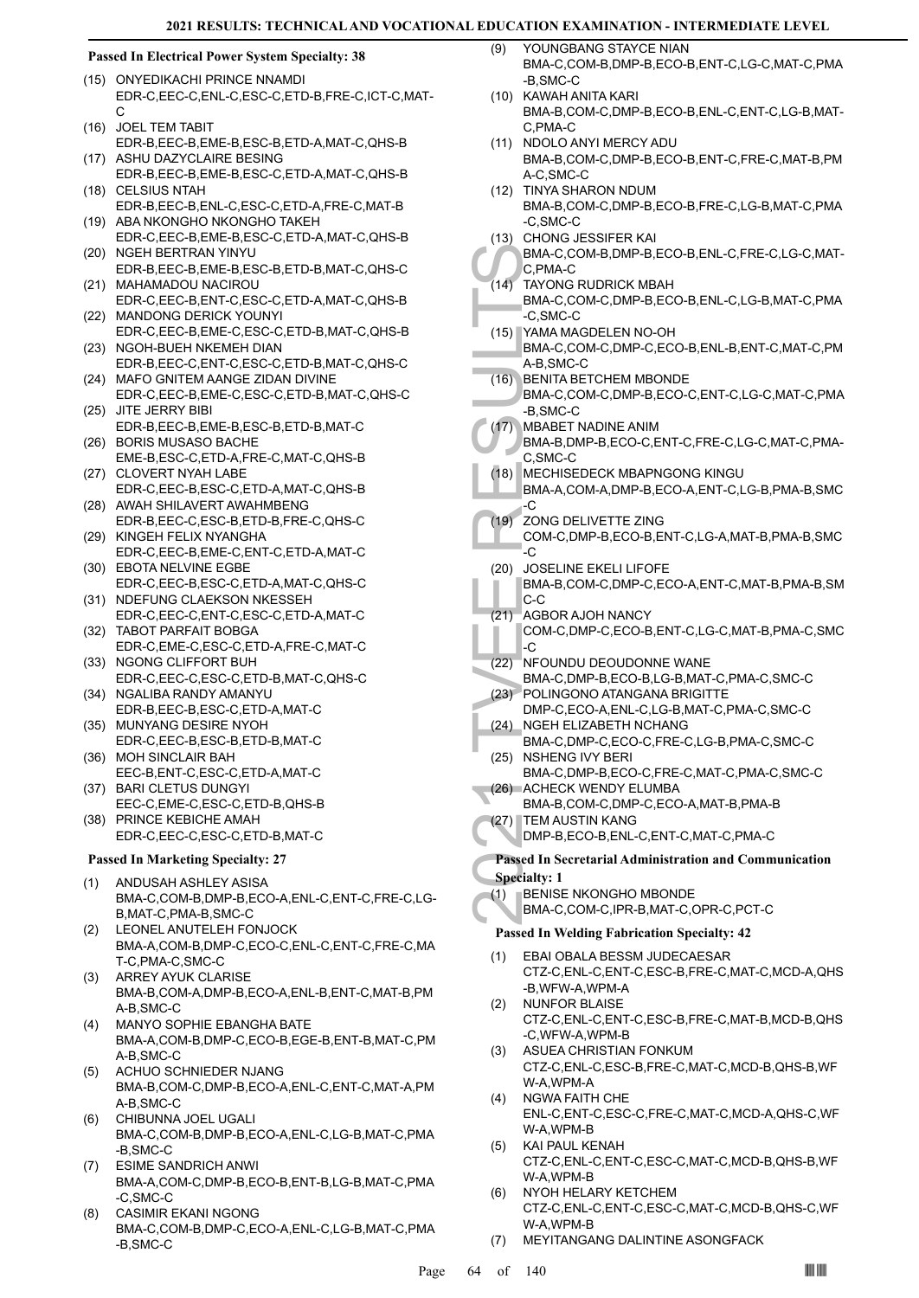### **Passed In Electrical Power System Specialty: 38**

- (15) ONYEDIKACHI PRINCE NNAMDI EDR-C,EEC-C,ENL-C,ESC-C,ETD-B,FRE-C,ICT-C,MAT- $\mathcal{C}$
- (16) JOEL TEM TABIT EDR-B,EEC-B,EME-B,ESC-B,ETD-A,MAT-C,QHS-B
- (17) ASHU DAZYCLAIRE BESING EDR-B,EEC-B,EME-B,ESC-C,ETD-A,MAT-C,QHS-B
- CELSIUS NTAH EDR-B,EEC-B,ENL-C,ESC-C,ETD-A,FRE-C,MAT-B (18) (19) ABA NKONGHO NKONGHO TAKEH
- EDR-C,EEC-B,EME-B,ESC-C,ETD-A,MAT-C,QHS-B (20) NGEH BERTRAN YINYU
- EDR-B,EEC-B,EME-B,ESC-B,ETD-B,MAT-C,QHS-C (21) MAHAMADOU NACIROU
- EDR-C,EEC-B,ENT-C,ESC-C,ETD-A,MAT-C,QHS-B (22) MANDONG DERICK YOUNYI
- EDR-C,EEC-B,EME-C,ESC-C,ETD-B,MAT-C,QHS-B (23) NGOH-BUEH NKEMEH DIAN
- EDR-B,EEC-C,ENT-C,ESC-C,ETD-B,MAT-C,QHS-C (24) MAFO GNITEM AANGE ZIDAN DIVINE
- EDR-C,EEC-B,EME-C,ESC-C,ETD-B,MAT-C,QHS-C (25) JITE JERRY BIBI
- EDR-B,EEC-B,EME-B,ESC-B,ETD-B,MAT-C (26) BORIS MUSASO BACHE
- EME-B,ESC-C,ETD-A,FRE-C,MAT-C,QHS-B (27) CLOVERT NYAH LABE
- EDR-C,EEC-B,ESC-C,ETD-A,MAT-C,QHS-B (28) AWAH SHILAVERT AWAHMBENG
- EDR-B,EEC-C,ESC-B,ETD-B,FRE-C,QHS-C (29) KINGEH FELIX NYANGHA
- EDR-C,EEC-B,EME-C,ENT-C,ETD-A,MAT-C (30) EBOTA NELVINE EGBE
- EDR-C,EEC-B,ESC-C,ETD-A,MAT-C,QHS-C (31) NDEFUNG CLAEKSON NKESSEH
- EDR-C,EEC-C,ENT-C,ESC-C,ETD-A,MAT-C TABOT PARFAIT BOBGA (32)
- EDR-C,EME-C,ESC-C,ETD-A,FRE-C,MAT-C (33) NGONG CLIFFORT BUH
- EDR-C,EEC-C,ESC-C,ETD-B,MAT-C,QHS-C (34) NGALIBA RANDY AMANYU
- EDR-B,EEC-B,ESC-C,ETD-A,MAT-C (35) MUNYANG DESIRE NYOH
- EDR-C,EEC-B,ESC-B,ETD-B,MAT-C (36) MOH SINCLAIR BAH
- EEC-B,ENT-C,ESC-C,ETD-A,MAT-C
- BARI CLETUS DUNGYI (37) EEC-C,EME-C,ESC-C,ETD-B,QHS-B
- (38) PRINCE KEBICHE AMAH EDR-C,EEC-C,ESC-C,ETD-B,MAT-C

# **Passed In Marketing Specialty: 27**

- ANDUSAH ASHLEY ASISA BMA-C,COM-B,DMP-B,ECO-A,ENL-C,ENT-C,FRE-C,LG-B,MAT-C,PMA-B,SMC-C (1)
- LEONEL ANUTELEH FONJOCK BMA-A,COM-B,DMP-C,ECO-C,ENL-C,ENT-C,FRE-C,MA T-C,PMA-C,SMC-C (2)
- ARREY AYUK CLARISE BMA-B,COM-A,DMP-B,ECO-A,ENL-B,ENT-C,MAT-B,PM A-B,SMC-C (3)
- MANYO SOPHIE EBANGHA BATE BMA-A,COM-B,DMP-C,ECO-B,EGE-B,ENT-B,MAT-C,PM A-B,SMC-C (4)
- ACHUO SCHNIEDER NJANG BMA-B,COM-C,DMP-B,ECO-A,ENL-C,ENT-C,MAT-A,PM A-B,SMC-C (5)
- CHIBUNNA JOEL UGALI BMA-C,COM-B,DMP-B,ECO-A,ENL-C,LG-B,MAT-C,PMA -B,SMC-C (6)
- ESIME SANDRICH ANWI BMA-A,COM-C,DMP-B,ECO-B,ENT-B,LG-B,MAT-C,PMA -C,SMC-C (7)
- CASIMIR EKANI NGONG BMA-C,COM-B,DMP-C,ECO-A,ENL-C,LG-B,MAT-C,PMA -B,SMC-C (8)
- YOUNGBANG STAYCE NIAN BMA-C,COM-B,DMP-B,ECO-B,ENT-C,LG-C,MAT-C,PMA -B,SMC-C (9)
- KAWAH ANITA KARI (10) BMA-B,COM-C,DMP-B,ECO-B,ENL-C,ENT-C,LG-B,MAT-C,PMA-C
- (11) NDOLO ANYI MERCY ADU BMA-B,COM-C,DMP-B,ECO-B,ENT-C,FRE-C,MAT-B,PM A-C,SMC-C
- (12) TINYA SHARON NDUM BMA-B,COM-C,DMP-B,ECO-B,FRE-C,LG-B,MAT-C,PMA -C,SMC-C
- CHONG JESSIFER KAI (13)
- BMA-C,COM-B,DMP-B,ECO-B,ENL-C,FRE-C,LG-C,MAT-C,PMA-C
- TAYONG RUDRICK MBAH  $(14)$
- BMA-C,COM-C,DMP-B,ECO-B,ENL-C,LG-B,MAT-C,PMA -C,SMC-C
- YAMA MAGDELEN NO-OH (15) BMA-C,COM-C,DMP-C,ECO-B,ENL-B,ENT-C,MAT-C,PM A-B,SMC-C
- BENITA BETCHEM MBONDE (16)
- BMA-C,COM-C,DMP-B,ECO-C,ENT-C,LG-C,MAT-C,PMA -B,SMC-C
- MBABET NADINE ANIM (17)
	- BMA-B,DMP-B,ECO-C,ENT-C,FRE-C,LG-C,MAT-C,PMA-C,SMC-C
- MECHISEDECK MBAPNGONG KINGU (18)
	- BMA-A,COM-A,DMP-B,ECO-A,ENT-C,LG-B,PMA-B,SMC -C
- ZONG DELIVETTE ZING COM-C,DMP-B,ECO-B,ENT-C,LG-A,MAT-B,PMA-B,SMC -C  $(19)$
- BMA-C,<br>C,PMA-TAYON(<br>BMA-C,<br>C,SMC<br>BMA-C,<br>C,SMC<br>BMA-C,<br>A-B,SMC<br>BMA-C,<br>A-B,SMC<br>BMA-C,<br>B,SMC<br>BMA-B,<br>C,SMC-B, S,SMC<br>C, R,SMC<br>C, R,SMC<br>C, R,SMC<br>C, R,SMC<br>C, R,SMC<br>C, R,SMC<br>C, C, S, MECHIS<br>BMA-A,<br>C, C, D, D, D, D, D, D, D, D, D, D JOSELINE EKELI LIFOFE BMA-B,COM-C,DMP-C,ECO-A,ENT-C,MAT-B,PMA-B,SM C-C (20)
	- AGBOR AJOH NANCY (21)
		- COM-C,DMP-C,ECO-B,ENT-C,LG-C,MAT-B,PMA-C,SMC  $\overline{\cdot}$
- (22) NFOUNDU DEOUDONNE WANE
- BMA-C,DMP-B,ECO-B,LG-B,MAT-C,PMA-C,SMC-C POLINGONO ATANGANA BRIGITTE (23)
- DMP-C,ECO-A,ENL-C,LG-B,MAT-C,PMA-C,SMC-C NGEH ELIZABETH NCHANG (24)
- BMA-C,DMP-C,ECO-C,FRE-C,LG-B,PMA-C,SMC-C (25) NSHENG IVY BERI
- BMA-C,DMP-B,ECO-C,FRE-C,MAT-C,PMA-C,SMC-C (26) ACHECK WENDY ELUMBA
	- BMA-B,COM-C,DMP-C,ECO-A,MAT-B,PMA-B
- (27) TEM AUSTIN KANG
- DMP-B,ECO-B,ENL-C,ENT-C,MAT-C,PMA-C **Passed In Secretarial Administration and Communication**
- **Specialty: 1**
	- BENISE NKONGHO MBONDE (1)
	- BMA-C,COM-C,IPR-B,MAT-C,OPR-C,PCT-C

# **Passed In Welding Fabrication Specialty: 42**

- EBAI OBALA BESSM JUDECAESAR CTZ-C,ENL-C,ENT-C,ESC-B,FRE-C,MAT-C,MCD-A,QHS -B,WFW-A,WPM-A (1) NUNFOR BLAISE (2)
- CTZ-C,ENL-C,ENT-C,ESC-B,FRE-C,MAT-B,MCD-B,QHS -C,WFW-A,WPM-B
- ASUEA CHRISTIAN FONKUM CTZ-C,ENL-C,ESC-B,FRE-C,MAT-C,MCD-B,QHS-B,WF W-A WPM-A (3)
- NGWA FAITH CHE ENL-C,ENT-C,ESC-C,FRE-C,MAT-C,MCD-A,QHS-C,WF W-A,WPM-B (4)
- KAI PAUL KENAH CTZ-C,ENL-C,ENT-C,ESC-C,MAT-C,MCD-B,QHS-B,WF W-A,WPM-B (5)
- NYOH HELARY KETCHEM CTZ-C,ENL-C,ENT-C,ESC-C,MAT-C,MCD-B,QHS-C,WF W-A,WPM-B (6)
- (7) MEYITANGANG DALINTINE ASONGFACK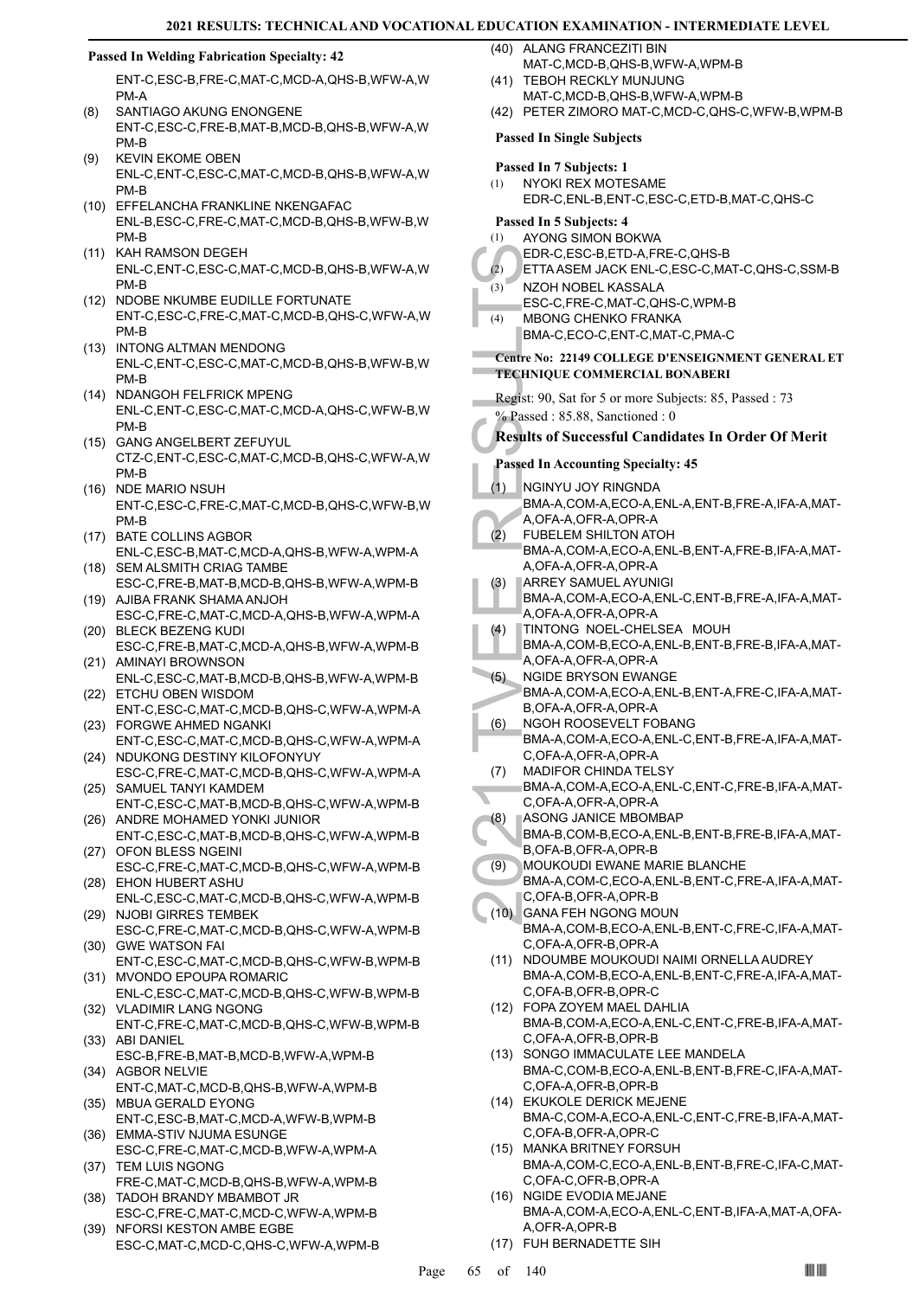# **Passed In Welding Fabrication Specialty: 42**

ENT-C,ESC-B,FRE-C,MAT-C,MCD-A,QHS-B,WFW-A,W PM-A

- SANTIAGO AKUNG ENONGENE ENT-C,ESC-C,FRE-B,MAT-B,MCD-B,QHS-B,WFW-A,W PM-B (8)
- KEVIN EKOME OBEN ENL-C,ENT-C,ESC-C,MAT-C,MCD-B,QHS-B,WFW-A,W PM-B (9)
- (10) EFFELANCHA FRANKLINE NKENGAFAC ENL-B,ESC-C,FRE-C,MAT-C,MCD-B,QHS-B,WFW-B,W PM-B
- (11) KAH RAMSON DEGEH ENL-C,ENT-C,ESC-C,MAT-C,MCD-B,QHS-B,WFW-A,W PM-B
- (12) NDOBE NKUMBE EUDILLE FORTUNATE ENT-C,ESC-C,FRE-C,MAT-C,MCD-B,QHS-C,WFW-A,W PM-B
- (13) INTONG ALTMAN MENDONG ENL-C,ENT-C,ESC-C,MAT-C,MCD-B,QHS-B,WFW-B,W PM-B
- (14) NDANGOH FELFRICK MPENG ENL-C,ENT-C,ESC-C,MAT-C,MCD-A,QHS-C,WFW-B,W PM-B
- GANG ANGELBERT ZEFUYUL (15) CTZ-C,ENT-C,ESC-C,MAT-C,MCD-B,QHS-C,WFW-A,W PM-B
- (16) NDE MARIO NSUH ENT-C,ESC-C,FRE-C,MAT-C,MCD-B,QHS-C,WFW-B,W PM-B
- (17) BATE COLLINS AGBOR ENL-C,ESC-B,MAT-C,MCD-A,QHS-B,WFW-A,WPM-A
- (18) SEM ALSMITH CRIAG TAMBE ESC-C,FRE-B,MAT-B,MCD-B,QHS-B,WFW-A,WPM-B
- (19) AJIBA FRANK SHAMA ANJOH ESC-C,FRE-C,MAT-C,MCD-A,QHS-B,WFW-A,WPM-A BLECK BEZENG KUDI (20)
- ESC-C,FRE-B,MAT-C,MCD-A,QHS-B,WFW-A,WPM-B (21) AMINAYI BROWNSON
- ENL-C,ESC-C,MAT-B,MCD-B,QHS-B,WFW-A,WPM-B (22) ETCHU OBEN WISDOM
- ENT-C,ESC-C,MAT-C,MCD-B,QHS-C,WFW-A,WPM-A FORGWE AHMED NGANKI (23)
- ENT-C,ESC-C,MAT-C,MCD-B,QHS-C,WFW-A,WPM-A (24) NDUKONG DESTINY KILOFONYUY
- ESC-C,FRE-C,MAT-C,MCD-B,QHS-C,WFW-A,WPM-A (25) SAMUEL TANYI KAMDEM
- ENT-C,ESC-C,MAT-B,MCD-B,QHS-C,WFW-A,WPM-B (26) ANDRE MOHAMED YONKI JUNIOR
- ENT-C,ESC-C,MAT-B,MCD-B,QHS-C,WFW-A,WPM-B (27) OFON BLESS NGEINI
- ESC-C,FRE-C,MAT-C,MCD-B,QHS-C,WFW-A,WPM-B EHON HUBERT ASHU (28)
- ENL-C,ESC-C,MAT-C,MCD-B,QHS-C,WFW-A,WPM-B (29) NJOBI GIRRES TEMBEK
- ESC-C,FRE-C,MAT-C,MCD-B,QHS-C,WFW-A,WPM-B (30) GWE WATSON FAI
- ENT-C,ESC-C,MAT-C,MCD-B,QHS-C,WFW-B,WPM-B (31) MVONDO EPOUPA ROMARIC
- ENL-C,ESC-C,MAT-C,MCD-B,QHS-C,WFW-B,WPM-B (32) VLADIMIR LANG NGONG
- ENT-C,FRE-C,MAT-C,MCD-B,QHS-C,WFW-B,WPM-B (33) ABI DANIEL
- ESC-B,FRE-B,MAT-B,MCD-B,WFW-A,WPM-B (34) AGBOR NELVIE
- ENT-C,MAT-C,MCD-B,QHS-B,WFW-A,WPM-B (35) MBUA GERALD EYONG
- ENT-C,ESC-B,MAT-C,MCD-A,WFW-B,WPM-B (36) EMMA-STIV NJUMA ESUNGE
- ESC-C,FRE-C,MAT-C,MCD-B,WFW-A,WPM-A (37) TEM LUIS NGONG
- FRE-C,MAT-C,MCD-B,QHS-B,WFW-A,WPM-B (38) TADOH BRANDY MBAMBOT JR
- ESC-C,FRE-C,MAT-C,MCD-C,WFW-A,WPM-B NFORSI KESTON AMBE EGBE
- ESC-C,MAT-C,MCD-C,QHS-C,WFW-A,WPM-B (39)
- (40) ALANG FRANCEZITI BIN MAT-C,MCD-B,QHS-B,WFW-A,WPM-B
- (41) TEBOH RECKLY MUNJUNG MAT-C,MCD-B,QHS-B,WFW-A,WPM-B

EDR-C,<br>
(3) ETTAAS<br>
ESC-C,<br>
(4) MBONC<br>
BMA-C,<br>
Centre No: 22<br>
TECHNIQUE<br>
Regist: 90, S.<br>
<sup>26</sup> Passed : 8:<br>
Results of S<br>
Passed In Ac<br>
(1) NGINYL<br>
BMA-A,<br>
A,OFA-A,<br>
A,OFA-A,<br>
A,OFA-A,<br>
A,OFA-A,<br>
A,OFA-A,<br>
A,OFA-A,<br>
A,OFA-A (42) PETER ZIMORO MAT-C,MCD-C,QHS-C,WFW-B,WPM-B **Passed In Single Subjects Passed In 7 Subjects: 1** NYOKI REX MOTESAME EDR-C,ENL-B,ENT-C,ESC-C,ETD-B,MAT-C,QHS-C (1) **Passed In 5 Subjects: 4** AYONG SIMON BOKWA EDR-C,ESC-B,ETD-A,FRE-C,QHS-B (1) (2) ETTA ASEM JACK ENL-C,ESC-C,MAT-C,QHS-C,SSM-B NZOH NOBEL KASSALA ESC-C,FRE-C,MAT-C,QHS-C,WPM-B  $(3)$ MBONG CHENKO FRANKA BMA-C,ECO-C,ENT-C,MAT-C,PMA-C (4) **Centre No: 22149 COLLEGE D'ENSEIGNMENT GENERAL ET TECHNIQUE COMMERCIAL BONABERI**  Regist: 90, Sat for 5 or more Subjects: 85, Passed : 73 % Passed : 85.88, Sanctioned : 0 **Results of Successful Candidates In Order Of Merit Passed In Accounting Specialty: 45** NGINYU JOY RINGNDA BMA-A,COM-A,ECO-A,ENL-A,ENT-B,FRE-A,IFA-A,MAT-A,OFA-A,OFR-A,OPR-A (1) FUBELEM SHILTON ATOH BMA-A,COM-A,ECO-A,ENL-B,ENT-A,FRE-B,IFA-A,MAT-A,OFA-A,OFR-A,OPR-A (2) ARREY SAMUEL AYUNIGI BMA-A,COM-A,ECO-A,ENL-C,ENT-B,FRE-A,IFA-A,MAT-A,OFA-A,OFR-A,OPR-A (3) TINTONG NOEL-CHELSEA MOUH BMA-A,COM-B,ECO-A,ENL-B,ENT-B,FRE-B,IFA-A,MAT-A,OFA-A,OFR-A,OPR-A (4) NGIDE BRYSON EWANGE BMA-A,COM-A,ECO-A,ENL-B,ENT-A,FRE-C,IFA-A,MAT-B,OFA-A,OFR-A,OPR-A (5) NGOH ROOSEVELT FOBANG BMA-A,COM-A,ECO-A,ENL-C,ENT-B,FRE-A,IFA-A,MAT-C,OFA-A,OFR-A,OPR-A (6) MADIFOR CHINDA TELSY BMA-A,COM-A,ECO-A,ENL-C,ENT-C,FRE-B,IFA-A,MAT-C,OFA-A,OFR-A,OPR-A (7) ASONG JANICE MBOMBAP BMA-B,COM-B,ECO-A,ENL-B,ENT-B,FRE-B,IFA-A,MAT-B,OFA-B,OFR-A,OPR-B (8) MOUKOUDI EWANE MARIE BLANCHE BMA-A,COM-C,ECO-A,ENL-B,ENT-C,FRE-A,IFA-A,MAT-C,OFA-B,OFR-A,OPR-B (9) GANA FEH NGONG MOUN (10) BMA-A,COM-B,ECO-A,ENL-B,ENT-C,FRE-C,IFA-A,MAT-C,OFA-A,OFR-B,OPR-A (11) NDOUMBE MOUKOUDI NAIMI ORNELLA AUDREY BMA-A,COM-B,ECO-A,ENL-B,ENT-C,FRE-A,IFA-A,MAT-C,OFA-B,OFR-B,OPR-C FOPA ZOYEM MAEL DAHLIA (12) BMA-B,COM-A,ECO-A,ENL-C,ENT-C,FRE-B,IFA-A,MAT-C,OFA-A,OFR-B,OPR-B (13) SONGO IMMACULATE LEE MANDELA BMA-C,COM-B,ECO-A,ENL-B,ENT-B,FRE-C,IFA-A,MAT-C,OFA-A,OFR-B,OPR-B (14) EKUKOLE DERICK MEJENE BMA-C,COM-A,ECO-A,ENL-C,ENT-C,FRE-B,IFA-A,MAT-C,OFA-B,OFR-A,OPR-C (15) MANKA BRITNEY FORSUH BMA-A,COM-C,ECO-A,ENL-B,ENT-B,FRE-C,IFA-C,MAT-C,OFA-C,OFR-B,OPR-A (16) NGIDE EVODIA MEJANE BMA-A,COM-A,ECO-A,ENL-C,ENT-B,IFA-A,MAT-A,OFA-A,OFR-A,OPR-B (17) FUH BERNADETTE SIH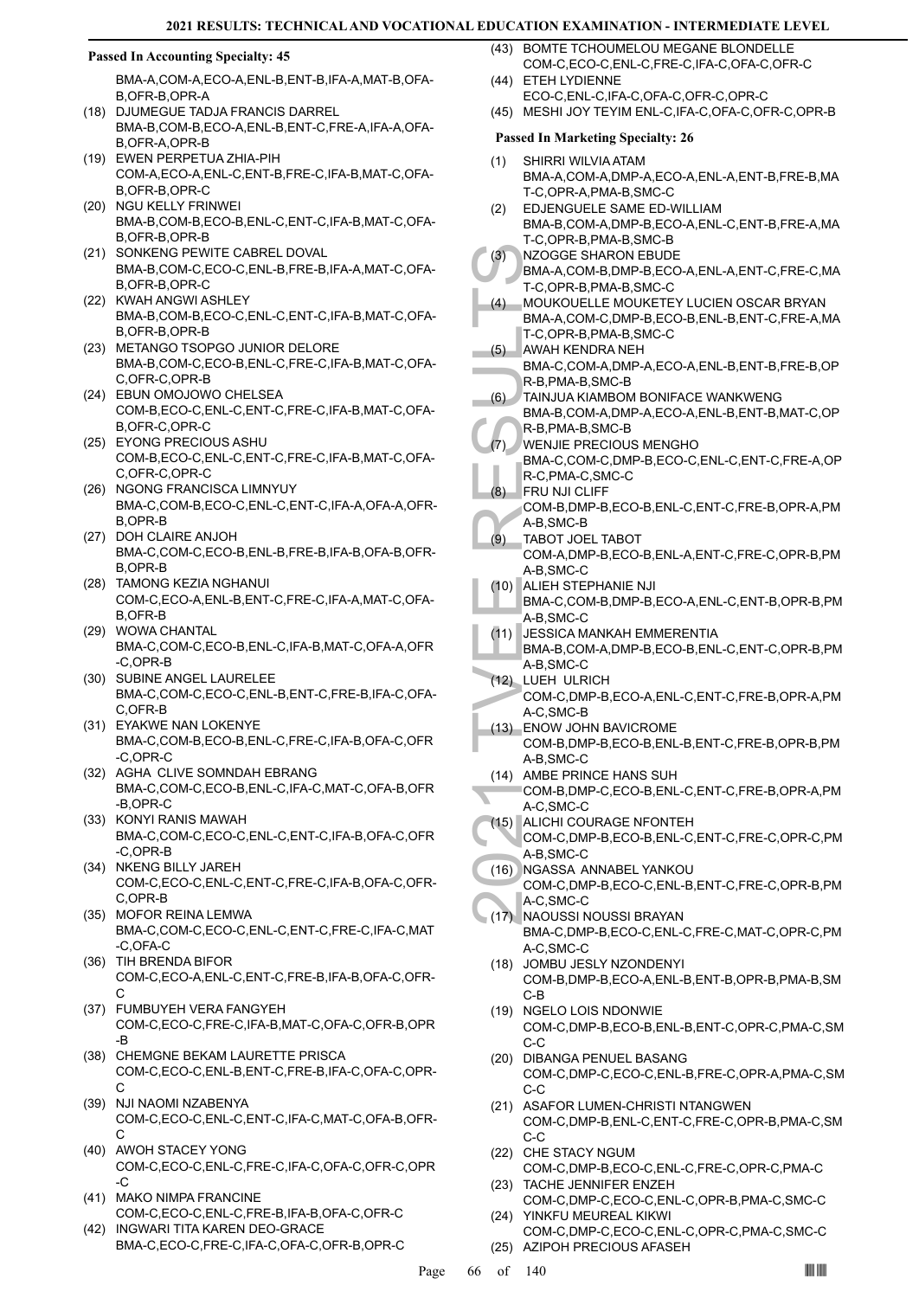# **Passed In Accounting Specialty: 45**

BMA-A,COM-A,ECO-A,ENL-B,ENT-B,IFA-A,MAT-B,OFA-B,OFR-B,OPR-A

- (18) DJUMEGUE TADJA FRANCIS DARREL BMA-B,COM-B,ECO-A,ENL-B,ENT-C,FRE-A,IFA-A,OFA-B,OFR-A,OPR-B
- EWEN PERPETUA ZHIA-PIH (19) COM-A,ECO-A,ENL-C,ENT-B,FRE-C,IFA-B,MAT-C,OFA-B,OFR-B,OPR-C
- (20) NGU KELLY FRINWEI BMA-B,COM-B,ECO-B,ENL-C,ENT-C,IFA-B,MAT-C,OFA-B,OFR-B,OPR-B
- (21) SONKENG PEWITE CABREL DOVAL BMA-B,COM-C,ECO-C,ENL-B,FRE-B,IFA-A,MAT-C,OFA-B,OFR-B,OPR-C
- (22) KWAH ANGWI ASHLEY BMA-B,COM-B,ECO-C,ENL-C,ENT-C,IFA-B,MAT-C,OFA-B,OFR-B,OPR-B
- (23) METANGO TSOPGO JUNIOR DELORE BMA-B,COM-C,ECO-B,ENL-C,FRE-C,IFA-B,MAT-C,OFA-C,OFR-C,OPR-B
- EBUN OMOJOWO CHELSEA (24) COM-B,ECO-C,ENL-C,ENT-C,FRE-C,IFA-B,MAT-C,OFA-B,OFR-C,OPR-C
- EYONG PRECIOUS ASHU (25) COM-B,ECO-C,ENL-C,ENT-C,FRE-C,IFA-B,MAT-C,OFA-C,OFR-C,OPR-C
- (26) NGONG FRANCISCA LIMNYUY BMA-C,COM-B,ECO-C,ENL-C,ENT-C,IFA-A,OFA-A,OFR-B,OPR-B
- (27) DOH CLAIRE ANJOH BMA-C,COM-C,ECO-B,ENL-B,FRE-B,IFA-B,OFA-B,OFR-B,OPR-B
- TAMONG KEZIA NGHANUI (28) COM-C,ECO-A,ENL-B,ENT-C,FRE-C,IFA-A,MAT-C,OFA-B,OFR-B
- (29) WOWA CHANTAL BMA-C,COM-C,ECO-B,ENL-C,IFA-B,MAT-C,OFA-A,OFR -C,OPR-B
- (30) SUBINE ANGEL LAURELEE BMA-C,COM-C,ECO-C,ENL-B,ENT-C,FRE-B,IFA-C,OFA-C,OFR-B
- EYAKWE NAN LOKENYE (31) BMA-C,COM-B,ECO-B,ENL-C,FRE-C,IFA-B,OFA-C,OFR -C,OPR-C
- (32) AGHA CLIVE SOMNDAH EBRANG BMA-C,COM-C,ECO-B,ENL-C,IFA-C,MAT-C,OFA-B,OFR -B,OPR-C
- (33) KONYI RANIS MAWAH BMA-C,COM-C,ECO-C,ENL-C,ENT-C,IFA-B,OFA-C,OFR -C,OPR-B
- (34) NKENG BILLY JAREH COM-C,ECO-C,ENL-C,ENT-C,FRE-C,IFA-B,OFA-C,OFR-C,OPR-B
- (35) MOFOR REINA LEMWA BMA-C,COM-C,ECO-C,ENL-C,ENT-C,FRE-C,IFA-C,MAT -C,OFA-C
- (36) TIH BRENDA BIFOR COM-C,ECO-A,ENL-C,ENT-C,FRE-B,IFA-B,OFA-C,OFR- $\mathsf{C}$
- FUMBUYEH VERA FANGYEH (37) COM-C,ECO-C,FRE-C,IFA-B,MAT-C,OFA-C,OFR-B,OPR -B
- (38) CHEMGNE BEKAM LAURETTE PRISCA COM-C,ECO-C,ENL-B,ENT-C,FRE-B,IFA-C,OFA-C,OPR- $\cap$
- (39) NJI NAOMI NZABENYA COM-C,ECO-C,ENL-C,ENT-C,IFA-C,MAT-C,OFA-B,OFR-C
- (40) AWOH STACEY YONG COM-C,ECO-C,ENL-C,FRE-C,IFA-C,OFA-C,OFR-C,OPR -C
- (41) MAKO NIMPA FRANCINE COM-C,ECO-C,ENL-C,FRE-B,IFA-B,OFA-C,OFR-C
- INGWARI TITA KAREN DEO-GRACE BMA-C,ECO-C,FRE-C,IFA-C,OFA-C,OFR-B,OPR-C (42)
- (43) BOMTE TCHOUMELOU MEGANE BLONDELLE COM-C,ECO-C,ENL-C,FRE-C,IFA-C,OFA-C,OFR-C (44) ETEH LYDIENNE
- ECO-C,ENL-C,IFA-C,OFA-C,OFR-C,OPR-C
- (45) MESHI JOY TEYIM ENL-C,IFA-C,OFA-C,OFR-C,OPR-B

# **Passed In Marketing Specialty: 26**

- SHIRRI WILVIA ATAM (1) BMA-A,COM-A,DMP-A,ECO-A,ENL-A,ENT-B,FRE-B,MA T-C,OPR-A,PMA-B,SMC-C
- EDJENGUELE SAME ED-WILLIAM BMA-B,COM-A,DMP-B,ECO-A,ENL-C,ENT-B,FRE-A,MA T-C,OPR-B,PMA-B,SMC-B (2)
- (3) NZOGG<br>
BMA-A, T-C,OPI<br>
MOUKC BMA-A, T-C,OPI<br>
MOUKC BMA-A, T-C,OPI<br>
MOUKC BMA-A, T-C,OPI<br>
AWAH P BMA-C, R-B,PM.<br>
EMA-B, R-B,PM.<br>
BMA-B, R-B,PM.<br>
COM-B, A-B,SMI<br>
COM-A, A-B,SMI<br>
(10) ALIEH S BMA-C, A-B,SMI<br>
(10) ALIEH S NZOGGE SHARON EBUDE BMA-A,COM-B,DMP-B,ECO-A,ENL-A,ENT-C,FRE-C,MA T-C,OPR-B,PMA-B,SMC-C (3) MOUKOUELLE MOUKETEY LUCIEN OSCAR BRYAN (4)
	- BMA-A,COM-C,DMP-B,ECO-B,ENL-B,ENT-C,FRE-A,MA T-C,OPR-B,PMA-B,SMC-C AWAH KENDRA NEH (5)
- BMA-C,COM-A,DMP-A,ECO-A,ENL-B,ENT-B,FRE-B,OP R-B,PMA-B,SMC-B
- TAINJUA KIAMBOM BONIFACE WANKWENG (6)
- BMA-B,COM-A,DMP-A,ECO-A,ENL-B,ENT-B,MAT-C,OP R-B,PMA-B,SMC-B
- WENJIE PRECIOUS MENGHO BMA-C,COM-C,DMP-B,ECO-C,ENL-C,ENT-C,FRE-A,OP R-C,PMA-C,SMC-C (7)
- FRU NJI CLIFF (8)
- COM-B,DMP-B,ECO-B,ENL-C,ENT-C,FRE-B,OPR-A,PM A-B,SMC-B
- TABOT JOEL TABOT COM-A,DMP-B,ECO-B,ENL-A,ENT-C,FRE-C,OPR-B,PM A-B,SMC-C (9)
- ALIEH STEPHANIE NJI (10)
	- BMA-C,COM-B,DMP-B,ECO-A,ENL-C,ENT-B,OPR-B,PM A-B,SMC-C
- JESSICA MANKAH EMMERENTIA (11)
- BMA-B,COM-A,DMP-B,ECO-B,ENL-C,ENT-C,OPR-B,PM A-B,SMC-C
- (12) LUEH ULRICH COM-C,DMP-B,ECO-A,ENL-C,ENT-C,FRE-B,OPR-A,PM A-C,SMC-B
- ENOW JOHN BAVICROME (13)
	- COM-B,DMP-B,ECO-B,ENL-B,ENT-C,FRE-B,OPR-B,PM A-B,SMC-C
- (14) AMBE PRINCE HANS SUH
- COM-B,DMP-C,ECO-B,ENL-C,ENT-C,FRE-B,OPR-A,PM A-C,SMC-C
- (15) ALICHI COURAGE NFONTEH
- COM-C,DMP-B,ECO-B,ENL-C,ENT-C,FRE-C,OPR-C,PM A-B,SMC-C
- (16) NGASSA ANNABEL YANKOU
- COM-C,DMP-B,ECO-C,ENL-B,ENT-C,FRE-C,OPR-B,PM A-C,SMC-C
- (17) NAOUSSI NOUSSI BRAYAN BMA-C,DMP-B,ECO-C,ENL-C,FRE-C,MAT-C,OPR-C,PM A-C,SMC-C
- JOMBU JESLY NZONDENYI (18) COM-B,DMP-B,ECO-A,ENL-B,ENT-B,OPR-B,PMA-B,SM C-B
- (19) NGELO LOIS NDONWIE COM-C,DMP-B,ECO-B,ENL-B,ENT-C,OPR-C,PMA-C,SM C-C
- (20) DIBANGA PENUEL BASANG COM-C,DMP-C,ECO-C,ENL-B,FRE-C,OPR-A,PMA-C,SM C-C
- (21) ASAFOR LUMEN-CHRISTI NTANGWEN COM-C,DMP-B,ENL-C,ENT-C,FRE-C,OPR-B,PMA-C,SM C-C
- (22) CHE STACY NGUM
- COM-C,DMP-B,ECO-C,ENL-C,FRE-C,OPR-C,PMA-C (23) TACHE JENNIFER ENZEH
- COM-C,DMP-C,ECO-C,ENL-C,OPR-B,PMA-C,SMC-C YINKFU MEUREAL KIKWI (24)
- COM-C,DMP-C,ECO-C,ENL-C,OPR-C,PMA-C,SMC-C (25) AZIPOH PRECIOUS AFASEH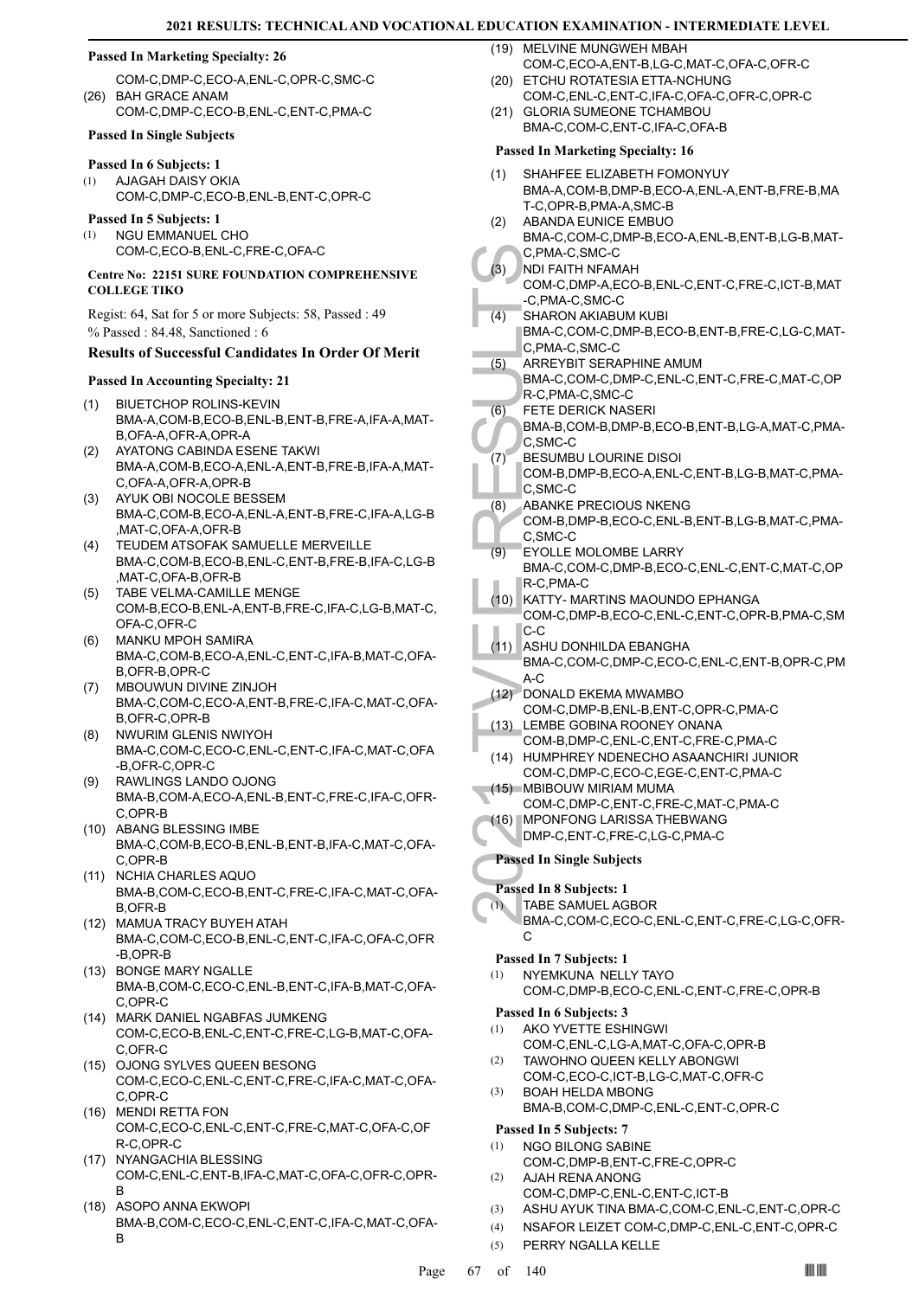### **Passed In Marketing Specialty: 26**

- COM-C,DMP-C,ECO-A,ENL-C,OPR-C,SMC-C BAH GRACE ANAM (26)
- COM-C,DMP-C,ECO-B,ENL-C,ENT-C,PMA-C

# **Passed In Single Subjects**

# **Passed In 6 Subjects: 1**

AJAGAH DAISY OKIA COM-C,DMP-C,ECO-B,ENL-B,ENT-C,OPR-C (1)

#### **Passed In 5 Subjects: 1**

NGU EMMANUEL CHO COM-C,ECO-B,ENL-C,FRE-C,OFA-C (1)

### **Centre No: 22151 SURE FOUNDATION COMPREHENSIVE COLLEGE TIKO**

Regist: 64, Sat for 5 or more Subjects: 58, Passed : 49

% Passed : 84.48, Sanctioned : 6

# **Results of Successful Candidates In Order Of Merit**

#### **Passed In Accounting Specialty: 21**

- BIUETCHOP ROLINS-KEVIN (1) BMA-A,COM-B,ECO-B,ENL-B,ENT-B,FRE-A,IFA-A,MAT-B,OFA-A,OFR-A,OPR-A
- AYATONG CABINDA ESENE TAKWI BMA-A,COM-B,ECO-A,ENL-A,ENT-B,FRE-B,IFA-A,MAT-C,OFA-A,OFR-A,OPR-B (2)
- AYUK OBI NOCOLE BESSEM BMA-C,COM-B,ECO-A,ENL-A,ENT-B,FRE-C,IFA-A,LG-B ,MAT-C,OFA-A,OFR-B (3)
- TEUDEM ATSOFAK SAMUELLE MERVEILLE BMA-C,COM-B,ECO-B,ENL-C,ENT-B,FRE-B,IFA-C,LG-B ,MAT-C,OFA-B,OFR-B (4)
- TABE VELMA-CAMILLE MENGE (5) COM-B,ECO-B,ENL-A,ENT-B,FRE-C,IFA-C,LG-B,MAT-C, OFA-C,OFR-C
- MANKU MPOH SAMIRA BMA-C,COM-B,ECO-A,ENL-C,ENT-C,IFA-B,MAT-C,OFA-B,OFR-B,OPR-C (6)
- MBOUWUN DIVINE ZINJOH BMA-C,COM-C,ECO-A,ENT-B,FRE-C,IFA-C,MAT-C,OFA-B,OFR-C,OPR-B (7)
- NWURIM GLENIS NWIYOH BMA-C,COM-C,ECO-C,ENL-C,ENT-C,IFA-C,MAT-C,OFA -B,OFR-C,OPR-C (8)
- RAWLINGS LANDO OJONG BMA-B,COM-A,ECO-A,ENL-B,ENT-C,FRE-C,IFA-C,OFR-C,OPR-B (9)
- (10) ABANG BLESSING IMBE BMA-C,COM-B,ECO-B,ENL-B,ENT-B,IFA-C,MAT-C,OFA-C,OPR-B
- (11) NCHIA CHARLES AQUO BMA-B,COM-C,ECO-B,ENT-C,FRE-C,IFA-C,MAT-C,OFA-B,OFR-B
- (12) MAMUA TRACY BUYEH ATAH BMA-C,COM-C,ECO-B,ENL-C,ENT-C,IFA-C,OFA-C,OFR -B,OPR-B
- (13) BONGE MARY NGALLE BMA-B,COM-C,ECO-C,ENL-B,ENT-C,IFA-B,MAT-C,OFA-C,OPR-C
- (14) MARK DANIEL NGABFAS JUMKENG COM-C,ECO-B,ENL-C,ENT-C,FRE-C,LG-B,MAT-C,OFA-C,OFR-C
- (15) OJONG SYLVES QUEEN BESONG COM-C,ECO-C,ENL-C,ENT-C,FRE-C,IFA-C,MAT-C,OFA-C,OPR-C
- (16) MENDI RETTA FON COM-C,ECO-C,ENL-C,ENT-C,FRE-C,MAT-C,OFA-C,OF R-C,OPR-C
- (17) NYANGACHIA BLESSING COM-C,ENL-C,ENT-B,IFA-C,MAT-C,OFA-C,OFR-C,OPR-B
- (18) ASOPO ANNA EKWOPI BMA-B,COM-C,ECO-C,ENL-C,ENT-C,IFA-C,MAT-C,OFA-B

(19) MELVINE MUNGWEH MBAH COM-C,ECO-A,ENT-B,LG-C,MAT-C,OFA-C,OFR-C

- (20) ETCHU ROTATESIA ETTA-NCHUNG COM-C,ENL-C,ENT-C,IFA-C,OFA-C,OFR-C,OPR-C
- (21) GLORIA SUMEONE TCHAMBOU BMA-C,COM-C,ENT-C,IFA-C,OFA-B

# **Passed In Marketing Specialty: 16**

- SHAHFEE ELIZABETH FOMONYUY BMA-A,COM-B,DMP-B,ECO-A,ENL-A,ENT-B,FRE-B,MA T-C,OPR-B,PMA-A,SMC-B (1)
- ABANDA EUNICE EMBUO BMA-C,COM-C,DMP-B,ECO-A,ENL-B,ENT-B,LG-B,MAT-(2)
- C,PMA-C,SMC-C NDI FAITH NFAMAH
	- COM-C,DMP-A,ECO-B,ENL-C,ENT-C,FRE-C,ICT-B,MAT -C,PMA-C,SMC-C (3)
	- SHARON AKIABUM KUBI (4)
	- BMA-C,COM-C,DMP-B,ECO-B,ENT-B,FRE-C,LG-C,MAT-C,PMA-C,SMC-C
- ARREYBIT SERAPHINE AMUM (5)
- BMA-C,COM-C,DMP-C,ENL-C,ENT-C,FRE-C,MAT-C,OP R-C,PMA-C,SMC-C
- FETE DERICK NASERI (6)
- BMA-B,COM-B,DMP-B,ECO-B,ENT-B,LG-A,MAT-C,PMA-C,SMC-C
- BESUMBU LOURINE DISOI COM-B,DMP-B,ECO-A,ENL-C,ENT-B,LG-B,MAT-C,PMA-C,SMC-C (7)
- ABANKE PRECIOUS NKENG (8)
- COM-B,DMP-B,ECO-C,ENL-B,ENT-B,LG-B,MAT-C,PMA-C,SMC-C
- EYOLLE MOLOMBE LARRY BMA-C,COM-C,DMP-B,ECO-C,ENL-C,ENT-C,MAT-C,OP R-C,PMA-C (9)
- C, PMA (3)<br>C, PMA (3)<br>C, PMA SHARO<br>BMA-C, C, PMA<br>SHARO<br>BMA-C, C, PMA<br>BMA-C, C, PMA-C, C, PMA-C, C, PMA-C, R-C, PM<br>BMA-C, R-C, PM<br>COM-B, C, SMC-<br>ABANKI<br>COM-B, C, SMC-<br>EYOLLE<br>BMA-C, R-C, PM<br>COM-B, C, SMC-<br>COM-B, C, SMC-<br>COM-(10) KATTY- MARTINS MAOUNDO EPHANGA COM-C,DMP-B,ECO-C,ENL-C,ENT-C,OPR-B,PMA-C,SM C-C
	- (11) ASHU DONHILDA EBANGHA
	- BMA-C,COM-C,DMP-C,ECO-C,ENL-C,ENT-B,OPR-C,PM A-C
	- (12) DONALD EKEMA MWAMBO
	- COM-C,DMP-B,ENL-B,ENT-C,OPR-C,PMA-C LEMBE GOBINA ROONEY ONANA (13)
	- COM-B,DMP-C,ENL-C,ENT-C,FRE-C,PMA-C (14) HUMPHREY NDENECHO ASAANCHIRI JUNIOR
	- COM-C,DMP-C,ECO-C,EGE-C,ENT-C,PMA-C MBIBOUW MIRIAM MUMA (15)
	- COM-C,DMP-C,ENT-C,FRE-C,MAT-C,PMA-C
	- MPONFONG LARISSA THEBWANG (16)
	- DMP-C,ENT-C,FRE-C,LG-C,PMA-C

# **Passed In Single Subjects**

- **Passed In 8 Subjects: 1**
- TABE SAMUEL AGBOR (1)

BMA-C,COM-C,ECO-C,ENL-C,ENT-C,FRE-C,LG-C,OFR- $\mathcal{C}$ 

#### **Passed In 7 Subjects: 1**

NYEMKUNA NELLY TAYO COM-C,DMP-B,ECO-C,ENL-C,ENT-C,FRE-C,OPR-B (1)

# **Passed In 6 Subjects: 3**

- AKO YVETTE ESHINGWI COM-C,ENL-C,LG-A,MAT-C,OFA-C,OPR-B (1)
- TAWOHNO QUEEN KELLY ABONGWI COM-C,ECO-C,ICT-B,LG-C,MAT-C,OFR-C (2)
- BOAH HELDA MBONG BMA-B,COM-C,DMP-C,ENL-C,ENT-C,OPR-C (3)

# **Passed In 5 Subjects: 7**

- NGO BILONG SABINE (1)
	- COM-C,DMP-B,ENT-C,FRE-C,OPR-C AJAH RENA ANONG
- COM-C,DMP-C,ENL-C,ENT-C,ICT-B (2)
- (3) ASHU AYUK TINA BMA-C,COM-C,ENL-C,ENT-C,OPR-C
- (4) NSAFOR LEIZET COM-C,DMP-C,ENL-C,ENT-C,OPR-C
- (5) PERRY NGALLA KELLE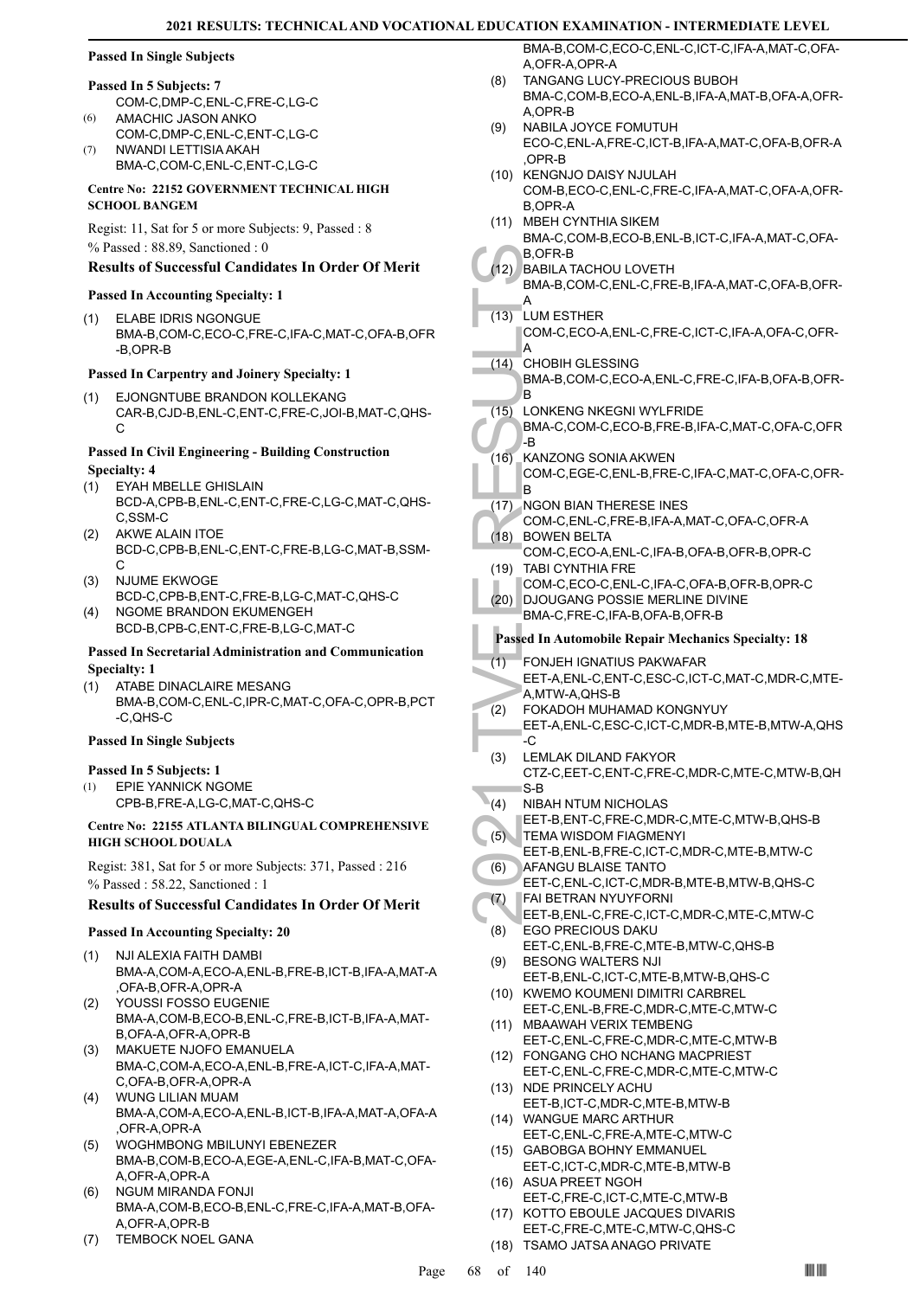# **Passed In Single Subjects**

#### **Passed In 5 Subjects: 7**

- COM-C,DMP-C,ENL-C,FRE-C,LG-C AMACHIC JASON ANKO (6)
- COM-C,DMP-C,ENL-C,ENT-C,LG-C NWANDI LETTISIA AKAH (7)
- BMA-C,COM-C,ENL-C,ENT-C,LG-C

### **Centre No: 22152 GOVERNMENT TECHNICAL HIGH SCHOOL BANGEM**

Regist: 11, Sat for 5 or more Subjects: 9, Passed : 8 % Passed : 88.89, Sanctioned : 0

# **Results of Successful Candidates In Order Of Merit**

# **Passed In Accounting Specialty: 1**

ELABE IDRIS NGONGUE BMA-B,COM-C,ECO-C,FRE-C,IFA-C,MAT-C,OFA-B,OFR -B,OPR-B (1)

# **Passed In Carpentry and Joinery Specialty: 1**

EJONGNTUBE BRANDON KOLLEKANG (1) CAR-B,CJD-B,ENL-C,ENT-C,FRE-C,JOI-B,MAT-C,QHS-C

# **Passed In Civil Engineering - Building Construction Specialty: 4**

- EYAH MBELLE GHISLAIN BCD-A,CPB-B,ENL-C,ENT-C,FRE-C,LG-C,MAT-C,QHS-C,SSM-C (1)
- AKWE ALAIN ITOE BCD-C,CPB-B,ENL-C,ENT-C,FRE-B,LG-C,MAT-B,SSM- $\mathcal{C}$ (2)
- NJUME EKWOGE BCD-C,CPB-B,ENT-C,FRE-B,LG-C,MAT-C,QHS-C (3) NGOME BRANDON EKUMENGEH (4)
	- BCD-B,CPB-C,ENT-C,FRE-B,LG-C,MAT-C

# **Passed In Secretarial Administration and Communication Specialty: 1**

ATABE DINACLAIRE MESANG BMA-B,COM-C,ENL-C,IPR-C,MAT-C,OFA-C,OPR-B,PCT -C,QHS-C (1)

# **Passed In Single Subjects**

# **Passed In 5 Subjects: 1**

EPIE YANNICK NGOME CPB-B,FRE-A,LG-C,MAT-C,QHS-C (1)

# **Centre No: 22155 ATLANTA BILINGUAL COMPREHENSIVE HIGH SCHOOL DOUALA**

Regist: 381, Sat for 5 or more Subjects: 371, Passed : 216 % Passed : 58.22, Sanctioned : 1

# **Results of Successful Candidates In Order Of Merit**

# **Passed In Accounting Specialty: 20**

- NJI ALEXIA FAITH DAMBI BMA-A,COM-A,ECO-A,ENL-B,FRE-B,ICT-B,IFA-A,MAT-A ,OFA-B,OFR-A,OPR-A (1)
- YOUSSI FOSSO EUGENIE BMA-A,COM-B,ECO-B,ENL-C,FRE-B,ICT-B,IFA-A,MAT-B,OFA-A,OFR-A,OPR-B (2)
- MAKUETE NJOFO EMANUELA BMA-C,COM-A,ECO-A,ENL-B,FRE-A,ICT-C,IFA-A,MAT-C,OFA-B,OFR-A,OPR-A (3)
- WUNG LILIAN MUAM BMA-A,COM-A,ECO-A,ENL-B,ICT-B,IFA-A,MAT-A,OFA-A ,OFR-A,OPR-A (4)
- WOGHMBONG MBILUNYI EBENEZER (5) BMA-B,COM-B,ECO-A,EGE-A,ENL-C,IFA-B,MAT-C,OFA-A,OFR-A,OPR-A
- NGUM MIRANDA FONJI BMA-A,COM-B,ECO-B,ENL-C,FRE-C,IFA-A,MAT-B,OFA-A,OFR-A,OPR-B (6)
- (7) TEMBOCK NOEL GANA

BMA-B,COM-C,ECO-C,ENL-C,ICT-C,IFA-A,MAT-C,OFA-A,OFR-A,OPR-A

- TANGANG LUCY-PRECIOUS BUBOH BMA-C,COM-B,ECO-A,ENL-B,IFA-A,MAT-B,OFA-A,OFR-A,OPR-B (8)
- NABILA JOYCE FOMUTUH ECO-C,ENL-A,FRE-C,ICT-B,IFA-A,MAT-C,OFA-B,OFR-A ,OPR-B (9)
- (10) KENGNJO DAISY NJULAH COM-B,ECO-C,ENL-C,FRE-C,IFA-A,MAT-C,OFA-A,OFR-B,OPR-A
- MBEH CYNTHIA SIKEM (11) BMA-C,COM-B,ECO-B,ENL-B,ICT-C,IFA-A,MAT-C,OFA-B,OFR-B
- 

#### (12) BABILA TACHOU LOVETH BMA-B,COM-C,ENL-C,FRE-B,IFA-A,MAT-C,OFA-B,OFR-A

- LUM ESTHER (13)
	- COM-C,ECO-A,ENL-C,FRE-C,ICT-C,IFA-A,OFA-C,OFR-A
	- CHOBIH GLESSING BMA-B,COM-C,ECO-A,ENL-C,FRE-C,IFA-B,OFA-B,OFR-B  $(14)$
	- LONKENG NKEGNI WYLFRIDE BMA-C,COM-C,ECO-B,FRE-B,IFA-C,MAT-C,OFA-C,OFR  $(15)$
- B, OFR-1<br>
B, OFR-1<br>
BABILA<br>
BMA-B,<br>
A<br>
COM-C,<br>
A<br>
COM-C,<br>
A<br>
COM-B,<br>
BMA-B,<br>
BMA-B,<br>
BMA-B,<br>
BMA-B,<br>
BMA-B,<br>
BMA-B,<br>
BMA-B,<br>
BMA-B,<br>
BMA-C,<br>
BMA-C,<br>
COM-C,<br>
COM-C,<br>
BMA-C,<br>
COM-C,<br>
BMA-C,<br>
COM-C,<br>
BOWEN<br>
COM-C,<br>
DND LE COM -B KANZONG SONIA AKWEN COM-C,EGE-C,ENL-B,FRE-C,IFA-C,MAT-C,OFA-C,OFR-B  $(16)$
- (17) NGON BIAN THERESE INES
- COM-C,ENL-C,FRE-B,IFA-A,MAT-C,OFA-C,OFR-A (18) BOWEN BELTA
- COM-C,ECO-A,ENL-C,IFA-B,OFA-B,OFR-B,OPR-C (19) TABI CYNTHIA FRE
- COM-C,ECO-C,ENL-C,IFA-C,OFA-B,OFR-B,OPR-C (20) DJOUGANG POSSIE MERLINE DIVINE
- BMA-C,FRE-C,IFA-B,OFA-B,OFR-B

# **Passed In Automobile Repair Mechanics Specialty: 18**

- FONJEH IGNATIUS PAKWAFAR EET-A,ENL-C,ENT-C,ESC-C,ICT-C,MAT-C,MDR-C,MTE-A,MTW-A,QHS-B (1)
- FOKADOH MUHAMAD KONGNYUY EET-A,ENL-C,ESC-C,ICT-C,MDR-B,MTE-B,MTW-A,QHS -C (2)
- LEMLAK DILAND FAKYOR CTZ-C,EET-C,ENT-C,FRE-C,MDR-C,MTE-C,MTW-B,QH S-B (3)
- NIBAH NTUM NICHOLAS  $\mathbf{A}(4)$
- EET-B,ENT-C,FRE-C,MDR-C,MTE-C,MTW-B,QHS-B TEMA WISDOM FIAGMENYI (5)
- EET-B,ENL-B,FRE-C,ICT-C,MDR-C,MTE-B,MTW-C AFANGU BLAISE TANTO (6)
- EET-C,ENL-C,ICT-C,MDR-B,MTE-B,MTW-B,QHS-C FAI BETRAN NYUYFORNI (7)
- EET-B,ENL-C,FRE-C,ICT-C,MDR-C,MTE-C,MTW-C EGO PRECIOUS DAKU (8)
- EET-C,ENL-B,FRE-C,MTE-B,MTW-C,QHS-B BESONG WALTERS NJI (9)
- EET-B,ENL-C,ICT-C,MTE-B,MTW-B,QHS-C (10) KWEMO KOUMENI DIMITRI CARBREL
- EET-C,ENL-B,FRE-C,MDR-C,MTE-C,MTW-C (11) MBAAWAH VERIX TEMBENG
- EET-C,ENL-C,FRE-C,MDR-C,MTE-C,MTW-B FONGANG CHO NCHANG MACPRIEST (12)
- EET-C,ENL-C,FRE-C,MDR-C,MTE-C,MTW-C (13) NDE PRINCELY ACHU
- EET-B,ICT-C,MDR-C,MTE-B,MTW-B
- WANGUE MARC ARTHUR (14) EET-C,ENL-C,FRE-A,MTE-C,MTW-C
- (15) GABOBGA BOHNY EMMANUEL EET-C,ICT-C,MDR-C,MTE-B,MTW-B
- (16) ASUA PREET NGOH EET-C,FRE-C,ICT-C,MTE-C,MTW-B
- (17) KOTTO EBOULE JACQUES DIVARIS EET-C,FRE-C,MTE-C,MTW-C,QHS-C
- (18) TSAMO JATSA ANAGO PRIVATE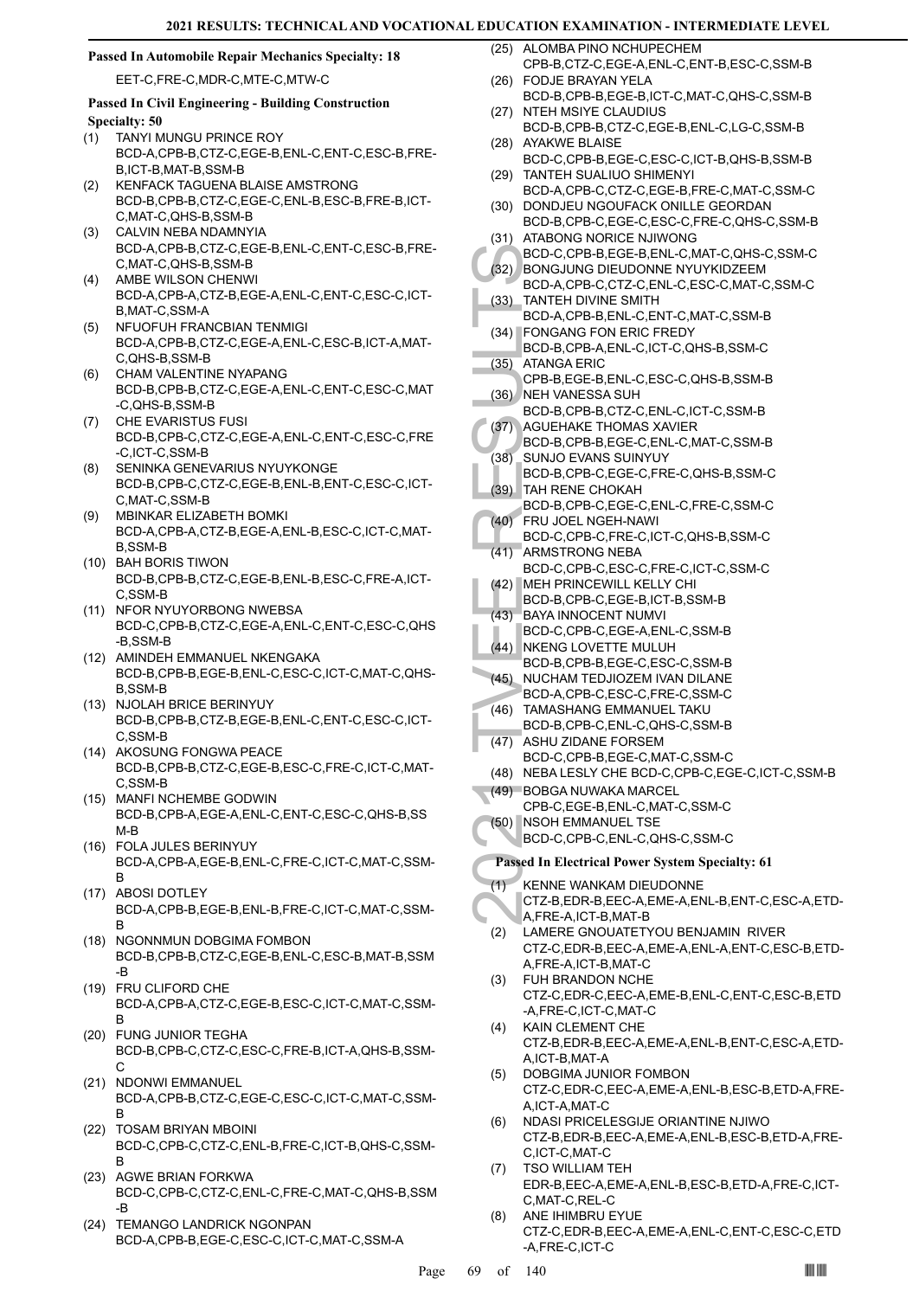# **Passed In Automobile Repair Mechanics Specialty: 18**

EET-C,FRE-C,MDR-C,MTE-C,MTW-C

# **Passed In Civil Engineering - Building Construction Specialty: 50**

- TANYI MUNGU PRINCE ROY BCD-A,CPB-B,CTZ-C,EGE-B,ENL-C,ENT-C,ESC-B,FRE-B,ICT-B,MAT-B,SSM-B (1)
- KENFACK TAGUENA BLAISE AMSTRONG BCD-B,CPB-B,CTZ-C,EGE-C,ENL-B,ESC-B,FRE-B,ICT-C,MAT-C,QHS-B,SSM-B (2)
- CALVIN NEBA NDAMNYIA BCD-A,CPB-B,CTZ-C,EGE-B,ENL-C,ENT-C,ESC-B,FRE-C,MAT-C,QHS-B,SSM-B (3)
- AMBE WILSON CHENWI BCD-A,CPB-A,CTZ-B,EGE-A,ENL-C,ENT-C,ESC-C,ICT-B,MAT-C,SSM-A (4)
- NFUOFUH FRANCBIAN TENMIGI BCD-A,CPB-B,CTZ-C,EGE-A,ENL-C,ESC-B,ICT-A,MAT-C,QHS-B,SSM-B (5)
- CHAM VALENTINE NYAPANG BCD-B,CPB-B,CTZ-C,EGE-A,ENL-C,ENT-C,ESC-C,MAT -C,QHS-B,SSM-B (6)
- (7) CHE EVARISTUS FUSI BCD-B,CPB-C,CTZ-C,EGE-A,ENL-C,ENT-C,ESC-C,FRE -C,ICT-C,SSM-B
- SENINKA GENEVARIUS NYUYKONGE BCD-B,CPB-C,CTZ-C,EGE-B,ENL-B,ENT-C,ESC-C,ICT-C,MAT-C,SSM-B (8)
- MBINKAR ELIZABETH BOMKI BCD-A,CPB-A,CTZ-B,EGE-A,ENL-B,ESC-C,ICT-C,MAT-B,SSM-B (9)
- BAH BORIS TIWON (10) BCD-B,CPB-B,CTZ-C,EGE-B,ENL-B,ESC-C,FRE-A,ICT-C,SSM-B
- (11) NFOR NYUYORBONG NWEBSA BCD-C,CPB-B,CTZ-C,EGE-A,ENL-C,ENT-C,ESC-C,QHS -B,SSM-B
- (12) AMINDEH EMMANUEL NKENGAKA BCD-B,CPB-B,EGE-B,ENL-C,ESC-C,ICT-C,MAT-C,QHS-B,SSM-B
- (13) NJOLAH BRICE BERINYUY BCD-B,CPB-B,CTZ-B,EGE-B,ENL-C,ENT-C,ESC-C,ICT-C,SSM-B
- (14) AKOSUNG FONGWA PEACE BCD-B,CPB-B,CTZ-C,EGE-B,ESC-C,FRE-C,ICT-C,MAT-C,SSM-B
- MANFI NCHEMBE GODWIN (15) BCD-B,CPB-A,EGE-A,ENL-C,ENT-C,ESC-C,QHS-B,SS M-B
- FOLA JULES BERINYUY (16) BCD-A,CPB-A,EGE-B,ENL-C,FRE-C,ICT-C,MAT-C,SSM-B
- (17) ABOSI DOTLEY BCD-A,CPB-B,EGE-B,ENL-B,FRE-C,ICT-C,MAT-C,SSM-B
- (18) NGONNMUN DOBGIMA FOMBON BCD-B,CPB-B,CTZ-C,EGE-B,ENL-C,ESC-B,MAT-B,SSM -B
- FRU CLIFORD CHE (19) BCD-A,CPB-A,CTZ-C,EGE-B,ESC-C,ICT-C,MAT-C,SSM-B
- FUNG JUNIOR TEGHA (20) BCD-B,CPB-C,CTZ-C,ESC-C,FRE-B,ICT-A,QHS-B,SSM-C
- (21) NDONWI EMMANUEL BCD-A,CPB-B,CTZ-C,EGE-C,ESC-C,ICT-C,MAT-C,SSM-B
- (22) TOSAM BRIYAN MBOINI BCD-C,CPB-C,CTZ-C,ENL-B,FRE-C,ICT-B,QHS-C,SSM-B
- AGWE BRIAN FORKWA BCD-C,CPB-C,CTZ-C,ENL-C,FRE-C,MAT-C,QHS-B,SSM -B (23)
- (24) TEMANGO LANDRICK NGONPAN BCD-A,CPB-B,EGE-C,ESC-C,ICT-C,MAT-C,SSM-A

(25) ALOMBA PINO NCHUPECHEM CPB-B,CTZ-C,EGE-A,ENL-C,ENT-B,ESC-C,SSM-B

- FODJE BRAYAN YELA (26) BCD-B,CPB-B,EGE-B,ICT-C,MAT-C,QHS-C,SSM-B
- (27) NTEH MSIYE CLAUDIUS BCD-B,CPB-B,CTZ-C,EGE-B,ENL-C,LG-C,SSM-B (28) AYAKWE BLAISE
- BCD-C,CPB-B,EGE-C,ESC-C,ICT-B,QHS-B,SSM-B TANTEH SUALIUO SHIMENYI (29)
- BCD-A,CPB-C,CTZ-C,EGE-B,FRE-C,MAT-C,SSM-C (30) DONDJEU NGOUFACK ONILLE GEORDAN
- BCD-B,CPB-C,EGE-C,ESC-C,FRE-C,QHS-C,SSM-B (31) ATABONG NORICE NJIWONG
- BCD-C,CPB-B,EGE-B,ENL-C,MAT-C,QHS-C,SSM-C BONGJUNG DIEUDONNE NYUYKIDZEEM (32)
- BCD-A,CPB-C,CTZ-C,ENL-C,ESC-C,MAT-C,SSM-C TANTEH DIVINE SMITH (33)
- BCD-A,CPB-B,ENL-C,ENT-C,MAT-C,SSM-B FONGANG FON ERIC FREDY (34)
- BCD-C, (32) BONGJ<br>BCD-A, (33) TANTEH<br>BCD-A, (33) TANTEH<br>BCD-A, (29) BCD-B, (29) RCD-B, (35) ATANG/<br>CPB-B, (36) NEH VA BCD-B, (37) AGUEH<br>BCD-B, (37) AGUEH<br>BCD-B, (38) SUNJO BCD-B, (38) SUNJO BCD-B, (40) FRU JO BCD-B, (40) F BCD-B,CPB-A,ENL-C,ICT-C,QHS-B,SSM-C ATANGA ERIC (35)
	- CPB-B,EGE-B,ENL-C,ESC-C,QHS-B,SSM-B (36) NEH VANESSA SUH
	- BCD-B,CPB-B,CTZ-C,ENL-C,ICT-C,SSM-B
	- AGUEHAKE THOMAS XAVIER BCD-B,CPB-B,EGE-C,ENL-C,MAT-C,SSM-B (37)
	- SUNJO EVANS SUINYUY (38)
	- BCD-B,CPB-C,EGE-C,FRE-C,QHS-B,SSM-C TAH RENE CHOKAH (39)
	- BCD-B,CPB-C,EGE-C,ENL-C,FRE-C,SSM-C FRU JOEL NGEH-NAWI (40)
	- BCD-C,CPB-C,FRE-C,ICT-C,QHS-B,SSM-C ARMSTRONG NEBA (41)
	- BCD-C,CPB-C,ESC-C,FRE-C,ICT-C,SSM-C
	- MEH PRINCEWILL KELLY CHI BCD-B,CPB-C,EGE-B,ICT-B,SSM-B (42)
	- BAYA INNOCENT NUMVI (43)
	- BCD-C,CPB-C,EGE-A,ENL-C,SSM-B
- (44) NKENG LOVETTE MULUH
- BCD-B,CPB-B,EGE-C,ESC-C,SSM-B (45) NUCHAM TEDJIOZEM IVAN DILANE
- BCD-A,CPB-C,ESC-C,FRE-C,SSM-C
- TAMASHANG EMMANUEL TAKU BCD-B,CPB-C,ENL-C,QHS-C,SSM-B (46)
- ASHU ZIDANE FORSEM BCD-C,CPB-B,EGE-C,MAT-C,SSM-C  $(47)$
- (48) NEBA LESLY CHE BCD-C,CPB-C,EGE-C,ICT-C,SSM-B
- (49) BOBGA NUWAKA MARCEL
- CPB-C,EGE-B,ENL-C,MAT-C,SSM-C
- (50) NSOH EMMANUEL TSE
- BCD-C,CPB-C,ENL-C,QHS-C,SSM-C

# **Passed In Electrical Power System Specialty: 61**

- KENNE WANKAM DIEUDONNE CTZ-B,EDR-B,EEC-A,EME-A,ENL-B,ENT-C,ESC-A,ETD-(1)
- A,FRE-A,ICT-B,MAT-B LAMERE GNOUATETYOU BENJAMIN RIVER (2)
- CTZ-C,EDR-B,EEC-A,EME-A,ENL-A,ENT-C,ESC-B,ETD-A,FRE-A,ICT-B,MAT-C FUH BRANDON NCHE (3)
- CTZ-C,EDR-C,EEC-A,EME-B,ENL-C,ENT-C,ESC-B,ETD -A,FRE-C,ICT-C,MAT-C
- (4) KAIN CLEMENT CHE CTZ-B,EDR-B,EEC-A,EME-A,ENL-B,ENT-C,ESC-A,ETD-A,ICT-B,MAT-A
- DOBGIMA JUNIOR FOMBON CTZ-C,EDR-C,EEC-A,EME-A,ENL-B,ESC-B,ETD-A,FRE-A,ICT-A,MAT-C (5)
- NDASI PRICELESGIJE ORIANTINE NJIWO CTZ-B,EDR-B,EEC-A,EME-A,ENL-B,ESC-B,ETD-A,FRE-C,ICT-C,MAT-C (6)
- TSO WILLIAM TEH EDR-B,EEC-A,EME-A,ENL-B,ESC-B,ETD-A,FRE-C,ICT-C,MAT-C,REL-C (7)
- ANE IHIMBRU EYUE CTZ-C,EDR-B,EEC-A,EME-A,ENL-C,ENT-C,ESC-C,ETD -A,FRE-C,ICT-C (8)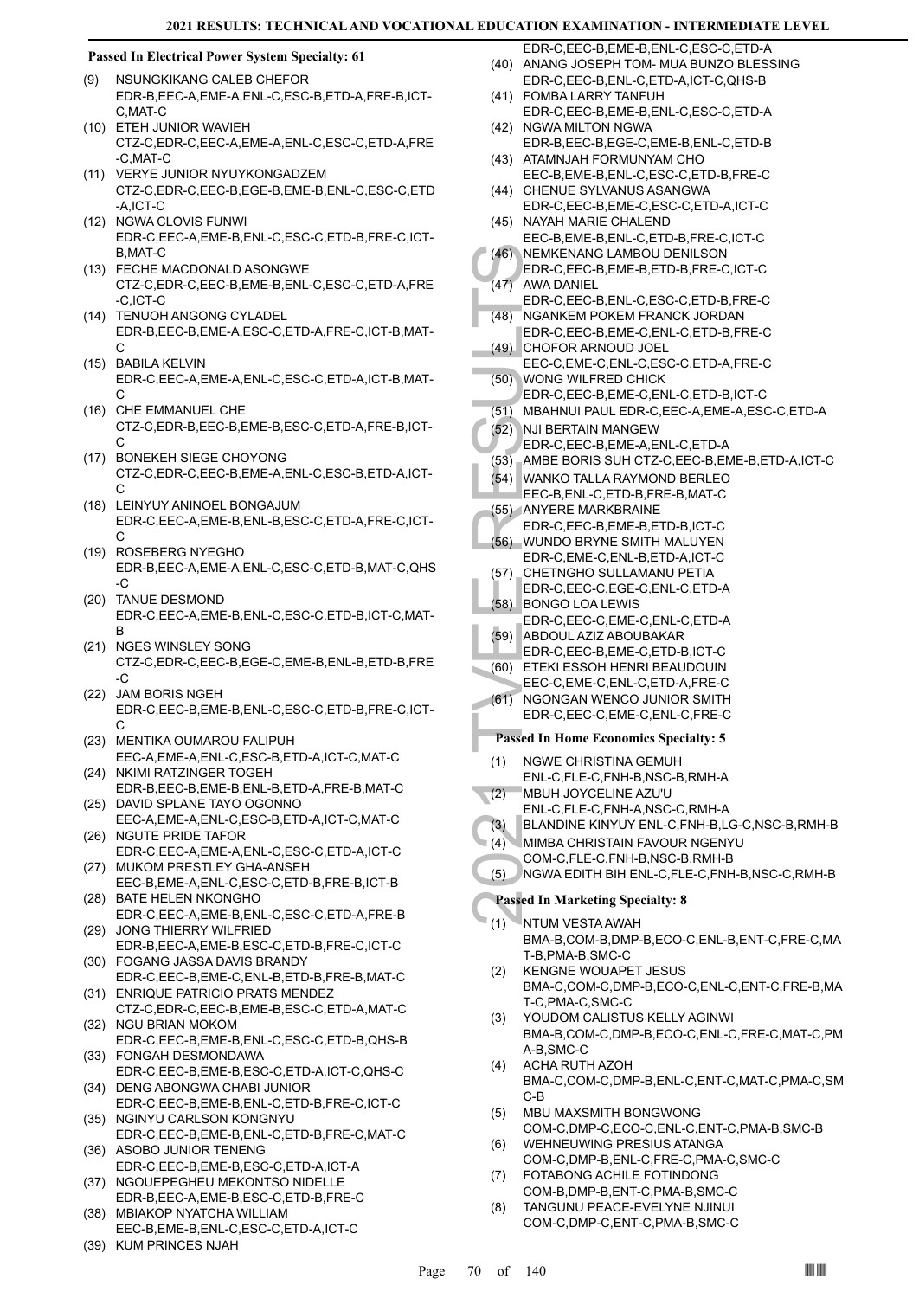#### **Passed In Electrical Power System Specialty: 61**

- NSUNGKIKANG CALEB CHEFOR EDR-B,EEC-A,EME-A,ENL-C,ESC-B,ETD-A,FRE-B,ICT-C,MAT-C (9)
- ETEH JUNIOR WAVIEH (10) CTZ-C,EDR-C,EEC-A,EME-A,ENL-C,ESC-C,ETD-A,FRE -C,MAT-C
- (11) VERYE JUNIOR NYUYKONGADZEM CTZ-C,EDR-C,EEC-B,EGE-B,EME-B,ENL-C,ESC-C,ETD -A,ICT-C
- (12) NGWA CLOVIS FUNWI EDR-C,EEC-A,EME-B,ENL-C,ESC-C,ETD-B,FRE-C,ICT-B,MAT-C
- FECHE MACDONALD ASONGWE (13) CTZ-C,EDR-C,EEC-B,EME-B,ENL-C,ESC-C,ETD-A,FRE -C,ICT-C
- (14) TENUOH ANGONG CYLADEL EDR-B,EEC-B,EME-A,ESC-C,ETD-A,FRE-C,ICT-B,MAT-C
- BABILA KELVIN EDR-C,EEC-A,EME-A,ENL-C,ESC-C,ETD-A,ICT-B,MAT- $\mathcal{C}$ (15)
- (16) CHE EMMANUEL CHE CTZ-C,EDR-B,EEC-B,EME-B,ESC-C,ETD-A,FRE-B,ICT- $\mathcal{C}$
- BONEKEH SIEGE CHOYONG (17) CTZ-C,EDR-C,EEC-B,EME-A,ENL-C,ESC-B,ETD-A,ICT- $\mathcal{C}$
- (18) LEINYUY ANINOEL BONGAJUM EDR-C,EEC-A,EME-B,ENL-B,ESC-C,ETD-A,FRE-C,ICT-C
- (19) ROSEBERG NYEGHO EDR-B,EEC-A,EME-A,ENL-C,ESC-C,ETD-B,MAT-C,QHS -C
- (20) TANUE DESMOND EDR-C,EEC-A,EME-B,ENL-C,ESC-C,ETD-B,ICT-C,MAT-B
- (21) NGES WINSLEY SONG CTZ-C,EDR-C,EEC-B,EGE-C,EME-B,ENL-B,ETD-B,FRE  $-C$
- (22) JAM BORIS NGEH EDR-C,EEC-B,EME-B,ENL-C,ESC-C,ETD-B,FRE-C,ICT-C
- (23) MENTIKA OUMAROU FALIPUH EEC-A,EME-A,ENL-C,ESC-B,ETD-A,ICT-C,MAT-C
- (24) NKIMI RATZINGER TOGEH EDR-B,EEC-B,EME-B,ENL-B,ETD-A,FRE-B,MAT-C
- (25) DAVID SPLANE TAYO OGONNO EEC-A,EME-A,ENL-C,ESC-B,ETD-A,ICT-C,MAT-C
- (26) NGUTE PRIDE TAFOR EDR-C,EEC-A,EME-A,ENL-C,ESC-C,ETD-A,ICT-C (27) MUKOM PRESTLEY GHA-ANSEH
- EEC-B,EME-A,ENL-C,ESC-C,ETD-B,FRE-B,ICT-B (28) BATE HELEN NKONGHO
- EDR-C,EEC-A,EME-B,ENL-C,ESC-C,ETD-A,FRE-B (29) JONG THIERRY WILFRIED
- EDR-B,EEC-A,EME-B,ESC-C,ETD-B,FRE-C,ICT-C FOGANG JASSA DAVIS BRANDY (30)
- EDR-C,EEC-B,EME-C,ENL-B,ETD-B,FRE-B,MAT-C ENRIQUE PATRICIO PRATS MENDEZ (31)
- CTZ-C,EDR-C,EEC-B,EME-B,ESC-C,ETD-A,MAT-C (32) NGU BRIAN MOKOM
- EDR-C,EEC-B,EME-B,ENL-C,ESC-C,ETD-B,QHS-B FONGAH DESMONDAWA (33)
- EDR-C,EEC-B,EME-B,ESC-C,ETD-A,ICT-C,QHS-C (34) DENG ABONGWA CHABI JUNIOR
- EDR-C,EEC-B,EME-B,ENL-C,ETD-B,FRE-C,ICT-C (35) NGINYU CARLSON KONGNYU
- EDR-C,EEC-B,EME-B,ENL-C,ETD-B,FRE-C,MAT-C ASOBO JUNIOR TENENG (36)
- EDR-C,EEC-B,EME-B,ESC-C,ETD-A,ICT-A (37) NGOUEPEGHEU MEKONTSO NIDELLE
- EDR-B,EEC-A,EME-B,ESC-C,ETD-B,FRE-C MBIAKOP NYATCHA WILLIAM (38)
- EEC-B,EME-B,ENL-C,ESC-C,ETD-A,ICT-C
- (39) KUM PRINCES NJAH
- EDR-C,EEC-B,EME-B,ENL-C,ESC-C,ETD-A (40) ANANG JOSEPH TOM- MUA BUNZO BLESSING EDR-C,EEC-B,ENL-C,ETD-A,ICT-C,QHS-B
- (41) FOMBA LARRY TANFUH EDR-C,EEC-B,EME-B,ENL-C,ESC-C,ETD-A
- (42) NGWA MILTON NGWA EDR-B,EEC-B,EGE-C,EME-B,ENL-C,ETD-B
- (43) ATAMNJAH FORMUNYAM CHO EEC-B,EME-B,ENL-C,ESC-C,ETD-B,FRE-C
- (44) CHENUE SYLVANUS ASANGWA
- EDR-C,EEC-B,EME-C,ESC-C,ETD-A,ICT-C (45) NAYAH MARIE CHALEND
- EEC-B,EME-B,ENL-C,ETD-B,FRE-C,ICT-C NEMKENANG LAMBOU DENILSON (46)
- (46) NEMKE<br>
EDR-C, AWA DA<br>
EDR-C, AWA DA<br>
EDR-C, CHOFO<br>
(48) CHOFO<br>
EDR-C, CHOFO<br>
EDR-C, WONG<br>
EDR-C, BOR-C, EDR-C, DABAHN<br>
(52) MBAHN<br>
EDR-C, AMBE EDR-C, AMYER<br>
EDR-C, AMYER<br>
(55) AMYER<br>
EDR-C, CHETN<br>
EDR-C, CHETN<br>
EDR-C, EDR-C,EEC-B,EME-B,ETD-B,FRE-C,ICT-C AWA DANIEL (47)
- EDR-C,EEC-B,ENL-C,ESC-C,ETD-B,FRE-C NGANKEM POKEM FRANCK JORDAN (48)
- EDR-C,EEC-B,EME-C,ENL-C,ETD-B,FRE-C (49) CHOFOR ARNOUD JOEL
- EEC-C,EME-C,ENL-C,ESC-C,ETD-A,FRE-C WONG WILFRED CHICK (50)
	- EDR-C,EEC-B,EME-C,ENL-C,ETD-B,ICT-C
- (51) MBAHNUI PAUL EDR-C,EEC-A,EME-A,ESC-C,ETD-A
- (52) NJI BERTAIN MANGEW
- EDR-C,EEC-B,EME-A,ENL-C,ETD-A
- (53) AMBE BORIS SUH CTZ-C,EEC-B,EME-B,ETD-A,ICT-C
- WANKO TALLA RAYMOND BERLEO (54) EEC-B,ENL-C,ETD-B,FRE-B,MAT-C
- 
- (55) ANYERE MARKBRAINE EDR-C,EEC-B,EME-B,ETD-B,ICT-C
- (56) WUNDO BRYNE SMITH MALUYEN
- EDR-C,EME-C,ENL-B,ETD-A,ICT-C
- CHETNGHO SULLAMANU PETIA EDR-C,EEC-C,EGE-C,ENL-C,ETD-A (57)
- BONGO LOA LEWIS EDR-C,EEC-C,EME-C,ENL-C,ETD-A (58)
- ABDOUL AZIZ ABOUBAKAR (59)
- EDR-C,EEC-B,EME-C,ETD-B,ICT-C
- ETEKI ESSOH HENRI BEAUDOUIN (60) EEC-C,EME-C,ENL-C,ETD-A,FRE-C
- NGONGAN WENCO JUNIOR SMITH EDR-C,EEC-C,EME-C,ENL-C,FRE-C (61)

- **Passed In Home Economics Specialty: 5** NGWE CHRISTINA GEMUH (1)
- ENL-C,FLE-C,FNH-B,NSC-B,RMH-A MBUH JOYCELINE AZU'U (2)
- ENL-C,FLE-C,FNH-A,NSC-C,RMH-A
- (3) BLANDINE KINYUY ENL-C,FNH-B,LG-C,NSC-B,RMH-B
- MIMBA CHRISTAIN FAVOUR NGENYU (4)
- COM-C,FLE-C,FNH-B,NSC-B,RMH-B
- (5) NGWA EDITH BIH ENL-C,FLE-C,FNH-B,NSC-C,RMH-B

# **Passed In Marketing Specialty: 8**

- NTUM VESTA AWAH BMA-B,COM-B,DMP-B,ECO-C,ENL-B,ENT-C,FRE-C,MA T-B,PMA-B,SMC-C (1)
- KENGNE WOUAPET JESUS BMA-C,COM-C,DMP-B,ECO-C,ENL-C,ENT-C,FRE-B,MA T-C,PMA-C,SMC-C (2)
- YOUDOM CALISTUS KELLY AGINWI BMA-B,COM-C,DMP-B,ECO-C,ENL-C,FRE-C,MAT-C,PM A-B,SMC-C (3)
- ACHA RUTH AZOH BMA-C,COM-C,DMP-B,ENL-C,ENT-C,MAT-C,PMA-C,SM C-B (4)
- MBU MAXSMITH BONGWONG COM-C,DMP-C,ECO-C,ENL-C,ENT-C,PMA-B,SMC-B (5)
- WEHNEUWING PRESIUS ATANGA COM-C,DMP-B,ENL-C,FRE-C,PMA-C,SMC-C (6)
- FOTABONG ACHILE FOTINDONG COM-B,DMP-B,ENT-C,PMA-B,SMC-C (7)
- TANGUNU PEACE-EVELYNE NJINUI COM-C,DMP-C,ENT-C,PMA-B,SMC-C (8)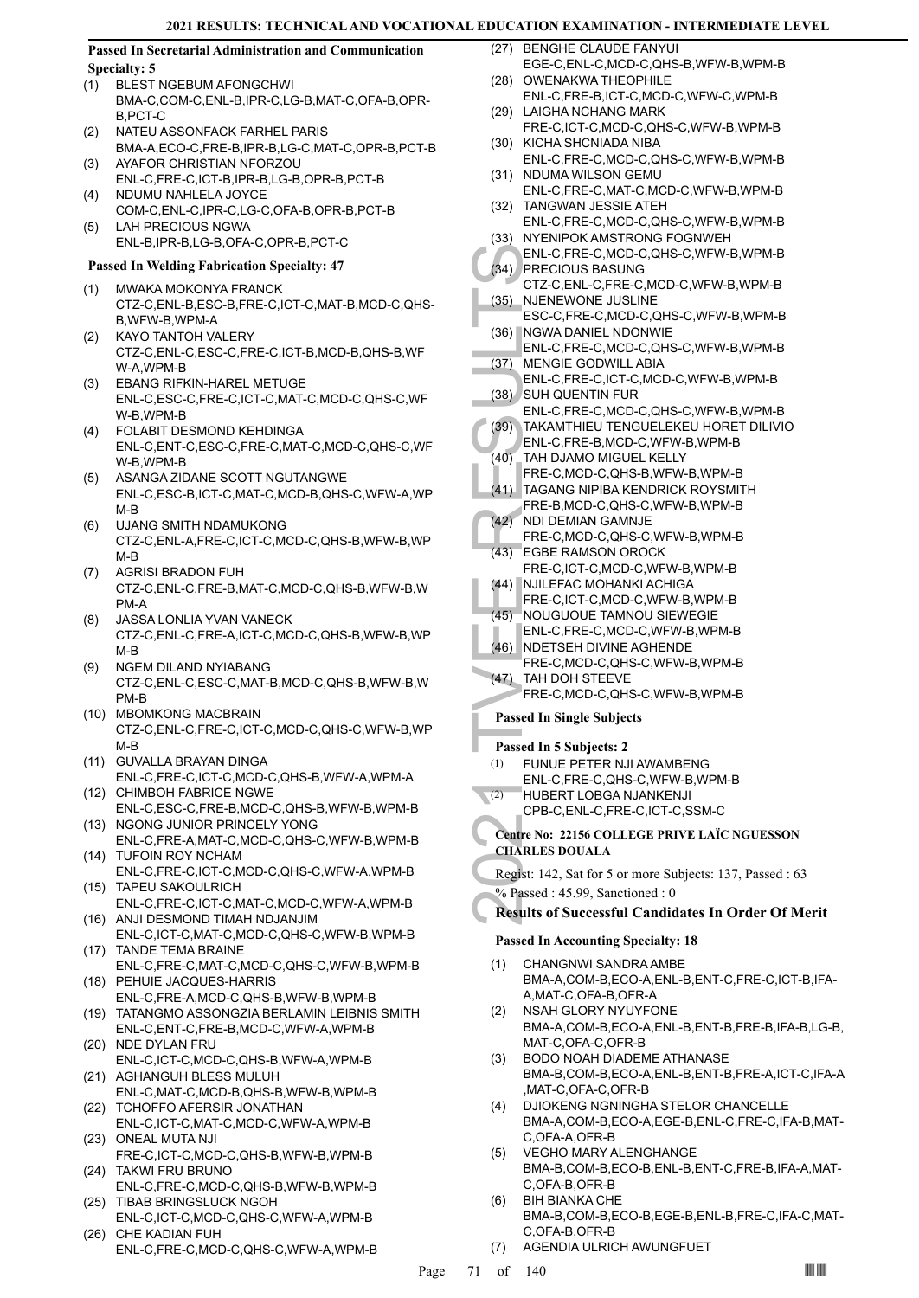**Passed In Secretarial Administration and Communication Specialty: 5**

- BLEST NGEBUM AFONGCHWI (1) BMA-C,COM-C,ENL-B,IPR-C,LG-B,MAT-C,OFA-B,OPR-B,PCT-C
- NATEU ASSONFACK FARHEL PARIS BMA-A,ECO-C,FRE-B,IPR-B,LG-C,MAT-C,OPR-B,PCT-B (2) AYAFOR CHRISTIAN NFORZOU (3)
- ENL-C,FRE-C,ICT-B,IPR-B,LG-B,OPR-B,PCT-B NDUMU NAHLELA JOYCE (4)
- COM-C,ENL-C,IPR-C,LG-C,OFA-B,OPR-B,PCT-B LAH PRECIOUS NGWA (5)
	- ENL-B,IPR-B,LG-B,OFA-C,OPR-B,PCT-C

# **Passed In Welding Fabrication Specialty: 47**

- MWAKA MOKONYA FRANCK (1) CTZ-C,ENL-B,ESC-B,FRE-C,ICT-C,MAT-B,MCD-C,QHS-B,WFW-B,WPM-A
- KAYO TANTOH VALERY CTZ-C,ENL-C,ESC-C,FRE-C,ICT-B,MCD-B,QHS-B,WF W-A,WPM-B (2)
- EBANG RIFKIN-HAREL METUGE ENL-C,ESC-C,FRE-C,ICT-C,MAT-C,MCD-C,QHS-C,WF W-B,WPM-B (3)
- FOLABIT DESMOND KEHDINGA ENL-C,ENT-C,ESC-C,FRE-C,MAT-C,MCD-C,QHS-C,WF W-B,WPM-B  $(4)$
- ASANGA ZIDANE SCOTT NGUTANGWE ENL-C,ESC-B,ICT-C,MAT-C,MCD-B,QHS-C,WFW-A,WP M-B (5)
- UJANG SMITH NDAMUKONG CTZ-C,ENL-A,FRE-C,ICT-C,MCD-C,QHS-B,WFW-B,WP M-B (6)
- AGRISI BRADON FUH CTZ-C,ENL-C,FRE-B,MAT-C,MCD-C,QHS-B,WFW-B,W PM-A (7)
- JASSA LONLIA YVAN VANECK CTZ-C,ENL-C,FRE-A,ICT-C,MCD-C,QHS-B,WFW-B,WP M-B (8)
- NGEM DILAND NYIABANG CTZ-C,ENL-C,ESC-C,MAT-B,MCD-C,QHS-B,WFW-B,W PM-B (9)
- (10) MBOMKONG MACBRAIN CTZ-C,ENL-C,FRE-C,ICT-C,MCD-C,QHS-C,WFW-B,WP M-B
- GUVALLA BRAYAN DINGA ENL-C,FRE-C,ICT-C,MCD-C,QHS-B,WFW-A,WPM-A (11)
- (12) CHIMBOH FABRICE NGWE ENL-C,ESC-C,FRE-B,MCD-C,QHS-B,WFW-B,WPM-B
- (13) NGONG JUNIOR PRINCELY YONG ENL-C,FRE-A,MAT-C,MCD-C,QHS-C,WFW-B,WPM-B (14) TUFOIN ROY NCHAM
- ENL-C,FRE-C,ICT-C,MCD-C,QHS-C,WFW-A,WPM-B (15) TAPEU SAKOULRICH
- ENL-C,FRE-C,ICT-C,MAT-C,MCD-C,WFW-A,WPM-B (16) ANJI DESMOND TIMAH NDJANJIM
- ENL-C,ICT-C,MAT-C,MCD-C,QHS-C,WFW-B,WPM-B (17) TANDE TEMA BRAINE
- ENL-C,FRE-C,MAT-C,MCD-C,QHS-C,WFW-B,WPM-B PEHUIE JACQUES-HARRIS (18)
- ENL-C,FRE-A,MCD-C,QHS-B,WFW-B,WPM-B TATANGMO ASSONGZIA BERLAMIN LEIBNIS SMITH (19)
- ENL-C,ENT-C,FRE-B,MCD-C,WFW-A,WPM-B (20) NDE DYLAN FRU
- ENL-C,ICT-C,MCD-C,QHS-B,WFW-A,WPM-B (21) AGHANGUH BLESS MULUH
- ENL-C,MAT-C,MCD-B,QHS-B,WFW-B,WPM-B (22) TCHOFFO AFERSIR JONATHAN
- ENL-C,ICT-C,MAT-C,MCD-C,WFW-A,WPM-B (23) ONEAL MUTA NJI
- FRE-C,ICT-C,MCD-C,QHS-B,WFW-B,WPM-B (24) TAKWI FRU BRUNO
- ENL-C,FRE-C,MCD-C,QHS-B,WFW-B,WPM-B (25) TIBAB BRINGSLUCK NGOH
- ENL-C,ICT-C,MCD-C,QHS-C,WFW-A,WPM-B (26) CHE KADIAN FUH
- ENL-C,FRE-C,MCD-C,QHS-C,WFW-A,WPM-B
- (27) BENGHE CLAUDE FANYUI EGE-C,ENL-C,MCD-C,QHS-B,WFW-B,WPM-B
- (28) OWENAKWA THEOPHILE ENL-C,FRE-B,ICT-C,MCD-C,WFW-C,WPM-B
- (29) LAIGHA NCHANG MARK FRE-C,ICT-C,MCD-C,QHS-C,WFW-B,WPM-B
- (30) KICHA SHCNIADA NIBA ENL-C,FRE-C,MCD-C,QHS-C,WFW-B,WPM-B
- (31) NDUMA WILSON GEMU ENL-C,FRE-C,MAT-C,MCD-C,WFW-B,WPM-B
- (32) TANGWAN JESSIE ATEH ENL-C,FRE-C,MCD-C,QHS-C,WFW-B,WPM-B (33) NYENIPOK AMSTRONG FOGNWEH
- ENL-C,FRE-C,MCD-C,QHS-C,WFW-B,WPM-B PRECIOUS BASUNG (34)
- CTZ-C,ENL-C,FRE-C,MCD-C,WFW-B,WPM-B NJENEWONE JUSLINE (35)
- ESC-C,FRE-C,MCD-C,QHS-C,WFW-B,WPM-B (36) NGWA DANIEL NDONWIE
- ENL-C, (34) PRECIC<br>
(36) NJENE\<br>
CTZ-C, (36) NJENE\<br>
ESC-C, (36) NGWA I<br>
ENL-C, MENGIE<br>
ENL-C, MENGIE<br>
ENL-C, (37) MENGIE<br>
ENL-C, SUH QU<br>
ENL-C, SUH QU<br>
ENL-C, (40) TAKAM<br>
ENL-C, FRE-C, (41) TAGAN<br>
FRE-C, (41) TAGAN<br>
FRE-C ENL-C,FRE-C,MCD-C,QHS-C,WFW-B,WPM-B MENGIE GODWILL ABIA (37)
- ENL-C,FRE-C,ICT-C,MCD-C,WFW-B,WPM-B SUH QUENTIN FUR (38)
- ENL-C,FRE-C,MCD-C,QHS-C,WFW-B,WPM-B
- TAKAMTHIEU TENGUELEKEU HORET DILIVIO (39)
- ENL-C,FRE-B,MCD-C,WFW-B,WPM-B TAH DJAMO MIGUEL KELLY (40)
- FRE-C,MCD-C,QHS-B,WFW-B,WPM-B TAGANG NIPIBA KENDRICK ROYSMITH (41)
- FRE-B,MCD-C,QHS-C,WFW-B,WPM-B NDI DEMIAN GAMNJE  $(42)$
- FRE-C,MCD-C,QHS-C,WFW-B,WPM-B EGBE RAMSON OROCK (43)
- FRE-C,ICT-C,MCD-C,WFW-B,WPM-B
- NJILEFAC MOHANKI ACHIGA FRE-C,ICT-C,MCD-C,WFW-B,WPM-B (44)
- NOUGUOUE TAMNOU SIEWEGIE (45)
- ENL-C,FRE-C,MCD-C,WFW-B,WPM-B
- (46) NDETSEH DIVINE AGHENDE FRE-C,MCD-C,QHS-C,WFW-B,WPM-B
- (47) TAH DOH STEEVE
- FRE-C,MCD-C,QHS-C,WFW-B,WPM-B

# **Passed In Single Subjects**

# **Passed In 5 Subjects: 2**

- FUNUE PETER NJI AWAMBENG ENL-C,FRE-C,QHS-C,WFW-B,WPM-B (1)
- HUBERT LOBGA NJANKENJI  $\overline{z(2)}$ 
	- CPB-C,ENL-C,FRE-C,ICT-C,SSM-C

**Centre No: 22156 COLLEGE PRIVE LAÏC NGUESSON CHARLES DOUALA** 

Regist: 142, Sat for 5 or more Subjects: 137, Passed : 63 % Passed : 45.99, Sanctioned : 0

# **Results of Successful Candidates In Order Of Merit**

# **Passed In Accounting Specialty: 18**

- CHANGNWI SANDRA AMBE BMA-A,COM-B,ECO-A,ENL-B,ENT-C,FRE-C,ICT-B,IFA-A,MAT-C,OFA-B,OFR-A (1)
- NSAH GLORY NYUYFONE BMA-A,COM-B,ECO-A,ENL-B,ENT-B,FRE-B,IFA-B,LG-B, MAT-C,OFA-C,OFR-B (2)
- BODO NOAH DIADEME ATHANASE BMA-B,COM-B,ECO-A,ENL-B,ENT-B,FRE-A,ICT-C,IFA-A ,MAT-C,OFA-C,OFR-B (3)
- DJIOKENG NGNINGHA STELOR CHANCELLE BMA-A,COM-B,ECO-A,EGE-B,ENL-C,FRE-C,IFA-B,MAT-C,OFA-A,OFR-B (4)
- VEGHO MARY ALENGHANGE BMA-B,COM-B,ECO-B,ENL-B,ENT-C,FRE-B,IFA-A,MAT-C,OFA-B,OFR-B (5)
- BIH BIANKA CHE BMA-B,COM-B,ECO-B,EGE-B,ENL-B,FRE-C,IFA-C,MAT-C,OFA-B,OFR-B (6)
- (7) AGENDIA ULRICH AWUNGFUET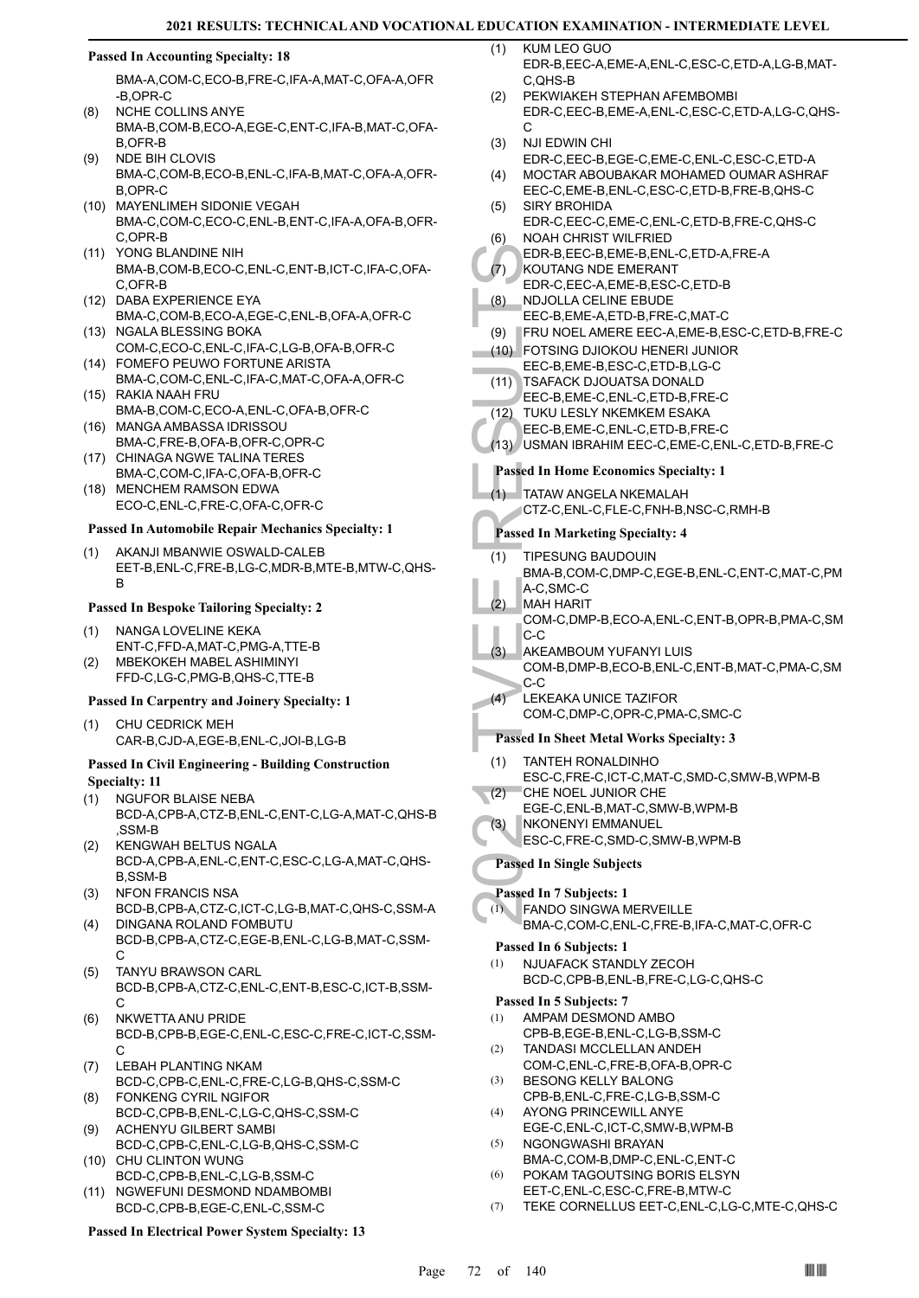# **Passed In Accounting Specialty: 18**

BMA-A,COM-C,ECO-B,FRE-C,IFA-A,MAT-C,OFA-A,OFR -B,OPR-C

- NCHE COLLINS ANYE BMA-B,COM-B,ECO-A,EGE-C,ENT-C,IFA-B,MAT-C,OFA-B,OFR-B (8)
- NDE BIH CLOVIS BMA-C,COM-B,ECO-B,ENL-C,IFA-B,MAT-C,OFA-A,OFR-B,OPR-C (9)
- MAYENLIMEH SIDONIE VEGAH (10) BMA-C,COM-C,ECO-C,ENL-B,ENT-C,IFA-A,OFA-B,OFR-C,OPR-B
- YONG BLANDINE NIH (11) BMA-B,COM-B,ECO-C,ENL-C,ENT-B,ICT-C,IFA-C,OFA-C,OFR-B
- (12) DABA EXPERIENCE EYA BMA-C,COM-B,ECO-A,EGE-C,ENL-B,OFA-A,OFR-C
- (13) NGALA BLESSING BOKA COM-C,ECO-C,ENL-C,IFA-C,LG-B,OFA-B,OFR-C FOMEFO PEUWO FORTUNE ARISTA (14)
- BMA-C,COM-C,ENL-C,IFA-C,MAT-C,OFA-A,OFR-C RAKIA NAAH FRU (15)
- BMA-B,COM-C,ECO-A,ENL-C,OFA-B,OFR-C MANGA AMBASSA IDRISSOU (16)
- BMA-C,FRE-B,OFA-B,OFR-C,OPR-C (17) CHINAGA NGWE TALINA TERES
- BMA-C,COM-C,IFA-C,OFA-B,OFR-C (18) MENCHEM RAMSON EDWA
- ECO-C,ENL-C,FRE-C,OFA-C,OFR-C

#### **Passed In Automobile Repair Mechanics Specialty: 1**

AKANJI MBANWIE OSWALD-CALEB EET-B,ENL-C,FRE-B,LG-C,MDR-B,MTE-B,MTW-C,QHS-B (1)

#### **Passed In Bespoke Tailoring Specialty: 2**

- NANGA LOVELINE KEKA ENT-C,FFD-A,MAT-C,PMG-A,TTE-B (1) MBEKOKEH MABEL ASHIMINYI  $(2)$
- FFD-C,LG-C,PMG-B,QHS-C,TTE-B

# **Passed In Carpentry and Joinery Specialty: 1**

CHU CEDRICK MEH CAR-B,CJD-A,EGE-B,ENL-C,JOI-B,LG-B (1)

#### **Passed In Civil Engineering - Building Construction Specialty: 11**

- NGUFOR BLAISE NEBA (1)
- BCD-A,CPB-A,CTZ-B,ENL-C,ENT-C,LG-A,MAT-C,QHS-B ,SSM-B
- KENGWAH BELTUS NGALA BCD-A,CPB-A,ENL-C,ENT-C,ESC-C,LG-A,MAT-C,QHS-B,SSM-B (2)
- NFON FRANCIS NSA BCD-B,CPB-A,CTZ-C,ICT-C,LG-B,MAT-C,QHS-C,SSM-A (3) (4)
- DINGANA ROLAND FOMBUTU BCD-B,CPB-A,CTZ-C,EGE-B,ENL-C,LG-B,MAT-C,SSM-C
- TANYU BRAWSON CARL BCD-B,CPB-A,CTZ-C,ENL-C,ENT-B,ESC-C,ICT-B,SSM-C (5)
- NKWETTA ANU PRIDE BCD-B,CPB-B,EGE-C,ENL-C,ESC-C,FRE-C,ICT-C,SSM-C (6)
- LEBAH PLANTING NKAM BCD-C,CPB-C,ENL-C,FRE-C,LG-B,QHS-C,SSM-C (7)
- FONKENG CYRIL NGIFOR BCD-C,CPB-B,ENL-C,LG-C,QHS-C,SSM-C (8)
- ACHENYU GILBERT SAMBI BCD-C,CPB-C,ENL-C,LG-B,QHS-C,SSM-C (9) (10) CHU CLINTON WUNG
- BCD-C,CPB-B,ENL-C,LG-B,SSM-C NGWEFUNI DESMOND NDAMBOMBI (11)
- BCD-C,CPB-B,EGE-C,ENL-C,SSM-C

# **Passed In Electrical Power System Specialty: 13**

- KUM LEO GUO EDR-B,EEC-A,EME-A,ENL-C,ESC-C,ETD-A,LG-B,MAT- $C$ ,  $OHS$ -B  $(1)$
- PEKWIAKEH STEPHAN AFEMBOMBI EDR-C,EEC-B,EME-A,ENL-C,ESC-C,ETD-A,LG-C,QHS-C. (2)
- NJI EDWIN CHI (3)
- EDR-C,EEC-B,EGE-C,EME-C,ENL-C,ESC-C,ETD-A MOCTAR ABOUBAKAR MOHAMED OUMAR ASHRAF (4)
- EEC-C,EME-B,ENL-C,ESC-C,ETD-B,FRE-B,QHS-C SIRY BROHIDA (5)
- EDR-C,EEC-C,EME-C,ENL-C,ETD-B,FRE-C,QHS-C NOAH CHRIST WILFRIED (6)
- EDR-B,EEC-B,EME-B,ENL-C,ETD-A,FRE-A
- KOUTANG NDE EMERANT EDR-C,EEC-A,EME-B,ESC-C,ETD-B (7)
- NDJOLLA CELINE EBUDE (8)
	- EEC-B,EME-A,ETD-B,FRE-C,MAT-C
- (9) FRU NOEL AMERE EEC-A,EME-B,ESC-C,ETD-B,FRE-C
- FOTSING DJIOKOU HENERI JUNIOR (10)
- EEC-B,EME-B,ESC-C,ETD-B,LG-C
- TSAFACK DJOUATSA DONALD EEC-B,EME-C,ENL-C,ETD-B,FRE-C  $(11)$
- TUKU LESLY NKEMKEM ESAKA (12)
- EEC-B,EME-C,ENL-C,ETD-B,FRE-C
- (13) USMAN IBRAHIM EEC-C,EME-C,ENL-C,ETD-B,FRE-C

#### **Passed In Home Economics Specialty: 1**

- TATAW ANGELA NKEMALAH (1)
- CTZ-C,ENL-C,FLE-C,FNH-B,NSC-C,RMH-B

# **Passed In Marketing Specialty: 4**

- TIPESUNG BAUDOUIN (1)
- BMA-B,COM-C,DMP-C,EGE-B,ENL-C,ENT-C,MAT-C,PM A-C,SMC-C
- MAH HARIT  $(2)$
- COM-C,DMP-B,ECO-A,ENL-C,ENT-B,OPR-B,PMA-C,SM C-C
- AKEAMBOUM YUFANYI LUIS COM-B,DMP-B,ECO-B,ENL-C,ENT-B,MAT-C,PMA-C,SM C-C (3)
- LEKEAKA UNICE TAZIFOR COM-C,DMP-C,OPR-C,PMA-C,SMC-C  $(4)$

#### **Passed In Sheet Metal Works Specialty: 3**

- EDR-B, (7)<br>
EDR-C, NDJOLL<br>
EDR-C, NDJOLL<br>
EDR-C, NDJOLL<br>
EEC-B, I<br>
(9) FRU NC<br>
FOTSIN<br>
EEC-B, I<br>
TSAFAC<br>
EEC-B, USMAN<br>
EEC-B, USMAN<br>
EEC-B, USMAN<br>
Passed In H(1) TATAW, CTZ-C, I<br>
Passed In M<br>
(1) TIPESU<br>
BMA-B, CTZ-C, I<br>
P TANTEH RONALDINHO ESC-C,FRE-C,ICT-C,MAT-C,SMD-C,SMW-B,WPM-B (1) CHE NOEL JUNIOR CHE (2)
	- EGE-C,ENL-B,MAT-C,SMW-B,WPM-B
- NKONENYI EMMANUEL (3)
	- ESC-C,FRE-C,SMD-C,SMW-B,WPM-B

### **Passed In Single Subjects**

**Passed In 7 Subjects: 1**

#### FANDO SINGWA MERVEILLE  $(1)$

BMA-C,COM-C,ENL-C,FRE-B,IFA-C,MAT-C,OFR-C

#### **Passed In 6 Subjects: 1**

NJUAFACK STANDLY ZECOH BCD-C,CPB-B,ENL-B,FRE-C,LG-C,QHS-C (1)

#### **Passed In 5 Subjects: 7**

- AMPAM DESMOND AMBO (1)
	- CPB-B,EGE-B,ENL-C,LG-B,SSM-C TANDASI MCCLELLAN ANDEH
- COM-C,ENL-C,FRE-B,OFA-B,OPR-C (2)
- BESONG KELLY BALONG CPB-B,ENL-C,FRE-C,LG-B,SSM-C (3)
- AYONG PRINCEWILL ANYE EGE-C,ENL-C,ICT-C,SMW-B,WPM-B  $(4)$
- NGONGWASHI BRAYAN BMA-C,COM-B,DMP-C,ENL-C,ENT-C (5)
- POKAM TAGOUTSING BORIS ELSYN EET-C,ENL-C,ESC-C,FRE-B,MTW-C (6)
- (7) TEKE CORNELLUS EET-C,ENL-C,LG-C,MTE-C,QHS-C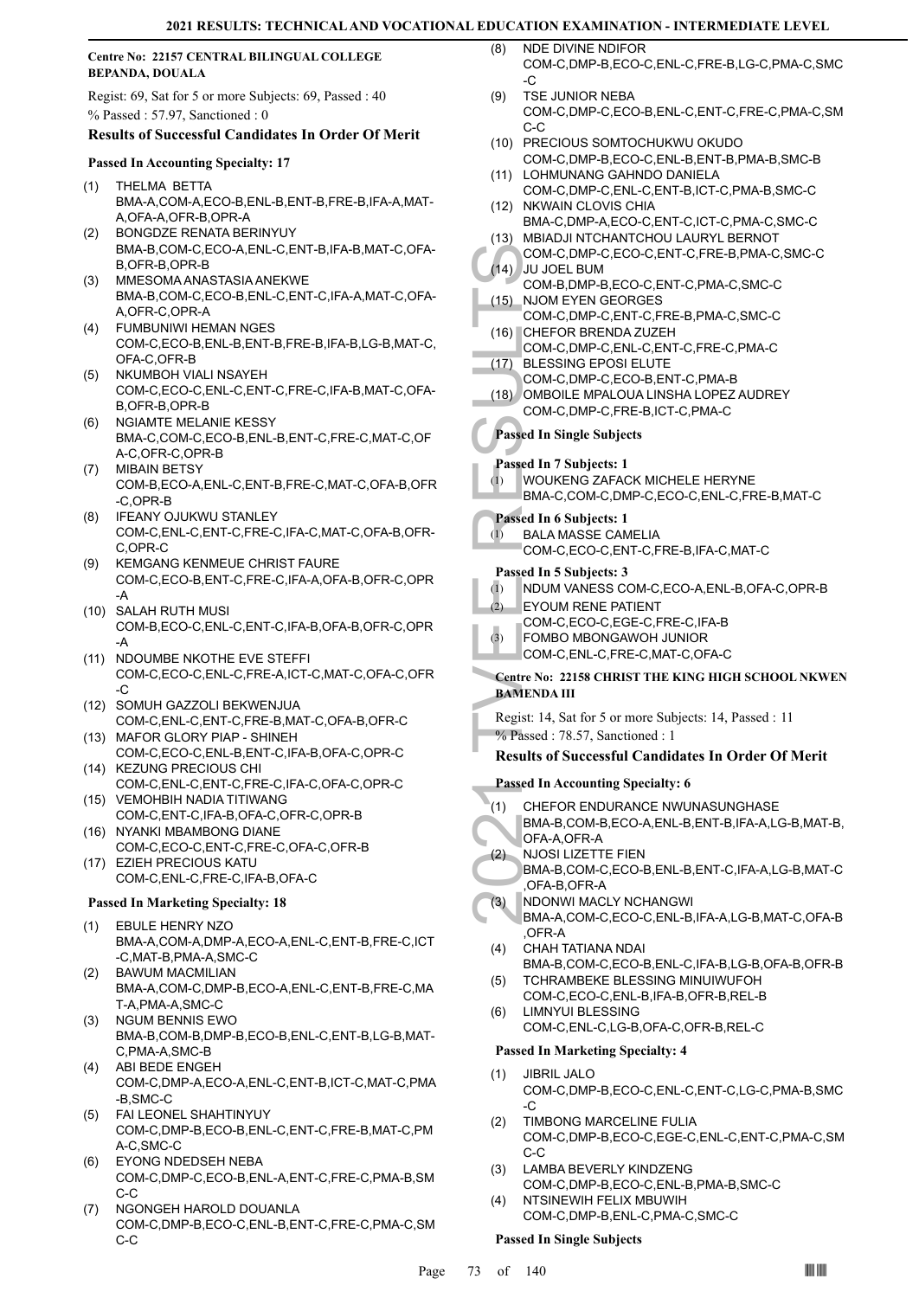#### **Centre No: 22157 CENTRAL BILINGUAL COLLEGE BEPANDA, DOUALA**

Regist: 69, Sat for 5 or more Subjects: 69, Passed : 40 % Passed : 57.97, Sanctioned : 0

## **Results of Successful Candidates In Order Of Merit**

#### **Passed In Accounting Specialty: 17**

- THELMA BETTA BMA-A,COM-A,ECO-B,ENL-B,ENT-B,FRE-B,IFA-A,MAT-A,OFA-A,OFR-B,OPR-A (1)
- BONGDZE RENATA BERINYUY BMA-B,COM-C,ECO-A,ENL-C,ENT-B,IFA-B,MAT-C,OFA-B,OFR-B,OPR-B (2)
- MMESOMA ANASTASIA ANEKWE BMA-B,COM-C,ECO-B,ENL-C,ENT-C,IFA-A,MAT-C,OFA-A,OFR-C,OPR-A (3)
- FUMBUNIWI HEMAN NGES COM-C,ECO-B,ENL-B,ENT-B,FRE-B,IFA-B,LG-B,MAT-C, OFA-C,OFR-B (4)
- NKUMBOH VIALI NSAYEH COM-C,ECO-C,ENL-C,ENT-C,FRE-C,IFA-B,MAT-C,OFA-B,OFR-B,OPR-B (5)
- NGIAMTE MELANIE KESSY BMA-C,COM-C,ECO-B,ENL-B,ENT-C,FRE-C,MAT-C,OF A-C,OFR-C,OPR-B (6)
- MIBAIN BETSY COM-B,ECO-A,ENL-C,ENT-B,FRE-C,MAT-C,OFA-B,OFR -C,OPR-B (7)
- IFEANY OJUKWU STANLEY COM-C,ENL-C,ENT-C,FRE-C,IFA-C,MAT-C,OFA-B,OFR-C,OPR-C (8)
- KEMGANG KENMEUE CHRIST FAURE COM-C,ECO-B,ENT-C,FRE-C,IFA-A,OFA-B,OFR-C,OPR -A (9)
- SALAH RUTH MUSI (10) COM-B,ECO-C,ENL-C,ENT-C,IFA-B,OFA-B,OFR-C,OPR -A
- (11) NDOUMBE NKOTHE EVE STEFFI COM-C,ECO-C,ENL-C,FRE-A,ICT-C,MAT-C,OFA-C,OFR  $-C$
- (12) SOMUH GAZZOLI BEKWENJUA COM-C,ENL-C,ENT-C,FRE-B,MAT-C,OFA-B,OFR-C
- (13) MAFOR GLORY PIAP SHINEH COM-C,ECO-C,ENL-B,ENT-C,IFA-B,OFA-C,OPR-C (14) KEZUNG PRECIOUS CHI
- COM-C,ENL-C,ENT-C,FRE-C,IFA-C,OFA-C,OPR-C VEMOHBIH NADIA TITIWANG (15)
- COM-C,ENT-C,IFA-B,OFA-C,OFR-C,OPR-B (16) NYANKI MBAMBONG DIANE
- COM-C,ECO-C,ENT-C,FRE-C,OFA-C,OFR-B EZIEH PRECIOUS KATU (17)
- COM-C,ENL-C,FRE-C,IFA-B,OFA-C

#### **Passed In Marketing Specialty: 18**

- EBULE HENRY NZO BMA-A,COM-A,DMP-A,ECO-A,ENL-C,ENT-B,FRE-C,ICT -C,MAT-B,PMA-A,SMC-C (1)
- BAWUM MACMILIAN (2) BMA-A,COM-C,DMP-B,ECO-A,ENL-C,ENT-B,FRE-C,MA T-A,PMA-A,SMC-C
- NGUM BENNIS EWO BMA-B,COM-B,DMP-B,ECO-B,ENL-C,ENT-B,LG-B,MAT-C,PMA-A,SMC-B (3)
- ABI BEDE ENGEH COM-C,DMP-A,ECO-A,ENL-C,ENT-B,ICT-C,MAT-C,PMA -B,SMC-C (4)
- FAI LEONEL SHAHTINYUY (5) COM-C,DMP-B,ECO-B,ENL-C,ENT-C,FRE-B,MAT-C,PM A-C,SMC-C
- EYONG NDEDSEH NEBA (6) COM-C,DMP-C,ECO-B,ENL-A,ENT-C,FRE-C,PMA-B,SM C-C
- NGONGEH HAROLD DOUANLA COM-C,DMP-B,ECO-C,ENL-B,ENT-C,FRE-C,PMA-C,SM C-C (7)
- NDE DIVINE NDIFOR COM-C,DMP-B,ECO-C,ENL-C,FRE-B,LG-C,PMA-C,SMC  $\overline{C}$ (8)
- TSE JUNIOR NEBA COM-C,DMP-C,ECO-B,ENL-C,ENT-C,FRE-C,PMA-C,SM C-C  $(9)$
- (10) PRECIOUS SOMTOCHUKWU OKUDO COM-C,DMP-B,ECO-C,ENL-B,ENT-B,PMA-B,SMC-B
- (11) LOHMUNANG GAHNDO DANIELA COM-C,DMP-C,ENL-C,ENT-B,ICT-C,PMA-B,SMC-C
- COM-C,<br>
(14) JU JOE<br>
COM-C,<br>
COM-C,<br>
(15) NJOME<br>
COM-C,<br>
(17) BLESSI<br>
COM-C,<br>
(17) BLESSI<br>
COM-C,<br>
(18) OMBOI<br>
COM-C,<br> **Passed In Si<br>
Passed In Si<br>
Passed In Si<br>
Passed In 6<br>
EXALA M<br>
COM-C,<br>
Passed In 5<br>
Passed In 5<br>
(1)** (12) NKWAIN CLOVIS CHIA BMA-C,DMP-A,ECO-C,ENT-C,ICT-C,PMA-C,SMC-C MBIADJI NTCHANTCHOU LAURYL BERNOT (13) COM-C,DMP-C,ECO-C,ENT-C,FRE-B,PMA-C,SMC-C JU JOEL BUM (14) COM-B,DMP-B,ECO-C,ENT-C,PMA-C,SMC-C NJOM EYEN GEORGES COM-C,DMP-C,ENT-C,FRE-B,PMA-C,SMC-C (15) (16) CHEFOR BRENDA ZUZEH COM-C,DMP-C,ENL-C,ENT-C,FRE-C,PMA-C BLESSING EPOSI ELUTE COM-C,DMP-C,ECO-B,ENT-C,PMA-B (17) OMBOILE MPALOUA LINSHA LOPEZ AUDREY COM-C,DMP-C,FRE-B,ICT-C,PMA-C (18) **Passed In Single Subjects Passed In 7 Subjects: 1** WOUKENG ZAFACK MICHELE HERYNE BMA-C,COM-C,DMP-C,ECO-C,ENL-C,FRE-B,MAT-C (1) **Passed In 6 Subjects: 1** BALA MASSE CAMELIA COM-C,ECO-C,ENT-C,FRE-B,IFA-C,MAT-C (1) **Passed In 5 Subjects: 3** (1) NDUM VANESS COM-C,ECO-A,ENL-B,OFA-C,OPR-B EYOUM RENE PATIENT COM-C,ECO-C,EGE-C,FRE-C,IFA-B  $(2)$ FOMBO MBONGAWOH JUNIOR COM-C,ENL-C,FRE-C,MAT-C,OFA-C (3) **Centre No: 22158 CHRIST THE KING HIGH SCHOOL NKWEN BAMENDA III**  Regist: 14, Sat for 5 or more Subjects: 14, Passed : 11 % Passed : 78.57, Sanctioned : 1 **Results of Successful Candidates In Order Of Merit Passed In Accounting Specialty: 6** CHEFOR ENDURANCE NWUNASUNGHASE BMA-B,COM-B,ECO-A,ENL-B,ENT-B,IFA-A,LG-B,MAT-B, OFA-A,OFR-A (1) NJOSI LIZETTE FIEN BMA-B,COM-C,ECO-B,ENL-B,ENT-C,IFA-A,LG-B,MAT-C ,OFA-B,OFR-A  $(2)$ 
	- NDONWI MACLY NCHANGWI (3)
		- BMA-A,COM-C,ECO-C,ENL-B,IFA-A,LG-B,MAT-C,OFA-B ,OFR-A
	- CHAH TATIANA NDAI BMA-B,COM-C,ECO-B,ENL-C,IFA-B,LG-B,OFA-B,OFR-B (4)
	- TCHRAMBEKE BLESSING MINUIWUFOH COM-C,ECO-C,ENL-B,IFA-B,OFR-B,REL-B (5)
	- LIMNYUI BLESSING COM-C,ENL-C,LG-B,OFA-C,OFR-B,REL-C (6)

#### **Passed In Marketing Specialty: 4**

- JIBRIL JALO (1)
- COM-C,DMP-B,ECO-C,ENL-C,ENT-C,LG-C,PMA-B,SMC -C
- TIMBONG MARCELINE FULIA COM-C,DMP-B,ECO-C,EGE-C,ENL-C,ENT-C,PMA-C,SM C-C (2)
- LAMBA BEVERLY KINDZENG COM-C,DMP-B,ECO-C,ENL-B,PMA-B,SMC-C (3) NTSINEWIH FELIX MBUWIH (4)
- COM-C,DMP-B,ENL-C,PMA-C,SMC-C

#### **Passed In Single Subjects**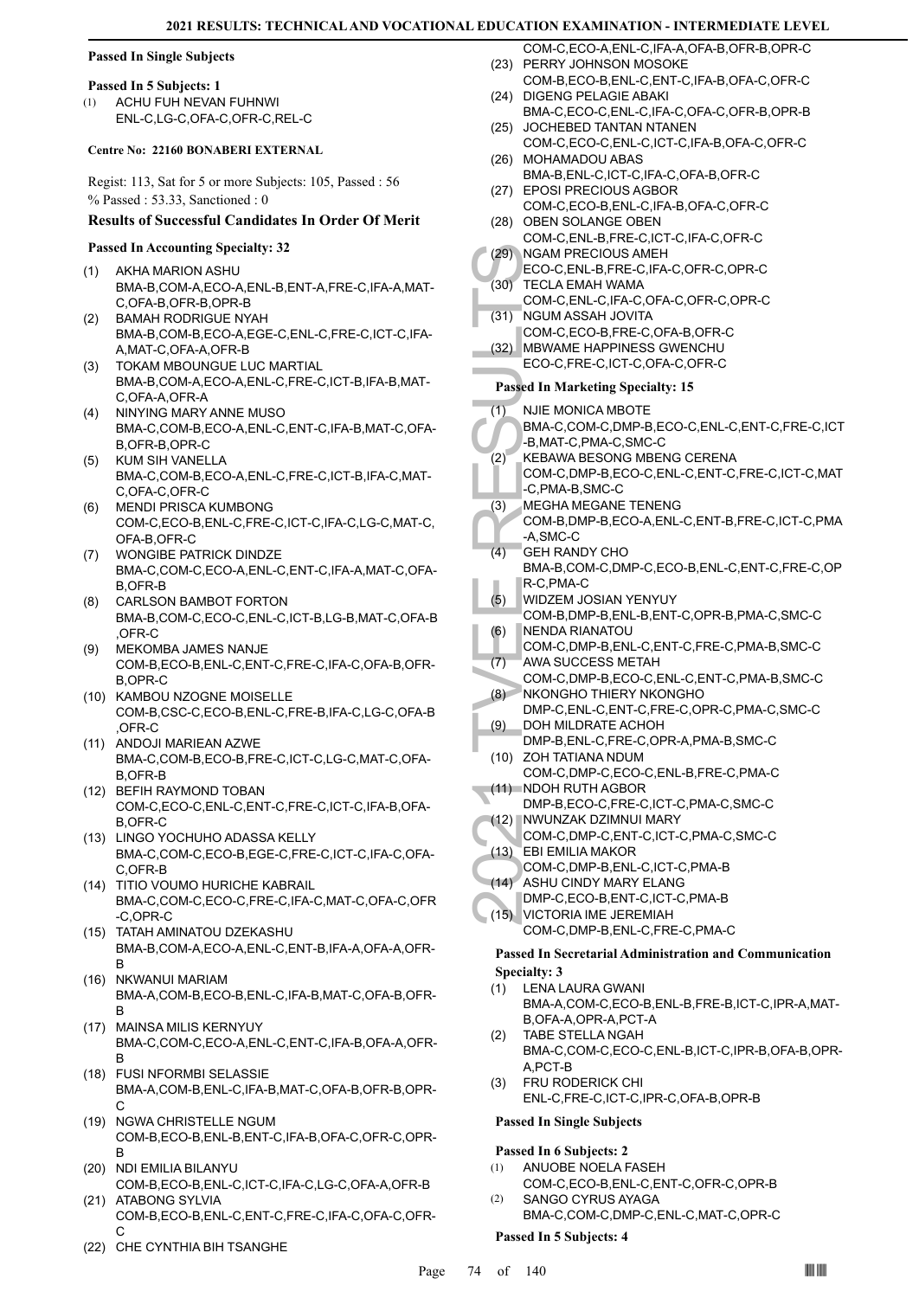#### **Passed In Single Subjects**

#### **Passed In 5 Subjects: 1**

ACHU FUH NEVAN FUHNWI ENL-C,LG-C,OFA-C,OFR-C,REL-C (1)

#### **Centre No: 22160 BONABERI EXTERNAL**

Regist: 113, Sat for 5 or more Subjects: 105, Passed : 56 % Passed : 53.33, Sanctioned : 0

#### **Results of Successful Candidates In Order Of Merit**

#### **Passed In Accounting Specialty: 32**

- AKHA MARION ASHU BMA-B,COM-A,ECO-A,ENL-B,ENT-A,FRE-C,IFA-A,MAT-C,OFA-B,OFR-B,OPR-B (1)
- BAMAH RODRIGUE NYAH BMA-B,COM-B,ECO-A,EGE-C,ENL-C,FRE-C,ICT-C,IFA-A,MAT-C,OFA-A,OFR-B (2)
- TOKAM MBOUNGUE LUC MARTIAL BMA-B,COM-A,ECO-A,ENL-C,FRE-C,ICT-B,IFA-B,MAT-C,OFA-A,OFR-A (3)
- NINYING MARY ANNE MUSO BMA-C,COM-B,ECO-A,ENL-C,ENT-C,IFA-B,MAT-C,OFA-B,OFR-B,OPR-C (4)
- KUM SIH VANELLA BMA-C,COM-B,ECO-A,ENL-C,FRE-C,ICT-B,IFA-C,MAT-C,OFA-C,OFR-C (5)
- MENDI PRISCA KUMBONG (6) COM-C,ECO-B,ENL-C,FRE-C,ICT-C,IFA-C,LG-C,MAT-C, OFA-B,OFR-C
- WONGIBE PATRICK DINDZE BMA-C,COM-C,ECO-A,ENL-C,ENT-C,IFA-A,MAT-C,OFA-B,OFR-B (7)
- CARLSON BAMBOT FORTON BMA-B,COM-C,ECO-C,ENL-C,ICT-B,LG-B,MAT-C,OFA-B ,OFR-C (8)
- MEKOMBA JAMES NANJE COM-B,ECO-B,ENL-C,ENT-C,FRE-C,IFA-C,OFA-B,OFR-B,OPR-C (9)
- (10) KAMBOU NZOGNE MOISELLE COM-B,CSC-C,ECO-B,ENL-C,FRE-B,IFA-C,LG-C,OFA-B  $OFR-C$
- (11) ANDOJI MARIEAN AZWE BMA-C,COM-B,ECO-B,FRE-C,ICT-C,LG-C,MAT-C,OFA-B,OFR-B
- (12) BEFIH RAYMOND TOBAN COM-C,ECO-C,ENL-C,ENT-C,FRE-C,ICT-C,IFA-B,OFA-B,OFR-C
- (13) LINGO YOCHUHO ADASSA KELLY BMA-C,COM-C,ECO-B,EGE-C,FRE-C,ICT-C,IFA-C,OFA-C,OFR-B
- (14) TITIO VOUMO HURICHE KABRAIL BMA-C,COM-C,ECO-C,FRE-C,IFA-C,MAT-C,OFA-C,OFR -C,OPR-C
- (15) TATAH AMINATOU DZEKASHU BMA-B,COM-A,ECO-A,ENL-C,ENT-B,IFA-A,OFA-A,OFR-B
- (16) NKWANUI MARIAM BMA-A,COM-B,ECO-B,ENL-C,IFA-B,MAT-C,OFA-B,OFR-B
- MAINSA MILIS KERNYUY (17) BMA-C,COM-C,ECO-A,ENL-C,ENT-C,IFA-B,OFA-A,OFR-B
- FUSI NFORMBI SELASSIE (18) BMA-A,COM-B,ENL-C,IFA-B,MAT-C,OFA-B,OFR-B,OPR-C
- (19) NGWA CHRISTELLE NGUM COM-B,ECO-B,ENL-B,ENT-C,IFA-B,OFA-C,OFR-C,OPR-B
- (20) NDI EMILIA BILANYU COM-B,ECO-B,ENL-C,ICT-C,IFA-C,LG-C,OFA-A,OFR-B (21) ATABONG SYLVIA
- COM-B,ECO-B,ENL-C,ENT-C,FRE-C,IFA-C,OFA-C,OFR-C
- (22) CHE CYNTHIA BIH TSANGHE
- COM-C,ECO-A,ENL-C,IFA-A,OFA-B,OFR-B,OPR-C (23) PERRY JOHNSON MOSOKE
- COM-B,ECO-B,ENL-C,ENT-C,IFA-B,OFA-C,OFR-C DIGENG PELAGIE ABAKI (24)
- BMA-C,ECO-C,ENL-C,IFA-C,OFA-C,OFR-B,OPR-B (25) JOCHEBED TANTAN NTANEN
- COM-C,ECO-C,ENL-C,ICT-C,IFA-B,OFA-C,OFR-C (26) MOHAMADOU ABAS
- BMA-B,ENL-C,ICT-C,IFA-C,OFA-B,OFR-C (27) EPOSI PRECIOUS AGBOR
- COM-C,ECO-B,ENL-C,IFA-B,OFA-C,OFR-C (28) OBEN SOLANGE OBEN
- COM-C,ENL-B,FRE-C,ICT-C,IFA-C,OFR-C
- (29) NGAM PRECIOUS AMEH ECO-C,ENL-B,FRE-C,IFA-C,OFR-C,OPR-C
- TECLA EMAH WAMA (30)
	- COM-C,ENL-C,IFA-C,OFA-C,OFR-C,OPR-C (31) NGUM ASSAH JOVITA
- COM-C,ECO-B,FRE-C,OFA-B,OFR-C MBWAME HAPPINESS GWENCHU (32)
- ECO-C,FRE-C,ICT-C,OFA-C,OFR-C

#### **Passed In Marketing Specialty: 15**

- NJIE MONICA MBOTE (1)
- BMA-C,COM-C,DMP-B,ECO-C,ENL-C,ENT-C,FRE-C,ICT -B,MAT-C,PMA-C,SMC-C
- KEBAWA BESONG MBENG CERENA COM-C,DMP-B,ECO-C,ENL-C,ENT-C,FRE-C,ICT-C,MAT (2)
- -C,PMA-B,SMC-C MEGHA MEGANE TENENG (3)
- COM-B,DMP-B,ECO-A,ENL-C,ENT-B,FRE-C,ICT-C,PMA -A,SMC-C
- (29) NGAM FCO-C,<br>
(30) TECLA COM-C,<br>
(31) NGUM COM-C,<br>
(31) NGUM COM-C,<br>
(32) MBWAA ECO-C,<br>
Passed In M<br>
(1) NJIE M(6) BMA-C,<br>
-B, MAT-C,<br>
-B, MAT-C,<br>
-B, MAT-C,<br>
-B, MAT-C,<br>
-C, PMA MEGHA COM-C,<br>
-C, PMA BMA-B,<br>
-A, SMC G GEH RANDY CHO BMA-B,COM-C,DMP-C,ECO-B,ENL-C,ENT-C,FRE-C,OP R-C,PMA-C (4)
	- WIDZEM JOSIAN YENYUY COM-B,DMP-B,ENL-B,ENT-C,OPR-B,PMA-C,SMC-C (5)
	- NENDA RIANATOU (6)
	- COM-C,DMP-B,ENL-C,ENT-C,FRE-C,PMA-B,SMC-C
- AWA SUCCESS METAH (7)
- COM-C,DMP-B,ECO-C,ENL-C,ENT-C,PMA-B,SMC-C NKONGHO THIERY NKONGHO  $(8)$
- DMP-C,ENL-C,ENT-C,FRE-C,OPR-C,PMA-C,SMC-C DOH MILDRATE ACHOH (9)
- DMP-B,ENL-C,FRE-C,OPR-A,PMA-B,SMC-C (10) ZOH TATIANA NDUM
- COM-C,DMP-C,ECO-C,ENL-B,FRE-C,PMA-C (11) NDOH RUTH AGBOR
- DMP-B,ECO-C,FRE-C,ICT-C,PMA-C,SMC-C
- (12) NWUNZAK DZIMNUI MARY COM-C,DMP-C,ENT-C,ICT-C,PMA-C,SMC-C
- EBI EMILIA MAKOR (13)
	- COM-C,DMP-B,ENL-C,ICT-C,PMA-B
- ASHU CINDY MARY ELANG  $(14)$
- DMP-C,ECO-B,ENT-C,ICT-C,PMA-B
- VICTORIA IME JEREMIAH COM-C,DMP-B,ENL-C,FRE-C,PMA-C  $(15)$

# **Passed In Secretarial Administration and Communication**

- **Specialty: 3**
- LENA LAURA GWANI BMA-A,COM-C,ECO-B,ENL-B,FRE-B,ICT-C,IPR-A,MAT-B,OFA-A,OPR-A,PCT-A (1)
- TABE STELLA NGAH BMA-C,COM-C,ECO-C,ENL-B,ICT-C,IPR-B,OFA-B,OPR-A,PCT-B (2)
- FRU RODERICK CHI ENL-C,FRE-C,ICT-C,IPR-C,OFA-B,OPR-B (3)

#### **Passed In Single Subjects**

#### **Passed In 6 Subjects: 2**

- ANUOBE NOELA FASEH COM-C,ECO-B,ENL-C,ENT-C,OFR-C,OPR-B (1) SANGO CYRUS AYAGA (2)
- BMA-C,COM-C,DMP-C,ENL-C,MAT-C,OPR-C

#### **Passed In 5 Subjects: 4**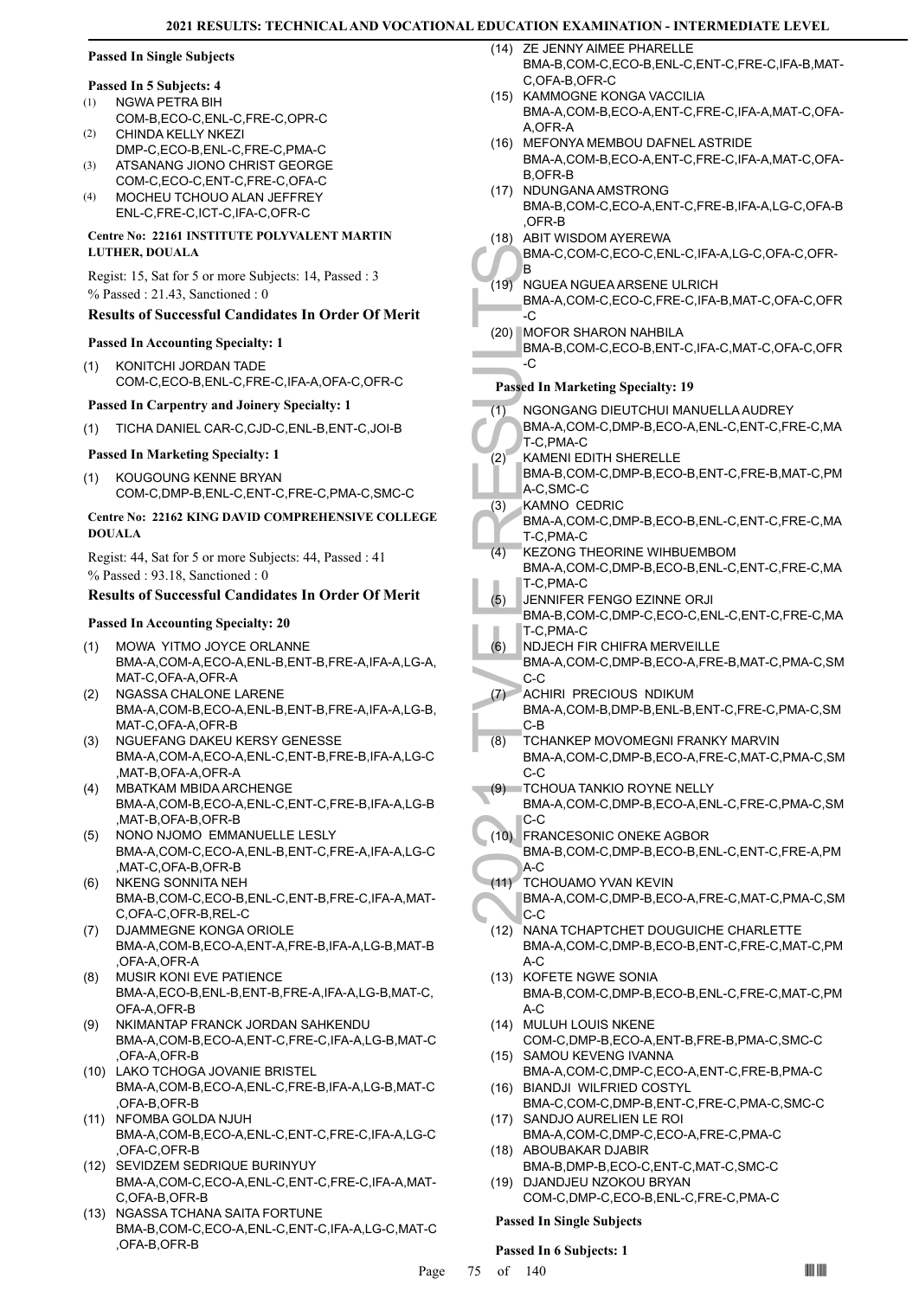# **Passed In Single Subjects**

# **Passed In 5 Subjects: 4**

- NGWA PETRA BIH COM-B,ECO-C,ENL-C,FRE-C,OPR-C (1) (2)
- CHINDA KELLY NKEZI DMP-C,ECO-B,ENL-C,FRE-C,PMA-C
- ATSANANG JIONO CHRIST GEORGE COM-C,ECO-C,ENT-C,FRE-C,OFA-C (3)
- MOCHEU TCHOUO ALAN JEFFREY ENL-C,FRE-C,ICT-C,IFA-C,OFR-C  $(4)$

#### **Centre No: 22161 INSTITUTE POLYVALENT MARTIN LUTHER, DOUALA**

Regist: 15, Sat for 5 or more Subjects: 14, Passed : 3 % Passed : 21.43, Sanctioned : 0

### **Results of Successful Candidates In Order Of Merit**

#### **Passed In Accounting Specialty: 1**

(1) KONITCHI JORDAN TADE COM-C,ECO-B,ENL-C,FRE-C,IFA-A,OFA-C,OFR-C

#### **Passed In Carpentry and Joinery Specialty: 1**

(1) TICHA DANIEL CAR-C,CJD-C,ENL-B,ENT-C,JOI-B

### **Passed In Marketing Specialty: 1**

KOUGOUNG KENNE BRYAN COM-C,DMP-B,ENL-C,ENT-C,FRE-C,PMA-C,SMC-C (1)

### **Centre No: 22162 KING DAVID COMPREHENSIVE COLLEGE DOUALA**

Regist: 44, Sat for 5 or more Subjects: 44, Passed : 41 % Passed : 93.18, Sanctioned : 0

# **Results of Successful Candidates In Order Of Merit**

### **Passed In Accounting Specialty: 20**

- MOWA YITMO JOYCE ORLANNE (1) BMA-A,COM-A,ECO-A,ENL-B,ENT-B,FRE-A,IFA-A,LG-A, MAT-C,OFA-A,OFR-A
- NGASSA CHALONE LARENE BMA-A,COM-B,ECO-A,ENL-B,ENT-B,FRE-A,IFA-A,LG-B, MAT-C,OFA-A,OFR-B (2)
- NGUEFANG DAKEU KERSY GENESSE BMA-A,COM-A,ECO-A,ENL-C,ENT-B,FRE-B,IFA-A,LG-C ,MAT-B,OFA-A,OFR-A (3)
- MBATKAM MBIDA ARCHENGE BMA-A,COM-B,ECO-A,ENL-C,ENT-C,FRE-B,IFA-A,LG-B ,MAT-B,OFA-B,OFR-B (4)
- NONO NJOMO EMMANUELLE LESLY BMA-A,COM-C,ECO-A,ENL-B,ENT-C,FRE-A,IFA-A,LG-C ,MAT-C,OFA-B,OFR-B (5)
- NKENG SONNITA NEH BMA-B,COM-C,ECO-B,ENL-C,ENT-B,FRE-C,IFA-A,MAT-C,OFA-C,OFR-B,REL-C (6)
- DJAMMEGNE KONGA ORIOLE BMA-A,COM-B,ECO-A,ENT-A,FRE-B,IFA-A,LG-B,MAT-B ,OFA-A,OFR-A (7)
- MUSIR KONI EVE PATIENCE BMA-A,ECO-B,ENL-B,ENT-B,FRE-A,IFA-A,LG-B,MAT-C, OFA-A,OFR-B (8)
- NKIMANTAP FRANCK JORDAN SAHKENDU BMA-A,COM-B,ECO-A,ENT-C,FRE-C,IFA-A,LG-B,MAT-C ,OFA-A,OFR-B (9)
- (10) LAKO TCHOGA JOVANIE BRISTEL BMA-A,COM-B,ECO-A,ENL-C,FRE-B,IFA-A,LG-B,MAT-C ,OFA-B,OFR-B
- (11) NFOMBA GOLDA NJUH BMA-A,COM-B,ECO-A,ENL-C,ENT-C,FRE-C,IFA-A,LG-C ,OFA-C,OFR-B
- (12) SEVIDZEM SEDRIQUE BURINYUY BMA-A,COM-C,ECO-A,ENL-C,ENT-C,FRE-C,IFA-A,MAT-C,OFA-B,OFR-B
- (13) NGASSA TCHANA SAITA FORTUNE BMA-B,COM-C,ECO-A,ENL-C,ENT-C,IFA-A,LG-C,MAT-C ,OFA-B,OFR-B
- ZE JENNY AIMEE PHARELLE BMA-B,COM-C,ECO-B,ENL-C,ENT-C,FRE-C,IFA-B,MAT-C,OFA-B,OFR-C  $(14)$
- (15) KAMMOGNE KONGA VACCILIA BMA-A,COM-B,ECO-A,ENT-C,FRE-C,IFA-A,MAT-C,OFA-A,OFR-A
- (16) MEFONYA MEMBOU DAFNEL ASTRIDE BMA-A,COM-B,ECO-A,ENT-C,FRE-C,IFA-A,MAT-C,OFA-B,OFR-B
- (17) NDUNGANA AMSTRONG BMA-B,COM-C,ECO-A,ENT-C,FRE-B,IFA-A,LG-C,OFA-B ,OFR-B
- (18) ABIT WISDOM AYEREWA

BMA-C,COM-C,ECO-C,ENL-C,IFA-A,LG-C,OFA-C,OFR-B

- NGUEA NGUEA ARSENE ULRICH BMA-A,COM-C,ECO-C,FRE-C,IFA-B,MAT-C,OFA-C,OFR  $(19)$
- $\overline{C}$ (20) MOFOR SHARON NAHBILA BMA-B,COM-C,ECO-B,ENT-C,IFA-C,MAT-C,OFA-C,OFR  $-c$

# **Passed In Marketing Specialty: 19**

- NGONGANG DIEUTCHUI MANUELLA AUDREY BMA-A,COM-C,DMP-B,ECO-A,ENL-C,ENT-C,FRE-C,MA T-C,PMA-C (1)
- KAMENI EDITH SHERELLE BMA-B,COM-C,DMP-B,ECO-B,ENT-C,FRE-B,MAT-C,PM A-C,SMC-C (2)
- KAMNO CEDRIC (3)
	- BMA-A,COM-C,DMP-B,ECO-B,ENL-C,ENT-C,FRE-C,MA T-C,PMA-C
- KEZONG THEORINE WIHBUEMBOM BMA-A,COM-C,DMP-B,ECO-B,ENL-C,ENT-C,FRE-C,MA T-C,PMA-C (4)
- JENNIFER FENGO EZINNE ORJI (5)
- BMA-B,COM-C,DMP-C,ECO-C,ENL-C,ENT-C,FRE-C,MA T-C,PMA-C
- NDJECH FIR CHIFRA MERVEILLE (6)
- BMA-A,COM-C,DMP-B,ECO-A,FRE-B,MAT-C,PMA-C,SM C-C
- ACHIRI PRECIOUS NDIKUM BMA-A,COM-B,DMP-B,ENL-B,ENT-C,FRE-C,PMA-C,SM C-B  $(7)$
- TCHANKEP MOVOMEGNI FRANKY MARVIN BMA-A,COM-C,DMP-B,ECO-A,FRE-C,MAT-C,PMA-C,SM C-C (8)
- TCHOUA TANKIO ROYNE NELLY BMA-A,COM-C,DMP-B,ECO-A,ENL-C,FRE-C,PMA-C,SM C-C  $(9)$
- MA-C, B<br>
(19) NGUEA<br>
BMA-A, C<br>
(20) MOFOR<br>
BMA-A, C<br>
C<br>
Passed In M<br>
(1) NGONC<br>
BMA-A, T-C, PM<br>
KAMEN<br>
BMA-A, T-C, PM<br>
(2) KAMEN<br>
BMA-A, T-C, PM<br>
(4) KEZON<br>
BMA-A, T-C, PM<br>
HA-A, T-C, PM<br>
ENNA-A, T-C, PM<br>
(5) JENNIF, BMA-A FRANCESONIC ONEKE AGBOR BMA-B,COM-C,DMP-B,ECO-B,ENL-C,ENT-C,FRE-A,PM A-C (10) TCHOUAMO YVAN KEVIN  $(11)$ 
	- BMA-A,COM-C,DMP-B,ECO-A,FRE-C,MAT-C,PMA-C,SM  $|c-c$
	- (12) NANA TCHAPTCHET DOUGUICHE CHARLETTE BMA-A,COM-C,DMP-B,ECO-B,ENT-C,FRE-C,MAT-C,PM  $A-C$
	- (13) KOFETE NGWE SONIA BMA-B,COM-C,DMP-B,ECO-B,ENL-C,FRE-C,MAT-C,PM A-C
	- MULUH LOUIS NKENE (14) COM-C,DMP-B,ECO-A,ENT-B,FRE-B,PMA-C,SMC-C
	- (15) SAMOU KEVENG IVANNA BMA-A,COM-C,DMP-C,ECO-A,ENT-C,FRE-B,PMA-C
	- BIANDJI WILFRIED COSTYL (16) BMA-C,COM-C,DMP-B,ENT-C,FRE-C,PMA-C,SMC-C
	- (17) SANDJO AURELIEN LE ROI BMA-A,COM-C,DMP-C,ECO-A,FRE-C,PMA-C
	- (18) ABOUBAKAR DJABIR BMA-B,DMP-B,ECO-C,ENT-C,MAT-C,SMC-C
	- (19) DJANDJEU NZOKOU BRYAN COM-C,DMP-C,ECO-B,ENL-C,FRE-C,PMA-C

#### **Passed In Single Subjects**

# **Passed In 6 Subjects: 1**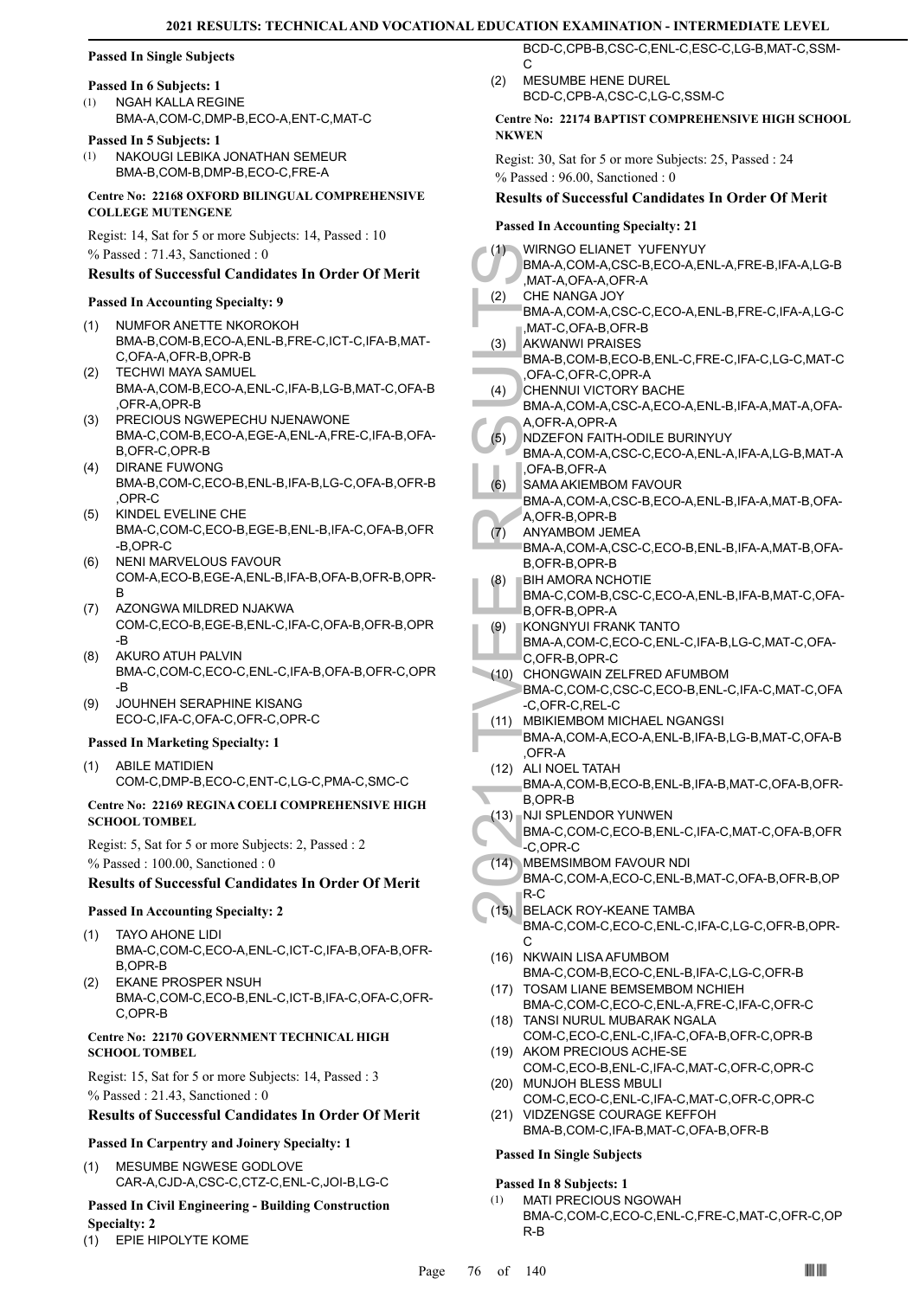# **Passed In Single Subjects**

# **Passed In 6 Subjects: 1**

NGAH KALLA REGINE BMA-A,COM-C,DMP-B,ECO-A,ENT-C,MAT-C (1)

#### **Passed In 5 Subjects: 1**

NAKOUGI LEBIKA JONATHAN SEMEUR BMA-B,COM-B,DMP-B,ECO-C,FRE-A (1)

**Centre No: 22168 OXFORD BILINGUAL COMPREHENSIVE COLLEGE MUTENGENE** 

Regist: 14, Sat for 5 or more Subjects: 14, Passed : 10 % Passed : 71.43, Sanctioned : 0

# **Results of Successful Candidates In Order Of Merit**

#### **Passed In Accounting Specialty: 9**

- NUMFOR ANETTE NKOROKOH BMA-B,COM-B,ECO-A,ENL-B,FRE-C,ICT-C,IFA-B,MAT-C,OFA-A,OFR-B,OPR-B (1)
- TECHWI MAYA SAMUEL BMA-A,COM-B,ECO-A,ENL-C,IFA-B,LG-B,MAT-C,OFA-B ,OFR-A,OPR-B (2)
- PRECIOUS NGWEPECHU NJENAWONE (3) BMA-C,COM-B,ECO-A,EGE-A,ENL-A,FRE-C,IFA-B,OFA-B,OFR-C,OPR-B
- DIRANE FUWONG BMA-B,COM-C,ECO-B,ENL-B,IFA-B,LG-C,OFA-B,OFR-B ,OPR-C (4)
- KINDEL EVELINE CHE BMA-C,COM-C,ECO-B,EGE-B,ENL-B,IFA-C,OFA-B,OFR -B,OPR-C (5)
- NENI MARVELOUS FAVOUR COM-A,ECO-B,EGE-A,ENL-B,IFA-B,OFA-B,OFR-B,OPR-B (6)
- AZONGWA MILDRED NJAKWA COM-C,ECO-B,EGE-B,ENL-C,IFA-C,OFA-B,OFR-B,OPR -B (7)
- AKURO ATUH PALVIN BMA-C,COM-C,ECO-C,ENL-C,IFA-B,OFA-B,OFR-C,OPR -B (8)
- JOUHNEH SERAPHINE KISANG ECO-C,IFA-C,OFA-C,OFR-C,OPR-C (9)

#### **Passed In Marketing Specialty: 1**

ABILE MATIDIEN (1) COM-C,DMP-B,ECO-C,ENT-C,LG-C,PMA-C,SMC-C

#### **Centre No: 22169 REGINA COELI COMPREHENSIVE HIGH SCHOOL TOMBEL**

Regist: 5, Sat for 5 or more Subjects: 2, Passed : 2 % Passed : 100.00, Sanctioned : 0

# **Results of Successful Candidates In Order Of Merit**

#### **Passed In Accounting Specialty: 2**

- TAYO AHONE LIDI BMA-C,COM-C,ECO-A,ENL-C,ICT-C,IFA-B,OFA-B,OFR-B,OPR-B (1)
- EKANE PROSPER NSUH BMA-C,COM-C,ECO-B,ENL-C,ICT-B,IFA-C,OFA-C,OFR-C,OPR-B (2)

#### **Centre No: 22170 GOVERNMENT TECHNICAL HIGH SCHOOL TOMBEL**

Regist: 15, Sat for 5 or more Subjects: 14, Passed : 3

% Passed : 21.43, Sanctioned : 0

# **Results of Successful Candidates In Order Of Merit**

# **Passed In Carpentry and Joinery Specialty: 1**

MESUMBE NGWESE GODLOVE CAR-A,CJD-A,CSC-C,CTZ-C,ENL-C,JOI-B,LG-C (1)

# **Passed In Civil Engineering - Building Construction Specialty: 2**

(1) EPIE HIPOLYTE KOME

BCD-C,CPB-B,CSC-C,ENL-C,ESC-C,LG-B,MAT-C,SSM-C

MESUMBE HENE DUREL BCD-C,CPB-A,CSC-C,LG-C,SSM-C  $(2)$ 

#### **Centre No: 22174 BAPTIST COMPREHENSIVE HIGH SCHOOL NKWEN**

Regist: 30, Sat for 5 or more Subjects: 25, Passed : 24 % Passed : 96.00, Sanctioned : 0

#### **Results of Successful Candidates In Order Of Merit**

#### **Passed In Accounting Specialty: 21**

| (1)  | WIRNGO ELIANET YUFENYUY<br>BMA-A,COM-A,CSC-B,ECO-A,ENL-A,FRE-B,IFA-A,LG-B<br>,MAT-A,OFA-A,OFR-A                                                  |
|------|--------------------------------------------------------------------------------------------------------------------------------------------------|
| (2)  | CHE NANGA JOY                                                                                                                                    |
| (3)  | BMA-A,COM-A,CSC-C,ECO-A,ENL-B,FRE-C,IFA-A,LG-C<br>MAT-C.OFA-B.OFR-B.<br><b>AKWANWI PRAISES</b><br>BMA-B,COM-B,ECO-B,ENL-C,FRE-C,IFA-C,LG-C,MAT-C |
| (4)  | OFA-C, OFR-C, OPR-A<br>CHENNUI VICTORY BACHE                                                                                                     |
|      | BMA-A,COM-A,CSC-A,ECO-A,ENL-B,IFA-A,MAT-A,OFA-<br>A,OFR-A,OPR-A                                                                                  |
| (5)  | NDZEFON FAITH-ODILE BURINYUY<br>BMA-A,COM-A,CSC-C,ECO-A,ENL-A,IFA-A,LG-B,MAT-A<br>OFA-B, OFR-A                                                   |
| (6)  | SAMA AKIEMBOM FAVOUR<br>BMA-A,COM-A,CSC-B,ECO-A,ENL-B,IFA-A,MAT-B,OFA-<br>A, OFR-B, OPR-B                                                        |
| (7)  | ANYAMBOM JEMEA<br>BMA-A,COM-A,CSC-C,ECO-B,ENL-B,IFA-A,MAT-B,OFA-                                                                                 |
| (8)  | B, OFR-B, OPR-B<br><b>BIH AMORA NCHOTIE</b><br>BMA-C,COM-B,CSC-C,ECO-A,ENL-B,IFA-B,MAT-C,OFA-                                                    |
| (9)  | B,OFR-B,OPR-A<br>KONGNYUI FRANK TANTO                                                                                                            |
|      | BMA-A,COM-C,ECO-C,ENL-C,IFA-B,LG-C,MAT-C,OFA-<br>C.OFR-B.OPR-C                                                                                   |
| (10) | CHONGWAIN ZELFRED AFUMBOM<br>BMA-C,COM-C,CSC-C,ECO-B,ENL-C,IFA-C,MAT-C,OFA<br>-C,OFR-C,REL-C                                                     |
| (11) | <b>MBIKIEMBOM MICHAEL NGANGSI</b>                                                                                                                |
|      | BMA-A,COM-A,ECO-A,ENL-B,IFA-B,LG-B,MAT-C,OFA-B<br>OFR-A                                                                                          |
| (12) | ALI NOEL TATAH<br>BMA-A,COM-B,ECO-B,ENL-B,IFA-B,MAT-C,OFA-B,OFR-<br>B,OPR-B                                                                      |
| (13) | NJI SPLENDOR YUNWEN<br>BMA-C,COM-C,ECO-B,ENL-C,IFA-C,MAT-C,OFA-B,OFR<br>-C.OPR-C                                                                 |
| (14) | MBEMSIMBOM FAVOUR NDI<br>BMA-C,COM-A,ECO-C,ENL-B,MAT-C,OFA-B,OFR-B,OP<br>R-C                                                                     |
| (15) | BELACK ROY-KEANE TAMBA<br>BMA-C,COM-C,ECO-C,ENL-C,IFA-C,LG-C,OFR-B,OPR-<br>С                                                                     |
| (16) | NKWAIN LISA AFUMBOM<br>BMA-C,COM-B,ECO-C,ENL-B,IFA-C,LG-C,OFR-B                                                                                  |
| (17) | TOSAM LIANE BEMSEMBOM NCHIEH<br>BMA-C,COM-C,ECO-C,ENL-A,FRE-C,IFA-C,OFR-C                                                                        |
| (18) | TANSI NURUL MUBARAK NGALA<br>COM-C,ECO-C,ENL-C,IFA-C,OFA-B,OFR-C,OPR-B                                                                           |
| (19) | AKOM PRECIOUS ACHE-SE                                                                                                                            |
| (20) | COM-C,ECO-B,ENL-C,IFA-C,MAT-C,OFR-C,OPR-C<br>MUNJOH BLESS MBULI                                                                                  |
| (21) | COM-C,ECO-C,ENL-C,IFA-C,MAT-C,OFR-C,OPR-C<br>VIDZENGSE COURAGE KEFFOH<br>BMA-B,COM-C, IFA-B, MAT-C, OFA-B, OFR-B                                 |
|      | <b>Passed In Single Subjects</b>                                                                                                                 |

# **Passed In 8 Subjects: 1**

MATI PRECIOUS NGOWAH BMA-C,COM-C,ECO-C,ENL-C,FRE-C,MAT-C,OFR-C,OP R-B (1)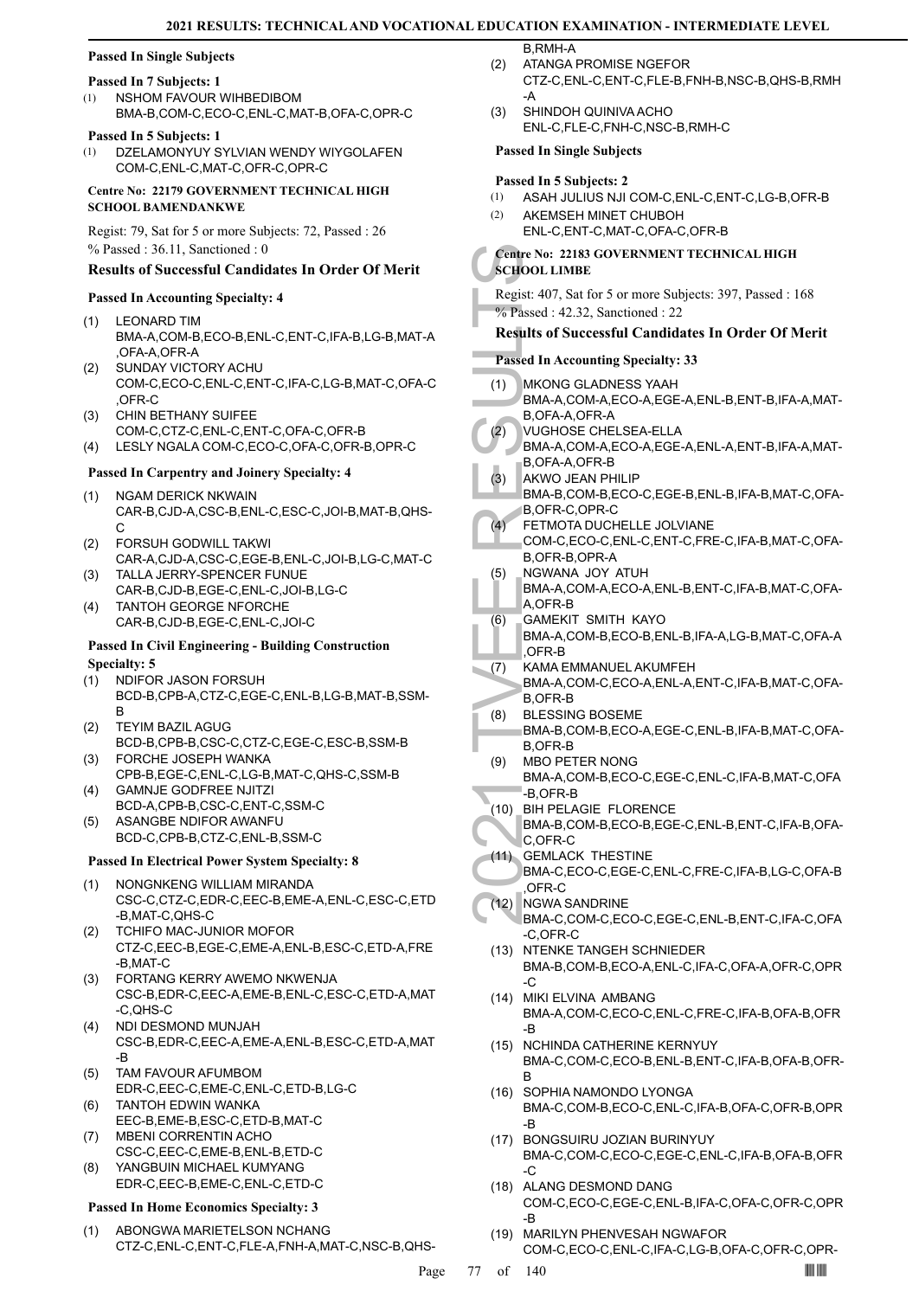### **Passed In Single Subjects**

#### **Passed In 7 Subjects: 1**

NSHOM FAVOUR WIHBEDIBOM BMA-B,COM-C,ECO-C,ENL-C,MAT-B,OFA-C,OPR-C (1)

#### **Passed In 5 Subjects: 1**

DZELAMONYUY SYLVIAN WENDY WIYGOLAFEN COM-C,ENL-C,MAT-C,OFR-C,OPR-C  $(1)$ 

**Centre No: 22179 GOVERNMENT TECHNICAL HIGH SCHOOL BAMENDANKWE** 

Regist: 79, Sat for 5 or more Subjects: 72, Passed : 26 % Passed : 36.11, Sanctioned : 0

#### **Results of Successful Candidates In Order Of Merit**

#### **Passed In Accounting Specialty: 4**

- LEONARD TIM BMA-A,COM-B,ECO-B,ENL-C,ENT-C,IFA-B,LG-B,MAT-A ,OFA-A,OFR-A (1)
- SUNDAY VICTORY ACHU COM-C,ECO-C,ENL-C,ENT-C,IFA-C,LG-B,MAT-C,OFA-C ,OFR-C (2)
- CHIN BETHANY SUIFEE (3)
- COM-C,CTZ-C,ENL-C,ENT-C,OFA-C,OFR-B (4) LESLY NGALA COM-C,ECO-C,OFA-C,OFR-B,OPR-C

### **Passed In Carpentry and Joinery Specialty: 4**

- NGAM DERICK NKWAIN CAR-B,CJD-A,CSC-B,ENL-C,ESC-C,JOI-B,MAT-B,QHS-C (1)
- FORSUH GODWILL TAKWI CAR-A,CJD-A,CSC-C,EGE-B,ENL-C,JOI-B,LG-C,MAT-C (2)
- TALLA JERRY-SPENCER FUNUE CAR-B,CJD-B,EGE-C,ENL-C,JOI-B,LG-C (3)
- TANTOH GEORGE NFORCHE CAR-B,CJD-B,EGE-C,ENL-C,JOI-C (4)

#### **Passed In Civil Engineering - Building Construction Specialty: 5**

- NDIFOR JASON FORSUH BCD-B,CPB-A,CTZ-C,EGE-C,ENL-B,LG-B,MAT-B,SSM-B (1)
- TEYIM BAZIL AGUG BCD-B,CPB-B,CSC-C,CTZ-C,EGE-C,ESC-B,SSM-B (2)
- FORCHE JOSEPH WANKA CPB-B,EGE-C,ENL-C,LG-B,MAT-C,QHS-C,SSM-B (3)
- GAMNJE GODFREE NJITZI BCD-A,CPB-B,CSC-C,ENT-C,SSM-C (4)
- ASANGBE NDIFOR AWANFU BCD-C,CPB-B,CTZ-C,ENL-B,SSM-C (5)

#### **Passed In Electrical Power System Specialty: 8**

- NONGNKENG WILLIAM MIRANDA CSC-C,CTZ-C,EDR-C,EEC-B,EME-A,ENL-C,ESC-C,ETD -B,MAT-C,QHS-C (1)
- TCHIFO MAC-JUNIOR MOFOR CTZ-C,EEC-B,EGE-C,EME-A,ENL-B,ESC-C,ETD-A,FRE -B,MAT-C (2)
- FORTANG KERRY AWEMO NKWENJA (3) CSC-B,EDR-C,EEC-A,EME-B,ENL-C,ESC-C,ETD-A,MAT -C,QHS-C
- (4) NDI DESMOND MUNJAH CSC-B,EDR-C,EEC-A,EME-A,ENL-B,ESC-C,ETD-A,MAT -B
- TAM FAVOUR AFUMBOM EDR-C,EEC-C,EME-C,ENL-C,ETD-B,LG-C (5)
- TANTOH EDWIN WANKA EEC-B,EME-B,ESC-C,ETD-B,MAT-C (6)
- MBENI CORRENTIN ACHO CSC-C,EEC-C,EME-B,ENL-B,ETD-C (7)
- YANGBUIN MICHAEL KUMYANG EDR-C,EEC-B,EME-C,ENL-C,ETD-C (8)

#### **Passed In Home Economics Specialty: 3**

ABONGWA MARIETELSON NCHANG CTZ-C,ENL-C,ENT-C,FLE-A,FNH-A,MAT-C,NSC-B,QHS- (1)

ATANGA PROMISE NGEFOR (2)

- CTZ-C,ENL-C,ENT-C,FLE-B,FNH-B,NSC-B,QHS-B,RMH -A
- SHINDOH QUINIVA ACHO ENL-C,FLE-C,FNH-C,NSC-B,RMH-C (3)

#### **Passed In Single Subjects**

#### **Passed In 5 Subjects: 2**

B,RMH-A

- (1) ASAH JULIUS NJI COM-C,ENL-C,ENT-C,LG-B,OFR-B
- AKEMSEH MINET CHUBOH ENL-C,ENT-C,MAT-C,OFA-C,OFR-B (2)

# **Centre No: 22183 GOVERNMENT TECHNICAL HIGH SCHOOL LIMBE**

Regist: 407, Sat for 5 or more Subjects: 397, Passed : 168 % Passed : 42.32, Sanctioned : 22

# **Results of Successful Candidates In Order Of Merit**

#### **Passed In Accounting Specialty: 33**

- Centre No: 22<br>
SCHOOL LIN<br>
Regist: 407, 1<br>
% Passed : 42<br>
Results of S<br>
Passed In Ac<br>
(1) MKONG<br>
BMA-A, B,OFA-A, VUGHO<br>
BMA-A, B,OFA-A, VUGHO<br>
BMA-A, B,OFR-A, AKWO , BMA-A, B,OFR-B, B,OFR-I<br>
(3) AKWO , BMA-B, B,OFR-I<br>
(5) MKONG GLADNESS YAAH BMA-A,COM-A,ECO-A,EGE-A,ENL-B,ENT-B,IFA-A,MAT-B,OFA-A,OFR-A (1) VUGHOSE CHELSEA-ELLA BMA-A,COM-A,ECO-A,EGE-A,ENL-A,ENT-B,IFA-A,MAT-B,OFA-A,OFR-B (2) AKWO JEAN PHILIP BMA-B,COM-B,ECO-C,EGE-B,ENL-B,IFA-B,MAT-C,OFA-B,OFR-C,OPR-C (3) FETMOTA DUCHELLE JOLVIANE COM-C,ECO-C,ENL-C,ENT-C,FRE-C,IFA-B,MAT-C,OFA-B,OFR-B,OPR-A  $(4)$ NGWANA JOY ATUH BMA-A,COM-A,ECO-A,ENL-B,ENT-C,IFA-B,MAT-C,OFA-A,OFR-B (5) GAMEKIT SMITH KAYO BMA-A,COM-B,ECO-B,ENL-B,IFA-A,LG-B,MAT-C,OFA-A ,OFR-B (6) KAMA EMMANUEL AKUMFEH BMA-A,COM-C,ECO-A,ENL-A,ENT-C,IFA-B,MAT-C,OFA-B,OFR-B (7) BLESSING BOSEME BMA-B,COM-B,ECO-A,EGE-C,ENL-B,IFA-B,MAT-C,OFA-B,OFR-B (8) MBO PETER NONG BMA-A,COM-B,ECO-C,EGE-C,ENL-C,IFA-B,MAT-C,OFA -B,OFR-B (9) BIH PELAGIE FLORENCE (10) BMA-B,COM-B,ECO-B,EGE-C,ENL-B,ENT-C,IFA-B,OFA-C,OFR-C GEMLACK THESTINE (11) BMA-C,ECO-C,EGE-C,ENL-C,FRE-C,IFA-B,LG-C,OFA-B ,OFR-C (12) NGWA SANDRINE BMA-C,COM-C,ECO-C,EGE-C,ENL-B,ENT-C,IFA-C,OFA -C,OFR-C NTENKE TANGEH SCHNIEDER BMA-B,COM-B,ECO-A,ENL-C,IFA-C,OFA-A,OFR-C,OPR -C (13) (14) MIKI ELVINA AMBANG BMA-A,COM-C,ECO-C,ENL-C,FRE-C,IFA-B,OFA-B,OFR -B
	- (15) NCHINDA CATHERINE KERNYUY BMA-C,COM-C,ECO-B,ENL-B,ENT-C,IFA-B,OFA-B,OFR-B
	- (16) SOPHIA NAMONDO LYONGA BMA-C,COM-B,ECO-C,ENL-C,IFA-B,OFA-C,OFR-B,OPR -B
	- BONGSUIRU JOZIAN BURINYUY (17) BMA-C,COM-C,ECO-C,EGE-C,ENL-C,IFA-B,OFA-B,OFR -C
	- (18) ALANG DESMOND DANG COM-C,ECO-C,EGE-C,ENL-B,IFA-C,OFA-C,OFR-C,OPR -B
	- (19) MARILYN PHENVESAH NGWAFOR COM-C,ECO-C,ENL-C,IFA-C,LG-B,OFA-C,OFR-C,OPR-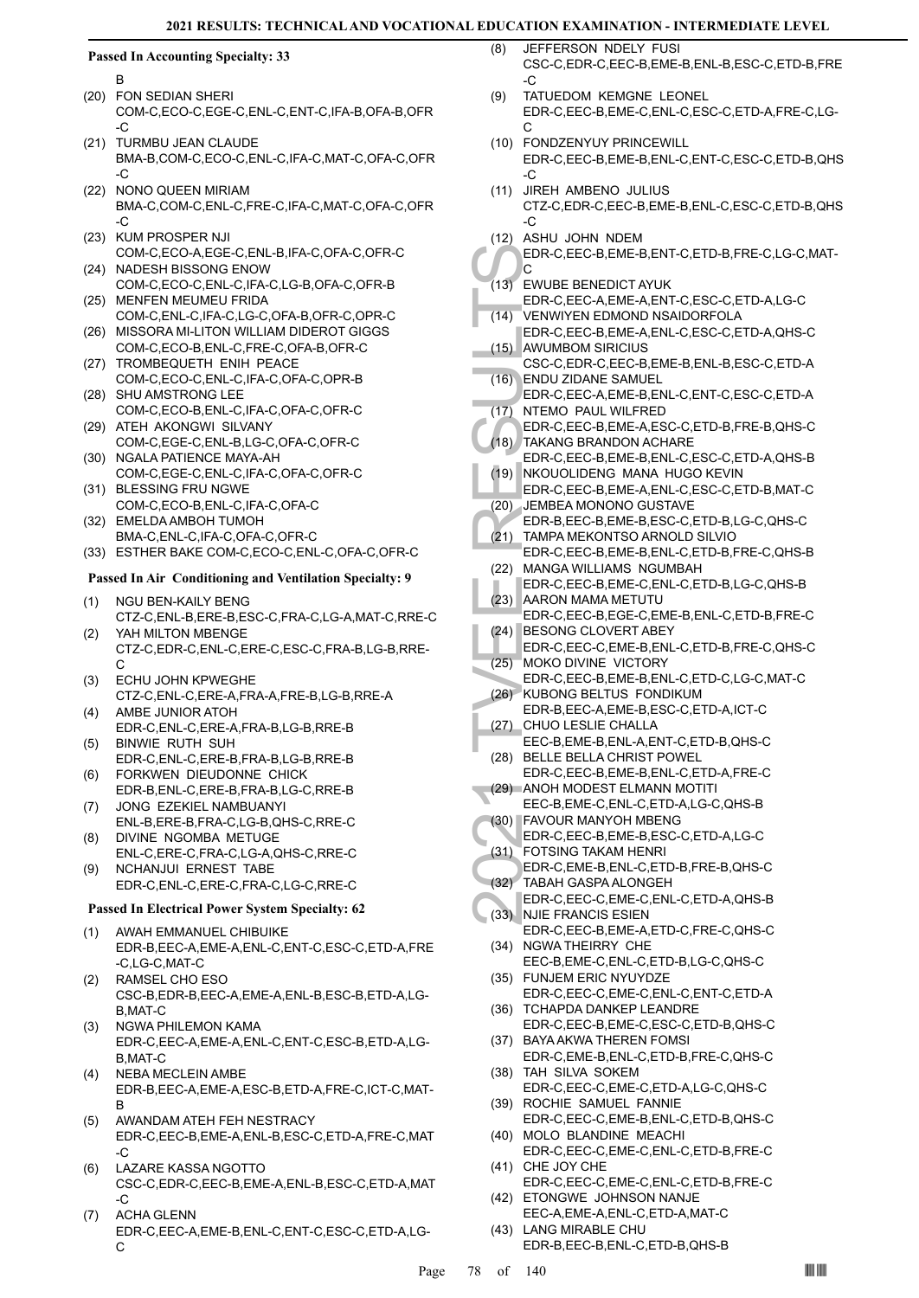#### **Passed In Accounting Specialty: 33**

B

- FON SEDIAN SHERI (20) COM-C,ECO-C,EGE-C,ENL-C,ENT-C,IFA-B,OFA-B,OFR  $-C$
- (21) TURMBU JEAN CLAUDE BMA-B,COM-C,ECO-C,ENL-C,IFA-C,MAT-C,OFA-C,OFR  $-C$
- NONO QUEEN MIRIAM BMA-C,COM-C,ENL-C,FRE-C,IFA-C,MAT-C,OFA-C,OFR -C (22)
- (23) KUM PROSPER NJI COM-C,ECO-A,EGE-C,ENL-B,IFA-C,OFA-C,OFR-C
- (24) NADESH BISSONG ENOW COM-C,ECO-C,ENL-C,IFA-C,LG-B,OFA-C,OFR-B (25) MENFEN MEUMEU FRIDA
- COM-C,ENL-C,IFA-C,LG-C,OFA-B,OFR-C,OPR-C (26) MISSORA MI-LITON WILLIAM DIDEROT GIGGS
- COM-C,ECO-B,ENL-C,FRE-C,OFA-B,OFR-C (27) TROMBEQUETH ENIH PEACE
- COM-C,ECO-C,ENL-C,IFA-C,OFA-C,OPR-B (28) SHU AMSTRONG LEE
- COM-C,ECO-B,ENL-C,IFA-C,OFA-C,OFR-C (29) ATEH AKONGWI SILVANY
- COM-C,EGE-C,ENL-B,LG-C,OFA-C,OFR-C (30) NGALA PATIENCE MAYA-AH
- COM-C,EGE-C,ENL-C,IFA-C,OFA-C,OFR-C (31) BLESSING FRU NGWE
- COM-C,ECO-B,ENL-C,IFA-C,OFA-C (32) EMELDA AMBOH TUMOH
- BMA-C,ENL-C,IFA-C,OFA-C,OFR-C
- (33) ESTHER BAKE COM-C,ECO-C,ENL-C,OFA-C,OFR-C

#### **Passed In Air Conditioning and Ventilation Specialty: 9**

- NGU BEN-KAILY BENG CTZ-C,ENL-B,ERE-B,ESC-C,FRA-C,LG-A,MAT-C,RRE-C (1) YAH MILTON MBENGE (2)
- CTZ-C,EDR-C,ENL-C,ERE-C,ESC-C,FRA-B,LG-B,RRE-C
- ECHU JOHN KPWEGHE CTZ-C,ENL-C,ERE-A,FRA-A,FRE-B,LG-B,RRE-A (3) (4)
- AMBE JUNIOR ATOH EDR-C,ENL-C,ERE-A,FRA-B,LG-B,RRE-B BINWIE RUTH SUH (5)
- EDR-C,ENL-C,ERE-B,FRA-B,LG-B,RRE-B FORKWEN DIEUDONNE CHICK (6)
- EDR-B,ENL-C,ERE-B,FRA-B,LG-C,RRE-B JONG EZEKIEL NAMBUANYI (7)
- ENL-B,ERE-B,FRA-C,LG-B,QHS-C,RRE-C DIVINE NGOMBA METUGE (8)
- ENL-C,ERE-C,FRA-C,LG-A,QHS-C,RRE-C NCHANJUI ERNEST TABE (9)
	- EDR-C,ENL-C,ERE-C,FRA-C,LG-C,RRE-C

#### **Passed In Electrical Power System Specialty: 62**

- AWAH EMMANUEL CHIBUIKE EDR-B,EEC-A,EME-A,ENL-C,ENT-C,ESC-C,ETD-A,FRE -C,LG-C,MAT-C (1)
- RAMSEL CHO ESO CSC-B,EDR-B,EEC-A,EME-A,ENL-B,ESC-B,ETD-A,LG-B,MAT-C (2)
- NGWA PHILEMON KAMA EDR-C,EEC-A,EME-A,ENL-C,ENT-C,ESC-B,ETD-A,LG-B,MAT-C (3)
- NEBA MECLEIN AMBE EDR-B,EEC-A,EME-A,ESC-B,ETD-A,FRE-C,ICT-C,MAT-B (4)
- AWANDAM ATEH FEH NESTRACY EDR-C,EEC-B,EME-A,ENL-B,ESC-C,ETD-A,FRE-C,MAT -C (5)
- LAZARE KASSA NGOTTO CSC-C,EDR-C,EEC-B,EME-A,ENL-B,ESC-C,ETD-A,MAT -C (6)
- ACHA GLENN EDR-C,EEC-A,EME-B,ENL-C,ENT-C,ESC-C,ETD-A,LG-C (7)
- JEFFERSON NDELY FUSI CSC-C,EDR-C,EEC-B,EME-B,ENL-B,ESC-C,ETD-B,FRE  $\overline{C}$ (8)
- TATUEDOM KEMGNE LEONEL EDR-C,EEC-B,EME-C,ENL-C,ESC-C,ETD-A,FRE-C,LG- $\cap$ (9)
- (10) FONDZENYUY PRINCEWILL EDR-C,EEC-B,EME-B,ENL-C,ENT-C,ESC-C,ETD-B,QHS  $-C$
- JIREH AMBENO JULIUS CTZ-C,EDR-C,EEC-B,EME-B,ENL-C,ESC-C,ETD-B,QHS -C (11)
- (12) ASHU JOHN NDEM

EDR-C,EEC-B,EME-B,ENT-C,ETD-B,FRE-C,LG-C,MAT-C

- EWUBE BENEDICT AYUK (13)
- EDR-C,EEC-A,EME-A,ENT-C,ESC-C,ETD-A,LG-C VENWIYEN EDMOND NSAIDORFOLA  $(14)$
- EDR-C,EEC-B,EME-A,ENL-C,ESC-C,ETD-A,QHS-C AWUMBOM SIRICIUS (15)
- CSC-C,EDR-C,EEC-B,EME-B,ENL-B,ESC-C,ETD-A ENDU ZIDANE SAMUEL  $(16)$
- EDR-C,EEC-A,EME-B,ENL-C,ENT-C,ESC-C,ETD-A (17) NTEMO PAUL WILFRED
- EDR-C,EEC-B,EME-A,ESC-C,ETD-B,FRE-B,QHS-C TAKANG BRANDON ACHARE (18)
- EDR-C, (13)<br>
EDR-C, (14)<br>
EDR-C, VENWINE EDR-C, (14)<br>
EDR-C, AWUME CSC-C, (16)<br>
EDR-C, AWUME CSC-C, INTEMO EDR-C, INTEMO EDR-C, INTEMO EDR-C, INTEMO EDR-C, INTEMO EDR-C, INTEMO EDR-C, INTEMO EDR-C, INTEMO EDR-C, INTEMO EDR EDR-C,EEC-B,EME-B,ENL-C,ESC-C,ETD-A,QHS-B (19) NKOUOLIDENG MANA HUGO KEVIN
	- EDR-C,EEC-B,EME-A,ENL-C,ESC-C,ETD-B,MAT-C
	- JEMBEA MONONO GUSTAVE (20)
	- EDR-B,EEC-B,EME-B,ESC-C,ETD-B,LG-C,QHS-C TAMPA MEKONTSO ARNOLD SILVIO (21)
	- EDR-C,EEC-B,EME-B,ENL-C,ETD-B,FRE-C,QHS-B (22) MANGA WILLIAMS NGUMBAH
	- EDR-C,EEC-B,EME-C,ENL-C,ETD-B,LG-C,QHS-B (23) AARON MAMA METUTU
	- EDR-C,EEC-B,EGE-C,EME-B,ENL-C,ETD-B,FRE-C (24) BESONG CLOVERT ABEY
	- EDR-C,EEC-C,EME-B,ENL-C,ETD-B,FRE-C,QHS-C (25) MOKO DIVINE VICTORY
- EDR-C,EEC-B,EME-B,ENL-C,ETD-C,LG-C,MAT-C (26) KUBONG BELTUS FONDIKUM
- EDR-B,EEC-A,EME-B,ESC-C,ETD-A,ICT-C CHUO LESLIE CHALLA (27)
- EEC-B,EME-B,ENL-A,ENT-C,ETD-B,QHS-C (28) BELLE BELLA CHRIST POWEL
- EDR-C,EEC-B,EME-B,ENL-C,ETD-A,FRE-C ANOH MODEST ELMANN MOTITI (29)
- EEC-B,EME-C,ENL-C,ETD-A,LG-C,QHS-B FAVOUR MANYOH MBENG (30)
- EDR-C,EEC-B,EME-B,ESC-C,ETD-A,LG-C
- FOTSING TAKAM HENRI (31)
- EDR-C,EME-B,ENL-C,ETD-B,FRE-B,QHS-C
- TABAH GASPA ALONGEH EDR-C,EEC-C,EME-C,ENL-C,ETD-A,QHS-B (32)
- NJIE FRANCIS ESIEN EDR-C,EEC-B,EME-A,ETD-C,FRE-C,QHS-C (33)
- (34) NGWA THEIRRY CHE EEC-B,EME-C,ENL-C,ETD-B,LG-C,QHS-C FUNJEM ERIC NYUYDZE (35)
- EDR-C,EEC-C,EME-C,ENL-C,ENT-C,ETD-A (36) TCHAPDA DANKEP LEANDRE
- EDR-C,EEC-B,EME-C,ESC-C,ETD-B,QHS-C (37) BAYA AKWA THEREN FOMSI
- EDR-C,EME-B,ENL-C,ETD-B,FRE-C,QHS-C TAH SILVA SOKEM (38)
- EDR-C,EEC-C,EME-C,ETD-A,LG-C,QHS-C (39) ROCHIE SAMUEL FANNIE
- EDR-C,EEC-C,EME-B,ENL-C,ETD-B,QHS-C (40) MOLO BLANDINE MEACHI
- EDR-C,EEC-C,EME-C,ENL-C,ETD-B,FRE-C (41) CHE JOY CHE
- EDR-C,EEC-C,EME-C,ENL-C,ETD-B,FRE-C (42) ETONGWE JOHNSON NANJE
- EEC-A,EME-A,ENL-C,ETD-A,MAT-C LANG MIRABLE CHU  $(43)$ 
	- EDR-B,EEC-B,ENL-C,ETD-B,QHS-B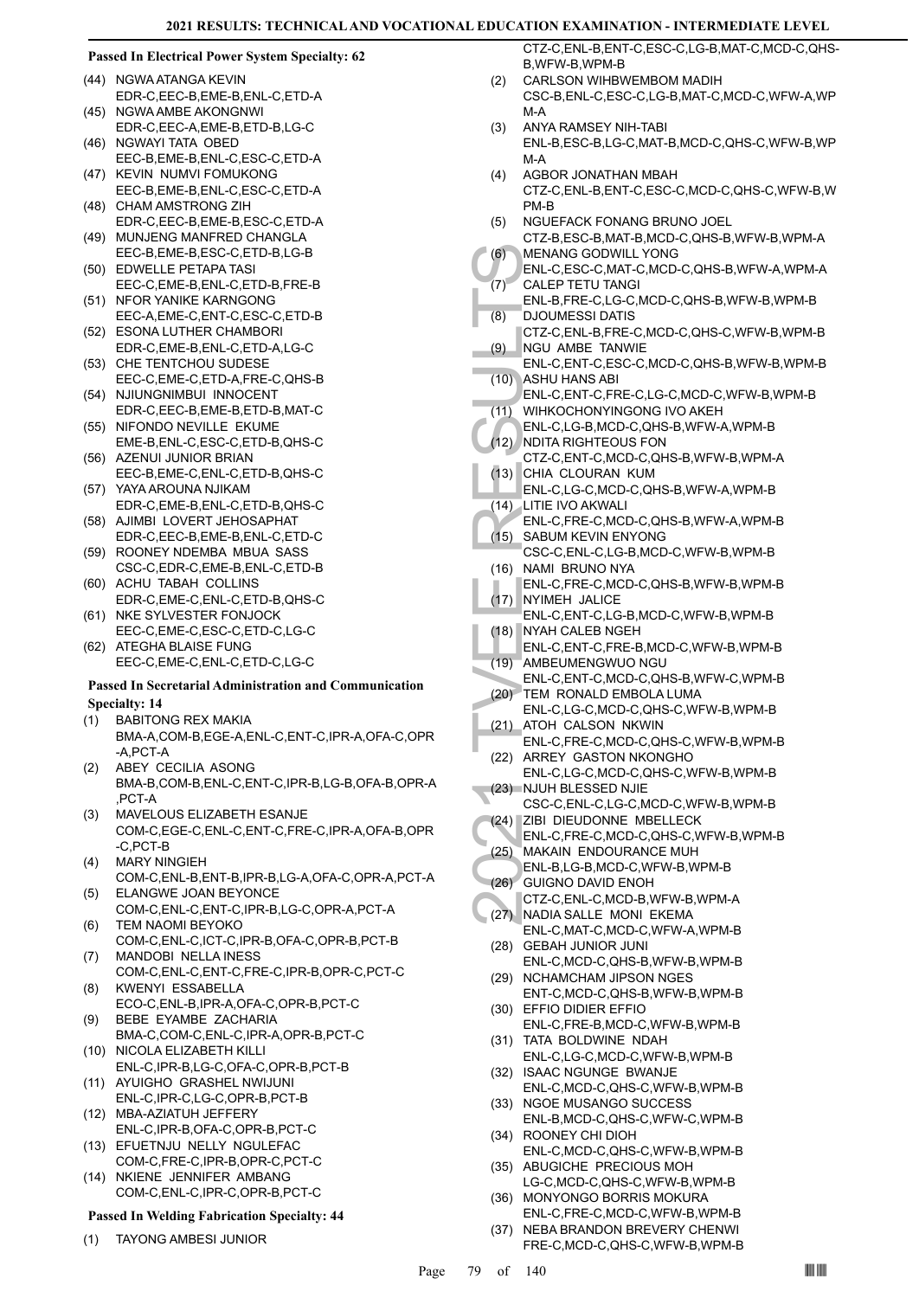#### **Passed In Electrical Power System Specialty: 62**

- (44) NGWA ATANGA KEVIN EDR-C,EEC-B,EME-B,ENL-C,ETD-A
- (45) NGWA AMBE AKONGNWI EDR-C,EEC-A,EME-B,ETD-B,LG-C
- (46) NGWAYI TATA OBED EEC-B,EME-B,ENL-C,ESC-C,ETD-A
- (47) KEVIN NUMVI FOMUKONG EEC-B,EME-B,ENL-C,ESC-C,ETD-A
- (48) CHAM AMSTRONG ZIH
- EDR-C,EEC-B,EME-B,ESC-C,ETD-A (49) MUNJENG MANFRED CHANGLA
- EEC-B,EME-B,ESC-C,ETD-B,LG-B EDWELLE PETAPA TASI (50)
- EEC-C,EME-B,ENL-C,ETD-B,FRE-B (51) NFOR YANIKE KARNGONG
- EEC-A,EME-C,ENT-C,ESC-C,ETD-B (52) ESONA LUTHER CHAMBORI
- EDR-C,EME-B,ENL-C,ETD-A,LG-C CHE TENTCHOU SUDESE (53)
- EEC-C,EME-C,ETD-A,FRE-C,QHS-B (54) NJIUNGNIMBUI INNOCENT
- EDR-C,EEC-B,EME-B,ETD-B,MAT-C
- (55) NIFONDO NEVILLE EKUME EME-B,ENL-C,ESC-C,ETD-B,QHS-C
- (56) AZENUI JUNIOR BRIAN EEC-B,EME-C,ENL-C,ETD-B,QHS-C
- YAYA AROUNA NJIKAM (57) EDR-C,EME-B,ENL-C,ETD-B,QHS-C
- (58) AJIMBI LOVERT JEHOSAPHAT EDR-C,EEC-B,EME-B,ENL-C,ETD-C
- (59) ROONEY NDEMBA MBUA SASS CSC-C,EDR-C,EME-B,ENL-C,ETD-B
- (60) ACHU TABAH COLLINS EDR-C,EME-C,ENL-C,ETD-B,QHS-C
- (61) NKE SYLVESTER FONJOCK EEC-C,EME-C,ESC-C,ETD-C,LG-C
- (62) ATEGHA BLAISE FUNG EEC-C,EME-C,ENL-C,ETD-C,LG-C

#### **Passed In Secretarial Administration and Communication Specialty: 14**

- BABITONG REX MAKIA (1)
- BMA-A,COM-B,EGE-A,ENL-C,ENT-C,IPR-A,OFA-C,OPR -A,PCT-A
- ABEY CECILIA ASONG BMA-B,COM-B,ENL-C,ENT-C,IPR-B,LG-B,OFA-B,OPR-A ,PCT-A (2)
- MAVELOUS ELIZABETH ESANJE COM-C,EGE-C,ENL-C,ENT-C,FRE-C,IPR-A,OFA-B,OPR -C,PCT-B (3)
- MARY NINGIEH COM-C,ENL-B,ENT-B,IPR-B,LG-A,OFA-C,OPR-A,PCT-A (4)
- ELANGWE JOAN BEYONCE COM-C,ENL-C,ENT-C,IPR-B,LG-C,OPR-A,PCT-A (5)
- TEM NAOMI BEYOKO COM-C,ENL-C,ICT-C,IPR-B,OFA-C,OPR-B,PCT-B (6)
- MANDOBI NELLA INESS COM-C,ENL-C,ENT-C,FRE-C,IPR-B,OPR-C,PCT-C (7)
- KWENYI ESSABELLA ECO-C,ENL-B,IPR-A,OFA-C,OPR-B,PCT-C (8)
- BEBE EYAMBE ZACHARIA BMA-C,COM-C,ENL-C,IPR-A,OPR-B,PCT-C (9)
- (10) NICOLA ELIZABETH KILLI ENL-C,IPR-B,LG-C,OFA-C,OPR-B,PCT-B
- (11) AYUIGHO GRASHEL NWIJUNI ENL-C,IPR-C,LG-C,OPR-B,PCT-B
- MBA-AZIATUH JEFFERY (12) ENL-C,IPR-B,OFA-C,OPR-B,PCT-C
- (13) EFUETNJU NELLY NGULEFAC COM-C,FRE-C,IPR-B,OPR-C,PCT-C
- (14) NKIENE JENNIFER AMBANG COM-C,ENL-C,IPR-C,OPR-B,PCT-C

#### **Passed In Welding Fabrication Specialty: 44**

(1) TAYONG AMBESI JUNIOR

CTZ-C,ENL-B,ENT-C,ESC-C,LG-B,MAT-C,MCD-C,QHS-B,WFW-B,WPM-B

- CARLSON WIHBWEMBOM MADIH CSC-B,ENL-C,ESC-C,LG-B,MAT-C,MCD-C,WFW-A,WP M-A  $(2)$
- ANYA RAMSEY NIH-TABI ENL-B,ESC-B,LG-C,MAT-B,MCD-C,QHS-C,WFW-B,WP M-A (3)
- AGBOR JONATHAN MBAH CTZ-C,ENL-B,ENT-C,ESC-C,MCD-C,QHS-C,WFW-B,W PM-B (4)
- NGUEFACK FONANG BRUNO JOEL CTZ-B,ESC-B,MAT-B,MCD-C,QHS-B,WFW-B,WPM-A (5)
- MENANG GODWILL YONG (6)
- ENL-C,ESC-C,MAT-C,MCD-C,QHS-B,WFW-A,WPM-A CALEP TETU TANGI (7)
- ENL-B,FRE-C,LG-C,MCD-C,QHS-B,WFW-B,WPM-B DJOUMESSI DATIS (8)
- CTZ-C,ENL-B,FRE-C,MCD-C,QHS-C,WFW-B,WPM-B NGU AMBE TANWIE (9)
- $(7) \begin{array}{l} \text{MEM-IC} \\ \text{MENAN} \\ \text{ENL-C}, \\ \text{CALEP} \\ \text{ENL-C}, \\ \text{RSDJOUN} \\ \text{CTZ-C}, \\ \text{RSDJOM} \\ \text{ENL-C}, \\ \text{RSDJOM} \\ \text{ENL-C}, \\ \text{RSDJOM} \\ \text{ENL-C}, \\ \text{RSDL} \\ \text{CFL} \\ \text{CFL} \\ \text{CFL} \\ \text{CFL} \\ \text{CFL} \\ \text{CFL} \\ \text{CFL} \\ \text{CFL} \\ \text{CFL} \\ \text{CFL} \\ \text{CFL} \\ \text{CFL} \\ \text{CFL} \\ \text{C$ ENL-C,ENT-C,ESC-C,MCD-C,QHS-B,WFW-B,WPM-B ASHU HANS ABI (10)
- ENL-C,ENT-C,FRE-C,LG-C,MCD-C,WFW-B,WPM-B WIHKOCHONYINGONG IVO AKEH  $(11)$
- ENL-C,LG-B,MCD-C,QHS-B,WFW-A,WPM-B
- (12) NDITA RIGHTEOUS FON
- CTZ-C,ENT-C,MCD-C,QHS-B,WFW-B,WPM-A CHIA CLOURAN KUM (13)
	- ENL-C,LG-C,MCD-C,QHS-B,WFW-A,WPM-B
- LITIE IVO AKWALI (14) ENL-C,FRE-C,MCD-C,QHS-B,WFW-A,WPM-B
- SABUM KEVIN ENYONG CSC-C,ENL-C,LG-B,MCD-C,WFW-B,WPM-B (15)
- (16) NAMI BRUNO NYA ENL-C,FRE-C,MCD-C,QHS-B,WFW-B,WPM-B
- (17) NYIMEH JALICE
- ENL-C,ENT-C,LG-B,MCD-C,WFW-B,WPM-B NYAH CALEB NGEH (18)
- ENL-C,ENT-C,FRE-B,MCD-C,WFW-B,WPM-B
- (19) AMBEUMENGWUO NGU
- ENL-C,ENT-C,MCD-C,QHS-B,WFW-C,WPM-B (20) TEM RONALD EMBOLA LUMA
- ENL-C,LG-C,MCD-C,QHS-C,WFW-B,WPM-B ATOH CALSON NKWIN (21)
- ENL-C,FRE-C,MCD-C,QHS-C,WFW-B,WPM-B (22) ARREY GASTON NKONGHO
- ENL-C,LG-C,MCD-C,QHS-C,WFW-B,WPM-B (23) NJUH BLESSED NJIE
- CSC-C,ENL-C,LG-C,MCD-C,WFW-B,WPM-B (24) ZIBI DIEUDONNE MBELLECK
- ENL-C,FRE-C,MCD-C,QHS-C,WFW-B,WPM-B
- (25) MAKAIN ENDOURANCE MUH
- ENL-B,LG-B,MCD-C,WFW-B,WPM-B
- GUIGNO DAVID ENOH (26)
- CTZ-C,ENL-C,MCD-B,WFW-B,WPM-A
- NADIA SALLE MONI EKEMA ENL-C,MAT-C,MCD-C,WFW-A,WPM-B (27)
- GEBAH JUNIOR JUNI (28) ENL-C,MCD-C,QHS-B,WFW-B,WPM-B
- (29) NCHAMCHAM JIPSON NGES ENT-C,MCD-C,QHS-B,WFW-B,WPM-B EFFIO DIDIER EFFIO (30)
- ENL-C,FRE-B,MCD-C,WFW-B,WPM-B (31) TATA BOLDWINE NDAH
- ENL-C,LG-C,MCD-C,WFW-B,WPM-B
- (32) ISAAC NGUNGE BWANJE ENL-C,MCD-C,QHS-C,WFW-B,WPM-B (33) NGOE MUSANGO SUCCESS
- ENL-B,MCD-C,QHS-C,WFW-C,WPM-B (34) ROONEY CHI DIOH
- ENL-C,MCD-C,QHS-C,WFW-B,WPM-B (35) ABUGICHE PRECIOUS MOH
- LG-C,MCD-C,QHS-C,WFW-B,WPM-B (36) MONYONGO BORRIS MOKURA
- ENL-C,FRE-C,MCD-C,WFW-B,WPM-B NEBA BRANDON BREVERY CHENWI (37)
- FRE-C,MCD-C,QHS-C,WFW-B,WPM-B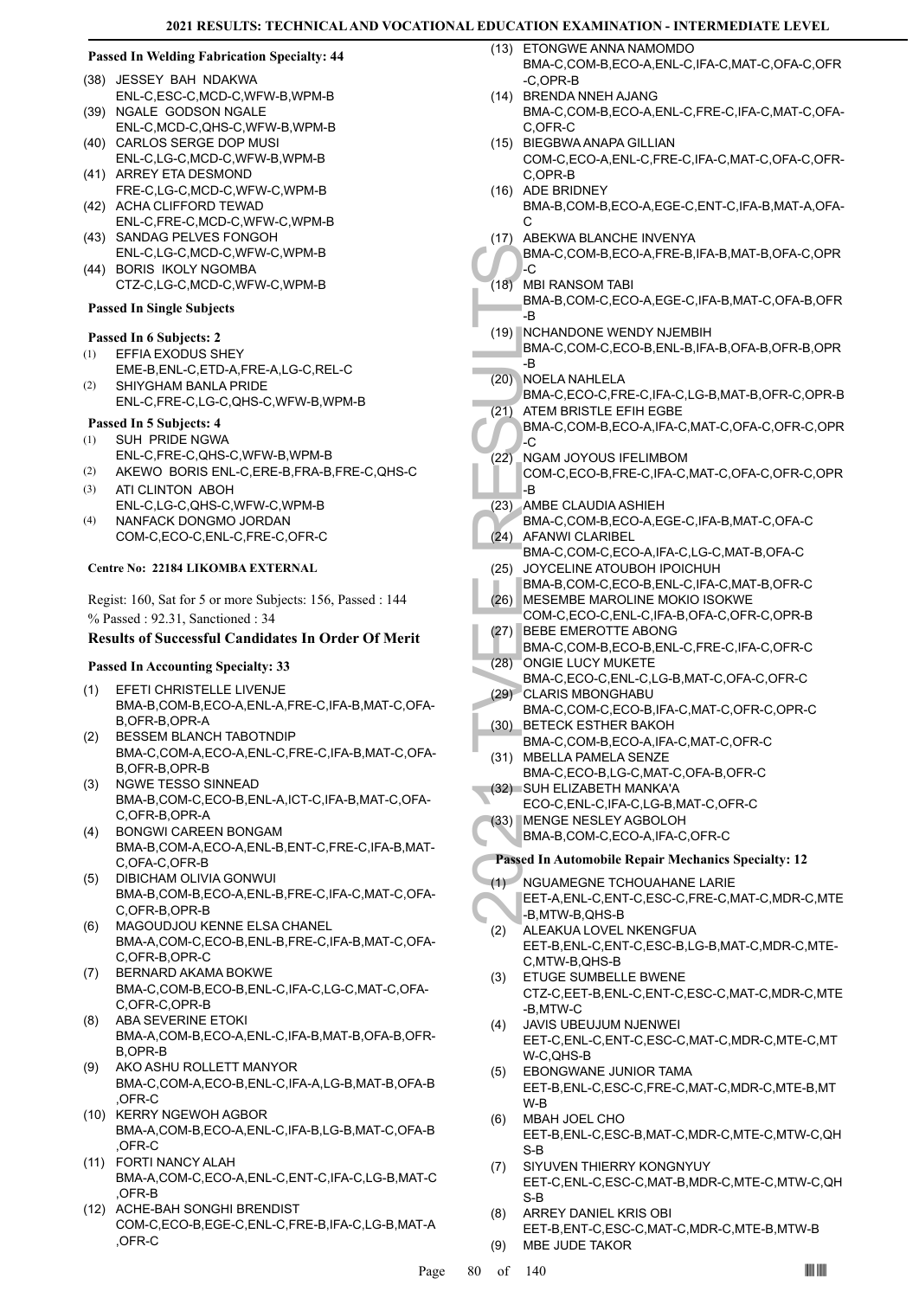#### **Passed In Welding Fabrication Specialty: 44**

- JESSEY BAH NDAKWA (38) ENL-C,ESC-C,MCD-C,WFW-B,WPM-B
- (39) NGALE GODSON NGALE ENL-C,MCD-C,QHS-C,WFW-B,WPM-B
- (40) CARLOS SERGE DOP MUSI ENL-C,LG-C,MCD-C,WFW-B,WPM-B
- (41) ARREY ETA DESMOND FRE-C,LG-C,MCD-C,WFW-C,WPM-B
- (42) ACHA CLIFFORD TEWAD
- ENL-C,FRE-C,MCD-C,WFW-C,WPM-B (43) SANDAG PELVES FONGOH
- ENL-C,LG-C,MCD-C,WFW-C,WPM-B (44) BORIS IKOLY NGOMBA
- CTZ-C,LG-C,MCD-C,WFW-C,WPM-B

# **Passed In Single Subjects**

#### **Passed In 6 Subjects: 2**

- EFFIA EXODUS SHEY (1)
- EME-B,ENL-C,ETD-A,FRE-A,LG-C,REL-C SHIYGHAM BANLA PRIDE (2)
- ENL-C,FRE-C,LG-C,QHS-C,WFW-B,WPM-B

# **Passed In 5 Subjects: 4**

- SUH PRIDE NGWA ENL-C,FRE-C,QHS-C,WFW-B,WPM-B (1)
- (2) AKEWO BORIS ENL-C,ERE-B,FRA-B,FRE-C,QHS-C
- ATI CLINTON ABOH ENL-C,LG-C,QHS-C,WFW-C,WPM-B (3)
- NANFACK DONGMO JORDAN COM-C,ECO-C,ENL-C,FRE-C,OFR-C (4)

#### **Centre No: 22184 LIKOMBA EXTERNAL**

Regist: 160, Sat for 5 or more Subjects: 156, Passed : 144 % Passed : 92.31, Sanctioned : 34

# **Results of Successful Candidates In Order Of Merit**

#### **Passed In Accounting Specialty: 33**

- EFETI CHRISTELLE LIVENJE BMA-B,COM-B,ECO-A,ENL-A,FRE-C,IFA-B,MAT-C,OFA-B,OFR-B,OPR-A (1)
- BESSEM BLANCH TABOTNDIP BMA-C,COM-A,ECO-A,ENL-C,FRE-C,IFA-B,MAT-C,OFA-B,OFR-B,OPR-B (2)
- NGWE TESSO SINNEAD BMA-B,COM-C,ECO-B,ENL-A,ICT-C,IFA-B,MAT-C,OFA-C,OFR-B,OPR-A (3)
- BONGWI CAREEN BONGAM BMA-B,COM-A,ECO-A,ENL-B,ENT-C,FRE-C,IFA-B,MAT-C,OFA-C,OFR-B (4)
- DIBICHAM OLIVIA GONWUI BMA-B,COM-B,ECO-A,ENL-B,FRE-C,IFA-C,MAT-C,OFA-C,OFR-B,OPR-B (5)
- MAGOUDJOU KENNE ELSA CHANEL BMA-A,COM-C,ECO-B,ENL-B,FRE-C,IFA-B,MAT-C,OFA-C,OFR-B,OPR-C (6)
- BERNARD AKAMA BOKWE (7) BMA-C,COM-B,ECO-B,ENL-C,IFA-C,LG-C,MAT-C,OFA-C,OFR-C,OPR-B
- ABA SEVERINE ETOKI BMA-A,COM-B,ECO-A,ENL-C,IFA-B,MAT-B,OFA-B,OFR-B,OPR-B (8)
- AKO ASHU ROLLETT MANYOR BMA-C,COM-A,ECO-B,ENL-C,IFA-A,LG-B,MAT-B,OFA-B ,OFR-C (9)
- (10) KERRY NGEWOH AGBOR BMA-A,COM-B,ECO-A,ENL-C,IFA-B,LG-B,MAT-C,OFA-B ,OFR-C
- FORTI NANCY ALAH (11) BMA-A,COM-C,ECO-A,ENL-C,ENT-C,IFA-C,LG-B,MAT-C ,OFR-B
- (12) ACHE-BAH SONGHI BRENDIST COM-C,ECO-B,EGE-C,ENL-C,FRE-B,IFA-C,LG-B,MAT-A ,OFR-C
- (13) ETONGWE ANNA NAMOMDO BMA-C,COM-B,ECO-A,ENL-C,IFA-C,MAT-C,OFA-C,OFR -C,OPR-B
- (14) BRENDA NNEH AJANG BMA-C,COM-B,ECO-A,ENL-C,FRE-C,IFA-C,MAT-C,OFA-C,OFR-C
- BIEGBWA ANAPA GILLIAN (15) COM-C,ECO-A,ENL-C,FRE-C,IFA-C,MAT-C,OFA-C,OFR-C,OPR-B
- (16) ADE BRIDNEY BMA-B,COM-B,ECO-A,EGE-C,ENT-C,IFA-B,MAT-A,OFA-C
- (17) ABEKWA BLANCHE INVENYA

BMA-C,COM-B,ECO-A,FRE-B,IFA-B,MAT-B,OFA-C,OPR -C

- MBI RANSOM TABI (18)
	- BMA-B,COM-C,ECO-A,EGE-C,IFA-B,MAT-C,OFA-B,OFR .R
- (19) NCHANDONE WENDY NJEMBIH BMA-C,COM-C,ECO-B,ENL-B,IFA-B,OFA-B,OFR-B,OPR -B
- NOELA NAHLELA (20)
- BMA-C,ECO-C,FRE-C,IFA-C,LG-B,MAT-B,OFR-C,OPR-B ATEM BRISTLE EFIH EGBE (21)
- BMA-C,COM-B,ECO-A,IFA-C,MAT-C,OFA-C,OFR-C,OPR -C
- NGAM JOYOUS IFELIMBOM COM-C,ECO-B,FRE-C,IFA-C,MAT-C,OFA-C,OFR-C,OPR l-B (22)
- (23) AMBE CLAUDIA ASHIEH
- BMA-C,COM-B,ECO-A,EGE-C,IFA-B,MAT-C,OFA-C AFANWI CLARIBEL  $(24)$
- BMA-C,COM-C,ECO-A,IFA-C,LG-C,MAT-B,OFA-C JOYCELINE ATOUBOH IPOICHUH (25)
- BMA-B,COM-C,ECO-B,ENL-C,IFA-C,MAT-B,OFR-C (26) MESEMBE MAROLINE MOKIO ISOKWE
- COM-C,ECO-C,ENL-C,IFA-B,OFA-C,OFR-C,OPR-B (27) BEBE EMEROTTE ABONG
- BMA-C,COM-B,ECO-B,ENL-C,FRE-C,IFA-C,OFR-C
- (28) ONGIE LUCY MUKETE
- BMA-C,ECO-C,ENL-C,LG-B,MAT-C,OFA-C,OFR-C CLARIS MBONGHABU (29)
- BMA-C,COM-C,ECO-B,IFA-C,MAT-C,OFR-C,OPR-C BETECK ESTHER BAKOH (30)
- BMA-C,COM-B,ECO-A,IFA-C,MAT-C,OFR-C (31) MBELLA PAMELA SENZE
- BMA-C,ECO-B,LG-C,MAT-C,OFA-B,OFR-C (32) SUH ELIZABETH MANKA'A
- ECO-C,ENL-C,IFA-C,LG-B,MAT-C,OFR-C
- (33) MENGE NESLEY AGBOLOH
- BMA-B,COM-C,ECO-A,IFA-C,OFR-C

### **Passed In Automobile Repair Mechanics Specialty: 12**

- MA-C, COMBIRA BMA-C, COMBIRA BMA-C, BMA-C, BMA-C, BMA-C, BMA-C, BMA-C, BMA-C, C22) NGAM COM-C, BMA-C, C22) NGAM COM-C, BMA-C, C22) AFANW BMA-C, C22) AFANW BMA-C, (24) AFANW BMA-C, (25) JOYCEL BMA-B, COM-C, BMA-B, COM-C, ES NGUAMEGNE TCHOUAHANE LARIE EET-A,ENL-C,ENT-C,ESC-C,FRE-C,MAT-C,MDR-C,MTE -B,MTW-B,QHS-B (1)
	- ALEAKUA LOVEL NKENGFUA EET-B,ENL-C,ENT-C,ESC-B,LG-B,MAT-C,MDR-C,MTE-C,MTW-B,QHS-B (2)
	- ETUGE SUMBELLE BWENE CTZ-C,EET-B,ENL-C,ENT-C,ESC-C,MAT-C,MDR-C,MTE -B,MTW-C (3)
	- JAVIS UBEUJUM NJENWEI (4) EET-C,ENL-C,ENT-C,ESC-C,MAT-C,MDR-C,MTE-C,MT W-C,QHS-B
	- EBONGWANE JUNIOR TAMA EET-B,ENL-C,ESC-C,FRE-C,MAT-C,MDR-C,MTE-B,MT W-B (5)
	- MBAH JOEL CHO EET-B,ENL-C,ESC-B,MAT-C,MDR-C,MTE-C,MTW-C,QH S-B (6)
	- SIYUVEN THIERRY KONGNYUY EET-C,ENL-C,ESC-C,MAT-B,MDR-C,MTE-C,MTW-C,QH S-B (7)
	- ARREY DANIEL KRIS OBI EET-B,ENT-C,ESC-C,MAT-C,MDR-C,MTE-B,MTW-B (8) (9) MBE JUDE TAKOR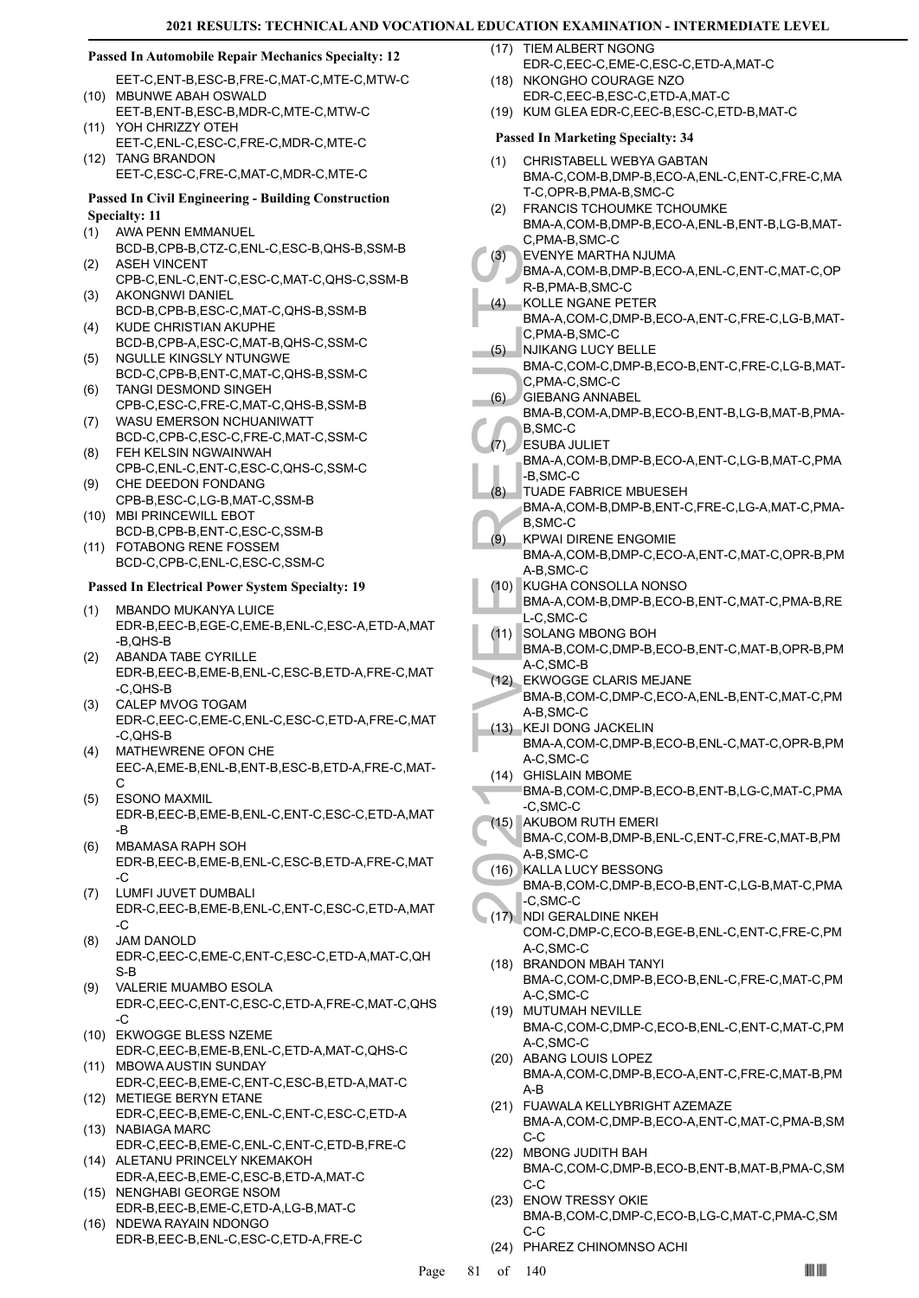#### **Passed In Automobile Repair Mechanics Specialty: 12**

- EET-C,ENT-B,ESC-B,FRE-C,MAT-C,MTE-C,MTW-C (10) MBUNWE ABAH OSWALD
- EET-B,ENT-B,ESC-B,MDR-C,MTE-C,MTW-C YOH CHRIZZY OTEH (11)
- EET-C,ENL-C,ESC-C,FRE-C,MDR-C,MTE-C (12) TANG BRANDON
	- EET-C,ESC-C,FRE-C,MAT-C,MDR-C,MTE-C

# **Passed In Civil Engineering - Building Construction**

- **Specialty: 11**
- AWA PENN EMMANUEL (1)
- BCD-B,CPB-B,CTZ-C,ENL-C,ESC-B,QHS-B,SSM-B ASEH VINCENT (2)
- CPB-C,ENL-C,ENT-C,ESC-C,MAT-C,QHS-C,SSM-B AKONGNWI DANIEL (3)
- BCD-B,CPB-B,ESC-C,MAT-C,QHS-B,SSM-B KUDE CHRISTIAN AKUPHE (4)
- BCD-B,CPB-A,ESC-C,MAT-B,QHS-C,SSM-C NGULLE KINGSLY NTUNGWE (5)
- BCD-C,CPB-B,ENT-C,MAT-C,QHS-B,SSM-C TANGI DESMOND SINGEH (6)
- CPB-C,ESC-C,FRE-C,MAT-C,QHS-B,SSM-B WASU EMERSON NCHUANIWATT (7)
- BCD-C,CPB-C,ESC-C,FRE-C,MAT-C,SSM-C FEH KELSIN NGWAINWAH (8)
- CPB-C,ENL-C,ENT-C,ESC-C,QHS-C,SSM-C CHE DEEDON FONDANG (9)
- CPB-B,ESC-C,LG-B,MAT-C,SSM-B (10) MBI PRINCEWILL EBOT
- BCD-B,CPB-B,ENT-C,ESC-C,SSM-B FOTABONG RENE FOSSEM (11)
- BCD-C,CPB-C,ENL-C,ESC-C,SSM-C

#### **Passed In Electrical Power System Specialty: 19**

- (1) MBANDO MUKANYA LUICE EDR-B,EEC-B,EGE-C,EME-B,ENL-C,ESC-A,ETD-A,MAT -B,QHS-B
- ABANDA TABE CYRILLE EDR-B,EEC-B,EME-B,ENL-C,ESC-B,ETD-A,FRE-C,MAT -C,QHS-B (2)
- CALEP MVOG TOGAM EDR-C,EEC-C,EME-C,ENL-C,ESC-C,ETD-A,FRE-C,MAT -C,QHS-B (3)
- MATHEWRENE OFON CHE EEC-A,EME-B,ENL-B,ENT-B,ESC-B,ETD-A,FRE-C,MAT-C (4)
- ESONO MAXMIL EDR-B,EEC-B,EME-B,ENL-C,ENT-C,ESC-C,ETD-A,MAT -B (5)
- MBAMASA RAPH SOH EDR-B,EEC-B,EME-B,ENL-C,ESC-B,ETD-A,FRE-C,MAT -C (6)
- LUMFI JUVET DUMBALI EDR-C,EEC-B,EME-B,ENL-C,ENT-C,ESC-C,ETD-A,MAT -C (7)
- JAM DANOLD EDR-C,EEC-C,EME-C,ENT-C,ESC-C,ETD-A,MAT-C,QH S-B (8)
- VALERIE MUAMBO ESOLA EDR-C,EEC-C,ENT-C,ESC-C,ETD-A,FRE-C,MAT-C,QHS -C (9)
- (10) EKWOGGE BLESS NZEME EDR-C,EEC-B,EME-B,ENL-C,ETD-A,MAT-C,QHS-C
- (11) MBOWA AUSTIN SUNDAY EDR-C,EEC-B,EME-C,ENT-C,ESC-B,ETD-A,MAT-C
- METIEGE BERYN ETANE (12) EDR-C,EEC-B,EME-C,ENL-C,ENT-C,ESC-C,ETD-A
- (13) NABIAGA MARC EDR-C,EEC-B,EME-C,ENL-C,ENT-C,ETD-B,FRE-C
- (14) ALETANU PRINCELY NKEMAKOH EDR-A,EEC-B,EME-C,ESC-B,ETD-A,MAT-C
- (15) NENGHABI GEORGE NSOM EDR-B,EEC-B,EME-C,ETD-A,LG-B,MAT-C
- (16) NDEWA RAYAIN NDONGO EDR-B,EEC-B,ENL-C,ESC-C,ETD-A,FRE-C

(17) TIEM ALBERT NGONG

- EDR-C,EEC-C,EME-C,ESC-C,ETD-A,MAT-C (18) NKONGHO COURAGE NZO
- EDR-C,EEC-B,ESC-C,ETD-A,MAT-C (19) KUM GLEA EDR-C,EEC-B,ESC-C,ETD-B,MAT-C

### **Passed In Marketing Specialty: 34**

- CHRISTABELL WEBYA GABTAN BMA-C,COM-B,DMP-B,ECO-A,ENL-C,ENT-C,FRE-C,MA T-C,OPR-B,PMA-B,SMC-C (1)
- FRANCIS TCHOUMKE TCHOUMKE BMA-A,COM-B,DMP-B,ECO-A,ENL-B,ENT-B,LG-B,MAT-C,PMA-B,SMC-C (2)
- EVENYE MARTHA NJUMA (3)
	- BMA-A,COM-B,DMP-B,ECO-A,ENL-C,ENT-C,MAT-C,OP R-B,PMA-B,SMC-C
- KOLLE NGANE PETER BMA-A,COM-C,DMP-B,ECO-A,ENT-C,FRE-C,LG-B,MAT-C,PMA-B,SMC-C (4)
- NJIKANG LUCY BELLE (5)
- BMA-C,COM-C,DMP-B,ECO-B,ENT-C,FRE-C,LG-B,MAT-C,PMA-C,SMC-C
- GIEBANG ANNABEL (6)
- BMA-B,COM-A,DMP-B,ECO-B,ENT-B,LG-B,MAT-B,PMA-B,SMC-C
- ESUBA JULIET (7)
	- BMA-A,COM-B,DMP-B,ECO-A,ENT-C,LG-B,MAT-C,PMA -B,SMC-C
- TUADE FABRICE MBUESEH (8)
- BMA-A,COM-B,DMP-B,ENT-C,FRE-C,LG-A,MAT-C,PMA-B,SMC-C
- KPWAI DIRENE ENGOMIE BMA-A,COM-B,DMP-C,ECO-A,ENT-C,MAT-C,OPR-B,PM A-B,SMC-C (9)
- KUGHA CONSOLLA NONSO (10)
	- BMA-A,COM-B,DMP-B,ECO-B,ENT-C,MAT-C,PMA-B,RE L-C,SMC-C
- SOLANG MBONG BOH (11)
- BMA-B,COM-C,DMP-B,ECO-B,ENT-C,MAT-B,OPR-B,PM A-C,SMC-B
- EKWOGGE CLARIS MEJANE (12) BMA-B,COM-C,DMP-C,ECO-A,ENL-B,ENT-C,MAT-C,PM A-B,SMC-C
- (3) EVENYI BMA-A,<br>
R-B,PM,<br>
(4) KOLLE BMA-A,<br>
C,PMA-<br>
BMA-A,<br>
C,PMA-C,<br>
C,PMA-C,<br>
C,PMA-C,<br>
C,PMA-B,<br>
BMA-A,<br>
BMA-A,<br>
BMA-A,<br>
BMA-A,<br>
BMA-A,<br>
BMA-A,<br>
BMA-A,<br>
BMA-A,<br>
BMA-A,<br>
BMA-A,<br>
BMA-A,<br>
BMA-A,<br>
BMA-A,<br>
BMA-A,<br>
BMA-A,<br> KEJI DONG JACKELIN BMA-A,COM-C,DMP-B,ECO-B,ENL-C,MAT-C,OPR-B,PM A-C,SMC-C (13)
	- GHISLAIN MBOME (14)
	- BMA-B,COM-C,DMP-B,ECO-B,ENT-B,LG-C,MAT-C,PMA -C,SMC-C
- (15) AKUBOM RUTH EMERI
- BMA-C,COM-B,DMP-B,ENL-C,ENT-C,FRE-C,MAT-B,PM A-B,SMC-C
- (16) KALLA LUCY BESSONG
	- BMA-B,COM-C,DMP-B,ECO-B,ENT-C,LG-B,MAT-C,PMA -C,SMC-C
	- (17) NDI GERALDINE NKEH COM-C,DMP-C,ECO-B,EGE-B,ENL-C,ENT-C,FRE-C,PM
	- A-C,SMC-C BRANDON MBAH TANYI (18) BMA-C,COM-C,DMP-B,ECO-B,ENL-C,FRE-C,MAT-C,PM
	- A-C,SMC-C MUTUMAH NEVILLE (19) BMA-C,COM-C,DMP-C,ECO-B,ENL-C,ENT-C,MAT-C,PM
	- A-C,SMC-C (20) ABANG LOUIS LOPEZ BMA-A,COM-C,DMP-B,ECO-A,ENT-C,FRE-C,MAT-B,PM
	- A-B FUAWALA KELLYBRIGHT AZEMAZE (21) BMA-A,COM-C,DMP-B,ECO-A,ENT-C,MAT-C,PMA-B,SM C-C
	- MBONG JUDITH BAH (22) BMA-C,COM-C,DMP-B,ECO-B,ENT-B,MAT-B,PMA-C,SM C-C
	- (23) ENOW TRESSY OKIE BMA-B,COM-C,DMP-C,ECO-B,LG-C,MAT-C,PMA-C,SM C-C
	- (24) PHAREZ CHINOMNSO ACHI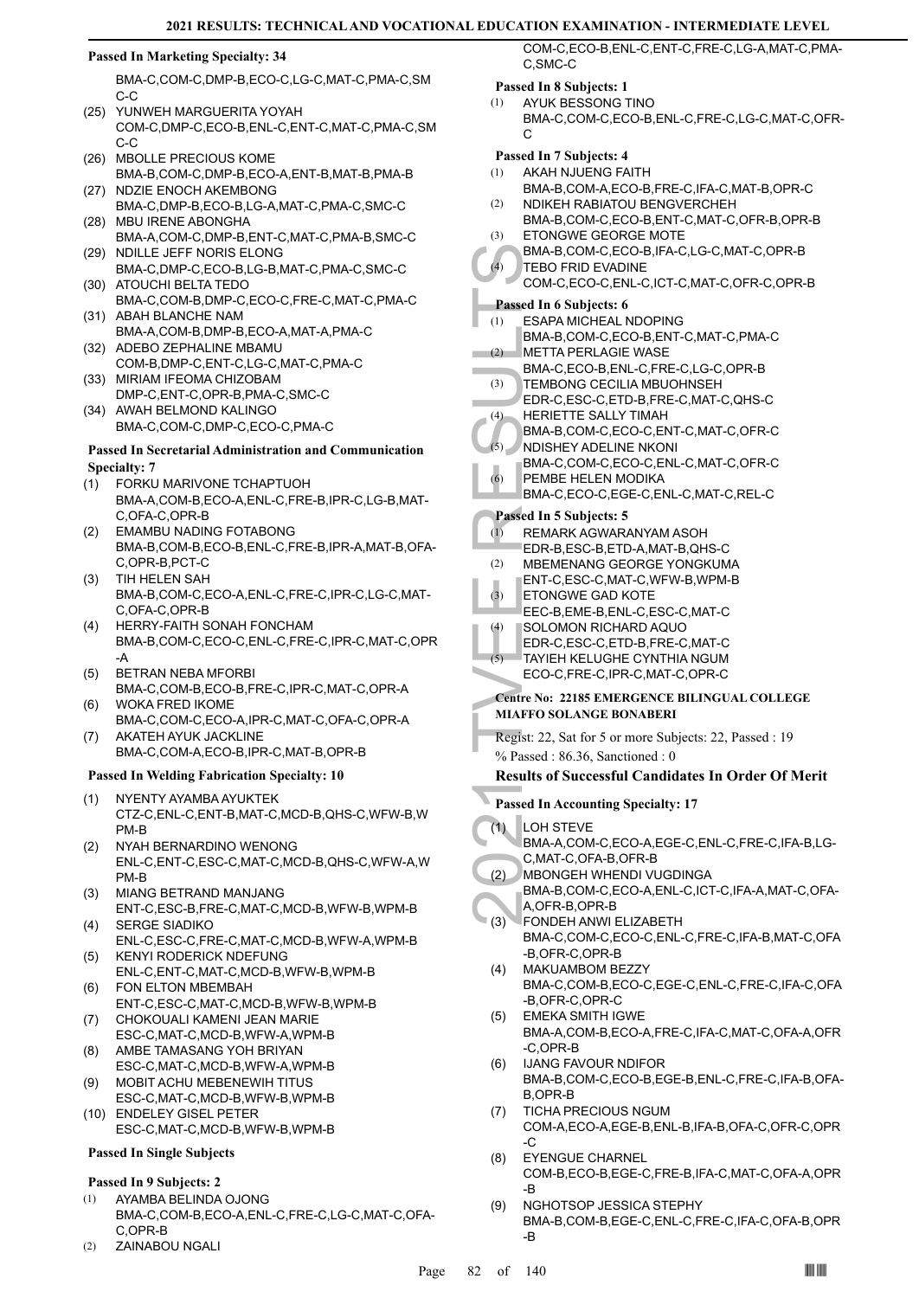#### **Passed In Marketing Specialty: 34**

BMA-C,COM-C,DMP-B,ECO-C,LG-C,MAT-C,PMA-C,SM C-C

- (25) YUNWEH MARGUERITA YOYAH COM-C,DMP-C,ECO-B,ENL-C,ENT-C,MAT-C,PMA-C,SM C-C
- (26) MBOLLE PRECIOUS KOME BMA-B,COM-C,DMP-B,ECO-A,ENT-B,MAT-B,PMA-B
- (27) NDZIE ENOCH AKEMBONG BMA-C,DMP-B,ECO-B,LG-A,MAT-C,PMA-C,SMC-C MBU IRENE ABONGHA (28)
- BMA-A,COM-C,DMP-B,ENT-C,MAT-C,PMA-B,SMC-C (29) NDILLE JEFF NORIS ELONG
- BMA-C,DMP-C,ECO-B,LG-B,MAT-C,PMA-C,SMC-C (30) ATOUCHI BELTA TEDO
- BMA-C,COM-B,DMP-C,ECO-C,FRE-C,MAT-C,PMA-C (31) ABAH BLANCHE NAM
- BMA-A,COM-B,DMP-B,ECO-A,MAT-A,PMA-C (32) ADEBO ZEPHALINE MBAMU
- COM-B,DMP-C,ENT-C,LG-C,MAT-C,PMA-C (33) MIRIAM IFEOMA CHIZOBAM
- DMP-C,ENT-C,OPR-B,PMA-C,SMC-C (34) AWAH BELMOND KALINGO
- BMA-C,COM-C,DMP-C,ECO-C,PMA-C

#### **Passed In Secretarial Administration and Communication Specialty: 7**

- FORKU MARIVONE TCHAPTUOH BMA-A,COM-B,ECO-A,ENL-C,FRE-B,IPR-C,LG-B,MAT-C,OFA-C,OPR-B (1)
- EMAMBU NADING FOTABONG BMA-B,COM-B,ECO-B,ENL-C,FRE-B,IPR-A,MAT-B,OFA-C,OPR-B,PCT-C (2)
- TIH HELEN SAH BMA-B,COM-C,ECO-A,ENL-C,FRE-C,IPR-C,LG-C,MAT-C,OFA-C,OPR-B (3)
- HERRY-FAITH SONAH FONCHAM BMA-B,COM-C,ECO-C,ENL-C,FRE-C,IPR-C,MAT-C,OPR -A (4)
- BETRAN NEBA MFORBI BMA-C,COM-B,ECO-B,FRE-C,IPR-C,MAT-C,OPR-A (5)
- WOKA FRED IKOME BMA-C,COM-C,ECO-A,IPR-C,MAT-C,OFA-C,OPR-A (6) AKATEH AYUK JACKLINE (7)
- BMA-C,COM-A,ECO-B,IPR-C,MAT-B,OPR-B

#### **Passed In Welding Fabrication Specialty: 10**

- NYENTY AYAMBA AYUKTEK CTZ-C,ENL-C,ENT-B,MAT-C,MCD-B,QHS-C,WFW-B,W PM-B (1)
- NYAH BERNARDINO WENONG ENL-C,ENT-C,ESC-C,MAT-C,MCD-B,QHS-C,WFW-A,W PM-B (2)
- MIANG BETRAND MANJANG ENT-C,ESC-B,FRE-C,MAT-C,MCD-B,WFW-B,WPM-B (3)
- SERGE SIADIKO ENL-C,ESC-C,FRE-C,MAT-C,MCD-B,WFW-A,WPM-B (4) KENYI RODERICK NDEFUNG (5)
- ENL-C,ENT-C,MAT-C,MCD-B,WFW-B,WPM-B FON ELTON MBEMBAH (6)
- ENT-C,ESC-C,MAT-C,MCD-B,WFW-B,WPM-B CHOKOUALI KAMENI JEAN MARIE (7)
- ESC-C,MAT-C,MCD-B,WFW-A,WPM-B AMBE TAMASANG YOH BRIYAN (8)
- ESC-C,MAT-C,MCD-B,WFW-A,WPM-B MOBIT ACHU MEBENEWIH TITUS (9)
- ESC-C,MAT-C,MCD-B,WFW-B,WPM-B (10) ENDELEY GISEL PETER
- ESC-C,MAT-C,MCD-B,WFW-B,WPM-B

# **Passed In Single Subjects**

#### **Passed In 9 Subjects: 2**

- AYAMBA BELINDA OJONG BMA-C,COM-B,ECO-A,ENL-C,FRE-C,LG-C,MAT-C,OFA-C,OPR-B (1)
- (2) ZAINABOU NGALI

COM-C,ECO-B,ENL-C,ENT-C,FRE-C,LG-A,MAT-C,PMA-C,SMC-C

# **Passed In 8 Subjects: 1**

AYUK BESSONG TINO BMA-C,COM-C,ECO-B,ENL-C,FRE-C,LG-C,MAT-C,OFR-C (1)

#### **Passed In 7 Subjects: 4**

- AKAH NJUENG FAITH (1)
- BMA-B,COM-A,ECO-B,FRE-C,IFA-C,MAT-B,OPR-C NDIKEH RABIATOU BENGVERCHEH  $(2)$
- BMA-B,COM-C,ECO-B,ENT-C,MAT-C,OFR-B,OPR-B ETONGWE GEORGE MOTE (3)
- BMA-B,COM-C,ECO-B,IFA-C,LG-C,MAT-C,OPR-B  $(4)$

#### TEBO FRID EVADINE COM-C,ECO-C,ENL-C,ICT-C,MAT-C,OFR-C,OPR-B

# **Passed In 6 Subjects: 6**

- BMA-B,<br>
(4) TEBO F<br>
COM-C,<br>
Passed In 6 t<br>
COM-C,<br>
(3) TEMBO<br>
EDR-C,<br>
(3) METTA<br>
BMA-B,<br>
(2) METTA<br>
BMA-B,<br>
(4) FEMBO<br>
EDR-C,<br>
(6) PEMBE<br>
BMA-C,<br>
PEMBE<br>
BMA-C,<br>
PEMBE<br>
BMA-C,<br>
PEMBE<br>
BMA-C,<br>
PEMBE<br>
BMA-C,<br>
PEMBE<br>
BMA-C,<br>
P ESAPA MICHEAL NDOPING BMA-B,COM-C,ECO-B,ENT-C,MAT-C,PMA-C (1)
- METTA PERLAGIE WASE (2)
	- BMA-C,ECO-B,ENL-C,FRE-C,LG-C,OPR-B
- TEMBONG CECILIA MBUOHNSEH (3) EDR-C,ESC-C,ETD-B,FRE-C,MAT-C,QHS-C ×
- HERIETTE SALLY TIMAH (4)
	- BMA-B,COM-C,ECO-C,ENT-C,MAT-C,OFR-C
- NDISHEY ADELINE NKONI BMA-C,COM-C,ECO-C,ENL-C,MAT-C,OFR-C (5)
- PEMBE HELEN MODIKA BMA-C,ECO-C,EGE-C,ENL-C,MAT-C,REL-C (6)

# **Passed In 5 Subjects: 5**

- REMARK AGWARANYAM ASOH EDR-B,ESC-B,ETD-A,MAT-B,QHS-C (1)
- MBEMENANG GEORGE YONGKUMA (2)
- ENT-C,ESC-C,MAT-C,WFW-B,WPM-B
- ETONGWE GAD KOTE (3)
- EEC-B,EME-B,ENL-C,ESC-C,MAT-C SOLOMON RICHARD AQUO (4)
- EDR-C,ESC-C,ETD-B,FRE-C,MAT-C
- TAYIEH KELUGHE CYNTHIA NGUM (5)
- ECO-C,FRE-C,IPR-C,MAT-C,OPR-C

#### **Centre No: 22185 EMERGENCE BILINGUAL COLLEGE MIAFFO SOLANGE BONABERI**

Regist: 22, Sat for 5 or more Subjects: 22, Passed : 19 % Passed : 86.36, Sanctioned : 0

# **Results of Successful Candidates In Order Of Merit**

- **Passed In Accounting Specialty: 17**
- LOH STEVE (1)
- BMA-A,COM-C,ECO-A,EGE-C,ENL-C,FRE-C,IFA-B,LG-C,MAT-C,OFA-B,OFR-B
- MBONGEH WHENDI VUGDINGA (2)
- BMA-B,COM-C,ECO-A,ENL-C,ICT-C,IFA-A,MAT-C,OFA-A,OFR-B,OPR-B
- FONDEH ANWI ELIZABETH BMA-C,COM-C,ECO-C,ENL-C,FRE-C,IFA-B,MAT-C,OFA -B,OFR-C,OPR-B (3)
- MAKUAMBOM BEZZY BMA-C,COM-B,ECO-C,EGE-C,ENL-C,FRE-C,IFA-C,OFA -B,OFR-C,OPR-C (4)
- EMEKA SMITH IGWE BMA-A,COM-B,ECO-A,FRE-C,IFA-C,MAT-C,OFA-A,OFR -C,OPR-B (5)
- IJANG FAVOUR NDIFOR BMA-B,COM-C,ECO-B,EGE-B,ENL-C,FRE-C,IFA-B,OFA-B,OPR-B (6)
- TICHA PRECIOUS NGUM COM-A,ECO-A,EGE-B,ENL-B,IFA-B,OFA-C,OFR-C,OPR -C (7)
- EYENGUE CHARNEL COM-B,ECO-B,EGE-C,FRE-B,IFA-C,MAT-C,OFA-A,OPR -B (8)
- NGHOTSOP JESSICA STEPHY BMA-B,COM-B,EGE-C,ENL-C,FRE-C,IFA-C,OFA-B,OPR -B (9)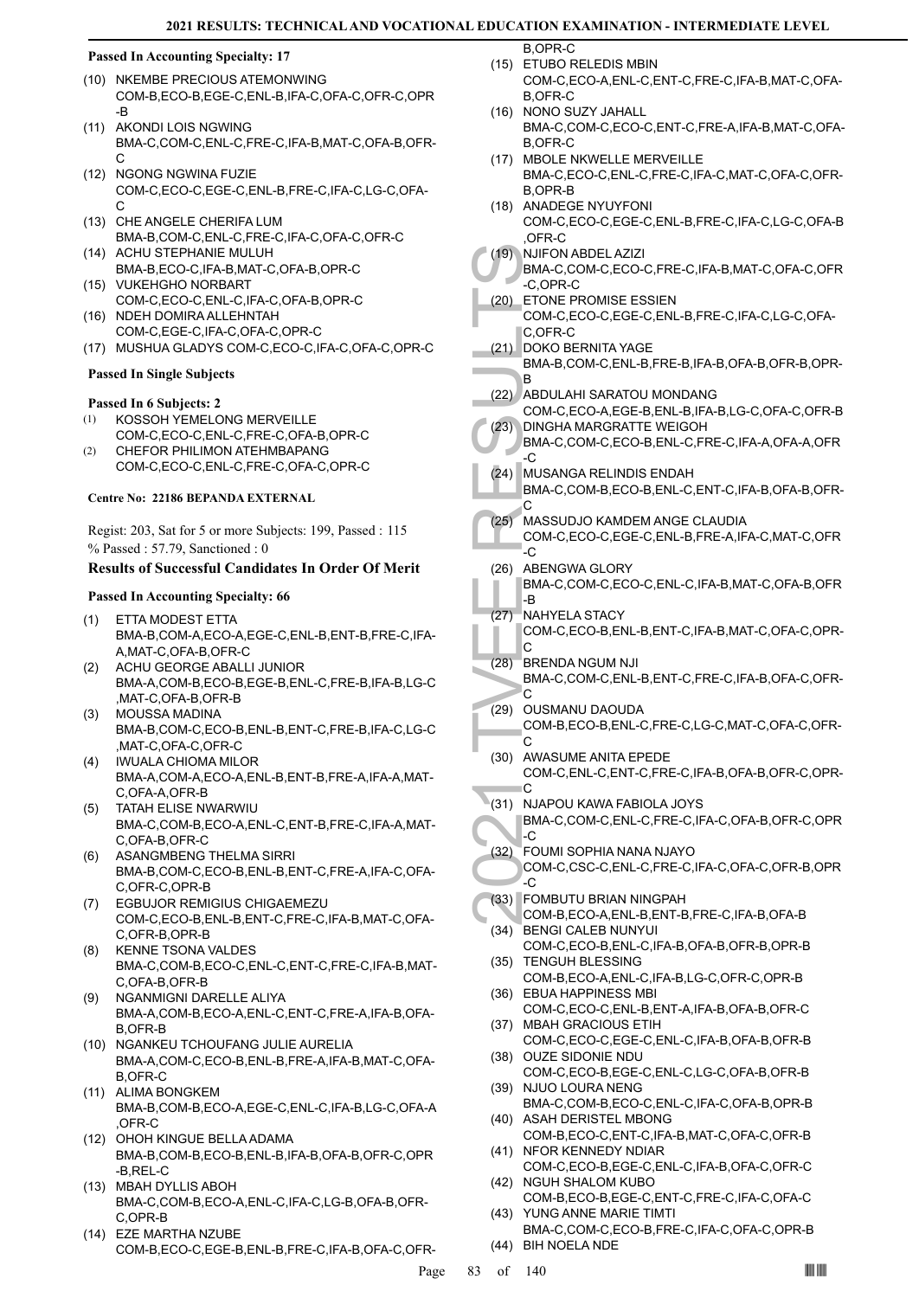#### **Passed In Accounting Specialty: 17**

- (10) NKEMBE PRECIOUS ATEMONWING COM-B,ECO-B,EGE-C,ENL-B,IFA-C,OFA-C,OFR-C,OPR -B
- (11) AKONDI LOIS NGWING BMA-C,COM-C,ENL-C,FRE-C,IFA-B,MAT-C,OFA-B,OFR- $\mathcal{C}$
- (12) NGONG NGWINA FUZIE COM-C,ECO-C,EGE-C,ENL-B,FRE-C,IFA-C,LG-C,OFA-C
- (13) CHE ANGELE CHERIFA LUM BMA-B,COM-C,ENL-C,FRE-C,IFA-C,OFA-C,OFR-C
- (14) ACHU STEPHANIE MULUH BMA-B,ECO-C,IFA-B,MAT-C,OFA-B,OPR-C VUKEHGHO NORBART (15)
- COM-C,ECO-C,ENL-C,IFA-C,OFA-B,OPR-C (16) NDEH DOMIRA ALLEHNTAH
- COM-C,EGE-C,IFA-C,OFA-C,OPR-C (17) MUSHUA GLADYS COM-C,ECO-C,IFA-C,OFA-C,OPR-C

# **Passed In Single Subjects**

#### **Passed In 6 Subjects: 2**

- KOSSOH YEMELONG MERVEILLE COM-C,ECO-C,ENL-C,FRE-C,OFA-B,OPR-C (1)
- CHEFOR PHILIMON ATEHMBAPANG COM-C,ECO-C,ENL-C,FRE-C,OFA-C,OPR-C (2)

#### **Centre No: 22186 BEPANDA EXTERNAL**

Regist: 203, Sat for 5 or more Subjects: 199, Passed : 115 % Passed : 57.79, Sanctioned : 0

# **Results of Successful Candidates In Order Of Merit**

# **Passed In Accounting Specialty: 66**

- ETTA MODEST ETTA BMA-B,COM-A,ECO-A,EGE-C,ENL-B,ENT-B,FRE-C,IFA-A,MAT-C,OFA-B,OFR-C (1)
- ACHU GEORGE ABALLI JUNIOR BMA-A,COM-B,ECO-B,EGE-B,ENL-C,FRE-B,IFA-B,LG-C ,MAT-C,OFA-B,OFR-B (2)
- MOUSSA MADINA BMA-B,COM-C,ECO-B,ENL-B,ENT-C,FRE-B,IFA-C,LG-C ,MAT-C,OFA-C,OFR-C (3)
- IWUALA CHIOMA MILOR BMA-A,COM-A,ECO-A,ENL-B,ENT-B,FRE-A,IFA-A,MAT-C,OFA-A,OFR-B (4)
- TATAH ELISE NWARWIU BMA-C,COM-B,ECO-A,ENL-C,ENT-B,FRE-C,IFA-A,MAT-C,OFA-B,OFR-C (5)
- ASANGMBENG THELMA SIRRI BMA-B,COM-C,ECO-B,ENL-B,ENT-C,FRE-A,IFA-C,OFA-C,OFR-C,OPR-B (6)
- EGBUJOR REMIGIUS CHIGAEMEZU (7) COM-C,ECO-B,ENL-B,ENT-C,FRE-C,IFA-B,MAT-C,OFA-C,OFR-B,OPR-B
- KENNE TSONA VALDES BMA-C,COM-B,ECO-C,ENL-C,ENT-C,FRE-C,IFA-B,MAT-C,OFA-B,OFR-B (8)
- NGANMIGNI DARELLE ALIYA BMA-A,COM-B,ECO-A,ENL-C,ENT-C,FRE-A,IFA-B,OFA-B,OFR-B (9)
- (10) NGANKEU TCHOUFANG JULIE AURELIA BMA-A,COM-C,ECO-B,ENL-B,FRE-A,IFA-B,MAT-C,OFA-B,OFR-C
- (11) ALIMA BONGKEM BMA-B,COM-B,ECO-A,EGE-C,ENL-C,IFA-B,LG-C,OFA-A ,OFR-C
- (12) OHOH KINGUE BELLA ADAMA BMA-B,COM-B,ECO-B,ENL-B,IFA-B,OFA-B,OFR-C,OPR -B,REL-C
- MBAH DYLLIS ABOH (13) BMA-C,COM-B,ECO-A,ENL-C,IFA-C,LG-B,OFA-B,OFR-C,OPR-B
- (14) EZE MARTHA NZUBE COM-B,ECO-C,EGE-B,ENL-B,FRE-C,IFA-B,OFA-C,OFR-

B,OPR-C (15) ETUBO RELEDIS MBIN

- COM-C,ECO-A,ENL-C,ENT-C,FRE-C,IFA-B,MAT-C,OFA-B,OFR-C
- (16) NONO SUZY JAHALL BMA-C,COM-C,ECO-C,ENT-C,FRE-A,IFA-B,MAT-C,OFA-B,OFR-C
- (17) MBOLE NKWELLE MERVEILLE BMA-C,ECO-C,ENL-C,FRE-C,IFA-C,MAT-C,OFA-C,OFR-B,OPR-B
- (18) ANADEGE NYUYFONI
- COM-C,ECO-C,EGE-C,ENL-B,FRE-C,IFA-C,LG-C,OFA-B ,OFR-C
- NJIFON ABDEL AZIZI (19)
- BMA-C,COM-C,ECO-C,FRE-C,IFA-B,MAT-C,OFA-C,OFR -C,OPR-C
- (20) ETONE PROMISE ESSIEN COM-C,ECO-C,EGE-C,ENL-B,FRE-C,IFA-C,LG-C,OFA-C,OFR-C
- DOKO BERNITA YAGE (21) BMA-B,COM-C,ENL-B,FRE-B,IFA-B,OFA-B,OFR-B,OPR-B
- ABDULAHI SARATOU MONDANG (22)
- COM-C,ECO-A,EGE-B,ENL-B,IFA-B,LG-C,OFA-C,OFR-B DINGHA MARGRATTE WEIGOH (23)
- BMA-C,COM-C,ECO-B,ENL-C,FRE-C,IFA-A,OFA-A,OFR -C
- MUSANGA RELINDIS ENDAH BMA-C,COM-B,ECO-B,ENL-C,ENT-C,IFA-B,OFA-B,OFR-C (24)
- MASSUDJO KAMDEM ANGE CLAUDIA COM-C,ECO-C,EGE-C,ENL-B,FRE-A,IFA-C,MAT-C,OFR (25)
- -C ABENGWA GLORY BMA-C,COM-C,ECO-C,ENL-C,IFA-B,MAT-C,OFA-B,OFR -B (26)
- NAHYELA STACY COM-C,ECO-B,ENL-B,ENT-C,IFA-B,MAT-C,OFA-C,OPR- $\Gamma$ (27)
- 2021 TVEE RESULTS BRENDA NGUM NJI BMA-C,COM-C,ENL-B,ENT-C,FRE-C,IFA-B,OFA-C,OFR- $\cap$ (28)
- (29) OUSMANU DAOUDA COM-B,ECO-B,ENL-C,FRE-C,LG-C,MAT-C,OFA-C,OFR-C
- (30) AWASUME ANITA EPEDE COM-C,ENL-C,ENT-C,FRE-C,IFA-B,OFA-B,OFR-C,OPR-C
- (31) NJAPOU KAWA FABIOLA JOYS
- BMA-C,COM-C,ENL-C,FRE-C,IFA-C,OFA-B,OFR-C,OPR -C
- FOUMI SOPHIA NANA NJAYO COM-C,CSC-C,ENL-C,FRE-C,IFA-C,OFA-C,OFR-B,OPR -C (32)
- FOMBUTU BRIAN NINGPAH (33)
- COM-B,ECO-A,ENL-B,ENT-B,FRE-C,IFA-B,OFA-B BENGI CALEB NUNYUI (34)
- COM-C,ECO-B,ENL-C,IFA-B,OFA-B,OFR-B,OPR-B (35) TENGUH BLESSING
- COM-B,ECO-A,ENL-C,IFA-B,LG-C,OFR-C,OPR-B EBUA HAPPINESS MBI (36)
- COM-C,ECO-C,ENL-B,ENT-A,IFA-B,OFA-B,OFR-C (37) MBAH GRACIOUS ETIH
- COM-C,ECO-C,EGE-C,ENL-C,IFA-B,OFA-B,OFR-B (38) OUZE SIDONIE NDU
- COM-C,ECO-B,EGE-C,ENL-C,LG-C,OFA-B,OFR-B (39) NJUO LOURA NENG
- BMA-C,COM-B,ECO-C,ENL-C,IFA-C,OFA-B,OPR-B (40) ASAH DERISTEL MBONG
- COM-B,ECO-C,ENT-C,IFA-B,MAT-C,OFA-C,OFR-B (41) NFOR KENNEDY NDIAR
- COM-C,ECO-B,EGE-C,ENL-C,IFA-B,OFA-C,OFR-C (42) NGUH SHALOM KUBO
- COM-B,ECO-B,EGE-C,ENT-C,FRE-C,IFA-C,OFA-C (43) YUNG ANNE MARIE TIMTI
- BMA-C,COM-C,ECO-B,FRE-C,IFA-C,OFA-C,OPR-B (44) BIH NOELA NDE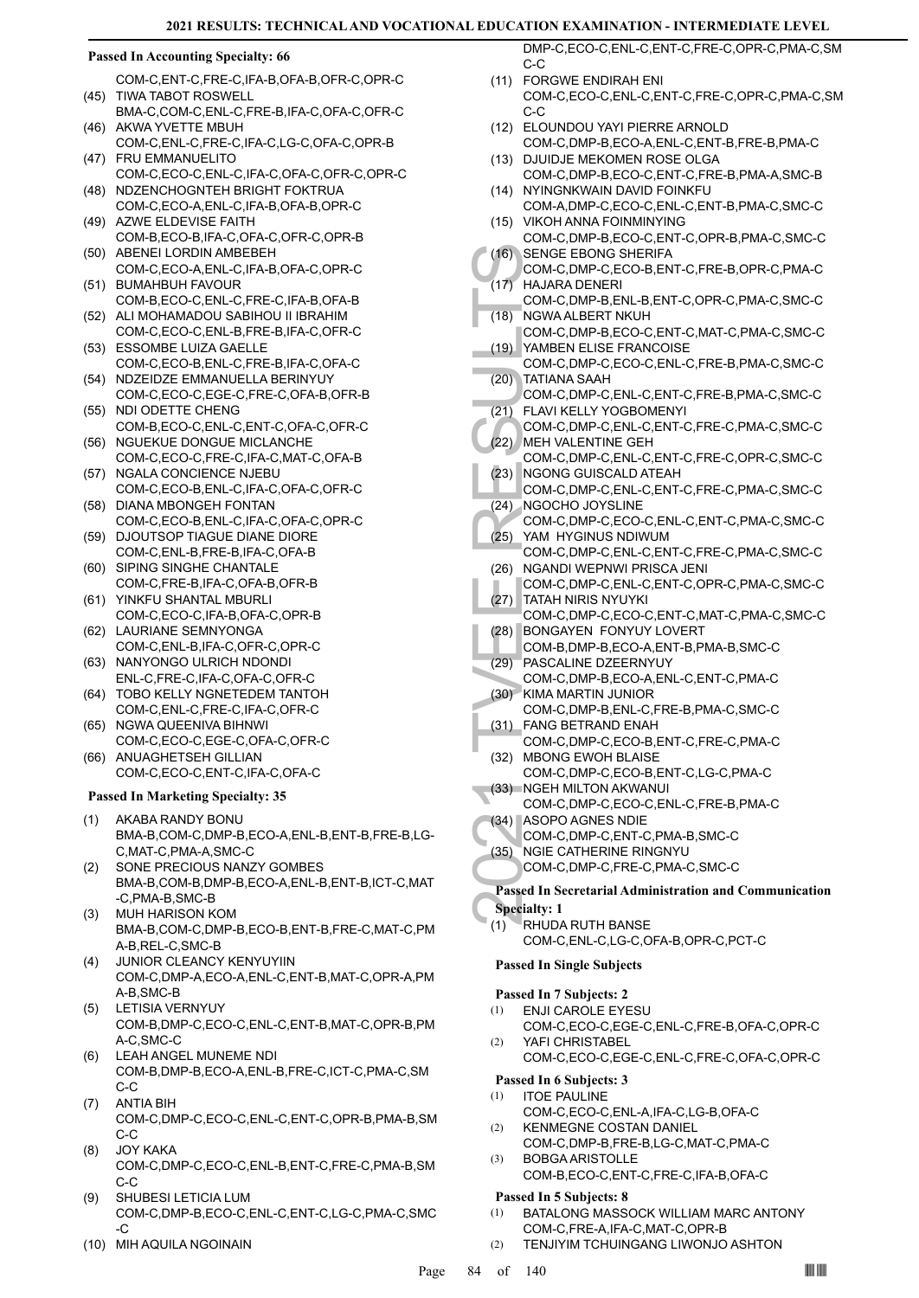#### **Passed In Accounting Specialty: 66**

- COM-C,ENT-C,FRE-C,IFA-B,OFA-B,OFR-C,OPR-C TIWA TABOT ROSWELL (45)
- BMA-C,COM-C,ENL-C,FRE-B,IFA-C,OFA-C,OFR-C (46) AKWA YVETTE MBUH
- COM-C,ENL-C,FRE-C,IFA-C,LG-C,OFA-C,OPR-B (47) FRU EMMANUELITO
- COM-C,ECO-C,ENL-C,IFA-C,OFA-C,OFR-C,OPR-C (48) NDZENCHOGNTEH BRIGHT FOKTRUA
- COM-C,ECO-A,ENL-C,IFA-B,OFA-B,OPR-C (49) AZWE ELDEVISE FAITH
- COM-B,ECO-B,IFA-C,OFA-C,OFR-C,OPR-B (50) ABENEI LORDIN AMBEBEH
- COM-C,ECO-A,ENL-C,IFA-B,OFA-C,OPR-C BUMAHBUH FAVOUR (51)
- COM-B,ECO-C,ENL-C,FRE-C,IFA-B,OFA-B (52) ALI MOHAMADOU SABIHOU II IBRAHIM
- COM-C,ECO-C,ENL-B,FRE-B,IFA-C,OFR-C (53) ESSOMBE LUIZA GAELLE
- COM-C,ECO-B,ENL-C,FRE-B,IFA-C,OFA-C (54) NDZEIDZE EMMANUELLA BERINYUY
- COM-C,ECO-C,EGE-C,FRE-C,OFA-B,OFR-B (55) NDI ODETTE CHENG
- COM-B,ECO-C,ENL-C,ENT-C,OFA-C,OFR-C (56) NGUEKUE DONGUE MICLANCHE
- COM-C,ECO-C,FRE-C,IFA-C,MAT-C,OFA-B (57) NGALA CONCIENCE NJEBU
- COM-C,ECO-B,ENL-C,IFA-C,OFA-C,OFR-C (58) DIANA MBONGEH FONTAN
- COM-C,ECO-B,ENL-C,IFA-C,OFA-C,OPR-C (59) DJOUTSOP TIAGUE DIANE DIORE
- COM-C,ENL-B,FRE-B,IFA-C,OFA-B (60) SIPING SINGHE CHANTALE
- COM-C,FRE-B,IFA-C,OFA-B,OFR-B YINKFU SHANTAL MBURLI (61)
- COM-C,ECO-C,IFA-B,OFA-C,OPR-B (62) LAURIANE SEMNYONGA
- COM-C,ENL-B,IFA-C,OFR-C,OPR-C (63) NANYONGO ULRICH NDONDI
- ENL-C,FRE-C,IFA-C,OFA-C,OFR-C
- (64) TOBO KELLY NGNETEDEM TANTOH COM-C,ENL-C,FRE-C,IFA-C,OFR-C
- (65) NGWA QUEENIVA BIHNWI COM-C,ECO-C,EGE-C,OFA-C,OFR-C
- (66) ANUAGHETSEH GILLIAN COM-C,ECO-C,ENT-C,IFA-C,OFA-C

#### **Passed In Marketing Specialty: 35**

- AKABA RANDY BONU BMA-B,COM-C,DMP-B,ECO-A,ENL-B,ENT-B,FRE-B,LG-C,MAT-C,PMA-A,SMC-C (1)
- SONE PRECIOUS NANZY GOMBES BMA-B,COM-B,DMP-B,ECO-A,ENL-B,ENT-B,ICT-C,MAT -C,PMA-B,SMC-B (2)
- MUH HARISON KOM BMA-B,COM-C,DMP-B,ECO-B,ENT-B,FRE-C,MAT-C,PM A-B,REL-C,SMC-B (3)
- JUNIOR CLEANCY KENYUYIIN COM-C,DMP-A,ECO-A,ENL-C,ENT-B,MAT-C,OPR-A,PM A-B,SMC-B (4)
- LETISIA VERNYUY (5) COM-B,DMP-C,ECO-C,ENL-C,ENT-B,MAT-C,OPR-B,PM A-C,SMC-C
- LEAH ANGEL MUNEME NDI COM-B,DMP-B,ECO-A,ENL-B,FRE-C,ICT-C,PMA-C,SM C-C (6)
- ANTIA BIH COM-C,DMP-C,ECO-C,ENL-C,ENT-C,OPR-B,PMA-B,SM C-C (7)
- JOY KAKA COM-C,DMP-C,ECO-C,ENL-B,ENT-C,FRE-C,PMA-B,SM C-C (8)
- SHUBESI LETICIA LUM COM-C,DMP-B,ECO-C,ENL-C,ENT-C,LG-C,PMA-C,SMC  $-C$ (9)
- (10) MIH AQUILA NGOINAIN

DMP-C,ECO-C,ENL-C,ENT-C,FRE-C,OPR-C,PMA-C,SM C-C

- FORGWE ENDIRAH ENI (11) COM-C,ECO-C,ENL-C,ENT-C,FRE-C,OPR-C,PMA-C,SM C-C
- ELOUNDOU YAYI PIERRE ARNOLD (12)
- COM-C,DMP-B,ECO-A,ENL-C,ENT-B,FRE-B,PMA-C (13) DJUIDJE MEKOMEN ROSE OLGA
- COM-C,DMP-B,ECO-C,ENT-C,FRE-B,PMA-A,SMC-B (14) NYINGNKWAIN DAVID FOINKFU
- COM-A,DMP-C,ECO-C,ENL-C,ENT-B,PMA-C,SMC-C (15) VIKOH ANNA FOINMINYING
- COM-C,DMP-B,ECO-C,ENT-C,OPR-B,PMA-C,SMC-C SENGE EBONG SHERIFA  $(16)$
- COM-C,DMP-C,ECO-B,ENT-C,FRE-B,OPR-C,PMA-C HAJARA DENERI  $(17)$
- (16) SENGE COM-C,<br>
(17) HAJARV COM-C,<br>
(17) HAJARV COM-C,<br>
(18) NGWA COM-C,<br>
(20) TATIAN,<br>
COM-C,<br>
(21) FLAVI K COM-C,<br>
(21) FLAVI COM-C,<br>
(22) MEH VA COM-C,<br>
(23) NGONC COM-C,<br>
(25) YAM H'<br>
COM-C,<br>
(26) NGAND COM-C,<br>
(26) COM-C,DMP-B,ENL-B,ENT-C,OPR-C,PMA-C,SMC-C NGWA ALBERT NKUH  $(18)$
- COM-C,DMP-B,ECO-C,ENT-C,MAT-C,PMA-C,SMC-C YAMBEN ELISE FRANCOISE (19)
- COM-C,DMP-C,ECO-C,ENL-C,FRE-B,PMA-C,SMC-C TATIANA SAAH (20)
- COM-C,DMP-C,ENL-C,ENT-C,FRE-B,PMA-C,SMC-C FLAVI KELLY YOGBOMENYI (21)
- COM-C,DMP-C,ENL-C,ENT-C,FRE-C,PMA-C,SMC-C (22) MEH VALENTINE GEH
- COM-C,DMP-C,ENL-C,ENT-C,FRE-C,OPR-C,SMC-C (23) NGONG GUISCALD ATEAH
- COM-C,DMP-C,ENL-C,ENT-C,FRE-C,PMA-C,SMC-C NGOCHO JOYSLINE (24)
- COM-C,DMP-C,ECO-C,ENL-C,ENT-C,PMA-C,SMC-C YAM HYGINUS NDIWUM (25)
- COM-C,DMP-C,ENL-C,ENT-C,FRE-C,PMA-C,SMC-C (26) NGANDI WEPNWI PRISCA JENI
- COM-C,DMP-C,ENL-C,ENT-C,OPR-C,PMA-C,SMC-C (27) | TATAH NIRIS NYUYKI
- COM-C,DMP-C,ECO-C,ENT-C,MAT-C,PMA-C,SMC-C (28) BONGAYEN FONYUY LOVERT
- COM-B,DMP-B,ECO-A,ENT-B,PMA-B,SMC-C
- PASCALINE DZEERNYUY (29)
- COM-C,DMP-B,ECO-A,ENL-C,ENT-C,PMA-C (30) KIMA MARTIN JUNIOR
- COM-C,DMP-B,ENL-C,FRE-B,PMA-C,SMC-C FANG BETRAND ENAH (31)
- COM-C,DMP-C,ECO-B,ENT-C,FRE-C,PMA-C (32) MBONG EWOH BLAISE
- COM-C,DMP-C,ECO-B,ENT-C,LG-C,PMA-C (33) NGEH MILTON AKWANUI
- COM-C,DMP-C,ECO-C,ENL-C,FRE-B,PMA-C (34) ASOPO AGNES NDIE
- COM-C,DMP-C,ENT-C,PMA-B,SMC-C
- (35) NGIE CATHERINE RINGNYU
	- COM-C,DMP-C,FRE-C,PMA-C,SMC-C
- **Passed In Secretarial Administration and Communication Specialty: 1**
- RHUDA RUTH BANSE COM-C,ENL-C,LG-C,OFA-B,OPR-C,PCT-C (1)

# **Passed In Single Subjects**

#### **Passed In 7 Subjects: 2**

- ENJI CAROLE EYESU (1)
- COM-C,ECO-C,EGE-C,ENL-C,FRE-B,OFA-C,OPR-C YAFI CHRISTABEL (2)
- COM-C,ECO-C,EGE-C,ENL-C,FRE-C,OFA-C,OPR-C

# **Passed In 6 Subjects: 3**

- ITOE PAULINE (1)
- COM-C,ECO-C,ENL-A,IFA-C,LG-B,OFA-C KENMEGNE COSTAN DANIEL (2)
- COM-C,DMP-B,FRE-B,LG-C,MAT-C,PMA-C BOBGA ARISTOLLE (3)
	- COM-B,ECO-C,ENT-C,FRE-C,IFA-B,OFA-C

#### **Passed In 5 Subjects: 8**

- BATALONG MASSOCK WILLIAM MARC ANTONY COM-C,FRE-A,IFA-C,MAT-C,OPR-B (1)
- (2) TENJIYIM TCHUINGANG LIWONJO ASHTON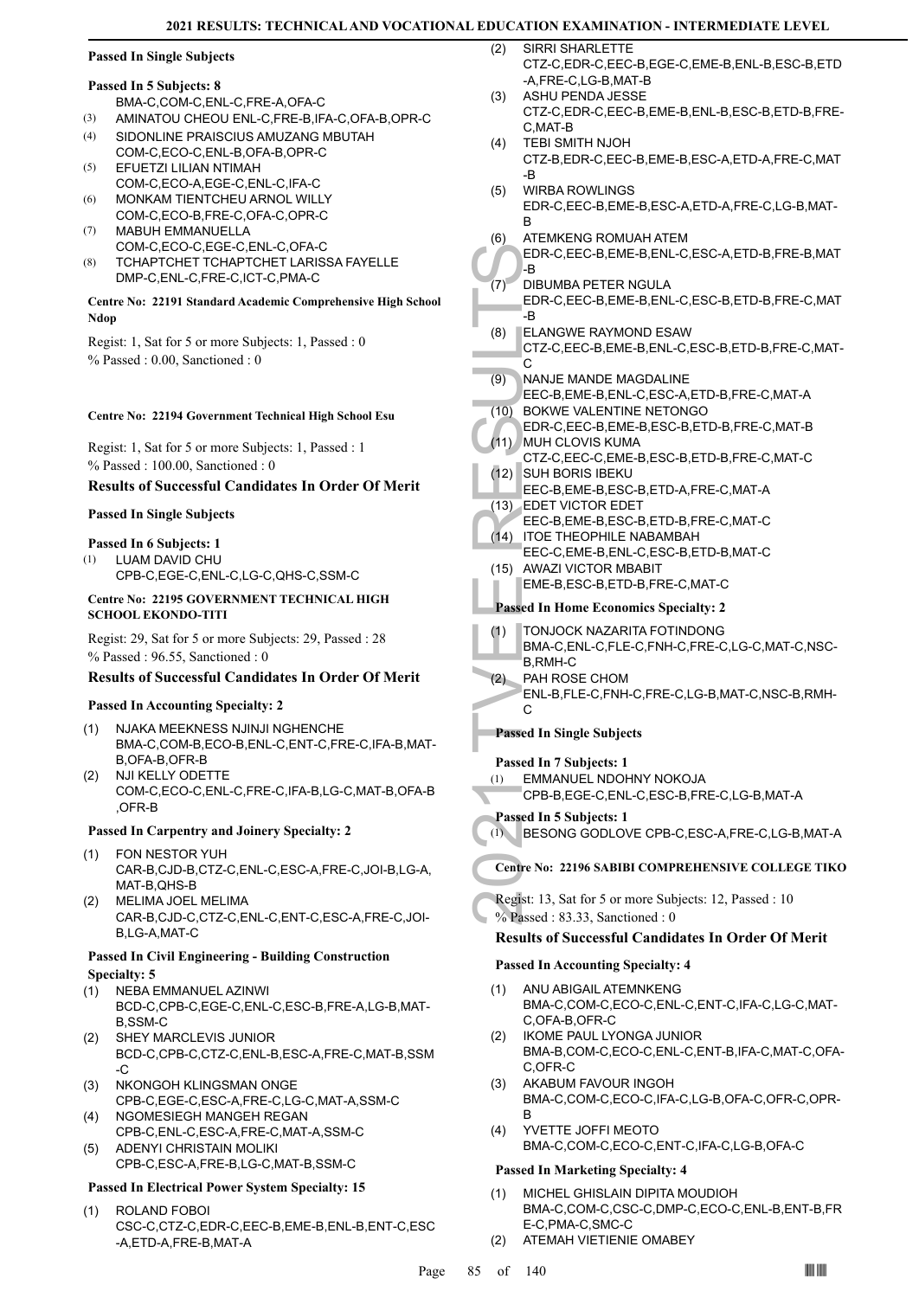# **Passed In Single Subjects**

#### **Passed In 5 Subjects: 8**

BMA-C,COM-C,ENL-C,FRE-A,OFA-C

- (3) AMINATOU CHEOU ENL-C,FRE-B,IFA-C,OFA-B,OPR-C
- SIDONLINE PRAISCIUS AMUZANG MBUTAH COM-C,ECO-C,ENL-B,OFA-B,OPR-C (4)
- EFUETZI LILIAN NTIMAH COM-C,ECO-A,EGE-C,ENL-C,IFA-C (5)
- MONKAM TIENTCHEU ARNOL WILLY COM-C,ECO-B,FRE-C,OFA-C,OPR-C (6)
- MABUH EMMANUELLA COM-C,ECO-C,EGE-C,ENL-C,OFA-C (7)
- TCHAPTCHET TCHAPTCHET LARISSA FAYELLE DMP-C,ENL-C,FRE-C,ICT-C,PMA-C (8)

#### **Centre No: 22191 Standard Academic Comprehensive High School Ndop**

Regist: 1, Sat for 5 or more Subjects: 1, Passed : 0 % Passed : 0.00, Sanctioned : 0

#### **Centre No: 22194 Government Technical High School Esu**

Regist: 1, Sat for 5 or more Subjects: 1, Passed : 1 % Passed : 100.00, Sanctioned : 0

#### **Results of Successful Candidates In Order Of Merit**

#### **Passed In Single Subjects**

#### **Passed In 6 Subjects: 1**

LUAM DAVID CHU CPB-C,EGE-C,ENL-C,LG-C,QHS-C,SSM-C (1)

#### **Centre No: 22195 GOVERNMENT TECHNICAL HIGH SCHOOL EKONDO-TITI**

Regist: 29, Sat for 5 or more Subjects: 29, Passed : 28 % Passed : 96.55, Sanctioned : 0

#### **Results of Successful Candidates In Order Of Merit**

#### **Passed In Accounting Specialty: 2**

- NJAKA MEEKNESS NJINJI NGHENCHE BMA-C,COM-B,ECO-B,ENL-C,ENT-C,FRE-C,IFA-B,MAT-B,OFA-B,OFR-B (1)
- NJI KELLY ODETTE COM-C,ECO-C,ENL-C,FRE-C,IFA-B,LG-C,MAT-B,OFA-B ,OFR-B (2)

#### **Passed In Carpentry and Joinery Specialty: 2**

- FON NESTOR YUH (1) CAR-B,CJD-B,CTZ-C,ENL-C,ESC-A,FRE-C,JOI-B,LG-A, MAT-B,QHS-B
- MELIMA JOEL MELIMA CAR-B,CJD-C,CTZ-C,ENL-C,ENT-C,ESC-A,FRE-C,JOI-B,LG-A,MAT-C (2)

#### **Passed In Civil Engineering - Building Construction Specialty: 5**

- NEBA EMMANUEL AZINWI BCD-C,CPB-C,EGE-C,ENL-C,ESC-B,FRE-A,LG-B,MAT-B,SSM-C (1)
- SHEY MARCLEVIS JUNIOR BCD-C,CPB-C,CTZ-C,ENL-B,ESC-A,FRE-C,MAT-B,SSM  $-C$ (2)
- NKONGOH KLINGSMAN ONGE CPB-C,EGE-C,ESC-A,FRE-C,LG-C,MAT-A,SSM-C (3)
- NGOMESIEGH MANGEH REGAN CPB-C,ENL-C,ESC-A,FRE-C,MAT-A,SSM-C (4) ADENYI CHRISTAIN MOLIKI (5)
	- CPB-C,ESC-A,FRE-B,LG-C,MAT-B,SSM-C

# **Passed In Electrical Power System Specialty: 15**

ROLAND FOBOI CSC-C,CTZ-C,EDR-C,EEC-B,EME-B,ENL-B,ENT-C,ESC -A,ETD-A,FRE-B,MAT-A (1)

- SIRRI SHARLETTE CTZ-C,EDR-C,EEC-B,EGE-C,EME-B,ENL-B,ESC-B,ETD -A,FRE-C,LG-B,MAT-B  $(2)$
- ASHU PENDA JESSE CTZ-C,EDR-C,EEC-B,EME-B,ENL-B,ESC-B,ETD-B,FRE-C,MAT-B (3)
- TEBI SMITH NJOH CTZ-B,EDR-C,EEC-B,EME-B,ESC-A,ETD-A,FRE-C,MAT -B (4)
- WIRBA ROWLINGS EDR-C,EEC-B,EME-B,ESC-A,ETD-A,FRE-C,LG-B,MAT-B (5)
- ATEMKENG ROMUAH ATEM (6)

#### EDR-C,EEC-B,EME-B,ENL-C,ESC-A,ETD-B,FRE-B,MAT -B

- DIBUMBA PETER NGULA  $(7)$ 
	- EDR-C,EEC-B,EME-B,ENL-C,ESC-B,ETD-B,FRE-C,MAT .R
- EDR-C, B<br>
(7) DIBUME<br>
EDR-C, B<br>
(8) CTZ-C, E<br>
(9) NANJE<br>
EEC-B, I<br>
(10) BOKWE<br>
EEC-B, I<br>
(11) MUH CL<br>
CTZ-C, I<br>
(12) SUH BC<br>
EEC-B, I<br>
(13) EDET V<br>
EEC-B, I<br>
(14) ITOE TH<br>
(15) AWAZI<br>
EME-B, Passed In H(1) TONJO(BMA-C, B,R ELANGWE RAYMOND ESAW CTZ-C,EEC-B,EME-B,ENL-C,ESC-B,ETD-B,FRE-C,MAT- $\overline{C}$ (8)
	- NANJE MANDE MAGDALINE (9)
	- EEC-B,EME-B,ENL-C,ESC-A,ETD-B,FRE-C,MAT-A (10) BOKWE VALENTINE NETONGO
	- EDR-C,EEC-B,EME-B,ESC-B,ETD-B,FRE-C,MAT-B MUH CLOVIS KUMA (11)
- CTZ-C,EEC-C,EME-B,ESC-B,ETD-B,FRE-C,MAT-C SUH BORIS IBEKU (12)
	- EEC-B,EME-B,ESC-B,ETD-A,FRE-C,MAT-A
- EDET VICTOR EDET (13)
- EEC-B,EME-B,ESC-B,ETD-B,FRE-C,MAT-C
- (14) ITOE THEOPHILE NABAMBAH EEC-C,EME-B,ENL-C,ESC-B,ETD-B,MAT-C
- (15) AWAZI VICTOR MBABIT EME-B,ESC-B,ETD-B,FRE-C,MAT-C

### **Passed In Home Economics Specialty: 2**

- TONJOCK NAZARITA FOTINDONG (1)
- BMA-C,ENL-C,FLE-C,FNH-C,FRE-C,LG-C,MAT-C,NSC-B,RMH-C
- PAH ROSE CHOM ENL-B,FLE-C,FNH-C,FRE-C,LG-B,MAT-C,NSC-B,RMH-C (2)

# **Passed In Single Subjects**

#### **Passed In 7 Subjects: 1**

EMMANUEL NDOHNY NOKOJA (1)

CPB-B,EGE-C,ENL-C,ESC-B,FRE-C,LG-B,MAT-A

**Passed In 5 Subjects: 1**

(1) BESONG GODLOVE CPB-C,ESC-A,FRE-C,LG-B,MAT-A

- **Centre No: 22196 SABIBI COMPREHENSIVE COLLEGE TIKO**
- Regist: 13, Sat for 5 or more Subjects: 12, Passed : 10 % Passed : 83.33, Sanctioned : 0

# **Results of Successful Candidates In Order Of Merit**

#### **Passed In Accounting Specialty: 4**

- ANU ABIGAIL ATEMNKENG BMA-C,COM-C,ECO-C,ENL-C,ENT-C,IFA-C,LG-C,MAT-C,OFA-B,OFR-C (1)
- IKOME PAUL LYONGA JUNIOR BMA-B,COM-C,ECO-C,ENL-C,ENT-B,IFA-C,MAT-C,OFA-C,OFR-C (2)
- AKABUM FAVOUR INGOH BMA-C,COM-C,ECO-C,IFA-C,LG-B,OFA-C,OFR-C,OPR-B (3)
- YVETTE JOFFI MEOTO BMA-C,COM-C,ECO-C,ENT-C,IFA-C,LG-B,OFA-C (4)

#### **Passed In Marketing Specialty: 4**

- MICHEL GHISLAIN DIPITA MOUDIOH BMA-C,COM-C,CSC-C,DMP-C,ECO-C,ENL-B,ENT-B,FR E-C,PMA-C,SMC-C (1)
- (2) ATEMAH VIETIENIE OMABEY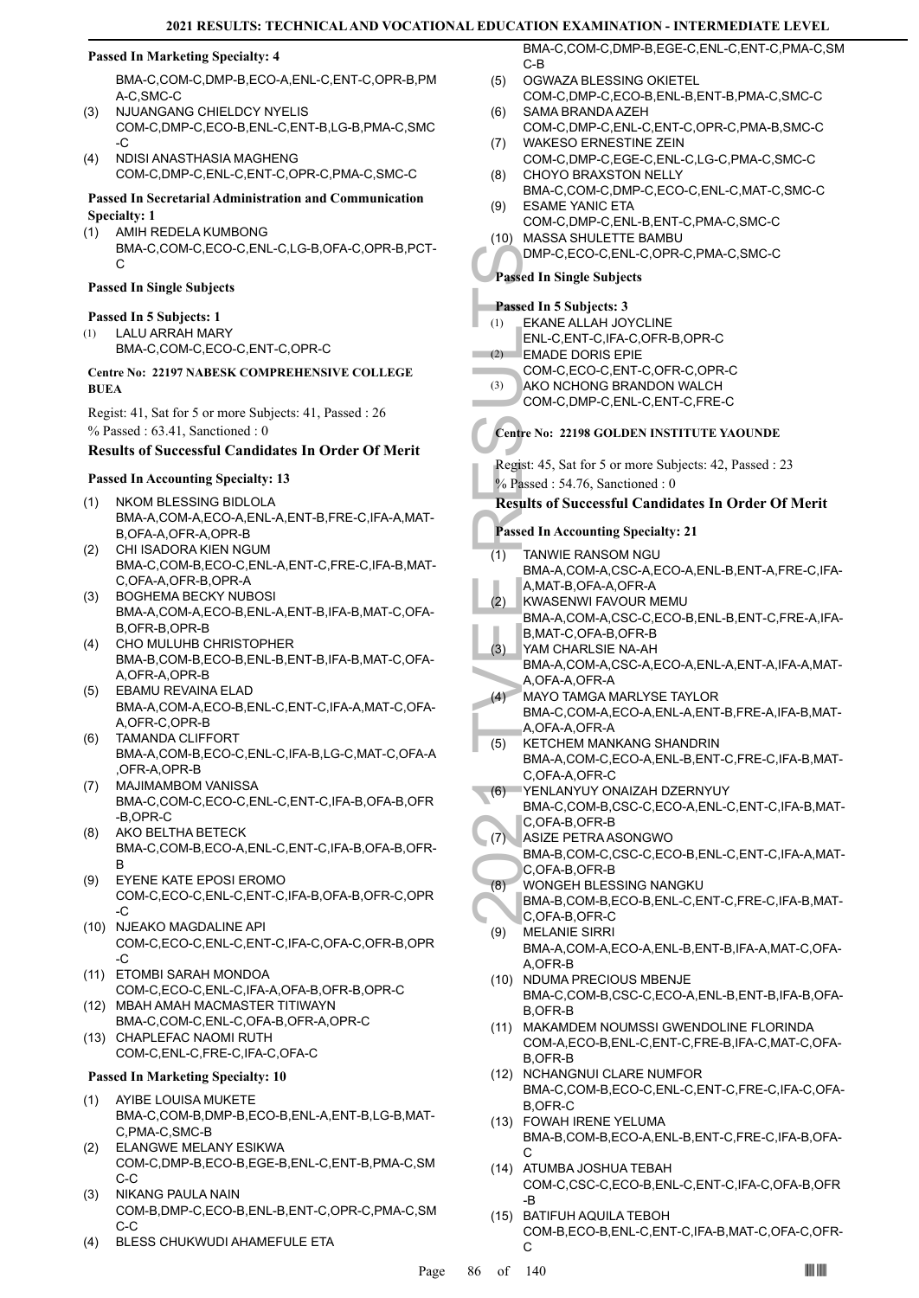#### **Passed In Marketing Specialty: 4**

BMA-C,COM-C,DMP-B,ECO-A,ENL-C,ENT-C,OPR-B,PM A-C,SMC-C

- NJUANGANG CHIELDCY NYELIS COM-C,DMP-C,ECO-B,ENL-C,ENT-B,LG-B,PMA-C,SMC -C (3)
- NDISI ANASTHASIA MAGHENG COM-C,DMP-C,ENL-C,ENT-C,OPR-C,PMA-C,SMC-C (4)

#### **Passed In Secretarial Administration and Communication Specialty: 1**

- AMIH REDELA KUMBONG (1)
	- BMA-C,COM-C,ECO-C,ENL-C,LG-B,OFA-C,OPR-B,PCT-C

#### **Passed In Single Subjects**

#### **Passed In 5 Subjects: 1**

- LALU ARRAH MARY (1)
	- BMA-C,COM-C,ECO-C,ENT-C,OPR-C

#### **Centre No: 22197 NABESK COMPREHENSIVE COLLEGE BUEA**

Regist: 41, Sat for 5 or more Subjects: 41, Passed : 26 % Passed : 63.41, Sanctioned : 0

#### **Results of Successful Candidates In Order Of Merit**

#### **Passed In Accounting Specialty: 13**

- NKOM BLESSING BIDLOLA BMA-A,COM-A,ECO-A,ENL-A,ENT-B,FRE-C,IFA-A,MAT-B,OFA-A,OFR-A,OPR-B (1)
- CHI ISADORA KIEN NGUM BMA-C,COM-B,ECO-C,ENL-A,ENT-C,FRE-C,IFA-B,MAT-C,OFA-A,OFR-B,OPR-A (2)
- BOGHEMA BECKY NUBOSI BMA-A,COM-A,ECO-B,ENL-A,ENT-B,IFA-B,MAT-C,OFA-B,OFR-B,OPR-B (3)
- CHO MULUHB CHRISTOPHER BMA-B,COM-B,ECO-B,ENL-B,ENT-B,IFA-B,MAT-C,OFA-A,OFR-A,OPR-B (4)
- EBAMU REVAINA ELAD BMA-A,COM-A,ECO-B,ENL-C,ENT-C,IFA-A,MAT-C,OFA-A,OFR-C,OPR-B (5)
- TAMANDA CLIFFORT BMA-A,COM-B,ECO-C,ENL-C,IFA-B,LG-C,MAT-C,OFA-A ,OFR-A,OPR-B (6)
- MAJIMAMBOM VANISSA BMA-C,COM-C,ECO-C,ENL-C,ENT-C,IFA-B,OFA-B,OFR -B,OPR-C (7)
- AKO BELTHA BETECK BMA-C,COM-B,ECO-A,ENL-C,ENT-C,IFA-B,OFA-B,OFR-B (8)
- EYENE KATE EPOSI EROMO COM-C,ECO-C,ENL-C,ENT-C,IFA-B,OFA-B,OFR-C,OPR -C (9)
- (10) NJEAKO MAGDALINE API COM-C,ECO-C,ENL-C,ENT-C,IFA-C,OFA-C,OFR-B,OPR -C
- ETOMBI SARAH MONDOA (11) COM-C,ECO-C,ENL-C,IFA-A,OFA-B,OFR-B,OPR-C
- BMA-C,COM-C,ENL-C,OFA-B,OFR-A,OPR-C CHAPLEFAC NAOMI RUTH (13)
- COM-C,ENL-C,FRE-C,IFA-C,OFA-C

# **Passed In Marketing Specialty: 10**

- AYIBE LOUISA MUKETE BMA-C,COM-B,DMP-B,ECO-B,ENL-A,ENT-B,LG-B,MAT-C,PMA-C,SMC-B (1)
- ELANGWE MELANY ESIKWA COM-C,DMP-B,ECO-B,EGE-B,ENL-C,ENT-B,PMA-C,SM C-C (2)
- NIKANG PAULA NAIN COM-B,DMP-C,ECO-B,ENL-B,ENT-C,OPR-C,PMA-C,SM C-C (3)
- (4) BLESS CHUKWUDI AHAMEFULE ETA

BMA-C,COM-C,DMP-B,EGE-C,ENL-C,ENT-C,PMA-C,SM C-B

- OGWAZA BLESSING OKIETEL COM-C,DMP-C,ECO-B,ENL-B,ENT-B,PMA-C,SMC-C  $(5)$
- SAMA BRANDA AZEH COM-C,DMP-C,ENL-C,ENT-C,OPR-C,PMA-B,SMC-C (6) WAKESO ERNESTINE ZEIN
- COM-C,DMP-C,EGE-C,ENL-C,LG-C,PMA-C,SMC-C (7) CHOYO BRAXSTON NELLY (8)
- BMA-C,COM-C,DMP-C,ECO-C,ENL-C,MAT-C,SMC-C ESAME YANIC ETA (9)
- COM-C,DMP-C,ENL-B,ENT-C,PMA-C,SMC-C MASSA SHULETTE BAMBU (10)
	- DMP-C,ECO-C,ENL-C,OPR-C,PMA-C,SMC-C

#### **Passed In Single Subjects**

#### **Passed In 5 Subjects: 3** EKANE ALLAH JOYCLINE ENL-C,ENT-C,IFA-C,OFR-B,OPR-C (1)

- EMADE DORIS EPIE (2)
	- COM-C,ECO-C,ENT-C,OFR-C,OPR-C
	- AKO NCHONG BRANDON WALCH (3)
	- COM-C,DMP-C,ENL-C,ENT-C,FRE-C

# **Centre No: 22198 GOLDEN INSTITUTE YAOUNDE**

Regist: 45, Sat for 5 or more Subjects: 42, Passed : 23 % Passed : 54.76, Sanctioned : 0

### **Results of Successful Candidates In Order Of Merit**

- **Passed In Accounting Specialty: 21**
- DMP-C,<br>
Passed In Si<br>
(1) EKANE<br>
(2) EMADE<br>
COM-C,<br>
(3) AKO NC<br>
COM-C,<br>
Centre No: 2<br>
COM-C,<br>
Centre No: 2<br>
COM-C,<br>
COM-C,<br>
COM-C,<br>
COM-C,<br>
COM-C,<br>
COM-C,<br>
COM-C,<br>
COM-C,<br>
COM-C,<br>
COM-C,<br>
COM-C,<br>
2<br>
Results of S<br>
Passed In TANWIE RANSOM NGU BMA-A,COM-A,CSC-A,ECO-A,ENL-B,ENT-A,FRE-C,IFA-A,MAT-B,OFA-A,OFR-A (1) KWASENWI FAVOUR MEMU (2)
- BMA-A,COM-A,CSC-C,ECO-B,ENL-B,ENT-C,FRE-A,IFA-B,MAT-C,OFA-B,OFR-B
- YAM CHARLSIE NA-AH BMA-A,COM-A,CSC-A,ECO-A,ENL-A,ENT-A,IFA-A,MAT-(3)
- A,OFA-A,OFR-A MAYO TAMGA MARLYSE TAYLOR  $(4)$
- BMA-C,COM-A,ECO-A,ENL-A,ENT-B,FRE-A,IFA-B,MAT-A,OFA-A,OFR-A
- KETCHEM MANKANG SHANDRIN BMA-A,COM-C,ECO-A,ENL-B,ENT-C,FRE-C,IFA-B,MAT-C,OFA-A,OFR-C (5) (6)
- YENLANYUY ONAIZAH DZERNYUY BMA-C,COM-B,CSC-C,ECO-A,ENL-C,ENT-C,IFA-B,MAT-C,OFA-B,OFR-B
- ASIZE PETRA ASONGWO (7)
- BMA-B,COM-C,CSC-C,ECO-B,ENL-C,ENT-C,IFA-A,MAT-C,OFA-B,OFR-B
- WONGEH BLESSING NANGKU (8)
- BMA-B,COM-B,ECO-B,ENL-C,ENT-C,FRE-C,IFA-B,MAT-C,OFA-B,OFR-C
- MELANIE SIRRI BMA-A,COM-A,ECO-A,ENL-B,ENT-B,IFA-A,MAT-C,OFA-A,OFR-B (9)
- (10) NDUMA PRECIOUS MBENJE BMA-C,COM-B,CSC-C,ECO-A,ENL-B,ENT-B,IFA-B,OFA-B,OFR-B
- (11) MAKAMDEM NOUMSSI GWENDOLINE FLORINDA COM-A,ECO-B,ENL-C,ENT-C,FRE-B,IFA-C,MAT-C,OFA-B,OFR-B
- (12) NCHANGNUI CLARE NUMFOR BMA-C,COM-B,ECO-C,ENL-C,ENT-C,FRE-C,IFA-C,OFA-B,OFR-C
- FOWAH IRENE YELUMA (13) BMA-B,COM-B,ECO-A,ENL-B,ENT-C,FRE-C,IFA-B,OFA-C
- (14) ATUMBA JOSHUA TEBAH COM-C,CSC-C,ECO-B,ENL-C,ENT-C,IFA-C,OFA-B,OFR -B
- (15) BATIFUH AQUILA TEBOH COM-B,ECO-B,ENL-C,ENT-C,IFA-B,MAT-C,OFA-C,OFR- $\mathcal{C}$
- 
- 
- MBAH AMAH MACMASTER TITIWAYN (12)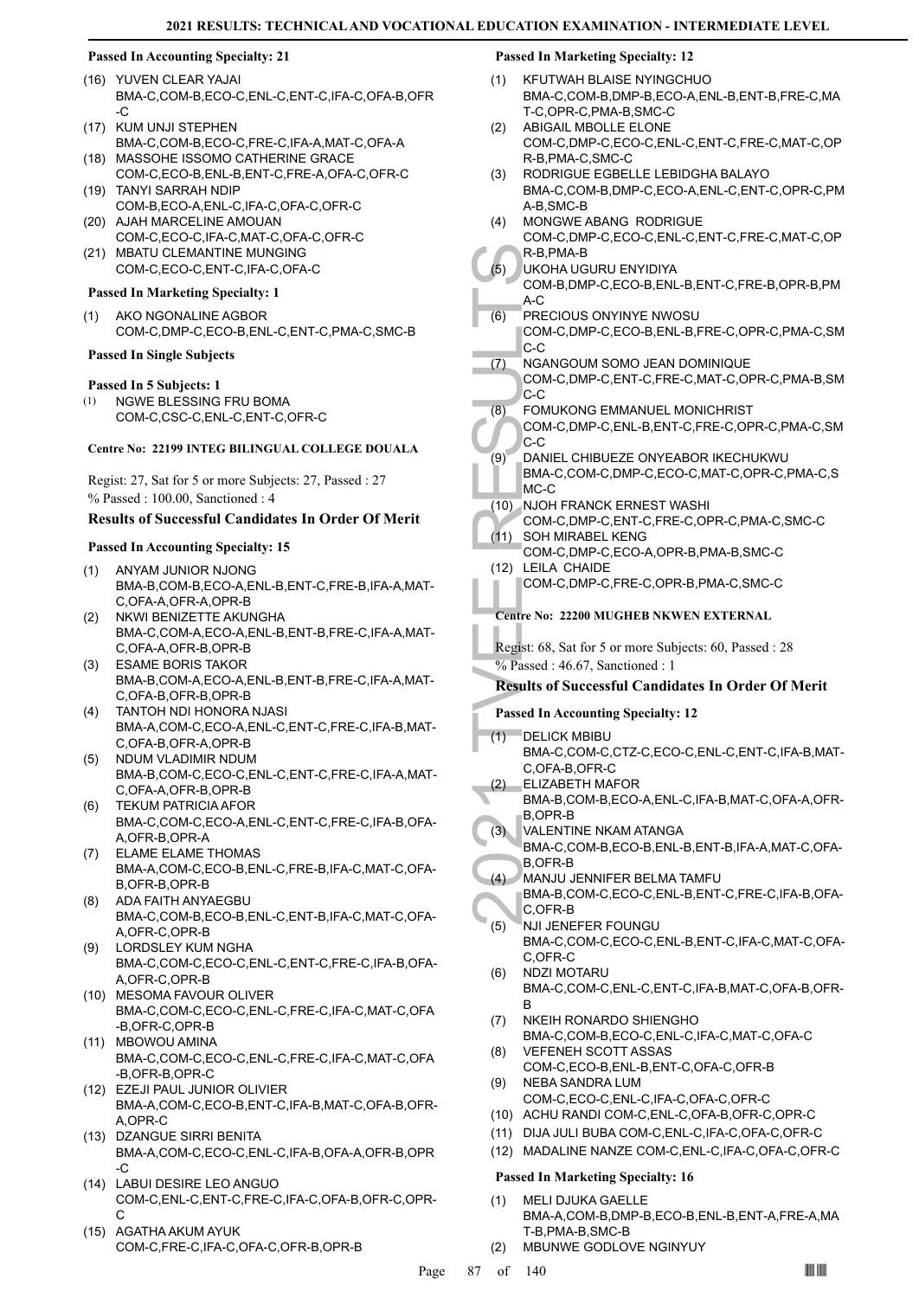#### **Passed In Accounting Specialty: 21**

- YUVEN CLEAR YAJAI (16) BMA-C,COM-B,ECO-C,ENL-C,ENT-C,IFA-C,OFA-B,OFR -C
- (17) KUM UNJI STEPHEN BMA-C,COM-B,ECO-C,FRE-C,IFA-A,MAT-C,OFA-A
- (18) MASSOHE ISSOMO CATHERINE GRACE COM-C,ECO-B,ENL-B,ENT-C,FRE-A,OFA-C,OFR-C TANYI SARRAH NDIP (19)
- COM-B,ECO-A,ENL-C,IFA-C,OFA-C,OFR-C (20) AJAH MARCELINE AMOUAN
- COM-C,ECO-C,IFA-C,MAT-C,OFA-C,OFR-C (21) MBATU CLEMANTINE MUNGING
- COM-C,ECO-C,ENT-C,IFA-C,OFA-C

### **Passed In Marketing Specialty: 1**

AKO NGONALINE AGBOR COM-C,DMP-C,ECO-B,ENL-C,ENT-C,PMA-C,SMC-B (1)

### **Passed In Single Subjects**

### **Passed In 5 Subjects: 1**

NGWE BLESSING FRU BOMA COM-C,CSC-C,ENL-C,ENT-C,OFR-C (1)

#### **Centre No: 22199 INTEG BILINGUAL COLLEGE DOUALA**

Regist: 27, Sat for 5 or more Subjects: 27, Passed : 27 % Passed : 100.00, Sanctioned : 4

# **Results of Successful Candidates In Order Of Merit**

# **Passed In Accounting Specialty: 15**

- ANYAM JUNIOR NJONG BMA-B,COM-B,ECO-A,ENL-B,ENT-C,FRE-B,IFA-A,MAT-C,OFA-A,OFR-A,OPR-B (1)
- NKWI BENIZETTE AKUNGHA BMA-C,COM-A,ECO-A,ENL-B,ENT-B,FRE-C,IFA-A,MAT-C,OFA-A,OFR-B,OPR-B (2)
- ESAME BORIS TAKOR (3) BMA-B,COM-A,ECO-A,ENL-B,ENT-B,FRE-C,IFA-A,MAT-C,OFA-B,OFR-B,OPR-B
- TANTOH NDI HONORA NJASI BMA-A,COM-C,ECO-A,ENL-C,ENT-C,FRE-C,IFA-B,MAT-C,OFA-B,OFR-A,OPR-B (4)
- NDUM VLADIMIR NDUM BMA-B,COM-C,ECO-C,ENL-C,ENT-C,FRE-C,IFA-A,MAT-C,OFA-A,OFR-B,OPR-B (5)
- TEKUM PATRICIA AFOR BMA-C,COM-C,ECO-A,ENL-C,ENT-C,FRE-C,IFA-B,OFA-A,OFR-B,OPR-A (6)
- ELAME ELAME THOMAS BMA-A,COM-C,ECO-B,ENL-C,FRE-B,IFA-C,MAT-C,OFA-B,OFR-B,OPR-B (7)
- ADA FAITH ANYAEGBU BMA-C,COM-B,ECO-B,ENL-C,ENT-B,IFA-C,MAT-C,OFA-A,OFR-C,OPR-B (8)
- LORDSLEY KUM NGHA BMA-C,COM-C,ECO-C,ENL-C,ENT-C,FRE-C,IFA-B,OFA-A,OFR-C,OPR-B (9)
- (10) MESOMA FAVOUR OLIVER BMA-C,COM-C,ECO-C,ENL-C,FRE-C,IFA-C,MAT-C,OFA -B,OFR-C,OPR-B
- (11) MBOWOU AMINA BMA-C,COM-C,ECO-C,ENL-C,FRE-C,IFA-C,MAT-C,OFA -B,OFR-B,OPR-C
- EZEJI PAUL JUNIOR OLIVIER (12) BMA-A,COM-C,ECO-B,ENT-C,IFA-B,MAT-C,OFA-B,OFR-A,OPR-C
- (13) DZANGUE SIRRI BENITA BMA-A,COM-C,ECO-C,ENL-C,IFA-B,OFA-A,OFR-B,OPR -C
- LABUI DESIRE LEO ANGUO (14) COM-C,ENL-C,ENT-C,FRE-C,IFA-C,OFA-B,OFR-C,OPR-C
- (15) AGATHA AKUM AYUK COM-C,FRE-C,IFA-C,OFA-C,OFR-B,OPR-B

#### **Passed In Marketing Specialty: 12**

- KFUTWAH BLAISE NYINGCHUO BMA-C,COM-B,DMP-B,ECO-A,ENL-B,ENT-B,FRE-C,MA T-C,OPR-C,PMA-B,SMC-C (1)
- ABIGAIL MBOLLE ELONE COM-C,DMP-C,ECO-C,ENL-C,ENT-C,FRE-C,MAT-C,OP R-B,PMA-C,SMC-C (2)
- RODRIGUE EGBELLE LEBIDGHA BALAYO BMA-C,COM-B,DMP-C,ECO-A,ENL-C,ENT-C,OPR-C,PM A-B,SMC-B (3)
- MONGWE ABANG RODRIGUE COM-C,DMP-C,ECO-C,ENL-C,ENT-C,FRE-C,MAT-C,OP R-B,PMA-B (4)
- UKOHA UGURU ENYIDIYA (5)
- COM-B,DMP-C,ECO-B,ENL-B,ENT-C,FRE-B,OPR-B,PM  $A-C$
- PRECIOUS ONYINYE NWOSU (6)
	- COM-C,DMP-C,ECO-B,ENL-B,FRE-C,OPR-C,PMA-C,SM C-C
- NGANGOUM SOMO JEAN DOMINIQUE COM-C,DMP-C,ENT-C,FRE-C,MAT-C,OPR-C,PMA-B,SM C-C (7)
- FOMUKONG EMMANUEL MONICHRIST (8)
- COM-C,DMP-C,ENL-B,ENT-C,FRE-C,OPR-C,PMA-C,SM C-C
- DANIEL CHIBUEZE ONYEABOR IKECHUKWU BMA-C,COM-C,DMP-C,ECO-C,MAT-C,OPR-C,PMA-C,S MC-C (9)
- (10) NJOH FRANCK ERNEST WASHI
- COM-C,DMP-C,ENT-C,FRE-C,OPR-C,PMA-C,SMC-C
- SOH MIRABEL KENG COM-C,DMP-C,ECO-A,OPR-B,PMA-B,SMC-C  $(11)$ (12) LEILA CHAIDE
- COM-C,DMP-C,FRE-C,OPR-B,PMA-C,SMC-C

# **Centre No: 22200 MUGHEB NKWEN EXTERNAL**

Regist: 68, Sat for 5 or more Subjects: 60, Passed : 28 % Passed: 46.67, Sanctioned: 1

# **Results of Successful Candidates In Order Of Merit**

# **Passed In Accounting Specialty: 12**

- R-B, PM<br>
(5) UKOHA<br>
COM-B, A-C<br>
COM-C, C-C<br>
COM-C, C-C<br>
(7) NGANG<br>
COM-C, C-C<br>
(8) FOMUK<br>
COM-C, C-C<br>
(9) DANIEL<br>
BMA-C, C-C<br>
(9) DANIEL<br>
BMA-C, MC-C<br>
(11) SOH MI<br>
COM-C, 11) SOH MI<br>
COM-C, 22 LELLA (COM-C, 22)<br>
Centre No: DELICK MBIBU BMA-C,COM-C,CTZ-C,ECO-C,ENL-C,ENT-C,IFA-B,MAT-C,OFA-B,OFR-C (1) ELIZABETH MAFOR (2)
	- BMA-B,COM-B,ECO-A,ENL-C,IFA-B,MAT-C,OFA-A,OFR-B,OPR-B
- VALENTINE NKAM ATANGA (3)
- BMA-C,COM-B,ECO-B,ENL-B,ENT-B,IFA-A,MAT-C,OFA-B,OFR-B
- MANJU JENNIFER BELMA TAMFU BMA-B,COM-C,ECO-C,ENL-B,ENT-C,FRE-C,IFA-B,OFA-(4)
- C,OFR-B NJI JENEFER FOUNGU (5)
- BMA-C,COM-C,ECO-C,ENL-B,ENT-C,IFA-C,MAT-C,OFA-C,OFR-C
- NDZI MOTARU BMA-C,COM-C,ENL-C,ENT-C,IFA-B,MAT-C,OFA-B,OFR-B (6)
- NKEIH RONARDO SHIENGHO (7)
- BMA-C,COM-B,ECO-C,ENL-C,IFA-C,MAT-C,OFA-C VEFENEH SCOTT ASSAS (8)
- COM-C,ECO-B,ENL-B,ENT-C,OFA-C,OFR-B NEBA SANDRA LUM (9)
- COM-C,ECO-C,ENL-C,IFA-C,OFA-C,OFR-C
- (10) ACHU RANDI COM-C,ENL-C,OFA-B,OFR-C,OPR-C
- (11) DIJA JULI BUBA COM-C,ENL-C,IFA-C,OFA-C,OFR-C
- (12) MADALINE NANZE COM-C,ENL-C,IFA-C,OFA-C,OFR-C

# **Passed In Marketing Specialty: 16**

- MELI DJUKA GAELLE BMA-A,COM-B,DMP-B,ECO-B,ENL-B,ENT-A,FRE-A,MA T-B,PMA-B,SMC-B (1)
- (2) MBUNWE GODLOVE NGINYUY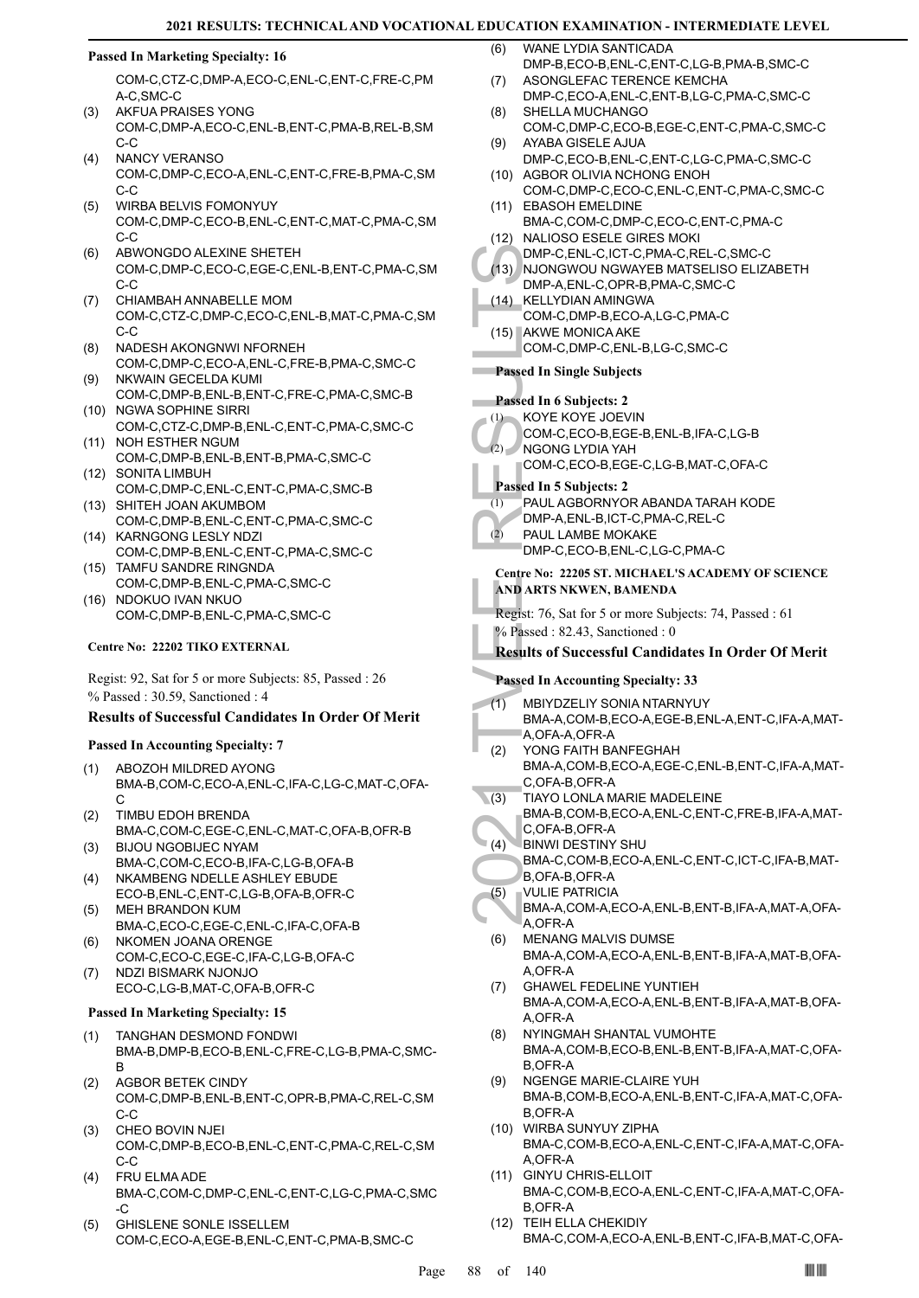#### **Passed In Marketing Specialty: 16**

COM-C,CTZ-C,DMP-A,ECO-C,ENL-C,ENT-C,FRE-C,PM A-C,SMC-C

- AKFUA PRAISES YONG COM-C,DMP-A,ECO-C,ENL-B,ENT-C,PMA-B,REL-B,SM C-C (3)
- NANCY VERANSO COM-C,DMP-C,ECO-A,ENL-C,ENT-C,FRE-B,PMA-C,SM C-C (4)
- WIRBA BELVIS FOMONYUY COM-C,DMP-C,ECO-B,ENL-C,ENT-C,MAT-C,PMA-C,SM C-C (5)
- ABWONGDO ALEXINE SHETEH COM-C,DMP-C,ECO-C,EGE-C,ENL-B,ENT-C,PMA-C,SM C-C (6)
- CHIAMBAH ANNABELLE MOM COM-C,CTZ-C,DMP-C,ECO-C,ENL-B,MAT-C,PMA-C,SM C-C (7)
- NADESH AKONGNWI NFORNEH COM-C,DMP-C,ECO-A,ENL-C,FRE-B,PMA-C,SMC-C (8)
- NKWAIN GECELDA KUMI COM-C,DMP-B,ENL-B,ENT-C,FRE-C,PMA-C,SMC-B (9)
- (10) NGWA SOPHINE SIRRI COM-C,CTZ-C,DMP-B,ENL-C,ENT-C,PMA-C,SMC-C
- (11) NOH ESTHER NGUM COM-C,DMP-B,ENL-B,ENT-B,PMA-C,SMC-C (12) SONITA LIMBUH
- COM-C,DMP-C,ENL-C,ENT-C,PMA-C,SMC-B (13) SHITEH JOAN AKUMBOM
- COM-C,DMP-B,ENL-C,ENT-C,PMA-C,SMC-C (14) KARNGONG LESLY NDZI
- COM-C,DMP-B,ENL-C,ENT-C,PMA-C,SMC-C (15) TAMFU SANDRE RINGNDA
- COM-C,DMP-B,ENL-C,PMA-C,SMC-C
- (16) NDOKUO IVAN NKUO COM-C,DMP-B,ENL-C,PMA-C,SMC-C

#### **Centre No: 22202 TIKO EXTERNAL**

Regist: 92, Sat for 5 or more Subjects: 85, Passed : 26 % Passed : 30.59, Sanctioned : 4

#### **Results of Successful Candidates In Order Of Merit**

#### **Passed In Accounting Specialty: 7**

- ABOZOH MILDRED AYONG BMA-B,COM-C,ECO-A,ENL-C,IFA-C,LG-C,MAT-C,OFA-C (1)
- TIMBU EDOH BRENDA BMA-C,COM-C,EGE-C,ENL-C,MAT-C,OFA-B,OFR-B (2)
- BIJOU NGOBIJEC NYAM BMA-C,COM-C,ECO-B,IFA-C,LG-B,OFA-B (3) NKAMBENG NDELLE ASHLEY EBUDE (4)
- ECO-B,ENL-C,ENT-C,LG-B,OFA-B,OFR-C MEH BRANDON KUM (5)
- BMA-C,ECO-C,EGE-C,ENL-C,IFA-C,OFA-B NKOMEN JOANA ORENGE (6)
- COM-C,ECO-C,EGE-C,IFA-C,LG-B,OFA-C NDZI BISMARK NJONJO (7)
- ECO-C,LG-B,MAT-C,OFA-B,OFR-C

### **Passed In Marketing Specialty: 15**

- TANGHAN DESMOND FONDWI BMA-B,DMP-B,ECO-B,ENL-C,FRE-C,LG-B,PMA-C,SMC-B (1)
- AGBOR BETEK CINDY COM-C,DMP-B,ENL-B,ENT-C,OPR-B,PMA-C,REL-C,SM  $C-C$ (2)
- CHEO BOVIN NJEI COM-C,DMP-B,ECO-B,ENL-C,ENT-C,PMA-C,REL-C,SM C-C (3)
- FRU ELMA ADE BMA-C,COM-C,DMP-C,ENL-C,ENT-C,LG-C,PMA-C,SMC -C (4)
- GHISLENE SONLE ISSELLEM COM-C,ECO-A,EGE-B,ENL-C,ENT-C,PMA-B,SMC-C (5)
- WANE LYDIA SANTICADA DMP-B,ECO-B,ENL-C,ENT-C,LG-B,PMA-B,SMC-C (6)
- ASONGLEFAC TERENCE KEMCHA DMP-C,ECO-A,ENL-C,ENT-B,LG-C,PMA-C,SMC-C (7)
- SHELLA MUCHANGO COM-C,DMP-C,ECO-B,EGE-C,ENT-C,PMA-C,SMC-C (8)
- AYABA GISELE AJUA DMP-C,ECO-B,ENL-C,ENT-C,LG-C,PMA-C,SMC-C (9) (10) AGBOR OLIVIA NCHONG ENOH
- COM-C,DMP-C,ECO-C,ENL-C,ENT-C,PMA-C,SMC-C (11) EBASOH EMELDINE
- BMA-C,COM-C,DMP-C,ECO-C,ENT-C,PMA-C (12) NALIOSO ESELE GIRES MOKI
- DMP-C,ENL-C,ICT-C,PMA-C,REL-C,SMC-C
- (13) NJONGWOU NGWAYEB MATSELISO ELIZABETH DMP-A,ENL-C,OPR-B,PMA-C,SMC-C
- KELLYDIAN AMINGWA COM-C,DMP-B,ECO-A,LG-C,PMA-C (14)
- (15) AKWE MONICA AKE COM-C,DMP-C,ENL-B,LG-C,SMC-C

### **Passed In Single Subjects**

# **Passed In 6 Subjects: 2**

- KOYE KOYE JOEVIN (1)
- COM-C,ECO-B,EGE-B,ENL-B,IFA-C,LG-B
- NGONG LYDIA YAH (2)
	- COM-C,ECO-B,EGE-C,LG-B,MAT-C,OFA-C

# **Passed In 5 Subjects: 2**

- PAUL AGBORNYOR ABANDA TARAH KODE  $(1)$
- DMP-A,ENL-B,ICT-C,PMA-C,REL-C
- PAUL LAMBE MOKAKE (2)
	- DMP-C,ECO-B,ENL-C,LG-C,PMA-C

#### **Centre No: 22205 ST. MICHAEL'S ACADEMY OF SCIENCE AND ARTS NKWEN, BAMENDA**

Regist: 76, Sat for 5 or more Subjects: 74, Passed : 61

- % Passed : 82.43, Sanctioned : 0
- **Results of Successful Candidates In Order Of Merit**

#### **Passed In Accounting Specialty: 33**

- MBIYDZELIY SONIA NTARNYUY (1)
- BMA-A,COM-B,ECO-A,EGE-B,ENL-A,ENT-C,IFA-A,MAT-A,OFA-A,OFR-A
- DMP-C,<br>
(13) NJONG<br>
DMP-A,<br>
COM-C,<br>
(15) AKWE N<br>
COM-C,<br>
(15) AKWE N<br>
COM-C,<br>
Passed In Si<br>
Passed In Si<br>
(1) KOYE K<br>
COM-C,<br>
NGONG<br>
COM-C,<br>
NGONG<br>
COM-C,<br>
PASE In 5 S<br>
(2) PAUL A<br>
DMP-A,<br>
(2) PAUL L<br>
DMP-A,<br>
(2) PAUL L<br>
D YONG FAITH BANFEGHAH BMA-A,COM-B,ECO-A,EGE-C,ENL-B,ENT-C,IFA-A,MAT-C,OFA-B,OFR-A (2)
- TIAYO LONLA MARIE MADELEINE  $\setminus$  (3)
- BMA-B,COM-B,ECO-A,ENL-C,ENT-C,FRE-B,IFA-A,MAT-C,OFA-B,OFR-A
- **BINWI DESTINY SHU**  $(4)$ 
	- BMA-C,COM-B,ECO-A,ENL-C,ENT-C,ICT-C,IFA-B,MAT-B,OFA-B,OFR-A
- VULIE PATRICIA (5)
- BMA-A,COM-A,ECO-A,ENL-B,ENT-B,IFA-A,MAT-A,OFA-A,OFR-A
- MENANG MALVIS DUMSE BMA-A,COM-A,ECO-A,ENL-B,ENT-B,IFA-A,MAT-B,OFA-A,OFR-A (6)
- GHAWEL FEDELINE YUNTIEH BMA-A,COM-A,ECO-A,ENL-B,ENT-B,IFA-A,MAT-B,OFA-A,OFR-A (7)
- NYINGMAH SHANTAL VUMOHTE BMA-A,COM-B,ECO-B,ENL-B,ENT-B,IFA-A,MAT-C,OFA-B,OFR-A (8)
- NGENGE MARIE-CLAIRE YUH BMA-B,COM-B,ECO-A,ENL-B,ENT-C,IFA-A,MAT-C,OFA-B,OFR-A (9)
- WIRBA SUNYUY ZIPHA (10) BMA-C,COM-B,ECO-A,ENL-C,ENT-C,IFA-A,MAT-C,OFA-A,OFR-A
- (11) GINYU CHRIS-ELLOIT BMA-C,COM-B,ECO-A,ENL-C,ENT-C,IFA-A,MAT-C,OFA-B,OFR-A
- (12) TEIH ELLA CHEKIDIY BMA-C,COM-A,ECO-A,ENL-B,ENT-C,IFA-B,MAT-C,OFA-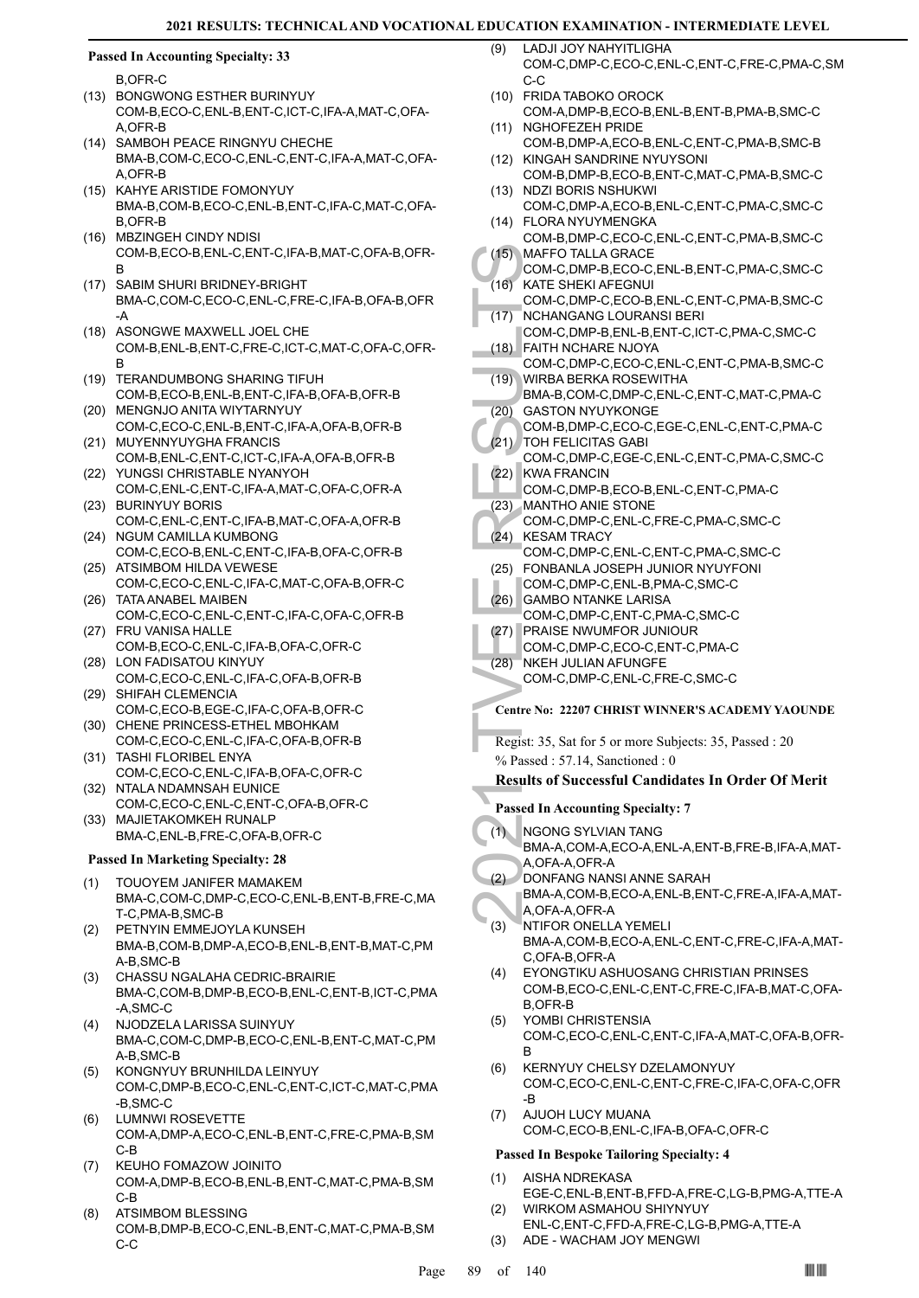#### **Passed In Accounting Specialty: 33**

B,OFR-C

- (13) BONGWONG ESTHER BURINYUY COM-B,ECO-C,ENL-B,ENT-C,ICT-C,IFA-A,MAT-C,OFA-A,OFR-B
- (14) SAMBOH PEACE RINGNYU CHECHE BMA-B,COM-C,ECO-C,ENL-C,ENT-C,IFA-A,MAT-C,OFA-A,OFR-B
- (15) KAHYE ARISTIDE FOMONYUY BMA-B,COM-B,ECO-C,ENL-B,ENT-C,IFA-C,MAT-C,OFA-B,OFR-B
- MBZINGEH CINDY NDISI (16) COM-B,ECO-B,ENL-C,ENT-C,IFA-B,MAT-C,OFA-B,OFR-B
- (17) SABIM SHURI BRIDNEY-BRIGHT BMA-C,COM-C,ECO-C,ENL-C,FRE-C,IFA-B,OFA-B,OFR -A
- (18) ASONGWE MAXWELL JOEL CHE COM-B,ENL-B,ENT-C,FRE-C,ICT-C,MAT-C,OFA-C,OFR-B
- (19) TERANDUMBONG SHARING TIFUH COM-B,ECO-B,ENL-B,ENT-C,IFA-B,OFA-B,OFR-B
- (20) MENGNJO ANITA WIYTARNYUY COM-C,ECO-C,ENL-B,ENT-C,IFA-A,OFA-B,OFR-B
- (21) MUYENNYUYGHA FRANCIS COM-B,ENL-C,ENT-C,ICT-C,IFA-A,OFA-B,OFR-B (22) YUNGSI CHRISTABLE NYANYOH
- COM-C,ENL-C,ENT-C,IFA-A,MAT-C,OFA-C,OFR-A (23) BURINYUY BORIS
- COM-C,ENL-C,ENT-C,IFA-B,MAT-C,OFA-A,OFR-B (24) NGUM CAMILLA KUMBONG
- COM-C,ECO-B,ENL-C,ENT-C,IFA-B,OFA-C,OFR-B (25) ATSIMBOM HILDA VEWESE
- COM-C,ECO-C,ENL-C,IFA-C,MAT-C,OFA-B,OFR-C (26) TATA ANABEL MAIBEN
- COM-C,ECO-C,ENL-C,ENT-C,IFA-C,OFA-C,OFR-B FRU VANISA HALLE (27)
- COM-B,ECO-C,ENL-C,IFA-B,OFA-C,OFR-C (28) LON FADISATOU KINYUY
- COM-C,ECO-C,ENL-C,IFA-C,OFA-B,OFR-B (29) SHIFAH CLEMENCIA
- COM-C,ECO-B,EGE-C,IFA-C,OFA-B,OFR-C (30) CHENE PRINCESS-ETHEL MBOHKAM
- COM-C,ECO-C,ENL-C,IFA-C,OFA-B,OFR-B TASHI FLORIBEL ENYA (31)
- COM-C,ECO-C,ENL-C,IFA-B,OFA-C,OFR-C (32) NTALA NDAMNSAH EUNICE
- COM-C,ECO-C,ENL-C,ENT-C,OFA-B,OFR-C (33) MAJIETAKOMKEH RUNALP
- BMA-C,ENL-B,FRE-C,OFA-B,OFR-C

# **Passed In Marketing Specialty: 28**

- TOUOYEM JANIFER MAMAKEM BMA-C,COM-C,DMP-C,ECO-C,ENL-B,ENT-B,FRE-C,MA T-C,PMA-B,SMC-B (1)
- PETNYIN EMMEJOYLA KUNSEH BMA-B,COM-B,DMP-A,ECO-B,ENL-B,ENT-B,MAT-C,PM A-B,SMC-B (2)
- CHASSU NGALAHA CEDRIC-BRAIRIE BMA-C,COM-B,DMP-B,ECO-B,ENL-C,ENT-B,ICT-C,PMA -A,SMC-C (3)
- NJODZELA LARISSA SUINYUY BMA-C,COM-C,DMP-B,ECO-C,ENL-B,ENT-C,MAT-C,PM A-B,SMC-B (4)
- KONGNYUY BRUNHILDA LEINYUY COM-C,DMP-B,ECO-C,ENL-C,ENT-C,ICT-C,MAT-C,PMA -B,SMC-C (5)
- LUMNWI ROSEVETTE COM-A,DMP-A,ECO-C,ENL-B,ENT-C,FRE-C,PMA-B,SM C-B (6)
- KEUHO FOMAZOW JOINITO COM-A,DMP-B,ECO-B,ENL-B,ENT-C,MAT-C,PMA-B,SM C-B (7)
- ATSIMBOM BLESSING COM-B,DMP-B,ECO-C,ENL-B,ENT-C,MAT-C,PMA-B,SM C-C (8)
- LADJI JOY NAHYITLIGHA COM-C,DMP-C,ECO-C,ENL-C,ENT-C,FRE-C,PMA-C,SM  $C-C$  $(9)$
- FRIDA TABOKO OROCK (10)
- COM-A,DMP-B,ECO-B,ENL-B,ENT-B,PMA-B,SMC-C (11) NGHOFEZEH PRIDE
- COM-B,DMP-A,ECO-B,ENL-C,ENT-C,PMA-B,SMC-B (12) KINGAH SANDRINE NYUYSONI
- COM-B,DMP-B,ECO-B,ENT-C,MAT-C,PMA-B,SMC-C (13) NDZI BORIS NSHUKWI
- COM-C,DMP-A,ECO-B,ENL-C,ENT-C,PMA-C,SMC-C FLORA NYUYMENGKA (14)
- COM-B,DMP-C,ECO-C,ENL-C,ENT-C,PMA-B,SMC-C MAFFO TALLA GRACE  $(15)$
- COM-C,DMP-B,ECO-C,ENL-B,ENT-C,PMA-C,SMC-C KATE SHEKI AFEGNUI  $(16)$
- COM-C,DMP-C,ECO-B,ENL-C,ENT-C,PMA-B,SMC-C NCHANGANG LOURANSI BERI (17)
- COM-C,DMP-B,ENL-B,ENT-C,ICT-C,PMA-C,SMC-C FAITH NCHARE NJOYA (18)
- COM-C,DMP-C,ECO-C,ENL-C,ENT-C,PMA-B,SMC-C WIRBA BERKA ROSEWITHA (19)
- BMA-B,COM-C,DMP-C,ENL-C,ENT-C,MAT-C,PMA-C (20) GASTON NYUYKONGE
- COM-B,DMP-C,ECO-C,EGE-C,ENL-C,ENT-C,PMA-C TOH FELICITAS GABI (21)
- (15) MAFFO<br>
COM-C,<br>
(16) KATE S<br>
COM-C,<br>
(17) NCHAN<br>
COM-C,<br>
(17) WIRBA<br>
COM-C,<br>
(19) WIRBA<br>
BMA-B,<br>
(20) GASTO<br>
COM-C,<br>
(21) TOH FE<br>
COM-C,<br>
(22) KWAFF COM-C,<br>
(22) MANTH<br>
COM-C,<br>
(23) MANTH<br>
COM-C,<br>
(25) FONBA,<br>
COM-C,<br> COM-C,DMP-C,EGE-C,ENL-C,ENT-C,PMA-C,SMC-C (22) KWA FRANCIN
	- COM-C,DMP-B,ECO-B,ENL-C,ENT-C,PMA-C
- MANTHO ANIE STONE (23)
- COM-C,DMP-C,ENL-C,FRE-C,PMA-C,SMC-C (24) KESAM TRACY
- COM-C,DMP-C,ENL-C,ENT-C,PMA-C,SMC-C FONBANLA JOSEPH JUNIOR NYUYFONI (25)
- COM-C,DMP-C,ENL-B,PMA-C,SMC-C
- (26) GAMBO NTANKE LARISA COM-C,DMP-C,ENT-C,PMA-C,SMC-C
- PRAISE NWUMFOR JUNIOUR COM-C,DMP-C,ECO-C,ENT-C,PMA-C (27)
- (28) NKEH JULIAN AFUNGFE
- COM-C,DMP-C,ENL-C,FRE-C,SMC-C
- **Centre No: 22207 CHRIST WINNER'S ACADEMY YAOUNDE**

Regist: 35, Sat for 5 or more Subjects: 35, Passed : 20 % Passed : 57.14, Sanctioned : 0

- **Results of Successful Candidates In Order Of Merit**
- **Passed In Accounting Specialty: 7**
- NGONG SYLVIAN TANG (1)
- BMA-A,COM-A,ECO-A,ENL-A,ENT-B,FRE-B,IFA-A,MAT-A,OFA-A,OFR-A
- DONFANG NANSI ANNE SARAH (2)
- BMA-A,COM-B,ECO-A,ENL-B,ENT-C,FRE-A,IFA-A,MAT-A,OFA-A,OFR-A
- NTIFOR ONELLA YEMELI BMA-A,COM-B,ECO-A,ENL-C,ENT-C,FRE-C,IFA-A,MAT-C,OFA-B,OFR-A (3)
- EYONGTIKU ASHUOSANG CHRISTIAN PRINSES COM-B,ECO-C,ENL-C,ENT-C,FRE-C,IFA-B,MAT-C,OFA-B,OFR-B (4)
- YOMBI CHRISTENSIA COM-C,ECO-C,ENL-C,ENT-C,IFA-A,MAT-C,OFA-B,OFR-B (5)
- KERNYUY CHELSY DZELAMONYUY COM-C,ECO-C,ENL-C,ENT-C,FRE-C,IFA-C,OFA-C,OFR -B (6)
- AJUOH LUCY MUANA COM-C,ECO-B,ENL-C,IFA-B,OFA-C,OFR-C (7)

# **Passed In Bespoke Tailoring Specialty: 4**

- AISHA NDREKASA EGE-C,ENL-B,ENT-B,FFD-A,FRE-C,LG-B,PMG-A,TTE-A (1) WIRKOM ASMAHOU SHIYNYUY (2)
- ENL-C,ENT-C,FFD-A,FRE-C,LG-B,PMG-A,TTE-A (3) ADE - WACHAM JOY MENGWI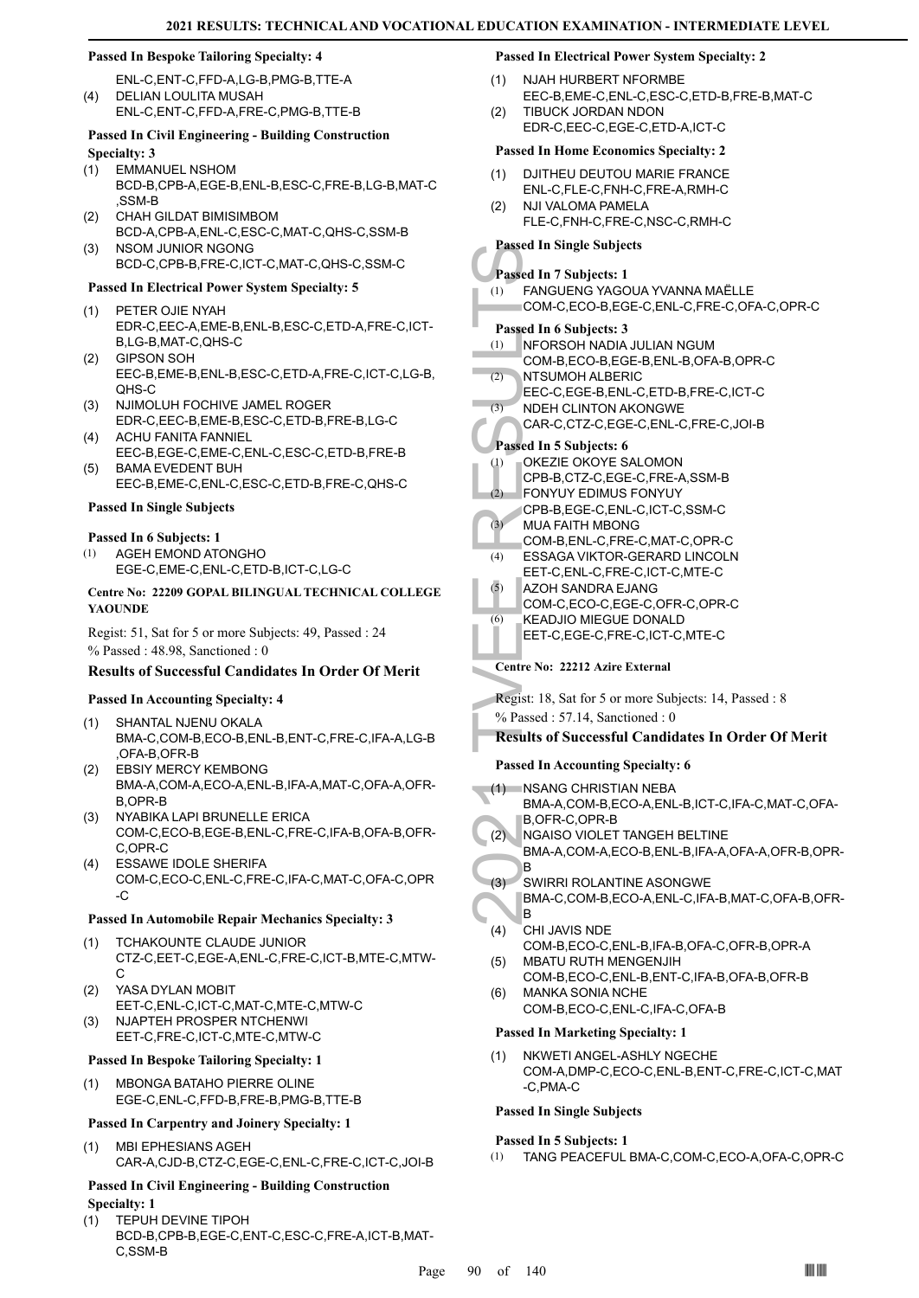#### **Passed In Bespoke Tailoring Specialty: 4**

ENL-C,ENT-C,FFD-A,LG-B,PMG-B,TTE-A DELIAN LOULITA MUSAH ENL-C,ENT-C,FFD-A,FRE-C,PMG-B,TTE-B (4)

# **Passed In Civil Engineering - Building Construction Specialty: 3**

- EMMANUEL NSHOM (1)
- BCD-B,CPB-A,EGE-B,ENL-B,ESC-C,FRE-B,LG-B,MAT-C ,SSM-B
- CHAH GILDAT BIMISIMBOM BCD-A,CPB-A,ENL-C,ESC-C,MAT-C,QHS-C,SSM-B (2)
- NSOM JUNIOR NGONG BCD-C,CPB-B,FRE-C,ICT-C,MAT-C,QHS-C,SSM-C (3)

# **Passed In Electrical Power System Specialty: 5**

- PETER OJIE NYAH EDR-C,EEC-A,EME-B,ENL-B,ESC-C,ETD-A,FRE-C,ICT-B,LG-B,MAT-C,QHS-C (1)
- GIPSON SOH EEC-B,EME-B,ENL-B,ESC-C,ETD-A,FRE-C,ICT-C,LG-B, QHS-C (2)
- NJIMOLUH FOCHIVE JAMEL ROGER EDR-C,EEC-B,EME-B,ESC-C,ETD-B,FRE-B,LG-C (3)
- ACHU FANITA FANNIEL EEC-B,EGE-C,EME-C,ENL-C,ESC-C,ETD-B,FRE-B (4)
- BAMA EVEDENT BUH EEC-B,EME-C,ENL-C,ESC-C,ETD-B,FRE-C,QHS-C (5)

#### **Passed In Single Subjects**

#### **Passed In 6 Subjects: 1**

AGEH EMOND ATONGHO EGE-C,EME-C,ENL-C,ETD-B,ICT-C,LG-C (1)

#### **Centre No: 22209 GOPAL BILINGUAL TECHNICAL COLLEGE YAOUNDE**

Regist: 51, Sat for 5 or more Subjects: 49, Passed : 24 % Passed : 48.98, Sanctioned : 0

### **Results of Successful Candidates In Order Of Merit**

**Passed In Accounting Specialty: 4**

- SHANTAL NJENU OKALA BMA-C,COM-B,ECO-B,ENL-B,ENT-C,FRE-C,IFA-A,LG-B ,OFA-B,OFR-B (1)
- EBSIY MERCY KEMBONG BMA-A,COM-A,ECO-A,ENL-B,IFA-A,MAT-C,OFA-A,OFR-B,OPR-B (2)
- NYABIKA LAPI BRUNELLE ERICA COM-C,ECO-B,EGE-B,ENL-C,FRE-C,IFA-B,OFA-B,OFR-C,OPR-C (3)
- ESSAWE IDOLE SHERIFA COM-C,ECO-C,ENL-C,FRE-C,IFA-C,MAT-C,OFA-C,OPR -C (4)

### **Passed In Automobile Repair Mechanics Specialty: 3**

- TCHAKOUNTE CLAUDE JUNIOR CTZ-C,EET-C,EGE-A,ENL-C,FRE-C,ICT-B,MTE-C,MTW- $\mathsf{C}$ (1)
- YASA DYLAN MOBIT EET-C,ENL-C,ICT-C,MAT-C,MTE-C,MTW-C (2)
- NJAPTEH PROSPER NTCHENWI EET-C,FRE-C,ICT-C,MTE-C,MTW-C (3)

#### **Passed In Bespoke Tailoring Specialty: 1**

MBONGA BATAHO PIERRE OLINE EGE-C,ENL-C,FFD-B,FRE-B,PMG-B,TTE-B (1)

#### **Passed In Carpentry and Joinery Specialty: 1**

MBI EPHESIANS AGEH CAR-A,CJD-B,CTZ-C,EGE-C,ENL-C,FRE-C,ICT-C,JOI-B (1)

#### **Passed In Civil Engineering - Building Construction Specialty: 1**

TEPUH DEVINE TIPOH BCD-B,CPB-B,EGE-C,ENT-C,ESC-C,FRE-A,ICT-B,MAT-C,SSM-B (1)

# **Passed In Electrical Power System Specialty: 2**

- NJAH HURBERT NFORMBE EEC-B,EME-C,ENL-C,ESC-C,ETD-B,FRE-B,MAT-C (1)
- TIBUCK JORDAN NDON EDR-C,EEC-C,EGE-C,ETD-A,ICT-C  $(2)$

# **Passed In Home Economics Specialty: 2**

- DJITHEU DEUTOU MARIE FRANCE ENL-C,FLE-C,FNH-C,FRE-A,RMH-C (1)
- NJI VALOMA PAMELA FLE-C,FNH-C,FRE-C,NSC-C,RMH-C (2)

# **Passed In Single Subjects**

# **Passed In 7 Subjects: 1**

- FANGUENG YAGOUA YVANNA MAËLLE COM-C,ECO-B,EGE-C,ENL-C,FRE-C,OFA-C,OPR-C (1) **Passed In 6 Subjects: 3**
- NFORSOH NADIA JULIAN NGUM (1)
- COM-B,ECO-B,EGE-B,ENL-B,OFA-B,OPR-C
- NTSUMOH ALBERIC EEC-C,EGE-B,ENL-C,ETD-B,FRE-C,ICT-C (2)
- NDEH CLINTON AKONGWE (3)
- CAR-C,CTZ-C,EGE-C,ENL-C,FRE-C,JOI-B

### **Passed In 5 Subjects: 6**

- OKEZIE OKOYE SALOMON (1)
- CPB-B,CTZ-C,EGE-C,FRE-A,SSM-B
- FONYUY EDIMUS FONYUY CPB-B,EGE-C,ENL-C,ICT-C,SSM-C (2)
- MUA FAITH MBONG (3)
- COM-B,ENL-C,FRE-C,MAT-C,OPR-C
- ESSAGA VIKTOR-GERARD LINCOLN (4)
- EET-C,ENL-C,FRE-C,ICT-C,MTE-C AZOH SANDRA EJANG (5)
	- COM-C,ECO-C,EGE-C,OFR-C,OPR-C
- KEADJIO MIEGUE DONALD (6)
	- EET-C,EGE-C,FRE-C,ICT-C,MTE-C
- **Centre No: 22212 Azire External**

Regist: 18, Sat for 5 or more Subjects: 14, Passed : 8 % Passed : 57.14, Sanctioned : 0

# **Results of Successful Candidates In Order Of Merit**

#### **Passed In Accounting Specialty: 6**

- Fassed In 51<br>
Passed In 6<br>
(1) FANGUI<br>
COM-C,<br>
Passed In 6<br>
(1) NFORS<br>
COM-B,<br>
RISUM<br>
EEC-C,<br>
(3) NUEH CAR-C,<br>
Passed In 5<br>
(2) OKEZIE<br>
CPB-B,<br>
(2) FONYU<br>
CPB-B,<br>
(3) MUA FA<br>
COM-B,<br>
EET-C,<br>
(3) MUA FA<br>
COM-B,<br>
EET-C,<br>
(5) (1) NSANG CHRISTIAN NEBA BMA-A,COM-B,ECO-A,ENL-B,ICT-C,IFA-C,MAT-C,OFA-B,OFR-C,OPR-B NGAISO VIOLET TANGEH BELTINE (2)
	- BMA-A,COM-A,ECO-B,ENL-B,IFA-A,OFA-A,OFR-B,OPR-B
	- SWIRRI ROLANTINE ASONGWE (3)
		- BMA-C,COM-B,ECO-A,ENL-C,IFA-B,MAT-C,OFA-B,OFR-B
	- CHI JAVIS NDE COM-B,ECO-C,ENL-B,IFA-B,OFA-C,OFR-B,OPR-A (4) MBATU RUTH MENGENJIH (5)
	- COM-B,ECO-C,ENL-B,ENT-C,IFA-B,OFA-B,OFR-B MANKA SONIA NCHE (6)
		- COM-B,ECO-C,ENL-C,IFA-C,OFA-B

#### **Passed In Marketing Specialty: 1**

NKWETI ANGEL-ASHLY NGECHE COM-A,DMP-C,ECO-C,ENL-B,ENT-C,FRE-C,ICT-C,MAT -C,PMA-C (1)

#### **Passed In Single Subjects**

#### **Passed In 5 Subjects: 1**

(1) TANG PEACEFUL BMA-C,COM-C,ECO-A,OFA-C,OPR-C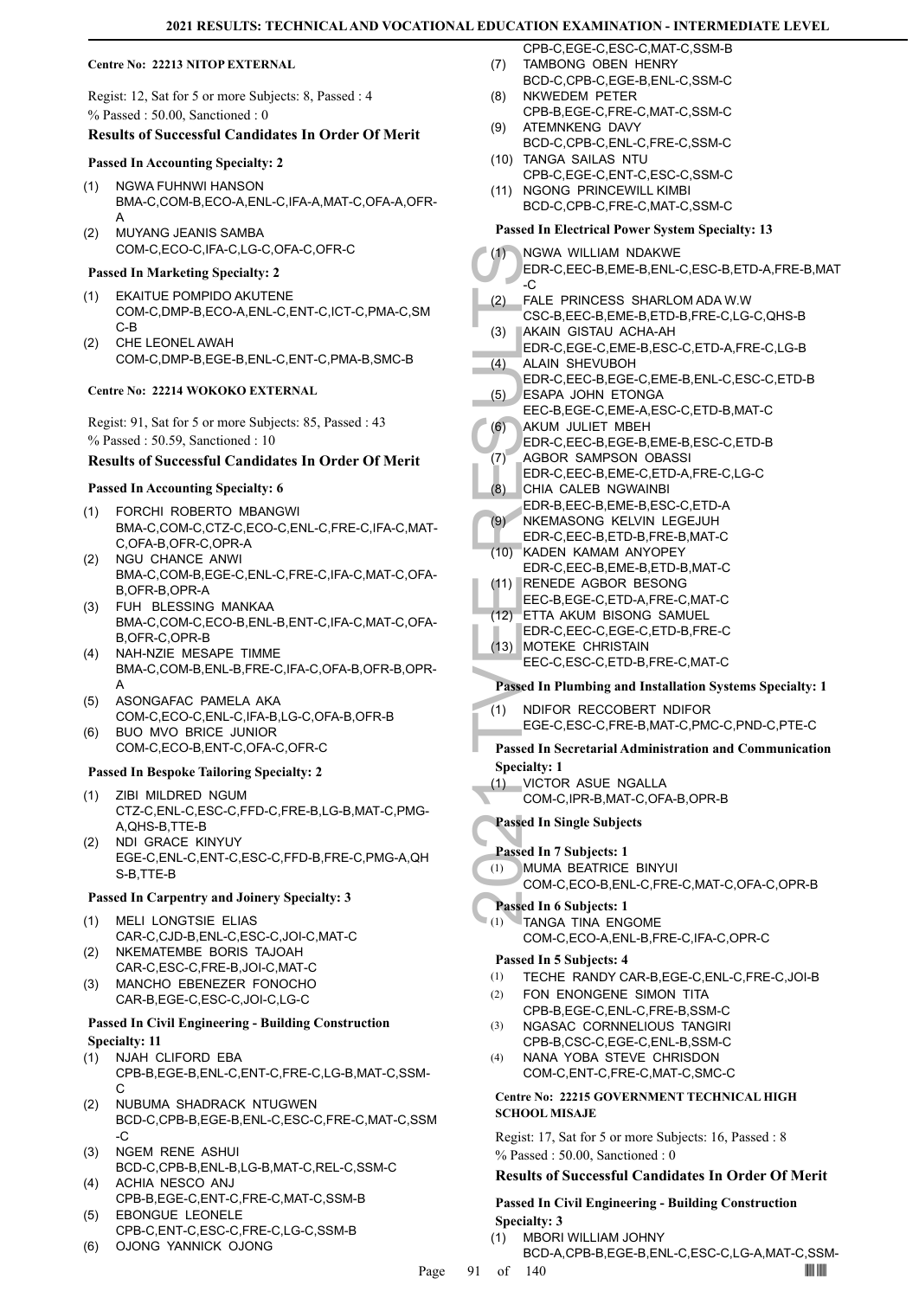#### **Centre No: 22213 NITOP EXTERNAL**

Regist: 12, Sat for 5 or more Subjects: 8, Passed : 4 % Passed : 50.00, Sanctioned : 0

#### **Results of Successful Candidates In Order Of Merit**

#### **Passed In Accounting Specialty: 2**

- NGWA FUHNWI HANSON BMA-C,COM-B,ECO-A,ENL-C,IFA-A,MAT-C,OFA-A,OFR-A (1)
- MUYANG JEANIS SAMBA COM-C,ECO-C,IFA-C,LG-C,OFA-C,OFR-C (2)

#### **Passed In Marketing Specialty: 2**

- EKAITUE POMPIDO AKUTENE (1) COM-C,DMP-B,ECO-A,ENL-C,ENT-C,ICT-C,PMA-C,SM C-B
- CHE LEONEL AWAH COM-C,DMP-B,EGE-B,ENL-C,ENT-C,PMA-B,SMC-B (2)

#### **Centre No: 22214 WOKOKO EXTERNAL**

Regist: 91, Sat for 5 or more Subjects: 85, Passed : 43 % Passed : 50.59, Sanctioned : 10

#### **Results of Successful Candidates In Order Of Merit**

#### **Passed In Accounting Specialty: 6**

- FORCHI ROBERTO MBANGWI BMA-C,COM-C,CTZ-C,ECO-C,ENL-C,FRE-C,IFA-C,MAT-C,OFA-B,OFR-C,OPR-A (1)
- (2) NGU CHANCE ANWI BMA-C,COM-B,EGE-C,ENL-C,FRE-C,IFA-C,MAT-C,OFA-B,OFR-B,OPR-A
- FUH BLESSING MANKAA (3) BMA-C,COM-C,ECO-B,ENL-B,ENT-C,IFA-C,MAT-C,OFA-B,OFR-C,OPR-B
- (4) NAH-NZIE MESAPE TIMME BMA-C,COM-B,ENL-B,FRE-C,IFA-C,OFA-B,OFR-B,OPR-A
- ASONGAFAC PAMELA AKA COM-C,ECO-C,ENL-C,IFA-B,LG-C,OFA-B,OFR-B (5)
- BUO MVO BRICE JUNIOR (6) COM-C,ECO-B,ENT-C,OFA-C,OFR-C

#### **Passed In Bespoke Tailoring Specialty: 2**

- ZIBI MILDRED NGUM CTZ-C,ENL-C,ESC-C,FFD-C,FRE-B,LG-B,MAT-C,PMG-A,QHS-B,TTE-B (1)
- (2) NDI GRACE KINYUY EGE-C,ENL-C,ENT-C,ESC-C,FFD-B,FRE-C,PMG-A,QH S-B,TTE-B

#### **Passed In Carpentry and Joinery Specialty: 3**

- MELI LONGTSIE ELIAS CAR-C,CJD-B,ENL-C,ESC-C,JOI-C,MAT-C (1)
- NKEMATEMBE BORIS TAJOAH CAR-C,ESC-C,FRE-B,JOI-C,MAT-C (2)
- MANCHO EBENEZER FONOCHO CAR-B,EGE-C,ESC-C,JOI-C,LG-C (3)

#### **Passed In Civil Engineering - Building Construction Specialty: 11**

- (1) NJAH CLIFORD EBA CPB-B,EGE-B,ENL-C,ENT-C,FRE-C,LG-B,MAT-C,SSM- $\mathsf{C}$
- NUBUMA SHADRACK NTUGWEN BCD-C,CPB-B,EGE-B,ENL-C,ESC-C,FRE-C,MAT-C,SSM -C (2)
- (3) NGEM RENE ASHUI BCD-C,CPB-B,ENL-B,LG-B,MAT-C,REL-C,SSM-C
- ACHIA NESCO ANJ CPB-B,EGE-C,ENT-C,FRE-C,MAT-C,SSM-B (4) EBONGUE LEONELE (5)
- CPB-C,ENT-C,ESC-C,FRE-C,LG-C,SSM-B
- (6) OJONG YANNICK OJONG
- CPB-C,EGE-C,ESC-C,MAT-C,SSM-B TAMBONG OBEN HENRY (7)
- BCD-C,CPB-C,EGE-B,ENL-C,SSM-C
- NKWEDEM PETER CPB-B,EGE-C,FRE-C,MAT-C,SSM-C (8) (9) ATEMNKENG DAVY
- BCD-C,CPB-C,ENL-C,FRE-C,SSM-C TANGA SAILAS NTU (10)
- CPB-C,EGE-C,ENT-C,ESC-C,SSM-C
- (11) NGONG PRINCEWILL KIMBI BCD-C,CPB-C,FRE-C,MAT-C,SSM-C

#### **Passed In Electrical Power System Specialty: 13**

| Passed In Electrical Power System Specialty: 13                                            |  |  |
|--------------------------------------------------------------------------------------------|--|--|
| (1)<br>NGWA WILLIAM NDAKWE<br>EDR-C,EEC-B,EME-B,ENL-C,ESC-B,ETD-A,FRE-B,MAT<br>-C          |  |  |
| FALE PRINCESS SHARLOM ADA W.W<br>(2)<br>CSC-B,EEC-B,EME-B,ETD-B,FRE-C,LG-C,QHS-B           |  |  |
| AKAIN GISTAU ACHA-AH<br>(3)<br>EDR-C,EGE-C,EME-B,ESC-C,ETD-A,FRE-C,LG-B                    |  |  |
| <b>ALAIN SHEVUBOH</b><br>(4)<br>EDR-C,EEC-B,EGE-C,EME-B,ENL-C,ESC-C,ETD-B                  |  |  |
| (5)<br>ESAPA JOHN ETONGA<br>EEC-B,EGE-C,EME-A,ESC-C,ETD-B,MAT-C                            |  |  |
| (6)<br>AKUM JULIET MBEH                                                                    |  |  |
| EDR-C,EEC-B,EGE-B,EME-B,ESC-C,ETD-B<br>(7)<br><b>AGBOR SAMPSON OBASSI</b>                  |  |  |
| EDR-C, EEC-B, EME-C, ETD-A, FRE-C, LG-C<br>(8)<br>CHIA CALEB NGWAINBI                      |  |  |
| EDR-B, EEC-B, EME-B, ESC-C, ETD-A<br>(9)<br>NKEMASONG KELVIN LEGEJUH                       |  |  |
| EDR-C, EEC-B, ETD-B, FRE-B, MAT-C<br>KADEN KAMAM ANYOPEY<br>(10)                           |  |  |
| EDR-C, EEC-B, EME-B, ETD-B, MAT-C<br>(11) RENEDE AGBOR BESONG                              |  |  |
| EEC-B,EGE-C,ETD-A,FRE-C,MAT-C<br>ETTA AKUM BISONG SAMUEL<br>(12)                           |  |  |
| EDR-C,EEC-C,EGE-C,ETD-B,FRE-C                                                              |  |  |
| <b>MOTEKE CHRISTAIN</b><br>(13)<br>EEC-C,ESC-C,ETD-B,FRE-C,MAT-C                           |  |  |
| Passed In Plumbing and Installation Systems Specialty: 1                                   |  |  |
| (1)<br>NDIFOR RECCOBERT NDIFOR<br>EGE-C,ESC-C,FRE-B,MAT-C,PMC-C,PND-C,PTE-C                |  |  |
| <b>Passed In Secretarial Administration and Communication</b><br><b>Specialty: 1</b>       |  |  |
| VICTOR ASUE NGALLA<br>(1)<br>COM-C, IPR-B, MAT-C, OFA-B, OPR-B                             |  |  |
| <b>Passed In Single Subjects</b>                                                           |  |  |
| Passed In 7 Subjects: 1<br><b>MUMA BEATRICE BINYUI</b><br>(1)                              |  |  |
| COM-C,ECO-B,ENL-C,FRE-C,MAT-C,OFA-C,OPR-B                                                  |  |  |
| Passed In 6 Subjects: 1<br>TANGA TINA ENGOME<br>(1)<br>COM-C,ECO-A,ENL-B,FRE-C,IFA-C,OPR-C |  |  |
| Passed In 5 Subjects: 4<br>(1)<br>TECHE RANDY CAR-B, EGE-C, ENL-C, FRE-C, JOI-B            |  |  |
| FON ENONGENE SIMON TITA<br>(2)<br>CPB-B,EGE-C,ENL-C,FRE-B,SSM-C                            |  |  |
| NGASAC CORNNELIOUS TANGIRI<br>(3)<br>CPB-B,CSC-C,EGE-C,ENL-B,SSM-C                         |  |  |
| NANA YOBA STEVE CHRISDON<br>(4)<br>COM-C,ENT-C,FRE-C,MAT-C,SMC-C                           |  |  |
| Centre No: 22215 GOVERNMENT TECHNICAL HIGH<br><b>SCHOOL MISAJE</b>                         |  |  |
| Regist: 17, Sat for 5 or more Subjects: 16, Passed: 8<br>$%$ Passed: 50.00, Sanctioned: 0  |  |  |
| <b>Results of Successful Candidates In Order Of Merit</b>                                  |  |  |
| <b>Passed In Civil Engineering - Building Construction</b><br><b>Specialty: 3</b>          |  |  |

- MBORI WILLIAM JOHNY (1)
	- BCD-A,CPB-B,EGE-B,ENL-C,ESC-C,LG-A,MAT-C,SSM-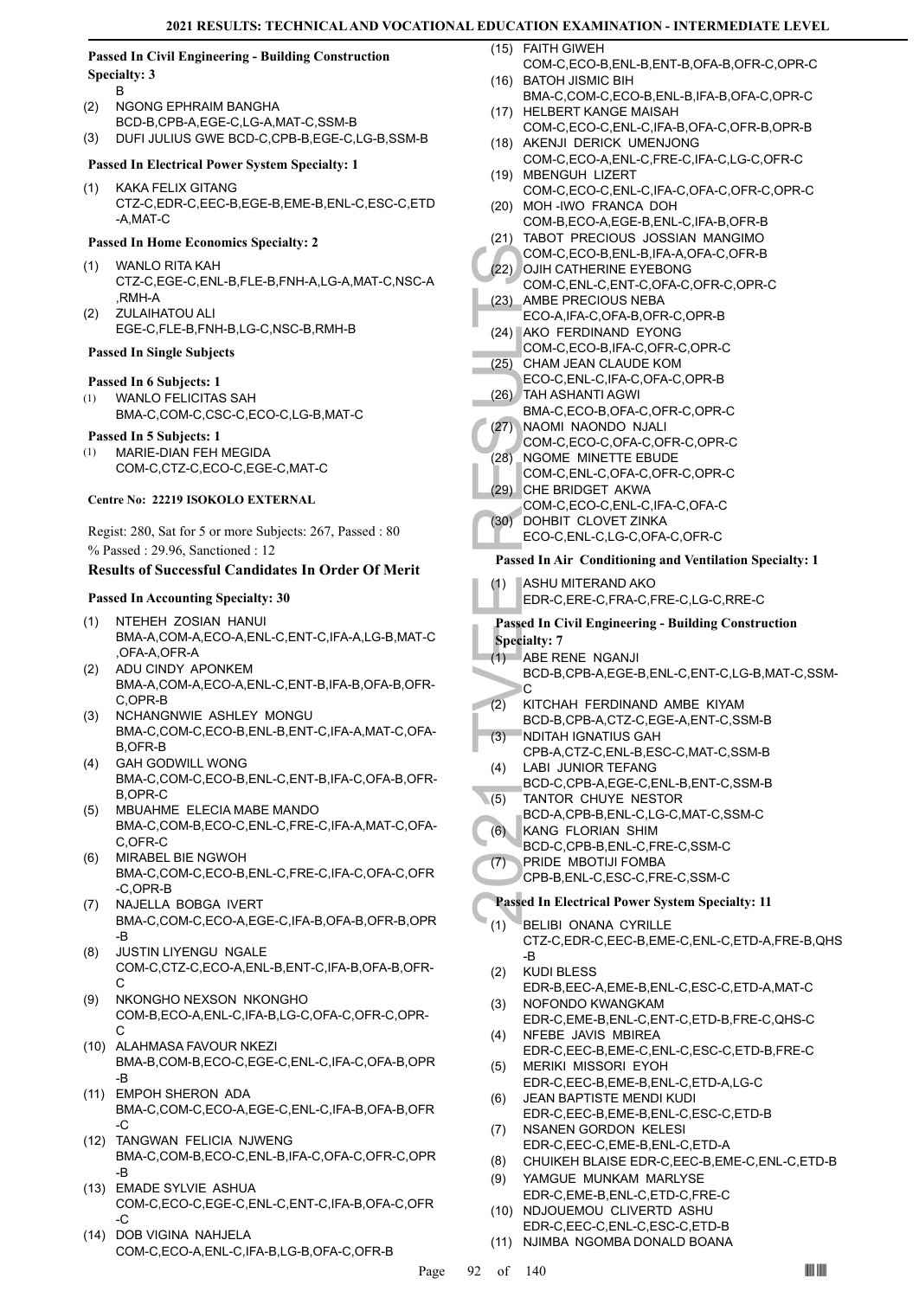#### **Passed In Civil Engineering - Building Construction Specialty: 3**

- B
- NGONG EPHRAIM BANGHA BCD-B,CPB-A,EGE-C,LG-A,MAT-C,SSM-B (2)
- (3) DUFI JULIUS GWE BCD-C,CPB-B,EGE-C,LG-B,SSM-B

# **Passed In Electrical Power System Specialty: 1**

KAKA FELIX GITANG CTZ-C,EDR-C,EEC-B,EGE-B,EME-B,ENL-C,ESC-C,ETD -A,MAT-C (1)

### **Passed In Home Economics Specialty: 2**

- WANLO RITA KAH (1) CTZ-C,EGE-C,ENL-B,FLE-B,FNH-A,LG-A,MAT-C,NSC-A  $RMH-A$ (2)
- ZULAIHATOU ALI EGE-C,FLE-B,FNH-B,LG-C,NSC-B,RMH-B

### **Passed In Single Subjects**

### **Passed In 6 Subjects: 1**

WANLO FELICITAS SAH BMA-C,COM-C,CSC-C,ECO-C,LG-B,MAT-C (1)

### **Passed In 5 Subjects: 1**

MARIE-DIAN FEH MEGIDA COM-C,CTZ-C,ECO-C,EGE-C,MAT-C (1)

### **Centre No: 22219 ISOKOLO EXTERNAL**

Regist: 280, Sat for 5 or more Subjects: 267, Passed : 80 % Passed : 29.96, Sanctioned : 12

# **Results of Successful Candidates In Order Of Merit**

### **Passed In Accounting Specialty: 30**

- NTEHEH ZOSIAN HANUI BMA-A,COM-A,ECO-A,ENL-C,ENT-C,IFA-A,LG-B,MAT-C ,OFA-A,OFR-A (1)
- ADU CINDY APONKEM BMA-A,COM-A,ECO-A,ENL-C,ENT-B,IFA-B,OFA-B,OFR-C,OPR-B (2)
- (3) NCHANGNWIE ASHLEY MONGU BMA-C,COM-C,ECO-B,ENL-B,ENT-C,IFA-A,MAT-C,OFA-B,OFR-B
- GAH GODWILL WONG (4) BMA-C,COM-C,ECO-B,ENL-C,ENT-B,IFA-C,OFA-B,OFR-B,OPR-C
- MBUAHME ELECIA MABE MANDO BMA-C,COM-B,ECO-C,ENL-C,FRE-C,IFA-A,MAT-C,OFA-C,OFR-C (5)
- MIRABEL BIE NGWOH (6) BMA-C,COM-C,ECO-B,ENL-C,FRE-C,IFA-C,OFA-C,OFR -C,OPR-B
- (7) NAJELLA BOBGA IVERT BMA-C,COM-C,ECO-A,EGE-C,IFA-B,OFA-B,OFR-B,OPR -B
- JUSTIN LIYENGU NGALE COM-C,CTZ-C,ECO-A,ENL-B,ENT-C,IFA-B,OFA-B,OFR- $\cap$ (8)
- NKONGHO NEXSON NKONGHO COM-B,ECO-A,ENL-C,IFA-B,LG-C,OFA-C,OFR-C,OPR-C (9)
- (10) ALAHMASA FAVOUR NKEZI BMA-B,COM-B,ECO-C,EGE-C,ENL-C,IFA-C,OFA-B,OPR -B
- EMPOH SHERON ADA (11) BMA-C,COM-C,ECO-A,EGE-C,ENL-C,IFA-B,OFA-B,OFR -C
- (12) TANGWAN FELICIA NJWENG BMA-C,COM-B,ECO-C,ENL-B,IFA-C,OFA-C,OFR-C,OPR -B
- EMADE SYLVIE ASHUA (13) COM-C,ECO-C,EGE-C,ENL-C,ENT-C,IFA-B,OFA-C,OFR -C
- (14) DOB VIGINA NAHJELA COM-C,ECO-A,ENL-C,IFA-B,LG-B,OFA-C,OFR-B

FAITH GIWEH (15)

- COM-C,ECO-B,ENL-B,ENT-B,OFA-B,OFR-C,OPR-C BATOH JISMIC BIH (16)
- BMA-C,COM-C,ECO-B,ENL-B,IFA-B,OFA-C,OPR-C (17) HELBERT KANGE MAISAH
- COM-C,ECO-C,ENL-C,IFA-B,OFA-C,OFR-B,OPR-B (18) AKENJI DERICK UMENJONG
- COM-C,ECO-A,ENL-C,FRE-C,IFA-C,LG-C,OFR-C MBENGUH LIZERT (19)
- COM-C,ECO-C,ENL-C,IFA-C,OFA-C,OFR-C,OPR-C (20) MOH-IWO FRANCA DOH
- COM-B,ECO-A,EGE-B,ENL-C,IFA-B,OFR-B (21) TABOT PRECIOUS JOSSIAN MANGIMO COM-C,ECO-B,ENL-B,IFA-A,OFA-C,OFR-B
- COM-C, (22) OJIH CA (22) OJIH CA (23) AMBE F ECO-A, (23) AMBE F ECO-A, (24) AKO F COM-C, (25) CHAM J ECO-C, (26) TAH AS BMA-C, (27) NAOMI COM-C, (28) NGOME COM-C, (28) NGOME COM-C, (28) NGOME COM-C, (28) CHE BH COM-C, (29) (22) OJIH CATHERINE EYEBONG COM-C,ENL-C,ENT-C,OFA-C,OFR-C,OPR-C
- AMBE PRECIOUS NEBA ECO-A,IFA-C,OFA-B,OFR-C,OPR-B (23)
- (24) AKO FERDINAND EYONG
- COM-C,ECO-B,IFA-C,OFR-C,OPR-C CHAM JEAN CLAUDE KOM (25)
- ECO-C,ENL-C,IFA-C,OFA-C,OPR-B TAH ASHANTI AGWI (26)
- BMA-C,ECO-B,OFA-C,OFR-C,OPR-C
- NAOMI NAONDO NJALI  $(27)$ 
	- COM-C,ECO-C,OFA-C,OFR-C,OPR-C
	- NGOME MINETTE EBUDE COM-C,ENL-C,OFA-C,OFR-C,OPR-C (28)
	- (29) CHE BRIDGET AKWA
- COM-C,ECO-C,ENL-C,IFA-C,OFA-C DOHBIT CLOVET ZINKA (30)
- ECO-C,ENL-C,LG-C,OFA-C,OFR-C

### **Passed In Air Conditioning and Ventilation Specialty: 1**

- ASHU MITERAND AKO (1)
	- EDR-C,ERE-C,FRA-C,FRE-C,LG-C,RRE-C

#### **Passed In Civil Engineering - Building Construction Specialty: 7**

- ABE RENE NGANJI (1)
- BCD-B,CPB-A,EGE-B,ENL-C,ENT-C,LG-B,MAT-C,SSM- $\overline{C}$
- KITCHAH FERDINAND AMBE KIYAM (2)
- BCD-B,CPB-A,CTZ-C,EGE-A,ENT-C,SSM-B NDITAH IGNATIUS GAH (3)
- CPB-A,CTZ-C,ENL-B,ESC-C,MAT-C,SSM-B LABI JUNIOR TEFANG (4)
- BCD-C,CPB-A,EGE-C,ENL-B,ENT-C,SSM-B TANTOR CHUYE NESTOR  $(5)$
- BCD-A,CPB-B,ENL-C,LG-C,MAT-C,SSM-C
- KANG FLORIAN SHIM (6)
	- BCD-C,CPB-B,ENL-C,FRE-C,SSM-C
	- PRIDE MBOTIJI FOMBA (7)
	- CPB-B,ENL-C,ESC-C,FRE-C,SSM-C

# **Passed In Electrical Power System Specialty: 11**

- **BELIBI ONANA CYRILLE** CTZ-C,EDR-C,EEC-B,EME-C,ENL-C,ETD-A,FRE-B,QHS -B (1)
- KUDI BLESS EDR-B,EEC-A,EME-B,ENL-C,ESC-C,ETD-A,MAT-C (2) NOFONDO KWANGKAM (3)
- EDR-C,EME-B,ENL-C,ENT-C,ETD-B,FRE-C,QHS-C NFEBE JAVIS MBIREA (4)
- EDR-C,EEC-B,EME-C,ENL-C,ESC-C,ETD-B,FRE-C MERIKI MISSORI EYOH (5)
- EDR-C,EEC-B,EME-B,ENL-C,ETD-A,LG-C JEAN BAPTISTE MENDI KUDI (6)
- EDR-C,EEC-B,EME-B,ENL-C,ESC-C,ETD-B NSANEN GORDON KELESI (7)
- EDR-C,EEC-C,EME-B,ENL-C,ETD-A (8) CHUIKEH BLAISE EDR-C,EEC-B,EME-C,ENL-C,ETD-B
- YAMGUE MUNKAM MARLYSE (9)
- EDR-C,EME-B,ENL-C,ETD-C,FRE-C (10) NDJOUEMOU CLIVERTD ASHU
- EDR-C,EEC-C,ENL-C,ESC-C,ETD-B (11) NJIMBA NGOMBA DONALD BOANA
-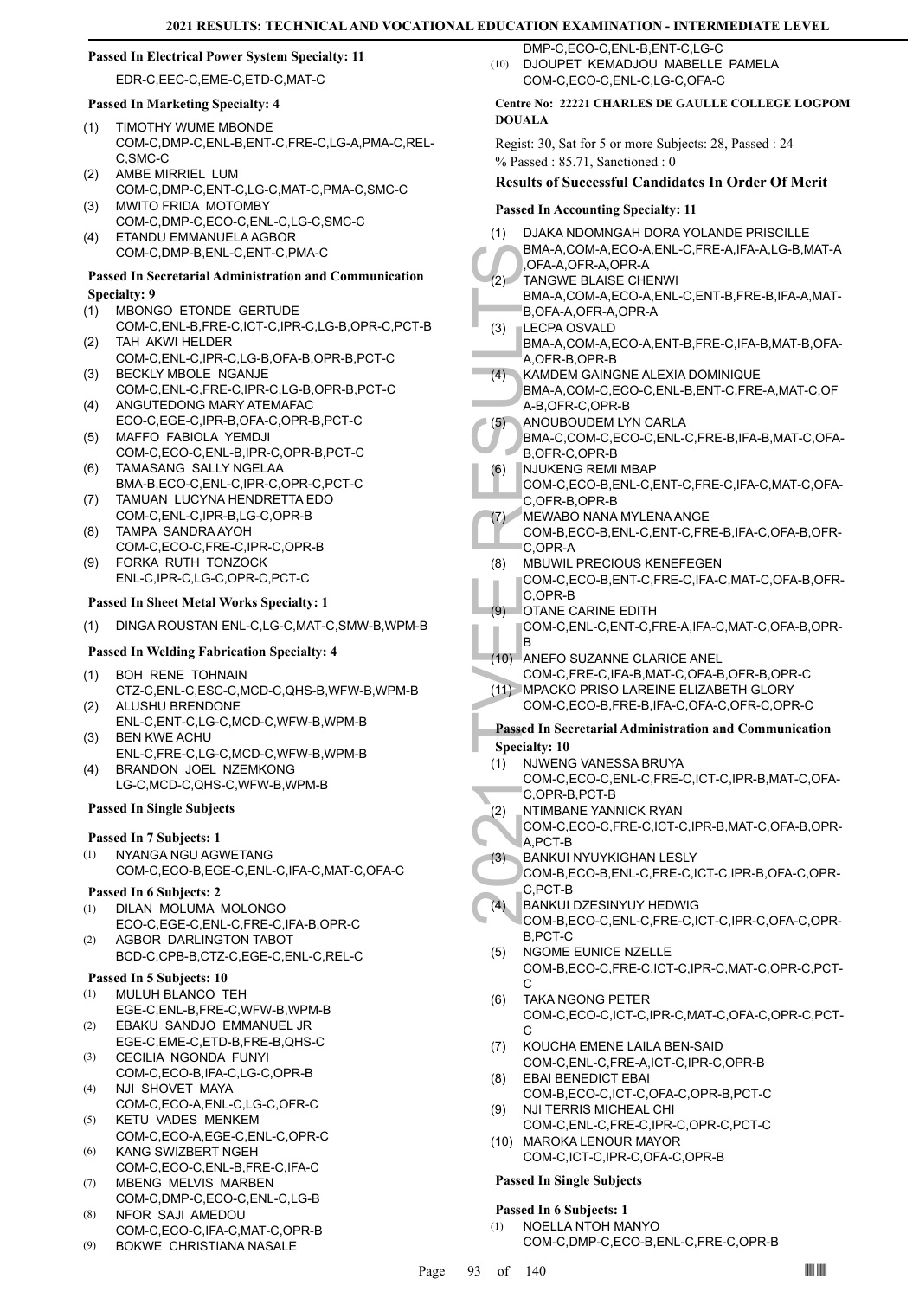#### **Passed In Electrical Power System Specialty: 11**

EDR-C,EEC-C,EME-C,ETD-C,MAT-C

#### **Passed In Marketing Specialty: 4**

- TIMOTHY WUME MBONDE COM-C,DMP-C,ENL-B,ENT-C,FRE-C,LG-A,PMA-C,REL-C,SMC-C (1)
- AMBE MIRRIEL LUM COM-C,DMP-C,ENT-C,LG-C,MAT-C,PMA-C,SMC-C (2)
- MWITO FRIDA MOTOMBY COM-C,DMP-C,ECO-C,ENL-C,LG-C,SMC-C (3) ETANDU EMMANUELA AGBOR (4)
	- COM-C,DMP-B,ENL-C,ENT-C,PMA-C

#### **Passed In Secretarial Administration and Communication Specialty: 9**

- MBONGO ETONDE GERTUDE COM-C,ENL-B,FRE-C,ICT-C,IPR-C,LG-B,OPR-C,PCT-B (1)
- TAH AKWI HELDER COM-C,ENL-C,IPR-C,LG-B,OFA-B,OPR-B,PCT-C (2)
- BECKLY MBOLE NGANJE COM-C,ENL-C,FRE-C,IPR-C,LG-B,OPR-B,PCT-C (3)
- ANGUTEDONG MARY ATEMAFAC ECO-C,EGE-C,IPR-B,OFA-C,OPR-B,PCT-C (4)
- MAFFO FABIOLA YEMDJI COM-C,ECO-C,ENL-B,IPR-C,OPR-B,PCT-C (5)
- TAMASANG SALLY NGELAA BMA-B,ECO-C,ENL-C,IPR-C,OPR-C,PCT-C (6) TAMUAN LUCYNA HENDRETTA EDO (7)
- COM-C,ENL-C,IPR-B,LG-C,OPR-B TAMPA SANDRA AYOH (8)
- COM-C,ECO-C,FRE-C,IPR-C,OPR-B FORKA RUTH TONZOCK (9)
- ENL-C,IPR-C,LG-C,OPR-C,PCT-C

# **Passed In Sheet Metal Works Specialty: 1**

(1) DINGA ROUSTAN ENL-C,LG-C,MAT-C,SMW-B,WPM-B

# **Passed In Welding Fabrication Specialty: 4**

- BOH RENE TOHNAIN CTZ-C,ENL-C,ESC-C,MCD-C,QHS-B,WFW-B,WPM-B (1)
- ALUSHU BRENDONE ENL-C,ENT-C,LG-C,MCD-C,WFW-B,WPM-B (2)
- BEN KWE ACHU ENL-C,FRE-C,LG-C,MCD-C,WFW-B,WPM-B (3)
- BRANDON JOEL NZEMKONG LG-C,MCD-C,QHS-C,WFW-B,WPM-B (4)

#### **Passed In Single Subjects**

#### **Passed In 7 Subjects: 1**

NYANGA NGU AGWETANG COM-C,ECO-B,EGE-C,ENL-C,IFA-C,MAT-C,OFA-C (1)

#### **Passed In 6 Subjects: 2**

- DILAN MOLUMA MOLONGO (1)
- ECO-C,EGE-C,ENL-C,FRE-C,IFA-B,OPR-C AGBOR DARLINGTON TABOT (2)
- BCD-C,CPB-B,CTZ-C,EGE-C,ENL-C,REL-C

# **Passed In 5 Subjects: 10**

- MULUH BLANCO TEH EGE-C,ENL-B,FRE-C,WFW-B,WPM-B (1)
- EBAKU SANDJO EMMANUEL JR EGE-C,EME-C,ETD-B,FRE-B,QHS-C (2)
- CECILIA NGONDA FUNYI COM-C,ECO-B,IFA-C,LG-C,OPR-B (3)
- NJI SHOVET MAYA COM-C,ECO-A,ENL-C,LG-C,OFR-C (4) KETU VADES MENKEM (5)
- COM-C,ECO-A,EGE-C,ENL-C,OPR-C KANG SWIZBERT NGEH (6)
- COM-C,ECO-C,ENL-B,FRE-C,IFA-C MBENG MELVIS MARBEN (7)
- COM-C,DMP-C,ECO-C,ENL-C,LG-B NFOR SAJI AMEDOU (8)
- COM-C,ECO-C,IFA-C,MAT-C,OPR-B
- (9) BOKWE CHRISTIANA NASALE

DMP-C,ECO-C,ENL-B,ENT-C,LG-C DJOUPET KEMADJOU MABELLE PAMELA COM-C,ECO-C,ENL-C,LG-C,OFA-C (10)

#### **Centre No: 22221 CHARLES DE GAULLE COLLEGE LOGPOM DOUALA**

Regist: 30, Sat for 5 or more Subjects: 28, Passed : 24 % Passed : 85.71, Sanctioned : 0

#### **Results of Successful Candidates In Order Of Merit**

#### **Passed In Accounting Specialty: 11**

- DJAKA NDOMNGAH DORA YOLANDE PRISCILLE BMA-A,COM-A,ECO-A,ENL-C,FRE-A,IFA-A,LG-B,MAT-A ,OFA-A,OFR-A,OPR-A (1)
- TANGWE BLAISE CHENWI BMA-A,COM-A,ECO-A,ENL-C,ENT-B,FRE-B,IFA-A,MAT-B,OFA-A,OFR-A,OPR-A  $(2)$
- BMA-A, CORA-A, CORA-A, CORA-A, CORA-A, CORA-A, CORA-A, B, OFA-A, B, OFA-A, B, OFA-A, B, OFA-A, B, OFA-A, A, OFR-<br>
(3) LECPA (BMA-A, A, OFR-I, KAMDE BMA-A, A, OFR-I, KAMDE BMA-A, A, OFR-I, A, D, OFA-A, A, D, OFA-A, A, D, OF LECPA OSVALD BMA-A,COM-A,ECO-A,ENT-B,FRE-C,IFA-B,MAT-B,OFA-A,OFR-B,OPR-B (3)
- KAMDEM GAINGNE ALEXIA DOMINIQUE BMA-A,COM-C,ECO-C,ENL-B,ENT-C,FRE-A,MAT-C,OF A-B,OFR-C,OPR-B (4)
- ANOUBOUDEM LYN CARLA (5)
- BMA-C,COM-C,ECO-C,ENL-C,FRE-B,IFA-B,MAT-C,OFA-B,OFR-C,OPR-B
- NJUKENG REMI MBAP COM-C,ECO-B,ENL-C,ENT-C,FRE-C,IFA-C,MAT-C,OFA-C,OFR-B,OPR-B (6)
- MEWABO NANA MYLENA ANGE COM-B,ECO-B,ENL-C,ENT-C,FRE-B,IFA-C,OFA-B,OFR-(7)
- C,OPR-A MBUWIL PRECIOUS KENEFEGEN (8)
	- COM-C,ECO-B,ENT-C,FRE-C,IFA-C,MAT-C,OFA-B,OFR-C,OPR-B
- OTANE CARINE EDITH (9)
- COM-C,ENL-C,ENT-C,FRE-A,IFA-C,MAT-C,OFA-B,OPR-B
- (10) ANEFO SUZANNE CLARICE ANEL
- COM-C,FRE-C,IFA-B,MAT-C,OFA-B,OFR-B,OPR-C MPACKO PRISO LAREINE ELIZABETH GLORY (11)
	- COM-C,ECO-B,FRE-B,IFA-C,OFA-C,OFR-C,OPR-C
- **Passed In Secretarial Administration and Communication Specialty: 10**
- NJWENG VANESSA BRUYA (1)
- COM-C,ECO-C,ENL-C,FRE-C,ICT-C,IPR-B,MAT-C,OFA-C,OPR-B,PCT-B
- NTIMBANE YANNICK RYAN (2)
- COM-C,ECO-C,FRE-C,ICT-C,IPR-B,MAT-C,OFA-B,OPR-A,PCT-B
- BANKUI NYUYKIGHAN LESLY (3)
	- COM-B,ECO-B,ENL-C,FRE-C,ICT-C,IPR-B,OFA-C,OPR-C,PCT-B
- BANKUI DZESINYUY HEDWIG COM-B,ECO-C,ENL-C,FRE-C,ICT-C,IPR-C,OFA-C,OPR-B,PCT-C (4)
- NGOME EUNICE NZELLE COM-B,ECO-C,FRE-C,ICT-C,IPR-C,MAT-C,OPR-C,PCT-C. (5)
- TAKA NGONG PETER COM-C,ECO-C,ICT-C,IPR-C,MAT-C,OFA-C,OPR-C,PCT- $\cap$ (6)
- KOUCHA EMENE LAILA BEN-SAID COM-C,ENL-C,FRE-A,ICT-C,IPR-C,OPR-B (7)
- EBAI BENEDICT EBAI COM-B,ECO-C,ICT-C,OFA-C,OPR-B,PCT-C (8)
- NJI TERRIS MICHEAL CHI COM-C,ENL-C,FRE-C,IPR-C,OPR-C,PCT-C (9)
- (10) MAROKA LENOUR MAYOR COM-C,ICT-C,IPR-C,OFA-C,OPR-B

### **Passed In Single Subjects**

#### **Passed In 6 Subjects: 1**

NOELLA NTOH MANYO COM-C,DMP-C,ECO-B,ENL-C,FRE-C,OPR-B (1)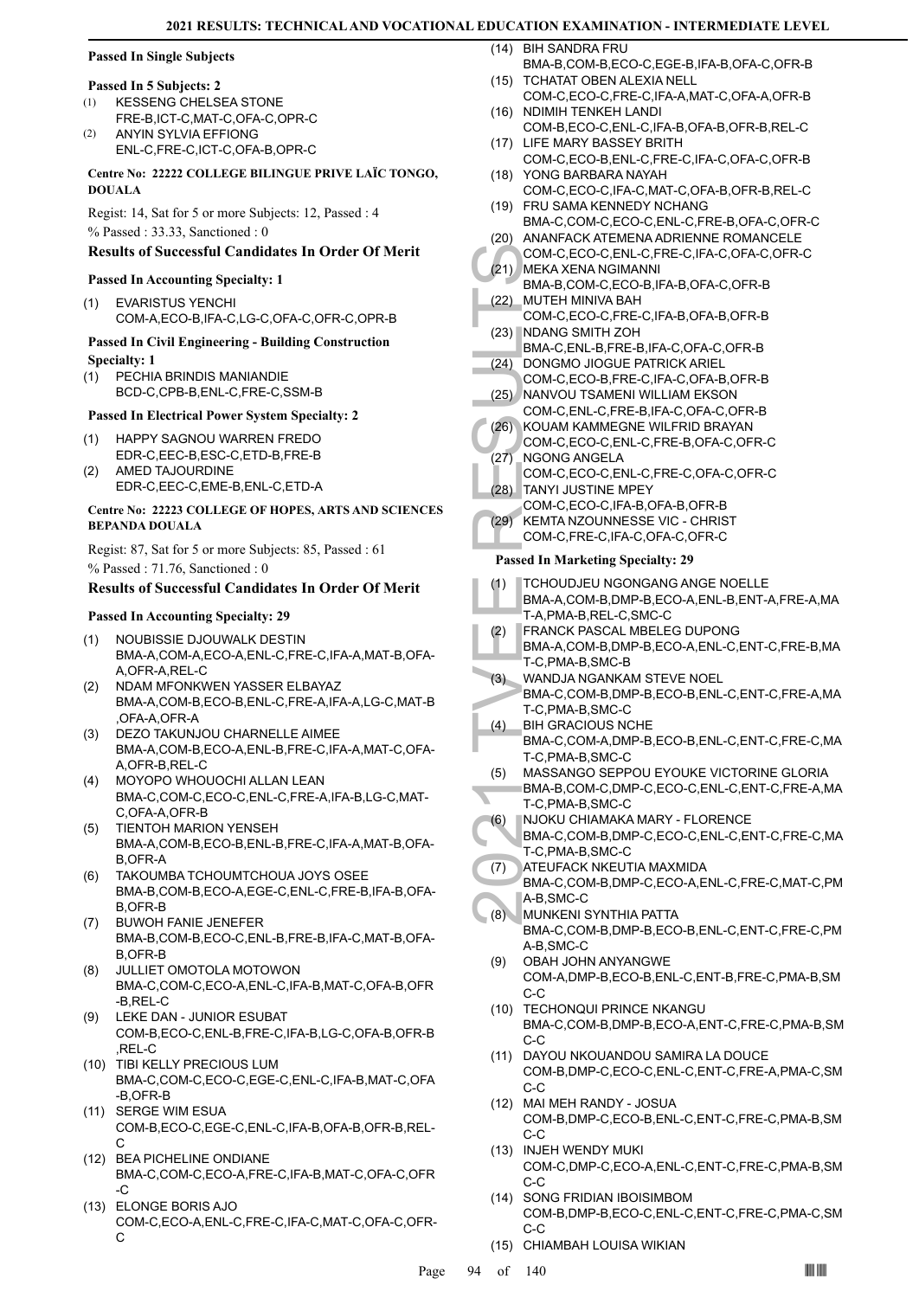#### **Passed In Single Subjects**

#### **Passed In 5 Subjects: 2**

- KESSENG CHELSEA STONE FRE-B,ICT-C,MAT-C,OFA-C,OPR-C (1)
- ANYIN SYLVIA EFFIONG ENL-C,FRE-C,ICT-C,OFA-B,OPR-C (2)

#### **Centre No: 22222 COLLEGE BILINGUE PRIVE LAÏC TONGO, DOUALA**

Regist: 14, Sat for 5 or more Subjects: 12, Passed : 4 % Passed : 33.33, Sanctioned : 0

#### **Results of Successful Candidates In Order Of Merit**

#### **Passed In Accounting Specialty: 1**

EVARISTUS YENCHI COM-A,ECO-B,IFA-C,LG-C,OFA-C,OFR-C,OPR-B (1)

#### **Passed In Civil Engineering - Building Construction Specialty: 1**

PECHIA BRINDIS MANIANDIE BCD-C,CPB-B,ENL-C,FRE-C,SSM-B (1)

#### **Passed In Electrical Power System Specialty: 2**

- HAPPY SAGNOU WARREN FREDO EDR-C,EEC-B,ESC-C,ETD-B,FRE-B (1)
- AMED TAJOURDINE EDR-C,EEC-C,EME-B,ENL-C,ETD-A (2)

#### **Centre No: 22223 COLLEGE OF HOPES, ARTS AND SCIENCES BEPANDA DOUALA**

Regist: 87, Sat for 5 or more Subjects: 85, Passed : 61 % Passed : 71.76, Sanctioned : 0

#### **Results of Successful Candidates In Order Of Merit**

#### **Passed In Accounting Specialty: 29**

- NOUBISSIE DJOUWALK DESTIN BMA-A,COM-A,ECO-A,ENL-C,FRE-C,IFA-A,MAT-B,OFA-A,OFR-A,REL-C (1)
- NDAM MFONKWEN YASSER ELBAYAZ BMA-A,COM-B,ECO-B,ENL-C,FRE-A,IFA-A,LG-C,MAT-B ,OFA-A,OFR-A (2)
- DEZO TAKUNJOU CHARNELLE AIMEE BMA-A,COM-B,ECO-A,ENL-B,FRE-C,IFA-A,MAT-C,OFA-A,OFR-B,REL-C (3)
- MOYOPO WHOUOCHI ALLAN LEAN (4) BMA-C,COM-C,ECO-C,ENL-C,FRE-A,IFA-B,LG-C,MAT-C,OFA-A,OFR-B
- TIENTOH MARION YENSEH BMA-A,COM-B,ECO-B,ENL-B,FRE-C,IFA-A,MAT-B,OFA-B,OFR-A (5)
- TAKOUMBA TCHOUMTCHOUA JOYS OSEE BMA-B,COM-B,ECO-A,EGE-C,ENL-C,FRE-B,IFA-B,OFA-B,OFR-B (6)
- BUWOH FANIE JENEFER (7) BMA-B,COM-B,ECO-C,ENL-B,FRE-B,IFA-C,MAT-B,OFA-B,OFR-B
- JULLIET OMOTOLA MOTOWON BMA-C,COM-C,ECO-A,ENL-C,IFA-B,MAT-C,OFA-B,OFR -B,REL-C (8)
- LEKE DAN JUNIOR ESUBAT COM-B,ECO-C,ENL-B,FRE-C,IFA-B,LG-C,OFA-B,OFR-B ,REL-C (9)
- (10) TIBI KELLY PRECIOUS LUM BMA-C,COM-C,ECO-C,EGE-C,ENL-C,IFA-B,MAT-C,OFA -B,OFR-B
- (11) SERGE WIM ESUA COM-B,ECO-C,EGE-C,ENL-C,IFA-B,OFA-B,OFR-B,REL-C
- (12) BEA PICHELINE ONDIANE BMA-C,COM-C,ECO-A,FRE-C,IFA-B,MAT-C,OFA-C,OFR -C
- ELONGE BORIS AJO (13) COM-C,ECO-A,ENL-C,FRE-C,IFA-C,MAT-C,OFA-C,OFR-C

BIH SANDRA FRU  $(14)$ 

- BMA-B,COM-B,ECO-C,EGE-B,IFA-B,OFA-C,OFR-B (15) TCHATAT OBEN ALEXIA NELL
- COM-C,ECO-C,FRE-C,IFA-A,MAT-C,OFA-A,OFR-B (16) NDIMIH TENKEH LANDI
- COM-B,ECO-C,ENL-C,IFA-B,OFA-B,OFR-B,REL-C (17) LIFE MARY BASSEY BRITH
- COM-C,ECO-B,ENL-C,FRE-C,IFA-C,OFA-C,OFR-B YONG BARBARA NAYAH (18)
- COM-C,ECO-C,IFA-C,MAT-C,OFA-B,OFR-B,REL-C (19) FRU SAMA KENNEDY NCHANG
- BMA-C,COM-C,ECO-C,ENL-C,FRE-B,OFA-C,OFR-C (20) ANANFACK ATEMENA ADRIENNE ROMANCELE COM-C,ECO-C,ENL-C,FRE-C,IFA-C,OFA-C,OFR-C
- MEKA XENA NGIMANNI (21) BMA-B,COM-C,ECO-B,IFA-B,OFA-C,OFR-B MUTEH MINIVA BAH (22)
- COM-C,ECO-C,FRE-C,IFA-B,OFA-B,OFR-B (23) NDANG SMITH ZOH
- BMA-C,ENL-B,FRE-B,IFA-C,OFA-C,OFR-B (24) DONGMO JIOGUE PATRICK ARIEL
- COM-C,ECO-B,FRE-C,IFA-C,OFA-B,OFR-B
- (25) NANVOU TSAMENI WILLIAM EKSON COM-C,ENL-C,FRE-B,IFA-C,OFA-C,OFR-B
- KOUAM KAMMEGNE WILFRID BRAYAN (26)
- COM-C,ECO-C,ENL-C,FRE-B,OFA-C,OFR-C NGONG ANGELA (27)
- COM-C,ECO-C,ENL-C,FRE-C,OFA-C,OFR-C TANYI JUSTINE MPEY (28)
- COM-C,ECO-C,IFA-B,OFA-B,OFR-B
- KEMTA NZOUNNESSE VIC CHRIST COM-C,FRE-C,IFA-C,OFA-C,OFR-C (29)

#### **Passed In Marketing Specialty: 29**

- COM-C, (21) MEKA BMA-B, (22) MUTEH COM-C, (23) NDANG BMA-C, (23) NDANG BMA-C, (24) DONGM COM-C, (26) NANVO COM-C, (26) KOUAM COM-C, (27) NGONC COM-C, (27) NGONC COM-C, (28) TANYI J COM-C, (28) TANYI J COM-C, Passed In M<br>(2 TCHOUDJEU NGONGANG ANGE NOELLE BMA-A,COM-B,DMP-B,ECO-A,ENL-B,ENT-A,FRE-A,MA T-A,PMA-B,REL-C,SMC-C (1) FRANCK PASCAL MBELEG DUPONG BMA-A,COM-B,DMP-B,ECO-A,ENL-C,ENT-C,FRE-B,MA T-C,PMA-B,SMC-B (2) WANDJA NGANKAM STEVE NOEL BMA-C,COM-B,DMP-B,ECO-B,ENL-C,ENT-C,FRE-A,MA T-C,PMA-B,SMC-C (3) BIH GRACIOUS NCHE BMA-C,COM-A,DMP-B,ECO-B,ENL-C,ENT-C,FRE-C,MA T-C,PMA-B,SMC-C (4) MASSANGO SEPPOU EYOUKE VICTORINE GLORIA BMA-B,COM-C,DMP-C,ECO-C,ENL-C,ENT-C,FRE-A,MA T-C,PMA-B,SMC-C (5) NJOKU CHIAMAKA MARY - FLORENCE BMA-C,COM-B,DMP-C,ECO-C,ENL-C,ENT-C,FRE-C,MA T-C,PMA-B,SMC-C (6) ATEUFACK NKEUTIA MAXMIDA BMA-C,COM-B,DMP-C,ECO-A,ENL-C,FRE-C,MAT-C,PM A-B,SMC-C (7) MUNKENI SYNTHIA PATTA BMA-C,COM-B,DMP-B,ECO-B,ENL-C,ENT-C,FRE-C,PM A-B,SMC-C (8) OBAH JOHN ANYANGWE COM-A,DMP-B,ECO-B,ENL-C,ENT-B,FRE-C,PMA-B,SM C-C (9) (10) TECHONQUI PRINCE NKANGU BMA-C,COM-B,DMP-B,ECO-A,ENT-C,FRE-C,PMA-B,SM C-C (11) DAYOU NKOUANDOU SAMIRA LA DOUCE COM-B,DMP-C,ECO-C,ENL-C,ENT-C,FRE-A,PMA-C,SM C-C MAI MEH RANDY - JOSUA (12) COM-B,DMP-C,ECO-B,ENL-C,ENT-C,FRE-C,PMA-B,SM C-C (13) INJEH WENDY MUKI COM-C,DMP-C,ECO-A,ENL-C,ENT-C,FRE-C,PMA-B,SM C-C (14) SONG FRIDIAN IBOISIMBOM
	- COM-B,DMP-B,ECO-C,ENL-C,ENT-C,FRE-C,PMA-C,SM C-C
	- (15) CHIAMBAH LOUISA WIKIAN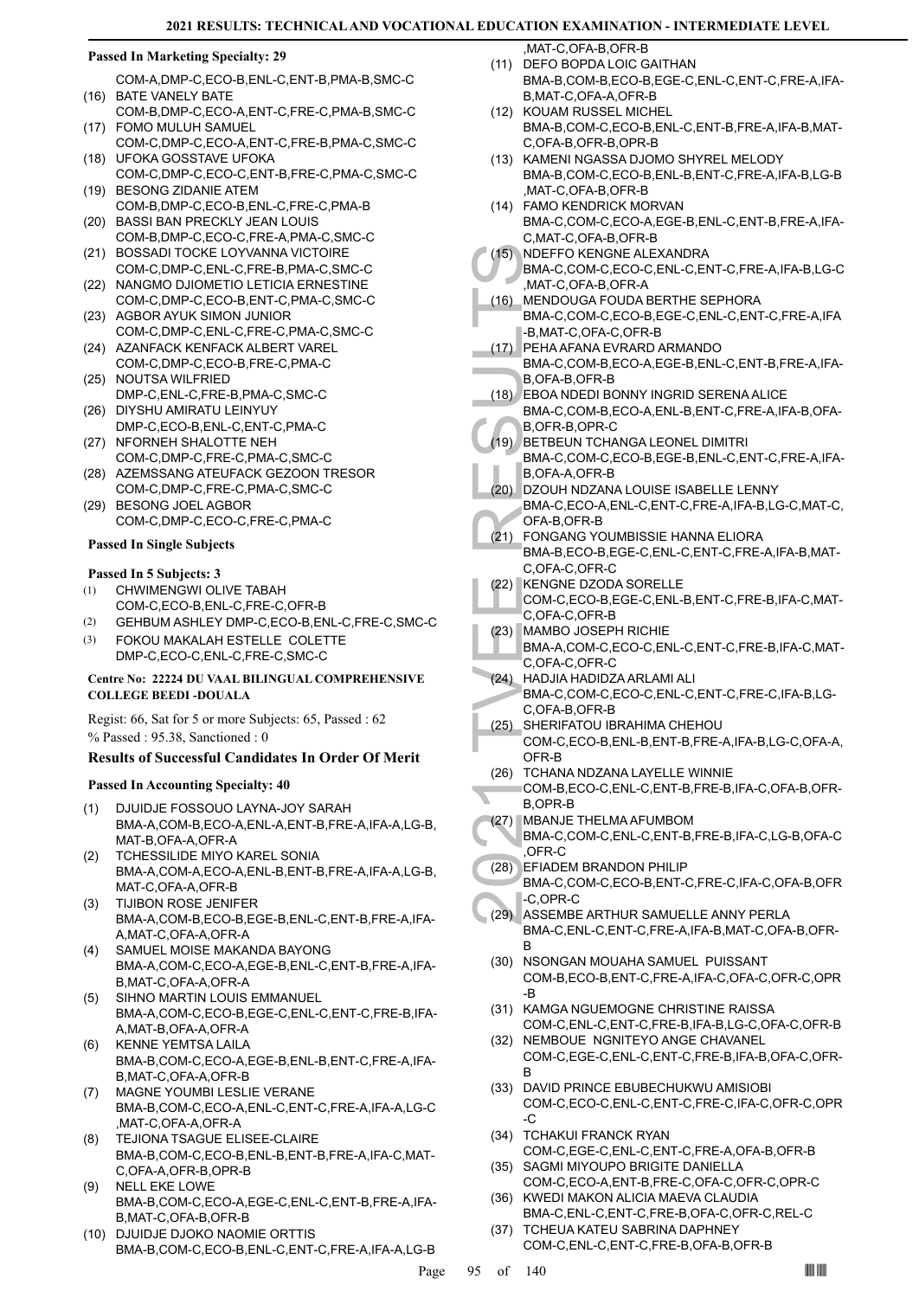#### **Passed In Marketing Specialty: 29**

- COM-A,DMP-C,ECO-B,ENL-C,ENT-B,PMA-B,SMC-C (16) BATE VANELY BATE
- COM-B,DMP-C,ECO-A,ENT-C,FRE-C,PMA-B,SMC-C FOMO MULUH SAMUEL (17)
- COM-C,DMP-C,ECO-A,ENT-C,FRE-B,PMA-C,SMC-C UFOKA GOSSTAVE UFOKA (18)
- COM-C,DMP-C,ECO-C,ENT-B,FRE-C,PMA-C,SMC-C (19) BESONG ZIDANIE ATEM
- COM-B,DMP-C,ECO-B,ENL-C,FRE-C,PMA-B (20) BASSI BAN PRECKLY JEAN LOUIS
- COM-B,DMP-C,ECO-C,FRE-A,PMA-C,SMC-C (21) BOSSADI TOCKE LOYVANNA VICTOIRE
- COM-C,DMP-C,ENL-C,FRE-B,PMA-C,SMC-C (22) NANGMO DJIOMETIO LETICIA ERNESTINE
- COM-C,DMP-C,ECO-B,ENT-C,PMA-C,SMC-C (23) AGBOR AYUK SIMON JUNIOR
- COM-C,DMP-C,ENL-C,FRE-C,PMA-C,SMC-C (24) AZANFACK KENFACK ALBERT VAREL
- COM-C,DMP-C,ECO-B,FRE-C,PMA-C (25) NOUTSA WILFRIED
- DMP-C,ENL-C,FRE-B,PMA-C,SMC-C
- (26) DIYSHU AMIRATU LEINYUY DMP-C,ECO-B,ENL-C,ENT-C,PMA-C (27) NFORNEH SHALOTTE NEH
- COM-C,DMP-C,FRE-C,PMA-C,SMC-C
- (28) AZEMSSANG ATEUFACK GEZOON TRESOR COM-C,DMP-C,FRE-C,PMA-C,SMC-C
- (29) BESONG JOEL AGBOR COM-C,DMP-C,ECO-C,FRE-C,PMA-C

#### **Passed In Single Subjects**

#### **Passed In 5 Subjects: 3**

- CHWIMENGWI OLIVE TABAH COM-C,ECO-B,ENL-C,FRE-C,OFR-B (1)
- (2) GEHBUM ASHLEY DMP-C,ECO-B,ENL-C,FRE-C,SMC-C FOKOU MAKALAH ESTELLE COLETTE (3)
- DMP-C,ECO-C,ENL-C,FRE-C,SMC-C

#### **Centre No: 22224 DU VAAL BILINGUAL COMPREHENSIVE COLLEGE BEEDI -DOUALA**

Regist: 66, Sat for 5 or more Subjects: 65, Passed : 62 % Passed : 95.38, Sanctioned : 0

# **Results of Successful Candidates In Order Of Merit**

# **Passed In Accounting Specialty: 40**

- DJUIDJE FOSSOUO LAYNA-JOY SARAH BMA-A,COM-B,ECO-A,ENL-A,ENT-B,FRE-A,IFA-A,LG-B, MAT-B,OFA-A,OFR-A (1)
- TCHESSILIDE MIYO KAREL SONIA BMA-A,COM-A,ECO-A,ENL-B,ENT-B,FRE-A,IFA-A,LG-B, MAT-C,OFA-A,OFR-B (2)
- TIJIBON ROSE JENIFER BMA-A,COM-B,ECO-B,EGE-B,ENL-C,ENT-B,FRE-A,IFA-A,MAT-C,OFA-A,OFR-A (3)
- SAMUEL MOISE MAKANDA BAYONG BMA-A,COM-C,ECO-A,EGE-B,ENL-C,ENT-B,FRE-A,IFA-B,MAT-C,OFA-A,OFR-A (4)
- SIHNO MARTIN LOUIS EMMANUEL BMA-A,COM-C,ECO-B,EGE-C,ENL-C,ENT-C,FRE-B,IFA-A,MAT-B,OFA-A,OFR-A (5)
- KENNE YEMTSA LAILA BMA-B,COM-C,ECO-A,EGE-B,ENL-B,ENT-C,FRE-A,IFA-B,MAT-C,OFA-A,OFR-B (6)
- MAGNE YOUMBI LESLIE VERANE BMA-B,COM-C,ECO-A,ENL-C,ENT-C,FRE-A,IFA-A,LG-C ,MAT-C,OFA-A,OFR-A (7)
- TEJIONA TSAGUE ELISEE-CLAIRE BMA-B,COM-C,ECO-B,ENL-B,ENT-B,FRE-A,IFA-C,MAT-C,OFA-A,OFR-B,OPR-B (8)
- NELL EKE LOWE BMA-B,COM-C,ECO-A,EGE-C,ENL-C,ENT-B,FRE-A,IFA-B,MAT-C,OFA-B,OFR-B (9)
- (10) DJUIDJE DJOKO NAOMIE ORTTIS BMA-B,COM-C,ECO-B,ENL-C,ENT-C,FRE-A,IFA-A,LG-B

,MAT-C,OFA-B,OFR-B

- (11) DEFO BOPDA LOIC GAITHAN BMA-B,COM-B,ECO-B,EGE-C,ENL-C,ENT-C,FRE-A,IFA-B,MAT-C,OFA-A,OFR-B
- (12) KOUAM RUSSEL MICHEL BMA-B,COM-C,ECO-B,ENL-C,ENT-B,FRE-A,IFA-B,MAT-C,OFA-B,OFR-B,OPR-B
- (13) KAMENI NGASSA DJOMO SHYREL MELODY BMA-B,COM-C,ECO-B,ENL-B,ENT-C,FRE-A,IFA-B,LG-B ,MAT-C,OFA-B,OFR-B
- FAMO KENDRICK MORVAN (14) BMA-C,COM-C,ECO-A,EGE-B,ENL-C,ENT-B,FRE-A,IFA-C,MAT-C,OFA-B,OFR-B
- NDEFFO KENGNE ALEXANDRA  $(15)$
- BMA-C,COM-C,ECO-C,ENL-C,ENT-C,FRE-A,IFA-B,LG-C ,MAT-C,OFA-B,OFR-A MENDOUGA FOUDA BERTHE SEPHORA (16)
- BMA-C,COM-C,ECO-B,EGE-C,ENL-C,ENT-C,FRE-A,IFA -B,MAT-C,OFA-C,OFR-B
- PEHA AFANA EVRARD ARMANDO BMA-C,COM-B,ECO-A,EGE-B,ENL-C,ENT-B,FRE-A,IFA-B,OFA-B,OFR-B  $(17)$
- EBOA NDEDI BONNY INGRID SERENA ALICE BMA-C,COM-B,ECO-A,ENL-B,ENT-C,FRE-A,IFA-B,OFA-(18)
- B,OFR-B,OPR-C
- (19) BETBEUN TCHANGA LEONEL DIMITRI BMA-C,COM-C,ECO-B,EGE-B,ENL-C,ENT-C,FRE-A,IFA-B,OFA-A,OFR-B
- DZOUH NDZANA LOUISE ISABELLE LENNY BMA-C,ECO-A,ENL-C,ENT-C,FRE-A,IFA-B,LG-C,MAT-C, OFA-B,OFR-B (20)
- (15) NDEFF(<br>
BMA-C, MAT-C, MAT-C, MAT-C, MAT-C, MAT-C, MAT-C, MAT-C, MAT-C, MAT-C, B,<br>
C, MENDC BMA-C, B,<br>
C, C, D,<br>
(17) BETBEL BMA-C, B,<br>
(18) BETBEL BMA-C, B,<br>
(20) D,<br>
D,<br>
(20) D,<br>
D,<br>
(21) F,<br>
(22) KENGN C,<br>
(23) MAA-FONGANG YOUMBISSIE HANNA ELIORA BMA-B,ECO-B,EGE-C,ENL-C,ENT-C,FRE-A,IFA-B,MAT-C,OFA-C,OFR-C  $(21)$
- KENGNE DZODA SORELLE (22)
- COM-C,ECO-B,EGE-C,ENL-B,ENT-C,FRE-B,IFA-C,MAT-C,OFA-C,OFR-B
- MAMBO JOSEPH RICHIE (23)
- BMA-A,COM-C,ECO-C,ENL-C,ENT-C,FRE-B,IFA-C,MAT-C,OFA-C,OFR-C
- HADJIA HADIDZA ARLAMI ALI (24) BMA-C,COM-C,ECO-C,ENL-C,ENT-C,FRE-C,IFA-B,LG-C,OFA-B,OFR-B
- SHERIFATOU IBRAHIMA CHEHOU COM-C,ECO-B,ENL-B,ENT-B,FRE-A,IFA-B,LG-C,OFA-A, OFR-B (25)
- (26) TCHANA NDZANA LAYELLE WINNIE
- COM-B,ECO-C,ENL-C,ENT-B,FRE-B,IFA-C,OFA-B,OFR-B,OPR-B
- (27) MBANJE THELMA AFUMBOM
- BMA-C,COM-C,ENL-C,ENT-B,FRE-B,IFA-C,LG-B,OFA-C ,OFR-C
- EFIADEM BRANDON PHILIP BMA-C,COM-C,ECO-B,ENT-C,FRE-C,IFA-C,OFA-B,OFR -C,OPR-C (28)
- ASSEMBE ARTHUR SAMUELLE ANNY PERLA BMA-C,ENL-C,ENT-C,FRE-A,IFA-B,MAT-C,OFA-B,OFR-B (29)
- (30) NSONGAN MOUAHA SAMUEL PUISSANT COM-B,ECO-B,ENT-C,FRE-A,IFA-C,OFA-C,OFR-C,OPR -B
- (31) KAMGA NGUEMOGNE CHRISTINE RAISSA COM-C,ENL-C,ENT-C,FRE-B,IFA-B,LG-C,OFA-C,OFR-B
- (32) NEMBOUE NGNITEYO ANGE CHAVANEL COM-C,EGE-C,ENL-C,ENT-C,FRE-B,IFA-B,OFA-C,OFR-B
- (33) DAVID PRINCE EBUBECHUKWU AMISIOBI COM-C,ECO-C,ENL-C,ENT-C,FRE-C,IFA-C,OFR-C,OPR -C
- (34) TCHAKUI FRANCK RYAN COM-C,EGE-C,ENL-C,ENT-C,FRE-A,OFA-B,OFR-B (35) SAGMI MIYOUPO BRIGITE DANIELLA
- COM-C,ECO-A,ENT-B,FRE-C,OFA-C,OFR-C,OPR-C (36) KWEDI MAKON ALICIA MAEVA CLAUDIA
- BMA-C,ENL-C,ENT-C,FRE-B,OFA-C,OFR-C,REL-C TCHEUA KATEU SABRINA DAPHNEY COM-C,ENL-C,ENT-C,FRE-B,OFA-B,OFR-B (37)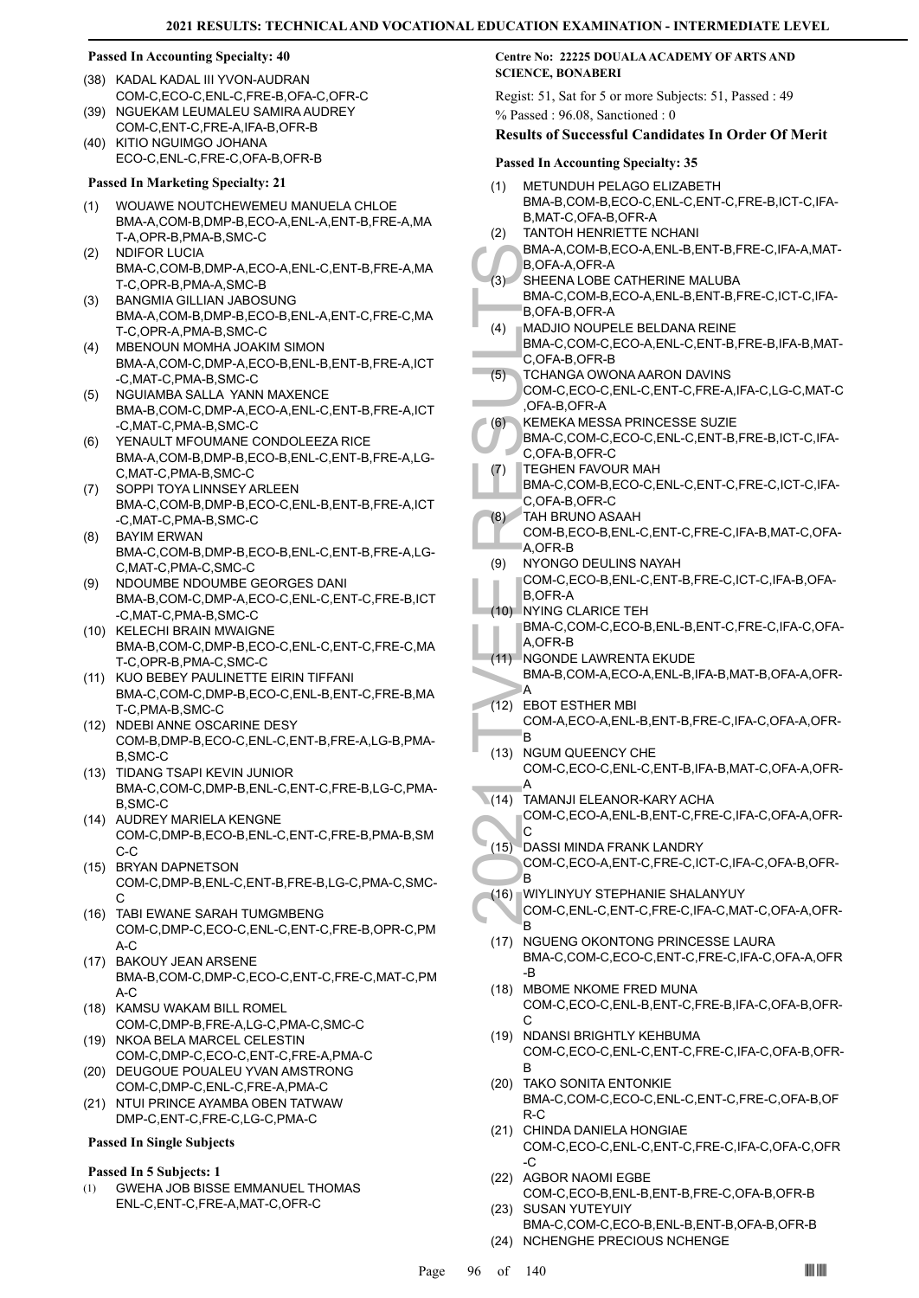#### **Passed In Accounting Specialty: 40**

- (38) KADAL KADAL III YVON-AUDRAN COM-C,ECO-C,ENL-C,FRE-B,OFA-C,OFR-C
- (39) NGUEKAM LEUMALEU SAMIRA AUDREY COM-C,ENT-C,FRE-A,IFA-B,OFR-B
- (40) KITIO NGUIMGO JOHANA ECO-C,ENL-C,FRE-C,OFA-B,OFR-B

#### **Passed In Marketing Specialty: 21**

- WOUAWE NOUTCHEWEMEU MANUELA CHLOE BMA-A,COM-B,DMP-B,ECO-A,ENL-A,ENT-B,FRE-A,MA T-A,OPR-B,PMA-B,SMC-C (1)
- NDIFOR LUCIA BMA-C,COM-B,DMP-A,ECO-A,ENL-C,ENT-B,FRE-A,MA T-C,OPR-B,PMA-A,SMC-B (2)
- BANGMIA GILLIAN JABOSUNG (3) BMA-A,COM-B,DMP-B,ECO-B,ENL-A,ENT-C,FRE-C,MA T-C,OPR-A,PMA-B,SMC-C
- MBENOUN MOMHA JOAKIM SIMON (4) BMA-A,COM-C,DMP-A,ECO-B,ENL-B,ENT-B,FRE-A,ICT -C,MAT-C,PMA-B,SMC-C
- (5) NGUIAMBA SALLA YANN MAXENCE BMA-B,COM-C,DMP-A,ECO-A,ENL-C,ENT-B,FRE-A,ICT -C,MAT-C,PMA-B,SMC-C
- YENAULT MFOUMANE CONDOLEEZA RICE BMA-A,COM-B,DMP-B,ECO-B,ENL-C,ENT-B,FRE-A,LG-C,MAT-C,PMA-B,SMC-C (6)
- (7) SOPPI TOYA LINNSEY ARLEEN BMA-C,COM-B,DMP-B,ECO-C,ENL-B,ENT-B,FRE-A,ICT -C,MAT-C,PMA-B,SMC-C
- BAYIM ERWAN BMA-C,COM-B,DMP-B,ECO-B,ENL-C,ENT-B,FRE-A,LG-C,MAT-C,PMA-C,SMC-C (8)
- NDOUMBE NDOUMBE GEORGES DANI BMA-B,COM-C,DMP-A,ECO-C,ENL-C,ENT-C,FRE-B,ICT -C,MAT-C,PMA-B,SMC-C (9)
- (10) KELECHI BRAIN MWAIGNE BMA-B,COM-C,DMP-B,ECO-C,ENL-C,ENT-C,FRE-C,MA T-C,OPR-B,PMA-C,SMC-C
- (11) KUO BEBEY PAULINETTE EIRIN TIFFANI BMA-C,COM-C,DMP-B,ECO-C,ENL-B,ENT-C,FRE-B,MA T-C,PMA-B,SMC-C
- (12) NDEBI ANNE OSCARINE DESY COM-B,DMP-B,ECO-C,ENL-C,ENT-B,FRE-A,LG-B,PMA-B,SMC-C
- (13) TIDANG TSAPI KEVIN JUNIOR BMA-C,COM-C,DMP-B,ENL-C,ENT-C,FRE-B,LG-C,PMA-B,SMC-C
- (14) AUDREY MARIELA KENGNE COM-C,DMP-B,ECO-B,ENL-C,ENT-C,FRE-B,PMA-B,SM C-C
- (15) BRYAN DAPNETSON COM-C,DMP-B,ENL-C,ENT-B,FRE-B,LG-C,PMA-C,SMC-C
- (16) TABI EWANE SARAH TUMGMBENG COM-C,DMP-C,ECO-C,ENL-C,ENT-C,FRE-B,OPR-C,PM A-C
- (17) BAKOUY JEAN ARSENE BMA-B,COM-C,DMP-C,ECO-C,ENT-C,FRE-C,MAT-C,PM  $A-C$
- (18) KAMSU WAKAM BILL ROMEL COM-C,DMP-B,FRE-A,LG-C,PMA-C,SMC-C
- (19) NKOA BELA MARCEL CELESTIN COM-C,DMP-C,ECO-C,ENT-C,FRE-A,PMA-C
- (20) DEUGOUE POUALEU YVAN AMSTRONG COM-C,DMP-C,ENL-C,FRE-A,PMA-C
- (21) NTUI PRINCE AYAMBA OBEN TATWAW DMP-C,ENT-C,FRE-C,LG-C,PMA-C
- **Passed In Single Subjects**

#### **Passed In 5 Subjects: 1**

GWEHA JOB BISSE EMMANUEL THOMAS ENL-C,ENT-C,FRE-A,MAT-C,OFR-C (1)

### **Centre No: 22225 DOUALA ACADEMY OF ARTS AND SCIENCE, BONABERI**

Regist: 51, Sat for 5 or more Subjects: 51, Passed : 49 % Passed : 96.08, Sanctioned : 0

#### **Results of Successful Candidates In Order Of Merit**

#### **Passed In Accounting Specialty: 35**

| (1)   | <b>METUNDUH PELAGO ELIZABETH</b><br>BMA-B,COM-B,ECO-C,ENL-C,ENT-C,FRE-B,ICT-C,IFA- |
|-------|------------------------------------------------------------------------------------|
| (2)   | B, MAT-C, OFA-B, OFR-A<br><b>TANTOH HENRIETTE NCHANI</b>                           |
|       | BMA-A,COM-B,ECO-A,ENL-B,ENT-B,FRE-C,IFA-A,MAT-<br>B, OFA-A, OFR-A                  |
| (3)   | SHEENA LOBE CATHERINE MALUBA                                                       |
|       | BMA-C,COM-B,ECO-A,ENL-B,ENT-B,FRE-C,ICT-C,IFA-                                     |
| (4)   | B, OFA-B, OFR-A<br>MADJIO NOUPELE BELDANA REINE                                    |
|       | BMA-C,COM-C,ECO-A,ENL-C,ENT-B,FRE-B,IFA-B,MAT-                                     |
|       | C.OFA-B.OFR-B                                                                      |
| (5)   | TCHANGA OWONA AARON DAVINS<br>COM-C,ECO-C,ENL-C,ENT-C,FRE-A,IFA-C,LG-C,MAT-C       |
|       | ,OFA-B,OFR-A                                                                       |
| (6)   | KEMEKA MESSA PRINCESSE SUZIE                                                       |
|       | BMA-C,COM-C,ECO-C,ENL-C,ENT-B,FRE-B,ICT-C,IFA-                                     |
| (1)   | C,OFA-B,OFR-C<br><b>TEGHEN FAVOUR MAH</b>                                          |
|       | BMA-C,COM-B,ECO-C,ENL-C,ENT-C,FRE-C,ICT-C,IFA-                                     |
|       | C,OFA-B,OFR-C                                                                      |
| (8)   | TAH BRUNO ASAAH<br>COM-B,ECO-B,ENL-C,ENT-C,FRE-C,IFA-B,MAT-C,OFA-                  |
|       | A,OFR-B                                                                            |
| (9)   | NYONGO DEULINS NAYAH                                                               |
|       | COM-C,ECO-B,ENL-C,ENT-B,FRE-C,ICT-C,IFA-B,OFA-                                     |
|       | <b>B,OFR-A</b><br>(10) NYING CLARICE TEH                                           |
|       | BMA-C,COM-C,ECO-B,ENL-B,ENT-C,FRE-C,IFA-C,OFA-                                     |
|       | A, OFR-B                                                                           |
|       | (11) NGONDE LAWRENTA EKUDE<br>BMA-B,COM-A,ECO-A,ENL-B,IFA-B,MAT-B,OFA-A,OFR-       |
|       | A                                                                                  |
| (12)  | <b>EBOT ESTHER MBI</b>                                                             |
|       | COM-A,ECO-A,ENL-B,ENT-B,FRE-C,IFA-C,OFA-A,OFR-                                     |
| (13)  | B<br><b>NGUM QUEENCY CHE</b>                                                       |
|       | COM-C,ECO-C,ENL-C,ENT-B,IFA-B,MAT-C,OFA-A,OFR-                                     |
|       | Α                                                                                  |
| (14)  | TAMANJI ELEANOR-KARY ACHA<br>COM-C,ECO-A,ENL-B,ENT-C,FRE-C,IFA-C,OFA-A,OFR-        |
|       | С                                                                                  |
| (15)  | DASSI MINDA FRANK LANDRY                                                           |
|       | COM-C,ECO-A,ENT-C,FRE-C,ICT-C,IFA-C,OFA-B,OFR-<br>B                                |
| (16)⊺ | WIYLINYUY STEPHANIE SHALANYUY                                                      |
|       | COM-C, ENL-C, ENT-C, FRE-C, IFA-C, MAT-C, OFA-A, OFR-                              |
|       | В                                                                                  |
| (17)  | NGUENG OKONTONG PRINCESSE LAURA<br>BMA-C,COM-C,ECO-C,ENT-C,FRE-C,IFA-C,OFA-A,OFR   |
|       | -B                                                                                 |
| (18)  | MBOME NKOME FRED MUNA                                                              |
|       | COM-C,ECO-C,ENL-B,ENT-C,FRE-B,IFA-C,OFA-B,OFR-<br>С                                |
| (19)  | NDANSI BRIGHTLY KEHBUMA                                                            |
|       | COM-C,ECO-C,ENL-C,ENT-C,FRE-C,IFA-C,OFA-B,OFR-                                     |
| (20)  | В<br>TAKO SONITA ENTONKIE                                                          |
|       | BMA-C,COM-C,ECO-C,ENL-C,ENT-C,FRE-C,OFA-B,OF                                       |
|       | R-C                                                                                |
| (21)  | CHINDA DANIELA HONGIAE                                                             |
|       | COM-C,ECO-C,ENL-C,ENT-C,FRE-C,IFA-C,OFA-C,OFR<br>-C                                |
| (22)  | <b>AGBOR NAOMI EGBE</b>                                                            |
|       | COM-C,ECO-B,ENL-B,ENT-B,FRE-C,OFA-B,OFR-B                                          |
| (23)  | <b>SUSAN YUTEYUIY</b><br>BMA-C,COM-C,ECO-B,ENL-B,ENT-B,OFA-B,OFR-B                 |
|       | (24) NCHENGHE PRECIOUS NCHENGE                                                     |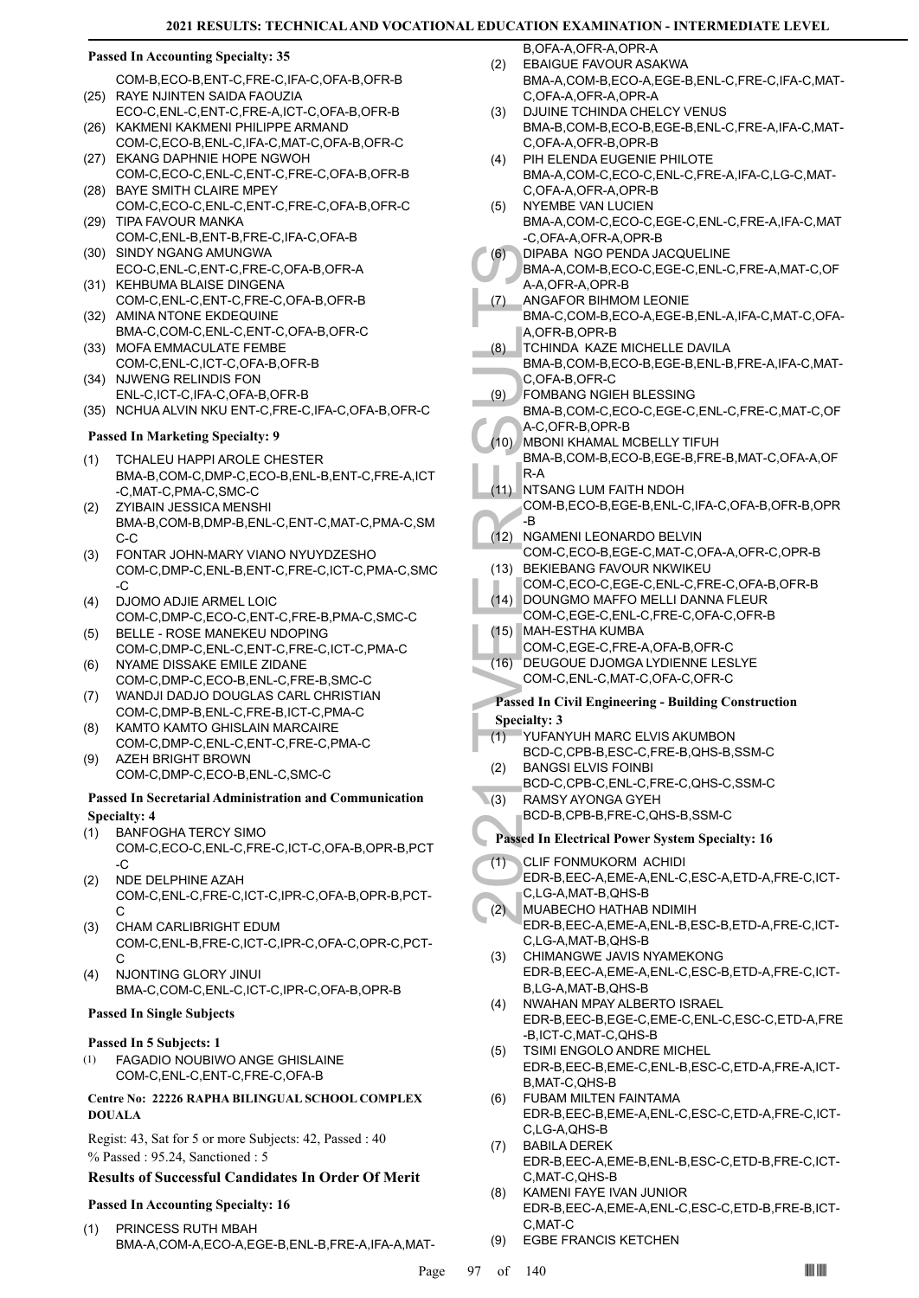#### **Passed In Accounting Specialty: 35**

- COM-B,ECO-B,ENT-C,FRE-C,IFA-C,OFA-B,OFR-B RAYE NJINTEN SAIDA FAOUZIA (25)
- ECO-C,ENL-C,ENT-C,FRE-A,ICT-C,OFA-B,OFR-B (26) KAKMENI KAKMENI PHILIPPE ARMAND
- COM-C,ECO-B,ENL-C,IFA-C,MAT-C,OFA-B,OFR-C (27) EKANG DAPHNIE HOPE NGWOH
- COM-C,ECO-C,ENL-C,ENT-C,FRE-C,OFA-B,OFR-B (28) BAYE SMITH CLAIRE MPEY
- COM-C,ECO-C,ENL-C,ENT-C,FRE-C,OFA-B,OFR-C (29) TIPA FAVOUR MANKA
- COM-C,ENL-B,ENT-B,FRE-C,IFA-C,OFA-B (30) SINDY NGANG AMUNGWA
- ECO-C,ENL-C,ENT-C,FRE-C,OFA-B,OFR-A (31) KEHBUMA BLAISE DINGENA
- COM-C,ENL-C,ENT-C,FRE-C,OFA-B,OFR-B (32) AMINA NTONE EKDEQUINE
- BMA-C,COM-C,ENL-C,ENT-C,OFA-B,OFR-C (33) MOFA EMMACULATE FEMBE
- COM-C,ENL-C,ICT-C,OFA-B,OFR-B NJWENG RELINDIS FON (34)
- ENL-C,ICT-C,IFA-C,OFA-B,OFR-B
- (35) NCHUA ALVIN NKU ENT-C,FRE-C,IFA-C,OFA-B,OFR-C

#### **Passed In Marketing Specialty: 9**

- TCHALEU HAPPI AROLE CHESTER BMA-B,COM-C,DMP-C,ECO-B,ENL-B,ENT-C,FRE-A,ICT -C,MAT-C,PMA-C,SMC-C (1)
- ZYIBAIN JESSICA MENSHI BMA-B,COM-B,DMP-B,ENL-C,ENT-C,MAT-C,PMA-C,SM C-C  $(2)$
- FONTAR JOHN-MARY VIANO NYUYDZESHO COM-C,DMP-C,ENL-B,ENT-C,FRE-C,ICT-C,PMA-C,SMC -C (3)
- DJOMO ADJIE ARMEL LOIC COM-C,DMP-C,ECO-C,ENT-C,FRE-B,PMA-C,SMC-C (4)
- BELLE ROSE MANEKEU NDOPING COM-C,DMP-C,ENL-C,ENT-C,FRE-C,ICT-C,PMA-C (5)
- NYAME DISSAKE EMILE ZIDANE COM-C,DMP-C,ECO-B,ENL-C,FRE-B,SMC-C (6)
- WANDJI DADJO DOUGLAS CARL CHRISTIAN COM-C,DMP-B,ENL-C,FRE-B,ICT-C,PMA-C (7)
- KAMTO KAMTO GHISLAIN MARCAIRE COM-C,DMP-C,ENL-C,ENT-C,FRE-C,PMA-C (8)
- AZEH BRIGHT BROWN COM-C,DMP-C,ECO-B,ENL-C,SMC-C (9)

#### **Passed In Secretarial Administration and Communication Specialty: 4**

- BANFOGHA TERCY SIMO (1)
- COM-C,ECO-C,ENL-C,FRE-C,ICT-C,OFA-B,OPR-B,PCT -C
- NDE DELPHINE AZAH COM-C,ENL-C,FRE-C,ICT-C,IPR-C,OFA-B,OPR-B,PCT-C (2)
- CHAM CARLIBRIGHT EDUM COM-C,ENL-B,FRE-C,ICT-C,IPR-C,OFA-C,OPR-C,PCT-C (3)
- NJONTING GLORY JINUI BMA-C,COM-C,ENL-C,ICT-C,IPR-C,OFA-B,OPR-B (4)

#### **Passed In Single Subjects**

#### **Passed In 5 Subjects: 1**

FAGADIO NOUBIWO ANGE GHISLAINE COM-C,ENL-C,ENT-C,FRE-C,OFA-B (1)

#### **Centre No: 22226 RAPHA BILINGUAL SCHOOL COMPLEX DOUALA**

Regist: 43, Sat for 5 or more Subjects: 42, Passed : 40 % Passed : 95.24, Sanctioned : 5

#### **Results of Successful Candidates In Order Of Merit**

# **Passed In Accounting Specialty: 16**

PRINCESS RUTH MBAH BMA-A,COM-A,ECO-A,EGE-B,ENL-B,FRE-A,IFA-A,MAT- (1)

B, OFA-A, OFR-A, OPR-A EBAIGUE FAVOUR ASAKWA (2)

- BMA-A,COM-B,ECO-A,EGE-B,ENL-C,FRE-C,IFA-C,MAT-C,OFA-A,OFR-A,OPR-A
- DJUINE TCHINDA CHELCY VENUS BMA-B,COM-B,ECO-B,EGE-B,ENL-C,FRE-A,IFA-C,MAT-C,OFA-A,OFR-B,OPR-B (3)
- PIH ELENDA EUGENIE PHILOTE BMA-A,COM-C,ECO-C,ENL-C,FRE-A,IFA-C,LG-C,MAT-C,OFA-A,OFR-A,OPR-B (4)
- NYEMBE VAN LUCIEN BMA-A,COM-C,ECO-C,EGE-C,ENL-C,FRE-A,IFA-C,MAT -C,OFA-A,OFR-A,OPR-B (5)
- DIPABA NGO PENDA JACQUELINE (6)
- BMA-A,COM-B,ECO-C,EGE-C,ENL-C,FRE-A,MAT-C,OF A-A,OFR-A,OPR-B
- ANGAFOR BIHMOM LEONIE BMA-C,COM-B,ECO-A,EGE-B,ENL-A,IFA-C,MAT-C,OFA-A,OFR-B,OPR-B (7)
- TCHINDA KAZE MICHELLE DAVILA (8)
- BMA-B,COM-B,ECO-B,EGE-B,ENL-B,FRE-A,IFA-C,MAT-C,OFA-B,OFR-C
- FOMBANG NGIEH BLESSING (9)
- BMA-B,COM-C,ECO-C,EGE-C,ENL-C,FRE-C,MAT-C,OF A-C,OFR-B,OPR-B
- MBONI KHAMAL MCBELLY TIFUH BMA-B,COM-B,ECO-B,EGE-B,FRE-B,MAT-C,OFA-A,OF  $(10)$
- R-A
- NTSANG LUM FAITH NDOH COM-B,ECO-B,EGE-B,ENL-C,IFA-C,OFA-B,OFR-B,OPR -B  $(11)$
- (12) NGAMENI LEONARDO BELVIN COM-C,ECO-B,EGE-C,MAT-C,OFA-A,OFR-C,OPR-B
- (13) BEKIEBANG FAVOUR NKWIKEU COM-C,ECO-C,EGE-C,ENL-C,FRE-C,OFA-B,OFR-B (14) DOUNGMO MAFFO MELLI DANNA FLEUR
- COM-C,EGE-C,ENL-C,FRE-C,OFA-C,OFR-B MAH-ESTHA KUMBA (15)
- COM-C,EGE-C,FRE-A,OFA-B,OFR-C
- DEUGOUE DJOMGA LYDIENNE LESLYE COM-C,ENL-C,MAT-C,OFA-C,OFR-C (16)

### **Passed In Civil Engineering - Building Construction Specialty: 3**

- (1)
	- YUFANYUH MARC ELVIS AKUMBON BCD-C,CPB-B,ESC-C,FRE-B,QHS-B,SSM-C
	- BANGSI ELVIS FOINBI (2)
	- BCD-C,CPB-C,ENL-C,FRE-C,QHS-C,SSM-C
- RAMSY AYONGA GYEH  $(3)$ 
	- BCD-B,CPB-B,FRE-C,QHS-B,SSM-C
- **Passed In Electrical Power System Specialty: 16**
- 2021 TVEE RESULTS CLIF FONMUKORM ACHIDI EDR-B,EEC-A,EME-A,ENL-C,ESC-A,ETD-A,FRE-C,ICT-C,LG-A,MAT-B,QHS-B (1)
	- MUABECHO HATHAB NDIMIH EDR-B,EEC-A,EME-A,ENL-B,ESC-B,ETD-A,FRE-C,ICT-C,LG-A,MAT-B,QHS-B  $(2)$
	- CHIMANGWE JAVIS NYAMEKONG EDR-B,EEC-A,EME-A,ENL-C,ESC-B,ETD-A,FRE-C,ICT-B,LG-A,MAT-B,QHS-B (3)
	- NWAHAN MPAY ALBERTO ISRAEL EDR-B,EEC-B,EGE-C,EME-C,ENL-C,ESC-C,ETD-A,FRE -B,ICT-C,MAT-C,QHS-B (4)
	- TSIMI ENGOLO ANDRE MICHEL EDR-B,EEC-B,EME-C,ENL-B,ESC-C,ETD-A,FRE-A,ICT-B,MAT-C,QHS-B (5)
	- FUBAM MILTEN FAINTAMA EDR-B,EEC-B,EME-A,ENL-C,ESC-C,ETD-A,FRE-C,ICT-C,LG-A,QHS-B (6)
	- BABILA DEREK EDR-B,EEC-A,EME-B,ENL-B,ESC-C,ETD-B,FRE-C,ICT-C,MAT-C,QHS-B (7)
	- KAMENI FAYE IVAN JUNIOR EDR-B,EEC-A,EME-A,ENL-C,ESC-C,ETD-B,FRE-B,ICT-C,MAT-C (8)
	- **EGBE FRANCIS KETCHEN**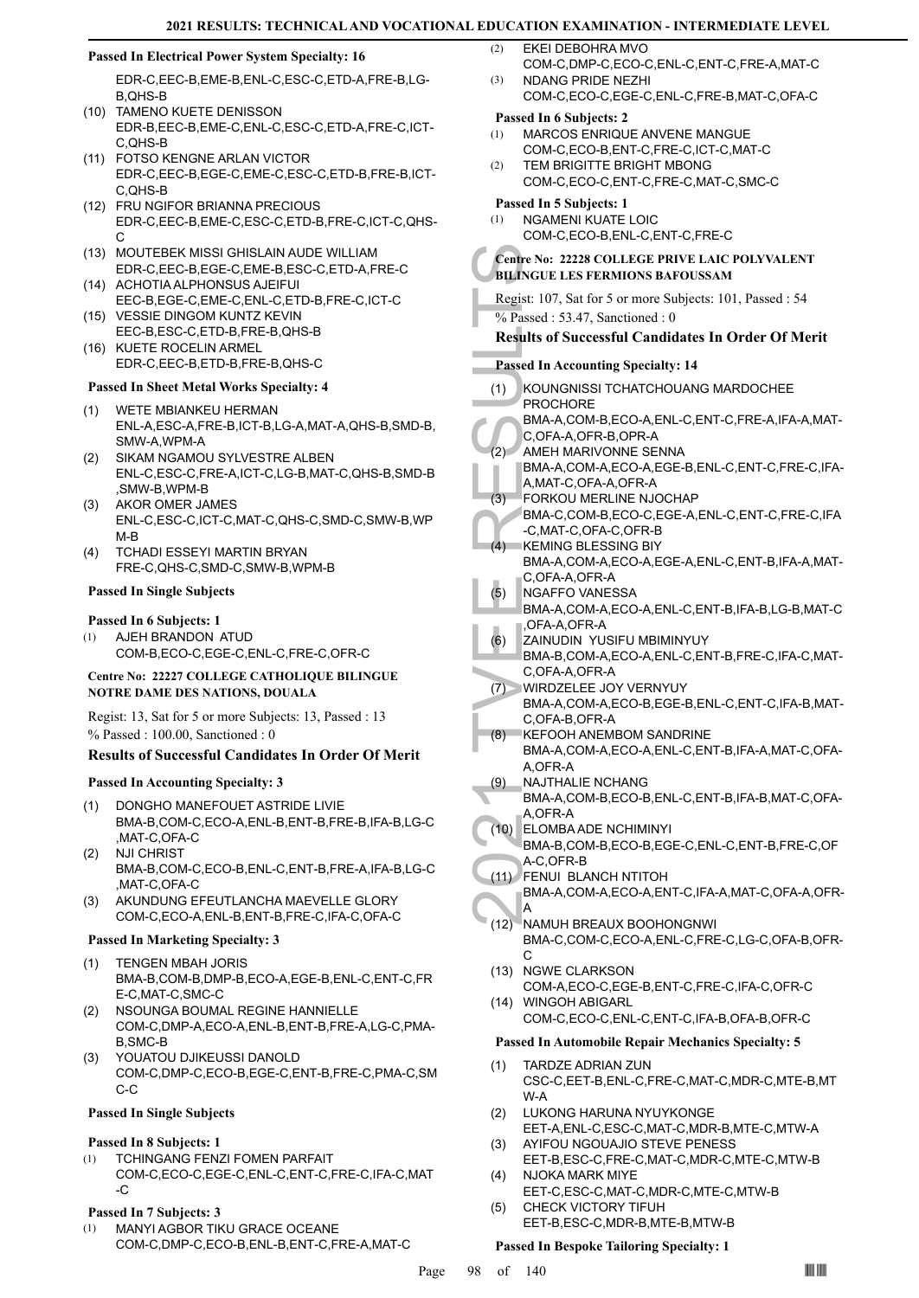(3)

#### **Passed In Electrical Power System Specialty: 16**

EDR-C,EEC-B,EME-B,ENL-C,ESC-C,ETD-A,FRE-B,LG-B,QHS-B

- (10) TAMENO KUETE DENISSON EDR-B,EEC-B,EME-C,ENL-C,ESC-C,ETD-A,FRE-C,ICT-C,QHS-B
- FOTSO KENGNE ARLAN VICTOR (11) EDR-C,EEC-B,EGE-C,EME-C,ESC-C,ETD-B,FRE-B,ICT-C,QHS-B
- FRU NGIFOR BRIANNA PRECIOUS (12) EDR-C,EEC-B,EME-C,ESC-C,ETD-B,FRE-C,ICT-C,QHS-C
- MOUTEBEK MISSI GHISLAIN AUDE WILLIAM (13) EDR-C,EEC-B,EGE-C,EME-B,ESC-C,ETD-A,FRE-C
- (14) ACHOTIA ALPHONSUS AJEIFUI EEC-B,EGE-C,EME-C,ENL-C,ETD-B,FRE-C,ICT-C
- (15) VESSIE DINGOM KUNTZ KEVIN EEC-B,ESC-C,ETD-B,FRE-B,QHS-B (16) KUETE ROCELIN ARMEL
- EDR-C,EEC-B,ETD-B,FRE-B,QHS-C

### **Passed In Sheet Metal Works Specialty: 4**

- WETE MBIANKEU HERMAN ENL-A,ESC-A,FRE-B,ICT-B,LG-A,MAT-A,QHS-B,SMD-B, SMW-A,WPM-A (1)
- SIKAM NGAMOU SYLVESTRE ALBEN ENL-C,ESC-C,FRE-A,ICT-C,LG-B,MAT-C,QHS-B,SMD-B ,SMW-B,WPM-B (2)
- AKOR OMER JAMES ENL-C,ESC-C,ICT-C,MAT-C,QHS-C,SMD-C,SMW-B,WP M-B (3)
- TCHADI ESSEYI MARTIN BRYAN FRE-C,QHS-C,SMD-C,SMW-B,WPM-B (4)

### **Passed In Single Subjects**

#### **Passed In 6 Subjects: 1**

AJEH BRANDON ATUD COM-B,ECO-C,EGE-C,ENL-C,FRE-C,OFR-C (1)

#### **Centre No: 22227 COLLEGE CATHOLIQUE BILINGUE NOTRE DAME DES NATIONS, DOUALA**

Regist: 13, Sat for 5 or more Subjects: 13, Passed : 13 % Passed : 100.00, Sanctioned : 0

# **Results of Successful Candidates In Order Of Merit**

#### **Passed In Accounting Specialty: 3**

- DONGHO MANEFOUET ASTRIDE LIVIE (1)
- BMA-B,COM-C,ECO-A,ENL-B,ENT-B,FRE-B,IFA-B,LG-C ,MAT-C,OFA-C
- NJI CHRIST BMA-B,COM-C,ECO-B,ENL-C,ENT-B,FRE-A,IFA-B,LG-C ,MAT-C,OFA-C (2)
- AKUNDUNG EFEUTLANCHA MAEVELLE GLORY COM-C,ECO-A,ENL-B,ENT-B,FRE-C,IFA-C,OFA-C (3)

#### **Passed In Marketing Specialty: 3**

- TENGEN MBAH JORIS BMA-B,COM-B,DMP-B,ECO-A,EGE-B,ENL-C,ENT-C,FR E-C,MAT-C,SMC-C (1)
- NSOUNGA BOUMAL REGINE HANNIELLE COM-C,DMP-A,ECO-A,ENL-B,ENT-B,FRE-A,LG-C,PMA-B,SMC-B (2)
- YOUATOU DJIKEUSSI DANOLD COM-C,DMP-C,ECO-B,EGE-C,ENT-B,FRE-C,PMA-C,SM C-C (3)

#### **Passed In Single Subjects**

#### **Passed In 8 Subjects: 1**

TCHINGANG FENZI FOMEN PARFAIT COM-C,ECO-C,EGE-C,ENL-C,ENT-C,FRE-C,IFA-C,MAT -C (1)

# **Passed In 7 Subjects: 3**

MANYI AGBOR TIKU GRACE OCEANE COM-C,DMP-C,ECO-B,ENL-B,ENT-C,FRE-A,MAT-C (1)

EKEI DEBOHRA MVO (2)

- COM-C,DMP-C,ECO-C,ENL-C,ENT-C,FRE-A,MAT-C NDANG PRIDE NEZHI
- COM-C,ECO-C,EGE-C,ENL-C,FRE-B,MAT-C,OFA-C

### **Passed In 6 Subjects: 2**

- MARCOS ENRIQUE ANVENE MANGUE COM-C,ECO-B,ENT-C,FRE-C,ICT-C,MAT-C (1)
- TEM BRIGITTE BRIGHT MBONG COM-C,ECO-C,ENT-C,FRE-C,MAT-C,SMC-C (2)

### **Passed In 5 Subjects: 1**

NGAMENI KUATE LOIC COM-C,ECO-B,ENL-C,ENT-C,FRE-C (1)

#### **Centre No: 22228 COLLEGE PRIVE LAIC POLYVALENT BILINGUE LES FERMIONS BAFOUSSAM**

Regist: 107, Sat for 5 or more Subjects: 101, Passed : 54  $\%$  Passed : 53.47, Sanctioned : 0

# **Results of Successful Candidates In Order Of Merit**

- **Passed In Accounting Specialty: 14**
- 2021 The Note of Sulfame Results of Sulfame Results of Sulfame Results of Sulfame Results of Sulfame Results of Sulfame Results of Sulfame Results of Sulfame Results of Sulfame Results A, MAT-C, A, MAT-C, C, C, C, C, C, C, KOUNGNISSI TCHATCHOUANG MARDOCHEE PROCHORE BMA-A,COM-B,ECO-A,ENL-C,ENT-C,FRE-A,IFA-A,MAT-C,OFA-A,OFR-B,OPR-A (1) AMEH MARIVONNE SENNA BMA-A,COM-A,ECO-A,EGE-B,ENL-C,ENT-C,FRE-C,IFA-A,MAT-C,OFA-A,OFR-A (2) FORKOU MERLINE NJOCHAP BMA-C,COM-B,ECO-C,EGE-A,ENL-C,ENT-C,FRE-C,IFA -C,MAT-C,OFA-C,OFR-B (3) (4) KEMING BLESSING BIY BMA-A,COM-A,ECO-A,EGE-A,ENL-C,ENT-B,IFA-A,MAT-C,OFA-A,OFR-A NGAFFO VANESSA BMA-A,COM-A,ECO-A,ENL-C,ENT-B,IFA-B,LG-B,MAT-C ,OFA-A,OFR-A (5) ZAINUDIN YUSIFU MBIMINYUY BMA-B,COM-A,ECO-A,ENL-C,ENT-B,FRE-C,IFA-C,MAT-C,OFA-A,OFR-A (6) WIRDZELEE JOY VERNYUY BMA-A,COM-A,ECO-B,EGE-B,ENL-C,ENT-C,IFA-B,MAT-C,OFA-B,OFR-A  $(7)$ KEFOOH ANEMBOM SANDRINE BMA-A,COM-A,ECO-A,ENL-C,ENT-B,IFA-A,MAT-C,OFA-A,OFR-A (8) NAJTHALIE NCHANG BMA-A,COM-B,ECO-B,ENL-C,ENT-B,IFA-B,MAT-C,OFA-A,OFR-A (9) ELOMBA ADE NCHIMINYI BMA-B,COM-B,ECO-B,EGE-C,ENL-C,ENT-B,FRE-C,OF A-C,OFR-B (10) FENUI BLANCH NTITOH BMA-A,COM-A,ECO-A,ENT-C,IFA-A,MAT-C,OFA-A,OFR-A (11) (12) NAMUH BREAUX BOOHONGNWI BMA-C,COM-C,ECO-A,ENL-C,FRE-C,LG-C,OFA-B,OFR-C (13) NGWE CLARKSON COM-A,ECO-C,EGE-B,ENT-C,FRE-C,IFA-C,OFR-C WINGOH ABIGARL COM-C,ECO-C,ENL-C,ENT-C,IFA-B,OFA-B,OFR-C  $(14)$ **Passed In Automobile Repair Mechanics Specialty: 5** TARDZE ADRIAN ZUN CSC-C,EET-B,ENL-C,FRE-C,MAT-C,MDR-C,MTE-B,MT W-A (1) LUKONG HARUNA NYUYKONGE EET-A,ENL-C,ESC-C,MAT-C,MDR-B,MTE-C,MTW-A (2) AYIFOU NGOUAJIO STEVE PENESS EET-B,ESC-C,FRE-C,MAT-C,MDR-C,MTE-C,MTW-B (3) NJOKA MARK MIYE (4)
	- EET-C,ESC-C,MAT-C,MDR-C,MTE-C,MTW-B CHECK VICTORY TIFUH EET-B,ESC-C,MDR-B,MTE-B,MTW-B (5)

# **Passed In Bespoke Tailoring Specialty: 1**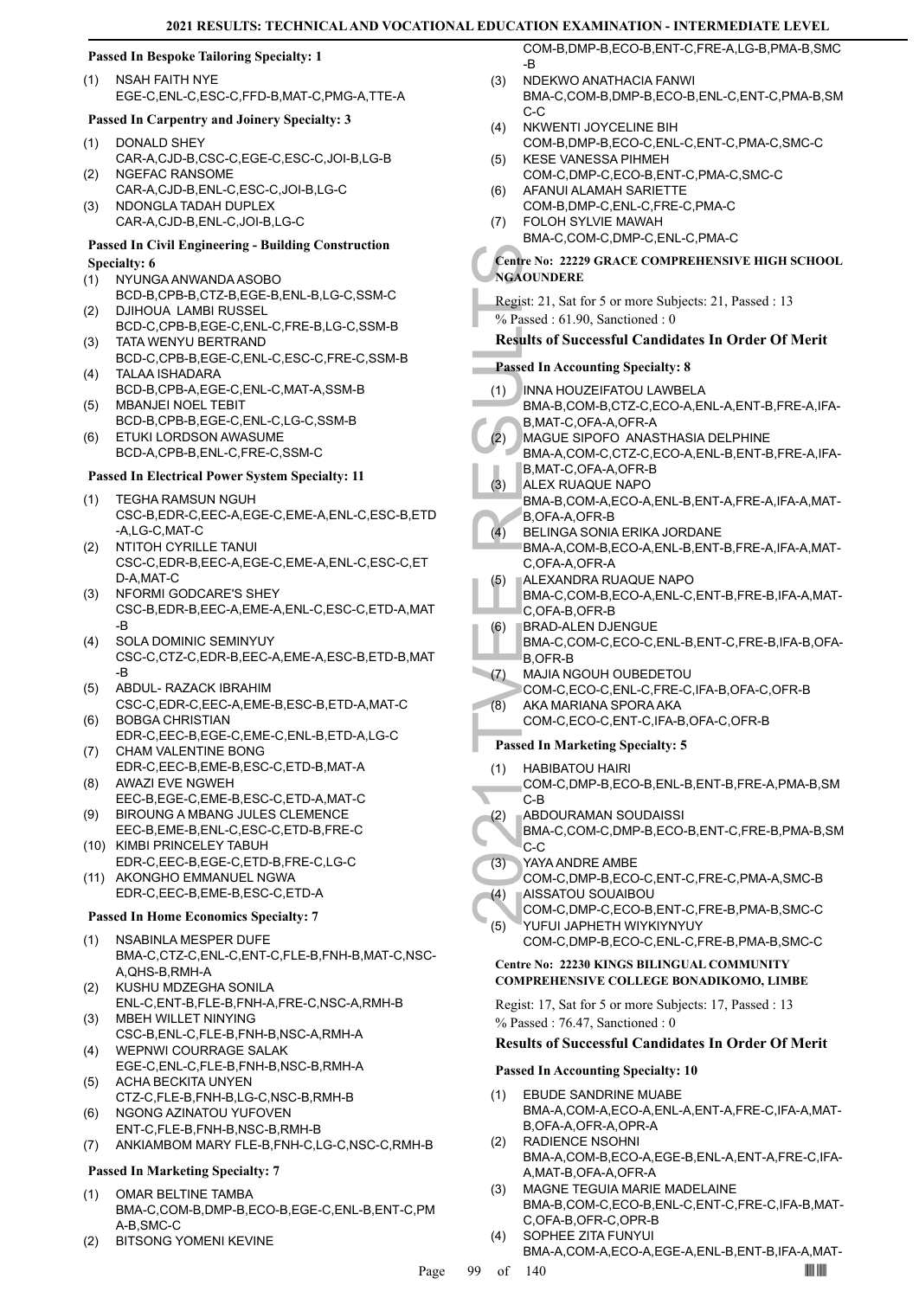# **Passed In Bespoke Tailoring Specialty: 1**

NSAH FAITH NYE EGE-C,ENL-C,ESC-C,FFD-B,MAT-C,PMG-A,TTE-A (1)

### **Passed In Carpentry and Joinery Specialty: 3**

- DONALD SHEY CAR-A,CJD-B,CSC-C,EGE-C,ESC-C,JOI-B,LG-B (1) NGEFAC RANSOME (2)
- CAR-A,CJD-B,ENL-C,ESC-C,JOI-B,LG-C NDONGLA TADAH DUPLEX (3)
- CAR-A,CJD-B,ENL-C,JOI-B,LG-C

#### **Passed In Civil Engineering - Building Construction Specialty: 6**

- NYUNGA ANWANDA ASOBO (1)
- BCD-B,CPB-B,CTZ-B,EGE-B,ENL-B,LG-C,SSM-C DJIHOUA LAMBI RUSSEL (2)
- BCD-C,CPB-B,EGE-C,ENL-C,FRE-B,LG-C,SSM-B TATA WENYU BERTRAND (3)
- BCD-C,CPB-B,EGE-C,ENL-C,ESC-C,FRE-C,SSM-B TALAA ISHADARA (4)
- BCD-B,CPB-A,EGE-C,ENL-C,MAT-A,SSM-B MBANJEI NOEL TEBIT (5)
- BCD-B,CPB-B,EGE-C,ENL-C,LG-C,SSM-B ETUKI LORDSON AWASUME (6)
- BCD-A,CPB-B,ENL-C,FRE-C,SSM-C

# **Passed In Electrical Power System Specialty: 11**

- TEGHA RAMSUN NGUH CSC-B,EDR-C,EEC-A,EGE-C,EME-A,ENL-C,ESC-B,ETD -A,LG-C,MAT-C (1)
- NTITOH CYRILLE TANUI CSC-C,EDR-B,EEC-A,EGE-C,EME-A,ENL-C,ESC-C,ET D-A,MAT-C (2)
- (3) NFORMI GODCARE'S SHEY CSC-B,EDR-B,EEC-A,EME-A,ENL-C,ESC-C,ETD-A,MAT -B
- SOLA DOMINIC SEMINYUY CSC-C,CTZ-C,EDR-B,EEC-A,EME-A,ESC-B,ETD-B,MAT -B (4)
- ABDUL- RAZACK IBRAHIM CSC-C,EDR-C,EEC-A,EME-B,ESC-B,ETD-A,MAT-C (5) (6)
- BOBGA CHRISTIAN EDR-C,EEC-B,EGE-C,EME-C,ENL-B,ETD-A,LG-C CHAM VALENTINE BONG (7)
- EDR-C,EEC-B,EME-B,ESC-C,ETD-B,MAT-A AWAZI EVE NGWEH (8)
- EEC-B,EGE-C,EME-B,ESC-C,ETD-A,MAT-C BIROUNG A MBANG JULES CLEMENCE (9)
- EEC-B,EME-B,ENL-C,ESC-C,ETD-B,FRE-C (10) KIMBI PRINCELEY TABUH
- EDR-C,EEC-B,EGE-C,ETD-B,FRE-C,LG-C (11) AKONGHO EMMANUEL NGWA
- EDR-C,EEC-B,EME-B,ESC-C,ETD-A

# **Passed In Home Economics Specialty: 7**

- NSABINLA MESPER DUFE BMA-C,CTZ-C,ENL-C,ENT-C,FLE-B,FNH-B,MAT-C,NSC-A,QHS-B,RMH-A (1)
- KUSHU MDZEGHA SONILA ENL-C,ENT-B,FLE-B,FNH-A,FRE-C,NSC-A,RMH-B (2)
- MBEH WILLET NINYING CSC-B,ENL-C,FLE-B,FNH-B,NSC-A,RMH-A (3)
- WEPNWI COURRAGE SALAK EGE-C,ENL-C,FLE-B,FNH-B,NSC-B,RMH-A (4)
- ACHA BECKITA UNYEN CTZ-C,FLE-B,FNH-B,LG-C,NSC-B,RMH-B (5)
- NGONG AZINATOU YUFOVEN ENT-C,FLE-B,FNH-B,NSC-B,RMH-B (6)
- (7) ANKIAMBOM MARY FLE-B,FNH-C,LG-C,NSC-C,RMH-B

# **Passed In Marketing Specialty: 7**

- OMAR BELTINE TAMBA BMA-C,COM-B,DMP-B,ECO-B,EGE-C,ENL-B,ENT-C,PM A-B,SMC-C (1)
- (2) BITSONG YOMENI KEVINE

COM-B,DMP-B,ECO-B,ENT-C,FRE-A,LG-B,PMA-B,SMC -B

- NDEKWO ANATHACIA FANWI BMA-C,COM-B,DMP-B,ECO-B,ENL-C,ENT-C,PMA-B,SM C-C (3)
- NKWENTI JOYCELINE BIH COM-B,DMP-B,ECO-C,ENL-C,ENT-C,PMA-C,SMC-C (4)
- KESE VANESSA PIHMEH COM-C,DMP-C,ECO-B,ENT-C,PMA-C,SMC-C (5) (6)
- AFANUI ALAMAH SARIETTE COM-B,DMP-C,ENL-C,FRE-C,PMA-C FOLOH SYLVIE MAWAH (7)
- BMA-C,COM-C,DMP-C,ENL-C,PMA-C

# **Centre No: 22229 GRACE COMPREHENSIVE HIGH SCHOOL NGAOUNDERE**

- Regist: 21, Sat for 5 or more Subjects: 21, Passed : 13
- % Passed : 61.90, Sanctioned : 0

# **Results of Successful Candidates In Order Of Merit**

- **Passed In Accounting Specialty: 8**
- INNA HOUZEIFATOU LAWBELA (1)
- BMA-B,COM-B,CTZ-C,ECO-A,ENL-A,ENT-B,FRE-A,IFA-B,MAT-C,OFA-A,OFR-A
- MAGUE SIPOFO ANASTHASIA DELPHINE BMA-A,COM-C,CTZ-C,ECO-A,ENL-B,ENT-B,FRE-A,IFA- $(2)$
- Centre No: 22<br>
NGAOUNDE<br>
Regist: 21, S.<br>
% Passed : 6<br>
Results of S<br>
Passed In Ac<br>
(1) INNA H(1)<br>
BMA-B,<br>
B, MAGUE<br>
BMA-A,<br>
B, MAGUE<br>
BMA-A,<br>
(2) MAGUE<br>
BMA-A,<br>
ALEX R BMA-B,<br>
B, OFA-H<br>
BLING BMA-A,<br>
C, OFA-H<br>
BELING BMA-A B,MAT-C,OFA-A,OFR-B ALEX RUAQUE NAPO BMA-B,COM-A,ECO-A,ENL-B,ENT-A,FRE-A,IFA-A,MAT-B,OFA-A,OFR-B (3)
- BELINGA SONIA ERIKA JORDANE BMA-A,COM-B,ECO-A,ENL-B,ENT-B,FRE-A,IFA-A,MAT-C, OFA-A, OFR-A  $(4)$
- ALEXANDRA RUAQUE NAPO (5)
	- BMA-C,COM-B,ECO-A,ENL-C,ENT-B,FRE-B,IFA-A,MAT-C,OFA-B,OFR-B
- BRAD-ALEN DJENGUE (6)
- BMA-C,COM-C,ECO-C,ENL-B,ENT-C,FRE-B,IFA-B,OFA-B,OFR-B
- MAJIA NGOUH OUBEDETOU COM-C,ECO-C,ENL-C,FRE-C,IFA-B,OFA-C,OFR-B (7)
- AKA MARIANA SPORA AKA COM-C,ECO-C,ENT-C,IFA-B,OFA-C,OFR-B (8)

# **Passed In Marketing Specialty: 5**

- HABIBATOU HAIRI (1)
- COM-C,DMP-B,ECO-B,ENL-B,ENT-B,FRE-A,PMA-B,SM C-B
- ABDOURAMAN SOUDAISSI (2)
- BMA-C,COM-C,DMP-B,ECO-B,ENT-C,FRE-B,PMA-B,SM  $|c$ -C
- YAYA ANDRE AMBE (3)
- COM-C,DMP-B,ECO-C,ENT-C,FRE-C,PMA-A,SMC-B AISSATOU SOUAIBOU (4)
- COM-C,DMP-C,ECO-B,ENT-C,FRE-B,PMA-B,SMC-C YUFUI JAPHETH WIYKIYNYUY (5)
	- COM-C,DMP-B,ECO-C,ENL-C,FRE-B,PMA-B,SMC-C

#### **Centre No: 22230 KINGS BILINGUAL COMMUNITY COMPREHENSIVE COLLEGE BONADIKOMO, LIMBE**

Regist: 17, Sat for 5 or more Subjects: 17, Passed : 13 % Passed : 76.47, Sanctioned : 0

# **Results of Successful Candidates In Order Of Merit**

# **Passed In Accounting Specialty: 10**

- EBUDE SANDRINE MUABE BMA-A,COM-A,ECO-A,ENL-A,ENT-A,FRE-C,IFA-A,MAT-B,OFA-A,OFR-A,OPR-A (1)
- RADIENCE NSOHNI BMA-A,COM-B,ECO-A,EGE-B,ENL-A,ENT-A,FRE-C,IFA-A,MAT-B,OFA-A,OFR-A (2)
- MAGNE TEGUIA MARIE MADELAINE BMA-B,COM-C,ECO-B,ENL-C,ENT-C,FRE-C,IFA-B,MAT-C,OFA-B,OFR-C,OPR-B (3)
- SOPHEE ZITA FUNYUI BMA-A,COM-A,ECO-A,EGE-A,ENL-B,ENT-B,IFA-A,MAT- (4)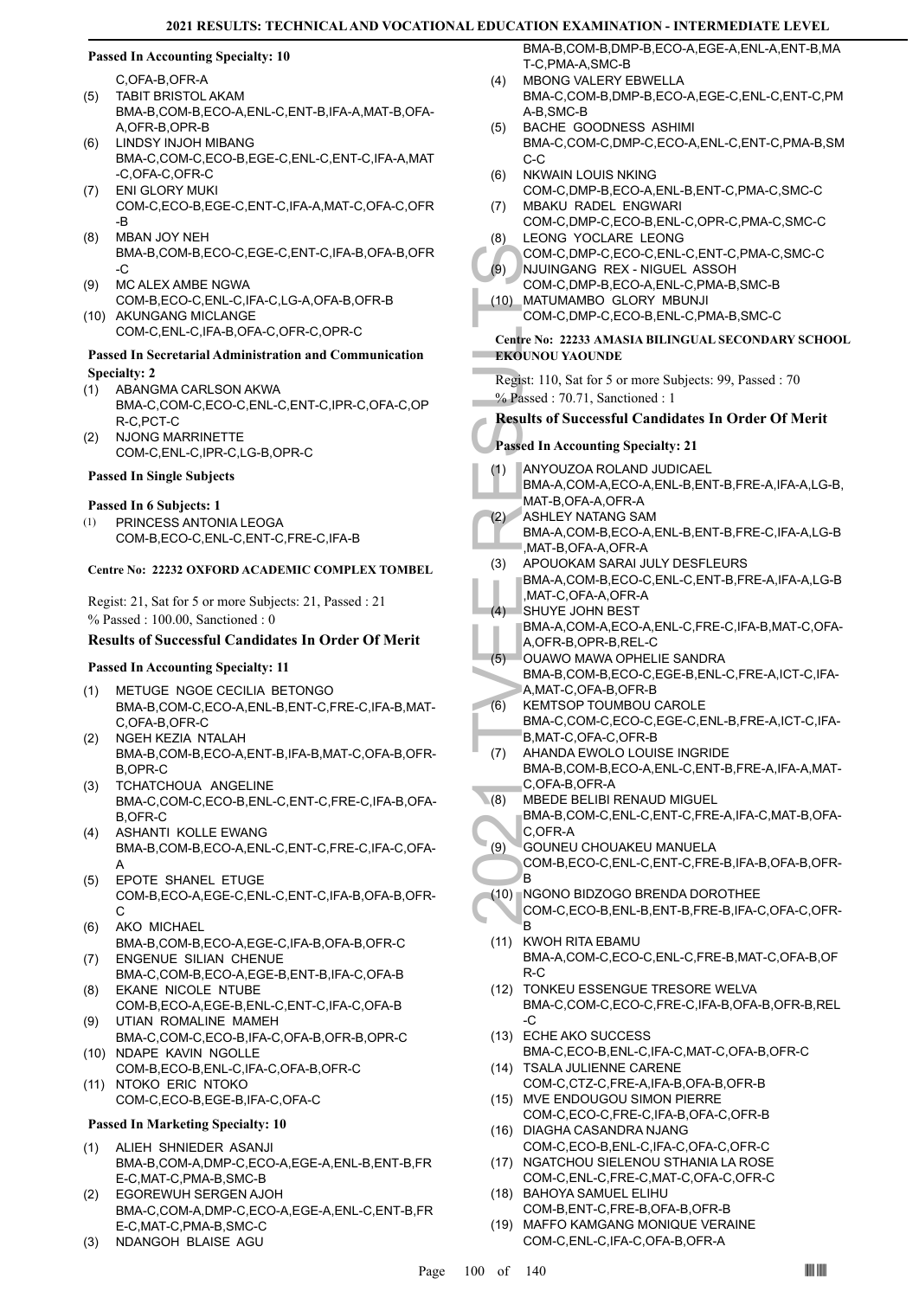#### **Passed In Accounting Specialty: 10**

C,OFA-B,OFR-A

- TABIT BRISTOL AKAM BMA-B,COM-B,ECO-A,ENL-C,ENT-B,IFA-A,MAT-B,OFA-A,OFR-B,OPR-B (5)
- LINDSY INJOH MIBANG BMA-C,COM-C,ECO-B,EGE-C,ENL-C,ENT-C,IFA-A,MAT -C,OFA-C,OFR-C (6)
- ENI GLORY MUKI COM-C,ECO-B,EGE-C,ENT-C,IFA-A,MAT-C,OFA-C,OFR -B (7)
- MBAN JOY NEH BMA-B,COM-B,ECO-C,EGE-C,ENT-C,IFA-B,OFA-B,OFR -C (8)
- MC ALEX AMBE NGWA COM-B,ECO-C,ENL-C,IFA-C,LG-A,OFA-B,OFR-B (9)
- (10) AKUNGANG MICLANGE COM-C,ENL-C,IFA-B,OFA-C,OFR-C,OPR-C

#### **Passed In Secretarial Administration and Communication Specialty: 2**

- ABANGMA CARLSON AKWA BMA-C,COM-C,ECO-C,ENL-C,ENT-C,IPR-C,OFA-C,OP R-C,PCT-C (1)
- NJONG MARRINETTE COM-C,ENL-C,IPR-C,LG-B,OPR-C (2)

#### **Passed In Single Subjects**

#### **Passed In 6 Subjects: 1**

PRINCESS ANTONIA LEOGA COM-B,ECO-C,ENL-C,ENT-C,FRE-C,IFA-B (1)

#### **Centre No: 22232 OXFORD ACADEMIC COMPLEX TOMBEL**

Regist: 21, Sat for 5 or more Subjects: 21, Passed : 21 % Passed : 100.00, Sanctioned : 0

#### **Results of Successful Candidates In Order Of Merit**

#### **Passed In Accounting Specialty: 11**

- METUGE NGOE CECILIA BETONGO BMA-B,COM-C,ECO-A,ENL-B,ENT-C,FRE-C,IFA-B,MAT-C,OFA-B,OFR-C (1)
- NGEH KEZIA NTALAH BMA-B,COM-B,ECO-A,ENT-B,IFA-B,MAT-C,OFA-B,OFR-B,OPR-C (2)
- TCHATCHOUA ANGELINE BMA-C,COM-C,ECO-B,ENL-C,ENT-C,FRE-C,IFA-B,OFA-B,OFR-C (3)
- ASHANTI KOLLE EWANG BMA-B,COM-B,ECO-A,ENL-C,ENT-C,FRE-C,IFA-C,OFA-A (4)
- EPOTE SHANEL ETUGE COM-B,ECO-A,EGE-C,ENL-C,ENT-C,IFA-B,OFA-B,OFR-C (5)
- AKO MICHAEL BMA-B,COM-B,ECO-A,EGE-C,IFA-B,OFA-B,OFR-C (6)
- ENGENUE SILIAN CHENUE BMA-C,COM-B,ECO-A,EGE-B,ENT-B,IFA-C,OFA-B (7)
- EKANE NICOLE NTUBE COM-B,ECO-A,EGE-B,ENL-C,ENT-C,IFA-C,OFA-B (8)
- UTIAN ROMALINE MAMEH BMA-C,COM-C,ECO-B,IFA-C,OFA-B,OFR-B,OPR-C (9)
- (10) NDAPE KAVIN NGOLLE COM-B,ECO-B,ENL-C,IFA-C,OFA-B,OFR-C
- (11) NTOKO ERIC NTOKO COM-C,ECO-B,EGE-B,IFA-C,OFA-C

#### **Passed In Marketing Specialty: 10**

- ALIEH SHNIEDER ASANJI BMA-B,COM-A,DMP-C,ECO-A,EGE-A,ENL-B,ENT-B,FR E-C,MAT-C,PMA-B,SMC-B (1)
- EGOREWUH SERGEN AJOH BMA-C,COM-A,DMP-C,ECO-A,EGE-A,ENL-C,ENT-B,FR E-C,MAT-C,PMA-B,SMC-C (2)
- (3) NDANGOH BLAISE AGU

BMA-B,COM-B,DMP-B,ECO-A,EGE-A,ENL-A,ENT-B,MA T-C,PMA-A,SMC-B

- MBONG VALERY EBWELLA BMA-C,COM-B,DMP-B,ECO-A,EGE-C,ENL-C,ENT-C,PM A-B,SMC-B  $(4)$
- BACHE GOODNESS ASHIMI BMA-C,COM-C,DMP-C,ECO-A,ENL-C,ENT-C,PMA-B,SM C-C (5)
- NKWAIN LOUIS NKING (6)
- COM-C,DMP-B,ECO-A,ENL-B,ENT-C,PMA-C,SMC-C MBAKU RADEL ENGWARI (7)
- COM-C,DMP-C,ECO-B,ENL-C,OPR-C,PMA-C,SMC-C LEONG YOCLARE LEONG (8)
- COM-C,DMP-C,ECO-C,ENL-C,ENT-C,PMA-C,SMC-C NJUINGANG REX - NIGUEL ASSOH (9)
- COM-C,DMP-B,ECO-A,ENL-C,PMA-B,SMC-B MATUMAMBO GLORY MBUNJI (10)
	- COM-C,DMP-C,ECO-B,ENL-C,PMA-B,SMC-C
- **Centre No: 22233 AMASIA BILINGUAL SECONDARY SCHOOL EKOUNOU YAOUNDE**

Regist: 110, Sat for 5 or more Subjects: 99, Passed : 70 % Passed : 70.71, Sanctioned : 1

- **Results of Successful Candidates In Order Of Merit**
- **Passed In Accounting Specialty: 21**
- COM-C,<br>
(9) NJUINC<br>
COM-C,<br>
COM-C,<br>
COM-C,<br>
COM-C,<br>
COM-C,<br>
COM-C,<br>
COM-C,<br>
COM-C,<br>
ZEKOUNOU Y<br>
Results of S<br>
Passed In Ac<br>
(1) ANYOU<br>
BMA-A,<br>
MAT-B,<br>
(2) ASHLEY<br>
BMA-A,<br>
MAT-B,<br>
(2) ASHLEY<br>
BMA-A,<br>
MAT-B,<br>
ANT-C,<br>
SHUYE<br> ANYOUZOA ROLAND JUDICAEL BMA-A,COM-A,ECO-A,ENL-B,ENT-B,FRE-A,IFA-A,LG-B, MAT-B,OFA-A,OFR-A (1) ASHLEY NATANG SAM BMA-A,COM-B,ECO-A,ENL-B,ENT-B,FRE-C,IFA-A,LG-B ,MAT-B,OFA-A,OFR-A (2) APOUOKAM SARAI JULY DESFLEURS BMA-A,COM-B,ECO-C,ENL-C,ENT-B,FRE-A,IFA-A,LG-B ,MAT-C,OFA-A,OFR-A (3)  $(4)$
- SHUYE JOHN BEST BMA-A,COM-A,ECO-A,ENL-C,FRE-C,IFA-B,MAT-C,OFA-A,OFR-B,OPR-B,REL-C
- OUAWO MAWA OPHELIE SANDRA BMA-B,COM-B,ECO-C,EGE-B,ENL-C,FRE-A,ICT-C,IFA-A,MAT-C,OFA-B,OFR-B (5)
- KEMTSOP TOUMBOU CAROLE BMA-C,COM-C,ECO-C,EGE-C,ENL-B,FRE-A,ICT-C,IFA-B,MAT-C,OFA-C,OFR-B (6)
- AHANDA EWOLO LOUISE INGRIDE BMA-B,COM-B,ECO-A,ENL-C,ENT-B,FRE-A,IFA-A,MAT-C,OFA-B,OFR-A (7)
- MBEDE BELIBI RENAUD MIGUEL BMA-B,COM-C,ENL-C,ENT-C,FRE-A,IFA-C,MAT-B,OFA-C,OFR-A  $(8)$
- GOUNEU CHOUAKEU MANUELA COM-B,ECO-C,ENL-C,ENT-C,FRE-B,IFA-B,OFA-B,OFR-(9)
- B (10) ∏NGONO BIDZOGO BRENDA DOROTHEE COM-C,ECO-B,ENL-B,ENT-B,FRE-B,IFA-C,OFA-C,OFR-B
- (11) KWOH RITA EBAMU BMA-A,COM-C,ECO-C,ENL-C,FRE-B,MAT-C,OFA-B,OF R-C
- (12) TONKEU ESSENGUE TRESORE WELVA BMA-C,COM-C,ECO-C,FRE-C,IFA-B,OFA-B,OFR-B,REL -C
- ECHE AKO SUCCESS (13) BMA-C,ECO-B,ENL-C,IFA-C,MAT-C,OFA-B,OFR-C
- (14) TSALA JULIENNE CARENE COM-C,CTZ-C,FRE-A,IFA-B,OFA-B,OFR-B MVE ENDOUGOU SIMON PIERRE (15)
- COM-C,ECO-C,FRE-C,IFA-B,OFA-C,OFR-B (16) DIAGHA CASANDRA NJANG
- COM-C,ECO-B,ENL-C,IFA-C,OFA-C,OFR-C (17) NGATCHOU SIELENOU STHANIA LA ROSE
- COM-C,ENL-C,FRE-C,MAT-C,OFA-C,OFR-C BAHOYA SAMUEL ELIHU (18)
- COM-B,ENT-C,FRE-B,OFA-B,OFR-B
- (19) MAFFO KAMGANG MONIQUE VERAINE COM-C,ENL-C,IFA-C,OFA-B,OFR-A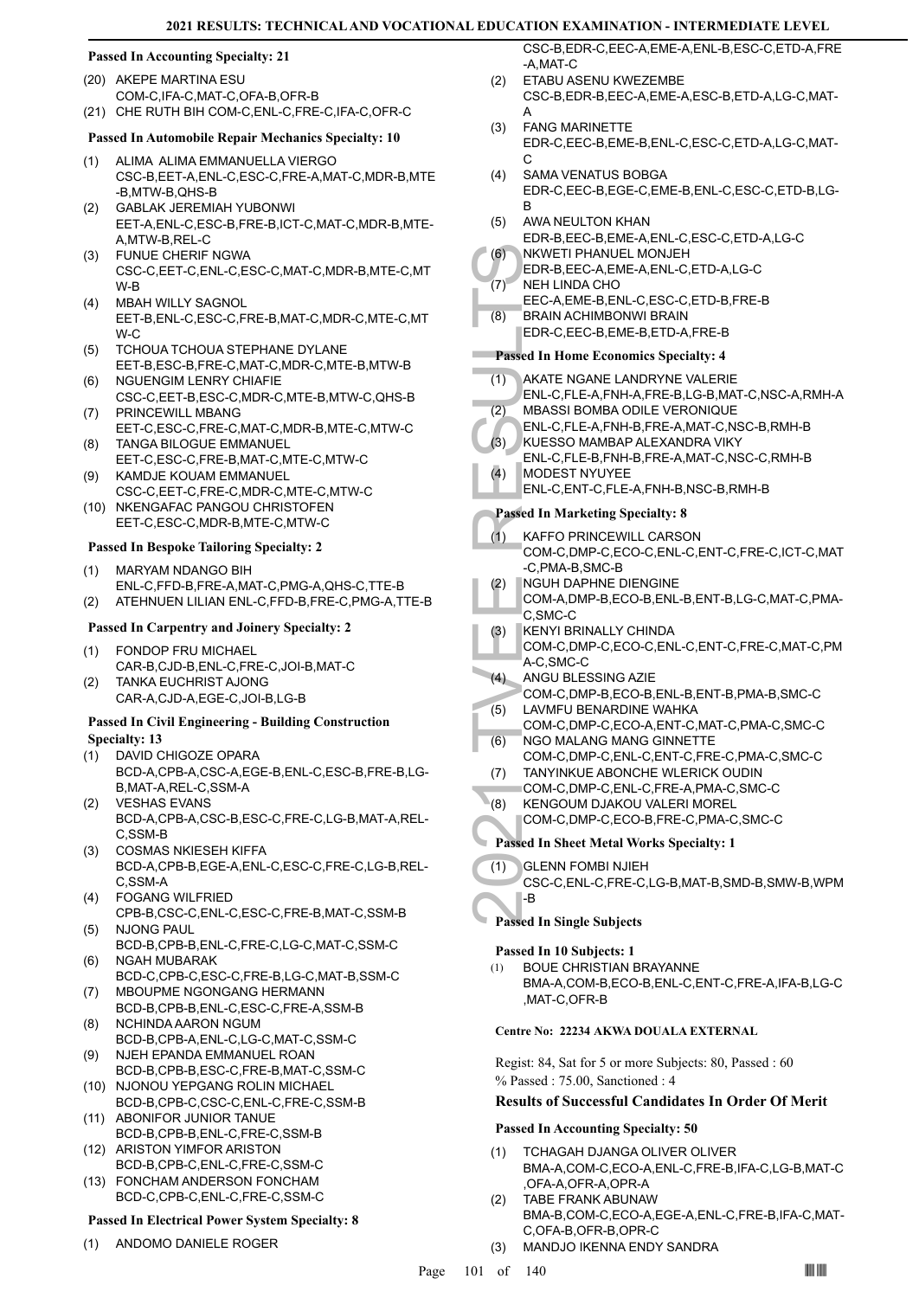# **Passed In Accounting Specialty: 21**

- (20) AKEPE MARTINA ESU COM-C,IFA-C,MAT-C,OFA-B,OFR-B
- (21) CHE RUTH BIH COM-C,ENL-C,FRE-C,IFA-C,OFR-C

### **Passed In Automobile Repair Mechanics Specialty: 10**

- ALIMA ALIMA EMMANUELLA VIERGO (1) CSC-B,EET-A,ENL-C,ESC-C,FRE-A,MAT-C,MDR-B,MTE -B,MTW-B,QHS-B
- GABLAK JEREMIAH YUBONWI EET-A,ENL-C,ESC-B,FRE-B,ICT-C,MAT-C,MDR-B,MTE-A,MTW-B,REL-C (2)
- FUNUE CHERIF NGWA CSC-C,EET-C,ENL-C,ESC-C,MAT-C,MDR-B,MTE-C,MT W-B (3)
- MBAH WILLY SAGNOL EET-B,ENL-C,ESC-C,FRE-B,MAT-C,MDR-C,MTE-C,MT W-C (4)
- TCHOUA TCHOUA STEPHANE DYLANE EET-B,ESC-B,FRE-C,MAT-C,MDR-C,MTE-B,MTW-B (5)
- NGUENGIM LENRY CHIAFIE CSC-C,EET-B,ESC-C,MDR-C,MTE-B,MTW-C,QHS-B (6)
- PRINCEWILL MBANG EET-C,ESC-C,FRE-C,MAT-C,MDR-B,MTE-C,MTW-C (7) TANGA BILOGUE EMMANUEL (8)
- EET-C,ESC-C,FRE-B,MAT-C,MTE-C,MTW-C KAMDJE KOUAM EMMANUEL (9)
- CSC-C,EET-C,FRE-C,MDR-C,MTE-C,MTW-C (10) NKENGAFAC PANGOU CHRISTOFEN
- EET-C,ESC-C,MDR-B,MTE-C,MTW-C

### **Passed In Bespoke Tailoring Specialty: 2**

- MARYAM NDANGO BIH ENL-C,FFD-B,FRE-A,MAT-C,PMG-A,QHS-C,TTE-B (1)
- (2) ATEHNUEN LILIAN ENL-C,FFD-B,FRE-C,PMG-A,TTE-B

#### **Passed In Carpentry and Joinery Specialty: 2**

- FONDOP FRU MICHAEL CAR-B,CJD-B,ENL-C,FRE-C,JOI-B,MAT-C (1)
- TANKA EUCHRIST AJONG CAR-A,CJD-A,EGE-C,JOI-B,LG-B (2)

#### **Passed In Civil Engineering - Building Construction Specialty: 13**

- DAVID CHIGOZE OPARA BCD-A,CPB-A,CSC-A,EGE-B,ENL-C,ESC-B,FRE-B,LG-B,MAT-A,REL-C,SSM-A (1)
- VESHAS EVANS BCD-A,CPB-A,CSC-B,ESC-C,FRE-C,LG-B,MAT-A,REL-C,SSM-B (2)
- COSMAS NKIESEH KIFFA BCD-A,CPB-B,EGE-A,ENL-C,ESC-C,FRE-C,LG-B,REL-C,SSM-A (3)
- FOGANG WILFRIED CPB-B,CSC-C,ENL-C,ESC-C,FRE-B,MAT-C,SSM-B (4) NJONG PAUL (5)
- BCD-B,CPB-B,ENL-C,FRE-C,LG-C,MAT-C,SSM-C NGAH MUBARAK (6)
- BCD-C,CPB-C,ESC-C,FRE-B,LG-C,MAT-B,SSM-C MBOUPME NGONGANG HERMANN (7)
- BCD-B,CPB-B,ENL-C,ESC-C,FRE-A,SSM-B NCHINDA AARON NGUM (8)
- BCD-B,CPB-A,ENL-C,LG-C,MAT-C,SSM-C NJEH EPANDA EMMANUEL ROAN (9)
- BCD-B,CPB-B,ESC-C,FRE-B,MAT-C,SSM-C (10) NJONOU YEPGANG ROLIN MICHAEL
- BCD-B,CPB-C,CSC-C,ENL-C,FRE-C,SSM-B (11) ABONIFOR JUNIOR TANUE
- BCD-B,CPB-B,ENL-C,FRE-C,SSM-B (12) ARISTON YIMFOR ARISTON
- BCD-B,CPB-C,ENL-C,FRE-C,SSM-C (13) FONCHAM ANDERSON FONCHAM BCD-C,CPB-C,ENL-C,FRE-C,SSM-C

# **Passed In Electrical Power System Specialty: 8**

(1) ANDOMO DANIELE ROGER

CSC-B,EDR-C,EEC-A,EME-A,ENL-B,ESC-C,ETD-A,FRE -A,MAT-C

- ETABU ASENU KWEZEMBE CSC-B,EDR-B,EEC-A,EME-A,ESC-B,ETD-A,LG-C,MAT-A  $(2)$
- FANG MARINETTE EDR-C,EEC-B,EME-B,ENL-C,ESC-C,ETD-A,LG-C,MAT- $\mathcal{C}$ (3)
- SAMA VENATUS BOBGA EDR-C,EEC-B,EGE-C,EME-B,ENL-C,ESC-C,ETD-B,LG-B (4)
- AWA NEULTON KHAN EDR-B,EEC-B,EME-A,ENL-C,ESC-C,ETD-A,LG-C (5)
- NKWETI PHANUEL MONJEH EDR-B,EEC-A,EME-A,ENL-C,ETD-A,LG-C (6)
- NEH LINDA CHO (7)
- EEC-A,EME-B,ENL-C,ESC-C,ETD-B,FRE-B
- BRAIN ACHIMBONWI BRAIN EDR-C,EEC-B,EME-B,ETD-A,FRE-B (8)

### **Passed In Home Economics Specialty: 4**

- AKATE NGANE LANDRYNE VALERIE ENL-C,FLE-A,FNH-A,FRE-B,LG-B,MAT-C,NSC-A,RMH-A (1)
- MBASSI BOMBA ODILE VERONIQUE (2)
- ENL-C,FLE-A,FNH-B,FRE-A,MAT-C,NSC-B,RMH-B
- KUESSO MAMBAP ALEXANDRA VIKY  $(3)$
- ENL-C,FLE-B,FNH-B,FRE-A,MAT-C,NSC-C,RMH-B MODEST NYUYEE (4)
	- ENL-C,ENT-C,FLE-A,FNH-B,NSC-B,RMH-B

# **Passed In Marketing Specialty: 8**

- (6) NKWET<br>
EDR-B,I<br>
(7) NEH LINEEC-A,I<br>
EDR-G,I<br>
EDR-C,I<br>
EDR-C,I<br>
EDR-C,I<br>
EDR-C,I<br>
EDR-C,I<br>
EDR-C,I<br>
EDR-C,I<br>
MBASS<br>
ENL-C,I<br>
MDDES<br>
ENL-C,I<br>
MDDES<br>
ENL-C,I<br>
MDDES<br>
ENL-C,I<br>
MDDES<br>
ENL-C,I<br>
MDDES<br>
ENL-C,I<br>
MDDES<br>
ENL-C,I KAFFO PRINCEWILL CARSON COM-C,DMP-C,ECO-C,ENL-C,ENT-C,FRE-C,ICT-C,MAT -C,PMA-B,SMC-B (1)
	- NGUH DAPHNE DIENGINE (2)
	- COM-A,DMP-B,ECO-B,ENL-B,ENT-B,LG-C,MAT-C,PMA-C,SMC-C
	- KENYI BRINALLY CHINDA (3)
	- COM-C,DMP-C,ECO-C,ENL-C,ENT-C,FRE-C,MAT-C,PM A-C,SMC-C
- ANGU BLESSING AZIE (4)
- COM-C,DMP-B,ECO-B,ENL-B,ENT-B,PMA-B,SMC-C LAVMFU BENARDINE WAHKA (5)
- COM-C,DMP-C,ECO-A,ENT-C,MAT-C,PMA-C,SMC-C NGO MALANG MANG GINNETTE (6)
- COM-C,DMP-C,ENL-C,ENT-C,FRE-C,PMA-C,SMC-C TANYINKUE ABONCHE WLERICK OUDIN (7)
- COM-C,DMP-C,ENL-C,FRE-A,PMA-C,SMC-C
- KENGOUM DJAKOU VALERI MOREL (8)
	- COM-C,DMP-C,ECO-B,FRE-C,PMA-C,SMC-C

# **Passed In Sheet Metal Works Specialty: 1**

GLENN FOMBI NJIEH (1)

CSC-C,ENL-C,FRE-C,LG-B,MAT-B,SMD-B,SMW-B,WPM -B

**Passed In Single Subjects**

#### **Passed In 10 Subjects: 1**

BOUE CHRISTIAN BRAYANNE BMA-A,COM-B,ECO-B,ENL-C,ENT-C,FRE-A,IFA-B,LG-C ,MAT-C,OFR-B (1)

#### **Centre No: 22234 AKWA DOUALA EXTERNAL**

Regist: 84, Sat for 5 or more Subjects: 80, Passed : 60 % Passed : 75.00, Sanctioned : 4

#### **Results of Successful Candidates In Order Of Merit**

# **Passed In Accounting Specialty: 50**

- TCHAGAH DJANGA OLIVER OLIVER BMA-A,COM-C,ECO-A,ENL-C,FRE-B,IFA-C,LG-B,MAT-C ,OFA-A,OFR-A,OPR-A (1)
- TABE FRANK ABUNAW BMA-B,COM-C,ECO-A,EGE-A,ENL-C,FRE-B,IFA-C,MAT-C,OFA-B,OFR-B,OPR-C (2)
- (3) MANDJO IKENNA ENDY SANDRA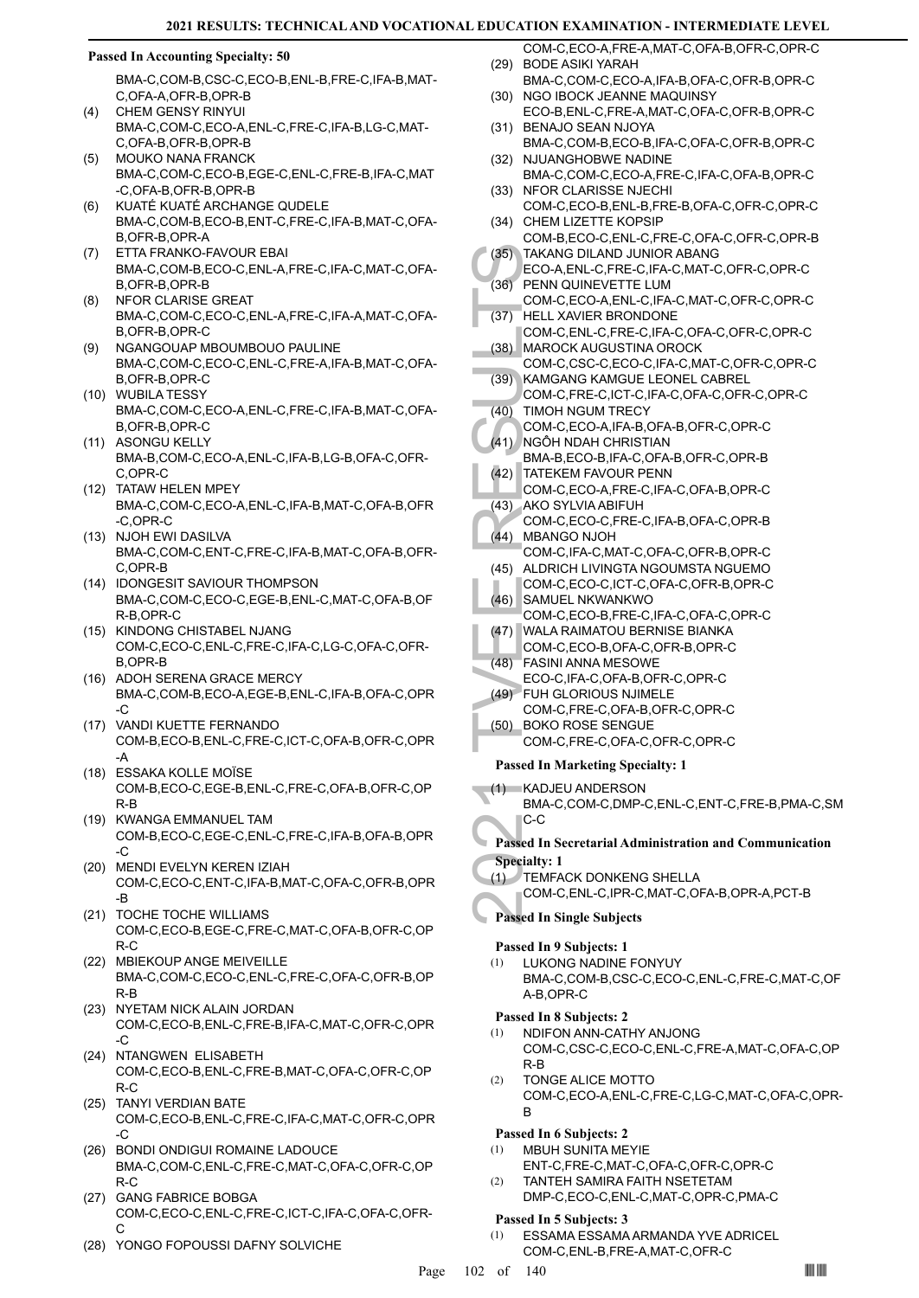#### **Passed In Accounting Specialty: 50**

BMA-C,COM-B,CSC-C,ECO-B,ENL-B,FRE-C,IFA-B,MAT-C,OFA-A,OFR-B,OPR-B

- CHEM GENSY RINYUI BMA-C,COM-C,ECO-A,ENL-C,FRE-C,IFA-B,LG-C,MAT-C,OFA-B,OFR-B,OPR-B  $(4)$
- MOUKO NANA FRANCK BMA-C,COM-C,ECO-B,EGE-C,ENL-C,FRE-B,IFA-C,MAT -C,OFA-B,OFR-B,OPR-B (5)
- KUATÉ KUATÉ ARCHANGE QUDELE BMA-C,COM-B,ECO-B,ENT-C,FRE-C,IFA-B,MAT-C,OFA-B,OFR-B,OPR-A (6)
- ETTA FRANKO-FAVOUR EBAI BMA-C,COM-B,ECO-C,ENL-A,FRE-C,IFA-C,MAT-C,OFA-B,OFR-B,OPR-B (7)
- NFOR CLARISE GREAT BMA-C,COM-C,ECO-C,ENL-A,FRE-C,IFA-A,MAT-C,OFA-B,OFR-B,OPR-C (8)
- NGANGOUAP MBOUMBOUO PAULINE BMA-C,COM-C,ECO-C,ENL-C,FRE-A,IFA-B,MAT-C,OFA-B,OFR-B,OPR-C (9)
- WUBILA TESSY (10) BMA-C,COM-C,ECO-A,ENL-C,FRE-C,IFA-B,MAT-C,OFA-B,OFR-B,OPR-C
- (11) ASONGU KELLY BMA-B,COM-C,ECO-A,ENL-C,IFA-B,LG-B,OFA-C,OFR-C,OPR-C
- (12) TATAW HELEN MPEY BMA-C,COM-C,ECO-A,ENL-C,IFA-B,MAT-C,OFA-B,OFR -C,OPR-C
- (13) NJOH EWI DASILVA BMA-C,COM-C,ENT-C,FRE-C,IFA-B,MAT-C,OFA-B,OFR-C,OPR-B
- (14) IDONGESIT SAVIOUR THOMPSON BMA-C,COM-C,ECO-C,EGE-B,ENL-C,MAT-C,OFA-B,OF R-B,OPR-C
- (15) KINDONG CHISTABEL NJANG COM-C,ECO-C,ENL-C,FRE-C,IFA-C,LG-C,OFA-C,OFR-B,OPR-B
- (16) ADOH SERENA GRACE MERCY BMA-C,COM-B,ECO-A,EGE-B,ENL-C,IFA-B,OFA-C,OPR -C
- (17) VANDI KUETTE FERNANDO COM-B,ECO-B,ENL-C,FRE-C,ICT-C,OFA-B,OFR-C,OPR -A
- ESSAKA KOLLE MOÏSE (18) COM-B,ECO-C,EGE-B,ENL-C,FRE-C,OFA-B,OFR-C,OP R-B
- (19) KWANGA EMMANUEL TAM COM-B,ECO-C,EGE-C,ENL-C,FRE-C,IFA-B,OFA-B,OPR -C
- MENDI EVELYN KEREN IZIAH (20) COM-C,ECO-C,ENT-C,IFA-B,MAT-C,OFA-C,OFR-B,OPR -B
- (21) TOCHE TOCHE WILLIAMS COM-C,ECO-B,EGE-C,FRE-C,MAT-C,OFA-B,OFR-C,OP R-C
- (22) MBIEKOUP ANGE MEIVEILLE BMA-C,COM-C,ECO-C,ENL-C,FRE-C,OFA-C,OFR-B,OP R-B
- (23) NYETAM NICK ALAIN JORDAN COM-C,ECO-B,ENL-C,FRE-B,IFA-C,MAT-C,OFR-C,OPR  $-C$
- (24) NTANGWEN ELISABETH COM-C,ECO-B,ENL-C,FRE-B,MAT-C,OFA-C,OFR-C,OP R-C
- TANYI VERDIAN BATE (25) COM-C,ECO-B,ENL-C,FRE-C,IFA-C,MAT-C,OFR-C,OPR -C
- (26) BONDI ONDIGUI ROMAINE LADOUCE BMA-C,COM-C,ENL-C,FRE-C,MAT-C,OFA-C,OFR-C,OP R-C
- (27) GANG FABRICE BOBGA COM-C,ECO-C,ENL-C,FRE-C,ICT-C,IFA-C,OFA-C,OFR-C
- (28) YONGO FOPOUSSI DAFNY SOLVICHE
- COM-C,ECO-A,FRE-A,MAT-C,OFA-B,OFR-C,OPR-C BODE ASIKI YARAH (29)
- BMA-C,COM-C,ECO-A,IFA-B,OFA-C,OFR-B,OPR-C (30) NGO IBOCK JEANNE MAQUINSY
- ECO-B,ENL-C,FRE-A,MAT-C,OFA-C,OFR-B,OPR-C BENAJO SEAN NJOYA (31)
- BMA-C,COM-B,ECO-B,IFA-C,OFA-C,OFR-B,OPR-C (32) NJUANGHOBWE NADINE
- BMA-C,COM-C,ECO-A,FRE-C,IFA-C,OFA-B,OPR-C (33) NFOR CLARISSE NJECHI
- COM-C,ECO-B,ENL-B,FRE-B,OFA-C,OFR-C,OPR-C (34) CHEM LIZETTE KOPSIP
- COM-B,ECO-C,ENL-C,FRE-C,OFA-C,OFR-C,OPR-B TAKANG DILAND JUNIOR ABANG (35)
- ECO-A,ENL-C,FRE-C,IFA-C,MAT-C,OFR-C,OPR-C PENN QUINEVETTE LUM (36)
- COM-C,ECO-A,ENL-C,IFA-C,MAT-C,OFR-C,OPR-C HELL XAVIER BRONDONE (37)
- COM-C,ENL-C,FRE-C,IFA-C,OFA-C,OFR-C,OPR-C (38) MAROCK AUGUSTINA OROCK
- COM-C,CSC-C,ECO-C,IFA-C,MAT-C,OFR-C,OPR-C KAMGANG KAMGUE LEONEL CABREL (39)
- COM-C,FRE-C,ICT-C,IFA-C,OFA-C,OFR-C,OPR-C (40) TIMOH NGUM TRECY
	- COM-C,ECO-A,IFA-B,OFA-B,OFR-C,OPR-C
- (41) NGÔH NDAH CHRISTIAN
- BMA-B,ECO-B,IFA-C,OFA-B,OFR-C,OPR-B (42) TATEKEM FAVOUR PENN
- COM-C,ECO-A,FRE-C,IFA-C,OFA-B,OPR-C AKO SYLVIA ABIFUH (43)
- (36) TAKANC ECO-A, (36) PENN COM-C, (37) HELL X, COM-C, (37) HELL X, COM-C, (38) MAROC COM-C, (39) KAMGA COM-C, (40) TIMOH COM-C, (41) NGÔH NAMG COM-C, (42) TATEKE COM-C, (42) TATEKE COM-C, (43) AKO SY COM-C, (43) AKO SY C COM-C,ECO-C,FRE-C,IFA-B,OFA-C,OPR-B (44) MBANGO NJOH
	- COM-C,IFA-C,MAT-C,OFA-C,OFR-B,OPR-C (45) ALDRICH LIVINGTA NGOUMSTA NGUEMO
	- COM-C,ECO-C,ICT-C,OFA-C,OFR-B,OPR-C (46) SAMUEL NKWANKWO
	- COM-C,ECO-B,FRE-C,IFA-C,OFA-C,OPR-C
	- WALA RAIMATOU BERNISE BIANKA COM-C,ECO-B,OFA-C,OFR-B,OPR-C (47)
	- FASINI ANNA MESOWE (48)
	- ECO-C,IFA-C,OFA-B,OFR-C,OPR-C
- FUH GLORIOUS NJIMELE (49) COM-C,FRE-C,OFA-B,OFR-C,OPR-C
- BOKO ROSE SENGUE (50)
	- COM-C,FRE-C,OFA-C,OFR-C,OPR-C
	- **Passed In Marketing Specialty: 1**
- KADJEU ANDERSON (1)
- BMA-C,COM-C,DMP-C,ENL-C,ENT-C,FRE-B,PMA-C,SM C-C
- **Passed In Secretarial Administration and Communication Specialty: 1**
- **TEMFACK DONKENG SHELLA** (1)
	- COM-C,ENL-C,IPR-C,MAT-C,OFA-B,OPR-A,PCT-B
- **Passed In Single Subjects**

#### **Passed In 9 Subjects: 1**

LUKONG NADINE FONYUY BMA-C,COM-B,CSC-C,ECO-C,ENL-C,FRE-C,MAT-C,OF A-B,OPR-C (1)

#### **Passed In 8 Subjects: 2**

- NDIFON ANN-CATHY ANJONG COM-C,CSC-C,ECO-C,ENL-C,FRE-A,MAT-C,OFA-C,OP R-B (1)
- TONGE ALICE MOTTO COM-C,ECO-A,ENL-C,FRE-C,LG-C,MAT-C,OFA-C,OPR-B (2)

#### **Passed In 6 Subjects: 2**

- MBUH SUNITA MEYIE (1)
- ENT-C,FRE-C,MAT-C,OFA-C,OFR-C,OPR-C
- TANTEH SAMIRA FAITH NSETETAM DMP-C,ECO-C,ENL-C,MAT-C,OPR-C,PMA-C (2)

# **Passed In 5 Subjects: 3**

ESSAMA ESSAMA ARMANDA YVE ADRICEL COM-C,ENL-B,FRE-A,MAT-C,OFR-C (1)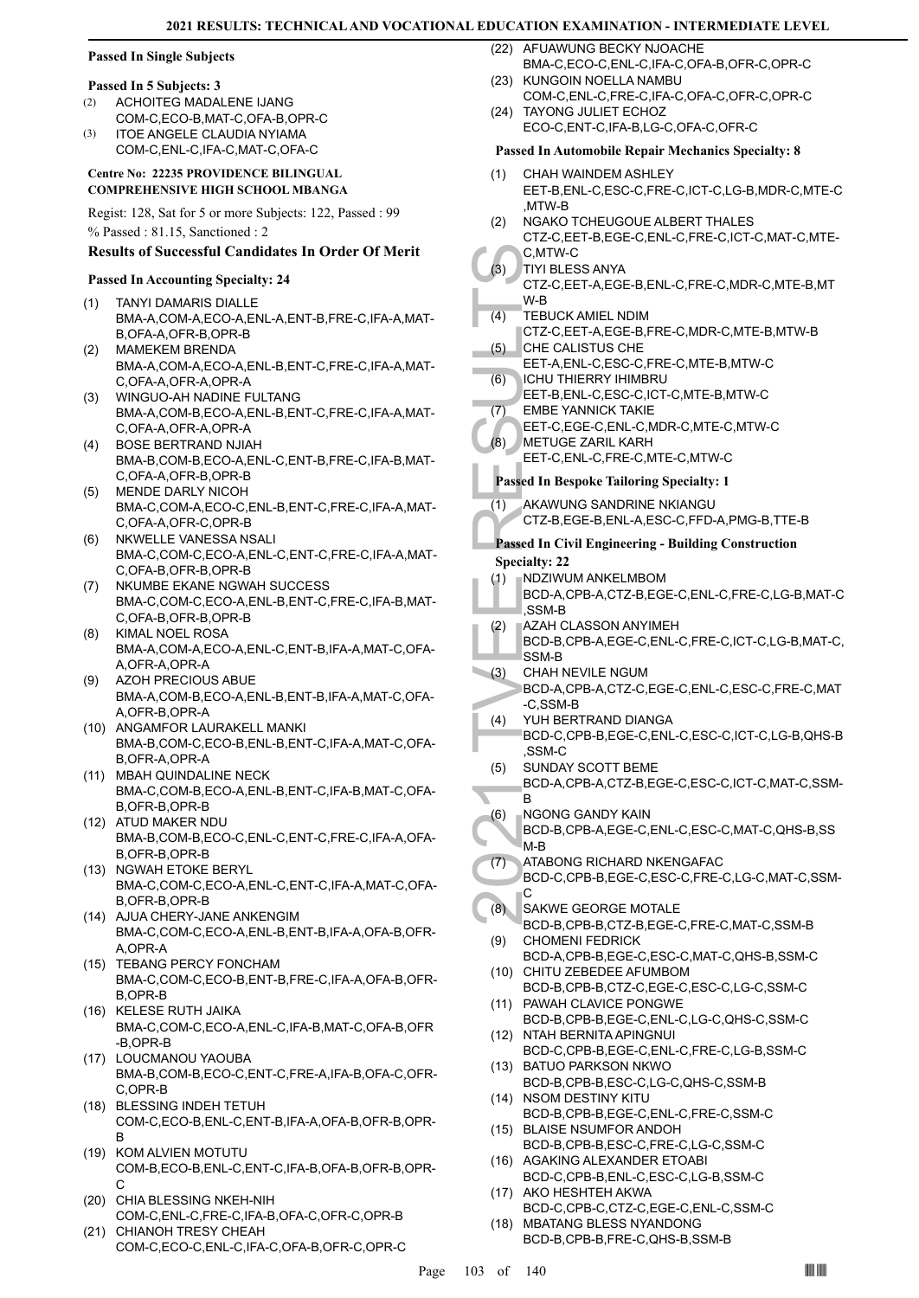# **Passed In Single Subjects**

#### **Passed In 5 Subjects: 3**

- ACHOITEG MADALENE IJANG COM-C,ECO-B,MAT-C,OFA-B,OPR-C (2) (3)
- ITOE ANGELE CLAUDIA NYIAMA COM-C,ENL-C,IFA-C,MAT-C,OFA-C

#### **Centre No: 22235 PROVIDENCE BILINGUAL COMPREHENSIVE HIGH SCHOOL MBANGA**

Regist: 128, Sat for 5 or more Subjects: 122, Passed : 99 % Passed : 81.15, Sanctioned : 2

#### **Results of Successful Candidates In Order Of Merit**

#### **Passed In Accounting Specialty: 24**

- TANYI DAMARIS DIALLE BMA-A,COM-A,ECO-A,ENL-A,ENT-B,FRE-C,IFA-A,MAT-B, OFA-A, OFR-B, OPR-B (1)
- MAMEKEM BRENDA BMA-A,COM-A,ECO-A,ENL-B,ENT-C,FRE-C,IFA-A,MAT-C, OFA-A, OFR-A, OPR-A (2)
- WINGUO-AH NADINE FULTANG BMA-A,COM-B,ECO-A,ENL-B,ENT-C,FRE-C,IFA-A,MAT-C,OFA-A,OFR-A,OPR-A  $(3)$
- BOSE BERTRAND NJIAH (4) BMA-B,COM-B,ECO-A,ENL-C,ENT-B,FRE-C,IFA-B,MAT-C,OFA-A,OFR-B,OPR-B
- MENDE DARLY NICOH BMA-C,COM-A,ECO-C,ENL-B,ENT-C,FRE-C,IFA-A,MAT-C,OFA-A,OFR-C,OPR-B (5)
- NKWELLE VANESSA NSALI BMA-C,COM-C,ECO-A,ENL-C,ENT-C,FRE-C,IFA-A,MAT-C,OFA-B,OFR-B,OPR-B (6)
- NKUMBE EKANE NGWAH SUCCESS BMA-C,COM-C,ECO-A,ENL-B,ENT-C,FRE-C,IFA-B,MAT-C,OFA-B,OFR-B,OPR-B (7)
- KIMAL NOEL ROSA BMA-A,COM-A,ECO-A,ENL-C,ENT-B,IFA-A,MAT-C,OFA-A,OFR-A,OPR-A (8)
- (9) AZOH PRECIOUS ABUE BMA-A,COM-B,ECO-A,ENL-B,ENT-B,IFA-A,MAT-C,OFA-A,OFR-B,OPR-A
- (10) ANGAMFOR LAURAKELL MANKI BMA-B,COM-C,ECO-B,ENL-B,ENT-C,IFA-A,MAT-C,OFA-B,OFR-A,OPR-A
- (11) MBAH QUINDALINE NECK BMA-C,COM-B,ECO-A,ENL-B,ENT-C,IFA-B,MAT-C,OFA-B,OFR-B,OPR-B
- (12) ATUD MAKER NDU BMA-B,COM-B,ECO-C,ENL-C,ENT-C,FRE-C,IFA-A,OFA-B,OFR-B,OPR-B
- (13) NGWAH ETOKE BERYL BMA-C,COM-C,ECO-A,ENL-C,ENT-C,IFA-A,MAT-C,OFA-B,OFR-B,OPR-B
- (14) AJUA CHERY-JANE ANKENGIM BMA-C,COM-C,ECO-A,ENL-B,ENT-B,IFA-A,OFA-B,OFR-A,OPR-A
- (15) TEBANG PERCY FONCHAM BMA-C,COM-C,ECO-B,ENT-B,FRE-C,IFA-A,OFA-B,OFR-B,OPR-B
- (16) KELESE RUTH JAIKA BMA-C,COM-C,ECO-A,ENL-C,IFA-B,MAT-C,OFA-B,OFR -B,OPR-B
- (17) LOUCMANOU YAOUBA BMA-B,COM-B,ECO-C,ENT-C,FRE-A,IFA-B,OFA-C,OFR-C,OPR-B
- BLESSING INDEH TETUH (18) COM-C,ECO-B,ENL-C,ENT-B,IFA-A,OFA-B,OFR-B,OPR-B
- (19) KOM ALVIEN MOTUTU COM-B,ECO-B,ENL-C,ENT-C,IFA-B,OFA-B,OFR-B,OPR-C
- (20) CHIA BLESSING NKEH-NIH COM-C,ENL-C,FRE-C,IFA-B,OFA-C,OFR-C,OPR-B (21) CHIANOH TRESY CHEAH
- COM-C,ECO-C,ENL-C,IFA-C,OFA-B,OFR-C,OPR-C

(22) AFUAWUNG BECKY NJOACHE BMA-C,ECO-C,ENL-C,IFA-C,OFA-B,OFR-C,OPR-C

- KUNGOIN NOELLA NAMBU COM-C,ENL-C,FRE-C,IFA-C,OFA-C,OFR-C,OPR-C (23)
- TAYONG JULIET ECHOZ (24) ECO-C,ENT-C,IFA-B,LG-C,OFA-C,OFR-C

#### **Passed In Automobile Repair Mechanics Specialty: 8**

- CHAH WAINDEM ASHLEY EET-B,ENL-C,ESC-C,FRE-C,ICT-C,LG-B,MDR-C,MTE-C ,MTW-B (1)
- NGAKO TCHEUGOUE ALBERT THALES CTZ-C,EET-B,EGE-C,ENL-C,FRE-C,ICT-C,MAT-C,MTE-(2)
- C,MTW-C TIYI BLESS ANYA (3)
	- CTZ-C,EET-A,EGE-B,ENL-C,FRE-C,MDR-C,MTE-B,MT W-B
- TEBUCK AMIEL NDIM (4)
- CTZ-C,EET-A,EGE-B,FRE-C,MDR-C,MTE-B,MTW-B CHE CALISTUS CHE (5)
- EET-A,ENL-C,ESC-C,FRE-C,MTE-B,MTW-C ICHU THIERRY IHIMBRU (6)
- EET-B,ENL-C,ESC-C,ICT-C,MTE-B,MTW-C EMBE YANNICK TAKIE (7)
- EET-C,EGE-C,ENL-C,MDR-C,MTE-C,MTW-C
- METUGE ZARIL KARH (8)
- EET-C,ENL-C,FRE-C,MTE-C,MTW-C
- **Passed In Bespoke Tailoring Specialty: 1**
- AKAWUNG SANDRINE NKIANGU (1)
	- CTZ-B,EGE-B,ENL-A,ESC-C,FFD-A,PMG-B,TTE-B

### **Passed In Civil Engineering - Building Construction Specialty: 22**

- NDZIWUM ANKELMBOM (1)
- BCD-A,CPB-A,CTZ-B,EGE-C,ENL-C,FRE-C,LG-B,MAT-C ,SSM-B
- AZAH CLASSON ANYIMEH BCD-B,CPB-A,EGE-C,ENL-C,FRE-C,ICT-C,LG-B,MAT-C, (2)
- 30<br>
C.MTW: BLI<br>
CTZ-C, W-B<br>
CTZ-C, W-B<br>
CTZ-C, W-B<br>
CTZ-C, W-B<br>
CTZ-C, CHE CA<br>
EET-A, ECHU TH<br>
EET-A, ECHU TH<br>
EET-C, EET-C, METUG<br>
EET-C, METUG<br>
EET-C, METUG<br>
EET-C, METUG<br>
EET-C, METUG<br>
EET-C, METUG<br>
EET-C, METUG<br>
EET-C, SSM-B CHAH NEVILE NGUM BCD-A,CPB-A,CTZ-C,EGE-C,ENL-C,ESC-C,FRE-C,MAT (3)
- -C,SSM-B YUH BERTRAND DIANGA BCD-C,CPB-B,EGE-C,ENL-C,ESC-C,ICT-C,LG-B,QHS-B (4)
- ,SSM-C SUNDAY SCOTT BEME (5)
- BCD-A,CPB-A,CTZ-B,EGE-C,ESC-C,ICT-C,MAT-C,SSM-B
- NGONG GANDY KAIN (6)
- BCD-B,CPB-A,EGE-C,ENL-C,ESC-C,MAT-C,QHS-B,SS M-B
- ATABONG RICHARD NKENGAFAC (7)
	- BCD-C,CPB-B,EGE-C,ESC-C,FRE-C,LG-C,MAT-C,SSM-C
- SAKWE GEORGE MOTALE (8)
- BCD-B,CPB-B,CTZ-B,EGE-C,FRE-C,MAT-C,SSM-B CHOMENI FEDRICK (9)
- BCD-A,CPB-B,EGE-C,ESC-C,MAT-C,QHS-B,SSM-C (10) CHITU ZEBEDEE AFUMBOM
- BCD-B,CPB-B,CTZ-C,EGE-C,ESC-C,LG-C,SSM-C PAWAH CLAVICE PONGWE (11)
- BCD-B,CPB-B,EGE-C,ENL-C,LG-C,QHS-C,SSM-C (12) NTAH BERNITA APINGNUI
- BCD-C,CPB-B,EGE-C,ENL-C,FRE-C,LG-B,SSM-C (13) BATUO PARKSON NKWO
- BCD-B,CPB-B,ESC-C,LG-C,QHS-C,SSM-B (14) NSOM DESTINY KITU
- BCD-B,CPB-B,EGE-C,ENL-C,FRE-C,SSM-C (15) BLAISE NSUMFOR ANDOH
- BCD-B,CPB-B,ESC-C,FRE-C,LG-C,SSM-C (16) AGAKING ALEXANDER ETOABI
- BCD-C,CPB-B,ENL-C,ESC-C,LG-B,SSM-C (17) AKO HESHTEH AKWA
- BCD-C,CPB-C,CTZ-C,EGE-C,ENL-C,SSM-C (18) MBATANG BLESS NYANDONG
- BCD-B,CPB-B,FRE-C,QHS-B,SSM-B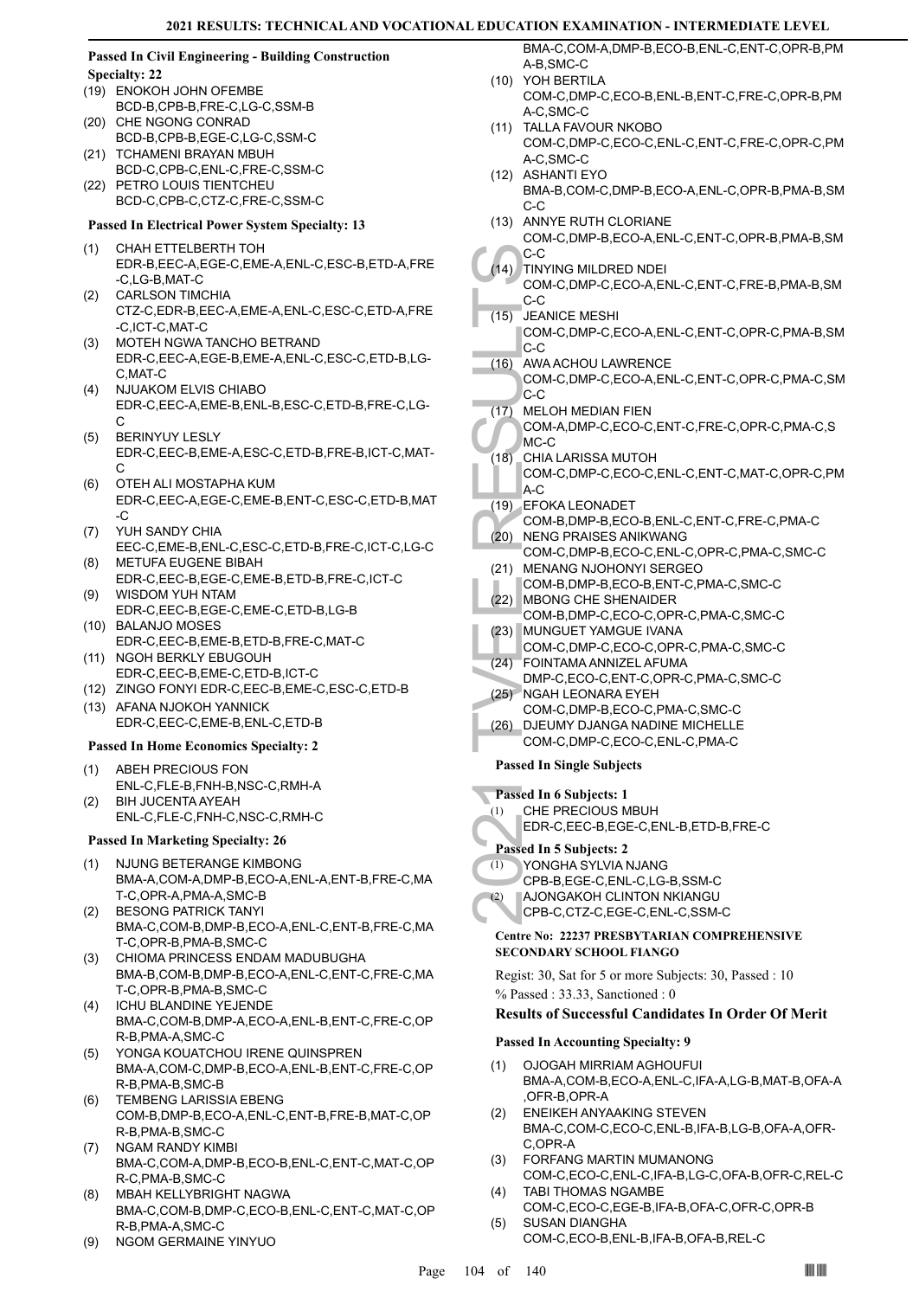#### **Passed In Civil Engineering - Building Construction Specialty: 22**

- (19) ENOKOH JOHN OFEMBE BCD-B,CPB-B,FRE-C,LG-C,SSM-B CHE NGONG CONRAD (20)
- BCD-B,CPB-B,EGE-C,LG-C,SSM-C (21) TCHAMENI BRAYAN MBUH
- BCD-C,CPB-C,ENL-C,FRE-C,SSM-C PETRO LOUIS TIENTCHEU (22)
- BCD-C,CPB-C,CTZ-C,FRE-C,SSM-C

# **Passed In Electrical Power System Specialty: 13**

- CHAH ETTELBERTH TOH (1) EDR-B,EEC-A,EGE-C,EME-A,ENL-C,ESC-B,ETD-A,FRE -C,LG-B,MAT-C
- CARLSON TIMCHIA CTZ-C,EDR-B,EEC-A,EME-A,ENL-C,ESC-C,ETD-A,FRE -C,ICT-C,MAT-C (2)
- MOTEH NGWA TANCHO BETRAND EDR-C,EEC-A,EGE-B,EME-A,ENL-C,ESC-C,ETD-B,LG-C,MAT-C (3)
- NJUAKOM ELVIS CHIABO EDR-C,EEC-A,EME-B,ENL-B,ESC-C,ETD-B,FRE-C,LG- $\cap$ (4)
- BERINYUY LESLY EDR-C,EEC-B,EME-A,ESC-C,ETD-B,FRE-B,ICT-C,MAT-C (5)
- OTEH ALI MOSTAPHA KUM EDR-C,EEC-A,EGE-C,EME-B,ENT-C,ESC-C,ETD-B,MAT -C (6)
- YUH SANDY CHIA EEC-C,EME-B,ENL-C,ESC-C,ETD-B,FRE-C,ICT-C,LG-C (7)
- METUFA EUGENE BIBAH EDR-C,EEC-B,EGE-C,EME-B,ETD-B,FRE-C,ICT-C (8) (9)
- WISDOM YUH NTAM EDR-C,EEC-B,EGE-C,EME-C,ETD-B,LG-B (10) BALANJO MOSES
- EDR-C,EEC-B,EME-B,ETD-B,FRE-C,MAT-C
- (11) NGOH BERKLY EBUGOUH EDR-C,EEC-B,EME-C,ETD-B,ICT-C
- (12) ZINGO FONYI EDR-C,EEC-B,EME-C,ESC-C,ETD-B
- (13) AFANA NJOKOH YANNICK EDR-C,EEC-C,EME-B,ENL-C,ETD-B

#### **Passed In Home Economics Specialty: 2**

- ABEH PRECIOUS FON ENL-C,FLE-B,FNH-B,NSC-C,RMH-A (1) BIH JUCENTA AYEAH (2)
- ENL-C,FLE-C,FNH-C,NSC-C,RMH-C

#### **Passed In Marketing Specialty: 26**

- NJUNG BETERANGE KIMBONG BMA-A,COM-A,DMP-B,ECO-A,ENL-A,ENT-B,FRE-C,MA T-C,OPR-A,PMA-A,SMC-B (1)
- BESONG PATRICK TANYI BMA-C,COM-B,DMP-B,ECO-A,ENL-C,ENT-B,FRE-C,MA T-C,OPR-B,PMA-B,SMC-C (2)
- (3) CHIOMA PRINCESS ENDAM MADUBUGHA BMA-B,COM-B,DMP-B,ECO-A,ENL-C,ENT-C,FRE-C,MA T-C,OPR-B,PMA-B,SMC-C
- (4) ICHU BLANDINE YEJENDE BMA-C,COM-B,DMP-A,ECO-A,ENL-B,ENT-C,FRE-C,OP R-B,PMA-A,SMC-C
- YONGA KOUATCHOU IRENE QUINSPREN BMA-A,COM-C,DMP-B,ECO-A,ENL-B,ENT-C,FRE-C,OP R-B,PMA-B,SMC-B (5)
- TEMBENG LARISSIA EBENG COM-B,DMP-B,ECO-A,ENL-C,ENT-B,FRE-B,MAT-C,OP R-B,PMA-B,SMC-C (6)
- NGAM RANDY KIMBI BMA-C,COM-A,DMP-B,ECO-B,ENL-C,ENT-C,MAT-C,OP R-C,PMA-B,SMC-C (7)
- MBAH KELLYBRIGHT NAGWA BMA-C,COM-B,DMP-C,ECO-B,ENL-C,ENT-C,MAT-C,OP R-B,PMA-A,SMC-C (8)
- (9) NGOM GERMAINE YINYUO

BMA-C,COM-A,DMP-B,ECO-B,ENL-C,ENT-C,OPR-B,PM A-B,SMC-C

- YOH BERTILA (10) COM-C,DMP-C,ECO-B,ENL-B,ENT-C,FRE-C,OPR-B,PM A-C,SMC-C
- (11) TALLA FAVOUR NKOBO
	- COM-C,DMP-C,ECO-C,ENL-C,ENT-C,FRE-C,OPR-C,PM A-C,SMC-C
- (12) ASHANTI EYO BMA-B,COM-C,DMP-B,ECO-A,ENL-C,OPR-B,PMA-B,SM C-C
- (13) ANNYE RUTH CLORIANE COM-C,DMP-B,ECO-A,ENL-C,ENT-C,OPR-B,PMA-B,SM
- C-C
- TINYING MILDRED NDEI (14) COM-C,DMP-C,ECO-A,ENL-C,ENT-C,FRE-B,PMA-B,SM C-C
- (15) JEANICE MESHI
	- COM-C,DMP-C,ECO-A,ENL-C,ENT-C,OPR-C,PMA-B,SM C-C
- AWA ACHOU LAWRENCE  $(16)$
- COM-C,DMP-C,ECO-A,ENL-C,ENT-C,OPR-C,PMA-C,SM C-C
- MELOH MEDIAN FIEN  $(17)$
- COM-A,DMP-C,ECO-C,ENT-C,FRE-C,OPR-C,PMA-C,S MC-C
- C-C<br>
(14) TINYING COM-C,<br>
C-C<br>
(15) JEANIC COM-C,<br>
C-C<br>
(16) AWA AC<br>
COM-C,<br>
C-C<br>
(17) MELOH<br>
COM-C,<br>
C-C<br>
(17) MELOH<br>
COM-C,<br>
A-C<br>
(20) NENG FOM-B,<br>
(20) NENG FOM-C,<br>
(21) MENAN COM-B,<br>
COM-C,<br>
(22) MBONC,<br>
(22) MBONC,<br>
( CHIA LARISSA MUTOH COM-C,DMP-C,ECO-C,ENL-C,ENT-C,MAT-C,OPR-C,PM A-C  $(18)$
- EFOKA LEONADET (19)
- COM-B,DMP-B,ECO-B,ENL-C,ENT-C,FRE-C,PMA-C
- (20) NENG PRAISES ANIKWANG COM-C,DMP-B,ECO-C,ENL-C,OPR-C,PMA-C,SMC-C (21) MENANG NJOHONYI SERGEO
- COM-B,DMP-B,ECO-B,ENT-C,PMA-C,SMC-C (22) MBONG CHE SHENAIDER
- COM-B,DMP-C,ECO-C,OPR-C,PMA-C,SMC-C (23) MUNGUET YAMGUE IVANA
- COM-C,DMP-C,ECO-C,OPR-C,PMA-C,SMC-C
- FOINTAMA ANNIZEL AFUMA (24)
- DMP-C,ECO-C,ENT-C,OPR-C,PMA-C,SMC-C NGAH LEONARA EYEH (25)
- COM-C,DMP-B,ECO-C,PMA-C,SMC-C
- DJEUMY DJANGA NADINE MICHELLE COM-C,DMP-C,ECO-C,ENL-C,PMA-C (26)

# **Passed In Single Subjects**

- **Passed In 6 Subjects: 1**
- CHE PRECIOUS MBUH (1)
- EDR-C,EEC-B,EGE-C,ENL-B,ETD-B,FRE-C

# **Passed In 5 Subjects: 2**

- YONGHA SYLVIA NJANG (1)
- CPB-B,EGE-C,ENL-C,LG-B,SSM-C
- AJONGAKOH CLINTON NKIANGU (2)
- CPB-C,CTZ-C,EGE-C,ENL-C,SSM-C

#### **Centre No: 22237 PRESBYTARIAN COMPREHENSIVE SECONDARY SCHOOL FIANGO**

Regist: 30, Sat for 5 or more Subjects: 30, Passed : 10 % Passed : 33.33, Sanctioned : 0

# **Results of Successful Candidates In Order Of Merit**

#### **Passed In Accounting Specialty: 9**

- OJOGAH MIRRIAM AGHOUFUI BMA-A,COM-B,ECO-A,ENL-C,IFA-A,LG-B,MAT-B,OFA-A ,OFR-B,OPR-A (1)
- ENEIKEH ANYAAKING STEVEN BMA-C,COM-C,ECO-C,ENL-B,IFA-B,LG-B,OFA-A,OFR-C,OPR-A (2)
- FORFANG MARTIN MUMANONG COM-C,ECO-C,ENL-C,IFA-B,LG-C,OFA-B,OFR-C,REL-C (3) TABI THOMAS NGAMBE (4)
- COM-C,ECO-C,EGE-B,IFA-B,OFA-C,OFR-C,OPR-B SUSAN DIANGHA (5)
- COM-C,ECO-B,ENL-B,IFA-B,OFA-B,REL-C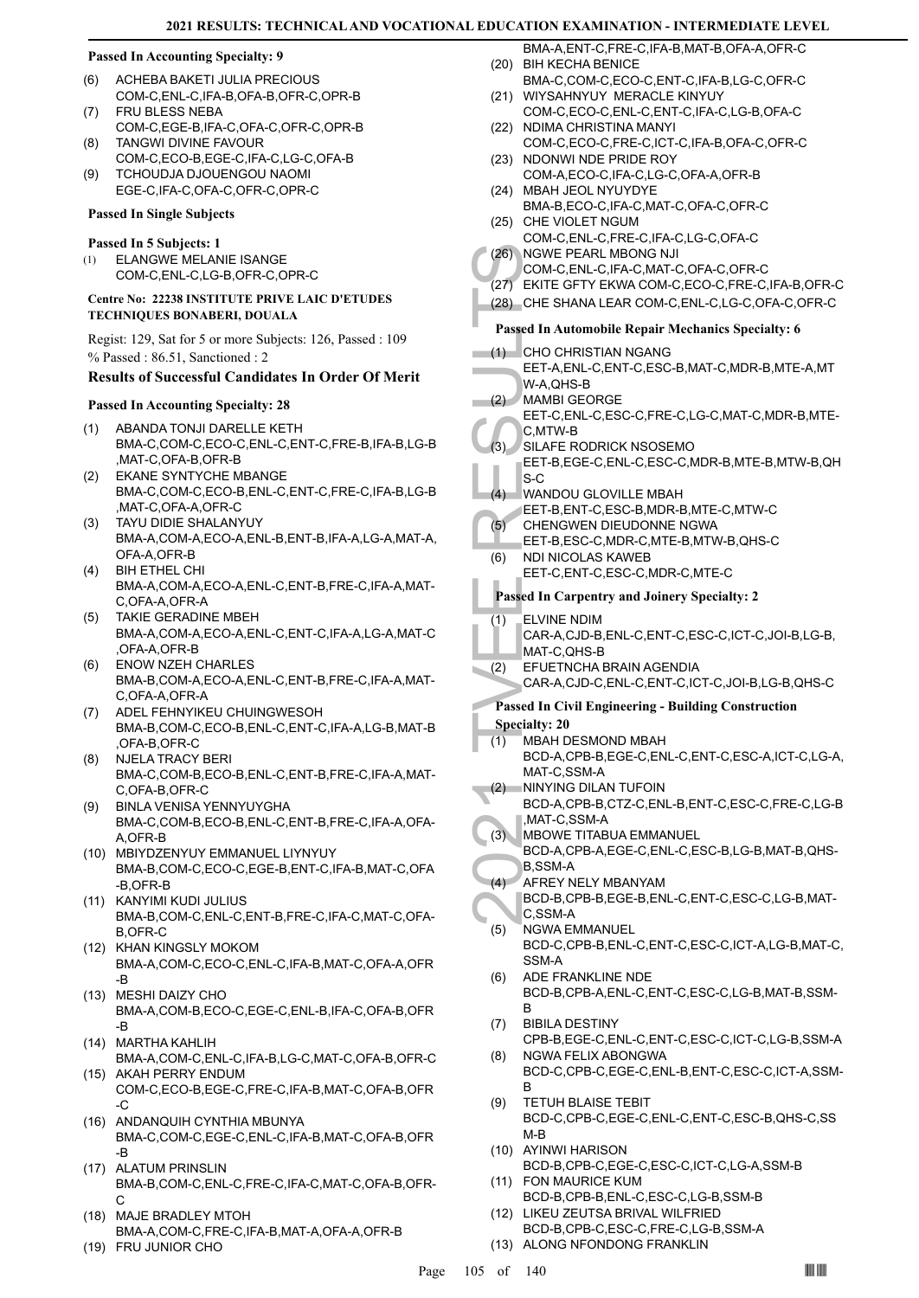#### **Passed In Accounting Specialty: 9**

- ACHEBA BAKETI JULIA PRECIOUS COM-C,ENL-C,IFA-B,OFA-B,OFR-C,OPR-B (6) FRU BLESS NEBA (7)
- COM-C,EGE-B,IFA-C,OFA-C,OFR-C,OPR-B TANGWI DIVINE FAVOUR (8)
- COM-C,ECO-B,EGE-C,IFA-C,LG-C,OFA-B TCHOUDJA DJOUENGOU NAOMI (9)
- EGE-C,IFA-C,OFA-C,OFR-C,OPR-C

#### **Passed In Single Subjects**

#### **Passed In 5 Subjects: 1**

ELANGWE MELANIE ISANGE COM-C,ENL-C,LG-B,OFR-C,OPR-C (1)

#### **Centre No: 22238 INSTITUTE PRIVE LAIC D'ETUDES TECHNIQUES BONABERI, DOUALA**

Regist: 129, Sat for 5 or more Subjects: 126, Passed : 109 % Passed : 86.51, Sanctioned : 2

### **Results of Successful Candidates In Order Of Merit**

#### **Passed In Accounting Specialty: 28**

- ABANDA TONJI DARELLE KETH BMA-C,COM-C,ECO-C,ENL-C,ENT-C,FRE-B,IFA-B,LG-B ,MAT-C,OFA-B,OFR-B (1)
- EKANE SYNTYCHE MBANGE BMA-C,COM-C,ECO-B,ENL-C,ENT-C,FRE-C,IFA-B,LG-B MAT-C, OFA-A, OFR-C (2)
- TAYU DIDIE SHALANYUY BMA-A,COM-A,ECO-A,ENL-B,ENT-B,IFA-A,LG-A,MAT-A, OFA-A,OFR-B (3)
- BIH ETHEL CHI BMA-A,COM-A,ECO-A,ENL-C,ENT-B,FRE-C,IFA-A,MAT-C,OFA-A,OFR-A (4)
- TAKIE GERADINE MBEH BMA-A,COM-A,ECO-A,ENL-C,ENT-C,IFA-A,LG-A,MAT-C ,OFA-A,OFR-B (5)
- ENOW NZEH CHARLES BMA-B,COM-A,ECO-A,ENL-C,ENT-B,FRE-C,IFA-A,MAT-C,OFA-A,OFR-A (6)
- ADEL FEHNYIKEU CHUINGWESOH BMA-B,COM-C,ECO-B,ENL-C,ENT-C,IFA-A,LG-B,MAT-B ,OFA-B,OFR-C (7)
- NJELA TRACY BERI BMA-C,COM-B,ECO-B,ENL-C,ENT-B,FRE-C,IFA-A,MAT-C,OFA-B,OFR-C (8)
- BINLA VENISA YENNYUYGHA BMA-C,COM-B,ECO-B,ENL-C,ENT-B,FRE-C,IFA-A,OFA-A,OFR-B (9)
- MBIYDZENYUY EMMANUEL LIYNYUY (10) BMA-B,COM-C,ECO-C,EGE-B,ENT-C,IFA-B,MAT-C,OFA -B,OFR-B
- (11) KANYIMI KUDI JULIUS BMA-B,COM-C,ENL-C,ENT-B,FRE-C,IFA-C,MAT-C,OFA-B,OFR-C
- (12) KHAN KINGSLY MOKOM BMA-A,COM-C,ECO-C,ENL-C,IFA-B,MAT-C,OFA-A,OFR -B
- (13) MESHI DAIZY CHO BMA-A,COM-B,ECO-C,EGE-C,ENL-B,IFA-C,OFA-B,OFR -B
- MARTHA KAHLIH (14) BMA-A,COM-C,ENL-C,IFA-B,LG-C,MAT-C,OFA-B,OFR-C
- (15) AKAH PERRY ENDUM COM-C,ECO-B,EGE-C,FRE-C,IFA-B,MAT-C,OFA-B,OFR -C
- ANDANQUIH CYNTHIA MBUNYA (16) BMA-C,COM-C,EGE-C,ENL-C,IFA-B,MAT-C,OFA-B,OFR -B
- (17) ALATUM PRINSLIN BMA-B,COM-C,ENL-C,FRE-C,IFA-C,MAT-C,OFA-B,OFR- $\cap$
- (18) MAJE BRADLEY MTOH BMA-A,COM-C,FRE-C,IFA-B,MAT-A,OFA-A,OFR-B
- (19) FRU JUNIOR CHO
- BMA-A,ENT-C,FRE-C,IFA-B,MAT-B,OFA-A,OFR-C (20) BIH KECHA BENICE
- BMA-C,COM-C,ECO-C,ENT-C,IFA-B,LG-C,OFR-C (21) WIYSAHNYUY MERACLE KINYUY
- COM-C,ECO-C,ENL-C,ENT-C,IFA-C,LG-B,OFA-C (22) NDIMA CHRISTINA MANYI
- COM-C,ECO-C,FRE-C,ICT-C,IFA-B,OFA-C,OFR-C (23) NDONWI NDE PRIDE ROY
- COM-A,ECO-C,IFA-C,LG-C,OFA-A,OFR-B MBAH JEOL NYUYDYE (24)
- BMA-B,ECO-C,IFA-C,MAT-C,OFA-C,OFR-C (25) CHE VIOLET NGUM
- COM-C,ENL-C,FRE-C,IFA-C,LG-C,OFA-C
- (26) NGWE PEARL MBONG NJI COM-C,ENL-C,IFA-C,MAT-C,OFA-C,OFR-C
- (27) EKITE GFTY EKWA COM-C,ECO-C,FRE-C,IFA-B,OFR-C
- (28) CHE SHANA LEAR COM-C,ENL-C,LG-C,OFA-C,OFR-C
- 
- **Passed In Automobile Repair Mechanics Specialty: 6**
- (1) CHO CHRISTIAN NGANG
- EET-A,ENL-C,ENT-C,ESC-B,MAT-C,MDR-B,MTE-A,MT W-A,QHS-B
- MAMBI GEORGE  $(2)$ 
	- EET-C,ENL-C,ESC-C,FRE-C,LG-C,MAT-C,MDR-B,MTE-C,MTW-B
	- SILAFE RODRICK NSOSEMO EET-B,EGE-C,ENL-C,ESC-C,MDR-B,MTE-B,MTW-B,QH  $(3)$
	- S-C WANDOU GLOVILLE MBAH  $(4)$
	- EET-B,ENT-C,ESC-B,MDR-B,MTE-C,MTW-C
	- CHENGWEN DIEUDONNE NGWA (5)
	- EET-B,ESC-C,MDR-C,MTE-B,MTW-B,QHS-C
	- NDI NICOLAS KAWEB EET-C,ENT-C,ESC-C,MDR-C,MTE-C (6)

# **Passed In Carpentry and Joinery Specialty: 2**

- ELVINE NDIM (1)
- CAR-A,CJD-B,ENL-C,ENT-C,ESC-C,ICT-C,JOI-B,LG-B, MAT-C,QHS-B
- EFUETNCHA BRAIN AGENDIA (2)
	- CAR-A,CJD-C,ENL-C,ENT-C,ICT-C,JOI-B,LG-B,QHS-C

# **Passed In Civil Engineering - Building Construction**

- **Specialty: 20**
- MBAH DESMOND MBAH BCD-A,CPB-B,EGE-C,ENL-C,ENT-C,ESC-A,ICT-C,LG-A, MAT-C,SSM-A (1)
- (26) NGWE I<br>
COM-C,<br>
(27) EKITE (28) CHE SH<br>
(27) EKITE (28) CHE SH<br>
Passed In At<br>
(1) CHO CHE SHET-A,<br>
(2) MAMBI<br>
EET-A,<br>
(3) SILAFE<br>
EET-B,<br>
S-C WANDC<br>
EET-B,<br>
S-C WANDC<br>
EET-B,<br>
S-C WANDC<br>
EET-B,<br>
(5) CHENG<br>
EET-C,<br>
Pas NINYING DILAN TUFOIN BCD-A,CPB-B,CTZ-C,ENL-B,ENT-C,ESC-C,FRE-C,LG-B ,MAT-C,SSM-A  $(2)$
- MBOWE TITABUA EMMANUEL  $(3)$
- BCD-A,CPB-A,EGE-C,ENL-C,ESC-B,LG-B,MAT-B,QHS-B,SSM-A
- AFREY NELY MBANYAM (4)
	- BCD-B,CPB-B,EGE-B,ENL-C,ENT-C,ESC-C,LG-B,MAT-C,SSM-A
- NGWA EMMANUEL BCD-C,CPB-B,ENL-C,ENT-C,ESC-C,ICT-A,LG-B,MAT-C, SSM-A (5)
- ADE FRANKLINE NDE BCD-B,CPB-A,ENL-C,ENT-C,ESC-C,LG-B,MAT-B,SSM-B (6)
- BIBILA DESTINY (7)
- CPB-B,EGE-C,ENL-C,ENT-C,ESC-C,ICT-C,LG-B,SSM-A NGWA FELIX ABONGWA (8)
- BCD-C,CPB-C,EGE-C,ENL-B,ENT-C,ESC-C,ICT-A,SSM-B
- TETUH BLAISE TEBIT BCD-C,CPB-C,EGE-C,ENL-C,ENT-C,ESC-B,QHS-C,SS M-B (9)
- (10) AYINWI HARISON BCD-B,CPB-C,EGE-C,ESC-C,ICT-C,LG-A,SSM-B FON MAURICE KUM (11)
- BCD-B,CPB-B,ENL-C,ESC-C,LG-B,SSM-B (12) LIKEU ZEUTSA BRIVAL WILFRIED
- BCD-B,CPB-C,ESC-C,FRE-C,LG-B,SSM-A (13) ALONG NFONDONG FRANKLIN
-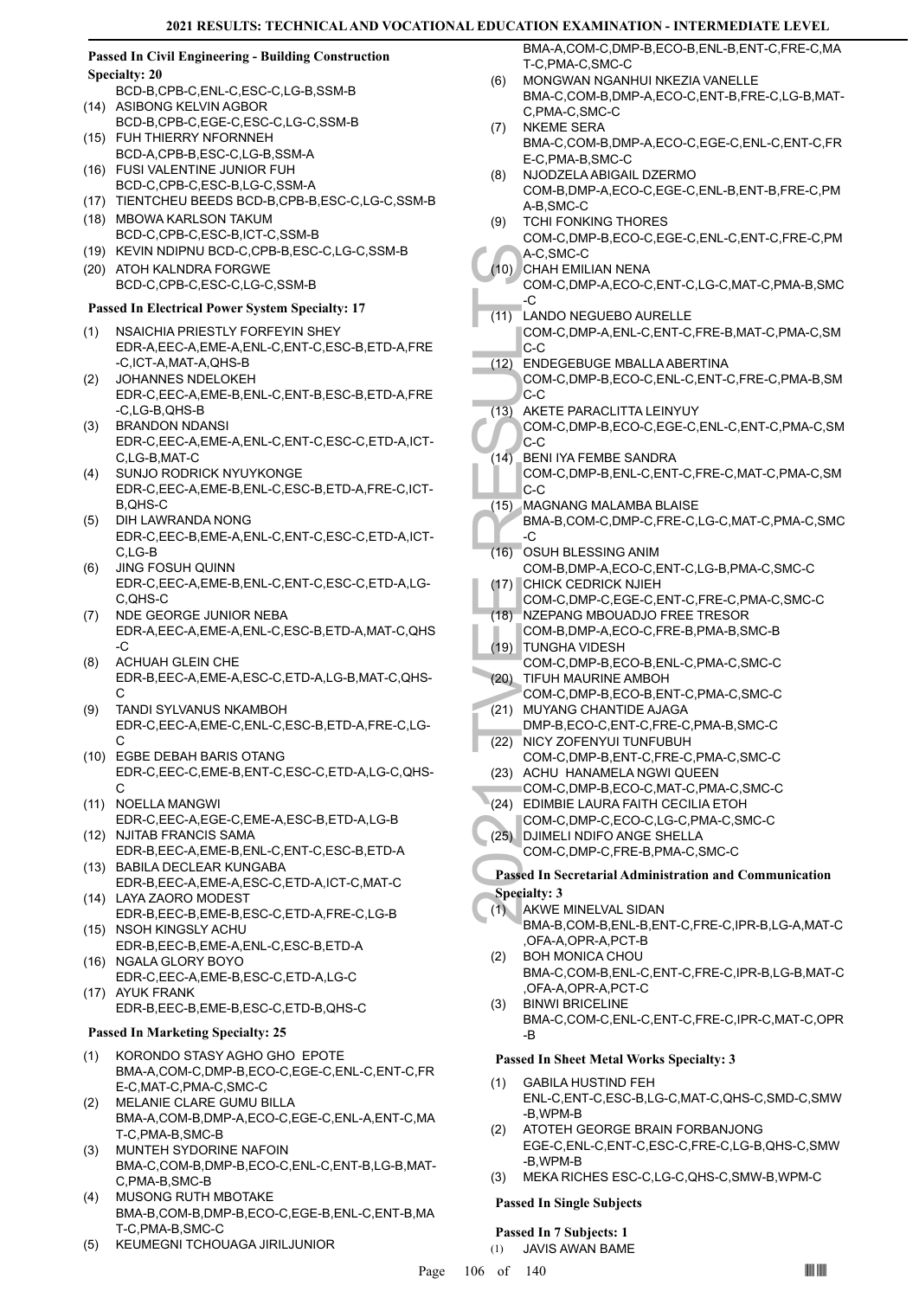### **Passed In Civil Engineering - Building Construction Specialty: 20**

- BCD-B,CPB-C,ENL-C,ESC-C,LG-B,SSM-B (14) ASIBONG KELVIN AGBOR
- BCD-B,CPB-C,EGE-C,ESC-C,LG-C,SSM-B FUH THIERRY NFORNNEH  $(15)$
- BCD-A,CPB-B,ESC-C,LG-B,SSM-A FUSI VALENTINE JUNIOR FUH (16)
- BCD-C,CPB-C,ESC-B,LG-C,SSM-A
- (17) TIENTCHEU BEEDS BCD-B,CPB-B,ESC-C,LG-C,SSM-B
- MBOWA KARLSON TAKUM (18) BCD-C,CPB-C,ESC-B,ICT-C,SSM-B
- (19) KEVIN NDIPNU BCD-C,CPB-B,ESC-C,LG-C,SSM-B
- (20) ATOH KALNDRA FORGWE BCD-C,CPB-C,ESC-C,LG-C,SSM-B

# **Passed In Electrical Power System Specialty: 17**

- NSAICHIA PRIESTLY FORFEYIN SHEY EDR-A,EEC-A,EME-A,ENL-C,ENT-C,ESC-B,ETD-A,FRE -C,ICT-A,MAT-A,QHS-B (1)
- JOHANNES NDELOKEH EDR-C,EEC-A,EME-B,ENL-C,ENT-B,ESC-B,ETD-A,FRE -C,LG-B,QHS-B  $(2)$
- (3) BRANDON NDANSI EDR-C,EEC-A,EME-A,ENL-C,ENT-C,ESC-C,ETD-A,ICT-C,LG-B,MAT-C
- SUNJO RODRICK NYUYKONGE EDR-C,EEC-A,EME-B,ENL-C,ESC-B,ETD-A,FRE-C,ICT-B,QHS-C (4)
- DIH LAWRANDA NONG EDR-C,EEC-B,EME-A,ENL-C,ENT-C,ESC-C,ETD-A,ICT-C,LG-B (5)
- JING FOSUH QUINN EDR-C,EEC-A,EME-B,ENL-C,ENT-C,ESC-C,ETD-A,LG-C,QHS-C (6)
- NDE GEORGE JUNIOR NEBA EDR-A,EEC-A,EME-A,ENL-C,ESC-B,ETD-A,MAT-C,QHS -C (7)
- ACHUAH GLEIN CHE EDR-B,EEC-A,EME-A,ESC-C,ETD-A,LG-B,MAT-C,QHS-C (8)
- TANDI SYLVANUS NKAMBOH EDR-C,EEC-A,EME-C,ENL-C,ESC-B,ETD-A,FRE-C,LG- $\overline{C}$ (9)
- EGBE DEBAH BARIS OTANG (10) EDR-C,EEC-C,EME-B,ENT-C,ESC-C,ETD-A,LG-C,QHS- $\mathcal{C}$
- (11) NOELLA MANGWI EDR-C,EEC-A,EGE-C,EME-A,ESC-B,ETD-A,LG-B
- (12) NJITAB FRANCIS SAMA EDR-B,EEC-A,EME-B,ENL-C,ENT-C,ESC-B,ETD-A (13) BABILA DECLEAR KUNGABA
- EDR-B,EEC-A,EME-A,ESC-C,ETD-A,ICT-C,MAT-C LAYA ZAORO MODEST (14)
- EDR-B,EEC-B,EME-B,ESC-C,ETD-A,FRE-C,LG-B (15) NSOH KINGSLY ACHU
- EDR-B,EEC-B,EME-A,ENL-C,ESC-B,ETD-A (16) NGALA GLORY BOYO
- EDR-C,EEC-A,EME-B,ESC-C,ETD-A,LG-C (17) AYUK FRANK
	- EDR-B,EEC-B,EME-B,ESC-C,ETD-B,QHS-C

# **Passed In Marketing Specialty: 25**

- KORONDO STASY AGHO GHO EPOTE BMA-A,COM-C,DMP-B,ECO-C,EGE-C,ENL-C,ENT-C,FR E-C,MAT-C,PMA-C,SMC-C (1)
- MELANIE CLARE GUMU BILLA BMA-A,COM-B,DMP-A,ECO-C,EGE-C,ENL-A,ENT-C,MA T-C,PMA-B,SMC-B (2)
- MUNTEH SYDORINE NAFOIN BMA-C,COM-B,DMP-B,ECO-C,ENL-C,ENT-B,LG-B,MAT-C,PMA-B,SMC-B (3)
- MUSONG RUTH MBOTAKE BMA-B,COM-B,DMP-B,ECO-C,EGE-B,ENL-C,ENT-B,MA T-C,PMA-B,SMC-C (4)
- (5) KEUMEGNI TCHOUAGA JIRILJUNIOR

BMA-A,COM-C,DMP-B,ECO-B,ENL-B,ENT-C,FRE-C,MA T-C,PMA-C,SMC-C

- MONGWAN NGANHUI NKEZIA VANELLE BMA-C,COM-B,DMP-A,ECO-C,ENT-B,FRE-C,LG-B,MAT-C,PMA-C,SMC-C (6)
- (7) NKEME SERA BMA-C,COM-B,DMP-A,ECO-C,EGE-C,ENL-C,ENT-C,FR E-C,PMA-B,SMC-C
- NJODZELA ABIGAIL DZERMO COM-B,DMP-A,ECO-C,EGE-C,ENL-B,ENT-B,FRE-C,PM A-B,SMC-C (8)
- TCHI FONKING THORES COM-C,DMP-B,ECO-C,EGE-C,ENL-C,ENT-C,FRE-C,PM (9)
- A-C,SMC-C CHAH EMILIAN NENA (10)
- COM-C,DMP-A,ECO-C,ENT-C,LG-C,MAT-C,PMA-B,SMC -C
- LANDO NEGUEBO AURELLE (11)
- COM-C,DMP-A,ENL-C,ENT-C,FRE-B,MAT-C,PMA-C,SM C-C
- ENDEGEBUGE MBALLA ABERTINA  $(12)$
- COM-C,DMP-B,ECO-C,ENL-C,ENT-C,FRE-C,PMA-B,SM C-C
- AKETE PARACLITTA LEINYUY  $(13)$
- COM-C,DMP-B,ECO-C,EGE-C,ENL-C,ENT-C,PMA-C,SM C-C
- A-C,SM<br>
CHAH E COM-C,<br>
CHAH E COM-C,<br>
COM-C,<br>
C-C<br>
(11) LANDO COM-C,<br>
C-C<br>
(12) ENDEG<br>
COM-C,<br>
C-C<br>
(22) ENDEG<br>
COM-C,<br>
C-C<br>
(14) BENI IY,<br>
COM-C,<br>
C-C<br>
(15) MAGNA BMA-B,<br>
C-C<br>
(16) OSUH E COM-C,<br>
C-C<br>
(16) OSUH E COM-C,<br> BENI IYA FEMBE SANDRA COM-C,DMP-B,ENL-C,ENT-C,FRE-C,MAT-C,PMA-C,SM  $|c-c|$  $(14)$ 
	- MAGNANG MALAMBA BLAISE (15)
	- BMA-B,COM-C,DMP-C,FRE-C,LG-C,MAT-C,PMA-C,SMC  $-C$
	- OSUH BLESSING ANIM COM-B,DMP-A,ECO-C,ENT-C,LG-B,PMA-C,SMC-C (16) CHICK CEDRICK NJIEH (17)
	- COM-C,DMP-C,EGE-C,ENT-C,FRE-C,PMA-C,SMC-C
	- NZEPANG MBOUADJO FREE TRESOR (18)
	- COM-B,DMP-A,ECO-C,FRE-B,PMA-B,SMC-B TUNGHA VIDESH (19)
	- COM-C,DMP-B,ECO-B,ENL-C,PMA-C,SMC-C (20) TIFUH MAURINE AMBOH
	- COM-C,DMP-B,ECO-B,ENT-C,PMA-C,SMC-C MUYANG CHANTIDE AJAGA (21)
- DMP-B,ECO-C,ENT-C,FRE-C,PMA-B,SMC-C (22) NICY ZOFENYUI TUNFUBUH
- COM-C,DMP-B,ENT-C,FRE-C,PMA-C,SMC-C
- (23) ACHU HANAMELA NGWI QUEEN COM-C,DMP-B,ECO-C,MAT-C,PMA-C,SMC-C
- (24) EDIMBIE LAURA FAITH CECILIA ETOH
- COM-C,DMP-C,ECO-C,LG-C,PMA-C,SMC-C
- (25) DJIMELI NDIFO ANGE SHELLA COM-C,DMP-C,FRE-B,PMA-C,SMC-C

# **Passed In Secretarial Administration and Communication Specialty: 3**

- AKWE MINELVAL SIDAN  $(1)$
- BMA-B,COM-B,ENL-B,ENT-C,FRE-C,IPR-B,LG-A,MAT-C ,OFA-A,OPR-A,PCT-B
- BOH MONICA CHOU BMA-C,COM-B,ENL-C,ENT-C,FRE-C,IPR-B,LG-B,MAT-C ,OFA-A,OPR-A,PCT-C (2)
- BINWI BRICELINE BMA-C,COM-C,ENL-C,ENT-C,FRE-C,IPR-C,MAT-C,OPR -B (3)

# **Passed In Sheet Metal Works Specialty: 3**

- GABILA HUSTIND FEH ENL-C,ENT-C,ESC-B,LG-C,MAT-C,QHS-C,SMD-C,SMW -B,WPM-B (1)
- ATOTEH GEORGE BRAIN FORBANJONG EGE-C,ENL-C,ENT-C,ESC-C,FRE-C,LG-B,QHS-C,SMW -B,WPM-B (2)
- (3) MEKA RICHES ESC-C,LG-C,QHS-C,SMW-B,WPM-C

# **Passed In Single Subjects**

# **Passed In 7 Subjects: 1**

(1) JAVIS AWAN BAME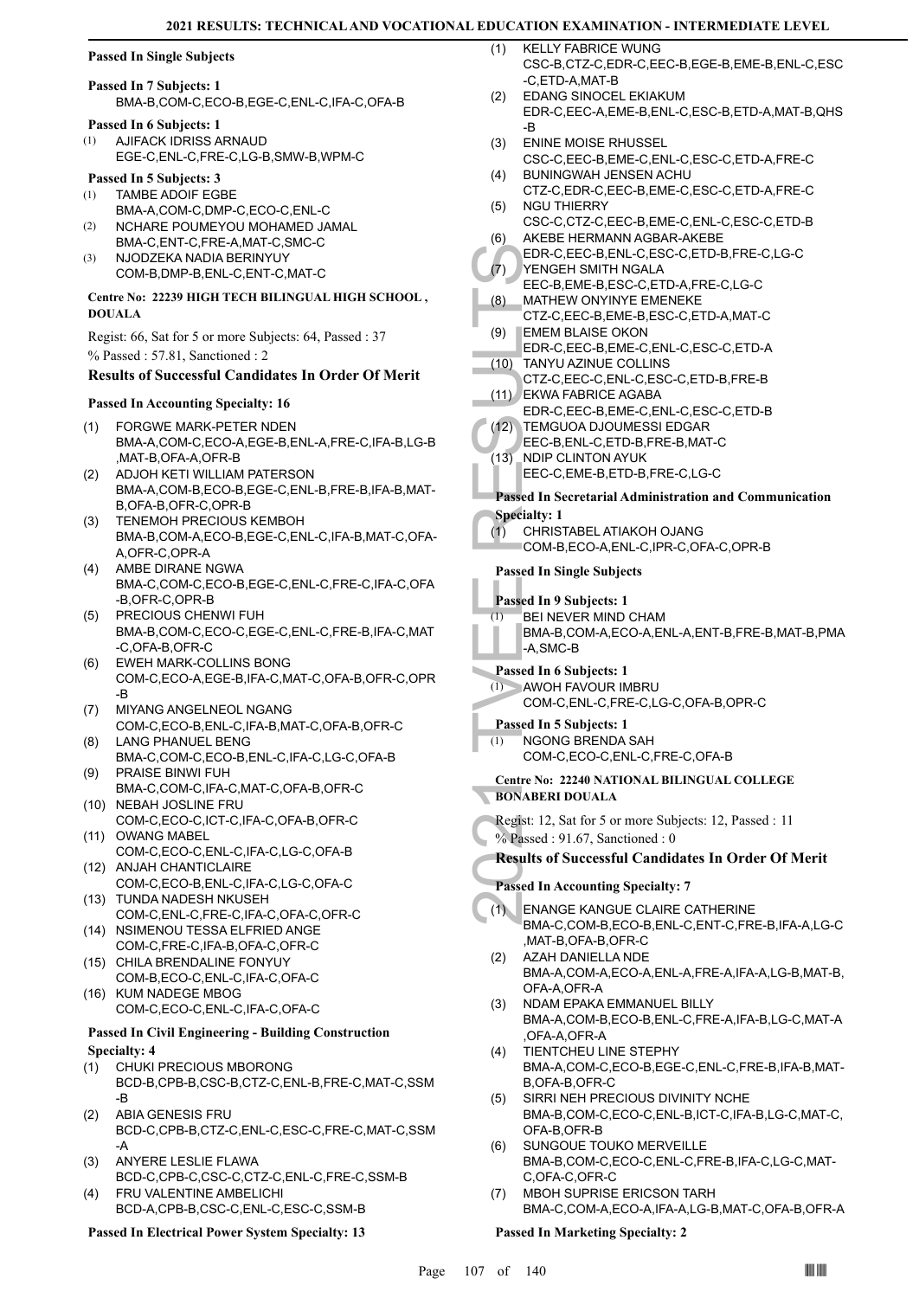#### **Passed In Single Subjects**

### **Passed In 7 Subjects: 1** BMA-B,COM-C,ECO-B,EGE-C,ENL-C,IFA-C,OFA-B

**Passed In 6 Subjects: 1**

AJIFACK IDRISS ARNAUD EGE-C,ENL-C,FRE-C,LG-B,SMW-B,WPM-C (1)

# **Passed In 5 Subjects: 3**

- TAMBE ADOIF EGBE (1)
- BMA-A,COM-C,DMP-C,ECO-C,ENL-C NCHARE POUMEYOU MOHAMED JAMAL BMA-C,ENT-C,FRE-A,MAT-C,SMC-C (2)
- NJODZEKA NADIA BERINYUY COM-B,DMP-B,ENL-C,ENT-C,MAT-C (3)

#### **Centre No: 22239 HIGH TECH BILINGUAL HIGH SCHOOL , DOUALA**

Regist: 66, Sat for 5 or more Subjects: 64, Passed : 37 % Passed : 57.81, Sanctioned : 2

### **Results of Successful Candidates In Order Of Merit**

#### **Passed In Accounting Specialty: 16**

- FORGWE MARK-PETER NDEN BMA-A,COM-C,ECO-A,EGE-B,ENL-A,FRE-C,IFA-B,LG-B ,MAT-B,OFA-A,OFR-B (1)
- ADJOH KETI WILLIAM PATERSON BMA-A,COM-B,ECO-B,EGE-C,ENL-B,FRE-B,IFA-B,MAT-B,OFA-B,OFR-C,OPR-B (2)
- TENEMOH PRECIOUS KEMBOH BMA-B,COM-A,ECO-B,EGE-C,ENL-C,IFA-B,MAT-C,OFA-A,OFR-C,OPR-A (3)
- AMBE DIRANE NGWA BMA-C,COM-C,ECO-B,EGE-C,ENL-C,FRE-C,IFA-C,OFA -B,OFR-C,OPR-B (4)
- PRECIOUS CHENWI FUH BMA-B,COM-C,ECO-C,EGE-C,ENL-C,FRE-B,IFA-C,MAT -C,OFA-B,OFR-C (5)
- EWEH MARK-COLLINS BONG COM-C,ECO-A,EGE-B,IFA-C,MAT-C,OFA-B,OFR-C,OPR -B (6)
- MIYANG ANGELNEOL NGANG COM-C,ECO-B,ENL-C,IFA-B,MAT-C,OFA-B,OFR-C (7)
- LANG PHANUEL BENG BMA-C,COM-C,ECO-B,ENL-C,IFA-C,LG-C,OFA-B (8) PRAISE BINWI FUH (9)
- BMA-C,COM-C,IFA-C,MAT-C,OFA-B,OFR-C (10) NEBAH JOSLINE FRU
- COM-C,ECO-C,ICT-C,IFA-C,OFA-B,OFR-C (11) OWANG MABEL
- COM-C,ECO-C,ENL-C,IFA-C,LG-C,OFA-B (12) ANJAH CHANTICLAIRE
- COM-C,ECO-B,ENL-C,IFA-C,LG-C,OFA-C (13) TUNDA NADESH NKUSEH
- COM-C,ENL-C,FRE-C,IFA-C,OFA-C,OFR-C (14) NSIMENOU TESSA ELFRIED ANGE
- COM-C,FRE-C,IFA-B,OFA-C,OFR-C (15) CHILA BRENDALINE FONYUY
- COM-B,ECO-C,ENL-C,IFA-C,OFA-C (16) KUM NADEGE MBOG COM-C,ECO-C,ENL-C,IFA-C,OFA-C

#### **Passed In Civil Engineering - Building Construction Specialty: 4**

- CHUKI PRECIOUS MBORONG BCD-B,CPB-B,CSC-B,CTZ-C,ENL-B,FRE-C,MAT-C,SSM -B (1)
- ABIA GENESIS FRU BCD-C,CPB-B,CTZ-C,ENL-C,ESC-C,FRE-C,MAT-C,SSM -A (2)
- ANYERE LESLIE FLAWA BCD-C,CPB-C,CSC-C,CTZ-C,ENL-C,FRE-C,SSM-B (3) FRU VALENTINE AMBELICHI (4)
- BCD-A,CPB-B,CSC-C,ENL-C,ESC-C,SSM-B

# **Passed In Electrical Power System Specialty: 13**

- KELLY FABRICE WUNG CSC-B,CTZ-C,EDR-C,EEC-B,EGE-B,EME-B,ENL-C,ESC -C,ETD-A,MAT-B  $(1)$
- EDANG SINOCEL EKIAKUM EDR-C,EEC-A,EME-B,ENL-C,ESC-B,ETD-A,MAT-B,QHS -B (2)
- ENINE MOISE RHUSSEL CSC-C,EEC-B,EME-C,ENL-C,ESC-C,ETD-A,FRE-C (3)
- BUNINGWAH JENSEN ACHU CTZ-C,EDR-C,EEC-B,EME-C,ESC-C,ETD-A,FRE-C (4)
- NGU THIERRY CSC-C,CTZ-C,EEC-B,EME-C,ENL-C,ESC-C,ETD-B (5) AKEBE HERMANN AGBAR-AKEBE (6)
- EDR-C,EEC-B,ENL-C,ESC-C,ETD-B,FRE-C,LG-C YENGEH SMITH NGALA (7)
- EEC-B,EME-B,ESC-C,ETD-A,FRE-C,LG-C MATHEW ONYINYE EMENEKE (8)
- CTZ-C,EEC-B,EME-B,ESC-C,ETD-A,MAT-C **EMEM BLAISE OKON** (9)
- EDR-C,EEC-B,EME-C,ENL-C,ESC-C,ETD-A
- EDR-C,<br>
(7) YENGE<br>
EEC-B, I<br>
(8) MATHE CTZ-C, E<br>
(9) EMEM EDR-C, I<br>
(10) TANYU<br>
CTZ-C, E<br>
(11) CTZ-C, E<br>
EDR-C, I<br>
EDR-C, I<br>
EDR-C, I<br>
EDR-C, I<br>
EEC-B, I<br>
EDR-C, I<br>
EEC-B, I<br>
EEC-C, I<br>
Passed In Se<br>
Specialty: 1<br>
(1) CHRIS TANYU AZINUE COLLINS CTZ-C,EEC-C,ENL-C,ESC-C,ETD-B,FRE-B  $(10)$ 
	- EKWA FABRICE AGABA (11)
		- EDR-C,EEC-B,EME-C,ENL-C,ESC-C,ETD-B
		- TEMGUOA DJOUMESSI EDGAR  $(12)$
	- EEC-B,ENL-C,ETD-B,FRE-B,MAT-C
	- NDIP CLINTON AYUK EEC-C,EME-B,ETD-B,FRE-C,LG-C  $(13)$

# **Passed In Secretarial Administration and Communication**

- **Specialty: 1**
- CHRISTABEL ATIAKOH OJANG  $(1)$ 
	- COM-B,ECO-A,ENL-C,IPR-C,OFA-C,OPR-B

### **Passed In Single Subjects**

- **Passed In 9 Subjects: 1**
- BEI NEVER MIND CHAM (1)
	- BMA-B,COM-A,ECO-A,ENL-A,ENT-B,FRE-B,MAT-B,PMA -A,SMC-B

#### **Passed In 6 Subjects: 1**

- AWOH FAVOUR IMBRU (1)
	- COM-C,ENL-C,FRE-C,LG-C,OFA-B,OPR-C

# **Passed In 5 Subjects: 1**

(1)

- NGONG BRENDA SAH
	- COM-C,ECO-C,ENL-C,FRE-C,OFA-B

#### **Centre No: 22240 NATIONAL BILINGUAL COLLEGE BONABERI DOUALA**

- Regist: 12, Sat for 5 or more Subjects: 12, Passed : 11
- % Passed : 91.67, Sanctioned : 0

#### **Results of Successful Candidates In Order Of Merit**

# **Passed In Accounting Specialty: 7**

- ENANGE KANGUE CLAIRE CATHERINE BMA-C,COM-B,ECO-B,ENL-C,ENT-C,FRE-B,IFA-A,LG-C ,MAT-B,OFA-B,OFR-C  $(1)$
- AZAH DANIELLA NDE BMA-A,COM-A,ECO-A,ENL-A,FRE-A,IFA-A,LG-B,MAT-B, OFA-A,OFR-A (2)
- NDAM EPAKA EMMANUEL BILLY BMA-A,COM-B,ECO-B,ENL-C,FRE-A,IFA-B,LG-C,MAT-A ,OFA-A,OFR-A (3)
- TIENTCHEU LINE STEPHY BMA-A,COM-C,ECO-B,EGE-C,ENL-C,FRE-B,IFA-B,MAT-B,OFA-B,OFR-C (4)
- SIRRI NEH PRECIOUS DIVINITY NCHE BMA-B,COM-C,ECO-C,ENL-B,ICT-C,IFA-B,LG-C,MAT-C, OFA-B,OFR-B (5)
- SUNGOUE TOUKO MERVEILLE BMA-B,COM-C,ECO-C,ENL-C,FRE-B,IFA-C,LG-C,MAT-C,OFA-C,OFR-C (6)
- MBOH SUPRISE ERICSON TARH BMA-C,COM-A,ECO-A,IFA-A,LG-B,MAT-C,OFA-B,OFR-A (7)

#### **Passed In Marketing Specialty: 2**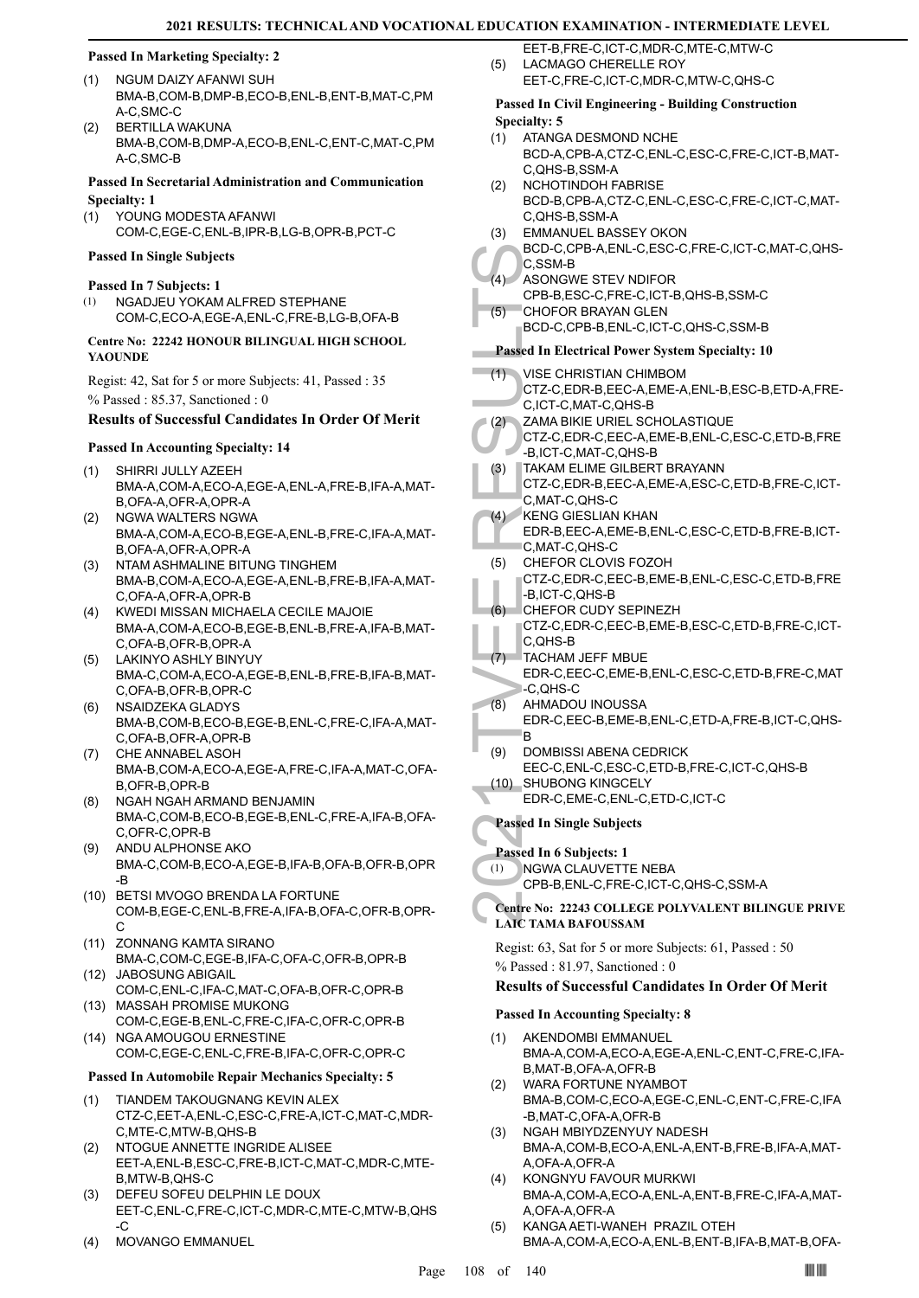#### **Passed In Marketing Specialty: 2**

- NGUM DAIZY AFANWI SUH BMA-B,COM-B,DMP-B,ECO-B,ENL-B,ENT-B,MAT-C,PM A-C,SMC-C (1)
- BERTILLA WAKUNA BMA-B,COM-B,DMP-A,ECO-B,ENL-C,ENT-C,MAT-C,PM A-C,SMC-B (2)

#### **Passed In Secretarial Administration and Communication Specialty: 1**

YOUNG MODESTA AFANWI COM-C,EGE-C,ENL-B,IPR-B,LG-B,OPR-B,PCT-C (1)

#### **Passed In Single Subjects**

#### **Passed In 7 Subjects: 1**

NGADJEU YOKAM ALFRED STEPHANE COM-C,ECO-A,EGE-A,ENL-C,FRE-B,LG-B,OFA-B (1)

#### **Centre No: 22242 HONOUR BILINGUAL HIGH SCHOOL YAOUNDE**

Regist: 42, Sat for 5 or more Subjects: 41, Passed : 35 % Passed : 85.37, Sanctioned : 0

#### **Results of Successful Candidates In Order Of Merit**

#### **Passed In Accounting Specialty: 14**

- SHIRRI JULLY AZEEH BMA-A,COM-A,ECO-A,EGE-A,ENL-A,FRE-B,IFA-A,MAT-B,OFA-A,OFR-A,OPR-A (1)
- NGWA WALTERS NGWA BMA-A,COM-A,ECO-B,EGE-A,ENL-B,FRE-C,IFA-A,MAT-B,OFA-A,OFR-A,OPR-A (2)
- NTAM ASHMALINE BITUNG TINGHEM BMA-B,COM-A,ECO-A,EGE-A,ENL-B,FRE-B,IFA-A,MAT-C,OFA-A,OFR-A,OPR-B (3)
- KWEDI MISSAN MICHAELA CECILE MAJOIE (4) BMA-A,COM-A,ECO-B,EGE-B,ENL-B,FRE-A,IFA-B,MAT-C,OFA-B,OFR-B,OPR-A
- LAKINYO ASHLY BINYUY (5) BMA-C,COM-A,ECO-A,EGE-B,ENL-B,FRE-B,IFA-B,MAT-C,OFA-B,OFR-B,OPR-C
- NSAIDZEKA GLADYS BMA-B,COM-B,ECO-B,EGE-B,ENL-C,FRE-C,IFA-A,MAT-C,OFA-B,OFR-A,OPR-B (6)
- CHE ANNABEL ASOH BMA-B,COM-A,ECO-A,EGE-A,FRE-C,IFA-A,MAT-C,OFA-B,OFR-B,OPR-B (7)
- NGAH NGAH ARMAND BENJAMIN BMA-C,COM-B,ECO-B,EGE-B,ENL-C,FRE-A,IFA-B,OFA-C,OFR-C,OPR-B (8)
- ANDU ALPHONSE AKO BMA-C,COM-B,ECO-A,EGE-B,IFA-B,OFA-B,OFR-B,OPR -B (9)
- (10) BETSI MVOGO BRENDA LA FORTUNE COM-B,EGE-C,ENL-B,FRE-A,IFA-B,OFA-C,OFR-B,OPR-C
- (11) ZONNANG KAMTA SIRANO BMA-C,COM-C,EGE-B,IFA-C,OFA-C,OFR-B,OPR-B (12) JABOSUNG ABIGAIL
- COM-C,ENL-C,IFA-C,MAT-C,OFA-B,OFR-C,OPR-B (13) MASSAH PROMISE MUKONG
- COM-C,EGE-B,ENL-C,FRE-C,IFA-C,OFR-C,OPR-B (14) NGA AMOUGOU ERNESTINE
- COM-C,EGE-C,ENL-C,FRE-B,IFA-C,OFR-C,OPR-C

# **Passed In Automobile Repair Mechanics Specialty: 5**

- TIANDEM TAKOUGNANG KEVIN ALEX CTZ-C,EET-A,ENL-C,ESC-C,FRE-A,ICT-C,MAT-C,MDR-C,MTE-C,MTW-B,QHS-B (1)
- (2) NTOGUE ANNETTE INGRIDE ALISEE EET-A,ENL-B,ESC-C,FRE-B,ICT-C,MAT-C,MDR-C,MTE-B,MTW-B,QHS-C
- DEFEU SOFEU DELPHIN LE DOUX EET-C,ENL-C,FRE-C,ICT-C,MDR-C,MTE-C,MTW-B,QHS -C (3)
- (4) MOVANGO EMMANUEL

EET-B,FRE-C,ICT-C,MDR-C,MTE-C,MTW-C LACMAGO CHERELLE ROY EET-C,FRE-C,ICT-C,MDR-C,MTW-C,QHS-C (5)

#### **Passed In Civil Engineering - Building Construction Specialty: 5**

- ATANGA DESMOND NCHE BCD-A,CPB-A,CTZ-C,ENL-C,ESC-C,FRE-C,ICT-B,MAT-C,QHS-B,SSM-A (1)
- NCHOTINDOH FABRISE BCD-B,CPB-A,CTZ-C,ENL-C,ESC-C,FRE-C,ICT-C,MAT-C,QHS-B,SSM-A (2)
- EMMANUEL BASSEY OKON (3)
- BCD-C,CPB-A,ENL-C,ESC-C,FRE-C,ICT-C,MAT-C,QHS-C,SSM-B
- ASONGWE STEV NDIFOR  $(4)$
- CPB-B,ESC-C,FRE-C,ICT-B,QHS-B,SSM-C
- CHOFOR BRAYAN GLEN (5)
	- BCD-C,CPB-B,ENL-C,ICT-C,QHS-C,SSM-B

#### **Passed In Electrical Power System Specialty: 10**

- VISE CHRISTIAN CHIMBOM  $(1)$
- CTZ-C,EDR-B,EEC-A,EME-A,ENL-B,ESC-B,ETD-A,FRE-C,ICT-C,MAT-C,QHS-B
- ZAMA BIKIE URIEL SCHOLASTIQUE (2)
- CTZ-C,EDR-C,EEC-A,EME-B,ENL-C,ESC-C,ETD-B,FRE -B,ICT-C,MAT-C,QHS-B
- TAKAM ELIME GILBERT BRAYANN CTZ-C,EDR-B,EEC-A,EME-A,ESC-C,ETD-B,FRE-C,ICT-(3)
- C,MAT-C,QHS-C KENG GIESLIAN KHAN (4)
- EDR-B,EEC-A,EME-B,ENL-C,ESC-C,ETD-B,FRE-B,ICT-C,MAT-C,QHS-C
- CHEFOR CLOVIS FOZOH (5)
- CTZ-C,EDR-C,EEC-B,EME-B,ENL-C,ESC-C,ETD-B,FRE -B,ICT-C,QHS-B
- CHEFOR CUDY SEPINEZH (6)
- CTZ-C,EDR-C,EEC-B,EME-B,ESC-C,ETD-B,FRE-C,ICT-C,QHS-B
- TACHAM JEFF MBUE (7)
- EDR-C,EEC-C,EME-B,ENL-C,ESC-C,ETD-B,FRE-C,MAT -C,QHS-C
- AHMADOU INOUSSA EDR-C,EEC-B,EME-B,ENL-C,ETD-A,FRE-B,ICT-C,QHS-B (8)
- BCD-C, C, SSM-<br>
(4) ASONG CPB-B, I<br>
(5) CHOFO<br>
BCD-C, BCD-C, BCD-C, BCD-C, BCD-C, BCD-C, BCD-C, BCD-C, BCD-C, C, C, C, CT-C, E<br>
(2) ZAMA CTZ-C, E<br>
(3) TAKAM CTZ-C, E, C, MAT-C, C, MAT-C, C, MAT-C, C, C, CHEFO CTZ-C, E<br>
(5) DOMBISSI ABENA CEDRICK EEC-C,ENL-C,ESC-C,ETD-B,FRE-C,ICT-C,QHS-B (9)
	- SHUBONG KINGCELY (10) EDR-C,EME-C,ENL-C,ETD-C,ICT-C

#### **Passed In Single Subjects**

- **Passed In 6 Subjects: 1**
- NGWA CLAUVETTE NEBA CPB-B,ENL-C,FRE-C,ICT-C,QHS-C,SSM-A (1)

### **Centre No: 22243 COLLEGE POLYVALENT BILINGUE PRIVE LAIC TAMA BAFOUSSAM**

Regist: 63, Sat for 5 or more Subjects: 61, Passed : 50 % Passed : 81.97, Sanctioned : 0

#### **Results of Successful Candidates In Order Of Merit**

#### **Passed In Accounting Specialty: 8**

- AKENDOMBI EMMANUEL BMA-A,COM-A,ECO-A,EGE-A,ENL-C,ENT-C,FRE-C,IFA-B,MAT-B,OFA-A,OFR-B (1)
- WARA FORTUNE NYAMBOT BMA-B,COM-C,ECO-A,EGE-C,ENL-C,ENT-C,FRE-C,IFA -B,MAT-C,OFA-A,OFR-B (2)
- NGAH MBIYDZENYUY NADESH BMA-A,COM-B,ECO-A,ENL-A,ENT-B,FRE-B,IFA-A,MAT-A,OFA-A,OFR-A (3)
- KONGNYU FAVOUR MURKWI BMA-A,COM-A,ECO-A,ENL-A,ENT-B,FRE-C,IFA-A,MAT-A,OFA-A,OFR-A (4)
- KANGA AETI-WANEH PRAZIL OTEH BMA-A,COM-A,ECO-A,ENL-B,ENT-B,IFA-B,MAT-B,OFA- (5)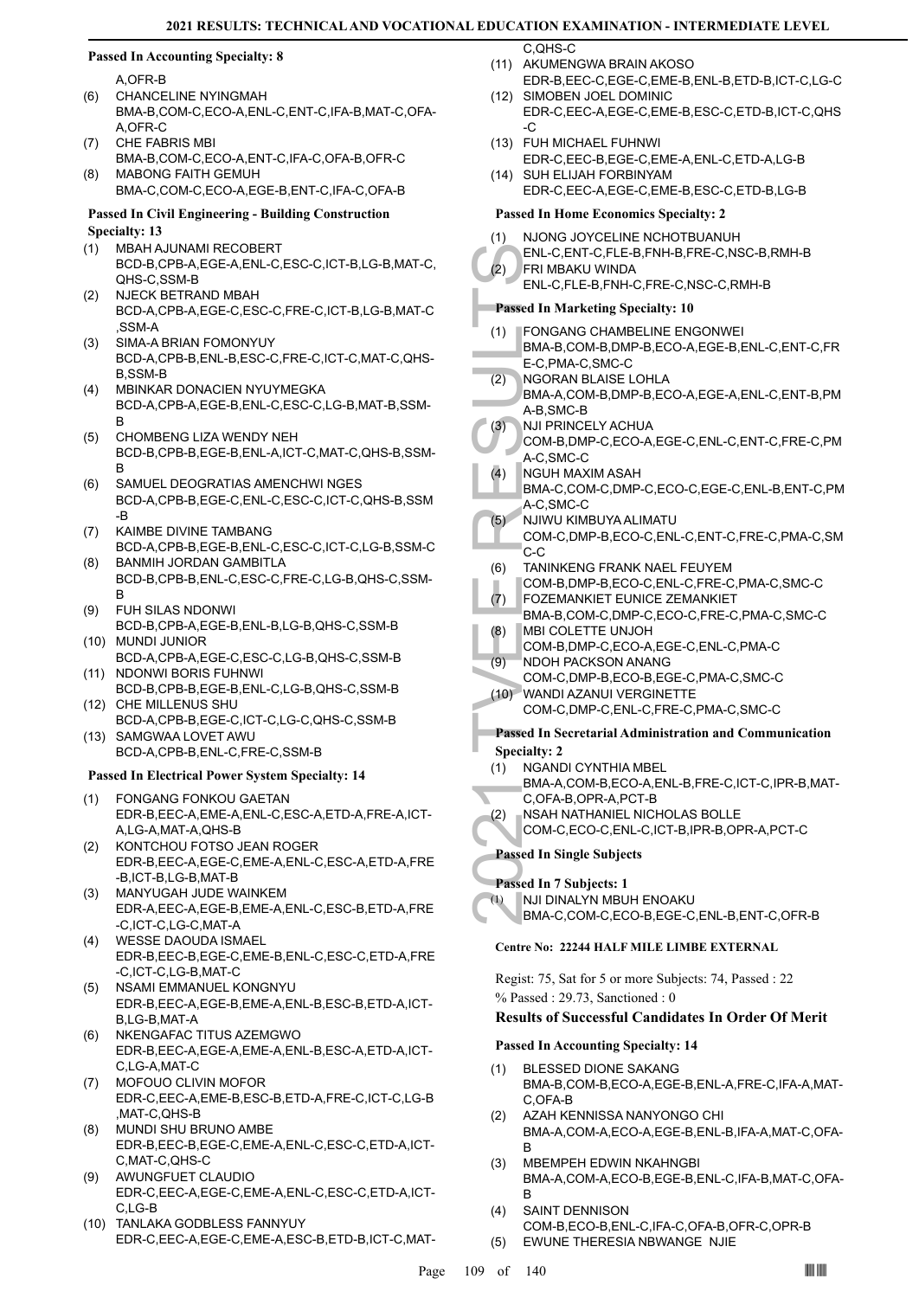#### **Passed In Accounting Specialty: 8**

A,OFR-B

- CHANCELINE NYINGMAH BMA-B,COM-C,ECO-A,ENL-C,ENT-C,IFA-B,MAT-C,OFA-A,OFR-C (6)
- CHE FABRIS MBI BMA-B,COM-C,ECO-A,ENT-C,IFA-C,OFA-B,OFR-C (7) MABONG FAITH GEMUH (8)
	- BMA-C,COM-C,ECO-A,EGE-B,ENT-C,IFA-C,OFA-B

#### **Passed In Civil Engineering - Building Construction Specialty: 13**

- MBAH AJUNAMI RECOBERT (1)
- BCD-B,CPB-A,EGE-A,ENL-C,ESC-C,ICT-B,LG-B,MAT-C, QHS-C,SSM-B
- NJECK BETRAND MBAH BCD-A,CPB-A,EGE-C,ESC-C,FRE-C,ICT-B,LG-B,MAT-C ,SSM-A (2)
- SIMA-A BRIAN FOMONYUY BCD-A,CPB-B,ENL-B,ESC-C,FRE-C,ICT-C,MAT-C,QHS-B,SSM-B (3)
- MBINKAR DONACIEN NYUYMEGKA BCD-A,CPB-A,EGE-B,ENL-C,ESC-C,LG-B,MAT-B,SSM-B (4)
- CHOMBENG LIZA WENDY NEH BCD-B,CPB-B,EGE-B,ENL-A,ICT-C,MAT-C,QHS-B,SSM-B (5)
- SAMUEL DEOGRATIAS AMENCHWI NGES BCD-A,CPB-B,EGE-C,ENL-C,ESC-C,ICT-C,QHS-B,SSM -B (6)
- KAIMBE DIVINE TAMBANG BCD-A,CPB-B,EGE-B,ENL-C,ESC-C,ICT-C,LG-B,SSM-C (7)
- BANMIH JORDAN GAMBITLA BCD-B,CPB-B,ENL-C,ESC-C,FRE-C,LG-B,QHS-C,SSM-B (8)
- FUH SILAS NDONWI (9)
- BCD-B,CPB-A,EGE-B,ENL-B,LG-B,QHS-C,SSM-B MUNDI JUNIOR (10)
- BCD-A,CPB-A,EGE-C,ESC-C,LG-B,QHS-C,SSM-B (11) NDONWI BORIS FUHNWI
- BCD-B,CPB-B,EGE-B,ENL-C,LG-B,QHS-C,SSM-B (12) CHE MILLENUS SHU
- BCD-A,CPB-B,EGE-C,ICT-C,LG-C,QHS-C,SSM-B (13) SAMGWAA LOVET AWU
- BCD-A,CPB-B,ENL-C,FRE-C,SSM-B

#### **Passed In Electrical Power System Specialty: 14**

- FONGANG FONKOU GAETAN EDR-B,EEC-A,EME-A,ENL-C,ESC-A,ETD-A,FRE-A,ICT-A,LG-A,MAT-A,QHS-B (1)
- KONTCHOU FOTSO JEAN ROGER EDR-B,EEC-A,EGE-C,EME-A,ENL-C,ESC-A,ETD-A,FRE -B,ICT-B,LG-B,MAT-B (2)
- MANYUGAH JUDE WAINKEM (3) EDR-A,EEC-A,EGE-B,EME-A,ENL-C,ESC-B,ETD-A,FRE -C,ICT-C,LG-C,MAT-A
- WESSE DAOUDA ISMAEL (4) EDR-B,EEC-B,EGE-C,EME-B,ENL-C,ESC-C,ETD-A,FRE -C,ICT-C,LG-B,MAT-C
- NSAMI EMMANUEL KONGNYU EDR-B,EEC-A,EGE-B,EME-A,ENL-B,ESC-B,ETD-A,ICT-B,LG-B,MAT-A (5)
- NKENGAFAC TITUS AZEMGWO EDR-B,EEC-A,EGE-A,EME-A,ENL-B,ESC-A,ETD-A,ICT-C,LG-A,MAT-C (6)
- MOFOUO CLIVIN MOFOR EDR-C,EEC-A,EME-B,ESC-B,ETD-A,FRE-C,ICT-C,LG-B ,MAT-C,QHS-B (7)
- MUNDI SHU BRUNO AMBE EDR-B,EEC-B,EGE-C,EME-A,ENL-C,ESC-C,ETD-A,ICT-C,MAT-C,QHS-C (8)
- AWUNGFUET CLAUDIO EDR-C,EEC-A,EGE-C,EME-A,ENL-C,ESC-C,ETD-A,ICT-C,LG-B (9)
- (10) TANLAKA GODBLESS FANNYUY EDR-C,EEC-A,EGE-C,EME-A,ESC-B,ETD-B,ICT-C,MAT-

C,QHS-C

- (11) AKUMENGWA BRAIN AKOSO EDR-B,EEC-C,EGE-C,EME-B,ENL-B,ETD-B,ICT-C,LG-C
- SIMOBEN JOEL DOMINIC (12) EDR-C,EEC-A,EGE-C,EME-B,ESC-C,ETD-B,ICT-C,QHS -C
- FUH MICHAEL FUHNWI (13) EDR-C,EEC-B,EGE-C,EME-A,ENL-C,ETD-A,LG-B
- (14) SUH ELIJAH FORBINYAM EDR-C,EEC-A,EGE-C,EME-B,ESC-C,ETD-B,LG-B

#### **Passed In Home Economics Specialty: 2**

- ENL-C, P<br>
ENL-C, P<br>
ENL-C, P<br>
ENL-C, P<br>
ENL-C, P<br>
ENL-C, P<br>
ENL-C, P<br>
ENL-C, P<br>
ENL-C, S<br>
E-C, PM<br>
BMA-A, A-B, SM<br>
BMA-A, A-B, SM<br>
BMA-A, A-B, SM<br>
COM-B, A-C, SM<br>
NJ IPRII COM-B, A-C, SM<br>
NGUH N<br>
BMA-C, SM<br>
COM-C, C-C<br>
(6) NJONG JOYCELINE NCHOTBUANUH ENL-C,ENT-C,FLE-B,FNH-B,FRE-C,NSC-B,RMH-B (1) FRI MBAKU WINDA ENL-C,FLE-B,FNH-C,FRE-C,NSC-C,RMH-B  $(2)$ **Passed In Marketing Specialty: 10** FONGANG CHAMBELINE ENGONWEI BMA-B,COM-B,DMP-B,ECO-A,EGE-B,ENL-C,ENT-C,FR E-C,PMA-C,SMC-C (1) NGORAN BLAISE LOHLA BMA-A,COM-B,DMP-B,ECO-A,EGE-A,ENL-C,ENT-B,PM A-B,SMC-B (2) NJI PRINCELY ACHUA COM-B,DMP-C,ECO-A,EGE-C,ENL-C,ENT-C,FRE-C,PM A-C,SMC-C (3) NGUH MAXIM ASAH BMA-C,COM-C,DMP-C,ECO-C,EGE-C,ENL-B,ENT-C,PM A-C,SMC-C (4) NJIWU KIMBUYA ALIMATU COM-C,DMP-B,ECO-C,ENL-C,ENT-C,FRE-C,PMA-C,SM C-C (5) TANINKENG FRANK NAEL FEUYEM COM-B,DMP-B,ECO-C,ENL-C,FRE-C,PMA-C,SMC-C (6) FOZEMANKIET EUNICE ZEMANKIET BMA-B,COM-C,DMP-C,ECO-C,FRE-C,PMA-C,SMC-C (7) MBI COLETTE UNJOH COM-B,DMP-C,ECO-A,EGE-C,ENL-C,PMA-C (8) NDOH PACKSON ANANG COM-C,DMP-B,ECO-B,EGE-C,PMA-C,SMC-C (9) WANDI AZANUI VERGINETTE (10) COM-C,DMP-C,ENL-C,FRE-C,PMA-C,SMC-C
	- **Passed In Secretarial Administration and Communication Specialty: 2**
	- NGANDI CYNTHIA MBEL (1)
	- BMA-A,COM-B,ECO-A,ENL-B,FRE-C,ICT-C,IPR-B,MAT-C,OFA-B,OPR-A,PCT-B
- NSAH NATHANIEL NICHOLAS BOLLE (2)
	- COM-C,ECO-C,ENL-C,ICT-B,IPR-B,OPR-A,PCT-C

#### **Passed In Single Subjects**

#### **Passed In 7 Subjects: 1**

NJI DINALYN MBUH ENOAKU (1)

BMA-C,COM-C,ECO-B,EGE-C,ENL-B,ENT-C,OFR-B

#### **Centre No: 22244 HALF MILE LIMBE EXTERNAL**

Regist: 75, Sat for 5 or more Subjects: 74, Passed : 22 % Passed : 29.73, Sanctioned : 0

#### **Results of Successful Candidates In Order Of Merit**

#### **Passed In Accounting Specialty: 14**

- BLESSED DIONE SAKANG BMA-B,COM-B,ECO-A,EGE-B,ENL-A,FRE-C,IFA-A,MAT-C,OFA-B (1)
- AZAH KENNISSA NANYONGO CHI BMA-A,COM-A,ECO-A,EGE-B,ENL-B,IFA-A,MAT-C,OFA-B (2)
- MBEMPEH EDWIN NKAHNGBI BMA-A,COM-A,ECO-B,EGE-B,ENL-C,IFA-B,MAT-C,OFA-B (3)
- SAINT DENNISON COM-B,ECO-B,ENL-C,IFA-C,OFA-B,OFR-C,OPR-B (4) (5) EWUNE THERESIA NBWANGE NJIE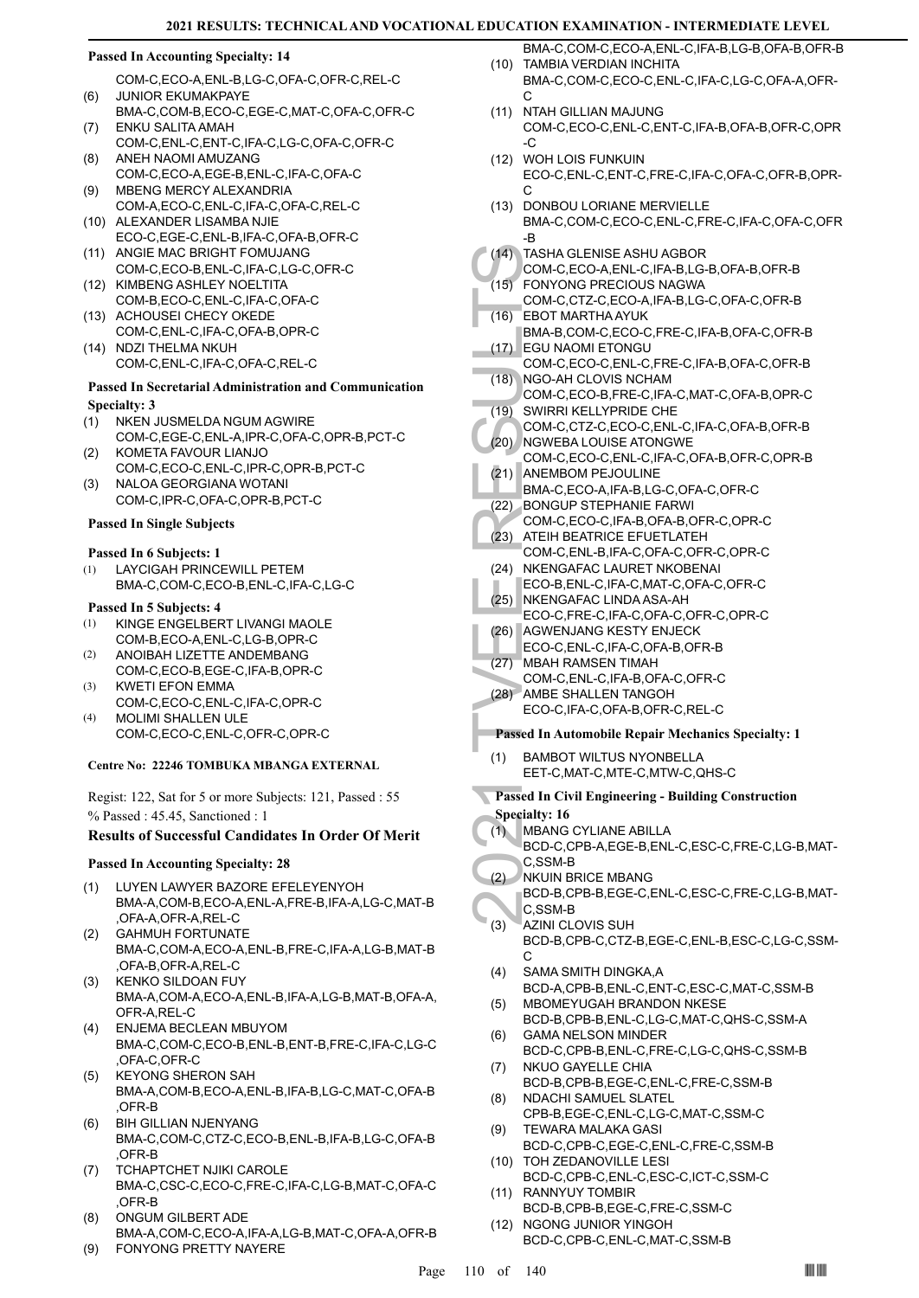#### **Passed In Accounting Specialty: 14**

COM-C,ECO-A,ENL-B,LG-C,OFA-C,OFR-C,REL-C JUNIOR EKUMAKPAYE (6)

- BMA-C,COM-B,ECO-C,EGE-C,MAT-C,OFA-C,OFR-C ENKU SALITA AMAH (7)
- COM-C,ENL-C,ENT-C,IFA-C,LG-C,OFA-C,OFR-C ANEH NAOMI AMUZANG (8)
- COM-C,ECO-A,EGE-B,ENL-C,IFA-C,OFA-C MBENG MERCY ALEXANDRIA (9)
- COM-A,ECO-C,ENL-C,IFA-C,OFA-C,REL-C (10) ALEXANDER LISAMBA NJIE
- ECO-C,EGE-C,ENL-B,IFA-C,OFA-B,OFR-C (11) ANGIE MAC BRIGHT FOMUJANG
- COM-C,ECO-B,ENL-C,IFA-C,LG-C,OFR-C (12) KIMBENG ASHLEY NOELTITA
- COM-B,ECO-C,ENL-C,IFA-C,OFA-C (13) ACHOUSEI CHECY OKEDE
- COM-C,ENL-C,IFA-C,OFA-B,OPR-C (14) NDZI THELMA NKUH
- COM-C,ENL-C,IFA-C,OFA-C,REL-C

#### **Passed In Secretarial Administration and Communication Specialty: 3**

- NKEN JUSMELDA NGUM AGWIRE (1)
- COM-C,EGE-C,ENL-A,IPR-C,OFA-C,OPR-B,PCT-C KOMETA FAVOUR LIANJO (2)
- COM-C,ECO-C,ENL-C,IPR-C,OPR-B,PCT-C NALOA GEORGIANA WOTANI (3)
- COM-C,IPR-C,OFA-C,OPR-B,PCT-C

## **Passed In Single Subjects**

#### **Passed In 6 Subjects: 1**

LAYCIGAH PRINCEWILL PETEM BMA-C,COM-C,ECO-B,ENL-C,IFA-C,LG-C (1)

#### **Passed In 5 Subjects: 4**

- KINGE ENGELBERT LIVANGI MAOLE COM-B,ECO-A,ENL-C,LG-B,OPR-C (1)
- ANOIBAH LIZETTE ANDEMBANG COM-C,ECO-B,EGE-C,IFA-B,OPR-C (2)
- KWETI EFON EMMA COM-C,ECO-C,ENL-C,IFA-C,OPR-C (3)
- MOLIMI SHALLEN ULE COM-C,ECO-C,ENL-C,OFR-C,OPR-C (4)

#### **Centre No: 22246 TOMBUKA MBANGA EXTERNAL**

Regist: 122, Sat for 5 or more Subjects: 121, Passed : 55 % Passed : 45.45, Sanctioned : 1

#### **Results of Successful Candidates In Order Of Merit**

#### **Passed In Accounting Specialty: 28**

- LUYEN LAWYER BAZORE EFELEYENYOH BMA-A,COM-B,ECO-A,ENL-A,FRE-B,IFA-A,LG-C,MAT-B ,OFA-A,OFR-A,REL-C (1)
- GAHMUH FORTUNATE BMA-C,COM-A,ECO-A,ENL-B,FRE-C,IFA-A,LG-B,MAT-B ,OFA-B,OFR-A,REL-C (2)
- KENKO SILDOAN FUY BMA-A,COM-A,ECO-A,ENL-B,IFA-A,LG-B,MAT-B,OFA-A, OFR-A,REL-C (3)
- ENJEMA BECLEAN MBUYOM BMA-C,COM-C,ECO-B,ENL-B,ENT-B,FRE-C,IFA-C,LG-C ,OFA-C,OFR-C (4)
- KEYONG SHERON SAH BMA-A,COM-B,ECO-A,ENL-B,IFA-B,LG-C,MAT-C,OFA-B ,OFR-B (5)
- BIH GILLIAN NJENYANG BMA-C,COM-C,CTZ-C,ECO-B,ENL-B,IFA-B,LG-C,OFA-B ,OFR-B (6)
- TCHAPTCHET NJIKI CAROLE BMA-C,CSC-C,ECO-C,FRE-C,IFA-C,LG-B,MAT-C,OFA-C ,OFR-B (7)
- ONGUM GILBERT ADE BMA-A,COM-C,ECO-A,IFA-A,LG-B,MAT-C,OFA-A,OFR-B (8)
- (9) FONYONG PRETTY NAYERE
- BMA-C,COM-C,ECO-A,ENL-C,IFA-B,LG-B,OFA-B,OFR-B (10) TAMBIA VERDIAN INCHITA
- BMA-C,COM-C,ECO-C,ENL-C,IFA-C,LG-C,OFA-A,OFR- $\mathcal{C}$
- (11) NTAH GILLIAN MAJUNG COM-C,ECO-C,ENL-C,ENT-C,IFA-B,OFA-B,OFR-C,OPR -C
- WOH LOIS FUNKUIN (12) ECO-C,ENL-C,ENT-C,FRE-C,IFA-C,OFA-C,OFR-B,OPR-C
- (13) DONBOU LORIANE MERVIELLE
- BMA-C,COM-C,ECO-C,ENL-C,FRE-C,IFA-C,OFA-C,OFR -B
- TASHA GLENISE ASHU AGBOR  $(14)$
- COM-C,ECO-A,ENL-C,IFA-B,LG-B,OFA-B,OFR-B FONYONG PRECIOUS NAGWA (15)
- COM-C,CTZ-C,ECO-A,IFA-B,LG-C,OFA-C,OFR-B EBOT MARTHA AYUK (16)
- BMA-B,COM-C,ECO-C,FRE-C,IFA-B,OFA-C,OFR-B EGU NAOMI ETONGU  $(17)$
- COM-C,ECO-C,ENL-C,FRE-C,IFA-B,OFA-C,OFR-B (18) NGO-AH CLOVIS NCHAM
- COM-C,ECO-B,FRE-C,IFA-C,MAT-C,OFA-B,OPR-C (19) SWIRRI KELLYPRIDE CHE
- COM-C,CTZ-C,ECO-C,ENL-C,IFA-C,OFA-B,OFR-B (20) NGWEBA LOUISE ATONGWE
- (14) TASHA<br>
COM-C,<br>
(15) FONYO COM-C,<br>
(16) EBOT M<br>
EGU NA-B,<br>
COM-C,<br>
(17) EGU NA-B,<br>
COM-C,<br>
(18) NGO-AL<br>
COM-C,<br>
(20) SWIRRI COM-C,<br>
(20) NGWEE<br>
COM-C,<br>
ANEMB BMA-C,<br>
(22) BONGU COM-C,<br>
(22) ATEIH E COM-C,<br>
(23) ATEIH E COM-C,ECO-C,ENL-C,IFA-C,OFA-B,OFR-C,OPR-B (21) ANEMBOM PEJOULINE
	- BMA-C,ECO-A,IFA-B,LG-C,OFA-C,OFR-C
- BONGUP STEPHANIE FARWI (22)
- COM-C,ECO-C,IFA-B,OFA-B,OFR-C,OPR-C
- (23) ATEIH BEATRICE EFUETLATEH COM-C,ENL-B,IFA-C,OFA-C,OFR-C,OPR-C
- (24) NKENGAFAC LAURET NKOBENAI ECO-B,ENL-C,IFA-C,MAT-C,OFA-C,OFR-C
- (25) NKENGAFAC LINDA ASA-AH ECO-C,FRE-C,IFA-C,OFA-C,OFR-C,OPR-C
- (26) AGWENJANG KESTY ENJECK
- ECO-C,ENL-C,IFA-C,OFA-B,OFR-B
- (27) MBAH RAMSEN TIMAH COM-C,ENL-C,IFA-B,OFA-C,OFR-C
- (28) AMBE SHALLEN TANGOH
	- ECO-C,IFA-C,OFA-B,OFR-C,REL-C

#### **Passed In Automobile Repair Mechanics Specialty: 1**

- BAMBOT WILTUS NYONBELLA EET-C,MAT-C,MTE-C,MTW-C,QHS-C (1)
- **Passed In Civil Engineering Building Construction**
- **Specialty: 16**
- MBANG CYLIANE ABILLA (1)
- BCD-C,CPB-A,EGE-B,ENL-C,ESC-C,FRE-C,LG-B,MAT-C,SSM-B
- NKUIN BRICE MBANG (2)
	- BCD-B,CPB-B,EGE-C,ENL-C,ESC-C,FRE-C,LG-B,MAT-C,SSM-B
- **AZINI CLOVIS SUH** BCD-B,CPB-C,CTZ-B,EGE-C,ENL-B,ESC-C,LG-C,SSM-C (3)
- SAMA SMITH DINGKA,A BCD-A,CPB-B,ENL-C,ENT-C,ESC-C,MAT-C,SSM-B (4) MBOMEYUGAH BRANDON NKESE
- BCD-B,CPB-B,ENL-C,LG-C,MAT-C,QHS-C,SSM-A (5) GAMA NELSON MINDER (6)
- BCD-C,CPB-B,ENL-C,FRE-C,LG-C,QHS-C,SSM-B NKUO GAYELLE CHIA (7)
- BCD-B,CPB-B,EGE-C,ENL-C,FRE-C,SSM-B NDACHI SAMUEL SLATEL (8)
- CPB-B,EGE-C,ENL-C,LG-C,MAT-C,SSM-C TEWARA MALAKA GASI (9)
- BCD-C,CPB-C,EGE-C,ENL-C,FRE-C,SSM-B (10) TOH ZEDANOVILLE LESI
- BCD-C,CPB-C,ENL-C,ESC-C,ICT-C,SSM-C (11) RANNYUY TOMBIR
- BCD-B,CPB-B,EGE-C,FRE-C,SSM-C (12) NGONG JUNIOR YINGOH
	- BCD-C,CPB-C,ENL-C,MAT-C,SSM-B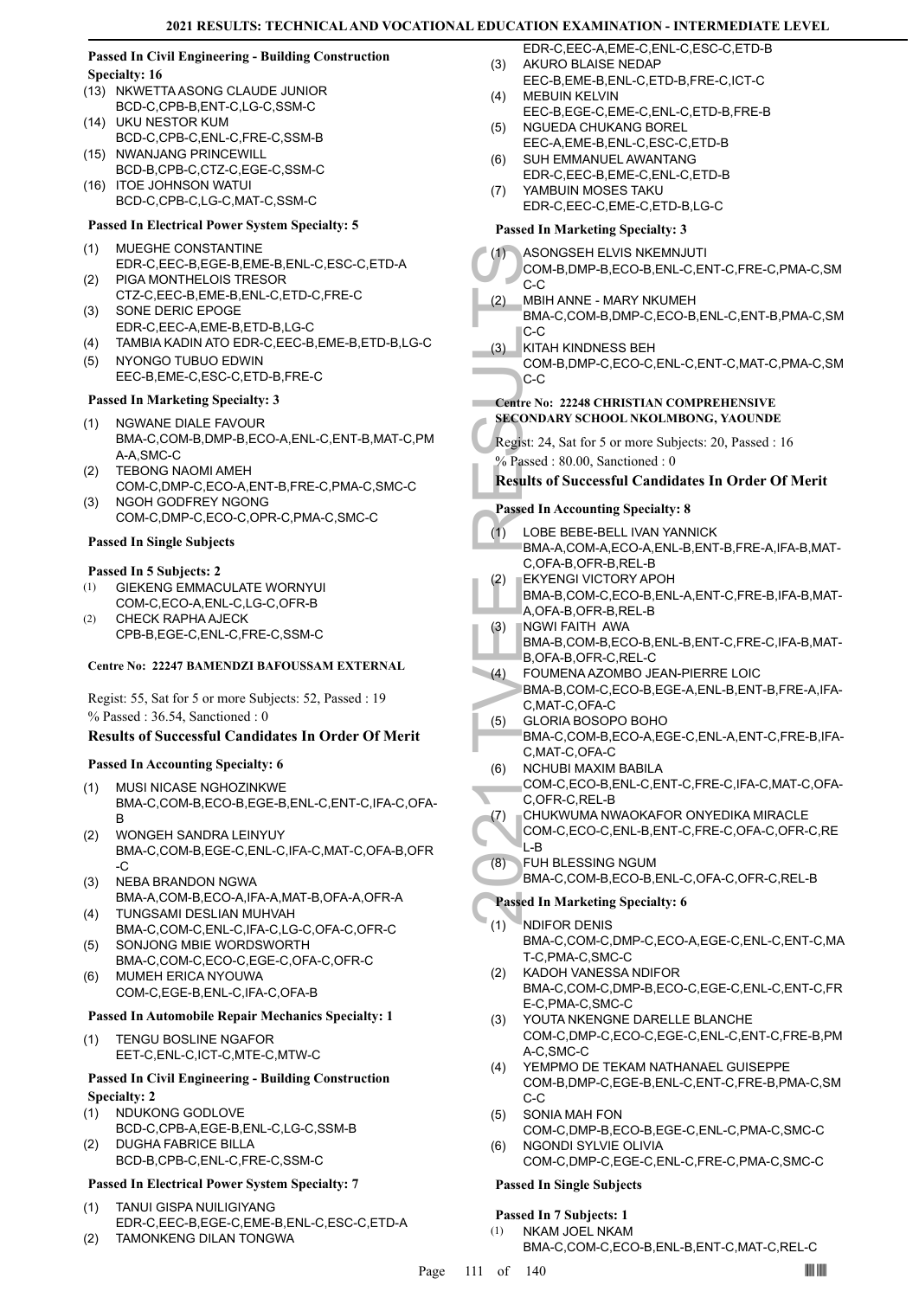#### **Passed In Civil Engineering - Building Construction Specialty: 16**

- (13) NKWETTA ASONG CLAUDE JUNIOR BCD-C,CPB-B,ENT-C,LG-C,SSM-C
- UKU NESTOR KUM (14) BCD-C,CPB-C,ENL-C,FRE-C,SSM-B
- (15) NWANJANG PRINCEWILL BCD-B,CPB-C,CTZ-C,EGE-C,SSM-C
- ITOE JOHNSON WATUI (16) BCD-C,CPB-C,LG-C,MAT-C,SSM-C

### **Passed In Electrical Power System Specialty: 5**

- MUEGHE CONSTANTINE (1) EDR-C,EEC-B,EGE-B,EME-B,ENL-C,ESC-C,ETD-A PIGA MONTHELOIS TRESOR (2)
- CTZ-C,EEC-B,EME-B,ENL-C,ETD-C,FRE-C SONE DERIC EPOGE (3)
- EDR-C,EEC-A,EME-B,ETD-B,LG-C
- (4) TAMBIA KADIN ATO EDR-C,EEC-B,EME-B,ETD-B,LG-C
- (5) NYONGO TUBUO EDWIN EEC-B,EME-C,ESC-C,ETD-B,FRE-C

#### **Passed In Marketing Specialty: 3**

- (1) NGWANE DIALE FAVOUR BMA-C,COM-B,DMP-B,ECO-A,ENL-C,ENT-B,MAT-C,PM A-A,SMC-C
- TEBONG NAOMI AMEH COM-C,DMP-C,ECO-A,ENT-B,FRE-C,PMA-C,SMC-C (2)
- NGOH GODFREY NGONG COM-C,DMP-C,ECO-C,OPR-C,PMA-C,SMC-C (3)

#### **Passed In Single Subjects**

#### **Passed In 5 Subjects: 2**

- GIEKENG EMMACULATE WORNYUI COM-C,ECO-A,ENL-C,LG-C,OFR-B (1)
- CHECK RAPHA AJECK CPB-B,EGE-C,ENL-C,FRE-C,SSM-C (2)

#### **Centre No: 22247 BAMENDZI BAFOUSSAM EXTERNAL**

Regist: 55, Sat for 5 or more Subjects: 52, Passed : 19 % Passed : 36.54, Sanctioned : 0

#### **Results of Successful Candidates In Order Of Merit**

#### **Passed In Accounting Specialty: 6**

- MUSI NICASE NGHOZINKWE BMA-C,COM-B,ECO-B,EGE-B,ENL-C,ENT-C,IFA-C,OFA-B (1)
- WONGEH SANDRA LEINYUY BMA-C,COM-B,EGE-C,ENL-C,IFA-C,MAT-C,OFA-B,OFR -C (2)
- NEBA BRANDON NGWA BMA-A,COM-B,ECO-A,IFA-A,MAT-B,OFA-A,OFR-A (3)
- TUNGSAMI DESLIAN MUHVAH BMA-C,COM-C,ENL-C,IFA-C,LG-C,OFA-C,OFR-C (4)
- (5) SONJONG MBIE WORDSWORTH BMA-C,COM-C,ECO-C,EGE-C,OFA-C,OFR-C
- MUMEH ERICA NYOUWA COM-C,EGE-B,ENL-C,IFA-C,OFA-B (6)

#### **Passed In Automobile Repair Mechanics Specialty: 1**

TENGU BOSLINE NGAFOR EET-C,ENL-C,ICT-C,MTE-C,MTW-C (1)

#### **Passed In Civil Engineering - Building Construction Specialty: 2**

- NDUKONG GODLOVE BCD-C,CPB-A,EGE-B,ENL-C,LG-C,SSM-B (1)
- DUGHA FABRICE BILLA BCD-B,CPB-C,ENL-C,FRE-C,SSM-C (2)

#### **Passed In Electrical Power System Specialty: 7**

- TANUI GISPA NUILIGIYANG EDR-C,EEC-B,EGE-C,EME-B,ENL-C,ESC-C,ETD-A (1)
- (2) TAMONKENG DILAN TONGWA
- EDR-C,EEC-A,EME-C,ENL-C,ESC-C,ETD-B AKURO BLAISE NEDAP (3)
- EEC-B,EME-B,ENL-C,ETD-B,FRE-C,ICT-C MEBUIN KELVIN (4)
- EEC-B,EGE-C,EME-C,ENL-C,ETD-B,FRE-B NGUEDA CHUKANG BOREL (5)
- EEC-A,EME-B,ENL-C,ESC-C,ETD-B SUH EMMANUEL AWANTANG (6)
- EDR-C,EEC-B,EME-C,ENL-C,ETD-B YAMBUIN MOSES TAKU (7)
	- EDR-C,EEC-C,EME-C,ETD-B,LG-C

## **Passed In Marketing Specialty: 3**

|     | I asseu III mai keung opetiany. J                                                                      |
|-----|--------------------------------------------------------------------------------------------------------|
| (1) | ASONGSEH ELVIS NKEMNJUTI<br>COM-B,DMP-B,ECO-B,ENL-C,ENT-C,FRE-C,PMA-C,SM<br>C-C                        |
| (2) | MBIH ANNE - MARY NKUMEH<br>BMA-C,COM-B,DMP-C,ECO-B,ENL-C,ENT-B,PMA-C,SM                                |
| (3) | C-C<br>KITAH KINDNESS BEH<br>COM-B,DMP-C,ECO-C,ENL-C,ENT-C,MAT-C,PMA-C,SM<br>C-C                       |
|     | <b>Centre No: 22248 CHRISTIAN COMPREHENSIVE</b><br><b>SECONDARY SCHOOL NKOLMBONG, YAOUNDE</b>          |
|     | Regist: 24, Sat for 5 or more Subjects: 20, Passed : 16<br>% Passed: 80.00, Sanctioned: 0              |
|     | <b>Results of Successful Candidates In Order Of Merit</b>                                              |
|     | <b>Passed In Accounting Specialty: 8</b>                                                               |
| (1) | LOBE BEBE-BELL IVAN YANNICK                                                                            |
|     | BMA-A,COM-A,ECO-A,ENL-B,ENT-B,FRE-A,IFA-B,MAT-<br>C,OFA-B,OFR-B,REL-B<br><b>EKYENGI VICTORY APOH</b>   |
| (2) | BMA-B,COM-C,ECO-B,ENL-A,ENT-C,FRE-B,IFA-B,MAT-<br>A, OFA-B, OFR-B, REL-B                               |
| (3) | <b>NGWI FAITH AWA</b><br>BMA-B,COM-B,ECO-B,ENL-B,ENT-C,FRE-C,IFA-B,MAT-<br>B,OFA-B,OFR-C,REL-C         |
| (4) | FOUMENA AZOMBO JEAN-PIERRE LOIC                                                                        |
|     | BMA-B,COM-C,ECO-B,EGE-A,ENL-B,ENT-B,FRE-A,IFA-                                                         |
| (5) | C, MAT-C, OFA-C<br><b>GLORIA BOSOPO BOHO</b>                                                           |
|     | BMA-C,COM-B,ECO-A,EGE-C,ENL-A,ENT-C,FRE-B,IFA-<br>C, MAT-C, OFA-C                                      |
| (6) | <b>NCHUBI MAXIM BABILA</b><br>COM-C,ECO-B,ENL-C,ENT-C,FRE-C,IFA-C,MAT-C,OFA-<br>C,OFR-C,REL-B          |
| (7) | CHUKWUMA NWAOKAFOR ONYEDIKA MIRACLE<br>COM-C,ECO-C,ENL-B,ENT-C,FRE-C,OFA-C,OFR-C,RE<br>I-B             |
| (8) | FUH BLESSING NGUM<br>BMA-C,COM-B,ECO-B,ENL-C,OFA-C,OFR-C,REL-B                                         |
|     | <b>Passed In Marketing Specialty: 6</b>                                                                |
| (1) | NDIFOR DENIS<br>BMA-C,COM-C,DMP-C,ECO-A,EGE-C,ENL-C,ENT-C,MA                                           |
| (2) | T-C,PMA-C,SMC-C<br>KADOH VANESSA NDIFOR<br>BMA-C,COM-C,DMP-B,ECO-C,EGE-C,ENL-C,ENT-C,FR                |
| (3) | E-C, PMA-C, SMC-C<br>YOUTA NKENGNE DARELLE BLANCHE<br>COM-C,DMP-C,ECO-C,EGE-C,ENL-C,ENT-C,FRE-B,PM     |
| (4) | A-C,SMC-C<br>YEMPMO DE TEKAM NATHANAEL GUISEPPE<br>COM-B, DMP-C, EGE-B, ENL-C, ENT-C, FRE-B, PMA-C, SM |
| (5) | $C-C$<br>SONIA MAH FON<br>COM-C,DMP-B,ECO-B,EGE-C,ENL-C,PMA-C,SMC-C                                    |
| (6) | NGONDI SYLVIE OLIVIA<br>COM-C,DMP-C,EGE-C,ENL-C,FRE-C,PMA-C,SMC-C                                      |
|     | <b>Passed In Single Subjects</b>                                                                       |

#### **Passed In 7 Subjects: 1**

- NKAM JOEL NKAM (1)
	- BMA-C,COM-C,ECO-B,ENL-B,ENT-C,MAT-C,REL-C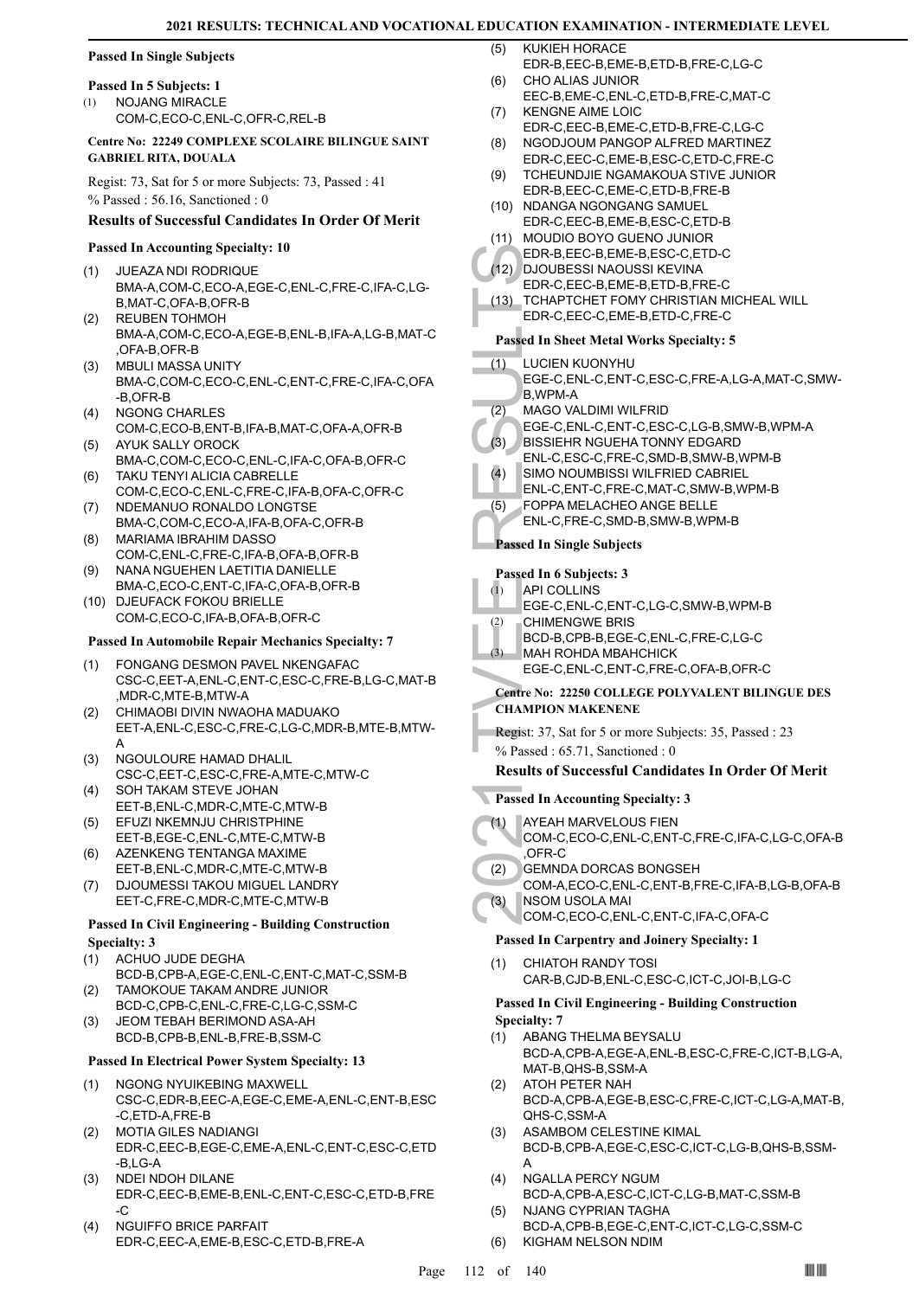## **Passed In Single Subjects**

## **Passed In 5 Subjects: 1**

NOJANG MIRACLE COM-C,ECO-C,ENL-C,OFR-C,REL-B (1)

#### **Centre No: 22249 COMPLEXE SCOLAIRE BILINGUE SAINT GABRIEL RITA, DOUALA**

Regist: 73, Sat for 5 or more Subjects: 73, Passed : 41 % Passed : 56.16, Sanctioned : 0

#### **Results of Successful Candidates In Order Of Merit**

#### **Passed In Accounting Specialty: 10**

- JUEAZA NDI RODRIQUE BMA-A,COM-C,ECO-A,EGE-C,ENL-C,FRE-C,IFA-C,LG-B,MAT-C,OFA-B,OFR-B (1)
- REUBEN TOHMOH BMA-A,COM-C,ECO-A,EGE-B,ENL-B,IFA-A,LG-B,MAT-C ,OFA-B,OFR-B (2)
- MBULI MASSA UNITY BMA-C,COM-C,ECO-C,ENL-C,ENT-C,FRE-C,IFA-C,OFA -B,OFR-B (3)
- NGONG CHARLES COM-C,ECO-B,ENT-B,IFA-B,MAT-C,OFA-A,OFR-B (4) AYUK SALLY OROCK (5)
- BMA-C,COM-C,ECO-C,ENL-C,IFA-C,OFA-B,OFR-C TAKU TENYI ALICIA CABRELLE (6)
- COM-C,ECO-C,ENL-C,FRE-C,IFA-B,OFA-C,OFR-C NDEMANUO RONALDO LONGTSE (7)
- BMA-C,COM-C,ECO-A,IFA-B,OFA-C,OFR-B MARIAMA IBRAHIM DASSO (8)
- COM-C,ENL-C,FRE-C,IFA-B,OFA-B,OFR-B NANA NGUEHEN LAETITIA DANIELLE (9)
- BMA-C,ECO-C,ENT-C,IFA-C,OFA-B,OFR-B (10) DJEUFACK FOKOU BRIELLE
- COM-C,ECO-C,IFA-B,OFA-B,OFR-C **Passed In Automobile Repair Mechanics Specialty: 7**

#### FONGANG DESMON PAVEL NKENGAFAC CSC-C,EET-A,ENL-C,ENT-C,ESC-C,FRE-B,LG-C,MAT-B ,MDR-C,MTE-B,MTW-A (1)

- CHIMAOBI DIVIN NWAOHA MADUAKO EET-A,ENL-C,ESC-C,FRE-C,LG-C,MDR-B,MTE-B,MTW-A (2)
- NGOULOURE HAMAD DHALIL CSC-C,EET-C,ESC-C,FRE-A,MTE-C,MTW-C (3)
- SOH TAKAM STEVE JOHAN EET-B,ENL-C,MDR-C,MTE-C,MTW-B (4)
- EFUZI NKEMNJU CHRISTPHINE EET-B,EGE-C,ENL-C,MTE-C,MTW-B (5)
- AZENKENG TENTANGA MAXIME EET-B,ENL-C,MDR-C,MTE-C,MTW-B (6)
- DJOUMESSI TAKOU MIGUEL LANDRY EET-C,FRE-C,MDR-C,MTE-C,MTW-B (7)

#### **Passed In Civil Engineering - Building Construction Specialty: 3**

- ACHUO JUDE DEGHA (1)
- BCD-B,CPB-A,EGE-C,ENL-C,ENT-C,MAT-C,SSM-B TAMOKOUE TAKAM ANDRE JUNIOR (2)
- BCD-C,CPB-C,ENL-C,FRE-C,LG-C,SSM-C JEOM TEBAH BERIMOND ASA-AH (3)
- BCD-B,CPB-B,ENL-B,FRE-B,SSM-C

#### **Passed In Electrical Power System Specialty: 13**

- NGONG NYUIKEBING MAXWELL CSC-C,EDR-B,EEC-A,EGE-C,EME-A,ENL-C,ENT-B,ESC -C,ETD-A,FRE-B (1)
- MOTIA GILES NADIANGI EDR-C,EEC-B,EGE-C,EME-A,ENL-C,ENT-C,ESC-C,ETD -B,LG-A (2)
- NDEI NDOH DILANE EDR-C,EEC-B,EME-B,ENL-C,ENT-C,ESC-C,ETD-B,FRE -C (3)
- NGUIFFO BRICE PARFAIT EDR-C,EEC-A,EME-B,ESC-C,ETD-B,FRE-A (4)
- KUKIEH HORACE EDR-B,EEC-B,EME-B,ETD-B,FRE-C,LG-C  $(5)$
- CHO ALIAS JUNIOR EEC-B,EME-C,ENL-C,ETD-B,FRE-C,MAT-C (6)
- KENGNE AIME LOIC (7)
- EDR-C,EEC-B,EME-C,ETD-B,FRE-C,LG-C NGODJOUM PANGOP ALFRED MARTINEZ (8)
- EDR-C,EEC-C,EME-B,ESC-C,ETD-C,FRE-C TCHEUNDJIE NGAMAKOUA STIVE JUNIOR (9)
- EDR-B,EEC-C,EME-C,ETD-B,FRE-B
- (10) NDANGA NGONGANG SAMUEL EDR-C,EEC-B,EME-B,ESC-C,ETD-B
- (11) MOUDIO BOYO GUENO JUNIOR
- EDR-B,EEC-B,EME-B,ESC-C,ETD-C
- DJOUBESSI NAOUSSI KEVINA (12) EDR-C,EEC-B,EME-B,ETD-B,FRE-C
- EDR-B, (12)<br>
EDR-C, (13) TCHAP<br>
EDR-C, Passed In Sh<br>
EDR-C, Passed In Sh<br>
(1) LUCIEN<br>
EGE-C, B, WPM-<br>
EGE-C, B, WPM-<br>
EGE-C, BISSIEF<br>
ENL-C, FOPPA ENL-C, FOPPA ENL-C, FOPPA ENL-C, FOPPA ENL-C, FOPPA ENL-C, FOPPA ENL-C, FOP TCHAPTCHET FOMY CHRISTIAN MICHEAL WILL EDR-C,EEC-C,EME-B,ETD-C,FRE-C (13)

#### **Passed In Sheet Metal Works Specialty: 5**

- LUCIEN KUONYHU (1)
- EGE-C,ENL-C,ENT-C,ESC-C,FRE-A,LG-A,MAT-C,SMW-B,WPM-A
- MAGO VALDIMI WILFRID (2)
- EGE-C,ENL-C,ENT-C,ESC-C,LG-B,SMW-B,WPM-A
- BISSIEHR NGUEHA TONNY EDGARD (3)
- ENL-C,ESC-C,FRE-C,SMD-B,SMW-B,WPM-B
- SIMO NOUMBISSI WILFRIED CABRIEL (4)
- ENL-C,ENT-C,FRE-C,MAT-C,SMW-B,WPM-B
- FOPPA MELACHEO ANGE BELLE (5)
- ENL-C,FRE-C,SMD-B,SMW-B,WPM-B

#### **Passed In Single Subjects**

#### **Passed In 6 Subjects: 3**

- **API COLLINS** (1)
- EGE-C,ENL-C,ENT-C,LG-C,SMW-B,WPM-B
- CHIMENGWE BRIS (2)
	- BCD-B,CPB-B,EGE-C,ENL-C,FRE-C,LG-C
- MAH ROHDA MBAHCHICK (3)
	- EGE-C,ENL-C,ENT-C,FRE-C,OFA-B,OFR-C

#### **Centre No: 22250 COLLEGE POLYVALENT BILINGUE DES CHAMPION MAKENENE**

- Regist: 37, Sat for 5 or more Subjects: 35, Passed : 23
- % Passed : 65.71, Sanctioned : 0

## **Results of Successful Candidates In Order Of Merit**

- **Passed In Accounting Specialty: 3**
- AYEAH MARVELOUS FIEN (1)
- COM-C,ECO-C,ENL-C,ENT-C,FRE-C,IFA-C,LG-C,OFA-B ,OFR-C
- GEMNDA DORCAS BONGSEH (2)
- COM-A,ECO-C,ENL-C,ENT-B,FRE-C,IFA-B,LG-B,OFA-B NSOM USOLA MAI (3)
- COM-C,ECO-C,ENL-C,ENT-C,IFA-C,OFA-C

## **Passed In Carpentry and Joinery Specialty: 1**

CHIATOH RANDY TOSI CAR-B,CJD-B,ENL-C,ESC-C,ICT-C,JOI-B,LG-C (1)

#### **Passed In Civil Engineering - Building Construction Specialty: 7**

- ABANG THELMA BEYSALU BCD-A,CPB-A,EGE-A,ENL-B,ESC-C,FRE-C,ICT-B,LG-A, MAT-B,QHS-B,SSM-A (1)
- ATOH PETER NAH BCD-A,CPB-A,EGE-B,ESC-C,FRE-C,ICT-C,LG-A,MAT-B, QHS-C,SSM-A (2)
- ASAMBOM CELESTINE KIMAL BCD-B,CPB-A,EGE-C,ESC-C,ICT-C,LG-B,QHS-B,SSM-A (3)

#### NGALLA PERCY NGUM (4)

- BCD-A,CPB-A,ESC-C,ICT-C,LG-B,MAT-C,SSM-B NJANG CYPRIAN TAGHA (5)
- BCD-A,CPB-B,EGE-C,ENT-C,ICT-C,LG-C,SSM-C (6) KIGHAM NELSON NDIM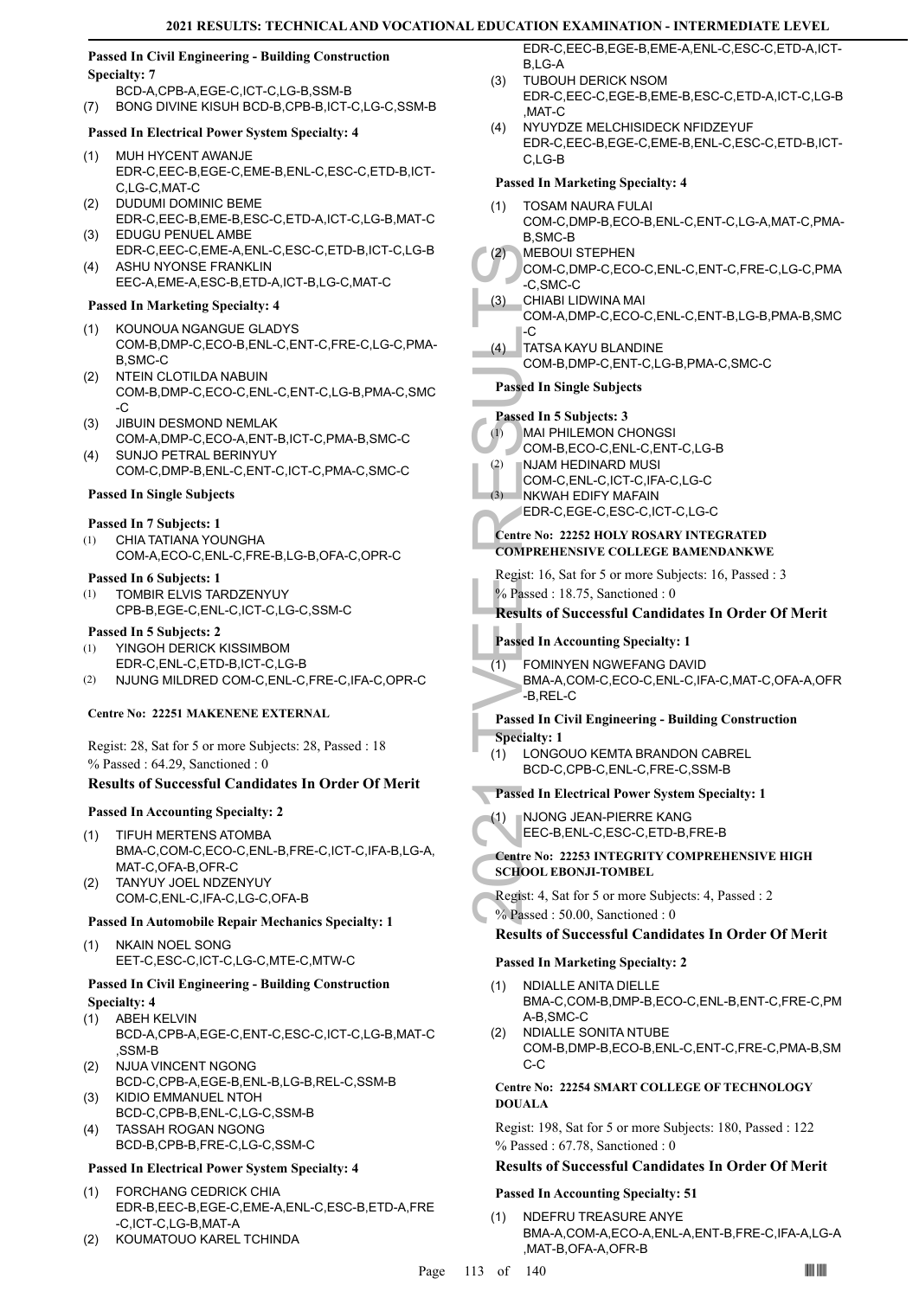#### **Passed In Civil Engineering - Building Construction Specialty: 7**

- BCD-A,CPB-A,EGE-C,ICT-C,LG-B,SSM-B
- (7) BONG DIVINE KISUH BCD-B,CPB-B,ICT-C,LG-C,SSM-B

## **Passed In Electrical Power System Specialty: 4**

- MUH HYCENT AWANJE (1) EDR-C,EEC-B,EGE-C,EME-B,ENL-C,ESC-C,ETD-B,ICT-C,LG-C,MAT-C
- DUDUMI DOMINIC BEME EDR-C,EEC-B,EME-B,ESC-C,ETD-A,ICT-C,LG-B,MAT-C (2)
- EDUGU PENUEL AMBE (3) EDR-C,EEC-C,EME-A,ENL-C,ESC-C,ETD-B,ICT-C,LG-B ASHU NYONSE FRANKLIN (4)
- EEC-A,EME-A,ESC-B,ETD-A,ICT-B,LG-C,MAT-C

## **Passed In Marketing Specialty: 4**

- (1) KOUNOUA NGANGUE GLADYS COM-B,DMP-C,ECO-B,ENL-C,ENT-C,FRE-C,LG-C,PMA-B,SMC-C
- NTEIN CLOTILDA NABUIN COM-B,DMP-C,ECO-C,ENL-C,ENT-C,LG-B,PMA-C,SMC -C (2)
- JIBUIN DESMOND NEMLAK (3) COM-A,DMP-C,ECO-A,ENT-B,ICT-C,PMA-B,SMC-C
- SUNJO PETRAL BERINYUY COM-C,DMP-B,ENL-C,ENT-C,ICT-C,PMA-C,SMC-C (4)

#### **Passed In Single Subjects**

#### **Passed In 7 Subjects: 1**

CHIA TATIANA YOUNGHA COM-A,ECO-C,ENL-C,FRE-B,LG-B,OFA-C,OPR-C (1)

#### **Passed In 6 Subjects: 1**

TOMBIR ELVIS TARDZENYUY CPB-B,EGE-C,ENL-C,ICT-C,LG-C,SSM-C (1)

#### **Passed In 5 Subjects: 2**

- YINGOH DERICK KISSIMBOM EDR-C,ENL-C,ETD-B,ICT-C,LG-B (1)
- (2) NJUNG MILDRED COM-C,ENL-C,FRE-C,IFA-C,OPR-C

#### **Centre No: 22251 MAKENENE EXTERNAL**

Regist: 28, Sat for 5 or more Subjects: 28, Passed : 18 % Passed : 64.29, Sanctioned : 0

## **Results of Successful Candidates In Order Of Merit**

#### **Passed In Accounting Specialty: 2**

- TIFUH MERTENS ATOMBA BMA-C,COM-C,ECO-C,ENL-B,FRE-C,ICT-C,IFA-B,LG-A, MAT-C,OFA-B,OFR-C (1)
- TANYUY JOEL NDZENYUY COM-C,ENL-C,IFA-C,LG-C,OFA-B (2)

#### **Passed In Automobile Repair Mechanics Specialty: 1**

(1) NKAIN NOEL SONG EET-C,ESC-C,ICT-C,LG-C,MTE-C,MTW-C

#### **Passed In Civil Engineering - Building Construction Specialty: 4**

- (1) ABEH KELVIN
- BCD-A,CPB-A,EGE-C,ENT-C,ESC-C,ICT-C,LG-B,MAT-C ,SSM-B
- NJUA VINCENT NGONG BCD-C,CPB-A,EGE-B,ENL-B,LG-B,REL-C,SSM-B (2) KIDIO EMMANUEL NTOH (3)
- BCD-C,CPB-B,ENL-C,LG-C,SSM-B
- TASSAH ROGAN NGONG BCD-B,CPB-B,FRE-C,LG-C,SSM-C (4)

#### **Passed In Electrical Power System Specialty: 4**

- FORCHANG CEDRICK CHIA (1) EDR-B,EEC-B,EGE-C,EME-A,ENL-C,ESC-B,ETD-A,FRE -C,ICT-C,LG-B,MAT-A
- (2) KOUMATOUO KAREL TCHINDA

EDR-C,EEC-B,EGE-B,EME-A,ENL-C,ESC-C,ETD-A,ICT- $B$ , G-A

- TUBOUH DERICK NSOM EDR-C,EEC-C,EGE-B,EME-B,ESC-C,ETD-A,ICT-C,LG-B  $MAT-C$ (3)
- (4) NYUYDZE MELCHISIDECK NFIDZEYUF EDR-C,EEC-B,EGE-C,EME-B,ENL-C,ESC-C,ETD-B,ICT-C,LG-B

| <b>Passed In Marketing Specialty: 4</b>                                                                                    |
|----------------------------------------------------------------------------------------------------------------------------|
| (1)<br>TOSAM NAURA FULAI                                                                                                   |
| COM-C,DMP-B,ECO-B,ENL-C,ENT-C,LG-A,MAT-C,PMA-<br>B,SMC-B<br><b>MEBOUI STEPHEN</b><br>(2)                                   |
| COM-C,DMP-C,ECO-C,ENL-C,ENT-C,FRE-C,LG-C,PMA<br>$-C$ , SMC-C                                                               |
| CHIABI LIDWINA MAI<br>(3)<br>COM-A,DMP-C,ECO-C,ENL-C,ENT-B,LG-B,PMA-B,SMC<br>-C                                            |
| TATSA KAYU BLANDINE<br>(4)<br>COM-B,DMP-C,ENT-C,LG-B,PMA-C,SMC-C                                                           |
| <b>Passed In Single Subjects</b>                                                                                           |
| Passed In 5 Subjects: 3<br><b>MAI PHILEMON CHONGSI</b><br>(1)<br>COM-B,ECO-C,ENL-C,ENT-C,LG-B<br>NJAM HEDINARD MUSI<br>(2) |
| COM-C, ENL-C, ICT-C, IFA-C, LG-C<br>NKWAH EDIFY MAFAIN<br>(3)                                                              |
| EDR-C,EGE-C,ESC-C,ICT-C,LG-C                                                                                               |
| Centre No: 22252 HOLY ROSARY INTEGRATED<br><b>COMPREHENSIVE COLLEGE BAMENDANKWE</b>                                        |
| Regist: 16, Sat for 5 or more Subjects: 16, Passed: 3<br>$%$ Passed : 18.75, Sanctioned : 0                                |
| <b>Results of Successful Candidates In Order Of Merit</b>                                                                  |
| <b>Passed In Accounting Specialty: 1</b>                                                                                   |
| (1)<br>FOMINYEN NGWEFANG DAVID<br>BMA-A,COM-C,ECO-C,ENL-C,IFA-C,MAT-C,OFA-A,OFR<br>-B,REL-C                                |
|                                                                                                                            |
| <b>Passed In Civil Engineering - Building Construction</b>                                                                 |
| <b>Specialty: 1</b><br>LONGOUO KEMTA BRANDON CABREL<br>(1)<br>BCD-C,CPB-C,ENL-C,FRE-C,SSM-B                                |
| <b>Passed In Electrical Power System Specialty: 1</b>                                                                      |
| NJONG JEAN-PIERRE KANG<br>(1)<br>EEC-B,ENL-C,ESC-C,ETD-B,FRE-B                                                             |
| Centre No: 22253 INTEGRITY COMPREHENSIVE HIGH<br><b>SCHOOL EBONJI-TOMBEL</b>                                               |
| Regist: 4, Sat for 5 or more Subjects: 4, Passed: 2<br>% Passed: 50.00, Sanctioned: 0                                      |
| <b>Results of Successful Candidates In Order Of Merit</b>                                                                  |
| <b>Passed In Marketing Specialty: 2</b>                                                                                    |
| <b>NDIALLE ANITA DIELLE</b><br>(1)<br>BMA-C,COM-B,DMP-B,ECO-C,ENL-B,ENT-C,FRE-C,PM                                         |
| A-B, SMC-C<br>NDIALLE SONITA NTUBE<br>(2)<br>COM-B, DMP-B, ECO-B, ENL-C, ENT-C, FRE-C, PMA-B, SM<br>C-C                    |
| Centre No: 22254 SMART COLLEGE OF TECHNOLOGY<br><b>DOUALA</b>                                                              |
| Regist: 198, Sat for 5 or more Subjects: 180, Passed : 122                                                                 |
| $%$ Passed: 67.78, Sanctioned: 0                                                                                           |
| <b>Results of Successful Candidates In Order Of Merit</b>                                                                  |
| <b>Passed In Accounting Specialty: 51</b><br>NDEFRU TREASURE ANYE<br>(1)                                                   |

,MAT-B,OFA-A,OFR-B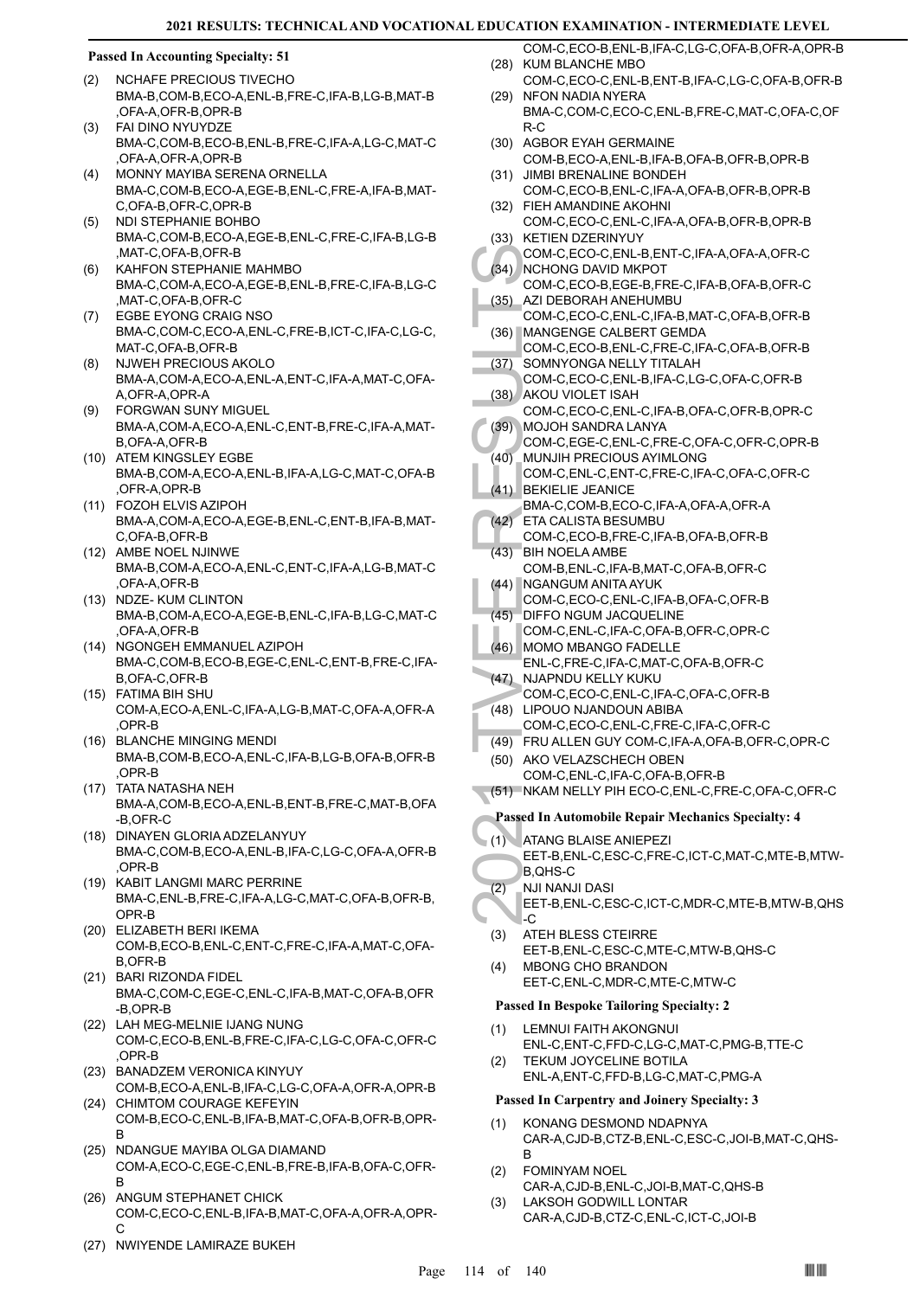#### **Passed In Accounting Specialty: 51**

- NCHAFE PRECIOUS TIVECHO BMA-B,COM-B,ECO-A,ENL-B,FRE-C,IFA-B,LG-B,MAT-B ,OFA-A,OFR-B,OPR-B (2)
- FAI DINO NYUYDZE BMA-C,COM-B,ECO-B,ENL-B,FRE-C,IFA-A,LG-C,MAT-C ,OFA-A,OFR-A,OPR-B (3)
- MONNY MAYIBA SERENA ORNELLA BMA-C,COM-B,ECO-A,EGE-B,ENL-C,FRE-A,IFA-B,MAT-C,OFA-B,OFR-C,OPR-B (4)
- NDI STEPHANIE BOHBO BMA-C,COM-B,ECO-A,EGE-B,ENL-C,FRE-C,IFA-B,LG-B ,MAT-C,OFA-B,OFR-B (5)
- KAHFON STEPHANIE MAHMBO BMA-C,COM-A,ECO-A,EGE-B,ENL-B,FRE-C,IFA-B,LG-C ,MAT-C,OFA-B,OFR-C (6)
- EGBE EYONG CRAIG NSO BMA-C,COM-C,ECO-A,ENL-C,FRE-B,ICT-C,IFA-C,LG-C, MAT-C,OFA-B,OFR-B (7)
- NJWEH PRECIOUS AKOLO BMA-A,COM-A,ECO-A,ENL-A,ENT-C,IFA-A,MAT-C,OFA-A,OFR-A,OPR-A (8)
- FORGWAN SUNY MIGUEL BMA-A,COM-A,ECO-A,ENL-C,ENT-B,FRE-C,IFA-A,MAT-B,OFA-A,OFR-B (9)
- (10) ATEM KINGSLEY EGBE BMA-B,COM-A,ECO-A,ENL-B,IFA-A,LG-C,MAT-C,OFA-B ,OFR-A,OPR-B
- FOZOH ELVIS AZIPOH (11) BMA-A,COM-A,ECO-A,EGE-B,ENL-C,ENT-B,IFA-B,MAT-C,OFA-B,OFR-B
- (12) AMBE NOEL NJINWE BMA-B,COM-A,ECO-A,ENL-C,ENT-C,IFA-A,LG-B,MAT-C ,OFA-A,OFR-B
- (13) NDZE- KUM CLINTON BMA-B,COM-A,ECO-A,EGE-B,ENL-C,IFA-B,LG-C,MAT-C ,OFA-A,OFR-B
- (14) NGONGEH EMMANUEL AZIPOH BMA-C,COM-B,ECO-B,EGE-C,ENL-C,ENT-B,FRE-C,IFA-B,OFA-C,OFR-B
- FATIMA BIH SHU (15) COM-A,ECO-A,ENL-C,IFA-A,LG-B,MAT-C,OFA-A,OFR-A ,OPR-B
- (16) BLANCHE MINGING MENDI BMA-B,COM-B,ECO-A,ENL-C,IFA-B,LG-B,OFA-B,OFR-B ,OPR-B
- (17) TATA NATASHA NEH BMA-A,COM-B,ECO-A,ENL-B,ENT-B,FRE-C,MAT-B,OFA -B,OFR-C
- (18) DINAYEN GLORIA ADZELANYUY BMA-C,COM-B,ECO-A,ENL-B,IFA-C,LG-C,OFA-A,OFR-B ,OPR-B
- (19) KABIT LANGMI MARC PERRINE BMA-C,ENL-B,FRE-C,IFA-A,LG-C,MAT-C,OFA-B,OFR-B, OPR-B
- ELIZABETH BERI IKEMA (20) COM-B,ECO-B,ENL-C,ENT-C,FRE-C,IFA-A,MAT-C,OFA-B,OFR-B
- (21) BARI RIZONDA FIDEL BMA-C,COM-C,EGE-C,ENL-C,IFA-B,MAT-C,OFA-B,OFR -B,OPR-B
- (22) LAH MEG-MELNIE IJANG NUNG COM-C,ECO-B,ENL-B,FRE-C,IFA-C,LG-C,OFA-C,OFR-C ,OPR-B
- (23) BANADZEM VERONICA KINYUY COM-B,ECO-A,ENL-B,IFA-C,LG-C,OFA-A,OFR-A,OPR-B
- (24) CHIMTOM COURAGE KEFEYIN COM-B,ECO-C,ENL-B,IFA-B,MAT-C,OFA-B,OFR-B,OPR-B
- (25) NDANGUE MAYIBA OLGA DIAMAND COM-A,ECO-C,EGE-C,ENL-B,FRE-B,IFA-B,OFA-C,OFR-B
- (26) ANGUM STEPHANET CHICK COM-C,ECO-C,ENL-B,IFA-B,MAT-C,OFA-A,OFR-A,OPR-C
- (27) NWIYENDE LAMIRAZE BUKEH
- COM-C,ECO-B,ENL-B,IFA-C,LG-C,OFA-B,OFR-A,OPR-B (28) KUM BLANCHE MBO
- COM-C,ECO-C,ENL-B,ENT-B,IFA-C,LG-C,OFA-B,OFR-B (29) NFON NADIA NYERA
	- BMA-C,COM-C,ECO-C,ENL-B,FRE-C,MAT-C,OFA-C,OF R-C
- (30) AGBOR EYAH GERMAINE
- COM-B,ECO-A,ENL-B,IFA-B,OFA-B,OFR-B,OPR-B (31) JIMBI BRENALINE BONDEH
- COM-C,ECO-B,ENL-C,IFA-A,OFA-B,OFR-B,OPR-B FIEH AMANDINE AKOHNI (32)
- COM-C,ECO-C,ENL-C,IFA-A,OFA-B,OFR-B,OPR-B (33) KETIEN DZERINYUY
- COM-C,ECO-C,ENL-B,ENT-C,IFA-A,OFA-A,OFR-C (34) NCHONG DAVID MKPOT
- COM-C,ECO-B,EGE-B,FRE-C,IFA-B,OFA-B,OFR-C AZI DEBORAH ANEHUMBU (35)
- COM-C,ECO-C,ENL-C,IFA-B,MAT-C,OFA-B,OFR-B MANGENGE CALBERT GEMDA (36)
- COM-C,ECO-B,ENL-C,FRE-C,IFA-C,OFA-B,OFR-B SOMNYONGA NELLY TITALAH (37)
	- COM-C,ECO-C,ENL-B,IFA-C,LG-C,OFA-C,OFR-B AKOU VIOLET ISAH (38)
- COM-C,ECO-C,ENL-C,IFA-B,OFA-C,OFR-B,OPR-C MOJOH SANDRA LANYA (39)
- COM-C,EGE-C,ENL-C,FRE-C,OFA-C,OFR-C,OPR-B
- MUNJIH PRECIOUS AYIMLONG COM-C,ENL-C,ENT-C,FRE-C,IFA-C,OFA-C,OFR-C (40)
- (41) BEKIELIE JEANICE BMA-C,COM-B,ECO-C,IFA-A,OFA-A,OFR-A ETA CALISTA BESUMBU  $(42)$
- COM-C,ECO-B,FRE-C,IFA-B,OFA-B,OFR-B BIH NOELA AMBE (43)
- COM-B,ENL-C,IFA-B,MAT-C,OFA-B,OFR-C NGANGUM ANITA AYUK (44)
- COM-C,ECO-C,ENL-C,IFA-B,OFA-C,OFR-B
- DIFFO NGUM JACQUELINE COM-C,ENL-C,IFA-C,OFA-B,OFR-C,OPR-C (45)
- (46) MOMO MBANGO FADELLE ENL-C,FRE-C,IFA-C,MAT-C,OFA-B,OFR-C
- (47) NJAPNDU KELLY KUKU COM-C,ECO-C,ENL-C,IFA-C,OFA-C,OFR-B (48) LIPOUO NJANDOUN ABIBA
- COM-C,ECO-C,ENL-C,FRE-C,IFA-C,OFR-C
- (49) FRU ALLEN GUY COM-C,IFA-A,OFA-B,OFR-C,OPR-C
- COM-C, (34) NCHON COM-C, (36) AZI DEE COM-C, (36) MANGE COM-C, (37) SOMNY COM-C, (37) SOMNY COM-C, (38) AKOU V COM-C, (39) MOJOH COM-C, (42) ETA CA COM-C, (42) ETA CA COM-C, (42) ETA CA COM-C, (43) BIH NOI COM-B, (42) ETA AKO VELAZSCHECH OBEN COM-C,ENL-C,IFA-C,OFA-B,OFR-B (50)
	- (51) NKAM NELLY PIH ECO-C,ENL-C,FRE-C,OFA-C,OFR-C

#### **Passed In Automobile Repair Mechanics Specialty: 4**

- ATANG BLAISE ANIEPEZI (1)
- EET-B,ENL-C,ESC-C,FRE-C,ICT-C,MAT-C,MTE-B,MTW-B,QHS-C
- NJI NANJI DASI (2)
	- EET-B,ENL-C,ESC-C,ICT-C,MDR-C,MTE-B,MTW-B,QHS -C
- ATEH BLESS CTEIRRE EET-B,ENL-C,ESC-C,MTE-C,MTW-B,QHS-C (3) MBONG CHO BRANDON (4)
- EET-C,ENL-C,MDR-C,MTE-C,MTW-C

#### **Passed In Bespoke Tailoring Specialty: 2**

- LEMNUI FAITH AKONGNUI ENL-C,ENT-C,FFD-C,LG-C,MAT-C,PMG-B,TTE-C (1)
- TEKUM JOYCELINE BOTILA ENL-A,ENT-C,FFD-B,LG-C,MAT-C,PMG-A  $(2)$

#### **Passed In Carpentry and Joinery Specialty: 3**

- KONANG DESMOND NDAPNYA CAR-A,CJD-B,CTZ-B,ENL-C,ESC-C,JOI-B,MAT-C,QHS-B (1)
- FOMINYAM NOEL CAR-A,CJD-B,ENL-C,JOI-B,MAT-C,QHS-B (2) LAKSOH GODWILL LONTAR (3)
	- CAR-A,CJD-B,CTZ-C,ENL-C,ICT-C,JOI-B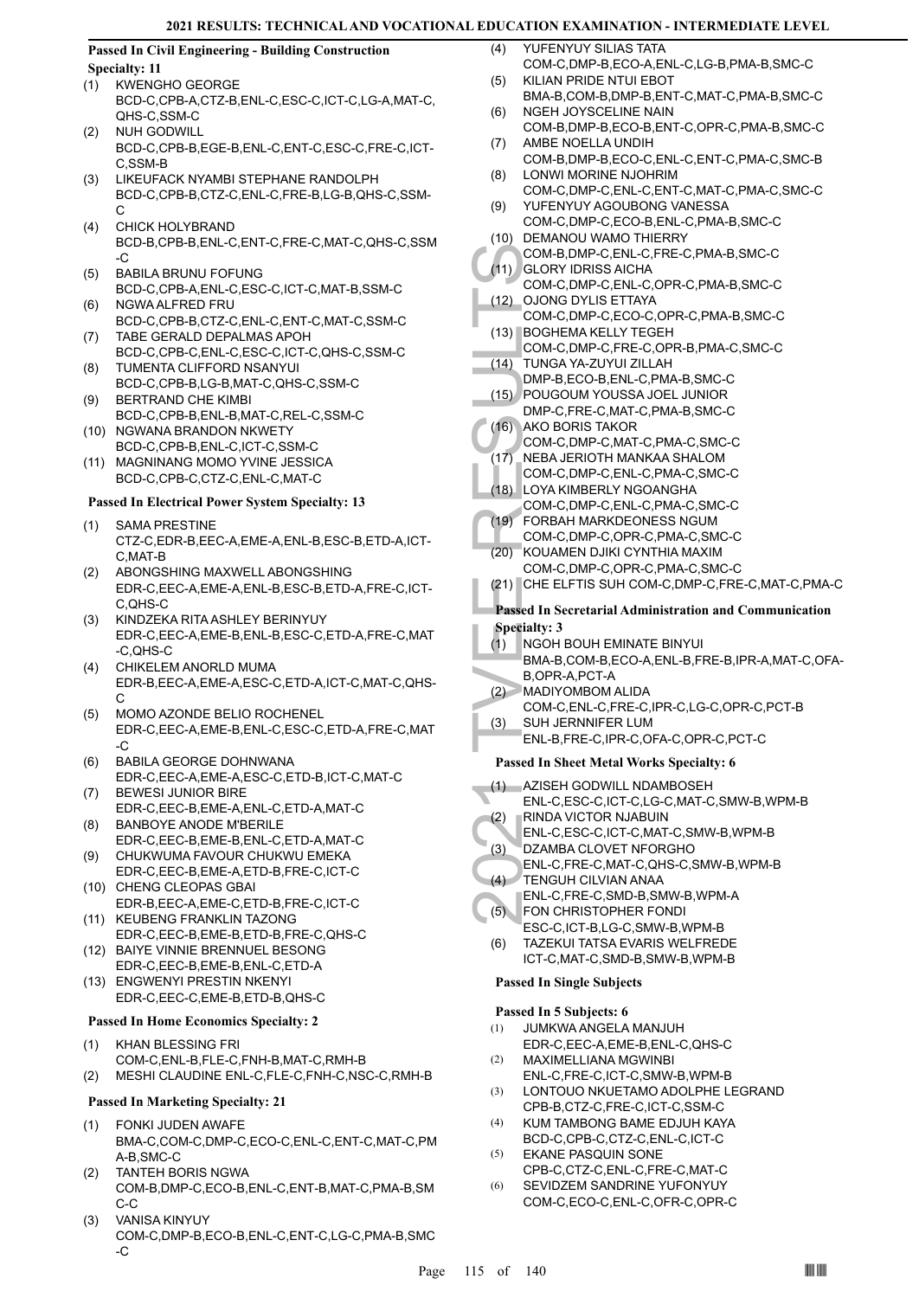#### **Passed In Civil Engineering - Building Construction Specialty: 11**

## (1) KWENGHO GEORGE

- BCD-C,CPB-A,CTZ-B,ENL-C,ESC-C,ICT-C,LG-A,MAT-C, QHS-C,SSM-C
- NUH GODWILL BCD-C,CPB-B,EGE-B,ENL-C,ENT-C,ESC-C,FRE-C,ICT-C,SSM-B (2)
- LIKEUFACK NYAMBI STEPHANE RANDOLPH BCD-C,CPB-B,CTZ-C,ENL-C,FRE-B,LG-B,QHS-C,SSM-C (3)
- CHICK HOLYBRAND BCD-B,CPB-B,ENL-C,ENT-C,FRE-C,MAT-C,QHS-C,SSM -C (4)
- BABILA BRUNU FOFUNG BCD-C,CPB-A,ENL-C,ESC-C,ICT-C,MAT-B,SSM-C (5)
- NGWA ALFRED FRU BCD-C,CPB-B,CTZ-C,ENL-C,ENT-C,MAT-C,SSM-C (6)
- TABE GERALD DEPALMAS APOH BCD-C,CPB-C,ENL-C,ESC-C,ICT-C,QHS-C,SSM-C (7) TUMENTA CLIFFORD NSANYUI (8)
- BCD-C,CPB-B,LG-B,MAT-C,QHS-C,SSM-C BERTRAND CHE KIMBI (9)
- BCD-C,CPB-B,ENL-B,MAT-C,REL-C,SSM-C (10) NGWANA BRANDON NKWETY
- BCD-C,CPB-B,ENL-C,ICT-C,SSM-C
- (11) MAGNINANG MOMO YVINE JESSICA BCD-C,CPB-C,CTZ-C,ENL-C,MAT-C

#### **Passed In Electrical Power System Specialty: 13**

- SAMA PRESTINE CTZ-C,EDR-B,EEC-A,EME-A,ENL-B,ESC-B,ETD-A,ICT-C,MAT-B (1)
- ABONGSHING MAXWELL ABONGSHING EDR-C,EEC-A,EME-A,ENL-B,ESC-B,ETD-A,FRE-C,ICT-C,QHS-C (2)
- KINDZEKA RITA ASHLEY BERINYUY EDR-C,EEC-A,EME-B,ENL-B,ESC-C,ETD-A,FRE-C,MAT -C,QHS-C (3)
- CHIKELEM ANORLD MUMA EDR-B,EEC-A,EME-A,ESC-C,ETD-A,ICT-C,MAT-C,QHS-C (4)
- MOMO AZONDE BELIO ROCHENEL EDR-C,EEC-A,EME-B,ENL-C,ESC-C,ETD-A,FRE-C,MAT -C (5)
- BABILA GEORGE DOHNWANA EDR-C,EEC-A,EME-A,ESC-C,ETD-B,ICT-C,MAT-C (6)
- BEWESI JUNIOR BIRE EDR-C,EEC-B,EME-A,ENL-C,ETD-A,MAT-C (7)
- BANBOYE ANODE M'BERILE EDR-C,EEC-B,EME-B,ENL-C,ETD-A,MAT-C (8)
- CHUKWUMA FAVOUR CHUKWU EMEKA EDR-C,EEC-B,EME-A,ETD-B,FRE-C,ICT-C (9) (10) CHENG CLEOPAS GBAI
- EDR-B,EEC-A,EME-C,ETD-B,FRE-C,ICT-C (11) KEUBENG FRANKLIN TAZONG
- EDR-C,EEC-B,EME-B,ETD-B,FRE-C,QHS-C BAIYE VINNIE BRENNUEL BESONG (12)
- EDR-C,EEC-B,EME-B,ENL-C,ETD-A
- ENGWENYI PRESTIN NKENYI EDR-C,EEC-C,EME-B,ETD-B,QHS-C (13)

#### **Passed In Home Economics Specialty: 2**

KHAN BLESSING FRI COM-C,ENL-B,FLE-C,FNH-B,MAT-C,RMH-B (1) (2) MESHI CLAUDINE ENL-C,FLE-C,FNH-C,NSC-C,RMH-B

#### **Passed In Marketing Specialty: 21**

- FONKI JUDEN AWAFE BMA-C,COM-C,DMP-C,ECO-C,ENL-C,ENT-C,MAT-C,PM A-B,SMC-C (1)
- TANTEH BORIS NGWA COM-B,DMP-C,ECO-B,ENL-C,ENT-B,MAT-C,PMA-B,SM C-C (2)
- VANISA KINYUY COM-C,DMP-B,ECO-B,ENL-C,ENT-C,LG-C,PMA-B,SMC -C (3)
- YUFENYUY SILIAS TATA COM-C,DMP-B,ECO-A,ENL-C,LG-B,PMA-B,SMC-C  $(4)$
- KILIAN PRIDE NTUI EBOT BMA-B,COM-B,DMP-B,ENT-C,MAT-C,PMA-B,SMC-C (5) NGEH JOYSCELINE NAIN (6)
- COM-B,DMP-B,ECO-B,ENT-C,OPR-C,PMA-B,SMC-C AMBE NOELLA UNDIH (7)
- COM-B,DMP-B,ECO-C,ENL-C,ENT-C,PMA-C,SMC-B LONWI MORINE NJOHRIM (8)
- COM-C,DMP-C,ENL-C,ENT-C,MAT-C,PMA-C,SMC-C YUFENYUY AGOUBONG VANESSA (9)
- COM-C,DMP-C,ECO-B,ENL-C,PMA-B,SMC-C (10) DEMANOU WAMO THIERRY
- COM-B,DMP-C,ENL-C,FRE-C,PMA-B,SMC-C GLORY IDRISS AICHA  $(11)$
- COM-C,DMP-C,ENL-C,OPR-C,PMA-B,SMC-C OJONG DYLIS ETTAYA (12)
- COM-C,DMP-C,ECO-C,OPR-C,PMA-B,SMC-C BOGHEMA KELLY TEGEH (13)
- COM-C,DMP-C,FRE-C,OPR-B,PMA-C,SMC-C
- TUNGA YA-ZUYUI ZILLAH  $(14)$
- DMP-B,ECO-B,ENL-C,PMA-B,SMC-C
- POUGOUM YOUSSA JOEL JUNIOR DMP-C,FRE-C,MAT-C,PMA-B,SMC-C (15)
- AKO BORIS TAKOR  $(16)$
- COM-C,DMP-C,MAT-C,PMA-C,SMC-C
- NEBA JERIOTH MANKAA SHALOM  $(17)$
- COM-C,DMP-C,ENL-C,PMA-C,SMC-C LOYA KIMBERLY NGOANGHA  $(18)$
- COM-C,DMP-C,ENL-C,PMA-C,SMC-C FORBAH MARKDEONESS NGUM  $(19)$
- COM-C,DMP-C,OPR-C,PMA-C,SMC-C
- KOUAMEN DJIKI CYNTHIA MAXIM COM-C,DMP-C,OPR-C,PMA-C,SMC-C (20)
- 
- (21) CHE ELFTIS SUH COM-C,DMP-C,FRE-C,MAT-C,PMA-C

## **Passed In Secretarial Administration and Communication**

## **Specialty: 3**

- COM-B, GLORY<br>
COM-C, GLORY<br>
COM-C, COM-C, COM-C, COM-C, COM-C, COM-C, TUNGA<br>
DMP-B, POUGC<br>
(14) TUNGA<br>
DMP-B, POUGC<br>
COM-C, COM-C, COM-C, COM-C, COM-C, COM-C, LOYAK<br>
COM-C, COVAC, COM-C, COVAC, COVAC, COVAC, COVAC, COVAC, NGOH BOUH EMINATE BINYUI BMA-B,COM-B,ECO-A,ENL-B,FRE-B,IPR-A,MAT-C,OFA-B,OPR-A,PCT-A (1)
- MADIYOMBOM ALIDA  $(2)$ 
	- COM-C,ENL-C,FRE-C,IPR-C,LG-C,OPR-C,PCT-B
	- SUH JERNNIFER LUM  $(3)$ 
		- ENL-B,FRE-C,IPR-C,OFA-C,OPR-C,PCT-C

### **Passed In Sheet Metal Works Specialty: 6**

- AZISEH GODWILL NDAMBOSEH ENL-C,ESC-C,ICT-C,LG-C,MAT-C,SMW-B,WPM-B (1)
- RINDA VICTOR NJABUIN (2)
- ENL-C,ESC-C,ICT-C,MAT-C,SMW-B,WPM-B
- DZAMBA CLOVET NFORGHO (3)
	- ENL-C,FRE-C,MAT-C,QHS-C,SMW-B,WPM-B
- TENGUH CILVIAN ANAA (4)
- ENL-C,FRE-C,SMD-B,SMW-B,WPM-A FON CHRISTOPHER FONDI (5)
- ESC-C,ICT-B,LG-C,SMW-B,WPM-B TAZEKUI TATSA EVARIS WELFREDE ICT-C,MAT-C,SMD-B,SMW-B,WPM-B (6)

## **Passed In Single Subjects**

## **Passed In 5 Subjects: 6**

- JUMKWA ANGELA MANJUH EDR-C,EEC-A,EME-B,ENL-C,QHS-C (1)
- MAXIMELLIANA MGWINBI ENL-C,FRE-C,ICT-C,SMW-B,WPM-B (2)
- LONTOUO NKUETAMO ADOLPHE LEGRAND CPB-B,CTZ-C,FRE-C,ICT-C,SSM-C (3)
- KUM TAMBONG BAME EDJUH KAYA BCD-C,CPB-C,CTZ-C,ENL-C,ICT-C (4)
- EKANE PASQUIN SONE CPB-C,CTZ-C,ENL-C,FRE-C,MAT-C (5)
- SEVIDZEM SANDRINE YUFONYUY COM-C,ECO-C,ENL-C,OFR-C,OPR-C (6)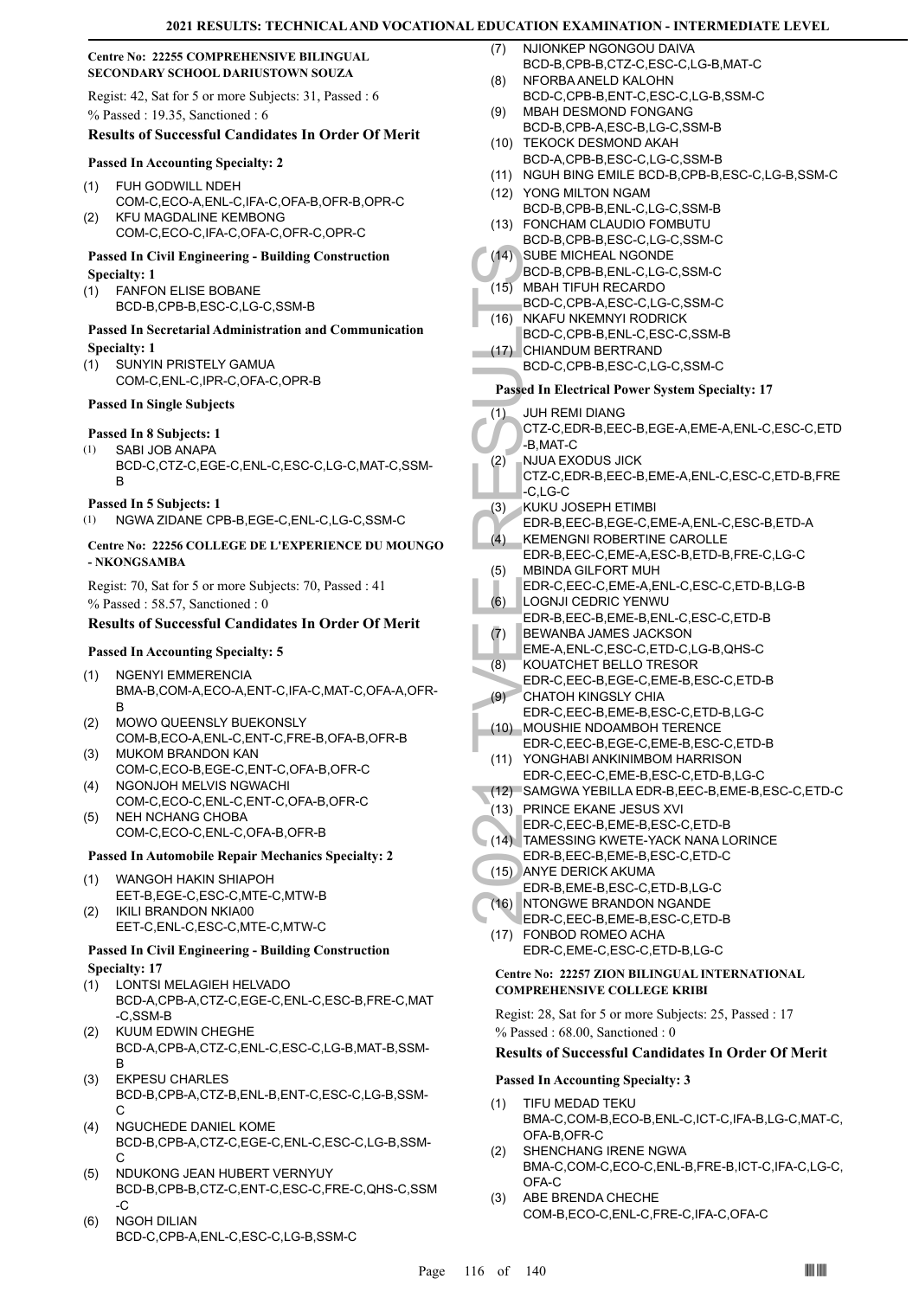#### **Centre No: 22255 COMPREHENSIVE BILINGUAL SECONDARY SCHOOL DARIUSTOWN SOUZA**

Regist: 42, Sat for 5 or more Subjects: 31, Passed : 6 % Passed : 19.35, Sanctioned : 6

#### **Results of Successful Candidates In Order Of Merit**

#### **Passed In Accounting Specialty: 2**

- FUH GODWILL NDEH COM-C,ECO-A,ENL-C,IFA-C,OFA-B,OFR-B,OPR-C (1) KFU MAGDALINE KEMBONG (2)
	- COM-C,ECO-C,IFA-C,OFA-C,OFR-C,OPR-C

#### **Passed In Civil Engineering - Building Construction Specialty: 1**

FANFON ELISE BOBANE (1) BCD-B,CPB-B,ESC-C,LG-C,SSM-B

#### **Passed In Secretarial Administration and Communication Specialty: 1**

SUNYIN PRISTELY GAMUA COM-C,ENL-C,IPR-C,OFA-C,OPR-B (1)

#### **Passed In Single Subjects**

#### **Passed In 8 Subjects: 1**

SABI JOB ANAPA BCD-C,CTZ-C,EGE-C,ENL-C,ESC-C,LG-C,MAT-C,SSM-B (1)

#### **Passed In 5 Subjects: 1**

(1) NGWA ZIDANE CPB-B,EGE-C,ENL-C,LG-C,SSM-C

#### **Centre No: 22256 COLLEGE DE L'EXPERIENCE DU MOUNGO - NKONGSAMBA**

Regist: 70, Sat for 5 or more Subjects: 70, Passed : 41 % Passed : 58.57, Sanctioned : 0

#### **Results of Successful Candidates In Order Of Merit**

#### **Passed In Accounting Specialty: 5**

- NGENYI EMMERENCIA BMA-B,COM-A,ECO-A,ENT-C,IFA-C,MAT-C,OFA-A,OFR-B (1)
- MOWO QUEENSLY BUEKONSLY COM-B,ECO-A,ENL-C,ENT-C,FRE-B,OFA-B,OFR-B (2)
- (3) MUKOM BRANDON KAN COM-C,ECO-B,EGE-C,ENT-C,OFA-B,OFR-C
- NGONJOH MELVIS NGWACHI COM-C,ECO-C,ENL-C,ENT-C,OFA-B,OFR-C (4)
- NEH NCHANG CHOBA COM-C,ECO-C,ENL-C,OFA-B,OFR-B (5)

#### **Passed In Automobile Repair Mechanics Specialty: 2**

- WANGOH HAKIN SHIAPOH EET-B,EGE-C,ESC-C,MTE-C,MTW-B (1)
- EET-C,ENL-C,ESC-C,MTE-C,MTW-C

#### **Passed In Civil Engineering - Building Construction Specialty: 17**

- LONTSI MELAGIEH HELVADO (1) BCD-A,CPB-A,CTZ-C,EGE-C,ENL-C,ESC-B,FRE-C,MAT -C,SSM-B
- KUUM EDWIN CHEGHE BCD-A,CPB-A,CTZ-C,ENL-C,ESC-C,LG-B,MAT-B,SSM-B (2)
- EKPESU CHARLES BCD-B,CPB-A,CTZ-B,ENL-B,ENT-C,ESC-C,LG-B,SSM- $\mathsf{C}$ (3)
- NGUCHEDE DANIEL KOME BCD-B,CPB-A,CTZ-C,EGE-C,ENL-C,ESC-C,LG-B,SSM-C (4)
- NDUKONG JEAN HUBERT VERNYUY BCD-B,CPB-B,CTZ-C,ENT-C,ESC-C,FRE-C,QHS-C,SSM -C (5)
- NGOH DILIAN BCD-C,CPB-A,ENL-C,ESC-C,LG-B,SSM-C (6)
- NJIONKEP NGONGOU DAIVA BCD-B,CPB-B,CTZ-C,ESC-C,LG-B,MAT-C (7)
- NFORBA ANELD KALOHN BCD-C,CPB-B,ENT-C,ESC-C,LG-B,SSM-C (8)
- MBAH DESMOND FONGANG BCD-B,CPB-A,ESC-B,LG-C,SSM-B (9)
- (10) TEKOCK DESMOND AKAH BCD-A,CPB-B,ESC-C,LG-C,SSM-B
- (11) NGUH BING EMILE BCD-B,CPB-B,ESC-C,LG-B,SSM-C
- YONG MILTON NGAM (12) BCD-B,CPB-B,ENL-C,LG-C,SSM-B
- FONCHAM CLAUDIO FOMBUTU (13)
- BCD-B,CPB-B,ESC-C,LG-C,SSM-C SUBE MICHEAL NGONDE  $(14)$
- BCD-B,CPB-B,ENL-C,LG-C,SSM-C
- MBAH TIFUH RECARDO (15)
- BCD-C,CPB-A,ESC-C,LG-C,SSM-C
- NKAFU NKEMNYI RODRICK BCD-C,CPB-B,ENL-C,ESC-C,SSM-B (16)
- CHIANDUM BERTRAND  $(17)$ 
	- BCD-C,CPB-B,ESC-C,LG-C,SSM-C

#### **Passed In Electrical Power System Specialty: 17**

- JUH REMI DIANG (1)
- CTZ-C,EDR-B,EEC-B,EGE-A,EME-A,ENL-C,ESC-C,ETD -B,MAT-C
- (14) SUBE M<br>
BCD-B, (15) MBAHT<br>
BCD-C, MKAFU<br>
BCD-C, CHIANE BCD-C, CHIANE BCD-C, CHIANE BCD-C, CHIANE BCD-C, CHIANE BCD-C, CHIANE BCD-C, CHIANE BCD-C, B, MAT-<br>
(1) JUH RE CTZ-C, E -B, MBINDA EDR-B, NUKU J EDR-B, I<br>
(2) KUK NJUA EXODUS JICK CTZ-C,EDR-B,EEC-B,EME-A,ENL-C,ESC-C,ETD-B,FRE -C,LG-C (2)
- KUKU JOSEPH ETIMBI (3)
- EDR-B,EEC-B,EGE-C,EME-A,ENL-C,ESC-B,ETD-A KEMENGNI ROBERTINE CAROLLE (4)
- EDR-B,EEC-C,EME-A,ESC-B,ETD-B,FRE-C,LG-C MBINDA GILFORT MUH (5)
- EDR-C,EEC-C,EME-A,ENL-C,ESC-C,ETD-B,LG-B LOGNJI CEDRIC YENWU (6)
- EDR-B,EEC-B,EME-B,ENL-C,ESC-C,ETD-B
- BEWANBA JAMES JACKSON (7)
- EME-A,ENL-C,ESC-C,ETD-C,LG-B,QHS-C
- KOUATCHET BELLO TRESOR (8)
- EDR-C,EEC-B,EGE-C,EME-B,ESC-C,ETD-B CHATOH KINGSLY CHIA  $(9)$
- EDR-C,EEC-B,EME-B,ESC-C,ETD-B,LG-C MOUSHIE NDOAMBOH TERENCE (10)
- EDR-C,EEC-B,EGE-C,EME-B,ESC-C,ETD-B YONGHABI ANKINIMBOM HARRISON (11)
- EDR-C,EEC-C,EME-B,ESC-C,ETD-B,LG-C
- (12) SAMGWA YEBILLA EDR-B,EEC-B,EME-B,ESC-C,ETD-C
- PRINCE EKANE JESUS XVI (13)
- EDR-C,EEC-B,EME-B,ESC-C,ETD-B
- TAMESSING KWETE-YACK NANA LORINCE (14)
- EDR-B,EEC-B,EME-B,ESC-C,ETD-C (15) ANYE DERICK AKUMA
- EDR-B,EME-B,ESC-C,ETD-B,LG-C
- (16) NTONGWE BRANDON NGANDE EDR-C,EEC-B,EME-B,ESC-C,ETD-B
- FONBOD ROMEO ACHA (17) EDR-C,EME-C,ESC-C,ETD-B,LG-C

#### **Centre No: 22257 ZION BILINGUAL INTERNATIONAL COMPREHENSIVE COLLEGE KRIBI**

Regist: 28, Sat for 5 or more Subjects: 25, Passed : 17 % Passed : 68.00, Sanctioned : 0

## **Results of Successful Candidates In Order Of Merit**

## **Passed In Accounting Specialty: 3**

- TIFU MEDAD TEKU BMA-C,COM-B,ECO-B,ENL-C,ICT-C,IFA-B,LG-C,MAT-C, OFA-B,OFR-C (1)
- SHENCHANG IRENE NGWA BMA-C,COM-C,ECO-C,ENL-B,FRE-B,ICT-C,IFA-C,LG-C, OFA-C (2)
- ABE BRENDA CHECHE COM-B,ECO-C,ENL-C,FRE-C,IFA-C,OFA-C (3)
- 
- IKILI BRANDON NKIA00 (2)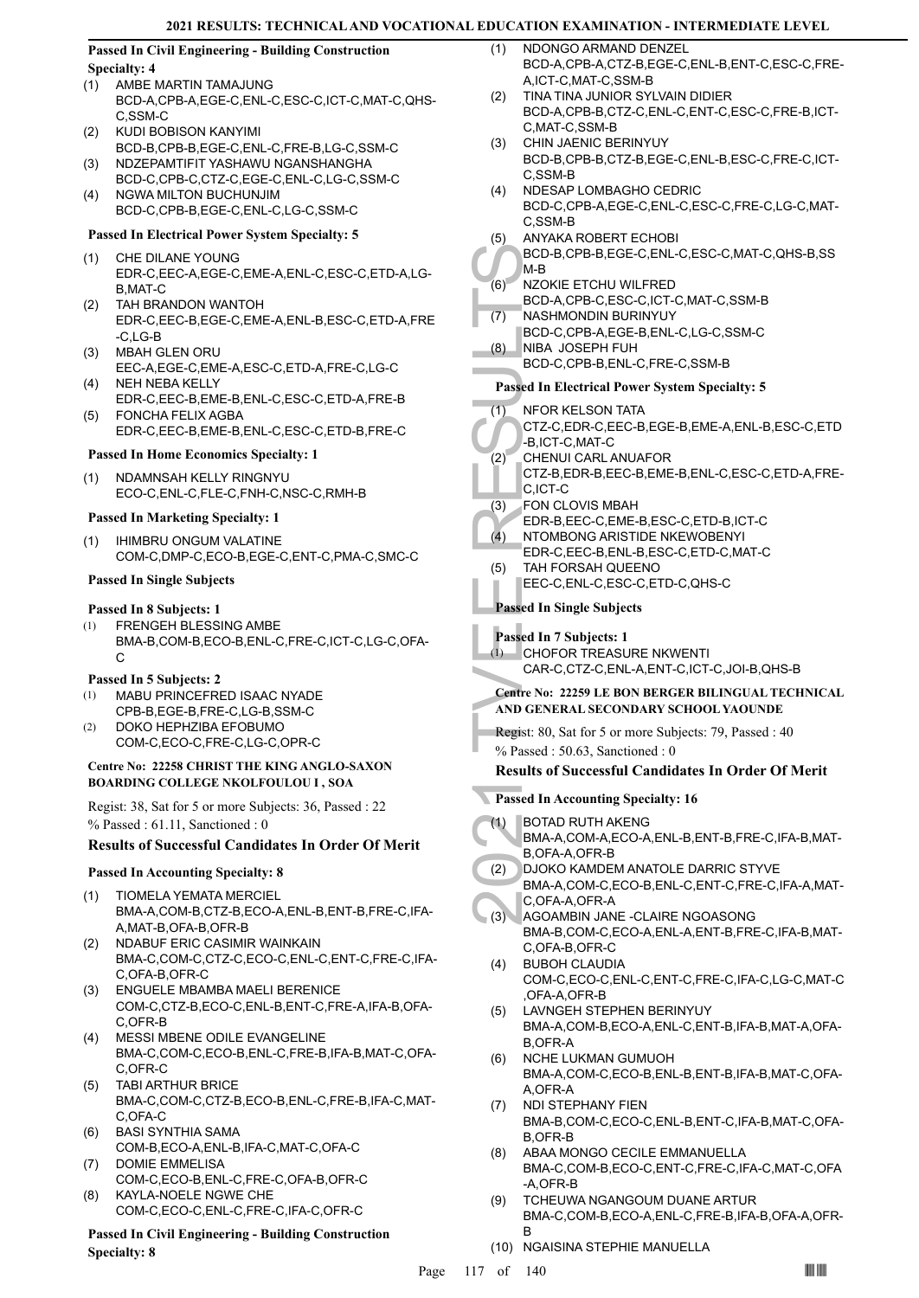#### **Passed In Civil Engineering - Building Construction Specialty: 4**

- AMBE MARTIN TAMAJUNG (1)
- BCD-A,CPB-A,EGE-C,ENL-C,ESC-C,ICT-C,MAT-C,QHS-C,SSM-C
- KUDI BOBISON KANYIMI BCD-B,CPB-B,EGE-C,ENL-C,FRE-B,LG-C,SSM-C (2)
- NDZEPAMTIFIT YASHAWU NGANSHANGHA BCD-C,CPB-C,CTZ-C,EGE-C,ENL-C,LG-C,SSM-C (3)
- NGWA MILTON BUCHUNJIM BCD-C,CPB-B,EGE-C,ENL-C,LG-C,SSM-C  $(4)$

#### **Passed In Electrical Power System Specialty: 5**

- CHE DILANE YOUNG EDR-C,EEC-A,EGE-C,EME-A,ENL-C,ESC-C,ETD-A,LG-B,MAT-C (1)
- TAH BRANDON WANTOH EDR-C,EEC-B,EGE-C,EME-A,ENL-B,ESC-C,ETD-A,FRE -C,LG-B (2)
- MBAH GLEN ORU (3) EEC-A,EGE-C,EME-A,ESC-C,ETD-A,FRE-C,LG-C
- NEH NEBA KELLY EDR-C,EEC-B,EME-B,ENL-C,ESC-C,ETD-A,FRE-B (4) FONCHA FELIX AGBA (5)
	- EDR-C,EEC-B,EME-B,ENL-C,ESC-C,ETD-B,FRE-C

#### **Passed In Home Economics Specialty: 1**

NDAMNSAH KELLY RINGNYU ECO-C,ENL-C,FLE-C,FNH-C,NSC-C,RMH-B (1)

#### **Passed In Marketing Specialty: 1**

IHIMBRU ONGUM VALATINE COM-C,DMP-C,ECO-B,EGE-C,ENT-C,PMA-C,SMC-C (1)

#### **Passed In Single Subjects**

#### **Passed In 8 Subjects: 1**

FRENGEH BLESSING AMBE BMA-B,COM-B,ECO-B,ENL-C,FRE-C,ICT-C,LG-C,OFA-C (1)

#### **Passed In 5 Subjects: 2**

- MABU PRINCEFRED ISAAC NYADE CPB-B,EGE-B,FRE-C,LG-B,SSM-C (1)
- DOKO HEPHZIBA EFOBUMO COM-C,ECO-C,FRE-C,LG-C,OPR-C (2)

#### **Centre No: 22258 CHRIST THE KING ANGLO-SAXON BOARDING COLLEGE NKOLFOULOU I , SOA**

Regist: 38, Sat for 5 or more Subjects: 36, Passed : 22 % Passed : 61.11, Sanctioned : 0

## **Results of Successful Candidates In Order Of Merit**

#### **Passed In Accounting Specialty: 8**

- TIOMELA YEMATA MERCIEL BMA-A,COM-B,CTZ-B,ECO-A,ENL-B,ENT-B,FRE-C,IFA-A,MAT-B,OFA-B,OFR-B (1)
- NDABUF ERIC CASIMIR WAINKAIN BMA-C,COM-C,CTZ-C,ECO-C,ENL-C,ENT-C,FRE-C,IFA-C,OFA-B,OFR-C (2)
- ENGUELE MBAMBA MAELI BERENICE (3) COM-C,CTZ-B,ECO-C,ENL-B,ENT-C,FRE-A,IFA-B,OFA-C,OFR-B
- MESSI MBENE ODILE EVANGELINE BMA-C,COM-C,ECO-B,ENL-C,FRE-B,IFA-B,MAT-C,OFA-C,OFR-C (4)
- TABI ARTHUR BRICE BMA-C,COM-C,CTZ-B,ECO-B,ENL-C,FRE-B,IFA-C,MAT-C,OFA-C (5)
- BASI SYNTHIA SAMA COM-B,ECO-A,ENL-B,IFA-C,MAT-C,OFA-C (6)
- DOMIE EMMELISA COM-C,ECO-B,ENL-C,FRE-C,OFA-B,OFR-C (7) KAYLA-NOELE NGWE CHE (8)
- COM-C,ECO-C,ENL-C,FRE-C,IFA-C,OFR-C

#### **Passed In Civil Engineering - Building Construction Specialty: 8**

- NDONGO ARMAND DENZEL BCD-A,CPB-A,CTZ-B,EGE-C,ENL-B,ENT-C,ESC-C,FRE-A,ICT-C,MAT-C,SSM-B  $(1)$
- TINA TINA JUNIOR SYLVAIN DIDIER BCD-A,CPB-B,CTZ-C,ENL-C,ENT-C,ESC-C,FRE-B,ICT-C,MAT-C,SSM-B (2)
- CHIN JAENIC BERINYUY BCD-B,CPB-B,CTZ-B,EGE-C,ENL-B,ESC-C,FRE-C,ICT-C,SSM-B (3)
- NDESAP LOMBAGHO CEDRIC BCD-C,CPB-A,EGE-C,ENL-C,ESC-C,FRE-C,LG-C,MAT-C,SSM-B (4)
- ANYAKA ROBERT ECHOBI (5)
	- BCD-B,CPB-B,EGE-C,ENL-C,ESC-C,MAT-C,QHS-B,SS M-B
- NZOKIE ETCHU WILFRED (6)
	- BCD-A,CPB-C,ESC-C,ICT-C,MAT-C,SSM-B
- NASHMONDIN BURINYUY BCD-C,CPB-A,EGE-B,ENL-C,LG-C,SSM-C (7) NIBA JOSEPH FUH
- BCD-C,CPB-B,ENL-C,FRE-C,SSM-B (8)

#### **Passed In Electrical Power System Specialty: 5**

- NFOR KELSON TATA (1)
- CTZ-C,EDR-C,EEC-B,EGE-B,EME-A,ENL-B,ESC-C,ETD -B,ICT-C,MAT-C
- BCD-B, M-B<br>
(6) NZOKIE<br>
BCD-A, MASHM<br>
BCD-C, NIBA J(<br>
BCD-C, NIBA J(<br>
BCD-C, NIBA J(<br>
BCD-C, NIBA J(<br>
BCD-C, NIBA J(<br>
BCD-C, Passed In El<br>
CICT-C, B, ICT-C<br>
(2) CHENU CTZ-B, E<br>
C, ICT-C<br>
FON CL<br>
EDR-B, NTOMB<br>
EDR-C, (3) FA CHENUI CARL ANUAFOR CTZ-B,EDR-B,EEC-B,EME-B,ENL-C,ESC-C,ETD-A,FRE-C,ICT-C (2)
- FON CLOVIS MBAH (3)
- EDR-B,EEC-C,EME-B,ESC-C,ETD-B,ICT-C
- NTOMBONG ARISTIDE NKEWOBENYI  $(4)$
- EDR-C,EEC-B,ENL-B,ESC-C,ETD-C,MAT-C TAH FORSAH QUEENO (5)
- EEC-C,ENL-C,ESC-C,ETD-C,QHS-C

**Passed In Single Subjects**

#### **Passed In 7 Subjects: 1**

(1)

CHOFOR TREASURE NKWENTI CAR-C,CTZ-C,ENL-A,ENT-C,ICT-C,JOI-B,QHS-B

**Centre No: 22259 LE BON BERGER BILINGUAL TECHNICAL AND GENERAL SECONDARY SCHOOL YAOUNDE** 

- Regist: 80, Sat for 5 or more Subjects: 79, Passed : 40
- % Passed : 50.63, Sanctioned : 0

#### **Results of Successful Candidates In Order Of Merit**

- **Passed In Accounting Specialty: 16**
- BOTAD RUTH AKENG (1)
- BMA-A,COM-A,ECO-A,ENL-B,ENT-B,FRE-C,IFA-B,MAT-B,OFA-A,OFR-B
- DJOKO KAMDEM ANATOLE DARRIC STYVE (2)
- BMA-A,COM-C,ECO-B,ENL-C,ENT-C,FRE-C,IFA-A,MAT-C, OFA-A, OFR-A
- AGOAMBIN JANE -CLAIRE NGOASONG BMA-B,COM-C,ECO-A,ENL-A,ENT-B,FRE-C,IFA-B,MAT-C,OFA-B,OFR-C (3)
- BUBOH CLAUDIA COM-C,ECO-C,ENL-C,ENT-C,FRE-C,IFA-C,LG-C,MAT-C ,OFA-A,OFR-B (4)
- LAVNGEH STEPHEN BERINYUY BMA-A,COM-B,ECO-A,ENL-C,ENT-B,IFA-B,MAT-A,OFA-B,OFR-A (5)
- NCHE LUKMAN GUMUOH BMA-A,COM-C,ECO-B,ENL-B,ENT-B,IFA-B,MAT-C,OFA-A,OFR-A (6)
- NDI STEPHANY FIEN BMA-B,COM-C,ECO-C,ENL-B,ENT-C,IFA-B,MAT-C,OFA-B,OFR-B (7)
- ABAA MONGO CECILE EMMANUELLA BMA-C,COM-B,ECO-C,ENT-C,FRE-C,IFA-C,MAT-C,OFA -A,OFR-B (8)
- TCHEUWA NGANGOUM DUANE ARTUR BMA-C,COM-B,ECO-A,ENL-C,FRE-B,IFA-B,OFA-A,OFR-B (9)
- (10) NGAISINA STEPHIE MANUELLA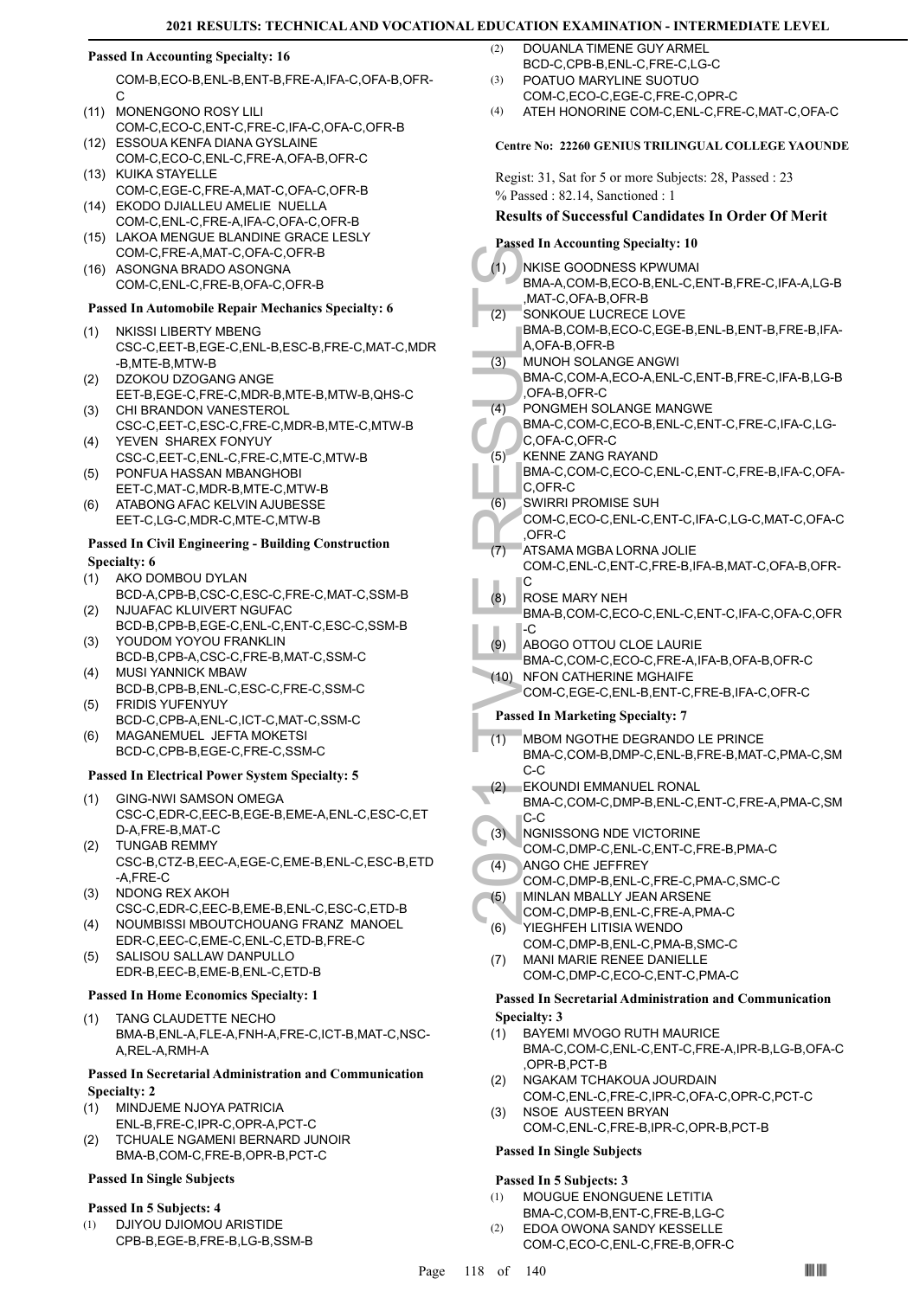#### **Passed In Accounting Specialty: 16**

COM-B,ECO-B,ENL-B,ENT-B,FRE-A,IFA-C,OFA-B,OFR-C

- (11) MONENGONO ROSY LILI COM-C,ECO-C,ENT-C,FRE-C,IFA-C,OFA-C,OFR-B
- (12) ESSOUA KENFA DIANA GYSLAINE COM-C,ECO-C,ENL-C,FRE-A,OFA-B,OFR-C (13) KUIKA STAYELLE
- COM-C,EGE-C,FRE-A,MAT-C,OFA-C,OFR-B (14) EKODO DJIALLEU AMELIE NUELLA
- COM-C,ENL-C,FRE-A,IFA-C,OFA-C,OFR-B LAKOA MENGUE BLANDINE GRACE LESLY (15)
- COM-C,FRE-A,MAT-C,OFA-C,OFR-B (16) ASONGNA BRADO ASONGNA COM-C,ENL-C,FRE-B,OFA-C,OFR-B

#### **Passed In Automobile Repair Mechanics Specialty: 6**

- (1) NKISSI LIBERTY MBENG CSC-C,EET-B,EGE-C,ENL-B,ESC-B,FRE-C,MAT-C,MDR -B,MTE-B,MTW-B
- DZOKOU DZOGANG ANGE EET-B,EGE-C,FRE-C,MDR-B,MTE-B,MTW-B,QHS-C (2)
- (3) CHI BRANDON VANESTEROL CSC-C,EET-C,ESC-C,FRE-C,MDR-B,MTE-C,MTW-B YEVEN SHAREX FONYUY (4)
- CSC-C,EET-C,ENL-C,FRE-C,MTE-C,MTW-B PONFUA HASSAN MBANGHOBI (5)
- EET-C,MAT-C,MDR-B,MTE-C,MTW-B ATABONG AFAC KELVIN AJUBESSE (6)
- EET-C,LG-C,MDR-C,MTE-C,MTW-B

#### **Passed In Civil Engineering - Building Construction Specialty: 6**

- AKO DOMBOU DYLAN (1)
- BCD-A,CPB-B,CSC-C,ESC-C,FRE-C,MAT-C,SSM-B NJUAFAC KLUIVERT NGUFAC (2)
- BCD-B,CPB-B,EGE-C,ENL-C,ENT-C,ESC-C,SSM-B YOUDOM YOYOU FRANKLIN (3)
- BCD-B,CPB-A,CSC-C,FRE-B,MAT-C,SSM-C MUSI YANNICK MBAW (4)
- BCD-B,CPB-B,ENL-C,ESC-C,FRE-C,SSM-C FRIDIS YUFENYUY (5)
- BCD-C,CPB-A,ENL-C,ICT-C,MAT-C,SSM-C MAGANEMUEL JEFTA MOKETSI (6)
- BCD-C,CPB-B,EGE-C,FRE-C,SSM-C

#### **Passed In Electrical Power System Specialty: 5**

- GING-NWI SAMSON OMEGA (1) CSC-C,EDR-C,EEC-B,EGE-B,EME-A,ENL-C,ESC-C,ET D-A,FRE-B,MAT-C
- TUNGAB REMMY CSC-B,CTZ-B,EEC-A,EGE-C,EME-B,ENL-C,ESC-B,ETD -A,FRE-C (2)
- (3) NDONG REX AKOH CSC-C,EDR-C,EEC-B,EME-B,ENL-C,ESC-C,ETD-B
- NOUMBISSI MBOUTCHOUANG FRANZ MANOEL EDR-C,EEC-C,EME-C,ENL-C,ETD-B,FRE-C (4)
- SALISOU SALLAW DANPULLO EDR-B,EEC-B,EME-B,ENL-C,ETD-B (5)

#### **Passed In Home Economics Specialty: 1**

TANG CLAUDETTE NECHO BMA-B,ENL-A,FLE-A,FNH-A,FRE-C,ICT-B,MAT-C,NSC-A,REL-A,RMH-A (1)

#### **Passed In Secretarial Administration and Communication Specialty: 2**

- MINDJEME NJOYA PATRICIA ENL-B,FRE-C,IPR-C,OPR-A,PCT-C (1)
- TCHUALE NGAMENI BERNARD JUNOIR (2)
- BMA-B,COM-C,FRE-B,OPR-B,PCT-C

## **Passed In Single Subjects**

#### **Passed In 5 Subjects: 4**

DJIYOU DJIOMOU ARISTIDE CPB-B,EGE-B,FRE-B,LG-B,SSM-B (1)

- DOUANLA TIMENE GUY ARMEL BCD-C,CPB-B,ENL-C,FRE-C,LG-C (2)
- POATUO MARYLINE SUOTUO COM-C,ECO-C,EGE-C,FRE-C,OPR-C (3)
- (4) ATEH HONORINE COM-C,ENL-C,FRE-C,MAT-C,OFA-C

#### **Centre No: 22260 GENIUS TRILINGUAL COLLEGE YAOUNDE**

Regist: 31, Sat for 5 or more Subjects: 28, Passed : 23 % Passed : 82.14, Sanctioned : 1

#### **Results of Successful Candidates In Order Of Merit**

#### **Passed In Accounting Specialty: 10**

|      | 1 азуса ні Ассойнинд эрссіану, то                                           |
|------|-----------------------------------------------------------------------------|
| (1)  | NKISE GOODNESS KPWUMAI<br>BMA-A,COM-B,ECO-B,ENL-C,ENT-B,FRE-C,IFA-A,LG-B    |
|      | MAT-C,OFA-B,OFR-B,                                                          |
| (2)  | SONKOUE LUCRECE LOVE                                                        |
|      | BMA-B,COM-B,ECO-C,EGE-B,ENL-B,ENT-B,FRE-B,IFA-<br>A,OFA-B,OFR-B             |
| (3)  | MUNOH SOLANGE ANGWI                                                         |
|      | BMA-C,COM-A,ECO-A,ENL-C,ENT-B,FRE-C,IFA-B,LG-B                              |
|      | OFA-B,OFR-C,                                                                |
| (4)  | PONGMEH SOLANGE MANGWE                                                      |
|      | BMA-C,COM-C,ECO-B,ENL-C,ENT-C,FRE-C,IFA-C,LG-                               |
|      | C,OFA-C,OFR-C                                                               |
| (5)  | <b>KENNE ZANG RAYAND</b><br>BMA-C,COM-C,ECO-C,ENL-C,ENT-C,FRE-B,IFA-C,OFA-  |
|      | C,OFR-C                                                                     |
| (6)  | SWIRRI PROMISE SUH                                                          |
|      | COM-C,ECO-C,ENL-C,ENT-C,IFA-C,LG-C,MAT-C,OFA-C                              |
|      | ,OFR-C                                                                      |
| (7)  | ATSAMA MGBA LORNA JOLIE                                                     |
|      | COM-C, ENL-C, ENT-C, FRE-B, IFA-B, MAT-C, OFA-B, OFR-<br>C                  |
| (8)  | ROSE MARY NEH                                                               |
|      | BMA-B,COM-C,ECO-C,ENL-C,ENT-C,IFA-C,OFA-C,OFR                               |
|      | -C                                                                          |
| (9)  | ABOGO OTTOU CLOE LAURIE                                                     |
|      | BMA-C,COM-C,ECO-C,FRE-A,IFA-B,OFA-B,OFR-C                                   |
| (10) | <b>NFON CATHERINE MGHAIFE</b><br>COM-C,EGE-C,ENL-B,ENT-C,FRE-B,IFA-C,OFR-C  |
|      |                                                                             |
|      |                                                                             |
|      | <b>Passed In Marketing Specialty: 7</b>                                     |
| (1)  | MBOM NGOTHE DEGRANDO LE PRINCE                                              |
|      | BMA-C,COM-B,DMP-C,ENL-B,FRE-B,MAT-C,PMA-C,SM                                |
|      | $C-C$                                                                       |
| (2)  | EKOUNDI EMMANUEL RONAL                                                      |
|      | BMA-C,COM-C,DMP-B,ENL-C,ENT-C,FRE-A,PMA-C,SM<br>C-C                         |
| (3)  | NGNISSONG NDE VICTORINE                                                     |
|      | COM-C,DMP-C,ENL-C,ENT-C,FRE-B,PMA-C                                         |
| (4)  | ANGO CHE JEFFREY                                                            |
|      | COM-C, DMP-B, ENL-C, FRE-C, PMA-C, SMC-C                                    |
| (5)  | MINLAN MBALLY JEAN ARSENE                                                   |
| (6)  | COM-C, DMP-B, ENL-C, FRE-A, PMA-C<br>YIEGHFEH LITISIA WENDO                 |
|      | COM-C, DMP-B, ENL-C, PMA-B, SMC-C                                           |
| (7)  | <b>MANI MARIE RENEE DANIELLE</b>                                            |
|      | COM-C,DMP-C,ECO-C,ENT-C,PMA-C                                               |
|      | <b>Passed In Secretarial Administration and Communication</b>               |
|      | <b>Specialty: 3</b>                                                         |
| (1)  | <b>BAYEMI MVOGO RUTH MAURICE</b>                                            |
|      | BMA-C,COM-C,ENL-C,ENT-C,FRE-A,IPR-B,LG-B,OFA-C                              |
|      | OPR-B.PCT-B.                                                                |
| (2)  | NGAKAM TCHAKOUA JOURDAIN<br>COM-C, ENL-C, FRE-C, IPR-C, OFA-C, OPR-C, PCT-C |
| (3)  | NSOE AUSTEEN BRYAN                                                          |
|      | COM-C,ENL-C,FRE-B,IPR-C,OPR-B,PCT-B                                         |

#### **Passed In 5 Subjects: 3**

- MOUGUE ENONGUENE LETITIA BMA-C,COM-B,ENT-C,FRE-B,LG-C (1)
- EDOA OWONA SANDY KESSELLE COM-C,ECO-C,ENL-C,FRE-B,OFR-C (2)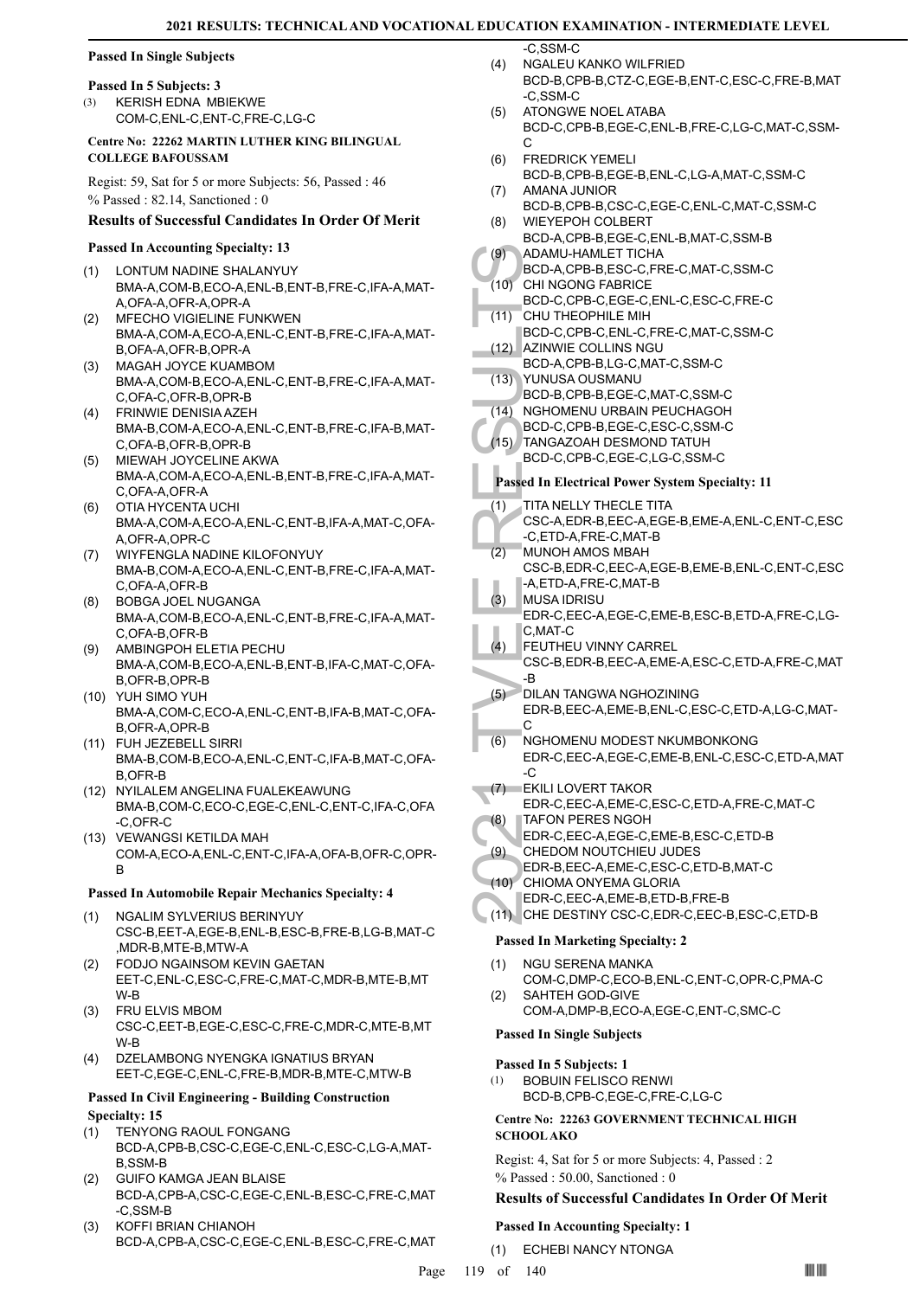## **Passed In Single Subjects**

#### **Passed In 5 Subjects: 3**

KERISH EDNA MBIEKWE COM-C,ENL-C,ENT-C,FRE-C,LG-C (3)

#### **Centre No: 22262 MARTIN LUTHER KING BILINGUAL COLLEGE BAFOUSSAM**

Regist: 59, Sat for 5 or more Subjects: 56, Passed : 46 % Passed : 82.14, Sanctioned : 0

#### **Results of Successful Candidates In Order Of Merit**

#### **Passed In Accounting Specialty: 13**

- LONTUM NADINE SHALANYUY BMA-A,COM-B,ECO-A,ENL-B,ENT-B,FRE-C,IFA-A,MAT-A,OFA-A,OFR-A,OPR-A (1)
- MFECHO VIGIELINE FUNKWEN BMA-A,COM-A,ECO-A,ENL-C,ENT-B,FRE-C,IFA-A,MAT-B,OFA-A,OFR-B,OPR-A (2)
- MAGAH JOYCE KUAMBOM BMA-A,COM-B,ECO-A,ENL-C,ENT-B,FRE-C,IFA-A,MAT-C,OFA-C,OFR-B,OPR-B (3)
- FRINWIE DENISIA AZEH (4) BMA-B,COM-A,ECO-A,ENL-C,ENT-B,FRE-C,IFA-B,MAT-C,OFA-B,OFR-B,OPR-B
- MIEWAH JOYCELINE AKWA BMA-A,COM-A,ECO-A,ENL-B,ENT-B,FRE-C,IFA-A,MAT-C,OFA-A,OFR-A (5)
- OTIA HYCENTA UCHI BMA-A,COM-A,ECO-A,ENL-C,ENT-B,IFA-A,MAT-C,OFA-A,OFR-A,OPR-C (6)
- WIYFENGLA NADINE KILOFONYUY BMA-B,COM-A,ECO-A,ENL-C,ENT-B,FRE-C,IFA-A,MAT-C,OFA-A,OFR-B (7)
- BOBGA JOEL NUGANGA BMA-A,COM-B,ECO-A,ENL-C,ENT-B,FRE-C,IFA-A,MAT-C,OFA-B,OFR-B (8)
- AMBINGPOH ELETIA PECHU BMA-A,COM-B,ECO-A,ENL-B,ENT-B,IFA-C,MAT-C,OFA-B,OFR-B,OPR-B (9)
- YUH SIMO YUH (10) BMA-A,COM-C,ECO-A,ENL-C,ENT-B,IFA-B,MAT-C,OFA-B,OFR-A,OPR-B
- FUH JEZEBELL SIRRI (11) BMA-B,COM-B,ECO-A,ENL-C,ENT-C,IFA-B,MAT-C,OFA-B,OFR-B
- (12) NYILALEM ANGELINA FUALEKEAWUNG BMA-B,COM-C,ECO-C,EGE-C,ENL-C,ENT-C,IFA-C,OFA -C,OFR-C
- (13) VEWANGSI KETILDA MAH COM-A,ECO-A,ENL-C,ENT-C,IFA-A,OFA-B,OFR-C,OPR-B

#### **Passed In Automobile Repair Mechanics Specialty: 4**

- NGALIM SYLVERIUS BERINYUY CSC-B,EET-A,EGE-B,ENL-B,ESC-B,FRE-B,LG-B,MAT-C ,MDR-B,MTE-B,MTW-A (1)
- FODJO NGAINSOM KEVIN GAETAN EET-C,ENL-C,ESC-C,FRE-C,MAT-C,MDR-B,MTE-B,MT W-B (2)
- FRU ELVIS MBOM (3) CSC-C,EET-B,EGE-C,ESC-C,FRE-C,MDR-C,MTE-B,MT W-B
- DZELAMBONG NYENGKA IGNATIUS BRYAN EET-C,EGE-C,ENL-C,FRE-B,MDR-B,MTE-C,MTW-B (4)

#### **Passed In Civil Engineering - Building Construction Specialty: 15**

- TENYONG RAOUL FONGANG (1)
- BCD-A,CPB-B,CSC-C,EGE-C,ENL-C,ESC-C,LG-A,MAT-B,SSM-B
- GUIFO KAMGA JEAN BLAISE BCD-A,CPB-A,CSC-C,EGE-C,ENL-B,ESC-C,FRE-C,MAT -C,SSM-B (2)
- KOFFI BRIAN CHIANOH BCD-A,CPB-A,CSC-C,EGE-C,ENL-B,ESC-C,FRE-C,MAT (3)

-C,SSM-C

- NGALEU KANKO WILFRIED BCD-B,CPB-B,CTZ-C,EGE-B,ENT-C,ESC-C,FRE-B,MAT -C,SSM-C (4)
- ATONGWE NOEL ATABA BCD-C,CPB-B,EGE-C,ENL-B,FRE-C,LG-C,MAT-C,SSM- $\mathcal{C}$  $(5)$
- FREDRICK YEMELI BCD-B,CPB-B,EGE-B,ENL-C,LG-A,MAT-C,SSM-C (6) AMANA JUNIOR (7)
- BCD-B,CPB-B,CSC-C,EGE-C,ENL-C,MAT-C,SSM-C
- WIEYEPOH COLBERT BCD-A,CPB-B,EGE-C,ENL-B,MAT-C,SSM-B (8)  $(9)$
- ADAMU-HAMLET TICHA BCD-A,CPB-B,ESC-C,FRE-C,MAT-C,SSM-C
- (10) CHI NGONG FABRICE BCD-C,CPB-C,EGE-C,ENL-C,ESC-C,FRE-C
- CHU THEOPHILE MIH BCD-C,CPB-C,ENL-C,FRE-C,MAT-C,SSM-C (11)
- AZINWIE COLLINS NGU BCD-A,CPB-B,LG-C,MAT-C,SSM-C  $(12)$
- YUNUSA OUSMANU BCD-B,CPB-B,EGE-C,MAT-C,SSM-C  $(13)$
- (14) NGHOMENU URBAIN PEUCHAGOH
- BCD-C,CPB-B,EGE-C,ESC-C,SSM-C (15) TANGAZOAH DESMOND TATUH
- BCD-C,CPB-C,EGE-C,LG-C,SSM-C

## **Passed In Electrical Power System Specialty: 11**

- TITA NELLY THECLE TITA (1)
- CSC-A,EDR-B,EEC-A,EGE-B,EME-A,ENL-C,ENT-C,ESC -C,ETD-A,FRE-C,MAT-B
- MUNOH AMOS MBAH CSC-B,EDR-C,EEC-A,EGE-B,EME-B,ENL-C,ENT-C,ESC -A,ETD-A,FRE-C,MAT-B (2)
- MUSA IDRISU EDR-C,EEC-A,EGE-C,EME-B,ESC-B,ETD-A,FRE-C,LG-C,MAT-C (3)
- FEUTHEU VINNY CARREL  $(4)$ 
	- CSC-B,EDR-B,EEC-A,EME-A,ESC-C,ETD-A,FRE-C,MAT -B
- DILAN TANGWA NGHOZINING EDR-B,EEC-A,EME-B,ENL-C,ESC-C,ETD-A,LG-C,MAT-C  $(5)$
- (9) ADAMU<br>
BCD-A, (10) CHI NG<br>
BCD-C, (11) CHU TH<br>
BCD-C, AZINWI<br>
BCD-A, (13) YUNUS, BCD-B, (12) ADAMU<br>
BCD-C, AZINWI<br>
BCD-C, AZINWI<br>
BCD-C, ADAMUS, BCD-C, ADAME COLOR, BCD-C, ADAME COLOR, BCD-C, C, ETD-<br>
(11) TITA NE CSC-NGHOMENU MODEST NKUMBONKONG EDR-C,EEC-A,EGE-C,EME-B,ENL-C,ESC-C,ETD-A,MAT -C (6)
- EKILI LOVERT TAKOR EDR-C,EEC-A,EME-C,ESC-C,ETD-A,FRE-C,MAT-C  $(7)$ TAFON PERES NGOH (8)
- EDR-C,EEC-A,EGE-C,EME-B,ESC-C,ETD-B
- CHEDOM NOUTCHIEU JUDES (9)
	- EDR-B,EEC-A,EME-C,ESC-C,ETD-B,MAT-C
- CHIOMA ONYEMA GLORIA (10)
- EDR-C,EEC-A,EME-B,ETD-B,FRE-B
- (11) CHE DESTINY CSC-C,EDR-C,EEC-B,ESC-C,ETD-B

## **Passed In Marketing Specialty: 2**

- NGU SERENA MANKA (1)
- COM-C,DMP-C,ECO-B,ENL-C,ENT-C,OPR-C,PMA-C SAHTEH GOD-GIVE  $(2)$ 
	- COM-A,DMP-B,ECO-A,EGE-C,ENT-C,SMC-C

# **Passed In Single Subjects**

**Passed In 5 Subjects: 1** BOBUIN FELISCO RENWI BCD-B,CPB-C,EGE-C,FRE-C,LG-C (1)

## **Centre No: 22263 GOVERNMENT TECHNICAL HIGH SCHOOL AKO**

Regist: 4, Sat for 5 or more Subjects: 4, Passed : 2 % Passed : 50.00, Sanctioned : 0

## **Results of Successful Candidates In Order Of Merit**

## **Passed In Accounting Specialty: 1**

(1) ECHEBI NANCY NTONGA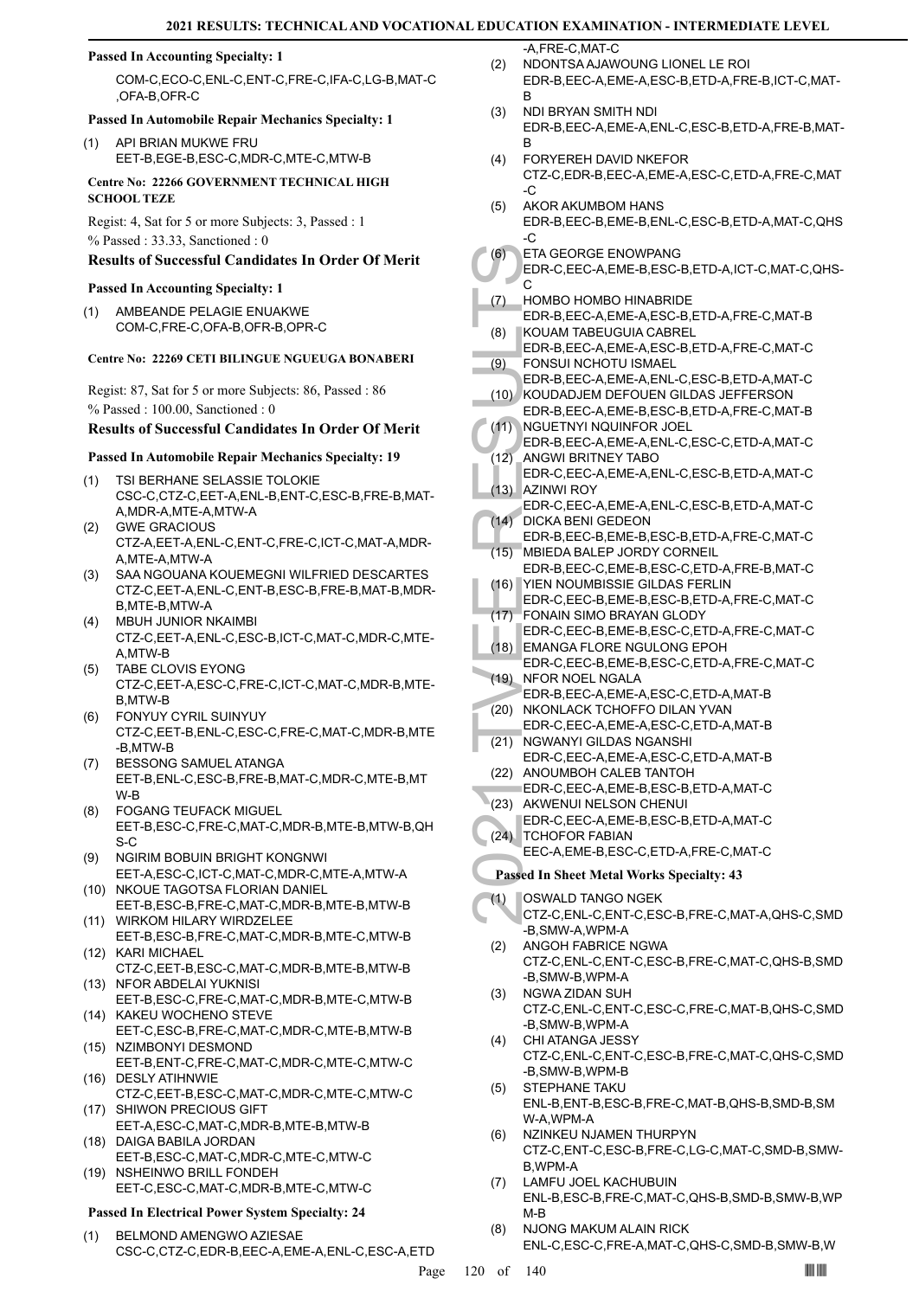#### **Passed In Accounting Specialty: 1**

COM-C,ECO-C,ENL-C,ENT-C,FRE-C,IFA-C,LG-B,MAT-C ,OFA-B,OFR-C

#### **Passed In Automobile Repair Mechanics Specialty: 1**

(1) API BRIAN MUKWE FRU EET-B,EGE-B,ESC-C,MDR-C,MTE-C,MTW-B

**Centre No: 22266 GOVERNMENT TECHNICAL HIGH SCHOOL TEZE** 

Regist: 4, Sat for 5 or more Subjects: 3, Passed : 1 % Passed : 33.33, Sanctioned : 0

## **Results of Successful Candidates In Order Of Merit**

#### **Passed In Accounting Specialty: 1**

AMBEANDE PELAGIE ENUAKWE COM-C,FRE-C,OFA-B,OFR-B,OPR-C (1)

#### **Centre No: 22269 CETI BILINGUE NGUEUGA BONABERI**

Regist: 87, Sat for 5 or more Subjects: 86, Passed : 86 % Passed : 100.00, Sanctioned : 0

## **Results of Successful Candidates In Order Of Merit**

#### **Passed In Automobile Repair Mechanics Specialty: 19**

- TSI BERHANE SELASSIE TOLOKIE CSC-C,CTZ-C,EET-A,ENL-B,ENT-C,ESC-B,FRE-B,MAT-A MDR-A MTF-A MTW-A (1)
- GWE GRACIOUS CTZ-A,EET-A,ENL-C,ENT-C,FRE-C,ICT-C,MAT-A,MDR-A,MTE-A,MTW-A (2)
- SAA NGOUANA KOUEMEGNI WILFRIED DESCARTES CTZ-C,EET-A,ENL-C,ENT-B,ESC-B,FRE-B,MAT-B,MDR-B,MTE-B,MTW-A (3)
- MBUH JUNIOR NKAIMBI CTZ-C,EET-A,ENL-C,ESC-B,ICT-C,MAT-C,MDR-C,MTE-A,MTW-B (4)
- TABE CLOVIS EYONG CTZ-C,EET-A,ESC-C,FRE-C,ICT-C,MAT-C,MDR-B,MTE-B,MTW-B (5)
- FONYUY CYRIL SUINYUY CTZ-C,EET-B,ENL-C,ESC-C,FRE-C,MAT-C,MDR-B,MTE -B,MTW-B (6)
- BESSONG SAMUEL ATANGA EET-B,ENL-C,ESC-B,FRE-B,MAT-C,MDR-C,MTE-B,MT W-B (7)
- FOGANG TEUFACK MIGUEL EET-B,ESC-C,FRE-C,MAT-C,MDR-B,MTE-B,MTW-B,QH S-C (8)
- NGIRIM BOBUIN BRIGHT KONGNWI EET-A,ESC-C,ICT-C,MAT-C,MDR-C,MTE-A,MTW-A (9)
- (10) NKOUE TAGOTSA FLORIAN DANIEL EET-B,ESC-B,FRE-C,MAT-C,MDR-B,MTE-B,MTW-B
- WIRKOM HILARY WIRDZELEE (11) EET-B,ESC-B,FRE-C,MAT-C,MDR-B,MTE-C,MTW-B (12) KARI MICHAEL
- CTZ-C,EET-B,ESC-C,MAT-C,MDR-B,MTE-B,MTW-B (13) NFOR ABDELAI YUKNISI
- EET-B,ESC-C,FRE-C,MAT-C,MDR-B,MTE-C,MTW-B (14) KAKEU WOCHENO STEVE
- EET-C,ESC-B,FRE-C,MAT-C,MDR-C,MTE-B,MTW-B (15) NZIMBONYI DESMOND
- EET-B,ENT-C,FRE-C,MAT-C,MDR-C,MTE-C,MTW-C (16) DESLY ATIHNWIE
- CTZ-C,EET-B,ESC-C,MAT-C,MDR-C,MTE-C,MTW-C (17) SHIWON PRECIOUS GIFT
- EET-A,ESC-C,MAT-C,MDR-B,MTE-B,MTW-B (18) DAIGA BABILA JORDAN
- EET-B,ESC-C,MAT-C,MDR-C,MTE-C,MTW-C (19) NSHEINWO BRILL FONDEH
- EET-C,ESC-C,MAT-C,MDR-B,MTE-C,MTW-C

#### **Passed In Electrical Power System Specialty: 24**

BELMOND AMENGWO AZIESAE CSC-C,CTZ-C,EDR-B,EEC-A,EME-A,ENL-C,ESC-A,ETD (1)

-A,FRE-C,MAT-C

- NDONTSA AJAWOUNG LIONEL LE ROI EDR-B,EEC-A,EME-A,ESC-B,ETD-A,FRE-B,ICT-C,MAT-B (2)
- NDI BRYAN SMITH NDI EDR-B,EEC-A,EME-A,ENL-C,ESC-B,ETD-A,FRE-B,MAT-B (3)
- FORYEREH DAVID NKEFOR CTZ-C,EDR-B,EEC-A,EME-A,ESC-C,ETD-A,FRE-C,MAT -C (4)
- AKOR AKUMBOM HANS (5)
- EDR-B,EEC-B,EME-B,ENL-C,ESC-B,ETD-A,MAT-C,QHS -C
- ETA GEORGE ENOWPANG (6)
- EDR-C,EEC-A,EME-B,ESC-B,ETD-A,ICT-C,MAT-C,QHS-C
- HOMBO HOMBO HINABRIDE EDR-B,EEC-A,EME-A,ESC-B,ETD-A,FRE-C,MAT-B (7)
- KOUAM TABEUGUIA CABREL (8)
- EDR-B,EEC-A,EME-A,ESC-B,ETD-A,FRE-C,MAT-C FONSUI NCHOTU ISMAEL (9)
- EDR-B,EEC-A,EME-A,ENL-C,ESC-B,ETD-A,MAT-C (10) KOUDADJEM DEFOUEN GILDAS JEFFERSON
- (6) ETA GE<br>
(7) HOMBC<br>
EDR-C, C<br>
(7) HOMBC<br>
EDR-B, KOUAM<br>
EDR-B, FONSU<br>
EDR-B, FONSU<br>
EDR-B, HOUDA<br>
EDR-B, ANGWI<br>
EDR-B, ANGWI<br>
EDR-C, AZINWI<br>
EDR-C, AZINWI<br>
EDR-C, DICKA EDR-C, DICKA EDR-B, MBIEDA<br>
(14) DICKA EDR-C, MEDR-EDR-B,EEC-A,EME-B,ESC-B,ETD-A,FRE-C,MAT-B NGUETNYI NQUINFOR JOEL EDR-B,EEC-A,EME-A,ENL-C,ESC-C,ETD-A,MAT-C  $(11)$ 
	- ANGWI BRITNEY TABO EDR-C,EEC-A,EME-A,ENL-C,ESC-B,ETD-A,MAT-C  $(12)$
- **AZINWI ROY** EDR-C,EEC-A,EME-A,ENL-C,ESC-B,ETD-A,MAT-C  $(13)$ DICKA BENI GEDEON  $(14)$
- EDR-B,EEC-B,EME-B,ESC-B,ETD-A,FRE-C,MAT-C MBIEDA BALEP JORDY CORNEIL (15)
- EDR-B,EEC-C,EME-B,ESC-C,ETD-A,FRE-B,MAT-C YIEN NOUMBISSIE GILDAS FERLIN (16)
- EDR-C,EEC-B,EME-B,ESC-B,ETD-A,FRE-C,MAT-C FONAIN SIMO BRAYAN GLODY (17)
- EDR-C,EEC-B,EME-B,ESC-C,ETD-A,FRE-C,MAT-C EMANGA FLORE NGULONG EPOH (18)
- EDR-C,EEC-B,EME-B,ESC-C,ETD-A,FRE-C,MAT-C (19) NFOR NOEL NGALA
- EDR-B,EEC-A,EME-A,ESC-C,ETD-A,MAT-B (20) NKONLACK TCHOFFO DILAN YVAN
- EDR-C,EEC-A,EME-A,ESC-C,ETD-A,MAT-B
- (21) NGWANYI GILDAS NGANSHI EDR-C,EEC-A,EME-A,ESC-C,ETD-A,MAT-B
- (22) ANOUMBOH CALEB TANTOH EDR-C,EEC-A,EME-B,ESC-B,ETD-A,MAT-C
- (23) AKWENUI NELSON CHENUI EDR-C,EEC-A,EME-B,ESC-B,ETD-A,MAT-C (24) TCHOFOR FABIAN
- EEC-A,EME-B,ESC-C,ETD-A,FRE-C,MAT-C

#### **Passed In Sheet Metal Works Specialty: 43**

- OSWALD TANGO NGEK (1)
- CTZ-C,ENL-C,ENT-C,ESC-B,FRE-C,MAT-A,QHS-C,SMD -B,SMW-A,WPM-A
- ANGOH FABRICE NGWA CTZ-C,ENL-C,ENT-C,ESC-B,FRE-C,MAT-C,QHS-B,SMD (2)
- -B,SMW-B,WPM-A (3) NGWA ZIDAN SUH CTZ-C,ENL-C,ENT-C,ESC-C,FRE-C,MAT-B,QHS-C,SMD -B,SMW-B,WPM-A
- CHI ATANGA JESSY CTZ-C,ENL-C,ENT-C,ESC-B,FRE-C,MAT-C,QHS-C,SMD -B,SMW-B,WPM-B (4)
- STEPHANE TAKU ENL-B,ENT-B,ESC-B,FRE-C,MAT-B,QHS-B,SMD-B,SM W-A,WPM-A (5)
- (6) NZINKEU NJAMEN THURPYN CTZ-C,ENT-C,ESC-B,FRE-C,LG-C,MAT-C,SMD-B,SMW-B,WPM-A
- LAMFU JOEL KACHUBUIN ENL-B,ESC-B,FRE-C,MAT-C,QHS-B,SMD-B,SMW-B,WP M-B (7)
- NJONG MAKUM ALAIN RICK ENL-C,ESC-C,FRE-A,MAT-C,QHS-C,SMD-B,SMW-B,W (8)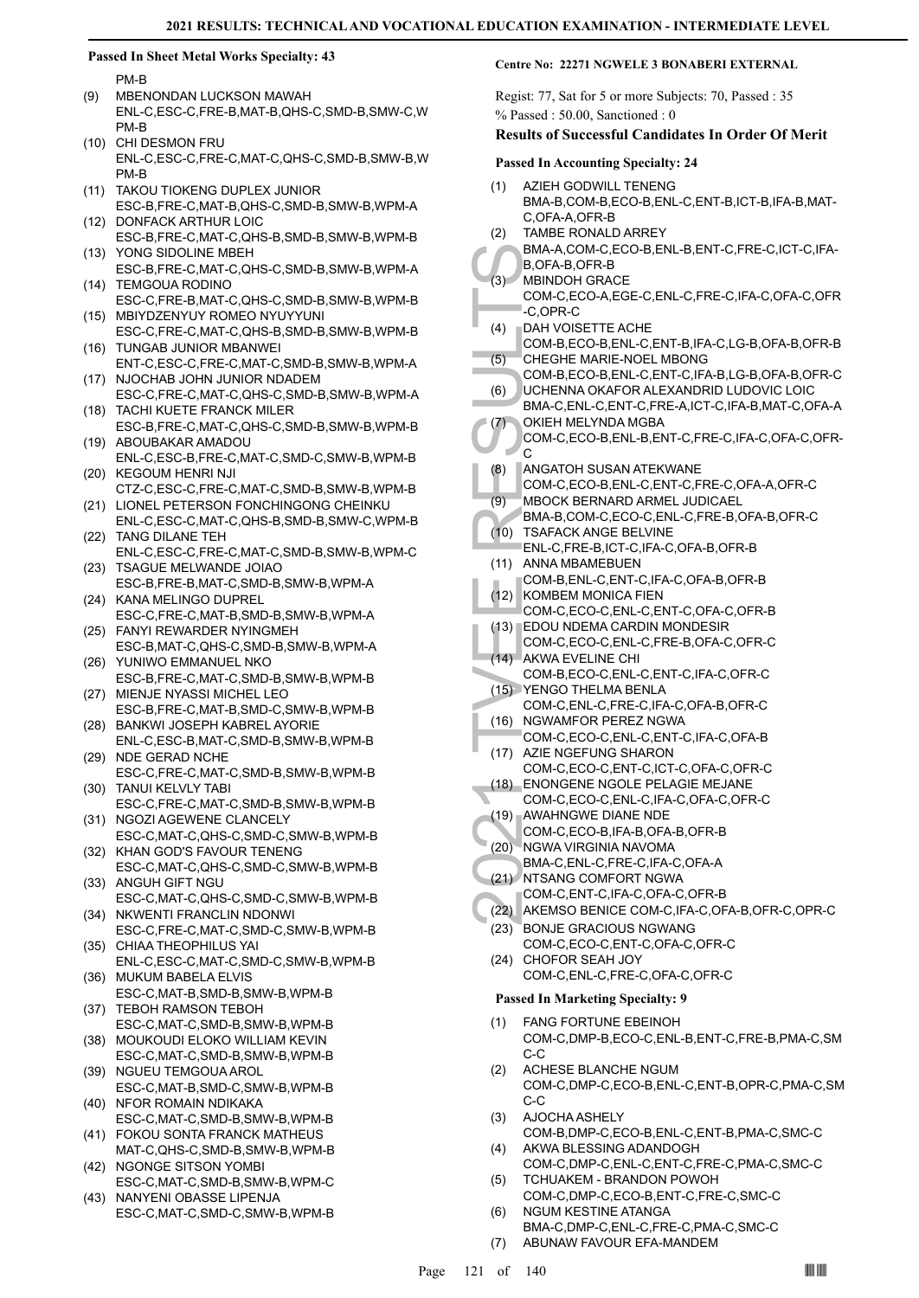#### **Passed In Sheet Metal Works Specialty: 43**

PM-B

- MBENONDAN LUCKSON MAWAH ENL-C,ESC-C,FRE-B,MAT-B,QHS-C,SMD-B,SMW-C,W PM-B (9)
- (10) CHI DESMON FRU ENL-C,ESC-C,FRE-C,MAT-C,QHS-C,SMD-B,SMW-B,W PM-B
- TAKOU TIOKENG DUPLEX JUNIOR ESC-B,FRE-C,MAT-B,QHS-C,SMD-B,SMW-B,WPM-A (11)
- (12) DONFACK ARTHUR LOIC ESC-B,FRE-C,MAT-C,QHS-B,SMD-B,SMW-B,WPM-B YONG SIDOLINE MBEH (13)
- ESC-B,FRE-C,MAT-C,QHS-C,SMD-B,SMW-B,WPM-A (14) TEMGOUA RODINO
- ESC-C,FRE-B,MAT-C,QHS-C,SMD-B,SMW-B,WPM-B MBIYDZENYUY ROMEO NYUYYUNI (15)
- ESC-C,FRE-C,MAT-C,QHS-B,SMD-B,SMW-B,WPM-B TUNGAB JUNIOR MBANWEI (16)
- ENT-C,ESC-C,FRE-C,MAT-C,SMD-B,SMW-B,WPM-A NJOCHAB JOHN JUNIOR NDADEM (17)
- ESC-C,FRE-C,MAT-C,QHS-C,SMD-B,SMW-B,WPM-A (18) TACHI KUETE FRANCK MILER
- ESC-B,FRE-C,MAT-C,QHS-C,SMD-B,SMW-B,WPM-B (19) ABOUBAKAR AMADOU
- ENL-C,ESC-B,FRE-C,MAT-C,SMD-C,SMW-B,WPM-B (20) KEGOUM HENRI NJI
- CTZ-C,ESC-C,FRE-C,MAT-C,SMD-B,SMW-B,WPM-B (21) LIONEL PETERSON FONCHINGONG CHEINKU
- ENL-C,ESC-C,MAT-C,QHS-B,SMD-B,SMW-C,WPM-B TANG DILANE TEH (22)
- ENL-C,ESC-C,FRE-C,MAT-C,SMD-B,SMW-B,WPM-C (23) TSAGUE MELWANDE JOIAO
- ESC-B,FRE-B,MAT-C,SMD-B,SMW-B,WPM-A (24) KANA MELINGO DUPREL
- ESC-C,FRE-C,MAT-B,SMD-B,SMW-B,WPM-A FANYI REWARDER NYINGMEH (25)
- ESC-B,MAT-C,QHS-C,SMD-B,SMW-B,WPM-A YUNIWO EMMANUEL NKO (26)
- ESC-B,FRE-C,MAT-C,SMD-B,SMW-B,WPM-B (27) MIENJE NYASSI MICHEL LEO
- ESC-B,FRE-C,MAT-B,SMD-C,SMW-B,WPM-B (28) BANKWI JOSEPH KABREL AYORIE
- ENL-C,ESC-B,MAT-C,SMD-B,SMW-B,WPM-B (29) NDE GERAD NCHE
- ESC-C,FRE-C,MAT-C,SMD-B,SMW-B,WPM-B (30) TANUI KELVLY TABI
- ESC-C,FRE-C,MAT-C,SMD-B,SMW-B,WPM-B (31) NGOZI AGEWENE CLANCELY
- ESC-C,MAT-C,QHS-C,SMD-C,SMW-B,WPM-B (32) KHAN GOD'S FAVOUR TENENG
- ESC-C,MAT-C,QHS-C,SMD-C,SMW-B,WPM-B (33) ANGUH GIFT NGU
- ESC-C,MAT-C,QHS-C,SMD-C,SMW-B,WPM-B (34) NKWENTI FRANCLIN NDONWI
- ESC-C,FRE-C,MAT-C,SMD-C,SMW-B,WPM-B (35) CHIAA THEOPHILUS YAI
- ENL-C,ESC-C,MAT-C,SMD-C,SMW-B,WPM-B (36) MUKUM BABELA ELVIS
- ESC-C,MAT-B,SMD-B,SMW-B,WPM-B (37) TEBOH RAMSON TEBOH
- ESC-C,MAT-C,SMD-B,SMW-B,WPM-B MOUKOUDI ELOKO WILLIAM KEVIN (38)
- ESC-C,MAT-C,SMD-B,SMW-B,WPM-B
- (39) NGUEU TEMGOUA AROL ESC-C,MAT-B,SMD-C,SMW-B,WPM-B (40) NFOR ROMAIN NDIKAKA
- ESC-C,MAT-C,SMD-B,SMW-B,WPM-B
- (41) FOKOU SONTA FRANCK MATHEUS MAT-C,QHS-C,SMD-B,SMW-B,WPM-B (42) NGONGE SITSON YOMBI
- ESC-C,MAT-C,SMD-B,SMW-B,WPM-C
- (43) NANYENI OBASSE LIPENJA ESC-C,MAT-C,SMD-C,SMW-B,WPM-B

#### **Centre No: 22271 NGWELE 3 BONABERI EXTERNAL**

Regist: 77, Sat for 5 or more Subjects: 70, Passed : 35 % Passed : 50.00, Sanctioned : 0

#### **Results of Successful Candidates In Order Of Merit**

#### **Passed In Accounting Specialty: 24**

- AZIEH GODWILL TENENG BMA-B,COM-B,ECO-B,ENL-C,ENT-B,ICT-B,IFA-B,MAT-C,OFA-A,OFR-B (1)
- TAMBE RONALD ARREY (2)
- BMA-A,COM-C,ECO-B,ENL-B,ENT-C,FRE-C,ICT-C,IFA-B,OFA-B,OFR-B
- MBINDOH GRACE  $(3)$ 
	- COM-C,ECO-A,EGE-C,ENL-C,FRE-C,IFA-C,OFA-C,OFR -C,OPR-C
- DAH VOISETTE ACHE (4)
- COM-B,ECO-B,ENL-C,ENT-B,IFA-C,LG-B,OFA-B,OFR-B CHEGHE MARIE-NOEL MBONG (5)
- COM-B,ECO-B,ENL-C,ENT-C,IFA-B,LG-B,OFA-B,OFR-C UCHENNA OKAFOR ALEXANDRID LUDOVIC LOIC (6)
- BMA-A, B, OFA-E, B, OFA-E, C, OPR, C, OPR, C, OPR, C, C, OPR, C, C, OPR, C, C, OPR, C, C, OPR, C, C, OPR, C, C, ORIEGH, COM-B, COM-C, C, ORIGAT (COM-C, MBOCK, BMA-B, C, C, MBOCK, BMA-B, C, C, MBOCK, BMA-B, C, C, MBOCK, BMA BMA-C,ENL-C,ENT-C,FRE-A,ICT-C,IFA-B,MAT-C,OFA-A
- OKIEH MELYNDA MGBA (7)
- COM-C,ECO-B,ENL-B,ENT-C,FRE-C,IFA-C,OFA-C,OFR-C
- ANGATOH SUSAN ATEKWANE (8)
- COM-C,ECO-B,ENL-C,ENT-C,FRE-C,OFA-A,OFR-C
- MBOCK BERNARD ARMEL JUDICAEL (9)
- BMA-B,COM-C,ECO-C,ENL-C,FRE-B,OFA-B,OFR-C
- (10) TSAFACK ANGE BELVINE
- ENL-C,FRE-B,ICT-C,IFA-C,OFA-B,OFR-B (11) ANNA MBAMEBUEN
- COM-B,ENL-C,ENT-C,IFA-C,OFA-B,OFR-B (12) KOMBEM MONICA FIEN
- COM-C,ECO-C,ENL-C,ENT-C,OFA-C,OFR-B EDOU NDEMA CARDIN MONDESIR (13)
- COM-C,ECO-C,ENL-C,FRE-B,OFA-C,OFR-C (14) AKWA EVELINE CHI
- COM-B,ECO-C,ENL-C,ENT-C,IFA-C,OFR-C YENGO THELMA BENLA (15)
- COM-C,ENL-C,FRE-C,IFA-C,OFA-B,OFR-C
- (16) NGWAMFOR PEREZ NGWA
- COM-C,ECO-C,ENL-C,ENT-C,IFA-C,OFA-B (17) AZIE NGEFUNG SHARON
- COM-C,ECO-C,ENT-C,ICT-C,OFA-C,OFR-C ENONGENE NGOLE PELAGIE MEJANE
- COM-C,ECO-C,ENL-C,IFA-C,OFA-C,OFR-C (18) AWAHNGWE DIANE NDE (19)
- COM-C,ECO-B,IFA-B,OFA-B,OFR-B
- (20) NGWA VIRGINIA NAVOMA
- BMA-C,ENL-C,FRE-C,IFA-C,OFA-A
- (21) NTSANG COMFORT NGWA
- COM-C,ENT-C,IFA-C,OFA-C,OFR-B
- (22) AKEMSO BENICE COM-C,IFA-C,OFA-B,OFR-C,OPR-C
- (23) BONJE GRACIOUS NGWANG
- COM-C,ECO-C,ENT-C,OFA-C,OFR-C (24) CHOFOR SEAH JOY
	- COM-C,ENL-C,FRE-C,OFA-C,OFR-C

#### **Passed In Marketing Specialty: 9**

- FANG FORTUNE EBEINOH COM-C,DMP-B,ECO-C,ENL-B,ENT-C,FRE-B,PMA-C,SM C-C (1)
- ACHESE BLANCHE NGUM COM-C,DMP-C,ECO-B,ENL-C,ENT-B,OPR-C,PMA-C,SM C-C (2)
- AJOCHA ASHELY COM-B,DMP-C,ECO-B,ENL-C,ENT-B,PMA-C,SMC-C (3)
- AKWA BLESSING ADANDOGH COM-C,DMP-C,ENL-C,ENT-C,FRE-C,PMA-C,SMC-C (4) TCHUAKEM - BRANDON POWOH (5)
- COM-C,DMP-C,ECO-B,ENT-C,FRE-C,SMC-C NGUM KESTINE ATANGA (6)
- BMA-C,DMP-C,ENL-C,FRE-C,PMA-C,SMC-C (7) ABUNAW FAVOUR EFA-MANDEM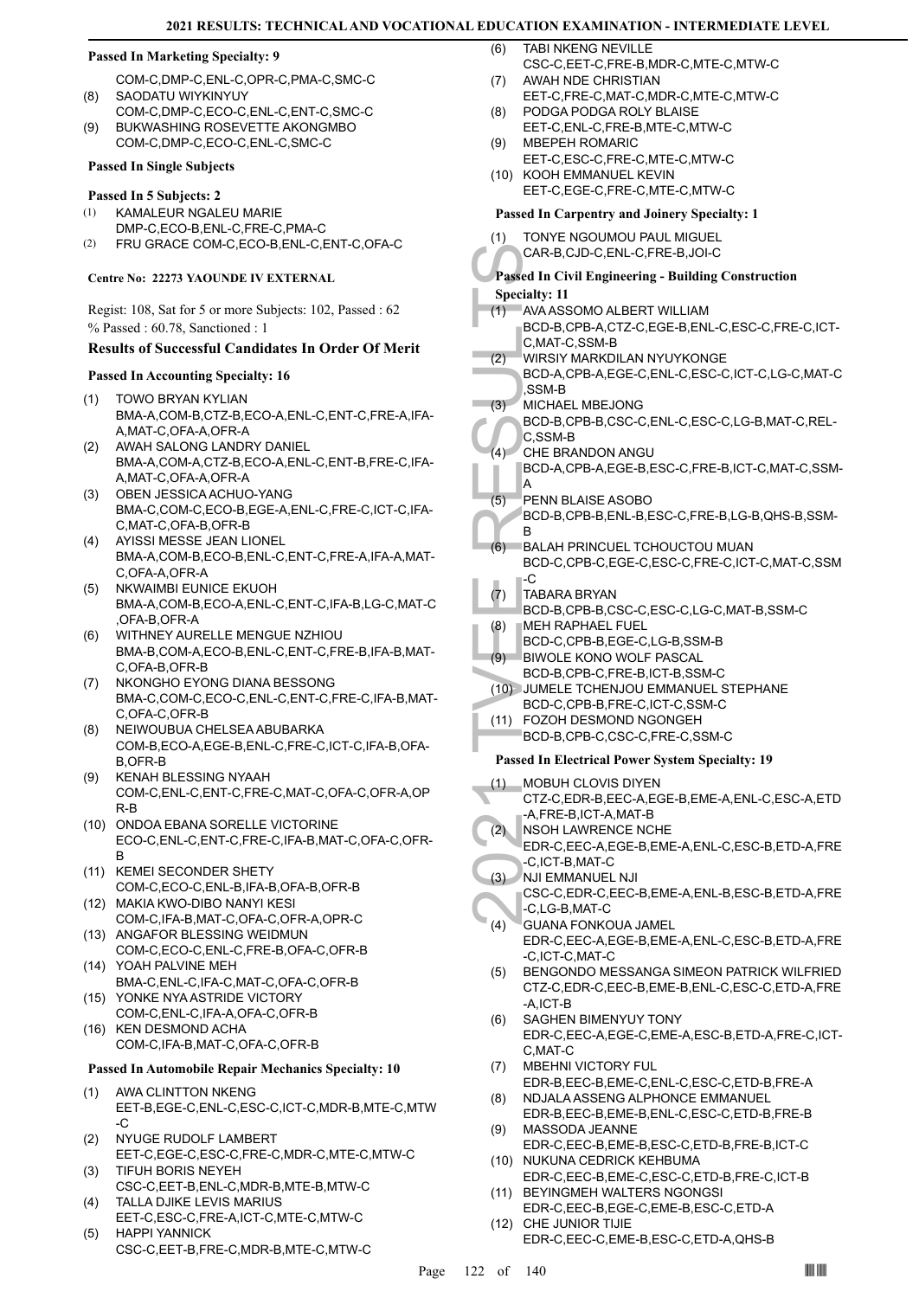#### **Passed In Marketing Specialty: 9**

- COM-C,DMP-C,ENL-C,OPR-C,PMA-C,SMC-C SAODATU WIYKINYUY (8)
- COM-C,DMP-C,ECO-C,ENL-C,ENT-C,SMC-C BUKWASHING ROSEVETTE AKONGMBO (9)
- COM-C,DMP-C,ECO-C,ENL-C,SMC-C

## **Passed In Single Subjects**

#### **Passed In 5 Subjects: 2**

- KAMALEUR NGALEU MARIE DMP-C,ECO-B,ENL-C,FRE-C,PMA-C (1)
- (2) FRU GRACE COM-C,ECO-B,ENL-C,ENT-C,OFA-C

#### **Centre No: 22273 YAOUNDE IV EXTERNAL**

Regist: 108, Sat for 5 or more Subjects: 102, Passed : 62 % Passed : 60.78, Sanctioned : 1

#### **Results of Successful Candidates In Order Of Merit**

- **Passed In Accounting Specialty: 16**
- TOWO BRYAN KYLIAN BMA-A,COM-B,CTZ-B,ECO-A,ENL-C,ENT-C,FRE-A,IFA-A,MAT-C,OFA-A,OFR-A (1)
- AWAH SALONG LANDRY DANIEL BMA-A,COM-A,CTZ-B,ECO-A,ENL-C,ENT-B,FRE-C,IFA-A,MAT-C,OFA-A,OFR-A (2)
- (3) OBEN JESSICA ACHUO-YANG BMA-C,COM-C,ECO-B,EGE-A,ENL-C,FRE-C,ICT-C,IFA-C,MAT-C,OFA-B,OFR-B
- AYISSI MESSE JEAN LIONEL BMA-A,COM-B,ECO-B,ENL-C,ENT-C,FRE-A,IFA-A,MAT-C,OFA-A,OFR-A (4)
- NKWAIMBI EUNICE EKUOH BMA-A,COM-B,ECO-A,ENL-C,ENT-C,IFA-B,LG-C,MAT-C ,OFA-B,OFR-A (5)
- WITHNEY AURELLE MENGUE NZHIOU BMA-B,COM-A,ECO-B,ENL-C,ENT-C,FRE-B,IFA-B,MAT-C,OFA-B,OFR-B (6)
- NKONGHO EYONG DIANA BESSONG BMA-C,COM-C,ECO-C,ENL-C,ENT-C,FRE-C,IFA-B,MAT-C,OFA-C,OFR-B (7)
- NEIWOUBUA CHELSEA ABUBARKA COM-B,ECO-A,EGE-B,ENL-C,FRE-C,ICT-C,IFA-B,OFA-B,OFR-B (8)
- KENAH BLESSING NYAAH COM-C,ENL-C,ENT-C,FRE-C,MAT-C,OFA-C,OFR-A,OP R-B (9)
- (10) ONDOA EBANA SORELLE VICTORINE ECO-C,ENL-C,ENT-C,FRE-C,IFA-B,MAT-C,OFA-C,OFR-B
- (11) KEMEI SECONDER SHETY COM-C,ECO-C,ENL-B,IFA-B,OFA-B,OFR-B
- MAKIA KWO-DIBO NANYI KESI (12) COM-C,IFA-B,MAT-C,OFA-C,OFR-A,OPR-C
- (13) ANGAFOR BLESSING WEIDMUN COM-C,ECO-C,ENL-C,FRE-B,OFA-C,OFR-B YOAH PALVINE MEH (14)
- BMA-C,ENL-C,IFA-C,MAT-C,OFA-C,OFR-B (15) YONKE NYA ASTRIDE VICTORY
- COM-C,ENL-C,IFA-A,OFA-C,OFR-B (16) KEN DESMOND ACHA
- COM-C,IFA-B,MAT-C,OFA-C,OFR-B

#### **Passed In Automobile Repair Mechanics Specialty: 10**

- AWA CLINTTON NKENG EET-B,EGE-C,ENL-C,ESC-C,ICT-C,MDR-B,MTE-C,MTW -C (1)
- NYUGE RUDOLF LAMBERT EET-C,EGE-C,ESC-C,FRE-C,MDR-C,MTE-C,MTW-C (2)
- TIFUH BORIS NEYEH CSC-C,EET-B,ENL-C,MDR-B,MTE-B,MTW-C (3) TALLA DJIKE LEVIS MARIUS (4)
- EET-C,ESC-C,FRE-A,ICT-C,MTE-C,MTW-C HAPPI YANNICK (5)
- CSC-C,EET-B,FRE-C,MDR-B,MTE-C,MTW-C
- TABI NKENG NEVILLE CSC-C,EET-C,FRE-B,MDR-C,MTE-C,MTW-C (6)
- AWAH NDE CHRISTIAN EET-C,FRE-C,MAT-C,MDR-C,MTE-C,MTW-C (7)
- PODGA PODGA ROLY BLAISE (8)
- EET-C,ENL-C,FRE-B,MTE-C,MTW-C MBEPEH ROMARIC (9)
- EET-C,ESC-C,FRE-C,MTE-C,MTW-C (10) KOOH EMMANUEL KEVIN EET-C,EGE-C,FRE-C,MTE-C,MTW-C

#### **Passed In Carpentry and Joinery Specialty: 1**

| (1) | TONYE NGOUMOU PAUL MIGUEL |
|-----|---------------------------|

CAR-B,CJD-C,ENL-C,FRE-B,JOI-C

#### **Passed In Civil Engineering - Building Construction**

**Specialty: 11**

- AVA ASSOMO ALBERT WILLIAM BCD-B,CPB-A,CTZ-C,EGE-B,ENL-C,ESC-C,FRE-C,ICT-C,MAT-C,SSM-B (1)
- WIRSIY MARKDILAN NYUYKONGE (2)
- BCD-A,CPB-A,EGE-C,ENL-C,ESC-C,ICT-C,LG-C,MAT-C ,SSM-B
- MICHAEL MBEJONG  $(3)$
- BCD-B,CPB-B,CSC-C,ENL-C,ESC-C,LG-B,MAT-C,REL-C,SSM-B
- CHE BRANDON ANGU BCD-A,CPB-A,EGE-B,ESC-C,FRE-B,ICT-C,MAT-C,SSM- $(4)$
- A PENN BLAISE ASOBO (5)
- BCD-B,CPB-B,ENL-B,ESC-C,FRE-B,LG-B,QHS-B,SSM-B
- CAR-B, CAR-B, CAR-B, CAR-B, CAR-B, CAR-B, C.<br>
(1) AVAASS, BCD-B, C.<br>
(2) WIRSIY BCD-A, SSM-B CO-A, SSM-B CO-B, C.<br>
(3) MICHAE BCD-B, SSM-B RCD-B, C.<br>
(4) C.S. CHE BF BCD-B, A<br>
(6) BALAH BCD-B, C.<br>
(6) BALAH BCD-B, C.<br>
(7) BALAH PRINCUEL TCHOUCTOU MUAN BCD-C,CPB-C,EGE-C,ESC-C,FRE-C,ICT-C,MAT-C,SSM -C (6)
- TABARA BRYAN (7)
- BCD-B,CPB-B,CSC-C,ESC-C,LG-C,MAT-B,SSM-C
- MEH RAPHAEL FUEL (8)
- BCD-C,CPB-B,EGE-C,LG-B,SSM-B
- BIWOLE KONO WOLF PASCAL (9)
- BCD-B,CPB-C,FRE-B,ICT-B,SSM-C JUMELE TCHENJOU EMMANUEL STEPHANE (10)
	- BCD-C,CPB-B,FRE-C,ICT-C,SSM-C
- FOZOH DESMOND NGONGEH (11) BCD-B,CPB-C,CSC-C,FRE-C,SSM-C

#### **Passed In Electrical Power System Specialty: 19**

- MOBUH CLOVIS DIYEN (1)
	- CTZ-C,EDR-B,EEC-A,EGE-B,EME-A,ENL-C,ESC-A,ETD -A,FRE-B,ICT-A,MAT-B
- NSOH LAWRENCE NCHE  $(2)$
- EDR-C,EEC-A,EGE-B,EME-A,ENL-C,ESC-B,ETD-A,FRE -C,ICT-B,MAT-C
- NJI EMMANUEL NJI (3)
	- CSC-C,EDR-C,EEC-B,EME-A,ENL-B,ESC-B,ETD-A,FRE -C,LG-B,MAT-C
- GUANA FONKOUA JAMEL EDR-C,EEC-A,EGE-B,EME-A,ENL-C,ESC-B,ETD-A,FRE -C,ICT-C,MAT-C (4)
- BENGONDO MESSANGA SIMEON PATRICK WILFRIED CTZ-C,EDR-C,EEC-B,EME-B,ENL-C,ESC-C,ETD-A,FRE -A,ICT-B (5)
- SAGHEN BIMENYUY TONY EDR-C,EEC-A,EGE-C,EME-A,ESC-B,ETD-A,FRE-C,ICT-C,MAT-C (6)
- MBEHNI VICTORY FUL (7)
- EDR-B,EEC-B,EME-C,ENL-C,ESC-C,ETD-B,FRE-A NDJALA ASSENG ALPHONCE EMMANUEL (8)
- EDR-B,EEC-B,EME-B,ENL-C,ESC-C,ETD-B,FRE-B MASSODA JEANNE (9)
- EDR-C,EEC-B,EME-B,ESC-C,ETD-B,FRE-B,ICT-C (10) NUKUNA CEDRICK KEHBUMA
- EDR-C,EEC-B,EME-C,ESC-C,ETD-B,FRE-C,ICT-B BEYINGMEH WALTERS NGONGSI (11)
- EDR-C,EEC-B,EGE-C,EME-B,ESC-C,ETD-A (12) CHE JUNIOR TIJIE
	- EDR-C,EEC-C,EME-B,ESC-C,ETD-A,QHS-B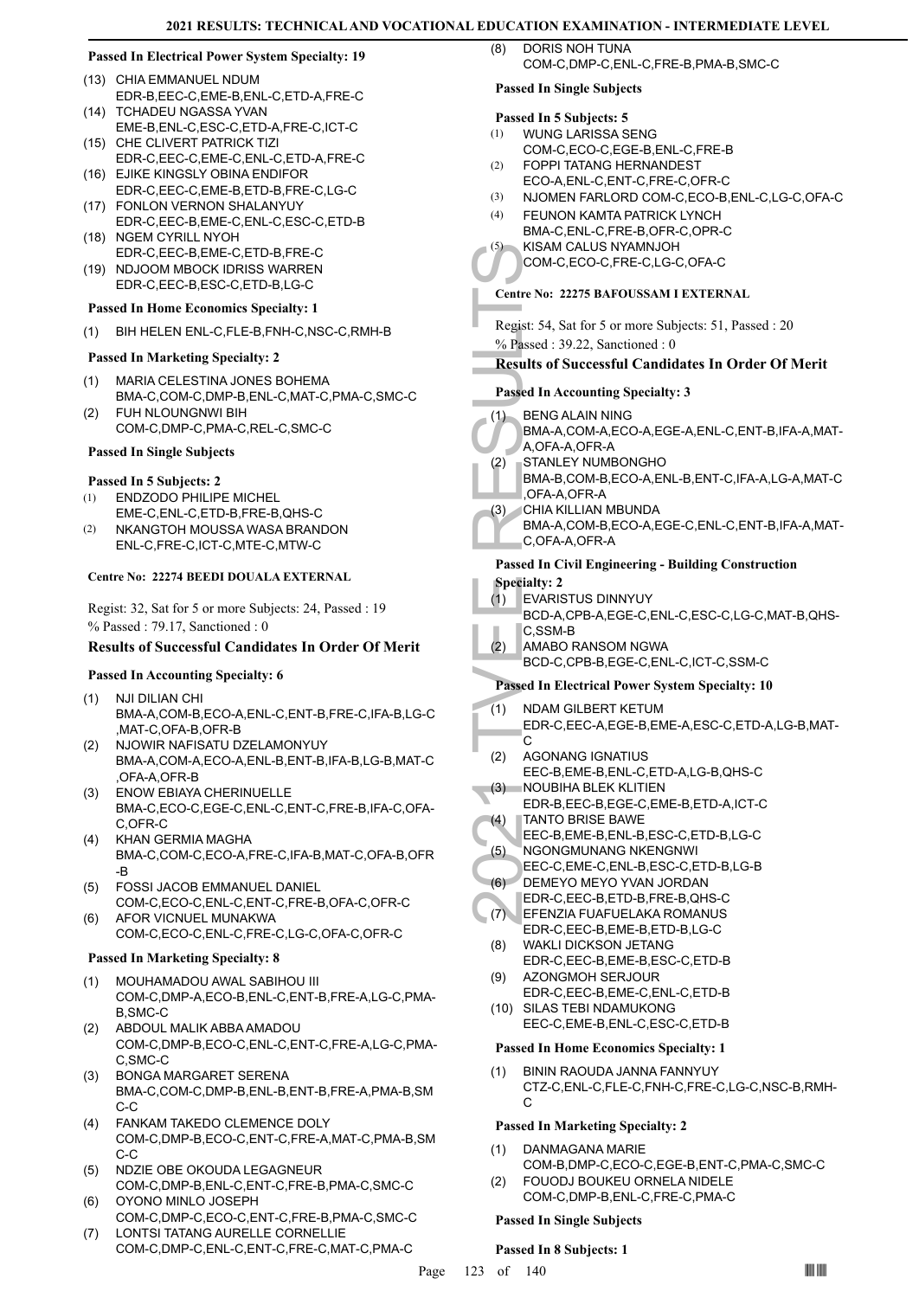#### **Passed In Electrical Power System Specialty: 19**

- (13) CHIA EMMANUEL NDUM EDR-B,EEC-C,EME-B,ENL-C,ETD-A,FRE-C
- (14) TCHADEU NGASSA YVAN EME-B,ENL-C,ESC-C,ETD-A,FRE-C,ICT-C
- (15) CHE CLIVERT PATRICK TIZI EDR-C,EEC-C,EME-C,ENL-C,ETD-A,FRE-C (16) EJIKE KINGSLY OBINA ENDIFOR
- EDR-C,EEC-C,EME-B,ETD-B,FRE-C,LG-C FONLON VERNON SHALANYUY (17)
- EDR-C,EEC-B,EME-C,ENL-C,ESC-C,ETD-B (18) NGEM CYRILL NYOH
- EDR-C,EEC-B,EME-C,ETD-B,FRE-C (19) NDJOOM MBOCK IDRISS WARREN EDR-C,EEC-B,ESC-C,ETD-B,LG-C

## **Passed In Home Economics Specialty: 1**

(1) BIH HELEN ENL-C,FLE-B,FNH-C,NSC-C,RMH-B

#### **Passed In Marketing Specialty: 2**

- MARIA CELESTINA JONES BOHEMA BMA-C,COM-C,DMP-B,ENL-C,MAT-C,PMA-C,SMC-C (1)
- FUH NLOUNGNWI BIH COM-C,DMP-C,PMA-C,REL-C,SMC-C (2)

#### **Passed In Single Subjects**

### **Passed In 5 Subjects: 2**

- ENDZODO PHILIPE MICHEL (1)
- EME-C,ENL-C,ETD-B,FRE-B,QHS-C NKANGTOH MOUSSA WASA BRANDON ENL-C,FRE-C,ICT-C,MTE-C,MTW-C  $(2)$

#### **Centre No: 22274 BEEDI DOUALA EXTERNAL**

Regist: 32, Sat for 5 or more Subjects: 24, Passed : 19 % Passed : 79.17, Sanctioned : 0

#### **Results of Successful Candidates In Order Of Merit**

#### **Passed In Accounting Specialty: 6**

- NJI DILIAN CHI BMA-A,COM-B,ECO-A,ENL-C,ENT-B,FRE-C,IFA-B,LG-C ,MAT-C,OFA-B,OFR-B (1)
- NJOWIR NAFISATU DZELAMONYUY BMA-A,COM-A,ECO-A,ENL-B,ENT-B,IFA-B,LG-B,MAT-C ,OFA-A,OFR-B (2)
- ENOW EBIAYA CHERINUELLE BMA-C,ECO-C,EGE-C,ENL-C,ENT-C,FRE-B,IFA-C,OFA-C,OFR-C (3)
- KHAN GERMIA MAGHA BMA-C,COM-C,ECO-A,FRE-C,IFA-B,MAT-C,OFA-B,OFR -B (4)
- FOSSI JACOB EMMANUEL DANIEL COM-C,ECO-C,ENL-C,ENT-C,FRE-B,OFA-C,OFR-C (5)
- AFOR VICNUEL MUNAKWA COM-C,ECO-C,ENL-C,FRE-C,LG-C,OFA-C,OFR-C (6)

#### **Passed In Marketing Specialty: 8**

- MOUHAMADOU AWAL SABIHOU III COM-C,DMP-A,ECO-B,ENL-C,ENT-B,FRE-A,LG-C,PMA-B,SMC-C (1)
- ABDOUL MALIK ABBA AMADOU COM-C,DMP-B,ECO-C,ENL-C,ENT-C,FRE-A,LG-C,PMA-C,SMC-C (2)
- BONGA MARGARET SERENA BMA-C,COM-C,DMP-B,ENL-B,ENT-B,FRE-A,PMA-B,SM C-C (3)
- FANKAM TAKEDO CLEMENCE DOLY COM-C,DMP-B,ECO-C,ENT-C,FRE-A,MAT-C,PMA-B,SM C-C (4)
- NDZIE OBE OKOUDA LEGAGNEUR COM-C,DMP-B,ENL-C,ENT-C,FRE-B,PMA-C,SMC-C (5)
- OYONO MINLO JOSEPH COM-C,DMP-C,ECO-C,ENT-C,FRE-B,PMA-C,SMC-C (6)
- LONTSI TATANG AURELLE CORNELLIE COM-C,DMP-C,ENL-C,ENT-C,FRE-C,MAT-C,PMA-C (7)

DORIS NOH TUNA COM-C,DMP-C,ENL-C,FRE-B,PMA-B,SMC-C

#### **Passed In Single Subjects**

#### **Passed In 5 Subjects: 5**

- WUNG LARISSA SENG (1)
- COM-C,ECO-C,EGE-B,ENL-C,FRE-B FOPPI TATANG HERNANDEST (2)
- ECO-A,ENL-C,ENT-C,FRE-C,OFR-C
- (3) NJOMEN FARLORD COM-C,ECO-B,ENL-C,LG-C,OFA-C
- FEUNON KAMTA PATRICK LYNCH BMA-C,ENL-C,FRE-B,OFR-C,OPR-C (4)
- KISAM CALUS NYAMNJOH (5)
- COM-C,ECO-C,FRE-C,LG-C,OFA-C

## **Centre No: 22275 BAFOUSSAM I EXTERNAL**

(3)<br>
COM-C,<br>
Centre No: 2:<br>
Regist: 54, S.<br>
% Passed In Ac<br>
(1) BENG A<br>
BMA-A,<br>
A,OFA-A,<br>
A,OFA-A,<br>
A,OFA-A,<br>
A,OFA-A,<br>
C,OFA-A,<br>
C,OFA-A,<br>
C,OFA-A,<br>
C,OFA-A,<br>
C,OFA-A,<br>
C,OFA-A,<br>
C,OFA-A,<br>
C,OFA-A,<br>
C,OFA-A,<br>
C,OFA-A,<br>
C, Regist: 54, Sat for 5 or more Subjects: 51, Passed : 20 % Passed : 39.22, Sanctioned : 0

## **Results of Successful Candidates In Order Of Merit**

#### **Passed In Accounting Specialty: 3**

- BENG ALAIN NING  $(1)$ 
	- BMA-A,COM-A,ECO-A,EGE-A,ENL-C,ENT-B,IFA-A,MAT-A,OFA-A,OFR-A
- STANLEY NUMBONGHO (2)
- BMA-B,COM-B,ECO-A,ENL-B,ENT-C,IFA-A,LG-A,MAT-C ,OFA-A,OFR-A
- CHIA KILLIAN MBUNDA (3)
	- BMA-A,COM-B,ECO-A,EGE-C,ENL-C,ENT-B,IFA-A,MAT-C,OFA-A,OFR-A

#### **Passed In Civil Engineering - Building Construction**

#### **Specialty: 2**

- EVARISTUS DINNYUY (1)
- BCD-A,CPB-A,EGE-C,ENL-C,ESC-C,LG-C,MAT-B,QHS-C,SSM-B
- AMABO RANSOM NGWA (2)
	- BCD-C,CPB-B,EGE-C,ENL-C,ICT-C,SSM-C

#### **Passed In Electrical Power System Specialty: 10**

- NDAM GILBERT KETUM (1)
- EDR-C,EEC-A,EGE-B,EME-A,ESC-C,ETD-A,LG-B,MAT-C
- AGONANG IGNATIUS EEC-B,EME-B,ENL-C,ETD-A,LG-B,QHS-C (2)
- NOUBIHA BLEK KLITIEN EDR-B,EEC-B,EGE-C,EME-B,ETD-A,ICT-C  $(3)$
- TANTO BRISE BAWE (4)
- EEC-B,EME-B,ENL-B,ESC-C,ETD-B,LG-C
- NGONGMUNANG NKENGNWI (5)
- EEC-C,EME-C,ENL-B,ESC-C,ETD-B,LG-B
- DEMEYO MEYO YVAN JORDAN (6)
- EDR-C,EEC-B,ETD-B,FRE-B,QHS-C
- EFENZIA FUAFUELAKA ROMANUS EDR-C,EEC-B,EME-B,ETD-B,LG-C (7)
- WAKLI DICKSON JETANG EDR-C,EEC-B,EME-B,ESC-C,ETD-B (8) AZONGMOH SERJOUR (9)
- EDR-C,EEC-B,EME-C,ENL-C,ETD-B (10) SILAS TEBI NDAMUKONG
- EEC-C,EME-B,ENL-C,ESC-C,ETD-B

#### **Passed In Home Economics Specialty: 1**

BININ RAOUDA JANNA FANNYUY CTZ-C,ENL-C,FLE-C,FNH-C,FRE-C,LG-C,NSC-B,RMH-C (1)

#### **Passed In Marketing Specialty: 2**

- DANMAGANA MARIE COM-B,DMP-C,ECO-C,EGE-B,ENT-C,PMA-C,SMC-C (1)
- FOUODJ BOUKEU ORNELA NIDELE COM-C,DMP-B,ENL-C,FRE-C,PMA-C (2)

#### **Passed In Single Subjects**

#### **Passed In 8 Subjects: 1**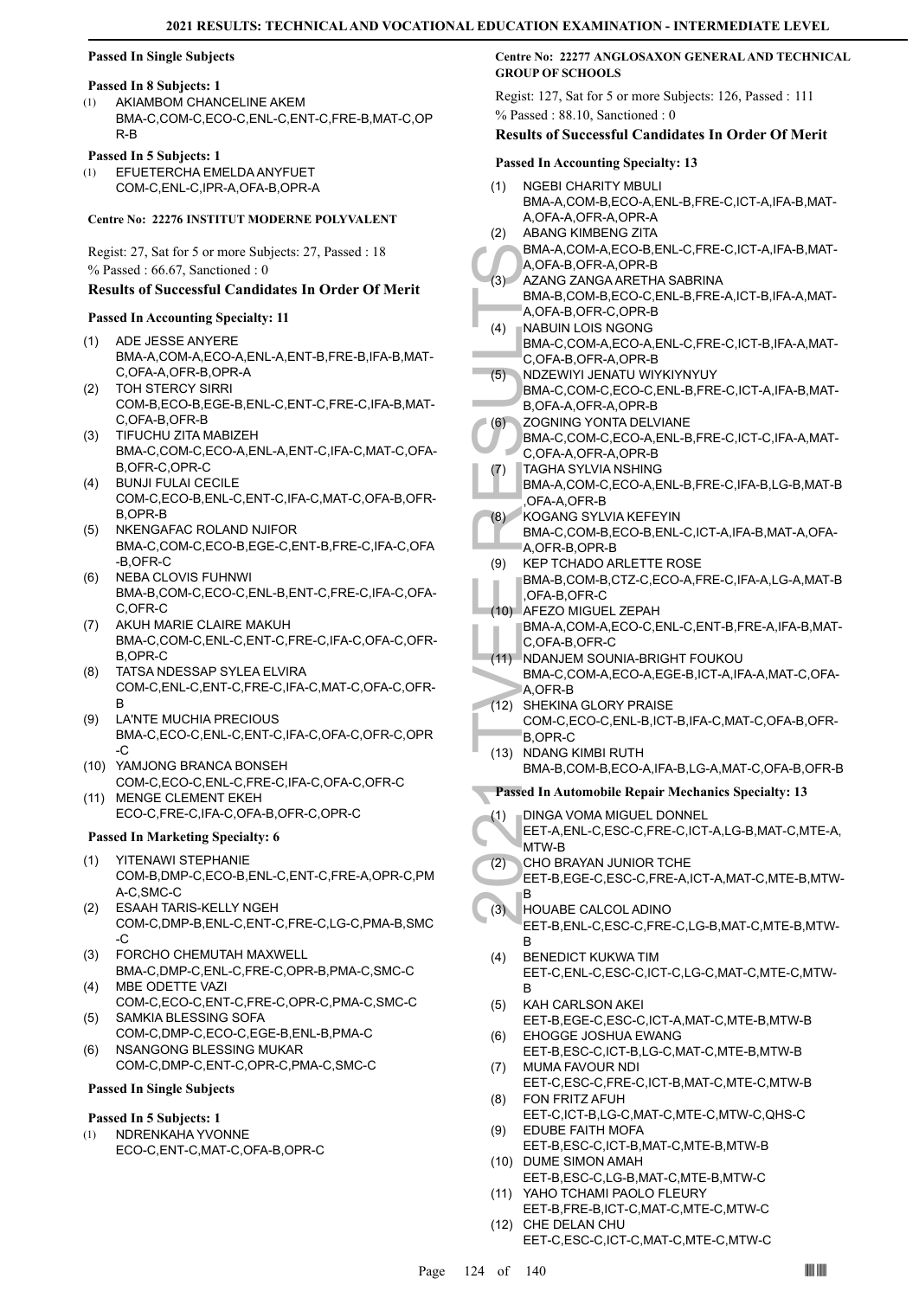#### **Passed In Single Subjects**

#### **Passed In 8 Subjects: 1**

AKIAMBOM CHANCELINE AKEM BMA-C,COM-C,ECO-C,ENL-C,ENT-C,FRE-B,MAT-C,OP R-B (1)

## **Passed In 5 Subjects: 1**

EFUETERCHA EMELDA ANYFUET COM-C,ENL-C,IPR-A,OFA-B,OPR-A (1)

#### **Centre No: 22276 INSTITUT MODERNE POLYVALENT**

Regist: 27, Sat for 5 or more Subjects: 27, Passed : 18 % Passed : 66.67, Sanctioned : 0

#### **Results of Successful Candidates In Order Of Merit**

#### **Passed In Accounting Specialty: 11**

- ADE JESSE ANYERE BMA-A,COM-A,ECO-A,ENL-A,ENT-B,FRE-B,IFA-B,MAT-C,OFA-A,OFR-B,OPR-A (1)
- TOH STERCY SIRRI COM-B,ECO-B,EGE-B,ENL-C,ENT-C,FRE-C,IFA-B,MAT-C,OFA-B,OFR-B (2)
- TIFUCHU ZITA MABIZEH (3) BMA-C,COM-C,ECO-A,ENL-A,ENT-C,IFA-C,MAT-C,OFA-B,OFR-C,OPR-C
- BUNJI FULAI CECILE COM-C,ECO-B,ENL-C,ENT-C,IFA-C,MAT-C,OFA-B,OFR-B,OPR-B (4)
- (5) NKENGAFAC ROLAND NJIFOR BMA-C,COM-C,ECO-B,EGE-C,ENT-B,FRE-C,IFA-C,OFA -B,OFR-C
- (6) NEBA CLOVIS FUHNWI BMA-B,COM-C,ECO-C,ENL-B,ENT-C,FRE-C,IFA-C,OFA-C,OFR-C
- (7) AKUH MARIE CLAIRE MAKUH BMA-C,COM-C,ENL-C,ENT-C,FRE-C,IFA-C,OFA-C,OFR-B,OPR-C
- TATSA NDESSAP SYLEA ELVIRA COM-C,ENL-C,ENT-C,FRE-C,IFA-C,MAT-C,OFA-C,OFR-B (8)
- LA'NTE MUCHIA PRECIOUS BMA-C,ECO-C,ENL-C,ENT-C,IFA-C,OFA-C,OFR-C,OPR -C (9)
- YAMJONG BRANCA BONSEH (10) COM-C,ECO-C,ENL-C,FRE-C,IFA-C,OFA-C,OFR-C
- (11) MENGE CLEMENT EKEH ECO-C,FRE-C,IFA-C,OFA-B,OFR-C,OPR-C

#### **Passed In Marketing Specialty: 6**

- YITENAWI STEPHANIE COM-B,DMP-C,ECO-B,ENL-C,ENT-C,FRE-A,OPR-C,PM A-C,SMC-C (1)
- ESAAH TARIS-KELLY NGEH COM-C,DMP-B,ENL-C,ENT-C,FRE-C,LG-C,PMA-B,SMC -C (2)
- FORCHO CHEMUTAH MAXWELL (3) BMA-C,DMP-C,ENL-C,FRE-C,OPR-B,PMA-C,SMC-C
- MBE ODETTE VAZI COM-C,ECO-C,ENT-C,FRE-C,OPR-C,PMA-C,SMC-C (4)
- SAMKIA BLESSING SOFA COM-C,DMP-C,ECO-C,EGE-B,ENL-B,PMA-C (5)
- NSANGONG BLESSING MUKAR COM-C,DMP-C,ENT-C,OPR-C,PMA-C,SMC-C (6)

## **Passed In Single Subjects**

#### **Passed In 5 Subjects: 1**

- NDRENKAHA YVONNE (1)
- ECO-C,ENT-C,MAT-C,OFA-B,OPR-C

#### **Centre No: 22277 ANGLOSAXON GENERAL AND TECHNICAL GROUP OF SCHOOLS**

Regist: 127, Sat for 5 or more Subjects: 126, Passed : 111 % Passed : 88.10, Sanctioned : 0

#### **Results of Successful Candidates In Order Of Merit**

#### **Passed In Accounting Specialty: 13**

|      | $\alpha$ in riccounting operately.                               |
|------|------------------------------------------------------------------|
| (1)  | <b>NGEBI CHARITY MBULI</b>                                       |
|      | BMA-A,COM-B,ECO-A,ENL-B,FRE-C,ICT-A,IFA-B,MAT-                   |
|      | A, OFA-A, OFR-A, OPR-A                                           |
| (2)  | ABANG KIMBENG ZITA                                               |
|      | BMA-A,COM-A,ECO-B,ENL-C,FRE-C,ICT-A,IFA-B,MAT-                   |
|      | A, OFA-B, OFR-A, OPR-B                                           |
| (3)  | AZANG ZANGA ARETHA SABRINA                                       |
|      | BMA-B,COM-B,ECO-C,ENL-B,FRE-A,ICT-B,IFA-A,MAT-                   |
|      | A, OFA-B, OFR-C, OPR-B                                           |
| (4)  | <b>NABUIN LOIS NGONG</b>                                         |
|      | BMA-C,COM-A,ECO-A,ENL-C,FRE-C,ICT-B,IFA-A,MAT-                   |
|      | C,OFA-B,OFR-A,OPR-B                                              |
| (5)  | NDZEWIYI JENATU WIYKIYNYUY                                       |
|      | BMA-C,COM-C,ECO-C,ENL-B,FRE-C,ICT-A,IFA-B,MAT-                   |
|      | B, OFA-A, OFR-A, OPR-B                                           |
| (6)  | ZOGNING YONTA DELVIANE                                           |
|      | BMA-C,COM-C,ECO-A,ENL-B,FRE-C,ICT-C,IFA-A,MAT-                   |
|      | C,OFA-A,OFR-A,OPR-B                                              |
| 7)   | TAGHA SYLVIA NSHING                                              |
|      | BMA-A,COM-C,ECO-A,ENL-B,FRE-C,IFA-B,LG-B,MAT-B                   |
|      | OFA-A, OFR-B                                                     |
| (8)  | KOGANG SYLVIA KEFEYIN                                            |
|      | BMA-C,COM-B,ECO-B,ENL-C,ICT-A,IFA-B,MAT-A,OFA-                   |
|      | A, OFR-B, OPR-B                                                  |
| (9)  | <b>KEP TCHADO ARLETTE ROSE</b>                                   |
|      | BMA-B,COM-B,CTZ-C,ECO-A,FRE-C,IFA-A,LG-A,MAT-B                   |
|      | ,OFA-B,OFR-C                                                     |
|      | (10) AFEZO MIGUEL ZEPAH                                          |
|      | BMA-A,COM-A,ECO-C,ENL-C,ENT-B,FRE-A,IFA-B,MAT-                   |
|      | C,OFA-B,OFR-C                                                    |
|      | (11) NDANJEM SOUNIA-BRIGHT FOUKOU                                |
|      | BMA-C,COM-A,ECO-A,EGE-B,ICT-A,IFA-A,MAT-C,OFA-                   |
|      | A.OFR-B                                                          |
|      |                                                                  |
| (12) | SHEKINA GLORY PRAISE                                             |
|      | COM-C,ECO-C,ENL-B,ICT-B,IFA-C,MAT-C,OFA-B,OFR-                   |
|      | B,OPR-C                                                          |
| (13) | NDANG KIMBI RUTH                                                 |
|      | BMA-B,COM-B,ECO-A,IFA-B,LG-A,MAT-C,OFA-B,OFR-B                   |
|      | Passed In Automobile Repair Mechanics Specialty: 13              |
|      |                                                                  |
| (1)  | DINGA VOMA MIGUEL DONNEL                                         |
|      | EET-A, ENL-C, ESC-C, FRE-C, ICT-A, LG-B, MAT-C, MTE-A,           |
|      | MTW-B                                                            |
| (2)  | CHO BRAYAN JUNIOR TCHE                                           |
|      | EET-B,EGE-C,ESC-C,FRE-A,ICT-A,MAT-C,MTE-B,MTW-                   |
|      | в                                                                |
| (3)  | HOUABE CALCOL ADINO                                              |
|      | EET-B, ENL-C, ESC-C, FRE-C, LG-B, MAT-C, MTE-B, MTW-             |
|      | В                                                                |
| (4)  | <b>BENEDICT KUKWA TIM</b>                                        |
|      | EET-C, ENL-C, ESC-C, ICT-C, LG-C, MAT-C, MTE-C, MTW-<br>В        |
|      |                                                                  |
| (5)  | KAH CARLSON AKEI                                                 |
| (6)  | EET-B,EGE-C,ESC-C,ICT-A,MAT-C,MTE-B,MTW-B<br>EHOGGE JOSHUA EWANG |
|      | EET-B, ESC-C, ICT-B, LG-C, MAT-C, MTE-B, MTW-B                   |
| (7)  | MUMA FAVOUR NDI                                                  |
|      | EET-C,ESC-C,FRE-C,ICT-B,MAT-C,MTE-C,MTW-B                        |
| (8)  | FON FRITZ AFUH                                                   |
|      | EET-C,ICT-B,LG-C,MAT-C,MTE-C,MTW-C,QHS-C                         |
| (9)  | EDUBE FAITH MOFA                                                 |
|      | EET-B,ESC-C,ICT-B,MAT-C,MTE-B,MTW-B                              |
|      | (10) DUME SIMON AMAH                                             |
|      | EET-B,ESC-C,LG-B,MAT-C,MTE-B,MTW-C                               |
| (11) | YAHO TCHAMI PAOLO FLEURY                                         |
|      | EET-B, FRE-B, ICT-C, MAT-C, MTE-C, MTW-C<br>(12) CHE DELAN CHU   |

EET-C,ESC-C,ICT-C,MAT-C,MTE-C,MTW-C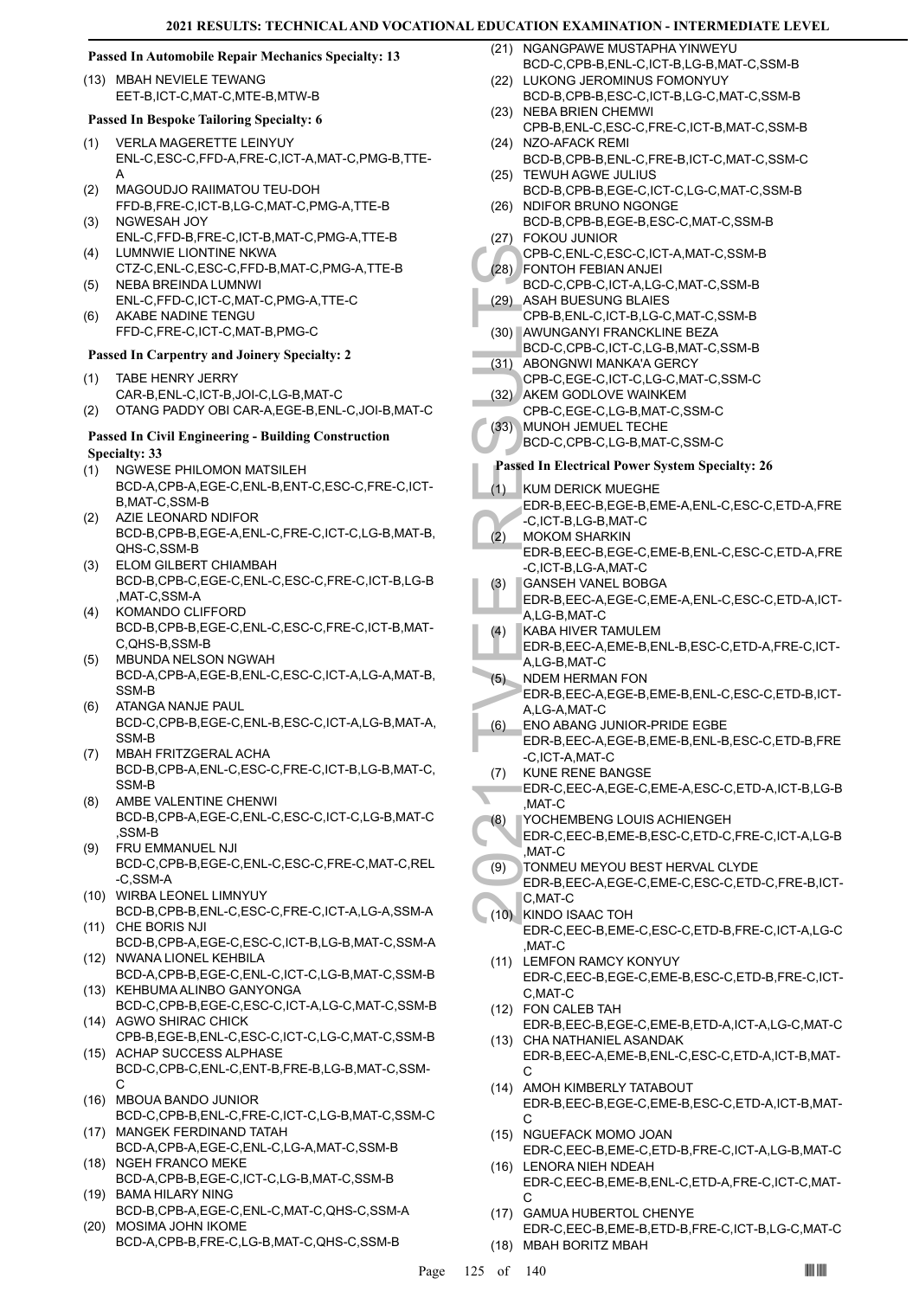#### **Passed In Automobile Repair Mechanics Specialty: 13**

(13) MBAH NEVIELE TEWANG EET-B,ICT-C,MAT-C,MTE-B,MTW-B

#### **Passed In Bespoke Tailoring Specialty: 6**

- VERLA MAGERETTE LEINYUY ENL-C,ESC-C,FFD-A,FRE-C,ICT-A,MAT-C,PMG-B,TTE-A (1)
- MAGOUDJO RAIIMATOU TEU-DOH FFD-B,FRE-C,ICT-B,LG-C,MAT-C,PMG-A,TTE-B (2) NGWESAH JOY (3)
- ENL-C,FFD-B,FRE-C,ICT-B,MAT-C,PMG-A,TTE-B LUMNWIE LIONTINE NKWA (4)
- CTZ-C,ENL-C,ESC-C,FFD-B,MAT-C,PMG-A,TTE-B NEBA BREINDA LUMNWI (5)
- ENL-C,FFD-C,ICT-C,MAT-C,PMG-A,TTE-C AKABE NADINE TENGU (6)
- FFD-C,FRE-C,ICT-C,MAT-B,PMG-C

#### **Passed In Carpentry and Joinery Specialty: 2**

- TABE HENRY JERRY CAR-B,ENL-C,ICT-B,JOI-C,LG-B,MAT-C (1)
- (2) OTANG PADDY OBI CAR-A,EGE-B,ENL-C,JOI-B,MAT-C

#### **Passed In Civil Engineering - Building Construction Specialty: 33**

- NGWESE PHILOMON MATSILEH BCD-A,CPB-A,EGE-C,ENL-B,ENT-C,ESC-C,FRE-C,ICT-B,MAT-C,SSM-B (1)
- AZIE LEONARD NDIFOR BCD-B,CPB-B,EGE-A,ENL-C,FRE-C,ICT-C,LG-B,MAT-B, QHS-C,SSM-B (2)
- ELOM GILBERT CHIAMBAH BCD-B,CPB-C,EGE-C,ENL-C,ESC-C,FRE-C,ICT-B,LG-B ,MAT-C,SSM-A (3)
- KOMANDO CLIFFORD BCD-B,CPB-B,EGE-C,ENL-C,ESC-C,FRE-C,ICT-B,MAT-C,QHS-B,SSM-B (4)
- MBUNDA NELSON NGWAH BCD-A,CPB-A,EGE-B,ENL-C,ESC-C,ICT-A,LG-A,MAT-B, SSM-B (5)
- ATANGA NANJE PAUL BCD-C,CPB-B,EGE-C,ENL-B,ESC-C,ICT-A,LG-B,MAT-A, SSM-B (6)
- MBAH FRITZGERAL ACHA BCD-B,CPB-A,ENL-C,ESC-C,FRE-C,ICT-B,LG-B,MAT-C, SSM-B (7)
- AMBE VALENTINE CHENWI BCD-B,CPB-A,EGE-C,ENL-C,ESC-C,ICT-C,LG-B,MAT-C ,SSM-B (8)
- FRU EMMANUEL NJI BCD-C,CPB-B,EGE-C,ENL-C,ESC-C,FRE-C,MAT-C,REL -C,SSM-A (9)
- WIRBA LEONEL LIMNYUY (10) BCD-B,CPB-B,ENL-C,ESC-C,FRE-C,ICT-A,LG-A,SSM-A
- (11) CHE BORIS NJI BCD-B,CPB-A,EGE-C,ESC-C,ICT-B,LG-B,MAT-C,SSM-A
- (12) NWANA LIONEL KEHBILA BCD-A,CPB-B,EGE-C,ENL-C,ICT-C,LG-B,MAT-C,SSM-B (13) KEHBUMA ALINBO GANYONGA
- BCD-C,CPB-B,EGE-C,ESC-C,ICT-A,LG-C,MAT-C,SSM-B (14) AGWO SHIRAC CHICK
- CPB-B,EGE-B,ENL-C,ESC-C,ICT-C,LG-C,MAT-C,SSM-B (15) ACHAP SUCCESS ALPHASE
- BCD-C,CPB-C,ENL-C,ENT-B,FRE-B,LG-B,MAT-C,SSM- $\mathcal{C}$
- MBOUA BANDO JUNIOR (16)
- BCD-C,CPB-B,ENL-C,FRE-C,ICT-C,LG-B,MAT-C,SSM-C (17) MANGEK FERDINAND TATAH
- BCD-A,CPB-A,EGE-C,ENL-C,LG-A,MAT-C,SSM-B (18) NGEH FRANCO MEKE
- BCD-A,CPB-B,EGE-C,ICT-C,LG-B,MAT-C,SSM-B BAMA HILARY NING (19)
- BCD-B,CPB-A,EGE-C,ENL-C,MAT-C,QHS-C,SSM-A MOSIMA JOHN IKOME (20)
- BCD-A,CPB-B,FRE-C,LG-B,MAT-C,QHS-C,SSM-B
- (21) NGANGPAWE MUSTAPHA YINWEYU BCD-C,CPB-B,ENL-C,ICT-B,LG-B,MAT-C,SSM-B
- (22) LUKONG JEROMINUS FOMONYUY BCD-B,CPB-B,ESC-C,ICT-B,LG-C,MAT-C,SSM-B (23) NEBA BRIEN CHEMWI
- CPB-B,ENL-C,ESC-C,FRE-C,ICT-B,MAT-C,SSM-B (24) NZO-AFACK REMI
- BCD-B,CPB-B,ENL-C,FRE-B,ICT-C,MAT-C,SSM-C (25) TEWUH AGWE JULIUS
- BCD-B,CPB-B,EGE-C,ICT-C,LG-C,MAT-C,SSM-B (26) NDIFOR BRUNO NGONGE
- BCD-B,CPB-B,EGE-B,ESC-C,MAT-C,SSM-B FOKOU JUNIOR (27)
- CPB-C,ENL-C,ESC-C,ICT-A,MAT-C,SSM-B FONTOH FEBIAN ANJEI (28)
- BCD-C,CPB-C,ICT-A,LG-C,MAT-C,SSM-B ASAH BUESUNG BLAIES (29)
- CPB-B,ENL-C,ICT-B,LG-C,MAT-C,SSM-B
- AWUNGANYI FRANCKLINE BEZA (30) BCD-C,CPB-C,ICT-C,LG-B,MAT-C,SSM-B
	- (31) ABONGNWI MANKA'A GERCY CPB-C,EGE-C,ICT-C,LG-C,MAT-C,SSM-C
- (32) AKEM GODLOVE WAINKEM
- CPB-C,EGE-C,LG-B,MAT-C,SSM-C
- (33) MUNOH JEMUEL TECHE
- BCD-C,CPB-C,LG-B,MAT-C,SSM-C

## **Passed In Electrical Power System Specialty: 26**

- KUM DERICK MUEGHE  $(1)$
- EDR-B,EEC-B,EGE-B,EME-A,ENL-C,ESC-C,ETD-A,FRE -C,ICT-B,LG-B,MAT-C
- MOKOM SHARKIN EDR-B,EEC-B,EGE-C,EME-B,ENL-C,ESC-C,ETD-A,FRE -C,ICT-B,LG-A,MAT-C  $(2)$
- GANSEH VANEL BOBGA (3)
- EDR-B,EEC-A,EGE-C,EME-A,ENL-C,ESC-C,ETD-A,ICT-A,LG-B,MAT-C
- KABA HIVER TAMULEM (4)
- EDR-B,EEC-A,EME-B,ENL-B,ESC-C,ETD-A,FRE-C,ICT-A,LG-B,MAT-C
- (28) FONTO BCD-C, (29) ASAH B<br>
CPB-B, (30) AWUNC BCD-C, (29) ASAH B<br>
CPB-B, (30) AWUNC BCD-C, (29) ASAH B<br>
CPB-C, (32) AKEM C<br>
CPB-C, (29) AKEM C<br>
CPB-C, (29) AKEM C<br>
CPB-C, (29) AKEM C<br>
CPB-C, (29) MUNOH BCD-C, (29) ANSE NDEM HERMAN FON EDR-B,EEC-A,EGE-B,EME-B,ENL-C,ESC-C,ETD-B,ICT-A,LG-A,MAT-C (5)
	- ENO ABANG JUNIOR-PRIDE EGBE (6)
	- EDR-B,EEC-A,EGE-B,EME-B,ENL-B,ESC-C,ETD-B,FRE -C,ICT-A,MAT-C
	- KUNE RENE BANGSE (7)
	- EDR-C,EEC-A,EGE-C,EME-A,ESC-C,ETD-A,ICT-B,LG-B ,MAT-C
- YOCHEMBENG LOUIS ACHIENGEH (8)
- EDR-C,EEC-B,EME-B,ESC-C,ETD-C,FRE-C,ICT-A,LG-B ,MAT-C
- TONMEU MEYOU BEST HERVAL CLYDE EDR-B,EEC-A,EGE-C,EME-C,ESC-C,ETD-C,FRE-B,ICT-(9)
- C,MAT-C KINDO ISAAC TOH (10) EDR-C,EEC-B,EME-C,ESC-C,ETD-B,FRE-C,ICT-A,LG-C
- ,MAT-C (11) LEMFON RAMCY KONYUY
- EDR-C,EEC-B,EGE-C,EME-B,ESC-C,ETD-B,FRE-C,ICT-C,MAT-C
- FON CALEB TAH (12) EDR-B,EEC-B,EGE-C,EME-B,ETD-A,ICT-A,LG-C,MAT-C CHA NATHANIEL ASANDAK (13)
- EDR-B,EEC-A,EME-B,ENL-C,ESC-C,ETD-A,ICT-B,MAT- $\mathcal{C}$
- (14) AMOH KIMBERLY TATABOUT EDR-B,EEC-B,EGE-C,EME-B,ESC-C,ETD-A,ICT-B,MAT-C
- (15) NGUEFACK MOMO JOAN EDR-C,EEC-B,EME-C,ETD-B,FRE-C,ICT-A,LG-B,MAT-C (16) LENORA NIEH NDEAH
- EDR-C,EEC-B,EME-B,ENL-C,ETD-A,FRE-C,ICT-C,MAT-C
- (17) GAMUA HUBERTOL CHENYE
- EDR-C,EEC-B,EME-B,ETD-B,FRE-C,ICT-B,LG-C,MAT-C (18) MBAH BORITZ MBAH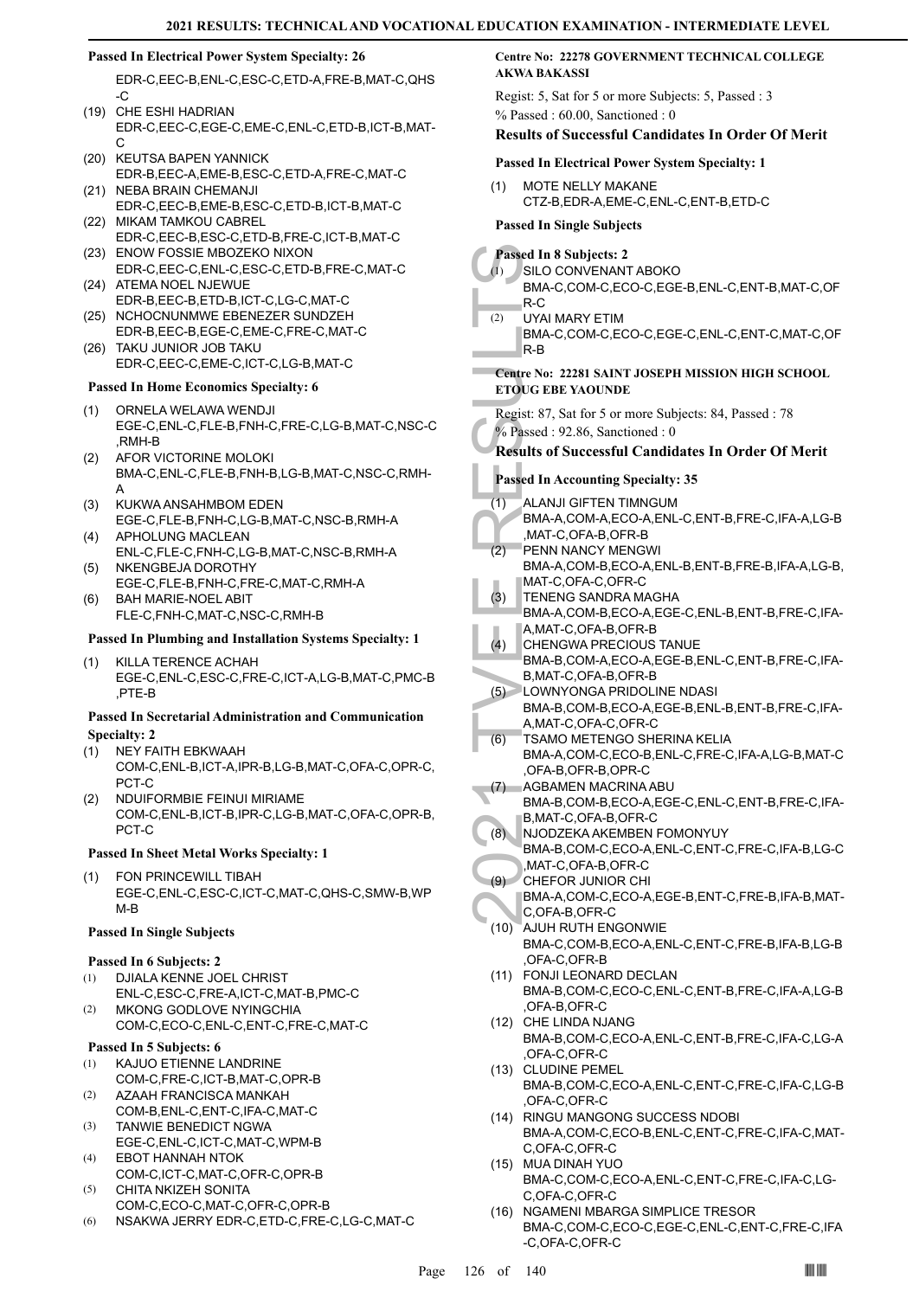#### **Passed In Electrical Power System Specialty: 26**

EDR-C,EEC-B,ENL-C,ESC-C,ETD-A,FRE-B,MAT-C,QHS -C

- (19) CHE ESHI HADRIAN EDR-C,EEC-C,EGE-C,EME-C,ENL-C,ETD-B,ICT-B,MAT-C
- (20) KEUTSA BAPEN YANNICK EDR-B,EEC-A,EME-B,ESC-C,ETD-A,FRE-C,MAT-C
- (21) NEBA BRAIN CHEMANJI EDR-C,EEC-B,EME-B,ESC-C,ETD-B,ICT-B,MAT-C (22) MIKAM TAMKOU CABREL
- EDR-C,EEC-B,ESC-C,ETD-B,FRE-C,ICT-B,MAT-C (23) ENOW FOSSIE MBOZEKO NIXON
- EDR-C,EEC-C,ENL-C,ESC-C,ETD-B,FRE-C,MAT-C (24) ATEMA NOEL NJEWUE
- EDR-B,EEC-B,ETD-B,ICT-C,LG-C,MAT-C (25) NCHOCNUNMWE EBENEZER SUNDZEH
- EDR-B,EEC-B,EGE-C,EME-C,FRE-C,MAT-C TAKU JUNIOR JOB TAKU (26)
- EDR-C,EEC-C,EME-C,ICT-C,LG-B,MAT-C

## **Passed In Home Economics Specialty: 6**

- ORNELA WELAWA WENDJI EGE-C,ENL-C,FLE-B,FNH-C,FRE-C,LG-B,MAT-C,NSC-C ,RMH-B (1)
- AFOR VICTORINE MOLOKI BMA-C,ENL-C,FLE-B,FNH-B,LG-B,MAT-C,NSC-C,RMH-A (2)
- KUKWA ANSAHMBOM EDEN EGE-C,FLE-B,FNH-C,LG-B,MAT-C,NSC-B,RMH-A (3)
- APHOLUNG MACLEAN ENL-C,FLE-C,FNH-C,LG-B,MAT-C,NSC-B,RMH-A (4)
- NKENGBEJA DOROTHY EGE-C,FLE-B,FNH-C,FRE-C,MAT-C,RMH-A (5)
- BAH MARIE-NOEL ABIT FLE-C,FNH-C,MAT-C,NSC-C,RMH-B (6)

#### **Passed In Plumbing and Installation Systems Specialty: 1**

KILLA TERENCE ACHAH EGE-C,ENL-C,ESC-C,FRE-C,ICT-A,LG-B,MAT-C,PMC-B ,PTE-B (1)

#### **Passed In Secretarial Administration and Communication Specialty: 2**

- NEY FAITH EBKWAAH COM-C,ENL-B,ICT-A,IPR-B,LG-B,MAT-C,OFA-C,OPR-C, PCT-C (1)
- NDUIFORMBIE FEINUI MIRIAME COM-C,ENL-B,ICT-B,IPR-C,LG-B,MAT-C,OFA-C,OPR-B, PCT-C (2)

#### **Passed In Sheet Metal Works Specialty: 1**

FON PRINCEWILL TIBAH EGE-C,ENL-C,ESC-C,ICT-C,MAT-C,QHS-C,SMW-B,WP M-B (1)

#### **Passed In Single Subjects**

#### **Passed In 6 Subjects: 2**

- DJIALA KENNE JOEL CHRIST ENL-C,ESC-C,FRE-A,ICT-C,MAT-B,PMC-C (1)
- MKONG GODLOVE NYINGCHIA COM-C,ECO-C,ENL-C,ENT-C,FRE-C,MAT-C (2)

#### **Passed In 5 Subjects: 6**

- KAJUO ETIENNE LANDRINE (1)
- COM-C,FRE-C,ICT-B,MAT-C,OPR-B AZAAH FRANCISCA MANKAH (2)
- COM-B,ENL-C,ENT-C,IFA-C,MAT-C TANWIE BENEDICT NGWA (3)
- EGE-C,ENL-C,ICT-C,MAT-C,WPM-B EBOT HANNAH NTOK (4)
- COM-C,ICT-C,MAT-C,OFR-C,OPR-B CHITA NKIZEH SONITA (5)
- COM-C,ECO-C,MAT-C,OFR-C,OPR-B
- (6) NSAKWA JERRY EDR-C,ETD-C,FRE-C,LG-C,MAT-C

#### **Centre No: 22278 GOVERNMENT TECHNICAL COLLEGE AKWA BAKASSI**

Regist: 5, Sat for 5 or more Subjects: 5, Passed : 3 % Passed : 60.00, Sanctioned : 0

#### **Results of Successful Candidates In Order Of Merit**

#### **Passed In Electrical Power System Specialty: 1**

MOTE NELLY MAKANE CTZ-B,EDR-A,EME-C,ENL-C,ENT-B,ETD-C (1)

#### **Passed In Single Subjects**

Passed In 8<br>
2021 MM-C,<br>
BMA-C,<br>
R-C<br>
2022 UYAI MM<br>
BMA-C,<br>
R-B<br>
Centre No: 22<br>
ETOUG EBE<br>
Regist: 87, S,<br>
22<br>
FOUG EBE<br>
Regist: 87, S,<br>
22<br>
Results of S<br>
Passed In AC<br>
(1) ALANJI<br>
BMA-A,<br>
MAT-C,<br>
PENNA MMT-C,<br>
PENNA MMAT-**Passed In 8 Subjects: 2** SILO CONVENANT ABOKO BMA-C,COM-C,ECO-C,EGE-B,ENL-C,ENT-B,MAT-C,OF R-C (1) UYAI MARY ETIM BMA-C,COM-C,ECO-C,EGE-C,ENL-C,ENT-C,MAT-C,OF R-B (2) **Centre No: 22281 SAINT JOSEPH MISSION HIGH SCHOOL ETOUG EBE YAOUNDE**  Regist: 87, Sat for 5 or more Subjects: 84, Passed : 78 % Passed : 92.86, Sanctioned : 0 **Results of Successful Candidates In Order Of Merit Passed In Accounting Specialty: 35** ALANJI GIFTEN TIMNGUM BMA-A,COM-A,ECO-A,ENL-C,ENT-B,FRE-C,IFA-A,LG-B ,MAT-C,OFA-B,OFR-B  $(1)$ PENN NANCY MENGWI BMA-A,COM-B,ECO-A,ENL-B,ENT-B,FRE-B,IFA-A,LG-B, MAT-C,OFA-C,OFR-C (2) TENENG SANDRA MAGHA (3)

- BMA-A,COM-B,ECO-A,EGE-C,ENL-B,ENT-B,FRE-C,IFA-A,MAT-C,OFA-B,OFR-B
- CHENGWA PRECIOUS TANUE BMA-B,COM-A,ECO-A,EGE-B,ENL-C,ENT-B,FRE-C,IFA- $(4)$
- B,MAT-C,OFA-B,OFR-B LOWNYONGA PRIDOLINE NDASI BMA-B,COM-B,ECO-A,EGE-B,ENL-B,ENT-B,FRE-C,IFA-A,MAT-C,OFA-C,OFR-C  $(5)$
- TSAMO METENGO SHERINA KELIA BMA-A,COM-C,ECO-B,ENL-C,FRE-C,IFA-A,LG-B,MAT-C ,OFA-B,OFR-B,OPR-C (6)
- AGBAMEN MACRINA ABU BMA-B,COM-B,ECO-A,EGE-C,ENL-C,ENT-B,FRE-C,IFA-B,MAT-C,OFA-B,OFR-C  $(7)$
- NJODZEKA AKEMBEN FOMONYUY BMA-B,COM-C,ECO-A,ENL-C,ENT-C,FRE-C,IFA-B,LG-C ,MAT-C,OFA-B,OFR-C (8)
- CHEFOR JUNIOR CHI BMA-A,COM-C,ECO-A,EGE-B,ENT-C,FRE-B,IFA-B,MAT-(9)
- C,OFA-B,OFR-C AJUH RUTH ENGONWIE (10) BMA-C,COM-B,ECO-A,ENL-C,ENT-C,FRE-B,IFA-B,LG-B ,OFA-C,OFR-B
- FONJI LEONARD DECLAN (11) BMA-B,COM-C,ECO-C,ENL-C,ENT-B,FRE-C,IFA-A,LG-B ,OFA-B,OFR-C
- (12) CHE LINDA NJANG BMA-B,COM-C,ECO-A,ENL-C,ENT-B,FRE-C,IFA-C,LG-A ,OFA-C,OFR-C
- (13) CLUDINE PEMEL BMA-B,COM-C,ECO-A,ENL-C,ENT-C,FRE-C,IFA-C,LG-B ,OFA-C,OFR-C
- (14) RINGU MANGONG SUCCESS NDOBI BMA-A,COM-C,ECO-B,ENL-C,ENT-C,FRE-C,IFA-C,MAT-C,OFA-C,OFR-C
- MUA DINAH YUO (15) BMA-C,COM-C,ECO-A,ENL-C,ENT-C,FRE-C,IFA-C,LG-C,OFA-C,OFR-C
- (16) NGAMENI MBARGA SIMPLICE TRESOR BMA-C,COM-C,ECO-C,EGE-C,ENL-C,ENT-C,FRE-C,IFA -C,OFA-C,OFR-C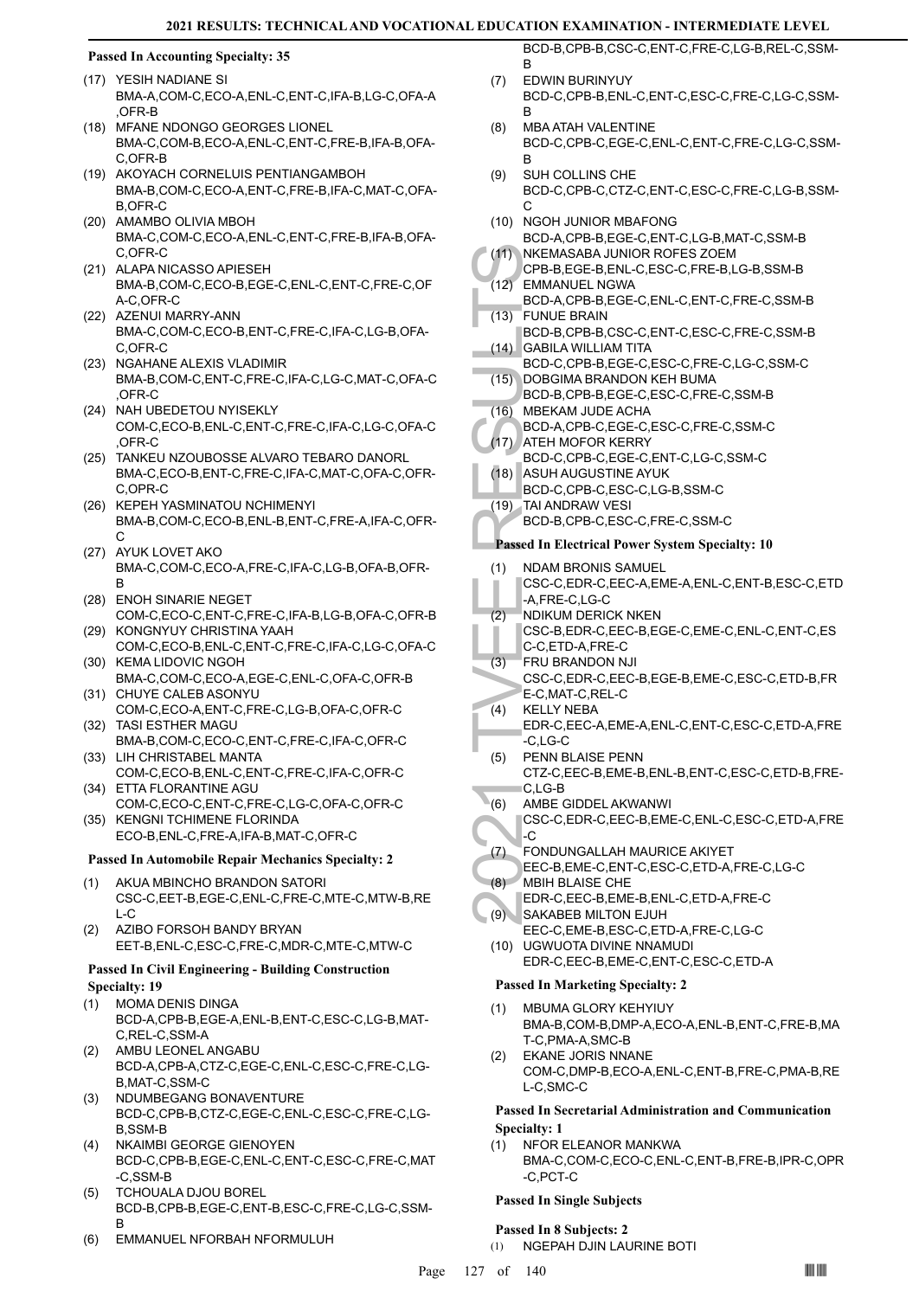## **Passed In Accounting Specialty: 35**

### (17) YESIH NADIANE SI

- BMA-A,COM-C,ECO-A,ENL-C,ENT-C,IFA-B,LG-C,OFA-A ,OFR-B
- (18) MFANE NDONGO GEORGES LIONEL BMA-C,COM-B,ECO-A,ENL-C,ENT-C,FRE-B,IFA-B,OFA-C,OFR-B
- (19) AKOYACH CORNELUIS PENTIANGAMBOH BMA-B,COM-C,ECO-A,ENT-C,FRE-B,IFA-C,MAT-C,OFA-B,OFR-C
- (20) AMAMBO OLIVIA MBOH BMA-C,COM-C,ECO-A,ENL-C,ENT-C,FRE-B,IFA-B,OFA-C,OFR-C
- (21) ALAPA NICASSO APIESEH BMA-B,COM-C,ECO-B,EGE-C,ENL-C,ENT-C,FRE-C,OF A-C,OFR-C
- (22) AZENUI MARRY-ANN BMA-C,COM-C,ECO-B,ENT-C,FRE-C,IFA-C,LG-B,OFA-C,OFR-C
- (23) NGAHANE ALEXIS VLADIMIR BMA-B,COM-C,ENT-C,FRE-C,IFA-C,LG-C,MAT-C,OFA-C ,OFR-C
- (24) NAH UBEDETOU NYISEKLY COM-C,ECO-B,ENL-C,ENT-C,FRE-C,IFA-C,LG-C,OFA-C ,OFR-C
- (25) TANKEU NZOUBOSSE ALVARO TEBARO DANORL BMA-C,ECO-B,ENT-C,FRE-C,IFA-C,MAT-C,OFA-C,OFR-C,OPR-C
- (26) KEPEH YASMINATOU NCHIMENYI BMA-B,COM-C,ECO-B,ENL-B,ENT-C,FRE-A,IFA-C,OFR-C
- (27) AYUK LOVET AKO BMA-C,COM-C,ECO-A,FRE-C,IFA-C,LG-B,OFA-B,OFR-B
- (28) ENOH SINARIE NEGET COM-C,ECO-C,ENT-C,FRE-C,IFA-B,LG-B,OFA-C,OFR-B
- (29) KONGNYUY CHRISTINA YAAH COM-C,ECO-B,ENL-C,ENT-C,FRE-C,IFA-C,LG-C,OFA-C (30) KEMA LIDOVIC NGOH
- BMA-C,COM-C,ECO-A,EGE-C,ENL-C,OFA-C,OFR-B (31) CHUYE CALEB ASONYU
- COM-C,ECO-A,ENT-C,FRE-C,LG-B,OFA-C,OFR-C TASI ESTHER MAGU (32)
- BMA-B,COM-C,ECO-C,ENT-C,FRE-C,IFA-C,OFR-C (33) LIH CHRISTABEL MANTA
- COM-C,ECO-B,ENL-C,ENT-C,FRE-C,IFA-C,OFR-C ETTA FLORANTINE AGU (34)
- COM-C,ECO-C,ENT-C,FRE-C,LG-C,OFA-C,OFR-C (35) KENGNI TCHIMENE FLORINDA
- ECO-B,ENL-C,FRE-A,IFA-B,MAT-C,OFR-C

#### **Passed In Automobile Repair Mechanics Specialty: 2**

- AKUA MBINCHO BRANDON SATORI CSC-C,EET-B,EGE-C,ENL-C,FRE-C,MTE-C,MTW-B,RE  $L-C$ (1)
- AZIBO FORSOH BANDY BRYAN EET-B,ENL-C,ESC-C,FRE-C,MDR-C,MTE-C,MTW-C (2)

#### **Passed In Civil Engineering - Building Construction Specialty: 19**

- MOMA DENIS DINGA BCD-A,CPB-B,EGE-A,ENL-B,ENT-C,ESC-C,LG-B,MAT-C,REL-C,SSM-A (1)
- AMBU LEONEL ANGABU BCD-A,CPB-A,CTZ-C,EGE-C,ENL-C,ESC-C,FRE-C,LG-B,MAT-C,SSM-C (2)
- NDUMBEGANG BONAVENTURE BCD-C,CPB-B,CTZ-C,EGE-C,ENL-C,ESC-C,FRE-C,LG-B,SSM-B (3)
- NKAIMBI GEORGE GIENOYEN BCD-C,CPB-B,EGE-C,ENL-C,ENT-C,ESC-C,FRE-C,MAT -C,SSM-B (4)
- TCHOUALA DJOU BOREL BCD-B,CPB-B,EGE-C,ENT-B,ESC-C,FRE-C,LG-C,SSM-B (5)
- (6) EMMANUEL NFORBAH NFORMULUH

BCD-B,CPB-B,CSC-C,ENT-C,FRE-C,LG-B,REL-C,SSM-B

- EDWIN BURINYUY BCD-C,CPB-B,ENL-C,ENT-C,ESC-C,FRE-C,LG-C,SSM-B (7)
- MBA ATAH VALENTINE BCD-C,CPB-C,EGE-C,ENL-C,ENT-C,FRE-C,LG-C,SSM-B (8)
- SUH COLLINS CHE BCD-C,CPB-C,CTZ-C,ENT-C,ESC-C,FRE-C,LG-B,SSM-C (9)
- (10) NGOH JUNIOR MBAFONG BCD-A,CPB-B,EGE-C,ENT-C,LG-B,MAT-C,SSM-B
- NKEMASABA JUNIOR ROFES ZOEM CPB-B,EGE-B,ENL-C,ESC-C,FRE-B,LG-B,SSM-B  $(11)$ EMMANUEL NGWA (12)
- BCD-A,CPB-B,EGE-C,ENL-C,ENT-C,FRE-C,SSM-B FUNUE BRAIN (13)
- BCD-B,CPB-B,CSC-C,ENT-C,ESC-C,FRE-C,SSM-B GABILA WILLIAM TITA (14)
- BCD-C,CPB-B,EGE-C,ESC-C,FRE-C,LG-C,SSM-C (15) DOBGIMA BRANDON KEH BUMA
- BCD-B,CPB-B,EGE-C,ESC-C,FRE-C,SSM-B MBEKAM JUDE ACHA (16)
- BCD-A,CPB-C,EGE-C,ESC-C,FRE-C,SSM-C
- (17) ATEH MOFOR KERRY
- BCD-C,CPB-C,EGE-C,ENT-C,LG-C,SSM-C (18) ASUH AUGUSTINE AYUK
	- BCD-C,CPB-C,ESC-C,LG-B,SSM-C
- TAI ANDRAW VESI (19)
	- BCD-B,CPB-C,ESC-C,FRE-C,SSM-C

#### **Passed In Electrical Power System Specialty: 10**

- (11) NKEMA<br>
CPB-B, (12) EMMAN<br>
CPB-B, (13) FUNUE<br>
BCD-A, (13) FUNUE<br>
BCD-B, (2) GABILA<br>
BCD-C, DOBGIN<br>
BCD-B, (2) MBEKA<br>
BCD-A, ATEH M<br>
BCD-A, ATEH M<br>
BCD-C, A, FRE M<br>
BCD-C, A, ATEH M<br>
BCD-C, A, ATEH M<br>
BCD-C, A, ATEH M<br> NDAM BRONIS SAMUEL CSC-C,EDR-C,EEC-A,EME-A,ENL-C,ENT-B,ESC-C,ETD -A,FRE-C,LG-C (1)
- NDIKUM DERICK NKEN (2)
- CSC-B,EDR-C,EEC-B,EGE-C,EME-C,ENL-C,ENT-C,ES C-C,ETD-A,FRE-C
- FRU BRANDON NJI CSC-C,EDR-C,EEC-B,EGE-B,EME-C,ESC-C,ETD-B,FR E-C,MAT-C,REL-C (3)
- KELLY NEBA EDR-C,EEC-A,EME-A,ENL-C,ENT-C,ESC-C,ETD-A,FRE (4)
- -C,LG-C PENN BLAISE PENN (5)
- CTZ-C,EEC-B,EME-B,ENL-B,ENT-C,ESC-C,ETD-B,FRE-C,LG-B
- AMBE GIDDEL AKWANWI  $(6)$
- CSC-C,EDR-C,EEC-B,EME-C,ENL-C,ESC-C,ETD-A,FRE  $\overline{C}$
- FONDUNGALLAH MAURICE AKIYET (7)
	- EEC-B,EME-C,ENT-C,ESC-C,ETD-A,FRE-C,LG-C MBIH BLAISE CHE (8)
- EDR-C,EEC-B,EME-B,ENL-C,ETD-A,FRE-C SAKABEB MILTON EJUH  $(9)$
- EEC-C,EME-B,ESC-C,ETD-A,FRE-C,LG-C UGWUOTA DIVINE NNAMUDI (10)
- EDR-C,EEC-B,EME-C,ENT-C,ESC-C,ETD-A

## **Passed In Marketing Specialty: 2**

- MBUMA GLORY KEHYIUY BMA-B,COM-B,DMP-A,ECO-A,ENL-B,ENT-C,FRE-B,MA T-C,PMA-A,SMC-B (1)
- EKANE JORIS NNANE COM-C,DMP-B,ECO-A,ENL-C,ENT-B,FRE-C,PMA-B,RE L-C,SMC-C (2)

#### **Passed In Secretarial Administration and Communication Specialty: 1**

NFOR ELEANOR MANKWA BMA-C,COM-C,ECO-C,ENL-C,ENT-B,FRE-B,IPR-C,OPR -C,PCT-C (1)

#### **Passed In Single Subjects**

#### **Passed In 8 Subjects: 2**

(1) NGEPAH DJIN LAURINE BOTI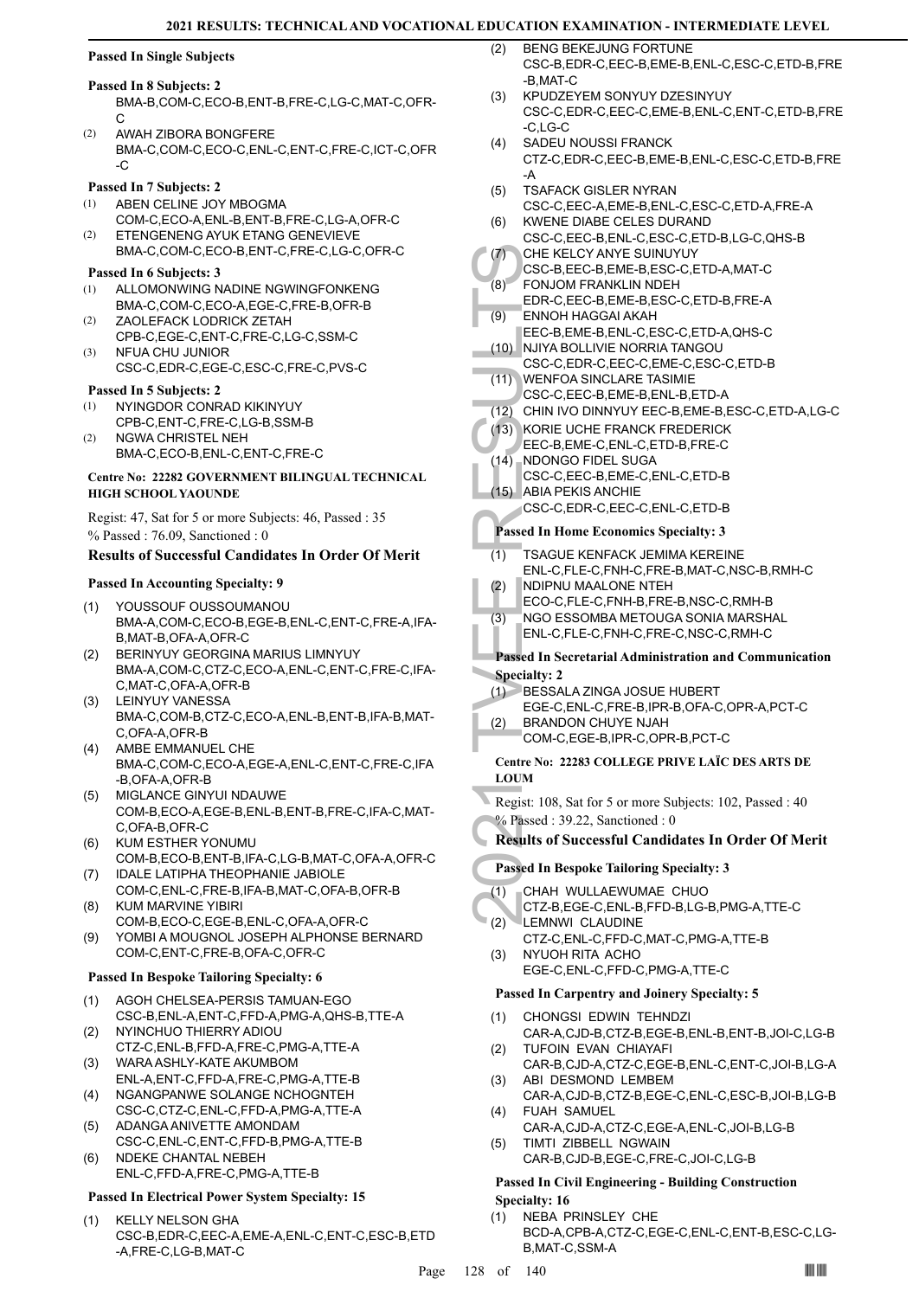#### **Passed In Single Subjects**

#### **Passed In 8 Subjects: 2**

- BMA-B,COM-C,ECO-B,ENT-B,FRE-C,LG-C,MAT-C,OFR- $\mathcal{C}$
- AWAH ZIBORA BONGFERE BMA-C,COM-C,ECO-C,ENL-C,ENT-C,FRE-C,ICT-C,OFR -C (2)

#### **Passed In 7 Subjects: 2**

- ABEN CELINE JOY MBOGMA (1)
- COM-C,ECO-A,ENL-B,ENT-B,FRE-C,LG-A,OFR-C ETENGENENG AYUK ETANG GENEVIEVE  $(2)$
- BMA-C,COM-C,ECO-B,ENT-C,FRE-C,LG-C,OFR-C

## **Passed In 6 Subjects: 3**

- ALLOMONWING NADINE NGWINGFONKENG BMA-C,COM-C,ECO-A,EGE-C,FRE-B,OFR-B (1)
- ZAOLEFACK LODRICK ZETAH CPB-C,EGE-C,ENT-C,FRE-C,LG-C,SSM-C (2)
- NFUA CHU JUNIOR CSC-C,EDR-C,EGE-C,ESC-C,FRE-C,PVS-C (3)

#### **Passed In 5 Subjects: 2**

- NYINGDOR CONRAD KIKINYUY CPB-C,ENT-C,FRE-C,LG-B,SSM-B (1)
- NGWA CHRISTEL NEH BMA-C,ECO-B,ENL-C,ENT-C,FRE-C (2)

#### **Centre No: 22282 GOVERNMENT BILINGUAL TECHNICAL HIGH SCHOOL YAOUNDE**

Regist: 47, Sat for 5 or more Subjects: 46, Passed : 35 % Passed : 76.09, Sanctioned : 0

#### **Results of Successful Candidates In Order Of Merit**

#### **Passed In Accounting Specialty: 9**

- YOUSSOUF OUSSOUMANOU BMA-A,COM-C,ECO-B,EGE-B,ENL-C,ENT-C,FRE-A,IFA-B,MAT-B,OFA-A,OFR-C (1)
- BERINYUY GEORGINA MARIUS LIMNYUY BMA-A,COM-C,CTZ-C,ECO-A,ENL-C,ENT-C,FRE-C,IFA-C,MAT-C,OFA-A,OFR-B (2)
- LEINYUY VANESSA BMA-C,COM-B,CTZ-C,ECO-A,ENL-B,ENT-B,IFA-B,MAT-C,OFA-A,OFR-B (3)
- AMBE EMMANUEL CHE BMA-C,COM-C,ECO-A,EGE-A,ENL-C,ENT-C,FRE-C,IFA -B,OFA-A,OFR-B (4)
- MIGLANCE GINYUI NDAUWE COM-B,ECO-A,EGE-B,ENL-B,ENT-B,FRE-C,IFA-C,MAT-C,OFA-B,OFR-C (5)
- KUM ESTHER YONUMU COM-B,ECO-B,ENT-B,IFA-C,LG-B,MAT-C,OFA-A,OFR-C (6) (7) IDALE LATIPHA THEOPHANIE JABIOLE
- COM-C,ENL-C,FRE-B,IFA-B,MAT-C,OFA-B,OFR-B KUM MARVINE YIBIRI (8)
- COM-B,ECO-C,EGE-B,ENL-C,OFA-A,OFR-C YOMBI A MOUGNOL JOSEPH ALPHONSE BERNARD (9)
- COM-C,ENT-C,FRE-B,OFA-C,OFR-C

#### **Passed In Bespoke Tailoring Specialty: 6**

- AGOH CHELSEA-PERSIS TAMUAN-EGO CSC-B,ENL-A,ENT-C,FFD-A,PMG-A,QHS-B,TTE-A (1)
- NYINCHUO THIERRY ADIOU CTZ-C,ENL-B,FFD-A,FRE-C,PMG-A,TTE-A (2)
- WARA ASHLY-KATE AKUMBOM ENL-A,ENT-C,FFD-A,FRE-C,PMG-A,TTE-B (3)
- NGANGPANWE SOLANGE NCHOGNTEH CSC-C,CTZ-C,ENL-C,FFD-A,PMG-A,TTE-A (4)
- ADANGA ANIVETTE AMONDAM CSC-C,ENL-C,ENT-C,FFD-B,PMG-A,TTE-B (5)
- NDEKE CHANTAL NEBEH ENL-C,FFD-A,FRE-C,PMG-A,TTE-B (6)

#### **Passed In Electrical Power System Specialty: 15**

KELLY NELSON GHA CSC-B,EDR-C,EEC-A,EME-A,ENL-C,ENT-C,ESC-B,ETD -A,FRE-C,LG-B,MAT-C (1)

- BENG BEKEJUNG FORTUNE CSC-B,EDR-C,EEC-B,EME-B,ENL-C,ESC-C,ETD-B,FRE -B,MAT-C  $(2)$
- KPUDZEYEM SONYUY DZESINYUY CSC-C,EDR-C,EEC-C,EME-B,ENL-C,ENT-C,ETD-B,FRE -C,LG-C (3)
- SADEU NOUSSI FRANCK CTZ-C,EDR-C,EEC-B,EME-B,ENL-C,ESC-C,ETD-B,FRE -A (4)
- TSAFACK GISLER NYRAN CSC-C,EEC-A,EME-B,ENL-C,ESC-C,ETD-A,FRE-A (5)
- KWENE DIABE CELES DURAND CSC-C,EEC-B,ENL-C,ESC-C,ETD-B,LG-C,QHS-B (6)  $(7)$
- CHE KELCY ANYE SUINUYUY CSC-B,EEC-B,EME-B,ESC-C,ETD-A,MAT-C
- FONJOM FRANKLIN NDEH (8)
- EDR-C,EEC-B,EME-B,ESC-C,ETD-B,FRE-A ENNOH HAGGAI AKAH (9)
- EEC-B,EME-B,ENL-C,ESC-C,ETD-A,QHS-C
- NJIYA BOLLIVIE NORRIA TANGOU CSC-C,EDR-C,EEC-C,EME-C,ESC-C,ETD-B (10)
- WENFOA SINCLARE TASIMIE (11)
- CSC-C,EEC-B,EME-B,ENL-B,ETD-A
- (12) CHIN IVO DINNYUY EEC-B,EME-B,ESC-C,ETD-A,LG-C
	- (13) KORIE UCHE FRANCK FREDERICK
- EEC-B,EME-C,ENL-C,ETD-B,FRE-C NDONGO FIDEL SUGA  $(14)$
- CSC-C,EEC-B,EME-C,ENL-C,ETD-B ABIA PEKIS ANCHIE (15)
- CSC-C,EDR-C,EEC-C,ENL-C,ETD-B

#### **Passed In Home Economics Specialty: 3**

- (7) CHE KE<br>
CSC-B, (8) FONJOI<br>
EDR-C, (8) ENNOH<br>
EDR-C, ENNOH<br>
EDR-C, ENNOH<br>
EDR-C, INJIYA B<br>
CSC-C, (11) WENFC<br>
CSC-C, (12) CHIN IV<br>
CSC-C, (13) KORIE I<br>
EEC-B, NDONG<br>
CSC-C, PASSE II H(1) TSAGUI<br>
ENL-C, F<br>
(2) NGO ES<br>
EN TSAGUE KENFACK JEMIMA KEREINE ENL-C,FLE-C,FNH-C,FRE-B,MAT-C,NSC-B,RMH-C (1)
	- NDIPNU MAALONE NTEH (2)
	- ECO-C,FLE-C,FNH-B,FRE-B,NSC-C,RMH-B
	- NGO ESSOMBA METOUGA SONIA MARSHAL ENL-C,FLE-C,FNH-C,FRE-C,NSC-C,RMH-C (3)

#### **Passed In Secretarial Administration and Communication Specialty: 2**

- BESSALA ZINGA JOSUE HUBERT  $(1)$
- EGE-C,ENL-C,FRE-B,IPR-B,OFA-C,OPR-A,PCT-C
- BRANDON CHUYE NJAH (2)
	- COM-C,EGE-B,IPR-C,OPR-B,PCT-C

#### **Centre No: 22283 COLLEGE PRIVE LAÏC DES ARTS DE LOUM**

- Regist: 108, Sat for 5 or more Subjects: 102, Passed : 40 % Passed : 39.22, Sanctioned : 0
- **Results of Successful Candidates In Order Of Merit**

## **Passed In Bespoke Tailoring Specialty: 3**

- CHAH WULLAEWUMAE CHUO (1)
- CTZ-B,EGE-C,ENL-B,FFD-B,LG-B,PMG-A,TTE-C **LEMNWI CLAUDINE** (2)
- CTZ-C,ENL-C,FFD-C,MAT-C,PMG-A,TTE-B NYUOH RITA ACHO (3)
- EGE-C,ENL-C,FFD-C,PMG-A,TTE-C

#### **Passed In Carpentry and Joinery Specialty: 5**

- CHONGSI EDWIN TEHNDZI (1)
- CAR-A,CJD-B,CTZ-B,EGE-B,ENL-B,ENT-B,JOI-C,LG-B TUFOIN EVAN CHIAYAFI (2)
- CAR-B,CJD-A,CTZ-C,EGE-B,ENL-C,ENT-C,JOI-B,LG-A ABI DESMOND LEMBEM (3)
- CAR-A,CJD-B,CTZ-B,EGE-C,ENL-C,ESC-B,JOI-B,LG-B FUAH SAMUEL (4)
- CAR-A,CJD-A,CTZ-C,EGE-A,ENL-C,JOI-B,LG-B TIMTI ZIBBELL NGWAIN (5)
- CAR-B,CJD-B,EGE-C,FRE-C,JOI-C,LG-B

#### **Passed In Civil Engineering - Building Construction Specialty: 16**

NEBA PRINSLEY CHE BCD-A,CPB-A,CTZ-C,EGE-C,ENL-C,ENT-B,ESC-C,LG-B,MAT-C,SSM-A (1)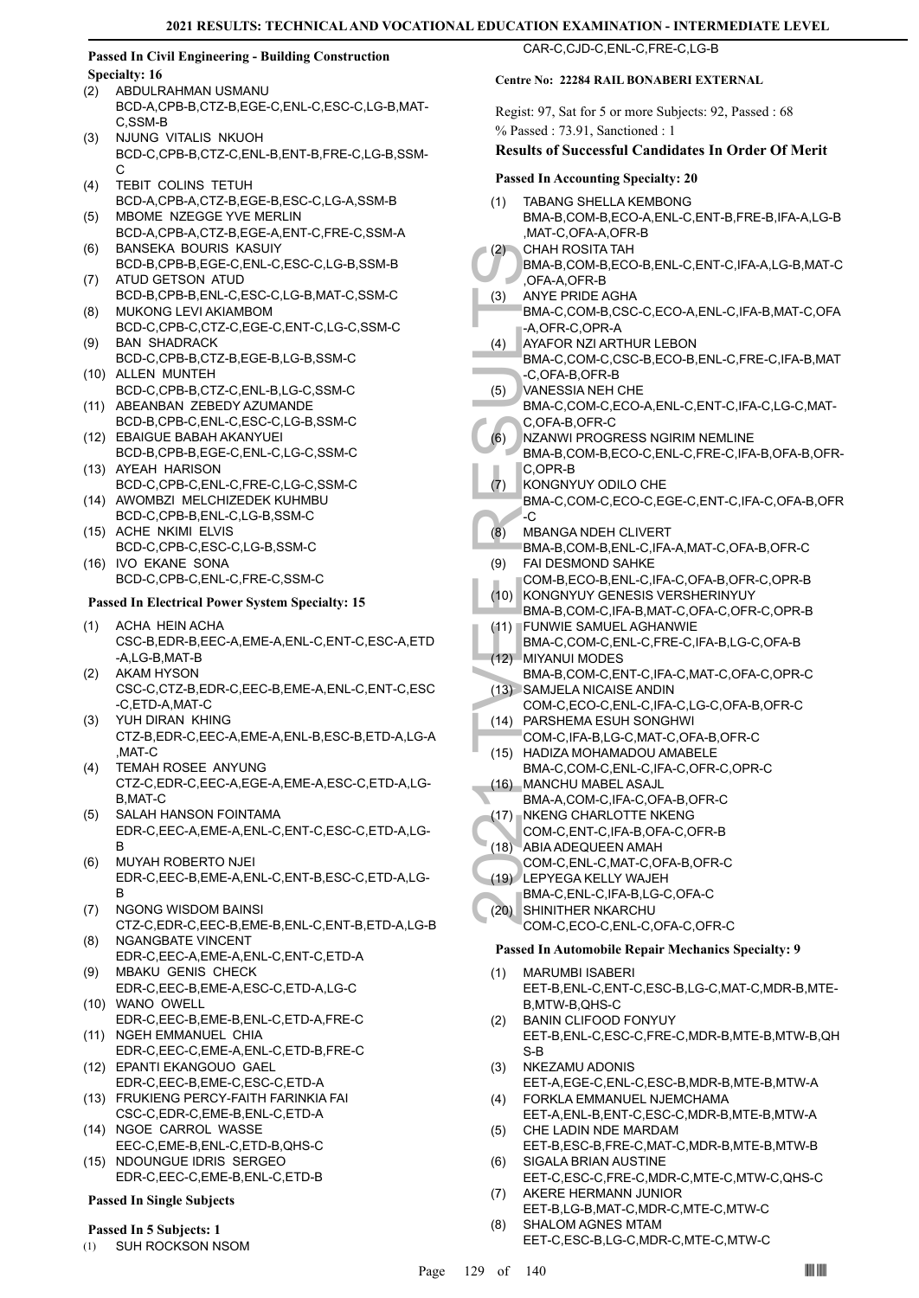#### **Passed In Civil Engineering - Building Construction Specialty: 16**

- ABDULRAHMAN USMANU BCD-A,CPB-B,CTZ-B,EGE-C,ENL-C,ESC-C,LG-B,MAT-C,SSM-B (2)
- NJUNG VITALIS NKUOH BCD-C,CPB-B,CTZ-C,ENL-B,ENT-B,FRE-C,LG-B,SSM-C (3)
- TEBIT COLINS TETUH BCD-A,CPB-A,CTZ-B,EGE-B,ESC-C,LG-A,SSM-B (4)
- MBOME NZEGGE YVE MERLIN BCD-A,CPB-A,CTZ-B,EGE-A,ENT-C,FRE-C,SSM-A  $(5)$
- BANSEKA BOURIS KASUIY BCD-B,CPB-B,EGE-C,ENL-C,ESC-C,LG-B,SSM-B (6) ATUD GETSON ATUD (7)
- BCD-B,CPB-B,ENL-C,ESC-C,LG-B,MAT-C,SSM-C MUKONG LEVI AKIAMBOM (8)
- BCD-C,CPB-C,CTZ-C,EGE-C,ENT-C,LG-C,SSM-C BAN SHADRACK (9)
- BCD-C,CPB-B,CTZ-B,EGE-B,LG-B,SSM-C (10) ALLEN MUNTEH
- BCD-C,CPB-B,CTZ-C,ENL-B,LG-C,SSM-C (11) ABEANBAN ZEBEDY AZUMANDE
- BCD-B,CPB-C,ENL-C,ESC-C,LG-B,SSM-C EBAIGUE BABAH AKANYUEI (12)
- BCD-B,CPB-B,EGE-C,ENL-C,LG-C,SSM-C (13) AYEAH HARISON
- BCD-C,CPB-C,ENL-C,FRE-C,LG-C,SSM-C (14) AWOMBZI MELCHIZEDEK KUHMBU
- BCD-C,CPB-B,ENL-C,LG-B,SSM-C (15) ACHE NKIMI ELVIS
- BCD-C,CPB-C,ESC-C,LG-B,SSM-C (16) IVO EKANE SONA
- BCD-C,CPB-C,ENL-C,FRE-C,SSM-C

#### **Passed In Electrical Power System Specialty: 15**

- ACHA HEIN ACHA CSC-B,EDR-B,EEC-A,EME-A,ENL-C,ENT-C,ESC-A,ETD -A,LG-B,MAT-B (1)
- AKAM HYSON CSC-C,CTZ-B,EDR-C,EEC-B,EME-A,ENL-C,ENT-C,ESC -C,ETD-A,MAT-C (2)
- YUH DIRAN KHING CTZ-B,EDR-C,EEC-A,EME-A,ENL-B,ESC-B,ETD-A,LG-A ,MAT-C (3)
- TEMAH ROSEE ANYUNG CTZ-C,EDR-C,EEC-A,EGE-A,EME-A,ESC-C,ETD-A,LG-B,MAT-C (4)
- SALAH HANSON FOINTAMA EDR-C,EEC-A,EME-A,ENL-C,ENT-C,ESC-C,ETD-A,LG-B (5)
- MUYAH ROBERTO NJEI EDR-C,EEC-B,EME-A,ENL-C,ENT-B,ESC-C,ETD-A,LG-B (6)
- (7) NGONG WISDOM BAINSI CTZ-C,EDR-C,EEC-B,EME-B,ENL-C,ENT-B,ETD-A,LG-B NGANGBATE VINCENT (8)
- EDR-C,EEC-A,EME-A,ENL-C,ENT-C,ETD-A MBAKU GENIS CHECK (9)
- EDR-C,EEC-B,EME-A,ESC-C,ETD-A,LG-C (10) WANO OWELL
- EDR-C,EEC-B,EME-B,ENL-C,ETD-A,FRE-C
- (11) NGEH EMMANUEL CHIA EDR-C,EEC-C,EME-A,ENL-C,ETD-B,FRE-C
- EPANTI EKANGOUO GAEL (12) EDR-C,EEC-B,EME-C,ESC-C,ETD-A
- FRUKIENG PERCY-FAITH FARINKIA FAI (13) CSC-C,EDR-C,EME-B,ENL-C,ETD-A
- (14) NGOE CARROL WASSE EEC-C,EME-B,ENL-C,ETD-B,QHS-C
- (15) NDOUNGUE IDRIS SERGEO EDR-C,EEC-C,EME-B,ENL-C,ETD-B

#### **Passed In Single Subjects**

#### **Passed In 5 Subjects: 1**

(1) SUH ROCKSON NSOM

# CAR-C,CJD-C,ENL-C,FRE-C,LG-B

#### **Centre No: 22284 RAIL BONABERI EXTERNAL**

Regist: 97, Sat for 5 or more Subjects: 92, Passed : 68 % Passed : 73.91, Sanctioned : 1

## **Results of Successful Candidates In Order Of Merit**

#### **Passed In Accounting Specialty: 20**

| (1) | <b>TABANG SHELLA KEMBONG</b>                   |
|-----|------------------------------------------------|
|     | BMA-B,COM-B,ECO-A,ENL-C,ENT-B,FRE-B,IFA-A,LG-B |
|     | MAT-C,OFA-A,OFR-B,                             |
|     | $(2)$ CHAH ROSITA TAH                          |

- BMA-B,COM-B,ECO-B,ENL-C,ENT-C,IFA-A,LG-B,MAT-C ,OFA-A,OFR-B
- ANYE PRIDE AGHA BMA-C,COM-B,CSC-C,ECO-A,ENL-C,IFA-B,MAT-C,OFA (3)
- -A,OFR-C,OPR-A AYAFOR NZI ARTHUR LEBON
- BMA-C,COM-C,CSC-B,ECO-B,ENL-C,FRE-C,IFA-B,MAT (4)
- -C,OFA-B,OFR-B VANESSIA NEH CHE (5)
- BMA-C,COM-C,ECO-A,ENL-C,ENT-C,IFA-C,LG-C,MAT-C,OFA-B,OFR-C
- NZANWI PROGRESS NGIRIM NEMLINE  $(6)$
- (2) CHAHF<br>
BMA-B,<br>
(3) ANYE P<br>
BMA-C,<br>
(3) ANYE P<br>
BMA-C,<br>
-C, OFA-A,<br>
AYAFOF<br>
BMA-C,<br>
-C, OFA-I<br>
MA-C,<br>
C, OFA-I<br>
MA-B,<br>
C, OFA-I<br>
MA-B,<br>
C, OFA-I<br>
MA-B,<br>
C, OFA-I<br>
MA-B,<br>
C, ORR-C,<br>
(6) MBANG<br>
BMA-B,<br>
C, ORR-C,<br>
C, OMBAN BMA-B,COM-B,ECO-C,ENL-C,FRE-C,IFA-B,OFA-B,OFR-C,OPR-B
- KONGNYUY ODILO CHE BMA-C,COM-C,ECO-C,EGE-C,ENT-C,IFA-C,OFA-B,OFR -C (7)
- MBANGA NDEH CLIVERT (8)
- BMA-B,COM-B,ENL-C,IFA-A,MAT-C,OFA-B,OFR-C FAI DESMOND SAHKE (9)
- COM-B,ECO-B,ENL-C,IFA-C,OFA-B,OFR-C,OPR-B (10) KONGNYUY GENESIS VERSHERINYUY
- BMA-B,COM-C,IFA-B,MAT-C,OFA-C,OFR-C,OPR-B FUNWIE SAMUEL AGHANWIE (11)
- BMA-C,COM-C,ENL-C,FRE-C,IFA-B,LG-C,OFA-B MIYANUI MODES (12)
- BMA-B,COM-C,ENT-C,IFA-C,MAT-C,OFA-C,OPR-C SAMJELA NICAISE ANDIN (13)
- COM-C,ECO-C,ENL-C,IFA-C,LG-C,OFA-B,OFR-C
- PARSHEMA ESUH SONGHWI (14)
- COM-C,IFA-B,LG-C,MAT-C,OFA-B,OFR-C (15) HADIZA MOHAMADOU AMABELE
- BMA-C,COM-C,ENL-C,IFA-C,OFR-C,OPR-C MANCHU MABEL ASAJL (16)
- BMA-A,COM-C,IFA-C,OFA-B,OFR-C
- (17) NKENG CHARLOTTE NKENG
- COM-C,ENT-C,IFA-B,OFA-C,OFR-B
- ABIA ADEQUEEN AMAH (18)
- COM-C,ENL-C,MAT-C,OFA-B,OFR-C
- LEPYEGA KELLY WAJEH (19)
- BMA-C,ENL-C,IFA-B,LG-C,OFA-C
- (20) SHINITHER NKARCHU COM-C,ECO-C,ENL-C,OFA-C,OFR-C

#### **Passed In Automobile Repair Mechanics Specialty: 9**

- MARUMBI ISABERI EET-B,ENL-C,ENT-C,ESC-B,LG-C,MAT-C,MDR-B,MTE-B,MTW-B,QHS-C (1)
- BANIN CLIFOOD FONYUY EET-B,ENL-C,ESC-C,FRE-C,MDR-B,MTE-B,MTW-B,QH S-B (2)
- NKEZAMU ADONIS (3)
- EET-A,EGE-C,ENL-C,ESC-B,MDR-B,MTE-B,MTW-A FORKLA EMMANUEL NJEMCHAMA (4)
- EET-A,ENL-B,ENT-C,ESC-C,MDR-B,MTE-B,MTW-A CHE LADIN NDE MARDAM (5)
- EET-B,ESC-B,FRE-C,MAT-C,MDR-B,MTE-B,MTW-B SIGALA BRIAN AUSTINE (6)
- EET-C,ESC-C,FRE-C,MDR-C,MTE-C,MTW-C,QHS-C AKERE HERMANN JUNIOR (7)
- EET-B,LG-B,MAT-C,MDR-C,MTE-C,MTW-C SHALOM AGNES MTAM (8)
- EET-C,ESC-B,LG-C,MDR-C,MTE-C,MTW-C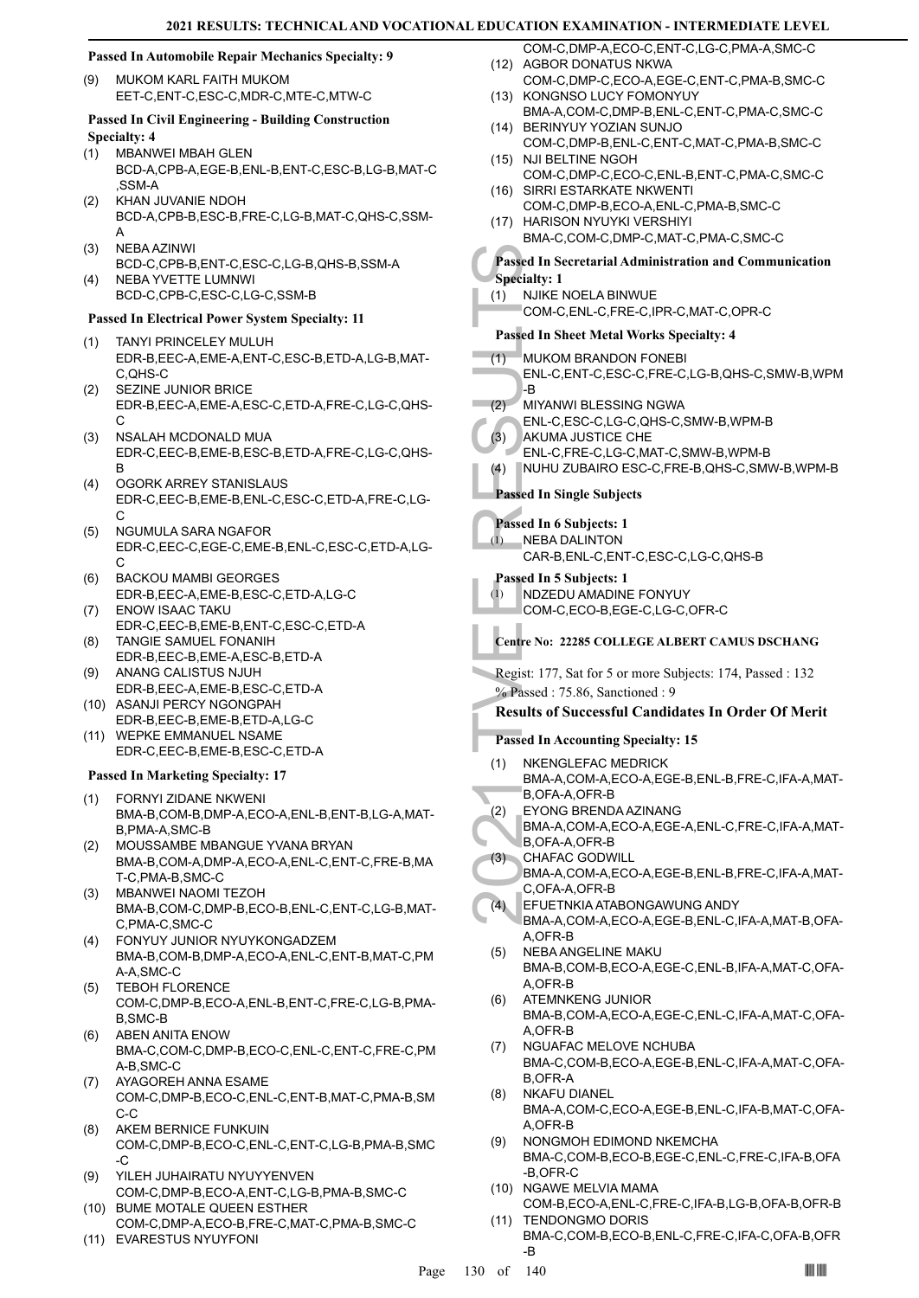#### **Passed In Automobile Repair Mechanics Specialty: 9**

MUKOM KARL FAITH MUKOM EET-C,ENT-C,ESC-C,MDR-C,MTE-C,MTW-C (9)

#### **Passed In Civil Engineering - Building Construction Specialty: 4**

- MBANWEI MBAH GLEN (1) BCD-A,CPB-A,EGE-B,ENL-B,ENT-C,ESC-B,LG-B,MAT-C ,SSM-A
- KHAN JUVANIE NDOH BCD-A,CPB-B,ESC-B,FRE-C,LG-B,MAT-C,QHS-C,SSM-A (2)
- NEBA AZINWI BCD-C,CPB-B,ENT-C,ESC-C,LG-B,QHS-B,SSM-A (3) NEBA YVETTE LUMNWI (4)
- BCD-C,CPB-C,ESC-C,LG-C,SSM-B

#### **Passed In Electrical Power System Specialty: 11**

- TANYI PRINCELEY MULUH EDR-B,EEC-A,EME-A,ENT-C,ESC-B,ETD-A,LG-B,MAT-C,QHS-C (1)
- SEZINE JUNIOR BRICE EDR-B,EEC-A,EME-A,ESC-C,ETD-A,FRE-C,LG-C,QHS- $\cap$ (2)
- NSALAH MCDONALD MUA EDR-C,EEC-B,EME-B,ESC-B,ETD-A,FRE-C,LG-C,QHS-B (3)
- OGORK ARREY STANISLAUS EDR-C,EEC-B,EME-B,ENL-C,ESC-C,ETD-A,FRE-C,LG- $\cap$ (4)
- NGUMULA SARA NGAFOR EDR-C,EEC-C,EGE-C,EME-B,ENL-C,ESC-C,ETD-A,LG- $\mathcal{C}$ (5)
- BACKOU MAMBI GEORGES EDR-B,EEC-A,EME-B,ESC-C,ETD-A,LG-C (6)
- ENOW ISAAC TAKU EDR-C,EEC-B,EME-B,ENT-C,ESC-C,ETD-A (7)
- TANGIE SAMUEL FONANIH EDR-B,EEC-B,EME-A,ESC-B,ETD-A (8)
- ANANG CALISTUS NJUH EDR-B,EEC-A,EME-B,ESC-C,ETD-A (9)
- (10) ASANJI PERCY NGONGPAH EDR-B,EEC-B,EME-B,ETD-A,LG-C
- (11) WEPKE EMMANUEL NSAME EDR-C,EEC-B,EME-B,ESC-C,ETD-A

#### **Passed In Marketing Specialty: 17**

- FORNYI ZIDANE NKWENI BMA-B,COM-B,DMP-A,ECO-A,ENL-B,ENT-B,LG-A,MAT-B,PMA-A,SMC-B (1)
- MOUSSAMBE MBANGUE YVANA BRYAN BMA-B,COM-A,DMP-A,ECO-A,ENL-C,ENT-C,FRE-B,MA T-C,PMA-B,SMC-C (2)
- MBANWEI NAOMI TEZOH (3) BMA-B,COM-C,DMP-B,ECO-B,ENL-C,ENT-C,LG-B,MAT-C,PMA-C,SMC-C
- FONYUY JUNIOR NYUYKONGADZEM (4) BMA-B,COM-B,DMP-A,ECO-A,ENL-C,ENT-B,MAT-C,PM A-A,SMC-C
- TEBOH FLORENCE COM-C,DMP-B,ECO-A,ENL-B,ENT-C,FRE-C,LG-B,PMA-B,SMC-B (5)
- ABEN ANITA ENOW BMA-C,COM-C,DMP-B,ECO-C,ENL-C,ENT-C,FRE-C,PM A-B,SMC-C (6)
- AYAGOREH ANNA ESAME COM-C,DMP-B,ECO-C,ENL-C,ENT-B,MAT-C,PMA-B,SM C-C (7)
- AKEM BERNICE FUNKUIN COM-C,DMP-B,ECO-C,ENL-C,ENT-C,LG-B,PMA-B,SMC  $-C$ (8)
- YILEH JUHAIRATU NYUYYENVEN COM-C,DMP-B,ECO-A,ENT-C,LG-B,PMA-B,SMC-C (9)
- BUME MOTALE QUEEN ESTHER (10) COM-C,DMP-A,ECO-B,FRE-C,MAT-C,PMA-B,SMC-C
- (11) EVARESTUS NYUYFONI
- COM-C,DMP-A,ECO-C,ENT-C,LG-C,PMA-A,SMC-C (12) AGBOR DONATUS NKWA
- COM-C,DMP-C,ECO-A,EGE-C,ENT-C,PMA-B,SMC-C (13) KONGNSO LUCY FOMONYUY
- BMA-A,COM-C,DMP-B,ENL-C,ENT-C,PMA-C,SMC-C BERINYUY YOZIAN SUNJO (14)
- COM-C,DMP-B,ENL-C,ENT-C,MAT-C,PMA-B,SMC-C (15) NJI BELTINE NGOH
- COM-C,DMP-C,ECO-C,ENL-B,ENT-C,PMA-C,SMC-C (16) SIRRI ESTARKATE NKWENTI
- COM-C,DMP-B,ECO-A,ENL-C,PMA-B,SMC-C (17) HARISON NYUYKI VERSHIYI
- BMA-C,COM-C,DMP-C,MAT-C,PMA-C,SMC-C

#### **Passed In Secretarial Administration and Communication Specialty: 1**

- (1) NJIKE NOELA BINWUE
	- COM-C,ENL-C,FRE-C,IPR-C,MAT-C,OPR-C

## **Passed In Sheet Metal Works Specialty: 4**

- MUKOM BRANDON FONEBI ENL-C,ENT-C,ESC-C,FRE-C,LG-B,QHS-C,SMW-B,WPM (1)
- -B MIYANWI BLESSING NGWA  $(2)$ 
	- ENL-C,ESC-C,LG-C,QHS-C,SMW-B,WPM-B
	- AKUMA JUSTICE CHE (3)
	- ENL-C,FRE-C,LG-C,MAT-C,SMW-B,WPM-B
	- (4) NUHU ZUBAIRO ESC-C,FRE-B,QHS-C,SMW-B,WPM-B

**Passed In Single Subjects**

#### **Passed In 6 Subjects: 1**

(1)

NEBA DALINTON CAR-B,ENL-C,ENT-C,ESC-C,LG-C,QHS-B

## **Passed In 5 Subjects: 1**

NDZEDU AMADINE FONYUY (1)

- COM-C,ECO-B,EGE-C,LG-C,OFR-C
- **Centre No: 22285 COLLEGE ALBERT CAMUS DSCHANG**
- Regist: 177, Sat for 5 or more Subjects: 174, Passed : 132 % Passed : 75.86, Sanctioned : 9

#### **Results of Successful Candidates In Order Of Merit**

#### **Passed In Accounting Specialty: 15**

- Passed In Section 1991<br>
2021 The Company of Passed In Sheeting Company<br>
2021 The MUKOM<br>
2022 MIYANV<br>
2022 MIYANV<br>
2022 MUHU Z<br>
2022 MUHU Z<br>
2023 AKUMA<br>
2023 The Sased In 6<br>
2022 The Sased In 5<br>
2022 Company<br>
2022 The Sased NKENGLEFAC MEDRICK BMA-A,COM-A,ECO-A,EGE-B,ENL-B,FRE-C,IFA-A,MAT-B,OFA-A,OFR-B (1)
	- EYONG BRENDA AZINANG (2)
	- BMA-A,COM-A,ECO-A,EGE-A,ENL-C,FRE-C,IFA-A,MAT-B,OFA-A,OFR-B
- CHAFAC GODWILL (3)
	- BMA-A,COM-A,ECO-A,EGE-B,ENL-B,FRE-C,IFA-A,MAT-C,OFA-A,OFR-B
- EFUETNKIA ATABONGAWUNG ANDY BMA-A,COM-A,ECO-A,EGE-B,ENL-C,IFA-A,MAT-B,OFA- $(4)$
- A,OFR-B NEBA ANGELINE MAKU BMA-B,COM-B,ECO-A,EGE-C,ENL-B,IFA-A,MAT-C,OFA-(5)
- A,OFR-B ATEMNKENG JUNIOR BMA-B,COM-A,ECO-A,EGE-C,ENL-C,IFA-A,MAT-C,OFA-A,OFR-B (6)
- NGUAFAC MELOVE NCHUBA BMA-C,COM-B,ECO-A,EGE-B,ENL-C,IFA-A,MAT-C,OFA-B,OFR-A (7)
- NKAFU DIANEL BMA-A,COM-C,ECO-A,EGE-B,ENL-C,IFA-B,MAT-C,OFA-A,OFR-B (8)
- NONGMOH EDIMOND NKEMCHA BMA-C,COM-B,ECO-B,EGE-C,ENL-C,FRE-C,IFA-B,OFA -B,OFR-C (9)
- (10) NGAWE MELVIA MAMA COM-B,ECO-A,ENL-C,FRE-C,IFA-B,LG-B,OFA-B,OFR-B
- (11) TENDONGMO DORIS BMA-C,COM-B,ECO-B,ENL-C,FRE-C,IFA-C,OFA-B,OFR -B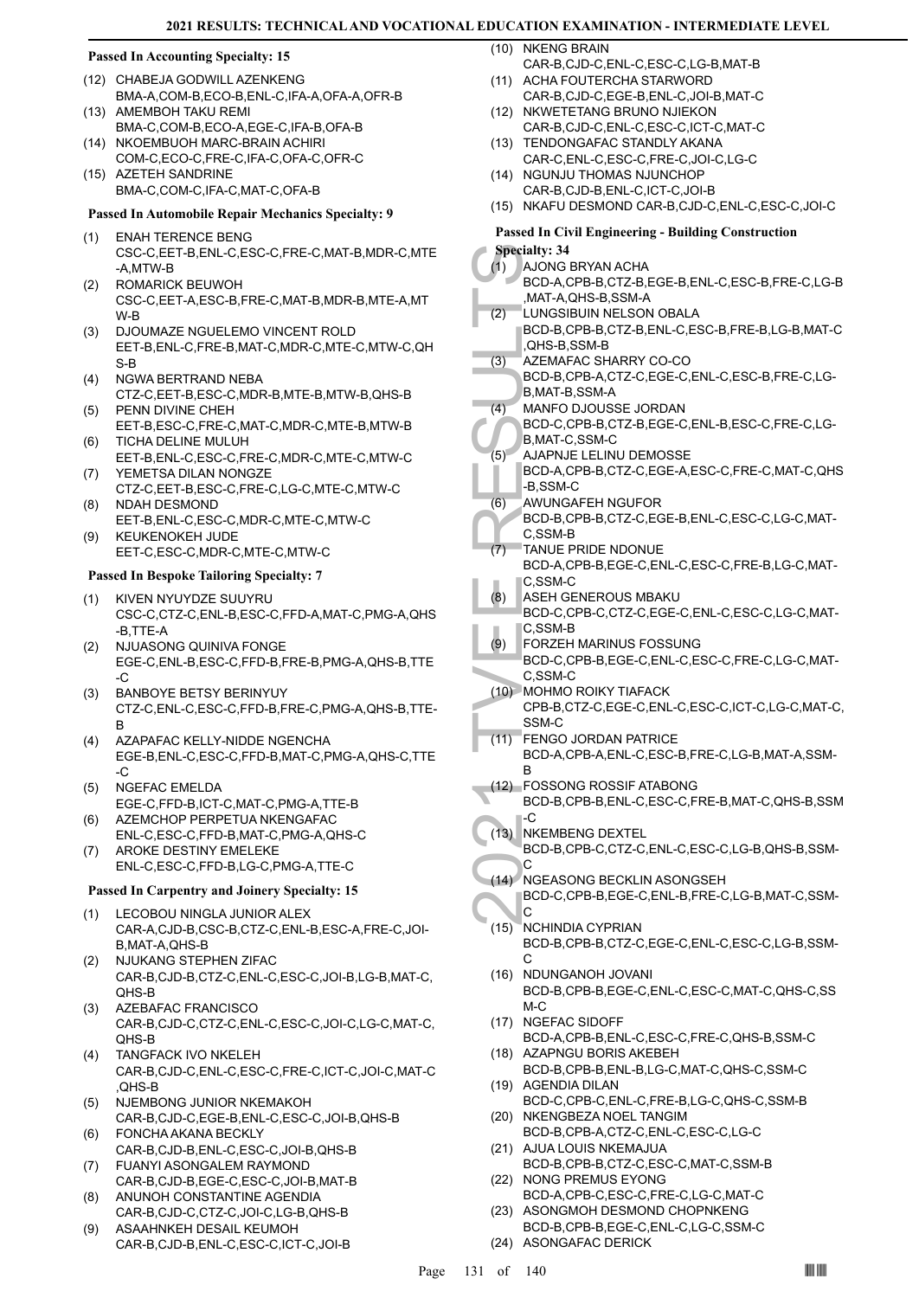#### **Passed In Accounting Specialty: 15**

- (12) CHABEJA GODWILL AZENKENG BMA-A,COM-B,ECO-B,ENL-C,IFA-A,OFA-A,OFR-B
- (13) AMEMBOH TAKU REMI BMA-C,COM-B,ECO-A,EGE-C,IFA-B,OFA-B (14) NKOEMBUOH MARC-BRAIN ACHIRI
- COM-C,ECO-C,FRE-C,IFA-C,OFA-C,OFR-C (15) AZETEH SANDRINE
- BMA-C,COM-C,IFA-C,MAT-C,OFA-B

#### **Passed In Automobile Repair Mechanics Specialty: 9**

- ENAH TERENCE BENG CSC-C,EET-B,ENL-C,ESC-C,FRE-C,MAT-B,MDR-C,MTE -A,MTW-B (1)
- ROMARICK BEUWOH CSC-C,EET-A,ESC-B,FRE-C,MAT-B,MDR-B,MTE-A,MT W-B (2)
- (3) DJOUMAZE NGUELEMO VINCENT ROLD EET-B,ENL-C,FRE-B,MAT-C,MDR-C,MTE-C,MTW-C,QH S-B
- NGWA BERTRAND NEBA CTZ-C,EET-B,ESC-C,MDR-B,MTE-B,MTW-B,QHS-B (4)
- PENN DIVINE CHEH EET-B,ESC-C,FRE-C,MAT-C,MDR-C,MTE-B,MTW-B (5) TICHA DELINE MULUH (6)
- EET-B,ENL-C,ESC-C,FRE-C,MDR-C,MTE-C,MTW-C YEMETSA DILAN NONGZE (7)
- CTZ-C,EET-B,ESC-C,FRE-C,LG-C,MTE-C,MTW-C NDAH DESMOND (8)
- EET-B,ENL-C,ESC-C,MDR-C,MTE-C,MTW-C KEUKENOKEH JUDE (9)
- EET-C,ESC-C,MDR-C,MTE-C,MTW-C

#### **Passed In Bespoke Tailoring Specialty: 7**

- KIVEN NYUYDZE SUUYRU (1) CSC-C,CTZ-C,ENL-B,ESC-C,FFD-A,MAT-C,PMG-A,QHS -B,TTE-A
- NJUASONG QUINIVA FONGE EGE-C,ENL-B,ESC-C,FFD-B,FRE-B,PMG-A,QHS-B,TTE -C (2)
- BANBOYE BETSY BERINYUY CTZ-C,ENL-C,ESC-C,FFD-B,FRE-C,PMG-A,QHS-B,TTE-B (3)
- AZAPAFAC KELLY-NIDDE NGENCHA EGE-B,ENL-C,ESC-C,FFD-B,MAT-C,PMG-A,QHS-C,TTE -C (4)
- NGEFAC EMELDA EGE-C,FFD-B,ICT-C,MAT-C,PMG-A,TTE-B (5)
- AZEMCHOP PERPETUA NKENGAFAC ENL-C,ESC-C,FFD-B,MAT-C,PMG-A,QHS-C (6)
- AROKE DESTINY EMELEKE ENL-C,ESC-C,FFD-B,LG-C,PMG-A,TTE-C (7)

#### **Passed In Carpentry and Joinery Specialty: 15**

- (1) LECOBOU NINGLA JUNIOR ALEX CAR-A,CJD-B,CSC-B,CTZ-C,ENL-B,ESC-A,FRE-C,JOI-B,MAT-A,QHS-B
- NJUKANG STEPHEN ZIFAC CAR-B,CJD-B,CTZ-C,ENL-C,ESC-C,JOI-B,LG-B,MAT-C, QHS-B (2)
- (3) AZEBAFAC FRANCISCO CAR-B,CJD-C,CTZ-C,ENL-C,ESC-C,JOI-C,LG-C,MAT-C, QHS-B
- TANGFACK IVO NKELEH CAR-B,CJD-C,ENL-C,ESC-C,FRE-C,ICT-C,JOI-C,MAT-C ,QHS-B (4)
- NJEMBONG JUNIOR NKEMAKOH CAR-B,CJD-C,EGE-B,ENL-C,ESC-C,JOI-B,QHS-B (5) FONCHA AKANA BECKLY (6)
- CAR-B,CJD-B,ENL-C,ESC-C,JOI-B,QHS-B
- FUANYI ASONGALEM RAYMOND CAR-B,CJD-B,EGE-C,ESC-C,JOI-B,MAT-B (7)
- ANUNOH CONSTANTINE AGENDIA CAR-B,CJD-C,CTZ-C,JOI-C,LG-B,QHS-B (8)
- ASAAHNKEH DESAIL KEUMOH CAR-B,CJD-B,ENL-C,ESC-C,ICT-C,JOI-B (9)

(10) NKENG BRAIN

- CAR-B,CJD-C,ENL-C,ESC-C,LG-B,MAT-B (11) ACHA FOUTERCHA STARWORD
- CAR-B,CJD-C,EGE-B,ENL-C,JOI-B,MAT-C (12) NKWETETANG BRUNO NJIEKON
- CAR-B,CJD-C,ENL-C,ESC-C,ICT-C,MAT-C (13) TENDONGAFAC STANDLY AKANA
- CAR-C,ENL-C,ESC-C,FRE-C,JOI-C,LG-C (14) NGUNJU THOMAS NJUNCHOP
- CAR-B,CJD-B,ENL-C,ICT-C,JOI-B (15) NKAFU DESMOND CAR-B,CJD-C,ENL-C,ESC-C,JOI-C

## **Passed In Civil Engineering - Building Construction**

|      | <b>Specialty: 34</b>                            |
|------|-------------------------------------------------|
| (1)  | AJONG BRYAN ACHA                                |
|      | BCD-A,CPB-B,CTZ-B,EGE-B,ENL-C,ESC-B,FRE-C,LG-B  |
|      | ,MAT-A,QHS-B,SSM-A                              |
|      | LUNGSIBUIN NELSON OBALA                         |
| (2)  |                                                 |
|      | BCD-B,CPB-B,CTZ-B,ENL-C,ESC-B,FRE-B,LG-B,MAT-C  |
|      | ,QHS-B,SSM-B                                    |
| (3)  | AZEMAFAC SHARRY CO-CO                           |
|      | BCD-B,CPB-A,CTZ-C,EGE-C,ENL-C,ESC-B,FRE-C,LG-   |
|      | B, MAT-B, SSM-A                                 |
|      |                                                 |
| (4)  | <b>MANFO DJOUSSE JORDAN</b>                     |
|      | BCD-C,CPB-B,CTZ-B,EGE-C,ENL-B,ESC-C,FRE-C,LG-   |
|      | B, MAT-C, SSM-C                                 |
| (5)  | AJAPNJE LELINU DEMOSSE                          |
|      | BCD-A,CPB-B,CTZ-C,EGE-A,ESC-C,FRE-C,MAT-C,QHS   |
|      |                                                 |
|      | -B,SSM-C                                        |
| (6)  | AWUNGAFEH NGUFOR                                |
|      | BCD-B,CPB-B,CTZ-C,EGE-B,ENL-C,ESC-C,LG-C,MAT-   |
|      | C.SSM-B                                         |
|      | <b>TANUE PRIDE NDONUE</b>                       |
| (7)  |                                                 |
|      | BCD-A,CPB-B,EGE-C,ENL-C,ESC-C,FRE-B,LG-C,MAT-   |
|      | C.SSM-C                                         |
| (8)  | ASEH GENEROUS MBAKU                             |
|      | BCD-C,CPB-C,CTZ-C,EGE-C,ENL-C,ESC-C,LG-C,MAT-   |
|      |                                                 |
|      | C.SSM-B                                         |
| (9)  | FORZEH MARINUS FOSSUNG                          |
|      | BCD-C,CPB-B,EGE-C,ENL-C,ESC-C,FRE-C,LG-C,MAT-   |
|      | C.SSM-C                                         |
|      | (10) MOHMO ROIKY TIAFACK                        |
|      |                                                 |
|      | CPB-B,CTZ-C,EGE-C,ENL-C,ESC-C,ICT-C,LG-C,MAT-C, |
|      | SSM-C                                           |
| (11) | <b>FENGO JORDAN PATRICE</b>                     |
|      | BCD-A,CPB-A,ENL-C,ESC-B,FRE-C,LG-B,MAT-A,SSM-   |
|      | в                                               |
|      | (12) FOSSONG ROSSIF ATABONG                     |
|      |                                                 |
|      |                                                 |
|      | BCD-B,CPB-B,ENL-C,ESC-C,FRE-B,MAT-C,QHS-B,SSM   |
|      | -C                                              |
|      | <b>NKEMBENG DEXTEL</b>                          |
| (13) |                                                 |
|      | BCD-B,CPB-C,CTZ-C,ENL-C,ESC-C,LG-B,QHS-B,SSM-   |
|      | С                                               |
| (14) | NGEASONG BECKLIN ASONGSEH                       |
|      | BCD-C,CPB-B,EGE-C,ENL-B,FRE-C,LG-B,MAT-C,SSM-   |
|      | С                                               |
|      |                                                 |
| (15) | NCHINDIA CYPRIAN                                |
|      | BCD-B,CPB-B,CTZ-C,EGE-C,ENL-C,ESC-C,LG-B,SSM-   |
|      | С                                               |
| (16) | NDUNGANOH JOVANI                                |
|      | BCD-B,CPB-B,EGE-C,ENL-C,ESC-C,MAT-C,QHS-C,SS    |
|      |                                                 |
|      | M-C                                             |
| (17) | <b>NGEFAC SIDOFF</b>                            |
|      | BCD-A,CPB-B,ENL-C,ESC-C,FRE-C,QHS-B,SSM-C       |
| (18) | AZAPNGU BORIS AKEBEH                            |
|      | BCD-B,CPB-B,ENL-B,LG-C,MAT-C,QHS-C,SSM-C        |
|      |                                                 |
| (19) | <b>AGENDIA DILAN</b>                            |
|      | BCD-C,CPB-C,ENL-C,FRE-B,LG-C,QHS-C,SSM-B        |
| (20) | NKENGBEZA NOEL TANGIM                           |
|      | BCD-B,CPB-A,CTZ-C,ENL-C,ESC-C,LG-C              |
| (21) | AJUA LOUIS NKEMAJUA                             |
|      |                                                 |
|      | BCD-B,CPB-B,CTZ-C,ESC-C,MAT-C,SSM-B             |
| (22) | NONG PREMUS EYONG                               |
|      | BCD-A,CPB-C,ESC-C,FRE-C,LG-C,MAT-C              |
|      | (23) ASONGMOH DESMOND CHOPNKENG                 |

(24) ASONGAFAC DERICK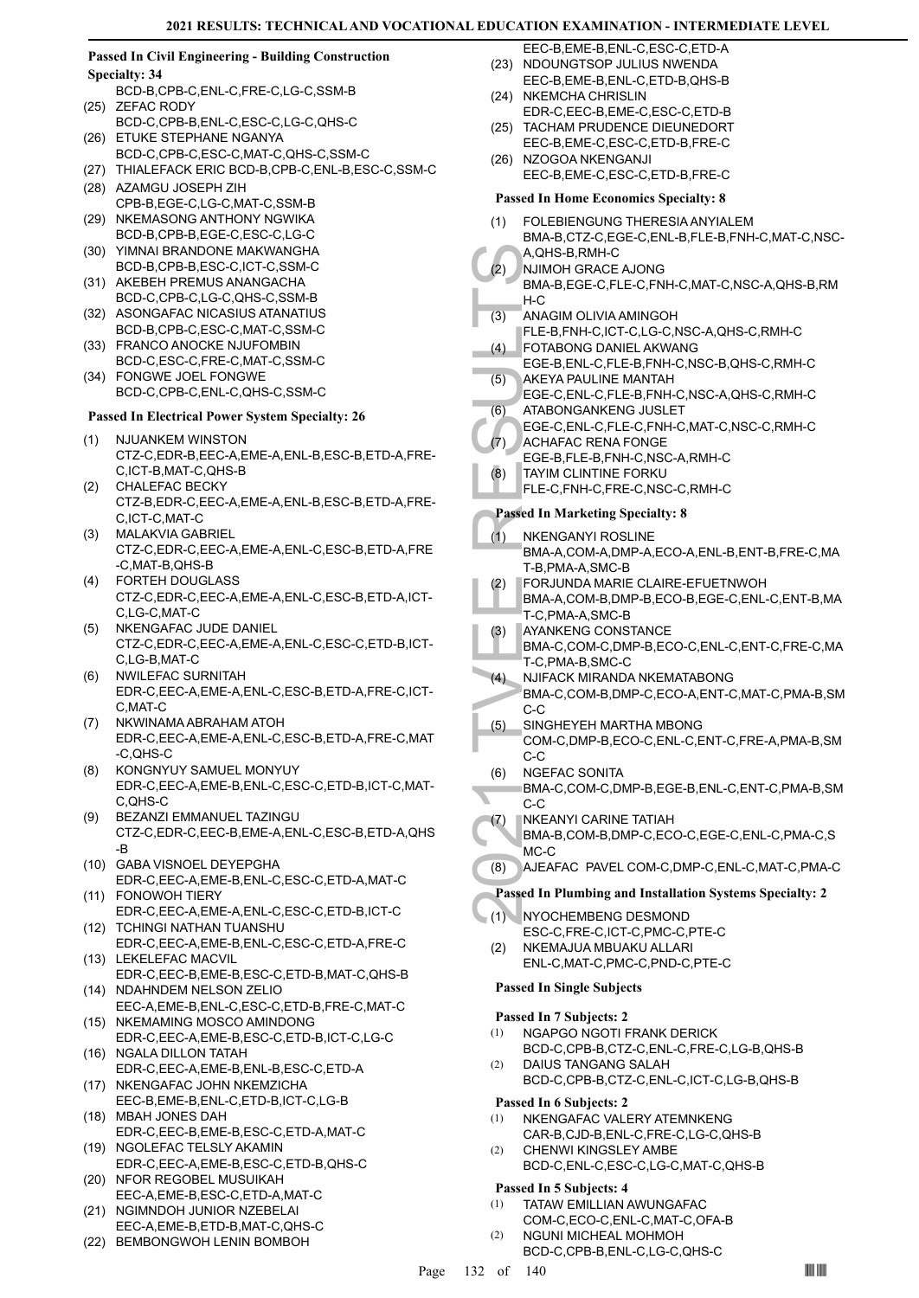#### **Passed In Civil Engineering - Building Construction Specialty: 34**

- BCD-B,CPB-C,ENL-C,FRE-C,LG-C,SSM-B (25) ZEFAC RODY
- BCD-C,CPB-B,ENL-C,ESC-C,LG-C,QHS-C (26) ETUKE STEPHANE NGANYA
- BCD-C,CPB-C,ESC-C,MAT-C,QHS-C,SSM-C
- (27) THIALEFACK ERIC BCD-B,CPB-C,ENL-B,ESC-C,SSM-C
- (28) AZAMGU JOSEPH ZIH CPB-B,EGE-C,LG-C,MAT-C,SSM-B (29) NKEMASONG ANTHONY NGWIKA
- BCD-B,CPB-B,EGE-C,ESC-C,LG-C
- YIMNAI BRANDONE MAKWANGHA (30) BCD-B,CPB-B,ESC-C,ICT-C,SSM-C
- (31) AKEBEH PREMUS ANANGACHA BCD-C,CPB-C,LG-C,QHS-C,SSM-B
- (32) ASONGAFAC NICASIUS ATANATIUS BCD-B,CPB-C, ESC-C, MAT-C, SSM-C
- (33) FRANCO ANOCKE NJUFOMBIN
- BCD-C,ESC-C,FRE-C,MAT-C,SSM-C FONGWE JOEL FONGWE (34) BCD-C,CPB-C,ENL-C,QHS-C,SSM-C

#### **Passed In Electrical Power System Specialty: 26**

- (1) NJUANKEM WINSTON CTZ-C,EDR-B,EEC-A,EME-A,ENL-B,ESC-B,ETD-A,FRE-C,ICT-B,MAT-C,QHS-B
- CHALEFAC BECKY CTZ-B,EDR-C,EEC-A,EME-A,ENL-B,ESC-B,ETD-A,FRE-C,ICT-C,MAT-C (2)
- MALAKVIA GABRIEL CTZ-C,EDR-C,EEC-A,EME-A,ENL-C,ESC-B,ETD-A,FRE -C,MAT-B,QHS-B (3)
- FORTEH DOUGLASS (4) CTZ-C,EDR-C,EEC-A,EME-A,ENL-C,ESC-B,ETD-A,ICT-C,LG-C,MAT-C
- (5) NKENGAFAC JUDE DANIEL CTZ-C,EDR-C,EEC-A,EME-A,ENL-C,ESC-C,ETD-B,ICT-C,LG-B,MAT-C
- NWILEFAC SURNITAH EDR-C,EEC-A,EME-A,ENL-C,ESC-B,ETD-A,FRE-C,ICT-C,MAT-C (6)
- NKWINAMA ABRAHAM ATOH EDR-C,EEC-A,EME-A,ENL-C,ESC-B,ETD-A,FRE-C,MAT -C,QHS-C (7)
- KONGNYUY SAMUEL MONYUY EDR-C,EEC-A,EME-B,ENL-C,ESC-C,ETD-B,ICT-C,MAT-C,QHS-C (8)
- BEZANZI EMMANUEL TAZINGU CTZ-C,EDR-C,EEC-B,EME-A,ENL-C,ESC-B,ETD-A,QHS -B (9)
- (10) GABA VISNOEL DEYEPGHA EDR-C,EEC-A,EME-B,ENL-C,ESC-C,ETD-A,MAT-C
- (11) FONOWOH TIERY EDR-C,EEC-A,EME-A,ENL-C,ESC-C,ETD-B,ICT-C (12) TCHINGI NATHAN TUANSHU
- EDR-C,EEC-A,EME-B,ENL-C,ESC-C,ETD-A,FRE-C (13) LEKELEFAC MACVIL
- EDR-C,EEC-B,EME-B,ESC-C,ETD-B,MAT-C,QHS-B (14) NDAHNDEM NELSON ZELIO
- EEC-A,EME-B,ENL-C,ESC-C,ETD-B,FRE-C,MAT-C (15) NKEMAMING MOSCO AMINDONG
- EDR-C,EEC-A,EME-B,ESC-C,ETD-B,ICT-C,LG-C (16) NGALA DILLON TATAH
- EDR-C,EEC-A,EME-B,ENL-B,ESC-C,ETD-A (17) NKENGAFAC JOHN NKEMZICHA
- EEC-B,EME-B,ENL-C,ETD-B,ICT-C,LG-B MBAH JONES DAH (18)
- EDR-C,EEC-B,EME-B,ESC-C,ETD-A,MAT-C (19) NGOLEFAC TELSLY AKAMIN
- EDR-C,EEC-A,EME-B,ESC-C,ETD-B,QHS-C (20) NFOR REGOBEL MUSUIKAH
- EEC-A,EME-B,ESC-C,ETD-A,MAT-C (21) NGIMNDOH JUNIOR NZEBELAI
- EEC-A,EME-B,ETD-B,MAT-C,QHS-C
- (22) BEMBONGWOH LENIN BOMBOH
- EEC-B,EME-B,ENL-C,ESC-C,ETD-A (23) NDOUNGTSOP JULIUS NWENDA
- EEC-B,EME-B,ENL-C,ETD-B,QHS-B
- (24) NKEMCHA CHRISLIN EDR-C,EEC-B,EME-C,ESC-C,ETD-B
- (25) TACHAM PRUDENCE DIEUNEDORT EEC-B,EME-C,ESC-C,ETD-B,FRE-C
- (26) NZOGOA NKENGANJI
- EEC-B,EME-C,ESC-C,ETD-B,FRE-C

| <b>Passed In Home Economics Specialty: 8</b> |                                                                                                      |
|----------------------------------------------|------------------------------------------------------------------------------------------------------|
| (1)                                          | FOLEBIENGUNG THERESIA ANYIALEM<br>BMA-B,CTZ-C,EGE-C,ENL-B,FLE-B,FNH-C,MAT-C,NSC-<br>A, QHS-B, RMH-C  |
| (2)                                          | NJIMOH GRACE AJONG<br>BMA-B,EGE-C,FLE-C,FNH-C,MAT-C,NSC-A,QHS-B,RM<br>H-C                            |
| (3)                                          | ANAGIM OLIVIA AMINGOH<br>FLE-B,FNH-C,ICT-C,LG-C,NSC-A,QHS-C,RMH-C                                    |
| (4)                                          | FOTABONG DANIEL AKWANG<br>EGE-B, ENL-C, FLE-B, FNH-C, NSC-B, QHS-C, RMH-C                            |
| (5)                                          | <b>AKEYA PAULINE MANTAH</b><br>EGE-C,ENL-C,FLE-B,FNH-C,NSC-A,QHS-C,RMH-C                             |
| (6)                                          | ATABONGANKENG JUSLET<br>EGE-C, ENL-C, FLE-C, FNH-C, MAT-C, NSC-C, RMH-C<br><b>ACHAFAC RENA FONGE</b> |
| (7)<br>(8)                                   | EGE-B,FLE-B,FNH-C,NSC-A,RMH-C<br>TAYIM CLINTINE FORKU                                                |
|                                              | FLE-C,FNH-C,FRE-C,NSC-C,RMH-C                                                                        |
|                                              | <b>Passed In Marketing Specialty: 8</b>                                                              |
| (1)                                          | NKENGANYI ROSLINE<br>BMA-A,COM-A,DMP-A,ECO-A,ENL-B,ENT-B,FRE-C,MA<br>T-B.PMA-A.SMC-B                 |
| (2)                                          | FORJUNDA MARIE CLAIRE-EFUETNWOH<br>BMA-A,COM-B,DMP-B,ECO-B,EGE-C,ENL-C,ENT-B,MA<br>T-C.PMA-A.SMC-B   |
| (3)                                          | AYANKENG CONSTANCE<br>BMA-C,COM-C,DMP-B,ECO-C,ENL-C,ENT-C,FRE-C,MA<br>T-C, PMA-B, SMC-C              |
| (4)                                          | NJIFACK MIRANDA NKEMATABONG<br>BMA-C,COM-B,DMP-C,ECO-A,ENT-C,MAT-C,PMA-B,SM<br>C-C                   |
| (5)                                          | SINGHEYEH MARTHA MBONG<br>COM-C,DMP-B,ECO-C,ENL-C,ENT-C,FRE-A,PMA-B,SM<br>C-C                        |
| (6)                                          | <b>NGEFAC SONITA</b><br>BMA-C,COM-C,DMP-B,EGE-B,ENL-C,ENT-C,PMA-B,SM<br>C-C                          |
| (7)                                          | NKEANYI CARINE TATIAH<br>BMA-B,COM-B,DMP-C,ECO-C,EGE-C,ENL-C,PMA-C,S<br>MC-C                         |
| (8)                                          | AJEAFAC PAVEL COM-C, DMP-C, ENL-C, MAT-C, PMA-C                                                      |
|                                              | Passed In Plumbing and Installation Systems Specialty: 2                                             |
| (1)                                          | NYOCHEMBENG DESMOND<br>ESC-C,FRE-C,ICT-C,PMC-C,PTE-C                                                 |
| (2)                                          | NKEMAJUA MBUAKU ALLARI<br>ENL-C, MAT-C, PMC-C, PND-C, PTE-C                                          |
|                                              | <b>Passed In Single Subjects</b>                                                                     |

#### **Passed In 7 Subjects: 2**

- NGAPGO NGOTI FRANK DERICK BCD-C,CPB-B,CTZ-C,ENL-C,FRE-C,LG-B,QHS-B (1)
- DAIUS TANGANG SALAH BCD-C,CPB-B,CTZ-C,ENL-C,ICT-C,LG-B,QHS-B (2)

#### **Passed In 6 Subjects: 2**

- NKENGAFAC VALERY ATEMNKENG (1)
- CAR-B,CJD-B,ENL-C,FRE-C,LG-C,QHS-B CHENWI KINGSLEY AMBE BCD-C,ENL-C,ESC-C,LG-C,MAT-C,QHS-B (2)

#### **Passed In 5 Subjects: 4**

- TATAW EMILLIAN AWUNGAFAC (1)
- COM-C,ECO-C,ENL-C,MAT-C,OFA-B NGUNI MICHEAL MOHMOH (2)
	- BCD-C,CPB-B,ENL-C,LG-C,QHS-C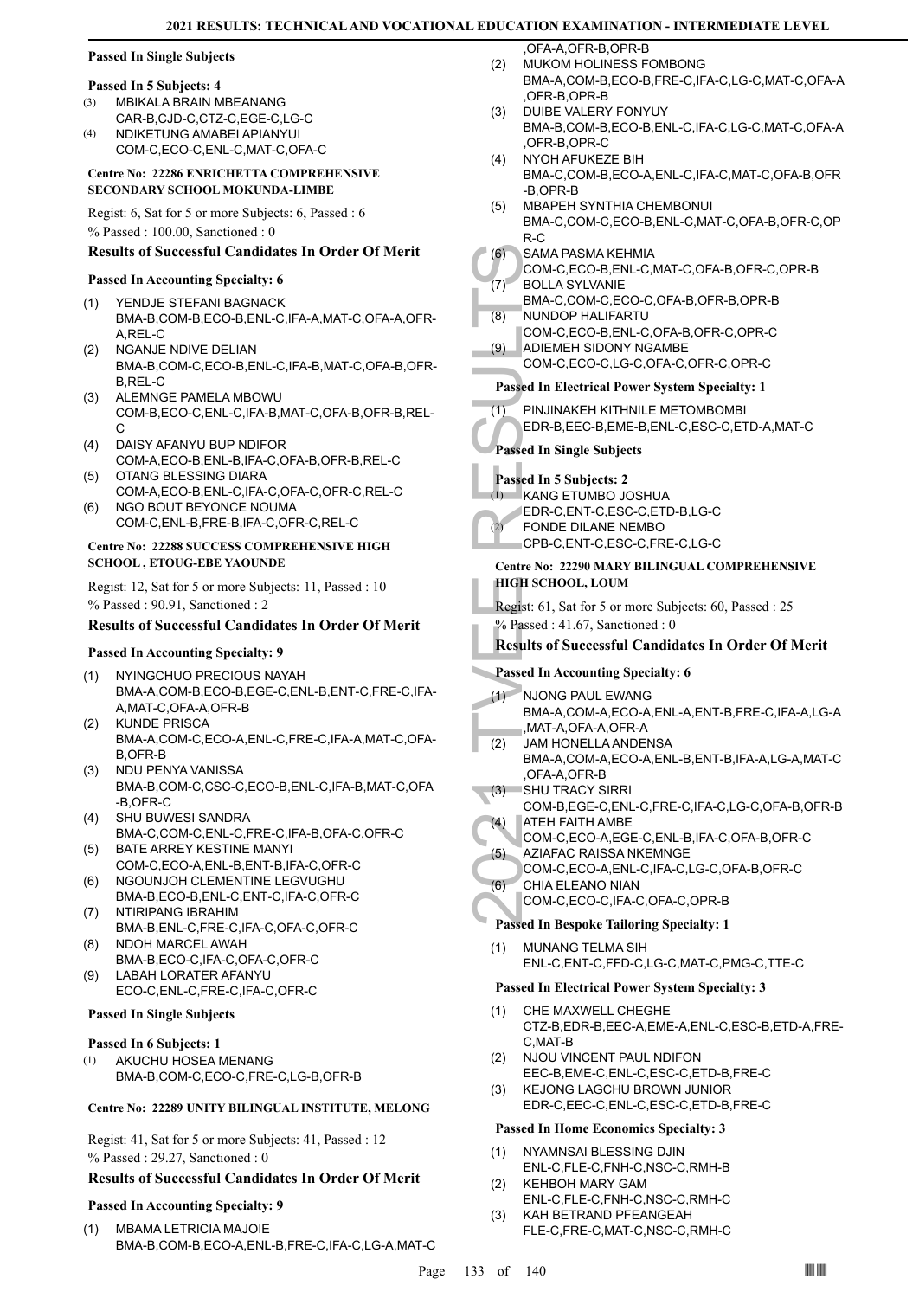#### **Passed In Single Subjects**

#### **Passed In 5 Subjects: 4**

- MBIKALA BRAIN MBEANANG CAR-B,CJD-C,CTZ-C,EGE-C,LG-C (3)
- NDIKETUNG AMABEI APIANYUI COM-C,ECO-C,ENL-C,MAT-C,OFA-C  $(4)$

#### **Centre No: 22286 ENRICHETTA COMPREHENSIVE SECONDARY SCHOOL MOKUNDA-LIMBE**

Regist: 6, Sat for 5 or more Subjects: 6, Passed : 6 % Passed : 100.00, Sanctioned : 0

#### **Results of Successful Candidates In Order Of Merit**

#### **Passed In Accounting Specialty: 6**

- YENDJE STEFANI BAGNACK BMA-B,COM-B,ECO-B,ENL-C,IFA-A,MAT-C,OFA-A,OFR-A,REL-C (1)
- NGANJE NDIVE DELIAN BMA-B,COM-C,ECO-B,ENL-C,IFA-B,MAT-C,OFA-B,OFR-B,REL-C (2)
- ALEMNGE PAMELA MBOWU COM-B,ECO-C,ENL-C,IFA-B,MAT-C,OFA-B,OFR-B,REL-C (3)
- DAISY AFANYU BUP NDIFOR COM-A,ECO-B,ENL-B,IFA-C,OFA-B,OFR-B,REL-C (4)
- OTANG BLESSING DIARA COM-A,ECO-B,ENL-C,IFA-C,OFA-C,OFR-C,REL-C  $(5)$ NGO BOUT BEYONCE NOUMA (6)
- COM-C,ENL-B,FRE-B,IFA-C,OFR-C,REL-C

#### **Centre No: 22288 SUCCESS COMPREHENSIVE HIGH SCHOOL , ETOUG-EBE YAOUNDE**

Regist: 12, Sat for 5 or more Subjects: 11, Passed : 10 % Passed : 90.91, Sanctioned : 2

#### **Results of Successful Candidates In Order Of Merit**

#### **Passed In Accounting Specialty: 9**

- NYINGCHUO PRECIOUS NAYAH BMA-A,COM-B,ECO-B,EGE-C,ENL-B,ENT-C,FRE-C,IFA-A,MAT-C,OFA-A,OFR-B (1)
- KUNDE PRISCA BMA-A,COM-C,ECO-A,ENL-C,FRE-C,IFA-A,MAT-C,OFA-B,OFR-B  $(2)$
- NDU PENYA VANISSA BMA-B,COM-C,CSC-C,ECO-B,ENL-C,IFA-B,MAT-C,OFA -B,OFR-C (3)
- SHU BUWESI SANDRA (4) BMA-C,COM-C,ENL-C,FRE-C,IFA-B,OFA-C,OFR-C
- BATE ARREY KESTINE MANYI (5) COM-C,ECO-A,ENL-B,ENT-B,IFA-C,OFR-C
- NGOUNJOH CLEMENTINE LEGVUGHU BMA-B,ECO-B,ENL-C,ENT-C,IFA-C,OFR-C (6)
- (7) NTIRIPANG IBRAHIM BMA-B,ENL-C,FRE-C,IFA-C,OFA-C,OFR-C NDOH MARCEL AWAH
- BMA-B,ECO-C,IFA-C,OFA-C,OFR-C (8) LABAH LORATER AFANYU (9)
- ECO-C,ENL-C,FRE-C,IFA-C,OFR-C

#### **Passed In Single Subjects**

#### **Passed In 6 Subjects: 1**

AKUCHU HOSEA MENANG BMA-B,COM-C,ECO-C,FRE-C,LG-B,OFR-B (1)

#### **Centre No: 22289 UNITY BILINGUAL INSTITUTE, MELONG**

Regist: 41, Sat for 5 or more Subjects: 41, Passed : 12 % Passed : 29.27, Sanctioned : 0

#### **Results of Successful Candidates In Order Of Merit**

#### **Passed In Accounting Specialty: 9**

MBAMA LETRICIA MAJOIE BMA-B,COM-B,ECO-A,ENL-B,FRE-C,IFA-C,LG-A,MAT-C (1)

,OFA-A,OFR-B,OPR-B MUKOM HOLINESS FOMBONG

- BMA-A,COM-B,ECO-B,FRE-C,IFA-C,LG-C,MAT-C,OFA-A ,OFR-B,OPR-B (2)
- DUIBE VALERY FONYUY BMA-B,COM-B,ECO-B,ENL-C,IFA-C,LG-C,MAT-C,OFA-A ,OFR-B,OPR-C (3)
- NYOH AFUKEZE BIH BMA-C,COM-B,ECO-A,ENL-C,IFA-C,MAT-C,OFA-B,OFR -B,OPR-B (4)
- MBAPEH SYNTHIA CHEMBONUI BMA-C,COM-C,ECO-B,ENL-C,MAT-C,OFA-B,OFR-C,OP R-C (5)
- SAMA PASMA KEHMIA  $(6)$ 
	- COM-C,ECO-B,ENL-C,MAT-C,OFA-B,OFR-C,OPR-B BOLLA SYLVANIE (7)
	- BMA-C,COM-C,ECO-C,OFA-B,OFR-B,OPR-B NUNDOP HALIFARTU (8)
- COM-C,ECO-B,ENL-C,OFA-B,OFR-C,OPR-C ADIEMEH SIDONY NGAMBE (9)
	- COM-C,ECO-C,LG-C,OFA-C,OFR-C,OPR-C

#### **Passed In Electrical Power System Specialty: 1**

(6) SAMA F<br>
COM-C,<br>
BOLLA : BMA-C,<br>
BOLLA : BMA-C,<br>
(8) NUNDO<br>
COM-C,<br>
ADIEME COM-C,<br>
ADIEME COM-C,<br>
ADIEME COM-C,<br>
Passed In Si<br>
Passed In Si<br>
Passed In Si<br>
Passed In Si<br>
Passed In Si<br>
Passed In Si<br>
CPB-C,<br>
COM-C,<br>
Centre PINJINAKEH KITHNILE METOMBOMBI EDR-B,EEC-B,EME-B,ENL-C,ESC-C,ETD-A,MAT-C (1) **Passed In Single Subjects**

#### **Passed In 5 Subjects: 2**

- KANG ETUMBO JOSHUA (1)
- EDR-C,ENT-C,ESC-C,ETD-B,LG-C
- FONDE DILANE NEMBO (2)
	- CPB-C,ENT-C,ESC-C,FRE-C,LG-C

#### **Centre No: 22290 MARY BILINGUAL COMPREHENSIVE HIGH SCHOOL, LOUM**

Regist: 61, Sat for 5 or more Subjects: 60, Passed : 25 % Passed : 41.67, Sanctioned : 0

#### **Results of Successful Candidates In Order Of Merit**

#### **Passed In Accounting Specialty: 6**

- NJONG PAUL EWANG  $(1)$
- BMA-A,COM-A,ECO-A,ENL-A,ENT-B,FRE-C,IFA-A,LG-A ,MAT-A,OFA-A,OFR-A
- JAM HONELLA ANDENSA BMA-A,COM-A,ECO-A,ENL-B,ENT-B,IFA-A,LG-A,MAT-C ,OFA-A,OFR-B (2)
- SHU TRACY SIRRI COM-B,EGE-C,ENL-C,FRE-C,IFA-C,LG-C,OFA-B,OFR-B  $-(3)$
- ATEH FAITH AMBE (4)
	- COM-C,ECO-A,EGE-C,ENL-B,IFA-C,OFA-B,OFR-C
	- AZIAFAC RAISSA NKEMNGE COM-C,ECO-A,ENL-C,IFA-C,LG-C,OFA-B,OFR-C (5)
- CHIA ELEANO NIAN COM-C,ECO-C,IFA-C,OFA-C,OPR-B (6)

## **Passed In Bespoke Tailoring Specialty: 1**

MUNANG TELMA SIH ENL-C,ENT-C,FFD-C,LG-C,MAT-C,PMG-C,TTE-C (1)

#### **Passed In Electrical Power System Specialty: 3**

- CHE MAXWELL CHEGHE CTZ-B,EDR-B,EEC-A,EME-A,ENL-C,ESC-B,ETD-A,FRE-C,MAT-B (1)
- NJOU VINCENT PAUL NDIFON EEC-B,EME-C,ENL-C,ESC-C,ETD-B,FRE-C (2)
- KEJONG LAGCHU BROWN JUNIOR EDR-C,EEC-C,ENL-C,ESC-C,ETD-B,FRE-C (3)

#### **Passed In Home Economics Specialty: 3**

- NYAMNSAI BLESSING DJIN (1)
- ENL-C,FLE-C,FNH-C,NSC-C,RMH-B KEHBOH MARY GAM (2)
- ENL-C,FLE-C,FNH-C,NSC-C,RMH-C KAH BETRAND PFEANGEAH (3)
- FLE-C,FRE-C,MAT-C,NSC-C,RMH-C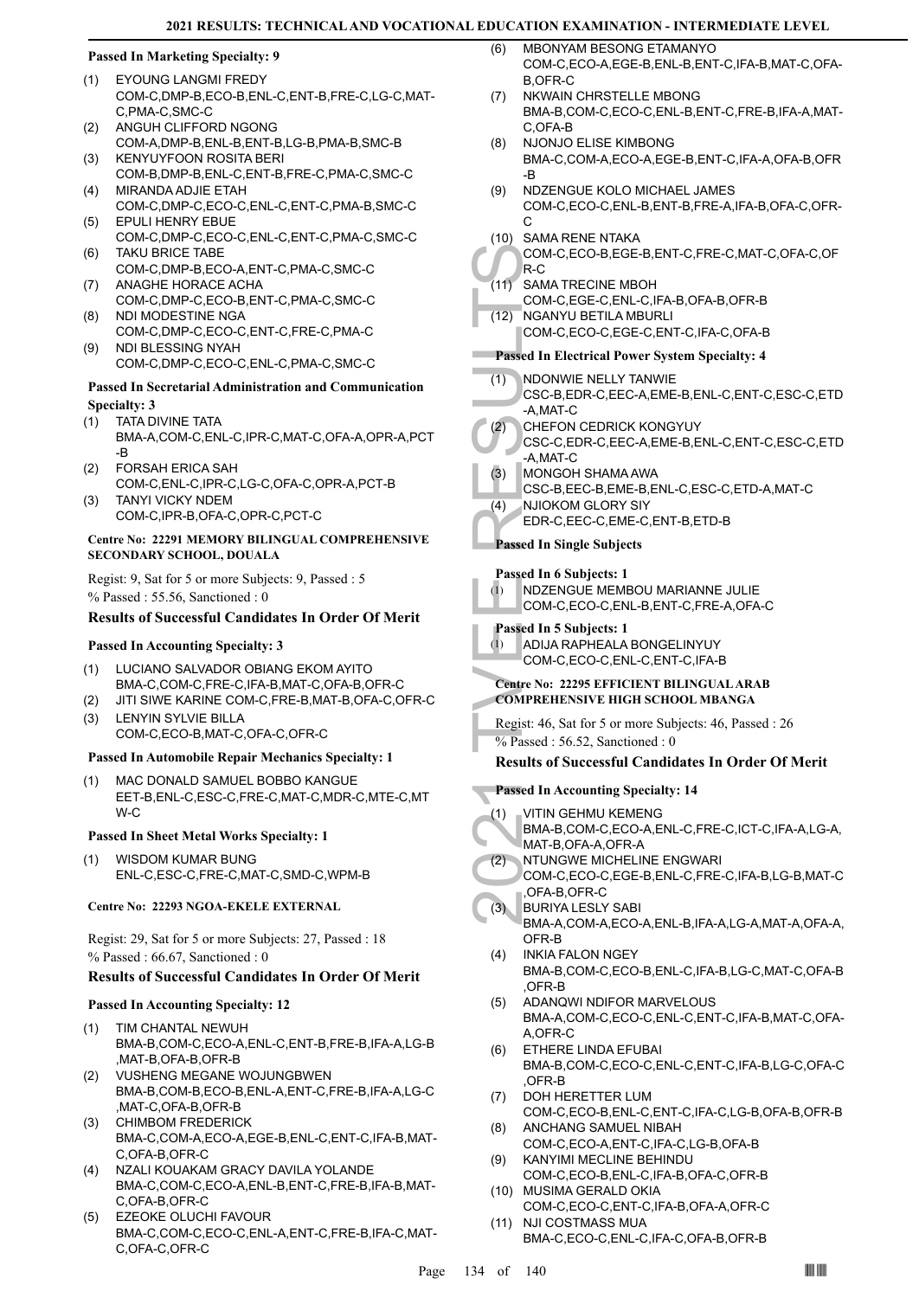#### **Passed In Marketing Specialty: 9**

- EYOUNG LANGMI FREDY (1) COM-C,DMP-B,ECO-B,ENL-C,ENT-B,FRE-C,LG-C,MAT-C,PMA-C,SMC-C
- ANGUH CLIFFORD NGONG COM-A,DMP-B,ENL-B,ENT-B,LG-B,PMA-B,SMC-B (2)
- KENYUYFOON ROSITA BERI COM-B,DMP-B,ENL-C,ENT-B,FRE-C,PMA-C,SMC-C (3)
- MIRANDA ADJIE ETAH COM-C,DMP-C,ECO-C,ENL-C,ENT-C,PMA-B,SMC-C (4) EPULI HENRY EBUE
- COM-C,DMP-C,ECO-C,ENL-C,ENT-C,PMA-C,SMC-C (5) TAKU BRICE TABE (6)
- COM-C,DMP-B,ECO-A,ENT-C,PMA-C,SMC-C ANAGHE HORACE ACHA (7)
- COM-C,DMP-C,ECO-B,ENT-C,PMA-C,SMC-C NDI MODESTINE NGA (8)
- COM-C,DMP-C,ECO-C,ENT-C,FRE-C,PMA-C NDI BLESSING NYAH (9)
- COM-C,DMP-C,ECO-C,ENL-C,PMA-C,SMC-C

#### **Passed In Secretarial Administration and Communication Specialty: 3**

- TATA DIVINE TATA (1)
- BMA-A,COM-C,ENL-C,IPR-C,MAT-C,OFA-A,OPR-A,PCT -B
- FORSAH ERICA SAH COM-C,ENL-C,IPR-C,LG-C,OFA-C,OPR-A,PCT-B (2) TANYI VICKY NDEM (3)
- COM-C,IPR-B,OFA-C,OPR-C,PCT-C

#### **Centre No: 22291 MEMORY BILINGUAL COMPREHENSIVE SECONDARY SCHOOL, DOUALA**

Regist: 9, Sat for 5 or more Subjects: 9, Passed : 5 % Passed : 55.56, Sanctioned : 0

#### **Results of Successful Candidates In Order Of Merit**

#### **Passed In Accounting Specialty: 3**

- LUCIANO SALVADOR OBIANG EKOM AYITO BMA-C,COM-C,FRE-C,IFA-B,MAT-C,OFA-B,OFR-C (1)
- (2) JITI SIWE KARINE COM-C,FRE-B,MAT-B,OFA-C,OFR-C LENYIN SYLVIE BILLA (3)

COM-C,ECO-B,MAT-C,OFA-C,OFR-C

## **Passed In Automobile Repair Mechanics Specialty: 1**

MAC DONALD SAMUEL BOBBO KANGUE EET-B,ENL-C,ESC-C,FRE-C,MAT-C,MDR-C,MTE-C,MT W-C (1)

#### **Passed In Sheet Metal Works Specialty: 1**

WISDOM KUMAR BUNG ENL-C,ESC-C,FRE-C,MAT-C,SMD-C,WPM-B (1)

#### **Centre No: 22293 NGOA-EKELE EXTERNAL**

Regist: 29, Sat for 5 or more Subjects: 27, Passed : 18 % Passed : 66.67, Sanctioned : 0

#### **Results of Successful Candidates In Order Of Merit**

#### **Passed In Accounting Specialty: 12**

- TIM CHANTAL NEWUH BMA-B,COM-C,ECO-A,ENL-C,ENT-B,FRE-B,IFA-A,LG-B ,MAT-B,OFA-B,OFR-B (1)
- VUSHENG MEGANE WOJUNGBWEN BMA-B,COM-B,ECO-B,ENL-A,ENT-C,FRE-B,IFA-A,LG-C ,MAT-C,OFA-B,OFR-B (2)
- CHIMBOM FREDERICK BMA-C,COM-A,ECO-A,EGE-B,ENL-C,ENT-C,IFA-B,MAT-C,OFA-B,OFR-C (3)
- NZALI KOUAKAM GRACY DAVILA YOLANDE BMA-C,COM-C,ECO-A,ENL-B,ENT-C,FRE-B,IFA-B,MAT-C,OFA-B,OFR-C (4)
- EZEOKE OLUCHI FAVOUR BMA-C,COM-C,ECO-C,ENL-A,ENT-C,FRE-B,IFA-C,MAT-C,OFA-C,OFR-C (5)
- MBONYAM BESONG ETAMANYO COM-C,ECO-A,EGE-B,ENL-B,ENT-C,IFA-B,MAT-C,OFA-B,OFR-C  $(6)$
- NKWAIN CHRSTELLE MBONG BMA-B,COM-C,ECO-C,ENL-B,ENT-C,FRE-B,IFA-A,MAT-C,OFA-B (7)
- NJONJO ELISE KIMBONG BMA-C,COM-A,ECO-A,EGE-B,ENT-C,IFA-A,OFA-B,OFR -B (8)
- NDZENGUE KOLO MICHAEL JAMES COM-C,ECO-C,ENL-B,ENT-B,FRE-A,IFA-B,OFA-C,OFR-C (9)
- (10) SAMA RENE NTAKA COM-C,ECO-B,EGE-B,ENT-C,FRE-C,MAT-C,OFA-C,OF
- R-C SAMA TRECINE MBOH  $(11)$
- COM-C,EGE-C,ENL-C,IFA-B,OFA-B,OFR-B
- NGANYU BETILA MBURLI  $(12)$ 
	- COM-C,ECO-C,EGE-C,ENT-C,IFA-C,OFA-B

#### **Passed In Electrical Power System Specialty: 4**

- NDONWIE NELLY TANWIE (1)
- CSC-B,EDR-C,EEC-A,EME-B,ENL-C,ENT-C,ESC-C,ETD -A,MAT-C
- CHEFON CEDRICK KONGYUY (2)
- COM-C,<br>
(11) SAMAT<br>
COM-C,<br>
(12) NGANY<br>
COM-C,<br>
Passed In El<br>
(1) NDONW<br>
CSC-B,<br>
-A,MAT-<br>
(2) CHEFO<br>
CSC-C,<br>
-A,MAT-<br>
(2) CAMAT-<br>
(3) MONGC<br>
CSC-B,<br>
-A,MAT-<br>
(2) COM-C,<br>
Passed In Si<br>
(1) Passed In Si<br>
(1) ADIJA F<br>
COM-C,<br> CSC-C,EDR-C,EEC-A,EME-B,ENL-C,ENT-C,ESC-C,ETD -A,MAT-C
	- MONGOH SHAMA AWA (3)
		- CSC-B,EEC-B,EME-B,ENL-C,ESC-C,ETD-A,MAT-C
	- NJIOKOM GLORY SIY (4)
		- EDR-C,EEC-C,EME-C,ENT-B,ETD-B

**Passed In Single Subjects**

#### **Passed In 6 Subjects: 1**

| INDZENGUE MEMBOU MARIANNE JULIE     |
|-------------------------------------|
| COM-C.ECO-C.ENL-B.ENT-C.FRE-A.OFA-C |

#### **Passed In 5 Subjects: 1**

(1)

ADIJA RAPHEALA BONGELINYUY COM-C,ECO-C,ENL-C,ENT-C,IFA-B (1)

#### **Centre No: 22295 EFFICIENT BILINGUAL ARAB COMPREHENSIVE HIGH SCHOOL MBANGA**

Regist: 46, Sat for 5 or more Subjects: 46, Passed : 26 % Passed : 56.52, Sanctioned : 0

## **Results of Successful Candidates In Order Of Merit**

- **Passed In Accounting Specialty: 14**
- VITIN GEHMU KEMENG (1)
- BMA-B,COM-C,ECO-A,ENL-C,FRE-C,ICT-C,IFA-A,LG-A, MAT-B,OFA-A,OFR-A
- NTUNGWE MICHELINE ENGWARI (2)
- COM-C,ECO-C,EGE-B,ENL-C,FRE-C,IFA-B,LG-B,MAT-C ,OFA-B,OFR-C
- BURIYA LESLY SABI BMA-A,COM-A,ECO-A,ENL-B,IFA-A,LG-A,MAT-A,OFA-A, OFR-B (3)
- INKIA FALON NGEY BMA-B,COM-C,ECO-B,ENL-C,IFA-B,LG-C,MAT-C,OFA-B ,OFR-B (4)
- ADANQWI NDIFOR MARVELOUS BMA-A,COM-C,ECO-C,ENL-C,ENT-C,IFA-B,MAT-C,OFA-A,OFR-C (5)
- ETHERE LINDA EFUBAI BMA-B,COM-C,ECO-C,ENL-C,ENT-C,IFA-B,LG-C,OFA-C ,OFR-B (6)
- DOH HERETTER LUM COM-C,ECO-B,ENL-C,ENT-C,IFA-C,LG-B,OFA-B,OFR-B (7)
- ANCHANG SAMUEL NIBAH COM-C,ECO-A,ENT-C,IFA-C,LG-B,OFA-B (8) KANYIMI MECLINE BEHINDU (9)
- COM-C,ECO-B,ENL-C,IFA-B,OFA-C,OFR-B MUSIMA GERALD OKIA (10)
- COM-C,ECO-C,ENT-C,IFA-B,OFA-A,OFR-C (11) NJI COSTMASS MUA
- BMA-C,ECO-C,ENL-C,IFA-C,OFA-B,OFR-B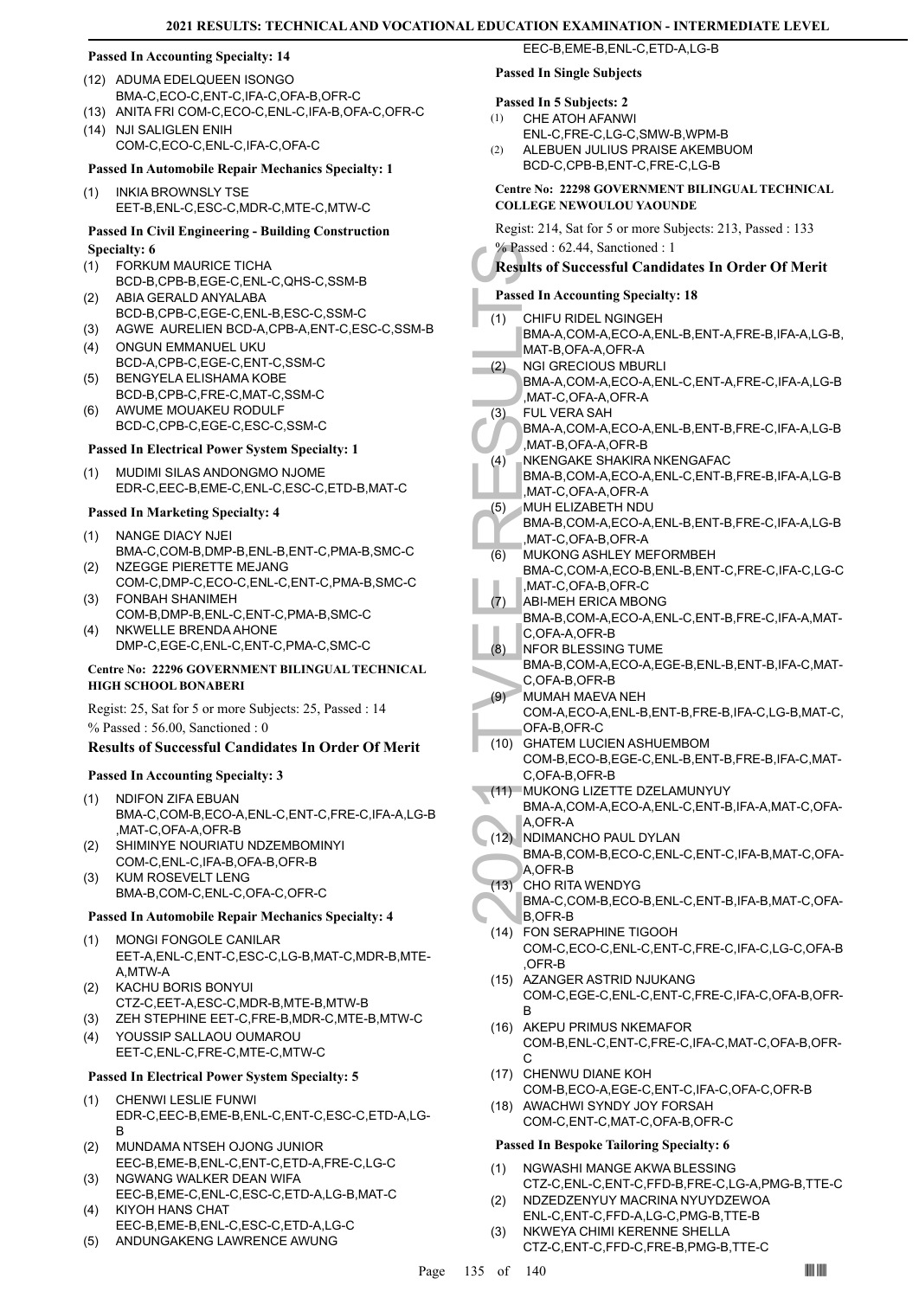#### **Passed In Accounting Specialty: 14**

- (12) ADUMA EDELQUEEN ISONGO BMA-C,ECO-C,ENT-C,IFA-C,OFA-B,OFR-C
- (13) ANITA FRI COM-C,ECO-C,ENL-C,IFA-B,OFA-C,OFR-C
- (14) NJI SALIGLEN ENIH COM-C,ECO-C,ENL-C,IFA-C,OFA-C

#### **Passed In Automobile Repair Mechanics Specialty: 1**

INKIA BROWNSLY TSE EET-B,ENL-C,ESC-C,MDR-C,MTE-C,MTW-C (1)

#### **Passed In Civil Engineering - Building Construction Specialty: 6**

- FORKUM MAURICE TICHA (1)
- BCD-B,CPB-B,EGE-C,ENL-C,QHS-C,SSM-B ABIA GERALD ANYALABA (2)
- BCD-B,CPB-C,EGE-C,ENL-B,ESC-C,SSM-C
- (3) AGWE AURELIEN BCD-A,CPB-A,ENT-C,ESC-C,SSM-B
- ONGUN EMMANUEL UKU BCD-A,CPB-C,EGE-C,ENT-C,SSM-C (4)
- BENGYELA ELISHAMA KOBE (5)
- BCD-B,CPB-C,FRE-C,MAT-C,SSM-C AWUME MOUAKEU RODULF (6)
- BCD-C,CPB-C,EGE-C,ESC-C,SSM-C

# **Passed In Electrical Power System Specialty: 1**

MUDIMI SILAS ANDONGMO NJOME EDR-C,EEC-B,EME-C,ENL-C,ESC-C,ETD-B,MAT-C (1)

#### **Passed In Marketing Specialty: 4**

- NANGE DIACY NJEI BMA-C,COM-B,DMP-B,ENL-B,ENT-C,PMA-B,SMC-C (1)
- NZEGGE PIERETTE MEJANG COM-C,DMP-C,ECO-C,ENL-C,ENT-C,PMA-B,SMC-C (2)
- FONBAH SHANIMEH COM-B,DMP-B,ENL-C,ENT-C,PMA-B,SMC-C (3)
- NKWELLE BRENDA AHONE DMP-C,EGE-C,ENL-C,ENT-C,PMA-C,SMC-C (4)

#### **Centre No: 22296 GOVERNMENT BILINGUAL TECHNICAL HIGH SCHOOL BONABERI**

Regist: 25, Sat for 5 or more Subjects: 25, Passed : 14 % Passed : 56.00, Sanctioned : 0

#### **Results of Successful Candidates In Order Of Merit**

#### **Passed In Accounting Specialty: 3**

- NDIFON ZIFA EBUAN BMA-C,COM-B,ECO-A,ENL-C,ENT-C,FRE-C,IFA-A,LG-B ,MAT-C,OFA-A,OFR-B (1)
- SHIMINYE NOURIATU NDZEMBOMINYI COM-C,ENL-C,IFA-B,OFA-B,OFR-B (2)
- KUM ROSEVELT LENG BMA-B,COM-C,ENL-C,OFA-C,OFR-C (3)

#### **Passed In Automobile Repair Mechanics Specialty: 4**

- (1) MONGI FONGOLE CANILAR EET-A,ENL-C,ENT-C,ESC-C,LG-B,MAT-C,MDR-B,MTE-A,MTW-A
- KACHU BORIS BONYUI CTZ-C,EET-A,ESC-C,MDR-B,MTE-B,MTW-B (2)
- (3) ZEH STEPHINE EET-C,FRE-B,MDR-C,MTE-B,MTW-C
- YOUSSIP SALLAOU OUMAROU EET-C,ENL-C,FRE-C,MTE-C,MTW-C (4)

#### **Passed In Electrical Power System Specialty: 5**

- CHENWI LESLIE FUNWI EDR-C,EEC-B,EME-B,ENL-C,ENT-C,ESC-C,ETD-A,LG-B (1)
- MUNDAMA NTSEH OJONG JUNIOR EEC-B,EME-B,ENL-C,ENT-C,ETD-A,FRE-C,LG-C (2)
- NGWANG WALKER DEAN WIFA EEC-B,EME-C,ENL-C,ESC-C,ETD-A,LG-B,MAT-C (3)
- KIYOH HANS CHAT EEC-B,EME-B,ENL-C,ESC-C,ETD-A,LG-C (4)
- (5) ANDUNGAKENG LAWRENCE AWUNG

## **Passed In Single Subjects**

- **Passed In 5 Subjects: 2** CHE ATOH AFANWI (1)
- ENL-C,FRE-C,LG-C,SMW-B,WPM-B
- ALEBUEN JULIUS PRAISE AKEMBUOM BCD-C,CPB-B,ENT-C,FRE-C,LG-B  $(2)$

EEC-B,EME-B,ENL-C,ETD-A,LG-B

#### **Centre No: 22298 GOVERNMENT BILINGUAL TECHNICAL COLLEGE NEWOULOU YAOUNDE**

Regist: 214, Sat for 5 or more Subjects: 213, Passed : 133 % Passed : 62.44, Sanctioned : 1

#### **Results of Successful Candidates In Order Of Merit**

#### **Passed In Accounting Specialty: 18**

- e Passed : 6.<br>
Results of S<br>
Results of S<br>
Passed In Ac<br>
(1) CHIFU F BMA-A, MAT-B, MAT-B, MAT-B, MAT-B, MAT-B, MAT-C, FUL VE<br>
BMA-A, MAT-C, FUL VE BMA-A, MAT-C, FUL VE BMA-A, MAT-B, MAT-B, MAT-C, MUH EL, MAT-C, MUH EL, MAT CHIFU RIDEL NGINGEH BMA-A,COM-A,ECO-A,ENL-B,ENT-A,FRE-B,IFA-A,LG-B, MAT-B,OFA-A,OFR-A (1) NGI GRECIOUS MBURLI BMA-A,COM-A,ECO-A,ENL-C,ENT-A,FRE-C,IFA-A,LG-B ,MAT-C,OFA-A,OFR-A (2) FUL VERA SAH BMA-A,COM-A,ECO-A,ENL-B,ENT-B,FRE-C,IFA-A,LG-B ,MAT-B,OFA-A,OFR-B (3) NKENGAKE SHAKIRA NKENGAFAC BMA-B,COM-A,ECO-A,ENL-C,ENT-B,FRE-B,IFA-A,LG-B  $(4)$
- ,MAT-C,OFA-A,OFR-A MUH ELIZABETH NDU (5)
- BMA-B,COM-A,ECO-A,ENL-B,ENT-B,FRE-C,IFA-A,LG-B ,MAT-C,OFA-B,OFR-A
- MUKONG ASHLEY MEFORMBEH BMA-C,COM-A,ECO-B,ENL-B,ENT-C,FRE-C,IFA-C,LG-C ,MAT-C,OFA-B,OFR-C (6)
- ABI-MEH ERICA MBONG  $(7)$
- BMA-B,COM-A,ECO-A,ENL-C,ENT-B,FRE-C,IFA-A,MAT-C,OFA-A,OFR-B
- NFOR BLESSING TUME BMA-B,COM-A,ECO-A,EGE-B,ENL-B,ENT-B,IFA-C,MAT-C, OFA-B, OFR-B (8)
- MUMAH MAEVA NEH COM-A,ECO-A,ENL-B,ENT-B,FRE-B,IFA-C,LG-B,MAT-C, OFA-B,OFR-C  $(9)$
- GHATEM LUCIEN ASHUEMBOM COM-B,ECO-B,EGE-C,ENL-B,ENT-B,FRE-B,IFA-C,MAT-C,OFA-B,OFR-B (10)
- (11) MUKONG LIZETTE DZELAMUNYUY
- BMA-A,COM-A,ECO-A,ENL-C,ENT-B,IFA-A,MAT-C,OFA-A,OFR-A
- (12) NDIMANCHO PAUL DYLAN BMA-B,COM-B,ECO-C,ENL-C,ENT-C,IFA-B,MAT-C,OFA-A,OFR-B
- CHO RITA WENDYG BMA-C,COM-B,ECO-B,ENL-C,ENT-B,IFA-B,MAT-C,OFA-B,OFR-B (13)
- FON SERAPHINE TIGOOH (14) COM-C,ECO-C,ENL-C,ENT-C,FRE-C,IFA-C,LG-C,OFA-B ,OFR-B
- (15) AZANGER ASTRID NJUKANG COM-C,EGE-C,ENL-C,ENT-C,FRE-C,IFA-C,OFA-B,OFR-B
- (16) AKEPU PRIMUS NKEMAFOR COM-B,ENL-C,ENT-C,FRE-C,IFA-C,MAT-C,OFA-B,OFR-C
- (17) CHENWU DIANE KOH
- COM-B,ECO-A,EGE-C,ENT-C,IFA-C,OFA-C,OFR-B (18) AWACHWI SYNDY JOY FORSAH
- COM-C,ENT-C,MAT-C,OFA-B,OFR-C

#### **Passed In Bespoke Tailoring Specialty: 6**

- NGWASHI MANGE AKWA BLESSING CTZ-C,ENL-C,ENT-C,FFD-B,FRE-C,LG-A,PMG-B,TTE-C (1)
- NDZEDZENYUY MACRINA NYUYDZEWOA ENL-C,ENT-C,FFD-A,LG-C,PMG-B,TTE-B (2)
- NKWEYA CHIMI KERENNE SHELLA CTZ-C,ENT-C,FFD-C,FRE-B,PMG-B,TTE-C (3)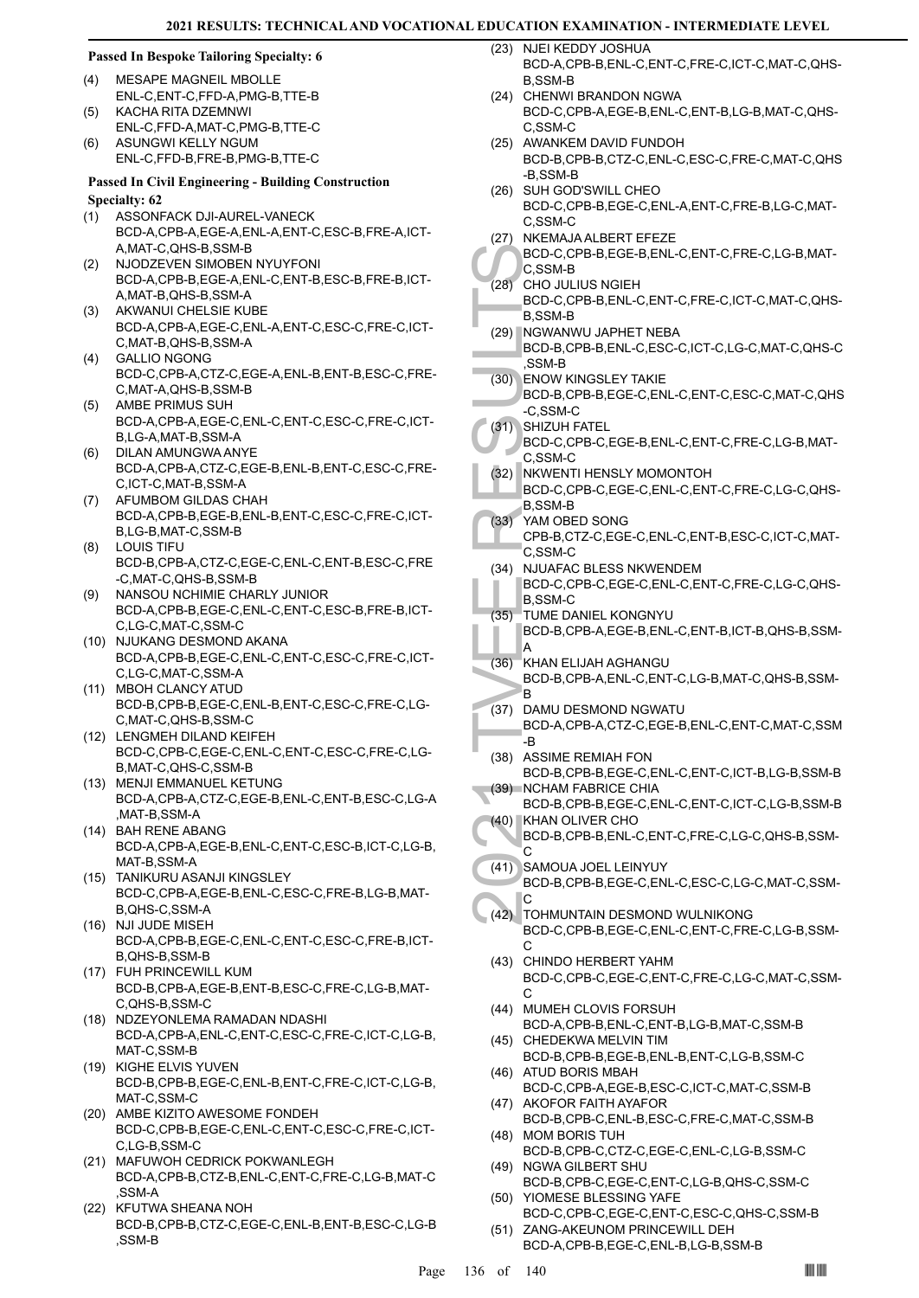#### **Passed In Bespoke Tailoring Specialty: 6**

- MESAPE MAGNEIL MBOLLE ENL-C,ENT-C,FFD-A,PMG-B,TTE-B (4)
- KACHA RITA DZEMNWI ENL-C,FFD-A,MAT-C,PMG-B,TTE-C  $(5)$
- ASUNGWI KELLY NGUM ENL-C,FFD-B,FRE-B,PMG-B,TTE-C (6)

#### **Passed In Civil Engineering - Building Construction Specialty: 62**

- (1) ASSONFACK DJI-AUREL-VANECK BCD-A,CPB-A,EGE-A,ENL-A,ENT-C,ESC-B,FRE-A,ICT-A,MAT-C,QHS-B,SSM-B
- NJODZEVEN SIMOBEN NYUYFONI BCD-A,CPB-B,EGE-A,ENL-C,ENT-B,ESC-B,FRE-B,ICT-A,MAT-B,QHS-B,SSM-A (2)
- AKWANUI CHELSIE KUBE BCD-A,CPB-A,EGE-C,ENL-A,ENT-C,ESC-C,FRE-C,ICT-C,MAT-B,QHS-B,SSM-A (3)
- GALLIO NGONG BCD-C,CPB-A,CTZ-C,EGE-A,ENL-B,ENT-B,ESC-C,FRE-C,MAT-A,QHS-B,SSM-B (4)
- AMBE PRIMUS SUH BCD-A,CPB-A,EGE-C,ENL-C,ENT-C,ESC-C,FRE-C,ICT-B,LG-A,MAT-B,SSM-A (5)
- DILAN AMUNGWA ANYE BCD-A,CPB-A,CTZ-C,EGE-B,ENL-B,ENT-C,ESC-C,FRE-C,ICT-C,MAT-B,SSM-A (6)
- AFUMBOM GILDAS CHAH BCD-A,CPB-B,EGE-B,ENL-B,ENT-C,ESC-C,FRE-C,ICT-B,LG-B,MAT-C,SSM-B (7)
- LOUIS TIFU BCD-B,CPB-A,CTZ-C,EGE-C,ENL-C,ENT-B,ESC-C,FRE -C,MAT-C,QHS-B,SSM-B (8)
- (9) NANSOU NCHIMIE CHARLY JUNIOR BCD-A,CPB-B,EGE-C,ENL-C,ENT-C,ESC-B,FRE-B,ICT-C,LG-C,MAT-C,SSM-C
- (10) NJUKANG DESMOND AKANA BCD-A,CPB-B,EGE-C,ENL-C,ENT-C,ESC-C,FRE-C,ICT-C,LG-C,MAT-C,SSM-A
- (11) MBOH CLANCY ATUD BCD-B,CPB-B,EGE-C,ENL-B,ENT-C,ESC-C,FRE-C,LG-C,MAT-C,QHS-B,SSM-C
- (12) LENGMEH DILAND KEIFEH BCD-C,CPB-C,EGE-C,ENL-C,ENT-C,ESC-C,FRE-C,LG-B,MAT-C,QHS-C,SSM-B
- (13) MENJI EMMANUEL KETUNG BCD-A,CPB-A,CTZ-C,EGE-B,ENL-C,ENT-B,ESC-C,LG-A ,MAT-B,SSM-A
- (14) BAH RENE ABANG BCD-A,CPB-A,EGE-B,ENL-C,ENT-C,ESC-B,ICT-C,LG-B, MAT-R SSM-A
- (15) TANIKURU ASANJI KINGSLEY BCD-C,CPB-A,EGE-B,ENL-C,ESC-C,FRE-B,LG-B,MAT-B,QHS-C,SSM-A
- (16) NJI JUDE MISEH BCD-A,CPB-B,EGE-C,ENL-C,ENT-C,ESC-C,FRE-B,ICT-B,QHS-B,SSM-B
- FUH PRINCEWILL KUM (17) BCD-B,CPB-A,EGE-B,ENT-B,ESC-C,FRE-C,LG-B,MAT-C,QHS-B,SSM-C
- (18) NDZEYONLEMA RAMADAN NDASHI BCD-A,CPB-A,ENL-C,ENT-C,ESC-C,FRE-C,ICT-C,LG-B, MAT-C,SSM-B
- (19) KIGHE ELVIS YUVEN BCD-B,CPB-B,EGE-C,ENL-B,ENT-C,FRE-C,ICT-C,LG-B, MAT-C,SSM-C
- (20) AMBE KIZITO AWESOME FONDEH BCD-C,CPB-B,EGE-C,ENL-C,ENT-C,ESC-C,FRE-C,ICT-C,LG-B,SSM-C
- (21) MAFUWOH CEDRICK POKWANLEGH BCD-A,CPB-B,CTZ-B,ENL-C,ENT-C,FRE-C,LG-B,MAT-C ,SSM-A
- (22) KFUTWA SHEANA NOH BCD-B,CPB-B,CTZ-C,EGE-C,ENL-B,ENT-B,ESC-C,LG-B ,SSM-B
- (23) NJEI KEDDY JOSHUA BCD-A,CPB-B,ENL-C,ENT-C,FRE-C,ICT-C,MAT-C,QHS-B,SSM-B
- (24) CHENWI BRANDON NGWA BCD-C,CPB-A,EGE-B,ENL-C,ENT-B,LG-B,MAT-C,QHS-C,SSM-C
- (25) AWANKEM DAVID FUNDOH BCD-B,CPB-B,CTZ-C,ENL-C,ESC-C,FRE-C,MAT-C,QHS -B,SSM-B
- (26) SUH GOD'SWILL CHEO BCD-C,CPB-B,EGE-C,ENL-A,ENT-C,FRE-B,LG-C,MAT-C,SSM-C
- (27) NKEMAJA ALBERT EFEZE
- BCD-C,CPB-B,EGE-B,ENL-C,ENT-C,FRE-C,LG-B,MAT-C,SSM-B
- CHO JULIUS NGIEH (28)
- BCD-C,CPB-B,ENL-C,ENT-C,FRE-C,ICT-C,MAT-C,QHS-B,SSM-B
- (29) NGWANWU JAPHET NEBA BCD-B,CPB-B,ENL-C,ESC-C,ICT-C,LG-C,MAT-C,QHS-C ,SSM-B
- BCD-C,<br>
C.S.SM-BCD-C,<br>
B.S.SM-BCD-C,<br>
B.S.SM-BCD-B,<br>
S.SM-BCD-B,<br>
S.SM-BCD-B,<br>
C.S.SM-BCD-C,<br>
C.S.SM-BCD-C,<br>
C.S.SM-BCD-C,<br>
C.S.SM-BCD-C,<br>
C.S.SM-BCD-C,<br>
C.S.SM-BCD-C,<br>
C.S.SM-BCD-C,<br>
B.S.SM-BCD-C,<br>
B.S.SM-BCD-C,<br>
B.S.SM-B ENOW KINGSLEY TAKIE (30) BCD-B,CPB-B,EGE-C,ENL-C,ENT-C,ESC-C,MAT-C,QHS -C,SSM-C (31) SHIZUH FATEL
	- BCD-C,CPB-C,EGE-B,ENL-C,ENT-C,FRE-C,LG-B,MAT-C,SSM-C
	- NKWENTI HENSLY MOMONTOH BCD-C,CPB-C,EGE-C,ENL-C,ENT-C,FRE-C,LG-C,QHS-B,SSM-B (32)
- YAM OBED SONG (33)
	- CPB-B,CTZ-C,EGE-C,ENL-C,ENT-B,ESC-C,ICT-C,MAT-C,SSM-C
	- (34) NJUAFAC BLESS NKWENDEM BCD-C,CPB-C,EGE-C,ENL-C,ENT-C,FRE-C,LG-C,QHS-B,SSM-C TUME DANIEL KONGNYU (35)
	- BCD-B,CPB-A,EGE-B,ENL-C,ENT-B,ICT-B,QHS-B,SSM-A
- KHAN ELIJAH AGHANGU (36)
- BCD-B,CPB-A,ENL-C,ENT-C,LG-B,MAT-C,QHS-B,SSM-B
- DAMU DESMOND NGWATU BCD-A,CPB-A,CTZ-C,EGE-B,ENL-C,ENT-C,MAT-C,SSM -B (37)
- (38) ASSIME REMIAH FON BCD-B,CPB-B,EGE-C,ENL-C,ENT-C,ICT-B,LG-B,SSM-B (39) NCHAM FABRICE CHIA
- BCD-B,CPB-B,EGE-C,ENL-C,ENT-C,ICT-C,LG-B,SSM-B (40) KHAN OLIVER CHO
- BCD-B,CPB-B,ENL-C,ENT-C,FRE-C,LG-C,QHS-B,SSM- $\cap$
- SAMOUA JOEL LEINYUY BCD-B,CPB-B,EGE-C,ENL-C,ESC-C,LG-C,MAT-C,SSM-C  $(41)$
- TOHMUNTAIN DESMOND WULNIKONG BCD-C,CPB-B,EGE-C,ENL-C,ENT-C,FRE-C,LG-B,SSM-C  $(42)$
- (43) CHINDO HERBERT YAHM BCD-C,CPB-C,EGE-C,ENT-C,FRE-C,LG-C,MAT-C,SSM-C
- (44) MUMEH CLOVIS FORSUH BCD-A,CPB-B,ENL-C,ENT-B,LG-B,MAT-C,SSM-B
- (45) CHEDEKWA MELVIN TIM BCD-B,CPB-B,EGE-B,ENL-B,ENT-C,LG-B,SSM-C (46) ATUD BORIS MBAH
- BCD-C,CPB-A,EGE-B,ESC-C,ICT-C,MAT-C,SSM-B (47) AKOFOR FAITH AYAFOR
- BCD-B,CPB-C,ENL-B,ESC-C,FRE-C,MAT-C,SSM-B (48) MOM BORIS TUH
- BCD-B,CPB-C,CTZ-C,EGE-C,ENL-C,LG-B,SSM-C (49) NGWA GILBERT SHU
- BCD-B,CPB-C,EGE-C,ENT-C,LG-B,QHS-C,SSM-C YIOMESE BLESSING YAFE (50)
- BCD-C,CPB-C,EGE-C,ENT-C,ESC-C,QHS-C,SSM-B ZANG-AKEUNOM PRINCEWILL DEH (51)
- BCD-A,CPB-B,EGE-C,ENL-B,LG-B,SSM-B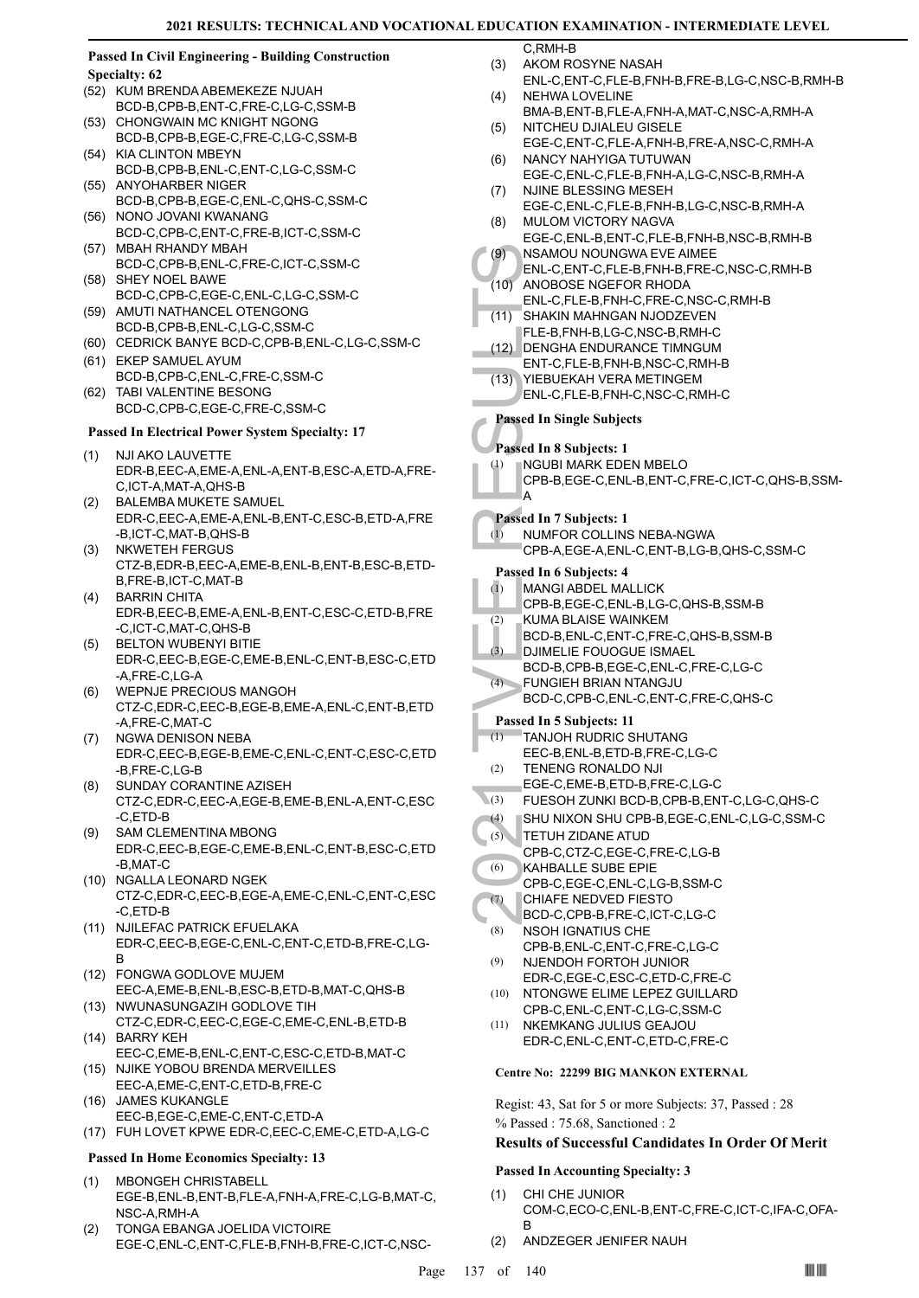#### **Passed In Civil Engineering - Building Construction Specialty: 62**

- (52) KUM BRENDA ABEMEKEZE NJUAH BCD-B,CPB-B,ENT-C,FRE-C,LG-C,SSM-B
- CHONGWAIN MC KNIGHT NGONG BCD-B,CPB-B,EGE-C,FRE-C,LG-C,SSM-B (53)
- (54) KIA CLINTON MBEYN BCD-B,CPB-B,ENL-C,ENT-C,LG-C,SSM-C
- (55) ANYOHARBER NIGER BCD-B,CPB-B,EGE-C,ENL-C,QHS-C,SSM-C
- (56) NONO JOVANI KWANANG BCD-C,CPB-C,ENT-C,FRE-B,ICT-C,SSM-C
- (57) MBAH RHANDY MBAH BCD-C,CPB-B,ENL-C,FRE-C,ICT-C,SSM-C
- (58) SHEY NOEL BAWE BCD-C,CPB-C,EGE-C,ENL-C,LG-C,SSM-C
- (59) AMUTI NATHANCEL OTENGONG BCD-B,CPB-B,ENL-C,LG-C,SSM-C
- (60) CEDRICK BANYE BCD-C,CPB-B,ENL-C,LG-C,SSM-C
- (61) EKEP SAMUEL AYUM BCD-B,CPB-C,ENL-C,FRE-C,SSM-C
- TABI VALENTINE BESONG (62) BCD-C,CPB-C,EGE-C,FRE-C,SSM-C

#### **Passed In Electrical Power System Specialty: 17**

- (1) NJI AKO LAUVETTE EDR-B,EEC-A,EME-A,ENL-A,ENT-B,ESC-A,ETD-A,FRE-C,ICT-A,MAT-A,QHS-B
- BALEMBA MUKETE SAMUEL EDR-C,EEC-A,EME-A,ENL-B,ENT-C,ESC-B,ETD-A,FRE -B,ICT-C,MAT-B,QHS-B (2)
- NKWETEH FERGUS CTZ-B,EDR-B,EEC-A,EME-B,ENL-B,ENT-B,ESC-B,ETD-B,FRE-B,ICT-C,MAT-B (3)
- BARRIN CHITA EDR-B,EEC-B,EME-A,ENL-B,ENT-C,ESC-C,ETD-B,FRE -C,ICT-C,MAT-C,QHS-B (4)
- BELTON WUBENYI BITIE EDR-C,EEC-B,EGE-C,EME-B,ENL-C,ENT-B,ESC-C,ETD -A,FRE-C,LG-A (5)
- WEPNJE PRECIOUS MANGOH CTZ-C,EDR-C,EEC-B,EGE-B,EME-A,ENL-C,ENT-B,ETD -A,FRE-C,MAT-C (6)
- (7) NGWA DENISON NEBA EDR-C,EEC-B,EGE-B,EME-C,ENL-C,ENT-C,ESC-C,ETD -B,FRE-C,LG-B
- SUNDAY CORANTINE AZISEH CTZ-C,EDR-C,EEC-A,EGE-B,EME-B,ENL-A,ENT-C,ESC -C,ETD-B (8)
- (9) SAM CLEMENTINA MBONG EDR-C,EEC-B,EGE-C,EME-B,ENL-C,ENT-B,ESC-C,ETD -B,MAT-C
- (10) NGALLA LEONARD NGEK CTZ-C,EDR-C,EEC-B,EGE-A,EME-C,ENL-C,ENT-C,ESC -C,ETD-B
- (11) NJILEFAC PATRICK EFUELAKA EDR-C,EEC-B,EGE-C,ENL-C,ENT-C,ETD-B,FRE-C,LG-B
- FONGWA GODLOVE MUJEM (12) EEC-A,EME-B,ENL-B,ESC-B,ETD-B,MAT-C,QHS-B
- (13) NWUNASUNGAZIH GODLOVE TIH CTZ-C,EDR-C,EEC-C,EGE-C,EME-C,ENL-B,ETD-B
- (14) BARRY KEH EEC-C,EME-B,ENL-C,ENT-C,ESC-C,ETD-B,MAT-C
- (15) NJIKE YOBOU BRENDA MERVEILLES EEC-A,EME-C,ENT-C,ETD-B,FRE-C (16) JAMES KUKANGLE
- EEC-B,EGE-C,EME-C,ENT-C,ETD-A (17) FUH LOVET KPWE EDR-C,EEC-C,EME-C,ETD-A,LG-C

## **Passed In Home Economics Specialty: 13**

- MBONGEH CHRISTABELL EGE-B,ENL-B,ENT-B,FLE-A,FNH-A,FRE-C,LG-B,MAT-C, NSC-A,RMH-A (1)
- TONGA EBANGA JOELIDA VICTOIRE EGE-C,ENL-C,ENT-C,FLE-B,FNH-B,FRE-C,ICT-C,NSC- (2)

C,RMH-B AKOM ROSYNE NASAH (3)

- ENL-C,ENT-C,FLE-B,FNH-B,FRE-B,LG-C,NSC-B,RMH-B NEHWA LOVELINE (4)
- BMA-B,ENT-B,FLE-A,FNH-A,MAT-C,NSC-A,RMH-A NITCHEU DJIALEU GISELE (5)
- EGE-C,ENT-C,FLE-A,FNH-B,FRE-A,NSC-C,RMH-A NANCY NAHYIGA TUTUWAN (6)
- EGE-C,ENL-C,FLE-B,FNH-A,LG-C,NSC-B,RMH-A NJINE BLESSING MESEH (7)
- EGE-C,ENL-C,FLE-B,FNH-B,LG-C,NSC-B,RMH-A MULOM VICTORY NAGVA (8)
- EGE-C,ENL-B,ENT-C,FLE-B,FNH-B,NSC-B,RMH-B NSAMOU NOUNGWA EVE AIMEE  $(9)$
- ENL-C,ENT-C,FLE-B,FNH-B,FRE-C,NSC-C,RMH-B ANOBOSE NGEFOR RHODA  $(10)$
- ENL-C,FLE-B,FNH-C,FRE-C,NSC-C,RMH-B
- (9) NSAMO<br>
ENL-C, (10) ANOBO<br>
ENL-C, (11) SHAKIN<br>
FLE-B, DENGH<br>
(12) ENT-C, (13) YIEBUE<br>
ENT-C, (13) YIEBUE<br>
ENT-C, Passed In 8 is<br>
Passed In 8 is<br>
(1) NGUBI<br>
CPB-B, A<br>
(1) NUMFO<br>
CPB-A, Passed In 6 is<br>
(1) MUMFO<br>
CPB-A, P SHAKIN MAHNGAN NJODZEVEN FLE-B,FNH-B,LG-C,NSC-B,RMH-C (11)
	- DENGHA ENDURANCE TIMNGUM (12)
	- ENT-C,FLE-B,FNH-B,NSC-C,RMH-B
	- YIEBUEKAH VERA METINGEM ENL-C,FLE-B,FNH-C,NSC-C,RMH-C (13)

#### **Passed In Single Subjects**

#### **Passed In 8 Subjects: 1**

- NGUBI MARK EDEN MBELO (1)
- CPB-B,EGE-C,ENL-B,ENT-C,FRE-C,ICT-C,QHS-B,SSM-A
- **Passed In 7 Subjects: 1**
- NUMFOR COLLINS NEBA-NGWA (1)
	- CPB-A,EGE-A,ENL-C,ENT-B,LG-B,QHS-C,SSM-C

#### **Passed In 6 Subjects: 4**

- MANGI ABDEL MALLICK (1)
- CPB-B,EGE-C,ENL-B,LG-C,QHS-B,SSM-B
- KUMA BLAISE WAINKEM (2)
- BCD-B,ENL-C,ENT-C,FRE-C,QHS-B,SSM-B
- DJIMELIE FOUOGUE ISMAEL (3)
- BCD-B,CPB-B,EGE-C,ENL-C,FRE-C,LG-C FUNGIEH BRIAN NTANGJU  $(4)$
- BCD-C,CPB-C,ENL-C,ENT-C,FRE-C,QHS-C

#### **Passed In 5 Subjects: 11**

- TANJOH RUDRIC SHUTANG (1)
	- EEC-B,ENL-B,ETD-B,FRE-C,LG-C
- TENENG RONALDO NJI EGE-C,EME-B,ETD-B,FRE-C,LG-C (2)
- (3) FUESOH ZUNKI BCD-B,CPB-B,ENT-C,LG-C,QHS-C
- (4) SHU NIXON SHU CPB-B,EGE-C,ENL-C,LG-C,SSM-C
- TETUH ZIDANE ATUD (5)
	- CPB-C,CTZ-C,EGE-C,FRE-C,LG-B
- KAHBALLE SUBE EPIE (6)
- CPB-C,EGE-C,ENL-C,LG-B,SSM-C CHIAFE NEDVED FIESTO (7)
- BCD-C,CPB-B,FRE-C,ICT-C,LG-C
- NSOH IGNATIUS CHE CPB-B,ENL-C,ENT-C,FRE-C,LG-C (8)
- NJENDOH FORTOH JUNIOR EDR-C,EGE-C,ESC-C,ETD-C,FRE-C (9)
- NTONGWE ELIME LEPEZ GUILLARD (10)
- CPB-C,ENL-C,ENT-C,LG-C,SSM-C (11) NKEMKANG JULIUS GEAJOU EDR-C,ENL-C,ENT-C,ETD-C,FRE-C

#### **Centre No: 22299 BIG MANKON EXTERNAL**

Regist: 43, Sat for 5 or more Subjects: 37, Passed : 28 % Passed : 75.68, Sanctioned : 2

#### **Results of Successful Candidates In Order Of Merit**

#### **Passed In Accounting Specialty: 3**

- CHI CHE JUNIOR COM-C,ECO-C,ENL-B,ENT-C,FRE-C,ICT-C,IFA-C,OFA-B (1)
- (2) ANDZEGER JENIFER NAUH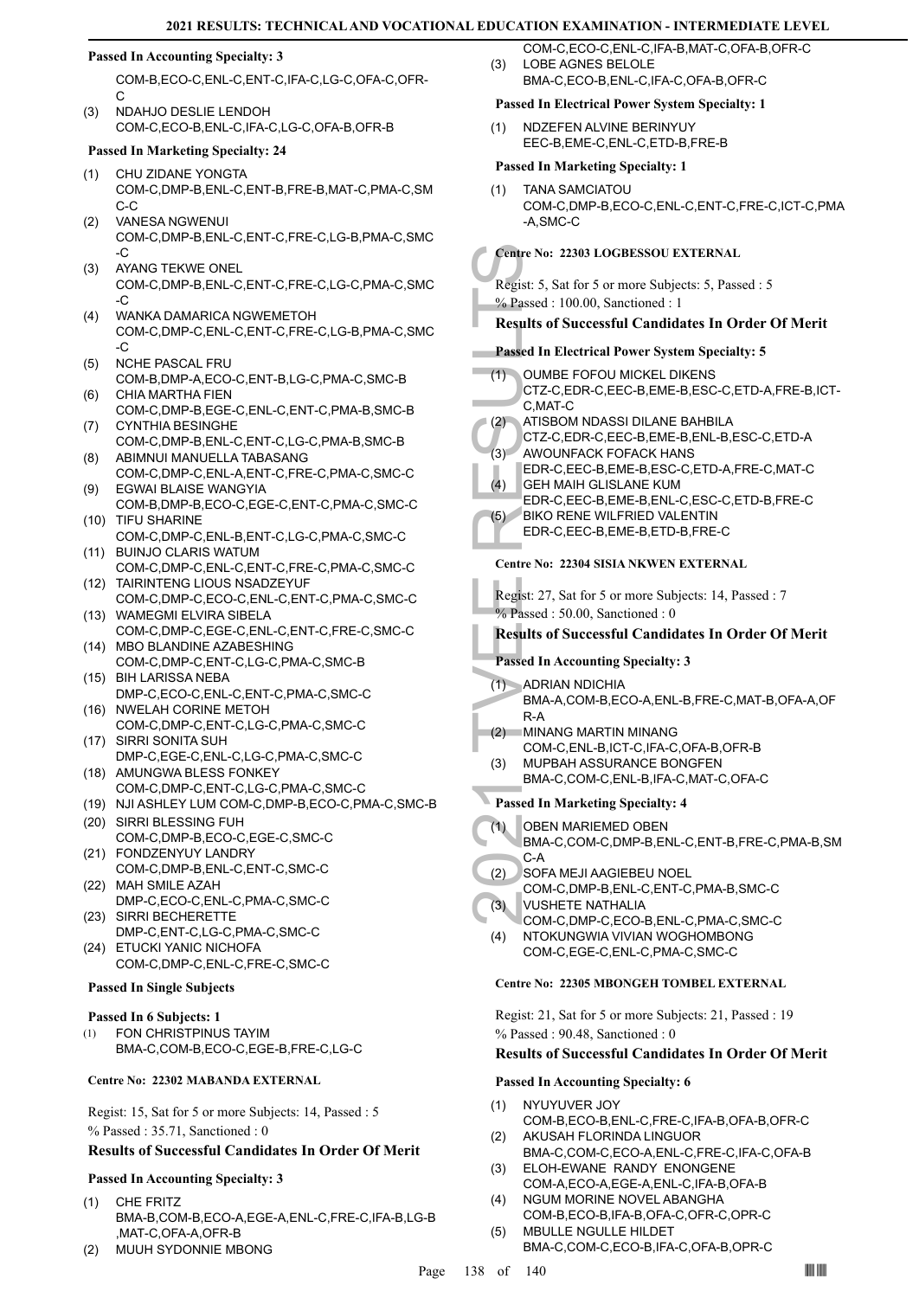#### **Passed In Accounting Specialty: 3**

COM-B,ECO-C,ENL-C,ENT-C,IFA-C,LG-C,OFA-C,OFR-C

NDAHJO DESLIE LENDOH COM-C,ECO-B,ENL-C,IFA-C,LG-C,OFA-B,OFR-B (3)

#### **Passed In Marketing Specialty: 24**

- CHU ZIDANE YONGTA COM-C,DMP-B,ENL-C,ENT-B,FRE-B,MAT-C,PMA-C,SM C-C (1)
- VANESA NGWENUI COM-C,DMP-B,ENL-C,ENT-C,FRE-C,LG-B,PMA-C,SMC -C  $(2)$
- AYANG TEKWE ONEL COM-C,DMP-B,ENL-C,ENT-C,FRE-C,LG-C,PMA-C,SMC  $\overline{C}$ (3)
- WANKA DAMARICA NGWEMETOH COM-C,DMP-C,ENL-C,ENT-C,FRE-C,LG-B,PMA-C,SMC  $-C$ (4)
- NCHE PASCAL FRU (5)
- COM-B,DMP-A,ECO-C,ENT-B,LG-C,PMA-C,SMC-B CHIA MARTHA FIEN (6)
- COM-C,DMP-B,EGE-C,ENL-C,ENT-C,PMA-B,SMC-B CYNTHIA BESINGHE (7)
- COM-C,DMP-B,ENL-C,ENT-C,LG-C,PMA-B,SMC-B ABIMNUI MANUELLA TABASANG (8)
- COM-C,DMP-C,ENL-A,ENT-C,FRE-C,PMA-C,SMC-C EGWAI BLAISE WANGYIA (9)
- COM-B,DMP-B,ECO-C,EGE-C,ENT-C,PMA-C,SMC-C (10) TIFU SHARINE
- COM-C,DMP-C,ENL-B,ENT-C,LG-C,PMA-C,SMC-C BUINJO CLARIS WATUM (11)
- COM-C,DMP-C,ENL-C,ENT-C,FRE-C,PMA-C,SMC-C (12) TAIRINTENG LIOUS NSADZEYUF
- COM-C,DMP-C,ECO-C,ENL-C,ENT-C,PMA-C,SMC-C WAMEGMI ELVIRA SIBELA (13)
- COM-C,DMP-C,EGE-C,ENL-C,ENT-C,FRE-C,SMC-C (14) MBO BLANDINE AZABESHING
- COM-C,DMP-C,ENT-C,LG-C,PMA-C,SMC-B BIH LARISSA NEBA (15)
- DMP-C,ECO-C,ENL-C,ENT-C,PMA-C,SMC-C (16) NWELAH CORINE METOH
- COM-C,DMP-C,ENT-C,LG-C,PMA-C,SMC-C SIRRI SONITA SUH (17)
- DMP-C,EGE-C,ENL-C,LG-C,PMA-C,SMC-C (18) AMUNGWA BLESS FONKEY
- COM-C,DMP-C,ENT-C,LG-C,PMA-C,SMC-C
- (19) NJI ASHLEY LUM COM-C,DMP-B,ECO-C,PMA-C,SMC-B
- (20) SIRRI BLESSING FUH COM-C,DMP-B,ECO-C,EGE-C,SMC-C
- FONDZENYUY LANDRY (21) COM-C,DMP-B,ENL-C,ENT-C,SMC-C MAH SMILE AZAH (22)
- DMP-C,ECO-C,ENL-C,PMA-C,SMC-C (23) SIRRI BECHERETTE
- DMP-C,ENT-C,LG-C,PMA-C,SMC-C (24) ETUCKI YANIC NICHOFA COM-C,DMP-C,ENL-C,FRE-C,SMC-C

#### **Passed In Single Subjects**

#### **Passed In 6 Subjects: 1**

FON CHRISTPINUS TAYIM BMA-C,COM-B,ECO-C,EGE-B,FRE-C,LG-C (1)

#### **Centre No: 22302 MABANDA EXTERNAL**

Regist: 15, Sat for 5 or more Subjects: 14, Passed : 5 % Passed : 35.71, Sanctioned : 0

#### **Results of Successful Candidates In Order Of Merit**

#### **Passed In Accounting Specialty: 3**

- CHE FRITZ BMA-B,COM-B,ECO-A,EGE-A,ENL-C,FRE-C,IFA-B,LG-B ,MAT-C,OFA-A,OFR-B (1)
- MUUH SYDONNIE MBONG

COM-C,ECO-C,ENL-C,IFA-B,MAT-C,OFA-B,OFR-C LOBE AGNES BELOLE BMA-C,ECO-B,ENL-C,IFA-C,OFA-B,OFR-C (3)

#### **Passed In Electrical Power System Specialty: 1**

NDZEFEN ALVINE BERINYUY EEC-B,EME-C,ENL-C,ETD-B,FRE-B (1)

#### **Passed In Marketing Specialty: 1**

TANA SAMCIATOU COM-C,DMP-B,ECO-C,ENL-C,ENT-C,FRE-C,ICT-C,PMA -A,SMC-C (1)

#### **Centre No: 22303 LOGBESSOU EXTERNAL**

- Regist: 5, Sat for 5 or more Subjects: 5, Passed : 5
- % Passed : 100.00, Sanctioned : 1
- **Results of Successful Candidates In Order Of Merit**

#### **Passed In Electrical Power System Specialty: 5**

|                                 | Centre No: 22303 LOGBESSOU EXTERNAL                                                                                                                                                                                                                                                                                                                                                                     |
|---------------------------------|---------------------------------------------------------------------------------------------------------------------------------------------------------------------------------------------------------------------------------------------------------------------------------------------------------------------------------------------------------------------------------------------------------|
|                                 | Regist: 5, Sat for 5 or more Subjects: 5, Passed: 5                                                                                                                                                                                                                                                                                                                                                     |
|                                 | $%$ Passed: 100.00, Sanctioned: 1                                                                                                                                                                                                                                                                                                                                                                       |
|                                 | <b>Results of Successful Candidates In Order Of Merit</b>                                                                                                                                                                                                                                                                                                                                               |
|                                 | <b>Passed In Electrical Power System Specialty: 5</b>                                                                                                                                                                                                                                                                                                                                                   |
| (1)<br>(2)<br>(3)<br>(4)<br>(5) | OUMBE FOFOU MICKEL DIKENS<br>CTZ-C,EDR-C,EEC-B,EME-B,ESC-C,ETD-A,FRE-B,ICT-<br>C,MAT-C<br>ATISBOM NDASSI DILANE BAHBILA<br>CTZ-C,EDR-C,EEC-B,EME-B,ENL-B,ESC-C,ETD-A<br>AWOUNFACK FOFACK HANS<br>EDR-C, EEC-B, EME-B, ESC-C, ETD-A, FRE-C, MAT-C<br><b>GEH MAIH GLISLANE KUM</b><br>EDR-C, EEC-B, EME-B, ENL-C, ESC-C, ETD-B, FRE-C<br>BIKO RENE WILFRIED VALENTIN<br>EDR-C, EEC-B, EME-B, ETD-B, FRE-C |
|                                 | <b>Centre No: 22304 SISIA NKWEN EXTERNAL</b>                                                                                                                                                                                                                                                                                                                                                            |
|                                 | Regist: 27, Sat for 5 or more Subjects: 14, Passed: 7                                                                                                                                                                                                                                                                                                                                                   |
|                                 | % Passed: 50.00, Sanctioned: 0                                                                                                                                                                                                                                                                                                                                                                          |
|                                 | <b>Results of Successful Candidates In Order Of Merit</b>                                                                                                                                                                                                                                                                                                                                               |
|                                 | <b>Passed In Accounting Specialty: 3</b>                                                                                                                                                                                                                                                                                                                                                                |
| (1)                             | <b>ADRIAN NDICHIA</b><br>BMA-A,COM-B,ECO-A,ENL-B,FRE-C,MAT-B,OFA-A,OF<br>R-A                                                                                                                                                                                                                                                                                                                            |
| (2)                             | <b>MINANG MARTIN MINANG</b><br>COM-C, ENL-B, ICT-C, IFA-C, OFA-B, OFR-B                                                                                                                                                                                                                                                                                                                                 |
| (3)                             | MUPBAH ASSURANCE BONGFEN<br>BMA-C,COM-C,ENL-B,IFA-C,MAT-C,OFA-C                                                                                                                                                                                                                                                                                                                                         |
|                                 | <b>Passed In Marketing Specialty: 4</b>                                                                                                                                                                                                                                                                                                                                                                 |
| (1)                             | OBEN MARIEMED OBEN<br>BMA-C,COM-C,DMP-B,ENL-C,ENT-B,FRE-C,PMA-B,SM<br>C-A                                                                                                                                                                                                                                                                                                                               |
| (2)                             | SOFA MEJI AAGIEBEU NOEL                                                                                                                                                                                                                                                                                                                                                                                 |
| (3)                             | COM-C,DMP-B,ENL-C,ENT-C,PMA-B,SMC-C<br><b>VUSHETE NATHALIA</b><br>COM-C.DMP-C.ECO-B.ENL-C.PMA-C.SMC-C                                                                                                                                                                                                                                                                                                   |

#### **Passed In Accounting Specialty: 3**

- ADRIAN NDICHIA (1) BMA-A,COM-B,ECO-A,ENL-B,FRE-C,MAT-B,OFA-A,OF R-A
- MINANG MARTIN MINANG COM-C,ENL-B,ICT-C,IFA-C,OFA-B,OFR-B (2) MUPBAH ASSURANCE BONGFEN (3)
- BMA-C,COM-C,ENL-B,IFA-C,MAT-C,OFA-C

#### **Passed In Marketing Specialty: 4**

- OBEN MARIEMED OBEN (1)
- BMA-C,COM-C,DMP-B,ENL-C,ENT-B,FRE-C,PMA-B,SM C-A
- SOFA MEJI AAGIEBEU NOEL (2)
- COM-C,DMP-B,ENL-C,ENT-C,PMA-B,SMC-C VUSHETE NATHALIA (3)
- COM-C,DMP-C,ECO-B,ENL-C,PMA-C,SMC-C NTOKUNGWIA VIVIAN WOGHOMBONG COM-C,EGE-C,ENL-C,PMA-C,SMC-C (4)

#### **Centre No: 22305 MBONGEH TOMBEL EXTERNAL**

Regist: 21, Sat for 5 or more Subjects: 21, Passed : 19 % Passed : 90.48, Sanctioned : 0

#### **Results of Successful Candidates In Order Of Merit**

#### **Passed In Accounting Specialty: 6**

- NYUYUVER JOY COM-B,ECO-B,ENL-C,FRE-C,IFA-B,OFA-B,OFR-C (1)
- AKUSAH FLORINDA LINGUOR BMA-C,COM-C,ECO-A,ENL-C,FRE-C,IFA-C,OFA-B (2) ELOH-EWANE RANDY ENONGENE (3)
- COM-A,ECO-A,EGE-A,ENL-C,IFA-B,OFA-B NGUM MORINE NOVEL ABANGHA (4)
- COM-B,ECO-B,IFA-B,OFA-C,OFR-C,OPR-C MBULLE NGULLE HILDET (5)
	- BMA-C,COM-C,ECO-B,IFA-C,OFA-B,OPR-C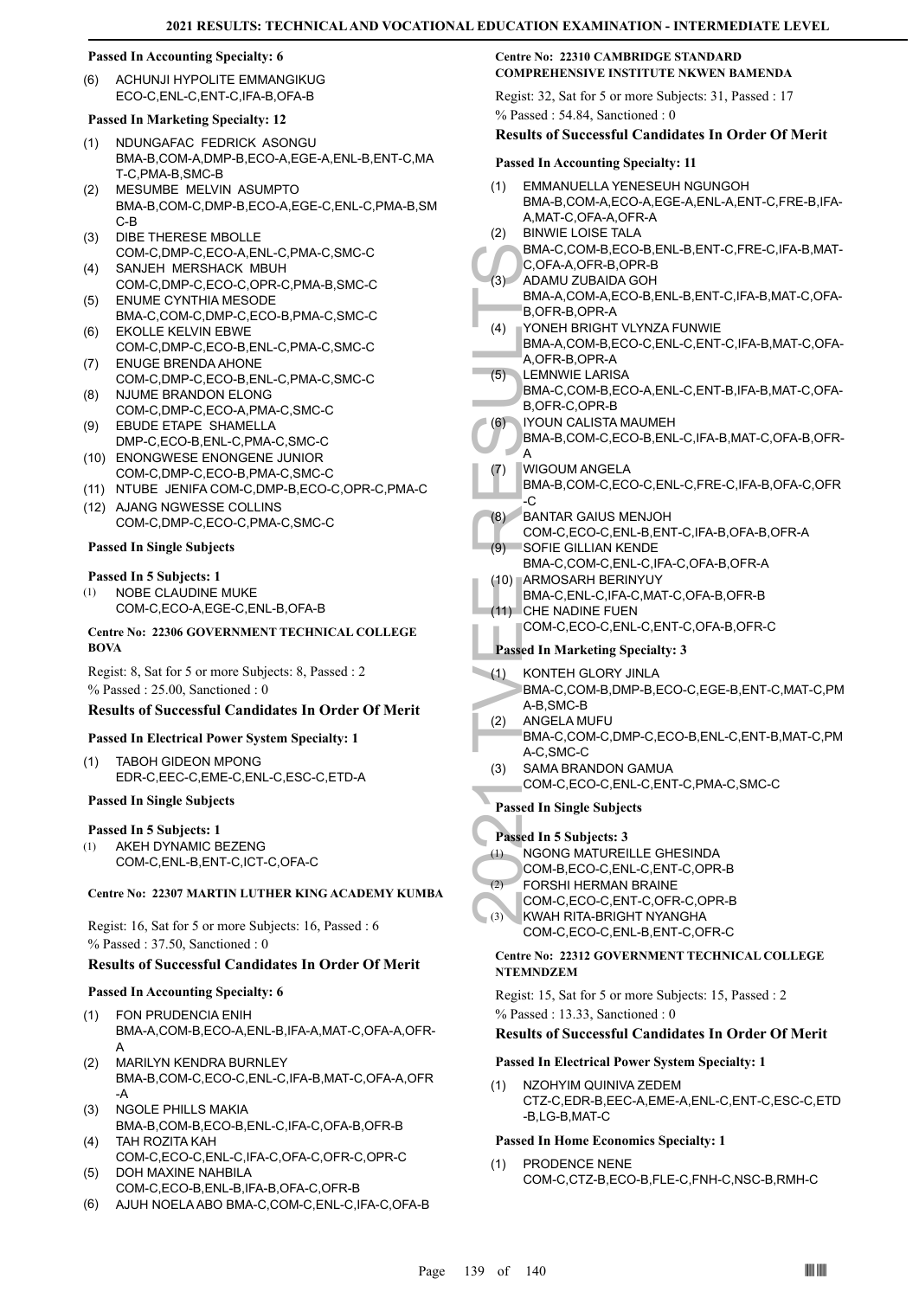#### **Passed In Accounting Specialty: 6**

ACHUNJI HYPOLITE EMMANGIKUG ECO-C,ENL-C,ENT-C,IFA-B,OFA-B (6)

#### **Passed In Marketing Specialty: 12**

- NDUNGAFAC FEDRICK ASONGU BMA-B,COM-A,DMP-B,ECO-A,EGE-A,ENL-B,ENT-C,MA T-C,PMA-B,SMC-B (1)
- MESUMBE MELVIN ASUMPTO BMA-B,COM-C,DMP-B,ECO-A,EGE-C,ENL-C,PMA-B,SM  $C$ -B (2)
- DIBE THERESE MBOLLE COM-C,DMP-C,ECO-A,ENL-C,PMA-C,SMC-C (3)
- SANJEH MERSHACK MBUH COM-C,DMP-C,ECO-C,OPR-C,PMA-B,SMC-C (4)
- (5) ENUME CYNTHIA MESODE BMA-C,COM-C,DMP-C,ECO-B,PMA-C,SMC-C
- EKOLLE KELVIN EBWE COM-C,DMP-C,ECO-B,ENL-C,PMA-C,SMC-C (6)
- ENUGE BRENDA AHONE COM-C,DMP-C,ECO-B,ENL-C,PMA-C,SMC-C (7) NJUME BRANDON ELONG
- COM-C,DMP-C,ECO-A,PMA-C,SMC-C (8)
- EBUDE ETAPE SHAMELLA DMP-C,ECO-B,ENL-C,PMA-C,SMC-C (9)
- (10) ENONGWESE ENONGENE JUNIOR COM-C,DMP-C,ECO-B,PMA-C,SMC-C
- (11) NTUBE JENIFA COM-C,DMP-B,ECO-C,OPR-C,PMA-C
- (12) AJANG NGWESSE COLLINS COM-C,DMP-C,ECO-C,PMA-C,SMC-C

#### **Passed In Single Subjects**

#### **Passed In 5 Subjects: 1**

NOBE CLAUDINE MUKE COM-C,ECO-A,EGE-C,ENL-B,OFA-B (1)

**Centre No: 22306 GOVERNMENT TECHNICAL COLLEGE BOVA** 

Regist: 8, Sat for 5 or more Subjects: 8, Passed : 2 % Passed : 25.00, Sanctioned : 0

#### **Results of Successful Candidates In Order Of Merit**

#### **Passed In Electrical Power System Specialty: 1**

TABOH GIDEON MPONG EDR-C,EEC-C,EME-C,ENL-C,ESC-C,ETD-A  $(1)$ 

#### **Passed In Single Subjects**

#### **Passed In 5 Subjects: 1**

AKEH DYNAMIC BEZENG COM-C,ENL-B,ENT-C,ICT-C,OFA-C (1)

#### **Centre No: 22307 MARTIN LUTHER KING ACADEMY KUMBA**

Regist: 16, Sat for 5 or more Subjects: 16, Passed : 6 % Passed : 37.50, Sanctioned : 0

#### **Results of Successful Candidates In Order Of Merit**

#### **Passed In Accounting Specialty: 6**

- FON PRUDENCIA ENIH BMA-A,COM-B,ECO-A,ENL-B,IFA-A,MAT-C,OFA-A,OFR-A (1)
- MARILYN KENDRA BURNLEY BMA-B,COM-C,ECO-C,ENL-C,IFA-B,MAT-C,OFA-A,OFR -A (2)
- NGOLE PHILLS MAKIA (3) BMA-B,COM-B,ECO-B,ENL-C,IFA-C,OFA-B,OFR-B
- TAH ROZITA KAH COM-C,ECO-C,ENL-C,IFA-C,OFA-C,OFR-C,OPR-C (4) DOH MAXINE NAHBILA
- COM-C,ECO-B,ENL-B,IFA-B,OFA-C,OFR-B (5)
- (6) AJUH NOELA ABO BMA-C,COM-C,ENL-C,IFA-C,OFA-B

#### **Centre No: 22310 CAMBRIDGE STANDARD COMPREHENSIVE INSTITUTE NKWEN BAMENDA**

Regist: 32, Sat for 5 or more Subjects: 31, Passed : 17 % Passed : 54.84, Sanctioned : 0

#### **Results of Successful Candidates In Order Of Merit**

#### **Passed In Accounting Specialty: 11**

|     | Passed In Accounting Specialty: 11                                               |
|-----|----------------------------------------------------------------------------------|
| (1) | EMMANUELLA YENESEUH NGUNGOH<br>BMA-B,COM-A,ECO-A,EGE-A,ENL-A,ENT-C,FRE-B,IFA-    |
| (2) | A, MAT-C, OFA-A, OFR-A<br><b>BINWIE LOISE TALA</b>                               |
|     | BMA-C,COM-B,ECO-B,ENL-B,ENT-C,FRE-C,IFA-B,MAT-                                   |
| (3) | C, OFA-A, OFR-B, OPR-B<br>ADAMU ZUBAIDA GOH                                      |
|     | BMA-A,COM-A,ECO-B,ENL-B,ENT-C,IFA-B,MAT-C,OFA-<br>B, OFR-B, OPR-A                |
| (4) | YONEH BRIGHT VLYNZA FUNWIE<br>BMA-A,COM-B,ECO-C,ENL-C,ENT-C,IFA-B,MAT-C,OFA-     |
|     | A, OFR-B, OPR-A<br><b>LEMNWIE LARISA</b>                                         |
| (5) | BMA-C,COM-B,ECO-A,ENL-C,ENT-B,IFA-B,MAT-C,OFA-<br>B, OFR-C, OPR-B                |
| (6) | <b>IYOUN CALISTA MAUMEH</b>                                                      |
| A   | BMA-B,COM-C,ECO-B,ENL-C,IFA-B,MAT-C,OFA-B,OFR-                                   |
| (7) | WIGOUM ANGELA                                                                    |
| -C  | BMA-B,COM-C,ECO-C,ENL-C,FRE-C,IFA-B,OFA-C,OFR                                    |
| (8) | <b>BANTAR GAIUS MENJOH</b>                                                       |
| (9) | COM-C,ECO-C,ENL-B,ENT-C,IFA-B,OFA-B,OFR-A<br>SOFIE GILLIAN KENDE                 |
|     | BMA-C,COM-C,ENL-C,IFA-C,OFA-B,OFR-A                                              |
|     | (10) ARMOSARH BERINYUY<br>BMA-C, ENL-C, IFA-C, MAT-C, OFA-B, OFR-B               |
|     | (11) CHE NADINE FUEN                                                             |
|     | COM-C,ECO-C,ENL-C,ENT-C,OFA-B,OFR-C                                              |
|     | <b>Passed In Marketing Specialty: 3</b>                                          |
| (1) | KONTEH GLORY JINLA<br>BMA-C,COM-B,DMP-B,ECO-C,EGE-B,ENT-C,MAT-C,PM<br>A-B, SMC-B |
| (2) | ANGELA MUFU                                                                      |
|     | BMA-C,COM-C,DMP-C,ECO-B,ENL-C,ENT-B,MAT-C,PM<br>A-C,SMC-C                        |
| (3) | <b>SAMA BRANDON GAMUA</b><br>COM-C,ECO-C,ENL-C,ENT-C,PMA-C,SMC-C                 |
|     | <b>Passed In Single Subjects</b>                                                 |
|     | Passed In 5 Subjects: 3                                                          |
| (1) | NGONG MATUREILLE GHESINDA                                                        |
| (2) | COM-B.ECO-C.ENL-C.ENT-C.OPR-B<br><b>FORSHI HERMAN BRAINE</b>                     |
|     | COM-C,ECO-C,ENT-C,OFR-C,OPR-B                                                    |
| (3) | KWAH RITA-BRIGHT NYANGHA                                                         |

- FORSHI HERMAN BRAINE (2)
- COM-C,ECO-C,ENT-C,OFR-C,OPR-B

#### KWAH RITA-BRIGHT NYANGHA COM-C,ECO-C,ENL-B,ENT-C,OFR-C  $(3)$

#### **Centre No: 22312 GOVERNMENT TECHNICAL COLLEGE NTEMNDZEM**

Regist: 15, Sat for 5 or more Subjects: 15, Passed : 2 % Passed : 13.33, Sanctioned : 0

#### **Results of Successful Candidates In Order Of Merit**

#### **Passed In Electrical Power System Specialty: 1**

NZOHYIM QUINIVA ZEDEM CTZ-C,EDR-B,EEC-A,EME-A,ENL-C,ENT-C,ESC-C,ETD -B,LG-B,MAT-C (1)

#### **Passed In Home Economics Specialty: 1**

(1) PRODENCE NENE COM-C,CTZ-B,ECO-B,FLE-C,FNH-C,NSC-B,RMH-C